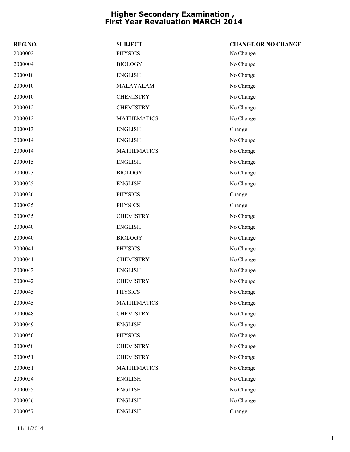| REG.NO. | <b>SUBJECT</b>     | <b>CHANGE OR NO CHANGE</b> |
|---------|--------------------|----------------------------|
| 2000002 | <b>PHYSICS</b>     | No Change                  |
| 2000004 | <b>BIOLOGY</b>     | No Change                  |
| 2000010 | <b>ENGLISH</b>     | No Change                  |
| 2000010 | MALAYALAM          | No Change                  |
| 2000010 | <b>CHEMISTRY</b>   | No Change                  |
| 2000012 | <b>CHEMISTRY</b>   | No Change                  |
| 2000012 | <b>MATHEMATICS</b> | No Change                  |
| 2000013 | <b>ENGLISH</b>     | Change                     |
| 2000014 | <b>ENGLISH</b>     | No Change                  |
| 2000014 | <b>MATHEMATICS</b> | No Change                  |
| 2000015 | <b>ENGLISH</b>     | No Change                  |
| 2000023 | <b>BIOLOGY</b>     | No Change                  |
| 2000025 | <b>ENGLISH</b>     | No Change                  |
| 2000026 | <b>PHYSICS</b>     | Change                     |
| 2000035 | <b>PHYSICS</b>     | Change                     |
| 2000035 | <b>CHEMISTRY</b>   | No Change                  |
| 2000040 | <b>ENGLISH</b>     | No Change                  |
| 2000040 | <b>BIOLOGY</b>     | No Change                  |
| 2000041 | <b>PHYSICS</b>     | No Change                  |
| 2000041 | <b>CHEMISTRY</b>   | No Change                  |
| 2000042 | <b>ENGLISH</b>     | No Change                  |
| 2000042 | <b>CHEMISTRY</b>   | No Change                  |
| 2000045 | <b>PHYSICS</b>     | No Change                  |
| 2000045 | <b>MATHEMATICS</b> | No Change                  |
| 2000048 | <b>CHEMISTRY</b>   | No Change                  |
| 2000049 | <b>ENGLISH</b>     | No Change                  |
| 2000050 | <b>PHYSICS</b>     | No Change                  |
| 2000050 | <b>CHEMISTRY</b>   | No Change                  |
| 2000051 | <b>CHEMISTRY</b>   | No Change                  |
| 2000051 | <b>MATHEMATICS</b> | No Change                  |
| 2000054 | <b>ENGLISH</b>     | No Change                  |
| 2000055 | <b>ENGLISH</b>     | No Change                  |
| 2000056 | <b>ENGLISH</b>     | No Change                  |
| 2000057 | <b>ENGLISH</b>     | Change                     |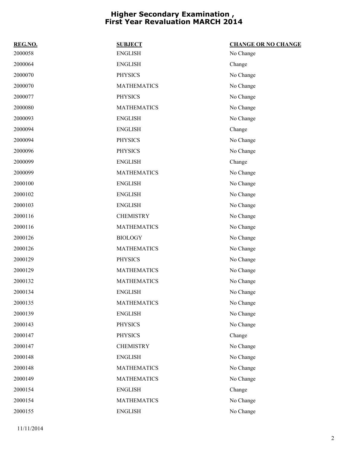| REG.NO. | <b>SUBJECT</b>     | <b>CHANGE OR NO CHANGE</b> |
|---------|--------------------|----------------------------|
| 2000058 | <b>ENGLISH</b>     | No Change                  |
| 2000064 | <b>ENGLISH</b>     | Change                     |
| 2000070 | <b>PHYSICS</b>     | No Change                  |
| 2000070 | <b>MATHEMATICS</b> | No Change                  |
| 2000077 | <b>PHYSICS</b>     | No Change                  |
| 2000080 | <b>MATHEMATICS</b> | No Change                  |
| 2000093 | <b>ENGLISH</b>     | No Change                  |
| 2000094 | <b>ENGLISH</b>     | Change                     |
| 2000094 | <b>PHYSICS</b>     | No Change                  |
| 2000096 | <b>PHYSICS</b>     | No Change                  |
| 2000099 | <b>ENGLISH</b>     | Change                     |
| 2000099 | <b>MATHEMATICS</b> | No Change                  |
| 2000100 | <b>ENGLISH</b>     | No Change                  |
| 2000102 | <b>ENGLISH</b>     | No Change                  |
| 2000103 | <b>ENGLISH</b>     | No Change                  |
| 2000116 | <b>CHEMISTRY</b>   | No Change                  |
| 2000116 | <b>MATHEMATICS</b> | No Change                  |
| 2000126 | <b>BIOLOGY</b>     | No Change                  |
| 2000126 | <b>MATHEMATICS</b> | No Change                  |
| 2000129 | <b>PHYSICS</b>     | No Change                  |
| 2000129 | <b>MATHEMATICS</b> | No Change                  |
| 2000132 | <b>MATHEMATICS</b> | No Change                  |
| 2000134 | <b>ENGLISH</b>     | No Change                  |
| 2000135 | <b>MATHEMATICS</b> | No Change                  |
| 2000139 | <b>ENGLISH</b>     | No Change                  |
| 2000143 | <b>PHYSICS</b>     | No Change                  |
| 2000147 | <b>PHYSICS</b>     | Change                     |
| 2000147 | <b>CHEMISTRY</b>   | No Change                  |
| 2000148 | <b>ENGLISH</b>     | No Change                  |
| 2000148 | <b>MATHEMATICS</b> | No Change                  |
| 2000149 | <b>MATHEMATICS</b> | No Change                  |
| 2000154 | <b>ENGLISH</b>     | Change                     |
| 2000154 | <b>MATHEMATICS</b> | No Change                  |
| 2000155 | <b>ENGLISH</b>     | No Change                  |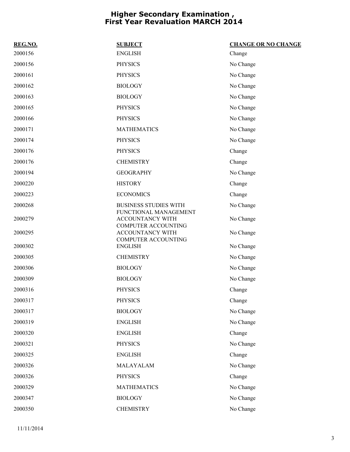| REG.NO. | <b>SUBJECT</b>                                                          | <b>CHANGE OR NO CHANGE</b> |
|---------|-------------------------------------------------------------------------|----------------------------|
| 2000156 | <b>ENGLISH</b>                                                          | Change                     |
| 2000156 | <b>PHYSICS</b>                                                          | No Change                  |
| 2000161 | <b>PHYSICS</b>                                                          | No Change                  |
| 2000162 | <b>BIOLOGY</b>                                                          | No Change                  |
| 2000163 | <b>BIOLOGY</b>                                                          | No Change                  |
| 2000165 | <b>PHYSICS</b>                                                          | No Change                  |
| 2000166 | <b>PHYSICS</b>                                                          | No Change                  |
| 2000171 | <b>MATHEMATICS</b>                                                      | No Change                  |
| 2000174 | <b>PHYSICS</b>                                                          | No Change                  |
| 2000176 | <b>PHYSICS</b>                                                          | Change                     |
| 2000176 | <b>CHEMISTRY</b>                                                        | Change                     |
| 2000194 | <b>GEOGRAPHY</b>                                                        | No Change                  |
| 2000220 | <b>HISTORY</b>                                                          | Change                     |
| 2000223 | <b>ECONOMICS</b>                                                        | Change                     |
| 2000268 | <b>BUSINESS STUDIES WITH</b>                                            | No Change                  |
| 2000279 | FUNCTIONAL MANAGEMENT<br>ACCOUNTANCY WITH<br><b>COMPUTER ACCOUNTING</b> | No Change                  |
| 2000295 | ACCOUNTANCY WITH<br><b>COMPUTER ACCOUNTING</b>                          | No Change                  |
| 2000302 | <b>ENGLISH</b>                                                          | No Change                  |
| 2000305 | <b>CHEMISTRY</b>                                                        | No Change                  |
| 2000306 | <b>BIOLOGY</b>                                                          | No Change                  |
| 2000309 | <b>BIOLOGY</b>                                                          | No Change                  |
| 2000316 | <b>PHYSICS</b>                                                          | Change                     |
| 2000317 | <b>PHYSICS</b>                                                          | Change                     |
| 2000317 | <b>BIOLOGY</b>                                                          | No Change                  |
| 2000319 | <b>ENGLISH</b>                                                          | No Change                  |
| 2000320 | <b>ENGLISH</b>                                                          | Change                     |
| 2000321 | <b>PHYSICS</b>                                                          | No Change                  |
| 2000325 | <b>ENGLISH</b>                                                          | Change                     |
| 2000326 | MALAYALAM                                                               | No Change                  |
| 2000326 | <b>PHYSICS</b>                                                          | Change                     |
| 2000329 | <b>MATHEMATICS</b>                                                      | No Change                  |
| 2000347 | <b>BIOLOGY</b>                                                          | No Change                  |
| 2000350 | <b>CHEMISTRY</b>                                                        | No Change                  |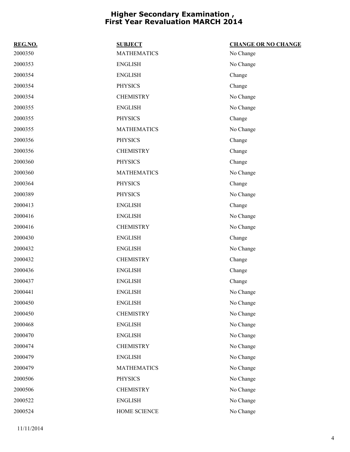| REG.NO. | <b>SUBJECT</b>     | <b>CHANGE OR NO CHANGE</b> |
|---------|--------------------|----------------------------|
| 2000350 | <b>MATHEMATICS</b> | No Change                  |
| 2000353 | <b>ENGLISH</b>     | No Change                  |
| 2000354 | <b>ENGLISH</b>     | Change                     |
| 2000354 | <b>PHYSICS</b>     | Change                     |
| 2000354 | <b>CHEMISTRY</b>   | No Change                  |
| 2000355 | <b>ENGLISH</b>     | No Change                  |
| 2000355 | <b>PHYSICS</b>     | Change                     |
| 2000355 | <b>MATHEMATICS</b> | No Change                  |
| 2000356 | <b>PHYSICS</b>     | Change                     |
| 2000356 | <b>CHEMISTRY</b>   | Change                     |
| 2000360 | <b>PHYSICS</b>     | Change                     |
| 2000360 | <b>MATHEMATICS</b> | No Change                  |
| 2000364 | <b>PHYSICS</b>     | Change                     |
| 2000389 | <b>PHYSICS</b>     | No Change                  |
| 2000413 | <b>ENGLISH</b>     | Change                     |
| 2000416 | <b>ENGLISH</b>     | No Change                  |
| 2000416 | <b>CHEMISTRY</b>   | No Change                  |
| 2000430 | <b>ENGLISH</b>     | Change                     |
| 2000432 | <b>ENGLISH</b>     | No Change                  |
| 2000432 | <b>CHEMISTRY</b>   | Change                     |
| 2000436 | <b>ENGLISH</b>     | Change                     |
| 2000437 | <b>ENGLISH</b>     | Change                     |
| 2000441 | <b>ENGLISH</b>     | No Change                  |
| 2000450 | <b>ENGLISH</b>     | No Change                  |
| 2000450 | <b>CHEMISTRY</b>   | No Change                  |
| 2000468 | <b>ENGLISH</b>     | No Change                  |
| 2000470 | <b>ENGLISH</b>     | No Change                  |
| 2000474 | <b>CHEMISTRY</b>   | No Change                  |
| 2000479 | <b>ENGLISH</b>     | No Change                  |
| 2000479 | <b>MATHEMATICS</b> | No Change                  |
| 2000506 | <b>PHYSICS</b>     | No Change                  |
| 2000506 | <b>CHEMISTRY</b>   | No Change                  |
| 2000522 | <b>ENGLISH</b>     | No Change                  |
| 2000524 | HOME SCIENCE       | No Change                  |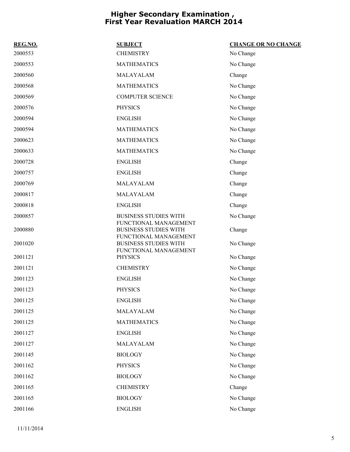| <b>REG.NO.</b> | <b>SUBJECT</b>                                        | <b>CHANGE OR NO CHANGE</b> |
|----------------|-------------------------------------------------------|----------------------------|
| 2000553        | <b>CHEMISTRY</b>                                      | No Change                  |
| 2000553        | <b>MATHEMATICS</b>                                    | No Change                  |
| 2000560        | MALAYALAM                                             | Change                     |
| 2000568        | <b>MATHEMATICS</b>                                    | No Change                  |
| 2000569        | <b>COMPUTER SCIENCE</b>                               | No Change                  |
| 2000576        | <b>PHYSICS</b>                                        | No Change                  |
| 2000594        | <b>ENGLISH</b>                                        | No Change                  |
| 2000594        | <b>MATHEMATICS</b>                                    | No Change                  |
| 2000623        | <b>MATHEMATICS</b>                                    | No Change                  |
| 2000633        | <b>MATHEMATICS</b>                                    | No Change                  |
| 2000728        | <b>ENGLISH</b>                                        | Change                     |
| 2000757        | <b>ENGLISH</b>                                        | Change                     |
| 2000769        | MALAYALAM                                             | Change                     |
| 2000817        | MALAYALAM                                             | Change                     |
| 2000818        | <b>ENGLISH</b>                                        | Change                     |
| 2000857        | <b>BUSINESS STUDIES WITH</b><br>FUNCTIONAL MANAGEMENT | No Change                  |
| 2000880        | <b>BUSINESS STUDIES WITH</b><br>FUNCTIONAL MANAGEMENT | Change                     |
| 2001020        | <b>BUSINESS STUDIES WITH</b><br>FUNCTIONAL MANAGEMENT | No Change                  |
| 2001121        | <b>PHYSICS</b>                                        | No Change                  |
| 2001121        | <b>CHEMISTRY</b>                                      | No Change                  |
| 2001123        | <b>ENGLISH</b>                                        | No Change                  |
| 2001123        | <b>PHYSICS</b>                                        | No Change                  |
| 2001125        | <b>ENGLISH</b>                                        | No Change                  |
| 2001125        | MALAYALAM                                             | No Change                  |
| 2001125        | <b>MATHEMATICS</b>                                    | No Change                  |
| 2001127        | <b>ENGLISH</b>                                        | No Change                  |
| 2001127        | MALAYALAM                                             | No Change                  |
| 2001145        | <b>BIOLOGY</b>                                        | No Change                  |
| 2001162        | <b>PHYSICS</b>                                        | No Change                  |
| 2001162        | <b>BIOLOGY</b>                                        | No Change                  |
| 2001165        | <b>CHEMISTRY</b>                                      | Change                     |
| 2001165        | <b>BIOLOGY</b>                                        | No Change                  |
| 2001166        | <b>ENGLISH</b>                                        | No Change                  |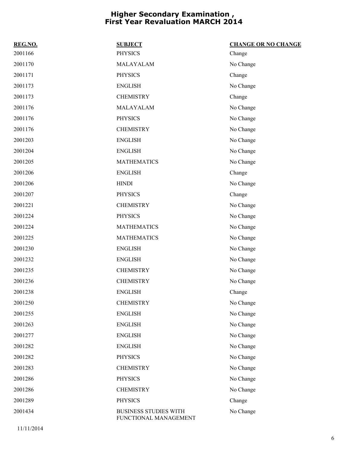| REG.NO. | <b>SUBJECT</b>                                        | <b>CHANGE OR NO CHANGE</b> |
|---------|-------------------------------------------------------|----------------------------|
| 2001166 | <b>PHYSICS</b>                                        | Change                     |
| 2001170 | MALAYALAM                                             | No Change                  |
| 2001171 | <b>PHYSICS</b>                                        | Change                     |
| 2001173 | <b>ENGLISH</b>                                        | No Change                  |
| 2001173 | <b>CHEMISTRY</b>                                      | Change                     |
| 2001176 | MALAYALAM                                             | No Change                  |
| 2001176 | <b>PHYSICS</b>                                        | No Change                  |
| 2001176 | <b>CHEMISTRY</b>                                      | No Change                  |
| 2001203 | <b>ENGLISH</b>                                        | No Change                  |
| 2001204 | <b>ENGLISH</b>                                        | No Change                  |
| 2001205 | <b>MATHEMATICS</b>                                    | No Change                  |
| 2001206 | <b>ENGLISH</b>                                        | Change                     |
| 2001206 | <b>HINDI</b>                                          | No Change                  |
| 2001207 | <b>PHYSICS</b>                                        | Change                     |
| 2001221 | <b>CHEMISTRY</b>                                      | No Change                  |
| 2001224 | <b>PHYSICS</b>                                        | No Change                  |
| 2001224 | <b>MATHEMATICS</b>                                    | No Change                  |
| 2001225 | <b>MATHEMATICS</b>                                    | No Change                  |
| 2001230 | <b>ENGLISH</b>                                        | No Change                  |
| 2001232 | <b>ENGLISH</b>                                        | No Change                  |
| 2001235 | <b>CHEMISTRY</b>                                      | No Change                  |
| 2001236 | <b>CHEMISTRY</b>                                      | No Change                  |
| 2001238 | <b>ENGLISH</b>                                        | Change                     |
| 2001250 | <b>CHEMISTRY</b>                                      | No Change                  |
| 2001255 | <b>ENGLISH</b>                                        | No Change                  |
| 2001263 | <b>ENGLISH</b>                                        | No Change                  |
| 2001277 | <b>ENGLISH</b>                                        | No Change                  |
| 2001282 | <b>ENGLISH</b>                                        | No Change                  |
| 2001282 | <b>PHYSICS</b>                                        | No Change                  |
| 2001283 | <b>CHEMISTRY</b>                                      | No Change                  |
| 2001286 | <b>PHYSICS</b>                                        | No Change                  |
| 2001286 | <b>CHEMISTRY</b>                                      | No Change                  |
| 2001289 | <b>PHYSICS</b>                                        | Change                     |
| 2001434 | <b>BUSINESS STUDIES WITH</b><br>FUNCTIONAL MANAGEMENT | No Change                  |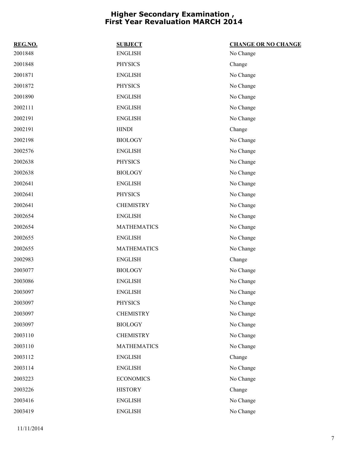| REG.NO. | <b>SUBJECT</b>     | <b>CHANGE OR NO CHANGE</b> |
|---------|--------------------|----------------------------|
| 2001848 | <b>ENGLISH</b>     | No Change                  |
| 2001848 | <b>PHYSICS</b>     | Change                     |
| 2001871 | <b>ENGLISH</b>     | No Change                  |
| 2001872 | <b>PHYSICS</b>     | No Change                  |
| 2001890 | <b>ENGLISH</b>     | No Change                  |
| 2002111 | <b>ENGLISH</b>     | No Change                  |
| 2002191 | <b>ENGLISH</b>     | No Change                  |
| 2002191 | <b>HINDI</b>       | Change                     |
| 2002198 | <b>BIOLOGY</b>     | No Change                  |
| 2002576 | <b>ENGLISH</b>     | No Change                  |
| 2002638 | <b>PHYSICS</b>     | No Change                  |
| 2002638 | <b>BIOLOGY</b>     | No Change                  |
| 2002641 | <b>ENGLISH</b>     | No Change                  |
| 2002641 | <b>PHYSICS</b>     | No Change                  |
| 2002641 | <b>CHEMISTRY</b>   | No Change                  |
| 2002654 | <b>ENGLISH</b>     | No Change                  |
| 2002654 | <b>MATHEMATICS</b> | No Change                  |
| 2002655 | <b>ENGLISH</b>     | No Change                  |
| 2002655 | <b>MATHEMATICS</b> | No Change                  |
| 2002983 | <b>ENGLISH</b>     | Change                     |
| 2003077 | <b>BIOLOGY</b>     | No Change                  |
| 2003086 | <b>ENGLISH</b>     | No Change                  |
| 2003097 | <b>ENGLISH</b>     | No Change                  |
| 2003097 | <b>PHYSICS</b>     | No Change                  |
| 2003097 | <b>CHEMISTRY</b>   | No Change                  |
| 2003097 | <b>BIOLOGY</b>     | No Change                  |
| 2003110 | <b>CHEMISTRY</b>   | No Change                  |
| 2003110 | <b>MATHEMATICS</b> | No Change                  |
| 2003112 | <b>ENGLISH</b>     | Change                     |
| 2003114 | <b>ENGLISH</b>     | No Change                  |
| 2003223 | <b>ECONOMICS</b>   | No Change                  |
| 2003226 | <b>HISTORY</b>     | Change                     |
| 2003416 | <b>ENGLISH</b>     | No Change                  |
| 2003419 | <b>ENGLISH</b>     | No Change                  |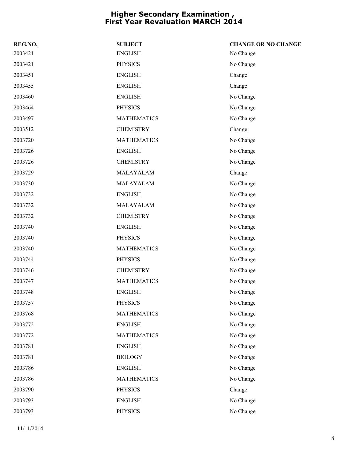| REG.NO. | <b>SUBJECT</b>     | <b>CHANGE OR NO CHANGE</b> |
|---------|--------------------|----------------------------|
| 2003421 | <b>ENGLISH</b>     | No Change                  |
| 2003421 | <b>PHYSICS</b>     | No Change                  |
| 2003451 | <b>ENGLISH</b>     | Change                     |
| 2003455 | <b>ENGLISH</b>     | Change                     |
| 2003460 | <b>ENGLISH</b>     | No Change                  |
| 2003464 | <b>PHYSICS</b>     | No Change                  |
| 2003497 | <b>MATHEMATICS</b> | No Change                  |
| 2003512 | <b>CHEMISTRY</b>   | Change                     |
| 2003720 | <b>MATHEMATICS</b> | No Change                  |
| 2003726 | <b>ENGLISH</b>     | No Change                  |
| 2003726 | <b>CHEMISTRY</b>   | No Change                  |
| 2003729 | MALAYALAM          | Change                     |
| 2003730 | MALAYALAM          | No Change                  |
| 2003732 | <b>ENGLISH</b>     | No Change                  |
| 2003732 | MALAYALAM          | No Change                  |
| 2003732 | <b>CHEMISTRY</b>   | No Change                  |
| 2003740 | <b>ENGLISH</b>     | No Change                  |
| 2003740 | <b>PHYSICS</b>     | No Change                  |
| 2003740 | <b>MATHEMATICS</b> | No Change                  |
| 2003744 | <b>PHYSICS</b>     | No Change                  |
| 2003746 | <b>CHEMISTRY</b>   | No Change                  |
| 2003747 | <b>MATHEMATICS</b> | No Change                  |
| 2003748 | <b>ENGLISH</b>     | No Change                  |
| 2003757 | <b>PHYSICS</b>     | No Change                  |
| 2003768 | <b>MATHEMATICS</b> | No Change                  |
| 2003772 | <b>ENGLISH</b>     | No Change                  |
| 2003772 | <b>MATHEMATICS</b> | No Change                  |
| 2003781 | <b>ENGLISH</b>     | No Change                  |
| 2003781 | <b>BIOLOGY</b>     | No Change                  |
| 2003786 | <b>ENGLISH</b>     | No Change                  |
| 2003786 | <b>MATHEMATICS</b> | No Change                  |
| 2003790 | <b>PHYSICS</b>     | Change                     |
| 2003793 | <b>ENGLISH</b>     | No Change                  |
| 2003793 | <b>PHYSICS</b>     | No Change                  |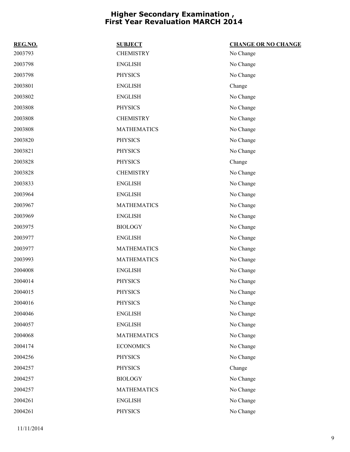| REG.NO. | <b>SUBJECT</b>     | <b>CHANGE OR NO CHANGE</b> |
|---------|--------------------|----------------------------|
| 2003793 | <b>CHEMISTRY</b>   | No Change                  |
| 2003798 | <b>ENGLISH</b>     | No Change                  |
| 2003798 | <b>PHYSICS</b>     | No Change                  |
| 2003801 | <b>ENGLISH</b>     | Change                     |
| 2003802 | <b>ENGLISH</b>     | No Change                  |
| 2003808 | <b>PHYSICS</b>     | No Change                  |
| 2003808 | <b>CHEMISTRY</b>   | No Change                  |
| 2003808 | <b>MATHEMATICS</b> | No Change                  |
| 2003820 | <b>PHYSICS</b>     | No Change                  |
| 2003821 | <b>PHYSICS</b>     | No Change                  |
| 2003828 | <b>PHYSICS</b>     | Change                     |
| 2003828 | <b>CHEMISTRY</b>   | No Change                  |
| 2003833 | <b>ENGLISH</b>     | No Change                  |
| 2003964 | <b>ENGLISH</b>     | No Change                  |
| 2003967 | <b>MATHEMATICS</b> | No Change                  |
| 2003969 | <b>ENGLISH</b>     | No Change                  |
| 2003975 | <b>BIOLOGY</b>     | No Change                  |
| 2003977 | <b>ENGLISH</b>     | No Change                  |
| 2003977 | <b>MATHEMATICS</b> | No Change                  |
| 2003993 | <b>MATHEMATICS</b> | No Change                  |
| 2004008 | <b>ENGLISH</b>     | No Change                  |
| 2004014 | <b>PHYSICS</b>     | No Change                  |
| 2004015 | <b>PHYSICS</b>     | No Change                  |
| 2004016 | <b>PHYSICS</b>     | No Change                  |
| 2004046 | <b>ENGLISH</b>     | No Change                  |
| 2004057 | <b>ENGLISH</b>     | No Change                  |
| 2004068 | <b>MATHEMATICS</b> | No Change                  |
| 2004174 | <b>ECONOMICS</b>   | No Change                  |
| 2004256 | <b>PHYSICS</b>     | No Change                  |
| 2004257 | <b>PHYSICS</b>     | Change                     |
| 2004257 | <b>BIOLOGY</b>     | No Change                  |
| 2004257 | <b>MATHEMATICS</b> | No Change                  |
| 2004261 | <b>ENGLISH</b>     | No Change                  |
| 2004261 | <b>PHYSICS</b>     | No Change                  |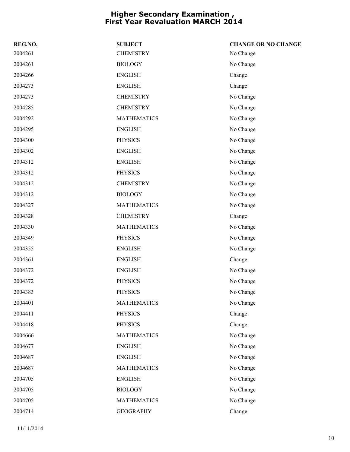| REG.NO. | <b>SUBJECT</b>     | <b>CHANGE OR NO CHANGE</b> |
|---------|--------------------|----------------------------|
| 2004261 | <b>CHEMISTRY</b>   | No Change                  |
| 2004261 | <b>BIOLOGY</b>     | No Change                  |
| 2004266 | <b>ENGLISH</b>     | Change                     |
| 2004273 | <b>ENGLISH</b>     | Change                     |
| 2004273 | <b>CHEMISTRY</b>   | No Change                  |
| 2004285 | <b>CHEMISTRY</b>   | No Change                  |
| 2004292 | <b>MATHEMATICS</b> | No Change                  |
| 2004295 | <b>ENGLISH</b>     | No Change                  |
| 2004300 | <b>PHYSICS</b>     | No Change                  |
| 2004302 | <b>ENGLISH</b>     | No Change                  |
| 2004312 | <b>ENGLISH</b>     | No Change                  |
| 2004312 | <b>PHYSICS</b>     | No Change                  |
| 2004312 | <b>CHEMISTRY</b>   | No Change                  |
| 2004312 | <b>BIOLOGY</b>     | No Change                  |
| 2004327 | <b>MATHEMATICS</b> | No Change                  |
| 2004328 | <b>CHEMISTRY</b>   | Change                     |
| 2004330 | <b>MATHEMATICS</b> | No Change                  |
| 2004349 | <b>PHYSICS</b>     | No Change                  |
| 2004355 | <b>ENGLISH</b>     | No Change                  |
| 2004361 | <b>ENGLISH</b>     | Change                     |
| 2004372 | <b>ENGLISH</b>     | No Change                  |
| 2004372 | <b>PHYSICS</b>     | No Change                  |
| 2004383 | <b>PHYSICS</b>     | No Change                  |
| 2004401 | <b>MATHEMATICS</b> | No Change                  |
| 2004411 | <b>PHYSICS</b>     | Change                     |
| 2004418 | <b>PHYSICS</b>     | Change                     |
| 2004666 | <b>MATHEMATICS</b> | No Change                  |
| 2004677 | <b>ENGLISH</b>     | No Change                  |
| 2004687 | <b>ENGLISH</b>     | No Change                  |
| 2004687 | <b>MATHEMATICS</b> | No Change                  |
| 2004705 | <b>ENGLISH</b>     | No Change                  |
| 2004705 | <b>BIOLOGY</b>     | No Change                  |
| 2004705 | <b>MATHEMATICS</b> | No Change                  |
| 2004714 | <b>GEOGRAPHY</b>   | Change                     |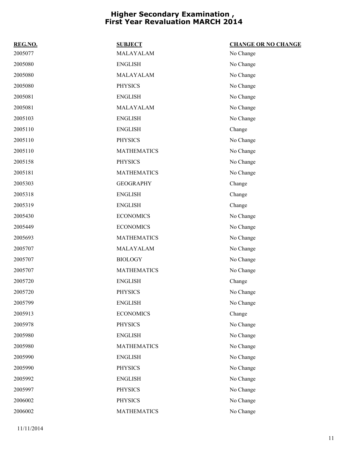| REG.NO. | <b>SUBJECT</b>     | <b>CHANGE OR NO CHANGE</b> |
|---------|--------------------|----------------------------|
| 2005077 | MALAYALAM          | No Change                  |
| 2005080 | <b>ENGLISH</b>     | No Change                  |
| 2005080 | MALAYALAM          | No Change                  |
| 2005080 | <b>PHYSICS</b>     | No Change                  |
| 2005081 | <b>ENGLISH</b>     | No Change                  |
| 2005081 | MALAYALAM          | No Change                  |
| 2005103 | <b>ENGLISH</b>     | No Change                  |
| 2005110 | <b>ENGLISH</b>     | Change                     |
| 2005110 | <b>PHYSICS</b>     | No Change                  |
| 2005110 | <b>MATHEMATICS</b> | No Change                  |
| 2005158 | <b>PHYSICS</b>     | No Change                  |
| 2005181 | <b>MATHEMATICS</b> | No Change                  |
| 2005303 | <b>GEOGRAPHY</b>   | Change                     |
| 2005318 | <b>ENGLISH</b>     | Change                     |
| 2005319 | <b>ENGLISH</b>     | Change                     |
| 2005430 | <b>ECONOMICS</b>   | No Change                  |
| 2005449 | <b>ECONOMICS</b>   | No Change                  |
| 2005693 | <b>MATHEMATICS</b> | No Change                  |
| 2005707 | MALAYALAM          | No Change                  |
| 2005707 | <b>BIOLOGY</b>     | No Change                  |
| 2005707 | <b>MATHEMATICS</b> | No Change                  |
| 2005720 | <b>ENGLISH</b>     | Change                     |
| 2005720 | <b>PHYSICS</b>     | No Change                  |
| 2005799 | <b>ENGLISH</b>     | No Change                  |
| 2005913 | <b>ECONOMICS</b>   | Change                     |
| 2005978 | <b>PHYSICS</b>     | No Change                  |
| 2005980 | <b>ENGLISH</b>     | No Change                  |
| 2005980 | <b>MATHEMATICS</b> | No Change                  |
| 2005990 | <b>ENGLISH</b>     | No Change                  |
| 2005990 | <b>PHYSICS</b>     | No Change                  |
| 2005992 | <b>ENGLISH</b>     | No Change                  |
| 2005997 | <b>PHYSICS</b>     | No Change                  |
| 2006002 | <b>PHYSICS</b>     | No Change                  |
| 2006002 | <b>MATHEMATICS</b> | No Change                  |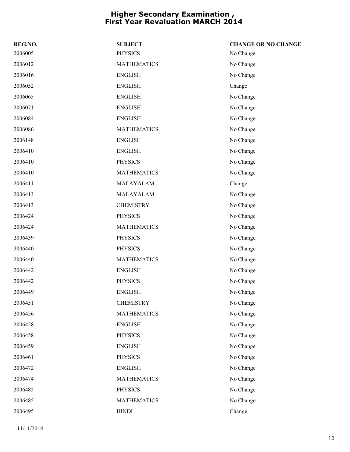| REG.NO. | <b>SUBJECT</b>     | <b>CHANGE OR NO CHANGE</b> |
|---------|--------------------|----------------------------|
| 2006005 | <b>PHYSICS</b>     | No Change                  |
| 2006012 | <b>MATHEMATICS</b> | No Change                  |
| 2006016 | <b>ENGLISH</b>     | No Change                  |
| 2006052 | <b>ENGLISH</b>     | Change                     |
| 2006065 | <b>ENGLISH</b>     | No Change                  |
| 2006071 | <b>ENGLISH</b>     | No Change                  |
| 2006084 | <b>ENGLISH</b>     | No Change                  |
| 2006086 | <b>MATHEMATICS</b> | No Change                  |
| 2006148 | <b>ENGLISH</b>     | No Change                  |
| 2006410 | <b>ENGLISH</b>     | No Change                  |
| 2006410 | <b>PHYSICS</b>     | No Change                  |
| 2006410 | <b>MATHEMATICS</b> | No Change                  |
| 2006411 | MALAYALAM          | Change                     |
| 2006413 | MALAYALAM          | No Change                  |
| 2006413 | <b>CHEMISTRY</b>   | No Change                  |
| 2006424 | <b>PHYSICS</b>     | No Change                  |
| 2006424 | <b>MATHEMATICS</b> | No Change                  |
| 2006439 | <b>PHYSICS</b>     | No Change                  |
| 2006440 | <b>PHYSICS</b>     | No Change                  |
| 2006440 | <b>MATHEMATICS</b> | No Change                  |
| 2006442 | <b>ENGLISH</b>     | No Change                  |
| 2006442 | <b>PHYSICS</b>     | No Change                  |
| 2006449 | <b>ENGLISH</b>     | No Change                  |
| 2006451 | <b>CHEMISTRY</b>   | No Change                  |
| 2006456 | <b>MATHEMATICS</b> | No Change                  |
| 2006458 | <b>ENGLISH</b>     | No Change                  |
| 2006458 | <b>PHYSICS</b>     | No Change                  |
| 2006459 | <b>ENGLISH</b>     | No Change                  |
| 2006461 | <b>PHYSICS</b>     | No Change                  |
| 2006472 | <b>ENGLISH</b>     | No Change                  |
| 2006474 | <b>MATHEMATICS</b> | No Change                  |
| 2006485 | <b>PHYSICS</b>     | No Change                  |
| 2006485 | <b>MATHEMATICS</b> | No Change                  |
| 2006495 | <b>HINDI</b>       | Change                     |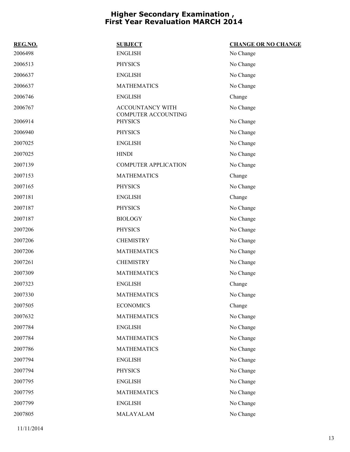| REG.NO. | <b>SUBJECT</b>                                        | <b>CHANGE OR NO CHANGE</b> |
|---------|-------------------------------------------------------|----------------------------|
| 2006498 | <b>ENGLISH</b>                                        | No Change                  |
| 2006513 | <b>PHYSICS</b>                                        | No Change                  |
| 2006637 | <b>ENGLISH</b>                                        | No Change                  |
| 2006637 | <b>MATHEMATICS</b>                                    | No Change                  |
| 2006746 | <b>ENGLISH</b>                                        | Change                     |
| 2006767 | <b>ACCOUNTANCY WITH</b><br><b>COMPUTER ACCOUNTING</b> | No Change                  |
| 2006914 | <b>PHYSICS</b>                                        | No Change                  |
| 2006940 | <b>PHYSICS</b>                                        | No Change                  |
| 2007025 | <b>ENGLISH</b>                                        | No Change                  |
| 2007025 | <b>HINDI</b>                                          | No Change                  |
| 2007139 | <b>COMPUTER APPLICATION</b>                           | No Change                  |
| 2007153 | <b>MATHEMATICS</b>                                    | Change                     |
| 2007165 | <b>PHYSICS</b>                                        | No Change                  |
| 2007181 | <b>ENGLISH</b>                                        | Change                     |
| 2007187 | <b>PHYSICS</b>                                        | No Change                  |
| 2007187 | <b>BIOLOGY</b>                                        | No Change                  |
| 2007206 | <b>PHYSICS</b>                                        | No Change                  |
| 2007206 | <b>CHEMISTRY</b>                                      | No Change                  |
| 2007206 | <b>MATHEMATICS</b>                                    | No Change                  |
| 2007261 | <b>CHEMISTRY</b>                                      | No Change                  |
| 2007309 | <b>MATHEMATICS</b>                                    | No Change                  |
| 2007323 | <b>ENGLISH</b>                                        | Change                     |
| 2007330 | <b>MATHEMATICS</b>                                    | No Change                  |
| 2007505 | <b>ECONOMICS</b>                                      | Change                     |
| 2007632 | <b>MATHEMATICS</b>                                    | No Change                  |
| 2007784 | <b>ENGLISH</b>                                        | No Change                  |
| 2007784 | <b>MATHEMATICS</b>                                    | No Change                  |
| 2007786 | <b>MATHEMATICS</b>                                    | No Change                  |
| 2007794 | <b>ENGLISH</b>                                        | No Change                  |
| 2007794 | <b>PHYSICS</b>                                        | No Change                  |
| 2007795 | <b>ENGLISH</b>                                        | No Change                  |
| 2007795 | <b>MATHEMATICS</b>                                    | No Change                  |
| 2007799 | <b>ENGLISH</b>                                        | No Change                  |
| 2007805 | MALAYALAM                                             | No Change                  |
|         |                                                       |                            |

11/11/2014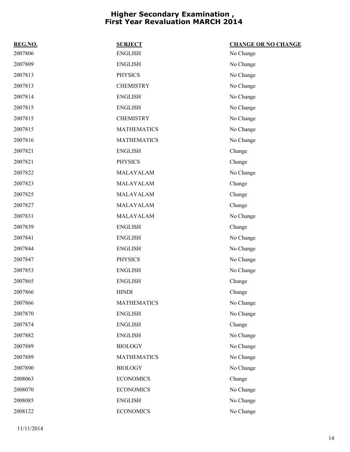| REG.NO. | <b>SUBJECT</b>     | <b>CHANGE OR NO CHANGE</b> |
|---------|--------------------|----------------------------|
| 2007806 | ${\rm ENGLISH}$    | No Change                  |
| 2007809 | <b>ENGLISH</b>     | No Change                  |
| 2007813 | <b>PHYSICS</b>     | No Change                  |
| 2007813 | <b>CHEMISTRY</b>   | No Change                  |
| 2007814 | <b>ENGLISH</b>     | No Change                  |
| 2007815 | <b>ENGLISH</b>     | No Change                  |
| 2007815 | <b>CHEMISTRY</b>   | No Change                  |
| 2007815 | <b>MATHEMATICS</b> | No Change                  |
| 2007816 | <b>MATHEMATICS</b> | No Change                  |
| 2007821 | <b>ENGLISH</b>     | Change                     |
| 2007821 | <b>PHYSICS</b>     | Change                     |
| 2007822 | MALAYALAM          | No Change                  |
| 2007823 | MALAYALAM          | Change                     |
| 2007825 | MALAYALAM          | Change                     |
| 2007827 | MALAYALAM          | Change                     |
| 2007831 | MALAYALAM          | No Change                  |
| 2007839 | <b>ENGLISH</b>     | Change                     |
| 2007841 | <b>ENGLISH</b>     | No Change                  |
| 2007844 | <b>ENGLISH</b>     | No Change                  |
| 2007847 | <b>PHYSICS</b>     | No Change                  |
| 2007853 | <b>ENGLISH</b>     | No Change                  |
| 2007865 | <b>ENGLISH</b>     | Change                     |
| 2007866 | <b>HINDI</b>       | Change                     |
| 2007866 | <b>MATHEMATICS</b> | No Change                  |
| 2007870 | <b>ENGLISH</b>     | No Change                  |
| 2007874 | <b>ENGLISH</b>     | Change                     |
| 2007882 | <b>ENGLISH</b>     | No Change                  |
| 2007889 | <b>BIOLOGY</b>     | No Change                  |
| 2007889 | <b>MATHEMATICS</b> | No Change                  |
| 2007890 | <b>BIOLOGY</b>     | No Change                  |
| 2008063 | <b>ECONOMICS</b>   | Change                     |
| 2008070 | <b>ECONOMICS</b>   | No Change                  |
| 2008085 | <b>ENGLISH</b>     | No Change                  |
| 2008122 | <b>ECONOMICS</b>   | No Change                  |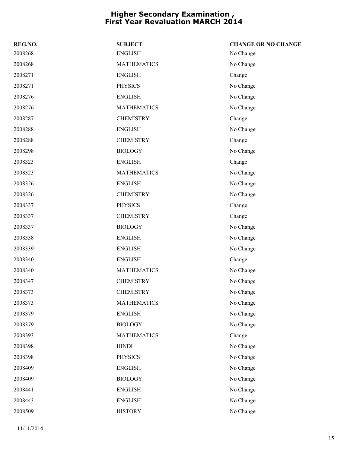| REG.NO. | <b>SUBJECT</b>     | <b>CHANGE OR NO CHANGE</b> |
|---------|--------------------|----------------------------|
| 2008268 | <b>ENGLISH</b>     | No Change                  |
| 2008268 | <b>MATHEMATICS</b> | No Change                  |
| 2008271 | <b>ENGLISH</b>     | Change                     |
| 2008271 | <b>PHYSICS</b>     | No Change                  |
| 2008276 | <b>ENGLISH</b>     | No Change                  |
| 2008276 | <b>MATHEMATICS</b> | No Change                  |
| 2008287 | <b>CHEMISTRY</b>   | Change                     |
| 2008288 | <b>ENGLISH</b>     | No Change                  |
| 2008288 | <b>CHEMISTRY</b>   | Change                     |
| 2008298 | <b>BIOLOGY</b>     | No Change                  |
| 2008323 | <b>ENGLISH</b>     | Change                     |
| 2008323 | <b>MATHEMATICS</b> | No Change                  |
| 2008326 | <b>ENGLISH</b>     | No Change                  |
| 2008326 | <b>CHEMISTRY</b>   | No Change                  |
| 2008337 | <b>PHYSICS</b>     | Change                     |
| 2008337 | <b>CHEMISTRY</b>   | Change                     |
| 2008337 | <b>BIOLOGY</b>     | No Change                  |
| 2008338 | <b>ENGLISH</b>     | No Change                  |
| 2008339 | <b>ENGLISH</b>     | No Change                  |
| 2008340 | <b>ENGLISH</b>     | Change                     |
| 2008340 | <b>MATHEMATICS</b> | No Change                  |
| 2008347 | <b>CHEMISTRY</b>   | No Change                  |
| 2008373 | <b>CHEMISTRY</b>   | No Change                  |
| 2008373 | <b>MATHEMATICS</b> | No Change                  |
| 2008379 | <b>ENGLISH</b>     | No Change                  |
| 2008379 | <b>BIOLOGY</b>     | No Change                  |
| 2008393 | <b>MATHEMATICS</b> | Change                     |
| 2008398 | <b>HINDI</b>       | No Change                  |
| 2008398 | <b>PHYSICS</b>     | No Change                  |
| 2008409 | <b>ENGLISH</b>     | No Change                  |
| 2008409 | <b>BIOLOGY</b>     | No Change                  |
| 2008441 | <b>ENGLISH</b>     | No Change                  |
| 2008443 | <b>ENGLISH</b>     | No Change                  |
| 2008509 | <b>HISTORY</b>     | No Change                  |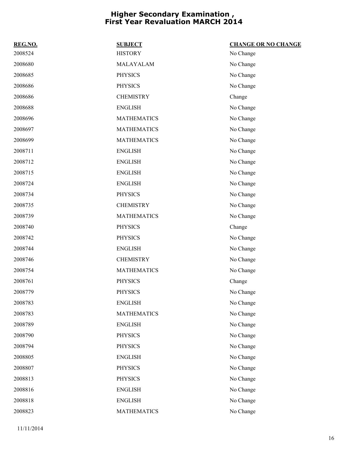| REG.NO. | <b>SUBJECT</b>     | <b>CHANGE OR NO CHANGE</b> |
|---------|--------------------|----------------------------|
| 2008524 | <b>HISTORY</b>     | No Change                  |
| 2008680 | MALAYALAM          | No Change                  |
| 2008685 | <b>PHYSICS</b>     | No Change                  |
| 2008686 | <b>PHYSICS</b>     | No Change                  |
| 2008686 | <b>CHEMISTRY</b>   | Change                     |
| 2008688 | <b>ENGLISH</b>     | No Change                  |
| 2008696 | <b>MATHEMATICS</b> | No Change                  |
| 2008697 | <b>MATHEMATICS</b> | No Change                  |
| 2008699 | <b>MATHEMATICS</b> | No Change                  |
| 2008711 | <b>ENGLISH</b>     | No Change                  |
| 2008712 | <b>ENGLISH</b>     | No Change                  |
| 2008715 | <b>ENGLISH</b>     | No Change                  |
| 2008724 | <b>ENGLISH</b>     | No Change                  |
| 2008734 | <b>PHYSICS</b>     | No Change                  |
| 2008735 | <b>CHEMISTRY</b>   | No Change                  |
| 2008739 | <b>MATHEMATICS</b> | No Change                  |
| 2008740 | <b>PHYSICS</b>     | Change                     |
| 2008742 | <b>PHYSICS</b>     | No Change                  |
| 2008744 | <b>ENGLISH</b>     | No Change                  |
| 2008746 | <b>CHEMISTRY</b>   | No Change                  |
| 2008754 | <b>MATHEMATICS</b> | No Change                  |
| 2008761 | <b>PHYSICS</b>     | Change                     |
| 2008779 | <b>PHYSICS</b>     | No Change                  |
| 2008783 | <b>ENGLISH</b>     | No Change                  |
| 2008783 | <b>MATHEMATICS</b> | No Change                  |
| 2008789 | <b>ENGLISH</b>     | No Change                  |
| 2008790 | <b>PHYSICS</b>     | No Change                  |
| 2008794 | <b>PHYSICS</b>     | No Change                  |
| 2008805 | <b>ENGLISH</b>     | No Change                  |
| 2008807 | <b>PHYSICS</b>     | No Change                  |
| 2008813 | <b>PHYSICS</b>     | No Change                  |
| 2008816 | <b>ENGLISH</b>     | No Change                  |
| 2008818 | <b>ENGLISH</b>     | No Change                  |
| 2008823 | <b>MATHEMATICS</b> | No Change                  |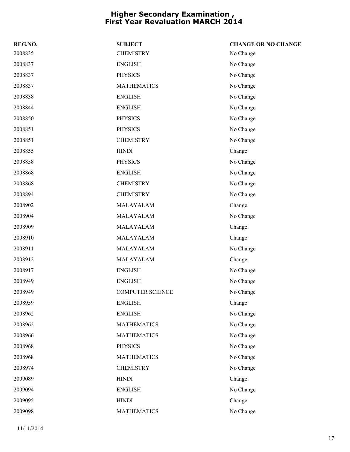| REG.NO. | <b>SUBJECT</b>          | <b>CHANGE OR NO CHANGE</b> |
|---------|-------------------------|----------------------------|
| 2008835 | <b>CHEMISTRY</b>        | No Change                  |
| 2008837 | <b>ENGLISH</b>          | No Change                  |
| 2008837 | <b>PHYSICS</b>          | No Change                  |
| 2008837 | <b>MATHEMATICS</b>      | No Change                  |
| 2008838 | <b>ENGLISH</b>          | No Change                  |
| 2008844 | <b>ENGLISH</b>          | No Change                  |
| 2008850 | <b>PHYSICS</b>          | No Change                  |
| 2008851 | <b>PHYSICS</b>          | No Change                  |
| 2008851 | <b>CHEMISTRY</b>        | No Change                  |
| 2008855 | <b>HINDI</b>            | Change                     |
| 2008858 | <b>PHYSICS</b>          | No Change                  |
| 2008868 | <b>ENGLISH</b>          | No Change                  |
| 2008868 | <b>CHEMISTRY</b>        | No Change                  |
| 2008894 | <b>CHEMISTRY</b>        | No Change                  |
| 2008902 | MALAYALAM               | Change                     |
| 2008904 | MALAYALAM               | No Change                  |
| 2008909 | MALAYALAM               | Change                     |
| 2008910 | MALAYALAM               | Change                     |
| 2008911 | MALAYALAM               | No Change                  |
| 2008912 | MALAYALAM               | Change                     |
| 2008917 | <b>ENGLISH</b>          | No Change                  |
| 2008949 | <b>ENGLISH</b>          | No Change                  |
| 2008949 | <b>COMPUTER SCIENCE</b> | No Change                  |
| 2008959 | <b>ENGLISH</b>          | Change                     |
| 2008962 | <b>ENGLISH</b>          | No Change                  |
| 2008962 | <b>MATHEMATICS</b>      | No Change                  |
| 2008966 | <b>MATHEMATICS</b>      | No Change                  |
| 2008968 | <b>PHYSICS</b>          | No Change                  |
| 2008968 | <b>MATHEMATICS</b>      | No Change                  |
| 2008974 | <b>CHEMISTRY</b>        | No Change                  |
| 2009089 | <b>HINDI</b>            | Change                     |
| 2009094 | <b>ENGLISH</b>          | No Change                  |
| 2009095 | <b>HINDI</b>            | Change                     |
| 2009098 | <b>MATHEMATICS</b>      | No Change                  |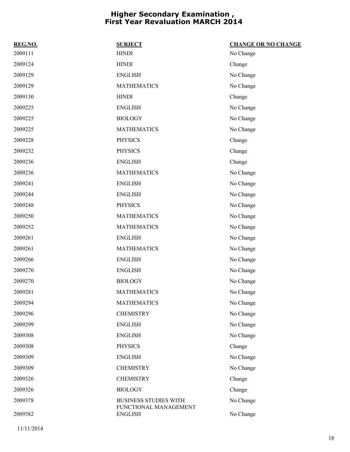| REG.NO. | <b>SUBJECT</b>                                        | <b>CHANGE OR NO CHANGE</b> |
|---------|-------------------------------------------------------|----------------------------|
| 2009111 | <b>HINDI</b>                                          | No Change                  |
| 2009124 | <b>HINDI</b>                                          | Change                     |
| 2009129 | <b>ENGLISH</b>                                        | No Change                  |
| 2009129 | <b>MATHEMATICS</b>                                    | No Change                  |
| 2009130 | <b>HINDI</b>                                          | Change                     |
| 2009225 | <b>ENGLISH</b>                                        | No Change                  |
| 2009225 | <b>BIOLOGY</b>                                        | No Change                  |
| 2009225 | <b>MATHEMATICS</b>                                    | No Change                  |
| 2009228 | <b>PHYSICS</b>                                        | Change                     |
| 2009232 | <b>PHYSICS</b>                                        | Change                     |
| 2009236 | <b>ENGLISH</b>                                        | Change                     |
| 2009236 | <b>MATHEMATICS</b>                                    | No Change                  |
| 2009241 | <b>ENGLISH</b>                                        | No Change                  |
| 2009244 | <b>ENGLISH</b>                                        | No Change                  |
| 2009248 | <b>PHYSICS</b>                                        | No Change                  |
| 2009250 | <b>MATHEMATICS</b>                                    | No Change                  |
| 2009252 | <b>MATHEMATICS</b>                                    | No Change                  |
| 2009261 | <b>ENGLISH</b>                                        | No Change                  |
| 2009261 | <b>MATHEMATICS</b>                                    | No Change                  |
| 2009266 | <b>ENGLISH</b>                                        | No Change                  |
| 2009270 | <b>ENGLISH</b>                                        | No Change                  |
| 2009270 | <b>BIOLOGY</b>                                        | No Change                  |
| 2009281 | <b>MATHEMATICS</b>                                    | No Change                  |
| 2009294 | <b>MATHEMATICS</b>                                    | No Change                  |
| 2009296 | <b>CHEMISTRY</b>                                      | No Change                  |
| 2009299 | <b>ENGLISH</b>                                        | No Change                  |
| 2009308 | <b>ENGLISH</b>                                        | No Change                  |
| 2009308 | <b>PHYSICS</b>                                        | Change                     |
| 2009309 | <b>ENGLISH</b>                                        | No Change                  |
| 2009309 | <b>CHEMISTRY</b>                                      | No Change                  |
| 2009326 | <b>CHEMISTRY</b>                                      | Change                     |
| 2009326 | <b>BIOLOGY</b>                                        | Change                     |
| 2009378 | <b>BUSINESS STUDIES WITH</b><br>FUNCTIONAL MANAGEMENT | No Change                  |
| 2009382 | <b>ENGLISH</b>                                        | No Change                  |

11/11/2014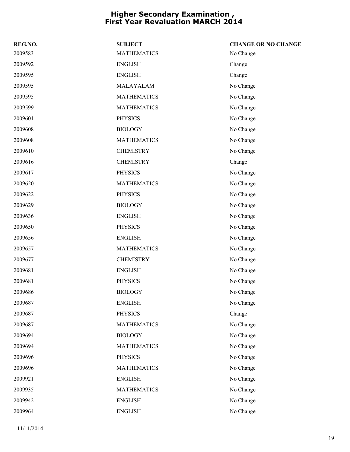| REG.NO. | <b>SUBJECT</b>     | <b>CHANGE OR NO CHANGE</b> |
|---------|--------------------|----------------------------|
| 2009583 | <b>MATHEMATICS</b> | No Change                  |
| 2009592 | <b>ENGLISH</b>     | Change                     |
| 2009595 | <b>ENGLISH</b>     | Change                     |
| 2009595 | MALAYALAM          | No Change                  |
| 2009595 | <b>MATHEMATICS</b> | No Change                  |
| 2009599 | <b>MATHEMATICS</b> | No Change                  |
| 2009601 | <b>PHYSICS</b>     | No Change                  |
| 2009608 | <b>BIOLOGY</b>     | No Change                  |
| 2009608 | <b>MATHEMATICS</b> | No Change                  |
| 2009610 | <b>CHEMISTRY</b>   | No Change                  |
| 2009616 | <b>CHEMISTRY</b>   | Change                     |
| 2009617 | <b>PHYSICS</b>     | No Change                  |
| 2009620 | <b>MATHEMATICS</b> | No Change                  |
| 2009622 | <b>PHYSICS</b>     | No Change                  |
| 2009629 | <b>BIOLOGY</b>     | No Change                  |
| 2009636 | <b>ENGLISH</b>     | No Change                  |
| 2009650 | <b>PHYSICS</b>     | No Change                  |
| 2009656 | <b>ENGLISH</b>     | No Change                  |
| 2009657 | <b>MATHEMATICS</b> | No Change                  |
| 2009677 | <b>CHEMISTRY</b>   | No Change                  |
| 2009681 | <b>ENGLISH</b>     | No Change                  |
| 2009681 | <b>PHYSICS</b>     | No Change                  |
| 2009686 | <b>BIOLOGY</b>     | No Change                  |
| 2009687 | <b>ENGLISH</b>     | No Change                  |
| 2009687 | <b>PHYSICS</b>     | Change                     |
| 2009687 | <b>MATHEMATICS</b> | No Change                  |
| 2009694 | <b>BIOLOGY</b>     | No Change                  |
| 2009694 | <b>MATHEMATICS</b> | No Change                  |
| 2009696 | <b>PHYSICS</b>     | No Change                  |
| 2009696 | <b>MATHEMATICS</b> | No Change                  |
| 2009921 | <b>ENGLISH</b>     | No Change                  |
| 2009935 | <b>MATHEMATICS</b> | No Change                  |
| 2009942 | <b>ENGLISH</b>     | No Change                  |
| 2009964 | <b>ENGLISH</b>     | No Change                  |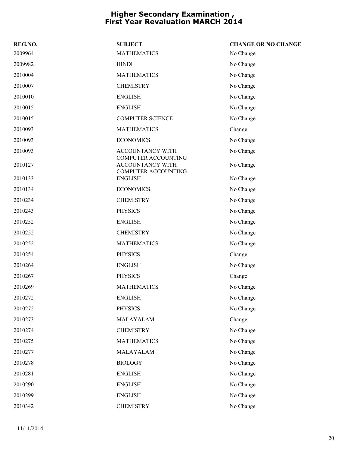| REG.NO. | <b>SUBJECT</b>                                                               | <b>CHANGE OR NO CHANGE</b> |
|---------|------------------------------------------------------------------------------|----------------------------|
| 2009964 | <b>MATHEMATICS</b>                                                           | No Change                  |
| 2009982 | <b>HINDI</b>                                                                 | No Change                  |
| 2010004 | <b>MATHEMATICS</b>                                                           | No Change                  |
| 2010007 | <b>CHEMISTRY</b>                                                             | No Change                  |
| 2010010 | <b>ENGLISH</b>                                                               | No Change                  |
| 2010015 | <b>ENGLISH</b>                                                               | No Change                  |
| 2010015 | <b>COMPUTER SCIENCE</b>                                                      | No Change                  |
| 2010093 | <b>MATHEMATICS</b>                                                           | Change                     |
| 2010093 | <b>ECONOMICS</b>                                                             | No Change                  |
| 2010093 | ACCOUNTANCY WITH                                                             | No Change                  |
| 2010127 | <b>COMPUTER ACCOUNTING</b><br>ACCOUNTANCY WITH<br><b>COMPUTER ACCOUNTING</b> | No Change                  |
| 2010133 | <b>ENGLISH</b>                                                               | No Change                  |
| 2010134 | <b>ECONOMICS</b>                                                             | No Change                  |
| 2010234 | <b>CHEMISTRY</b>                                                             | No Change                  |
| 2010243 | <b>PHYSICS</b>                                                               | No Change                  |
| 2010252 | <b>ENGLISH</b>                                                               | No Change                  |
| 2010252 | <b>CHEMISTRY</b>                                                             | No Change                  |
| 2010252 | <b>MATHEMATICS</b>                                                           | No Change                  |
| 2010254 | <b>PHYSICS</b>                                                               | Change                     |
| 2010264 | <b>ENGLISH</b>                                                               | No Change                  |
| 2010267 | <b>PHYSICS</b>                                                               | Change                     |
| 2010269 | <b>MATHEMATICS</b>                                                           | No Change                  |
| 2010272 | <b>ENGLISH</b>                                                               | No Change                  |
| 2010272 | <b>PHYSICS</b>                                                               | No Change                  |
| 2010273 | MALAYALAM                                                                    | Change                     |
| 2010274 | <b>CHEMISTRY</b>                                                             | No Change                  |
| 2010275 | <b>MATHEMATICS</b>                                                           | No Change                  |
| 2010277 | MALAYALAM                                                                    | No Change                  |
| 2010278 | <b>BIOLOGY</b>                                                               | No Change                  |
| 2010281 | <b>ENGLISH</b>                                                               | No Change                  |
| 2010290 | <b>ENGLISH</b>                                                               | No Change                  |
| 2010299 | <b>ENGLISH</b>                                                               | No Change                  |
| 2010342 | <b>CHEMISTRY</b>                                                             | No Change                  |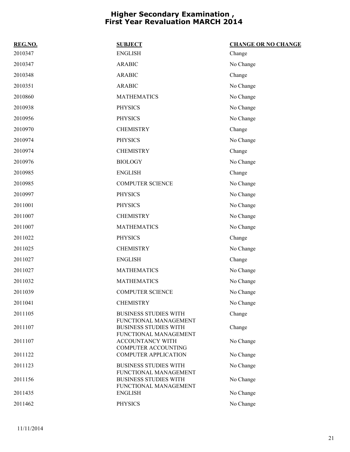| REG.NO. | <b>SUBJECT</b>                                                                 | <b>CHANGE OR NO CHANGE</b> |
|---------|--------------------------------------------------------------------------------|----------------------------|
| 2010347 | <b>ENGLISH</b>                                                                 | Change                     |
| 2010347 | <b>ARABIC</b>                                                                  | No Change                  |
| 2010348 | <b>ARABIC</b>                                                                  | Change                     |
| 2010351 | <b>ARABIC</b>                                                                  | No Change                  |
| 2010860 | <b>MATHEMATICS</b>                                                             | No Change                  |
| 2010938 | <b>PHYSICS</b>                                                                 | No Change                  |
| 2010956 | <b>PHYSICS</b>                                                                 | No Change                  |
| 2010970 | <b>CHEMISTRY</b>                                                               | Change                     |
| 2010974 | <b>PHYSICS</b>                                                                 | No Change                  |
| 2010974 | <b>CHEMISTRY</b>                                                               | Change                     |
| 2010976 | <b>BIOLOGY</b>                                                                 | No Change                  |
| 2010985 | <b>ENGLISH</b>                                                                 | Change                     |
| 2010985 | <b>COMPUTER SCIENCE</b>                                                        | No Change                  |
| 2010997 | <b>PHYSICS</b>                                                                 | No Change                  |
| 2011001 | <b>PHYSICS</b>                                                                 | No Change                  |
| 2011007 | <b>CHEMISTRY</b>                                                               | No Change                  |
| 2011007 | <b>MATHEMATICS</b>                                                             | No Change                  |
| 2011022 | <b>PHYSICS</b>                                                                 | Change                     |
| 2011025 | <b>CHEMISTRY</b>                                                               | No Change                  |
| 2011027 | <b>ENGLISH</b>                                                                 | Change                     |
| 2011027 | <b>MATHEMATICS</b>                                                             | No Change                  |
| 2011032 | <b>MATHEMATICS</b>                                                             | No Change                  |
| 2011039 | <b>COMPUTER SCIENCE</b>                                                        | No Change                  |
| 2011041 | <b>CHEMISTRY</b>                                                               | No Change                  |
| 2011105 | <b>BUSINESS STUDIES WITH</b>                                                   | Change                     |
| 2011107 | FUNCTIONAL MANAGEMENT<br><b>BUSINESS STUDIES WITH</b><br>FUNCTIONAL MANAGEMENT | Change                     |
| 2011107 | ACCOUNTANCY WITH                                                               | No Change                  |
| 2011122 | <b>COMPUTER ACCOUNTING</b><br><b>COMPUTER APPLICATION</b>                      | No Change                  |
| 2011123 | <b>BUSINESS STUDIES WITH</b>                                                   | No Change                  |
| 2011156 | FUNCTIONAL MANAGEMENT<br><b>BUSINESS STUDIES WITH</b>                          | No Change                  |
|         | FUNCTIONAL MANAGEMENT                                                          |                            |
| 2011435 | <b>ENGLISH</b>                                                                 | No Change                  |
| 2011462 | <b>PHYSICS</b>                                                                 | No Change                  |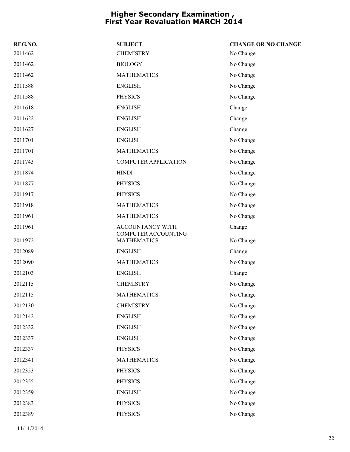| REG.NO. | <b>SUBJECT</b>                                   | <b>CHANGE OR NO CHANGE</b> |
|---------|--------------------------------------------------|----------------------------|
| 2011462 | <b>CHEMISTRY</b>                                 | No Change                  |
| 2011462 | <b>BIOLOGY</b>                                   | No Change                  |
| 2011462 | <b>MATHEMATICS</b>                               | No Change                  |
| 2011588 | <b>ENGLISH</b>                                   | No Change                  |
| 2011588 | <b>PHYSICS</b>                                   | No Change                  |
| 2011618 | <b>ENGLISH</b>                                   | Change                     |
| 2011622 | <b>ENGLISH</b>                                   | Change                     |
| 2011627 | <b>ENGLISH</b>                                   | Change                     |
| 2011701 | <b>ENGLISH</b>                                   | No Change                  |
| 2011701 | <b>MATHEMATICS</b>                               | No Change                  |
| 2011743 | <b>COMPUTER APPLICATION</b>                      | No Change                  |
| 2011874 | <b>HINDI</b>                                     | No Change                  |
| 2011877 | <b>PHYSICS</b>                                   | No Change                  |
| 2011917 | <b>PHYSICS</b>                                   | No Change                  |
| 2011918 | <b>MATHEMATICS</b>                               | No Change                  |
| 2011961 | <b>MATHEMATICS</b>                               | No Change                  |
| 2011961 | ACCOUNTANCY WITH                                 | Change                     |
| 2011972 | <b>COMPUTER ACCOUNTING</b><br><b>MATHEMATICS</b> | No Change                  |
| 2012089 | <b>ENGLISH</b>                                   | Change                     |
| 2012090 | <b>MATHEMATICS</b>                               | No Change                  |
| 2012103 | <b>ENGLISH</b>                                   | Change                     |
| 2012115 | <b>CHEMISTRY</b>                                 | No Change                  |
| 2012115 | <b>MATHEMATICS</b>                               | No Change                  |
| 2012130 | <b>CHEMISTRY</b>                                 | No Change                  |
| 2012142 | <b>ENGLISH</b>                                   | No Change                  |
| 2012332 | <b>ENGLISH</b>                                   | No Change                  |
| 2012337 | <b>ENGLISH</b>                                   | No Change                  |
| 2012337 | <b>PHYSICS</b>                                   | No Change                  |
| 2012341 | <b>MATHEMATICS</b>                               | No Change                  |
| 2012353 | <b>PHYSICS</b>                                   | No Change                  |
| 2012355 | <b>PHYSICS</b>                                   | No Change                  |
| 2012359 | <b>ENGLISH</b>                                   | No Change                  |
| 2012383 | <b>PHYSICS</b>                                   | No Change                  |
| 2012389 | <b>PHYSICS</b>                                   | No Change                  |

11/11/2014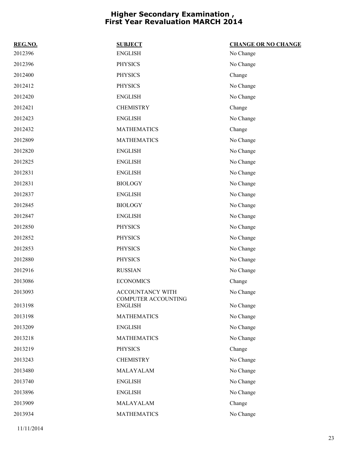| REG.NO. | <b>SUBJECT</b>                        | <b>CHANGE OR NO CHANGE</b> |
|---------|---------------------------------------|----------------------------|
| 2012396 | <b>ENGLISH</b>                        | No Change                  |
| 2012396 | <b>PHYSICS</b>                        | No Change                  |
| 2012400 | <b>PHYSICS</b>                        | Change                     |
| 2012412 | <b>PHYSICS</b>                        | No Change                  |
| 2012420 | <b>ENGLISH</b>                        | No Change                  |
| 2012421 | <b>CHEMISTRY</b>                      | Change                     |
| 2012423 | <b>ENGLISH</b>                        | No Change                  |
| 2012432 | <b>MATHEMATICS</b>                    | Change                     |
| 2012809 | <b>MATHEMATICS</b>                    | No Change                  |
| 2012820 | <b>ENGLISH</b>                        | No Change                  |
| 2012825 | <b>ENGLISH</b>                        | No Change                  |
| 2012831 | <b>ENGLISH</b>                        | No Change                  |
| 2012831 | <b>BIOLOGY</b>                        | No Change                  |
| 2012837 | <b>ENGLISH</b>                        | No Change                  |
| 2012845 | <b>BIOLOGY</b>                        | No Change                  |
| 2012847 | <b>ENGLISH</b>                        | No Change                  |
| 2012850 | <b>PHYSICS</b>                        | No Change                  |
| 2012852 | <b>PHYSICS</b>                        | No Change                  |
| 2012853 | <b>PHYSICS</b>                        | No Change                  |
| 2012880 | <b>PHYSICS</b>                        | No Change                  |
| 2012916 | <b>RUSSIAN</b>                        | No Change                  |
| 2013086 | <b>ECONOMICS</b>                      | Change                     |
| 2013093 | ACCOUNTANCY WITH                      | No Change                  |
| 2013198 | COMPUTER ACCOUNTING<br><b>ENGLISH</b> | No Change                  |
| 2013198 | <b>MATHEMATICS</b>                    | No Change                  |
| 2013209 | <b>ENGLISH</b>                        | No Change                  |
| 2013218 | <b>MATHEMATICS</b>                    | No Change                  |
| 2013219 | <b>PHYSICS</b>                        | Change                     |
| 2013243 | <b>CHEMISTRY</b>                      | No Change                  |
| 2013480 | MALAYALAM                             | No Change                  |
| 2013740 | <b>ENGLISH</b>                        | No Change                  |
| 2013896 | <b>ENGLISH</b>                        | No Change                  |
| 2013909 | MALAYALAM                             | Change                     |
| 2013934 | <b>MATHEMATICS</b>                    | No Change                  |
|         |                                       |                            |

11/11/2014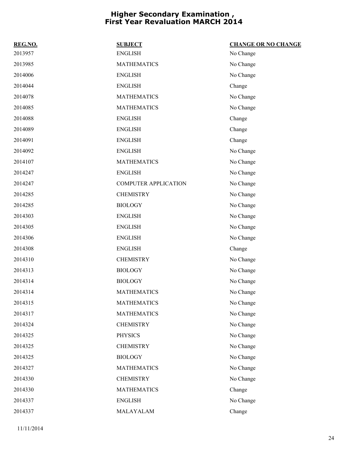| REG.NO. | <b>SUBJECT</b>              | <b>CHANGE OR NO CHANGE</b> |
|---------|-----------------------------|----------------------------|
| 2013957 | <b>ENGLISH</b>              | No Change                  |
| 2013985 | <b>MATHEMATICS</b>          | No Change                  |
| 2014006 | <b>ENGLISH</b>              | No Change                  |
| 2014044 | <b>ENGLISH</b>              | Change                     |
| 2014078 | <b>MATHEMATICS</b>          | No Change                  |
| 2014085 | <b>MATHEMATICS</b>          | No Change                  |
| 2014088 | <b>ENGLISH</b>              | Change                     |
| 2014089 | <b>ENGLISH</b>              | Change                     |
| 2014091 | <b>ENGLISH</b>              | Change                     |
| 2014092 | <b>ENGLISH</b>              | No Change                  |
| 2014107 | <b>MATHEMATICS</b>          | No Change                  |
| 2014247 | <b>ENGLISH</b>              | No Change                  |
| 2014247 | <b>COMPUTER APPLICATION</b> | No Change                  |
| 2014285 | <b>CHEMISTRY</b>            | No Change                  |
| 2014285 | <b>BIOLOGY</b>              | No Change                  |
| 2014303 | <b>ENGLISH</b>              | No Change                  |
| 2014305 | <b>ENGLISH</b>              | No Change                  |
| 2014306 | <b>ENGLISH</b>              | No Change                  |
| 2014308 | <b>ENGLISH</b>              | Change                     |
| 2014310 | <b>CHEMISTRY</b>            | No Change                  |
| 2014313 | <b>BIOLOGY</b>              | No Change                  |
| 2014314 | <b>BIOLOGY</b>              | No Change                  |
| 2014314 | <b>MATHEMATICS</b>          | No Change                  |
| 2014315 | <b>MATHEMATICS</b>          | No Change                  |
| 2014317 | <b>MATHEMATICS</b>          | No Change                  |
| 2014324 | <b>CHEMISTRY</b>            | No Change                  |
| 2014325 | <b>PHYSICS</b>              | No Change                  |
| 2014325 | <b>CHEMISTRY</b>            | No Change                  |
| 2014325 | <b>BIOLOGY</b>              | No Change                  |
| 2014327 | <b>MATHEMATICS</b>          | No Change                  |
| 2014330 | <b>CHEMISTRY</b>            | No Change                  |
| 2014330 | <b>MATHEMATICS</b>          | Change                     |
| 2014337 | <b>ENGLISH</b>              | No Change                  |
| 2014337 | MALAYALAM                   | Change                     |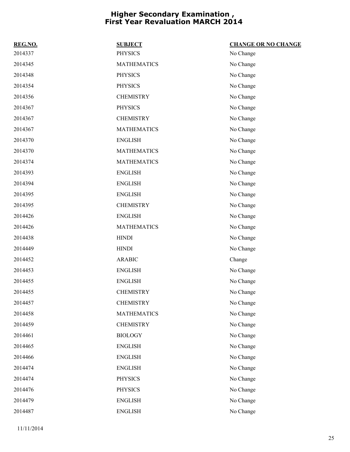| REG.NO. | <b>SUBJECT</b>     | <b>CHANGE OR NO CHANGE</b> |
|---------|--------------------|----------------------------|
| 2014337 | <b>PHYSICS</b>     | No Change                  |
| 2014345 | <b>MATHEMATICS</b> | No Change                  |
| 2014348 | <b>PHYSICS</b>     | No Change                  |
| 2014354 | <b>PHYSICS</b>     | No Change                  |
| 2014356 | <b>CHEMISTRY</b>   | No Change                  |
| 2014367 | <b>PHYSICS</b>     | No Change                  |
| 2014367 | <b>CHEMISTRY</b>   | No Change                  |
| 2014367 | <b>MATHEMATICS</b> | No Change                  |
| 2014370 | <b>ENGLISH</b>     | No Change                  |
| 2014370 | <b>MATHEMATICS</b> | No Change                  |
| 2014374 | <b>MATHEMATICS</b> | No Change                  |
| 2014393 | <b>ENGLISH</b>     | No Change                  |
| 2014394 | <b>ENGLISH</b>     | No Change                  |
| 2014395 | <b>ENGLISH</b>     | No Change                  |
| 2014395 | <b>CHEMISTRY</b>   | No Change                  |
| 2014426 | <b>ENGLISH</b>     | No Change                  |
| 2014426 | <b>MATHEMATICS</b> | No Change                  |
| 2014438 | <b>HINDI</b>       | No Change                  |
| 2014449 | <b>HINDI</b>       | No Change                  |
| 2014452 | <b>ARABIC</b>      | Change                     |
| 2014453 | <b>ENGLISH</b>     | No Change                  |
| 2014455 | <b>ENGLISH</b>     | No Change                  |
| 2014455 | <b>CHEMISTRY</b>   | No Change                  |
| 2014457 | <b>CHEMISTRY</b>   | No Change                  |
| 2014458 | <b>MATHEMATICS</b> | No Change                  |
| 2014459 | <b>CHEMISTRY</b>   | No Change                  |
| 2014461 | <b>BIOLOGY</b>     | No Change                  |
| 2014465 | <b>ENGLISH</b>     | No Change                  |
| 2014466 | <b>ENGLISH</b>     | No Change                  |
| 2014474 | <b>ENGLISH</b>     | No Change                  |
| 2014474 | <b>PHYSICS</b>     | No Change                  |
| 2014476 | <b>PHYSICS</b>     | No Change                  |
| 2014479 | <b>ENGLISH</b>     | No Change                  |
| 2014487 | <b>ENGLISH</b>     | No Change                  |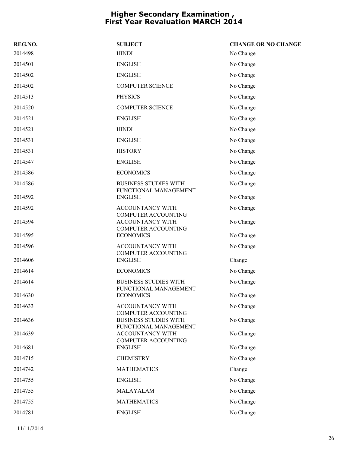| REG.NO. | <b>SUBJECT</b>                                                                      | <b>CHANGE OR NO CHANGE</b> |
|---------|-------------------------------------------------------------------------------------|----------------------------|
| 2014498 | <b>HINDI</b>                                                                        | No Change                  |
| 2014501 | <b>ENGLISH</b>                                                                      | No Change                  |
| 2014502 | <b>ENGLISH</b>                                                                      | No Change                  |
| 2014502 | <b>COMPUTER SCIENCE</b>                                                             | No Change                  |
| 2014513 | <b>PHYSICS</b>                                                                      | No Change                  |
| 2014520 | <b>COMPUTER SCIENCE</b>                                                             | No Change                  |
| 2014521 | <b>ENGLISH</b>                                                                      | No Change                  |
| 2014521 | <b>HINDI</b>                                                                        | No Change                  |
| 2014531 | <b>ENGLISH</b>                                                                      | No Change                  |
| 2014531 | <b>HISTORY</b>                                                                      | No Change                  |
| 2014547 | <b>ENGLISH</b>                                                                      | No Change                  |
| 2014586 | <b>ECONOMICS</b>                                                                    | No Change                  |
| 2014586 | <b>BUSINESS STUDIES WITH</b>                                                        | No Change                  |
| 2014592 | FUNCTIONAL MANAGEMENT<br><b>ENGLISH</b>                                             | No Change                  |
| 2014592 | <b>ACCOUNTANCY WITH</b>                                                             | No Change                  |
| 2014594 | <b>COMPUTER ACCOUNTING</b><br><b>ACCOUNTANCY WITH</b><br><b>COMPUTER ACCOUNTING</b> | No Change                  |
| 2014595 | <b>ECONOMICS</b>                                                                    | No Change                  |
| 2014596 | <b>ACCOUNTANCY WITH</b>                                                             | No Change                  |
| 2014606 | <b>COMPUTER ACCOUNTING</b><br><b>ENGLISH</b>                                        | Change                     |
| 2014614 | <b>ECONOMICS</b>                                                                    | No Change                  |
| 2014614 | <b>BUSINESS STUDIES WITH</b><br>FUNCTIONAL MANAGEMENT                               | No Change                  |
| 2014630 | <b>ECONOMICS</b>                                                                    | No Change                  |
| 2014633 | ACCOUNTANCY WITH                                                                    | No Change                  |
| 2014636 | <b>COMPUTER ACCOUNTING</b><br><b>BUSINESS STUDIES WITH</b><br>FUNCTIONAL MANAGEMENT | No Change                  |
| 2014639 | <b>ACCOUNTANCY WITH</b>                                                             | No Change                  |
| 2014681 | <b>COMPUTER ACCOUNTING</b><br><b>ENGLISH</b>                                        | No Change                  |
| 2014715 | <b>CHEMISTRY</b>                                                                    | No Change                  |
| 2014742 | <b>MATHEMATICS</b>                                                                  | Change                     |
| 2014755 | <b>ENGLISH</b>                                                                      | No Change                  |
| 2014755 | MALAYALAM                                                                           | No Change                  |
| 2014755 | <b>MATHEMATICS</b>                                                                  | No Change                  |
| 2014781 | <b>ENGLISH</b>                                                                      | No Change                  |
|         |                                                                                     |                            |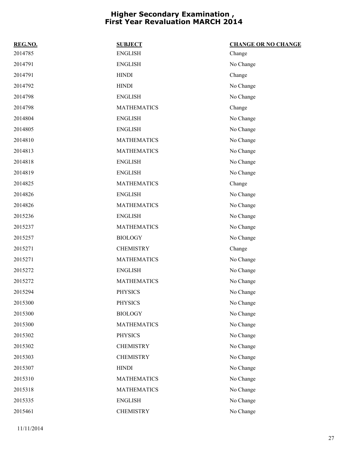| REG.NO. | <b>SUBJECT</b>     | <b>CHANGE OR NO CHANGE</b> |
|---------|--------------------|----------------------------|
| 2014785 | <b>ENGLISH</b>     | Change                     |
| 2014791 | <b>ENGLISH</b>     | No Change                  |
| 2014791 | <b>HINDI</b>       | Change                     |
| 2014792 | <b>HINDI</b>       | No Change                  |
| 2014798 | <b>ENGLISH</b>     | No Change                  |
| 2014798 | <b>MATHEMATICS</b> | Change                     |
| 2014804 | <b>ENGLISH</b>     | No Change                  |
| 2014805 | <b>ENGLISH</b>     | No Change                  |
| 2014810 | <b>MATHEMATICS</b> | No Change                  |
| 2014813 | <b>MATHEMATICS</b> | No Change                  |
| 2014818 | <b>ENGLISH</b>     | No Change                  |
| 2014819 | <b>ENGLISH</b>     | No Change                  |
| 2014825 | <b>MATHEMATICS</b> | Change                     |
| 2014826 | <b>ENGLISH</b>     | No Change                  |
| 2014826 | <b>MATHEMATICS</b> | No Change                  |
| 2015236 | <b>ENGLISH</b>     | No Change                  |
| 2015237 | <b>MATHEMATICS</b> | No Change                  |
| 2015257 | <b>BIOLOGY</b>     | No Change                  |
| 2015271 | <b>CHEMISTRY</b>   | Change                     |
| 2015271 | <b>MATHEMATICS</b> | No Change                  |
| 2015272 | <b>ENGLISH</b>     | No Change                  |
| 2015272 | <b>MATHEMATICS</b> | No Change                  |
| 2015294 | <b>PHYSICS</b>     | No Change                  |
| 2015300 | <b>PHYSICS</b>     | No Change                  |
| 2015300 | <b>BIOLOGY</b>     | No Change                  |
| 2015300 | <b>MATHEMATICS</b> | No Change                  |
| 2015302 | <b>PHYSICS</b>     | No Change                  |
| 2015302 | <b>CHEMISTRY</b>   | No Change                  |
| 2015303 | <b>CHEMISTRY</b>   | No Change                  |
| 2015307 | <b>HINDI</b>       | No Change                  |
| 2015310 | <b>MATHEMATICS</b> | No Change                  |
| 2015318 | <b>MATHEMATICS</b> | No Change                  |
| 2015335 | <b>ENGLISH</b>     | No Change                  |
| 2015461 | <b>CHEMISTRY</b>   | No Change                  |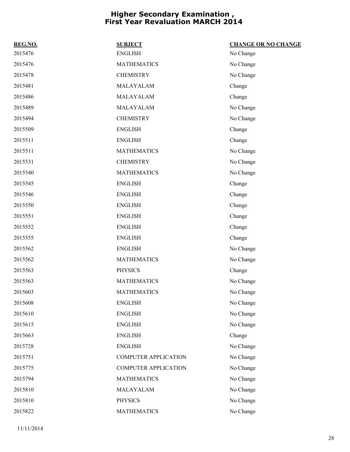| REG.NO. | <b>SUBJECT</b>              | <b>CHANGE OR NO CHANGE</b> |
|---------|-----------------------------|----------------------------|
| 2015476 | <b>ENGLISH</b>              | No Change                  |
| 2015476 | <b>MATHEMATICS</b>          | No Change                  |
| 2015478 | <b>CHEMISTRY</b>            | No Change                  |
| 2015481 | MALAYALAM                   | Change                     |
| 2015486 | MALAYALAM                   | Change                     |
| 2015489 | MALAYALAM                   | No Change                  |
| 2015494 | <b>CHEMISTRY</b>            | No Change                  |
| 2015509 | <b>ENGLISH</b>              | Change                     |
| 2015511 | <b>ENGLISH</b>              | Change                     |
| 2015511 | <b>MATHEMATICS</b>          | No Change                  |
| 2015531 | <b>CHEMISTRY</b>            | No Change                  |
| 2015540 | <b>MATHEMATICS</b>          | No Change                  |
| 2015545 | <b>ENGLISH</b>              | Change                     |
| 2015546 | <b>ENGLISH</b>              | Change                     |
| 2015550 | <b>ENGLISH</b>              | Change                     |
| 2015551 | <b>ENGLISH</b>              | Change                     |
| 2015552 | <b>ENGLISH</b>              | Change                     |
| 2015555 | <b>ENGLISH</b>              | Change                     |
| 2015562 | <b>ENGLISH</b>              | No Change                  |
| 2015562 | <b>MATHEMATICS</b>          | No Change                  |
| 2015563 | <b>PHYSICS</b>              | Change                     |
| 2015563 | <b>MATHEMATICS</b>          | No Change                  |
| 2015603 | <b>MATHEMATICS</b>          | No Change                  |
| 2015608 | <b>ENGLISH</b>              | No Change                  |
| 2015610 | <b>ENGLISH</b>              | No Change                  |
| 2015615 | <b>ENGLISH</b>              | No Change                  |
| 2015663 | <b>ENGLISH</b>              | Change                     |
| 2015728 | <b>ENGLISH</b>              | No Change                  |
| 2015751 | <b>COMPUTER APPLICATION</b> | No Change                  |
| 2015775 | <b>COMPUTER APPLICATION</b> | No Change                  |
| 2015794 | <b>MATHEMATICS</b>          | No Change                  |
| 2015810 | MALAYALAM                   | No Change                  |
| 2015810 | <b>PHYSICS</b>              | No Change                  |
| 2015822 | <b>MATHEMATICS</b>          | No Change                  |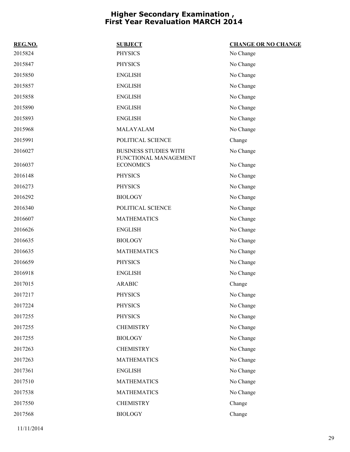| REG.NO. | <b>SUBJECT</b>                                        | <b>CHANGE OR NO CHANGE</b> |
|---------|-------------------------------------------------------|----------------------------|
| 2015824 | <b>PHYSICS</b>                                        | No Change                  |
| 2015847 | <b>PHYSICS</b>                                        | No Change                  |
| 2015850 | <b>ENGLISH</b>                                        | No Change                  |
| 2015857 | <b>ENGLISH</b>                                        | No Change                  |
| 2015858 | <b>ENGLISH</b>                                        | No Change                  |
| 2015890 | <b>ENGLISH</b>                                        | No Change                  |
| 2015893 | <b>ENGLISH</b>                                        | No Change                  |
| 2015968 | MALAYALAM                                             | No Change                  |
| 2015991 | POLITICAL SCIENCE                                     | Change                     |
| 2016027 | <b>BUSINESS STUDIES WITH</b><br>FUNCTIONAL MANAGEMENT | No Change                  |
| 2016037 | <b>ECONOMICS</b>                                      | No Change                  |
| 2016148 | <b>PHYSICS</b>                                        | No Change                  |
| 2016273 | <b>PHYSICS</b>                                        | No Change                  |
| 2016292 | <b>BIOLOGY</b>                                        | No Change                  |
| 2016340 | POLITICAL SCIENCE                                     | No Change                  |
| 2016607 | <b>MATHEMATICS</b>                                    | No Change                  |
| 2016626 | <b>ENGLISH</b>                                        | No Change                  |
| 2016635 | <b>BIOLOGY</b>                                        | No Change                  |
| 2016635 | <b>MATHEMATICS</b>                                    | No Change                  |
| 2016659 | <b>PHYSICS</b>                                        | No Change                  |
| 2016918 | <b>ENGLISH</b>                                        | No Change                  |
| 2017015 | <b>ARABIC</b>                                         | Change                     |
| 2017217 | <b>PHYSICS</b>                                        | No Change                  |
| 2017224 | <b>PHYSICS</b>                                        | No Change                  |
| 2017255 | <b>PHYSICS</b>                                        | No Change                  |
| 2017255 | <b>CHEMISTRY</b>                                      | No Change                  |
| 2017255 | <b>BIOLOGY</b>                                        | No Change                  |
| 2017263 | <b>CHEMISTRY</b>                                      | No Change                  |
| 2017263 | <b>MATHEMATICS</b>                                    | No Change                  |
| 2017361 | <b>ENGLISH</b>                                        | No Change                  |
| 2017510 | <b>MATHEMATICS</b>                                    | No Change                  |
| 2017538 | <b>MATHEMATICS</b>                                    | No Change                  |
| 2017550 | <b>CHEMISTRY</b>                                      | Change                     |
| 2017568 | <b>BIOLOGY</b>                                        | Change                     |
|         |                                                       |                            |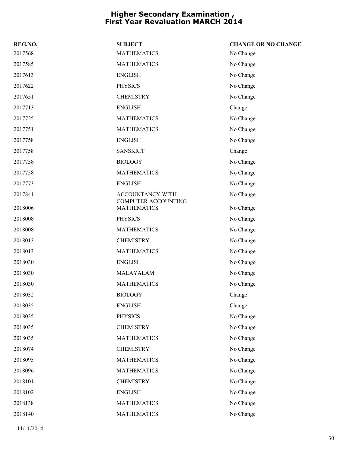| REG.NO. | <b>SUBJECT</b>                                 | <b>CHANGE OR NO CHANGE</b> |
|---------|------------------------------------------------|----------------------------|
| 2017568 | <b>MATHEMATICS</b>                             | No Change                  |
| 2017585 | <b>MATHEMATICS</b>                             | No Change                  |
| 2017613 | <b>ENGLISH</b>                                 | No Change                  |
| 2017622 | <b>PHYSICS</b>                                 | No Change                  |
| 2017651 | <b>CHEMISTRY</b>                               | No Change                  |
| 2017713 | <b>ENGLISH</b>                                 | Change                     |
| 2017725 | <b>MATHEMATICS</b>                             | No Change                  |
| 2017751 | <b>MATHEMATICS</b>                             | No Change                  |
| 2017758 | <b>ENGLISH</b>                                 | No Change                  |
| 2017758 | <b>SANSKRIT</b>                                | Change                     |
| 2017758 | <b>BIOLOGY</b>                                 | No Change                  |
| 2017758 | <b>MATHEMATICS</b>                             | No Change                  |
| 2017773 | <b>ENGLISH</b>                                 | No Change                  |
| 2017841 | ACCOUNTANCY WITH<br><b>COMPUTER ACCOUNTING</b> | No Change                  |
| 2018006 | <b>MATHEMATICS</b>                             | No Change                  |
| 2018008 | <b>PHYSICS</b>                                 | No Change                  |
| 2018008 | <b>MATHEMATICS</b>                             | No Change                  |
| 2018013 | <b>CHEMISTRY</b>                               | No Change                  |
| 2018013 | <b>MATHEMATICS</b>                             | No Change                  |
| 2018030 | <b>ENGLISH</b>                                 | No Change                  |
| 2018030 | MALAYALAM                                      | No Change                  |
| 2018030 | <b>MATHEMATICS</b>                             | No Change                  |
| 2018032 | <b>BIOLOGY</b>                                 | Change                     |
| 2018035 | <b>ENGLISH</b>                                 | Change                     |
| 2018035 | <b>PHYSICS</b>                                 | No Change                  |
| 2018035 | <b>CHEMISTRY</b>                               | No Change                  |
| 2018035 | <b>MATHEMATICS</b>                             | No Change                  |
| 2018074 | <b>CHEMISTRY</b>                               | No Change                  |
| 2018095 | <b>MATHEMATICS</b>                             | No Change                  |
| 2018096 | <b>MATHEMATICS</b>                             | No Change                  |
| 2018101 | <b>CHEMISTRY</b>                               | No Change                  |
| 2018102 | <b>ENGLISH</b>                                 | No Change                  |
| 2018138 | <b>MATHEMATICS</b>                             | No Change                  |
| 2018140 | <b>MATHEMATICS</b>                             | No Change                  |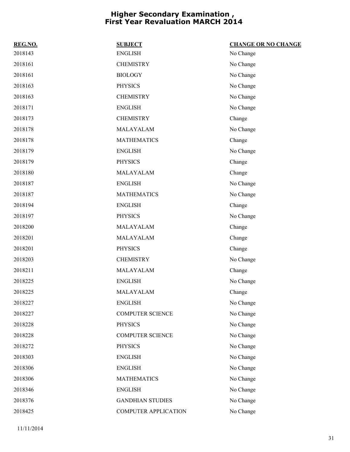| REG.NO. | <b>SUBJECT</b>              | <b>CHANGE OR NO CHANGE</b> |
|---------|-----------------------------|----------------------------|
| 2018143 | <b>ENGLISH</b>              | No Change                  |
| 2018161 | <b>CHEMISTRY</b>            | No Change                  |
| 2018161 | <b>BIOLOGY</b>              | No Change                  |
| 2018163 | <b>PHYSICS</b>              | No Change                  |
| 2018163 | <b>CHEMISTRY</b>            | No Change                  |
| 2018171 | <b>ENGLISH</b>              | No Change                  |
| 2018173 | <b>CHEMISTRY</b>            | Change                     |
| 2018178 | MALAYALAM                   | No Change                  |
| 2018178 | <b>MATHEMATICS</b>          | Change                     |
| 2018179 | <b>ENGLISH</b>              | No Change                  |
| 2018179 | <b>PHYSICS</b>              | Change                     |
| 2018180 | MALAYALAM                   | Change                     |
| 2018187 | <b>ENGLISH</b>              | No Change                  |
| 2018187 | <b>MATHEMATICS</b>          | No Change                  |
| 2018194 | <b>ENGLISH</b>              | Change                     |
| 2018197 | <b>PHYSICS</b>              | No Change                  |
| 2018200 | MALAYALAM                   | Change                     |
| 2018201 | MALAYALAM                   | Change                     |
| 2018201 | <b>PHYSICS</b>              | Change                     |
| 2018203 | <b>CHEMISTRY</b>            | No Change                  |
| 2018211 | MALAYALAM                   | Change                     |
| 2018225 | <b>ENGLISH</b>              | No Change                  |
| 2018225 | MALAYALAM                   | Change                     |
| 2018227 | <b>ENGLISH</b>              | No Change                  |
| 2018227 | <b>COMPUTER SCIENCE</b>     | No Change                  |
| 2018228 | <b>PHYSICS</b>              | No Change                  |
| 2018228 | <b>COMPUTER SCIENCE</b>     | No Change                  |
| 2018272 | <b>PHYSICS</b>              | No Change                  |
| 2018303 | <b>ENGLISH</b>              | No Change                  |
| 2018306 | <b>ENGLISH</b>              | No Change                  |
| 2018306 | <b>MATHEMATICS</b>          | No Change                  |
| 2018346 | <b>ENGLISH</b>              | No Change                  |
| 2018376 | <b>GANDHIAN STUDIES</b>     | No Change                  |
| 2018425 | <b>COMPUTER APPLICATION</b> | No Change                  |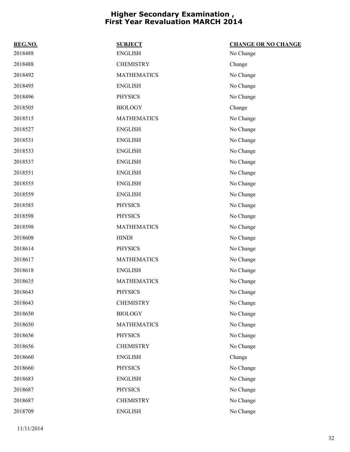| REG.NO. | <b>SUBJECT</b>     | <b>CHANGE OR NO CHANGE</b> |
|---------|--------------------|----------------------------|
| 2018488 | <b>ENGLISH</b>     | No Change                  |
| 2018488 | <b>CHEMISTRY</b>   | Change                     |
| 2018492 | <b>MATHEMATICS</b> | No Change                  |
| 2018495 | <b>ENGLISH</b>     | No Change                  |
| 2018496 | <b>PHYSICS</b>     | No Change                  |
| 2018505 | <b>BIOLOGY</b>     | Change                     |
| 2018515 | <b>MATHEMATICS</b> | No Change                  |
| 2018527 | <b>ENGLISH</b>     | No Change                  |
| 2018531 | <b>ENGLISH</b>     | No Change                  |
| 2018533 | <b>ENGLISH</b>     | No Change                  |
| 2018537 | <b>ENGLISH</b>     | No Change                  |
| 2018551 | <b>ENGLISH</b>     | No Change                  |
| 2018555 | <b>ENGLISH</b>     | No Change                  |
| 2018559 | <b>ENGLISH</b>     | No Change                  |
| 2018585 | <b>PHYSICS</b>     | No Change                  |
| 2018598 | <b>PHYSICS</b>     | No Change                  |
| 2018598 | <b>MATHEMATICS</b> | No Change                  |
| 2018608 | <b>HINDI</b>       | No Change                  |
| 2018614 | <b>PHYSICS</b>     | No Change                  |
| 2018617 | <b>MATHEMATICS</b> | No Change                  |
| 2018618 | <b>ENGLISH</b>     | No Change                  |
| 2018635 | <b>MATHEMATICS</b> | No Change                  |
| 2018643 | <b>PHYSICS</b>     | No Change                  |
| 2018643 | <b>CHEMISTRY</b>   | No Change                  |
| 2018650 | <b>BIOLOGY</b>     | No Change                  |
| 2018650 | <b>MATHEMATICS</b> | No Change                  |
| 2018656 | <b>PHYSICS</b>     | No Change                  |
| 2018656 | <b>CHEMISTRY</b>   | No Change                  |
| 2018660 | <b>ENGLISH</b>     | Change                     |
| 2018660 | <b>PHYSICS</b>     | No Change                  |
| 2018683 | <b>ENGLISH</b>     | No Change                  |
| 2018687 | <b>PHYSICS</b>     | No Change                  |
| 2018687 | <b>CHEMISTRY</b>   | No Change                  |
| 2018709 | <b>ENGLISH</b>     | No Change                  |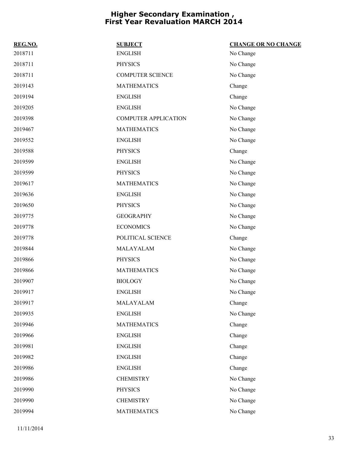| REG.NO. | <b>SUBJECT</b>              | <b>CHANGE OR NO CHANGE</b> |
|---------|-----------------------------|----------------------------|
| 2018711 | <b>ENGLISH</b>              | No Change                  |
| 2018711 | <b>PHYSICS</b>              | No Change                  |
| 2018711 | <b>COMPUTER SCIENCE</b>     | No Change                  |
| 2019143 | <b>MATHEMATICS</b>          | Change                     |
| 2019194 | <b>ENGLISH</b>              | Change                     |
| 2019205 | <b>ENGLISH</b>              | No Change                  |
| 2019398 | <b>COMPUTER APPLICATION</b> | No Change                  |
| 2019467 | <b>MATHEMATICS</b>          | No Change                  |
| 2019552 | <b>ENGLISH</b>              | No Change                  |
| 2019588 | <b>PHYSICS</b>              | Change                     |
| 2019599 | <b>ENGLISH</b>              | No Change                  |
| 2019599 | <b>PHYSICS</b>              | No Change                  |
| 2019617 | <b>MATHEMATICS</b>          | No Change                  |
| 2019636 | <b>ENGLISH</b>              | No Change                  |
| 2019650 | <b>PHYSICS</b>              | No Change                  |
| 2019775 | <b>GEOGRAPHY</b>            | No Change                  |
| 2019778 | <b>ECONOMICS</b>            | No Change                  |
| 2019778 | POLITICAL SCIENCE           | Change                     |
| 2019844 | MALAYALAM                   | No Change                  |
| 2019866 | <b>PHYSICS</b>              | No Change                  |
| 2019866 | <b>MATHEMATICS</b>          | No Change                  |
| 2019907 | <b>BIOLOGY</b>              | No Change                  |
| 2019917 | <b>ENGLISH</b>              | No Change                  |
| 2019917 | MALAYALAM                   | Change                     |
| 2019935 | <b>ENGLISH</b>              | No Change                  |
| 2019946 | <b>MATHEMATICS</b>          | Change                     |
| 2019966 | <b>ENGLISH</b>              | Change                     |
| 2019981 | <b>ENGLISH</b>              | Change                     |
| 2019982 | <b>ENGLISH</b>              | Change                     |
| 2019986 | <b>ENGLISH</b>              | Change                     |
| 2019986 | <b>CHEMISTRY</b>            | No Change                  |
| 2019990 | <b>PHYSICS</b>              | No Change                  |
| 2019990 | <b>CHEMISTRY</b>            | No Change                  |
| 2019994 | <b>MATHEMATICS</b>          | No Change                  |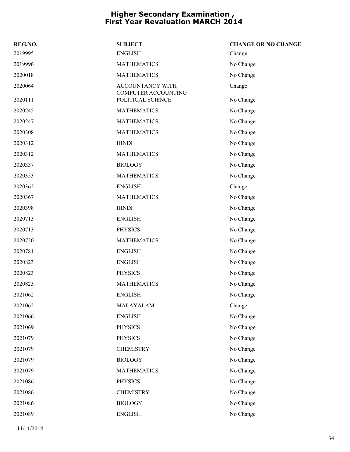| REG.NO. | <b>SUBJECT</b>                          | <b>CHANGE OR NO CHANGE</b> |
|---------|-----------------------------------------|----------------------------|
| 2019995 | <b>ENGLISH</b>                          | Change                     |
| 2019996 | <b>MATHEMATICS</b>                      | No Change                  |
| 2020018 | <b>MATHEMATICS</b>                      | No Change                  |
| 2020064 | ACCOUNTANCY WITH<br>COMPUTER ACCOUNTING | Change                     |
| 2020111 | POLITICAL SCIENCE                       | No Change                  |
| 2020245 | <b>MATHEMATICS</b>                      | No Change                  |
| 2020247 | <b>MATHEMATICS</b>                      | No Change                  |
| 2020308 | <b>MATHEMATICS</b>                      | No Change                  |
| 2020312 | <b>HINDI</b>                            | No Change                  |
| 2020312 | <b>MATHEMATICS</b>                      | No Change                  |
| 2020337 | <b>BIOLOGY</b>                          | No Change                  |
| 2020353 | <b>MATHEMATICS</b>                      | No Change                  |
| 2020362 | <b>ENGLISH</b>                          | Change                     |
| 2020367 | <b>MATHEMATICS</b>                      | No Change                  |
| 2020398 | <b>HINDI</b>                            | No Change                  |
| 2020713 | <b>ENGLISH</b>                          | No Change                  |
| 2020713 | <b>PHYSICS</b>                          | No Change                  |
| 2020720 | <b>MATHEMATICS</b>                      | No Change                  |
| 2020781 | <b>ENGLISH</b>                          | No Change                  |
| 2020823 | <b>ENGLISH</b>                          | No Change                  |
| 2020823 | <b>PHYSICS</b>                          | No Change                  |
| 2020823 | <b>MATHEMATICS</b>                      | No Change                  |
| 2021062 | <b>ENGLISH</b>                          | No Change                  |
| 2021062 | MALAYALAM                               | Change                     |
| 2021066 | <b>ENGLISH</b>                          | No Change                  |
| 2021069 | <b>PHYSICS</b>                          | No Change                  |
| 2021079 | <b>PHYSICS</b>                          | No Change                  |
| 2021079 | <b>CHEMISTRY</b>                        | No Change                  |
| 2021079 | <b>BIOLOGY</b>                          | No Change                  |
| 2021079 | <b>MATHEMATICS</b>                      | No Change                  |
| 2021086 | <b>PHYSICS</b>                          | No Change                  |
| 2021086 | <b>CHEMISTRY</b>                        | No Change                  |
| 2021086 | <b>BIOLOGY</b>                          | No Change                  |
| 2021089 | <b>ENGLISH</b>                          | No Change                  |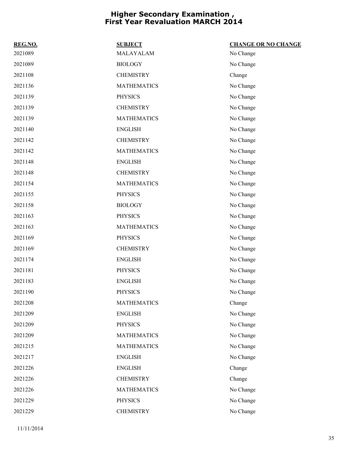| REG.NO. | <b>SUBJECT</b>     | <b>CHANGE OR NO CHANGE</b> |
|---------|--------------------|----------------------------|
| 2021089 | MALAYALAM          | No Change                  |
| 2021089 | <b>BIOLOGY</b>     | No Change                  |
| 2021108 | <b>CHEMISTRY</b>   | Change                     |
| 2021136 | <b>MATHEMATICS</b> | No Change                  |
| 2021139 | <b>PHYSICS</b>     | No Change                  |
| 2021139 | <b>CHEMISTRY</b>   | No Change                  |
| 2021139 | <b>MATHEMATICS</b> | No Change                  |
| 2021140 | <b>ENGLISH</b>     | No Change                  |
| 2021142 | <b>CHEMISTRY</b>   | No Change                  |
| 2021142 | <b>MATHEMATICS</b> | No Change                  |
| 2021148 | <b>ENGLISH</b>     | No Change                  |
| 2021148 | <b>CHEMISTRY</b>   | No Change                  |
| 2021154 | <b>MATHEMATICS</b> | No Change                  |
| 2021155 | <b>PHYSICS</b>     | No Change                  |
| 2021158 | <b>BIOLOGY</b>     | No Change                  |
| 2021163 | <b>PHYSICS</b>     | No Change                  |
| 2021163 | <b>MATHEMATICS</b> | No Change                  |
| 2021169 | <b>PHYSICS</b>     | No Change                  |
| 2021169 | <b>CHEMISTRY</b>   | No Change                  |
| 2021174 | <b>ENGLISH</b>     | No Change                  |
| 2021181 | <b>PHYSICS</b>     | No Change                  |
| 2021183 | <b>ENGLISH</b>     | No Change                  |
| 2021190 | <b>PHYSICS</b>     | No Change                  |
| 2021208 | <b>MATHEMATICS</b> | Change                     |
| 2021209 | <b>ENGLISH</b>     | No Change                  |
| 2021209 | <b>PHYSICS</b>     | No Change                  |
| 2021209 | <b>MATHEMATICS</b> | No Change                  |
| 2021215 | <b>MATHEMATICS</b> | No Change                  |
| 2021217 | <b>ENGLISH</b>     | No Change                  |
| 2021226 | <b>ENGLISH</b>     | Change                     |
| 2021226 | <b>CHEMISTRY</b>   | Change                     |
| 2021226 | <b>MATHEMATICS</b> | No Change                  |
| 2021229 | <b>PHYSICS</b>     | No Change                  |
| 2021229 | <b>CHEMISTRY</b>   | No Change                  |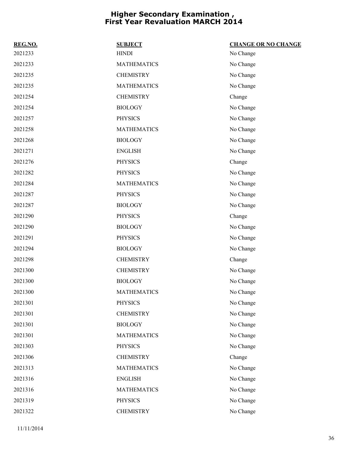| REG.NO. | <b>SUBJECT</b>     | <b>CHANGE OR NO CHANGE</b> |
|---------|--------------------|----------------------------|
| 2021233 | <b>HINDI</b>       | No Change                  |
| 2021233 | <b>MATHEMATICS</b> | No Change                  |
| 2021235 | <b>CHEMISTRY</b>   | No Change                  |
| 2021235 | <b>MATHEMATICS</b> | No Change                  |
| 2021254 | <b>CHEMISTRY</b>   | Change                     |
| 2021254 | <b>BIOLOGY</b>     | No Change                  |
| 2021257 | <b>PHYSICS</b>     | No Change                  |
| 2021258 | <b>MATHEMATICS</b> | No Change                  |
| 2021268 | <b>BIOLOGY</b>     | No Change                  |
| 2021271 | <b>ENGLISH</b>     | No Change                  |
| 2021276 | <b>PHYSICS</b>     | Change                     |
| 2021282 | <b>PHYSICS</b>     | No Change                  |
| 2021284 | <b>MATHEMATICS</b> | No Change                  |
| 2021287 | <b>PHYSICS</b>     | No Change                  |
| 2021287 | <b>BIOLOGY</b>     | No Change                  |
| 2021290 | <b>PHYSICS</b>     | Change                     |
| 2021290 | <b>BIOLOGY</b>     | No Change                  |
| 2021291 | <b>PHYSICS</b>     | No Change                  |
| 2021294 | <b>BIOLOGY</b>     | No Change                  |
| 2021298 | <b>CHEMISTRY</b>   | Change                     |
| 2021300 | <b>CHEMISTRY</b>   | No Change                  |
| 2021300 | <b>BIOLOGY</b>     | No Change                  |
| 2021300 | <b>MATHEMATICS</b> | No Change                  |
| 2021301 | <b>PHYSICS</b>     | No Change                  |
| 2021301 | <b>CHEMISTRY</b>   | No Change                  |
| 2021301 | <b>BIOLOGY</b>     | No Change                  |
| 2021301 | <b>MATHEMATICS</b> | No Change                  |
| 2021303 | <b>PHYSICS</b>     | No Change                  |
| 2021306 | <b>CHEMISTRY</b>   | Change                     |
| 2021313 | <b>MATHEMATICS</b> | No Change                  |
| 2021316 | <b>ENGLISH</b>     | No Change                  |
| 2021316 | <b>MATHEMATICS</b> | No Change                  |
| 2021319 | <b>PHYSICS</b>     | No Change                  |
| 2021322 | <b>CHEMISTRY</b>   | No Change                  |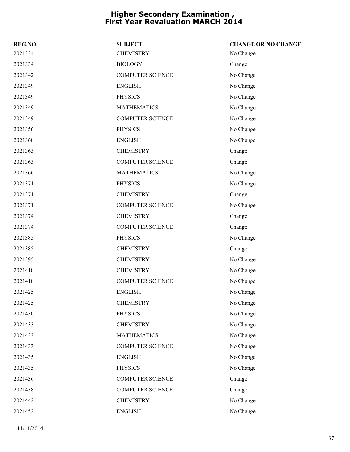| REG.NO. | <b>SUBJECT</b>          | <b>CHANGE OR NO CHANGE</b> |
|---------|-------------------------|----------------------------|
| 2021334 | <b>CHEMISTRY</b>        | No Change                  |
| 2021334 | <b>BIOLOGY</b>          | Change                     |
| 2021342 | <b>COMPUTER SCIENCE</b> | No Change                  |
| 2021349 | <b>ENGLISH</b>          | No Change                  |
| 2021349 | <b>PHYSICS</b>          | No Change                  |
| 2021349 | <b>MATHEMATICS</b>      | No Change                  |
| 2021349 | <b>COMPUTER SCIENCE</b> | No Change                  |
| 2021356 | <b>PHYSICS</b>          | No Change                  |
| 2021360 | <b>ENGLISH</b>          | No Change                  |
| 2021363 | <b>CHEMISTRY</b>        | Change                     |
| 2021363 | <b>COMPUTER SCIENCE</b> | Change                     |
| 2021366 | <b>MATHEMATICS</b>      | No Change                  |
| 2021371 | <b>PHYSICS</b>          | No Change                  |
| 2021371 | <b>CHEMISTRY</b>        | Change                     |
| 2021371 | <b>COMPUTER SCIENCE</b> | No Change                  |
| 2021374 | <b>CHEMISTRY</b>        | Change                     |
| 2021374 | <b>COMPUTER SCIENCE</b> | Change                     |
| 2021385 | <b>PHYSICS</b>          | No Change                  |
| 2021385 | <b>CHEMISTRY</b>        | Change                     |
| 2021395 | <b>CHEMISTRY</b>        | No Change                  |
| 2021410 | <b>CHEMISTRY</b>        | No Change                  |
| 2021410 | <b>COMPUTER SCIENCE</b> | No Change                  |
| 2021425 | <b>ENGLISH</b>          | No Change                  |
| 2021425 | <b>CHEMISTRY</b>        | No Change                  |
| 2021430 | <b>PHYSICS</b>          | No Change                  |
| 2021433 | <b>CHEMISTRY</b>        | No Change                  |
| 2021433 | <b>MATHEMATICS</b>      | No Change                  |
| 2021433 | <b>COMPUTER SCIENCE</b> | No Change                  |
| 2021435 | <b>ENGLISH</b>          | No Change                  |
| 2021435 | <b>PHYSICS</b>          | No Change                  |
| 2021436 | <b>COMPUTER SCIENCE</b> | Change                     |
| 2021438 | COMPUTER SCIENCE        | Change                     |
| 2021442 | <b>CHEMISTRY</b>        | No Change                  |
| 2021452 | <b>ENGLISH</b>          | No Change                  |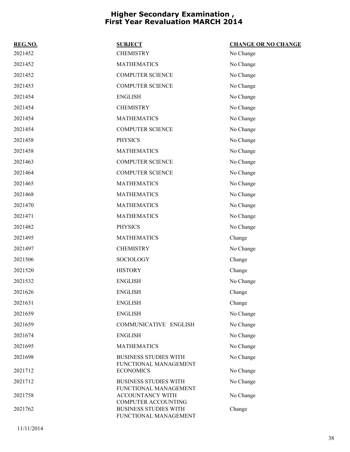| REG.NO. | <b>SUBJECT</b>                                                          | <b>CHANGE OR NO CHANGE</b> |
|---------|-------------------------------------------------------------------------|----------------------------|
| 2021452 | <b>CHEMISTRY</b>                                                        | No Change                  |
| 2021452 | <b>MATHEMATICS</b>                                                      | No Change                  |
| 2021452 | <b>COMPUTER SCIENCE</b>                                                 | No Change                  |
| 2021453 | <b>COMPUTER SCIENCE</b>                                                 | No Change                  |
| 2021454 | <b>ENGLISH</b>                                                          | No Change                  |
| 2021454 | <b>CHEMISTRY</b>                                                        | No Change                  |
| 2021454 | <b>MATHEMATICS</b>                                                      | No Change                  |
| 2021454 | <b>COMPUTER SCIENCE</b>                                                 | No Change                  |
| 2021458 | <b>PHYSICS</b>                                                          | No Change                  |
| 2021458 | <b>MATHEMATICS</b>                                                      | No Change                  |
| 2021463 | <b>COMPUTER SCIENCE</b>                                                 | No Change                  |
| 2021464 | <b>COMPUTER SCIENCE</b>                                                 | No Change                  |
| 2021465 | <b>MATHEMATICS</b>                                                      | No Change                  |
| 2021468 | <b>MATHEMATICS</b>                                                      | No Change                  |
| 2021470 | <b>MATHEMATICS</b>                                                      | No Change                  |
| 2021471 | <b>MATHEMATICS</b>                                                      | No Change                  |
| 2021482 | <b>PHYSICS</b>                                                          | No Change                  |
| 2021495 | <b>MATHEMATICS</b>                                                      | Change                     |
| 2021497 | <b>CHEMISTRY</b>                                                        | No Change                  |
| 2021506 | SOCIOLOGY                                                               | Change                     |
| 2021520 | <b>HISTORY</b>                                                          | Change                     |
| 2021532 | <b>ENGLISH</b>                                                          | No Change                  |
| 2021626 | <b>ENGLISH</b>                                                          | Change                     |
| 2021631 | <b>ENGLISH</b>                                                          | Change                     |
| 2021659 | <b>ENGLISH</b>                                                          | No Change                  |
| 2021659 | COMMUNICATIVE ENGLISH                                                   | No Change                  |
| 2021674 | <b>ENGLISH</b>                                                          | No Change                  |
| 2021695 | <b>MATHEMATICS</b>                                                      | No Change                  |
| 2021698 | <b>BUSINESS STUDIES WITH</b>                                            | No Change                  |
| 2021712 | FUNCTIONAL MANAGEMENT<br><b>ECONOMICS</b>                               | No Change                  |
| 2021712 | <b>BUSINESS STUDIES WITH</b>                                            | No Change                  |
| 2021758 | FUNCTIONAL MANAGEMENT<br>ACCOUNTANCY WITH<br><b>COMPUTER ACCOUNTING</b> | No Change                  |
| 2021762 | <b>BUSINESS STUDIES WITH</b><br>FUNCTIONAL MANAGEMENT                   | Change                     |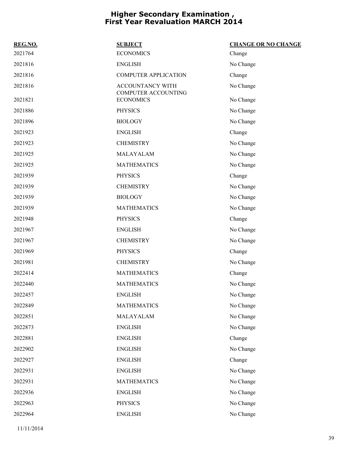| <b>SUBJECT</b>              | <b>CHANGE OR NO CHANGE</b> |
|-----------------------------|----------------------------|
| <b>ECONOMICS</b>            | Change                     |
| <b>ENGLISH</b>              | No Change                  |
| <b>COMPUTER APPLICATION</b> | Change                     |
| ACCOUNTANCY WITH            | No Change                  |
| <b>ECONOMICS</b>            | No Change                  |
| <b>PHYSICS</b>              | No Change                  |
| <b>BIOLOGY</b>              | No Change                  |
| <b>ENGLISH</b>              | Change                     |
| <b>CHEMISTRY</b>            | No Change                  |
| MALAYALAM                   | No Change                  |
| <b>MATHEMATICS</b>          | No Change                  |
| <b>PHYSICS</b>              | Change                     |
| <b>CHEMISTRY</b>            | No Change                  |
| <b>BIOLOGY</b>              | No Change                  |
| <b>MATHEMATICS</b>          | No Change                  |
| <b>PHYSICS</b>              | Change                     |
| <b>ENGLISH</b>              | No Change                  |
| <b>CHEMISTRY</b>            | No Change                  |
| <b>PHYSICS</b>              | Change                     |
| <b>CHEMISTRY</b>            | No Change                  |
| <b>MATHEMATICS</b>          | Change                     |
| <b>MATHEMATICS</b>          | No Change                  |
| <b>ENGLISH</b>              | No Change                  |
| <b>MATHEMATICS</b>          | No Change                  |
| MALAYALAM                   | No Change                  |
| <b>ENGLISH</b>              | No Change                  |
| <b>ENGLISH</b>              | Change                     |
| <b>ENGLISH</b>              | No Change                  |
| <b>ENGLISH</b>              | Change                     |
| <b>ENGLISH</b>              | No Change                  |
| <b>MATHEMATICS</b>          | No Change                  |
| <b>ENGLISH</b>              | No Change                  |
| <b>PHYSICS</b>              | No Change                  |
| <b>ENGLISH</b>              | No Change                  |
|                             | <b>COMPUTER ACCOUNTING</b> |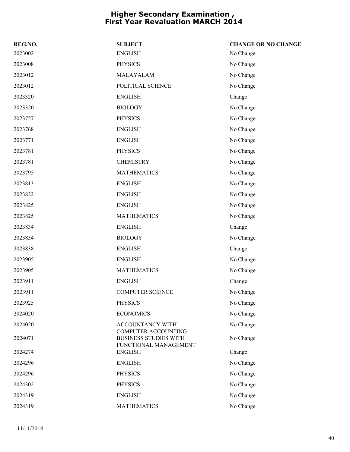| REG.NO. | <b>SUBJECT</b>                                        | <b>CHANGE OR NO CHANGE</b> |
|---------|-------------------------------------------------------|----------------------------|
| 2023002 | <b>ENGLISH</b>                                        | No Change                  |
| 2023008 | <b>PHYSICS</b>                                        | No Change                  |
| 2023012 | MALAYALAM                                             | No Change                  |
| 2023012 | POLITICAL SCIENCE                                     | No Change                  |
| 2023320 | <b>ENGLISH</b>                                        | Change                     |
| 2023320 | <b>BIOLOGY</b>                                        | No Change                  |
| 2023757 | <b>PHYSICS</b>                                        | No Change                  |
| 2023768 | <b>ENGLISH</b>                                        | No Change                  |
| 2023771 | <b>ENGLISH</b>                                        | No Change                  |
| 2023781 | <b>PHYSICS</b>                                        | No Change                  |
| 2023781 | <b>CHEMISTRY</b>                                      | No Change                  |
| 2023795 | <b>MATHEMATICS</b>                                    | No Change                  |
| 2023813 | <b>ENGLISH</b>                                        | No Change                  |
| 2023822 | <b>ENGLISH</b>                                        | No Change                  |
| 2023825 | <b>ENGLISH</b>                                        | No Change                  |
| 2023825 | <b>MATHEMATICS</b>                                    | No Change                  |
| 2023834 | <b>ENGLISH</b>                                        | Change                     |
| 2023834 | <b>BIOLOGY</b>                                        | No Change                  |
| 2023838 | <b>ENGLISH</b>                                        | Change                     |
| 2023905 | <b>ENGLISH</b>                                        | No Change                  |
| 2023905 | <b>MATHEMATICS</b>                                    | No Change                  |
| 2023911 | <b>ENGLISH</b>                                        | Change                     |
| 2023911 | <b>COMPUTER SCIENCE</b>                               | No Change                  |
| 2023925 | <b>PHYSICS</b>                                        | No Change                  |
| 2024020 | <b>ECONOMICS</b>                                      | No Change                  |
| 2024020 | <b>ACCOUNTANCY WITH</b><br><b>COMPUTER ACCOUNTING</b> | No Change                  |
| 2024071 | <b>BUSINESS STUDIES WITH</b><br>FUNCTIONAL MANAGEMENT | No Change                  |
| 2024274 | <b>ENGLISH</b>                                        | Change                     |
| 2024296 | <b>ENGLISH</b>                                        | No Change                  |
| 2024296 | <b>PHYSICS</b>                                        | No Change                  |
| 2024302 | <b>PHYSICS</b>                                        | No Change                  |
| 2024319 | <b>ENGLISH</b>                                        | No Change                  |
| 2024319 | <b>MATHEMATICS</b>                                    | No Change                  |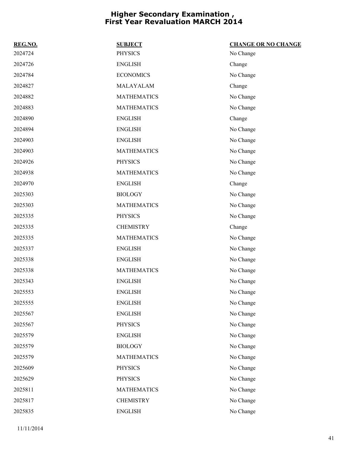| REG.NO. | <b>SUBJECT</b>     | <b>CHANGE OR NO CHANGE</b> |
|---------|--------------------|----------------------------|
| 2024724 | <b>PHYSICS</b>     | No Change                  |
| 2024726 | <b>ENGLISH</b>     | Change                     |
| 2024784 | <b>ECONOMICS</b>   | No Change                  |
| 2024827 | MALAYALAM          | Change                     |
| 2024882 | <b>MATHEMATICS</b> | No Change                  |
| 2024883 | <b>MATHEMATICS</b> | No Change                  |
| 2024890 | <b>ENGLISH</b>     | Change                     |
| 2024894 | <b>ENGLISH</b>     | No Change                  |
| 2024903 | <b>ENGLISH</b>     | No Change                  |
| 2024903 | <b>MATHEMATICS</b> | No Change                  |
| 2024926 | <b>PHYSICS</b>     | No Change                  |
| 2024938 | <b>MATHEMATICS</b> | No Change                  |
| 2024970 | <b>ENGLISH</b>     | Change                     |
| 2025303 | <b>BIOLOGY</b>     | No Change                  |
| 2025303 | <b>MATHEMATICS</b> | No Change                  |
| 2025335 | <b>PHYSICS</b>     | No Change                  |
| 2025335 | <b>CHEMISTRY</b>   | Change                     |
| 2025335 | <b>MATHEMATICS</b> | No Change                  |
| 2025337 | <b>ENGLISH</b>     | No Change                  |
| 2025338 | <b>ENGLISH</b>     | No Change                  |
| 2025338 | <b>MATHEMATICS</b> | No Change                  |
| 2025343 | <b>ENGLISH</b>     | No Change                  |
| 2025553 | <b>ENGLISH</b>     | No Change                  |
| 2025555 | <b>ENGLISH</b>     | No Change                  |
| 2025567 | <b>ENGLISH</b>     | No Change                  |
| 2025567 | <b>PHYSICS</b>     | No Change                  |
| 2025579 | <b>ENGLISH</b>     | No Change                  |
| 2025579 | <b>BIOLOGY</b>     | No Change                  |
| 2025579 | <b>MATHEMATICS</b> | No Change                  |
| 2025609 | <b>PHYSICS</b>     | No Change                  |
| 2025629 | <b>PHYSICS</b>     | No Change                  |
| 2025811 | <b>MATHEMATICS</b> | No Change                  |
| 2025817 | <b>CHEMISTRY</b>   | No Change                  |
| 2025835 | <b>ENGLISH</b>     | No Change                  |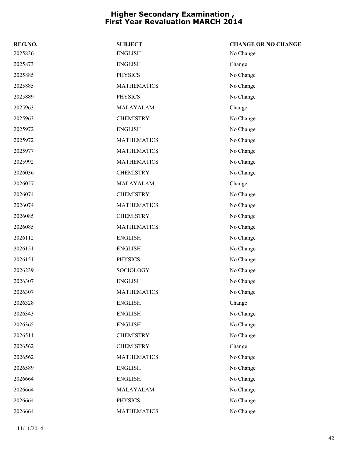| REG.NO. | <b>SUBJECT</b>     | <b>CHANGE OR NO CHANGE</b> |
|---------|--------------------|----------------------------|
| 2025836 | <b>ENGLISH</b>     | No Change                  |
| 2025873 | <b>ENGLISH</b>     | Change                     |
| 2025885 | <b>PHYSICS</b>     | No Change                  |
| 2025885 | <b>MATHEMATICS</b> | No Change                  |
| 2025889 | <b>PHYSICS</b>     | No Change                  |
| 2025963 | MALAYALAM          | Change                     |
| 2025963 | <b>CHEMISTRY</b>   | No Change                  |
| 2025972 | <b>ENGLISH</b>     | No Change                  |
| 2025972 | <b>MATHEMATICS</b> | No Change                  |
| 2025977 | <b>MATHEMATICS</b> | No Change                  |
| 2025992 | <b>MATHEMATICS</b> | No Change                  |
| 2026036 | <b>CHEMISTRY</b>   | No Change                  |
| 2026057 | MALAYALAM          | Change                     |
| 2026074 | <b>CHEMISTRY</b>   | No Change                  |
| 2026074 | <b>MATHEMATICS</b> | No Change                  |
| 2026085 | <b>CHEMISTRY</b>   | No Change                  |
| 2026085 | <b>MATHEMATICS</b> | No Change                  |
| 2026112 | <b>ENGLISH</b>     | No Change                  |
| 2026151 | <b>ENGLISH</b>     | No Change                  |
| 2026151 | <b>PHYSICS</b>     | No Change                  |
| 2026239 | SOCIOLOGY          | No Change                  |
| 2026307 | <b>ENGLISH</b>     | No Change                  |
| 2026307 | <b>MATHEMATICS</b> | No Change                  |
| 2026328 | <b>ENGLISH</b>     | Change                     |
| 2026343 | <b>ENGLISH</b>     | No Change                  |
| 2026365 | <b>ENGLISH</b>     | No Change                  |
| 2026511 | <b>CHEMISTRY</b>   | No Change                  |
| 2026562 | <b>CHEMISTRY</b>   | Change                     |
| 2026562 | <b>MATHEMATICS</b> | No Change                  |
| 2026589 | <b>ENGLISH</b>     | No Change                  |
| 2026664 | <b>ENGLISH</b>     | No Change                  |
| 2026664 | MALAYALAM          | No Change                  |
| 2026664 | <b>PHYSICS</b>     | No Change                  |
| 2026664 | <b>MATHEMATICS</b> | No Change                  |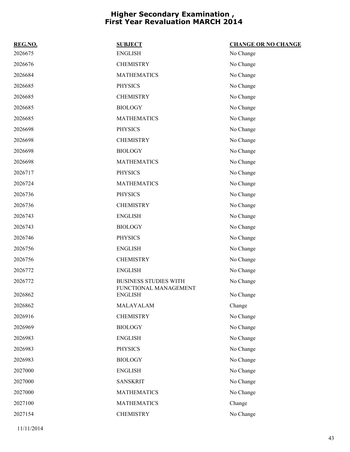| REG.NO. | <b>SUBJECT</b>                                        | <b>CHANGE OR NO CHANGE</b> |
|---------|-------------------------------------------------------|----------------------------|
| 2026675 | <b>ENGLISH</b>                                        | No Change                  |
| 2026676 | <b>CHEMISTRY</b>                                      | No Change                  |
| 2026684 | <b>MATHEMATICS</b>                                    | No Change                  |
| 2026685 | <b>PHYSICS</b>                                        | No Change                  |
| 2026685 | <b>CHEMISTRY</b>                                      | No Change                  |
| 2026685 | <b>BIOLOGY</b>                                        | No Change                  |
| 2026685 | <b>MATHEMATICS</b>                                    | No Change                  |
| 2026698 | <b>PHYSICS</b>                                        | No Change                  |
| 2026698 | <b>CHEMISTRY</b>                                      | No Change                  |
| 2026698 | <b>BIOLOGY</b>                                        | No Change                  |
| 2026698 | <b>MATHEMATICS</b>                                    | No Change                  |
| 2026717 | <b>PHYSICS</b>                                        | No Change                  |
| 2026724 | <b>MATHEMATICS</b>                                    | No Change                  |
| 2026736 | <b>PHYSICS</b>                                        | No Change                  |
| 2026736 | <b>CHEMISTRY</b>                                      | No Change                  |
| 2026743 | <b>ENGLISH</b>                                        | No Change                  |
| 2026743 | <b>BIOLOGY</b>                                        | No Change                  |
| 2026746 | <b>PHYSICS</b>                                        | No Change                  |
| 2026756 | <b>ENGLISH</b>                                        | No Change                  |
| 2026756 | <b>CHEMISTRY</b>                                      | No Change                  |
| 2026772 | <b>ENGLISH</b>                                        | No Change                  |
| 2026772 | <b>BUSINESS STUDIES WITH</b><br>FUNCTIONAL MANAGEMENT | No Change                  |
| 2026862 | <b>ENGLISH</b>                                        | No Change                  |
| 2026862 | MALAYALAM                                             | Change                     |
| 2026916 | <b>CHEMISTRY</b>                                      | No Change                  |
| 2026969 | <b>BIOLOGY</b>                                        | No Change                  |
| 2026983 | <b>ENGLISH</b>                                        | No Change                  |
| 2026983 | <b>PHYSICS</b>                                        | No Change                  |
| 2026983 | <b>BIOLOGY</b>                                        | No Change                  |
| 2027000 | <b>ENGLISH</b>                                        | No Change                  |
| 2027000 | <b>SANSKRIT</b>                                       | No Change                  |
| 2027000 | <b>MATHEMATICS</b>                                    | No Change                  |
| 2027100 | <b>MATHEMATICS</b>                                    | Change                     |
| 2027154 | <b>CHEMISTRY</b>                                      | No Change                  |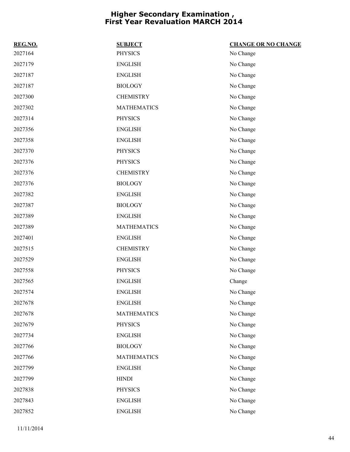| REG.NO. | <b>SUBJECT</b>     | <b>CHANGE OR NO CHANGE</b> |
|---------|--------------------|----------------------------|
| 2027164 | <b>PHYSICS</b>     | No Change                  |
| 2027179 | <b>ENGLISH</b>     | No Change                  |
| 2027187 | <b>ENGLISH</b>     | No Change                  |
| 2027187 | <b>BIOLOGY</b>     | No Change                  |
| 2027300 | <b>CHEMISTRY</b>   | No Change                  |
| 2027302 | <b>MATHEMATICS</b> | No Change                  |
| 2027314 | <b>PHYSICS</b>     | No Change                  |
| 2027356 | ${\rm ENGLISH}$    | No Change                  |
| 2027358 | <b>ENGLISH</b>     | No Change                  |
| 2027370 | <b>PHYSICS</b>     | No Change                  |
| 2027376 | <b>PHYSICS</b>     | No Change                  |
| 2027376 | <b>CHEMISTRY</b>   | No Change                  |
| 2027376 | <b>BIOLOGY</b>     | No Change                  |
| 2027382 | <b>ENGLISH</b>     | No Change                  |
| 2027387 | <b>BIOLOGY</b>     | No Change                  |
| 2027389 | <b>ENGLISH</b>     | No Change                  |
| 2027389 | <b>MATHEMATICS</b> | No Change                  |
| 2027401 | <b>ENGLISH</b>     | No Change                  |
| 2027515 | <b>CHEMISTRY</b>   | No Change                  |
| 2027529 | <b>ENGLISH</b>     | No Change                  |
| 2027558 | <b>PHYSICS</b>     | No Change                  |
| 2027565 | <b>ENGLISH</b>     | Change                     |
| 2027574 | <b>ENGLISH</b>     | No Change                  |
| 2027678 | <b>ENGLISH</b>     | No Change                  |
| 2027678 | <b>MATHEMATICS</b> | No Change                  |
| 2027679 | <b>PHYSICS</b>     | No Change                  |
| 2027734 | <b>ENGLISH</b>     | No Change                  |
| 2027766 | <b>BIOLOGY</b>     | No Change                  |
| 2027766 | <b>MATHEMATICS</b> | No Change                  |
| 2027799 | <b>ENGLISH</b>     | No Change                  |
| 2027799 | <b>HINDI</b>       | No Change                  |
| 2027838 | <b>PHYSICS</b>     | No Change                  |
| 2027843 | <b>ENGLISH</b>     | No Change                  |
| 2027852 | <b>ENGLISH</b>     | No Change                  |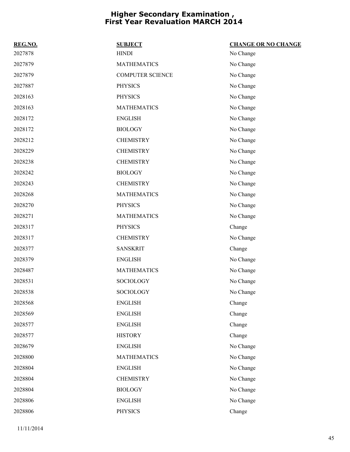| REG.NO. | <b>SUBJECT</b>          | <b>CHANGE OR NO CHANGE</b> |
|---------|-------------------------|----------------------------|
| 2027878 | <b>HINDI</b>            | No Change                  |
| 2027879 | <b>MATHEMATICS</b>      | No Change                  |
| 2027879 | <b>COMPUTER SCIENCE</b> | No Change                  |
| 2027887 | <b>PHYSICS</b>          | No Change                  |
| 2028163 | <b>PHYSICS</b>          | No Change                  |
| 2028163 | <b>MATHEMATICS</b>      | No Change                  |
| 2028172 | <b>ENGLISH</b>          | No Change                  |
| 2028172 | <b>BIOLOGY</b>          | No Change                  |
| 2028212 | <b>CHEMISTRY</b>        | No Change                  |
| 2028229 | <b>CHEMISTRY</b>        | No Change                  |
| 2028238 | <b>CHEMISTRY</b>        | No Change                  |
| 2028242 | <b>BIOLOGY</b>          | No Change                  |
| 2028243 | <b>CHEMISTRY</b>        | No Change                  |
| 2028268 | <b>MATHEMATICS</b>      | No Change                  |
| 2028270 | <b>PHYSICS</b>          | No Change                  |
| 2028271 | <b>MATHEMATICS</b>      | No Change                  |
| 2028317 | <b>PHYSICS</b>          | Change                     |
| 2028317 | <b>CHEMISTRY</b>        | No Change                  |
| 2028377 | <b>SANSKRIT</b>         | Change                     |
| 2028379 | <b>ENGLISH</b>          | No Change                  |
| 2028487 | <b>MATHEMATICS</b>      | No Change                  |
| 2028531 | SOCIOLOGY               | No Change                  |
| 2028538 | <b>SOCIOLOGY</b>        | No Change                  |
| 2028568 | <b>ENGLISH</b>          | Change                     |
| 2028569 | <b>ENGLISH</b>          | Change                     |
| 2028577 | <b>ENGLISH</b>          | Change                     |
| 2028577 | <b>HISTORY</b>          | Change                     |
| 2028679 | <b>ENGLISH</b>          | No Change                  |
| 2028800 | <b>MATHEMATICS</b>      | No Change                  |
| 2028804 | <b>ENGLISH</b>          | No Change                  |
| 2028804 | <b>CHEMISTRY</b>        | No Change                  |
| 2028804 | <b>BIOLOGY</b>          | No Change                  |
| 2028806 | <b>ENGLISH</b>          | No Change                  |
| 2028806 | <b>PHYSICS</b>          | Change                     |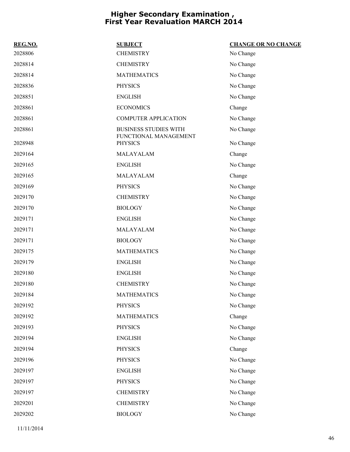| REG.NO. | <b>SUBJECT</b>                                        | <b>CHANGE OR NO CHANGE</b> |
|---------|-------------------------------------------------------|----------------------------|
| 2028806 | <b>CHEMISTRY</b>                                      | No Change                  |
| 2028814 | <b>CHEMISTRY</b>                                      | No Change                  |
| 2028814 | <b>MATHEMATICS</b>                                    | No Change                  |
| 2028836 | <b>PHYSICS</b>                                        | No Change                  |
| 2028851 | <b>ENGLISH</b>                                        | No Change                  |
| 2028861 | <b>ECONOMICS</b>                                      | Change                     |
| 2028861 | <b>COMPUTER APPLICATION</b>                           | No Change                  |
| 2028861 | <b>BUSINESS STUDIES WITH</b><br>FUNCTIONAL MANAGEMENT | No Change                  |
| 2028948 | <b>PHYSICS</b>                                        | No Change                  |
| 2029164 | MALAYALAM                                             | Change                     |
| 2029165 | <b>ENGLISH</b>                                        | No Change                  |
| 2029165 | MALAYALAM                                             | Change                     |
| 2029169 | <b>PHYSICS</b>                                        | No Change                  |
| 2029170 | <b>CHEMISTRY</b>                                      | No Change                  |
| 2029170 | <b>BIOLOGY</b>                                        | No Change                  |
| 2029171 | <b>ENGLISH</b>                                        | No Change                  |
| 2029171 | MALAYALAM                                             | No Change                  |
| 2029171 | <b>BIOLOGY</b>                                        | No Change                  |
| 2029175 | <b>MATHEMATICS</b>                                    | No Change                  |
| 2029179 | <b>ENGLISH</b>                                        | No Change                  |
| 2029180 | <b>ENGLISH</b>                                        | No Change                  |
| 2029180 | <b>CHEMISTRY</b>                                      | No Change                  |
| 2029184 | <b>MATHEMATICS</b>                                    | No Change                  |
| 2029192 | <b>PHYSICS</b>                                        | No Change                  |
| 2029192 | <b>MATHEMATICS</b>                                    | Change                     |
| 2029193 | <b>PHYSICS</b>                                        | No Change                  |
| 2029194 | <b>ENGLISH</b>                                        | No Change                  |
| 2029194 | <b>PHYSICS</b>                                        | Change                     |
| 2029196 | <b>PHYSICS</b>                                        | No Change                  |
| 2029197 | <b>ENGLISH</b>                                        | No Change                  |
| 2029197 | <b>PHYSICS</b>                                        | No Change                  |
| 2029197 | <b>CHEMISTRY</b>                                      | No Change                  |
| 2029201 | <b>CHEMISTRY</b>                                      | No Change                  |
| 2029202 | <b>BIOLOGY</b>                                        | No Change                  |
|         |                                                       |                            |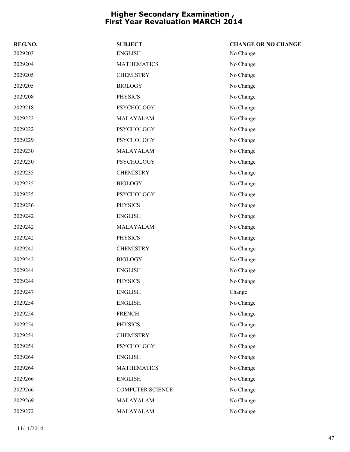| REG.NO. | <b>SUBJECT</b>          | <b>CHANGE OR NO CHANGE</b> |
|---------|-------------------------|----------------------------|
| 2029203 | <b>ENGLISH</b>          | No Change                  |
| 2029204 | <b>MATHEMATICS</b>      | No Change                  |
| 2029205 | <b>CHEMISTRY</b>        | No Change                  |
| 2029205 | <b>BIOLOGY</b>          | No Change                  |
| 2029208 | <b>PHYSICS</b>          | No Change                  |
| 2029218 | PSYCHOLOGY              | No Change                  |
| 2029222 | MALAYALAM               | No Change                  |
| 2029222 | PSYCHOLOGY              | No Change                  |
| 2029229 | PSYCHOLOGY              | No Change                  |
| 2029230 | MALAYALAM               | No Change                  |
| 2029230 | <b>PSYCHOLOGY</b>       | No Change                  |
| 2029235 | <b>CHEMISTRY</b>        | No Change                  |
| 2029235 | <b>BIOLOGY</b>          | No Change                  |
| 2029235 | <b>PSYCHOLOGY</b>       | No Change                  |
| 2029236 | <b>PHYSICS</b>          | No Change                  |
| 2029242 | <b>ENGLISH</b>          | No Change                  |
| 2029242 | MALAYALAM               | No Change                  |
| 2029242 | <b>PHYSICS</b>          | No Change                  |
| 2029242 | <b>CHEMISTRY</b>        | No Change                  |
| 2029242 | <b>BIOLOGY</b>          | No Change                  |
| 2029244 | <b>ENGLISH</b>          | No Change                  |
| 2029244 | <b>PHYSICS</b>          | No Change                  |
| 2029247 | <b>ENGLISH</b>          | Change                     |
| 2029254 | <b>ENGLISH</b>          | No Change                  |
| 2029254 | <b>FRENCH</b>           | No Change                  |
| 2029254 | <b>PHYSICS</b>          | No Change                  |
| 2029254 | <b>CHEMISTRY</b>        | No Change                  |
| 2029254 | <b>PSYCHOLOGY</b>       | No Change                  |
| 2029264 | <b>ENGLISH</b>          | No Change                  |
| 2029264 | <b>MATHEMATICS</b>      | No Change                  |
| 2029266 | <b>ENGLISH</b>          | No Change                  |
| 2029266 | <b>COMPUTER SCIENCE</b> | No Change                  |
| 2029269 | MALAYALAM               | No Change                  |
| 2029272 | MALAYALAM               | No Change                  |

11/11/2014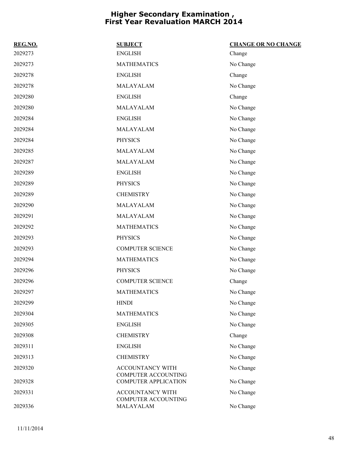| REG.NO. | <b>SUBJECT</b>                                        | <b>CHANGE OR NO CHANGE</b> |
|---------|-------------------------------------------------------|----------------------------|
| 2029273 | <b>ENGLISH</b>                                        | Change                     |
| 2029273 | <b>MATHEMATICS</b>                                    | No Change                  |
| 2029278 | <b>ENGLISH</b>                                        | Change                     |
| 2029278 | MALAYALAM                                             | No Change                  |
| 2029280 | <b>ENGLISH</b>                                        | Change                     |
| 2029280 | MALAYALAM                                             | No Change                  |
| 2029284 | <b>ENGLISH</b>                                        | No Change                  |
| 2029284 | MALAYALAM                                             | No Change                  |
| 2029284 | <b>PHYSICS</b>                                        | No Change                  |
| 2029285 | MALAYALAM                                             | No Change                  |
| 2029287 | MALAYALAM                                             | No Change                  |
| 2029289 | <b>ENGLISH</b>                                        | No Change                  |
| 2029289 | <b>PHYSICS</b>                                        | No Change                  |
| 2029289 | <b>CHEMISTRY</b>                                      | No Change                  |
| 2029290 | MALAYALAM                                             | No Change                  |
| 2029291 | MALAYALAM                                             | No Change                  |
| 2029292 | <b>MATHEMATICS</b>                                    | No Change                  |
| 2029293 | <b>PHYSICS</b>                                        | No Change                  |
| 2029293 | <b>COMPUTER SCIENCE</b>                               | No Change                  |
| 2029294 | <b>MATHEMATICS</b>                                    | No Change                  |
| 2029296 | <b>PHYSICS</b>                                        | No Change                  |
| 2029296 | <b>COMPUTER SCIENCE</b>                               | Change                     |
| 2029297 | <b>MATHEMATICS</b>                                    | No Change                  |
| 2029299 | <b>HINDI</b>                                          | No Change                  |
| 2029304 | <b>MATHEMATICS</b>                                    | No Change                  |
| 2029305 | <b>ENGLISH</b>                                        | No Change                  |
| 2029308 | <b>CHEMISTRY</b>                                      | Change                     |
| 2029311 | <b>ENGLISH</b>                                        | No Change                  |
| 2029313 | <b>CHEMISTRY</b>                                      | No Change                  |
| 2029320 | <b>ACCOUNTANCY WITH</b><br><b>COMPUTER ACCOUNTING</b> | No Change                  |
| 2029328 | <b>COMPUTER APPLICATION</b>                           | No Change                  |
| 2029331 | ACCOUNTANCY WITH<br>COMPUTER ACCOUNTING               | No Change                  |
| 2029336 | MALAYALAM                                             | No Change                  |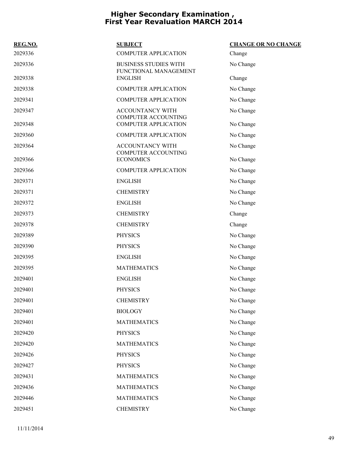| REG.NO. | <b>SUBJECT</b>                                        | <b>CHANGE OR NO CHANGE</b> |
|---------|-------------------------------------------------------|----------------------------|
| 2029336 | <b>COMPUTER APPLICATION</b>                           | Change                     |
| 2029336 | <b>BUSINESS STUDIES WITH</b><br>FUNCTIONAL MANAGEMENT | No Change                  |
| 2029338 | <b>ENGLISH</b>                                        | Change                     |
| 2029338 | <b>COMPUTER APPLICATION</b>                           | No Change                  |
| 2029341 | <b>COMPUTER APPLICATION</b>                           | No Change                  |
| 2029347 | <b>ACCOUNTANCY WITH</b><br>COMPUTER ACCOUNTING        | No Change                  |
| 2029348 | <b>COMPUTER APPLICATION</b>                           | No Change                  |
| 2029360 | <b>COMPUTER APPLICATION</b>                           | No Change                  |
| 2029364 | <b>ACCOUNTANCY WITH</b><br><b>COMPUTER ACCOUNTING</b> | No Change                  |
| 2029366 | <b>ECONOMICS</b>                                      | No Change                  |
| 2029366 | <b>COMPUTER APPLICATION</b>                           | No Change                  |
| 2029371 | <b>ENGLISH</b>                                        | No Change                  |
| 2029371 | <b>CHEMISTRY</b>                                      | No Change                  |
| 2029372 | <b>ENGLISH</b>                                        | No Change                  |
| 2029373 | <b>CHEMISTRY</b>                                      | Change                     |
| 2029378 | <b>CHEMISTRY</b>                                      | Change                     |
| 2029389 | <b>PHYSICS</b>                                        | No Change                  |
| 2029390 | <b>PHYSICS</b>                                        | No Change                  |
| 2029395 | <b>ENGLISH</b>                                        | No Change                  |
| 2029395 | <b>MATHEMATICS</b>                                    | No Change                  |
| 2029401 | <b>ENGLISH</b>                                        | No Change                  |
| 2029401 | <b>PHYSICS</b>                                        | No Change                  |
| 2029401 | <b>CHEMISTRY</b>                                      | No Change                  |
| 2029401 | <b>BIOLOGY</b>                                        | No Change                  |
| 2029401 | <b>MATHEMATICS</b>                                    | No Change                  |
| 2029420 | <b>PHYSICS</b>                                        | No Change                  |
| 2029420 | <b>MATHEMATICS</b>                                    | No Change                  |
| 2029426 | <b>PHYSICS</b>                                        | No Change                  |
| 2029427 | <b>PHYSICS</b>                                        | No Change                  |
| 2029431 | <b>MATHEMATICS</b>                                    | No Change                  |
| 2029436 | <b>MATHEMATICS</b>                                    | No Change                  |
| 2029446 | <b>MATHEMATICS</b>                                    | No Change                  |
| 2029451 | <b>CHEMISTRY</b>                                      | No Change                  |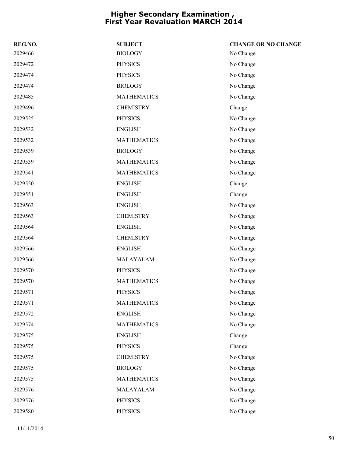| REG.NO. | <b>SUBJECT</b>     | <b>CHANGE OR NO CHANGE</b> |
|---------|--------------------|----------------------------|
| 2029466 | <b>BIOLOGY</b>     | No Change                  |
| 2029472 | <b>PHYSICS</b>     | No Change                  |
| 2029474 | <b>PHYSICS</b>     | No Change                  |
| 2029474 | <b>BIOLOGY</b>     | No Change                  |
| 2029485 | <b>MATHEMATICS</b> | No Change                  |
| 2029496 | <b>CHEMISTRY</b>   | Change                     |
| 2029525 | <b>PHYSICS</b>     | No Change                  |
| 2029532 | <b>ENGLISH</b>     | No Change                  |
| 2029532 | <b>MATHEMATICS</b> | No Change                  |
| 2029539 | <b>BIOLOGY</b>     | No Change                  |
| 2029539 | <b>MATHEMATICS</b> | No Change                  |
| 2029541 | <b>MATHEMATICS</b> | No Change                  |
| 2029550 | <b>ENGLISH</b>     | Change                     |
| 2029551 | <b>ENGLISH</b>     | Change                     |
| 2029563 | <b>ENGLISH</b>     | No Change                  |
| 2029563 | <b>CHEMISTRY</b>   | No Change                  |
| 2029564 | <b>ENGLISH</b>     | No Change                  |
| 2029564 | <b>CHEMISTRY</b>   | No Change                  |
| 2029566 | <b>ENGLISH</b>     | No Change                  |
| 2029566 | MALAYALAM          | No Change                  |
| 2029570 | <b>PHYSICS</b>     | No Change                  |
| 2029570 | <b>MATHEMATICS</b> | No Change                  |
| 2029571 | <b>PHYSICS</b>     | No Change                  |
| 2029571 | <b>MATHEMATICS</b> | No Change                  |
| 2029572 | <b>ENGLISH</b>     | No Change                  |
| 2029574 | <b>MATHEMATICS</b> | No Change                  |
| 2029575 | <b>ENGLISH</b>     | Change                     |
| 2029575 | <b>PHYSICS</b>     | Change                     |
| 2029575 | <b>CHEMISTRY</b>   | No Change                  |
| 2029575 | <b>BIOLOGY</b>     | No Change                  |
| 2029575 | <b>MATHEMATICS</b> | No Change                  |
| 2029576 | MALAYALAM          | No Change                  |
| 2029576 | PHYSICS            | No Change                  |
| 2029580 | PHYSICS            | No Change                  |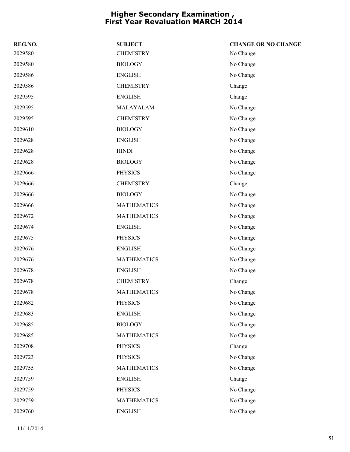| REG.NO. | <b>SUBJECT</b>     | <b>CHANGE OR NO CHANGE</b> |
|---------|--------------------|----------------------------|
| 2029580 | <b>CHEMISTRY</b>   | No Change                  |
| 2029580 | <b>BIOLOGY</b>     | No Change                  |
| 2029586 | <b>ENGLISH</b>     | No Change                  |
| 2029586 | <b>CHEMISTRY</b>   | Change                     |
| 2029595 | <b>ENGLISH</b>     | Change                     |
| 2029595 | MALAYALAM          | No Change                  |
| 2029595 | <b>CHEMISTRY</b>   | No Change                  |
| 2029610 | <b>BIOLOGY</b>     | No Change                  |
| 2029628 | <b>ENGLISH</b>     | No Change                  |
| 2029628 | <b>HINDI</b>       | No Change                  |
| 2029628 | <b>BIOLOGY</b>     | No Change                  |
| 2029666 | <b>PHYSICS</b>     | No Change                  |
| 2029666 | <b>CHEMISTRY</b>   | Change                     |
| 2029666 | <b>BIOLOGY</b>     | No Change                  |
| 2029666 | <b>MATHEMATICS</b> | No Change                  |
| 2029672 | <b>MATHEMATICS</b> | No Change                  |
| 2029674 | <b>ENGLISH</b>     | No Change                  |
| 2029675 | <b>PHYSICS</b>     | No Change                  |
| 2029676 | <b>ENGLISH</b>     | No Change                  |
| 2029676 | <b>MATHEMATICS</b> | No Change                  |
| 2029678 | <b>ENGLISH</b>     | No Change                  |
| 2029678 | <b>CHEMISTRY</b>   | Change                     |
| 2029678 | <b>MATHEMATICS</b> | No Change                  |
| 2029682 | <b>PHYSICS</b>     | No Change                  |
| 2029683 | <b>ENGLISH</b>     | No Change                  |
| 2029685 | <b>BIOLOGY</b>     | No Change                  |
| 2029685 | <b>MATHEMATICS</b> | No Change                  |
| 2029708 | <b>PHYSICS</b>     | Change                     |
| 2029723 | <b>PHYSICS</b>     | No Change                  |
| 2029755 | <b>MATHEMATICS</b> | No Change                  |
| 2029759 | <b>ENGLISH</b>     | Change                     |
| 2029759 | <b>PHYSICS</b>     | No Change                  |
| 2029759 | <b>MATHEMATICS</b> | No Change                  |
| 2029760 | <b>ENGLISH</b>     | No Change                  |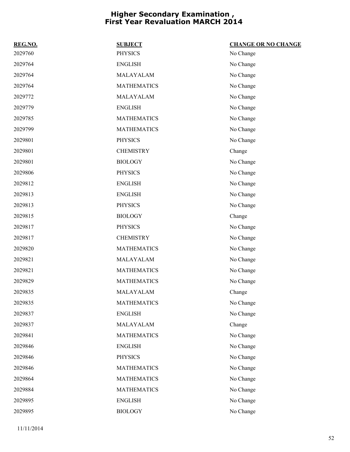| REG.NO. | <b>SUBJECT</b>     | <b>CHANGE OR NO CHANGE</b> |
|---------|--------------------|----------------------------|
| 2029760 | <b>PHYSICS</b>     | No Change                  |
| 2029764 | <b>ENGLISH</b>     | No Change                  |
| 2029764 | MALAYALAM          | No Change                  |
| 2029764 | <b>MATHEMATICS</b> | No Change                  |
| 2029772 | MALAYALAM          | No Change                  |
| 2029779 | <b>ENGLISH</b>     | No Change                  |
| 2029785 | <b>MATHEMATICS</b> | No Change                  |
| 2029799 | <b>MATHEMATICS</b> | No Change                  |
| 2029801 | <b>PHYSICS</b>     | No Change                  |
| 2029801 | <b>CHEMISTRY</b>   | Change                     |
| 2029801 | <b>BIOLOGY</b>     | No Change                  |
| 2029806 | <b>PHYSICS</b>     | No Change                  |
| 2029812 | <b>ENGLISH</b>     | No Change                  |
| 2029813 | <b>ENGLISH</b>     | No Change                  |
| 2029813 | <b>PHYSICS</b>     | No Change                  |
| 2029815 | <b>BIOLOGY</b>     | Change                     |
| 2029817 | <b>PHYSICS</b>     | No Change                  |
| 2029817 | <b>CHEMISTRY</b>   | No Change                  |
| 2029820 | <b>MATHEMATICS</b> | No Change                  |
| 2029821 | MALAYALAM          | No Change                  |
| 2029821 | <b>MATHEMATICS</b> | No Change                  |
| 2029829 | <b>MATHEMATICS</b> | No Change                  |
| 2029835 | MALAYALAM          | Change                     |
| 2029835 | <b>MATHEMATICS</b> | No Change                  |
| 2029837 | <b>ENGLISH</b>     | No Change                  |
| 2029837 | MALAYALAM          | Change                     |
| 2029841 | <b>MATHEMATICS</b> | No Change                  |
| 2029846 | <b>ENGLISH</b>     | No Change                  |
| 2029846 | <b>PHYSICS</b>     | No Change                  |
| 2029846 | <b>MATHEMATICS</b> | No Change                  |
| 2029864 | <b>MATHEMATICS</b> | No Change                  |
| 2029884 | <b>MATHEMATICS</b> | No Change                  |
| 2029895 | <b>ENGLISH</b>     | No Change                  |
| 2029895 | <b>BIOLOGY</b>     | No Change                  |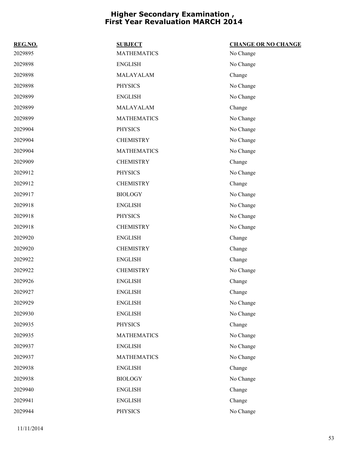| REG.NO. | <b>SUBJECT</b>     | <b>CHANGE OR NO CHANGE</b> |
|---------|--------------------|----------------------------|
| 2029895 | <b>MATHEMATICS</b> | No Change                  |
| 2029898 | <b>ENGLISH</b>     | No Change                  |
| 2029898 | MALAYALAM          | Change                     |
| 2029898 | <b>PHYSICS</b>     | No Change                  |
| 2029899 | <b>ENGLISH</b>     | No Change                  |
| 2029899 | MALAYALAM          | Change                     |
| 2029899 | <b>MATHEMATICS</b> | No Change                  |
| 2029904 | <b>PHYSICS</b>     | No Change                  |
| 2029904 | <b>CHEMISTRY</b>   | No Change                  |
| 2029904 | <b>MATHEMATICS</b> | No Change                  |
| 2029909 | <b>CHEMISTRY</b>   | Change                     |
| 2029912 | <b>PHYSICS</b>     | No Change                  |
| 2029912 | <b>CHEMISTRY</b>   | Change                     |
| 2029917 | <b>BIOLOGY</b>     | No Change                  |
| 2029918 | <b>ENGLISH</b>     | No Change                  |
| 2029918 | <b>PHYSICS</b>     | No Change                  |
| 2029918 | <b>CHEMISTRY</b>   | No Change                  |
| 2029920 | <b>ENGLISH</b>     | Change                     |
| 2029920 | <b>CHEMISTRY</b>   | Change                     |
| 2029922 | <b>ENGLISH</b>     | Change                     |
| 2029922 | <b>CHEMISTRY</b>   | No Change                  |
| 2029926 | <b>ENGLISH</b>     | Change                     |
| 2029927 | <b>ENGLISH</b>     | Change                     |
| 2029929 | <b>ENGLISH</b>     | No Change                  |
| 2029930 | <b>ENGLISH</b>     | No Change                  |
| 2029935 | <b>PHYSICS</b>     | Change                     |
| 2029935 | <b>MATHEMATICS</b> | No Change                  |
| 2029937 | <b>ENGLISH</b>     | No Change                  |
| 2029937 | <b>MATHEMATICS</b> | No Change                  |
| 2029938 | <b>ENGLISH</b>     | Change                     |
| 2029938 | <b>BIOLOGY</b>     | No Change                  |
| 2029940 | <b>ENGLISH</b>     | Change                     |
| 2029941 | <b>ENGLISH</b>     | Change                     |
| 2029944 | PHYSICS            | No Change                  |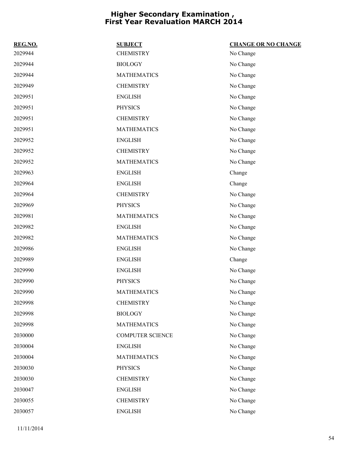| REG.NO. | <b>SUBJECT</b>          | <b>CHANGE OR NO CHANGE</b> |
|---------|-------------------------|----------------------------|
| 2029944 | <b>CHEMISTRY</b>        | No Change                  |
| 2029944 | <b>BIOLOGY</b>          | No Change                  |
| 2029944 | <b>MATHEMATICS</b>      | No Change                  |
| 2029949 | <b>CHEMISTRY</b>        | No Change                  |
| 2029951 | <b>ENGLISH</b>          | No Change                  |
| 2029951 | <b>PHYSICS</b>          | No Change                  |
| 2029951 | <b>CHEMISTRY</b>        | No Change                  |
| 2029951 | <b>MATHEMATICS</b>      | No Change                  |
| 2029952 | <b>ENGLISH</b>          | No Change                  |
| 2029952 | <b>CHEMISTRY</b>        | No Change                  |
| 2029952 | <b>MATHEMATICS</b>      | No Change                  |
| 2029963 | <b>ENGLISH</b>          | Change                     |
| 2029964 | <b>ENGLISH</b>          | Change                     |
| 2029964 | <b>CHEMISTRY</b>        | No Change                  |
| 2029969 | <b>PHYSICS</b>          | No Change                  |
| 2029981 | <b>MATHEMATICS</b>      | No Change                  |
| 2029982 | <b>ENGLISH</b>          | No Change                  |
| 2029982 | <b>MATHEMATICS</b>      | No Change                  |
| 2029986 | <b>ENGLISH</b>          | No Change                  |
| 2029989 | <b>ENGLISH</b>          | Change                     |
| 2029990 | <b>ENGLISH</b>          | No Change                  |
| 2029990 | <b>PHYSICS</b>          | No Change                  |
| 2029990 | <b>MATHEMATICS</b>      | No Change                  |
| 2029998 | <b>CHEMISTRY</b>        | No Change                  |
| 2029998 | <b>BIOLOGY</b>          | No Change                  |
| 2029998 | <b>MATHEMATICS</b>      | No Change                  |
| 2030000 | <b>COMPUTER SCIENCE</b> | No Change                  |
| 2030004 | <b>ENGLISH</b>          | No Change                  |
| 2030004 | <b>MATHEMATICS</b>      | No Change                  |
| 2030030 | <b>PHYSICS</b>          | No Change                  |
| 2030030 | <b>CHEMISTRY</b>        | No Change                  |
| 2030047 | <b>ENGLISH</b>          | No Change                  |
| 2030055 | <b>CHEMISTRY</b>        | No Change                  |
| 2030057 | <b>ENGLISH</b>          | No Change                  |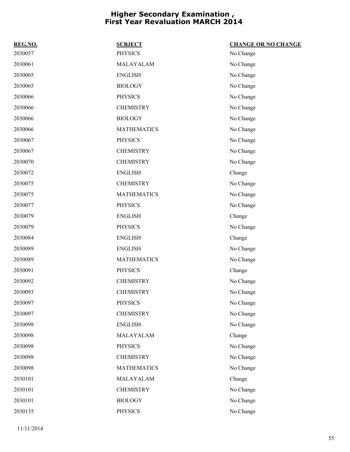| REG.NO. | <b>SUBJECT</b>     | <b>CHANGE OR NO CHANGE</b> |
|---------|--------------------|----------------------------|
| 2030057 | <b>PHYSICS</b>     | No Change                  |
| 2030061 | MALAYALAM          | No Change                  |
| 2030065 | <b>ENGLISH</b>     | No Change                  |
| 2030065 | <b>BIOLOGY</b>     | No Change                  |
| 2030066 | <b>PHYSICS</b>     | No Change                  |
| 2030066 | <b>CHEMISTRY</b>   | No Change                  |
| 2030066 | <b>BIOLOGY</b>     | No Change                  |
| 2030066 | <b>MATHEMATICS</b> | No Change                  |
| 2030067 | <b>PHYSICS</b>     | No Change                  |
| 2030067 | <b>CHEMISTRY</b>   | No Change                  |
| 2030070 | <b>CHEMISTRY</b>   | No Change                  |
| 2030072 | <b>ENGLISH</b>     | Change                     |
| 2030075 | <b>CHEMISTRY</b>   | No Change                  |
| 2030075 | <b>MATHEMATICS</b> | No Change                  |
| 2030077 | <b>PHYSICS</b>     | No Change                  |
| 2030079 | <b>ENGLISH</b>     | Change                     |
| 2030079 | <b>PHYSICS</b>     | No Change                  |
| 2030084 | <b>ENGLISH</b>     | Change                     |
| 2030089 | <b>ENGLISH</b>     | No Change                  |
| 2030089 | <b>MATHEMATICS</b> | No Change                  |
| 2030091 | <b>PHYSICS</b>     | Change                     |
| 2030092 | <b>CHEMISTRY</b>   | No Change                  |
| 2030093 | <b>CHEMISTRY</b>   | No Change                  |
| 2030097 | <b>PHYSICS</b>     | No Change                  |
| 2030097 | <b>CHEMISTRY</b>   | No Change                  |
| 2030098 | <b>ENGLISH</b>     | No Change                  |
| 2030098 | MALAYALAM          | Change                     |
| 2030098 | <b>PHYSICS</b>     | No Change                  |
| 2030098 | <b>CHEMISTRY</b>   | No Change                  |
| 2030098 | <b>MATHEMATICS</b> | No Change                  |
| 2030101 | MALAYALAM          | Change                     |
| 2030101 | <b>CHEMISTRY</b>   | No Change                  |
| 2030101 | <b>BIOLOGY</b>     | No Change                  |
| 2030135 | <b>PHYSICS</b>     | No Change                  |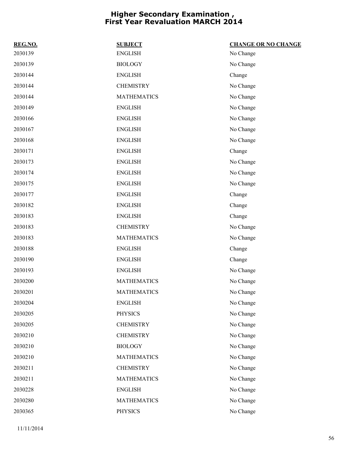| REG.NO. | <b>SUBJECT</b>     | <b>CHANGE OR NO CHANGE</b> |
|---------|--------------------|----------------------------|
| 2030139 | <b>ENGLISH</b>     | No Change                  |
| 2030139 | <b>BIOLOGY</b>     | No Change                  |
| 2030144 | <b>ENGLISH</b>     | Change                     |
| 2030144 | <b>CHEMISTRY</b>   | No Change                  |
| 2030144 | <b>MATHEMATICS</b> | No Change                  |
| 2030149 | <b>ENGLISH</b>     | No Change                  |
| 2030166 | <b>ENGLISH</b>     | No Change                  |
| 2030167 | <b>ENGLISH</b>     | No Change                  |
| 2030168 | <b>ENGLISH</b>     | No Change                  |
| 2030171 | <b>ENGLISH</b>     | Change                     |
| 2030173 | <b>ENGLISH</b>     | No Change                  |
| 2030174 | <b>ENGLISH</b>     | No Change                  |
| 2030175 | <b>ENGLISH</b>     | No Change                  |
| 2030177 | <b>ENGLISH</b>     | Change                     |
| 2030182 | <b>ENGLISH</b>     | Change                     |
| 2030183 | <b>ENGLISH</b>     | Change                     |
| 2030183 | <b>CHEMISTRY</b>   | No Change                  |
| 2030183 | <b>MATHEMATICS</b> | No Change                  |
| 2030188 | <b>ENGLISH</b>     | Change                     |
| 2030190 | <b>ENGLISH</b>     | Change                     |
| 2030193 | <b>ENGLISH</b>     | No Change                  |
| 2030200 | <b>MATHEMATICS</b> | No Change                  |
| 2030201 | <b>MATHEMATICS</b> | No Change                  |
| 2030204 | <b>ENGLISH</b>     | No Change                  |
| 2030205 | <b>PHYSICS</b>     | No Change                  |
| 2030205 | <b>CHEMISTRY</b>   | No Change                  |
| 2030210 | <b>CHEMISTRY</b>   | No Change                  |
| 2030210 | <b>BIOLOGY</b>     | No Change                  |
| 2030210 | <b>MATHEMATICS</b> | No Change                  |
| 2030211 | <b>CHEMISTRY</b>   | No Change                  |
| 2030211 | <b>MATHEMATICS</b> | No Change                  |
| 2030228 | <b>ENGLISH</b>     | No Change                  |
| 2030280 | <b>MATHEMATICS</b> | No Change                  |
| 2030365 | <b>PHYSICS</b>     | No Change                  |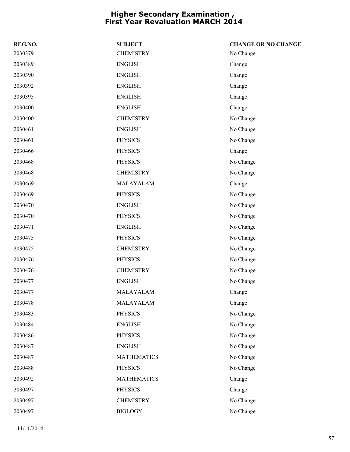| REG.NO. | <b>SUBJECT</b>     | <b>CHANGE OR NO CHANGE</b> |
|---------|--------------------|----------------------------|
| 2030379 | <b>CHEMISTRY</b>   | No Change                  |
| 2030389 | <b>ENGLISH</b>     | Change                     |
| 2030390 | <b>ENGLISH</b>     | Change                     |
| 2030392 | <b>ENGLISH</b>     | Change                     |
| 2030395 | <b>ENGLISH</b>     | Change                     |
| 2030400 | <b>ENGLISH</b>     | Change                     |
| 2030400 | <b>CHEMISTRY</b>   | No Change                  |
| 2030461 | <b>ENGLISH</b>     | No Change                  |
| 2030461 | <b>PHYSICS</b>     | No Change                  |
| 2030466 | <b>PHYSICS</b>     | Change                     |
| 2030468 | <b>PHYSICS</b>     | No Change                  |
| 2030468 | <b>CHEMISTRY</b>   | No Change                  |
| 2030469 | MALAYALAM          | Change                     |
| 2030469 | <b>PHYSICS</b>     | No Change                  |
| 2030470 | <b>ENGLISH</b>     | No Change                  |
| 2030470 | <b>PHYSICS</b>     | No Change                  |
| 2030471 | <b>ENGLISH</b>     | No Change                  |
| 2030475 | <b>PHYSICS</b>     | No Change                  |
| 2030475 | <b>CHEMISTRY</b>   | No Change                  |
| 2030476 | <b>PHYSICS</b>     | No Change                  |
| 2030476 | <b>CHEMISTRY</b>   | No Change                  |
| 2030477 | <b>ENGLISH</b>     | No Change                  |
| 2030477 | MALAYALAM          | Change                     |
| 2030478 | MALAYALAM          | Change                     |
| 2030483 | <b>PHYSICS</b>     | No Change                  |
| 2030484 | <b>ENGLISH</b>     | No Change                  |
| 2030486 | <b>PHYSICS</b>     | No Change                  |
| 2030487 | <b>ENGLISH</b>     | No Change                  |
| 2030487 | <b>MATHEMATICS</b> | No Change                  |
| 2030488 | <b>PHYSICS</b>     | No Change                  |
| 2030492 | <b>MATHEMATICS</b> | Change                     |
| 2030497 | <b>PHYSICS</b>     | Change                     |
| 2030497 | <b>CHEMISTRY</b>   | No Change                  |
| 2030497 | <b>BIOLOGY</b>     | No Change                  |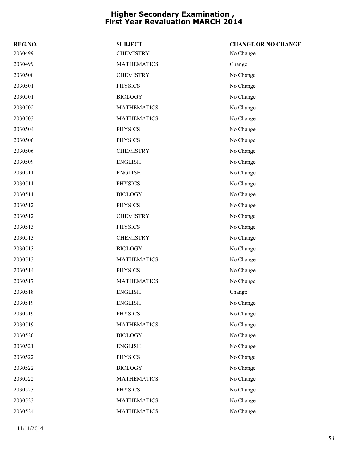| REG.NO. | <b>SUBJECT</b>     | <b>CHANGE OR NO CHANGE</b> |
|---------|--------------------|----------------------------|
| 2030499 | <b>CHEMISTRY</b>   | No Change                  |
| 2030499 | <b>MATHEMATICS</b> | Change                     |
| 2030500 | <b>CHEMISTRY</b>   | No Change                  |
| 2030501 | <b>PHYSICS</b>     | No Change                  |
| 2030501 | <b>BIOLOGY</b>     | No Change                  |
| 2030502 | <b>MATHEMATICS</b> | No Change                  |
| 2030503 | <b>MATHEMATICS</b> | No Change                  |
| 2030504 | <b>PHYSICS</b>     | No Change                  |
| 2030506 | <b>PHYSICS</b>     | No Change                  |
| 2030506 | <b>CHEMISTRY</b>   | No Change                  |
| 2030509 | <b>ENGLISH</b>     | No Change                  |
| 2030511 | <b>ENGLISH</b>     | No Change                  |
| 2030511 | <b>PHYSICS</b>     | No Change                  |
| 2030511 | <b>BIOLOGY</b>     | No Change                  |
| 2030512 | <b>PHYSICS</b>     | No Change                  |
| 2030512 | <b>CHEMISTRY</b>   | No Change                  |
| 2030513 | <b>PHYSICS</b>     | No Change                  |
| 2030513 | <b>CHEMISTRY</b>   | No Change                  |
| 2030513 | <b>BIOLOGY</b>     | No Change                  |
| 2030513 | <b>MATHEMATICS</b> | No Change                  |
| 2030514 | <b>PHYSICS</b>     | No Change                  |
| 2030517 | <b>MATHEMATICS</b> | No Change                  |
| 2030518 | <b>ENGLISH</b>     | Change                     |
| 2030519 | <b>ENGLISH</b>     | No Change                  |
| 2030519 | <b>PHYSICS</b>     | No Change                  |
| 2030519 | <b>MATHEMATICS</b> | No Change                  |
| 2030520 | <b>BIOLOGY</b>     | No Change                  |
| 2030521 | <b>ENGLISH</b>     | No Change                  |
| 2030522 | <b>PHYSICS</b>     | No Change                  |
| 2030522 | <b>BIOLOGY</b>     | No Change                  |
| 2030522 | <b>MATHEMATICS</b> | No Change                  |
| 2030523 | <b>PHYSICS</b>     | No Change                  |
| 2030523 | <b>MATHEMATICS</b> | No Change                  |
| 2030524 | <b>MATHEMATICS</b> | No Change                  |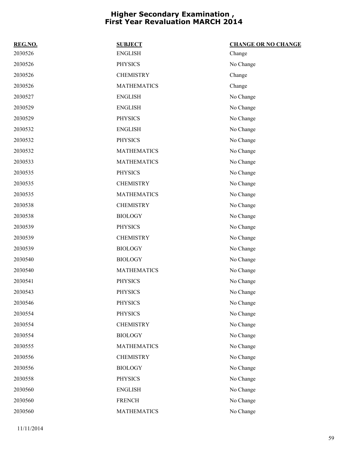| REG.NO. | <b>SUBJECT</b>     | <b>CHANGE OR NO CHANGE</b> |
|---------|--------------------|----------------------------|
| 2030526 | <b>ENGLISH</b>     | Change                     |
| 2030526 | <b>PHYSICS</b>     | No Change                  |
| 2030526 | <b>CHEMISTRY</b>   | Change                     |
| 2030526 | <b>MATHEMATICS</b> | Change                     |
| 2030527 | <b>ENGLISH</b>     | No Change                  |
| 2030529 | <b>ENGLISH</b>     | No Change                  |
| 2030529 | <b>PHYSICS</b>     | No Change                  |
| 2030532 | <b>ENGLISH</b>     | No Change                  |
| 2030532 | <b>PHYSICS</b>     | No Change                  |
| 2030532 | <b>MATHEMATICS</b> | No Change                  |
| 2030533 | <b>MATHEMATICS</b> | No Change                  |
| 2030535 | <b>PHYSICS</b>     | No Change                  |
| 2030535 | <b>CHEMISTRY</b>   | No Change                  |
| 2030535 | <b>MATHEMATICS</b> | No Change                  |
| 2030538 | <b>CHEMISTRY</b>   | No Change                  |
| 2030538 | <b>BIOLOGY</b>     | No Change                  |
| 2030539 | <b>PHYSICS</b>     | No Change                  |
| 2030539 | <b>CHEMISTRY</b>   | No Change                  |
| 2030539 | <b>BIOLOGY</b>     | No Change                  |
| 2030540 | <b>BIOLOGY</b>     | No Change                  |
| 2030540 | <b>MATHEMATICS</b> | No Change                  |
| 2030541 | <b>PHYSICS</b>     | No Change                  |
| 2030543 | <b>PHYSICS</b>     | No Change                  |
| 2030546 | <b>PHYSICS</b>     | No Change                  |
| 2030554 | <b>PHYSICS</b>     | No Change                  |
| 2030554 | <b>CHEMISTRY</b>   | No Change                  |
| 2030554 | <b>BIOLOGY</b>     | No Change                  |
| 2030555 | <b>MATHEMATICS</b> | No Change                  |
| 2030556 | <b>CHEMISTRY</b>   | No Change                  |
| 2030556 | <b>BIOLOGY</b>     | No Change                  |
| 2030558 | <b>PHYSICS</b>     | No Change                  |
| 2030560 | <b>ENGLISH</b>     | No Change                  |
| 2030560 | <b>FRENCH</b>      | No Change                  |
| 2030560 | <b>MATHEMATICS</b> | No Change                  |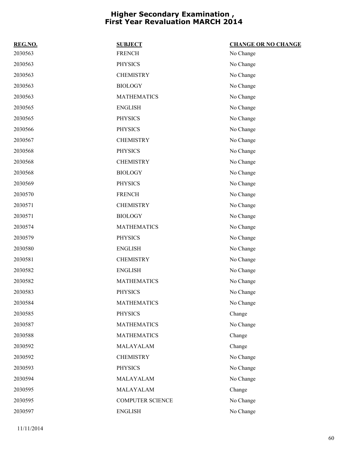| REG.NO. | <b>SUBJECT</b>     | <b>CHANGE OR NO CHANGE</b> |
|---------|--------------------|----------------------------|
| 2030563 | <b>FRENCH</b>      | No Change                  |
| 2030563 | <b>PHYSICS</b>     | No Change                  |
| 2030563 | <b>CHEMISTRY</b>   | No Change                  |
| 2030563 | <b>BIOLOGY</b>     | No Change                  |
| 2030563 | <b>MATHEMATICS</b> | No Change                  |
| 2030565 | <b>ENGLISH</b>     | No Change                  |
| 2030565 | <b>PHYSICS</b>     | No Change                  |
| 2030566 | <b>PHYSICS</b>     | No Change                  |
| 2030567 | <b>CHEMISTRY</b>   | No Change                  |
| 2030568 | <b>PHYSICS</b>     | No Change                  |
| 2030568 | <b>CHEMISTRY</b>   | No Change                  |
| 2030568 | <b>BIOLOGY</b>     | No Change                  |
| 2030569 | <b>PHYSICS</b>     | No Change                  |
| 2030570 | <b>FRENCH</b>      | No Change                  |
| 2030571 | <b>CHEMISTRY</b>   | No Change                  |
| 2030571 | <b>BIOLOGY</b>     | No Change                  |
| 2030574 | <b>MATHEMATICS</b> | No Change                  |
| 2030579 | <b>PHYSICS</b>     | No Change                  |
| 2030580 | <b>ENGLISH</b>     | No Change                  |
| 2030581 | <b>CHEMISTRY</b>   | No Change                  |
| 2030582 | <b>ENGLISH</b>     | No Change                  |
| 2030582 | <b>MATHEMATICS</b> | No Change                  |
| 2030583 | <b>PHYSICS</b>     | No Change                  |
| 2030584 | <b>MATHEMATICS</b> | No Change                  |
| 2030585 | <b>PHYSICS</b>     | Change                     |
| 2030587 | <b>MATHEMATICS</b> | No Change                  |
| 2030588 | <b>MATHEMATICS</b> | Change                     |
| 2030592 | MALAYALAM          | Change                     |
| 2030592 | <b>CHEMISTRY</b>   | No Change                  |
| 2030593 | <b>PHYSICS</b>     | No Change                  |
| 2030594 | MALAYALAM          | No Change                  |
| 2030595 | MALAYALAM          | Change                     |
| 2030595 | COMPUTER SCIENCE   | No Change                  |
| 2030597 | <b>ENGLISH</b>     | No Change                  |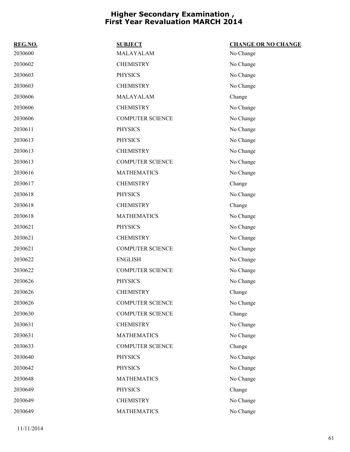| REG.NO. | <b>SUBJECT</b>          | <b>CHANGE OR NO CHANGE</b> |
|---------|-------------------------|----------------------------|
| 2030600 | MALAYALAM               | No Change                  |
| 2030602 | <b>CHEMISTRY</b>        | No Change                  |
| 2030603 | <b>PHYSICS</b>          | No Change                  |
| 2030603 | <b>CHEMISTRY</b>        | No Change                  |
| 2030606 | MALAYALAM               | Change                     |
| 2030606 | <b>CHEMISTRY</b>        | No Change                  |
| 2030606 | <b>COMPUTER SCIENCE</b> | No Change                  |
| 2030611 | <b>PHYSICS</b>          | No Change                  |
| 2030613 | <b>PHYSICS</b>          | No Change                  |
| 2030613 | <b>CHEMISTRY</b>        | No Change                  |
| 2030613 | <b>COMPUTER SCIENCE</b> | No Change                  |
| 2030616 | <b>MATHEMATICS</b>      | No Change                  |
| 2030617 | <b>CHEMISTRY</b>        | Change                     |
| 2030618 | <b>PHYSICS</b>          | No Change                  |
| 2030618 | <b>CHEMISTRY</b>        | Change                     |
| 2030618 | <b>MATHEMATICS</b>      | No Change                  |
| 2030621 | <b>PHYSICS</b>          | No Change                  |
| 2030621 | <b>CHEMISTRY</b>        | No Change                  |
| 2030621 | <b>COMPUTER SCIENCE</b> | No Change                  |
| 2030622 | <b>ENGLISH</b>          | No Change                  |
| 2030622 | <b>COMPUTER SCIENCE</b> | No Change                  |
| 2030626 | <b>PHYSICS</b>          | No Change                  |
| 2030626 | <b>CHEMISTRY</b>        | Change                     |
| 2030626 | <b>COMPUTER SCIENCE</b> | No Change                  |
| 2030630 | <b>COMPUTER SCIENCE</b> | Change                     |
| 2030631 | <b>CHEMISTRY</b>        | No Change                  |
| 2030631 | <b>MATHEMATICS</b>      | No Change                  |
| 2030633 | <b>COMPUTER SCIENCE</b> | Change                     |
| 2030640 | <b>PHYSICS</b>          | No Change                  |
| 2030642 | <b>PHYSICS</b>          | No Change                  |
| 2030648 | <b>MATHEMATICS</b>      | No Change                  |
| 2030649 | <b>PHYSICS</b>          | Change                     |
| 2030649 | <b>CHEMISTRY</b>        | No Change                  |
| 2030649 | <b>MATHEMATICS</b>      | No Change                  |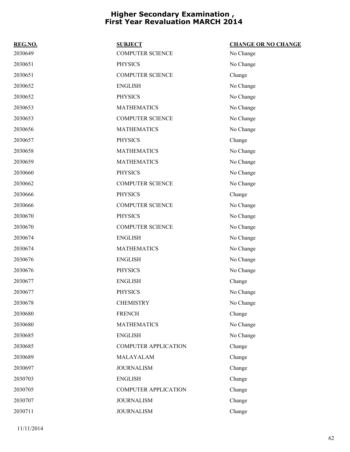| REG.NO. | <b>SUBJECT</b>              | <b>CHANGE OR NO CHANGE</b> |
|---------|-----------------------------|----------------------------|
| 2030649 | <b>COMPUTER SCIENCE</b>     | No Change                  |
| 2030651 | <b>PHYSICS</b>              | No Change                  |
| 2030651 | <b>COMPUTER SCIENCE</b>     | Change                     |
| 2030652 | <b>ENGLISH</b>              | No Change                  |
| 2030652 | <b>PHYSICS</b>              | No Change                  |
| 2030653 | <b>MATHEMATICS</b>          | No Change                  |
| 2030653 | <b>COMPUTER SCIENCE</b>     | No Change                  |
| 2030656 | <b>MATHEMATICS</b>          | No Change                  |
| 2030657 | <b>PHYSICS</b>              | Change                     |
| 2030658 | <b>MATHEMATICS</b>          | No Change                  |
| 2030659 | <b>MATHEMATICS</b>          | No Change                  |
| 2030660 | <b>PHYSICS</b>              | No Change                  |
| 2030662 | <b>COMPUTER SCIENCE</b>     | No Change                  |
| 2030666 | <b>PHYSICS</b>              | Change                     |
| 2030666 | <b>COMPUTER SCIENCE</b>     | No Change                  |
| 2030670 | <b>PHYSICS</b>              | No Change                  |
| 2030670 | <b>COMPUTER SCIENCE</b>     | No Change                  |
| 2030674 | <b>ENGLISH</b>              | No Change                  |
| 2030674 | <b>MATHEMATICS</b>          | No Change                  |
| 2030676 | <b>ENGLISH</b>              | No Change                  |
| 2030676 | <b>PHYSICS</b>              | No Change                  |
| 2030677 | <b>ENGLISH</b>              | Change                     |
| 2030677 | <b>PHYSICS</b>              | No Change                  |
| 2030678 | <b>CHEMISTRY</b>            | No Change                  |
| 2030680 | <b>FRENCH</b>               | Change                     |
| 2030680 | <b>MATHEMATICS</b>          | No Change                  |
| 2030685 | <b>ENGLISH</b>              | No Change                  |
| 2030685 | <b>COMPUTER APPLICATION</b> | Change                     |
| 2030689 | MALAYALAM                   | Change                     |
| 2030697 | <b>JOURNALISM</b>           | Change                     |
| 2030703 | <b>ENGLISH</b>              | Change                     |
| 2030705 | <b>COMPUTER APPLICATION</b> | Change                     |
| 2030707 | <b>JOURNALISM</b>           | Change                     |
| 2030711 | <b>JOURNALISM</b>           | Change                     |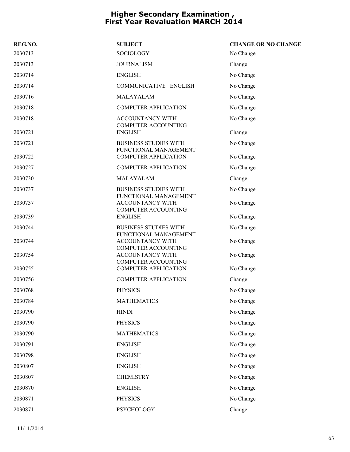| REG.NO. | <b>SUBJECT</b>                                                                 | <b>CHANGE OR NO CHANGE</b> |
|---------|--------------------------------------------------------------------------------|----------------------------|
| 2030713 | <b>SOCIOLOGY</b>                                                               | No Change                  |
| 2030713 | <b>JOURNALISM</b>                                                              | Change                     |
| 2030714 | <b>ENGLISH</b>                                                                 | No Change                  |
| 2030714 | COMMUNICATIVE ENGLISH                                                          | No Change                  |
| 2030716 | MALAYALAM                                                                      | No Change                  |
| 2030718 | <b>COMPUTER APPLICATION</b>                                                    | No Change                  |
| 2030718 | <b>ACCOUNTANCY WITH</b><br><b>COMPUTER ACCOUNTING</b>                          | No Change                  |
| 2030721 | <b>ENGLISH</b>                                                                 | Change                     |
| 2030721 | <b>BUSINESS STUDIES WITH</b><br>FUNCTIONAL MANAGEMENT                          | No Change                  |
| 2030722 | <b>COMPUTER APPLICATION</b>                                                    | No Change                  |
| 2030727 | <b>COMPUTER APPLICATION</b>                                                    | No Change                  |
| 2030730 | MALAYALAM                                                                      | Change                     |
| 2030737 | <b>BUSINESS STUDIES WITH</b><br>FUNCTIONAL MANAGEMENT                          | No Change                  |
| 2030737 | <b>ACCOUNTANCY WITH</b><br><b>COMPUTER ACCOUNTING</b>                          | No Change                  |
| 2030739 | <b>ENGLISH</b>                                                                 | No Change                  |
| 2030744 | <b>BUSINESS STUDIES WITH</b>                                                   | No Change                  |
| 2030744 | FUNCTIONAL MANAGEMENT<br><b>ACCOUNTANCY WITH</b><br><b>COMPUTER ACCOUNTING</b> | No Change                  |
| 2030754 | ACCOUNTANCY WITH                                                               | No Change                  |
| 2030755 | <b>COMPUTER ACCOUNTING</b><br><b>COMPUTER APPLICATION</b>                      | No Change                  |
| 2030756 | <b>COMPUTER APPLICATION</b>                                                    | Change                     |
| 2030768 | <b>PHYSICS</b>                                                                 | No Change                  |
| 2030784 | <b>MATHEMATICS</b>                                                             | No Change                  |
| 2030790 | <b>HINDI</b>                                                                   | No Change                  |
| 2030790 | <b>PHYSICS</b>                                                                 | No Change                  |
| 2030790 | <b>MATHEMATICS</b>                                                             | No Change                  |
| 2030791 | <b>ENGLISH</b>                                                                 | No Change                  |
| 2030798 | <b>ENGLISH</b>                                                                 | No Change                  |
| 2030807 | <b>ENGLISH</b>                                                                 | No Change                  |
| 2030807 | <b>CHEMISTRY</b>                                                               | No Change                  |
| 2030870 | <b>ENGLISH</b>                                                                 | No Change                  |
| 2030871 | <b>PHYSICS</b>                                                                 | No Change                  |
| 2030871 | PSYCHOLOGY                                                                     | Change                     |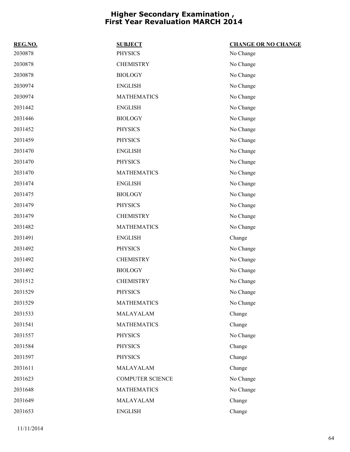| REG.NO. | <b>SUBJECT</b>          | <b>CHANGE OR NO CHANGE</b> |
|---------|-------------------------|----------------------------|
| 2030878 | <b>PHYSICS</b>          | No Change                  |
| 2030878 | <b>CHEMISTRY</b>        | No Change                  |
| 2030878 | <b>BIOLOGY</b>          | No Change                  |
| 2030974 | <b>ENGLISH</b>          | No Change                  |
| 2030974 | <b>MATHEMATICS</b>      | No Change                  |
| 2031442 | <b>ENGLISH</b>          | No Change                  |
| 2031446 | <b>BIOLOGY</b>          | No Change                  |
| 2031452 | <b>PHYSICS</b>          | No Change                  |
| 2031459 | <b>PHYSICS</b>          | No Change                  |
| 2031470 | <b>ENGLISH</b>          | No Change                  |
| 2031470 | <b>PHYSICS</b>          | No Change                  |
| 2031470 | <b>MATHEMATICS</b>      | No Change                  |
| 2031474 | <b>ENGLISH</b>          | No Change                  |
| 2031475 | <b>BIOLOGY</b>          | No Change                  |
| 2031479 | <b>PHYSICS</b>          | No Change                  |
| 2031479 | <b>CHEMISTRY</b>        | No Change                  |
| 2031482 | <b>MATHEMATICS</b>      | No Change                  |
| 2031491 | <b>ENGLISH</b>          | Change                     |
| 2031492 | <b>PHYSICS</b>          | No Change                  |
| 2031492 | <b>CHEMISTRY</b>        | No Change                  |
| 2031492 | <b>BIOLOGY</b>          | No Change                  |
| 2031512 | <b>CHEMISTRY</b>        | No Change                  |
| 2031529 | <b>PHYSICS</b>          | No Change                  |
| 2031529 | <b>MATHEMATICS</b>      | No Change                  |
| 2031533 | MALAYALAM               | Change                     |
| 2031541 | <b>MATHEMATICS</b>      | Change                     |
| 2031557 | <b>PHYSICS</b>          | No Change                  |
| 2031584 | <b>PHYSICS</b>          | Change                     |
| 2031597 | <b>PHYSICS</b>          | Change                     |
| 2031611 | MALAYALAM               | Change                     |
| 2031623 | <b>COMPUTER SCIENCE</b> | No Change                  |
| 2031648 | <b>MATHEMATICS</b>      | No Change                  |
| 2031649 | MALAYALAM               | Change                     |
| 2031653 | <b>ENGLISH</b>          | Change                     |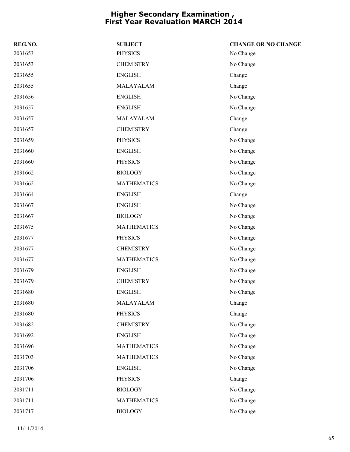| REG.NO. | <b>SUBJECT</b>     | <b>CHANGE OR NO CHANGE</b> |
|---------|--------------------|----------------------------|
| 2031653 | <b>PHYSICS</b>     | No Change                  |
| 2031653 | <b>CHEMISTRY</b>   | No Change                  |
| 2031655 | <b>ENGLISH</b>     | Change                     |
| 2031655 | MALAYALAM          | Change                     |
| 2031656 | <b>ENGLISH</b>     | No Change                  |
| 2031657 | <b>ENGLISH</b>     | No Change                  |
| 2031657 | MALAYALAM          | Change                     |
| 2031657 | <b>CHEMISTRY</b>   | Change                     |
| 2031659 | <b>PHYSICS</b>     | No Change                  |
| 2031660 | <b>ENGLISH</b>     | No Change                  |
| 2031660 | <b>PHYSICS</b>     | No Change                  |
| 2031662 | <b>BIOLOGY</b>     | No Change                  |
| 2031662 | <b>MATHEMATICS</b> | No Change                  |
| 2031664 | <b>ENGLISH</b>     | Change                     |
| 2031667 | <b>ENGLISH</b>     | No Change                  |
| 2031667 | <b>BIOLOGY</b>     | No Change                  |
| 2031675 | <b>MATHEMATICS</b> | No Change                  |
| 2031677 | <b>PHYSICS</b>     | No Change                  |
| 2031677 | <b>CHEMISTRY</b>   | No Change                  |
| 2031677 | <b>MATHEMATICS</b> | No Change                  |
| 2031679 | <b>ENGLISH</b>     | No Change                  |
| 2031679 | <b>CHEMISTRY</b>   | No Change                  |
| 2031680 | <b>ENGLISH</b>     | No Change                  |
| 2031680 | MALAYALAM          | Change                     |
| 2031680 | <b>PHYSICS</b>     | Change                     |
| 2031682 | <b>CHEMISTRY</b>   | No Change                  |
| 2031692 | <b>ENGLISH</b>     | No Change                  |
| 2031696 | <b>MATHEMATICS</b> | No Change                  |
| 2031703 | <b>MATHEMATICS</b> | No Change                  |
| 2031706 | <b>ENGLISH</b>     | No Change                  |
| 2031706 | <b>PHYSICS</b>     | Change                     |
| 2031711 | <b>BIOLOGY</b>     | No Change                  |
| 2031711 | <b>MATHEMATICS</b> | No Change                  |
| 2031717 | <b>BIOLOGY</b>     | No Change                  |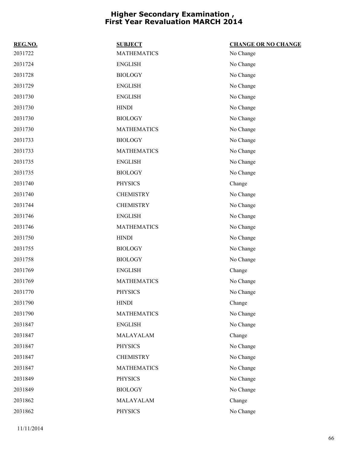| REG.NO. | <b>SUBJECT</b>     | <b>CHANGE OR NO CHANGE</b> |
|---------|--------------------|----------------------------|
| 2031722 | <b>MATHEMATICS</b> | No Change                  |
| 2031724 | <b>ENGLISH</b>     | No Change                  |
| 2031728 | <b>BIOLOGY</b>     | No Change                  |
| 2031729 | <b>ENGLISH</b>     | No Change                  |
| 2031730 | <b>ENGLISH</b>     | No Change                  |
| 2031730 | <b>HINDI</b>       | No Change                  |
| 2031730 | <b>BIOLOGY</b>     | No Change                  |
| 2031730 | <b>MATHEMATICS</b> | No Change                  |
| 2031733 | <b>BIOLOGY</b>     | No Change                  |
| 2031733 | <b>MATHEMATICS</b> | No Change                  |
| 2031735 | <b>ENGLISH</b>     | No Change                  |
| 2031735 | <b>BIOLOGY</b>     | No Change                  |
| 2031740 | <b>PHYSICS</b>     | Change                     |
| 2031740 | <b>CHEMISTRY</b>   | No Change                  |
| 2031744 | <b>CHEMISTRY</b>   | No Change                  |
| 2031746 | <b>ENGLISH</b>     | No Change                  |
| 2031746 | <b>MATHEMATICS</b> | No Change                  |
| 2031750 | <b>HINDI</b>       | No Change                  |
| 2031755 | <b>BIOLOGY</b>     | No Change                  |
| 2031758 | <b>BIOLOGY</b>     | No Change                  |
| 2031769 | <b>ENGLISH</b>     | Change                     |
| 2031769 | <b>MATHEMATICS</b> | No Change                  |
| 2031770 | <b>PHYSICS</b>     | No Change                  |
| 2031790 | <b>HINDI</b>       | Change                     |
| 2031790 | <b>MATHEMATICS</b> | No Change                  |
| 2031847 | <b>ENGLISH</b>     | No Change                  |
| 2031847 | MALAYALAM          | Change                     |
| 2031847 | <b>PHYSICS</b>     | No Change                  |
| 2031847 | <b>CHEMISTRY</b>   | No Change                  |
| 2031847 | <b>MATHEMATICS</b> | No Change                  |
| 2031849 | <b>PHYSICS</b>     | No Change                  |
| 2031849 | <b>BIOLOGY</b>     | No Change                  |
| 2031862 | MALAYALAM          | Change                     |
| 2031862 | <b>PHYSICS</b>     | No Change                  |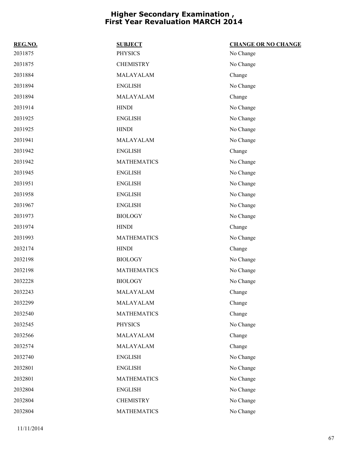| REG.NO. | <b>SUBJECT</b>     | <b>CHANGE OR NO CHANGE</b> |
|---------|--------------------|----------------------------|
| 2031875 | <b>PHYSICS</b>     | No Change                  |
| 2031875 | <b>CHEMISTRY</b>   | No Change                  |
| 2031884 | MALAYALAM          | Change                     |
| 2031894 | <b>ENGLISH</b>     | No Change                  |
| 2031894 | MALAYALAM          | Change                     |
| 2031914 | <b>HINDI</b>       | No Change                  |
| 2031925 | <b>ENGLISH</b>     | No Change                  |
| 2031925 | <b>HINDI</b>       | No Change                  |
| 2031941 | MALAYALAM          | No Change                  |
| 2031942 | <b>ENGLISH</b>     | Change                     |
| 2031942 | <b>MATHEMATICS</b> | No Change                  |
| 2031945 | <b>ENGLISH</b>     | No Change                  |
| 2031951 | <b>ENGLISH</b>     | No Change                  |
| 2031958 | <b>ENGLISH</b>     | No Change                  |
| 2031967 | <b>ENGLISH</b>     | No Change                  |
| 2031973 | <b>BIOLOGY</b>     | No Change                  |
| 2031974 | <b>HINDI</b>       | Change                     |
| 2031993 | <b>MATHEMATICS</b> | No Change                  |
| 2032174 | <b>HINDI</b>       | Change                     |
| 2032198 | <b>BIOLOGY</b>     | No Change                  |
| 2032198 | <b>MATHEMATICS</b> | No Change                  |
| 2032228 | <b>BIOLOGY</b>     | No Change                  |
| 2032243 | MALAYALAM          | Change                     |
| 2032299 | MALAYALAM          | Change                     |
| 2032540 | <b>MATHEMATICS</b> | Change                     |
| 2032545 | <b>PHYSICS</b>     | No Change                  |
| 2032566 | MALAYALAM          | Change                     |
| 2032574 | MALAYALAM          | Change                     |
| 2032740 | <b>ENGLISH</b>     | No Change                  |
| 2032801 | <b>ENGLISH</b>     | No Change                  |
| 2032801 | <b>MATHEMATICS</b> | No Change                  |
| 2032804 | <b>ENGLISH</b>     | No Change                  |
| 2032804 | <b>CHEMISTRY</b>   | No Change                  |
| 2032804 | <b>MATHEMATICS</b> | No Change                  |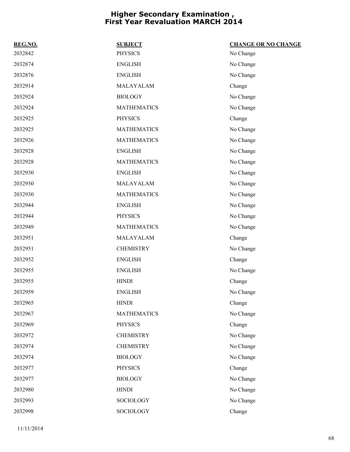| REG.NO. | <b>SUBJECT</b>     | <b>CHANGE OR NO CHANGE</b> |
|---------|--------------------|----------------------------|
| 2032842 | <b>PHYSICS</b>     | No Change                  |
| 2032874 | <b>ENGLISH</b>     | No Change                  |
| 2032876 | <b>ENGLISH</b>     | No Change                  |
| 2032914 | MALAYALAM          | Change                     |
| 2032924 | <b>BIOLOGY</b>     | No Change                  |
| 2032924 | <b>MATHEMATICS</b> | No Change                  |
| 2032925 | <b>PHYSICS</b>     | Change                     |
| 2032925 | <b>MATHEMATICS</b> | No Change                  |
| 2032926 | <b>MATHEMATICS</b> | No Change                  |
| 2032928 | <b>ENGLISH</b>     | No Change                  |
| 2032928 | <b>MATHEMATICS</b> | No Change                  |
| 2032930 | <b>ENGLISH</b>     | No Change                  |
| 2032930 | MALAYALAM          | No Change                  |
| 2032930 | <b>MATHEMATICS</b> | No Change                  |
| 2032944 | <b>ENGLISH</b>     | No Change                  |
| 2032944 | <b>PHYSICS</b>     | No Change                  |
| 2032949 | <b>MATHEMATICS</b> | No Change                  |
| 2032951 | MALAYALAM          | Change                     |
| 2032951 | <b>CHEMISTRY</b>   | No Change                  |
| 2032952 | <b>ENGLISH</b>     | Change                     |
| 2032955 | <b>ENGLISH</b>     | No Change                  |
| 2032955 | <b>HINDI</b>       | Change                     |
| 2032959 | <b>ENGLISH</b>     | No Change                  |
| 2032965 | <b>HINDI</b>       | Change                     |
| 2032967 | <b>MATHEMATICS</b> | No Change                  |
| 2032969 | <b>PHYSICS</b>     | Change                     |
| 2032972 | <b>CHEMISTRY</b>   | No Change                  |
| 2032974 | <b>CHEMISTRY</b>   | No Change                  |
| 2032974 | <b>BIOLOGY</b>     | No Change                  |
| 2032977 | <b>PHYSICS</b>     | Change                     |
| 2032977 | <b>BIOLOGY</b>     | No Change                  |
| 2032980 | <b>HINDI</b>       | No Change                  |
| 2032993 | SOCIOLOGY          | No Change                  |
| 2032998 | SOCIOLOGY          | Change                     |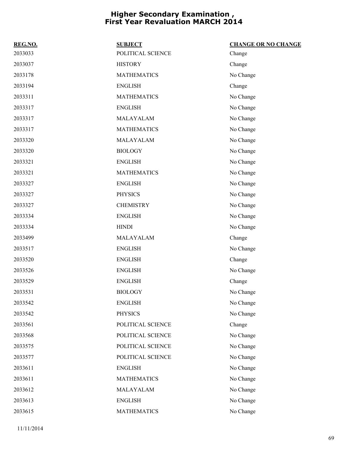| REG.NO. | <b>SUBJECT</b>     | <b>CHANGE OR NO CHANGE</b> |
|---------|--------------------|----------------------------|
| 2033033 | POLITICAL SCIENCE  | Change                     |
| 2033037 | <b>HISTORY</b>     | Change                     |
| 2033178 | <b>MATHEMATICS</b> | No Change                  |
| 2033194 | <b>ENGLISH</b>     | Change                     |
| 2033311 | <b>MATHEMATICS</b> | No Change                  |
| 2033317 | <b>ENGLISH</b>     | No Change                  |
| 2033317 | MALAYALAM          | No Change                  |
| 2033317 | <b>MATHEMATICS</b> | No Change                  |
| 2033320 | MALAYALAM          | No Change                  |
| 2033320 | <b>BIOLOGY</b>     | No Change                  |
| 2033321 | <b>ENGLISH</b>     | No Change                  |
| 2033321 | <b>MATHEMATICS</b> | No Change                  |
| 2033327 | <b>ENGLISH</b>     | No Change                  |
| 2033327 | <b>PHYSICS</b>     | No Change                  |
| 2033327 | <b>CHEMISTRY</b>   | No Change                  |
| 2033334 | <b>ENGLISH</b>     | No Change                  |
| 2033334 | <b>HINDI</b>       | No Change                  |
| 2033499 | MALAYALAM          | Change                     |
| 2033517 | <b>ENGLISH</b>     | No Change                  |
| 2033520 | <b>ENGLISH</b>     | Change                     |
| 2033526 | <b>ENGLISH</b>     | No Change                  |
| 2033529 | <b>ENGLISH</b>     | Change                     |
| 2033531 | <b>BIOLOGY</b>     | No Change                  |
| 2033542 | <b>ENGLISH</b>     | No Change                  |
| 2033542 | <b>PHYSICS</b>     | No Change                  |
| 2033561 | POLITICAL SCIENCE  | Change                     |
| 2033568 | POLITICAL SCIENCE  | No Change                  |
| 2033575 | POLITICAL SCIENCE  | No Change                  |
| 2033577 | POLITICAL SCIENCE  | No Change                  |
| 2033611 | <b>ENGLISH</b>     | No Change                  |
| 2033611 | <b>MATHEMATICS</b> | No Change                  |
| 2033612 | MALAYALAM          | No Change                  |
| 2033613 | <b>ENGLISH</b>     | No Change                  |
| 2033615 | <b>MATHEMATICS</b> | No Change                  |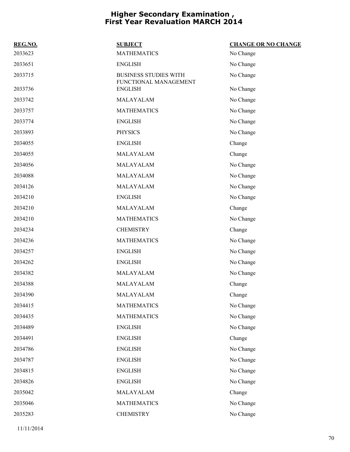| REG.NO. | <b>SUBJECT</b>                                        | <b>CHANGE OR NO CHANGE</b> |
|---------|-------------------------------------------------------|----------------------------|
| 2033623 | <b>MATHEMATICS</b>                                    | No Change                  |
| 2033651 | <b>ENGLISH</b>                                        | No Change                  |
| 2033715 | <b>BUSINESS STUDIES WITH</b><br>FUNCTIONAL MANAGEMENT | No Change                  |
| 2033736 | <b>ENGLISH</b>                                        | No Change                  |
| 2033742 | MALAYALAM                                             | No Change                  |
| 2033757 | <b>MATHEMATICS</b>                                    | No Change                  |
| 2033774 | <b>ENGLISH</b>                                        | No Change                  |
| 2033893 | <b>PHYSICS</b>                                        | No Change                  |
| 2034055 | <b>ENGLISH</b>                                        | Change                     |
| 2034055 | MALAYALAM                                             | Change                     |
| 2034056 | MALAYALAM                                             | No Change                  |
| 2034088 | MALAYALAM                                             | No Change                  |
| 2034126 | MALAYALAM                                             | No Change                  |
| 2034210 | <b>ENGLISH</b>                                        | No Change                  |
| 2034210 | MALAYALAM                                             | Change                     |
| 2034210 | <b>MATHEMATICS</b>                                    | No Change                  |
| 2034234 | <b>CHEMISTRY</b>                                      | Change                     |
| 2034236 | <b>MATHEMATICS</b>                                    | No Change                  |
| 2034257 | <b>ENGLISH</b>                                        | No Change                  |
| 2034262 | <b>ENGLISH</b>                                        | No Change                  |
| 2034382 | MALAYALAM                                             | No Change                  |
| 2034388 | MALAYALAM                                             | Change                     |
| 2034390 | MALAYALAM                                             | Change                     |
| 2034415 | <b>MATHEMATICS</b>                                    | No Change                  |
| 2034435 | <b>MATHEMATICS</b>                                    | No Change                  |
| 2034489 | <b>ENGLISH</b>                                        | No Change                  |
| 2034491 | <b>ENGLISH</b>                                        | Change                     |
| 2034786 | <b>ENGLISH</b>                                        | No Change                  |
| 2034787 | <b>ENGLISH</b>                                        | No Change                  |
| 2034815 | <b>ENGLISH</b>                                        | No Change                  |
| 2034826 | <b>ENGLISH</b>                                        | No Change                  |
| 2035042 | MALAYALAM                                             | Change                     |
| 2035046 | <b>MATHEMATICS</b>                                    | No Change                  |
| 2035283 | <b>CHEMISTRY</b>                                      | No Change                  |
|         |                                                       |                            |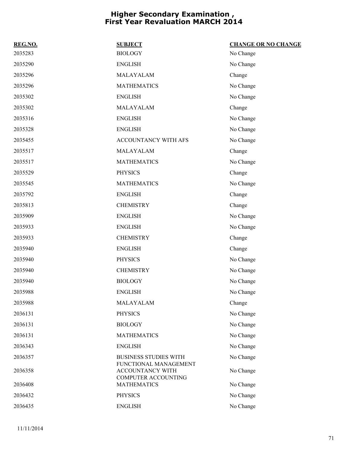| REG.NO. | <b>SUBJECT</b>                                                          | <b>CHANGE OR NO CHANGE</b> |
|---------|-------------------------------------------------------------------------|----------------------------|
| 2035283 | <b>BIOLOGY</b>                                                          | No Change                  |
| 2035290 | <b>ENGLISH</b>                                                          | No Change                  |
| 2035296 | MALAYALAM                                                               | Change                     |
| 2035296 | <b>MATHEMATICS</b>                                                      | No Change                  |
| 2035302 | <b>ENGLISH</b>                                                          | No Change                  |
| 2035302 | MALAYALAM                                                               | Change                     |
| 2035316 | <b>ENGLISH</b>                                                          | No Change                  |
| 2035328 | <b>ENGLISH</b>                                                          | No Change                  |
| 2035455 | ACCOUNTANCY WITH AFS                                                    | No Change                  |
| 2035517 | MALAYALAM                                                               | Change                     |
| 2035517 | <b>MATHEMATICS</b>                                                      | No Change                  |
| 2035529 | <b>PHYSICS</b>                                                          | Change                     |
| 2035545 | <b>MATHEMATICS</b>                                                      | No Change                  |
| 2035792 | <b>ENGLISH</b>                                                          | Change                     |
| 2035813 | <b>CHEMISTRY</b>                                                        | Change                     |
| 2035909 | <b>ENGLISH</b>                                                          | No Change                  |
| 2035933 | <b>ENGLISH</b>                                                          | No Change                  |
| 2035933 | <b>CHEMISTRY</b>                                                        | Change                     |
| 2035940 | <b>ENGLISH</b>                                                          | Change                     |
| 2035940 | <b>PHYSICS</b>                                                          | No Change                  |
| 2035940 | <b>CHEMISTRY</b>                                                        | No Change                  |
| 2035940 | <b>BIOLOGY</b>                                                          | No Change                  |
| 2035988 | <b>ENGLISH</b>                                                          | No Change                  |
| 2035988 | MALAYALAM                                                               | Change                     |
| 2036131 | <b>PHYSICS</b>                                                          | No Change                  |
| 2036131 | <b>BIOLOGY</b>                                                          | No Change                  |
| 2036131 | <b>MATHEMATICS</b>                                                      | No Change                  |
| 2036343 | <b>ENGLISH</b>                                                          | No Change                  |
| 2036357 | <b>BUSINESS STUDIES WITH</b>                                            | No Change                  |
| 2036358 | FUNCTIONAL MANAGEMENT<br>ACCOUNTANCY WITH<br><b>COMPUTER ACCOUNTING</b> | No Change                  |
| 2036408 | <b>MATHEMATICS</b>                                                      | No Change                  |
| 2036432 | <b>PHYSICS</b>                                                          | No Change                  |
| 2036435 | <b>ENGLISH</b>                                                          | No Change                  |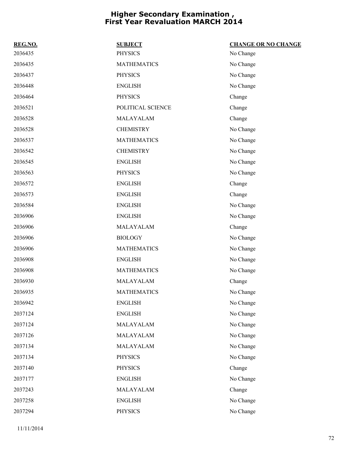| REG.NO. | <b>SUBJECT</b>     | <b>CHANGE OR NO CHANGE</b> |
|---------|--------------------|----------------------------|
| 2036435 | <b>PHYSICS</b>     | No Change                  |
| 2036435 | <b>MATHEMATICS</b> | No Change                  |
| 2036437 | <b>PHYSICS</b>     | No Change                  |
| 2036448 | <b>ENGLISH</b>     | No Change                  |
| 2036464 | <b>PHYSICS</b>     | Change                     |
| 2036521 | POLITICAL SCIENCE  | Change                     |
| 2036528 | MALAYALAM          | Change                     |
| 2036528 | <b>CHEMISTRY</b>   | No Change                  |
| 2036537 | <b>MATHEMATICS</b> | No Change                  |
| 2036542 | <b>CHEMISTRY</b>   | No Change                  |
| 2036545 | <b>ENGLISH</b>     | No Change                  |
| 2036563 | <b>PHYSICS</b>     | No Change                  |
| 2036572 | <b>ENGLISH</b>     | Change                     |
| 2036573 | <b>ENGLISH</b>     | Change                     |
| 2036584 | <b>ENGLISH</b>     | No Change                  |
| 2036906 | <b>ENGLISH</b>     | No Change                  |
| 2036906 | MALAYALAM          | Change                     |
| 2036906 | <b>BIOLOGY</b>     | No Change                  |
| 2036906 | <b>MATHEMATICS</b> | No Change                  |
| 2036908 | <b>ENGLISH</b>     | No Change                  |
| 2036908 | <b>MATHEMATICS</b> | No Change                  |
| 2036930 | MALAYALAM          | Change                     |
| 2036935 | <b>MATHEMATICS</b> | No Change                  |
| 2036942 | <b>ENGLISH</b>     | No Change                  |
| 2037124 | <b>ENGLISH</b>     | No Change                  |
| 2037124 | MALAYALAM          | No Change                  |
| 2037126 | MALAYALAM          | No Change                  |
| 2037134 | MALAYALAM          | No Change                  |
| 2037134 | <b>PHYSICS</b>     | No Change                  |
| 2037140 | <b>PHYSICS</b>     | Change                     |
| 2037177 | <b>ENGLISH</b>     | No Change                  |
| 2037243 | MALAYALAM          | Change                     |
| 2037258 | <b>ENGLISH</b>     | No Change                  |
| 2037294 | <b>PHYSICS</b>     | No Change                  |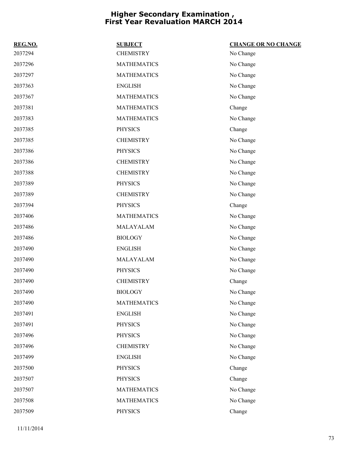| REG.NO. | <b>SUBJECT</b>     | <b>CHANGE OR NO CHANGE</b> |
|---------|--------------------|----------------------------|
| 2037294 | <b>CHEMISTRY</b>   | No Change                  |
| 2037296 | <b>MATHEMATICS</b> | No Change                  |
| 2037297 | <b>MATHEMATICS</b> | No Change                  |
| 2037363 | <b>ENGLISH</b>     | No Change                  |
| 2037367 | <b>MATHEMATICS</b> | No Change                  |
| 2037381 | <b>MATHEMATICS</b> | Change                     |
| 2037383 | <b>MATHEMATICS</b> | No Change                  |
| 2037385 | <b>PHYSICS</b>     | Change                     |
| 2037385 | <b>CHEMISTRY</b>   | No Change                  |
| 2037386 | <b>PHYSICS</b>     | No Change                  |
| 2037386 | <b>CHEMISTRY</b>   | No Change                  |
| 2037388 | <b>CHEMISTRY</b>   | No Change                  |
| 2037389 | <b>PHYSICS</b>     | No Change                  |
| 2037389 | <b>CHEMISTRY</b>   | No Change                  |
| 2037394 | <b>PHYSICS</b>     | Change                     |
| 2037406 | <b>MATHEMATICS</b> | No Change                  |
| 2037486 | MALAYALAM          | No Change                  |
| 2037486 | <b>BIOLOGY</b>     | No Change                  |
| 2037490 | <b>ENGLISH</b>     | No Change                  |
| 2037490 | MALAYALAM          | No Change                  |
| 2037490 | <b>PHYSICS</b>     | No Change                  |
| 2037490 | <b>CHEMISTRY</b>   | Change                     |
| 2037490 | <b>BIOLOGY</b>     | No Change                  |
| 2037490 | <b>MATHEMATICS</b> | No Change                  |
| 2037491 | <b>ENGLISH</b>     | No Change                  |
| 2037491 | <b>PHYSICS</b>     | No Change                  |
| 2037496 | <b>PHYSICS</b>     | No Change                  |
| 2037496 | <b>CHEMISTRY</b>   | No Change                  |
| 2037499 | <b>ENGLISH</b>     | No Change                  |
| 2037500 | <b>PHYSICS</b>     | Change                     |
| 2037507 | <b>PHYSICS</b>     | Change                     |
| 2037507 | <b>MATHEMATICS</b> | No Change                  |
| 2037508 | <b>MATHEMATICS</b> | No Change                  |
| 2037509 | PHYSICS            | Change                     |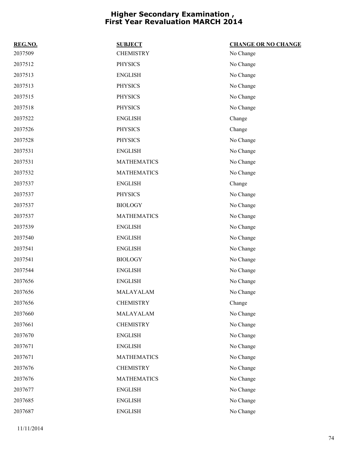| REG.NO. | <b>SUBJECT</b>     | <b>CHANGE OR NO CHANGE</b> |
|---------|--------------------|----------------------------|
| 2037509 | <b>CHEMISTRY</b>   | No Change                  |
| 2037512 | <b>PHYSICS</b>     | No Change                  |
| 2037513 | <b>ENGLISH</b>     | No Change                  |
| 2037513 | <b>PHYSICS</b>     | No Change                  |
| 2037515 | <b>PHYSICS</b>     | No Change                  |
| 2037518 | <b>PHYSICS</b>     | No Change                  |
| 2037522 | <b>ENGLISH</b>     | Change                     |
| 2037526 | <b>PHYSICS</b>     | Change                     |
| 2037528 | <b>PHYSICS</b>     | No Change                  |
| 2037531 | <b>ENGLISH</b>     | No Change                  |
| 2037531 | <b>MATHEMATICS</b> | No Change                  |
| 2037532 | <b>MATHEMATICS</b> | No Change                  |
| 2037537 | <b>ENGLISH</b>     | Change                     |
| 2037537 | <b>PHYSICS</b>     | No Change                  |
| 2037537 | <b>BIOLOGY</b>     | No Change                  |
| 2037537 | <b>MATHEMATICS</b> | No Change                  |
| 2037539 | <b>ENGLISH</b>     | No Change                  |
| 2037540 | <b>ENGLISH</b>     | No Change                  |
| 2037541 | <b>ENGLISH</b>     | No Change                  |
| 2037541 | <b>BIOLOGY</b>     | No Change                  |
| 2037544 | <b>ENGLISH</b>     | No Change                  |
| 2037656 | <b>ENGLISH</b>     | No Change                  |
| 2037656 | MALAYALAM          | No Change                  |
| 2037656 | <b>CHEMISTRY</b>   | Change                     |
| 2037660 | MALAYALAM          | No Change                  |
| 2037661 | <b>CHEMISTRY</b>   | No Change                  |
| 2037670 | <b>ENGLISH</b>     | No Change                  |
| 2037671 | <b>ENGLISH</b>     | No Change                  |
| 2037671 | <b>MATHEMATICS</b> | No Change                  |
| 2037676 | <b>CHEMISTRY</b>   | No Change                  |
| 2037676 | <b>MATHEMATICS</b> | No Change                  |
| 2037677 | <b>ENGLISH</b>     | No Change                  |
| 2037685 | <b>ENGLISH</b>     | No Change                  |
| 2037687 | <b>ENGLISH</b>     | No Change                  |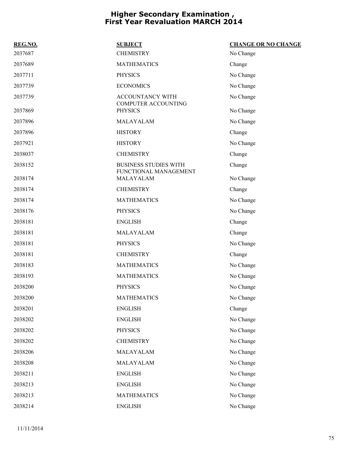| REG.NO. | <b>SUBJECT</b>                                        | <b>CHANGE OR NO CHANGE</b> |
|---------|-------------------------------------------------------|----------------------------|
| 2037687 | <b>CHEMISTRY</b>                                      | No Change                  |
| 2037689 | <b>MATHEMATICS</b>                                    | Change                     |
| 2037711 | <b>PHYSICS</b>                                        | No Change                  |
| 2037739 | <b>ECONOMICS</b>                                      | No Change                  |
| 2037739 | ACCOUNTANCY WITH                                      | No Change                  |
| 2037869 | COMPUTER ACCOUNTING<br><b>PHYSICS</b>                 | No Change                  |
| 2037896 | MALAYALAM                                             | No Change                  |
| 2037896 | <b>HISTORY</b>                                        | Change                     |
| 2037921 | <b>HISTORY</b>                                        | No Change                  |
| 2038037 | <b>CHEMISTRY</b>                                      | Change                     |
| 2038152 | <b>BUSINESS STUDIES WITH</b><br>FUNCTIONAL MANAGEMENT | Change                     |
| 2038174 | MALAYALAM                                             | No Change                  |
| 2038174 | <b>CHEMISTRY</b>                                      | Change                     |
| 2038174 | <b>MATHEMATICS</b>                                    | No Change                  |
| 2038176 | <b>PHYSICS</b>                                        | No Change                  |
| 2038181 | <b>ENGLISH</b>                                        | Change                     |
| 2038181 | MALAYALAM                                             | Change                     |
| 2038181 | <b>PHYSICS</b>                                        | No Change                  |
| 2038181 | <b>CHEMISTRY</b>                                      | Change                     |
| 2038183 | <b>MATHEMATICS</b>                                    | No Change                  |
| 2038193 | <b>MATHEMATICS</b>                                    | No Change                  |
| 2038200 | <b>PHYSICS</b>                                        | No Change                  |
| 2038200 | <b>MATHEMATICS</b>                                    | No Change                  |
| 2038201 | <b>ENGLISH</b>                                        | Change                     |
| 2038202 | <b>ENGLISH</b>                                        | No Change                  |
| 2038202 | <b>PHYSICS</b>                                        | No Change                  |
| 2038202 | <b>CHEMISTRY</b>                                      | No Change                  |
| 2038206 | MALAYALAM                                             | No Change                  |
| 2038208 | MALAYALAM                                             | No Change                  |
| 2038211 | <b>ENGLISH</b>                                        | No Change                  |
| 2038213 | <b>ENGLISH</b>                                        | No Change                  |
| 2038213 | <b>MATHEMATICS</b>                                    | No Change                  |
| 2038214 | <b>ENGLISH</b>                                        | No Change                  |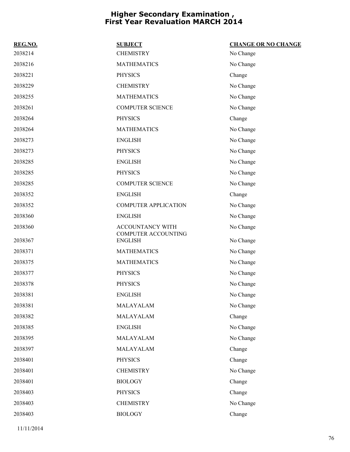| REG.NO. | <b>SUBJECT</b>                        | <b>CHANGE OR NO CHANGE</b> |
|---------|---------------------------------------|----------------------------|
| 2038214 | <b>CHEMISTRY</b>                      | No Change                  |
| 2038216 | <b>MATHEMATICS</b>                    | No Change                  |
| 2038221 | <b>PHYSICS</b>                        | Change                     |
| 2038229 | <b>CHEMISTRY</b>                      | No Change                  |
| 2038255 | <b>MATHEMATICS</b>                    | No Change                  |
| 2038261 | <b>COMPUTER SCIENCE</b>               | No Change                  |
| 2038264 | <b>PHYSICS</b>                        | Change                     |
| 2038264 | <b>MATHEMATICS</b>                    | No Change                  |
| 2038273 | <b>ENGLISH</b>                        | No Change                  |
| 2038273 | <b>PHYSICS</b>                        | No Change                  |
| 2038285 | <b>ENGLISH</b>                        | No Change                  |
| 2038285 | <b>PHYSICS</b>                        | No Change                  |
| 2038285 | <b>COMPUTER SCIENCE</b>               | No Change                  |
| 2038352 | <b>ENGLISH</b>                        | Change                     |
| 2038352 | <b>COMPUTER APPLICATION</b>           | No Change                  |
| 2038360 | <b>ENGLISH</b>                        | No Change                  |
| 2038360 | ACCOUNTANCY WITH                      | No Change                  |
| 2038367 | COMPUTER ACCOUNTING<br><b>ENGLISH</b> | No Change                  |
| 2038371 | <b>MATHEMATICS</b>                    | No Change                  |
| 2038375 | <b>MATHEMATICS</b>                    | No Change                  |
| 2038377 | <b>PHYSICS</b>                        | No Change                  |
| 2038378 | <b>PHYSICS</b>                        | No Change                  |
| 2038381 | <b>ENGLISH</b>                        | No Change                  |
| 2038381 | MALAYALAM                             | No Change                  |
| 2038382 | MALAYALAM                             | Change                     |
| 2038385 | <b>ENGLISH</b>                        | No Change                  |
| 2038395 | MALAYALAM                             | No Change                  |
| 2038397 | MALAYALAM                             | Change                     |
| 2038401 | <b>PHYSICS</b>                        | Change                     |
| 2038401 | <b>CHEMISTRY</b>                      | No Change                  |
| 2038401 | <b>BIOLOGY</b>                        | Change                     |
| 2038403 | <b>PHYSICS</b>                        | Change                     |
| 2038403 | <b>CHEMISTRY</b>                      | No Change                  |
| 2038403 | <b>BIOLOGY</b>                        | Change                     |
|         |                                       |                            |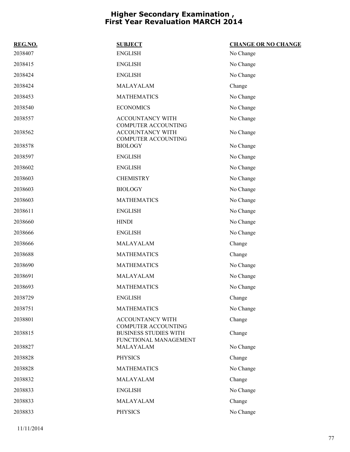| <b>SUBJECT</b>               | <b>CHANGE OR NO CHANGE</b>                                                                               |
|------------------------------|----------------------------------------------------------------------------------------------------------|
| <b>ENGLISH</b>               | No Change                                                                                                |
| <b>ENGLISH</b>               | No Change                                                                                                |
| <b>ENGLISH</b>               | No Change                                                                                                |
| MALAYALAM                    | Change                                                                                                   |
| <b>MATHEMATICS</b>           | No Change                                                                                                |
| <b>ECONOMICS</b>             | No Change                                                                                                |
| ACCOUNTANCY WITH             | No Change                                                                                                |
| ACCOUNTANCY WITH             | No Change                                                                                                |
| <b>BIOLOGY</b>               | No Change                                                                                                |
| <b>ENGLISH</b>               | No Change                                                                                                |
| <b>ENGLISH</b>               | No Change                                                                                                |
| <b>CHEMISTRY</b>             | No Change                                                                                                |
| <b>BIOLOGY</b>               | No Change                                                                                                |
| <b>MATHEMATICS</b>           | No Change                                                                                                |
| <b>ENGLISH</b>               | No Change                                                                                                |
| <b>HINDI</b>                 | No Change                                                                                                |
| <b>ENGLISH</b>               | No Change                                                                                                |
| MALAYALAM                    | Change                                                                                                   |
| <b>MATHEMATICS</b>           | Change                                                                                                   |
| <b>MATHEMATICS</b>           | No Change                                                                                                |
| MALAYALAM                    | No Change                                                                                                |
| <b>MATHEMATICS</b>           | No Change                                                                                                |
| ENGLISH                      | Change                                                                                                   |
| <b>MATHEMATICS</b>           | No Change                                                                                                |
| <b>ACCOUNTANCY WITH</b>      | Change                                                                                                   |
| <b>BUSINESS STUDIES WITH</b> | Change                                                                                                   |
| MALAYALAM                    | No Change                                                                                                |
| <b>PHYSICS</b>               | Change                                                                                                   |
| <b>MATHEMATICS</b>           | No Change                                                                                                |
| MALAYALAM                    | Change                                                                                                   |
| <b>ENGLISH</b>               | No Change                                                                                                |
| MALAYALAM                    | Change                                                                                                   |
| <b>PHYSICS</b>               | No Change                                                                                                |
|                              | <b>COMPUTER ACCOUNTING</b><br>COMPUTER ACCOUNTING<br><b>COMPUTER ACCOUNTING</b><br>FUNCTIONAL MANAGEMENT |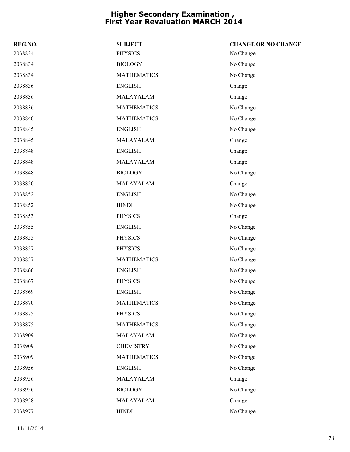| REG.NO. | <b>SUBJECT</b>     | <b>CHANGE OR NO CHANGE</b> |
|---------|--------------------|----------------------------|
| 2038834 | <b>PHYSICS</b>     | No Change                  |
| 2038834 | <b>BIOLOGY</b>     | No Change                  |
| 2038834 | <b>MATHEMATICS</b> | No Change                  |
| 2038836 | <b>ENGLISH</b>     | Change                     |
| 2038836 | MALAYALAM          | Change                     |
| 2038836 | <b>MATHEMATICS</b> | No Change                  |
| 2038840 | <b>MATHEMATICS</b> | No Change                  |
| 2038845 | <b>ENGLISH</b>     | No Change                  |
| 2038845 | MALAYALAM          | Change                     |
| 2038848 | <b>ENGLISH</b>     | Change                     |
| 2038848 | MALAYALAM          | Change                     |
| 2038848 | <b>BIOLOGY</b>     | No Change                  |
| 2038850 | MALAYALAM          | Change                     |
| 2038852 | <b>ENGLISH</b>     | No Change                  |
| 2038852 | <b>HINDI</b>       | No Change                  |
| 2038853 | <b>PHYSICS</b>     | Change                     |
| 2038855 | <b>ENGLISH</b>     | No Change                  |
| 2038855 | <b>PHYSICS</b>     | No Change                  |
| 2038857 | <b>PHYSICS</b>     | No Change                  |
| 2038857 | <b>MATHEMATICS</b> | No Change                  |
| 2038866 | <b>ENGLISH</b>     | No Change                  |
| 2038867 | <b>PHYSICS</b>     | No Change                  |
| 2038869 | <b>ENGLISH</b>     | No Change                  |
| 2038870 | <b>MATHEMATICS</b> | No Change                  |
| 2038875 | <b>PHYSICS</b>     | No Change                  |
| 2038875 | <b>MATHEMATICS</b> | No Change                  |
| 2038909 | MALAYALAM          | No Change                  |
| 2038909 | <b>CHEMISTRY</b>   | No Change                  |
| 2038909 | <b>MATHEMATICS</b> | No Change                  |
| 2038956 | <b>ENGLISH</b>     | No Change                  |
| 2038956 | MALAYALAM          | Change                     |
| 2038956 | <b>BIOLOGY</b>     | No Change                  |
| 2038958 | MALAYALAM          | Change                     |
| 2038977 | <b>HINDI</b>       | No Change                  |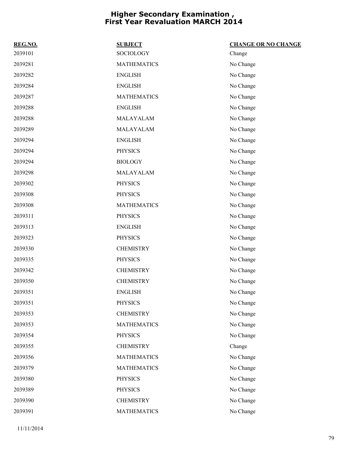| REG.NO. | <b>SUBJECT</b>     | <b>CHANGE OR NO CHANGE</b> |
|---------|--------------------|----------------------------|
| 2039101 | SOCIOLOGY          | Change                     |
| 2039281 | <b>MATHEMATICS</b> | No Change                  |
| 2039282 | <b>ENGLISH</b>     | No Change                  |
| 2039284 | <b>ENGLISH</b>     | No Change                  |
| 2039287 | <b>MATHEMATICS</b> | No Change                  |
| 2039288 | <b>ENGLISH</b>     | No Change                  |
| 2039288 | MALAYALAM          | No Change                  |
| 2039289 | MALAYALAM          | No Change                  |
| 2039294 | <b>ENGLISH</b>     | No Change                  |
| 2039294 | <b>PHYSICS</b>     | No Change                  |
| 2039294 | <b>BIOLOGY</b>     | No Change                  |
| 2039298 | MALAYALAM          | No Change                  |
| 2039302 | <b>PHYSICS</b>     | No Change                  |
| 2039308 | <b>PHYSICS</b>     | No Change                  |
| 2039308 | <b>MATHEMATICS</b> | No Change                  |
| 2039311 | <b>PHYSICS</b>     | No Change                  |
| 2039313 | <b>ENGLISH</b>     | No Change                  |
| 2039323 | <b>PHYSICS</b>     | No Change                  |
| 2039330 | <b>CHEMISTRY</b>   | No Change                  |
| 2039335 | <b>PHYSICS</b>     | No Change                  |
| 2039342 | <b>CHEMISTRY</b>   | No Change                  |
| 2039350 | <b>CHEMISTRY</b>   | No Change                  |
| 2039351 | <b>ENGLISH</b>     | No Change                  |
| 2039351 | <b>PHYSICS</b>     | No Change                  |
| 2039353 | <b>CHEMISTRY</b>   | No Change                  |
| 2039353 | <b>MATHEMATICS</b> | No Change                  |
| 2039354 | <b>PHYSICS</b>     | No Change                  |
| 2039355 | <b>CHEMISTRY</b>   | Change                     |
| 2039356 | <b>MATHEMATICS</b> | No Change                  |
| 2039379 | <b>MATHEMATICS</b> | No Change                  |
| 2039380 | <b>PHYSICS</b>     | No Change                  |
| 2039389 | <b>PHYSICS</b>     | No Change                  |
| 2039390 | <b>CHEMISTRY</b>   | No Change                  |
| 2039391 | <b>MATHEMATICS</b> | No Change                  |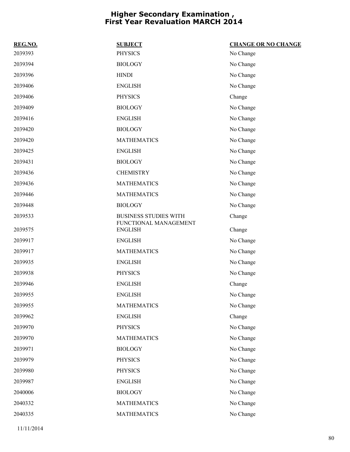| REG.NO. | <b>SUBJECT</b>                          | <b>CHANGE OR NO CHANGE</b> |
|---------|-----------------------------------------|----------------------------|
| 2039393 | <b>PHYSICS</b>                          | No Change                  |
| 2039394 | <b>BIOLOGY</b>                          | No Change                  |
| 2039396 | <b>HINDI</b>                            | No Change                  |
| 2039406 | <b>ENGLISH</b>                          | No Change                  |
| 2039406 | <b>PHYSICS</b>                          | Change                     |
| 2039409 | <b>BIOLOGY</b>                          | No Change                  |
| 2039416 | <b>ENGLISH</b>                          | No Change                  |
| 2039420 | <b>BIOLOGY</b>                          | No Change                  |
| 2039420 | <b>MATHEMATICS</b>                      | No Change                  |
| 2039425 | <b>ENGLISH</b>                          | No Change                  |
| 2039431 | <b>BIOLOGY</b>                          | No Change                  |
| 2039436 | <b>CHEMISTRY</b>                        | No Change                  |
| 2039436 | <b>MATHEMATICS</b>                      | No Change                  |
| 2039446 | <b>MATHEMATICS</b>                      | No Change                  |
| 2039448 | <b>BIOLOGY</b>                          | No Change                  |
| 2039533 | <b>BUSINESS STUDIES WITH</b>            | Change                     |
| 2039575 | FUNCTIONAL MANAGEMENT<br><b>ENGLISH</b> | Change                     |
| 2039917 | <b>ENGLISH</b>                          | No Change                  |
| 2039917 | <b>MATHEMATICS</b>                      | No Change                  |
| 2039935 | <b>ENGLISH</b>                          | No Change                  |
| 2039938 | <b>PHYSICS</b>                          | No Change                  |
| 2039946 | <b>ENGLISH</b>                          | Change                     |
| 2039955 | <b>ENGLISH</b>                          | No Change                  |
| 2039955 | <b>MATHEMATICS</b>                      | No Change                  |
| 2039962 | <b>ENGLISH</b>                          | Change                     |
| 2039970 | <b>PHYSICS</b>                          | No Change                  |
| 2039970 | <b>MATHEMATICS</b>                      | No Change                  |
| 2039971 | <b>BIOLOGY</b>                          | No Change                  |
| 2039979 | <b>PHYSICS</b>                          | No Change                  |
| 2039980 | <b>PHYSICS</b>                          | No Change                  |
| 2039987 | <b>ENGLISH</b>                          | No Change                  |
| 2040006 | <b>BIOLOGY</b>                          | No Change                  |
| 2040332 | <b>MATHEMATICS</b>                      | No Change                  |
| 2040335 | <b>MATHEMATICS</b>                      | No Change                  |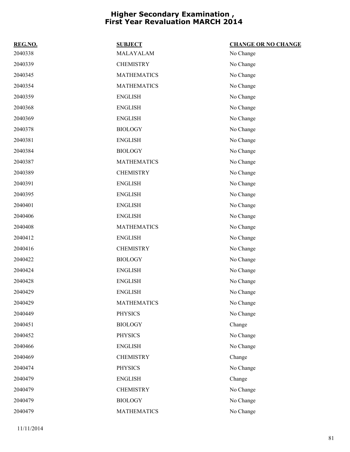| REG.NO. | <b>SUBJECT</b>     | <b>CHANGE OR NO CHANGE</b> |
|---------|--------------------|----------------------------|
| 2040338 | MALAYALAM          | No Change                  |
| 2040339 | <b>CHEMISTRY</b>   | No Change                  |
| 2040345 | <b>MATHEMATICS</b> | No Change                  |
| 2040354 | <b>MATHEMATICS</b> | No Change                  |
| 2040359 | <b>ENGLISH</b>     | No Change                  |
| 2040368 | <b>ENGLISH</b>     | No Change                  |
| 2040369 | <b>ENGLISH</b>     | No Change                  |
| 2040378 | <b>BIOLOGY</b>     | No Change                  |
| 2040381 | <b>ENGLISH</b>     | No Change                  |
| 2040384 | <b>BIOLOGY</b>     | No Change                  |
| 2040387 | <b>MATHEMATICS</b> | No Change                  |
| 2040389 | <b>CHEMISTRY</b>   | No Change                  |
| 2040391 | <b>ENGLISH</b>     | No Change                  |
| 2040395 | <b>ENGLISH</b>     | No Change                  |
| 2040401 | <b>ENGLISH</b>     | No Change                  |
| 2040406 | <b>ENGLISH</b>     | No Change                  |
| 2040408 | <b>MATHEMATICS</b> | No Change                  |
| 2040412 | <b>ENGLISH</b>     | No Change                  |
| 2040416 | <b>CHEMISTRY</b>   | No Change                  |
| 2040422 | <b>BIOLOGY</b>     | No Change                  |
| 2040424 | <b>ENGLISH</b>     | No Change                  |
| 2040428 | <b>ENGLISH</b>     | No Change                  |
| 2040429 | <b>ENGLISH</b>     | No Change                  |
| 2040429 | <b>MATHEMATICS</b> | No Change                  |
| 2040449 | <b>PHYSICS</b>     | No Change                  |
| 2040451 | <b>BIOLOGY</b>     | Change                     |
| 2040452 | <b>PHYSICS</b>     | No Change                  |
| 2040466 | <b>ENGLISH</b>     | No Change                  |
| 2040469 | <b>CHEMISTRY</b>   | Change                     |
| 2040474 | <b>PHYSICS</b>     | No Change                  |
| 2040479 | <b>ENGLISH</b>     | Change                     |
| 2040479 | <b>CHEMISTRY</b>   | No Change                  |
| 2040479 | <b>BIOLOGY</b>     | No Change                  |
| 2040479 | <b>MATHEMATICS</b> | No Change                  |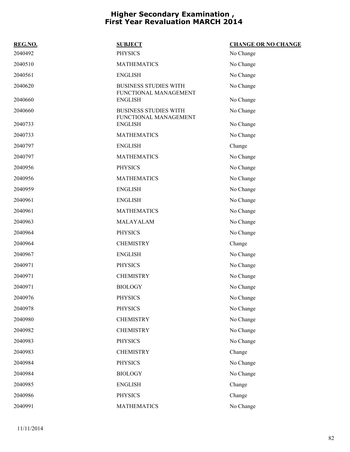| REG.NO. | <b>SUBJECT</b>                                        | <b>CHANGE OR NO CHANGE</b> |
|---------|-------------------------------------------------------|----------------------------|
| 2040492 | <b>PHYSICS</b>                                        | No Change                  |
| 2040510 | <b>MATHEMATICS</b>                                    | No Change                  |
| 2040561 | <b>ENGLISH</b>                                        | No Change                  |
| 2040620 | <b>BUSINESS STUDIES WITH</b><br>FUNCTIONAL MANAGEMENT | No Change                  |
| 2040660 | <b>ENGLISH</b>                                        | No Change                  |
| 2040660 | <b>BUSINESS STUDIES WITH</b><br>FUNCTIONAL MANAGEMENT | No Change                  |
| 2040733 | <b>ENGLISH</b>                                        | No Change                  |
| 2040733 | <b>MATHEMATICS</b>                                    | No Change                  |
| 2040797 | <b>ENGLISH</b>                                        | Change                     |
| 2040797 | <b>MATHEMATICS</b>                                    | No Change                  |
| 2040956 | <b>PHYSICS</b>                                        | No Change                  |
| 2040956 | <b>MATHEMATICS</b>                                    | No Change                  |
| 2040959 | <b>ENGLISH</b>                                        | No Change                  |
| 2040961 | <b>ENGLISH</b>                                        | No Change                  |
| 2040961 | <b>MATHEMATICS</b>                                    | No Change                  |
| 2040963 | MALAYALAM                                             | No Change                  |
| 2040964 | <b>PHYSICS</b>                                        | No Change                  |
| 2040964 | <b>CHEMISTRY</b>                                      | Change                     |
| 2040967 | <b>ENGLISH</b>                                        | No Change                  |
| 2040971 | <b>PHYSICS</b>                                        | No Change                  |
| 2040971 | <b>CHEMISTRY</b>                                      | No Change                  |
| 2040971 | <b>BIOLOGY</b>                                        | No Change                  |
| 2040976 | <b>PHYSICS</b>                                        | No Change                  |
| 2040978 | PHYSICS                                               | No Change                  |
| 2040980 | <b>CHEMISTRY</b>                                      | No Change                  |
| 2040982 | <b>CHEMISTRY</b>                                      | No Change                  |
| 2040983 | PHYSICS                                               | No Change                  |
| 2040983 | <b>CHEMISTRY</b>                                      | Change                     |
| 2040984 | <b>PHYSICS</b>                                        | No Change                  |
| 2040984 | <b>BIOLOGY</b>                                        | No Change                  |
| 2040985 | <b>ENGLISH</b>                                        | Change                     |
| 2040986 | <b>PHYSICS</b>                                        | Change                     |
| 2040991 | <b>MATHEMATICS</b>                                    | No Change                  |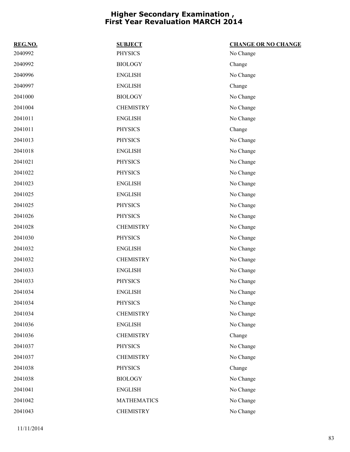| REG.NO. | <b>SUBJECT</b>     | <b>CHANGE OR NO CHANGE</b> |
|---------|--------------------|----------------------------|
| 2040992 | <b>PHYSICS</b>     | No Change                  |
| 2040992 | <b>BIOLOGY</b>     | Change                     |
| 2040996 | <b>ENGLISH</b>     | No Change                  |
| 2040997 | <b>ENGLISH</b>     | Change                     |
| 2041000 | <b>BIOLOGY</b>     | No Change                  |
| 2041004 | <b>CHEMISTRY</b>   | No Change                  |
| 2041011 | <b>ENGLISH</b>     | No Change                  |
| 2041011 | <b>PHYSICS</b>     | Change                     |
| 2041013 | <b>PHYSICS</b>     | No Change                  |
| 2041018 | <b>ENGLISH</b>     | No Change                  |
| 2041021 | <b>PHYSICS</b>     | No Change                  |
| 2041022 | <b>PHYSICS</b>     | No Change                  |
| 2041023 | <b>ENGLISH</b>     | No Change                  |
| 2041025 | <b>ENGLISH</b>     | No Change                  |
| 2041025 | <b>PHYSICS</b>     | No Change                  |
| 2041026 | <b>PHYSICS</b>     | No Change                  |
| 2041028 | <b>CHEMISTRY</b>   | No Change                  |
| 2041030 | <b>PHYSICS</b>     | No Change                  |
| 2041032 | <b>ENGLISH</b>     | No Change                  |
| 2041032 | <b>CHEMISTRY</b>   | No Change                  |
| 2041033 | <b>ENGLISH</b>     | No Change                  |
| 2041033 | <b>PHYSICS</b>     | No Change                  |
| 2041034 | <b>ENGLISH</b>     | No Change                  |
| 2041034 | <b>PHYSICS</b>     | No Change                  |
| 2041034 | <b>CHEMISTRY</b>   | No Change                  |
| 2041036 | <b>ENGLISH</b>     | No Change                  |
| 2041036 | <b>CHEMISTRY</b>   | Change                     |
| 2041037 | <b>PHYSICS</b>     | No Change                  |
| 2041037 | <b>CHEMISTRY</b>   | No Change                  |
| 2041038 | <b>PHYSICS</b>     | Change                     |
| 2041038 | <b>BIOLOGY</b>     | No Change                  |
| 2041041 | <b>ENGLISH</b>     | No Change                  |
| 2041042 | <b>MATHEMATICS</b> | No Change                  |
| 2041043 | <b>CHEMISTRY</b>   | No Change                  |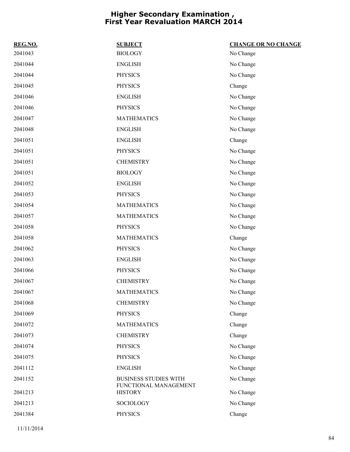| REG.NO. | <b>SUBJECT</b>                                        | <b>CHANGE OR NO CHANGE</b> |
|---------|-------------------------------------------------------|----------------------------|
| 2041043 | <b>BIOLOGY</b>                                        | No Change                  |
| 2041044 | <b>ENGLISH</b>                                        | No Change                  |
| 2041044 | <b>PHYSICS</b>                                        | No Change                  |
| 2041045 | <b>PHYSICS</b>                                        | Change                     |
| 2041046 | <b>ENGLISH</b>                                        | No Change                  |
| 2041046 | <b>PHYSICS</b>                                        | No Change                  |
| 2041047 | <b>MATHEMATICS</b>                                    | No Change                  |
| 2041048 | <b>ENGLISH</b>                                        | No Change                  |
| 2041051 | <b>ENGLISH</b>                                        | Change                     |
| 2041051 | <b>PHYSICS</b>                                        | No Change                  |
| 2041051 | <b>CHEMISTRY</b>                                      | No Change                  |
| 2041051 | <b>BIOLOGY</b>                                        | No Change                  |
| 2041052 | <b>ENGLISH</b>                                        | No Change                  |
| 2041053 | <b>PHYSICS</b>                                        | No Change                  |
| 2041054 | <b>MATHEMATICS</b>                                    | No Change                  |
| 2041057 | <b>MATHEMATICS</b>                                    | No Change                  |
| 2041058 | <b>PHYSICS</b>                                        | No Change                  |
| 2041058 | <b>MATHEMATICS</b>                                    | Change                     |
| 2041062 | <b>PHYSICS</b>                                        | No Change                  |
| 2041063 | <b>ENGLISH</b>                                        | No Change                  |
| 2041066 | <b>PHYSICS</b>                                        | No Change                  |
| 2041067 | <b>CHEMISTRY</b>                                      | No Change                  |
| 2041067 | <b>MATHEMATICS</b>                                    | No Change                  |
| 2041068 | <b>CHEMISTRY</b>                                      | No Change                  |
| 2041069 | <b>PHYSICS</b>                                        | Change                     |
| 2041072 | <b>MATHEMATICS</b>                                    | Change                     |
| 2041073 | <b>CHEMISTRY</b>                                      | Change                     |
| 2041074 | <b>PHYSICS</b>                                        | No Change                  |
| 2041075 | <b>PHYSICS</b>                                        | No Change                  |
| 2041112 | <b>ENGLISH</b>                                        | No Change                  |
| 2041152 | <b>BUSINESS STUDIES WITH</b><br>FUNCTIONAL MANAGEMENT | No Change                  |
| 2041213 | <b>HISTORY</b>                                        | No Change                  |
| 2041213 | SOCIOLOGY                                             | No Change                  |
| 2041384 | <b>PHYSICS</b>                                        | Change                     |
|         |                                                       |                            |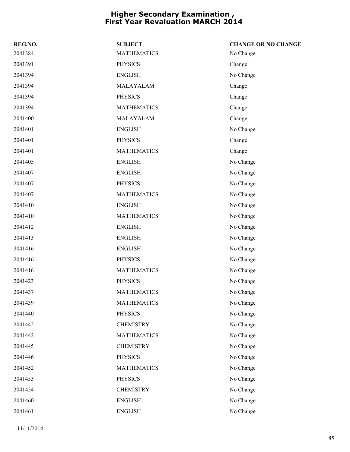| REG.NO. | <b>SUBJECT</b>     | <b>CHANGE OR NO CHANGE</b> |
|---------|--------------------|----------------------------|
| 2041384 | <b>MATHEMATICS</b> | No Change                  |
| 2041391 | <b>PHYSICS</b>     | Change                     |
| 2041394 | <b>ENGLISH</b>     | No Change                  |
| 2041394 | MALAYALAM          | Change                     |
| 2041394 | <b>PHYSICS</b>     | Change                     |
| 2041394 | <b>MATHEMATICS</b> | Change                     |
| 2041400 | MALAYALAM          | Change                     |
| 2041401 | <b>ENGLISH</b>     | No Change                  |
| 2041401 | <b>PHYSICS</b>     | Change                     |
| 2041401 | <b>MATHEMATICS</b> | Change                     |
| 2041405 | <b>ENGLISH</b>     | No Change                  |
| 2041407 | <b>ENGLISH</b>     | No Change                  |
| 2041407 | <b>PHYSICS</b>     | No Change                  |
| 2041407 | <b>MATHEMATICS</b> | No Change                  |
| 2041410 | <b>ENGLISH</b>     | No Change                  |
| 2041410 | <b>MATHEMATICS</b> | No Change                  |
| 2041412 | <b>ENGLISH</b>     | No Change                  |
| 2041413 | <b>ENGLISH</b>     | No Change                  |
| 2041416 | <b>ENGLISH</b>     | No Change                  |
| 2041416 | <b>PHYSICS</b>     | No Change                  |
| 2041416 | <b>MATHEMATICS</b> | No Change                  |
| 2041423 | <b>PHYSICS</b>     | No Change                  |
| 2041437 | <b>MATHEMATICS</b> | No Change                  |
| 2041439 | <b>MATHEMATICS</b> | No Change                  |
| 2041440 | PHYSICS            | No Change                  |
| 2041442 | <b>CHEMISTRY</b>   | No Change                  |
| 2041442 | <b>MATHEMATICS</b> | No Change                  |
| 2041445 | <b>CHEMISTRY</b>   | No Change                  |
| 2041446 | <b>PHYSICS</b>     | No Change                  |
| 2041452 | <b>MATHEMATICS</b> | No Change                  |
| 2041453 | <b>PHYSICS</b>     | No Change                  |
| 2041454 | <b>CHEMISTRY</b>   | No Change                  |
| 2041460 | <b>ENGLISH</b>     | No Change                  |
| 2041461 | <b>ENGLISH</b>     | No Change                  |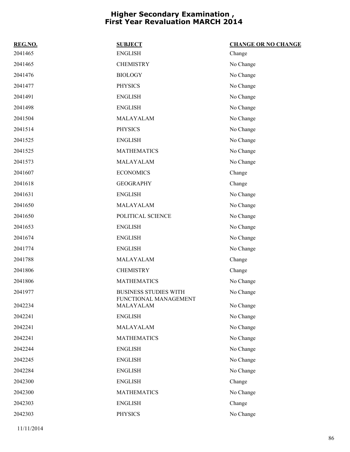| REG.NO. | <b>SUBJECT</b>                                        | <b>CHANGE OR NO CHANGE</b> |
|---------|-------------------------------------------------------|----------------------------|
| 2041465 | <b>ENGLISH</b>                                        | Change                     |
| 2041465 | <b>CHEMISTRY</b>                                      | No Change                  |
| 2041476 | <b>BIOLOGY</b>                                        | No Change                  |
| 2041477 | <b>PHYSICS</b>                                        | No Change                  |
| 2041491 | <b>ENGLISH</b>                                        | No Change                  |
| 2041498 | <b>ENGLISH</b>                                        | No Change                  |
| 2041504 | MALAYALAM                                             | No Change                  |
| 2041514 | <b>PHYSICS</b>                                        | No Change                  |
| 2041525 | <b>ENGLISH</b>                                        | No Change                  |
| 2041525 | <b>MATHEMATICS</b>                                    | No Change                  |
| 2041573 | MALAYALAM                                             | No Change                  |
| 2041607 | <b>ECONOMICS</b>                                      | Change                     |
| 2041618 | <b>GEOGRAPHY</b>                                      | Change                     |
| 2041631 | <b>ENGLISH</b>                                        | No Change                  |
| 2041650 | MALAYALAM                                             | No Change                  |
| 2041650 | POLITICAL SCIENCE                                     | No Change                  |
| 2041653 | <b>ENGLISH</b>                                        | No Change                  |
| 2041674 | <b>ENGLISH</b>                                        | No Change                  |
| 2041774 | <b>ENGLISH</b>                                        | No Change                  |
| 2041788 | MALAYALAM                                             | Change                     |
| 2041806 | <b>CHEMISTRY</b>                                      | Change                     |
| 2041806 | <b>MATHEMATICS</b>                                    | No Change                  |
| 2041977 | <b>BUSINESS STUDIES WITH</b><br>FUNCTIONAL MANAGEMENT | No Change                  |
| 2042234 | MALAYALAM                                             | No Change                  |
| 2042241 | <b>ENGLISH</b>                                        | No Change                  |
| 2042241 | MALAYALAM                                             | No Change                  |
| 2042241 | <b>MATHEMATICS</b>                                    | No Change                  |
| 2042244 | <b>ENGLISH</b>                                        | No Change                  |
| 2042245 | <b>ENGLISH</b>                                        | No Change                  |
| 2042284 | <b>ENGLISH</b>                                        | No Change                  |
| 2042300 | <b>ENGLISH</b>                                        | Change                     |
| 2042300 | <b>MATHEMATICS</b>                                    | No Change                  |
| 2042303 | <b>ENGLISH</b>                                        | Change                     |
| 2042303 | <b>PHYSICS</b>                                        | No Change                  |
|         |                                                       |                            |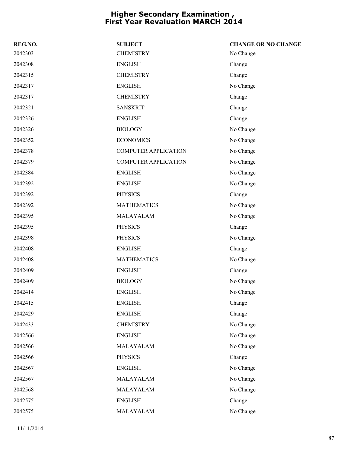| REG.NO. | <b>SUBJECT</b>              | <b>CHANGE OR NO CHANGE</b> |
|---------|-----------------------------|----------------------------|
| 2042303 | <b>CHEMISTRY</b>            | No Change                  |
| 2042308 | <b>ENGLISH</b>              | Change                     |
| 2042315 | <b>CHEMISTRY</b>            | Change                     |
| 2042317 | <b>ENGLISH</b>              | No Change                  |
| 2042317 | <b>CHEMISTRY</b>            | Change                     |
| 2042321 | <b>SANSKRIT</b>             | Change                     |
| 2042326 | <b>ENGLISH</b>              | Change                     |
| 2042326 | <b>BIOLOGY</b>              | No Change                  |
| 2042352 | <b>ECONOMICS</b>            | No Change                  |
| 2042378 | <b>COMPUTER APPLICATION</b> | No Change                  |
| 2042379 | <b>COMPUTER APPLICATION</b> | No Change                  |
| 2042384 | <b>ENGLISH</b>              | No Change                  |
| 2042392 | <b>ENGLISH</b>              | No Change                  |
| 2042392 | <b>PHYSICS</b>              | Change                     |
| 2042392 | <b>MATHEMATICS</b>          | No Change                  |
| 2042395 | MALAYALAM                   | No Change                  |
| 2042395 | <b>PHYSICS</b>              | Change                     |
| 2042398 | <b>PHYSICS</b>              | No Change                  |
| 2042408 | <b>ENGLISH</b>              | Change                     |
| 2042408 | <b>MATHEMATICS</b>          | No Change                  |
| 2042409 | <b>ENGLISH</b>              | Change                     |
| 2042409 | <b>BIOLOGY</b>              | No Change                  |
| 2042414 | <b>ENGLISH</b>              | No Change                  |
| 2042415 | <b>ENGLISH</b>              | Change                     |
| 2042429 | <b>ENGLISH</b>              | Change                     |
| 2042433 | <b>CHEMISTRY</b>            | No Change                  |
| 2042566 | <b>ENGLISH</b>              | No Change                  |
| 2042566 | MALAYALAM                   | No Change                  |
| 2042566 | <b>PHYSICS</b>              | Change                     |
| 2042567 | <b>ENGLISH</b>              | No Change                  |
| 2042567 | MALAYALAM                   | No Change                  |
| 2042568 | MALAYALAM                   | No Change                  |
| 2042575 | <b>ENGLISH</b>              | Change                     |
| 2042575 | MALAYALAM                   | No Change                  |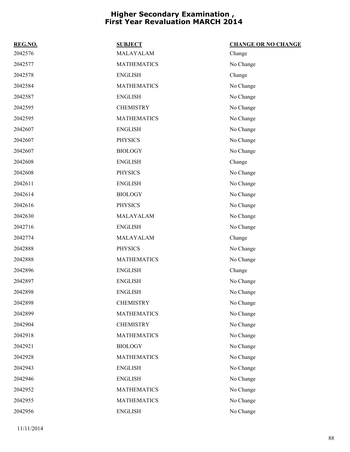| REG.NO. | <b>SUBJECT</b>     | <b>CHANGE OR NO CHANGE</b> |
|---------|--------------------|----------------------------|
| 2042576 | MALAYALAM          | Change                     |
| 2042577 | <b>MATHEMATICS</b> | No Change                  |
| 2042578 | <b>ENGLISH</b>     | Change                     |
| 2042584 | <b>MATHEMATICS</b> | No Change                  |
| 2042587 | <b>ENGLISH</b>     | No Change                  |
| 2042595 | <b>CHEMISTRY</b>   | No Change                  |
| 2042595 | <b>MATHEMATICS</b> | No Change                  |
| 2042607 | <b>ENGLISH</b>     | No Change                  |
| 2042607 | <b>PHYSICS</b>     | No Change                  |
| 2042607 | <b>BIOLOGY</b>     | No Change                  |
| 2042608 | <b>ENGLISH</b>     | Change                     |
| 2042608 | <b>PHYSICS</b>     | No Change                  |
| 2042611 | <b>ENGLISH</b>     | No Change                  |
| 2042614 | <b>BIOLOGY</b>     | No Change                  |
| 2042616 | <b>PHYSICS</b>     | No Change                  |
| 2042630 | MALAYALAM          | No Change                  |
| 2042716 | <b>ENGLISH</b>     | No Change                  |
| 2042774 | MALAYALAM          | Change                     |
| 2042888 | <b>PHYSICS</b>     | No Change                  |
| 2042888 | <b>MATHEMATICS</b> | No Change                  |
| 2042896 | <b>ENGLISH</b>     | Change                     |
| 2042897 | <b>ENGLISH</b>     | No Change                  |
| 2042898 | <b>ENGLISH</b>     | No Change                  |
| 2042898 | <b>CHEMISTRY</b>   | No Change                  |
| 2042899 | <b>MATHEMATICS</b> | No Change                  |
| 2042904 | <b>CHEMISTRY</b>   | No Change                  |
| 2042918 | <b>MATHEMATICS</b> | No Change                  |
| 2042921 | <b>BIOLOGY</b>     | No Change                  |
| 2042928 | <b>MATHEMATICS</b> | No Change                  |
| 2042943 | <b>ENGLISH</b>     | No Change                  |
| 2042946 | <b>ENGLISH</b>     | No Change                  |
| 2042952 | <b>MATHEMATICS</b> | No Change                  |
| 2042955 | <b>MATHEMATICS</b> | No Change                  |
| 2042956 | <b>ENGLISH</b>     | No Change                  |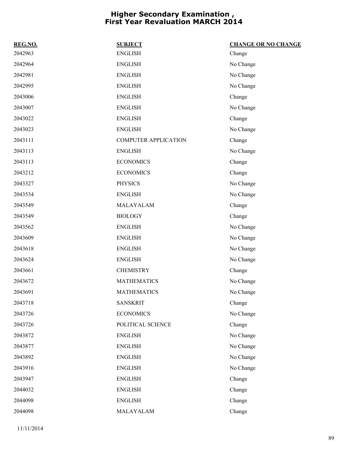| REG.NO. | <b>SUBJECT</b>              | <b>CHANGE OR NO CHANGE</b> |
|---------|-----------------------------|----------------------------|
| 2042963 | <b>ENGLISH</b>              | Change                     |
| 2042964 | <b>ENGLISH</b>              | No Change                  |
| 2042981 | <b>ENGLISH</b>              | No Change                  |
| 2042995 | <b>ENGLISH</b>              | No Change                  |
| 2043006 | <b>ENGLISH</b>              | Change                     |
| 2043007 | <b>ENGLISH</b>              | No Change                  |
| 2043022 | <b>ENGLISH</b>              | Change                     |
| 2043023 | <b>ENGLISH</b>              | No Change                  |
| 2043111 | <b>COMPUTER APPLICATION</b> | Change                     |
| 2043113 | <b>ENGLISH</b>              | No Change                  |
| 2043113 | <b>ECONOMICS</b>            | Change                     |
| 2043212 | <b>ECONOMICS</b>            | Change                     |
| 2043327 | <b>PHYSICS</b>              | No Change                  |
| 2043534 | <b>ENGLISH</b>              | No Change                  |
| 2043549 | MALAYALAM                   | Change                     |
| 2043549 | <b>BIOLOGY</b>              | Change                     |
| 2043562 | <b>ENGLISH</b>              | No Change                  |
| 2043609 | <b>ENGLISH</b>              | No Change                  |
| 2043618 | <b>ENGLISH</b>              | No Change                  |
| 2043624 | <b>ENGLISH</b>              | No Change                  |
| 2043661 | <b>CHEMISTRY</b>            | Change                     |
| 2043672 | <b>MATHEMATICS</b>          | No Change                  |
| 2043691 | <b>MATHEMATICS</b>          | No Change                  |
| 2043718 | <b>SANSKRIT</b>             | Change                     |
| 2043726 | <b>ECONOMICS</b>            | No Change                  |
| 2043726 | POLITICAL SCIENCE           | Change                     |
| 2043872 | <b>ENGLISH</b>              | No Change                  |
| 2043877 | <b>ENGLISH</b>              | No Change                  |
| 2043892 | <b>ENGLISH</b>              | No Change                  |
| 2043916 | <b>ENGLISH</b>              | No Change                  |
| 2043947 | <b>ENGLISH</b>              | Change                     |
| 2044032 | <b>ENGLISH</b>              | Change                     |
| 2044098 | <b>ENGLISH</b>              | Change                     |
| 2044098 | MALAYALAM                   | Change                     |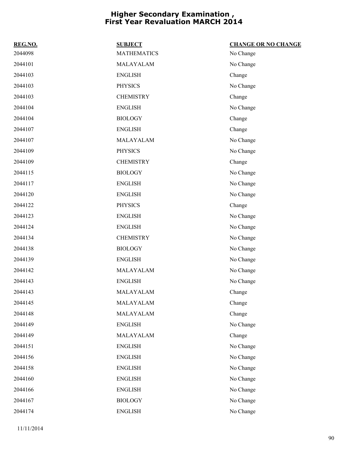| REG.NO. | <b>SUBJECT</b>     | <b>CHANGE OR NO CHANGE</b> |
|---------|--------------------|----------------------------|
| 2044098 | <b>MATHEMATICS</b> | No Change                  |
| 2044101 | MALAYALAM          | No Change                  |
| 2044103 | <b>ENGLISH</b>     | Change                     |
| 2044103 | <b>PHYSICS</b>     | No Change                  |
| 2044103 | <b>CHEMISTRY</b>   | Change                     |
| 2044104 | <b>ENGLISH</b>     | No Change                  |
| 2044104 | <b>BIOLOGY</b>     | Change                     |
| 2044107 | <b>ENGLISH</b>     | Change                     |
| 2044107 | MALAYALAM          | No Change                  |
| 2044109 | <b>PHYSICS</b>     | No Change                  |
| 2044109 | <b>CHEMISTRY</b>   | Change                     |
| 2044115 | <b>BIOLOGY</b>     | No Change                  |
| 2044117 | <b>ENGLISH</b>     | No Change                  |
| 2044120 | <b>ENGLISH</b>     | No Change                  |
| 2044122 | <b>PHYSICS</b>     | Change                     |
| 2044123 | <b>ENGLISH</b>     | No Change                  |
| 2044124 | <b>ENGLISH</b>     | No Change                  |
| 2044134 | <b>CHEMISTRY</b>   | No Change                  |
| 2044138 | <b>BIOLOGY</b>     | No Change                  |
| 2044139 | <b>ENGLISH</b>     | No Change                  |
| 2044142 | MALAYALAM          | No Change                  |
| 2044143 | <b>ENGLISH</b>     | No Change                  |
| 2044143 | MALAYALAM          | Change                     |
| 2044145 | MALAYALAM          | Change                     |
| 2044148 | MALAYALAM          | Change                     |
| 2044149 | <b>ENGLISH</b>     | No Change                  |
| 2044149 | MALAYALAM          | Change                     |
| 2044151 | <b>ENGLISH</b>     | No Change                  |
| 2044156 | <b>ENGLISH</b>     | No Change                  |
| 2044158 | <b>ENGLISH</b>     | No Change                  |
| 2044160 | <b>ENGLISH</b>     | No Change                  |
| 2044166 | <b>ENGLISH</b>     | No Change                  |
| 2044167 | <b>BIOLOGY</b>     | No Change                  |
| 2044174 | <b>ENGLISH</b>     | No Change                  |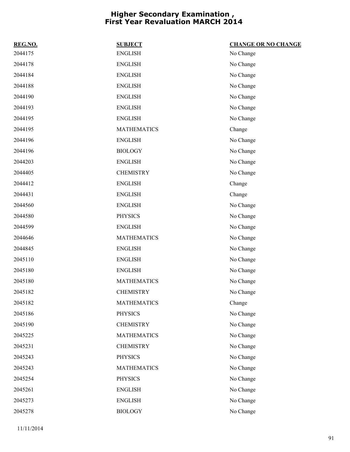| REG.NO. | <b>SUBJECT</b>     | <b>CHANGE OR NO CHANGE</b> |
|---------|--------------------|----------------------------|
| 2044175 | <b>ENGLISH</b>     | No Change                  |
| 2044178 | <b>ENGLISH</b>     | No Change                  |
| 2044184 | <b>ENGLISH</b>     | No Change                  |
| 2044188 | <b>ENGLISH</b>     | No Change                  |
| 2044190 | <b>ENGLISH</b>     | No Change                  |
| 2044193 | <b>ENGLISH</b>     | No Change                  |
| 2044195 | <b>ENGLISH</b>     | No Change                  |
| 2044195 | <b>MATHEMATICS</b> | Change                     |
| 2044196 | <b>ENGLISH</b>     | No Change                  |
| 2044196 | <b>BIOLOGY</b>     | No Change                  |
| 2044203 | <b>ENGLISH</b>     | No Change                  |
| 2044405 | <b>CHEMISTRY</b>   | No Change                  |
| 2044412 | <b>ENGLISH</b>     | Change                     |
| 2044431 | <b>ENGLISH</b>     | Change                     |
| 2044560 | <b>ENGLISH</b>     | No Change                  |
| 2044580 | <b>PHYSICS</b>     | No Change                  |
| 2044599 | <b>ENGLISH</b>     | No Change                  |
| 2044646 | <b>MATHEMATICS</b> | No Change                  |
| 2044845 | <b>ENGLISH</b>     | No Change                  |
| 2045110 | <b>ENGLISH</b>     | No Change                  |
| 2045180 | <b>ENGLISH</b>     | No Change                  |
| 2045180 | <b>MATHEMATICS</b> | No Change                  |
| 2045182 | <b>CHEMISTRY</b>   | No Change                  |
| 2045182 | <b>MATHEMATICS</b> | Change                     |
| 2045186 | <b>PHYSICS</b>     | No Change                  |
| 2045190 | <b>CHEMISTRY</b>   | No Change                  |
| 2045225 | <b>MATHEMATICS</b> | No Change                  |
| 2045231 | <b>CHEMISTRY</b>   | No Change                  |
| 2045243 | <b>PHYSICS</b>     | No Change                  |
| 2045243 | <b>MATHEMATICS</b> | No Change                  |
| 2045254 | <b>PHYSICS</b>     | No Change                  |
| 2045261 | <b>ENGLISH</b>     | No Change                  |
| 2045273 | <b>ENGLISH</b>     | No Change                  |
| 2045278 | <b>BIOLOGY</b>     | No Change                  |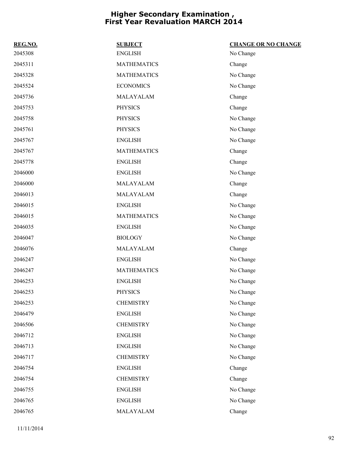| REG.NO. | <b>SUBJECT</b>     | <b>CHANGE OR NO CHANGE</b> |
|---------|--------------------|----------------------------|
| 2045308 | <b>ENGLISH</b>     | No Change                  |
| 2045311 | <b>MATHEMATICS</b> | Change                     |
| 2045328 | <b>MATHEMATICS</b> | No Change                  |
| 2045524 | <b>ECONOMICS</b>   | No Change                  |
| 2045736 | MALAYALAM          | Change                     |
| 2045753 | <b>PHYSICS</b>     | Change                     |
| 2045758 | <b>PHYSICS</b>     | No Change                  |
| 2045761 | <b>PHYSICS</b>     | No Change                  |
| 2045767 | <b>ENGLISH</b>     | No Change                  |
| 2045767 | <b>MATHEMATICS</b> | Change                     |
| 2045778 | <b>ENGLISH</b>     | Change                     |
| 2046000 | <b>ENGLISH</b>     | No Change                  |
| 2046000 | MALAYALAM          | Change                     |
| 2046013 | MALAYALAM          | Change                     |
| 2046015 | <b>ENGLISH</b>     | No Change                  |
| 2046015 | <b>MATHEMATICS</b> | No Change                  |
| 2046035 | <b>ENGLISH</b>     | No Change                  |
| 2046047 | <b>BIOLOGY</b>     | No Change                  |
| 2046076 | MALAYALAM          | Change                     |
| 2046247 | <b>ENGLISH</b>     | No Change                  |
| 2046247 | <b>MATHEMATICS</b> | No Change                  |
| 2046253 | <b>ENGLISH</b>     | No Change                  |
| 2046253 | <b>PHYSICS</b>     | No Change                  |
| 2046253 | <b>CHEMISTRY</b>   | No Change                  |
| 2046479 | <b>ENGLISH</b>     | No Change                  |
| 2046506 | <b>CHEMISTRY</b>   | No Change                  |
| 2046712 | <b>ENGLISH</b>     | No Change                  |
| 2046713 | <b>ENGLISH</b>     | No Change                  |
| 2046717 | <b>CHEMISTRY</b>   | No Change                  |
| 2046754 | <b>ENGLISH</b>     | Change                     |
| 2046754 | <b>CHEMISTRY</b>   | Change                     |
| 2046755 | <b>ENGLISH</b>     | No Change                  |
| 2046765 | <b>ENGLISH</b>     | No Change                  |
| 2046765 | MALAYALAM          | Change                     |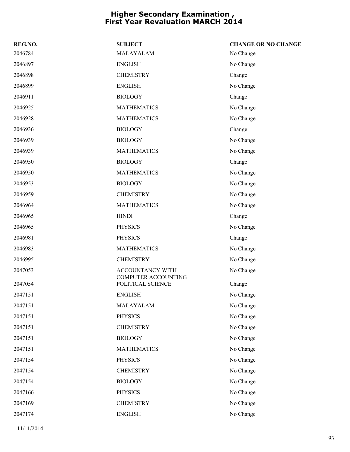| REG.NO. | <b>SUBJECT</b>                           | <b>CHANGE OR NO CHANGE</b> |
|---------|------------------------------------------|----------------------------|
| 2046784 | MALAYALAM                                | No Change                  |
| 2046897 | <b>ENGLISH</b>                           | No Change                  |
| 2046898 | <b>CHEMISTRY</b>                         | Change                     |
| 2046899 | <b>ENGLISH</b>                           | No Change                  |
| 2046911 | <b>BIOLOGY</b>                           | Change                     |
| 2046925 | <b>MATHEMATICS</b>                       | No Change                  |
| 2046928 | <b>MATHEMATICS</b>                       | No Change                  |
| 2046936 | <b>BIOLOGY</b>                           | Change                     |
| 2046939 | <b>BIOLOGY</b>                           | No Change                  |
| 2046939 | <b>MATHEMATICS</b>                       | No Change                  |
| 2046950 | <b>BIOLOGY</b>                           | Change                     |
| 2046950 | <b>MATHEMATICS</b>                       | No Change                  |
| 2046953 | <b>BIOLOGY</b>                           | No Change                  |
| 2046959 | <b>CHEMISTRY</b>                         | No Change                  |
| 2046964 | <b>MATHEMATICS</b>                       | No Change                  |
| 2046965 | <b>HINDI</b>                             | Change                     |
| 2046965 | <b>PHYSICS</b>                           | No Change                  |
| 2046981 | <b>PHYSICS</b>                           | Change                     |
| 2046983 | <b>MATHEMATICS</b>                       | No Change                  |
| 2046995 | <b>CHEMISTRY</b>                         | No Change                  |
| 2047053 | <b>ACCOUNTANCY WITH</b>                  | No Change                  |
| 2047054 | COMPUTER ACCOUNTING<br>POLITICAL SCIENCE | Change                     |
| 2047151 | <b>ENGLISH</b>                           | No Change                  |
| 2047151 | MALAYALAM                                | No Change                  |
| 2047151 | <b>PHYSICS</b>                           | No Change                  |
| 2047151 | <b>CHEMISTRY</b>                         | No Change                  |
| 2047151 | <b>BIOLOGY</b>                           | No Change                  |
| 2047151 | <b>MATHEMATICS</b>                       | No Change                  |
| 2047154 | <b>PHYSICS</b>                           | No Change                  |
| 2047154 | <b>CHEMISTRY</b>                         | No Change                  |
| 2047154 | <b>BIOLOGY</b>                           | No Change                  |
| 2047166 | <b>PHYSICS</b>                           | No Change                  |
| 2047169 | <b>CHEMISTRY</b>                         | No Change                  |
| 2047174 | <b>ENGLISH</b>                           | No Change                  |
|         |                                          |                            |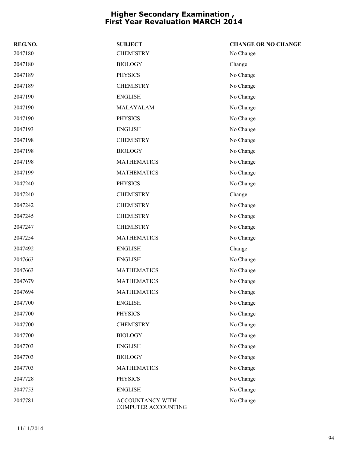| REG.NO. | <b>SUBJECT</b>                          | <b>CHANGE OR NO CHANGE</b> |
|---------|-----------------------------------------|----------------------------|
| 2047180 | <b>CHEMISTRY</b>                        | No Change                  |
| 2047180 | <b>BIOLOGY</b>                          | Change                     |
| 2047189 | <b>PHYSICS</b>                          | No Change                  |
| 2047189 | <b>CHEMISTRY</b>                        | No Change                  |
| 2047190 | <b>ENGLISH</b>                          | No Change                  |
| 2047190 | MALAYALAM                               | No Change                  |
| 2047190 | <b>PHYSICS</b>                          | No Change                  |
| 2047193 | <b>ENGLISH</b>                          | No Change                  |
| 2047198 | <b>CHEMISTRY</b>                        | No Change                  |
| 2047198 | <b>BIOLOGY</b>                          | No Change                  |
| 2047198 | <b>MATHEMATICS</b>                      | No Change                  |
| 2047199 | <b>MATHEMATICS</b>                      | No Change                  |
| 2047240 | <b>PHYSICS</b>                          | No Change                  |
| 2047240 | <b>CHEMISTRY</b>                        | Change                     |
| 2047242 | <b>CHEMISTRY</b>                        | No Change                  |
| 2047245 | <b>CHEMISTRY</b>                        | No Change                  |
| 2047247 | <b>CHEMISTRY</b>                        | No Change                  |
| 2047254 | <b>MATHEMATICS</b>                      | No Change                  |
| 2047492 | <b>ENGLISH</b>                          | Change                     |
| 2047663 | <b>ENGLISH</b>                          | No Change                  |
| 2047663 | <b>MATHEMATICS</b>                      | No Change                  |
| 2047679 | <b>MATHEMATICS</b>                      | No Change                  |
| 2047694 | <b>MATHEMATICS</b>                      | No Change                  |
| 2047700 | <b>ENGLISH</b>                          | No Change                  |
| 2047700 | <b>PHYSICS</b>                          | No Change                  |
| 2047700 | <b>CHEMISTRY</b>                        | No Change                  |
| 2047700 | <b>BIOLOGY</b>                          | No Change                  |
| 2047703 | <b>ENGLISH</b>                          | No Change                  |
| 2047703 | <b>BIOLOGY</b>                          | No Change                  |
| 2047703 | <b>MATHEMATICS</b>                      | No Change                  |
| 2047728 | <b>PHYSICS</b>                          | No Change                  |
| 2047753 | <b>ENGLISH</b>                          | No Change                  |
| 2047781 | ACCOUNTANCY WITH<br>COMPUTER ACCOUNTING | No Change                  |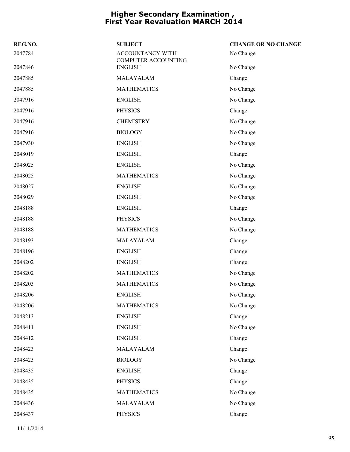| REG.NO. | <b>SUBJECT</b>                          | <b>CHANGE OR NO CHANGE</b> |
|---------|-----------------------------------------|----------------------------|
| 2047784 | ACCOUNTANCY WITH<br>COMPUTER ACCOUNTING | No Change                  |
| 2047846 | <b>ENGLISH</b>                          | No Change                  |
| 2047885 | MALAYALAM                               | Change                     |
| 2047885 | <b>MATHEMATICS</b>                      | No Change                  |
| 2047916 | <b>ENGLISH</b>                          | No Change                  |
| 2047916 | <b>PHYSICS</b>                          | Change                     |
| 2047916 | <b>CHEMISTRY</b>                        | No Change                  |
| 2047916 | <b>BIOLOGY</b>                          | No Change                  |
| 2047930 | <b>ENGLISH</b>                          | No Change                  |
| 2048019 | <b>ENGLISH</b>                          | Change                     |
| 2048025 | <b>ENGLISH</b>                          | No Change                  |
| 2048025 | <b>MATHEMATICS</b>                      | No Change                  |
| 2048027 | <b>ENGLISH</b>                          | No Change                  |
| 2048029 | <b>ENGLISH</b>                          | No Change                  |
| 2048188 | <b>ENGLISH</b>                          | Change                     |
| 2048188 | <b>PHYSICS</b>                          | No Change                  |
| 2048188 | <b>MATHEMATICS</b>                      | No Change                  |
| 2048193 | MALAYALAM                               | Change                     |
| 2048196 | <b>ENGLISH</b>                          | Change                     |
| 2048202 | <b>ENGLISH</b>                          | Change                     |
| 2048202 | <b>MATHEMATICS</b>                      | No Change                  |
| 2048203 | <b>MATHEMATICS</b>                      | No Change                  |
| 2048206 | <b>ENGLISH</b>                          | No Change                  |
| 2048206 | <b>MATHEMATICS</b>                      | No Change                  |
| 2048213 | <b>ENGLISH</b>                          | Change                     |
| 2048411 | <b>ENGLISH</b>                          | No Change                  |
| 2048412 | <b>ENGLISH</b>                          | Change                     |
| 2048423 | MALAYALAM                               | Change                     |
| 2048423 | <b>BIOLOGY</b>                          | No Change                  |
| 2048435 | <b>ENGLISH</b>                          | Change                     |
| 2048435 | <b>PHYSICS</b>                          | Change                     |
| 2048435 | <b>MATHEMATICS</b>                      | No Change                  |
| 2048436 | MALAYALAM                               | No Change                  |
| 2048437 | <b>PHYSICS</b>                          | Change                     |
|         |                                         |                            |

11/11/2014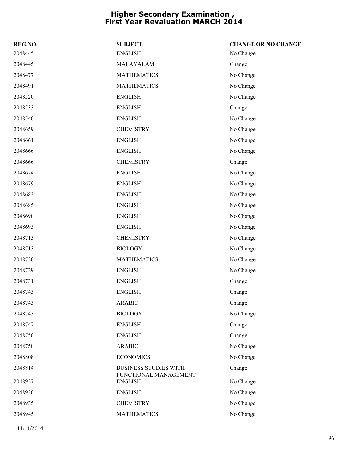| REG.NO. | <b>SUBJECT</b>                          | <b>CHANGE OR NO CHANGE</b> |
|---------|-----------------------------------------|----------------------------|
| 2048445 | <b>ENGLISH</b>                          | No Change                  |
| 2048445 | MALAYALAM                               | Change                     |
| 2048477 | <b>MATHEMATICS</b>                      | No Change                  |
| 2048491 | <b>MATHEMATICS</b>                      | No Change                  |
| 2048520 | <b>ENGLISH</b>                          | No Change                  |
| 2048533 | <b>ENGLISH</b>                          | Change                     |
| 2048540 | <b>ENGLISH</b>                          | No Change                  |
| 2048659 | <b>CHEMISTRY</b>                        | No Change                  |
| 2048661 | <b>ENGLISH</b>                          | No Change                  |
| 2048666 | <b>ENGLISH</b>                          | No Change                  |
| 2048666 | <b>CHEMISTRY</b>                        | Change                     |
| 2048674 | <b>ENGLISH</b>                          | No Change                  |
| 2048679 | <b>ENGLISH</b>                          | No Change                  |
| 2048683 | <b>ENGLISH</b>                          | No Change                  |
| 2048685 | <b>ENGLISH</b>                          | No Change                  |
| 2048690 | <b>ENGLISH</b>                          | No Change                  |
| 2048693 | <b>ENGLISH</b>                          | No Change                  |
| 2048713 | <b>CHEMISTRY</b>                        | No Change                  |
| 2048713 | <b>BIOLOGY</b>                          | No Change                  |
| 2048720 | <b>MATHEMATICS</b>                      | No Change                  |
| 2048729 | <b>ENGLISH</b>                          | No Change                  |
| 2048731 | <b>ENGLISH</b>                          | Change                     |
| 2048743 | <b>ENGLISH</b>                          | Change                     |
| 2048743 | <b>ARABIC</b>                           | Change                     |
| 2048743 | <b>BIOLOGY</b>                          | No Change                  |
| 2048747 | <b>ENGLISH</b>                          | Change                     |
| 2048750 | <b>ENGLISH</b>                          | Change                     |
| 2048750 | <b>ARABIC</b>                           | No Change                  |
| 2048808 | <b>ECONOMICS</b>                        | No Change                  |
| 2048814 | <b>BUSINESS STUDIES WITH</b>            | Change                     |
| 2048927 | FUNCTIONAL MANAGEMENT<br><b>ENGLISH</b> | No Change                  |
| 2048930 | <b>ENGLISH</b>                          | No Change                  |
| 2048935 | <b>CHEMISTRY</b>                        | No Change                  |
| 2048945 | <b>MATHEMATICS</b>                      | No Change                  |
|         |                                         |                            |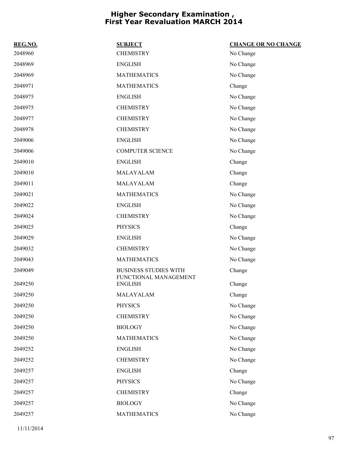| REG.NO. | <b>SUBJECT</b>                          | <b>CHANGE OR NO CHANGE</b> |
|---------|-----------------------------------------|----------------------------|
| 2048960 | <b>CHEMISTRY</b>                        | No Change                  |
| 2048969 | <b>ENGLISH</b>                          | No Change                  |
| 2048969 | <b>MATHEMATICS</b>                      | No Change                  |
| 2048971 | <b>MATHEMATICS</b>                      | Change                     |
| 2048975 | <b>ENGLISH</b>                          | No Change                  |
| 2048975 | <b>CHEMISTRY</b>                        | No Change                  |
| 2048977 | <b>CHEMISTRY</b>                        | No Change                  |
| 2048978 | <b>CHEMISTRY</b>                        | No Change                  |
| 2049006 | <b>ENGLISH</b>                          | No Change                  |
| 2049006 | <b>COMPUTER SCIENCE</b>                 | No Change                  |
| 2049010 | <b>ENGLISH</b>                          | Change                     |
| 2049010 | MALAYALAM                               | Change                     |
| 2049011 | MALAYALAM                               | Change                     |
| 2049021 | <b>MATHEMATICS</b>                      | No Change                  |
| 2049022 | <b>ENGLISH</b>                          | No Change                  |
| 2049024 | <b>CHEMISTRY</b>                        | No Change                  |
| 2049025 | <b>PHYSICS</b>                          | Change                     |
| 2049029 | <b>ENGLISH</b>                          | No Change                  |
| 2049032 | <b>CHEMISTRY</b>                        | No Change                  |
| 2049043 | <b>MATHEMATICS</b>                      | No Change                  |
| 2049049 | <b>BUSINESS STUDIES WITH</b>            | Change                     |
| 2049250 | FUNCTIONAL MANAGEMENT<br><b>ENGLISH</b> | Change                     |
| 2049250 | MALAYALAM                               | Change                     |
| 2049250 | <b>PHYSICS</b>                          | No Change                  |
| 2049250 | <b>CHEMISTRY</b>                        | No Change                  |
| 2049250 | <b>BIOLOGY</b>                          | No Change                  |
| 2049250 | <b>MATHEMATICS</b>                      | No Change                  |
| 2049252 | <b>ENGLISH</b>                          | No Change                  |
| 2049252 | <b>CHEMISTRY</b>                        | No Change                  |
| 2049257 | <b>ENGLISH</b>                          | Change                     |
| 2049257 | <b>PHYSICS</b>                          | No Change                  |
| 2049257 | <b>CHEMISTRY</b>                        | Change                     |
| 2049257 | <b>BIOLOGY</b>                          | No Change                  |
| 2049257 | <b>MATHEMATICS</b>                      | No Change                  |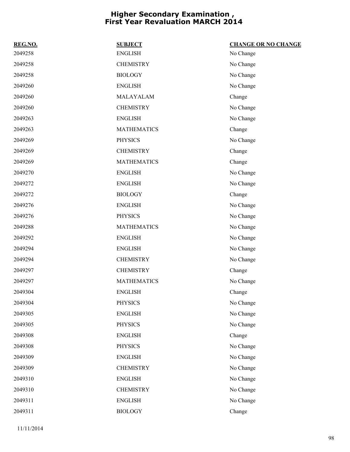| REG.NO. | <b>SUBJECT</b>     | <b>CHANGE OR NO CHANGE</b> |
|---------|--------------------|----------------------------|
| 2049258 | <b>ENGLISH</b>     | No Change                  |
| 2049258 | <b>CHEMISTRY</b>   | No Change                  |
| 2049258 | <b>BIOLOGY</b>     | No Change                  |
| 2049260 | <b>ENGLISH</b>     | No Change                  |
| 2049260 | MALAYALAM          | Change                     |
| 2049260 | <b>CHEMISTRY</b>   | No Change                  |
| 2049263 | <b>ENGLISH</b>     | No Change                  |
| 2049263 | <b>MATHEMATICS</b> | Change                     |
| 2049269 | <b>PHYSICS</b>     | No Change                  |
| 2049269 | <b>CHEMISTRY</b>   | Change                     |
| 2049269 | <b>MATHEMATICS</b> | Change                     |
| 2049270 | <b>ENGLISH</b>     | No Change                  |
| 2049272 | <b>ENGLISH</b>     | No Change                  |
| 2049272 | <b>BIOLOGY</b>     | Change                     |
| 2049276 | <b>ENGLISH</b>     | No Change                  |
| 2049276 | <b>PHYSICS</b>     | No Change                  |
| 2049288 | <b>MATHEMATICS</b> | No Change                  |
| 2049292 | <b>ENGLISH</b>     | No Change                  |
| 2049294 | <b>ENGLISH</b>     | No Change                  |
| 2049294 | <b>CHEMISTRY</b>   | No Change                  |
| 2049297 | <b>CHEMISTRY</b>   | Change                     |
| 2049297 | <b>MATHEMATICS</b> | No Change                  |
| 2049304 | <b>ENGLISH</b>     | Change                     |
| 2049304 | <b>PHYSICS</b>     | No Change                  |
| 2049305 | <b>ENGLISH</b>     | No Change                  |
| 2049305 | <b>PHYSICS</b>     | No Change                  |
| 2049308 | <b>ENGLISH</b>     | Change                     |
| 2049308 | <b>PHYSICS</b>     | No Change                  |
| 2049309 | <b>ENGLISH</b>     | No Change                  |
| 2049309 | <b>CHEMISTRY</b>   | No Change                  |
| 2049310 | <b>ENGLISH</b>     | No Change                  |
| 2049310 | <b>CHEMISTRY</b>   | No Change                  |
| 2049311 | <b>ENGLISH</b>     | No Change                  |
| 2049311 | <b>BIOLOGY</b>     | Change                     |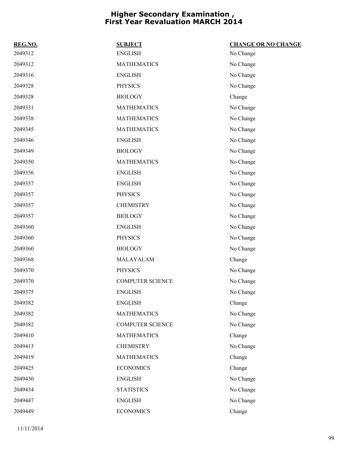| REG.NO. | <b>SUBJECT</b>          | <b>CHANGE OR NO CHANGE</b> |
|---------|-------------------------|----------------------------|
| 2049312 | <b>ENGLISH</b>          | No Change                  |
| 2049312 | <b>MATHEMATICS</b>      | No Change                  |
| 2049316 | <b>ENGLISH</b>          | No Change                  |
| 2049328 | <b>PHYSICS</b>          | No Change                  |
| 2049328 | <b>BIOLOGY</b>          | Change                     |
| 2049331 | <b>MATHEMATICS</b>      | No Change                  |
| 2049338 | <b>MATHEMATICS</b>      | No Change                  |
| 2049345 | <b>MATHEMATICS</b>      | No Change                  |
| 2049346 | <b>ENGLISH</b>          | No Change                  |
| 2049349 | <b>BIOLOGY</b>          | No Change                  |
| 2049350 | <b>MATHEMATICS</b>      | No Change                  |
| 2049356 | <b>ENGLISH</b>          | No Change                  |
| 2049357 | <b>ENGLISH</b>          | No Change                  |
| 2049357 | <b>PHYSICS</b>          | No Change                  |
| 2049357 | <b>CHEMISTRY</b>        | No Change                  |
| 2049357 | <b>BIOLOGY</b>          | No Change                  |
| 2049360 | <b>ENGLISH</b>          | No Change                  |
| 2049360 | <b>PHYSICS</b>          | No Change                  |
| 2049360 | <b>BIOLOGY</b>          | No Change                  |
| 2049368 | MALAYALAM               | Change                     |
| 2049370 | <b>PHYSICS</b>          | No Change                  |
| 2049370 | <b>COMPUTER SCIENCE</b> | No Change                  |
| 2049375 | <b>ENGLISH</b>          | No Change                  |
| 2049382 | <b>ENGLISH</b>          | Change                     |
| 2049382 | <b>MATHEMATICS</b>      | No Change                  |
| 2049382 | <b>COMPUTER SCIENCE</b> | No Change                  |
| 2049410 | <b>MATHEMATICS</b>      | Change                     |
| 2049413 | <b>CHEMISTRY</b>        | No Change                  |
| 2049419 | <b>MATHEMATICS</b>      | Change                     |
| 2049425 | <b>ECONOMICS</b>        | Change                     |
| 2049430 | <b>ENGLISH</b>          | No Change                  |
| 2049434 | <b>STATISTICS</b>       | No Change                  |
| 2049447 | <b>ENGLISH</b>          | No Change                  |
| 2049449 | <b>ECONOMICS</b>        | Change                     |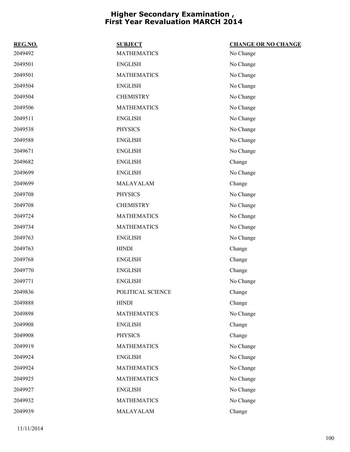| REG.NO. | <b>SUBJECT</b>     | <b>CHANGE OR NO CHANGE</b> |
|---------|--------------------|----------------------------|
| 2049492 | <b>MATHEMATICS</b> | No Change                  |
| 2049501 | <b>ENGLISH</b>     | No Change                  |
| 2049501 | <b>MATHEMATICS</b> | No Change                  |
| 2049504 | <b>ENGLISH</b>     | No Change                  |
| 2049504 | <b>CHEMISTRY</b>   | No Change                  |
| 2049506 | <b>MATHEMATICS</b> | No Change                  |
| 2049511 | <b>ENGLISH</b>     | No Change                  |
| 2049538 | <b>PHYSICS</b>     | No Change                  |
| 2049588 | <b>ENGLISH</b>     | No Change                  |
| 2049671 | <b>ENGLISH</b>     | No Change                  |
| 2049682 | <b>ENGLISH</b>     | Change                     |
| 2049699 | <b>ENGLISH</b>     | No Change                  |
| 2049699 | MALAYALAM          | Change                     |
| 2049708 | <b>PHYSICS</b>     | No Change                  |
| 2049708 | <b>CHEMISTRY</b>   | No Change                  |
| 2049724 | <b>MATHEMATICS</b> | No Change                  |
| 2049734 | <b>MATHEMATICS</b> | No Change                  |
| 2049763 | <b>ENGLISH</b>     | No Change                  |
| 2049763 | <b>HINDI</b>       | Change                     |
| 2049768 | <b>ENGLISH</b>     | Change                     |
| 2049770 | <b>ENGLISH</b>     | Change                     |
| 2049771 | <b>ENGLISH</b>     | No Change                  |
| 2049836 | POLITICAL SCIENCE  | Change                     |
| 2049888 | <b>HINDI</b>       | Change                     |
| 2049898 | <b>MATHEMATICS</b> | No Change                  |
| 2049908 | <b>ENGLISH</b>     | Change                     |
| 2049908 | <b>PHYSICS</b>     | Change                     |
| 2049919 | <b>MATHEMATICS</b> | No Change                  |
| 2049924 | <b>ENGLISH</b>     | No Change                  |
| 2049924 | <b>MATHEMATICS</b> | No Change                  |
| 2049925 | <b>MATHEMATICS</b> | No Change                  |
| 2049927 | <b>ENGLISH</b>     | No Change                  |
| 2049932 | <b>MATHEMATICS</b> | No Change                  |
| 2049939 | MALAYALAM          | Change                     |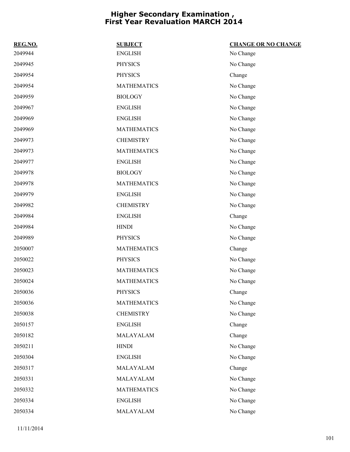| REG.NO. | <b>SUBJECT</b>     | <b>CHANGE OR NO CHANGE</b> |
|---------|--------------------|----------------------------|
| 2049944 | <b>ENGLISH</b>     | No Change                  |
| 2049945 | <b>PHYSICS</b>     | No Change                  |
| 2049954 | <b>PHYSICS</b>     | Change                     |
| 2049954 | <b>MATHEMATICS</b> | No Change                  |
| 2049959 | <b>BIOLOGY</b>     | No Change                  |
| 2049967 | <b>ENGLISH</b>     | No Change                  |
| 2049969 | <b>ENGLISH</b>     | No Change                  |
| 2049969 | <b>MATHEMATICS</b> | No Change                  |
| 2049973 | <b>CHEMISTRY</b>   | No Change                  |
| 2049973 | <b>MATHEMATICS</b> | No Change                  |
| 2049977 | <b>ENGLISH</b>     | No Change                  |
| 2049978 | <b>BIOLOGY</b>     | No Change                  |
| 2049978 | <b>MATHEMATICS</b> | No Change                  |
| 2049979 | <b>ENGLISH</b>     | No Change                  |
| 2049982 | <b>CHEMISTRY</b>   | No Change                  |
| 2049984 | <b>ENGLISH</b>     | Change                     |
| 2049984 | <b>HINDI</b>       | No Change                  |
| 2049989 | <b>PHYSICS</b>     | No Change                  |
| 2050007 | <b>MATHEMATICS</b> | Change                     |
| 2050022 | <b>PHYSICS</b>     | No Change                  |
| 2050023 | <b>MATHEMATICS</b> | No Change                  |
| 2050024 | <b>MATHEMATICS</b> | No Change                  |
| 2050036 | <b>PHYSICS</b>     | Change                     |
| 2050036 | <b>MATHEMATICS</b> | No Change                  |
| 2050038 | <b>CHEMISTRY</b>   | No Change                  |
| 2050157 | <b>ENGLISH</b>     | Change                     |
| 2050182 | MALAYALAM          | Change                     |
| 2050211 | <b>HINDI</b>       | No Change                  |
| 2050304 | <b>ENGLISH</b>     | No Change                  |
| 2050317 | MALAYALAM          | Change                     |
| 2050331 | MALAYALAM          | No Change                  |
| 2050332 | <b>MATHEMATICS</b> | No Change                  |
| 2050334 | <b>ENGLISH</b>     | No Change                  |
| 2050334 | MALAYALAM          | No Change                  |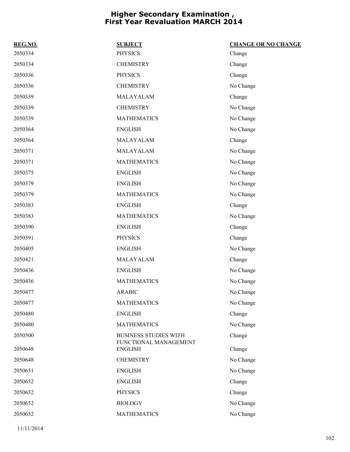| REG.NO. | <b>SUBJECT</b>                                        | <b>CHANGE OR NO CHANGE</b> |
|---------|-------------------------------------------------------|----------------------------|
| 2050334 | <b>PHYSICS</b>                                        | Change                     |
| 2050334 | <b>CHEMISTRY</b>                                      | Change                     |
| 2050336 | <b>PHYSICS</b>                                        | Change                     |
| 2050336 | <b>CHEMISTRY</b>                                      | No Change                  |
| 2050339 | MALAYALAM                                             | Change                     |
| 2050339 | <b>CHEMISTRY</b>                                      | No Change                  |
| 2050339 | <b>MATHEMATICS</b>                                    | No Change                  |
| 2050364 | <b>ENGLISH</b>                                        | No Change                  |
| 2050364 | MALAYALAM                                             | Change                     |
| 2050371 | MALAYALAM                                             | No Change                  |
| 2050371 | <b>MATHEMATICS</b>                                    | No Change                  |
| 2050375 | <b>ENGLISH</b>                                        | No Change                  |
| 2050379 | <b>ENGLISH</b>                                        | No Change                  |
| 2050379 | <b>MATHEMATICS</b>                                    | No Change                  |
| 2050383 | <b>ENGLISH</b>                                        | Change                     |
| 2050383 | <b>MATHEMATICS</b>                                    | No Change                  |
| 2050390 | <b>ENGLISH</b>                                        | Change                     |
| 2050391 | <b>PHYSICS</b>                                        | Change                     |
| 2050405 | <b>ENGLISH</b>                                        | No Change                  |
| 2050421 | MALAYALAM                                             | Change                     |
| 2050436 | <b>ENGLISH</b>                                        | No Change                  |
| 2050436 | <b>MATHEMATICS</b>                                    | No Change                  |
| 2050477 | <b>ARABIC</b>                                         | No Change                  |
| 2050477 | <b>MATHEMATICS</b>                                    | No Change                  |
| 2050480 | <b>ENGLISH</b>                                        | Change                     |
| 2050480 | <b>MATHEMATICS</b>                                    | No Change                  |
| 2050500 | <b>BUSINESS STUDIES WITH</b><br>FUNCTIONAL MANAGEMENT | Change                     |
| 2050648 | <b>ENGLISH</b>                                        | Change                     |
| 2050648 | <b>CHEMISTRY</b>                                      | No Change                  |
| 2050651 | <b>ENGLISH</b>                                        | No Change                  |
| 2050652 | <b>ENGLISH</b>                                        | Change                     |
| 2050652 | <b>PHYSICS</b>                                        | Change                     |
| 2050652 | <b>BIOLOGY</b>                                        | No Change                  |
| 2050652 | <b>MATHEMATICS</b>                                    | No Change                  |
|         |                                                       |                            |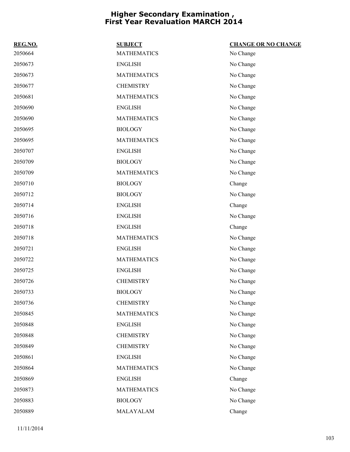| REG.NO. | <b>SUBJECT</b>     | <b>CHANGE OR NO CHANGE</b> |
|---------|--------------------|----------------------------|
| 2050664 | <b>MATHEMATICS</b> | No Change                  |
| 2050673 | <b>ENGLISH</b>     | No Change                  |
| 2050673 | <b>MATHEMATICS</b> | No Change                  |
| 2050677 | <b>CHEMISTRY</b>   | No Change                  |
| 2050681 | <b>MATHEMATICS</b> | No Change                  |
| 2050690 | <b>ENGLISH</b>     | No Change                  |
| 2050690 | <b>MATHEMATICS</b> | No Change                  |
| 2050695 | <b>BIOLOGY</b>     | No Change                  |
| 2050695 | <b>MATHEMATICS</b> | No Change                  |
| 2050707 | <b>ENGLISH</b>     | No Change                  |
| 2050709 | <b>BIOLOGY</b>     | No Change                  |
| 2050709 | <b>MATHEMATICS</b> | No Change                  |
| 2050710 | <b>BIOLOGY</b>     | Change                     |
| 2050712 | <b>BIOLOGY</b>     | No Change                  |
| 2050714 | <b>ENGLISH</b>     | Change                     |
| 2050716 | <b>ENGLISH</b>     | No Change                  |
| 2050718 | <b>ENGLISH</b>     | Change                     |
| 2050718 | <b>MATHEMATICS</b> | No Change                  |
| 2050721 | <b>ENGLISH</b>     | No Change                  |
| 2050722 | <b>MATHEMATICS</b> | No Change                  |
| 2050725 | <b>ENGLISH</b>     | No Change                  |
| 2050726 | <b>CHEMISTRY</b>   | No Change                  |
| 2050733 | <b>BIOLOGY</b>     | No Change                  |
| 2050736 | <b>CHEMISTRY</b>   | No Change                  |
| 2050845 | <b>MATHEMATICS</b> | No Change                  |
| 2050848 | <b>ENGLISH</b>     | No Change                  |
| 2050848 | <b>CHEMISTRY</b>   | No Change                  |
| 2050849 | <b>CHEMISTRY</b>   | No Change                  |
| 2050861 | <b>ENGLISH</b>     | No Change                  |
| 2050864 | <b>MATHEMATICS</b> | No Change                  |
| 2050869 | <b>ENGLISH</b>     | Change                     |
| 2050873 | <b>MATHEMATICS</b> | No Change                  |
| 2050883 | <b>BIOLOGY</b>     | No Change                  |
| 2050889 | MALAYALAM          | Change                     |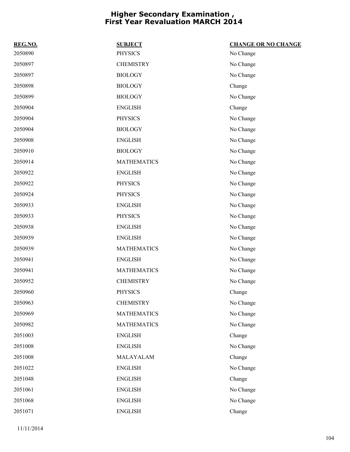| REG.NO. | <b>SUBJECT</b>     | <b>CHANGE OR NO CHANGE</b> |
|---------|--------------------|----------------------------|
| 2050890 | <b>PHYSICS</b>     | No Change                  |
| 2050897 | <b>CHEMISTRY</b>   | No Change                  |
| 2050897 | <b>BIOLOGY</b>     | No Change                  |
| 2050898 | <b>BIOLOGY</b>     | Change                     |
| 2050899 | <b>BIOLOGY</b>     | No Change                  |
| 2050904 | <b>ENGLISH</b>     | Change                     |
| 2050904 | <b>PHYSICS</b>     | No Change                  |
| 2050904 | <b>BIOLOGY</b>     | No Change                  |
| 2050908 | <b>ENGLISH</b>     | No Change                  |
| 2050910 | <b>BIOLOGY</b>     | No Change                  |
| 2050914 | <b>MATHEMATICS</b> | No Change                  |
| 2050922 | <b>ENGLISH</b>     | No Change                  |
| 2050922 | <b>PHYSICS</b>     | No Change                  |
| 2050924 | <b>PHYSICS</b>     | No Change                  |
| 2050933 | <b>ENGLISH</b>     | No Change                  |
| 2050933 | <b>PHYSICS</b>     | No Change                  |
| 2050938 | <b>ENGLISH</b>     | No Change                  |
| 2050939 | <b>ENGLISH</b>     | No Change                  |
| 2050939 | <b>MATHEMATICS</b> | No Change                  |
| 2050941 | <b>ENGLISH</b>     | No Change                  |
| 2050941 | <b>MATHEMATICS</b> | No Change                  |
| 2050952 | <b>CHEMISTRY</b>   | No Change                  |
| 2050960 | <b>PHYSICS</b>     | Change                     |
| 2050963 | <b>CHEMISTRY</b>   | No Change                  |
| 2050969 | <b>MATHEMATICS</b> | No Change                  |
| 2050982 | <b>MATHEMATICS</b> | No Change                  |
| 2051003 | <b>ENGLISH</b>     | Change                     |
| 2051008 | <b>ENGLISH</b>     | No Change                  |
| 2051008 | MALAYALAM          | Change                     |
| 2051022 | <b>ENGLISH</b>     | No Change                  |
| 2051048 | <b>ENGLISH</b>     | Change                     |
| 2051061 | <b>ENGLISH</b>     | No Change                  |
| 2051068 | <b>ENGLISH</b>     | No Change                  |
| 2051071 | <b>ENGLISH</b>     | Change                     |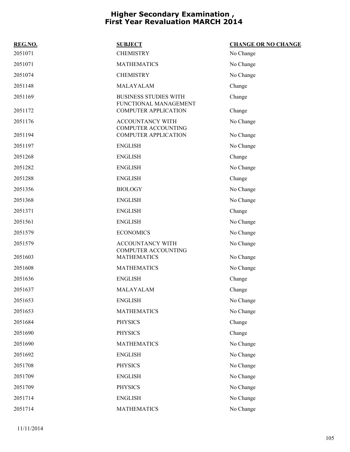| REG.NO. | <b>SUBJECT</b>                                        | <b>CHANGE OR NO CHANGE</b> |
|---------|-------------------------------------------------------|----------------------------|
| 2051071 | <b>CHEMISTRY</b>                                      | No Change                  |
| 2051071 | <b>MATHEMATICS</b>                                    | No Change                  |
| 2051074 | <b>CHEMISTRY</b>                                      | No Change                  |
| 2051148 | MALAYALAM                                             | Change                     |
| 2051169 | <b>BUSINESS STUDIES WITH</b><br>FUNCTIONAL MANAGEMENT | Change                     |
| 2051172 | <b>COMPUTER APPLICATION</b>                           | Change                     |
| 2051176 | ACCOUNTANCY WITH<br><b>COMPUTER ACCOUNTING</b>        | No Change                  |
| 2051194 | <b>COMPUTER APPLICATION</b>                           | No Change                  |
| 2051197 | <b>ENGLISH</b>                                        | No Change                  |
| 2051268 | <b>ENGLISH</b>                                        | Change                     |
| 2051282 | <b>ENGLISH</b>                                        | No Change                  |
| 2051288 | <b>ENGLISH</b>                                        | Change                     |
| 2051356 | <b>BIOLOGY</b>                                        | No Change                  |
| 2051368 | <b>ENGLISH</b>                                        | No Change                  |
| 2051371 | <b>ENGLISH</b>                                        | Change                     |
| 2051561 | <b>ENGLISH</b>                                        | No Change                  |
| 2051579 | <b>ECONOMICS</b>                                      | No Change                  |
| 2051579 | <b>ACCOUNTANCY WITH</b><br><b>COMPUTER ACCOUNTING</b> | No Change                  |
| 2051603 | <b>MATHEMATICS</b>                                    | No Change                  |
| 2051608 | <b>MATHEMATICS</b>                                    | No Change                  |
| 2051636 | <b>ENGLISH</b>                                        | Change                     |
| 2051637 | MALAYALAM                                             | Change                     |
| 2051653 | <b>ENGLISH</b>                                        | No Change                  |
| 2051653 | <b>MATHEMATICS</b>                                    | No Change                  |
| 2051684 | <b>PHYSICS</b>                                        | Change                     |
| 2051690 | <b>PHYSICS</b>                                        | Change                     |
| 2051690 | <b>MATHEMATICS</b>                                    | No Change                  |
| 2051692 | <b>ENGLISH</b>                                        | No Change                  |
| 2051708 | <b>PHYSICS</b>                                        | No Change                  |
| 2051709 | <b>ENGLISH</b>                                        | No Change                  |
| 2051709 | <b>PHYSICS</b>                                        | No Change                  |
| 2051714 | <b>ENGLISH</b>                                        | No Change                  |
| 2051714 | <b>MATHEMATICS</b>                                    | No Change                  |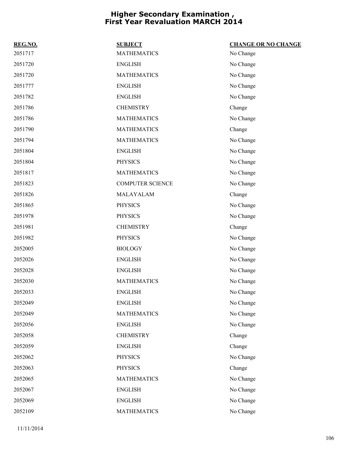| REG.NO. | <b>SUBJECT</b>          | <b>CHANGE OR NO CHANGE</b> |
|---------|-------------------------|----------------------------|
| 2051717 | <b>MATHEMATICS</b>      | No Change                  |
| 2051720 | <b>ENGLISH</b>          | No Change                  |
| 2051720 | <b>MATHEMATICS</b>      | No Change                  |
| 2051777 | <b>ENGLISH</b>          | No Change                  |
| 2051782 | <b>ENGLISH</b>          | No Change                  |
| 2051786 | <b>CHEMISTRY</b>        | Change                     |
| 2051786 | <b>MATHEMATICS</b>      | No Change                  |
| 2051790 | <b>MATHEMATICS</b>      | Change                     |
| 2051794 | <b>MATHEMATICS</b>      | No Change                  |
| 2051804 | <b>ENGLISH</b>          | No Change                  |
| 2051804 | <b>PHYSICS</b>          | No Change                  |
| 2051817 | <b>MATHEMATICS</b>      | No Change                  |
| 2051823 | <b>COMPUTER SCIENCE</b> | No Change                  |
| 2051826 | MALAYALAM               | Change                     |
| 2051865 | <b>PHYSICS</b>          | No Change                  |
| 2051978 | <b>PHYSICS</b>          | No Change                  |
| 2051981 | <b>CHEMISTRY</b>        | Change                     |
| 2051982 | <b>PHYSICS</b>          | No Change                  |
| 2052005 | <b>BIOLOGY</b>          | No Change                  |
| 2052026 | <b>ENGLISH</b>          | No Change                  |
| 2052028 | <b>ENGLISH</b>          | No Change                  |
| 2052030 | <b>MATHEMATICS</b>      | No Change                  |
| 2052033 | <b>ENGLISH</b>          | No Change                  |
| 2052049 | <b>ENGLISH</b>          | No Change                  |
| 2052049 | <b>MATHEMATICS</b>      | No Change                  |
| 2052056 | <b>ENGLISH</b>          | No Change                  |
| 2052058 | <b>CHEMISTRY</b>        | Change                     |
| 2052059 | <b>ENGLISH</b>          | Change                     |
| 2052062 | <b>PHYSICS</b>          | No Change                  |
| 2052063 | <b>PHYSICS</b>          | Change                     |
| 2052065 | <b>MATHEMATICS</b>      | No Change                  |
| 2052067 | <b>ENGLISH</b>          | No Change                  |
| 2052069 | <b>ENGLISH</b>          | No Change                  |
| 2052109 | <b>MATHEMATICS</b>      | No Change                  |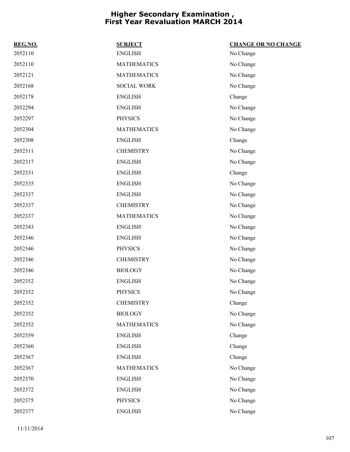| REG.NO. | <b>SUBJECT</b>     | <b>CHANGE OR NO CHANGE</b> |
|---------|--------------------|----------------------------|
| 2052110 | <b>ENGLISH</b>     | No Change                  |
| 2052110 | <b>MATHEMATICS</b> | No Change                  |
| 2052121 | <b>MATHEMATICS</b> | No Change                  |
| 2052168 | <b>SOCIAL WORK</b> | No Change                  |
| 2052178 | <b>ENGLISH</b>     | Change                     |
| 2052294 | <b>ENGLISH</b>     | No Change                  |
| 2052297 | <b>PHYSICS</b>     | No Change                  |
| 2052304 | <b>MATHEMATICS</b> | No Change                  |
| 2052308 | <b>ENGLISH</b>     | Change                     |
| 2052311 | <b>CHEMISTRY</b>   | No Change                  |
| 2052317 | <b>ENGLISH</b>     | No Change                  |
| 2052331 | <b>ENGLISH</b>     | Change                     |
| 2052335 | <b>ENGLISH</b>     | No Change                  |
| 2052337 | <b>ENGLISH</b>     | No Change                  |
| 2052337 | <b>CHEMISTRY</b>   | No Change                  |
| 2052337 | <b>MATHEMATICS</b> | No Change                  |
| 2052343 | <b>ENGLISH</b>     | No Change                  |
| 2052346 | <b>ENGLISH</b>     | No Change                  |
| 2052346 | <b>PHYSICS</b>     | No Change                  |
| 2052346 | <b>CHEMISTRY</b>   | No Change                  |
| 2052346 | <b>BIOLOGY</b>     | No Change                  |
| 2052352 | <b>ENGLISH</b>     | No Change                  |
| 2052352 | <b>PHYSICS</b>     | No Change                  |
| 2052352 | <b>CHEMISTRY</b>   | Change                     |
| 2052352 | <b>BIOLOGY</b>     | No Change                  |
| 2052352 | <b>MATHEMATICS</b> | No Change                  |
| 2052359 | <b>ENGLISH</b>     | Change                     |
| 2052360 | <b>ENGLISH</b>     | Change                     |
| 2052367 | <b>ENGLISH</b>     | Change                     |
| 2052367 | <b>MATHEMATICS</b> | No Change                  |
| 2052370 | <b>ENGLISH</b>     | No Change                  |
| 2052372 | <b>ENGLISH</b>     | No Change                  |
| 2052375 | <b>PHYSICS</b>     | No Change                  |
| 2052377 | <b>ENGLISH</b>     | No Change                  |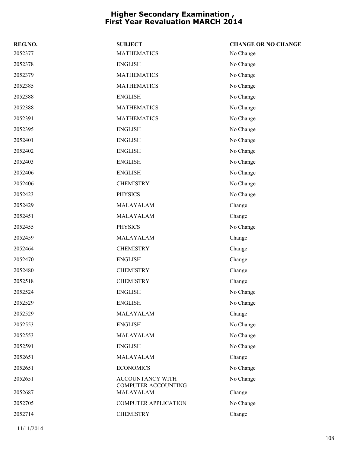| REG.NO. | <b>SUBJECT</b>                          | <b>CHANGE OR NO CHANGE</b> |
|---------|-----------------------------------------|----------------------------|
| 2052377 | <b>MATHEMATICS</b>                      | No Change                  |
| 2052378 | <b>ENGLISH</b>                          | No Change                  |
| 2052379 | <b>MATHEMATICS</b>                      | No Change                  |
| 2052385 | <b>MATHEMATICS</b>                      | No Change                  |
| 2052388 | <b>ENGLISH</b>                          | No Change                  |
| 2052388 | <b>MATHEMATICS</b>                      | No Change                  |
| 2052391 | <b>MATHEMATICS</b>                      | No Change                  |
| 2052395 | <b>ENGLISH</b>                          | No Change                  |
| 2052401 | <b>ENGLISH</b>                          | No Change                  |
| 2052402 | <b>ENGLISH</b>                          | No Change                  |
| 2052403 | <b>ENGLISH</b>                          | No Change                  |
| 2052406 | <b>ENGLISH</b>                          | No Change                  |
| 2052406 | <b>CHEMISTRY</b>                        | No Change                  |
| 2052423 | <b>PHYSICS</b>                          | No Change                  |
| 2052429 | MALAYALAM                               | Change                     |
| 2052451 | MALAYALAM                               | Change                     |
| 2052455 | <b>PHYSICS</b>                          | No Change                  |
| 2052459 | MALAYALAM                               | Change                     |
| 2052464 | <b>CHEMISTRY</b>                        | Change                     |
| 2052470 | <b>ENGLISH</b>                          | Change                     |
| 2052480 | <b>CHEMISTRY</b>                        | Change                     |
| 2052518 | <b>CHEMISTRY</b>                        | Change                     |
| 2052524 | <b>ENGLISH</b>                          | No Change                  |
| 2052529 | <b>ENGLISH</b>                          | No Change                  |
| 2052529 | MALAYALAM                               | Change                     |
| 2052553 | <b>ENGLISH</b>                          | No Change                  |
| 2052553 | MALAYALAM                               | No Change                  |
| 2052591 | <b>ENGLISH</b>                          | No Change                  |
| 2052651 | MALAYALAM                               | Change                     |
| 2052651 | <b>ECONOMICS</b>                        | No Change                  |
| 2052651 | ACCOUNTANCY WITH<br>COMPUTER ACCOUNTING | No Change                  |
| 2052687 | MALAYALAM                               | Change                     |
| 2052705 | <b>COMPUTER APPLICATION</b>             | No Change                  |
| 2052714 | <b>CHEMISTRY</b>                        | Change                     |
|         |                                         |                            |

11/11/2014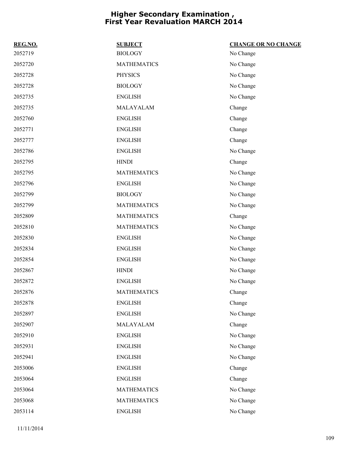| REG.NO. | <b>SUBJECT</b>     | <b>CHANGE OR NO CHANGE</b> |
|---------|--------------------|----------------------------|
| 2052719 | <b>BIOLOGY</b>     | No Change                  |
| 2052720 | <b>MATHEMATICS</b> | No Change                  |
| 2052728 | <b>PHYSICS</b>     | No Change                  |
| 2052728 | <b>BIOLOGY</b>     | No Change                  |
| 2052735 | <b>ENGLISH</b>     | No Change                  |
| 2052735 | MALAYALAM          | Change                     |
| 2052760 | <b>ENGLISH</b>     | Change                     |
| 2052771 | <b>ENGLISH</b>     | Change                     |
| 2052777 | <b>ENGLISH</b>     | Change                     |
| 2052786 | <b>ENGLISH</b>     | No Change                  |
| 2052795 | <b>HINDI</b>       | Change                     |
| 2052795 | <b>MATHEMATICS</b> | No Change                  |
| 2052796 | <b>ENGLISH</b>     | No Change                  |
| 2052799 | <b>BIOLOGY</b>     | No Change                  |
| 2052799 | <b>MATHEMATICS</b> | No Change                  |
| 2052809 | <b>MATHEMATICS</b> | Change                     |
| 2052810 | <b>MATHEMATICS</b> | No Change                  |
| 2052830 | <b>ENGLISH</b>     | No Change                  |
| 2052834 | <b>ENGLISH</b>     | No Change                  |
| 2052854 | <b>ENGLISH</b>     | No Change                  |
| 2052867 | <b>HINDI</b>       | No Change                  |
| 2052872 | <b>ENGLISH</b>     | No Change                  |
| 2052876 | <b>MATHEMATICS</b> | Change                     |
| 2052878 | <b>ENGLISH</b>     | Change                     |
| 2052897 | <b>ENGLISH</b>     | No Change                  |
| 2052907 | MALAYALAM          | Change                     |
| 2052910 | <b>ENGLISH</b>     | No Change                  |
| 2052931 | <b>ENGLISH</b>     | No Change                  |
| 2052941 | <b>ENGLISH</b>     | No Change                  |
| 2053006 | <b>ENGLISH</b>     | Change                     |
| 2053064 | <b>ENGLISH</b>     | Change                     |
| 2053064 | <b>MATHEMATICS</b> | No Change                  |
| 2053068 | <b>MATHEMATICS</b> | No Change                  |
| 2053114 | <b>ENGLISH</b>     | No Change                  |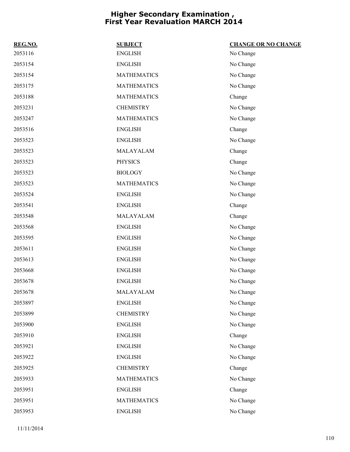| REG.NO. | <b>SUBJECT</b>     | <b>CHANGE OR NO CHANGE</b> |
|---------|--------------------|----------------------------|
| 2053116 | <b>ENGLISH</b>     | No Change                  |
| 2053154 | <b>ENGLISH</b>     | No Change                  |
| 2053154 | <b>MATHEMATICS</b> | No Change                  |
| 2053175 | <b>MATHEMATICS</b> | No Change                  |
| 2053188 | <b>MATHEMATICS</b> | Change                     |
| 2053231 | <b>CHEMISTRY</b>   | No Change                  |
| 2053247 | <b>MATHEMATICS</b> | No Change                  |
| 2053516 | <b>ENGLISH</b>     | Change                     |
| 2053523 | <b>ENGLISH</b>     | No Change                  |
| 2053523 | MALAYALAM          | Change                     |
| 2053523 | <b>PHYSICS</b>     | Change                     |
| 2053523 | <b>BIOLOGY</b>     | No Change                  |
| 2053523 | <b>MATHEMATICS</b> | No Change                  |
| 2053524 | <b>ENGLISH</b>     | No Change                  |
| 2053541 | <b>ENGLISH</b>     | Change                     |
| 2053548 | MALAYALAM          | Change                     |
| 2053568 | <b>ENGLISH</b>     | No Change                  |
| 2053595 | <b>ENGLISH</b>     | No Change                  |
| 2053611 | <b>ENGLISH</b>     | No Change                  |
| 2053613 | <b>ENGLISH</b>     | No Change                  |
| 2053668 | <b>ENGLISH</b>     | No Change                  |
| 2053678 | <b>ENGLISH</b>     | No Change                  |
| 2053678 | MALAYALAM          | No Change                  |
| 2053897 | <b>ENGLISH</b>     | No Change                  |
| 2053899 | <b>CHEMISTRY</b>   | No Change                  |
| 2053900 | <b>ENGLISH</b>     | No Change                  |
| 2053910 | <b>ENGLISH</b>     | Change                     |
| 2053921 | <b>ENGLISH</b>     | No Change                  |
| 2053922 | <b>ENGLISH</b>     | No Change                  |
| 2053925 | <b>CHEMISTRY</b>   | Change                     |
| 2053933 | <b>MATHEMATICS</b> | No Change                  |
| 2053951 | <b>ENGLISH</b>     | Change                     |
| 2053951 | <b>MATHEMATICS</b> | No Change                  |
| 2053953 | <b>ENGLISH</b>     | No Change                  |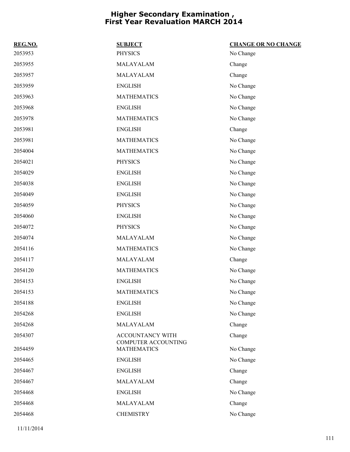| REG.NO. | <b>SUBJECT</b>                            | <b>CHANGE OR NO CHANGE</b> |
|---------|-------------------------------------------|----------------------------|
| 2053953 | <b>PHYSICS</b>                            | No Change                  |
| 2053955 | MALAYALAM                                 | Change                     |
| 2053957 | MALAYALAM                                 | Change                     |
| 2053959 | <b>ENGLISH</b>                            | No Change                  |
| 2053963 | <b>MATHEMATICS</b>                        | No Change                  |
| 2053968 | <b>ENGLISH</b>                            | No Change                  |
| 2053978 | <b>MATHEMATICS</b>                        | No Change                  |
| 2053981 | <b>ENGLISH</b>                            | Change                     |
| 2053981 | <b>MATHEMATICS</b>                        | No Change                  |
| 2054004 | <b>MATHEMATICS</b>                        | No Change                  |
| 2054021 | <b>PHYSICS</b>                            | No Change                  |
| 2054029 | <b>ENGLISH</b>                            | No Change                  |
| 2054038 | <b>ENGLISH</b>                            | No Change                  |
| 2054049 | <b>ENGLISH</b>                            | No Change                  |
| 2054059 | <b>PHYSICS</b>                            | No Change                  |
| 2054060 | <b>ENGLISH</b>                            | No Change                  |
| 2054072 | <b>PHYSICS</b>                            | No Change                  |
| 2054074 | MALAYALAM                                 | No Change                  |
| 2054116 | <b>MATHEMATICS</b>                        | No Change                  |
| 2054117 | MALAYALAM                                 | Change                     |
| 2054120 | <b>MATHEMATICS</b>                        | No Change                  |
| 2054153 | <b>ENGLISH</b>                            | No Change                  |
| 2054153 | <b>MATHEMATICS</b>                        | No Change                  |
| 2054188 | <b>ENGLISH</b>                            | No Change                  |
| 2054268 | <b>ENGLISH</b>                            | No Change                  |
| 2054268 | MALAYALAM                                 | Change                     |
| 2054307 | ACCOUNTANCY WITH                          | Change                     |
| 2054459 | COMPUTER ACCOUNTING<br><b>MATHEMATICS</b> | No Change                  |
| 2054465 | <b>ENGLISH</b>                            | No Change                  |
| 2054467 | <b>ENGLISH</b>                            | Change                     |
| 2054467 | MALAYALAM                                 | Change                     |
| 2054468 | <b>ENGLISH</b>                            | No Change                  |
| 2054468 | MALAYALAM                                 | Change                     |
| 2054468 | <b>CHEMISTRY</b>                          | No Change                  |
|         |                                           |                            |

11/11/2014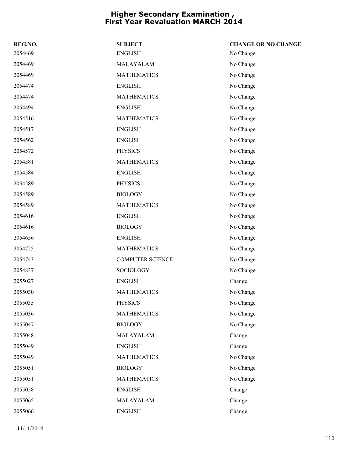| REG.NO. | <b>SUBJECT</b>          | <b>CHANGE OR NO CHANGE</b> |
|---------|-------------------------|----------------------------|
| 2054469 | <b>ENGLISH</b>          | No Change                  |
| 2054469 | MALAYALAM               | No Change                  |
| 2054469 | <b>MATHEMATICS</b>      | No Change                  |
| 2054474 | <b>ENGLISH</b>          | No Change                  |
| 2054474 | <b>MATHEMATICS</b>      | No Change                  |
| 2054494 | <b>ENGLISH</b>          | No Change                  |
| 2054516 | <b>MATHEMATICS</b>      | No Change                  |
| 2054517 | <b>ENGLISH</b>          | No Change                  |
| 2054562 | <b>ENGLISH</b>          | No Change                  |
| 2054572 | <b>PHYSICS</b>          | No Change                  |
| 2054581 | <b>MATHEMATICS</b>      | No Change                  |
| 2054584 | <b>ENGLISH</b>          | No Change                  |
| 2054589 | <b>PHYSICS</b>          | No Change                  |
| 2054589 | <b>BIOLOGY</b>          | No Change                  |
| 2054589 | <b>MATHEMATICS</b>      | No Change                  |
| 2054616 | <b>ENGLISH</b>          | No Change                  |
| 2054616 | <b>BIOLOGY</b>          | No Change                  |
| 2054656 | <b>ENGLISH</b>          | No Change                  |
| 2054725 | <b>MATHEMATICS</b>      | No Change                  |
| 2054743 | <b>COMPUTER SCIENCE</b> | No Change                  |
| 2054837 | SOCIOLOGY               | No Change                  |
| 2055027 | <b>ENGLISH</b>          | Change                     |
| 2055030 | <b>MATHEMATICS</b>      | No Change                  |
| 2055035 | <b>PHYSICS</b>          | No Change                  |
| 2055036 | <b>MATHEMATICS</b>      | No Change                  |
| 2055047 | <b>BIOLOGY</b>          | No Change                  |
| 2055048 | MALAYALAM               | Change                     |
| 2055049 | <b>ENGLISH</b>          | Change                     |
| 2055049 | <b>MATHEMATICS</b>      | No Change                  |
| 2055051 | <b>BIOLOGY</b>          | No Change                  |
| 2055051 | <b>MATHEMATICS</b>      | No Change                  |
| 2055058 | <b>ENGLISH</b>          | Change                     |
| 2055065 | MALAYALAM               | Change                     |
| 2055066 | <b>ENGLISH</b>          | Change                     |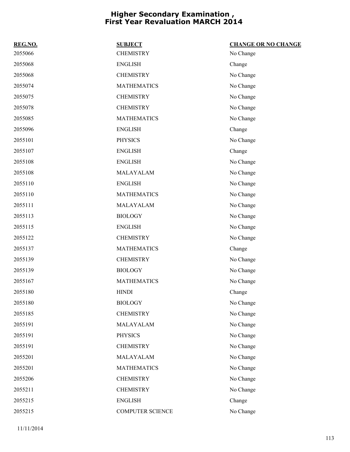| REG.NO. | <b>SUBJECT</b>     | <b>CHANGE OR NO CHANGE</b> |
|---------|--------------------|----------------------------|
| 2055066 | <b>CHEMISTRY</b>   | No Change                  |
| 2055068 | <b>ENGLISH</b>     | Change                     |
| 2055068 | <b>CHEMISTRY</b>   | No Change                  |
| 2055074 | <b>MATHEMATICS</b> | No Change                  |
| 2055075 | <b>CHEMISTRY</b>   | No Change                  |
| 2055078 | <b>CHEMISTRY</b>   | No Change                  |
| 2055085 | <b>MATHEMATICS</b> | No Change                  |
| 2055096 | <b>ENGLISH</b>     | Change                     |
| 2055101 | <b>PHYSICS</b>     | No Change                  |
| 2055107 | <b>ENGLISH</b>     | Change                     |
| 2055108 | <b>ENGLISH</b>     | No Change                  |
| 2055108 | MALAYALAM          | No Change                  |
| 2055110 | <b>ENGLISH</b>     | No Change                  |
| 2055110 | <b>MATHEMATICS</b> | No Change                  |
| 2055111 | MALAYALAM          | No Change                  |
| 2055113 | <b>BIOLOGY</b>     | No Change                  |
| 2055115 | <b>ENGLISH</b>     | No Change                  |
| 2055122 | <b>CHEMISTRY</b>   | No Change                  |
| 2055137 | <b>MATHEMATICS</b> | Change                     |
| 2055139 | <b>CHEMISTRY</b>   | No Change                  |
| 2055139 | <b>BIOLOGY</b>     | No Change                  |
| 2055167 | <b>MATHEMATICS</b> | No Change                  |
| 2055180 | <b>HINDI</b>       | Change                     |
| 2055180 | <b>BIOLOGY</b>     | No Change                  |
| 2055185 | <b>CHEMISTRY</b>   | No Change                  |
| 2055191 | MALAYALAM          | No Change                  |
| 2055191 | <b>PHYSICS</b>     | No Change                  |
| 2055191 | <b>CHEMISTRY</b>   | No Change                  |
| 2055201 | MALAYALAM          | No Change                  |
| 2055201 | <b>MATHEMATICS</b> | No Change                  |
| 2055206 | <b>CHEMISTRY</b>   | No Change                  |
| 2055211 | <b>CHEMISTRY</b>   | No Change                  |
| 2055215 | <b>ENGLISH</b>     | Change                     |
| 2055215 | COMPUTER SCIENCE   | No Change                  |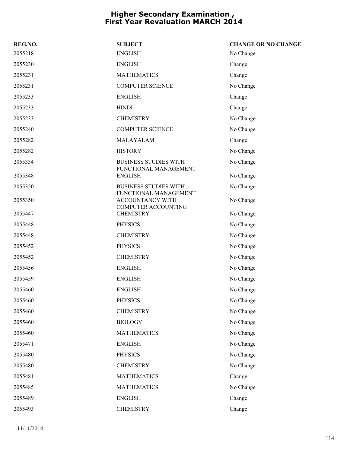| REG.NO. | <b>SUBJECT</b>                                        | <b>CHANGE OR NO CHANGE</b> |
|---------|-------------------------------------------------------|----------------------------|
| 2055218 | <b>ENGLISH</b>                                        | No Change                  |
| 2055230 | <b>ENGLISH</b>                                        | Change                     |
| 2055231 | <b>MATHEMATICS</b>                                    | Change                     |
| 2055231 | <b>COMPUTER SCIENCE</b>                               | No Change                  |
| 2055233 | <b>ENGLISH</b>                                        | Change                     |
| 2055233 | <b>HINDI</b>                                          | Change                     |
| 2055233 | <b>CHEMISTRY</b>                                      | No Change                  |
| 2055240 | <b>COMPUTER SCIENCE</b>                               | No Change                  |
| 2055282 | MALAYALAM                                             | Change                     |
| 2055282 | <b>HISTORY</b>                                        | No Change                  |
| 2055334 | <b>BUSINESS STUDIES WITH</b><br>FUNCTIONAL MANAGEMENT | No Change                  |
| 2055348 | <b>ENGLISH</b>                                        | No Change                  |
| 2055350 | <b>BUSINESS STUDIES WITH</b><br>FUNCTIONAL MANAGEMENT | No Change                  |
| 2055350 | ACCOUNTANCY WITH<br><b>COMPUTER ACCOUNTING</b>        | No Change                  |
| 2055447 | <b>CHEMISTRY</b>                                      | No Change                  |
| 2055448 | <b>PHYSICS</b>                                        | No Change                  |
| 2055448 | <b>CHEMISTRY</b>                                      | No Change                  |
| 2055452 | <b>PHYSICS</b>                                        | No Change                  |
| 2055452 | <b>CHEMISTRY</b>                                      | No Change                  |
| 2055456 | <b>ENGLISH</b>                                        | No Change                  |
| 2055459 | <b>ENGLISH</b>                                        | No Change                  |
| 2055460 | <b>ENGLISH</b>                                        | No Change                  |
| 2055460 | <b>PHYSICS</b>                                        | No Change                  |
| 2055460 | <b>CHEMISTRY</b>                                      | No Change                  |
| 2055460 | <b>BIOLOGY</b>                                        | No Change                  |
| 2055460 | <b>MATHEMATICS</b>                                    | No Change                  |
| 2055471 | <b>ENGLISH</b>                                        | No Change                  |
| 2055480 | <b>PHYSICS</b>                                        | No Change                  |
| 2055480 | <b>CHEMISTRY</b>                                      | No Change                  |
| 2055481 | <b>MATHEMATICS</b>                                    | Change                     |
| 2055485 | <b>MATHEMATICS</b>                                    | No Change                  |
| 2055489 | <b>ENGLISH</b>                                        | Change                     |
| 2055493 | <b>CHEMISTRY</b>                                      | Change                     |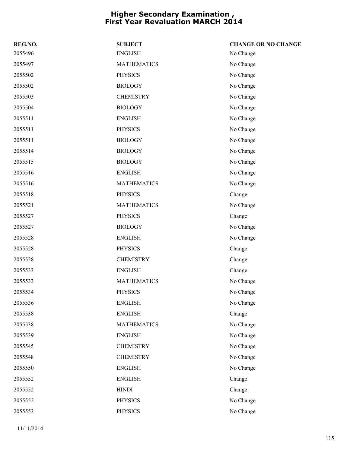| REG.NO. | <b>SUBJECT</b>     | <b>CHANGE OR NO CHANGE</b> |
|---------|--------------------|----------------------------|
| 2055496 | <b>ENGLISH</b>     | No Change                  |
| 2055497 | <b>MATHEMATICS</b> | No Change                  |
| 2055502 | <b>PHYSICS</b>     | No Change                  |
| 2055502 | <b>BIOLOGY</b>     | No Change                  |
| 2055503 | <b>CHEMISTRY</b>   | No Change                  |
| 2055504 | <b>BIOLOGY</b>     | No Change                  |
| 2055511 | <b>ENGLISH</b>     | No Change                  |
| 2055511 | <b>PHYSICS</b>     | No Change                  |
| 2055511 | <b>BIOLOGY</b>     | No Change                  |
| 2055514 | <b>BIOLOGY</b>     | No Change                  |
| 2055515 | <b>BIOLOGY</b>     | No Change                  |
| 2055516 | <b>ENGLISH</b>     | No Change                  |
| 2055516 | <b>MATHEMATICS</b> | No Change                  |
| 2055518 | <b>PHYSICS</b>     | Change                     |
| 2055521 | <b>MATHEMATICS</b> | No Change                  |
| 2055527 | <b>PHYSICS</b>     | Change                     |
| 2055527 | <b>BIOLOGY</b>     | No Change                  |
| 2055528 | <b>ENGLISH</b>     | No Change                  |
| 2055528 | <b>PHYSICS</b>     | Change                     |
| 2055528 | <b>CHEMISTRY</b>   | Change                     |
| 2055533 | <b>ENGLISH</b>     | Change                     |
| 2055533 | <b>MATHEMATICS</b> | No Change                  |
| 2055534 | <b>PHYSICS</b>     | No Change                  |
| 2055536 | <b>ENGLISH</b>     | No Change                  |
| 2055538 | <b>ENGLISH</b>     | Change                     |
| 2055538 | <b>MATHEMATICS</b> | No Change                  |
| 2055539 | <b>ENGLISH</b>     | No Change                  |
| 2055545 | <b>CHEMISTRY</b>   | No Change                  |
| 2055548 | <b>CHEMISTRY</b>   | No Change                  |
| 2055550 | <b>ENGLISH</b>     | No Change                  |
| 2055552 | <b>ENGLISH</b>     | Change                     |
| 2055552 | <b>HINDI</b>       | Change                     |
| 2055552 | <b>PHYSICS</b>     | No Change                  |
| 2055553 | <b>PHYSICS</b>     | No Change                  |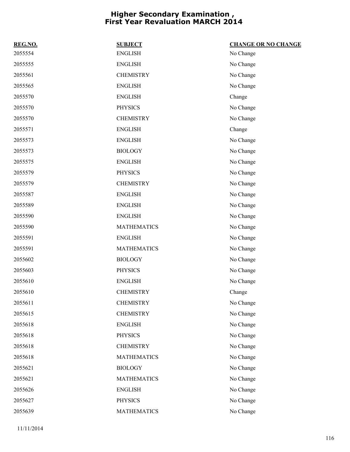| REG.NO. | <b>SUBJECT</b>     | <b>CHANGE OR NO CHANGE</b> |
|---------|--------------------|----------------------------|
| 2055554 | <b>ENGLISH</b>     | No Change                  |
| 2055555 | <b>ENGLISH</b>     | No Change                  |
| 2055561 | <b>CHEMISTRY</b>   | No Change                  |
| 2055565 | <b>ENGLISH</b>     | No Change                  |
| 2055570 | <b>ENGLISH</b>     | Change                     |
| 2055570 | <b>PHYSICS</b>     | No Change                  |
| 2055570 | <b>CHEMISTRY</b>   | No Change                  |
| 2055571 | <b>ENGLISH</b>     | Change                     |
| 2055573 | <b>ENGLISH</b>     | No Change                  |
| 2055573 | <b>BIOLOGY</b>     | No Change                  |
| 2055575 | <b>ENGLISH</b>     | No Change                  |
| 2055579 | <b>PHYSICS</b>     | No Change                  |
| 2055579 | <b>CHEMISTRY</b>   | No Change                  |
| 2055587 | <b>ENGLISH</b>     | No Change                  |
| 2055589 | <b>ENGLISH</b>     | No Change                  |
| 2055590 | <b>ENGLISH</b>     | No Change                  |
| 2055590 | <b>MATHEMATICS</b> | No Change                  |
| 2055591 | <b>ENGLISH</b>     | No Change                  |
| 2055591 | <b>MATHEMATICS</b> | No Change                  |
| 2055602 | <b>BIOLOGY</b>     | No Change                  |
| 2055603 | <b>PHYSICS</b>     | No Change                  |
| 2055610 | <b>ENGLISH</b>     | No Change                  |
| 2055610 | <b>CHEMISTRY</b>   | Change                     |
| 2055611 | <b>CHEMISTRY</b>   | No Change                  |
| 2055615 | <b>CHEMISTRY</b>   | No Change                  |
| 2055618 | <b>ENGLISH</b>     | No Change                  |
| 2055618 | <b>PHYSICS</b>     | No Change                  |
| 2055618 | <b>CHEMISTRY</b>   | No Change                  |
| 2055618 | <b>MATHEMATICS</b> | No Change                  |
| 2055621 | <b>BIOLOGY</b>     | No Change                  |
| 2055621 | <b>MATHEMATICS</b> | No Change                  |
| 2055626 | <b>ENGLISH</b>     | No Change                  |
| 2055627 | <b>PHYSICS</b>     | No Change                  |
| 2055639 | <b>MATHEMATICS</b> | No Change                  |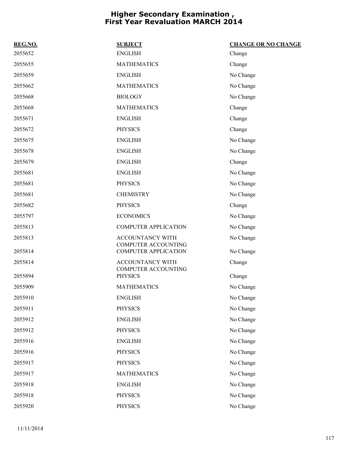| REG.NO. | <b>SUBJECT</b>                                            | <b>CHANGE OR NO CHANGE</b> |
|---------|-----------------------------------------------------------|----------------------------|
| 2055652 | <b>ENGLISH</b>                                            | Change                     |
| 2055655 | <b>MATHEMATICS</b>                                        | Change                     |
| 2055659 | <b>ENGLISH</b>                                            | No Change                  |
| 2055662 | <b>MATHEMATICS</b>                                        | No Change                  |
| 2055668 | <b>BIOLOGY</b>                                            | No Change                  |
| 2055668 | <b>MATHEMATICS</b>                                        | Change                     |
| 2055671 | <b>ENGLISH</b>                                            | Change                     |
| 2055672 | <b>PHYSICS</b>                                            | Change                     |
| 2055675 | <b>ENGLISH</b>                                            | No Change                  |
| 2055678 | <b>ENGLISH</b>                                            | No Change                  |
| 2055679 | <b>ENGLISH</b>                                            | Change                     |
| 2055681 | <b>ENGLISH</b>                                            | No Change                  |
| 2055681 | <b>PHYSICS</b>                                            | No Change                  |
| 2055681 | <b>CHEMISTRY</b>                                          | No Change                  |
| 2055682 | <b>PHYSICS</b>                                            | Change                     |
| 2055797 | <b>ECONOMICS</b>                                          | No Change                  |
| 2055813 | <b>COMPUTER APPLICATION</b>                               | No Change                  |
| 2055813 | <b>ACCOUNTANCY WITH</b>                                   | No Change                  |
| 2055814 | <b>COMPUTER ACCOUNTING</b><br><b>COMPUTER APPLICATION</b> | No Change                  |
| 2055814 | <b>ACCOUNTANCY WITH</b>                                   | Change                     |
| 2055894 | <b>COMPUTER ACCOUNTING</b><br><b>PHYSICS</b>              | Change                     |
| 2055909 | <b>MATHEMATICS</b>                                        | No Change                  |
| 2055910 | ENGLISH                                                   | No Change                  |
| 2055911 | <b>PHYSICS</b>                                            | No Change                  |
| 2055912 | <b>ENGLISH</b>                                            | No Change                  |
| 2055912 | <b>PHYSICS</b>                                            | No Change                  |
| 2055916 | <b>ENGLISH</b>                                            | No Change                  |
| 2055916 | <b>PHYSICS</b>                                            | No Change                  |
| 2055917 | <b>PHYSICS</b>                                            | No Change                  |
| 2055917 | <b>MATHEMATICS</b>                                        | No Change                  |
| 2055918 | <b>ENGLISH</b>                                            | No Change                  |
| 2055918 | <b>PHYSICS</b>                                            | No Change                  |
| 2055920 | <b>PHYSICS</b>                                            | No Change                  |
|         |                                                           |                            |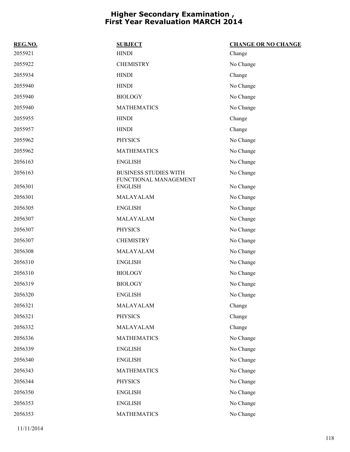| <b>SUBJECT</b>                                        | <b>CHANGE OR NO CHANGE</b> |
|-------------------------------------------------------|----------------------------|
| <b>HINDI</b>                                          | Change                     |
| <b>CHEMISTRY</b>                                      | No Change                  |
| <b>HINDI</b>                                          | Change                     |
| <b>HINDI</b>                                          | No Change                  |
| <b>BIOLOGY</b>                                        | No Change                  |
| <b>MATHEMATICS</b>                                    | No Change                  |
| <b>HINDI</b>                                          | Change                     |
| <b>HINDI</b>                                          | Change                     |
| <b>PHYSICS</b>                                        | No Change                  |
| <b>MATHEMATICS</b>                                    | No Change                  |
| <b>ENGLISH</b>                                        | No Change                  |
| <b>BUSINESS STUDIES WITH</b><br>FUNCTIONAL MANAGEMENT | No Change                  |
| <b>ENGLISH</b>                                        | No Change                  |
| MALAYALAM                                             | No Change                  |
| <b>ENGLISH</b>                                        | No Change                  |
| MALAYALAM                                             | No Change                  |
| <b>PHYSICS</b>                                        | No Change                  |
| <b>CHEMISTRY</b>                                      | No Change                  |
| MALAYALAM                                             | No Change                  |
| <b>ENGLISH</b>                                        | No Change                  |
| <b>BIOLOGY</b>                                        | No Change                  |
| <b>BIOLOGY</b>                                        | No Change                  |
| <b>ENGLISH</b>                                        | No Change                  |
| MALAYALAM                                             | Change                     |
| <b>PHYSICS</b>                                        | Change                     |
| MALAYALAM                                             | Change                     |
| <b>MATHEMATICS</b>                                    | No Change                  |
| <b>ENGLISH</b>                                        | No Change                  |
| <b>ENGLISH</b>                                        | No Change                  |
| <b>MATHEMATICS</b>                                    | No Change                  |
| <b>PHYSICS</b>                                        | No Change                  |
| <b>ENGLISH</b>                                        | No Change                  |
| <b>ENGLISH</b>                                        | No Change                  |
| <b>MATHEMATICS</b>                                    | No Change                  |
|                                                       |                            |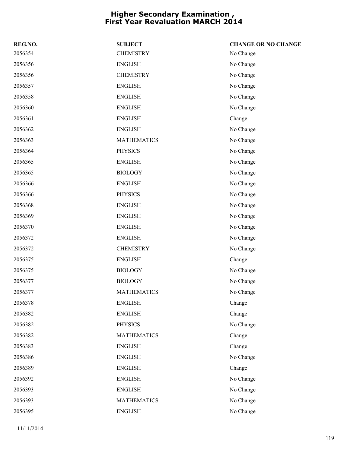| REG.NO. | <b>SUBJECT</b>     | <b>CHANGE OR NO CHANGE</b> |
|---------|--------------------|----------------------------|
| 2056354 | <b>CHEMISTRY</b>   | No Change                  |
| 2056356 | <b>ENGLISH</b>     | No Change                  |
| 2056356 | <b>CHEMISTRY</b>   | No Change                  |
| 2056357 | <b>ENGLISH</b>     | No Change                  |
| 2056358 | <b>ENGLISH</b>     | No Change                  |
| 2056360 | <b>ENGLISH</b>     | No Change                  |
| 2056361 | <b>ENGLISH</b>     | Change                     |
| 2056362 | <b>ENGLISH</b>     | No Change                  |
| 2056363 | <b>MATHEMATICS</b> | No Change                  |
| 2056364 | <b>PHYSICS</b>     | No Change                  |
| 2056365 | <b>ENGLISH</b>     | No Change                  |
| 2056365 | <b>BIOLOGY</b>     | No Change                  |
| 2056366 | <b>ENGLISH</b>     | No Change                  |
| 2056366 | <b>PHYSICS</b>     | No Change                  |
| 2056368 | <b>ENGLISH</b>     | No Change                  |
| 2056369 | <b>ENGLISH</b>     | No Change                  |
| 2056370 | <b>ENGLISH</b>     | No Change                  |
| 2056372 | <b>ENGLISH</b>     | No Change                  |
| 2056372 | <b>CHEMISTRY</b>   | No Change                  |
| 2056375 | <b>ENGLISH</b>     | Change                     |
| 2056375 | <b>BIOLOGY</b>     | No Change                  |
| 2056377 | <b>BIOLOGY</b>     | No Change                  |
| 2056377 | <b>MATHEMATICS</b> | No Change                  |
| 2056378 | <b>ENGLISH</b>     | Change                     |
| 2056382 | <b>ENGLISH</b>     | Change                     |
| 2056382 | <b>PHYSICS</b>     | No Change                  |
| 2056382 | <b>MATHEMATICS</b> | Change                     |
| 2056383 | <b>ENGLISH</b>     | Change                     |
| 2056386 | <b>ENGLISH</b>     | No Change                  |
| 2056389 | <b>ENGLISH</b>     | Change                     |
| 2056392 | <b>ENGLISH</b>     | No Change                  |
| 2056393 | <b>ENGLISH</b>     | No Change                  |
| 2056393 | <b>MATHEMATICS</b> | No Change                  |
| 2056395 | <b>ENGLISH</b>     | No Change                  |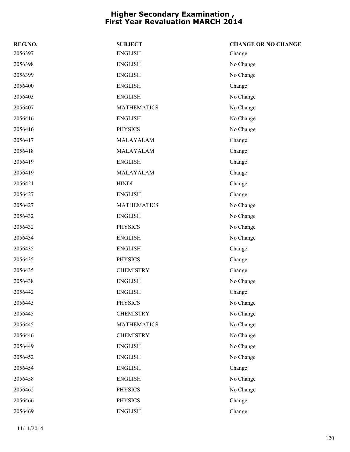| REG.NO. | <b>SUBJECT</b>     | <b>CHANGE OR NO CHANGE</b> |
|---------|--------------------|----------------------------|
| 2056397 | <b>ENGLISH</b>     | Change                     |
| 2056398 | <b>ENGLISH</b>     | No Change                  |
| 2056399 | <b>ENGLISH</b>     | No Change                  |
| 2056400 | <b>ENGLISH</b>     | Change                     |
| 2056403 | <b>ENGLISH</b>     | No Change                  |
| 2056407 | <b>MATHEMATICS</b> | No Change                  |
| 2056416 | <b>ENGLISH</b>     | No Change                  |
| 2056416 | <b>PHYSICS</b>     | No Change                  |
| 2056417 | MALAYALAM          | Change                     |
| 2056418 | MALAYALAM          | Change                     |
| 2056419 | <b>ENGLISH</b>     | Change                     |
| 2056419 | MALAYALAM          | Change                     |
| 2056421 | <b>HINDI</b>       | Change                     |
| 2056427 | <b>ENGLISH</b>     | Change                     |
| 2056427 | <b>MATHEMATICS</b> | No Change                  |
| 2056432 | <b>ENGLISH</b>     | No Change                  |
| 2056432 | <b>PHYSICS</b>     | No Change                  |
| 2056434 | <b>ENGLISH</b>     | No Change                  |
| 2056435 | <b>ENGLISH</b>     | Change                     |
| 2056435 | <b>PHYSICS</b>     | Change                     |
| 2056435 | <b>CHEMISTRY</b>   | Change                     |
| 2056438 | <b>ENGLISH</b>     | No Change                  |
| 2056442 | <b>ENGLISH</b>     | Change                     |
| 2056443 | <b>PHYSICS</b>     | No Change                  |
| 2056445 | <b>CHEMISTRY</b>   | No Change                  |
| 2056445 | <b>MATHEMATICS</b> | No Change                  |
| 2056446 | <b>CHEMISTRY</b>   | No Change                  |
| 2056449 | <b>ENGLISH</b>     | No Change                  |
| 2056452 | <b>ENGLISH</b>     | No Change                  |
| 2056454 | <b>ENGLISH</b>     | Change                     |
| 2056458 | <b>ENGLISH</b>     | No Change                  |
| 2056462 | <b>PHYSICS</b>     | No Change                  |
| 2056466 | <b>PHYSICS</b>     | Change                     |
| 2056469 | <b>ENGLISH</b>     | Change                     |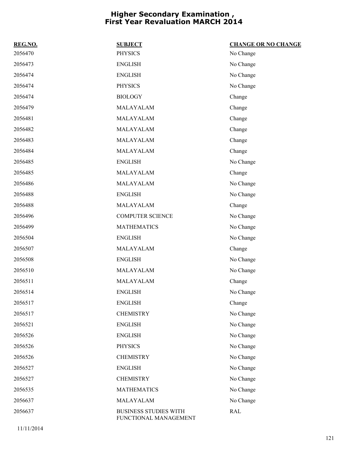| REG.NO. | <b>SUBJECT</b>                                        | <b>CHANGE OR NO CHANGE</b> |
|---------|-------------------------------------------------------|----------------------------|
| 2056470 | <b>PHYSICS</b>                                        | No Change                  |
| 2056473 | <b>ENGLISH</b>                                        | No Change                  |
| 2056474 | <b>ENGLISH</b>                                        | No Change                  |
| 2056474 | <b>PHYSICS</b>                                        | No Change                  |
| 2056474 | <b>BIOLOGY</b>                                        | Change                     |
| 2056479 | MALAYALAM                                             | Change                     |
| 2056481 | MALAYALAM                                             | Change                     |
| 2056482 | MALAYALAM                                             | Change                     |
| 2056483 | MALAYALAM                                             | Change                     |
| 2056484 | MALAYALAM                                             | Change                     |
| 2056485 | <b>ENGLISH</b>                                        | No Change                  |
| 2056485 | MALAYALAM                                             | Change                     |
| 2056486 | MALAYALAM                                             | No Change                  |
| 2056488 | <b>ENGLISH</b>                                        | No Change                  |
| 2056488 | MALAYALAM                                             | Change                     |
| 2056496 | <b>COMPUTER SCIENCE</b>                               | No Change                  |
| 2056499 | <b>MATHEMATICS</b>                                    | No Change                  |
| 2056504 | <b>ENGLISH</b>                                        | No Change                  |
| 2056507 | MALAYALAM                                             | Change                     |
| 2056508 | <b>ENGLISH</b>                                        | No Change                  |
| 2056510 | MALAYALAM                                             | No Change                  |
| 2056511 | MALAYALAM                                             | Change                     |
| 2056514 | <b>ENGLISH</b>                                        | No Change                  |
| 2056517 | <b>ENGLISH</b>                                        | Change                     |
| 2056517 | <b>CHEMISTRY</b>                                      | No Change                  |
| 2056521 | <b>ENGLISH</b>                                        | No Change                  |
| 2056526 | <b>ENGLISH</b>                                        | No Change                  |
| 2056526 | <b>PHYSICS</b>                                        | No Change                  |
| 2056526 | <b>CHEMISTRY</b>                                      | No Change                  |
| 2056527 | <b>ENGLISH</b>                                        | No Change                  |
| 2056527 | <b>CHEMISTRY</b>                                      | No Change                  |
| 2056535 | <b>MATHEMATICS</b>                                    | No Change                  |
| 2056637 | MALAYALAM                                             | No Change                  |
| 2056637 | <b>BUSINESS STUDIES WITH</b><br>FUNCTIONAL MANAGEMENT | <b>RAL</b>                 |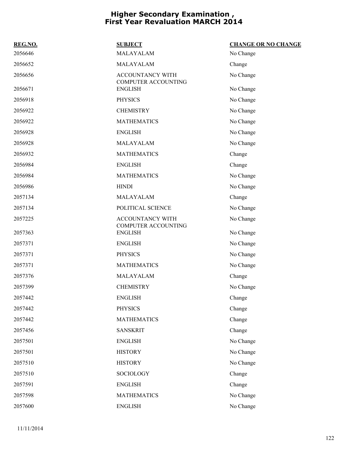| REG.NO. | <b>SUBJECT</b>                                 | <b>CHANGE OR NO CHANGE</b> |
|---------|------------------------------------------------|----------------------------|
| 2056646 | MALAYALAM                                      | No Change                  |
| 2056652 | MALAYALAM                                      | Change                     |
| 2056656 | ACCOUNTANCY WITH<br><b>COMPUTER ACCOUNTING</b> | No Change                  |
| 2056671 | <b>ENGLISH</b>                                 | No Change                  |
| 2056918 | <b>PHYSICS</b>                                 | No Change                  |
| 2056922 | <b>CHEMISTRY</b>                               | No Change                  |
| 2056922 | <b>MATHEMATICS</b>                             | No Change                  |
| 2056928 | <b>ENGLISH</b>                                 | No Change                  |
| 2056928 | MALAYALAM                                      | No Change                  |
| 2056932 | <b>MATHEMATICS</b>                             | Change                     |
| 2056984 | <b>ENGLISH</b>                                 | Change                     |
| 2056984 | <b>MATHEMATICS</b>                             | No Change                  |
| 2056986 | <b>HINDI</b>                                   | No Change                  |
| 2057134 | MALAYALAM                                      | Change                     |
| 2057134 | POLITICAL SCIENCE                              | No Change                  |
| 2057225 | ACCOUNTANCY WITH                               | No Change                  |
| 2057363 | <b>COMPUTER ACCOUNTING</b><br><b>ENGLISH</b>   | No Change                  |
| 2057371 | <b>ENGLISH</b>                                 | No Change                  |
| 2057371 | <b>PHYSICS</b>                                 | No Change                  |
| 2057371 | <b>MATHEMATICS</b>                             | No Change                  |
| 2057376 | MALAYALAM                                      | Change                     |
| 2057399 | <b>CHEMISTRY</b>                               | No Change                  |
| 2057442 | ENGLISH                                        | Change                     |
| 2057442 | <b>PHYSICS</b>                                 | Change                     |
| 2057442 | <b>MATHEMATICS</b>                             | Change                     |
| 2057456 | <b>SANSKRIT</b>                                | Change                     |
| 2057501 | <b>ENGLISH</b>                                 | No Change                  |
| 2057501 | <b>HISTORY</b>                                 | No Change                  |
| 2057510 | <b>HISTORY</b>                                 | No Change                  |
| 2057510 | SOCIOLOGY                                      | Change                     |
| 2057591 | <b>ENGLISH</b>                                 | Change                     |
| 2057598 | <b>MATHEMATICS</b>                             | No Change                  |
| 2057600 | <b>ENGLISH</b>                                 | No Change                  |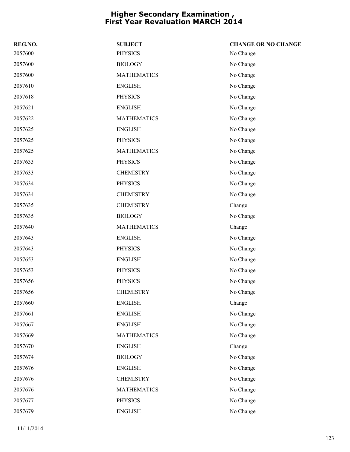| REG.NO. | <b>SUBJECT</b>     | <b>CHANGE OR NO CHANGE</b> |
|---------|--------------------|----------------------------|
| 2057600 | <b>PHYSICS</b>     | No Change                  |
| 2057600 | <b>BIOLOGY</b>     | No Change                  |
| 2057600 | <b>MATHEMATICS</b> | No Change                  |
| 2057610 | <b>ENGLISH</b>     | No Change                  |
| 2057618 | <b>PHYSICS</b>     | No Change                  |
| 2057621 | <b>ENGLISH</b>     | No Change                  |
| 2057622 | <b>MATHEMATICS</b> | No Change                  |
| 2057625 | <b>ENGLISH</b>     | No Change                  |
| 2057625 | <b>PHYSICS</b>     | No Change                  |
| 2057625 | <b>MATHEMATICS</b> | No Change                  |
| 2057633 | <b>PHYSICS</b>     | No Change                  |
| 2057633 | <b>CHEMISTRY</b>   | No Change                  |
| 2057634 | <b>PHYSICS</b>     | No Change                  |
| 2057634 | <b>CHEMISTRY</b>   | No Change                  |
| 2057635 | <b>CHEMISTRY</b>   | Change                     |
| 2057635 | <b>BIOLOGY</b>     | No Change                  |
| 2057640 | <b>MATHEMATICS</b> | Change                     |
| 2057643 | <b>ENGLISH</b>     | No Change                  |
| 2057643 | <b>PHYSICS</b>     | No Change                  |
| 2057653 | <b>ENGLISH</b>     | No Change                  |
| 2057653 | <b>PHYSICS</b>     | No Change                  |
| 2057656 | <b>PHYSICS</b>     | No Change                  |
| 2057656 | <b>CHEMISTRY</b>   | No Change                  |
| 2057660 | <b>ENGLISH</b>     | Change                     |
| 2057661 | <b>ENGLISH</b>     | No Change                  |
| 2057667 | <b>ENGLISH</b>     | No Change                  |
| 2057669 | <b>MATHEMATICS</b> | No Change                  |
| 2057670 | <b>ENGLISH</b>     | Change                     |
| 2057674 | <b>BIOLOGY</b>     | No Change                  |
| 2057676 | <b>ENGLISH</b>     | No Change                  |
| 2057676 | <b>CHEMISTRY</b>   | No Change                  |
| 2057676 | <b>MATHEMATICS</b> | No Change                  |
| 2057677 | <b>PHYSICS</b>     | No Change                  |
| 2057679 | <b>ENGLISH</b>     | No Change                  |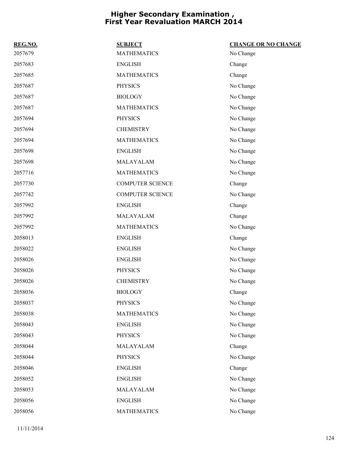| REG.NO. | <b>SUBJECT</b>          | <b>CHANGE OR NO CHANGE</b> |
|---------|-------------------------|----------------------------|
| 2057679 | <b>MATHEMATICS</b>      | No Change                  |
| 2057683 | <b>ENGLISH</b>          | Change                     |
| 2057685 | <b>MATHEMATICS</b>      | Change                     |
| 2057687 | <b>PHYSICS</b>          | No Change                  |
| 2057687 | <b>BIOLOGY</b>          | No Change                  |
| 2057687 | <b>MATHEMATICS</b>      | No Change                  |
| 2057694 | <b>PHYSICS</b>          | No Change                  |
| 2057694 | <b>CHEMISTRY</b>        | No Change                  |
| 2057694 | <b>MATHEMATICS</b>      | No Change                  |
| 2057698 | <b>ENGLISH</b>          | No Change                  |
| 2057698 | MALAYALAM               | No Change                  |
| 2057716 | <b>MATHEMATICS</b>      | No Change                  |
| 2057730 | <b>COMPUTER SCIENCE</b> | Change                     |
| 2057742 | <b>COMPUTER SCIENCE</b> | No Change                  |
| 2057992 | <b>ENGLISH</b>          | Change                     |
| 2057992 | MALAYALAM               | Change                     |
| 2057992 | <b>MATHEMATICS</b>      | No Change                  |
| 2058013 | <b>ENGLISH</b>          | Change                     |
| 2058022 | <b>ENGLISH</b>          | No Change                  |
| 2058026 | <b>ENGLISH</b>          | No Change                  |
| 2058026 | <b>PHYSICS</b>          | No Change                  |
| 2058026 | <b>CHEMISTRY</b>        | No Change                  |
| 2058036 | <b>BIOLOGY</b>          | Change                     |
| 2058037 | <b>PHYSICS</b>          | No Change                  |
| 2058038 | <b>MATHEMATICS</b>      | No Change                  |
| 2058043 | <b>ENGLISH</b>          | No Change                  |
| 2058043 | <b>PHYSICS</b>          | No Change                  |
| 2058044 | MALAYALAM               | Change                     |
| 2058044 | <b>PHYSICS</b>          | No Change                  |
| 2058046 | <b>ENGLISH</b>          | Change                     |
| 2058052 | <b>ENGLISH</b>          | No Change                  |
| 2058053 | MALAYALAM               | No Change                  |
| 2058056 | <b>ENGLISH</b>          | No Change                  |
| 2058056 | <b>MATHEMATICS</b>      | No Change                  |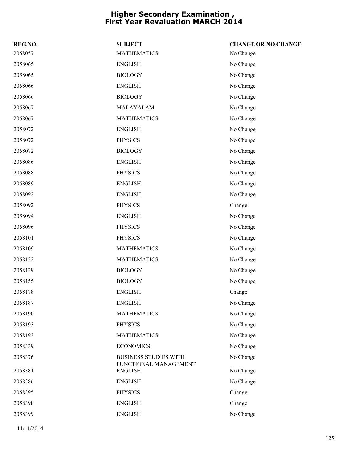| REG.NO. | <b>SUBJECT</b>                          | <b>CHANGE OR NO CHANGE</b> |
|---------|-----------------------------------------|----------------------------|
| 2058057 | <b>MATHEMATICS</b>                      | No Change                  |
| 2058065 | <b>ENGLISH</b>                          | No Change                  |
| 2058065 | <b>BIOLOGY</b>                          | No Change                  |
| 2058066 | <b>ENGLISH</b>                          | No Change                  |
| 2058066 | <b>BIOLOGY</b>                          | No Change                  |
| 2058067 | MALAYALAM                               | No Change                  |
| 2058067 | <b>MATHEMATICS</b>                      | No Change                  |
| 2058072 | <b>ENGLISH</b>                          | No Change                  |
| 2058072 | <b>PHYSICS</b>                          | No Change                  |
| 2058072 | <b>BIOLOGY</b>                          | No Change                  |
| 2058086 | <b>ENGLISH</b>                          | No Change                  |
| 2058088 | <b>PHYSICS</b>                          | No Change                  |
| 2058089 | <b>ENGLISH</b>                          | No Change                  |
| 2058092 | <b>ENGLISH</b>                          | No Change                  |
| 2058092 | <b>PHYSICS</b>                          | Change                     |
| 2058094 | <b>ENGLISH</b>                          | No Change                  |
| 2058096 | <b>PHYSICS</b>                          | No Change                  |
| 2058101 | <b>PHYSICS</b>                          | No Change                  |
| 2058109 | <b>MATHEMATICS</b>                      | No Change                  |
| 2058132 | <b>MATHEMATICS</b>                      | No Change                  |
| 2058139 | <b>BIOLOGY</b>                          | No Change                  |
| 2058155 | <b>BIOLOGY</b>                          | No Change                  |
| 2058178 | <b>ENGLISH</b>                          | Change                     |
| 2058187 | <b>ENGLISH</b>                          | No Change                  |
| 2058190 | <b>MATHEMATICS</b>                      | No Change                  |
| 2058193 | <b>PHYSICS</b>                          | No Change                  |
| 2058193 | <b>MATHEMATICS</b>                      | No Change                  |
| 2058339 | <b>ECONOMICS</b>                        | No Change                  |
| 2058376 | <b>BUSINESS STUDIES WITH</b>            | No Change                  |
| 2058381 | FUNCTIONAL MANAGEMENT<br><b>ENGLISH</b> | No Change                  |
| 2058386 | <b>ENGLISH</b>                          | No Change                  |
| 2058395 | <b>PHYSICS</b>                          | Change                     |
| 2058398 | <b>ENGLISH</b>                          | Change                     |
| 2058399 | <b>ENGLISH</b>                          | No Change                  |
|         |                                         |                            |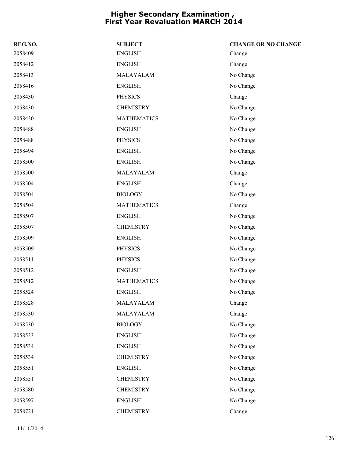| REG.NO. | <b>SUBJECT</b>     | <b>CHANGE OR NO CHANGE</b> |
|---------|--------------------|----------------------------|
| 2058409 | <b>ENGLISH</b>     | Change                     |
| 2058412 | <b>ENGLISH</b>     | Change                     |
| 2058413 | MALAYALAM          | No Change                  |
| 2058416 | <b>ENGLISH</b>     | No Change                  |
| 2058430 | <b>PHYSICS</b>     | Change                     |
| 2058430 | <b>CHEMISTRY</b>   | No Change                  |
| 2058430 | <b>MATHEMATICS</b> | No Change                  |
| 2058488 | <b>ENGLISH</b>     | No Change                  |
| 2058488 | <b>PHYSICS</b>     | No Change                  |
| 2058494 | <b>ENGLISH</b>     | No Change                  |
| 2058500 | <b>ENGLISH</b>     | No Change                  |
| 2058500 | MALAYALAM          | Change                     |
| 2058504 | <b>ENGLISH</b>     | Change                     |
| 2058504 | <b>BIOLOGY</b>     | No Change                  |
| 2058504 | <b>MATHEMATICS</b> | Change                     |
| 2058507 | <b>ENGLISH</b>     | No Change                  |
| 2058507 | <b>CHEMISTRY</b>   | No Change                  |
| 2058509 | <b>ENGLISH</b>     | No Change                  |
| 2058509 | <b>PHYSICS</b>     | No Change                  |
| 2058511 | <b>PHYSICS</b>     | No Change                  |
| 2058512 | <b>ENGLISH</b>     | No Change                  |
| 2058512 | <b>MATHEMATICS</b> | No Change                  |
| 2058524 | <b>ENGLISH</b>     | No Change                  |
| 2058528 | MALAYALAM          | Change                     |
| 2058530 | MALAYALAM          | Change                     |
| 2058530 | <b>BIOLOGY</b>     | No Change                  |
| 2058533 | <b>ENGLISH</b>     | No Change                  |
| 2058534 | <b>ENGLISH</b>     | No Change                  |
| 2058534 | <b>CHEMISTRY</b>   | No Change                  |
| 2058551 | <b>ENGLISH</b>     | No Change                  |
| 2058551 | <b>CHEMISTRY</b>   | No Change                  |
| 2058580 | <b>CHEMISTRY</b>   | No Change                  |
| 2058597 | <b>ENGLISH</b>     | No Change                  |
| 2058721 | <b>CHEMISTRY</b>   | Change                     |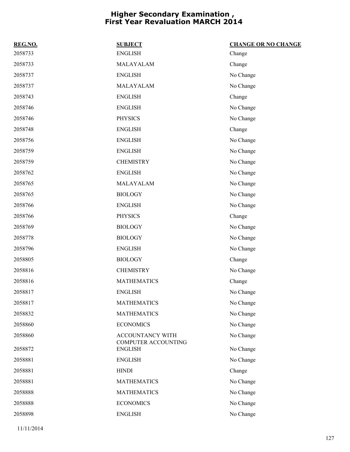| REG.NO. | <b>SUBJECT</b>                                 | <b>CHANGE OR NO CHANGE</b> |
|---------|------------------------------------------------|----------------------------|
| 2058733 | <b>ENGLISH</b>                                 | Change                     |
| 2058733 | MALAYALAM                                      | Change                     |
| 2058737 | <b>ENGLISH</b>                                 | No Change                  |
| 2058737 | MALAYALAM                                      | No Change                  |
| 2058743 | <b>ENGLISH</b>                                 | Change                     |
| 2058746 | <b>ENGLISH</b>                                 | No Change                  |
| 2058746 | <b>PHYSICS</b>                                 | No Change                  |
| 2058748 | <b>ENGLISH</b>                                 | Change                     |
| 2058756 | <b>ENGLISH</b>                                 | No Change                  |
| 2058759 | <b>ENGLISH</b>                                 | No Change                  |
| 2058759 | <b>CHEMISTRY</b>                               | No Change                  |
| 2058762 | <b>ENGLISH</b>                                 | No Change                  |
| 2058765 | MALAYALAM                                      | No Change                  |
| 2058765 | <b>BIOLOGY</b>                                 | No Change                  |
| 2058766 | <b>ENGLISH</b>                                 | No Change                  |
| 2058766 | <b>PHYSICS</b>                                 | Change                     |
| 2058769 | <b>BIOLOGY</b>                                 | No Change                  |
| 2058778 | <b>BIOLOGY</b>                                 | No Change                  |
| 2058796 | <b>ENGLISH</b>                                 | No Change                  |
| 2058805 | <b>BIOLOGY</b>                                 | Change                     |
| 2058816 | <b>CHEMISTRY</b>                               | No Change                  |
| 2058816 | <b>MATHEMATICS</b>                             | Change                     |
| 2058817 | <b>ENGLISH</b>                                 | No Change                  |
| 2058817 | <b>MATHEMATICS</b>                             | No Change                  |
| 2058832 | <b>MATHEMATICS</b>                             | No Change                  |
| 2058860 | <b>ECONOMICS</b>                               | No Change                  |
| 2058860 | ACCOUNTANCY WITH<br><b>COMPUTER ACCOUNTING</b> | No Change                  |
| 2058872 | <b>ENGLISH</b>                                 | No Change                  |
| 2058881 | <b>ENGLISH</b>                                 | No Change                  |
| 2058881 | <b>HINDI</b>                                   | Change                     |
| 2058881 | <b>MATHEMATICS</b>                             | No Change                  |
| 2058888 | <b>MATHEMATICS</b>                             | No Change                  |
| 2058888 | <b>ECONOMICS</b>                               | No Change                  |
| 2058898 | <b>ENGLISH</b>                                 | No Change                  |
|         |                                                |                            |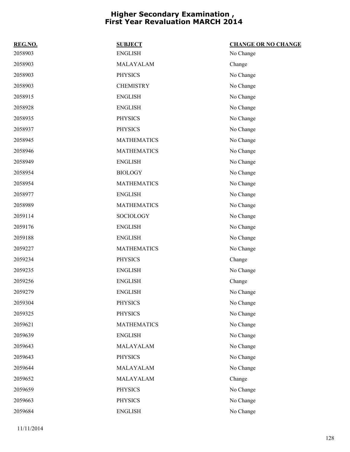| REG.NO. | <b>SUBJECT</b>     | <b>CHANGE OR NO CHANGE</b> |
|---------|--------------------|----------------------------|
| 2058903 | <b>ENGLISH</b>     | No Change                  |
| 2058903 | MALAYALAM          | Change                     |
| 2058903 | <b>PHYSICS</b>     | No Change                  |
| 2058903 | <b>CHEMISTRY</b>   | No Change                  |
| 2058915 | <b>ENGLISH</b>     | No Change                  |
| 2058928 | <b>ENGLISH</b>     | No Change                  |
| 2058935 | <b>PHYSICS</b>     | No Change                  |
| 2058937 | <b>PHYSICS</b>     | No Change                  |
| 2058945 | <b>MATHEMATICS</b> | No Change                  |
| 2058946 | <b>MATHEMATICS</b> | No Change                  |
| 2058949 | <b>ENGLISH</b>     | No Change                  |
| 2058954 | <b>BIOLOGY</b>     | No Change                  |
| 2058954 | <b>MATHEMATICS</b> | No Change                  |
| 2058977 | <b>ENGLISH</b>     | No Change                  |
| 2058989 | <b>MATHEMATICS</b> | No Change                  |
| 2059114 | SOCIOLOGY          | No Change                  |
| 2059176 | <b>ENGLISH</b>     | No Change                  |
| 2059188 | <b>ENGLISH</b>     | No Change                  |
| 2059227 | <b>MATHEMATICS</b> | No Change                  |
| 2059234 | <b>PHYSICS</b>     | Change                     |
| 2059235 | <b>ENGLISH</b>     | No Change                  |
| 2059256 | <b>ENGLISH</b>     | Change                     |
| 2059279 | <b>ENGLISH</b>     | No Change                  |
| 2059304 | <b>PHYSICS</b>     | No Change                  |
| 2059325 | <b>PHYSICS</b>     | No Change                  |
| 2059621 | <b>MATHEMATICS</b> | No Change                  |
| 2059639 | <b>ENGLISH</b>     | No Change                  |
| 2059643 | MALAYALAM          | No Change                  |
| 2059643 | <b>PHYSICS</b>     | No Change                  |
| 2059644 | MALAYALAM          | No Change                  |
| 2059652 | MALAYALAM          | Change                     |
| 2059659 | <b>PHYSICS</b>     | No Change                  |
| 2059663 | <b>PHYSICS</b>     | No Change                  |
| 2059684 | <b>ENGLISH</b>     | No Change                  |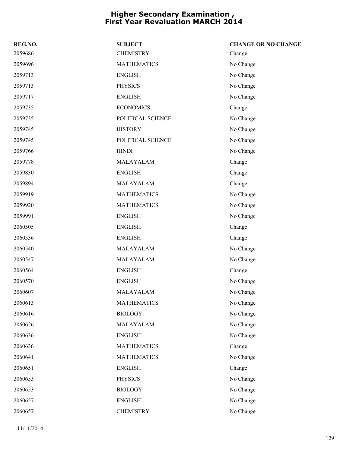| REG.NO. | <b>SUBJECT</b>     | <b>CHANGE OR NO CHANGE</b> |
|---------|--------------------|----------------------------|
| 2059686 | <b>CHEMISTRY</b>   | Change                     |
| 2059696 | <b>MATHEMATICS</b> | No Change                  |
| 2059713 | <b>ENGLISH</b>     | No Change                  |
| 2059713 | <b>PHYSICS</b>     | No Change                  |
| 2059717 | <b>ENGLISH</b>     | No Change                  |
| 2059735 | <b>ECONOMICS</b>   | Change                     |
| 2059735 | POLITICAL SCIENCE  | No Change                  |
| 2059745 | <b>HISTORY</b>     | No Change                  |
| 2059745 | POLITICAL SCIENCE  | No Change                  |
| 2059766 | <b>HINDI</b>       | No Change                  |
| 2059778 | MALAYALAM          | Change                     |
| 2059830 | <b>ENGLISH</b>     | Change                     |
| 2059894 | MALAYALAM          | Change                     |
| 2059919 | <b>MATHEMATICS</b> | No Change                  |
| 2059920 | <b>MATHEMATICS</b> | No Change                  |
| 2059991 | <b>ENGLISH</b>     | No Change                  |
| 2060505 | <b>ENGLISH</b>     | Change                     |
| 2060536 | <b>ENGLISH</b>     | Change                     |
| 2060540 | MALAYALAM          | No Change                  |
| 2060547 | MALAYALAM          | No Change                  |
| 2060564 | <b>ENGLISH</b>     | Change                     |
| 2060570 | <b>ENGLISH</b>     | No Change                  |
| 2060607 | MALAYALAM          | No Change                  |
| 2060613 | <b>MATHEMATICS</b> | No Change                  |
| 2060616 | <b>BIOLOGY</b>     | No Change                  |
| 2060626 | MALAYALAM          | No Change                  |
| 2060636 | <b>ENGLISH</b>     | No Change                  |
| 2060636 | <b>MATHEMATICS</b> | Change                     |
| 2060641 | <b>MATHEMATICS</b> | No Change                  |
| 2060651 | <b>ENGLISH</b>     | Change                     |
| 2060653 | <b>PHYSICS</b>     | No Change                  |
| 2060653 | <b>BIOLOGY</b>     | No Change                  |
| 2060657 | <b>ENGLISH</b>     | No Change                  |
| 2060657 | <b>CHEMISTRY</b>   | No Change                  |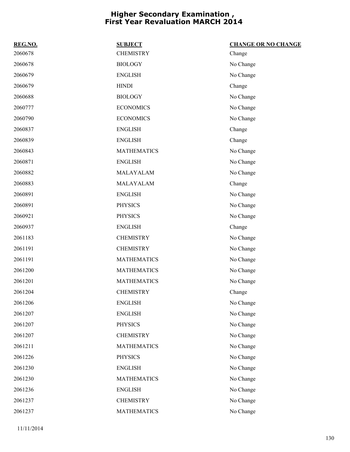| REG.NO. | <b>SUBJECT</b>     | <b>CHANGE OR NO CHANGE</b> |
|---------|--------------------|----------------------------|
| 2060678 | <b>CHEMISTRY</b>   | Change                     |
| 2060678 | <b>BIOLOGY</b>     | No Change                  |
| 2060679 | <b>ENGLISH</b>     | No Change                  |
| 2060679 | <b>HINDI</b>       | Change                     |
| 2060688 | <b>BIOLOGY</b>     | No Change                  |
| 2060777 | <b>ECONOMICS</b>   | No Change                  |
| 2060790 | <b>ECONOMICS</b>   | No Change                  |
| 2060837 | <b>ENGLISH</b>     | Change                     |
| 2060839 | <b>ENGLISH</b>     | Change                     |
| 2060843 | <b>MATHEMATICS</b> | No Change                  |
| 2060871 | <b>ENGLISH</b>     | No Change                  |
| 2060882 | MALAYALAM          | No Change                  |
| 2060883 | MALAYALAM          | Change                     |
| 2060891 | <b>ENGLISH</b>     | No Change                  |
| 2060891 | <b>PHYSICS</b>     | No Change                  |
| 2060921 | <b>PHYSICS</b>     | No Change                  |
| 2060937 | <b>ENGLISH</b>     | Change                     |
| 2061183 | <b>CHEMISTRY</b>   | No Change                  |
| 2061191 | <b>CHEMISTRY</b>   | No Change                  |
| 2061191 | <b>MATHEMATICS</b> | No Change                  |
| 2061200 | <b>MATHEMATICS</b> | No Change                  |
| 2061201 | <b>MATHEMATICS</b> | No Change                  |
| 2061204 | <b>CHEMISTRY</b>   | Change                     |
| 2061206 | <b>ENGLISH</b>     | No Change                  |
| 2061207 | <b>ENGLISH</b>     | No Change                  |
| 2061207 | <b>PHYSICS</b>     | No Change                  |
| 2061207 | <b>CHEMISTRY</b>   | No Change                  |
| 2061211 | <b>MATHEMATICS</b> | No Change                  |
| 2061226 | <b>PHYSICS</b>     | No Change                  |
| 2061230 | <b>ENGLISH</b>     | No Change                  |
| 2061230 | <b>MATHEMATICS</b> | No Change                  |
| 2061236 | <b>ENGLISH</b>     | No Change                  |
| 2061237 | <b>CHEMISTRY</b>   | No Change                  |
| 2061237 | <b>MATHEMATICS</b> | No Change                  |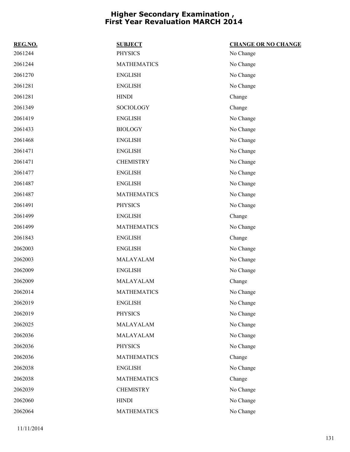| REG.NO. | <b>SUBJECT</b>     | <b>CHANGE OR NO CHANGE</b> |
|---------|--------------------|----------------------------|
| 2061244 | <b>PHYSICS</b>     | No Change                  |
| 2061244 | <b>MATHEMATICS</b> | No Change                  |
| 2061270 | <b>ENGLISH</b>     | No Change                  |
| 2061281 | <b>ENGLISH</b>     | No Change                  |
| 2061281 | <b>HINDI</b>       | Change                     |
| 2061349 | SOCIOLOGY          | Change                     |
| 2061419 | <b>ENGLISH</b>     | No Change                  |
| 2061433 | <b>BIOLOGY</b>     | No Change                  |
| 2061468 | <b>ENGLISH</b>     | No Change                  |
| 2061471 | <b>ENGLISH</b>     | No Change                  |
| 2061471 | <b>CHEMISTRY</b>   | No Change                  |
| 2061477 | <b>ENGLISH</b>     | No Change                  |
| 2061487 | <b>ENGLISH</b>     | No Change                  |
| 2061487 | <b>MATHEMATICS</b> | No Change                  |
| 2061491 | <b>PHYSICS</b>     | No Change                  |
| 2061499 | <b>ENGLISH</b>     | Change                     |
| 2061499 | <b>MATHEMATICS</b> | No Change                  |
| 2061843 | <b>ENGLISH</b>     | Change                     |
| 2062003 | <b>ENGLISH</b>     | No Change                  |
| 2062003 | MALAYALAM          | No Change                  |
| 2062009 | <b>ENGLISH</b>     | No Change                  |
| 2062009 | MALAYALAM          | Change                     |
| 2062014 | <b>MATHEMATICS</b> | No Change                  |
| 2062019 | <b>ENGLISH</b>     | No Change                  |
| 2062019 | <b>PHYSICS</b>     | No Change                  |
| 2062025 | MALAYALAM          | No Change                  |
| 2062036 | MALAYALAM          | No Change                  |
| 2062036 | <b>PHYSICS</b>     | No Change                  |
| 2062036 | <b>MATHEMATICS</b> | Change                     |
| 2062038 | <b>ENGLISH</b>     | No Change                  |
| 2062038 | <b>MATHEMATICS</b> | Change                     |
| 2062039 | <b>CHEMISTRY</b>   | No Change                  |
| 2062060 | <b>HINDI</b>       | No Change                  |
| 2062064 | <b>MATHEMATICS</b> | No Change                  |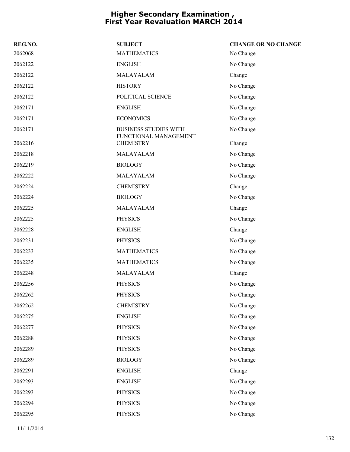| REG.NO. | <b>SUBJECT</b>                                        | <b>CHANGE OR NO CHANGE</b> |
|---------|-------------------------------------------------------|----------------------------|
| 2062068 | <b>MATHEMATICS</b>                                    | No Change                  |
| 2062122 | <b>ENGLISH</b>                                        | No Change                  |
| 2062122 | MALAYALAM                                             | Change                     |
| 2062122 | <b>HISTORY</b>                                        | No Change                  |
| 2062122 | POLITICAL SCIENCE                                     | No Change                  |
| 2062171 | <b>ENGLISH</b>                                        | No Change                  |
| 2062171 | <b>ECONOMICS</b>                                      | No Change                  |
| 2062171 | <b>BUSINESS STUDIES WITH</b><br>FUNCTIONAL MANAGEMENT | No Change                  |
| 2062216 | <b>CHEMISTRY</b>                                      | Change                     |
| 2062218 | MALAYALAM                                             | No Change                  |
| 2062219 | <b>BIOLOGY</b>                                        | No Change                  |
| 2062222 | MALAYALAM                                             | No Change                  |
| 2062224 | <b>CHEMISTRY</b>                                      | Change                     |
| 2062224 | <b>BIOLOGY</b>                                        | No Change                  |
| 2062225 | MALAYALAM                                             | Change                     |
| 2062225 | <b>PHYSICS</b>                                        | No Change                  |
| 2062228 | <b>ENGLISH</b>                                        | Change                     |
| 2062231 | <b>PHYSICS</b>                                        | No Change                  |
| 2062233 | <b>MATHEMATICS</b>                                    | No Change                  |
| 2062235 | <b>MATHEMATICS</b>                                    | No Change                  |
| 2062248 | MALAYALAM                                             | Change                     |
| 2062256 | <b>PHYSICS</b>                                        | No Change                  |
| 2062262 | <b>PHYSICS</b>                                        | No Change                  |
| 2062262 | <b>CHEMISTRY</b>                                      | No Change                  |
| 2062275 | <b>ENGLISH</b>                                        | No Change                  |
| 2062277 | <b>PHYSICS</b>                                        | No Change                  |
| 2062288 | <b>PHYSICS</b>                                        | No Change                  |
| 2062289 | <b>PHYSICS</b>                                        | No Change                  |
| 2062289 | <b>BIOLOGY</b>                                        | No Change                  |
| 2062291 | <b>ENGLISH</b>                                        | Change                     |
| 2062293 | <b>ENGLISH</b>                                        | No Change                  |
| 2062293 | <b>PHYSICS</b>                                        | No Change                  |
| 2062294 | <b>PHYSICS</b>                                        | No Change                  |
| 2062295 | <b>PHYSICS</b>                                        | No Change                  |

11/11/2014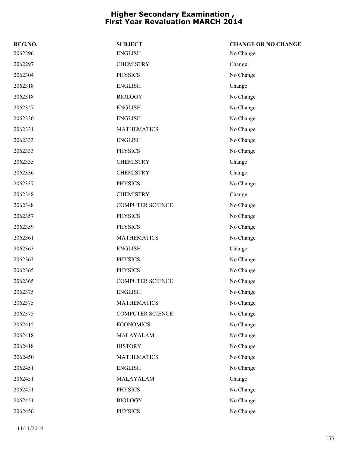| REG.NO. | <b>SUBJECT</b>          | <b>CHANGE OR NO CHANGE</b> |
|---------|-------------------------|----------------------------|
| 2062296 | <b>ENGLISH</b>          | No Change                  |
| 2062297 | <b>CHEMISTRY</b>        | Change                     |
| 2062304 | <b>PHYSICS</b>          | No Change                  |
| 2062318 | <b>ENGLISH</b>          | Change                     |
| 2062318 | <b>BIOLOGY</b>          | No Change                  |
| 2062327 | <b>ENGLISH</b>          | No Change                  |
| 2062330 | <b>ENGLISH</b>          | No Change                  |
| 2062331 | <b>MATHEMATICS</b>      | No Change                  |
| 2062333 | <b>ENGLISH</b>          | No Change                  |
| 2062333 | <b>PHYSICS</b>          | No Change                  |
| 2062335 | <b>CHEMISTRY</b>        | Change                     |
| 2062336 | <b>CHEMISTRY</b>        | Change                     |
| 2062337 | <b>PHYSICS</b>          | No Change                  |
| 2062348 | <b>CHEMISTRY</b>        | Change                     |
| 2062348 | <b>COMPUTER SCIENCE</b> | No Change                  |
| 2062357 | <b>PHYSICS</b>          | No Change                  |
| 2062359 | <b>PHYSICS</b>          | No Change                  |
| 2062361 | <b>MATHEMATICS</b>      | No Change                  |
| 2062363 | <b>ENGLISH</b>          | Change                     |
| 2062363 | <b>PHYSICS</b>          | No Change                  |
| 2062365 | <b>PHYSICS</b>          | No Change                  |
| 2062365 | <b>COMPUTER SCIENCE</b> | No Change                  |
| 2062375 | <b>ENGLISH</b>          | No Change                  |
| 2062375 | <b>MATHEMATICS</b>      | No Change                  |
| 2062375 | <b>COMPUTER SCIENCE</b> | No Change                  |
| 2062415 | <b>ECONOMICS</b>        | No Change                  |
| 2062418 | MALAYALAM               | No Change                  |
| 2062418 | <b>HISTORY</b>          | No Change                  |
| 2062450 | <b>MATHEMATICS</b>      | No Change                  |
| 2062451 | <b>ENGLISH</b>          | No Change                  |
| 2062451 | MALAYALAM               | Change                     |
| 2062451 | <b>PHYSICS</b>          | No Change                  |
| 2062451 | <b>BIOLOGY</b>          | No Change                  |
| 2062456 | PHYSICS                 | No Change                  |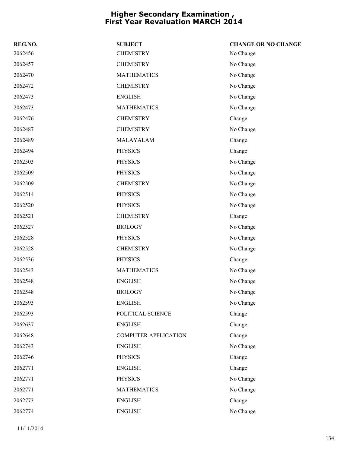| REG.NO. | <b>SUBJECT</b>              | <b>CHANGE OR NO CHANGE</b> |
|---------|-----------------------------|----------------------------|
| 2062456 | <b>CHEMISTRY</b>            | No Change                  |
| 2062457 | <b>CHEMISTRY</b>            | No Change                  |
| 2062470 | <b>MATHEMATICS</b>          | No Change                  |
| 2062472 | <b>CHEMISTRY</b>            | No Change                  |
| 2062473 | <b>ENGLISH</b>              | No Change                  |
| 2062473 | <b>MATHEMATICS</b>          | No Change                  |
| 2062476 | <b>CHEMISTRY</b>            | Change                     |
| 2062487 | <b>CHEMISTRY</b>            | No Change                  |
| 2062489 | MALAYALAM                   | Change                     |
| 2062494 | <b>PHYSICS</b>              | Change                     |
| 2062503 | <b>PHYSICS</b>              | No Change                  |
| 2062509 | <b>PHYSICS</b>              | No Change                  |
| 2062509 | <b>CHEMISTRY</b>            | No Change                  |
| 2062514 | <b>PHYSICS</b>              | No Change                  |
| 2062520 | <b>PHYSICS</b>              | No Change                  |
| 2062521 | <b>CHEMISTRY</b>            | Change                     |
| 2062527 | <b>BIOLOGY</b>              | No Change                  |
| 2062528 | <b>PHYSICS</b>              | No Change                  |
| 2062528 | <b>CHEMISTRY</b>            | No Change                  |
| 2062536 | <b>PHYSICS</b>              | Change                     |
| 2062543 | <b>MATHEMATICS</b>          | No Change                  |
| 2062548 | <b>ENGLISH</b>              | No Change                  |
| 2062548 | <b>BIOLOGY</b>              | No Change                  |
| 2062593 | <b>ENGLISH</b>              | No Change                  |
| 2062593 | POLITICAL SCIENCE           | Change                     |
| 2062637 | <b>ENGLISH</b>              | Change                     |
| 2062648 | <b>COMPUTER APPLICATION</b> | Change                     |
| 2062743 | <b>ENGLISH</b>              | No Change                  |
| 2062746 | <b>PHYSICS</b>              | Change                     |
| 2062771 | <b>ENGLISH</b>              | Change                     |
| 2062771 | <b>PHYSICS</b>              | No Change                  |
| 2062771 | <b>MATHEMATICS</b>          | No Change                  |
| 2062773 | <b>ENGLISH</b>              | Change                     |
| 2062774 | <b>ENGLISH</b>              | No Change                  |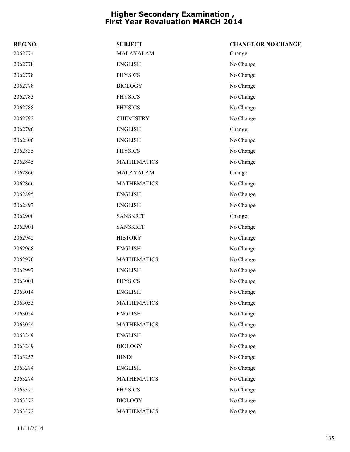| REG.NO. | <b>SUBJECT</b>     | <b>CHANGE OR NO CHANGE</b> |
|---------|--------------------|----------------------------|
| 2062774 | MALAYALAM          | Change                     |
| 2062778 | <b>ENGLISH</b>     | No Change                  |
| 2062778 | <b>PHYSICS</b>     | No Change                  |
| 2062778 | <b>BIOLOGY</b>     | No Change                  |
| 2062783 | <b>PHYSICS</b>     | No Change                  |
| 2062788 | <b>PHYSICS</b>     | No Change                  |
| 2062792 | <b>CHEMISTRY</b>   | No Change                  |
| 2062796 | <b>ENGLISH</b>     | Change                     |
| 2062806 | <b>ENGLISH</b>     | No Change                  |
| 2062835 | <b>PHYSICS</b>     | No Change                  |
| 2062845 | <b>MATHEMATICS</b> | No Change                  |
| 2062866 | MALAYALAM          | Change                     |
| 2062866 | <b>MATHEMATICS</b> | No Change                  |
| 2062895 | <b>ENGLISH</b>     | No Change                  |
| 2062897 | <b>ENGLISH</b>     | No Change                  |
| 2062900 | <b>SANSKRIT</b>    | Change                     |
| 2062901 | <b>SANSKRIT</b>    | No Change                  |
| 2062942 | <b>HISTORY</b>     | No Change                  |
| 2062968 | <b>ENGLISH</b>     | No Change                  |
| 2062970 | <b>MATHEMATICS</b> | No Change                  |
| 2062997 | <b>ENGLISH</b>     | No Change                  |
| 2063001 | <b>PHYSICS</b>     | No Change                  |
| 2063014 | <b>ENGLISH</b>     | No Change                  |
| 2063053 | <b>MATHEMATICS</b> | No Change                  |
| 2063054 | <b>ENGLISH</b>     | No Change                  |
| 2063054 | <b>MATHEMATICS</b> | No Change                  |
| 2063249 | <b>ENGLISH</b>     | No Change                  |
| 2063249 | <b>BIOLOGY</b>     | No Change                  |
| 2063253 | <b>HINDI</b>       | No Change                  |
| 2063274 | <b>ENGLISH</b>     | No Change                  |
| 2063274 | <b>MATHEMATICS</b> | No Change                  |
| 2063372 | <b>PHYSICS</b>     | No Change                  |
| 2063372 | <b>BIOLOGY</b>     | No Change                  |
| 2063372 | <b>MATHEMATICS</b> | No Change                  |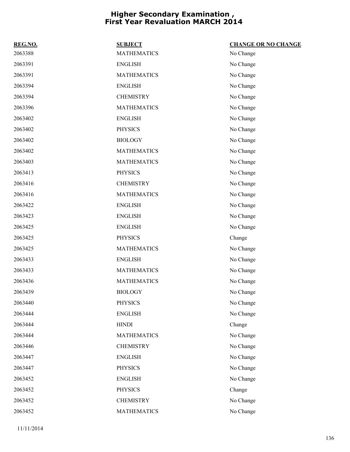| REG.NO. | <b>SUBJECT</b>     | <b>CHANGE OR NO CHANGE</b> |
|---------|--------------------|----------------------------|
| 2063388 | <b>MATHEMATICS</b> | No Change                  |
| 2063391 | <b>ENGLISH</b>     | No Change                  |
| 2063391 | <b>MATHEMATICS</b> | No Change                  |
| 2063394 | <b>ENGLISH</b>     | No Change                  |
| 2063394 | <b>CHEMISTRY</b>   | No Change                  |
| 2063396 | <b>MATHEMATICS</b> | No Change                  |
| 2063402 | <b>ENGLISH</b>     | No Change                  |
| 2063402 | <b>PHYSICS</b>     | No Change                  |
| 2063402 | <b>BIOLOGY</b>     | No Change                  |
| 2063402 | <b>MATHEMATICS</b> | No Change                  |
| 2063403 | <b>MATHEMATICS</b> | No Change                  |
| 2063413 | <b>PHYSICS</b>     | No Change                  |
| 2063416 | <b>CHEMISTRY</b>   | No Change                  |
| 2063416 | <b>MATHEMATICS</b> | No Change                  |
| 2063422 | <b>ENGLISH</b>     | No Change                  |
| 2063423 | <b>ENGLISH</b>     | No Change                  |
| 2063425 | <b>ENGLISH</b>     | No Change                  |
| 2063425 | <b>PHYSICS</b>     | Change                     |
| 2063425 | <b>MATHEMATICS</b> | No Change                  |
| 2063433 | <b>ENGLISH</b>     | No Change                  |
| 2063433 | <b>MATHEMATICS</b> | No Change                  |
| 2063436 | <b>MATHEMATICS</b> | No Change                  |
| 2063439 | <b>BIOLOGY</b>     | No Change                  |
| 2063440 | <b>PHYSICS</b>     | No Change                  |
| 2063444 | <b>ENGLISH</b>     | No Change                  |
| 2063444 | <b>HINDI</b>       | Change                     |
| 2063444 | <b>MATHEMATICS</b> | No Change                  |
| 2063446 | <b>CHEMISTRY</b>   | No Change                  |
| 2063447 | <b>ENGLISH</b>     | No Change                  |
| 2063447 | <b>PHYSICS</b>     | No Change                  |
| 2063452 | <b>ENGLISH</b>     | No Change                  |
| 2063452 | <b>PHYSICS</b>     | Change                     |
| 2063452 | <b>CHEMISTRY</b>   | No Change                  |
| 2063452 | <b>MATHEMATICS</b> | No Change                  |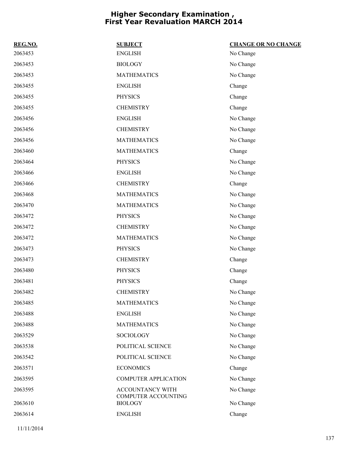| REG.NO. | <b>SUBJECT</b>                        | <b>CHANGE OR NO CHANGE</b> |
|---------|---------------------------------------|----------------------------|
| 2063453 | <b>ENGLISH</b>                        | No Change                  |
| 2063453 | <b>BIOLOGY</b>                        | No Change                  |
| 2063453 | <b>MATHEMATICS</b>                    | No Change                  |
| 2063455 | <b>ENGLISH</b>                        | Change                     |
| 2063455 | <b>PHYSICS</b>                        | Change                     |
| 2063455 | <b>CHEMISTRY</b>                      | Change                     |
| 2063456 | <b>ENGLISH</b>                        | No Change                  |
| 2063456 | <b>CHEMISTRY</b>                      | No Change                  |
| 2063456 | <b>MATHEMATICS</b>                    | No Change                  |
| 2063460 | <b>MATHEMATICS</b>                    | Change                     |
| 2063464 | <b>PHYSICS</b>                        | No Change                  |
| 2063466 | <b>ENGLISH</b>                        | No Change                  |
| 2063466 | <b>CHEMISTRY</b>                      | Change                     |
| 2063468 | <b>MATHEMATICS</b>                    | No Change                  |
| 2063470 | <b>MATHEMATICS</b>                    | No Change                  |
| 2063472 | <b>PHYSICS</b>                        | No Change                  |
| 2063472 | <b>CHEMISTRY</b>                      | No Change                  |
| 2063472 | <b>MATHEMATICS</b>                    | No Change                  |
| 2063473 | <b>PHYSICS</b>                        | No Change                  |
| 2063473 | <b>CHEMISTRY</b>                      | Change                     |
| 2063480 | <b>PHYSICS</b>                        | Change                     |
| 2063481 | <b>PHYSICS</b>                        | Change                     |
| 2063482 | <b>CHEMISTRY</b>                      | No Change                  |
| 2063485 | <b>MATHEMATICS</b>                    | No Change                  |
| 2063488 | <b>ENGLISH</b>                        | No Change                  |
| 2063488 | <b>MATHEMATICS</b>                    | No Change                  |
| 2063529 | SOCIOLOGY                             | No Change                  |
| 2063538 | POLITICAL SCIENCE                     | No Change                  |
| 2063542 | POLITICAL SCIENCE                     | No Change                  |
| 2063571 | <b>ECONOMICS</b>                      | Change                     |
| 2063595 | <b>COMPUTER APPLICATION</b>           | No Change                  |
| 2063595 | ACCOUNTANCY WITH                      | No Change                  |
| 2063610 | COMPUTER ACCOUNTING<br><b>BIOLOGY</b> | No Change                  |
| 2063614 | <b>ENGLISH</b>                        | Change                     |
|         |                                       |                            |

11/11/2014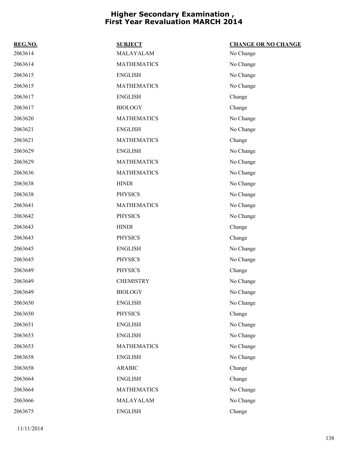| REG.NO. | <b>SUBJECT</b>     | <b>CHANGE OR NO CHANGE</b> |
|---------|--------------------|----------------------------|
| 2063614 | MALAYALAM          | No Change                  |
| 2063614 | <b>MATHEMATICS</b> | No Change                  |
| 2063615 | <b>ENGLISH</b>     | No Change                  |
| 2063615 | <b>MATHEMATICS</b> | No Change                  |
| 2063617 | <b>ENGLISH</b>     | Change                     |
| 2063617 | <b>BIOLOGY</b>     | Change                     |
| 2063620 | <b>MATHEMATICS</b> | No Change                  |
| 2063621 | <b>ENGLISH</b>     | No Change                  |
| 2063621 | <b>MATHEMATICS</b> | Change                     |
| 2063629 | <b>ENGLISH</b>     | No Change                  |
| 2063629 | <b>MATHEMATICS</b> | No Change                  |
| 2063636 | <b>MATHEMATICS</b> | No Change                  |
| 2063638 | <b>HINDI</b>       | No Change                  |
| 2063638 | <b>PHYSICS</b>     | No Change                  |
| 2063641 | <b>MATHEMATICS</b> | No Change                  |
| 2063642 | <b>PHYSICS</b>     | No Change                  |
| 2063643 | <b>HINDI</b>       | Change                     |
| 2063643 | <b>PHYSICS</b>     | Change                     |
| 2063645 | <b>ENGLISH</b>     | No Change                  |
| 2063645 | <b>PHYSICS</b>     | No Change                  |
| 2063649 | <b>PHYSICS</b>     | Change                     |
| 2063649 | <b>CHEMISTRY</b>   | No Change                  |
| 2063649 | <b>BIOLOGY</b>     | No Change                  |
| 2063650 | <b>ENGLISH</b>     | No Change                  |
| 2063650 | <b>PHYSICS</b>     | Change                     |
| 2063651 | <b>ENGLISH</b>     | No Change                  |
| 2063653 | <b>ENGLISH</b>     | No Change                  |
| 2063653 | <b>MATHEMATICS</b> | No Change                  |
| 2063658 | <b>ENGLISH</b>     | No Change                  |
| 2063658 | <b>ARABIC</b>      | Change                     |
| 2063664 | <b>ENGLISH</b>     | Change                     |
| 2063664 | <b>MATHEMATICS</b> | No Change                  |
| 2063666 | MALAYALAM          | No Change                  |
| 2063675 | <b>ENGLISH</b>     | Change                     |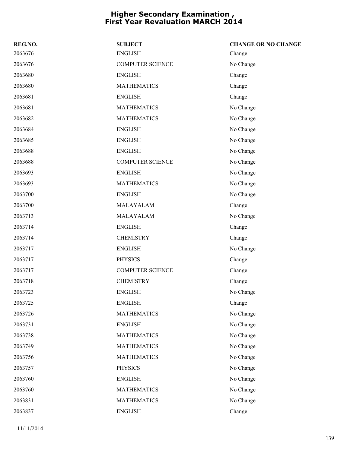| REG.NO. | <b>SUBJECT</b>          | <b>CHANGE OR NO CHANGE</b> |
|---------|-------------------------|----------------------------|
| 2063676 | <b>ENGLISH</b>          | Change                     |
| 2063676 | <b>COMPUTER SCIENCE</b> | No Change                  |
| 2063680 | <b>ENGLISH</b>          | Change                     |
| 2063680 | <b>MATHEMATICS</b>      | Change                     |
| 2063681 | <b>ENGLISH</b>          | Change                     |
| 2063681 | <b>MATHEMATICS</b>      | No Change                  |
| 2063682 | <b>MATHEMATICS</b>      | No Change                  |
| 2063684 | <b>ENGLISH</b>          | No Change                  |
| 2063685 | <b>ENGLISH</b>          | No Change                  |
| 2063688 | <b>ENGLISH</b>          | No Change                  |
| 2063688 | <b>COMPUTER SCIENCE</b> | No Change                  |
| 2063693 | <b>ENGLISH</b>          | No Change                  |
| 2063693 | <b>MATHEMATICS</b>      | No Change                  |
| 2063700 | <b>ENGLISH</b>          | No Change                  |
| 2063700 | MALAYALAM               | Change                     |
| 2063713 | MALAYALAM               | No Change                  |
| 2063714 | <b>ENGLISH</b>          | Change                     |
| 2063714 | <b>CHEMISTRY</b>        | Change                     |
| 2063717 | <b>ENGLISH</b>          | No Change                  |
| 2063717 | <b>PHYSICS</b>          | Change                     |
| 2063717 | <b>COMPUTER SCIENCE</b> | Change                     |
| 2063718 | <b>CHEMISTRY</b>        | Change                     |
| 2063723 | <b>ENGLISH</b>          | No Change                  |
| 2063725 | <b>ENGLISH</b>          | Change                     |
| 2063726 | <b>MATHEMATICS</b>      | No Change                  |
| 2063731 | <b>ENGLISH</b>          | No Change                  |
| 2063738 | <b>MATHEMATICS</b>      | No Change                  |
| 2063749 | <b>MATHEMATICS</b>      | No Change                  |
| 2063756 | <b>MATHEMATICS</b>      | No Change                  |
| 2063757 | <b>PHYSICS</b>          | No Change                  |
| 2063760 | <b>ENGLISH</b>          | No Change                  |
| 2063760 | <b>MATHEMATICS</b>      | No Change                  |
| 2063831 | <b>MATHEMATICS</b>      | No Change                  |
| 2063837 | <b>ENGLISH</b>          | Change                     |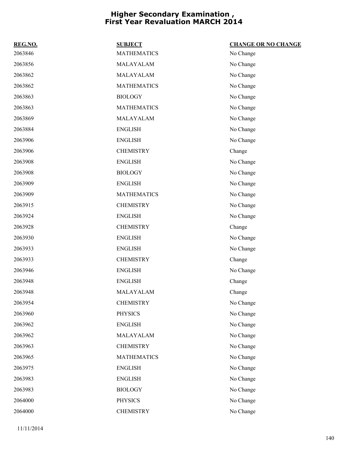| REG.NO. | <b>SUBJECT</b>     | <b>CHANGE OR NO CHANGE</b> |
|---------|--------------------|----------------------------|
| 2063846 | <b>MATHEMATICS</b> | No Change                  |
| 2063856 | MALAYALAM          | No Change                  |
| 2063862 | MALAYALAM          | No Change                  |
| 2063862 | <b>MATHEMATICS</b> | No Change                  |
| 2063863 | <b>BIOLOGY</b>     | No Change                  |
| 2063863 | <b>MATHEMATICS</b> | No Change                  |
| 2063869 | MALAYALAM          | No Change                  |
| 2063884 | <b>ENGLISH</b>     | No Change                  |
| 2063906 | <b>ENGLISH</b>     | No Change                  |
| 2063906 | <b>CHEMISTRY</b>   | Change                     |
| 2063908 | <b>ENGLISH</b>     | No Change                  |
| 2063908 | <b>BIOLOGY</b>     | No Change                  |
| 2063909 | <b>ENGLISH</b>     | No Change                  |
| 2063909 | <b>MATHEMATICS</b> | No Change                  |
| 2063915 | <b>CHEMISTRY</b>   | No Change                  |
| 2063924 | <b>ENGLISH</b>     | No Change                  |
| 2063928 | <b>CHEMISTRY</b>   | Change                     |
| 2063930 | <b>ENGLISH</b>     | No Change                  |
| 2063933 | <b>ENGLISH</b>     | No Change                  |
| 2063933 | <b>CHEMISTRY</b>   | Change                     |
| 2063946 | <b>ENGLISH</b>     | No Change                  |
| 2063948 | <b>ENGLISH</b>     | Change                     |
| 2063948 | MALAYALAM          | Change                     |
| 2063954 | <b>CHEMISTRY</b>   | No Change                  |
| 2063960 | <b>PHYSICS</b>     | No Change                  |
| 2063962 | <b>ENGLISH</b>     | No Change                  |
| 2063962 | MALAYALAM          | No Change                  |
| 2063963 | <b>CHEMISTRY</b>   | No Change                  |
| 2063965 | <b>MATHEMATICS</b> | No Change                  |
| 2063975 | <b>ENGLISH</b>     | No Change                  |
| 2063983 | <b>ENGLISH</b>     | No Change                  |
| 2063983 | <b>BIOLOGY</b>     | No Change                  |
| 2064000 | <b>PHYSICS</b>     | No Change                  |
| 2064000 | <b>CHEMISTRY</b>   | No Change                  |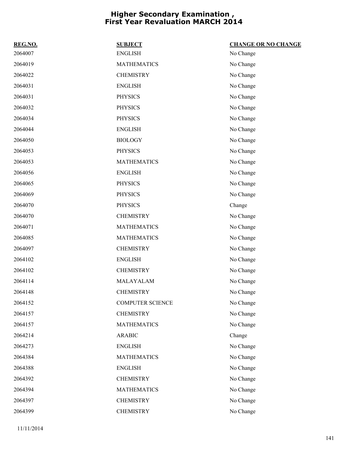| REG.NO. | <b>SUBJECT</b>          | <b>CHANGE OR NO CHANGE</b> |
|---------|-------------------------|----------------------------|
| 2064007 | <b>ENGLISH</b>          | No Change                  |
| 2064019 | <b>MATHEMATICS</b>      | No Change                  |
| 2064022 | <b>CHEMISTRY</b>        | No Change                  |
| 2064031 | <b>ENGLISH</b>          | No Change                  |
| 2064031 | <b>PHYSICS</b>          | No Change                  |
| 2064032 | <b>PHYSICS</b>          | No Change                  |
| 2064034 | <b>PHYSICS</b>          | No Change                  |
| 2064044 | <b>ENGLISH</b>          | No Change                  |
| 2064050 | <b>BIOLOGY</b>          | No Change                  |
| 2064053 | <b>PHYSICS</b>          | No Change                  |
| 2064053 | <b>MATHEMATICS</b>      | No Change                  |
| 2064056 | <b>ENGLISH</b>          | No Change                  |
| 2064065 | <b>PHYSICS</b>          | No Change                  |
| 2064069 | <b>PHYSICS</b>          | No Change                  |
| 2064070 | <b>PHYSICS</b>          | Change                     |
| 2064070 | <b>CHEMISTRY</b>        | No Change                  |
| 2064071 | <b>MATHEMATICS</b>      | No Change                  |
| 2064085 | <b>MATHEMATICS</b>      | No Change                  |
| 2064097 | <b>CHEMISTRY</b>        | No Change                  |
| 2064102 | <b>ENGLISH</b>          | No Change                  |
| 2064102 | <b>CHEMISTRY</b>        | No Change                  |
| 2064114 | MALAYALAM               | No Change                  |
| 2064148 | <b>CHEMISTRY</b>        | No Change                  |
| 2064152 | <b>COMPUTER SCIENCE</b> | No Change                  |
| 2064157 | <b>CHEMISTRY</b>        | No Change                  |
| 2064157 | <b>MATHEMATICS</b>      | No Change                  |
| 2064214 | <b>ARABIC</b>           | Change                     |
| 2064273 | <b>ENGLISH</b>          | No Change                  |
| 2064384 | <b>MATHEMATICS</b>      | No Change                  |
| 2064388 | <b>ENGLISH</b>          | No Change                  |
| 2064392 | <b>CHEMISTRY</b>        | No Change                  |
| 2064394 | <b>MATHEMATICS</b>      | No Change                  |
| 2064397 | <b>CHEMISTRY</b>        | No Change                  |
| 2064399 | <b>CHEMISTRY</b>        | No Change                  |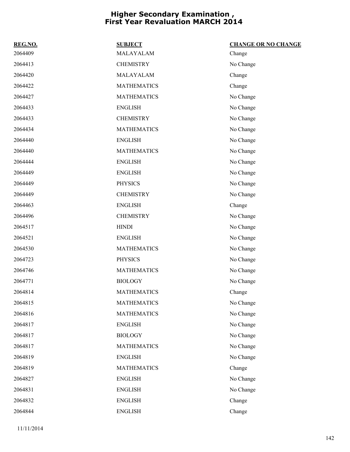| REG.NO. | <b>SUBJECT</b>     | <b>CHANGE OR NO CHANGE</b> |
|---------|--------------------|----------------------------|
| 2064409 | MALAYALAM          | Change                     |
| 2064413 | <b>CHEMISTRY</b>   | No Change                  |
| 2064420 | MALAYALAM          | Change                     |
| 2064422 | <b>MATHEMATICS</b> | Change                     |
| 2064427 | <b>MATHEMATICS</b> | No Change                  |
| 2064433 | <b>ENGLISH</b>     | No Change                  |
| 2064433 | <b>CHEMISTRY</b>   | No Change                  |
| 2064434 | <b>MATHEMATICS</b> | No Change                  |
| 2064440 | <b>ENGLISH</b>     | No Change                  |
| 2064440 | <b>MATHEMATICS</b> | No Change                  |
| 2064444 | <b>ENGLISH</b>     | No Change                  |
| 2064449 | <b>ENGLISH</b>     | No Change                  |
| 2064449 | <b>PHYSICS</b>     | No Change                  |
| 2064449 | <b>CHEMISTRY</b>   | No Change                  |
| 2064463 | <b>ENGLISH</b>     | Change                     |
| 2064496 | <b>CHEMISTRY</b>   | No Change                  |
| 2064517 | <b>HINDI</b>       | No Change                  |
| 2064521 | <b>ENGLISH</b>     | No Change                  |
| 2064530 | <b>MATHEMATICS</b> | No Change                  |
| 2064723 | <b>PHYSICS</b>     | No Change                  |
| 2064746 | <b>MATHEMATICS</b> | No Change                  |
| 2064771 | <b>BIOLOGY</b>     | No Change                  |
| 2064814 | <b>MATHEMATICS</b> | Change                     |
| 2064815 | <b>MATHEMATICS</b> | No Change                  |
| 2064816 | <b>MATHEMATICS</b> | No Change                  |
| 2064817 | <b>ENGLISH</b>     | No Change                  |
| 2064817 | <b>BIOLOGY</b>     | No Change                  |
| 2064817 | <b>MATHEMATICS</b> | No Change                  |
| 2064819 | <b>ENGLISH</b>     | No Change                  |
| 2064819 | <b>MATHEMATICS</b> | Change                     |
| 2064827 | <b>ENGLISH</b>     | No Change                  |
| 2064831 | <b>ENGLISH</b>     | No Change                  |
| 2064832 | <b>ENGLISH</b>     | Change                     |
| 2064844 | <b>ENGLISH</b>     | Change                     |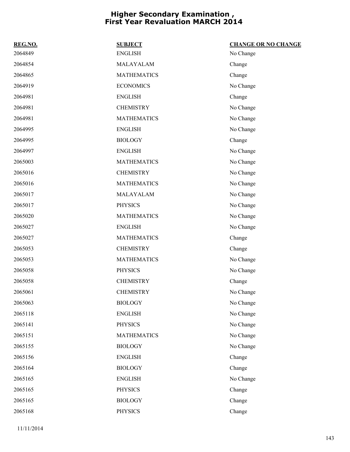| REG.NO. | <b>SUBJECT</b>     | <b>CHANGE OR NO CHANGE</b> |
|---------|--------------------|----------------------------|
| 2064849 | <b>ENGLISH</b>     | No Change                  |
| 2064854 | MALAYALAM          | Change                     |
| 2064865 | <b>MATHEMATICS</b> | Change                     |
| 2064919 | <b>ECONOMICS</b>   | No Change                  |
| 2064981 | <b>ENGLISH</b>     | Change                     |
| 2064981 | <b>CHEMISTRY</b>   | No Change                  |
| 2064981 | <b>MATHEMATICS</b> | No Change                  |
| 2064995 | <b>ENGLISH</b>     | No Change                  |
| 2064995 | <b>BIOLOGY</b>     | Change                     |
| 2064997 | <b>ENGLISH</b>     | No Change                  |
| 2065003 | <b>MATHEMATICS</b> | No Change                  |
| 2065016 | <b>CHEMISTRY</b>   | No Change                  |
| 2065016 | <b>MATHEMATICS</b> | No Change                  |
| 2065017 | MALAYALAM          | No Change                  |
| 2065017 | <b>PHYSICS</b>     | No Change                  |
| 2065020 | <b>MATHEMATICS</b> | No Change                  |
| 2065027 | <b>ENGLISH</b>     | No Change                  |
| 2065027 | <b>MATHEMATICS</b> | Change                     |
| 2065053 | <b>CHEMISTRY</b>   | Change                     |
| 2065053 | <b>MATHEMATICS</b> | No Change                  |
| 2065058 | <b>PHYSICS</b>     | No Change                  |
| 2065058 | <b>CHEMISTRY</b>   | Change                     |
| 2065061 | <b>CHEMISTRY</b>   | No Change                  |
| 2065063 | <b>BIOLOGY</b>     | No Change                  |
| 2065118 | <b>ENGLISH</b>     | No Change                  |
| 2065141 | <b>PHYSICS</b>     | No Change                  |
| 2065151 | <b>MATHEMATICS</b> | No Change                  |
| 2065155 | <b>BIOLOGY</b>     | No Change                  |
| 2065156 | <b>ENGLISH</b>     | Change                     |
| 2065164 | <b>BIOLOGY</b>     | Change                     |
| 2065165 | <b>ENGLISH</b>     | No Change                  |
| 2065165 | <b>PHYSICS</b>     | Change                     |
| 2065165 | <b>BIOLOGY</b>     | Change                     |
| 2065168 | <b>PHYSICS</b>     | Change                     |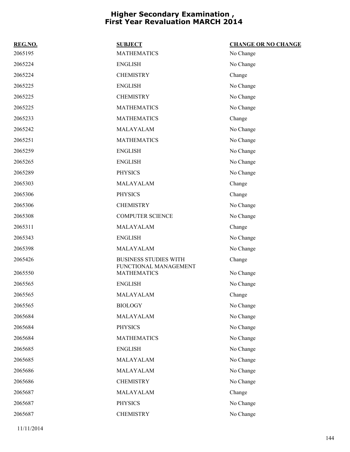| REG.NO. | <b>SUBJECT</b>                              | <b>CHANGE OR NO CHANGE</b> |
|---------|---------------------------------------------|----------------------------|
| 2065195 | <b>MATHEMATICS</b>                          | No Change                  |
| 2065224 | <b>ENGLISH</b>                              | No Change                  |
| 2065224 | <b>CHEMISTRY</b>                            | Change                     |
| 2065225 | <b>ENGLISH</b>                              | No Change                  |
| 2065225 | <b>CHEMISTRY</b>                            | No Change                  |
| 2065225 | <b>MATHEMATICS</b>                          | No Change                  |
| 2065233 | <b>MATHEMATICS</b>                          | Change                     |
| 2065242 | MALAYALAM                                   | No Change                  |
| 2065251 | <b>MATHEMATICS</b>                          | No Change                  |
| 2065259 | <b>ENGLISH</b>                              | No Change                  |
| 2065265 | <b>ENGLISH</b>                              | No Change                  |
| 2065289 | <b>PHYSICS</b>                              | No Change                  |
| 2065303 | MALAYALAM                                   | Change                     |
| 2065306 | <b>PHYSICS</b>                              | Change                     |
| 2065306 | <b>CHEMISTRY</b>                            | No Change                  |
| 2065308 | <b>COMPUTER SCIENCE</b>                     | No Change                  |
| 2065311 | MALAYALAM                                   | Change                     |
| 2065343 | <b>ENGLISH</b>                              | No Change                  |
| 2065398 | MALAYALAM                                   | No Change                  |
| 2065426 | <b>BUSINESS STUDIES WITH</b>                | Change                     |
| 2065550 | FUNCTIONAL MANAGEMENT<br><b>MATHEMATICS</b> | No Change                  |
| 2065565 | <b>ENGLISH</b>                              | No Change                  |
| 2065565 | MALAYALAM                                   | Change                     |
| 2065565 | <b>BIOLOGY</b>                              | No Change                  |
| 2065684 | MALAYALAM                                   | No Change                  |
| 2065684 | <b>PHYSICS</b>                              | No Change                  |
| 2065684 | <b>MATHEMATICS</b>                          | No Change                  |
| 2065685 | <b>ENGLISH</b>                              | No Change                  |
| 2065685 | MALAYALAM                                   | No Change                  |
| 2065686 | MALAYALAM                                   | No Change                  |
| 2065686 | <b>CHEMISTRY</b>                            | No Change                  |
| 2065687 | MALAYALAM                                   | Change                     |
| 2065687 | <b>PHYSICS</b>                              | No Change                  |
| 2065687 | <b>CHEMISTRY</b>                            | No Change                  |
|         |                                             |                            |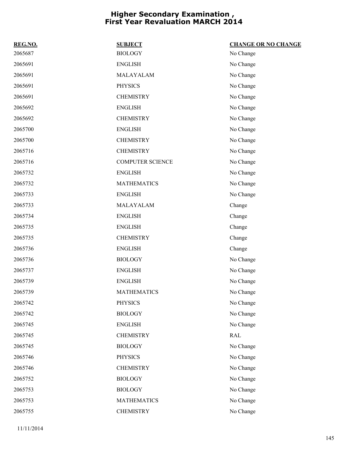| REG.NO. | <b>SUBJECT</b>          | <b>CHANGE OR NO CHANGE</b> |
|---------|-------------------------|----------------------------|
| 2065687 | <b>BIOLOGY</b>          | No Change                  |
| 2065691 | <b>ENGLISH</b>          | No Change                  |
| 2065691 | MALAYALAM               | No Change                  |
| 2065691 | <b>PHYSICS</b>          | No Change                  |
| 2065691 | <b>CHEMISTRY</b>        | No Change                  |
| 2065692 | <b>ENGLISH</b>          | No Change                  |
| 2065692 | <b>CHEMISTRY</b>        | No Change                  |
| 2065700 | <b>ENGLISH</b>          | No Change                  |
| 2065700 | <b>CHEMISTRY</b>        | No Change                  |
| 2065716 | <b>CHEMISTRY</b>        | No Change                  |
| 2065716 | <b>COMPUTER SCIENCE</b> | No Change                  |
| 2065732 | <b>ENGLISH</b>          | No Change                  |
| 2065732 | <b>MATHEMATICS</b>      | No Change                  |
| 2065733 | <b>ENGLISH</b>          | No Change                  |
| 2065733 | MALAYALAM               | Change                     |
| 2065734 | <b>ENGLISH</b>          | Change                     |
| 2065735 | <b>ENGLISH</b>          | Change                     |
| 2065735 | <b>CHEMISTRY</b>        | Change                     |
| 2065736 | <b>ENGLISH</b>          | Change                     |
| 2065736 | <b>BIOLOGY</b>          | No Change                  |
| 2065737 | <b>ENGLISH</b>          | No Change                  |
| 2065739 | <b>ENGLISH</b>          | No Change                  |
| 2065739 | <b>MATHEMATICS</b>      | No Change                  |
| 2065742 | <b>PHYSICS</b>          | No Change                  |
| 2065742 | <b>BIOLOGY</b>          | No Change                  |
| 2065745 | <b>ENGLISH</b>          | No Change                  |
| 2065745 | <b>CHEMISTRY</b>        | <b>RAL</b>                 |
| 2065745 | <b>BIOLOGY</b>          | No Change                  |
| 2065746 | <b>PHYSICS</b>          | No Change                  |
| 2065746 | <b>CHEMISTRY</b>        | No Change                  |
| 2065752 | <b>BIOLOGY</b>          | No Change                  |
| 2065753 | <b>BIOLOGY</b>          | No Change                  |
| 2065753 | <b>MATHEMATICS</b>      | No Change                  |
| 2065755 | <b>CHEMISTRY</b>        | No Change                  |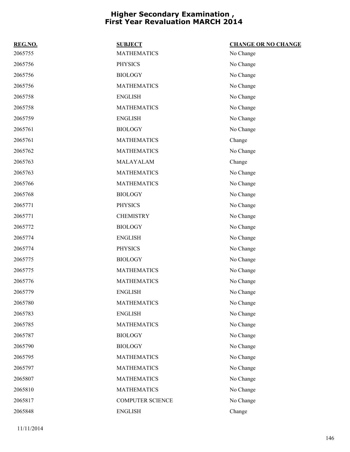| REG.NO. | <b>SUBJECT</b>          | <b>CHANGE OR NO CHANGE</b> |
|---------|-------------------------|----------------------------|
| 2065755 | <b>MATHEMATICS</b>      | No Change                  |
| 2065756 | <b>PHYSICS</b>          | No Change                  |
| 2065756 | <b>BIOLOGY</b>          | No Change                  |
| 2065756 | <b>MATHEMATICS</b>      | No Change                  |
| 2065758 | <b>ENGLISH</b>          | No Change                  |
| 2065758 | <b>MATHEMATICS</b>      | No Change                  |
| 2065759 | <b>ENGLISH</b>          | No Change                  |
| 2065761 | <b>BIOLOGY</b>          | No Change                  |
| 2065761 | <b>MATHEMATICS</b>      | Change                     |
| 2065762 | <b>MATHEMATICS</b>      | No Change                  |
| 2065763 | MALAYALAM               | Change                     |
| 2065763 | <b>MATHEMATICS</b>      | No Change                  |
| 2065766 | <b>MATHEMATICS</b>      | No Change                  |
| 2065768 | <b>BIOLOGY</b>          | No Change                  |
| 2065771 | <b>PHYSICS</b>          | No Change                  |
| 2065771 | <b>CHEMISTRY</b>        | No Change                  |
| 2065772 | <b>BIOLOGY</b>          | No Change                  |
| 2065774 | <b>ENGLISH</b>          | No Change                  |
| 2065774 | <b>PHYSICS</b>          | No Change                  |
| 2065775 | <b>BIOLOGY</b>          | No Change                  |
| 2065775 | <b>MATHEMATICS</b>      | No Change                  |
| 2065776 | <b>MATHEMATICS</b>      | No Change                  |
| 2065779 | <b>ENGLISH</b>          | No Change                  |
| 2065780 | <b>MATHEMATICS</b>      | No Change                  |
| 2065783 | <b>ENGLISH</b>          | No Change                  |
| 2065785 | <b>MATHEMATICS</b>      | No Change                  |
| 2065787 | <b>BIOLOGY</b>          | No Change                  |
| 2065790 | <b>BIOLOGY</b>          | No Change                  |
| 2065795 | <b>MATHEMATICS</b>      | No Change                  |
| 2065797 | <b>MATHEMATICS</b>      | No Change                  |
| 2065807 | <b>MATHEMATICS</b>      | No Change                  |
| 2065810 | <b>MATHEMATICS</b>      | No Change                  |
| 2065817 | <b>COMPUTER SCIENCE</b> | No Change                  |
| 2065848 | <b>ENGLISH</b>          | Change                     |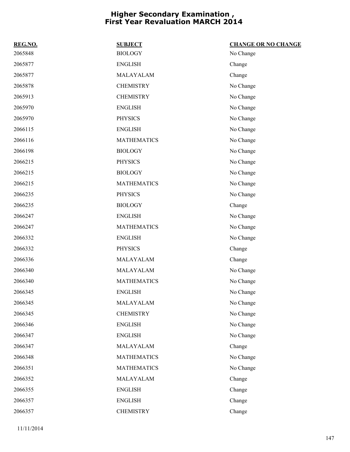| REG.NO. | <b>SUBJECT</b>     | <b>CHANGE OR NO CHANGE</b> |
|---------|--------------------|----------------------------|
| 2065848 | <b>BIOLOGY</b>     | No Change                  |
| 2065877 | <b>ENGLISH</b>     | Change                     |
| 2065877 | MALAYALAM          | Change                     |
| 2065878 | <b>CHEMISTRY</b>   | No Change                  |
| 2065913 | <b>CHEMISTRY</b>   | No Change                  |
| 2065970 | <b>ENGLISH</b>     | No Change                  |
| 2065970 | <b>PHYSICS</b>     | No Change                  |
| 2066115 | <b>ENGLISH</b>     | No Change                  |
| 2066116 | <b>MATHEMATICS</b> | No Change                  |
| 2066198 | <b>BIOLOGY</b>     | No Change                  |
| 2066215 | <b>PHYSICS</b>     | No Change                  |
| 2066215 | <b>BIOLOGY</b>     | No Change                  |
| 2066215 | <b>MATHEMATICS</b> | No Change                  |
| 2066235 | <b>PHYSICS</b>     | No Change                  |
| 2066235 | <b>BIOLOGY</b>     | Change                     |
| 2066247 | <b>ENGLISH</b>     | No Change                  |
| 2066247 | <b>MATHEMATICS</b> | No Change                  |
| 2066332 | <b>ENGLISH</b>     | No Change                  |
| 2066332 | <b>PHYSICS</b>     | Change                     |
| 2066336 | MALAYALAM          | Change                     |
| 2066340 | MALAYALAM          | No Change                  |
| 2066340 | <b>MATHEMATICS</b> | No Change                  |
| 2066345 | <b>ENGLISH</b>     | No Change                  |
| 2066345 | MALAYALAM          | No Change                  |
| 2066345 | <b>CHEMISTRY</b>   | No Change                  |
| 2066346 | <b>ENGLISH</b>     | No Change                  |
| 2066347 | <b>ENGLISH</b>     | No Change                  |
| 2066347 | MALAYALAM          | Change                     |
| 2066348 | <b>MATHEMATICS</b> | No Change                  |
| 2066351 | <b>MATHEMATICS</b> | No Change                  |
| 2066352 | MALAYALAM          | Change                     |
| 2066355 | <b>ENGLISH</b>     | Change                     |
| 2066357 | <b>ENGLISH</b>     | Change                     |
| 2066357 | <b>CHEMISTRY</b>   | Change                     |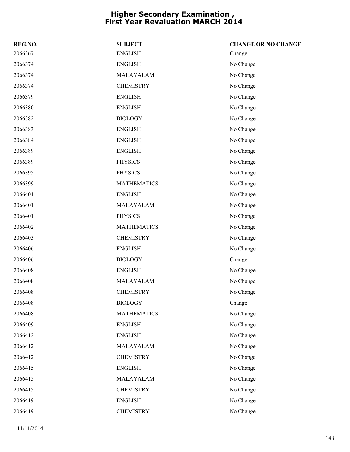| REG.NO. | <b>SUBJECT</b>     | <b>CHANGE OR NO CHANGE</b> |
|---------|--------------------|----------------------------|
| 2066367 | <b>ENGLISH</b>     | Change                     |
| 2066374 | <b>ENGLISH</b>     | No Change                  |
| 2066374 | MALAYALAM          | No Change                  |
| 2066374 | <b>CHEMISTRY</b>   | No Change                  |
| 2066379 | <b>ENGLISH</b>     | No Change                  |
| 2066380 | <b>ENGLISH</b>     | No Change                  |
| 2066382 | <b>BIOLOGY</b>     | No Change                  |
| 2066383 | <b>ENGLISH</b>     | No Change                  |
| 2066384 | <b>ENGLISH</b>     | No Change                  |
| 2066389 | <b>ENGLISH</b>     | No Change                  |
| 2066389 | <b>PHYSICS</b>     | No Change                  |
| 2066395 | <b>PHYSICS</b>     | No Change                  |
| 2066399 | <b>MATHEMATICS</b> | No Change                  |
| 2066401 | <b>ENGLISH</b>     | No Change                  |
| 2066401 | MALAYALAM          | No Change                  |
| 2066401 | <b>PHYSICS</b>     | No Change                  |
| 2066402 | <b>MATHEMATICS</b> | No Change                  |
| 2066403 | <b>CHEMISTRY</b>   | No Change                  |
| 2066406 | <b>ENGLISH</b>     | No Change                  |
| 2066406 | <b>BIOLOGY</b>     | Change                     |
| 2066408 | <b>ENGLISH</b>     | No Change                  |
| 2066408 | MALAYALAM          | No Change                  |
| 2066408 | <b>CHEMISTRY</b>   | No Change                  |
| 2066408 | <b>BIOLOGY</b>     | Change                     |
| 2066408 | <b>MATHEMATICS</b> | No Change                  |
| 2066409 | <b>ENGLISH</b>     | No Change                  |
| 2066412 | <b>ENGLISH</b>     | No Change                  |
| 2066412 | MALAYALAM          | No Change                  |
| 2066412 | <b>CHEMISTRY</b>   | No Change                  |
| 2066415 | <b>ENGLISH</b>     | No Change                  |
| 2066415 | MALAYALAM          | No Change                  |
| 2066415 | <b>CHEMISTRY</b>   | No Change                  |
| 2066419 | <b>ENGLISH</b>     | No Change                  |
| 2066419 | <b>CHEMISTRY</b>   | No Change                  |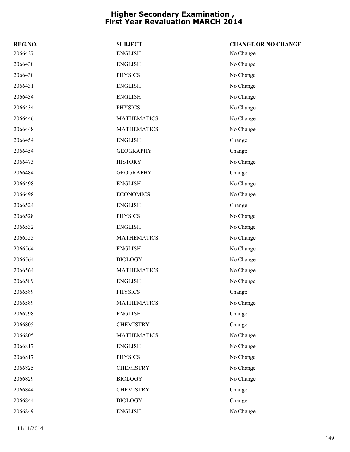| REG.NO. | <b>SUBJECT</b>     | <b>CHANGE OR NO CHANGE</b> |
|---------|--------------------|----------------------------|
| 2066427 | <b>ENGLISH</b>     | No Change                  |
| 2066430 | <b>ENGLISH</b>     | No Change                  |
| 2066430 | <b>PHYSICS</b>     | No Change                  |
| 2066431 | <b>ENGLISH</b>     | No Change                  |
| 2066434 | <b>ENGLISH</b>     | No Change                  |
| 2066434 | <b>PHYSICS</b>     | No Change                  |
| 2066446 | <b>MATHEMATICS</b> | No Change                  |
| 2066448 | <b>MATHEMATICS</b> | No Change                  |
| 2066454 | <b>ENGLISH</b>     | Change                     |
| 2066454 | <b>GEOGRAPHY</b>   | Change                     |
| 2066473 | <b>HISTORY</b>     | No Change                  |
| 2066484 | <b>GEOGRAPHY</b>   | Change                     |
| 2066498 | <b>ENGLISH</b>     | No Change                  |
| 2066498 | <b>ECONOMICS</b>   | No Change                  |
| 2066524 | <b>ENGLISH</b>     | Change                     |
| 2066528 | <b>PHYSICS</b>     | No Change                  |
| 2066532 | <b>ENGLISH</b>     | No Change                  |
| 2066555 | <b>MATHEMATICS</b> | No Change                  |
| 2066564 | <b>ENGLISH</b>     | No Change                  |
| 2066564 | <b>BIOLOGY</b>     | No Change                  |
| 2066564 | <b>MATHEMATICS</b> | No Change                  |
| 2066589 | <b>ENGLISH</b>     | No Change                  |
| 2066589 | <b>PHYSICS</b>     | Change                     |
| 2066589 | <b>MATHEMATICS</b> | No Change                  |
| 2066798 | <b>ENGLISH</b>     | Change                     |
| 2066805 | <b>CHEMISTRY</b>   | Change                     |
| 2066805 | <b>MATHEMATICS</b> | No Change                  |
| 2066817 | <b>ENGLISH</b>     | No Change                  |
| 2066817 | <b>PHYSICS</b>     | No Change                  |
| 2066825 | <b>CHEMISTRY</b>   | No Change                  |
| 2066829 | <b>BIOLOGY</b>     | No Change                  |
| 2066844 | <b>CHEMISTRY</b>   | Change                     |
| 2066844 | <b>BIOLOGY</b>     | Change                     |
| 2066849 | <b>ENGLISH</b>     | No Change                  |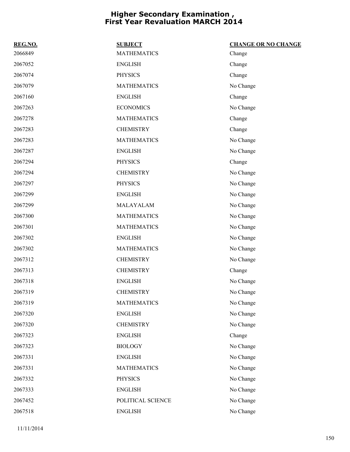| REG.NO. | <b>SUBJECT</b>     | <b>CHANGE OR NO CHANGE</b> |
|---------|--------------------|----------------------------|
| 2066849 | <b>MATHEMATICS</b> | Change                     |
| 2067052 | <b>ENGLISH</b>     | Change                     |
| 2067074 | <b>PHYSICS</b>     | Change                     |
| 2067079 | <b>MATHEMATICS</b> | No Change                  |
| 2067160 | <b>ENGLISH</b>     | Change                     |
| 2067263 | <b>ECONOMICS</b>   | No Change                  |
| 2067278 | <b>MATHEMATICS</b> | Change                     |
| 2067283 | <b>CHEMISTRY</b>   | Change                     |
| 2067283 | <b>MATHEMATICS</b> | No Change                  |
| 2067287 | <b>ENGLISH</b>     | No Change                  |
| 2067294 | <b>PHYSICS</b>     | Change                     |
| 2067294 | <b>CHEMISTRY</b>   | No Change                  |
| 2067297 | <b>PHYSICS</b>     | No Change                  |
| 2067299 | <b>ENGLISH</b>     | No Change                  |
| 2067299 | MALAYALAM          | No Change                  |
| 2067300 | <b>MATHEMATICS</b> | No Change                  |
| 2067301 | <b>MATHEMATICS</b> | No Change                  |
| 2067302 | <b>ENGLISH</b>     | No Change                  |
| 2067302 | <b>MATHEMATICS</b> | No Change                  |
| 2067312 | <b>CHEMISTRY</b>   | No Change                  |
| 2067313 | <b>CHEMISTRY</b>   | Change                     |
| 2067318 | <b>ENGLISH</b>     | No Change                  |
| 2067319 | <b>CHEMISTRY</b>   | No Change                  |
| 2067319 | <b>MATHEMATICS</b> | No Change                  |
| 2067320 | <b>ENGLISH</b>     | No Change                  |
| 2067320 | <b>CHEMISTRY</b>   | No Change                  |
| 2067323 | <b>ENGLISH</b>     | Change                     |
| 2067323 | <b>BIOLOGY</b>     | No Change                  |
| 2067331 | <b>ENGLISH</b>     | No Change                  |
| 2067331 | <b>MATHEMATICS</b> | No Change                  |
| 2067332 | <b>PHYSICS</b>     | No Change                  |
| 2067333 | <b>ENGLISH</b>     | No Change                  |
| 2067452 | POLITICAL SCIENCE  | No Change                  |
| 2067518 | <b>ENGLISH</b>     | No Change                  |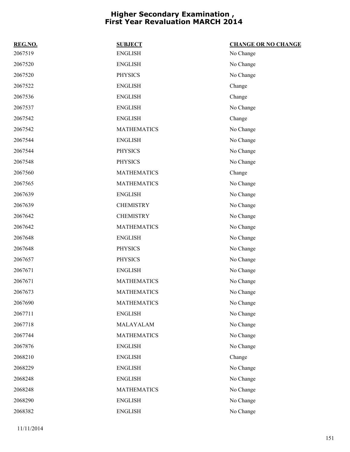| REG.NO. | <b>SUBJECT</b>     | <b>CHANGE OR NO CHANGE</b> |
|---------|--------------------|----------------------------|
| 2067519 | <b>ENGLISH</b>     | No Change                  |
| 2067520 | <b>ENGLISH</b>     | No Change                  |
| 2067520 | <b>PHYSICS</b>     | No Change                  |
| 2067522 | <b>ENGLISH</b>     | Change                     |
| 2067536 | <b>ENGLISH</b>     | Change                     |
| 2067537 | <b>ENGLISH</b>     | No Change                  |
| 2067542 | <b>ENGLISH</b>     | Change                     |
| 2067542 | <b>MATHEMATICS</b> | No Change                  |
| 2067544 | <b>ENGLISH</b>     | No Change                  |
| 2067544 | <b>PHYSICS</b>     | No Change                  |
| 2067548 | <b>PHYSICS</b>     | No Change                  |
| 2067560 | <b>MATHEMATICS</b> | Change                     |
| 2067565 | <b>MATHEMATICS</b> | No Change                  |
| 2067639 | <b>ENGLISH</b>     | No Change                  |
| 2067639 | <b>CHEMISTRY</b>   | No Change                  |
| 2067642 | <b>CHEMISTRY</b>   | No Change                  |
| 2067642 | <b>MATHEMATICS</b> | No Change                  |
| 2067648 | <b>ENGLISH</b>     | No Change                  |
| 2067648 | <b>PHYSICS</b>     | No Change                  |
| 2067657 | <b>PHYSICS</b>     | No Change                  |
| 2067671 | <b>ENGLISH</b>     | No Change                  |
| 2067671 | <b>MATHEMATICS</b> | No Change                  |
| 2067673 | <b>MATHEMATICS</b> | No Change                  |
| 2067690 | <b>MATHEMATICS</b> | No Change                  |
| 2067711 | <b>ENGLISH</b>     | No Change                  |
| 2067718 | MALAYALAM          | No Change                  |
| 2067744 | <b>MATHEMATICS</b> | No Change                  |
| 2067876 | <b>ENGLISH</b>     | No Change                  |
| 2068210 | <b>ENGLISH</b>     | Change                     |
| 2068229 | <b>ENGLISH</b>     | No Change                  |
| 2068248 | <b>ENGLISH</b>     | No Change                  |
| 2068248 | <b>MATHEMATICS</b> | No Change                  |
| 2068290 | <b>ENGLISH</b>     | No Change                  |
| 2068382 | <b>ENGLISH</b>     | No Change                  |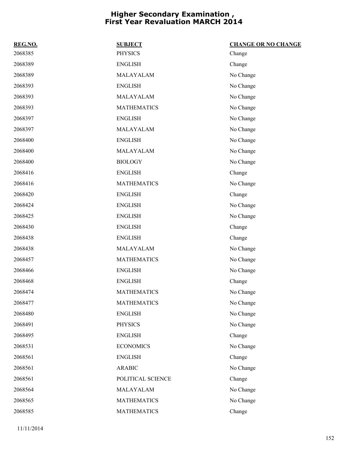| REG.NO. | <b>SUBJECT</b>     | <b>CHANGE OR NO CHANGE</b> |
|---------|--------------------|----------------------------|
| 2068385 | <b>PHYSICS</b>     | Change                     |
| 2068389 | <b>ENGLISH</b>     | Change                     |
| 2068389 | MALAYALAM          | No Change                  |
| 2068393 | <b>ENGLISH</b>     | No Change                  |
| 2068393 | MALAYALAM          | No Change                  |
| 2068393 | <b>MATHEMATICS</b> | No Change                  |
| 2068397 | <b>ENGLISH</b>     | No Change                  |
| 2068397 | MALAYALAM          | No Change                  |
| 2068400 | <b>ENGLISH</b>     | No Change                  |
| 2068400 | MALAYALAM          | No Change                  |
| 2068400 | <b>BIOLOGY</b>     | No Change                  |
| 2068416 | <b>ENGLISH</b>     | Change                     |
| 2068416 | <b>MATHEMATICS</b> | No Change                  |
| 2068420 | <b>ENGLISH</b>     | Change                     |
| 2068424 | <b>ENGLISH</b>     | No Change                  |
| 2068425 | <b>ENGLISH</b>     | No Change                  |
| 2068430 | <b>ENGLISH</b>     | Change                     |
| 2068438 | <b>ENGLISH</b>     | Change                     |
| 2068438 | MALAYALAM          | No Change                  |
| 2068457 | <b>MATHEMATICS</b> | No Change                  |
| 2068466 | <b>ENGLISH</b>     | No Change                  |
| 2068468 | <b>ENGLISH</b>     | Change                     |
| 2068474 | <b>MATHEMATICS</b> | No Change                  |
| 2068477 | <b>MATHEMATICS</b> | No Change                  |
| 2068480 | <b>ENGLISH</b>     | No Change                  |
| 2068491 | <b>PHYSICS</b>     | No Change                  |
| 2068495 | <b>ENGLISH</b>     | Change                     |
| 2068531 | <b>ECONOMICS</b>   | No Change                  |
| 2068561 | <b>ENGLISH</b>     | Change                     |
| 2068561 | <b>ARABIC</b>      | No Change                  |
| 2068561 | POLITICAL SCIENCE  | Change                     |
| 2068564 | MALAYALAM          | No Change                  |
| 2068565 | <b>MATHEMATICS</b> | No Change                  |
| 2068585 | <b>MATHEMATICS</b> | Change                     |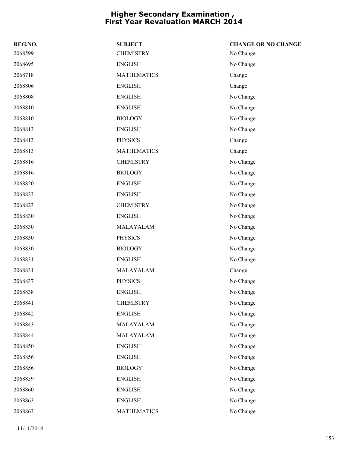| REG.NO. | <b>SUBJECT</b>     | <b>CHANGE OR NO CHANGE</b> |
|---------|--------------------|----------------------------|
| 2068599 | <b>CHEMISTRY</b>   | No Change                  |
| 2068695 | <b>ENGLISH</b>     | No Change                  |
| 2068718 | <b>MATHEMATICS</b> | Change                     |
| 2068806 | <b>ENGLISH</b>     | Change                     |
| 2068808 | <b>ENGLISH</b>     | No Change                  |
| 2068810 | <b>ENGLISH</b>     | No Change                  |
| 2068810 | <b>BIOLOGY</b>     | No Change                  |
| 2068813 | <b>ENGLISH</b>     | No Change                  |
| 2068813 | <b>PHYSICS</b>     | Change                     |
| 2068813 | <b>MATHEMATICS</b> | Change                     |
| 2068816 | <b>CHEMISTRY</b>   | No Change                  |
| 2068816 | <b>BIOLOGY</b>     | No Change                  |
| 2068820 | <b>ENGLISH</b>     | No Change                  |
| 2068823 | <b>ENGLISH</b>     | No Change                  |
| 2068823 | <b>CHEMISTRY</b>   | No Change                  |
| 2068830 | <b>ENGLISH</b>     | No Change                  |
| 2068830 | MALAYALAM          | No Change                  |
| 2068830 | <b>PHYSICS</b>     | No Change                  |
| 2068830 | <b>BIOLOGY</b>     | No Change                  |
| 2068831 | <b>ENGLISH</b>     | No Change                  |
| 2068831 | MALAYALAM          | Change                     |
| 2068837 | <b>PHYSICS</b>     | No Change                  |
| 2068838 | <b>ENGLISH</b>     | No Change                  |
| 2068841 | <b>CHEMISTRY</b>   | No Change                  |
| 2068842 | <b>ENGLISH</b>     | No Change                  |
| 2068843 | MALAYALAM          | No Change                  |
| 2068844 | MALAYALAM          | No Change                  |
| 2068850 | <b>ENGLISH</b>     | No Change                  |
| 2068856 | <b>ENGLISH</b>     | No Change                  |
| 2068856 | <b>BIOLOGY</b>     | No Change                  |
| 2068859 | <b>ENGLISH</b>     | No Change                  |
| 2068860 | <b>ENGLISH</b>     | No Change                  |
| 2068863 | <b>ENGLISH</b>     | No Change                  |
| 2068863 | <b>MATHEMATICS</b> | No Change                  |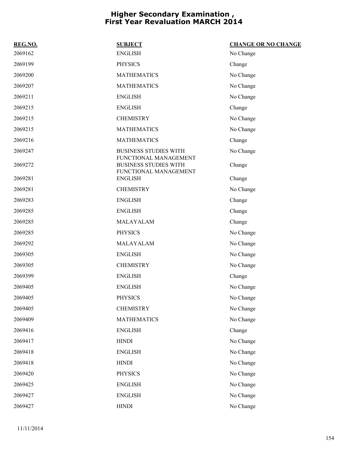| REG.NO. | <b>SUBJECT</b>                                                                 | <b>CHANGE OR NO CHANGE</b> |
|---------|--------------------------------------------------------------------------------|----------------------------|
| 2069162 | <b>ENGLISH</b>                                                                 | No Change                  |
| 2069199 | <b>PHYSICS</b>                                                                 | Change                     |
| 2069200 | <b>MATHEMATICS</b>                                                             | No Change                  |
| 2069207 | <b>MATHEMATICS</b>                                                             | No Change                  |
| 2069211 | <b>ENGLISH</b>                                                                 | No Change                  |
| 2069215 | <b>ENGLISH</b>                                                                 | Change                     |
| 2069215 | <b>CHEMISTRY</b>                                                               | No Change                  |
| 2069215 | <b>MATHEMATICS</b>                                                             | No Change                  |
| 2069216 | <b>MATHEMATICS</b>                                                             | Change                     |
| 2069247 | <b>BUSINESS STUDIES WITH</b>                                                   | No Change                  |
| 2069272 | FUNCTIONAL MANAGEMENT<br><b>BUSINESS STUDIES WITH</b><br>FUNCTIONAL MANAGEMENT | Change                     |
| 2069281 | <b>ENGLISH</b>                                                                 | Change                     |
| 2069281 | <b>CHEMISTRY</b>                                                               | No Change                  |
| 2069283 | <b>ENGLISH</b>                                                                 | Change                     |
| 2069285 | <b>ENGLISH</b>                                                                 | Change                     |
| 2069285 | MALAYALAM                                                                      | Change                     |
| 2069285 | <b>PHYSICS</b>                                                                 | No Change                  |
| 2069292 | MALAYALAM                                                                      | No Change                  |
| 2069305 | <b>ENGLISH</b>                                                                 | No Change                  |
| 2069305 | <b>CHEMISTRY</b>                                                               | No Change                  |
| 2069399 | <b>ENGLISH</b>                                                                 | Change                     |
| 2069405 | <b>ENGLISH</b>                                                                 | No Change                  |
| 2069405 | <b>PHYSICS</b>                                                                 | No Change                  |
| 2069405 | <b>CHEMISTRY</b>                                                               | No Change                  |
| 2069409 | <b>MATHEMATICS</b>                                                             | No Change                  |
| 2069416 | <b>ENGLISH</b>                                                                 | Change                     |
| 2069417 | <b>HINDI</b>                                                                   | No Change                  |
| 2069418 | <b>ENGLISH</b>                                                                 | No Change                  |
| 2069418 | <b>HINDI</b>                                                                   | No Change                  |
| 2069420 | <b>PHYSICS</b>                                                                 | No Change                  |
| 2069425 | <b>ENGLISH</b>                                                                 | No Change                  |
| 2069427 | <b>ENGLISH</b>                                                                 | No Change                  |
| 2069427 | <b>HINDI</b>                                                                   | No Change                  |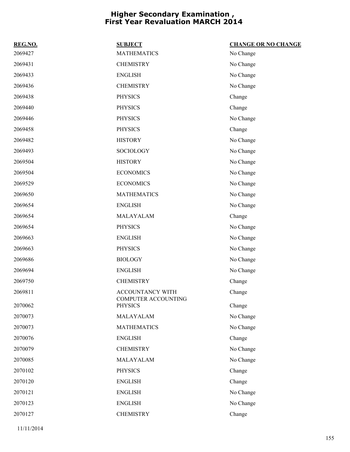| REG.NO. | <b>SUBJECT</b>                          | <b>CHANGE OR NO CHANGE</b> |
|---------|-----------------------------------------|----------------------------|
| 2069427 | <b>MATHEMATICS</b>                      | No Change                  |
| 2069431 | <b>CHEMISTRY</b>                        | No Change                  |
| 2069433 | <b>ENGLISH</b>                          | No Change                  |
| 2069436 | <b>CHEMISTRY</b>                        | No Change                  |
| 2069438 | <b>PHYSICS</b>                          | Change                     |
| 2069440 | <b>PHYSICS</b>                          | Change                     |
| 2069446 | <b>PHYSICS</b>                          | No Change                  |
| 2069458 | <b>PHYSICS</b>                          | Change                     |
| 2069482 | <b>HISTORY</b>                          | No Change                  |
| 2069493 | <b>SOCIOLOGY</b>                        | No Change                  |
| 2069504 | <b>HISTORY</b>                          | No Change                  |
| 2069504 | <b>ECONOMICS</b>                        | No Change                  |
| 2069529 | <b>ECONOMICS</b>                        | No Change                  |
| 2069650 | <b>MATHEMATICS</b>                      | No Change                  |
| 2069654 | <b>ENGLISH</b>                          | No Change                  |
| 2069654 | MALAYALAM                               | Change                     |
| 2069654 | <b>PHYSICS</b>                          | No Change                  |
| 2069663 | <b>ENGLISH</b>                          | No Change                  |
| 2069663 | <b>PHYSICS</b>                          | No Change                  |
| 2069686 | <b>BIOLOGY</b>                          | No Change                  |
| 2069694 | <b>ENGLISH</b>                          | No Change                  |
| 2069750 | <b>CHEMISTRY</b>                        | Change                     |
| 2069811 | ACCOUNTANCY WITH<br>COMPUTER ACCOUNTING | Change                     |
| 2070062 | <b>PHYSICS</b>                          | Change                     |
| 2070073 | MALAYALAM                               | No Change                  |
| 2070073 | <b>MATHEMATICS</b>                      | No Change                  |
| 2070076 | <b>ENGLISH</b>                          | Change                     |
| 2070079 | <b>CHEMISTRY</b>                        | No Change                  |
| 2070085 | MALAYALAM                               | No Change                  |
| 2070102 | <b>PHYSICS</b>                          | Change                     |
| 2070120 | <b>ENGLISH</b>                          | Change                     |
| 2070121 | <b>ENGLISH</b>                          | No Change                  |
| 2070123 | <b>ENGLISH</b>                          | No Change                  |
| 2070127 | <b>CHEMISTRY</b>                        | Change                     |
|         |                                         |                            |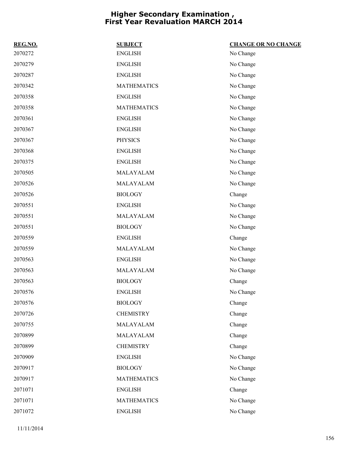| REG.NO. | <b>SUBJECT</b>     | <b>CHANGE OR NO CHANGE</b> |
|---------|--------------------|----------------------------|
| 2070272 | ${\rm ENGLISH}$    | No Change                  |
| 2070279 | <b>ENGLISH</b>     | No Change                  |
| 2070287 | <b>ENGLISH</b>     | No Change                  |
| 2070342 | <b>MATHEMATICS</b> | No Change                  |
| 2070358 | <b>ENGLISH</b>     | No Change                  |
| 2070358 | <b>MATHEMATICS</b> | No Change                  |
| 2070361 | <b>ENGLISH</b>     | No Change                  |
| 2070367 | <b>ENGLISH</b>     | No Change                  |
| 2070367 | <b>PHYSICS</b>     | No Change                  |
| 2070368 | <b>ENGLISH</b>     | No Change                  |
| 2070375 | <b>ENGLISH</b>     | No Change                  |
| 2070505 | MALAYALAM          | No Change                  |
| 2070526 | MALAYALAM          | No Change                  |
| 2070526 | <b>BIOLOGY</b>     | Change                     |
| 2070551 | <b>ENGLISH</b>     | No Change                  |
| 2070551 | MALAYALAM          | No Change                  |
| 2070551 | <b>BIOLOGY</b>     | No Change                  |
| 2070559 | <b>ENGLISH</b>     | Change                     |
| 2070559 | MALAYALAM          | No Change                  |
| 2070563 | <b>ENGLISH</b>     | No Change                  |
| 2070563 | MALAYALAM          | No Change                  |
| 2070563 | <b>BIOLOGY</b>     | Change                     |
| 2070576 | <b>ENGLISH</b>     | No Change                  |
| 2070576 | <b>BIOLOGY</b>     | Change                     |
| 2070726 | <b>CHEMISTRY</b>   | Change                     |
| 2070755 | MALAYALAM          | Change                     |
| 2070899 | MALAYALAM          | Change                     |
| 2070899 | <b>CHEMISTRY</b>   | Change                     |
| 2070909 | <b>ENGLISH</b>     | No Change                  |
| 2070917 | <b>BIOLOGY</b>     | No Change                  |
| 2070917 | <b>MATHEMATICS</b> | No Change                  |
| 2071071 | <b>ENGLISH</b>     | Change                     |
| 2071071 | <b>MATHEMATICS</b> | No Change                  |
| 2071072 | <b>ENGLISH</b>     | No Change                  |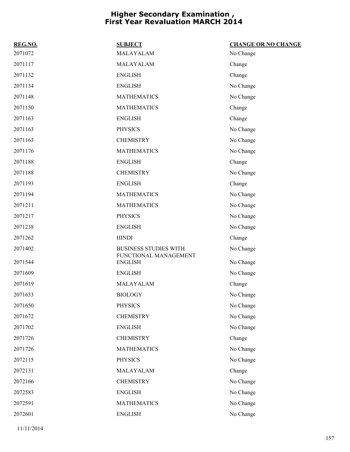| REG.NO. | <b>SUBJECT</b>                          | <b>CHANGE OR NO CHANGE</b> |
|---------|-----------------------------------------|----------------------------|
| 2071072 | MALAYALAM                               | No Change                  |
| 2071117 | MALAYALAM                               | Change                     |
| 2071132 | <b>ENGLISH</b>                          | Change                     |
| 2071134 | <b>ENGLISH</b>                          | No Change                  |
| 2071148 | <b>MATHEMATICS</b>                      | No Change                  |
| 2071150 | <b>MATHEMATICS</b>                      | Change                     |
| 2071163 | <b>ENGLISH</b>                          | Change                     |
| 2071163 | <b>PHYSICS</b>                          | No Change                  |
| 2071163 | <b>CHEMISTRY</b>                        | No Change                  |
| 2071176 | <b>MATHEMATICS</b>                      | No Change                  |
| 2071188 | <b>ENGLISH</b>                          | Change                     |
| 2071188 | <b>CHEMISTRY</b>                        | No Change                  |
| 2071193 | <b>ENGLISH</b>                          | Change                     |
| 2071194 | <b>MATHEMATICS</b>                      | No Change                  |
| 2071211 | <b>MATHEMATICS</b>                      | No Change                  |
| 2071217 | <b>PHYSICS</b>                          | No Change                  |
| 2071238 | <b>ENGLISH</b>                          | No Change                  |
| 2071262 | <b>HINDI</b>                            | Change                     |
| 2071402 | <b>BUSINESS STUDIES WITH</b>            | No Change                  |
| 2071544 | FUNCTIONAL MANAGEMENT<br><b>ENGLISH</b> | No Change                  |
| 2071609 | <b>ENGLISH</b>                          | No Change                  |
| 2071619 | MALAYALAM                               | Change                     |
| 2071633 | <b>BIOLOGY</b>                          | No Change                  |
| 2071650 | <b>PHYSICS</b>                          | No Change                  |
| 2071672 | <b>CHEMISTRY</b>                        | No Change                  |
| 2071702 | <b>ENGLISH</b>                          | No Change                  |
| 2071726 | <b>CHEMISTRY</b>                        | Change                     |
| 2071726 | <b>MATHEMATICS</b>                      | No Change                  |
| 2072115 | <b>PHYSICS</b>                          | No Change                  |
| 2072131 | MALAYALAM                               | Change                     |
| 2072166 | <b>CHEMISTRY</b>                        | No Change                  |
| 2072583 | <b>ENGLISH</b>                          | No Change                  |
| 2072591 | <b>MATHEMATICS</b>                      | No Change                  |
| 2072601 | <b>ENGLISH</b>                          | No Change                  |
|         |                                         |                            |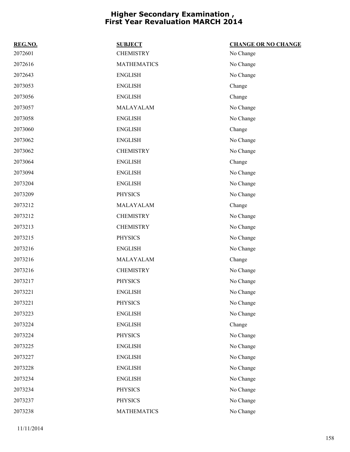| REG.NO. | <b>SUBJECT</b>     | <b>CHANGE OR NO CHANGE</b> |
|---------|--------------------|----------------------------|
| 2072601 | <b>CHEMISTRY</b>   | No Change                  |
| 2072616 | <b>MATHEMATICS</b> | No Change                  |
| 2072643 | <b>ENGLISH</b>     | No Change                  |
| 2073053 | <b>ENGLISH</b>     | Change                     |
| 2073056 | <b>ENGLISH</b>     | Change                     |
| 2073057 | MALAYALAM          | No Change                  |
| 2073058 | <b>ENGLISH</b>     | No Change                  |
| 2073060 | <b>ENGLISH</b>     | Change                     |
| 2073062 | <b>ENGLISH</b>     | No Change                  |
| 2073062 | <b>CHEMISTRY</b>   | No Change                  |
| 2073064 | <b>ENGLISH</b>     | Change                     |
| 2073094 | <b>ENGLISH</b>     | No Change                  |
| 2073204 | <b>ENGLISH</b>     | No Change                  |
| 2073209 | <b>PHYSICS</b>     | No Change                  |
| 2073212 | MALAYALAM          | Change                     |
| 2073212 | <b>CHEMISTRY</b>   | No Change                  |
| 2073213 | <b>CHEMISTRY</b>   | No Change                  |
| 2073215 | <b>PHYSICS</b>     | No Change                  |
| 2073216 | <b>ENGLISH</b>     | No Change                  |
| 2073216 | MALAYALAM          | Change                     |
| 2073216 | <b>CHEMISTRY</b>   | No Change                  |
| 2073217 | <b>PHYSICS</b>     | No Change                  |
| 2073221 | <b>ENGLISH</b>     | No Change                  |
| 2073221 | <b>PHYSICS</b>     | No Change                  |
| 2073223 | <b>ENGLISH</b>     | No Change                  |
| 2073224 | <b>ENGLISH</b>     | Change                     |
| 2073224 | <b>PHYSICS</b>     | No Change                  |
| 2073225 | <b>ENGLISH</b>     | No Change                  |
| 2073227 | <b>ENGLISH</b>     | No Change                  |
| 2073228 | <b>ENGLISH</b>     | No Change                  |
| 2073234 | <b>ENGLISH</b>     | No Change                  |
| 2073234 | <b>PHYSICS</b>     | No Change                  |
| 2073237 | <b>PHYSICS</b>     | No Change                  |
| 2073238 | <b>MATHEMATICS</b> | No Change                  |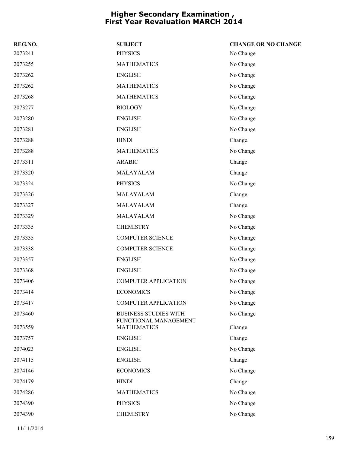| REG.NO. | <b>SUBJECT</b>                              | <b>CHANGE OR NO CHANGE</b> |
|---------|---------------------------------------------|----------------------------|
| 2073241 | <b>PHYSICS</b>                              | No Change                  |
| 2073255 | <b>MATHEMATICS</b>                          | No Change                  |
| 2073262 | <b>ENGLISH</b>                              | No Change                  |
| 2073262 | <b>MATHEMATICS</b>                          | No Change                  |
| 2073268 | <b>MATHEMATICS</b>                          | No Change                  |
| 2073277 | <b>BIOLOGY</b>                              | No Change                  |
| 2073280 | <b>ENGLISH</b>                              | No Change                  |
| 2073281 | <b>ENGLISH</b>                              | No Change                  |
| 2073288 | <b>HINDI</b>                                | Change                     |
| 2073288 | <b>MATHEMATICS</b>                          | No Change                  |
| 2073311 | <b>ARABIC</b>                               | Change                     |
| 2073320 | MALAYALAM                                   | Change                     |
| 2073324 | <b>PHYSICS</b>                              | No Change                  |
| 2073326 | MALAYALAM                                   | Change                     |
| 2073327 | MALAYALAM                                   | Change                     |
| 2073329 | MALAYALAM                                   | No Change                  |
| 2073335 | <b>CHEMISTRY</b>                            | No Change                  |
| 2073335 | <b>COMPUTER SCIENCE</b>                     | No Change                  |
| 2073338 | <b>COMPUTER SCIENCE</b>                     | No Change                  |
| 2073357 | <b>ENGLISH</b>                              | No Change                  |
| 2073368 | <b>ENGLISH</b>                              | No Change                  |
| 2073406 | <b>COMPUTER APPLICATION</b>                 | No Change                  |
| 2073414 | <b>ECONOMICS</b>                            | No Change                  |
| 2073417 | <b>COMPUTER APPLICATION</b>                 | No Change                  |
| 2073460 | <b>BUSINESS STUDIES WITH</b>                | No Change                  |
| 2073559 | FUNCTIONAL MANAGEMENT<br><b>MATHEMATICS</b> | Change                     |
| 2073757 | <b>ENGLISH</b>                              | Change                     |
| 2074023 | <b>ENGLISH</b>                              | No Change                  |
| 2074115 | <b>ENGLISH</b>                              | Change                     |
| 2074146 | <b>ECONOMICS</b>                            | No Change                  |
| 2074179 | <b>HINDI</b>                                | Change                     |
| 2074286 | <b>MATHEMATICS</b>                          | No Change                  |
| 2074390 | <b>PHYSICS</b>                              | No Change                  |
| 2074390 | <b>CHEMISTRY</b>                            | No Change                  |
|         |                                             |                            |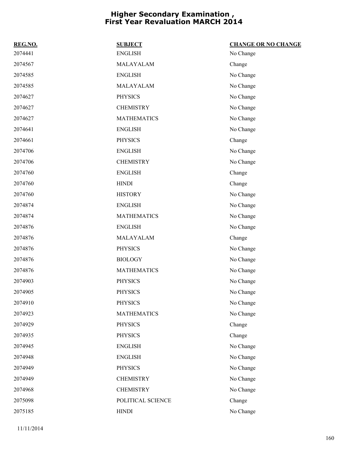| REG.NO. | <b>SUBJECT</b>     | <b>CHANGE OR NO CHANGE</b> |
|---------|--------------------|----------------------------|
| 2074441 | <b>ENGLISH</b>     | No Change                  |
| 2074567 | MALAYALAM          | Change                     |
| 2074585 | <b>ENGLISH</b>     | No Change                  |
| 2074585 | MALAYALAM          | No Change                  |
| 2074627 | <b>PHYSICS</b>     | No Change                  |
| 2074627 | <b>CHEMISTRY</b>   | No Change                  |
| 2074627 | <b>MATHEMATICS</b> | No Change                  |
| 2074641 | <b>ENGLISH</b>     | No Change                  |
| 2074661 | <b>PHYSICS</b>     | Change                     |
| 2074706 | <b>ENGLISH</b>     | No Change                  |
| 2074706 | <b>CHEMISTRY</b>   | No Change                  |
| 2074760 | <b>ENGLISH</b>     | Change                     |
| 2074760 | <b>HINDI</b>       | Change                     |
| 2074760 | <b>HISTORY</b>     | No Change                  |
| 2074874 | <b>ENGLISH</b>     | No Change                  |
| 2074874 | <b>MATHEMATICS</b> | No Change                  |
| 2074876 | <b>ENGLISH</b>     | No Change                  |
| 2074876 | MALAYALAM          | Change                     |
| 2074876 | <b>PHYSICS</b>     | No Change                  |
| 2074876 | <b>BIOLOGY</b>     | No Change                  |
| 2074876 | <b>MATHEMATICS</b> | No Change                  |
| 2074903 | <b>PHYSICS</b>     | No Change                  |
| 2074905 | <b>PHYSICS</b>     | No Change                  |
| 2074910 | <b>PHYSICS</b>     | No Change                  |
| 2074923 | <b>MATHEMATICS</b> | No Change                  |
| 2074929 | <b>PHYSICS</b>     | Change                     |
| 2074935 | <b>PHYSICS</b>     | Change                     |
| 2074945 | <b>ENGLISH</b>     | No Change                  |
| 2074948 | <b>ENGLISH</b>     | No Change                  |
| 2074949 | <b>PHYSICS</b>     | No Change                  |
| 2074949 | <b>CHEMISTRY</b>   | No Change                  |
| 2074968 | <b>CHEMISTRY</b>   | No Change                  |
| 2075098 | POLITICAL SCIENCE  | Change                     |
| 2075185 | <b>HINDI</b>       | No Change                  |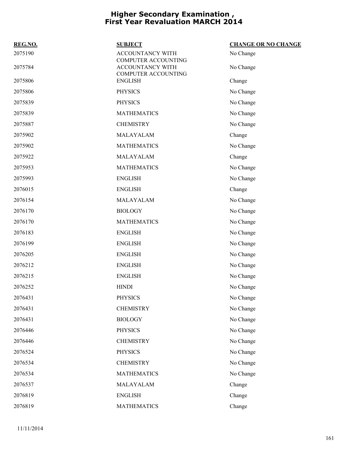| REG.NO. | <b>SUBJECT</b>                                 | <b>CHANGE OR NO CHANGE</b> |
|---------|------------------------------------------------|----------------------------|
| 2075190 | <b>ACCOUNTANCY WITH</b><br>COMPUTER ACCOUNTING | No Change                  |
| 2075784 | <b>ACCOUNTANCY WITH</b><br>COMPUTER ACCOUNTING | No Change                  |
| 2075806 | <b>ENGLISH</b>                                 | Change                     |
| 2075806 | <b>PHYSICS</b>                                 | No Change                  |
| 2075839 | <b>PHYSICS</b>                                 | No Change                  |
| 2075839 | <b>MATHEMATICS</b>                             | No Change                  |
| 2075887 | <b>CHEMISTRY</b>                               | No Change                  |
| 2075902 | MALAYALAM                                      | Change                     |
| 2075902 | <b>MATHEMATICS</b>                             | No Change                  |
| 2075922 | MALAYALAM                                      | Change                     |
| 2075953 | <b>MATHEMATICS</b>                             | No Change                  |
| 2075993 | <b>ENGLISH</b>                                 | No Change                  |
| 2076015 | <b>ENGLISH</b>                                 | Change                     |
| 2076154 | MALAYALAM                                      | No Change                  |
| 2076170 | <b>BIOLOGY</b>                                 | No Change                  |
| 2076170 | <b>MATHEMATICS</b>                             | No Change                  |
| 2076183 | <b>ENGLISH</b>                                 | No Change                  |
| 2076199 | <b>ENGLISH</b>                                 | No Change                  |
| 2076205 | <b>ENGLISH</b>                                 | No Change                  |
| 2076212 | <b>ENGLISH</b>                                 | No Change                  |
| 2076215 | <b>ENGLISH</b>                                 | No Change                  |
| 2076252 | <b>HINDI</b>                                   | No Change                  |
| 2076431 | PHYSICS                                        | No Change                  |
| 2076431 | <b>CHEMISTRY</b>                               | No Change                  |
| 2076431 | <b>BIOLOGY</b>                                 | No Change                  |
| 2076446 | <b>PHYSICS</b>                                 | No Change                  |
| 2076446 | <b>CHEMISTRY</b>                               | No Change                  |
| 2076524 | <b>PHYSICS</b>                                 | No Change                  |
| 2076534 | <b>CHEMISTRY</b>                               | No Change                  |
| 2076534 | <b>MATHEMATICS</b>                             | No Change                  |
| 2076537 | MALAYALAM                                      | Change                     |
| 2076819 | <b>ENGLISH</b>                                 | Change                     |
| 2076819 | <b>MATHEMATICS</b>                             | Change                     |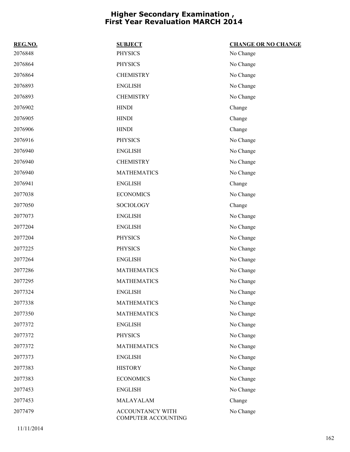| REG.NO. | <b>SUBJECT</b>                          | <b>CHANGE OR NO CHANGE</b> |
|---------|-----------------------------------------|----------------------------|
| 2076848 | <b>PHYSICS</b>                          | No Change                  |
| 2076864 | <b>PHYSICS</b>                          | No Change                  |
| 2076864 | <b>CHEMISTRY</b>                        | No Change                  |
| 2076893 | <b>ENGLISH</b>                          | No Change                  |
| 2076893 | <b>CHEMISTRY</b>                        | No Change                  |
| 2076902 | <b>HINDI</b>                            | Change                     |
| 2076905 | <b>HINDI</b>                            | Change                     |
| 2076906 | <b>HINDI</b>                            | Change                     |
| 2076916 | <b>PHYSICS</b>                          | No Change                  |
| 2076940 | <b>ENGLISH</b>                          | No Change                  |
| 2076940 | <b>CHEMISTRY</b>                        | No Change                  |
| 2076940 | <b>MATHEMATICS</b>                      | No Change                  |
| 2076941 | <b>ENGLISH</b>                          | Change                     |
| 2077038 | <b>ECONOMICS</b>                        | No Change                  |
| 2077050 | SOCIOLOGY                               | Change                     |
| 2077073 | <b>ENGLISH</b>                          | No Change                  |
| 2077204 | <b>ENGLISH</b>                          | No Change                  |
| 2077204 | <b>PHYSICS</b>                          | No Change                  |
| 2077225 | <b>PHYSICS</b>                          | No Change                  |
| 2077264 | <b>ENGLISH</b>                          | No Change                  |
| 2077286 | <b>MATHEMATICS</b>                      | No Change                  |
| 2077295 | <b>MATHEMATICS</b>                      | No Change                  |
| 2077324 | <b>ENGLISH</b>                          | No Change                  |
| 2077338 | <b>MATHEMATICS</b>                      | No Change                  |
| 2077350 | <b>MATHEMATICS</b>                      | No Change                  |
| 2077372 | <b>ENGLISH</b>                          | No Change                  |
| 2077372 | <b>PHYSICS</b>                          | No Change                  |
| 2077372 | <b>MATHEMATICS</b>                      | No Change                  |
| 2077373 | <b>ENGLISH</b>                          | No Change                  |
| 2077383 | <b>HISTORY</b>                          | No Change                  |
| 2077383 | <b>ECONOMICS</b>                        | No Change                  |
| 2077453 | <b>ENGLISH</b>                          | No Change                  |
| 2077453 | MALAYALAM                               | Change                     |
| 2077479 | ACCOUNTANCY WITH<br>COMPUTER ACCOUNTING | No Change                  |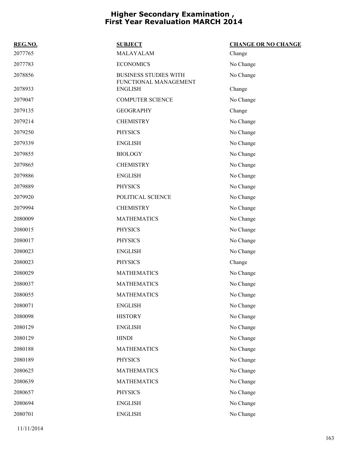| REG.NO. | <b>SUBJECT</b>                                        | <b>CHANGE OR NO CHANGE</b> |
|---------|-------------------------------------------------------|----------------------------|
| 2077765 | MALAYALAM                                             | Change                     |
| 2077783 | <b>ECONOMICS</b>                                      | No Change                  |
| 2078856 | <b>BUSINESS STUDIES WITH</b><br>FUNCTIONAL MANAGEMENT | No Change                  |
| 2078933 | <b>ENGLISH</b>                                        | Change                     |
| 2079047 | <b>COMPUTER SCIENCE</b>                               | No Change                  |
| 2079135 | <b>GEOGRAPHY</b>                                      | Change                     |
| 2079214 | <b>CHEMISTRY</b>                                      | No Change                  |
| 2079250 | <b>PHYSICS</b>                                        | No Change                  |
| 2079339 | <b>ENGLISH</b>                                        | No Change                  |
| 2079855 | <b>BIOLOGY</b>                                        | No Change                  |
| 2079865 | <b>CHEMISTRY</b>                                      | No Change                  |
| 2079886 | <b>ENGLISH</b>                                        | No Change                  |
| 2079889 | <b>PHYSICS</b>                                        | No Change                  |
| 2079920 | POLITICAL SCIENCE                                     | No Change                  |
| 2079994 | <b>CHEMISTRY</b>                                      | No Change                  |
| 2080009 | <b>MATHEMATICS</b>                                    | No Change                  |
| 2080015 | <b>PHYSICS</b>                                        | No Change                  |
| 2080017 | <b>PHYSICS</b>                                        | No Change                  |
| 2080023 | <b>ENGLISH</b>                                        | No Change                  |
| 2080023 | <b>PHYSICS</b>                                        | Change                     |
| 2080029 | <b>MATHEMATICS</b>                                    | No Change                  |
| 2080037 | <b>MATHEMATICS</b>                                    | No Change                  |
| 2080055 | <b>MATHEMATICS</b>                                    | No Change                  |
| 2080071 | <b>ENGLISH</b>                                        | No Change                  |
| 2080098 | <b>HISTORY</b>                                        | No Change                  |
| 2080129 | <b>ENGLISH</b>                                        | No Change                  |
| 2080129 | <b>HINDI</b>                                          | No Change                  |
| 2080188 | <b>MATHEMATICS</b>                                    | No Change                  |
| 2080189 | <b>PHYSICS</b>                                        | No Change                  |
| 2080625 | <b>MATHEMATICS</b>                                    | No Change                  |
| 2080639 | <b>MATHEMATICS</b>                                    | No Change                  |
| 2080657 | <b>PHYSICS</b>                                        | No Change                  |
| 2080694 | <b>ENGLISH</b>                                        | No Change                  |
| 2080701 | <b>ENGLISH</b>                                        | No Change                  |
|         |                                                       |                            |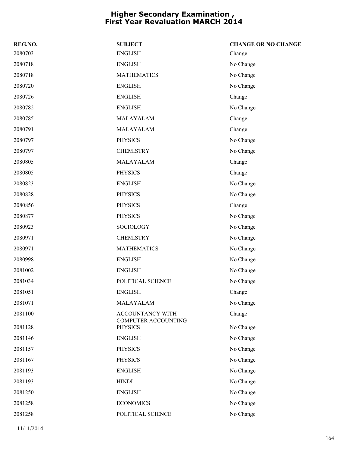| REG.NO. | <b>SUBJECT</b>                                 | <b>CHANGE OR NO CHANGE</b> |
|---------|------------------------------------------------|----------------------------|
| 2080703 | <b>ENGLISH</b>                                 | Change                     |
| 2080718 | <b>ENGLISH</b>                                 | No Change                  |
| 2080718 | <b>MATHEMATICS</b>                             | No Change                  |
| 2080720 | <b>ENGLISH</b>                                 | No Change                  |
| 2080726 | <b>ENGLISH</b>                                 | Change                     |
| 2080782 | <b>ENGLISH</b>                                 | No Change                  |
| 2080785 | MALAYALAM                                      | Change                     |
| 2080791 | MALAYALAM                                      | Change                     |
| 2080797 | <b>PHYSICS</b>                                 | No Change                  |
| 2080797 | <b>CHEMISTRY</b>                               | No Change                  |
| 2080805 | MALAYALAM                                      | Change                     |
| 2080805 | <b>PHYSICS</b>                                 | Change                     |
| 2080823 | <b>ENGLISH</b>                                 | No Change                  |
| 2080828 | <b>PHYSICS</b>                                 | No Change                  |
| 2080856 | <b>PHYSICS</b>                                 | Change                     |
| 2080877 | <b>PHYSICS</b>                                 | No Change                  |
| 2080923 | <b>SOCIOLOGY</b>                               | No Change                  |
| 2080971 | <b>CHEMISTRY</b>                               | No Change                  |
| 2080971 | <b>MATHEMATICS</b>                             | No Change                  |
| 2080998 | <b>ENGLISH</b>                                 | No Change                  |
| 2081002 | <b>ENGLISH</b>                                 | No Change                  |
| 2081034 | POLITICAL SCIENCE                              | No Change                  |
| 2081051 | <b>ENGLISH</b>                                 | Change                     |
| 2081071 | MALAYALAM                                      | No Change                  |
| 2081100 | ACCOUNTANCY WITH<br><b>COMPUTER ACCOUNTING</b> | Change                     |
| 2081128 | <b>PHYSICS</b>                                 | No Change                  |
| 2081146 | <b>ENGLISH</b>                                 | No Change                  |
| 2081157 | <b>PHYSICS</b>                                 | No Change                  |
| 2081167 | <b>PHYSICS</b>                                 | No Change                  |
| 2081193 | <b>ENGLISH</b>                                 | No Change                  |
| 2081193 | <b>HINDI</b>                                   | No Change                  |
| 2081250 | <b>ENGLISH</b>                                 | No Change                  |
| 2081258 | <b>ECONOMICS</b>                               | No Change                  |
| 2081258 | POLITICAL SCIENCE                              | No Change                  |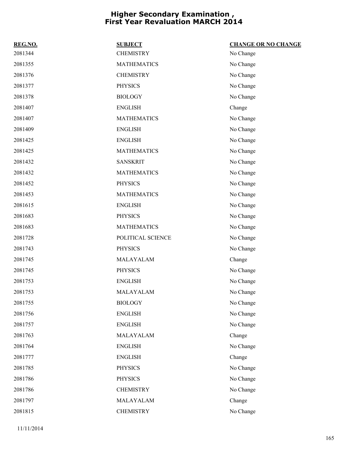| REG.NO. | <b>SUBJECT</b>     | <b>CHANGE OR NO CHANGE</b> |
|---------|--------------------|----------------------------|
| 2081344 | <b>CHEMISTRY</b>   | No Change                  |
| 2081355 | <b>MATHEMATICS</b> | No Change                  |
| 2081376 | <b>CHEMISTRY</b>   | No Change                  |
| 2081377 | <b>PHYSICS</b>     | No Change                  |
| 2081378 | <b>BIOLOGY</b>     | No Change                  |
| 2081407 | <b>ENGLISH</b>     | Change                     |
| 2081407 | <b>MATHEMATICS</b> | No Change                  |
| 2081409 | <b>ENGLISH</b>     | No Change                  |
| 2081425 | <b>ENGLISH</b>     | No Change                  |
| 2081425 | <b>MATHEMATICS</b> | No Change                  |
| 2081432 | <b>SANSKRIT</b>    | No Change                  |
| 2081432 | <b>MATHEMATICS</b> | No Change                  |
| 2081452 | <b>PHYSICS</b>     | No Change                  |
| 2081453 | <b>MATHEMATICS</b> | No Change                  |
| 2081615 | <b>ENGLISH</b>     | No Change                  |
| 2081683 | <b>PHYSICS</b>     | No Change                  |
| 2081683 | <b>MATHEMATICS</b> | No Change                  |
| 2081728 | POLITICAL SCIENCE  | No Change                  |
| 2081743 | <b>PHYSICS</b>     | No Change                  |
| 2081745 | MALAYALAM          | Change                     |
| 2081745 | <b>PHYSICS</b>     | No Change                  |
| 2081753 | <b>ENGLISH</b>     | No Change                  |
| 2081753 | MALAYALAM          | No Change                  |
| 2081755 | <b>BIOLOGY</b>     | No Change                  |
| 2081756 | <b>ENGLISH</b>     | No Change                  |
| 2081757 | <b>ENGLISH</b>     | No Change                  |
| 2081763 | MALAYALAM          | Change                     |
| 2081764 | <b>ENGLISH</b>     | No Change                  |
| 2081777 | <b>ENGLISH</b>     | Change                     |
| 2081785 | <b>PHYSICS</b>     | No Change                  |
| 2081786 | <b>PHYSICS</b>     | No Change                  |
| 2081786 | <b>CHEMISTRY</b>   | No Change                  |
| 2081797 | MALAYALAM          | Change                     |
| 2081815 | <b>CHEMISTRY</b>   | No Change                  |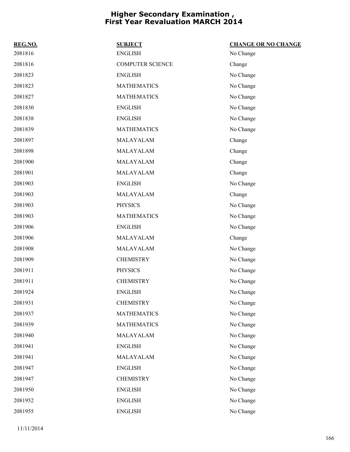| REG.NO. | <b>SUBJECT</b>          | <b>CHANGE OR NO CHANGE</b> |
|---------|-------------------------|----------------------------|
| 2081816 | <b>ENGLISH</b>          | No Change                  |
| 2081816 | <b>COMPUTER SCIENCE</b> | Change                     |
| 2081823 | <b>ENGLISH</b>          | No Change                  |
| 2081823 | <b>MATHEMATICS</b>      | No Change                  |
| 2081827 | <b>MATHEMATICS</b>      | No Change                  |
| 2081830 | <b>ENGLISH</b>          | No Change                  |
| 2081838 | <b>ENGLISH</b>          | No Change                  |
| 2081839 | <b>MATHEMATICS</b>      | No Change                  |
| 2081897 | MALAYALAM               | Change                     |
| 2081898 | MALAYALAM               | Change                     |
| 2081900 | MALAYALAM               | Change                     |
| 2081901 | MALAYALAM               | Change                     |
| 2081903 | <b>ENGLISH</b>          | No Change                  |
| 2081903 | MALAYALAM               | Change                     |
| 2081903 | <b>PHYSICS</b>          | No Change                  |
| 2081903 | <b>MATHEMATICS</b>      | No Change                  |
| 2081906 | <b>ENGLISH</b>          | No Change                  |
| 2081906 | MALAYALAM               | Change                     |
| 2081908 | MALAYALAM               | No Change                  |
| 2081909 | <b>CHEMISTRY</b>        | No Change                  |
| 2081911 | <b>PHYSICS</b>          | No Change                  |
| 2081911 | <b>CHEMISTRY</b>        | No Change                  |
| 2081924 | <b>ENGLISH</b>          | No Change                  |
| 2081931 | <b>CHEMISTRY</b>        | No Change                  |
| 2081937 | <b>MATHEMATICS</b>      | No Change                  |
| 2081939 | <b>MATHEMATICS</b>      | No Change                  |
| 2081940 | MALAYALAM               | No Change                  |
| 2081941 | <b>ENGLISH</b>          | No Change                  |
| 2081941 | MALAYALAM               | No Change                  |
| 2081947 | <b>ENGLISH</b>          | No Change                  |
| 2081947 | <b>CHEMISTRY</b>        | No Change                  |
| 2081950 | <b>ENGLISH</b>          | No Change                  |
| 2081952 | <b>ENGLISH</b>          | No Change                  |
| 2081955 | <b>ENGLISH</b>          | No Change                  |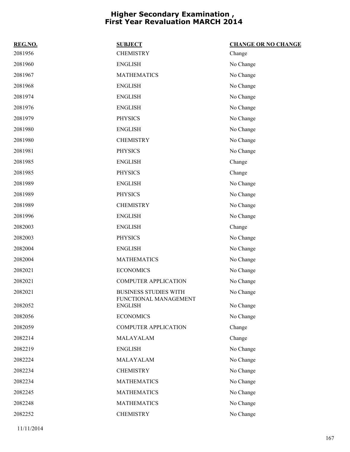| REG.NO. | <b>SUBJECT</b>                          | <b>CHANGE OR NO CHANGE</b> |
|---------|-----------------------------------------|----------------------------|
| 2081956 | <b>CHEMISTRY</b>                        | Change                     |
| 2081960 | <b>ENGLISH</b>                          | No Change                  |
| 2081967 | <b>MATHEMATICS</b>                      | No Change                  |
| 2081968 | <b>ENGLISH</b>                          | No Change                  |
| 2081974 | <b>ENGLISH</b>                          | No Change                  |
| 2081976 | <b>ENGLISH</b>                          | No Change                  |
| 2081979 | <b>PHYSICS</b>                          | No Change                  |
| 2081980 | <b>ENGLISH</b>                          | No Change                  |
| 2081980 | <b>CHEMISTRY</b>                        | No Change                  |
| 2081981 | <b>PHYSICS</b>                          | No Change                  |
| 2081985 | <b>ENGLISH</b>                          | Change                     |
| 2081985 | <b>PHYSICS</b>                          | Change                     |
| 2081989 | <b>ENGLISH</b>                          | No Change                  |
| 2081989 | <b>PHYSICS</b>                          | No Change                  |
| 2081989 | <b>CHEMISTRY</b>                        | No Change                  |
| 2081996 | <b>ENGLISH</b>                          | No Change                  |
| 2082003 | <b>ENGLISH</b>                          | Change                     |
| 2082003 | <b>PHYSICS</b>                          | No Change                  |
| 2082004 | <b>ENGLISH</b>                          | No Change                  |
| 2082004 | <b>MATHEMATICS</b>                      | No Change                  |
| 2082021 | <b>ECONOMICS</b>                        | No Change                  |
| 2082021 | <b>COMPUTER APPLICATION</b>             | No Change                  |
| 2082021 | <b>BUSINESS STUDIES WITH</b>            | No Change                  |
| 2082052 | FUNCTIONAL MANAGEMENT<br><b>ENGLISH</b> | No Change                  |
| 2082056 | <b>ECONOMICS</b>                        | No Change                  |
| 2082059 | <b>COMPUTER APPLICATION</b>             | Change                     |
| 2082214 | MALAYALAM                               | Change                     |
| 2082219 | <b>ENGLISH</b>                          | No Change                  |
| 2082224 | MALAYALAM                               | No Change                  |
| 2082234 | <b>CHEMISTRY</b>                        | No Change                  |
| 2082234 | <b>MATHEMATICS</b>                      | No Change                  |
| 2082245 | <b>MATHEMATICS</b>                      | No Change                  |
| 2082248 | <b>MATHEMATICS</b>                      | No Change                  |
| 2082252 | <b>CHEMISTRY</b>                        | No Change                  |
|         |                                         |                            |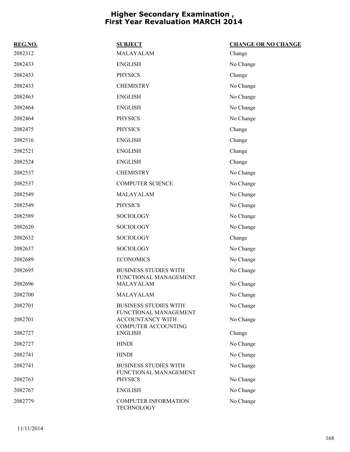| REG.NO. | <b>SUBJECT</b>                                                                 | <b>CHANGE OR NO CHANGE</b> |
|---------|--------------------------------------------------------------------------------|----------------------------|
| 2082312 | MALAYALAM                                                                      | Change                     |
| 2082433 | <b>ENGLISH</b>                                                                 | No Change                  |
| 2082433 | <b>PHYSICS</b>                                                                 | Change                     |
| 2082433 | <b>CHEMISTRY</b>                                                               | No Change                  |
| 2082463 | <b>ENGLISH</b>                                                                 | No Change                  |
| 2082464 | <b>ENGLISH</b>                                                                 | No Change                  |
| 2082464 | <b>PHYSICS</b>                                                                 | No Change                  |
| 2082475 | <b>PHYSICS</b>                                                                 | Change                     |
| 2082516 | <b>ENGLISH</b>                                                                 | Change                     |
| 2082521 | <b>ENGLISH</b>                                                                 | Change                     |
| 2082524 | <b>ENGLISH</b>                                                                 | Change                     |
| 2082537 | <b>CHEMISTRY</b>                                                               | No Change                  |
| 2082537 | <b>COMPUTER SCIENCE</b>                                                        | No Change                  |
| 2082549 | MALAYALAM                                                                      | No Change                  |
| 2082549 | <b>PHYSICS</b>                                                                 | No Change                  |
| 2082589 | <b>SOCIOLOGY</b>                                                               | No Change                  |
| 2082620 | <b>SOCIOLOGY</b>                                                               | No Change                  |
| 2082632 | <b>SOCIOLOGY</b>                                                               | Change                     |
| 2082637 | <b>SOCIOLOGY</b>                                                               | No Change                  |
| 2082689 | <b>ECONOMICS</b>                                                               | No Change                  |
| 2082695 | <b>BUSINESS STUDIES WITH</b><br>FUNCTIONAL MANAGEMENT                          | No Change                  |
| 2082696 | MALAYALAM                                                                      | No Change                  |
| 2082700 | MALAYALAM                                                                      | No Change                  |
| 2082701 | <b>BUSINESS STUDIES WITH</b>                                                   | No Change                  |
| 2082701 | FUNCTIONAL MANAGEMENT<br><b>ACCOUNTANCY WITH</b><br><b>COMPUTER ACCOUNTING</b> | No Change                  |
| 2082727 | <b>ENGLISH</b>                                                                 | Change                     |
| 2082727 | <b>HINDI</b>                                                                   | No Change                  |
| 2082741 | <b>HINDI</b>                                                                   | No Change                  |
| 2082741 | <b>BUSINESS STUDIES WITH</b><br>FUNCTIONAL MANAGEMENT                          | No Change                  |
| 2082763 | <b>PHYSICS</b>                                                                 | No Change                  |
| 2082767 | <b>ENGLISH</b>                                                                 | No Change                  |
| 2082779 | <b>COMPUTER INFORMATION</b><br><b>TECHNOLOGY</b>                               | No Change                  |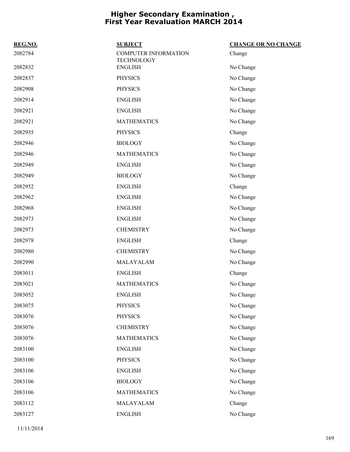| REG.NO. | <b>SUBJECT</b>                                   | <b>CHANGE OR NO CHANGE</b> |
|---------|--------------------------------------------------|----------------------------|
| 2082784 | <b>COMPUTER INFORMATION</b><br><b>TECHNOLOGY</b> | Change                     |
| 2082832 | <b>ENGLISH</b>                                   | No Change                  |
| 2082837 | <b>PHYSICS</b>                                   | No Change                  |
| 2082908 | <b>PHYSICS</b>                                   | No Change                  |
| 2082914 | <b>ENGLISH</b>                                   | No Change                  |
| 2082921 | <b>ENGLISH</b>                                   | No Change                  |
| 2082921 | <b>MATHEMATICS</b>                               | No Change                  |
| 2082935 | <b>PHYSICS</b>                                   | Change                     |
| 2082946 | <b>BIOLOGY</b>                                   | No Change                  |
| 2082946 | <b>MATHEMATICS</b>                               | No Change                  |
| 2082949 | <b>ENGLISH</b>                                   | No Change                  |
| 2082949 | <b>BIOLOGY</b>                                   | No Change                  |
| 2082952 | <b>ENGLISH</b>                                   | Change                     |
| 2082962 | <b>ENGLISH</b>                                   | No Change                  |
| 2082968 | <b>ENGLISH</b>                                   | No Change                  |
| 2082973 | <b>ENGLISH</b>                                   | No Change                  |
| 2082973 | <b>CHEMISTRY</b>                                 | No Change                  |
| 2082978 | <b>ENGLISH</b>                                   | Change                     |
| 2082980 | <b>CHEMISTRY</b>                                 | No Change                  |
| 2082990 | MALAYALAM                                        | No Change                  |
| 2083011 | <b>ENGLISH</b>                                   | Change                     |
| 2083021 | <b>MATHEMATICS</b>                               | No Change                  |
| 2083052 | <b>ENGLISH</b>                                   | No Change                  |
| 2083075 | <b>PHYSICS</b>                                   | No Change                  |
| 2083076 | <b>PHYSICS</b>                                   | No Change                  |
| 2083076 | <b>CHEMISTRY</b>                                 | No Change                  |
| 2083076 | <b>MATHEMATICS</b>                               | No Change                  |
| 2083100 | <b>ENGLISH</b>                                   | No Change                  |
| 2083100 | <b>PHYSICS</b>                                   | No Change                  |
| 2083106 | <b>ENGLISH</b>                                   | No Change                  |
| 2083106 | <b>BIOLOGY</b>                                   | No Change                  |
| 2083106 | <b>MATHEMATICS</b>                               | No Change                  |
| 2083112 | MALAYALAM                                        | Change                     |
| 2083127 | <b>ENGLISH</b>                                   | No Change                  |
|         |                                                  |                            |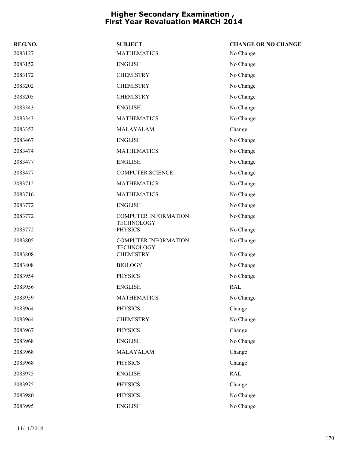| REG.NO. | <b>SUBJECT</b>                                   | <b>CHANGE OR NO CHANGE</b> |
|---------|--------------------------------------------------|----------------------------|
| 2083127 | <b>MATHEMATICS</b>                               | No Change                  |
| 2083152 | <b>ENGLISH</b>                                   | No Change                  |
| 2083172 | <b>CHEMISTRY</b>                                 | No Change                  |
| 2083202 | <b>CHEMISTRY</b>                                 | No Change                  |
| 2083205 | <b>CHEMISTRY</b>                                 | No Change                  |
| 2083343 | <b>ENGLISH</b>                                   | No Change                  |
| 2083343 | <b>MATHEMATICS</b>                               | No Change                  |
| 2083353 | MALAYALAM                                        | Change                     |
| 2083467 | <b>ENGLISH</b>                                   | No Change                  |
| 2083474 | <b>MATHEMATICS</b>                               | No Change                  |
| 2083477 | <b>ENGLISH</b>                                   | No Change                  |
| 2083477 | <b>COMPUTER SCIENCE</b>                          | No Change                  |
| 2083712 | <b>MATHEMATICS</b>                               | No Change                  |
| 2083716 | <b>MATHEMATICS</b>                               | No Change                  |
| 2083772 | <b>ENGLISH</b>                                   | No Change                  |
| 2083772 | <b>COMPUTER INFORMATION</b><br><b>TECHNOLOGY</b> | No Change                  |
| 2083772 | <b>PHYSICS</b>                                   | No Change                  |
| 2083805 | <b>COMPUTER INFORMATION</b><br><b>TECHNOLOGY</b> | No Change                  |
| 2083808 | <b>CHEMISTRY</b>                                 | No Change                  |
| 2083808 | <b>BIOLOGY</b>                                   | No Change                  |
| 2083954 | <b>PHYSICS</b>                                   | No Change                  |
| 2083956 | <b>ENGLISH</b>                                   | <b>RAL</b>                 |
| 2083959 | <b>MATHEMATICS</b>                               | No Change                  |
| 2083964 | <b>PHYSICS</b>                                   | Change                     |
| 2083964 | <b>CHEMISTRY</b>                                 | No Change                  |
| 2083967 | <b>PHYSICS</b>                                   | Change                     |
| 2083968 | <b>ENGLISH</b>                                   | No Change                  |
| 2083968 | MALAYALAM                                        | Change                     |
| 2083968 | <b>PHYSICS</b>                                   | Change                     |
| 2083975 | <b>ENGLISH</b>                                   | <b>RAL</b>                 |
| 2083975 | <b>PHYSICS</b>                                   | Change                     |
| 2083980 | <b>PHYSICS</b>                                   | No Change                  |
| 2083995 | <b>ENGLISH</b>                                   | No Change                  |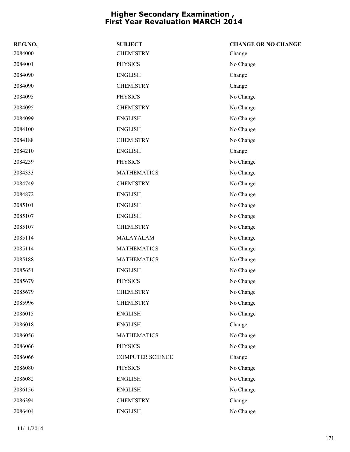| REG.NO. | <b>SUBJECT</b>          | <b>CHANGE OR NO CHANGE</b> |
|---------|-------------------------|----------------------------|
| 2084000 | <b>CHEMISTRY</b>        | Change                     |
| 2084001 | <b>PHYSICS</b>          | No Change                  |
| 2084090 | <b>ENGLISH</b>          | Change                     |
| 2084090 | <b>CHEMISTRY</b>        | Change                     |
| 2084095 | <b>PHYSICS</b>          | No Change                  |
| 2084095 | <b>CHEMISTRY</b>        | No Change                  |
| 2084099 | <b>ENGLISH</b>          | No Change                  |
| 2084100 | <b>ENGLISH</b>          | No Change                  |
| 2084188 | <b>CHEMISTRY</b>        | No Change                  |
| 2084210 | <b>ENGLISH</b>          | Change                     |
| 2084239 | <b>PHYSICS</b>          | No Change                  |
| 2084333 | <b>MATHEMATICS</b>      | No Change                  |
| 2084749 | <b>CHEMISTRY</b>        | No Change                  |
| 2084872 | <b>ENGLISH</b>          | No Change                  |
| 2085101 | <b>ENGLISH</b>          | No Change                  |
| 2085107 | <b>ENGLISH</b>          | No Change                  |
| 2085107 | <b>CHEMISTRY</b>        | No Change                  |
| 2085114 | MALAYALAM               | No Change                  |
| 2085114 | <b>MATHEMATICS</b>      | No Change                  |
| 2085188 | <b>MATHEMATICS</b>      | No Change                  |
| 2085651 | <b>ENGLISH</b>          | No Change                  |
| 2085679 | <b>PHYSICS</b>          | No Change                  |
| 2085679 | <b>CHEMISTRY</b>        | No Change                  |
| 2085996 | <b>CHEMISTRY</b>        | No Change                  |
| 2086015 | <b>ENGLISH</b>          | No Change                  |
| 2086018 | <b>ENGLISH</b>          | Change                     |
| 2086056 | <b>MATHEMATICS</b>      | No Change                  |
| 2086066 | <b>PHYSICS</b>          | No Change                  |
| 2086066 | <b>COMPUTER SCIENCE</b> | Change                     |
| 2086080 | <b>PHYSICS</b>          | No Change                  |
| 2086082 | <b>ENGLISH</b>          | No Change                  |
| 2086156 | <b>ENGLISH</b>          | No Change                  |
| 2086394 | <b>CHEMISTRY</b>        | Change                     |
| 2086404 | <b>ENGLISH</b>          | No Change                  |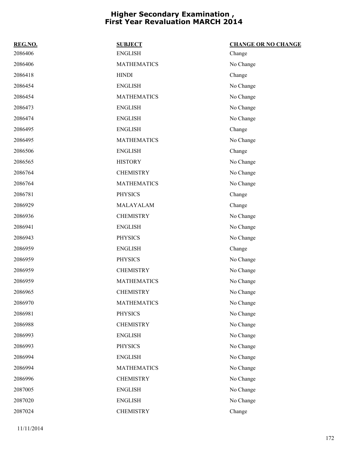| REG.NO. | <b>SUBJECT</b>     | <b>CHANGE OR NO CHANGE</b> |
|---------|--------------------|----------------------------|
| 2086406 | <b>ENGLISH</b>     | Change                     |
| 2086406 | <b>MATHEMATICS</b> | No Change                  |
| 2086418 | <b>HINDI</b>       | Change                     |
| 2086454 | <b>ENGLISH</b>     | No Change                  |
| 2086454 | <b>MATHEMATICS</b> | No Change                  |
| 2086473 | <b>ENGLISH</b>     | No Change                  |
| 2086474 | <b>ENGLISH</b>     | No Change                  |
| 2086495 | <b>ENGLISH</b>     | Change                     |
| 2086495 | <b>MATHEMATICS</b> | No Change                  |
| 2086506 | <b>ENGLISH</b>     | Change                     |
| 2086565 | <b>HISTORY</b>     | No Change                  |
| 2086764 | <b>CHEMISTRY</b>   | No Change                  |
| 2086764 | <b>MATHEMATICS</b> | No Change                  |
| 2086781 | <b>PHYSICS</b>     | Change                     |
| 2086929 | MALAYALAM          | Change                     |
| 2086936 | <b>CHEMISTRY</b>   | No Change                  |
| 2086941 | <b>ENGLISH</b>     | No Change                  |
| 2086943 | <b>PHYSICS</b>     | No Change                  |
| 2086959 | <b>ENGLISH</b>     | Change                     |
| 2086959 | <b>PHYSICS</b>     | No Change                  |
| 2086959 | <b>CHEMISTRY</b>   | No Change                  |
| 2086959 | <b>MATHEMATICS</b> | No Change                  |
| 2086965 | <b>CHEMISTRY</b>   | No Change                  |
| 2086970 | <b>MATHEMATICS</b> | No Change                  |
| 2086981 | <b>PHYSICS</b>     | No Change                  |
| 2086988 | <b>CHEMISTRY</b>   | No Change                  |
| 2086993 | <b>ENGLISH</b>     | No Change                  |
| 2086993 | <b>PHYSICS</b>     | No Change                  |
| 2086994 | <b>ENGLISH</b>     | No Change                  |
| 2086994 | <b>MATHEMATICS</b> | No Change                  |
| 2086996 | <b>CHEMISTRY</b>   | No Change                  |
| 2087005 | <b>ENGLISH</b>     | No Change                  |
| 2087020 | <b>ENGLISH</b>     | No Change                  |
| 2087024 | <b>CHEMISTRY</b>   | Change                     |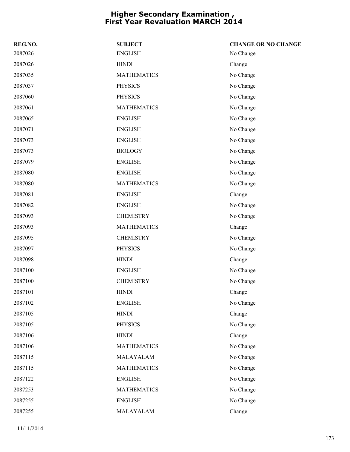| REG.NO. | <b>SUBJECT</b>     | <b>CHANGE OR NO CHANGE</b> |
|---------|--------------------|----------------------------|
| 2087026 | <b>ENGLISH</b>     | No Change                  |
| 2087026 | <b>HINDI</b>       | Change                     |
| 2087035 | <b>MATHEMATICS</b> | No Change                  |
| 2087037 | <b>PHYSICS</b>     | No Change                  |
| 2087060 | <b>PHYSICS</b>     | No Change                  |
| 2087061 | <b>MATHEMATICS</b> | No Change                  |
| 2087065 | <b>ENGLISH</b>     | No Change                  |
| 2087071 | <b>ENGLISH</b>     | No Change                  |
| 2087073 | <b>ENGLISH</b>     | No Change                  |
| 2087073 | <b>BIOLOGY</b>     | No Change                  |
| 2087079 | <b>ENGLISH</b>     | No Change                  |
| 2087080 | <b>ENGLISH</b>     | No Change                  |
| 2087080 | <b>MATHEMATICS</b> | No Change                  |
| 2087081 | <b>ENGLISH</b>     | Change                     |
| 2087082 | <b>ENGLISH</b>     | No Change                  |
| 2087093 | <b>CHEMISTRY</b>   | No Change                  |
| 2087093 | <b>MATHEMATICS</b> | Change                     |
| 2087095 | <b>CHEMISTRY</b>   | No Change                  |
| 2087097 | <b>PHYSICS</b>     | No Change                  |
| 2087098 | <b>HINDI</b>       | Change                     |
| 2087100 | <b>ENGLISH</b>     | No Change                  |
| 2087100 | <b>CHEMISTRY</b>   | No Change                  |
| 2087101 | <b>HINDI</b>       | Change                     |
| 2087102 | <b>ENGLISH</b>     | No Change                  |
| 2087105 | <b>HINDI</b>       | Change                     |
| 2087105 | <b>PHYSICS</b>     | No Change                  |
| 2087106 | <b>HINDI</b>       | Change                     |
| 2087106 | <b>MATHEMATICS</b> | No Change                  |
| 2087115 | MALAYALAM          | No Change                  |
| 2087115 | <b>MATHEMATICS</b> | No Change                  |
| 2087122 | <b>ENGLISH</b>     | No Change                  |
| 2087253 | <b>MATHEMATICS</b> | No Change                  |
| 2087255 | <b>ENGLISH</b>     | No Change                  |
| 2087255 | MALAYALAM          | Change                     |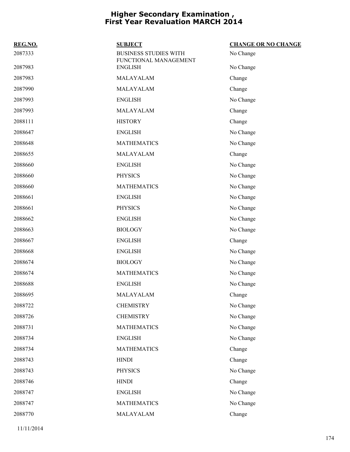| REG.NO. | <b>SUBJECT</b>                                        | <b>CHANGE OR NO CHANGE</b> |
|---------|-------------------------------------------------------|----------------------------|
| 2087333 | <b>BUSINESS STUDIES WITH</b><br>FUNCTIONAL MANAGEMENT | No Change                  |
| 2087983 | <b>ENGLISH</b>                                        | No Change                  |
| 2087983 | MALAYALAM                                             | Change                     |
| 2087990 | MALAYALAM                                             | Change                     |
| 2087993 | <b>ENGLISH</b>                                        | No Change                  |
| 2087993 | MALAYALAM                                             | Change                     |
| 2088111 | <b>HISTORY</b>                                        | Change                     |
| 2088647 | <b>ENGLISH</b>                                        | No Change                  |
| 2088648 | <b>MATHEMATICS</b>                                    | No Change                  |
| 2088655 | MALAYALAM                                             | Change                     |
| 2088660 | <b>ENGLISH</b>                                        | No Change                  |
| 2088660 | <b>PHYSICS</b>                                        | No Change                  |
| 2088660 | <b>MATHEMATICS</b>                                    | No Change                  |
| 2088661 | <b>ENGLISH</b>                                        | No Change                  |
| 2088661 | <b>PHYSICS</b>                                        | No Change                  |
| 2088662 | <b>ENGLISH</b>                                        | No Change                  |
| 2088663 | <b>BIOLOGY</b>                                        | No Change                  |
| 2088667 | <b>ENGLISH</b>                                        | Change                     |
| 2088668 | <b>ENGLISH</b>                                        | No Change                  |
| 2088674 | <b>BIOLOGY</b>                                        | No Change                  |
| 2088674 | <b>MATHEMATICS</b>                                    | No Change                  |
| 2088688 | <b>ENGLISH</b>                                        | No Change                  |
| 2088695 | MALAYALAM                                             | Change                     |
| 2088722 | <b>CHEMISTRY</b>                                      | No Change                  |
| 2088726 | <b>CHEMISTRY</b>                                      | No Change                  |
| 2088731 | <b>MATHEMATICS</b>                                    | No Change                  |
| 2088734 | <b>ENGLISH</b>                                        | No Change                  |
| 2088734 | <b>MATHEMATICS</b>                                    | Change                     |
| 2088743 | <b>HINDI</b>                                          | Change                     |
| 2088743 | <b>PHYSICS</b>                                        | No Change                  |
| 2088746 | <b>HINDI</b>                                          | Change                     |
| 2088747 | <b>ENGLISH</b>                                        | No Change                  |
| 2088747 | <b>MATHEMATICS</b>                                    | No Change                  |
| 2088770 | MALAYALAM                                             | Change                     |
|         |                                                       |                            |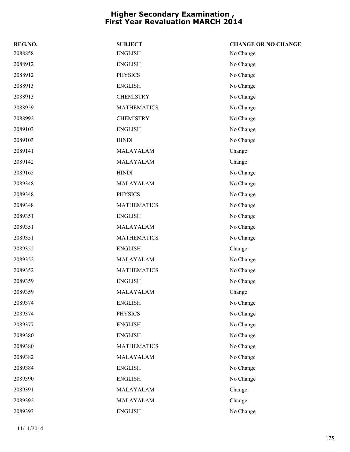| REG.NO. | <b>SUBJECT</b>     | <b>CHANGE OR NO CHANGE</b> |
|---------|--------------------|----------------------------|
| 2088858 | <b>ENGLISH</b>     | No Change                  |
| 2088912 | <b>ENGLISH</b>     | No Change                  |
| 2088912 | <b>PHYSICS</b>     | No Change                  |
| 2088913 | <b>ENGLISH</b>     | No Change                  |
| 2088913 | <b>CHEMISTRY</b>   | No Change                  |
| 2088959 | <b>MATHEMATICS</b> | No Change                  |
| 2088992 | <b>CHEMISTRY</b>   | No Change                  |
| 2089103 | <b>ENGLISH</b>     | No Change                  |
| 2089103 | <b>HINDI</b>       | No Change                  |
| 2089141 | MALAYALAM          | Change                     |
| 2089142 | MALAYALAM          | Change                     |
| 2089165 | <b>HINDI</b>       | No Change                  |
| 2089348 | MALAYALAM          | No Change                  |
| 2089348 | <b>PHYSICS</b>     | No Change                  |
| 2089348 | <b>MATHEMATICS</b> | No Change                  |
| 2089351 | <b>ENGLISH</b>     | No Change                  |
| 2089351 | MALAYALAM          | No Change                  |
| 2089351 | <b>MATHEMATICS</b> | No Change                  |
| 2089352 | <b>ENGLISH</b>     | Change                     |
| 2089352 | MALAYALAM          | No Change                  |
| 2089352 | <b>MATHEMATICS</b> | No Change                  |
| 2089359 | <b>ENGLISH</b>     | No Change                  |
| 2089359 | MALAYALAM          | Change                     |
| 2089374 | <b>ENGLISH</b>     | No Change                  |
| 2089374 | <b>PHYSICS</b>     | No Change                  |
| 2089377 | <b>ENGLISH</b>     | No Change                  |
| 2089380 | <b>ENGLISH</b>     | No Change                  |
| 2089380 | <b>MATHEMATICS</b> | No Change                  |
| 2089382 | MALAYALAM          | No Change                  |
| 2089384 | <b>ENGLISH</b>     | No Change                  |
| 2089390 | <b>ENGLISH</b>     | No Change                  |
| 2089391 | MALAYALAM          | Change                     |
| 2089392 | MALAYALAM          | Change                     |
| 2089393 | <b>ENGLISH</b>     | No Change                  |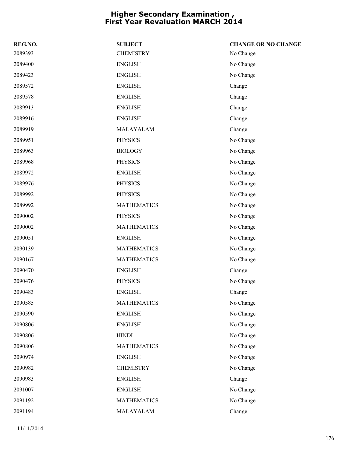| REG.NO. | <b>SUBJECT</b>     | <b>CHANGE OR NO CHANGE</b> |
|---------|--------------------|----------------------------|
| 2089393 | <b>CHEMISTRY</b>   | No Change                  |
| 2089400 | <b>ENGLISH</b>     | No Change                  |
| 2089423 | <b>ENGLISH</b>     | No Change                  |
| 2089572 | <b>ENGLISH</b>     | Change                     |
| 2089578 | <b>ENGLISH</b>     | Change                     |
| 2089913 | <b>ENGLISH</b>     | Change                     |
| 2089916 | <b>ENGLISH</b>     | Change                     |
| 2089919 | MALAYALAM          | Change                     |
| 2089951 | <b>PHYSICS</b>     | No Change                  |
| 2089963 | <b>BIOLOGY</b>     | No Change                  |
| 2089968 | <b>PHYSICS</b>     | No Change                  |
| 2089972 | <b>ENGLISH</b>     | No Change                  |
| 2089976 | <b>PHYSICS</b>     | No Change                  |
| 2089992 | <b>PHYSICS</b>     | No Change                  |
| 2089992 | <b>MATHEMATICS</b> | No Change                  |
| 2090002 | <b>PHYSICS</b>     | No Change                  |
| 2090002 | <b>MATHEMATICS</b> | No Change                  |
| 2090051 | <b>ENGLISH</b>     | No Change                  |
| 2090139 | <b>MATHEMATICS</b> | No Change                  |
| 2090167 | <b>MATHEMATICS</b> | No Change                  |
| 2090470 | <b>ENGLISH</b>     | Change                     |
| 2090476 | <b>PHYSICS</b>     | No Change                  |
| 2090483 | <b>ENGLISH</b>     | Change                     |
| 2090585 | <b>MATHEMATICS</b> | No Change                  |
| 2090590 | <b>ENGLISH</b>     | No Change                  |
| 2090806 | <b>ENGLISH</b>     | No Change                  |
| 2090806 | <b>HINDI</b>       | No Change                  |
| 2090806 | <b>MATHEMATICS</b> | No Change                  |
| 2090974 | <b>ENGLISH</b>     | No Change                  |
| 2090982 | <b>CHEMISTRY</b>   | No Change                  |
| 2090983 | <b>ENGLISH</b>     | Change                     |
| 2091007 | <b>ENGLISH</b>     | No Change                  |
| 2091192 | <b>MATHEMATICS</b> | No Change                  |
| 2091194 | MALAYALAM          | Change                     |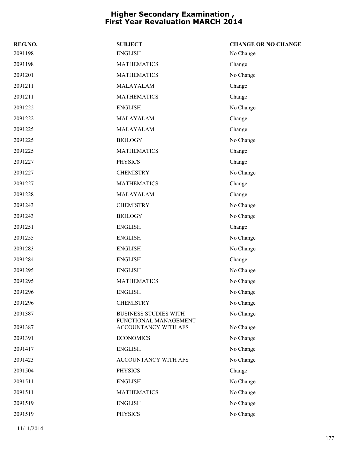| REG.NO. | <b>SUBJECT</b>                                | <b>CHANGE OR NO CHANGE</b> |
|---------|-----------------------------------------------|----------------------------|
| 2091198 | <b>ENGLISH</b>                                | No Change                  |
| 2091198 | <b>MATHEMATICS</b>                            | Change                     |
| 2091201 | <b>MATHEMATICS</b>                            | No Change                  |
| 2091211 | MALAYALAM                                     | Change                     |
| 2091211 | <b>MATHEMATICS</b>                            | Change                     |
| 2091222 | <b>ENGLISH</b>                                | No Change                  |
| 2091222 | MALAYALAM                                     | Change                     |
| 2091225 | MALAYALAM                                     | Change                     |
| 2091225 | <b>BIOLOGY</b>                                | No Change                  |
| 2091225 | <b>MATHEMATICS</b>                            | Change                     |
| 2091227 | <b>PHYSICS</b>                                | Change                     |
| 2091227 | <b>CHEMISTRY</b>                              | No Change                  |
| 2091227 | <b>MATHEMATICS</b>                            | Change                     |
| 2091228 | MALAYALAM                                     | Change                     |
| 2091243 | <b>CHEMISTRY</b>                              | No Change                  |
| 2091243 | <b>BIOLOGY</b>                                | No Change                  |
| 2091251 | <b>ENGLISH</b>                                | Change                     |
| 2091255 | <b>ENGLISH</b>                                | No Change                  |
| 2091283 | <b>ENGLISH</b>                                | No Change                  |
| 2091284 | <b>ENGLISH</b>                                | Change                     |
| 2091295 | <b>ENGLISH</b>                                | No Change                  |
| 2091295 | <b>MATHEMATICS</b>                            | No Change                  |
| 2091296 | <b>ENGLISH</b>                                | No Change                  |
| 2091296 | <b>CHEMISTRY</b>                              | No Change                  |
| 2091387 | <b>BUSINESS STUDIES WITH</b>                  | No Change                  |
| 2091387 | FUNCTIONAL MANAGEMENT<br>ACCOUNTANCY WITH AFS | No Change                  |
| 2091391 | <b>ECONOMICS</b>                              | No Change                  |
| 2091417 | <b>ENGLISH</b>                                | No Change                  |
| 2091423 | ACCOUNTANCY WITH AFS                          | No Change                  |
| 2091504 | <b>PHYSICS</b>                                | Change                     |
| 2091511 | <b>ENGLISH</b>                                | No Change                  |
| 2091511 | <b>MATHEMATICS</b>                            | No Change                  |
| 2091519 | <b>ENGLISH</b>                                | No Change                  |
| 2091519 | <b>PHYSICS</b>                                | No Change                  |
|         |                                               |                            |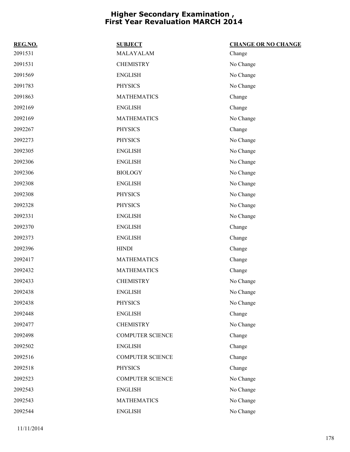| REG.NO. | <b>SUBJECT</b>          | <b>CHANGE OR NO CHANGE</b> |
|---------|-------------------------|----------------------------|
| 2091531 | MALAYALAM               | Change                     |
| 2091531 | <b>CHEMISTRY</b>        | No Change                  |
| 2091569 | <b>ENGLISH</b>          | No Change                  |
| 2091783 | <b>PHYSICS</b>          | No Change                  |
| 2091863 | <b>MATHEMATICS</b>      | Change                     |
| 2092169 | <b>ENGLISH</b>          | Change                     |
| 2092169 | <b>MATHEMATICS</b>      | No Change                  |
| 2092267 | <b>PHYSICS</b>          | Change                     |
| 2092273 | <b>PHYSICS</b>          | No Change                  |
| 2092305 | <b>ENGLISH</b>          | No Change                  |
| 2092306 | <b>ENGLISH</b>          | No Change                  |
| 2092306 | <b>BIOLOGY</b>          | No Change                  |
| 2092308 | <b>ENGLISH</b>          | No Change                  |
| 2092308 | <b>PHYSICS</b>          | No Change                  |
| 2092328 | <b>PHYSICS</b>          | No Change                  |
| 2092331 | <b>ENGLISH</b>          | No Change                  |
| 2092370 | <b>ENGLISH</b>          | Change                     |
| 2092373 | <b>ENGLISH</b>          | Change                     |
| 2092396 | <b>HINDI</b>            | Change                     |
| 2092417 | <b>MATHEMATICS</b>      | Change                     |
| 2092432 | <b>MATHEMATICS</b>      | Change                     |
| 2092433 | <b>CHEMISTRY</b>        | No Change                  |
| 2092438 | <b>ENGLISH</b>          | No Change                  |
| 2092438 | <b>PHYSICS</b>          | No Change                  |
| 2092448 | <b>ENGLISH</b>          | Change                     |
| 2092477 | <b>CHEMISTRY</b>        | No Change                  |
| 2092498 | <b>COMPUTER SCIENCE</b> | Change                     |
| 2092502 | <b>ENGLISH</b>          | Change                     |
| 2092516 | <b>COMPUTER SCIENCE</b> | Change                     |
| 2092518 | <b>PHYSICS</b>          | Change                     |
| 2092523 | <b>COMPUTER SCIENCE</b> | No Change                  |
| 2092543 | <b>ENGLISH</b>          | No Change                  |
| 2092543 | <b>MATHEMATICS</b>      | No Change                  |
| 2092544 | <b>ENGLISH</b>          | No Change                  |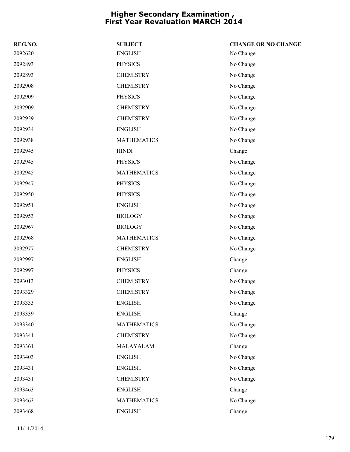| REG.NO. | <b>SUBJECT</b>     | <b>CHANGE OR NO CHANGE</b> |
|---------|--------------------|----------------------------|
| 2092620 | <b>ENGLISH</b>     | No Change                  |
| 2092893 | <b>PHYSICS</b>     | No Change                  |
| 2092893 | <b>CHEMISTRY</b>   | No Change                  |
| 2092908 | <b>CHEMISTRY</b>   | No Change                  |
| 2092909 | <b>PHYSICS</b>     | No Change                  |
| 2092909 | <b>CHEMISTRY</b>   | No Change                  |
| 2092929 | <b>CHEMISTRY</b>   | No Change                  |
| 2092934 | <b>ENGLISH</b>     | No Change                  |
| 2092938 | <b>MATHEMATICS</b> | No Change                  |
| 2092945 | <b>HINDI</b>       | Change                     |
| 2092945 | <b>PHYSICS</b>     | No Change                  |
| 2092945 | <b>MATHEMATICS</b> | No Change                  |
| 2092947 | <b>PHYSICS</b>     | No Change                  |
| 2092950 | <b>PHYSICS</b>     | No Change                  |
| 2092951 | <b>ENGLISH</b>     | No Change                  |
| 2092953 | <b>BIOLOGY</b>     | No Change                  |
| 2092967 | <b>BIOLOGY</b>     | No Change                  |
| 2092968 | <b>MATHEMATICS</b> | No Change                  |
| 2092977 | <b>CHEMISTRY</b>   | No Change                  |
| 2092997 | <b>ENGLISH</b>     | Change                     |
| 2092997 | <b>PHYSICS</b>     | Change                     |
| 2093013 | <b>CHEMISTRY</b>   | No Change                  |
| 2093329 | <b>CHEMISTRY</b>   | No Change                  |
| 2093333 | <b>ENGLISH</b>     | No Change                  |
| 2093339 | <b>ENGLISH</b>     | Change                     |
| 2093340 | <b>MATHEMATICS</b> | No Change                  |
| 2093341 | <b>CHEMISTRY</b>   | No Change                  |
| 2093361 | MALAYALAM          | Change                     |
| 2093403 | <b>ENGLISH</b>     | No Change                  |
| 2093431 | <b>ENGLISH</b>     | No Change                  |
| 2093431 | <b>CHEMISTRY</b>   | No Change                  |
| 2093463 | <b>ENGLISH</b>     | Change                     |
| 2093463 | <b>MATHEMATICS</b> | No Change                  |
| 2093468 | <b>ENGLISH</b>     | Change                     |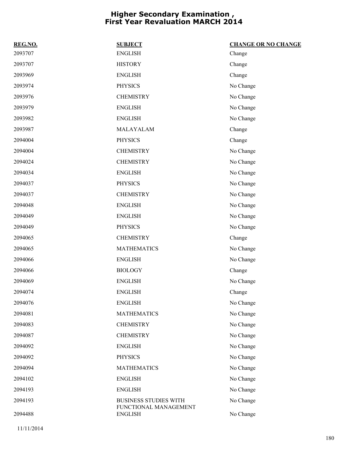| REG.NO. | <b>SUBJECT</b>                          | <b>CHANGE OR NO CHANGE</b> |
|---------|-----------------------------------------|----------------------------|
| 2093707 | <b>ENGLISH</b>                          | Change                     |
| 2093707 | <b>HISTORY</b>                          | Change                     |
| 2093969 | <b>ENGLISH</b>                          | Change                     |
| 2093974 | <b>PHYSICS</b>                          | No Change                  |
| 2093976 | <b>CHEMISTRY</b>                        | No Change                  |
| 2093979 | <b>ENGLISH</b>                          | No Change                  |
| 2093982 | <b>ENGLISH</b>                          | No Change                  |
| 2093987 | MALAYALAM                               | Change                     |
| 2094004 | <b>PHYSICS</b>                          | Change                     |
| 2094004 | <b>CHEMISTRY</b>                        | No Change                  |
| 2094024 | <b>CHEMISTRY</b>                        | No Change                  |
| 2094034 | <b>ENGLISH</b>                          | No Change                  |
| 2094037 | <b>PHYSICS</b>                          | No Change                  |
| 2094037 | <b>CHEMISTRY</b>                        | No Change                  |
| 2094048 | <b>ENGLISH</b>                          | No Change                  |
| 2094049 | <b>ENGLISH</b>                          | No Change                  |
| 2094049 | <b>PHYSICS</b>                          | No Change                  |
| 2094065 | <b>CHEMISTRY</b>                        | Change                     |
| 2094065 | <b>MATHEMATICS</b>                      | No Change                  |
| 2094066 | <b>ENGLISH</b>                          | No Change                  |
| 2094066 | <b>BIOLOGY</b>                          | Change                     |
| 2094069 | <b>ENGLISH</b>                          | No Change                  |
| 2094074 | <b>ENGLISH</b>                          | Change                     |
| 2094076 | <b>ENGLISH</b>                          | No Change                  |
| 2094081 | <b>MATHEMATICS</b>                      | No Change                  |
| 2094083 | <b>CHEMISTRY</b>                        | No Change                  |
| 2094087 | <b>CHEMISTRY</b>                        | No Change                  |
| 2094092 | <b>ENGLISH</b>                          | No Change                  |
| 2094092 | <b>PHYSICS</b>                          | No Change                  |
| 2094094 | <b>MATHEMATICS</b>                      | No Change                  |
| 2094102 | <b>ENGLISH</b>                          | No Change                  |
| 2094193 | <b>ENGLISH</b>                          | No Change                  |
| 2094193 | <b>BUSINESS STUDIES WITH</b>            | No Change                  |
| 2094488 | FUNCTIONAL MANAGEMENT<br><b>ENGLISH</b> | No Change                  |
|         |                                         |                            |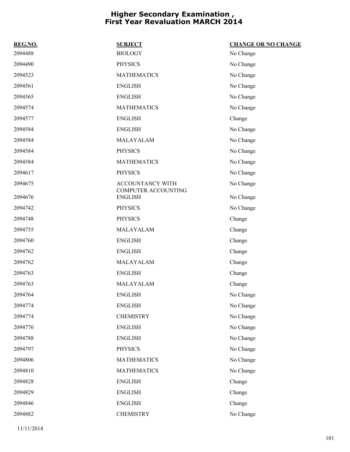| REG.NO. | <b>SUBJECT</b>                        | <b>CHANGE OR NO CHANGE</b> |
|---------|---------------------------------------|----------------------------|
| 2094488 | <b>BIOLOGY</b>                        | No Change                  |
| 2094490 | <b>PHYSICS</b>                        | No Change                  |
| 2094523 | <b>MATHEMATICS</b>                    | No Change                  |
| 2094561 | <b>ENGLISH</b>                        | No Change                  |
| 2094565 | <b>ENGLISH</b>                        | No Change                  |
| 2094574 | <b>MATHEMATICS</b>                    | No Change                  |
| 2094577 | <b>ENGLISH</b>                        | Change                     |
| 2094584 | <b>ENGLISH</b>                        | No Change                  |
| 2094584 | MALAYALAM                             | No Change                  |
| 2094584 | <b>PHYSICS</b>                        | No Change                  |
| 2094584 | <b>MATHEMATICS</b>                    | No Change                  |
| 2094617 | <b>PHYSICS</b>                        | No Change                  |
| 2094675 | <b>ACCOUNTANCY WITH</b>               | No Change                  |
| 2094676 | COMPUTER ACCOUNTING<br><b>ENGLISH</b> | No Change                  |
| 2094742 | <b>PHYSICS</b>                        | No Change                  |
| 2094748 | <b>PHYSICS</b>                        | Change                     |
| 2094755 | MALAYALAM                             | Change                     |
| 2094760 | <b>ENGLISH</b>                        | Change                     |
| 2094762 | <b>ENGLISH</b>                        | Change                     |
| 2094762 | MALAYALAM                             | Change                     |
| 2094763 | <b>ENGLISH</b>                        | Change                     |
| 2094763 | MALAYALAM                             | Change                     |
| 2094764 | <b>ENGLISH</b>                        | No Change                  |
| 2094774 | <b>ENGLISH</b>                        | No Change                  |
| 2094774 | <b>CHEMISTRY</b>                      | No Change                  |
| 2094776 | <b>ENGLISH</b>                        | No Change                  |
| 2094788 | <b>ENGLISH</b>                        | No Change                  |
| 2094797 | <b>PHYSICS</b>                        | No Change                  |
| 2094806 | <b>MATHEMATICS</b>                    | No Change                  |
| 2094810 | <b>MATHEMATICS</b>                    | No Change                  |
| 2094828 | <b>ENGLISH</b>                        | Change                     |
| 2094829 | <b>ENGLISH</b>                        | Change                     |
| 2094846 | <b>ENGLISH</b>                        | Change                     |
| 2094882 | <b>CHEMISTRY</b>                      | No Change                  |
|         |                                       |                            |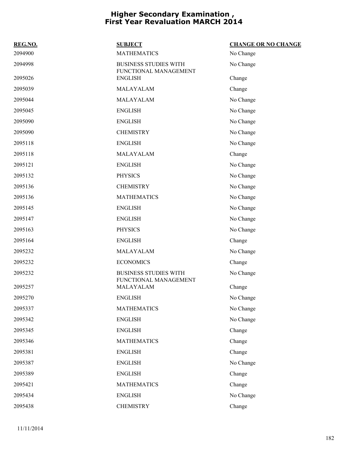| REG.NO. | <b>SUBJECT</b>                                        | <b>CHANGE OR NO CHANGE</b> |
|---------|-------------------------------------------------------|----------------------------|
| 2094900 | <b>MATHEMATICS</b>                                    | No Change                  |
| 2094998 | <b>BUSINESS STUDIES WITH</b><br>FUNCTIONAL MANAGEMENT | No Change                  |
| 2095026 | <b>ENGLISH</b>                                        | Change                     |
| 2095039 | MALAYALAM                                             | Change                     |
| 2095044 | MALAYALAM                                             | No Change                  |
| 2095045 | <b>ENGLISH</b>                                        | No Change                  |
| 2095090 | <b>ENGLISH</b>                                        | No Change                  |
| 2095090 | <b>CHEMISTRY</b>                                      | No Change                  |
| 2095118 | <b>ENGLISH</b>                                        | No Change                  |
| 2095118 | MALAYALAM                                             | Change                     |
| 2095121 | <b>ENGLISH</b>                                        | No Change                  |
| 2095132 | <b>PHYSICS</b>                                        | No Change                  |
| 2095136 | <b>CHEMISTRY</b>                                      | No Change                  |
| 2095136 | <b>MATHEMATICS</b>                                    | No Change                  |
| 2095145 | <b>ENGLISH</b>                                        | No Change                  |
| 2095147 | <b>ENGLISH</b>                                        | No Change                  |
| 2095163 | <b>PHYSICS</b>                                        | No Change                  |
| 2095164 | <b>ENGLISH</b>                                        | Change                     |
| 2095232 | MALAYALAM                                             | No Change                  |
| 2095232 | <b>ECONOMICS</b>                                      | Change                     |
| 2095232 | <b>BUSINESS STUDIES WITH</b><br>FUNCTIONAL MANAGEMENT | No Change                  |
| 2095257 | MALAYALAM                                             | Change                     |
| 2095270 | <b>ENGLISH</b>                                        | No Change                  |
| 2095337 | <b>MATHEMATICS</b>                                    | No Change                  |
| 2095342 | <b>ENGLISH</b>                                        | No Change                  |
| 2095345 | <b>ENGLISH</b>                                        | Change                     |
| 2095346 | <b>MATHEMATICS</b>                                    | Change                     |
| 2095381 | <b>ENGLISH</b>                                        | Change                     |
| 2095387 | <b>ENGLISH</b>                                        | No Change                  |
| 2095389 | <b>ENGLISH</b>                                        | Change                     |
| 2095421 | <b>MATHEMATICS</b>                                    | Change                     |
| 2095434 | <b>ENGLISH</b>                                        | No Change                  |
| 2095438 | <b>CHEMISTRY</b>                                      | Change                     |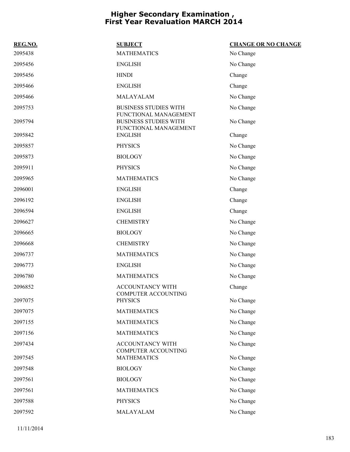| REG.NO. | <b>SUBJECT</b>                                                                 | <b>CHANGE OR NO CHANGE</b> |
|---------|--------------------------------------------------------------------------------|----------------------------|
| 2095438 | <b>MATHEMATICS</b>                                                             | No Change                  |
| 2095456 | <b>ENGLISH</b>                                                                 | No Change                  |
| 2095456 | <b>HINDI</b>                                                                   | Change                     |
| 2095466 | <b>ENGLISH</b>                                                                 | Change                     |
| 2095466 | MALAYALAM                                                                      | No Change                  |
| 2095753 | <b>BUSINESS STUDIES WITH</b>                                                   | No Change                  |
| 2095794 | FUNCTIONAL MANAGEMENT<br><b>BUSINESS STUDIES WITH</b><br>FUNCTIONAL MANAGEMENT | No Change                  |
| 2095842 | <b>ENGLISH</b>                                                                 | Change                     |
| 2095857 | <b>PHYSICS</b>                                                                 | No Change                  |
| 2095873 | <b>BIOLOGY</b>                                                                 | No Change                  |
| 2095911 | <b>PHYSICS</b>                                                                 | No Change                  |
| 2095965 | <b>MATHEMATICS</b>                                                             | No Change                  |
| 2096001 | <b>ENGLISH</b>                                                                 | Change                     |
| 2096192 | <b>ENGLISH</b>                                                                 | Change                     |
| 2096594 | <b>ENGLISH</b>                                                                 | Change                     |
| 2096627 | <b>CHEMISTRY</b>                                                               | No Change                  |
| 2096665 | <b>BIOLOGY</b>                                                                 | No Change                  |
| 2096668 | <b>CHEMISTRY</b>                                                               | No Change                  |
| 2096737 | <b>MATHEMATICS</b>                                                             | No Change                  |
| 2096773 | <b>ENGLISH</b>                                                                 | No Change                  |
| 2096780 | <b>MATHEMATICS</b>                                                             | No Change                  |
| 2096852 | ACCOUNTANCY WITH<br><b>COMPUTER ACCOUNTING</b>                                 | Change                     |
| 2097075 | <b>PHYSICS</b>                                                                 | No Change                  |
| 2097075 | <b>MATHEMATICS</b>                                                             | No Change                  |
| 2097155 | <b>MATHEMATICS</b>                                                             | No Change                  |
| 2097156 | <b>MATHEMATICS</b>                                                             | No Change                  |
| 2097434 | ACCOUNTANCY WITH<br><b>COMPUTER ACCOUNTING</b>                                 | No Change                  |
| 2097545 | <b>MATHEMATICS</b>                                                             | No Change                  |
| 2097548 | <b>BIOLOGY</b>                                                                 | No Change                  |
| 2097561 | <b>BIOLOGY</b>                                                                 | No Change                  |
| 2097561 | <b>MATHEMATICS</b>                                                             | No Change                  |
| 2097588 | <b>PHYSICS</b>                                                                 | No Change                  |
| 2097592 | MALAYALAM                                                                      | No Change                  |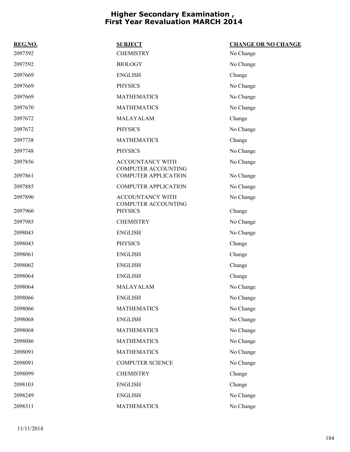| REG.NO. | <b>SUBJECT</b>                                        | <b>CHANGE OR NO CHANGE</b> |
|---------|-------------------------------------------------------|----------------------------|
| 2097592 | <b>CHEMISTRY</b>                                      | No Change                  |
| 2097592 | <b>BIOLOGY</b>                                        | No Change                  |
| 2097669 | <b>ENGLISH</b>                                        | Change                     |
| 2097669 | <b>PHYSICS</b>                                        | No Change                  |
| 2097669 | <b>MATHEMATICS</b>                                    | No Change                  |
| 2097670 | <b>MATHEMATICS</b>                                    | No Change                  |
| 2097672 | MALAYALAM                                             | Change                     |
| 2097672 | <b>PHYSICS</b>                                        | No Change                  |
| 2097738 | <b>MATHEMATICS</b>                                    | Change                     |
| 2097748 | <b>PHYSICS</b>                                        | No Change                  |
| 2097856 | <b>ACCOUNTANCY WITH</b><br><b>COMPUTER ACCOUNTING</b> | No Change                  |
| 2097861 | <b>COMPUTER APPLICATION</b>                           | No Change                  |
| 2097885 | <b>COMPUTER APPLICATION</b>                           | No Change                  |
| 2097890 | <b>ACCOUNTANCY WITH</b><br>COMPUTER ACCOUNTING        | No Change                  |
| 2097960 | <b>PHYSICS</b>                                        | Change                     |
| 2097985 | <b>CHEMISTRY</b>                                      | No Change                  |
| 2098043 | <b>ENGLISH</b>                                        | No Change                  |
| 2098043 | <b>PHYSICS</b>                                        | Change                     |
| 2098061 | <b>ENGLISH</b>                                        | Change                     |
| 2098062 | <b>ENGLISH</b>                                        | Change                     |
| 2098064 | <b>ENGLISH</b>                                        | Change                     |
| 2098064 | MALAYALAM                                             | No Change                  |
| 2098066 | <b>ENGLISH</b>                                        | No Change                  |
| 2098066 | <b>MATHEMATICS</b>                                    | No Change                  |
| 2098068 | <b>ENGLISH</b>                                        | No Change                  |
| 2098068 | <b>MATHEMATICS</b>                                    | No Change                  |
| 2098086 | <b>MATHEMATICS</b>                                    | No Change                  |
| 2098091 | <b>MATHEMATICS</b>                                    | No Change                  |
| 2098091 | COMPUTER SCIENCE                                      | No Change                  |
| 2098099 | <b>CHEMISTRY</b>                                      | Change                     |
| 2098103 | <b>ENGLISH</b>                                        | Change                     |
| 2098249 | <b>ENGLISH</b>                                        | No Change                  |
| 2098311 | <b>MATHEMATICS</b>                                    | No Change                  |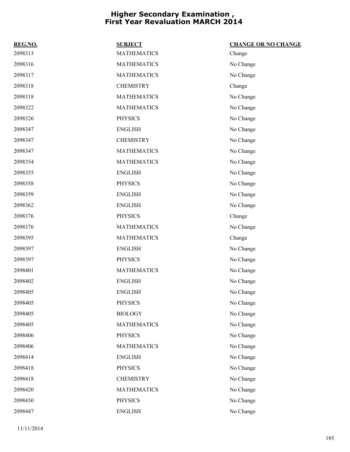| REG.NO. | <b>SUBJECT</b>     | <b>CHANGE OR NO CHANGE</b> |
|---------|--------------------|----------------------------|
| 2098313 | <b>MATHEMATICS</b> | Change                     |
| 2098316 | <b>MATHEMATICS</b> | No Change                  |
| 2098317 | <b>MATHEMATICS</b> | No Change                  |
| 2098318 | <b>CHEMISTRY</b>   | Change                     |
| 2098318 | <b>MATHEMATICS</b> | No Change                  |
| 2098322 | <b>MATHEMATICS</b> | No Change                  |
| 2098326 | <b>PHYSICS</b>     | No Change                  |
| 2098347 | <b>ENGLISH</b>     | No Change                  |
| 2098347 | <b>CHEMISTRY</b>   | No Change                  |
| 2098347 | <b>MATHEMATICS</b> | No Change                  |
| 2098354 | <b>MATHEMATICS</b> | No Change                  |
| 2098355 | <b>ENGLISH</b>     | No Change                  |
| 2098358 | <b>PHYSICS</b>     | No Change                  |
| 2098359 | <b>ENGLISH</b>     | No Change                  |
| 2098362 | <b>ENGLISH</b>     | No Change                  |
| 2098376 | <b>PHYSICS</b>     | Change                     |
| 2098376 | <b>MATHEMATICS</b> | No Change                  |
| 2098395 | <b>MATHEMATICS</b> | Change                     |
| 2098397 | <b>ENGLISH</b>     | No Change                  |
| 2098397 | <b>PHYSICS</b>     | No Change                  |
| 2098401 | <b>MATHEMATICS</b> | No Change                  |
| 2098402 | <b>ENGLISH</b>     | No Change                  |
| 2098405 | <b>ENGLISH</b>     | No Change                  |
| 2098405 | <b>PHYSICS</b>     | No Change                  |
| 2098405 | <b>BIOLOGY</b>     | No Change                  |
| 2098405 | <b>MATHEMATICS</b> | No Change                  |
| 2098406 | <b>PHYSICS</b>     | No Change                  |
| 2098406 | <b>MATHEMATICS</b> | No Change                  |
| 2098414 | <b>ENGLISH</b>     | No Change                  |
| 2098418 | <b>PHYSICS</b>     | No Change                  |
| 2098418 | <b>CHEMISTRY</b>   | No Change                  |
| 2098420 | <b>MATHEMATICS</b> | No Change                  |
| 2098430 | <b>PHYSICS</b>     | No Change                  |
| 2098447 | <b>ENGLISH</b>     | No Change                  |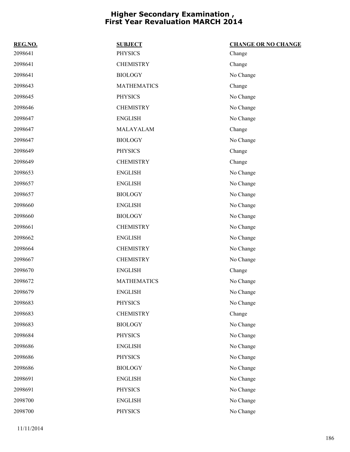| REG.NO. | <b>SUBJECT</b>     | <b>CHANGE OR NO CHANGE</b> |
|---------|--------------------|----------------------------|
| 2098641 | <b>PHYSICS</b>     | Change                     |
| 2098641 | <b>CHEMISTRY</b>   | Change                     |
| 2098641 | <b>BIOLOGY</b>     | No Change                  |
| 2098643 | <b>MATHEMATICS</b> | Change                     |
| 2098645 | <b>PHYSICS</b>     | No Change                  |
| 2098646 | <b>CHEMISTRY</b>   | No Change                  |
| 2098647 | <b>ENGLISH</b>     | No Change                  |
| 2098647 | MALAYALAM          | Change                     |
| 2098647 | <b>BIOLOGY</b>     | No Change                  |
| 2098649 | <b>PHYSICS</b>     | Change                     |
| 2098649 | <b>CHEMISTRY</b>   | Change                     |
| 2098653 | <b>ENGLISH</b>     | No Change                  |
| 2098657 | <b>ENGLISH</b>     | No Change                  |
| 2098657 | <b>BIOLOGY</b>     | No Change                  |
| 2098660 | <b>ENGLISH</b>     | No Change                  |
| 2098660 | <b>BIOLOGY</b>     | No Change                  |
| 2098661 | <b>CHEMISTRY</b>   | No Change                  |
| 2098662 | <b>ENGLISH</b>     | No Change                  |
| 2098664 | <b>CHEMISTRY</b>   | No Change                  |
| 2098667 | <b>CHEMISTRY</b>   | No Change                  |
| 2098670 | <b>ENGLISH</b>     | Change                     |
| 2098672 | <b>MATHEMATICS</b> | No Change                  |
| 2098679 | <b>ENGLISH</b>     | No Change                  |
| 2098683 | <b>PHYSICS</b>     | No Change                  |
| 2098683 | <b>CHEMISTRY</b>   | Change                     |
| 2098683 | <b>BIOLOGY</b>     | No Change                  |
| 2098684 | <b>PHYSICS</b>     | No Change                  |
| 2098686 | <b>ENGLISH</b>     | No Change                  |
| 2098686 | <b>PHYSICS</b>     | No Change                  |
| 2098686 | <b>BIOLOGY</b>     | No Change                  |
| 2098691 | <b>ENGLISH</b>     | No Change                  |
| 2098691 | <b>PHYSICS</b>     | No Change                  |
| 2098700 | <b>ENGLISH</b>     | No Change                  |
| 2098700 | PHYSICS            | No Change                  |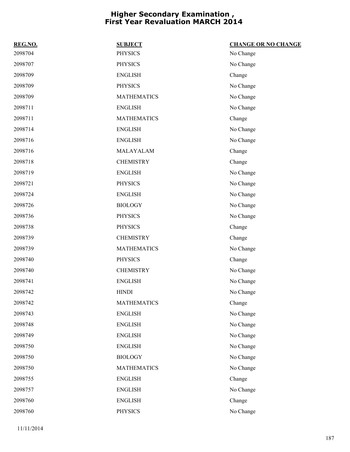| REG.NO. | <b>SUBJECT</b>     | <b>CHANGE OR NO CHANGE</b> |
|---------|--------------------|----------------------------|
| 2098704 | <b>PHYSICS</b>     | No Change                  |
| 2098707 | <b>PHYSICS</b>     | No Change                  |
| 2098709 | <b>ENGLISH</b>     | Change                     |
| 2098709 | <b>PHYSICS</b>     | No Change                  |
| 2098709 | <b>MATHEMATICS</b> | No Change                  |
| 2098711 | <b>ENGLISH</b>     | No Change                  |
| 2098711 | <b>MATHEMATICS</b> | Change                     |
| 2098714 | <b>ENGLISH</b>     | No Change                  |
| 2098716 | <b>ENGLISH</b>     | No Change                  |
| 2098716 | MALAYALAM          | Change                     |
| 2098718 | <b>CHEMISTRY</b>   | Change                     |
| 2098719 | <b>ENGLISH</b>     | No Change                  |
| 2098721 | <b>PHYSICS</b>     | No Change                  |
| 2098724 | <b>ENGLISH</b>     | No Change                  |
| 2098726 | <b>BIOLOGY</b>     | No Change                  |
| 2098736 | <b>PHYSICS</b>     | No Change                  |
| 2098738 | <b>PHYSICS</b>     | Change                     |
| 2098739 | <b>CHEMISTRY</b>   | Change                     |
| 2098739 | <b>MATHEMATICS</b> | No Change                  |
| 2098740 | <b>PHYSICS</b>     | Change                     |
| 2098740 | <b>CHEMISTRY</b>   | No Change                  |
| 2098741 | <b>ENGLISH</b>     | No Change                  |
| 2098742 | <b>HINDI</b>       | No Change                  |
| 2098742 | <b>MATHEMATICS</b> | Change                     |
| 2098743 | <b>ENGLISH</b>     | No Change                  |
| 2098748 | <b>ENGLISH</b>     | No Change                  |
| 2098749 | <b>ENGLISH</b>     | No Change                  |
| 2098750 | <b>ENGLISH</b>     | No Change                  |
| 2098750 | <b>BIOLOGY</b>     | No Change                  |
| 2098750 | <b>MATHEMATICS</b> | No Change                  |
| 2098755 | <b>ENGLISH</b>     | Change                     |
| 2098757 | <b>ENGLISH</b>     | No Change                  |
| 2098760 | <b>ENGLISH</b>     | Change                     |
| 2098760 | <b>PHYSICS</b>     | No Change                  |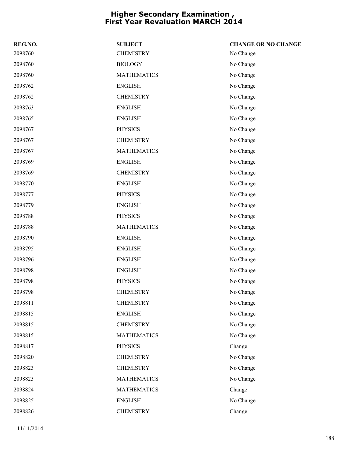| REG.NO. | <b>SUBJECT</b>     | <b>CHANGE OR NO CHANGE</b> |
|---------|--------------------|----------------------------|
| 2098760 | <b>CHEMISTRY</b>   | No Change                  |
| 2098760 | <b>BIOLOGY</b>     | No Change                  |
| 2098760 | <b>MATHEMATICS</b> | No Change                  |
| 2098762 | <b>ENGLISH</b>     | No Change                  |
| 2098762 | <b>CHEMISTRY</b>   | No Change                  |
| 2098763 | <b>ENGLISH</b>     | No Change                  |
| 2098765 | <b>ENGLISH</b>     | No Change                  |
| 2098767 | <b>PHYSICS</b>     | No Change                  |
| 2098767 | <b>CHEMISTRY</b>   | No Change                  |
| 2098767 | <b>MATHEMATICS</b> | No Change                  |
| 2098769 | <b>ENGLISH</b>     | No Change                  |
| 2098769 | <b>CHEMISTRY</b>   | No Change                  |
| 2098770 | <b>ENGLISH</b>     | No Change                  |
| 2098777 | <b>PHYSICS</b>     | No Change                  |
| 2098779 | <b>ENGLISH</b>     | No Change                  |
| 2098788 | <b>PHYSICS</b>     | No Change                  |
| 2098788 | <b>MATHEMATICS</b> | No Change                  |
| 2098790 | <b>ENGLISH</b>     | No Change                  |
| 2098795 | <b>ENGLISH</b>     | No Change                  |
| 2098796 | <b>ENGLISH</b>     | No Change                  |
| 2098798 | <b>ENGLISH</b>     | No Change                  |
| 2098798 | <b>PHYSICS</b>     | No Change                  |
| 2098798 | <b>CHEMISTRY</b>   | No Change                  |
| 2098811 | <b>CHEMISTRY</b>   | No Change                  |
| 2098815 | <b>ENGLISH</b>     | No Change                  |
| 2098815 | <b>CHEMISTRY</b>   | No Change                  |
| 2098815 | <b>MATHEMATICS</b> | No Change                  |
| 2098817 | <b>PHYSICS</b>     | Change                     |
| 2098820 | <b>CHEMISTRY</b>   | No Change                  |
| 2098823 | <b>CHEMISTRY</b>   | No Change                  |
| 2098823 | <b>MATHEMATICS</b> | No Change                  |
| 2098824 | <b>MATHEMATICS</b> | Change                     |
| 2098825 | <b>ENGLISH</b>     | No Change                  |
| 2098826 | <b>CHEMISTRY</b>   | Change                     |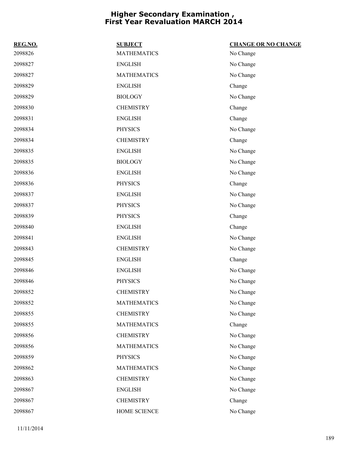| REG.NO. | <b>SUBJECT</b>     | <b>CHANGE OR NO CHANGE</b> |
|---------|--------------------|----------------------------|
| 2098826 | <b>MATHEMATICS</b> | No Change                  |
| 2098827 | <b>ENGLISH</b>     | No Change                  |
| 2098827 | <b>MATHEMATICS</b> | No Change                  |
| 2098829 | <b>ENGLISH</b>     | Change                     |
| 2098829 | <b>BIOLOGY</b>     | No Change                  |
| 2098830 | <b>CHEMISTRY</b>   | Change                     |
| 2098831 | <b>ENGLISH</b>     | Change                     |
| 2098834 | <b>PHYSICS</b>     | No Change                  |
| 2098834 | <b>CHEMISTRY</b>   | Change                     |
| 2098835 | <b>ENGLISH</b>     | No Change                  |
| 2098835 | <b>BIOLOGY</b>     | No Change                  |
| 2098836 | <b>ENGLISH</b>     | No Change                  |
| 2098836 | <b>PHYSICS</b>     | Change                     |
| 2098837 | <b>ENGLISH</b>     | No Change                  |
| 2098837 | <b>PHYSICS</b>     | No Change                  |
| 2098839 | <b>PHYSICS</b>     | Change                     |
| 2098840 | <b>ENGLISH</b>     | Change                     |
| 2098841 | <b>ENGLISH</b>     | No Change                  |
| 2098843 | <b>CHEMISTRY</b>   | No Change                  |
| 2098845 | <b>ENGLISH</b>     | Change                     |
| 2098846 | <b>ENGLISH</b>     | No Change                  |
| 2098846 | <b>PHYSICS</b>     | No Change                  |
| 2098852 | <b>CHEMISTRY</b>   | No Change                  |
| 2098852 | <b>MATHEMATICS</b> | No Change                  |
| 2098855 | <b>CHEMISTRY</b>   | No Change                  |
| 2098855 | <b>MATHEMATICS</b> | Change                     |
| 2098856 | <b>CHEMISTRY</b>   | No Change                  |
| 2098856 | <b>MATHEMATICS</b> | No Change                  |
| 2098859 | <b>PHYSICS</b>     | No Change                  |
| 2098862 | <b>MATHEMATICS</b> | No Change                  |
| 2098863 | <b>CHEMISTRY</b>   | No Change                  |
| 2098867 | <b>ENGLISH</b>     | No Change                  |
| 2098867 | <b>CHEMISTRY</b>   | Change                     |
| 2098867 | HOME SCIENCE       | No Change                  |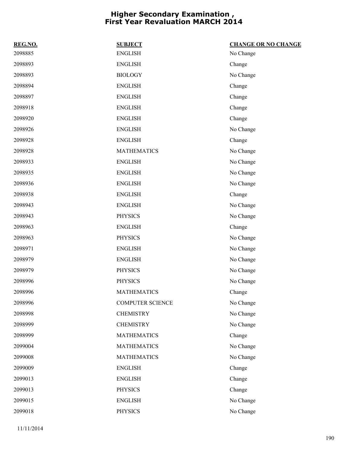| REG.NO. | <b>SUBJECT</b>          | <b>CHANGE OR NO CHANGE</b> |
|---------|-------------------------|----------------------------|
| 2098885 | <b>ENGLISH</b>          | No Change                  |
| 2098893 | <b>ENGLISH</b>          | Change                     |
| 2098893 | <b>BIOLOGY</b>          | No Change                  |
| 2098894 | <b>ENGLISH</b>          | Change                     |
| 2098897 | <b>ENGLISH</b>          | Change                     |
| 2098918 | <b>ENGLISH</b>          | Change                     |
| 2098920 | <b>ENGLISH</b>          | Change                     |
| 2098926 | <b>ENGLISH</b>          | No Change                  |
| 2098928 | <b>ENGLISH</b>          | Change                     |
| 2098928 | <b>MATHEMATICS</b>      | No Change                  |
| 2098933 | <b>ENGLISH</b>          | No Change                  |
| 2098935 | <b>ENGLISH</b>          | No Change                  |
| 2098936 | <b>ENGLISH</b>          | No Change                  |
| 2098938 | <b>ENGLISH</b>          | Change                     |
| 2098943 | <b>ENGLISH</b>          | No Change                  |
| 2098943 | <b>PHYSICS</b>          | No Change                  |
| 2098963 | <b>ENGLISH</b>          | Change                     |
| 2098963 | <b>PHYSICS</b>          | No Change                  |
| 2098971 | <b>ENGLISH</b>          | No Change                  |
| 2098979 | <b>ENGLISH</b>          | No Change                  |
| 2098979 | <b>PHYSICS</b>          | No Change                  |
| 2098996 | <b>PHYSICS</b>          | No Change                  |
| 2098996 | <b>MATHEMATICS</b>      | Change                     |
| 2098996 | <b>COMPUTER SCIENCE</b> | No Change                  |
| 2098998 | <b>CHEMISTRY</b>        | No Change                  |
| 2098999 | <b>CHEMISTRY</b>        | No Change                  |
| 2098999 | <b>MATHEMATICS</b>      | Change                     |
| 2099004 | <b>MATHEMATICS</b>      | No Change                  |
| 2099008 | <b>MATHEMATICS</b>      | No Change                  |
| 2099009 | <b>ENGLISH</b>          | Change                     |
| 2099013 | <b>ENGLISH</b>          | Change                     |
| 2099013 | <b>PHYSICS</b>          | Change                     |
| 2099015 | <b>ENGLISH</b>          | No Change                  |
| 2099018 | <b>PHYSICS</b>          | No Change                  |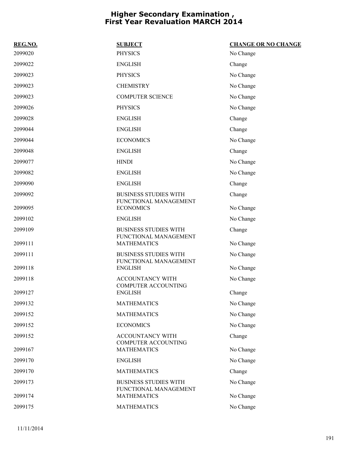| REG.NO. | <b>SUBJECT</b>                                        | <b>CHANGE OR NO CHANGE</b> |
|---------|-------------------------------------------------------|----------------------------|
| 2099020 | <b>PHYSICS</b>                                        | No Change                  |
| 2099022 | <b>ENGLISH</b>                                        | Change                     |
| 2099023 | <b>PHYSICS</b>                                        | No Change                  |
| 2099023 | <b>CHEMISTRY</b>                                      | No Change                  |
| 2099023 | <b>COMPUTER SCIENCE</b>                               | No Change                  |
| 2099026 | <b>PHYSICS</b>                                        | No Change                  |
| 2099028 | <b>ENGLISH</b>                                        | Change                     |
| 2099044 | <b>ENGLISH</b>                                        | Change                     |
| 2099044 | <b>ECONOMICS</b>                                      | No Change                  |
| 2099048 | <b>ENGLISH</b>                                        | Change                     |
| 2099077 | <b>HINDI</b>                                          | No Change                  |
| 2099082 | <b>ENGLISH</b>                                        | No Change                  |
| 2099090 | <b>ENGLISH</b>                                        | Change                     |
| 2099092 | <b>BUSINESS STUDIES WITH</b>                          | Change                     |
| 2099095 | FUNCTIONAL MANAGEMENT<br><b>ECONOMICS</b>             | No Change                  |
| 2099102 | <b>ENGLISH</b>                                        | No Change                  |
| 2099109 | <b>BUSINESS STUDIES WITH</b><br>FUNCTIONAL MANAGEMENT | Change                     |
| 2099111 | <b>MATHEMATICS</b>                                    | No Change                  |
| 2099111 | <b>BUSINESS STUDIES WITH</b><br>FUNCTIONAL MANAGEMENT | No Change                  |
| 2099118 | <b>ENGLISH</b>                                        | No Change                  |
| 2099118 | <b>ACCOUNTANCY WITH</b>                               | No Change                  |
| 2099127 | COMPUTER ACCOUNTING<br><b>ENGLISH</b>                 | Change                     |
| 2099132 | <b>MATHEMATICS</b>                                    | No Change                  |
| 2099152 | <b>MATHEMATICS</b>                                    | No Change                  |
| 2099152 | <b>ECONOMICS</b>                                      | No Change                  |
| 2099152 | ACCOUNTANCY WITH<br><b>COMPUTER ACCOUNTING</b>        | Change                     |
| 2099167 | <b>MATHEMATICS</b>                                    | No Change                  |
| 2099170 | <b>ENGLISH</b>                                        | No Change                  |
| 2099170 | <b>MATHEMATICS</b>                                    | Change                     |
| 2099173 | <b>BUSINESS STUDIES WITH</b><br>FUNCTIONAL MANAGEMENT | No Change                  |
| 2099174 | <b>MATHEMATICS</b>                                    | No Change                  |
| 2099175 | <b>MATHEMATICS</b>                                    | No Change                  |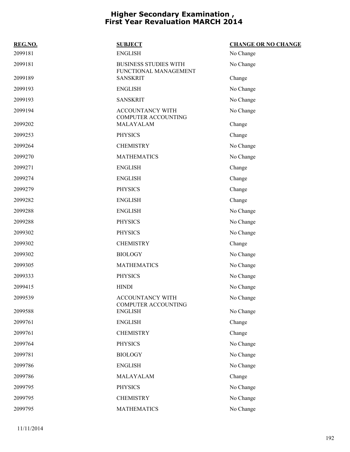| REG.NO. | <b>SUBJECT</b>                                        | <b>CHANGE OR NO CHANGE</b> |
|---------|-------------------------------------------------------|----------------------------|
| 2099181 | <b>ENGLISH</b>                                        | No Change                  |
| 2099181 | <b>BUSINESS STUDIES WITH</b><br>FUNCTIONAL MANAGEMENT | No Change                  |
| 2099189 | <b>SANSKRIT</b>                                       | Change                     |
| 2099193 | <b>ENGLISH</b>                                        | No Change                  |
| 2099193 | <b>SANSKRIT</b>                                       | No Change                  |
| 2099194 | ACCOUNTANCY WITH<br><b>COMPUTER ACCOUNTING</b>        | No Change                  |
| 2099202 | MALAYALAM                                             | Change                     |
| 2099253 | <b>PHYSICS</b>                                        | Change                     |
| 2099264 | <b>CHEMISTRY</b>                                      | No Change                  |
| 2099270 | <b>MATHEMATICS</b>                                    | No Change                  |
| 2099271 | <b>ENGLISH</b>                                        | Change                     |
| 2099274 | <b>ENGLISH</b>                                        | Change                     |
| 2099279 | <b>PHYSICS</b>                                        | Change                     |
| 2099282 | <b>ENGLISH</b>                                        | Change                     |
| 2099288 | <b>ENGLISH</b>                                        | No Change                  |
| 2099288 | <b>PHYSICS</b>                                        | No Change                  |
| 2099302 | <b>PHYSICS</b>                                        | No Change                  |
| 2099302 | <b>CHEMISTRY</b>                                      | Change                     |
| 2099302 | <b>BIOLOGY</b>                                        | No Change                  |
| 2099305 | <b>MATHEMATICS</b>                                    | No Change                  |
| 2099333 | <b>PHYSICS</b>                                        | No Change                  |
| 2099415 | <b>HINDI</b>                                          | No Change                  |
| 2099539 | ACCOUNTANCY WITH<br><b>COMPUTER ACCOUNTING</b>        | No Change                  |
| 2099588 | <b>ENGLISH</b>                                        | No Change                  |
| 2099761 | <b>ENGLISH</b>                                        | Change                     |
| 2099761 | <b>CHEMISTRY</b>                                      | Change                     |
| 2099764 | <b>PHYSICS</b>                                        | No Change                  |
| 2099781 | <b>BIOLOGY</b>                                        | No Change                  |
| 2099786 | <b>ENGLISH</b>                                        | No Change                  |
| 2099786 | MALAYALAM                                             | Change                     |
| 2099795 | <b>PHYSICS</b>                                        | No Change                  |
| 2099795 | <b>CHEMISTRY</b>                                      | No Change                  |
| 2099795 | <b>MATHEMATICS</b>                                    | No Change                  |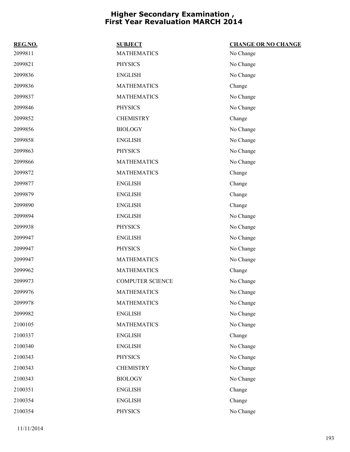| REG.NO. | <b>SUBJECT</b>          | <b>CHANGE OR NO CHANGE</b> |
|---------|-------------------------|----------------------------|
| 2099811 | <b>MATHEMATICS</b>      | No Change                  |
| 2099821 | <b>PHYSICS</b>          | No Change                  |
| 2099836 | <b>ENGLISH</b>          | No Change                  |
| 2099836 | <b>MATHEMATICS</b>      | Change                     |
| 2099837 | <b>MATHEMATICS</b>      | No Change                  |
| 2099846 | <b>PHYSICS</b>          | No Change                  |
| 2099852 | <b>CHEMISTRY</b>        | Change                     |
| 2099856 | <b>BIOLOGY</b>          | No Change                  |
| 2099858 | <b>ENGLISH</b>          | No Change                  |
| 2099863 | <b>PHYSICS</b>          | No Change                  |
| 2099866 | <b>MATHEMATICS</b>      | No Change                  |
| 2099872 | <b>MATHEMATICS</b>      | Change                     |
| 2099877 | <b>ENGLISH</b>          | Change                     |
| 2099879 | <b>ENGLISH</b>          | Change                     |
| 2099890 | <b>ENGLISH</b>          | Change                     |
| 2099894 | <b>ENGLISH</b>          | No Change                  |
| 2099938 | <b>PHYSICS</b>          | No Change                  |
| 2099947 | <b>ENGLISH</b>          | No Change                  |
| 2099947 | <b>PHYSICS</b>          | No Change                  |
| 2099947 | <b>MATHEMATICS</b>      | No Change                  |
| 2099962 | <b>MATHEMATICS</b>      | Change                     |
| 2099973 | <b>COMPUTER SCIENCE</b> | No Change                  |
| 2099976 | <b>MATHEMATICS</b>      | No Change                  |
| 2099978 | <b>MATHEMATICS</b>      | No Change                  |
| 2099982 | <b>ENGLISH</b>          | No Change                  |
| 2100105 | <b>MATHEMATICS</b>      | No Change                  |
| 2100337 | <b>ENGLISH</b>          | Change                     |
| 2100340 | <b>ENGLISH</b>          | No Change                  |
| 2100343 | <b>PHYSICS</b>          | No Change                  |
| 2100343 | <b>CHEMISTRY</b>        | No Change                  |
| 2100343 | <b>BIOLOGY</b>          | No Change                  |
| 2100351 | <b>ENGLISH</b>          | Change                     |
| 2100354 | <b>ENGLISH</b>          | Change                     |
| 2100354 | <b>PHYSICS</b>          | No Change                  |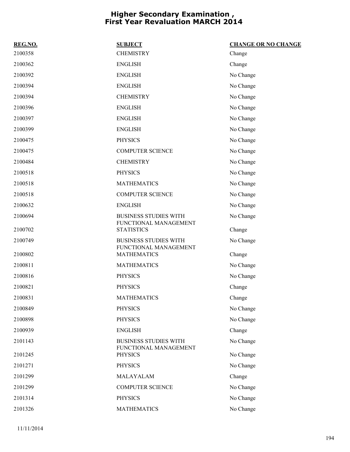| REG.NO. | <b>SUBJECT</b>                                        | <b>CHANGE OR NO CHANGE</b> |
|---------|-------------------------------------------------------|----------------------------|
| 2100358 | <b>CHEMISTRY</b>                                      | Change                     |
| 2100362 | <b>ENGLISH</b>                                        | Change                     |
| 2100392 | <b>ENGLISH</b>                                        | No Change                  |
| 2100394 | <b>ENGLISH</b>                                        | No Change                  |
| 2100394 | <b>CHEMISTRY</b>                                      | No Change                  |
| 2100396 | <b>ENGLISH</b>                                        | No Change                  |
| 2100397 | <b>ENGLISH</b>                                        | No Change                  |
| 2100399 | <b>ENGLISH</b>                                        | No Change                  |
| 2100475 | <b>PHYSICS</b>                                        | No Change                  |
| 2100475 | <b>COMPUTER SCIENCE</b>                               | No Change                  |
| 2100484 | <b>CHEMISTRY</b>                                      | No Change                  |
| 2100518 | <b>PHYSICS</b>                                        | No Change                  |
| 2100518 | <b>MATHEMATICS</b>                                    | No Change                  |
| 2100518 | <b>COMPUTER SCIENCE</b>                               | No Change                  |
| 2100632 | <b>ENGLISH</b>                                        | No Change                  |
| 2100694 | <b>BUSINESS STUDIES WITH</b><br>FUNCTIONAL MANAGEMENT | No Change                  |
| 2100702 | <b>STATISTICS</b>                                     | Change                     |
| 2100749 | <b>BUSINESS STUDIES WITH</b><br>FUNCTIONAL MANAGEMENT | No Change                  |
| 2100802 | <b>MATHEMATICS</b>                                    | Change                     |
| 2100811 | <b>MATHEMATICS</b>                                    | No Change                  |
| 2100816 | <b>PHYSICS</b>                                        | No Change                  |
| 2100821 | <b>PHYSICS</b>                                        | Change                     |
| 2100831 | <b>MATHEMATICS</b>                                    | Change                     |
| 2100849 | <b>PHYSICS</b>                                        | No Change                  |
| 2100898 | <b>PHYSICS</b>                                        | No Change                  |
| 2100939 | <b>ENGLISH</b>                                        | Change                     |
| 2101143 | <b>BUSINESS STUDIES WITH</b><br>FUNCTIONAL MANAGEMENT | No Change                  |
| 2101245 | <b>PHYSICS</b>                                        | No Change                  |
| 2101271 | <b>PHYSICS</b>                                        | No Change                  |
| 2101299 | MALAYALAM                                             | Change                     |
| 2101299 | <b>COMPUTER SCIENCE</b>                               | No Change                  |
| 2101314 | <b>PHYSICS</b>                                        | No Change                  |
| 2101326 | <b>MATHEMATICS</b>                                    | No Change                  |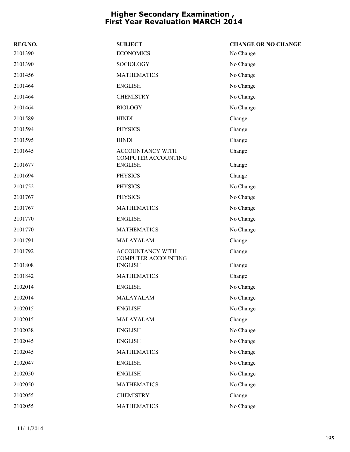| REG.NO. | <b>SUBJECT</b>                                        | <b>CHANGE OR NO CHANGE</b> |
|---------|-------------------------------------------------------|----------------------------|
| 2101390 | <b>ECONOMICS</b>                                      | No Change                  |
| 2101390 | <b>SOCIOLOGY</b>                                      | No Change                  |
| 2101456 | <b>MATHEMATICS</b>                                    | No Change                  |
| 2101464 | <b>ENGLISH</b>                                        | No Change                  |
| 2101464 | <b>CHEMISTRY</b>                                      | No Change                  |
| 2101464 | <b>BIOLOGY</b>                                        | No Change                  |
| 2101589 | <b>HINDI</b>                                          | Change                     |
| 2101594 | <b>PHYSICS</b>                                        | Change                     |
| 2101595 | <b>HINDI</b>                                          | Change                     |
| 2101645 | <b>ACCOUNTANCY WITH</b><br><b>COMPUTER ACCOUNTING</b> | Change                     |
| 2101677 | <b>ENGLISH</b>                                        | Change                     |
| 2101694 | <b>PHYSICS</b>                                        | Change                     |
| 2101752 | <b>PHYSICS</b>                                        | No Change                  |
| 2101767 | <b>PHYSICS</b>                                        | No Change                  |
| 2101767 | <b>MATHEMATICS</b>                                    | No Change                  |
| 2101770 | <b>ENGLISH</b>                                        | No Change                  |
| 2101770 | <b>MATHEMATICS</b>                                    | No Change                  |
| 2101791 | MALAYALAM                                             | Change                     |
| 2101792 | ACCOUNTANCY WITH<br><b>COMPUTER ACCOUNTING</b>        | Change                     |
| 2101808 | <b>ENGLISH</b>                                        | Change                     |
| 2101842 | <b>MATHEMATICS</b>                                    | Change                     |
| 2102014 | <b>ENGLISH</b>                                        | No Change                  |
| 2102014 | MALAYALAM                                             | No Change                  |
| 2102015 | <b>ENGLISH</b>                                        | No Change                  |
| 2102015 | MALAYALAM                                             | Change                     |
| 2102038 | <b>ENGLISH</b>                                        | No Change                  |
| 2102045 | <b>ENGLISH</b>                                        | No Change                  |
| 2102045 | <b>MATHEMATICS</b>                                    | No Change                  |
| 2102047 | <b>ENGLISH</b>                                        | No Change                  |
| 2102050 | <b>ENGLISH</b>                                        | No Change                  |
| 2102050 | <b>MATHEMATICS</b>                                    | No Change                  |
| 2102055 | <b>CHEMISTRY</b>                                      | Change                     |
| 2102055 | <b>MATHEMATICS</b>                                    | No Change                  |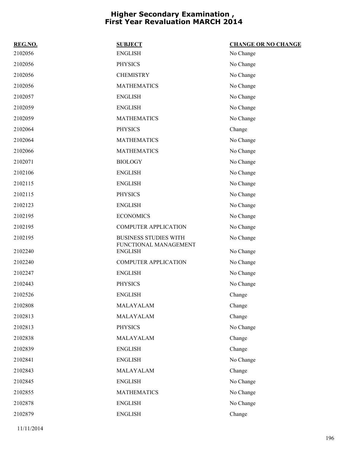| REG.NO. | <b>SUBJECT</b>                          | <b>CHANGE OR NO CHANGE</b> |
|---------|-----------------------------------------|----------------------------|
| 2102056 | <b>ENGLISH</b>                          | No Change                  |
| 2102056 | <b>PHYSICS</b>                          | No Change                  |
| 2102056 | <b>CHEMISTRY</b>                        | No Change                  |
| 2102056 | <b>MATHEMATICS</b>                      | No Change                  |
| 2102057 | <b>ENGLISH</b>                          | No Change                  |
| 2102059 | <b>ENGLISH</b>                          | No Change                  |
| 2102059 | <b>MATHEMATICS</b>                      | No Change                  |
| 2102064 | <b>PHYSICS</b>                          | Change                     |
| 2102064 | <b>MATHEMATICS</b>                      | No Change                  |
| 2102066 | <b>MATHEMATICS</b>                      | No Change                  |
| 2102071 | <b>BIOLOGY</b>                          | No Change                  |
| 2102106 | <b>ENGLISH</b>                          | No Change                  |
| 2102115 | <b>ENGLISH</b>                          | No Change                  |
| 2102115 | <b>PHYSICS</b>                          | No Change                  |
| 2102123 | <b>ENGLISH</b>                          | No Change                  |
| 2102195 | <b>ECONOMICS</b>                        | No Change                  |
| 2102195 | <b>COMPUTER APPLICATION</b>             | No Change                  |
| 2102195 | <b>BUSINESS STUDIES WITH</b>            | No Change                  |
| 2102240 | FUNCTIONAL MANAGEMENT<br><b>ENGLISH</b> | No Change                  |
| 2102240 | <b>COMPUTER APPLICATION</b>             | No Change                  |
| 2102247 | <b>ENGLISH</b>                          | No Change                  |
| 2102443 | <b>PHYSICS</b>                          | No Change                  |
| 2102526 | <b>ENGLISH</b>                          | Change                     |
| 2102808 | MALAYALAM                               | Change                     |
| 2102813 | MALAYALAM                               | Change                     |
| 2102813 | <b>PHYSICS</b>                          | No Change                  |
| 2102838 | MALAYALAM                               | Change                     |
| 2102839 | <b>ENGLISH</b>                          | Change                     |
| 2102841 | <b>ENGLISH</b>                          | No Change                  |
| 2102843 | MALAYALAM                               | Change                     |
| 2102845 | <b>ENGLISH</b>                          | No Change                  |
| 2102855 | <b>MATHEMATICS</b>                      | No Change                  |
| 2102878 | <b>ENGLISH</b>                          | No Change                  |
| 2102879 | <b>ENGLISH</b>                          | Change                     |
|         |                                         |                            |

11/11/2014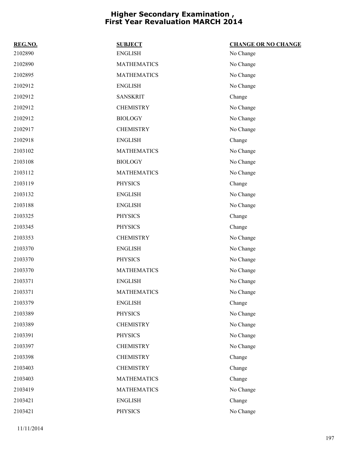| REG.NO. | <b>SUBJECT</b>     | <b>CHANGE OR NO CHANGE</b> |
|---------|--------------------|----------------------------|
| 2102890 | <b>ENGLISH</b>     | No Change                  |
| 2102890 | <b>MATHEMATICS</b> | No Change                  |
| 2102895 | <b>MATHEMATICS</b> | No Change                  |
| 2102912 | <b>ENGLISH</b>     | No Change                  |
| 2102912 | <b>SANSKRIT</b>    | Change                     |
| 2102912 | <b>CHEMISTRY</b>   | No Change                  |
| 2102912 | <b>BIOLOGY</b>     | No Change                  |
| 2102917 | <b>CHEMISTRY</b>   | No Change                  |
| 2102918 | <b>ENGLISH</b>     | Change                     |
| 2103102 | <b>MATHEMATICS</b> | No Change                  |
| 2103108 | <b>BIOLOGY</b>     | No Change                  |
| 2103112 | <b>MATHEMATICS</b> | No Change                  |
| 2103119 | <b>PHYSICS</b>     | Change                     |
| 2103132 | <b>ENGLISH</b>     | No Change                  |
| 2103188 | <b>ENGLISH</b>     | No Change                  |
| 2103325 | <b>PHYSICS</b>     | Change                     |
| 2103345 | <b>PHYSICS</b>     | Change                     |
| 2103353 | <b>CHEMISTRY</b>   | No Change                  |
| 2103370 | <b>ENGLISH</b>     | No Change                  |
| 2103370 | <b>PHYSICS</b>     | No Change                  |
| 2103370 | <b>MATHEMATICS</b> | No Change                  |
| 2103371 | <b>ENGLISH</b>     | No Change                  |
| 2103371 | <b>MATHEMATICS</b> | No Change                  |
| 2103379 | <b>ENGLISH</b>     | Change                     |
| 2103389 | <b>PHYSICS</b>     | No Change                  |
| 2103389 | <b>CHEMISTRY</b>   | No Change                  |
| 2103391 | <b>PHYSICS</b>     | No Change                  |
| 2103397 | <b>CHEMISTRY</b>   | No Change                  |
| 2103398 | <b>CHEMISTRY</b>   | Change                     |
| 2103403 | <b>CHEMISTRY</b>   | Change                     |
| 2103403 | <b>MATHEMATICS</b> | Change                     |
| 2103419 | <b>MATHEMATICS</b> | No Change                  |
| 2103421 | <b>ENGLISH</b>     | Change                     |
| 2103421 | <b>PHYSICS</b>     | No Change                  |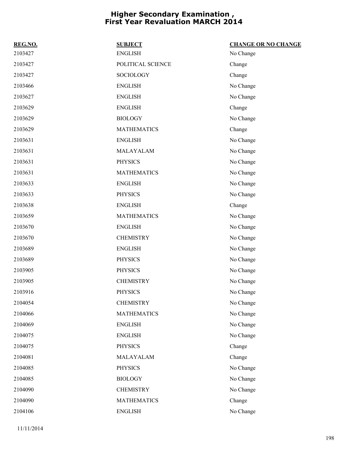| REG.NO. | <b>SUBJECT</b>     | <b>CHANGE OR NO CHANGE</b> |
|---------|--------------------|----------------------------|
| 2103427 | <b>ENGLISH</b>     | No Change                  |
| 2103427 | POLITICAL SCIENCE  | Change                     |
| 2103427 | <b>SOCIOLOGY</b>   | Change                     |
| 2103466 | <b>ENGLISH</b>     | No Change                  |
| 2103627 | <b>ENGLISH</b>     | No Change                  |
| 2103629 | <b>ENGLISH</b>     | Change                     |
| 2103629 | <b>BIOLOGY</b>     | No Change                  |
| 2103629 | <b>MATHEMATICS</b> | Change                     |
| 2103631 | <b>ENGLISH</b>     | No Change                  |
| 2103631 | MALAYALAM          | No Change                  |
| 2103631 | <b>PHYSICS</b>     | No Change                  |
| 2103631 | <b>MATHEMATICS</b> | No Change                  |
| 2103633 | <b>ENGLISH</b>     | No Change                  |
| 2103633 | <b>PHYSICS</b>     | No Change                  |
| 2103638 | <b>ENGLISH</b>     | Change                     |
| 2103659 | <b>MATHEMATICS</b> | No Change                  |
| 2103670 | <b>ENGLISH</b>     | No Change                  |
| 2103670 | <b>CHEMISTRY</b>   | No Change                  |
| 2103689 | <b>ENGLISH</b>     | No Change                  |
| 2103689 | <b>PHYSICS</b>     | No Change                  |
| 2103905 | <b>PHYSICS</b>     | No Change                  |
| 2103905 | <b>CHEMISTRY</b>   | No Change                  |
| 2103916 | <b>PHYSICS</b>     | No Change                  |
| 2104054 | <b>CHEMISTRY</b>   | No Change                  |
| 2104066 | <b>MATHEMATICS</b> | No Change                  |
| 2104069 | <b>ENGLISH</b>     | No Change                  |
| 2104075 | <b>ENGLISH</b>     | No Change                  |
| 2104075 | <b>PHYSICS</b>     | Change                     |
| 2104081 | MALAYALAM          | Change                     |
| 2104085 | <b>PHYSICS</b>     | No Change                  |
| 2104085 | <b>BIOLOGY</b>     | No Change                  |
| 2104090 | <b>CHEMISTRY</b>   | No Change                  |
| 2104090 | <b>MATHEMATICS</b> | Change                     |
| 2104106 | <b>ENGLISH</b>     | No Change                  |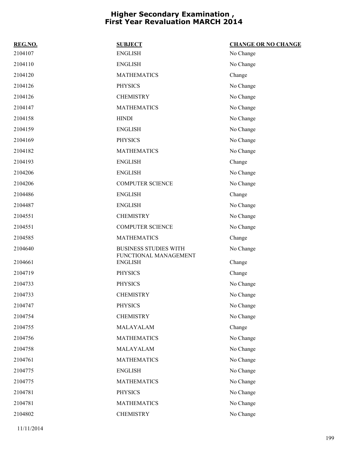| REG.NO. | <b>SUBJECT</b>                                        | <b>CHANGE OR NO CHANGE</b> |
|---------|-------------------------------------------------------|----------------------------|
| 2104107 | <b>ENGLISH</b>                                        | No Change                  |
| 2104110 | <b>ENGLISH</b>                                        | No Change                  |
| 2104120 | <b>MATHEMATICS</b>                                    | Change                     |
| 2104126 | <b>PHYSICS</b>                                        | No Change                  |
| 2104126 | <b>CHEMISTRY</b>                                      | No Change                  |
| 2104147 | <b>MATHEMATICS</b>                                    | No Change                  |
| 2104158 | <b>HINDI</b>                                          | No Change                  |
| 2104159 | <b>ENGLISH</b>                                        | No Change                  |
| 2104169 | <b>PHYSICS</b>                                        | No Change                  |
| 2104182 | <b>MATHEMATICS</b>                                    | No Change                  |
| 2104193 | <b>ENGLISH</b>                                        | Change                     |
| 2104206 | <b>ENGLISH</b>                                        | No Change                  |
| 2104206 | <b>COMPUTER SCIENCE</b>                               | No Change                  |
| 2104486 | <b>ENGLISH</b>                                        | Change                     |
| 2104487 | <b>ENGLISH</b>                                        | No Change                  |
| 2104551 | <b>CHEMISTRY</b>                                      | No Change                  |
| 2104551 | <b>COMPUTER SCIENCE</b>                               | No Change                  |
| 2104585 | <b>MATHEMATICS</b>                                    | Change                     |
| 2104640 | <b>BUSINESS STUDIES WITH</b><br>FUNCTIONAL MANAGEMENT | No Change                  |
| 2104661 | <b>ENGLISH</b>                                        | Change                     |
| 2104719 | <b>PHYSICS</b>                                        | Change                     |
| 2104733 | <b>PHYSICS</b>                                        | No Change                  |
| 2104733 | <b>CHEMISTRY</b>                                      | No Change                  |
| 2104747 | <b>PHYSICS</b>                                        | No Change                  |
| 2104754 | <b>CHEMISTRY</b>                                      | No Change                  |
| 2104755 | MALAYALAM                                             | Change                     |
| 2104756 | <b>MATHEMATICS</b>                                    | No Change                  |
| 2104758 | MALAYALAM                                             | No Change                  |
| 2104761 | <b>MATHEMATICS</b>                                    | No Change                  |
| 2104775 | <b>ENGLISH</b>                                        | No Change                  |
| 2104775 | <b>MATHEMATICS</b>                                    | No Change                  |
| 2104781 | <b>PHYSICS</b>                                        | No Change                  |
| 2104781 | <b>MATHEMATICS</b>                                    | No Change                  |
| 2104802 | <b>CHEMISTRY</b>                                      | No Change                  |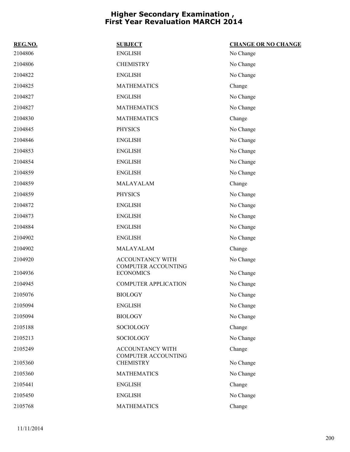| REG.NO. | <b>SUBJECT</b>                                 | <b>CHANGE OR NO CHANGE</b> |
|---------|------------------------------------------------|----------------------------|
| 2104806 | <b>ENGLISH</b>                                 | No Change                  |
| 2104806 | <b>CHEMISTRY</b>                               | No Change                  |
| 2104822 | <b>ENGLISH</b>                                 | No Change                  |
| 2104825 | <b>MATHEMATICS</b>                             | Change                     |
| 2104827 | <b>ENGLISH</b>                                 | No Change                  |
| 2104827 | <b>MATHEMATICS</b>                             | No Change                  |
| 2104830 | <b>MATHEMATICS</b>                             | Change                     |
| 2104845 | <b>PHYSICS</b>                                 | No Change                  |
| 2104846 | <b>ENGLISH</b>                                 | No Change                  |
| 2104853 | <b>ENGLISH</b>                                 | No Change                  |
| 2104854 | <b>ENGLISH</b>                                 | No Change                  |
| 2104859 | <b>ENGLISH</b>                                 | No Change                  |
| 2104859 | MALAYALAM                                      | Change                     |
| 2104859 | <b>PHYSICS</b>                                 | No Change                  |
| 2104872 | <b>ENGLISH</b>                                 | No Change                  |
| 2104873 | <b>ENGLISH</b>                                 | No Change                  |
| 2104884 | <b>ENGLISH</b>                                 | No Change                  |
| 2104902 | <b>ENGLISH</b>                                 | No Change                  |
| 2104902 | MALAYALAM                                      | Change                     |
| 2104920 | ACCOUNTANCY WITH<br>COMPUTER ACCOUNTING        | No Change                  |
| 2104936 | <b>ECONOMICS</b>                               | No Change                  |
| 2104945 | <b>COMPUTER APPLICATION</b>                    | No Change                  |
| 2105076 | <b>BIOLOGY</b>                                 | No Change                  |
| 2105094 | <b>ENGLISH</b>                                 | No Change                  |
| 2105094 | <b>BIOLOGY</b>                                 | No Change                  |
| 2105188 | SOCIOLOGY                                      | Change                     |
| 2105213 | <b>SOCIOLOGY</b>                               | No Change                  |
| 2105249 | ACCOUNTANCY WITH<br><b>COMPUTER ACCOUNTING</b> | Change                     |
| 2105360 | <b>CHEMISTRY</b>                               | No Change                  |
| 2105360 | <b>MATHEMATICS</b>                             | No Change                  |
| 2105441 | <b>ENGLISH</b>                                 | Change                     |
| 2105450 | <b>ENGLISH</b>                                 | No Change                  |
| 2105768 | <b>MATHEMATICS</b>                             | Change                     |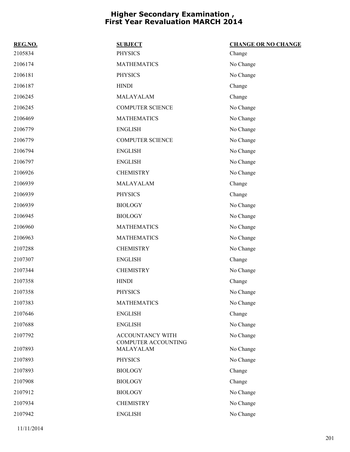| REG.NO. | <b>SUBJECT</b>                                 | <b>CHANGE OR NO CHANGE</b> |
|---------|------------------------------------------------|----------------------------|
| 2105834 | <b>PHYSICS</b>                                 | Change                     |
| 2106174 | <b>MATHEMATICS</b>                             | No Change                  |
| 2106181 | <b>PHYSICS</b>                                 | No Change                  |
| 2106187 | <b>HINDI</b>                                   | Change                     |
| 2106245 | MALAYALAM                                      | Change                     |
| 2106245 | <b>COMPUTER SCIENCE</b>                        | No Change                  |
| 2106469 | <b>MATHEMATICS</b>                             | No Change                  |
| 2106779 | <b>ENGLISH</b>                                 | No Change                  |
| 2106779 | <b>COMPUTER SCIENCE</b>                        | No Change                  |
| 2106794 | <b>ENGLISH</b>                                 | No Change                  |
| 2106797 | <b>ENGLISH</b>                                 | No Change                  |
| 2106926 | <b>CHEMISTRY</b>                               | No Change                  |
| 2106939 | MALAYALAM                                      | Change                     |
| 2106939 | <b>PHYSICS</b>                                 | Change                     |
| 2106939 | <b>BIOLOGY</b>                                 | No Change                  |
| 2106945 | <b>BIOLOGY</b>                                 | No Change                  |
| 2106960 | <b>MATHEMATICS</b>                             | No Change                  |
| 2106963 | <b>MATHEMATICS</b>                             | No Change                  |
| 2107288 | <b>CHEMISTRY</b>                               | No Change                  |
| 2107307 | <b>ENGLISH</b>                                 | Change                     |
| 2107344 | <b>CHEMISTRY</b>                               | No Change                  |
| 2107358 | <b>HINDI</b>                                   | Change                     |
| 2107358 | <b>PHYSICS</b>                                 | No Change                  |
| 2107383 | <b>MATHEMATICS</b>                             | No Change                  |
| 2107646 | <b>ENGLISH</b>                                 | Change                     |
| 2107688 | <b>ENGLISH</b>                                 | No Change                  |
| 2107792 | ACCOUNTANCY WITH<br><b>COMPUTER ACCOUNTING</b> | No Change                  |
| 2107893 | MALAYALAM                                      | No Change                  |
| 2107893 | <b>PHYSICS</b>                                 | No Change                  |
| 2107893 | <b>BIOLOGY</b>                                 | Change                     |
| 2107908 | <b>BIOLOGY</b>                                 | Change                     |
| 2107912 | <b>BIOLOGY</b>                                 | No Change                  |
| 2107934 | <b>CHEMISTRY</b>                               | No Change                  |
| 2107942 | <b>ENGLISH</b>                                 | No Change                  |
|         |                                                |                            |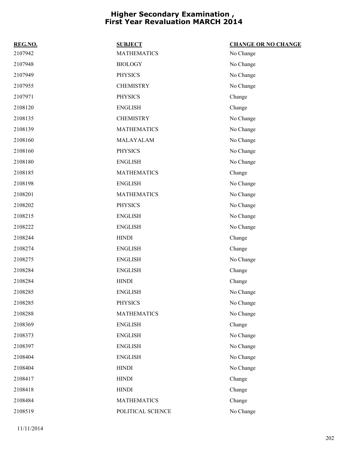| REG.NO. | <b>SUBJECT</b>     | <b>CHANGE OR NO CHANGE</b> |
|---------|--------------------|----------------------------|
| 2107942 | <b>MATHEMATICS</b> | No Change                  |
| 2107948 | <b>BIOLOGY</b>     | No Change                  |
| 2107949 | <b>PHYSICS</b>     | No Change                  |
| 2107955 | <b>CHEMISTRY</b>   | No Change                  |
| 2107971 | <b>PHYSICS</b>     | Change                     |
| 2108120 | <b>ENGLISH</b>     | Change                     |
| 2108135 | <b>CHEMISTRY</b>   | No Change                  |
| 2108139 | <b>MATHEMATICS</b> | No Change                  |
| 2108160 | MALAYALAM          | No Change                  |
| 2108160 | <b>PHYSICS</b>     | No Change                  |
| 2108180 | <b>ENGLISH</b>     | No Change                  |
| 2108185 | <b>MATHEMATICS</b> | Change                     |
| 2108198 | <b>ENGLISH</b>     | No Change                  |
| 2108201 | <b>MATHEMATICS</b> | No Change                  |
| 2108202 | <b>PHYSICS</b>     | No Change                  |
| 2108215 | <b>ENGLISH</b>     | No Change                  |
| 2108222 | <b>ENGLISH</b>     | No Change                  |
| 2108244 | <b>HINDI</b>       | Change                     |
| 2108274 | <b>ENGLISH</b>     | Change                     |
| 2108275 | <b>ENGLISH</b>     | No Change                  |
| 2108284 | <b>ENGLISH</b>     | Change                     |
| 2108284 | <b>HINDI</b>       | Change                     |
| 2108285 | <b>ENGLISH</b>     | No Change                  |
| 2108285 | <b>PHYSICS</b>     | No Change                  |
| 2108288 | <b>MATHEMATICS</b> | No Change                  |
| 2108369 | <b>ENGLISH</b>     | Change                     |
| 2108373 | <b>ENGLISH</b>     | No Change                  |
| 2108397 | <b>ENGLISH</b>     | No Change                  |
| 2108404 | <b>ENGLISH</b>     | No Change                  |
| 2108404 | <b>HINDI</b>       | No Change                  |
| 2108417 | <b>HINDI</b>       | Change                     |
| 2108418 | <b>HINDI</b>       | Change                     |
| 2108484 | <b>MATHEMATICS</b> | Change                     |
| 2108519 | POLITICAL SCIENCE  | No Change                  |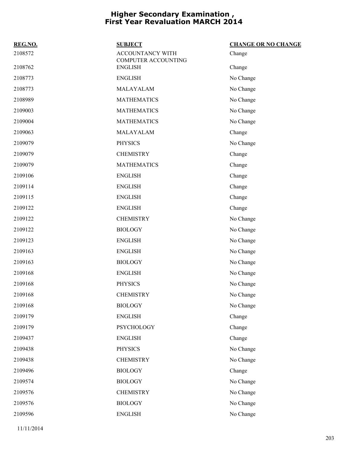| REG.NO. | <b>SUBJECT</b>                          | <b>CHANGE OR NO CHANGE</b> |
|---------|-----------------------------------------|----------------------------|
| 2108572 | ACCOUNTANCY WITH<br>COMPUTER ACCOUNTING | Change                     |
| 2108762 | <b>ENGLISH</b>                          | Change                     |
| 2108773 | <b>ENGLISH</b>                          | No Change                  |
| 2108773 | MALAYALAM                               | No Change                  |
| 2108989 | <b>MATHEMATICS</b>                      | No Change                  |
| 2109003 | <b>MATHEMATICS</b>                      | No Change                  |
| 2109004 | <b>MATHEMATICS</b>                      | No Change                  |
| 2109063 | MALAYALAM                               | Change                     |
| 2109079 | <b>PHYSICS</b>                          | No Change                  |
| 2109079 | <b>CHEMISTRY</b>                        | Change                     |
| 2109079 | <b>MATHEMATICS</b>                      | Change                     |
| 2109106 | <b>ENGLISH</b>                          | Change                     |
| 2109114 | <b>ENGLISH</b>                          | Change                     |
| 2109115 | <b>ENGLISH</b>                          | Change                     |
| 2109122 | <b>ENGLISH</b>                          | Change                     |
| 2109122 | <b>CHEMISTRY</b>                        | No Change                  |
| 2109122 | <b>BIOLOGY</b>                          | No Change                  |
| 2109123 | <b>ENGLISH</b>                          | No Change                  |
| 2109163 | <b>ENGLISH</b>                          | No Change                  |
| 2109163 | <b>BIOLOGY</b>                          | No Change                  |
| 2109168 | <b>ENGLISH</b>                          | No Change                  |
| 2109168 | <b>PHYSICS</b>                          | No Change                  |
| 2109168 | <b>CHEMISTRY</b>                        | No Change                  |
| 2109168 | <b>BIOLOGY</b>                          | No Change                  |
| 2109179 | <b>ENGLISH</b>                          | Change                     |
| 2109179 | <b>PSYCHOLOGY</b>                       | Change                     |
| 2109437 | <b>ENGLISH</b>                          | Change                     |
| 2109438 | <b>PHYSICS</b>                          | No Change                  |
| 2109438 | <b>CHEMISTRY</b>                        | No Change                  |
| 2109496 | <b>BIOLOGY</b>                          | Change                     |
| 2109574 | <b>BIOLOGY</b>                          | No Change                  |
| 2109576 | <b>CHEMISTRY</b>                        | No Change                  |
| 2109576 | <b>BIOLOGY</b>                          | No Change                  |
| 2109596 | <b>ENGLISH</b>                          | No Change                  |
|         |                                         |                            |

11/11/2014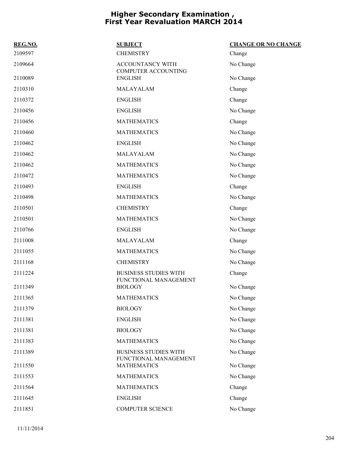| REG.NO. | <b>SUBJECT</b>                                        | <b>CHANGE OR NO CHANGE</b> |
|---------|-------------------------------------------------------|----------------------------|
| 2109597 | <b>CHEMISTRY</b>                                      | Change                     |
| 2109664 | <b>ACCOUNTANCY WITH</b><br><b>COMPUTER ACCOUNTING</b> | No Change                  |
| 2110089 | <b>ENGLISH</b>                                        | No Change                  |
| 2110310 | MALAYALAM                                             | Change                     |
| 2110372 | <b>ENGLISH</b>                                        | Change                     |
| 2110456 | <b>ENGLISH</b>                                        | No Change                  |
| 2110456 | <b>MATHEMATICS</b>                                    | Change                     |
| 2110460 | <b>MATHEMATICS</b>                                    | No Change                  |
| 2110462 | <b>ENGLISH</b>                                        | No Change                  |
| 2110462 | MALAYALAM                                             | No Change                  |
| 2110462 | <b>MATHEMATICS</b>                                    | No Change                  |
| 2110472 | <b>MATHEMATICS</b>                                    | No Change                  |
| 2110493 | <b>ENGLISH</b>                                        | Change                     |
| 2110498 | <b>MATHEMATICS</b>                                    | No Change                  |
| 2110501 | <b>CHEMISTRY</b>                                      | Change                     |
| 2110501 | <b>MATHEMATICS</b>                                    | No Change                  |
| 2110766 | <b>ENGLISH</b>                                        | No Change                  |
| 2111008 | MALAYALAM                                             | Change                     |
| 2111055 | <b>MATHEMATICS</b>                                    | No Change                  |
| 2111168 | <b>CHEMISTRY</b>                                      | No Change                  |
| 2111224 | <b>BUSINESS STUDIES WITH</b><br>FUNCTIONAL MANAGEMENT | Change                     |
| 2111349 | <b>BIOLOGY</b>                                        | No Change                  |
| 2111365 | <b>MATHEMATICS</b>                                    | No Change                  |
| 2111379 | <b>BIOLOGY</b>                                        | No Change                  |
| 2111381 | <b>ENGLISH</b>                                        | No Change                  |
| 2111381 | <b>BIOLOGY</b>                                        | No Change                  |
| 2111383 | <b>MATHEMATICS</b>                                    | No Change                  |
| 2111389 | <b>BUSINESS STUDIES WITH</b><br>FUNCTIONAL MANAGEMENT | No Change                  |
| 2111550 | <b>MATHEMATICS</b>                                    | No Change                  |
| 2111553 | <b>MATHEMATICS</b>                                    | No Change                  |
| 2111564 | <b>MATHEMATICS</b>                                    | Change                     |
| 2111645 | <b>ENGLISH</b>                                        | Change                     |
| 2111851 | <b>COMPUTER SCIENCE</b>                               | No Change                  |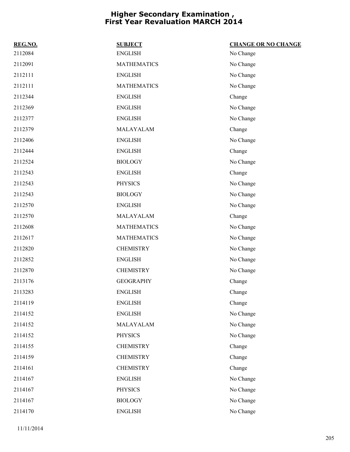| REG.NO. | <b>SUBJECT</b>     | <b>CHANGE OR NO CHANGE</b> |
|---------|--------------------|----------------------------|
| 2112084 | <b>ENGLISH</b>     | No Change                  |
| 2112091 | <b>MATHEMATICS</b> | No Change                  |
| 2112111 | <b>ENGLISH</b>     | No Change                  |
| 2112111 | <b>MATHEMATICS</b> | No Change                  |
| 2112344 | <b>ENGLISH</b>     | Change                     |
| 2112369 | <b>ENGLISH</b>     | No Change                  |
| 2112377 | <b>ENGLISH</b>     | No Change                  |
| 2112379 | MALAYALAM          | Change                     |
| 2112406 | <b>ENGLISH</b>     | No Change                  |
| 2112444 | <b>ENGLISH</b>     | Change                     |
| 2112524 | <b>BIOLOGY</b>     | No Change                  |
| 2112543 | <b>ENGLISH</b>     | Change                     |
| 2112543 | <b>PHYSICS</b>     | No Change                  |
| 2112543 | <b>BIOLOGY</b>     | No Change                  |
| 2112570 | <b>ENGLISH</b>     | No Change                  |
| 2112570 | MALAYALAM          | Change                     |
| 2112608 | <b>MATHEMATICS</b> | No Change                  |
| 2112617 | <b>MATHEMATICS</b> | No Change                  |
| 2112820 | <b>CHEMISTRY</b>   | No Change                  |
| 2112852 | <b>ENGLISH</b>     | No Change                  |
| 2112870 | <b>CHEMISTRY</b>   | No Change                  |
| 2113176 | <b>GEOGRAPHY</b>   | Change                     |
| 2113283 | <b>ENGLISH</b>     | Change                     |
| 2114119 | <b>ENGLISH</b>     | Change                     |
| 2114152 | <b>ENGLISH</b>     | No Change                  |
| 2114152 | MALAYALAM          | No Change                  |
| 2114152 | <b>PHYSICS</b>     | No Change                  |
| 2114155 | <b>CHEMISTRY</b>   | Change                     |
| 2114159 | <b>CHEMISTRY</b>   | Change                     |
| 2114161 | <b>CHEMISTRY</b>   | Change                     |
| 2114167 | <b>ENGLISH</b>     | No Change                  |
| 2114167 | <b>PHYSICS</b>     | No Change                  |
| 2114167 | <b>BIOLOGY</b>     | No Change                  |
| 2114170 | <b>ENGLISH</b>     | No Change                  |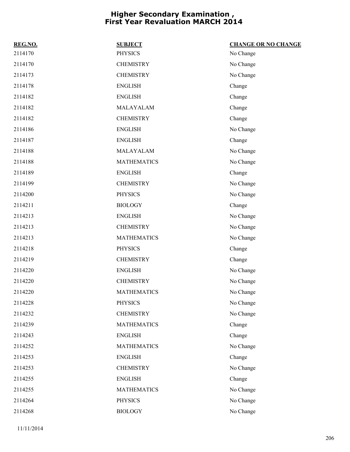| REG.NO. | <b>SUBJECT</b>     | <b>CHANGE OR NO CHANGE</b> |
|---------|--------------------|----------------------------|
| 2114170 | <b>PHYSICS</b>     | No Change                  |
| 2114170 | <b>CHEMISTRY</b>   | No Change                  |
| 2114173 | <b>CHEMISTRY</b>   | No Change                  |
| 2114178 | <b>ENGLISH</b>     | Change                     |
| 2114182 | <b>ENGLISH</b>     | Change                     |
| 2114182 | MALAYALAM          | Change                     |
| 2114182 | <b>CHEMISTRY</b>   | Change                     |
| 2114186 | <b>ENGLISH</b>     | No Change                  |
| 2114187 | <b>ENGLISH</b>     | Change                     |
| 2114188 | MALAYALAM          | No Change                  |
| 2114188 | <b>MATHEMATICS</b> | No Change                  |
| 2114189 | <b>ENGLISH</b>     | Change                     |
| 2114199 | <b>CHEMISTRY</b>   | No Change                  |
| 2114200 | <b>PHYSICS</b>     | No Change                  |
| 2114211 | <b>BIOLOGY</b>     | Change                     |
| 2114213 | <b>ENGLISH</b>     | No Change                  |
| 2114213 | <b>CHEMISTRY</b>   | No Change                  |
| 2114213 | <b>MATHEMATICS</b> | No Change                  |
| 2114218 | <b>PHYSICS</b>     | Change                     |
| 2114219 | <b>CHEMISTRY</b>   | Change                     |
| 2114220 | <b>ENGLISH</b>     | No Change                  |
| 2114220 | <b>CHEMISTRY</b>   | No Change                  |
| 2114220 | <b>MATHEMATICS</b> | No Change                  |
| 2114228 | <b>PHYSICS</b>     | No Change                  |
| 2114232 | <b>CHEMISTRY</b>   | No Change                  |
| 2114239 | <b>MATHEMATICS</b> | Change                     |
| 2114243 | <b>ENGLISH</b>     | Change                     |
| 2114252 | <b>MATHEMATICS</b> | No Change                  |
| 2114253 | <b>ENGLISH</b>     | Change                     |
| 2114253 | <b>CHEMISTRY</b>   | No Change                  |
| 2114255 | <b>ENGLISH</b>     | Change                     |
| 2114255 | <b>MATHEMATICS</b> | No Change                  |
| 2114264 | PHYSICS            | No Change                  |
| 2114268 | <b>BIOLOGY</b>     | No Change                  |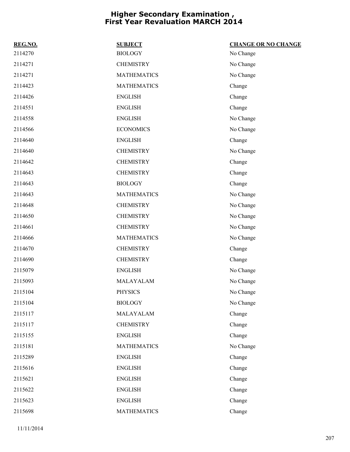| REG.NO. | <b>SUBJECT</b>     | <b>CHANGE OR NO CHANGE</b> |
|---------|--------------------|----------------------------|
| 2114270 | <b>BIOLOGY</b>     | No Change                  |
| 2114271 | <b>CHEMISTRY</b>   | No Change                  |
| 2114271 | <b>MATHEMATICS</b> | No Change                  |
| 2114423 | <b>MATHEMATICS</b> | Change                     |
| 2114426 | <b>ENGLISH</b>     | Change                     |
| 2114551 | <b>ENGLISH</b>     | Change                     |
| 2114558 | <b>ENGLISH</b>     | No Change                  |
| 2114566 | <b>ECONOMICS</b>   | No Change                  |
| 2114640 | <b>ENGLISH</b>     | Change                     |
| 2114640 | <b>CHEMISTRY</b>   | No Change                  |
| 2114642 | <b>CHEMISTRY</b>   | Change                     |
| 2114643 | <b>CHEMISTRY</b>   | Change                     |
| 2114643 | <b>BIOLOGY</b>     | Change                     |
| 2114643 | <b>MATHEMATICS</b> | No Change                  |
| 2114648 | <b>CHEMISTRY</b>   | No Change                  |
| 2114650 | <b>CHEMISTRY</b>   | No Change                  |
| 2114661 | <b>CHEMISTRY</b>   | No Change                  |
| 2114666 | <b>MATHEMATICS</b> | No Change                  |
| 2114670 | <b>CHEMISTRY</b>   | Change                     |
| 2114690 | <b>CHEMISTRY</b>   | Change                     |
| 2115079 | <b>ENGLISH</b>     | No Change                  |
| 2115093 | MALAYALAM          | No Change                  |
| 2115104 | <b>PHYSICS</b>     | No Change                  |
| 2115104 | <b>BIOLOGY</b>     | No Change                  |
| 2115117 | MALAYALAM          | Change                     |
| 2115117 | <b>CHEMISTRY</b>   | Change                     |
| 2115155 | <b>ENGLISH</b>     | Change                     |
| 2115181 | <b>MATHEMATICS</b> | No Change                  |
| 2115289 | <b>ENGLISH</b>     | Change                     |
| 2115616 | <b>ENGLISH</b>     | Change                     |
| 2115621 | <b>ENGLISH</b>     | Change                     |
| 2115622 | <b>ENGLISH</b>     | Change                     |
| 2115623 | <b>ENGLISH</b>     | Change                     |
| 2115698 | <b>MATHEMATICS</b> | Change                     |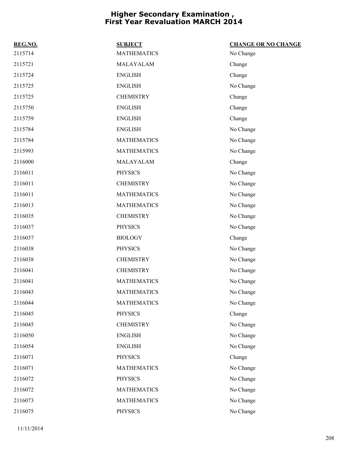| REG.NO. | <b>SUBJECT</b>     | <b>CHANGE OR NO CHANGE</b> |
|---------|--------------------|----------------------------|
| 2115714 | <b>MATHEMATICS</b> | No Change                  |
| 2115721 | MALAYALAM          | Change                     |
| 2115724 | <b>ENGLISH</b>     | Change                     |
| 2115725 | <b>ENGLISH</b>     | No Change                  |
| 2115725 | <b>CHEMISTRY</b>   | Change                     |
| 2115750 | <b>ENGLISH</b>     | Change                     |
| 2115759 | <b>ENGLISH</b>     | Change                     |
| 2115784 | <b>ENGLISH</b>     | No Change                  |
| 2115784 | <b>MATHEMATICS</b> | No Change                  |
| 2115993 | <b>MATHEMATICS</b> | No Change                  |
| 2116000 | MALAYALAM          | Change                     |
| 2116011 | <b>PHYSICS</b>     | No Change                  |
| 2116011 | <b>CHEMISTRY</b>   | No Change                  |
| 2116011 | <b>MATHEMATICS</b> | No Change                  |
| 2116013 | <b>MATHEMATICS</b> | No Change                  |
| 2116035 | <b>CHEMISTRY</b>   | No Change                  |
| 2116037 | <b>PHYSICS</b>     | No Change                  |
| 2116037 | <b>BIOLOGY</b>     | Change                     |
| 2116038 | <b>PHYSICS</b>     | No Change                  |
| 2116038 | <b>CHEMISTRY</b>   | No Change                  |
| 2116041 | <b>CHEMISTRY</b>   | No Change                  |
| 2116041 | <b>MATHEMATICS</b> | No Change                  |
| 2116043 | <b>MATHEMATICS</b> | No Change                  |
| 2116044 | <b>MATHEMATICS</b> | No Change                  |
| 2116045 | <b>PHYSICS</b>     | Change                     |
| 2116045 | <b>CHEMISTRY</b>   | No Change                  |
| 2116050 | <b>ENGLISH</b>     | No Change                  |
| 2116054 | <b>ENGLISH</b>     | No Change                  |
| 2116071 | <b>PHYSICS</b>     | Change                     |
| 2116071 | <b>MATHEMATICS</b> | No Change                  |
| 2116072 | <b>PHYSICS</b>     | No Change                  |
| 2116072 | <b>MATHEMATICS</b> | No Change                  |
| 2116073 | <b>MATHEMATICS</b> | No Change                  |
| 2116075 | <b>PHYSICS</b>     | No Change                  |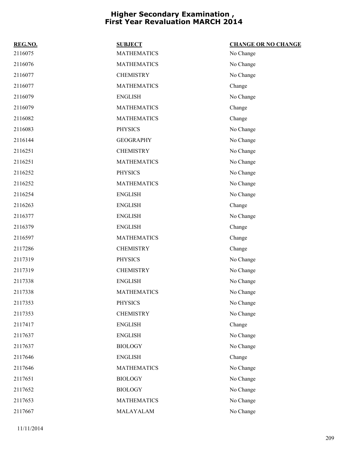| REG.NO. | <b>SUBJECT</b>     | <b>CHANGE OR NO CHANGE</b> |
|---------|--------------------|----------------------------|
| 2116075 | <b>MATHEMATICS</b> | No Change                  |
| 2116076 | <b>MATHEMATICS</b> | No Change                  |
| 2116077 | <b>CHEMISTRY</b>   | No Change                  |
| 2116077 | <b>MATHEMATICS</b> | Change                     |
| 2116079 | <b>ENGLISH</b>     | No Change                  |
| 2116079 | <b>MATHEMATICS</b> | Change                     |
| 2116082 | <b>MATHEMATICS</b> | Change                     |
| 2116083 | <b>PHYSICS</b>     | No Change                  |
| 2116144 | <b>GEOGRAPHY</b>   | No Change                  |
| 2116251 | <b>CHEMISTRY</b>   | No Change                  |
| 2116251 | <b>MATHEMATICS</b> | No Change                  |
| 2116252 | <b>PHYSICS</b>     | No Change                  |
| 2116252 | <b>MATHEMATICS</b> | No Change                  |
| 2116254 | <b>ENGLISH</b>     | No Change                  |
| 2116263 | <b>ENGLISH</b>     | Change                     |
| 2116377 | <b>ENGLISH</b>     | No Change                  |
| 2116379 | <b>ENGLISH</b>     | Change                     |
| 2116597 | <b>MATHEMATICS</b> | Change                     |
| 2117286 | <b>CHEMISTRY</b>   | Change                     |
| 2117319 | <b>PHYSICS</b>     | No Change                  |
| 2117319 | <b>CHEMISTRY</b>   | No Change                  |
| 2117338 | <b>ENGLISH</b>     | No Change                  |
| 2117338 | <b>MATHEMATICS</b> | No Change                  |
| 2117353 | <b>PHYSICS</b>     | No Change                  |
| 2117353 | <b>CHEMISTRY</b>   | No Change                  |
| 2117417 | <b>ENGLISH</b>     | Change                     |
| 2117637 | <b>ENGLISH</b>     | No Change                  |
| 2117637 | <b>BIOLOGY</b>     | No Change                  |
| 2117646 | <b>ENGLISH</b>     | Change                     |
| 2117646 | <b>MATHEMATICS</b> | No Change                  |
| 2117651 | <b>BIOLOGY</b>     | No Change                  |
| 2117652 | <b>BIOLOGY</b>     | No Change                  |
| 2117653 | <b>MATHEMATICS</b> | No Change                  |
| 2117667 | MALAYALAM          | No Change                  |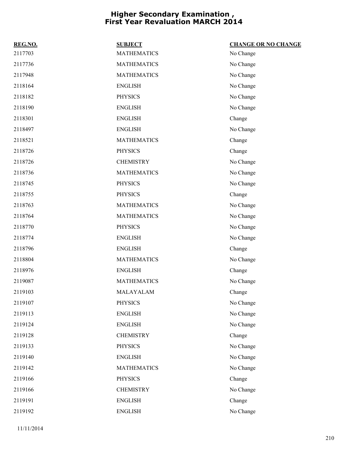| REG.NO. | <b>SUBJECT</b>     | <b>CHANGE OR NO CHANGE</b> |
|---------|--------------------|----------------------------|
| 2117703 | <b>MATHEMATICS</b> | No Change                  |
| 2117736 | <b>MATHEMATICS</b> | No Change                  |
| 2117948 | <b>MATHEMATICS</b> | No Change                  |
| 2118164 | <b>ENGLISH</b>     | No Change                  |
| 2118182 | <b>PHYSICS</b>     | No Change                  |
| 2118190 | <b>ENGLISH</b>     | No Change                  |
| 2118301 | <b>ENGLISH</b>     | Change                     |
| 2118497 | <b>ENGLISH</b>     | No Change                  |
| 2118521 | <b>MATHEMATICS</b> | Change                     |
| 2118726 | <b>PHYSICS</b>     | Change                     |
| 2118726 | <b>CHEMISTRY</b>   | No Change                  |
| 2118736 | <b>MATHEMATICS</b> | No Change                  |
| 2118745 | <b>PHYSICS</b>     | No Change                  |
| 2118755 | <b>PHYSICS</b>     | Change                     |
| 2118763 | <b>MATHEMATICS</b> | No Change                  |
| 2118764 | <b>MATHEMATICS</b> | No Change                  |
| 2118770 | <b>PHYSICS</b>     | No Change                  |
| 2118774 | <b>ENGLISH</b>     | No Change                  |
| 2118796 | <b>ENGLISH</b>     | Change                     |
| 2118804 | <b>MATHEMATICS</b> | No Change                  |
| 2118976 | <b>ENGLISH</b>     | Change                     |
| 2119087 | <b>MATHEMATICS</b> | No Change                  |
| 2119103 | MALAYALAM          | Change                     |
| 2119107 | <b>PHYSICS</b>     | No Change                  |
| 2119113 | <b>ENGLISH</b>     | No Change                  |
| 2119124 | <b>ENGLISH</b>     | No Change                  |
| 2119128 | <b>CHEMISTRY</b>   | Change                     |
| 2119133 | <b>PHYSICS</b>     | No Change                  |
| 2119140 | <b>ENGLISH</b>     | No Change                  |
| 2119142 | <b>MATHEMATICS</b> | No Change                  |
| 2119166 | <b>PHYSICS</b>     | Change                     |
| 2119166 | <b>CHEMISTRY</b>   | No Change                  |
| 2119191 | <b>ENGLISH</b>     | Change                     |
| 2119192 | <b>ENGLISH</b>     | No Change                  |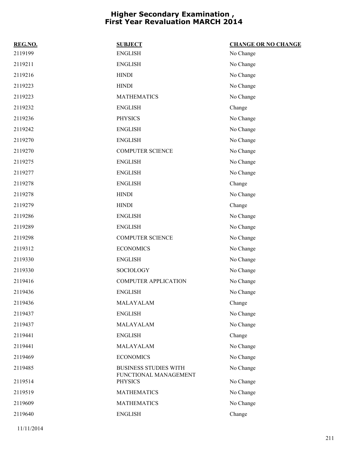| REG.NO. | <b>SUBJECT</b>                          | <b>CHANGE OR NO CHANGE</b> |
|---------|-----------------------------------------|----------------------------|
| 2119199 | <b>ENGLISH</b>                          | No Change                  |
| 2119211 | <b>ENGLISH</b>                          | No Change                  |
| 2119216 | <b>HINDI</b>                            | No Change                  |
| 2119223 | <b>HINDI</b>                            | No Change                  |
| 2119223 | <b>MATHEMATICS</b>                      | No Change                  |
| 2119232 | <b>ENGLISH</b>                          | Change                     |
| 2119236 | <b>PHYSICS</b>                          | No Change                  |
| 2119242 | <b>ENGLISH</b>                          | No Change                  |
| 2119270 | <b>ENGLISH</b>                          | No Change                  |
| 2119270 | <b>COMPUTER SCIENCE</b>                 | No Change                  |
| 2119275 | <b>ENGLISH</b>                          | No Change                  |
| 2119277 | <b>ENGLISH</b>                          | No Change                  |
| 2119278 | <b>ENGLISH</b>                          | Change                     |
| 2119278 | <b>HINDI</b>                            | No Change                  |
| 2119279 | <b>HINDI</b>                            | Change                     |
| 2119286 | <b>ENGLISH</b>                          | No Change                  |
| 2119289 | <b>ENGLISH</b>                          | No Change                  |
| 2119298 | <b>COMPUTER SCIENCE</b>                 | No Change                  |
| 2119312 | <b>ECONOMICS</b>                        | No Change                  |
| 2119330 | <b>ENGLISH</b>                          | No Change                  |
| 2119330 | <b>SOCIOLOGY</b>                        | No Change                  |
| 2119416 | <b>COMPUTER APPLICATION</b>             | No Change                  |
| 2119436 | <b>ENGLISH</b>                          | No Change                  |
| 2119436 | MALAYALAM                               | Change                     |
| 2119437 | <b>ENGLISH</b>                          | No Change                  |
| 2119437 | MALAYALAM                               | No Change                  |
| 2119441 | <b>ENGLISH</b>                          | Change                     |
| 2119441 | MALAYALAM                               | No Change                  |
| 2119469 | <b>ECONOMICS</b>                        | No Change                  |
| 2119485 | <b>BUSINESS STUDIES WITH</b>            | No Change                  |
| 2119514 | FUNCTIONAL MANAGEMENT<br><b>PHYSICS</b> | No Change                  |
| 2119519 | <b>MATHEMATICS</b>                      | No Change                  |
| 2119609 | <b>MATHEMATICS</b>                      | No Change                  |
| 2119640 | <b>ENGLISH</b>                          | Change                     |
|         |                                         |                            |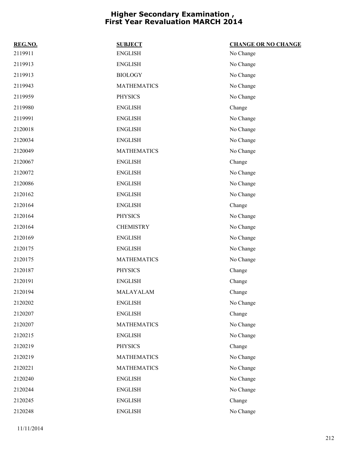| REG.NO. | <b>SUBJECT</b>     | <b>CHANGE OR NO CHANGE</b> |
|---------|--------------------|----------------------------|
| 2119911 | <b>ENGLISH</b>     | No Change                  |
| 2119913 | <b>ENGLISH</b>     | No Change                  |
| 2119913 | <b>BIOLOGY</b>     | No Change                  |
| 2119943 | <b>MATHEMATICS</b> | No Change                  |
| 2119959 | <b>PHYSICS</b>     | No Change                  |
| 2119980 | <b>ENGLISH</b>     | Change                     |
| 2119991 | <b>ENGLISH</b>     | No Change                  |
| 2120018 | <b>ENGLISH</b>     | No Change                  |
| 2120034 | <b>ENGLISH</b>     | No Change                  |
| 2120049 | <b>MATHEMATICS</b> | No Change                  |
| 2120067 | <b>ENGLISH</b>     | Change                     |
| 2120072 | <b>ENGLISH</b>     | No Change                  |
| 2120086 | <b>ENGLISH</b>     | No Change                  |
| 2120162 | <b>ENGLISH</b>     | No Change                  |
| 2120164 | <b>ENGLISH</b>     | Change                     |
| 2120164 | <b>PHYSICS</b>     | No Change                  |
| 2120164 | <b>CHEMISTRY</b>   | No Change                  |
| 2120169 | <b>ENGLISH</b>     | No Change                  |
| 2120175 | <b>ENGLISH</b>     | No Change                  |
| 2120175 | <b>MATHEMATICS</b> | No Change                  |
| 2120187 | PHYSICS            | Change                     |
| 2120191 | <b>ENGLISH</b>     | Change                     |
| 2120194 | MALAYALAM          | Change                     |
| 2120202 | <b>ENGLISH</b>     | No Change                  |
| 2120207 | <b>ENGLISH</b>     | Change                     |
| 2120207 | <b>MATHEMATICS</b> | No Change                  |
| 2120215 | <b>ENGLISH</b>     | No Change                  |
| 2120219 | PHYSICS            | Change                     |
| 2120219 | <b>MATHEMATICS</b> | No Change                  |
| 2120221 | <b>MATHEMATICS</b> | No Change                  |
| 2120240 | <b>ENGLISH</b>     | No Change                  |
| 2120244 | <b>ENGLISH</b>     | No Change                  |
| 2120245 | <b>ENGLISH</b>     | Change                     |
| 2120248 | <b>ENGLISH</b>     | No Change                  |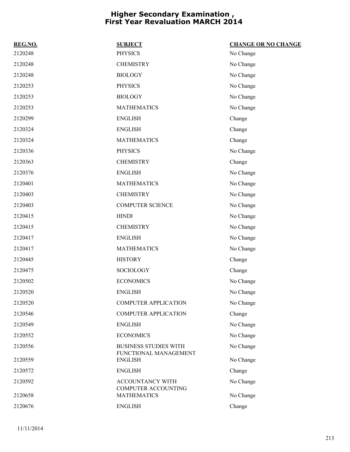| REG.NO. | <b>SUBJECT</b>                                        | <b>CHANGE OR NO CHANGE</b> |
|---------|-------------------------------------------------------|----------------------------|
| 2120248 | <b>PHYSICS</b>                                        | No Change                  |
| 2120248 | <b>CHEMISTRY</b>                                      | No Change                  |
| 2120248 | <b>BIOLOGY</b>                                        | No Change                  |
| 2120253 | <b>PHYSICS</b>                                        | No Change                  |
| 2120253 | <b>BIOLOGY</b>                                        | No Change                  |
| 2120253 | <b>MATHEMATICS</b>                                    | No Change                  |
| 2120299 | <b>ENGLISH</b>                                        | Change                     |
| 2120324 | <b>ENGLISH</b>                                        | Change                     |
| 2120324 | <b>MATHEMATICS</b>                                    | Change                     |
| 2120336 | <b>PHYSICS</b>                                        | No Change                  |
| 2120363 | <b>CHEMISTRY</b>                                      | Change                     |
| 2120376 | <b>ENGLISH</b>                                        | No Change                  |
| 2120401 | <b>MATHEMATICS</b>                                    | No Change                  |
| 2120403 | <b>CHEMISTRY</b>                                      | No Change                  |
| 2120403 | <b>COMPUTER SCIENCE</b>                               | No Change                  |
| 2120415 | <b>HINDI</b>                                          | No Change                  |
| 2120415 | <b>CHEMISTRY</b>                                      | No Change                  |
| 2120417 | <b>ENGLISH</b>                                        | No Change                  |
| 2120417 | <b>MATHEMATICS</b>                                    | No Change                  |
| 2120445 | <b>HISTORY</b>                                        | Change                     |
| 2120475 | SOCIOLOGY                                             | Change                     |
| 2120502 | <b>ECONOMICS</b>                                      | No Change                  |
| 2120520 | <b>ENGLISH</b>                                        | No Change                  |
| 2120520 | <b>COMPUTER APPLICATION</b>                           | No Change                  |
| 2120546 | <b>COMPUTER APPLICATION</b>                           | Change                     |
| 2120549 | <b>ENGLISH</b>                                        | No Change                  |
| 2120552 | <b>ECONOMICS</b>                                      | No Change                  |
| 2120556 | <b>BUSINESS STUDIES WITH</b><br>FUNCTIONAL MANAGEMENT | No Change                  |
| 2120559 | <b>ENGLISH</b>                                        | No Change                  |
| 2120572 | <b>ENGLISH</b>                                        | Change                     |
| 2120592 | ACCOUNTANCY WITH<br><b>COMPUTER ACCOUNTING</b>        | No Change                  |
| 2120658 | <b>MATHEMATICS</b>                                    | No Change                  |
| 2120676 | <b>ENGLISH</b>                                        | Change                     |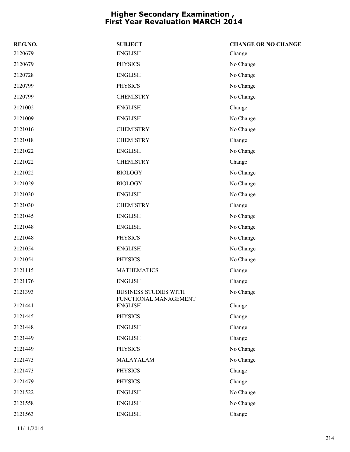| REG.NO. | <b>SUBJECT</b>                          | <b>CHANGE OR NO CHANGE</b> |
|---------|-----------------------------------------|----------------------------|
| 2120679 | <b>ENGLISH</b>                          | Change                     |
| 2120679 | <b>PHYSICS</b>                          | No Change                  |
| 2120728 | <b>ENGLISH</b>                          | No Change                  |
| 2120799 | <b>PHYSICS</b>                          | No Change                  |
| 2120799 | <b>CHEMISTRY</b>                        | No Change                  |
| 2121002 | <b>ENGLISH</b>                          | Change                     |
| 2121009 | <b>ENGLISH</b>                          | No Change                  |
| 2121016 | <b>CHEMISTRY</b>                        | No Change                  |
| 2121018 | <b>CHEMISTRY</b>                        | Change                     |
| 2121022 | <b>ENGLISH</b>                          | No Change                  |
| 2121022 | <b>CHEMISTRY</b>                        | Change                     |
| 2121022 | <b>BIOLOGY</b>                          | No Change                  |
| 2121029 | <b>BIOLOGY</b>                          | No Change                  |
| 2121030 | <b>ENGLISH</b>                          | No Change                  |
| 2121030 | <b>CHEMISTRY</b>                        | Change                     |
| 2121045 | <b>ENGLISH</b>                          | No Change                  |
| 2121048 | <b>ENGLISH</b>                          | No Change                  |
| 2121048 | <b>PHYSICS</b>                          | No Change                  |
| 2121054 | <b>ENGLISH</b>                          | No Change                  |
| 2121054 | <b>PHYSICS</b>                          | No Change                  |
| 2121115 | <b>MATHEMATICS</b>                      | Change                     |
| 2121176 | <b>ENGLISH</b>                          | Change                     |
| 2121393 | <b>BUSINESS STUDIES WITH</b>            | No Change                  |
| 2121441 | FUNCTIONAL MANAGEMENT<br><b>ENGLISH</b> | Change                     |
| 2121445 | <b>PHYSICS</b>                          | Change                     |
| 2121448 | <b>ENGLISH</b>                          | Change                     |
| 2121449 | <b>ENGLISH</b>                          | Change                     |
| 2121449 | <b>PHYSICS</b>                          | No Change                  |
| 2121473 | MALAYALAM                               | No Change                  |
| 2121473 | <b>PHYSICS</b>                          | Change                     |
| 2121479 | <b>PHYSICS</b>                          | Change                     |
| 2121522 | <b>ENGLISH</b>                          | No Change                  |
| 2121558 | <b>ENGLISH</b>                          | No Change                  |
| 2121563 | <b>ENGLISH</b>                          | Change                     |
|         |                                         |                            |

11/11/2014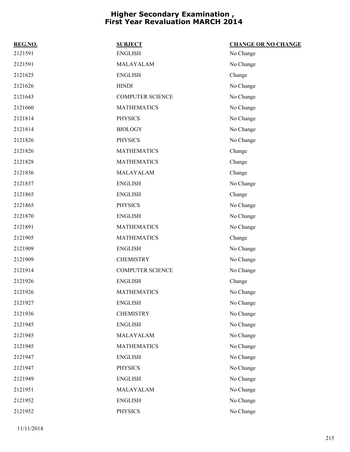| REG.NO. | <b>SUBJECT</b>          | <b>CHANGE OR NO CHANGE</b> |
|---------|-------------------------|----------------------------|
| 2121591 | <b>ENGLISH</b>          | No Change                  |
| 2121591 | MALAYALAM               | No Change                  |
| 2121625 | <b>ENGLISH</b>          | Change                     |
| 2121626 | <b>HINDI</b>            | No Change                  |
| 2121643 | <b>COMPUTER SCIENCE</b> | No Change                  |
| 2121660 | <b>MATHEMATICS</b>      | No Change                  |
| 2121814 | <b>PHYSICS</b>          | No Change                  |
| 2121814 | <b>BIOLOGY</b>          | No Change                  |
| 2121826 | <b>PHYSICS</b>          | No Change                  |
| 2121826 | <b>MATHEMATICS</b>      | Change                     |
| 2121828 | <b>MATHEMATICS</b>      | Change                     |
| 2121836 | MALAYALAM               | Change                     |
| 2121837 | <b>ENGLISH</b>          | No Change                  |
| 2121865 | <b>ENGLISH</b>          | Change                     |
| 2121865 | <b>PHYSICS</b>          | No Change                  |
| 2121870 | <b>ENGLISH</b>          | No Change                  |
| 2121891 | <b>MATHEMATICS</b>      | No Change                  |
| 2121905 | <b>MATHEMATICS</b>      | Change                     |
| 2121909 | <b>ENGLISH</b>          | No Change                  |
| 2121909 | <b>CHEMISTRY</b>        | No Change                  |
| 2121914 | <b>COMPUTER SCIENCE</b> | No Change                  |
| 2121926 | <b>ENGLISH</b>          | Change                     |
| 2121926 | <b>MATHEMATICS</b>      | No Change                  |
| 2121927 | <b>ENGLISH</b>          | No Change                  |
| 2121936 | <b>CHEMISTRY</b>        | No Change                  |
| 2121945 | <b>ENGLISH</b>          | No Change                  |
| 2121945 | MALAYALAM               | No Change                  |
| 2121945 | <b>MATHEMATICS</b>      | No Change                  |
| 2121947 | <b>ENGLISH</b>          | No Change                  |
| 2121947 | <b>PHYSICS</b>          | No Change                  |
| 2121949 | <b>ENGLISH</b>          | No Change                  |
| 2121951 | MALAYALAM               | No Change                  |
| 2121952 | <b>ENGLISH</b>          | No Change                  |
| 2121952 | <b>PHYSICS</b>          | No Change                  |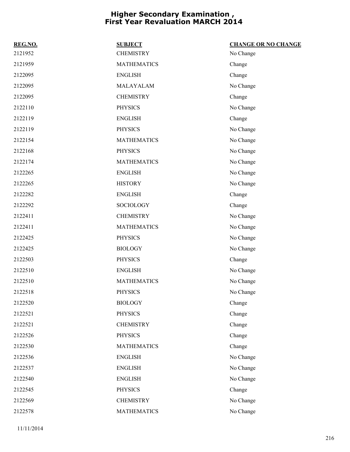| REG.NO. | <b>SUBJECT</b>     | <b>CHANGE OR NO CHANGE</b> |
|---------|--------------------|----------------------------|
| 2121952 | <b>CHEMISTRY</b>   | No Change                  |
| 2121959 | <b>MATHEMATICS</b> | Change                     |
| 2122095 | <b>ENGLISH</b>     | Change                     |
| 2122095 | MALAYALAM          | No Change                  |
| 2122095 | <b>CHEMISTRY</b>   | Change                     |
| 2122110 | <b>PHYSICS</b>     | No Change                  |
| 2122119 | <b>ENGLISH</b>     | Change                     |
| 2122119 | <b>PHYSICS</b>     | No Change                  |
| 2122154 | <b>MATHEMATICS</b> | No Change                  |
| 2122168 | <b>PHYSICS</b>     | No Change                  |
| 2122174 | <b>MATHEMATICS</b> | No Change                  |
| 2122265 | <b>ENGLISH</b>     | No Change                  |
| 2122265 | <b>HISTORY</b>     | No Change                  |
| 2122282 | <b>ENGLISH</b>     | Change                     |
| 2122292 | SOCIOLOGY          | Change                     |
| 2122411 | <b>CHEMISTRY</b>   | No Change                  |
| 2122411 | <b>MATHEMATICS</b> | No Change                  |
| 2122425 | <b>PHYSICS</b>     | No Change                  |
| 2122425 | <b>BIOLOGY</b>     | No Change                  |
| 2122503 | <b>PHYSICS</b>     | Change                     |
| 2122510 | <b>ENGLISH</b>     | No Change                  |
| 2122510 | <b>MATHEMATICS</b> | No Change                  |
| 2122518 | <b>PHYSICS</b>     | No Change                  |
| 2122520 | <b>BIOLOGY</b>     | Change                     |
| 2122521 | <b>PHYSICS</b>     | Change                     |
| 2122521 | <b>CHEMISTRY</b>   | Change                     |
| 2122526 | <b>PHYSICS</b>     | Change                     |
| 2122530 | <b>MATHEMATICS</b> | Change                     |
| 2122536 | <b>ENGLISH</b>     | No Change                  |
| 2122537 | <b>ENGLISH</b>     | No Change                  |
| 2122540 | <b>ENGLISH</b>     | No Change                  |
| 2122545 | <b>PHYSICS</b>     | Change                     |
| 2122569 | <b>CHEMISTRY</b>   | No Change                  |
| 2122578 | <b>MATHEMATICS</b> | No Change                  |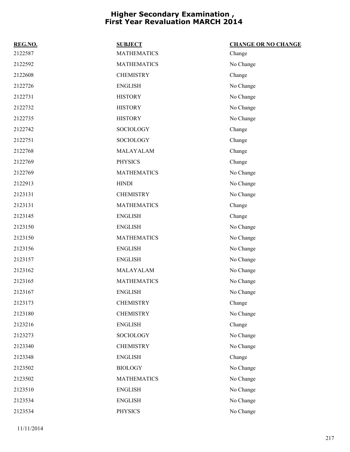| REG.NO. | <b>SUBJECT</b>     | <b>CHANGE OR NO CHANGE</b> |
|---------|--------------------|----------------------------|
| 2122587 | <b>MATHEMATICS</b> | Change                     |
| 2122592 | <b>MATHEMATICS</b> | No Change                  |
| 2122608 | <b>CHEMISTRY</b>   | Change                     |
| 2122726 | <b>ENGLISH</b>     | No Change                  |
| 2122731 | <b>HISTORY</b>     | No Change                  |
| 2122732 | <b>HISTORY</b>     | No Change                  |
| 2122735 | <b>HISTORY</b>     | No Change                  |
| 2122742 | <b>SOCIOLOGY</b>   | Change                     |
| 2122751 | SOCIOLOGY          | Change                     |
| 2122768 | MALAYALAM          | Change                     |
| 2122769 | <b>PHYSICS</b>     | Change                     |
| 2122769 | <b>MATHEMATICS</b> | No Change                  |
| 2122913 | <b>HINDI</b>       | No Change                  |
| 2123131 | <b>CHEMISTRY</b>   | No Change                  |
| 2123131 | <b>MATHEMATICS</b> | Change                     |
| 2123145 | <b>ENGLISH</b>     | Change                     |
| 2123150 | <b>ENGLISH</b>     | No Change                  |
| 2123150 | <b>MATHEMATICS</b> | No Change                  |
| 2123156 | <b>ENGLISH</b>     | No Change                  |
| 2123157 | <b>ENGLISH</b>     | No Change                  |
| 2123162 | MALAYALAM          | No Change                  |
| 2123165 | <b>MATHEMATICS</b> | No Change                  |
| 2123167 | <b>ENGLISH</b>     | No Change                  |
| 2123173 | <b>CHEMISTRY</b>   | Change                     |
| 2123180 | <b>CHEMISTRY</b>   | No Change                  |
| 2123216 | <b>ENGLISH</b>     | Change                     |
| 2123273 | SOCIOLOGY          | No Change                  |
| 2123340 | <b>CHEMISTRY</b>   | No Change                  |
| 2123348 | <b>ENGLISH</b>     | Change                     |
| 2123502 | <b>BIOLOGY</b>     | No Change                  |
| 2123502 | <b>MATHEMATICS</b> | No Change                  |
| 2123510 | <b>ENGLISH</b>     | No Change                  |
| 2123534 | <b>ENGLISH</b>     | No Change                  |
| 2123534 | <b>PHYSICS</b>     | No Change                  |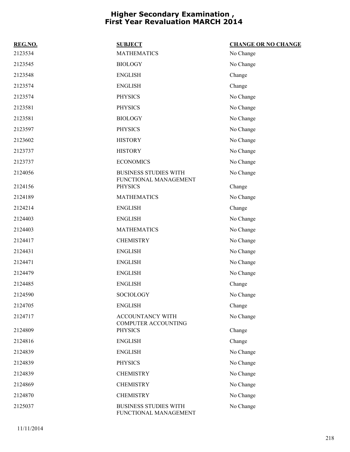| REG.NO. | <b>SUBJECT</b>                                        | <b>CHANGE OR NO CHANGE</b> |
|---------|-------------------------------------------------------|----------------------------|
| 2123534 | <b>MATHEMATICS</b>                                    | No Change                  |
| 2123545 | <b>BIOLOGY</b>                                        | No Change                  |
| 2123548 | <b>ENGLISH</b>                                        | Change                     |
| 2123574 | <b>ENGLISH</b>                                        | Change                     |
| 2123574 | <b>PHYSICS</b>                                        | No Change                  |
| 2123581 | <b>PHYSICS</b>                                        | No Change                  |
| 2123581 | <b>BIOLOGY</b>                                        | No Change                  |
| 2123597 | <b>PHYSICS</b>                                        | No Change                  |
| 2123602 | <b>HISTORY</b>                                        | No Change                  |
| 2123737 | <b>HISTORY</b>                                        | No Change                  |
| 2123737 | <b>ECONOMICS</b>                                      | No Change                  |
| 2124056 | <b>BUSINESS STUDIES WITH</b><br>FUNCTIONAL MANAGEMENT | No Change                  |
| 2124156 | <b>PHYSICS</b>                                        | Change                     |
| 2124189 | <b>MATHEMATICS</b>                                    | No Change                  |
| 2124214 | <b>ENGLISH</b>                                        | Change                     |
| 2124403 | <b>ENGLISH</b>                                        | No Change                  |
| 2124403 | <b>MATHEMATICS</b>                                    | No Change                  |
| 2124417 | <b>CHEMISTRY</b>                                      | No Change                  |
| 2124431 | <b>ENGLISH</b>                                        | No Change                  |
| 2124471 | <b>ENGLISH</b>                                        | No Change                  |
| 2124479 | ${\rm ENGLISH}$                                       | No Change                  |
| 2124485 | <b>ENGLISH</b>                                        | Change                     |
| 2124590 | SOCIOLOGY                                             | No Change                  |
| 2124705 | <b>ENGLISH</b>                                        | Change                     |
| 2124717 | <b>ACCOUNTANCY WITH</b>                               | No Change                  |
| 2124809 | <b>COMPUTER ACCOUNTING</b><br><b>PHYSICS</b>          | Change                     |
| 2124816 | <b>ENGLISH</b>                                        | Change                     |
| 2124839 | <b>ENGLISH</b>                                        | No Change                  |
| 2124839 | <b>PHYSICS</b>                                        | No Change                  |
| 2124839 | <b>CHEMISTRY</b>                                      | No Change                  |
| 2124869 | <b>CHEMISTRY</b>                                      | No Change                  |
| 2124870 | <b>CHEMISTRY</b>                                      | No Change                  |
| 2125037 | <b>BUSINESS STUDIES WITH</b><br>FUNCTIONAL MANAGEMENT | No Change                  |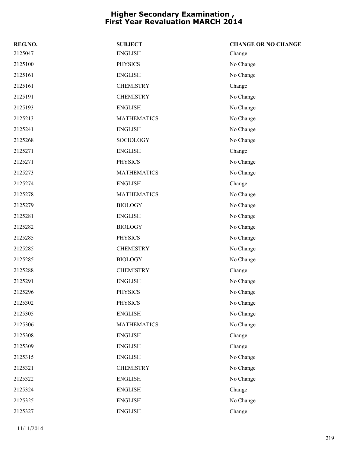| REG.NO. | <b>SUBJECT</b>     | <b>CHANGE OR NO CHANGE</b> |
|---------|--------------------|----------------------------|
| 2125047 | <b>ENGLISH</b>     | Change                     |
| 2125100 | <b>PHYSICS</b>     | No Change                  |
| 2125161 | <b>ENGLISH</b>     | No Change                  |
| 2125161 | <b>CHEMISTRY</b>   | Change                     |
| 2125191 | <b>CHEMISTRY</b>   | No Change                  |
| 2125193 | <b>ENGLISH</b>     | No Change                  |
| 2125213 | <b>MATHEMATICS</b> | No Change                  |
| 2125241 | <b>ENGLISH</b>     | No Change                  |
| 2125268 | <b>SOCIOLOGY</b>   | No Change                  |
| 2125271 | <b>ENGLISH</b>     | Change                     |
| 2125271 | <b>PHYSICS</b>     | No Change                  |
| 2125273 | <b>MATHEMATICS</b> | No Change                  |
| 2125274 | <b>ENGLISH</b>     | Change                     |
| 2125278 | <b>MATHEMATICS</b> | No Change                  |
| 2125279 | <b>BIOLOGY</b>     | No Change                  |
| 2125281 | <b>ENGLISH</b>     | No Change                  |
| 2125282 | <b>BIOLOGY</b>     | No Change                  |
| 2125285 | <b>PHYSICS</b>     | No Change                  |
| 2125285 | <b>CHEMISTRY</b>   | No Change                  |
| 2125285 | <b>BIOLOGY</b>     | No Change                  |
| 2125288 | <b>CHEMISTRY</b>   | Change                     |
| 2125291 | <b>ENGLISH</b>     | No Change                  |
| 2125296 | <b>PHYSICS</b>     | No Change                  |
| 2125302 | PHYSICS            | No Change                  |
| 2125305 | <b>ENGLISH</b>     | No Change                  |
| 2125306 | <b>MATHEMATICS</b> | No Change                  |
| 2125308 | <b>ENGLISH</b>     | Change                     |
| 2125309 | <b>ENGLISH</b>     | Change                     |
| 2125315 | <b>ENGLISH</b>     | No Change                  |
| 2125321 | <b>CHEMISTRY</b>   | No Change                  |
| 2125322 | <b>ENGLISH</b>     | No Change                  |
| 2125324 | <b>ENGLISH</b>     | Change                     |
| 2125325 | <b>ENGLISH</b>     | No Change                  |
| 2125327 | <b>ENGLISH</b>     | Change                     |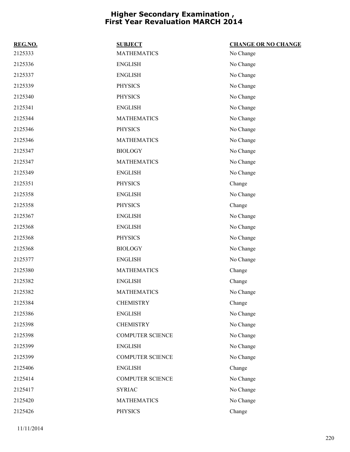| REG.NO. | <b>SUBJECT</b>          | <b>CHANGE OR NO CHANGE</b> |
|---------|-------------------------|----------------------------|
| 2125333 | <b>MATHEMATICS</b>      | No Change                  |
| 2125336 | <b>ENGLISH</b>          | No Change                  |
| 2125337 | <b>ENGLISH</b>          | No Change                  |
| 2125339 | <b>PHYSICS</b>          | No Change                  |
| 2125340 | <b>PHYSICS</b>          | No Change                  |
| 2125341 | <b>ENGLISH</b>          | No Change                  |
| 2125344 | <b>MATHEMATICS</b>      | No Change                  |
| 2125346 | <b>PHYSICS</b>          | No Change                  |
| 2125346 | <b>MATHEMATICS</b>      | No Change                  |
| 2125347 | <b>BIOLOGY</b>          | No Change                  |
| 2125347 | <b>MATHEMATICS</b>      | No Change                  |
| 2125349 | <b>ENGLISH</b>          | No Change                  |
| 2125351 | <b>PHYSICS</b>          | Change                     |
| 2125358 | <b>ENGLISH</b>          | No Change                  |
| 2125358 | <b>PHYSICS</b>          | Change                     |
| 2125367 | <b>ENGLISH</b>          | No Change                  |
| 2125368 | <b>ENGLISH</b>          | No Change                  |
| 2125368 | <b>PHYSICS</b>          | No Change                  |
| 2125368 | <b>BIOLOGY</b>          | No Change                  |
| 2125377 | <b>ENGLISH</b>          | No Change                  |
| 2125380 | <b>MATHEMATICS</b>      | Change                     |
| 2125382 | <b>ENGLISH</b>          | Change                     |
| 2125382 | <b>MATHEMATICS</b>      | No Change                  |
| 2125384 | <b>CHEMISTRY</b>        | Change                     |
| 2125386 | <b>ENGLISH</b>          | No Change                  |
| 2125398 | <b>CHEMISTRY</b>        | No Change                  |
| 2125398 | <b>COMPUTER SCIENCE</b> | No Change                  |
| 2125399 | <b>ENGLISH</b>          | No Change                  |
| 2125399 | <b>COMPUTER SCIENCE</b> | No Change                  |
| 2125406 | <b>ENGLISH</b>          | Change                     |
| 2125414 | <b>COMPUTER SCIENCE</b> | No Change                  |
| 2125417 | <b>SYRIAC</b>           | No Change                  |
| 2125420 | <b>MATHEMATICS</b>      | No Change                  |
| 2125426 | <b>PHYSICS</b>          | Change                     |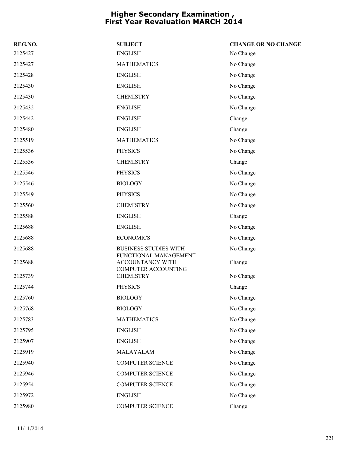| REG.NO. | <b>SUBJECT</b>                                                          | <b>CHANGE OR NO CHANGE</b> |
|---------|-------------------------------------------------------------------------|----------------------------|
| 2125427 | <b>ENGLISH</b>                                                          | No Change                  |
| 2125427 | <b>MATHEMATICS</b>                                                      | No Change                  |
| 2125428 | <b>ENGLISH</b>                                                          | No Change                  |
| 2125430 | <b>ENGLISH</b>                                                          | No Change                  |
| 2125430 | <b>CHEMISTRY</b>                                                        | No Change                  |
| 2125432 | <b>ENGLISH</b>                                                          | No Change                  |
| 2125442 | <b>ENGLISH</b>                                                          | Change                     |
| 2125480 | <b>ENGLISH</b>                                                          | Change                     |
| 2125519 | <b>MATHEMATICS</b>                                                      | No Change                  |
| 2125536 | <b>PHYSICS</b>                                                          | No Change                  |
| 2125536 | <b>CHEMISTRY</b>                                                        | Change                     |
| 2125546 | <b>PHYSICS</b>                                                          | No Change                  |
| 2125546 | <b>BIOLOGY</b>                                                          | No Change                  |
| 2125549 | <b>PHYSICS</b>                                                          | No Change                  |
| 2125560 | <b>CHEMISTRY</b>                                                        | No Change                  |
| 2125588 | <b>ENGLISH</b>                                                          | Change                     |
| 2125688 | <b>ENGLISH</b>                                                          | No Change                  |
| 2125688 | <b>ECONOMICS</b>                                                        | No Change                  |
| 2125688 | <b>BUSINESS STUDIES WITH</b>                                            | No Change                  |
| 2125688 | FUNCTIONAL MANAGEMENT<br>ACCOUNTANCY WITH<br><b>COMPUTER ACCOUNTING</b> | Change                     |
| 2125739 | <b>CHEMISTRY</b>                                                        | No Change                  |
| 2125744 | <b>PHYSICS</b>                                                          | Change                     |
| 2125760 | <b>BIOLOGY</b>                                                          | No Change                  |
| 2125768 | <b>BIOLOGY</b>                                                          | No Change                  |
| 2125783 | <b>MATHEMATICS</b>                                                      | No Change                  |
| 2125795 | <b>ENGLISH</b>                                                          | No Change                  |
| 2125907 | <b>ENGLISH</b>                                                          | No Change                  |
| 2125919 | MALAYALAM                                                               | No Change                  |
| 2125940 | <b>COMPUTER SCIENCE</b>                                                 | No Change                  |
| 2125946 | <b>COMPUTER SCIENCE</b>                                                 | No Change                  |
| 2125954 | <b>COMPUTER SCIENCE</b>                                                 | No Change                  |
| 2125972 | <b>ENGLISH</b>                                                          | No Change                  |
| 2125980 | <b>COMPUTER SCIENCE</b>                                                 | Change                     |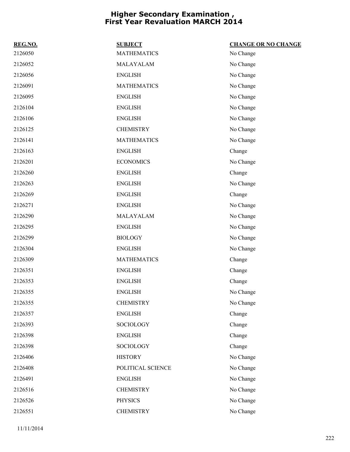| REG.NO. | <b>SUBJECT</b>     | <b>CHANGE OR NO CHANGE</b> |
|---------|--------------------|----------------------------|
| 2126050 | <b>MATHEMATICS</b> | No Change                  |
| 2126052 | MALAYALAM          | No Change                  |
| 2126056 | <b>ENGLISH</b>     | No Change                  |
| 2126091 | <b>MATHEMATICS</b> | No Change                  |
| 2126095 | <b>ENGLISH</b>     | No Change                  |
| 2126104 | <b>ENGLISH</b>     | No Change                  |
| 2126106 | <b>ENGLISH</b>     | No Change                  |
| 2126125 | <b>CHEMISTRY</b>   | No Change                  |
| 2126141 | <b>MATHEMATICS</b> | No Change                  |
| 2126163 | <b>ENGLISH</b>     | Change                     |
| 2126201 | <b>ECONOMICS</b>   | No Change                  |
| 2126260 | <b>ENGLISH</b>     | Change                     |
| 2126263 | <b>ENGLISH</b>     | No Change                  |
| 2126269 | <b>ENGLISH</b>     | Change                     |
| 2126271 | <b>ENGLISH</b>     | No Change                  |
| 2126290 | MALAYALAM          | No Change                  |
| 2126295 | <b>ENGLISH</b>     | No Change                  |
| 2126299 | <b>BIOLOGY</b>     | No Change                  |
| 2126304 | <b>ENGLISH</b>     | No Change                  |
| 2126309 | <b>MATHEMATICS</b> | Change                     |
| 2126351 | <b>ENGLISH</b>     | Change                     |
| 2126353 | <b>ENGLISH</b>     | Change                     |
| 2126355 | <b>ENGLISH</b>     | No Change                  |
| 2126355 | <b>CHEMISTRY</b>   | No Change                  |
| 2126357 | <b>ENGLISH</b>     | Change                     |
| 2126393 | <b>SOCIOLOGY</b>   | Change                     |
| 2126398 | <b>ENGLISH</b>     | Change                     |
| 2126398 | SOCIOLOGY          | Change                     |
| 2126406 | <b>HISTORY</b>     | No Change                  |
| 2126408 | POLITICAL SCIENCE  | No Change                  |
| 2126491 | <b>ENGLISH</b>     | No Change                  |
| 2126516 | <b>CHEMISTRY</b>   | No Change                  |
| 2126526 | <b>PHYSICS</b>     | No Change                  |
| 2126551 | <b>CHEMISTRY</b>   | No Change                  |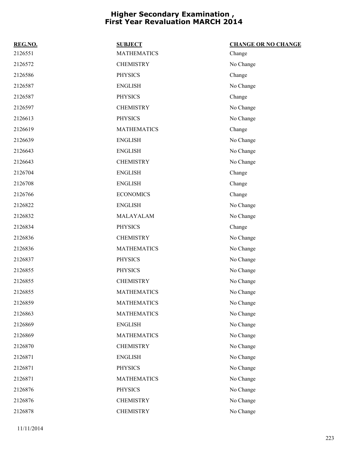| REG.NO. | <b>SUBJECT</b>     | <b>CHANGE OR NO CHANGE</b> |
|---------|--------------------|----------------------------|
| 2126551 | <b>MATHEMATICS</b> | Change                     |
| 2126572 | <b>CHEMISTRY</b>   | No Change                  |
| 2126586 | <b>PHYSICS</b>     | Change                     |
| 2126587 | <b>ENGLISH</b>     | No Change                  |
| 2126587 | <b>PHYSICS</b>     | Change                     |
| 2126597 | <b>CHEMISTRY</b>   | No Change                  |
| 2126613 | <b>PHYSICS</b>     | No Change                  |
| 2126619 | <b>MATHEMATICS</b> | Change                     |
| 2126639 | <b>ENGLISH</b>     | No Change                  |
| 2126643 | <b>ENGLISH</b>     | No Change                  |
| 2126643 | <b>CHEMISTRY</b>   | No Change                  |
| 2126704 | <b>ENGLISH</b>     | Change                     |
| 2126708 | <b>ENGLISH</b>     | Change                     |
| 2126766 | <b>ECONOMICS</b>   | Change                     |
| 2126822 | <b>ENGLISH</b>     | No Change                  |
| 2126832 | MALAYALAM          | No Change                  |
| 2126834 | <b>PHYSICS</b>     | Change                     |
| 2126836 | <b>CHEMISTRY</b>   | No Change                  |
| 2126836 | <b>MATHEMATICS</b> | No Change                  |
| 2126837 | <b>PHYSICS</b>     | No Change                  |
| 2126855 | <b>PHYSICS</b>     | No Change                  |
| 2126855 | <b>CHEMISTRY</b>   | No Change                  |
| 2126855 | <b>MATHEMATICS</b> | No Change                  |
| 2126859 | <b>MATHEMATICS</b> | No Change                  |
| 2126863 | <b>MATHEMATICS</b> | No Change                  |
| 2126869 | <b>ENGLISH</b>     | No Change                  |
| 2126869 | <b>MATHEMATICS</b> | No Change                  |
| 2126870 | <b>CHEMISTRY</b>   | No Change                  |
| 2126871 | <b>ENGLISH</b>     | No Change                  |
| 2126871 | <b>PHYSICS</b>     | No Change                  |
| 2126871 | <b>MATHEMATICS</b> | No Change                  |
| 2126876 | <b>PHYSICS</b>     | No Change                  |
| 2126876 | <b>CHEMISTRY</b>   | No Change                  |
| 2126878 | <b>CHEMISTRY</b>   | No Change                  |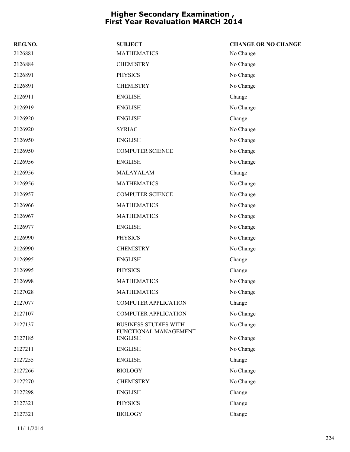| REG.NO. | <b>SUBJECT</b>                                        | <b>CHANGE OR NO CHANGE</b> |
|---------|-------------------------------------------------------|----------------------------|
| 2126881 | <b>MATHEMATICS</b>                                    | No Change                  |
| 2126884 | <b>CHEMISTRY</b>                                      | No Change                  |
| 2126891 | <b>PHYSICS</b>                                        | No Change                  |
| 2126891 | <b>CHEMISTRY</b>                                      | No Change                  |
| 2126911 | <b>ENGLISH</b>                                        | Change                     |
| 2126919 | <b>ENGLISH</b>                                        | No Change                  |
| 2126920 | <b>ENGLISH</b>                                        | Change                     |
| 2126920 | <b>SYRIAC</b>                                         | No Change                  |
| 2126950 | <b>ENGLISH</b>                                        | No Change                  |
| 2126950 | <b>COMPUTER SCIENCE</b>                               | No Change                  |
| 2126956 | <b>ENGLISH</b>                                        | No Change                  |
| 2126956 | MALAYALAM                                             | Change                     |
| 2126956 | <b>MATHEMATICS</b>                                    | No Change                  |
| 2126957 | <b>COMPUTER SCIENCE</b>                               | No Change                  |
| 2126966 | <b>MATHEMATICS</b>                                    | No Change                  |
| 2126967 | <b>MATHEMATICS</b>                                    | No Change                  |
| 2126977 | <b>ENGLISH</b>                                        | No Change                  |
| 2126990 | <b>PHYSICS</b>                                        | No Change                  |
| 2126990 | <b>CHEMISTRY</b>                                      | No Change                  |
| 2126995 | <b>ENGLISH</b>                                        | Change                     |
| 2126995 | <b>PHYSICS</b>                                        | Change                     |
| 2126998 | <b>MATHEMATICS</b>                                    | No Change                  |
| 2127028 | <b>MATHEMATICS</b>                                    | No Change                  |
| 2127077 | <b>COMPUTER APPLICATION</b>                           | Change                     |
| 2127107 | <b>COMPUTER APPLICATION</b>                           | No Change                  |
| 2127137 | <b>BUSINESS STUDIES WITH</b><br>FUNCTIONAL MANAGEMENT | No Change                  |
| 2127185 | <b>ENGLISH</b>                                        | No Change                  |
| 2127211 | <b>ENGLISH</b>                                        | No Change                  |
| 2127255 | <b>ENGLISH</b>                                        | Change                     |
| 2127266 | <b>BIOLOGY</b>                                        | No Change                  |
| 2127270 | <b>CHEMISTRY</b>                                      | No Change                  |
| 2127298 | <b>ENGLISH</b>                                        | Change                     |
| 2127321 | <b>PHYSICS</b>                                        | Change                     |
| 2127321 | <b>BIOLOGY</b>                                        | Change                     |
|         |                                                       |                            |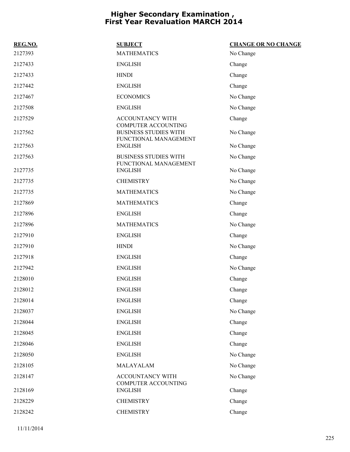| REG.NO. | <b>SUBJECT</b>                                        | <b>CHANGE OR NO CHANGE</b> |
|---------|-------------------------------------------------------|----------------------------|
| 2127393 | <b>MATHEMATICS</b>                                    | No Change                  |
| 2127433 | <b>ENGLISH</b>                                        | Change                     |
| 2127433 | <b>HINDI</b>                                          | Change                     |
| 2127442 | <b>ENGLISH</b>                                        | Change                     |
| 2127467 | <b>ECONOMICS</b>                                      | No Change                  |
| 2127508 | <b>ENGLISH</b>                                        | No Change                  |
| 2127529 | <b>ACCOUNTANCY WITH</b><br>COMPUTER ACCOUNTING        | Change                     |
| 2127562 | <b>BUSINESS STUDIES WITH</b><br>FUNCTIONAL MANAGEMENT | No Change                  |
| 2127563 | <b>ENGLISH</b>                                        | No Change                  |
| 2127563 | <b>BUSINESS STUDIES WITH</b><br>FUNCTIONAL MANAGEMENT | No Change                  |
| 2127735 | <b>ENGLISH</b>                                        | No Change                  |
| 2127735 | <b>CHEMISTRY</b>                                      | No Change                  |
| 2127735 | <b>MATHEMATICS</b>                                    | No Change                  |
| 2127869 | <b>MATHEMATICS</b>                                    | Change                     |
| 2127896 | <b>ENGLISH</b>                                        | Change                     |
| 2127896 | <b>MATHEMATICS</b>                                    | No Change                  |
| 2127910 | <b>ENGLISH</b>                                        | Change                     |
| 2127910 | <b>HINDI</b>                                          | No Change                  |
| 2127918 | <b>ENGLISH</b>                                        | Change                     |
| 2127942 | <b>ENGLISH</b>                                        | No Change                  |
| 2128010 | <b>ENGLISH</b>                                        | Change                     |
| 2128012 | <b>ENGLISH</b>                                        | Change                     |
| 2128014 | <b>ENGLISH</b>                                        | Change                     |
| 2128037 | <b>ENGLISH</b>                                        | No Change                  |
| 2128044 | <b>ENGLISH</b>                                        | Change                     |
| 2128045 | <b>ENGLISH</b>                                        | Change                     |
| 2128046 | <b>ENGLISH</b>                                        | Change                     |
| 2128050 | <b>ENGLISH</b>                                        | No Change                  |
| 2128105 | MALAYALAM                                             | No Change                  |
| 2128147 | <b>ACCOUNTANCY WITH</b><br>COMPUTER ACCOUNTING        | No Change                  |
| 2128169 | <b>ENGLISH</b>                                        | Change                     |
| 2128229 | <b>CHEMISTRY</b>                                      | Change                     |
| 2128242 | <b>CHEMISTRY</b>                                      | Change                     |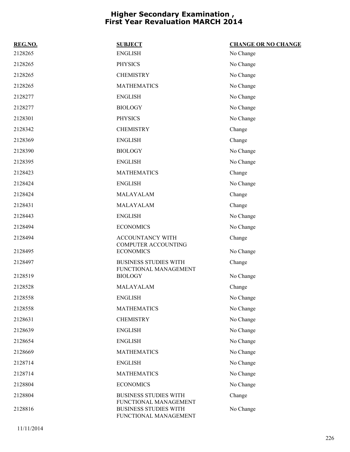| REG.NO.            | <b>SUBJECT</b>                                        | <b>CHANGE OR NO CHANGE</b> |
|--------------------|-------------------------------------------------------|----------------------------|
| 2128265            | <b>ENGLISH</b>                                        | No Change                  |
| 2128265            | <b>PHYSICS</b>                                        | No Change                  |
| 2128265            | <b>CHEMISTRY</b>                                      | No Change                  |
| 2128265            | <b>MATHEMATICS</b>                                    | No Change                  |
| 2128277            | <b>ENGLISH</b>                                        | No Change                  |
| 2128277            | <b>BIOLOGY</b>                                        | No Change                  |
| 2128301            | <b>PHYSICS</b>                                        | No Change                  |
| 2128342            | <b>CHEMISTRY</b>                                      | Change                     |
| 2128369            | <b>ENGLISH</b>                                        | Change                     |
| 2128390            | <b>BIOLOGY</b>                                        | No Change                  |
| 2128395            | <b>ENGLISH</b>                                        | No Change                  |
| 2128423            | <b>MATHEMATICS</b>                                    | Change                     |
| 2128424            | <b>ENGLISH</b>                                        | No Change                  |
| 2128424            | MALAYALAM                                             | Change                     |
| 2128431            | MALAYALAM                                             | Change                     |
| 2128443            | <b>ENGLISH</b>                                        | No Change                  |
| 2128494            | <b>ECONOMICS</b>                                      | No Change                  |
| 2128494            | ACCOUNTANCY WITH                                      | Change                     |
| 2128495            | <b>COMPUTER ACCOUNTING</b><br><b>ECONOMICS</b>        | No Change                  |
| 2128497            | <b>BUSINESS STUDIES WITH</b>                          | Change                     |
|                    | FUNCTIONAL MANAGEMENT<br><b>BIOLOGY</b>               |                            |
| 2128519<br>2128528 | MALAYALAM                                             | No Change                  |
| 2128558            | <b>ENGLISH</b>                                        | Change                     |
|                    |                                                       | No Change                  |
| 2128558            | <b>MATHEMATICS</b>                                    | No Change                  |
| 2128631            | <b>CHEMISTRY</b>                                      | No Change                  |
| 2128639            | <b>ENGLISH</b>                                        | No Change                  |
| 2128654            | <b>ENGLISH</b>                                        | No Change                  |
| 2128669            | <b>MATHEMATICS</b>                                    | No Change                  |
| 2128714            | <b>ENGLISH</b>                                        | No Change                  |
| 2128714            | <b>MATHEMATICS</b>                                    | No Change                  |
| 2128804            | <b>ECONOMICS</b>                                      | No Change                  |
| 2128804            | <b>BUSINESS STUDIES WITH</b><br>FUNCTIONAL MANAGEMENT | Change                     |
| 2128816            | <b>BUSINESS STUDIES WITH</b><br>FUNCTIONAL MANAGEMENT | No Change                  |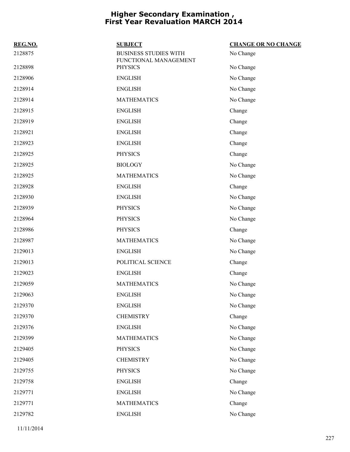| REG.NO. | <b>SUBJECT</b>                                        | <b>CHANGE OR NO CHANGE</b> |
|---------|-------------------------------------------------------|----------------------------|
| 2128875 | <b>BUSINESS STUDIES WITH</b><br>FUNCTIONAL MANAGEMENT | No Change                  |
| 2128898 | <b>PHYSICS</b>                                        | No Change                  |
| 2128906 | <b>ENGLISH</b>                                        | No Change                  |
| 2128914 | <b>ENGLISH</b>                                        | No Change                  |
| 2128914 | <b>MATHEMATICS</b>                                    | No Change                  |
| 2128915 | <b>ENGLISH</b>                                        | Change                     |
| 2128919 | <b>ENGLISH</b>                                        | Change                     |
| 2128921 | <b>ENGLISH</b>                                        | Change                     |
| 2128923 | <b>ENGLISH</b>                                        | Change                     |
| 2128925 | <b>PHYSICS</b>                                        | Change                     |
| 2128925 | <b>BIOLOGY</b>                                        | No Change                  |
| 2128925 | <b>MATHEMATICS</b>                                    | No Change                  |
| 2128928 | <b>ENGLISH</b>                                        | Change                     |
| 2128930 | <b>ENGLISH</b>                                        | No Change                  |
| 2128939 | <b>PHYSICS</b>                                        | No Change                  |
| 2128964 | <b>PHYSICS</b>                                        | No Change                  |
| 2128986 | <b>PHYSICS</b>                                        | Change                     |
| 2128987 | <b>MATHEMATICS</b>                                    | No Change                  |
| 2129013 | <b>ENGLISH</b>                                        | No Change                  |
| 2129013 | POLITICAL SCIENCE                                     | Change                     |
| 2129023 | <b>ENGLISH</b>                                        | Change                     |
| 2129059 | <b>MATHEMATICS</b>                                    | No Change                  |
| 2129063 | <b>ENGLISH</b>                                        | No Change                  |
| 2129370 | <b>ENGLISH</b>                                        | No Change                  |
| 2129370 | <b>CHEMISTRY</b>                                      | Change                     |
| 2129376 | <b>ENGLISH</b>                                        | No Change                  |
| 2129399 | <b>MATHEMATICS</b>                                    | No Change                  |
| 2129405 | <b>PHYSICS</b>                                        | No Change                  |
| 2129405 | <b>CHEMISTRY</b>                                      | No Change                  |
| 2129755 | <b>PHYSICS</b>                                        | No Change                  |
| 2129758 | <b>ENGLISH</b>                                        | Change                     |
| 2129771 | <b>ENGLISH</b>                                        | No Change                  |
| 2129771 | <b>MATHEMATICS</b>                                    | Change                     |
| 2129782 | <b>ENGLISH</b>                                        | No Change                  |
|         |                                                       |                            |

11/11/2014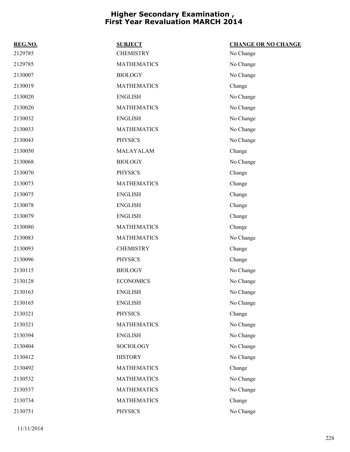| REG.NO. | <b>SUBJECT</b>     | <b>CHANGE OR NO CHANGE</b> |
|---------|--------------------|----------------------------|
| 2129785 | <b>CHEMISTRY</b>   | No Change                  |
| 2129785 | <b>MATHEMATICS</b> | No Change                  |
| 2130007 | <b>BIOLOGY</b>     | No Change                  |
| 2130019 | <b>MATHEMATICS</b> | Change                     |
| 2130020 | <b>ENGLISH</b>     | No Change                  |
| 2130020 | <b>MATHEMATICS</b> | No Change                  |
| 2130032 | <b>ENGLISH</b>     | No Change                  |
| 2130033 | <b>MATHEMATICS</b> | No Change                  |
| 2130043 | <b>PHYSICS</b>     | No Change                  |
| 2130050 | MALAYALAM          | Change                     |
| 2130068 | <b>BIOLOGY</b>     | No Change                  |
| 2130070 | <b>PHYSICS</b>     | Change                     |
| 2130073 | <b>MATHEMATICS</b> | Change                     |
| 2130075 | <b>ENGLISH</b>     | Change                     |
| 2130078 | <b>ENGLISH</b>     | Change                     |
| 2130079 | <b>ENGLISH</b>     | Change                     |
| 2130080 | <b>MATHEMATICS</b> | Change                     |
| 2130083 | <b>MATHEMATICS</b> | No Change                  |
| 2130093 | <b>CHEMISTRY</b>   | Change                     |
| 2130096 | <b>PHYSICS</b>     | Change                     |
| 2130115 | <b>BIOLOGY</b>     | No Change                  |
| 2130128 | <b>ECONOMICS</b>   | No Change                  |
| 2130163 | <b>ENGLISH</b>     | No Change                  |
| 2130165 | <b>ENGLISH</b>     | No Change                  |
| 2130321 | <b>PHYSICS</b>     | Change                     |
| 2130321 | <b>MATHEMATICS</b> | No Change                  |
| 2130394 | <b>ENGLISH</b>     | No Change                  |
| 2130404 | SOCIOLOGY          | No Change                  |
| 2130412 | <b>HISTORY</b>     | No Change                  |
| 2130492 | <b>MATHEMATICS</b> | Change                     |
| 2130532 | <b>MATHEMATICS</b> | No Change                  |
| 2130537 | <b>MATHEMATICS</b> | No Change                  |
| 2130734 | <b>MATHEMATICS</b> | Change                     |
| 2130751 | <b>PHYSICS</b>     | No Change                  |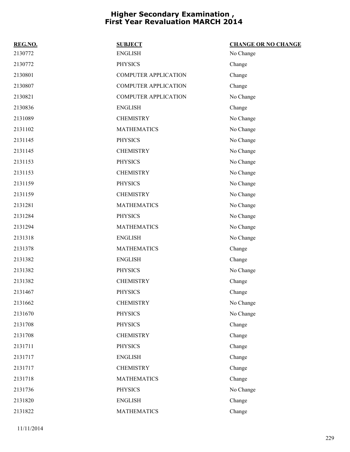| REG.NO. | <b>SUBJECT</b>              | <b>CHANGE OR NO CHANGE</b> |
|---------|-----------------------------|----------------------------|
| 2130772 | <b>ENGLISH</b>              | No Change                  |
| 2130772 | <b>PHYSICS</b>              | Change                     |
| 2130801 | <b>COMPUTER APPLICATION</b> | Change                     |
| 2130807 | <b>COMPUTER APPLICATION</b> | Change                     |
| 2130821 | <b>COMPUTER APPLICATION</b> | No Change                  |
| 2130836 | <b>ENGLISH</b>              | Change                     |
| 2131089 | <b>CHEMISTRY</b>            | No Change                  |
| 2131102 | <b>MATHEMATICS</b>          | No Change                  |
| 2131145 | <b>PHYSICS</b>              | No Change                  |
| 2131145 | <b>CHEMISTRY</b>            | No Change                  |
| 2131153 | <b>PHYSICS</b>              | No Change                  |
| 2131153 | <b>CHEMISTRY</b>            | No Change                  |
| 2131159 | <b>PHYSICS</b>              | No Change                  |
| 2131159 | <b>CHEMISTRY</b>            | No Change                  |
| 2131281 | <b>MATHEMATICS</b>          | No Change                  |
| 2131284 | <b>PHYSICS</b>              | No Change                  |
| 2131294 | <b>MATHEMATICS</b>          | No Change                  |
| 2131318 | <b>ENGLISH</b>              | No Change                  |
| 2131378 | <b>MATHEMATICS</b>          | Change                     |
| 2131382 | <b>ENGLISH</b>              | Change                     |
| 2131382 | <b>PHYSICS</b>              | No Change                  |
| 2131382 | <b>CHEMISTRY</b>            | Change                     |
| 2131467 | <b>PHYSICS</b>              | Change                     |
| 2131662 | <b>CHEMISTRY</b>            | No Change                  |
| 2131670 | <b>PHYSICS</b>              | No Change                  |
| 2131708 | <b>PHYSICS</b>              | Change                     |
| 2131708 | <b>CHEMISTRY</b>            | Change                     |
| 2131711 | <b>PHYSICS</b>              | Change                     |
| 2131717 | <b>ENGLISH</b>              | Change                     |
| 2131717 | <b>CHEMISTRY</b>            | Change                     |
| 2131718 | <b>MATHEMATICS</b>          | Change                     |
| 2131736 | <b>PHYSICS</b>              | No Change                  |
| 2131820 | <b>ENGLISH</b>              | Change                     |
| 2131822 | <b>MATHEMATICS</b>          | Change                     |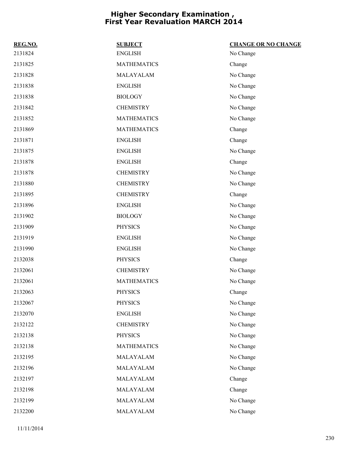| REG.NO. | <b>SUBJECT</b>     | <b>CHANGE OR NO CHANGE</b> |
|---------|--------------------|----------------------------|
| 2131824 | <b>ENGLISH</b>     | No Change                  |
| 2131825 | <b>MATHEMATICS</b> | Change                     |
| 2131828 | MALAYALAM          | No Change                  |
| 2131838 | <b>ENGLISH</b>     | No Change                  |
| 2131838 | <b>BIOLOGY</b>     | No Change                  |
| 2131842 | <b>CHEMISTRY</b>   | No Change                  |
| 2131852 | <b>MATHEMATICS</b> | No Change                  |
| 2131869 | <b>MATHEMATICS</b> | Change                     |
| 2131871 | <b>ENGLISH</b>     | Change                     |
| 2131875 | <b>ENGLISH</b>     | No Change                  |
| 2131878 | <b>ENGLISH</b>     | Change                     |
| 2131878 | <b>CHEMISTRY</b>   | No Change                  |
| 2131880 | <b>CHEMISTRY</b>   | No Change                  |
| 2131895 | <b>CHEMISTRY</b>   | Change                     |
| 2131896 | <b>ENGLISH</b>     | No Change                  |
| 2131902 | <b>BIOLOGY</b>     | No Change                  |
| 2131909 | <b>PHYSICS</b>     | No Change                  |
| 2131919 | <b>ENGLISH</b>     | No Change                  |
| 2131990 | <b>ENGLISH</b>     | No Change                  |
| 2132038 | <b>PHYSICS</b>     | Change                     |
| 2132061 | <b>CHEMISTRY</b>   | No Change                  |
| 2132061 | <b>MATHEMATICS</b> | No Change                  |
| 2132063 | <b>PHYSICS</b>     | Change                     |
| 2132067 | PHYSICS            | No Change                  |
| 2132070 | <b>ENGLISH</b>     | No Change                  |
| 2132122 | <b>CHEMISTRY</b>   | No Change                  |
| 2132138 | <b>PHYSICS</b>     | No Change                  |
| 2132138 | <b>MATHEMATICS</b> | No Change                  |
| 2132195 | MALAYALAM          | No Change                  |
| 2132196 | MALAYALAM          | No Change                  |
| 2132197 | MALAYALAM          | Change                     |
| 2132198 | MALAYALAM          | Change                     |
| 2132199 | MALAYALAM          | No Change                  |
| 2132200 | MALAYALAM          | No Change                  |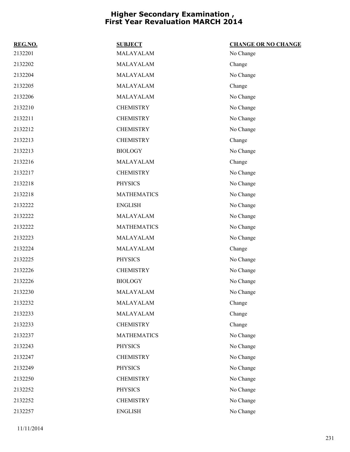| REG.NO. | <b>SUBJECT</b>     | <b>CHANGE OR NO CHANGE</b> |
|---------|--------------------|----------------------------|
| 2132201 | MALAYALAM          | No Change                  |
| 2132202 | MALAYALAM          | Change                     |
| 2132204 | MALAYALAM          | No Change                  |
| 2132205 | MALAYALAM          | Change                     |
| 2132206 | MALAYALAM          | No Change                  |
| 2132210 | <b>CHEMISTRY</b>   | No Change                  |
| 2132211 | <b>CHEMISTRY</b>   | No Change                  |
| 2132212 | <b>CHEMISTRY</b>   | No Change                  |
| 2132213 | <b>CHEMISTRY</b>   | Change                     |
| 2132213 | <b>BIOLOGY</b>     | No Change                  |
| 2132216 | MALAYALAM          | Change                     |
| 2132217 | <b>CHEMISTRY</b>   | No Change                  |
| 2132218 | <b>PHYSICS</b>     | No Change                  |
| 2132218 | <b>MATHEMATICS</b> | No Change                  |
| 2132222 | <b>ENGLISH</b>     | No Change                  |
| 2132222 | MALAYALAM          | No Change                  |
| 2132222 | <b>MATHEMATICS</b> | No Change                  |
| 2132223 | MALAYALAM          | No Change                  |
| 2132224 | MALAYALAM          | Change                     |
| 2132225 | <b>PHYSICS</b>     | No Change                  |
| 2132226 | <b>CHEMISTRY</b>   | No Change                  |
| 2132226 | <b>BIOLOGY</b>     | No Change                  |
| 2132230 | MALAYALAM          | No Change                  |
| 2132232 | MALAYALAM          | Change                     |
| 2132233 | MALAYALAM          | Change                     |
| 2132233 | <b>CHEMISTRY</b>   | Change                     |
| 2132237 | <b>MATHEMATICS</b> | No Change                  |
| 2132243 | <b>PHYSICS</b>     | No Change                  |
| 2132247 | <b>CHEMISTRY</b>   | No Change                  |
| 2132249 | <b>PHYSICS</b>     | No Change                  |
| 2132250 | <b>CHEMISTRY</b>   | No Change                  |
| 2132252 | <b>PHYSICS</b>     | No Change                  |
| 2132252 | <b>CHEMISTRY</b>   | No Change                  |
| 2132257 | <b>ENGLISH</b>     | No Change                  |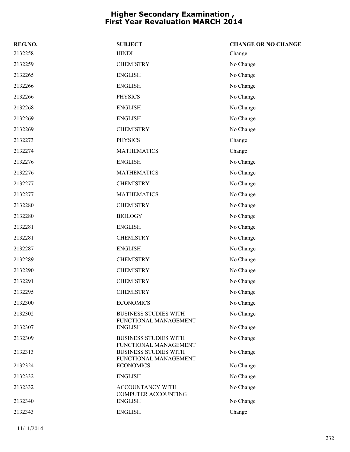| REG.NO. | <b>SUBJECT</b>                                        | <b>CHANGE OR NO CHANGE</b> |
|---------|-------------------------------------------------------|----------------------------|
| 2132258 | <b>HINDI</b>                                          | Change                     |
| 2132259 | <b>CHEMISTRY</b>                                      | No Change                  |
| 2132265 | <b>ENGLISH</b>                                        | No Change                  |
| 2132266 | <b>ENGLISH</b>                                        | No Change                  |
| 2132266 | <b>PHYSICS</b>                                        | No Change                  |
| 2132268 | <b>ENGLISH</b>                                        | No Change                  |
| 2132269 | <b>ENGLISH</b>                                        | No Change                  |
| 2132269 | <b>CHEMISTRY</b>                                      | No Change                  |
| 2132273 | <b>PHYSICS</b>                                        | Change                     |
| 2132274 | <b>MATHEMATICS</b>                                    | Change                     |
| 2132276 | <b>ENGLISH</b>                                        | No Change                  |
| 2132276 | <b>MATHEMATICS</b>                                    | No Change                  |
| 2132277 | <b>CHEMISTRY</b>                                      | No Change                  |
| 2132277 | <b>MATHEMATICS</b>                                    | No Change                  |
| 2132280 | <b>CHEMISTRY</b>                                      | No Change                  |
| 2132280 | <b>BIOLOGY</b>                                        | No Change                  |
| 2132281 | <b>ENGLISH</b>                                        | No Change                  |
| 2132281 | <b>CHEMISTRY</b>                                      | No Change                  |
| 2132287 | <b>ENGLISH</b>                                        | No Change                  |
| 2132289 | <b>CHEMISTRY</b>                                      | No Change                  |
| 2132290 | <b>CHEMISTRY</b>                                      | No Change                  |
| 2132291 | <b>CHEMISTRY</b>                                      | No Change                  |
| 2132295 | <b>CHEMISTRY</b>                                      | No Change                  |
| 2132300 | <b>ECONOMICS</b>                                      | No Change                  |
| 2132302 | <b>BUSINESS STUDIES WITH</b><br>FUNCTIONAL MANAGEMENT | No Change                  |
| 2132307 | <b>ENGLISH</b>                                        | No Change                  |
| 2132309 | <b>BUSINESS STUDIES WITH</b><br>FUNCTIONAL MANAGEMENT | No Change                  |
| 2132313 | <b>BUSINESS STUDIES WITH</b><br>FUNCTIONAL MANAGEMENT | No Change                  |
| 2132324 | <b>ECONOMICS</b>                                      | No Change                  |
| 2132332 | <b>ENGLISH</b>                                        | No Change                  |
| 2132332 | ACCOUNTANCY WITH<br>COMPUTER ACCOUNTING               | No Change                  |
| 2132340 | <b>ENGLISH</b>                                        | No Change                  |
| 2132343 | <b>ENGLISH</b>                                        | Change                     |
|         |                                                       |                            |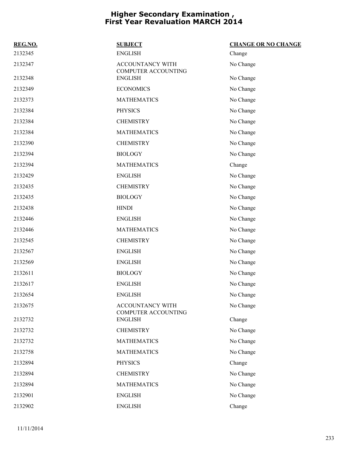| REG.NO. | <b>SUBJECT</b>                                 | <b>CHANGE OR NO CHANGE</b> |
|---------|------------------------------------------------|----------------------------|
| 2132345 | <b>ENGLISH</b>                                 | Change                     |
| 2132347 | ACCOUNTANCY WITH<br>COMPUTER ACCOUNTING        | No Change                  |
| 2132348 | <b>ENGLISH</b>                                 | No Change                  |
| 2132349 | <b>ECONOMICS</b>                               | No Change                  |
| 2132373 | <b>MATHEMATICS</b>                             | No Change                  |
| 2132384 | <b>PHYSICS</b>                                 | No Change                  |
| 2132384 | <b>CHEMISTRY</b>                               | No Change                  |
| 2132384 | <b>MATHEMATICS</b>                             | No Change                  |
| 2132390 | <b>CHEMISTRY</b>                               | No Change                  |
| 2132394 | <b>BIOLOGY</b>                                 | No Change                  |
| 2132394 | <b>MATHEMATICS</b>                             | Change                     |
| 2132429 | <b>ENGLISH</b>                                 | No Change                  |
| 2132435 | <b>CHEMISTRY</b>                               | No Change                  |
| 2132435 | <b>BIOLOGY</b>                                 | No Change                  |
| 2132438 | <b>HINDI</b>                                   | No Change                  |
| 2132446 | <b>ENGLISH</b>                                 | No Change                  |
| 2132446 | <b>MATHEMATICS</b>                             | No Change                  |
| 2132545 | <b>CHEMISTRY</b>                               | No Change                  |
| 2132567 | <b>ENGLISH</b>                                 | No Change                  |
| 2132569 | <b>ENGLISH</b>                                 | No Change                  |
| 2132611 | <b>BIOLOGY</b>                                 | No Change                  |
| 2132617 | <b>ENGLISH</b>                                 | No Change                  |
| 2132654 | <b>ENGLISH</b>                                 | No Change                  |
| 2132675 | ACCOUNTANCY WITH<br><b>COMPUTER ACCOUNTING</b> | No Change                  |
| 2132732 | <b>ENGLISH</b>                                 | Change                     |
| 2132732 | <b>CHEMISTRY</b>                               | No Change                  |
| 2132732 | <b>MATHEMATICS</b>                             | No Change                  |
| 2132758 | <b>MATHEMATICS</b>                             | No Change                  |
| 2132894 | <b>PHYSICS</b>                                 | Change                     |
| 2132894 | <b>CHEMISTRY</b>                               | No Change                  |
| 2132894 | <b>MATHEMATICS</b>                             | No Change                  |
| 2132901 | <b>ENGLISH</b>                                 | No Change                  |
| 2132902 | <b>ENGLISH</b>                                 | Change                     |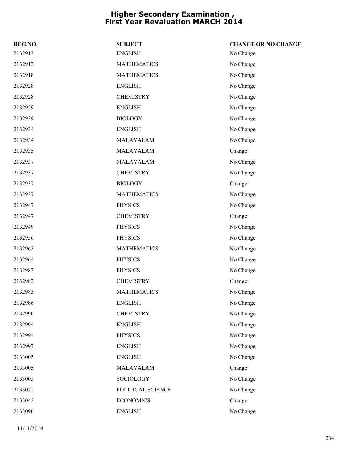| REG.NO. | <b>SUBJECT</b>     | <b>CHANGE OR NO CHANGE</b> |
|---------|--------------------|----------------------------|
| 2132913 | <b>ENGLISH</b>     | No Change                  |
| 2132913 | <b>MATHEMATICS</b> | No Change                  |
| 2132918 | <b>MATHEMATICS</b> | No Change                  |
| 2132928 | <b>ENGLISH</b>     | No Change                  |
| 2132928 | <b>CHEMISTRY</b>   | No Change                  |
| 2132929 | <b>ENGLISH</b>     | No Change                  |
| 2132929 | <b>BIOLOGY</b>     | No Change                  |
| 2132934 | <b>ENGLISH</b>     | No Change                  |
| 2132934 | MALAYALAM          | No Change                  |
| 2132935 | MALAYALAM          | Change                     |
| 2132937 | MALAYALAM          | No Change                  |
| 2132937 | <b>CHEMISTRY</b>   | No Change                  |
| 2132937 | <b>BIOLOGY</b>     | Change                     |
| 2132937 | <b>MATHEMATICS</b> | No Change                  |
| 2132947 | <b>PHYSICS</b>     | No Change                  |
| 2132947 | <b>CHEMISTRY</b>   | Change                     |
| 2132949 | <b>PHYSICS</b>     | No Change                  |
| 2132956 | <b>PHYSICS</b>     | No Change                  |
| 2132963 | <b>MATHEMATICS</b> | No Change                  |
| 2132964 | <b>PHYSICS</b>     | No Change                  |
| 2132983 | <b>PHYSICS</b>     | No Change                  |
| 2132983 | <b>CHEMISTRY</b>   | Change                     |
| 2132983 | <b>MATHEMATICS</b> | No Change                  |
| 2132986 | <b>ENGLISH</b>     | No Change                  |
| 2132990 | <b>CHEMISTRY</b>   | No Change                  |
| 2132994 | <b>ENGLISH</b>     | No Change                  |
| 2132994 | <b>PHYSICS</b>     | No Change                  |
| 2132997 | <b>ENGLISH</b>     | No Change                  |
| 2133005 | <b>ENGLISH</b>     | No Change                  |
| 2133005 | MALAYALAM          | Change                     |
| 2133005 | SOCIOLOGY          | No Change                  |
| 2133022 | POLITICAL SCIENCE  | No Change                  |
| 2133042 | <b>ECONOMICS</b>   | Change                     |
| 2133096 | <b>ENGLISH</b>     | No Change                  |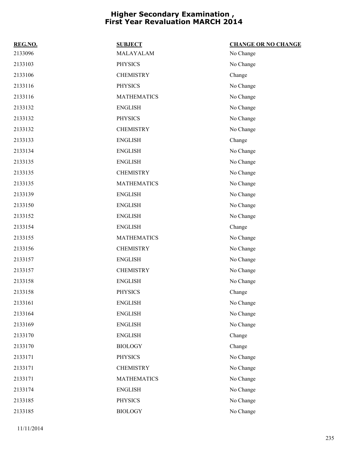| REG.NO. | <b>SUBJECT</b>     | <b>CHANGE OR NO CHANGE</b> |
|---------|--------------------|----------------------------|
| 2133096 | MALAYALAM          | No Change                  |
| 2133103 | <b>PHYSICS</b>     | No Change                  |
| 2133106 | <b>CHEMISTRY</b>   | Change                     |
| 2133116 | <b>PHYSICS</b>     | No Change                  |
| 2133116 | <b>MATHEMATICS</b> | No Change                  |
| 2133132 | <b>ENGLISH</b>     | No Change                  |
| 2133132 | <b>PHYSICS</b>     | No Change                  |
| 2133132 | <b>CHEMISTRY</b>   | No Change                  |
| 2133133 | <b>ENGLISH</b>     | Change                     |
| 2133134 | <b>ENGLISH</b>     | No Change                  |
| 2133135 | <b>ENGLISH</b>     | No Change                  |
| 2133135 | <b>CHEMISTRY</b>   | No Change                  |
| 2133135 | <b>MATHEMATICS</b> | No Change                  |
| 2133139 | <b>ENGLISH</b>     | No Change                  |
| 2133150 | <b>ENGLISH</b>     | No Change                  |
| 2133152 | <b>ENGLISH</b>     | No Change                  |
| 2133154 | <b>ENGLISH</b>     | Change                     |
| 2133155 | <b>MATHEMATICS</b> | No Change                  |
| 2133156 | <b>CHEMISTRY</b>   | No Change                  |
| 2133157 | <b>ENGLISH</b>     | No Change                  |
| 2133157 | <b>CHEMISTRY</b>   | No Change                  |
| 2133158 | <b>ENGLISH</b>     | No Change                  |
| 2133158 | <b>PHYSICS</b>     | Change                     |
| 2133161 | <b>ENGLISH</b>     | No Change                  |
| 2133164 | <b>ENGLISH</b>     | No Change                  |
| 2133169 | <b>ENGLISH</b>     | No Change                  |
| 2133170 | <b>ENGLISH</b>     | Change                     |
| 2133170 | <b>BIOLOGY</b>     | Change                     |
| 2133171 | <b>PHYSICS</b>     | No Change                  |
| 2133171 | <b>CHEMISTRY</b>   | No Change                  |
| 2133171 | <b>MATHEMATICS</b> | No Change                  |
| 2133174 | <b>ENGLISH</b>     | No Change                  |
| 2133185 | PHYSICS            | No Change                  |
| 2133185 | <b>BIOLOGY</b>     | No Change                  |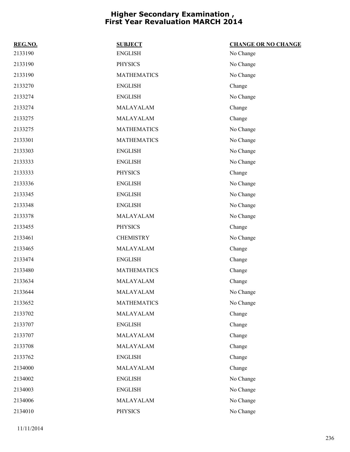| REG.NO. | <b>SUBJECT</b>     | <b>CHANGE OR NO CHANGE</b> |
|---------|--------------------|----------------------------|
| 2133190 | <b>ENGLISH</b>     | No Change                  |
| 2133190 | <b>PHYSICS</b>     | No Change                  |
| 2133190 | <b>MATHEMATICS</b> | No Change                  |
| 2133270 | <b>ENGLISH</b>     | Change                     |
| 2133274 | <b>ENGLISH</b>     | No Change                  |
| 2133274 | MALAYALAM          | Change                     |
| 2133275 | MALAYALAM          | Change                     |
| 2133275 | <b>MATHEMATICS</b> | No Change                  |
| 2133301 | <b>MATHEMATICS</b> | No Change                  |
| 2133303 | <b>ENGLISH</b>     | No Change                  |
| 2133333 | <b>ENGLISH</b>     | No Change                  |
| 2133333 | <b>PHYSICS</b>     | Change                     |
| 2133336 | <b>ENGLISH</b>     | No Change                  |
| 2133345 | <b>ENGLISH</b>     | No Change                  |
| 2133348 | <b>ENGLISH</b>     | No Change                  |
| 2133378 | MALAYALAM          | No Change                  |
| 2133455 | <b>PHYSICS</b>     | Change                     |
| 2133461 | <b>CHEMISTRY</b>   | No Change                  |
| 2133465 | MALAYALAM          | Change                     |
| 2133474 | <b>ENGLISH</b>     | Change                     |
| 2133480 | <b>MATHEMATICS</b> | Change                     |
| 2133634 | MALAYALAM          | Change                     |
| 2133644 | MALAYALAM          | No Change                  |
| 2133652 | <b>MATHEMATICS</b> | No Change                  |
| 2133702 | MALAYALAM          | Change                     |
| 2133707 | <b>ENGLISH</b>     | Change                     |
| 2133707 | MALAYALAM          | Change                     |
| 2133708 | MALAYALAM          | Change                     |
| 2133762 | <b>ENGLISH</b>     | Change                     |
| 2134000 | MALAYALAM          | Change                     |
| 2134002 | <b>ENGLISH</b>     | No Change                  |
| 2134003 | <b>ENGLISH</b>     | No Change                  |
| 2134006 | MALAYALAM          | No Change                  |
| 2134010 | <b>PHYSICS</b>     | No Change                  |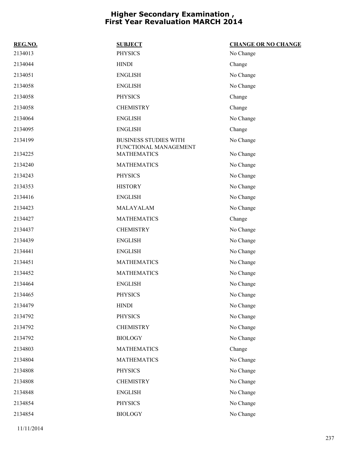| REG.NO. | <b>SUBJECT</b>                                        | <b>CHANGE OR NO CHANGE</b> |
|---------|-------------------------------------------------------|----------------------------|
| 2134013 | <b>PHYSICS</b>                                        | No Change                  |
| 2134044 | <b>HINDI</b>                                          | Change                     |
| 2134051 | <b>ENGLISH</b>                                        | No Change                  |
| 2134058 | <b>ENGLISH</b>                                        | No Change                  |
| 2134058 | <b>PHYSICS</b>                                        | Change                     |
| 2134058 | <b>CHEMISTRY</b>                                      | Change                     |
| 2134064 | <b>ENGLISH</b>                                        | No Change                  |
| 2134095 | <b>ENGLISH</b>                                        | Change                     |
| 2134199 | <b>BUSINESS STUDIES WITH</b><br>FUNCTIONAL MANAGEMENT | No Change                  |
| 2134225 | <b>MATHEMATICS</b>                                    | No Change                  |
| 2134240 | <b>MATHEMATICS</b>                                    | No Change                  |
| 2134243 | <b>PHYSICS</b>                                        | No Change                  |
| 2134353 | <b>HISTORY</b>                                        | No Change                  |
| 2134416 | <b>ENGLISH</b>                                        | No Change                  |
| 2134423 | MALAYALAM                                             | No Change                  |
| 2134427 | <b>MATHEMATICS</b>                                    | Change                     |
| 2134437 | <b>CHEMISTRY</b>                                      | No Change                  |
| 2134439 | <b>ENGLISH</b>                                        | No Change                  |
| 2134441 | <b>ENGLISH</b>                                        | No Change                  |
| 2134451 | <b>MATHEMATICS</b>                                    | No Change                  |
| 2134452 | <b>MATHEMATICS</b>                                    | No Change                  |
| 2134464 | <b>ENGLISH</b>                                        | No Change                  |
| 2134465 | <b>PHYSICS</b>                                        | No Change                  |
| 2134479 | <b>HINDI</b>                                          | No Change                  |
| 2134792 | <b>PHYSICS</b>                                        | No Change                  |
| 2134792 | <b>CHEMISTRY</b>                                      | No Change                  |
| 2134792 | <b>BIOLOGY</b>                                        | No Change                  |
| 2134803 | <b>MATHEMATICS</b>                                    | Change                     |
| 2134804 | <b>MATHEMATICS</b>                                    | No Change                  |
| 2134808 | <b>PHYSICS</b>                                        | No Change                  |
| 2134808 | <b>CHEMISTRY</b>                                      | No Change                  |
| 2134848 | <b>ENGLISH</b>                                        | No Change                  |
| 2134854 | <b>PHYSICS</b>                                        | No Change                  |
| 2134854 | <b>BIOLOGY</b>                                        | No Change                  |
|         |                                                       |                            |

11/11/2014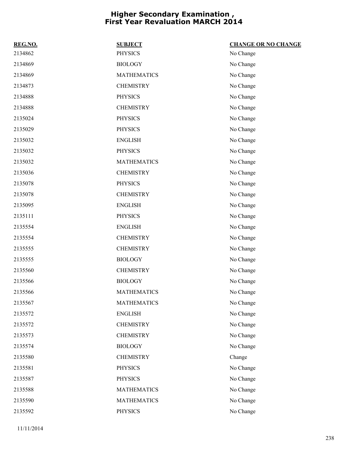| REG.NO. | <b>SUBJECT</b>     | <b>CHANGE OR NO CHANGE</b> |
|---------|--------------------|----------------------------|
| 2134862 | <b>PHYSICS</b>     | No Change                  |
| 2134869 | <b>BIOLOGY</b>     | No Change                  |
| 2134869 | <b>MATHEMATICS</b> | No Change                  |
| 2134873 | <b>CHEMISTRY</b>   | No Change                  |
| 2134888 | <b>PHYSICS</b>     | No Change                  |
| 2134888 | <b>CHEMISTRY</b>   | No Change                  |
| 2135024 | <b>PHYSICS</b>     | No Change                  |
| 2135029 | <b>PHYSICS</b>     | No Change                  |
| 2135032 | <b>ENGLISH</b>     | No Change                  |
| 2135032 | <b>PHYSICS</b>     | No Change                  |
| 2135032 | <b>MATHEMATICS</b> | No Change                  |
| 2135036 | <b>CHEMISTRY</b>   | No Change                  |
| 2135078 | <b>PHYSICS</b>     | No Change                  |
| 2135078 | <b>CHEMISTRY</b>   | No Change                  |
| 2135095 | <b>ENGLISH</b>     | No Change                  |
| 2135111 | <b>PHYSICS</b>     | No Change                  |
| 2135554 | <b>ENGLISH</b>     | No Change                  |
| 2135554 | <b>CHEMISTRY</b>   | No Change                  |
| 2135555 | <b>CHEMISTRY</b>   | No Change                  |
| 2135555 | <b>BIOLOGY</b>     | No Change                  |
| 2135560 | <b>CHEMISTRY</b>   | No Change                  |
| 2135566 | <b>BIOLOGY</b>     | No Change                  |
| 2135566 | <b>MATHEMATICS</b> | No Change                  |
| 2135567 | <b>MATHEMATICS</b> | No Change                  |
| 2135572 | <b>ENGLISH</b>     | No Change                  |
| 2135572 | <b>CHEMISTRY</b>   | No Change                  |
| 2135573 | <b>CHEMISTRY</b>   | No Change                  |
| 2135574 | <b>BIOLOGY</b>     | No Change                  |
| 2135580 | <b>CHEMISTRY</b>   | Change                     |
| 2135581 | <b>PHYSICS</b>     | No Change                  |
| 2135587 | <b>PHYSICS</b>     | No Change                  |
| 2135588 | <b>MATHEMATICS</b> | No Change                  |
| 2135590 | <b>MATHEMATICS</b> | No Change                  |
| 2135592 | PHYSICS            | No Change                  |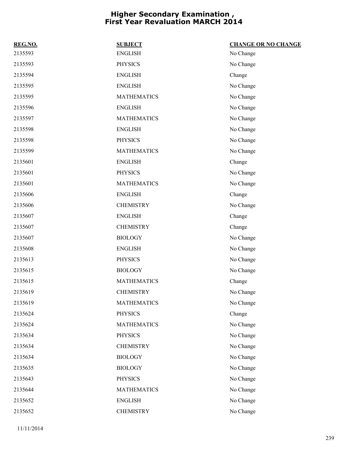| REG.NO. | <b>SUBJECT</b>     | <b>CHANGE OR NO CHANGE</b> |
|---------|--------------------|----------------------------|
| 2135593 | <b>ENGLISH</b>     | No Change                  |
| 2135593 | <b>PHYSICS</b>     | No Change                  |
| 2135594 | <b>ENGLISH</b>     | Change                     |
| 2135595 | <b>ENGLISH</b>     | No Change                  |
| 2135595 | <b>MATHEMATICS</b> | No Change                  |
| 2135596 | <b>ENGLISH</b>     | No Change                  |
| 2135597 | <b>MATHEMATICS</b> | No Change                  |
| 2135598 | <b>ENGLISH</b>     | No Change                  |
| 2135598 | <b>PHYSICS</b>     | No Change                  |
| 2135599 | <b>MATHEMATICS</b> | No Change                  |
| 2135601 | <b>ENGLISH</b>     | Change                     |
| 2135601 | <b>PHYSICS</b>     | No Change                  |
| 2135601 | <b>MATHEMATICS</b> | No Change                  |
| 2135606 | <b>ENGLISH</b>     | Change                     |
| 2135606 | <b>CHEMISTRY</b>   | No Change                  |
| 2135607 | <b>ENGLISH</b>     | Change                     |
| 2135607 | <b>CHEMISTRY</b>   | Change                     |
| 2135607 | <b>BIOLOGY</b>     | No Change                  |
| 2135608 | <b>ENGLISH</b>     | No Change                  |
| 2135613 | <b>PHYSICS</b>     | No Change                  |
| 2135615 | <b>BIOLOGY</b>     | No Change                  |
| 2135615 | <b>MATHEMATICS</b> | Change                     |
| 2135619 | <b>CHEMISTRY</b>   | No Change                  |
| 2135619 | <b>MATHEMATICS</b> | No Change                  |
| 2135624 | <b>PHYSICS</b>     | Change                     |
| 2135624 | <b>MATHEMATICS</b> | No Change                  |
| 2135634 | <b>PHYSICS</b>     | No Change                  |
| 2135634 | <b>CHEMISTRY</b>   | No Change                  |
| 2135634 | <b>BIOLOGY</b>     | No Change                  |
| 2135635 | <b>BIOLOGY</b>     | No Change                  |
| 2135643 | <b>PHYSICS</b>     | No Change                  |
| 2135644 | <b>MATHEMATICS</b> | No Change                  |
| 2135652 | <b>ENGLISH</b>     | No Change                  |
| 2135652 | <b>CHEMISTRY</b>   | No Change                  |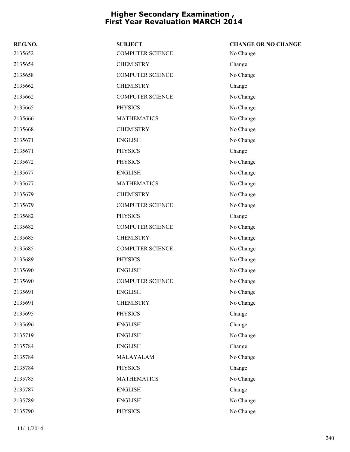| REG.NO. | <b>SUBJECT</b>          | <b>CHANGE OR NO CHANGE</b> |
|---------|-------------------------|----------------------------|
| 2135652 | <b>COMPUTER SCIENCE</b> | No Change                  |
| 2135654 | <b>CHEMISTRY</b>        | Change                     |
| 2135658 | <b>COMPUTER SCIENCE</b> | No Change                  |
| 2135662 | <b>CHEMISTRY</b>        | Change                     |
| 2135662 | <b>COMPUTER SCIENCE</b> | No Change                  |
| 2135665 | <b>PHYSICS</b>          | No Change                  |
| 2135666 | <b>MATHEMATICS</b>      | No Change                  |
| 2135668 | <b>CHEMISTRY</b>        | No Change                  |
| 2135671 | <b>ENGLISH</b>          | No Change                  |
| 2135671 | <b>PHYSICS</b>          | Change                     |
| 2135672 | <b>PHYSICS</b>          | No Change                  |
| 2135677 | <b>ENGLISH</b>          | No Change                  |
| 2135677 | <b>MATHEMATICS</b>      | No Change                  |
| 2135679 | <b>CHEMISTRY</b>        | No Change                  |
| 2135679 | <b>COMPUTER SCIENCE</b> | No Change                  |
| 2135682 | <b>PHYSICS</b>          | Change                     |
| 2135682 | <b>COMPUTER SCIENCE</b> | No Change                  |
| 2135685 | <b>CHEMISTRY</b>        | No Change                  |
| 2135685 | <b>COMPUTER SCIENCE</b> | No Change                  |
| 2135689 | <b>PHYSICS</b>          | No Change                  |
| 2135690 | <b>ENGLISH</b>          | No Change                  |
| 2135690 | <b>COMPUTER SCIENCE</b> | No Change                  |
| 2135691 | <b>ENGLISH</b>          | No Change                  |
| 2135691 | <b>CHEMISTRY</b>        | No Change                  |
| 2135695 | <b>PHYSICS</b>          | Change                     |
| 2135696 | <b>ENGLISH</b>          | Change                     |
| 2135719 | <b>ENGLISH</b>          | No Change                  |
| 2135784 | <b>ENGLISH</b>          | Change                     |
| 2135784 | MALAYALAM               | No Change                  |
| 2135784 | <b>PHYSICS</b>          | Change                     |
| 2135785 | <b>MATHEMATICS</b>      | No Change                  |
| 2135787 | <b>ENGLISH</b>          | Change                     |
| 2135789 | <b>ENGLISH</b>          | No Change                  |
| 2135790 | <b>PHYSICS</b>          | No Change                  |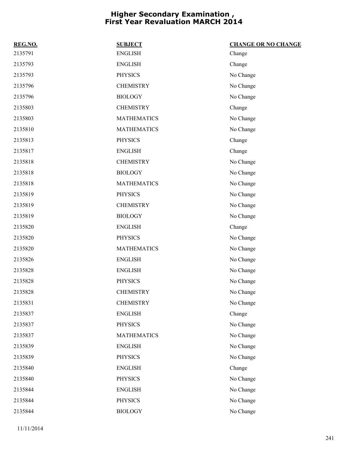| REG.NO. | <b>SUBJECT</b>     | <b>CHANGE OR NO CHANGE</b> |
|---------|--------------------|----------------------------|
| 2135791 | <b>ENGLISH</b>     | Change                     |
| 2135793 | <b>ENGLISH</b>     | Change                     |
| 2135793 | <b>PHYSICS</b>     | No Change                  |
| 2135796 | <b>CHEMISTRY</b>   | No Change                  |
| 2135796 | <b>BIOLOGY</b>     | No Change                  |
| 2135803 | <b>CHEMISTRY</b>   | Change                     |
| 2135803 | <b>MATHEMATICS</b> | No Change                  |
| 2135810 | <b>MATHEMATICS</b> | No Change                  |
| 2135813 | <b>PHYSICS</b>     | Change                     |
| 2135817 | <b>ENGLISH</b>     | Change                     |
| 2135818 | <b>CHEMISTRY</b>   | No Change                  |
| 2135818 | <b>BIOLOGY</b>     | No Change                  |
| 2135818 | <b>MATHEMATICS</b> | No Change                  |
| 2135819 | <b>PHYSICS</b>     | No Change                  |
| 2135819 | <b>CHEMISTRY</b>   | No Change                  |
| 2135819 | <b>BIOLOGY</b>     | No Change                  |
| 2135820 | <b>ENGLISH</b>     | Change                     |
| 2135820 | <b>PHYSICS</b>     | No Change                  |
| 2135820 | <b>MATHEMATICS</b> | No Change                  |
| 2135826 | <b>ENGLISH</b>     | No Change                  |
| 2135828 | <b>ENGLISH</b>     | No Change                  |
| 2135828 | <b>PHYSICS</b>     | No Change                  |
| 2135828 | <b>CHEMISTRY</b>   | No Change                  |
| 2135831 | <b>CHEMISTRY</b>   | No Change                  |
| 2135837 | <b>ENGLISH</b>     | Change                     |
| 2135837 | <b>PHYSICS</b>     | No Change                  |
| 2135837 | <b>MATHEMATICS</b> | No Change                  |
| 2135839 | <b>ENGLISH</b>     | No Change                  |
| 2135839 | <b>PHYSICS</b>     | No Change                  |
| 2135840 | <b>ENGLISH</b>     | Change                     |
| 2135840 | <b>PHYSICS</b>     | No Change                  |
| 2135844 | <b>ENGLISH</b>     | No Change                  |
| 2135844 | PHYSICS            | No Change                  |
| 2135844 | <b>BIOLOGY</b>     | No Change                  |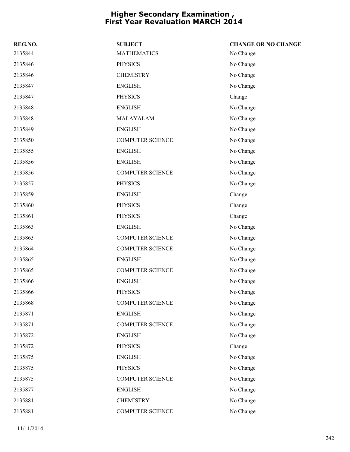| REG.NO. | <b>SUBJECT</b>          | <b>CHANGE OR NO CHANGE</b> |
|---------|-------------------------|----------------------------|
| 2135844 | <b>MATHEMATICS</b>      | No Change                  |
| 2135846 | <b>PHYSICS</b>          | No Change                  |
| 2135846 | <b>CHEMISTRY</b>        | No Change                  |
| 2135847 | <b>ENGLISH</b>          | No Change                  |
| 2135847 | <b>PHYSICS</b>          | Change                     |
| 2135848 | <b>ENGLISH</b>          | No Change                  |
| 2135848 | MALAYALAM               | No Change                  |
| 2135849 | <b>ENGLISH</b>          | No Change                  |
| 2135850 | <b>COMPUTER SCIENCE</b> | No Change                  |
| 2135855 | <b>ENGLISH</b>          | No Change                  |
| 2135856 | <b>ENGLISH</b>          | No Change                  |
| 2135856 | <b>COMPUTER SCIENCE</b> | No Change                  |
| 2135857 | <b>PHYSICS</b>          | No Change                  |
| 2135859 | <b>ENGLISH</b>          | Change                     |
| 2135860 | <b>PHYSICS</b>          | Change                     |
| 2135861 | <b>PHYSICS</b>          | Change                     |
| 2135863 | <b>ENGLISH</b>          | No Change                  |
| 2135863 | <b>COMPUTER SCIENCE</b> | No Change                  |
| 2135864 | <b>COMPUTER SCIENCE</b> | No Change                  |
| 2135865 | <b>ENGLISH</b>          | No Change                  |
| 2135865 | <b>COMPUTER SCIENCE</b> | No Change                  |
| 2135866 | <b>ENGLISH</b>          | No Change                  |
| 2135866 | <b>PHYSICS</b>          | No Change                  |
| 2135868 | <b>COMPUTER SCIENCE</b> | No Change                  |
| 2135871 | <b>ENGLISH</b>          | No Change                  |
| 2135871 | <b>COMPUTER SCIENCE</b> | No Change                  |
| 2135872 | <b>ENGLISH</b>          | No Change                  |
| 2135872 | <b>PHYSICS</b>          | Change                     |
| 2135875 | <b>ENGLISH</b>          | No Change                  |
| 2135875 | <b>PHYSICS</b>          | No Change                  |
| 2135875 | <b>COMPUTER SCIENCE</b> | No Change                  |
| 2135877 | <b>ENGLISH</b>          | No Change                  |
| 2135881 | <b>CHEMISTRY</b>        | No Change                  |
| 2135881 | COMPUTER SCIENCE        | No Change                  |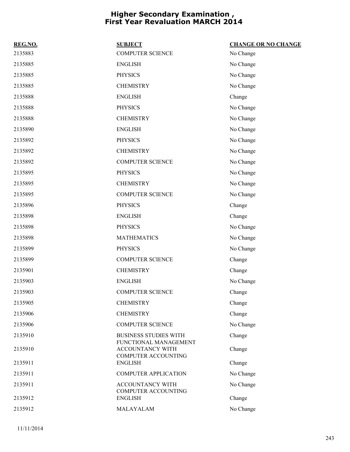| REG.NO. | <b>SUBJECT</b>                                                          | <b>CHANGE OR NO CHANGE</b> |
|---------|-------------------------------------------------------------------------|----------------------------|
| 2135883 | <b>COMPUTER SCIENCE</b>                                                 | No Change                  |
| 2135885 | <b>ENGLISH</b>                                                          | No Change                  |
| 2135885 | <b>PHYSICS</b>                                                          | No Change                  |
| 2135885 | <b>CHEMISTRY</b>                                                        | No Change                  |
| 2135888 | <b>ENGLISH</b>                                                          | Change                     |
| 2135888 | <b>PHYSICS</b>                                                          | No Change                  |
| 2135888 | <b>CHEMISTRY</b>                                                        | No Change                  |
| 2135890 | <b>ENGLISH</b>                                                          | No Change                  |
| 2135892 | <b>PHYSICS</b>                                                          | No Change                  |
| 2135892 | <b>CHEMISTRY</b>                                                        | No Change                  |
| 2135892 | <b>COMPUTER SCIENCE</b>                                                 | No Change                  |
| 2135895 | <b>PHYSICS</b>                                                          | No Change                  |
| 2135895 | <b>CHEMISTRY</b>                                                        | No Change                  |
| 2135895 | <b>COMPUTER SCIENCE</b>                                                 | No Change                  |
| 2135896 | <b>PHYSICS</b>                                                          | Change                     |
| 2135898 | <b>ENGLISH</b>                                                          | Change                     |
| 2135898 | <b>PHYSICS</b>                                                          | No Change                  |
| 2135898 | <b>MATHEMATICS</b>                                                      | No Change                  |
| 2135899 | <b>PHYSICS</b>                                                          | No Change                  |
| 2135899 | <b>COMPUTER SCIENCE</b>                                                 | Change                     |
| 2135901 | <b>CHEMISTRY</b>                                                        | Change                     |
| 2135903 | <b>ENGLISH</b>                                                          | No Change                  |
| 2135903 | <b>COMPUTER SCIENCE</b>                                                 | Change                     |
| 2135905 | <b>CHEMISTRY</b>                                                        | Change                     |
| 2135906 | <b>CHEMISTRY</b>                                                        | Change                     |
| 2135906 | <b>COMPUTER SCIENCE</b>                                                 | No Change                  |
| 2135910 | <b>BUSINESS STUDIES WITH</b>                                            | Change                     |
| 2135910 | FUNCTIONAL MANAGEMENT<br><b>ACCOUNTANCY WITH</b><br>COMPUTER ACCOUNTING | Change                     |
| 2135911 | <b>ENGLISH</b>                                                          | Change                     |
| 2135911 | <b>COMPUTER APPLICATION</b>                                             | No Change                  |
| 2135911 | ACCOUNTANCY WITH<br>COMPUTER ACCOUNTING                                 | No Change                  |
| 2135912 | <b>ENGLISH</b>                                                          | Change                     |
| 2135912 | MALAYALAM                                                               | No Change                  |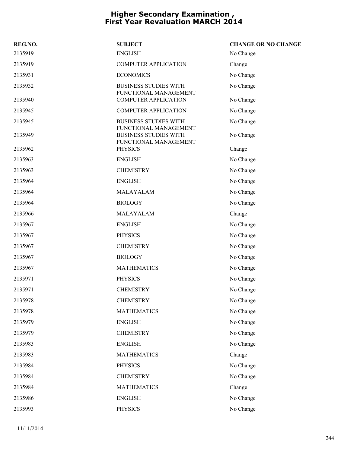| REG.NO. | <b>SUBJECT</b>                                        | <b>CHANGE OR NO CHANGE</b> |
|---------|-------------------------------------------------------|----------------------------|
| 2135919 | <b>ENGLISH</b>                                        | No Change                  |
| 2135919 | <b>COMPUTER APPLICATION</b>                           | Change                     |
| 2135931 | <b>ECONOMICS</b>                                      | No Change                  |
| 2135932 | <b>BUSINESS STUDIES WITH</b><br>FUNCTIONAL MANAGEMENT | No Change                  |
| 2135940 | <b>COMPUTER APPLICATION</b>                           | No Change                  |
| 2135945 | <b>COMPUTER APPLICATION</b>                           | No Change                  |
| 2135945 | <b>BUSINESS STUDIES WITH</b><br>FUNCTIONAL MANAGEMENT | No Change                  |
| 2135949 | <b>BUSINESS STUDIES WITH</b><br>FUNCTIONAL MANAGEMENT | No Change                  |
| 2135962 | <b>PHYSICS</b>                                        | Change                     |
| 2135963 | <b>ENGLISH</b>                                        | No Change                  |
| 2135963 | <b>CHEMISTRY</b>                                      | No Change                  |
| 2135964 | <b>ENGLISH</b>                                        | No Change                  |
| 2135964 | MALAYALAM                                             | No Change                  |
| 2135964 | <b>BIOLOGY</b>                                        | No Change                  |
| 2135966 | MALAYALAM                                             | Change                     |
| 2135967 | <b>ENGLISH</b>                                        | No Change                  |
| 2135967 | <b>PHYSICS</b>                                        | No Change                  |
| 2135967 | <b>CHEMISTRY</b>                                      | No Change                  |
| 2135967 | <b>BIOLOGY</b>                                        | No Change                  |
| 2135967 | <b>MATHEMATICS</b>                                    | No Change                  |
| 2135971 | <b>PHYSICS</b>                                        | No Change                  |
| 2135971 | <b>CHEMISTRY</b>                                      | No Change                  |
| 2135978 | <b>CHEMISTRY</b>                                      | No Change                  |
| 2135978 | <b>MATHEMATICS</b>                                    | No Change                  |
| 2135979 | <b>ENGLISH</b>                                        | No Change                  |
| 2135979 | <b>CHEMISTRY</b>                                      | No Change                  |
| 2135983 | <b>ENGLISH</b>                                        | No Change                  |
| 2135983 | <b>MATHEMATICS</b>                                    | Change                     |
| 2135984 | <b>PHYSICS</b>                                        | No Change                  |
| 2135984 | <b>CHEMISTRY</b>                                      | No Change                  |
| 2135984 | <b>MATHEMATICS</b>                                    | Change                     |
| 2135986 | <b>ENGLISH</b>                                        | No Change                  |
| 2135993 | <b>PHYSICS</b>                                        | No Change                  |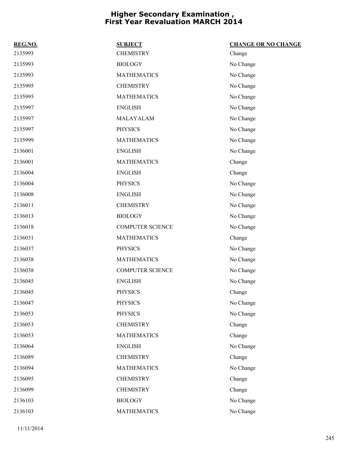| REG.NO. | <b>SUBJECT</b>          | <b>CHANGE OR NO CHANGE</b> |
|---------|-------------------------|----------------------------|
| 2135993 | <b>CHEMISTRY</b>        | Change                     |
| 2135993 | <b>BIOLOGY</b>          | No Change                  |
| 2135993 | <b>MATHEMATICS</b>      | No Change                  |
| 2135995 | <b>CHEMISTRY</b>        | No Change                  |
| 2135995 | <b>MATHEMATICS</b>      | No Change                  |
| 2135997 | <b>ENGLISH</b>          | No Change                  |
| 2135997 | MALAYALAM               | No Change                  |
| 2135997 | <b>PHYSICS</b>          | No Change                  |
| 2135999 | <b>MATHEMATICS</b>      | No Change                  |
| 2136001 | <b>ENGLISH</b>          | No Change                  |
| 2136001 | <b>MATHEMATICS</b>      | Change                     |
| 2136004 | <b>ENGLISH</b>          | Change                     |
| 2136004 | <b>PHYSICS</b>          | No Change                  |
| 2136008 | <b>ENGLISH</b>          | No Change                  |
| 2136011 | <b>CHEMISTRY</b>        | No Change                  |
| 2136013 | <b>BIOLOGY</b>          | No Change                  |
| 2136018 | <b>COMPUTER SCIENCE</b> | No Change                  |
| 2136031 | <b>MATHEMATICS</b>      | Change                     |
| 2136037 | <b>PHYSICS</b>          | No Change                  |
| 2136038 | <b>MATHEMATICS</b>      | No Change                  |
| 2136038 | <b>COMPUTER SCIENCE</b> | No Change                  |
| 2136045 | <b>ENGLISH</b>          | No Change                  |
| 2136045 | <b>PHYSICS</b>          | Change                     |
| 2136047 | <b>PHYSICS</b>          | No Change                  |
| 2136053 | <b>PHYSICS</b>          | No Change                  |
| 2136053 | <b>CHEMISTRY</b>        | Change                     |
| 2136053 | <b>MATHEMATICS</b>      | Change                     |
| 2136064 | <b>ENGLISH</b>          | No Change                  |
| 2136089 | <b>CHEMISTRY</b>        | Change                     |
| 2136094 | <b>MATHEMATICS</b>      | No Change                  |
| 2136095 | <b>CHEMISTRY</b>        | Change                     |
| 2136099 | <b>CHEMISTRY</b>        | Change                     |
| 2136103 | <b>BIOLOGY</b>          | No Change                  |
| 2136103 | <b>MATHEMATICS</b>      | No Change                  |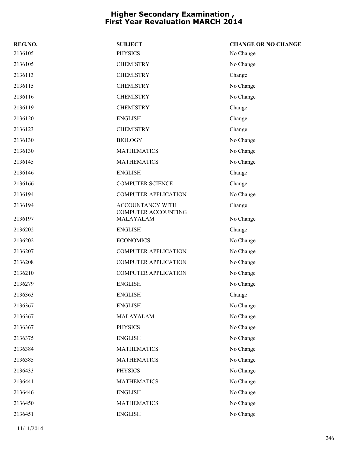| REG.NO. | <b>SUBJECT</b>                                 | <b>CHANGE OR NO CHANGE</b> |
|---------|------------------------------------------------|----------------------------|
| 2136105 | <b>PHYSICS</b>                                 | No Change                  |
| 2136105 | <b>CHEMISTRY</b>                               | No Change                  |
| 2136113 | <b>CHEMISTRY</b>                               | Change                     |
| 2136115 | <b>CHEMISTRY</b>                               | No Change                  |
| 2136116 | <b>CHEMISTRY</b>                               | No Change                  |
| 2136119 | <b>CHEMISTRY</b>                               | Change                     |
| 2136120 | <b>ENGLISH</b>                                 | Change                     |
| 2136123 | <b>CHEMISTRY</b>                               | Change                     |
| 2136130 | <b>BIOLOGY</b>                                 | No Change                  |
| 2136130 | <b>MATHEMATICS</b>                             | No Change                  |
| 2136145 | <b>MATHEMATICS</b>                             | No Change                  |
| 2136146 | <b>ENGLISH</b>                                 | Change                     |
| 2136166 | <b>COMPUTER SCIENCE</b>                        | Change                     |
| 2136194 | <b>COMPUTER APPLICATION</b>                    | No Change                  |
| 2136194 | <b>ACCOUNTANCY WITH</b><br>COMPUTER ACCOUNTING | Change                     |
| 2136197 | MALAYALAM                                      | No Change                  |
| 2136202 | <b>ENGLISH</b>                                 | Change                     |
| 2136202 | <b>ECONOMICS</b>                               | No Change                  |
| 2136207 | <b>COMPUTER APPLICATION</b>                    | No Change                  |
| 2136208 | <b>COMPUTER APPLICATION</b>                    | No Change                  |
| 2136210 | <b>COMPUTER APPLICATION</b>                    | No Change                  |
| 2136279 | <b>ENGLISH</b>                                 | No Change                  |
| 2136363 | <b>ENGLISH</b>                                 | Change                     |
| 2136367 | <b>ENGLISH</b>                                 | No Change                  |
| 2136367 | MALAYALAM                                      | No Change                  |
| 2136367 | <b>PHYSICS</b>                                 | No Change                  |
| 2136375 | <b>ENGLISH</b>                                 | No Change                  |
| 2136384 | <b>MATHEMATICS</b>                             | No Change                  |
| 2136385 | <b>MATHEMATICS</b>                             | No Change                  |
| 2136433 | <b>PHYSICS</b>                                 | No Change                  |
| 2136441 | <b>MATHEMATICS</b>                             | No Change                  |
| 2136446 | <b>ENGLISH</b>                                 | No Change                  |
| 2136450 | <b>MATHEMATICS</b>                             | No Change                  |
| 2136451 | <b>ENGLISH</b>                                 | No Change                  |

11/11/2014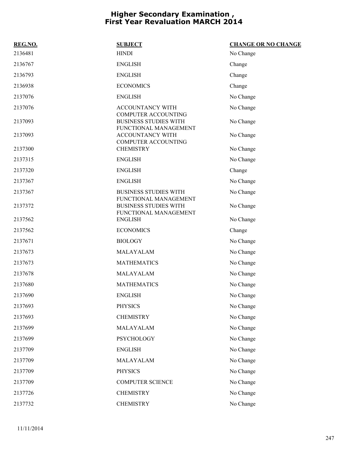| REG.NO. | <b>SUBJECT</b>                                                                      | <b>CHANGE OR NO CHANGE</b> |
|---------|-------------------------------------------------------------------------------------|----------------------------|
| 2136481 | <b>HINDI</b>                                                                        | No Change                  |
| 2136767 | <b>ENGLISH</b>                                                                      | Change                     |
| 2136793 | <b>ENGLISH</b>                                                                      | Change                     |
| 2136938 | <b>ECONOMICS</b>                                                                    | Change                     |
| 2137076 | <b>ENGLISH</b>                                                                      | No Change                  |
| 2137076 | ACCOUNTANCY WITH                                                                    | No Change                  |
| 2137093 | <b>COMPUTER ACCOUNTING</b><br><b>BUSINESS STUDIES WITH</b><br>FUNCTIONAL MANAGEMENT | No Change                  |
| 2137093 | ACCOUNTANCY WITH<br><b>COMPUTER ACCOUNTING</b>                                      | No Change                  |
| 2137300 | <b>CHEMISTRY</b>                                                                    | No Change                  |
| 2137315 | <b>ENGLISH</b>                                                                      | No Change                  |
| 2137320 | <b>ENGLISH</b>                                                                      | Change                     |
| 2137367 | <b>ENGLISH</b>                                                                      | No Change                  |
| 2137367 | <b>BUSINESS STUDIES WITH</b>                                                        | No Change                  |
| 2137372 | FUNCTIONAL MANAGEMENT<br><b>BUSINESS STUDIES WITH</b><br>FUNCTIONAL MANAGEMENT      | No Change                  |
| 2137562 | <b>ENGLISH</b>                                                                      | No Change                  |
| 2137562 | <b>ECONOMICS</b>                                                                    | Change                     |
| 2137671 | <b>BIOLOGY</b>                                                                      | No Change                  |
| 2137673 | MALAYALAM                                                                           | No Change                  |
| 2137673 | <b>MATHEMATICS</b>                                                                  | No Change                  |
| 2137678 | MALAYALAM                                                                           | No Change                  |
| 2137680 | <b>MATHEMATICS</b>                                                                  | No Change                  |
| 2137690 | <b>ENGLISH</b>                                                                      | No Change                  |
| 2137693 | <b>PHYSICS</b>                                                                      | No Change                  |
| 2137693 | <b>CHEMISTRY</b>                                                                    | No Change                  |
| 2137699 | MALAYALAM                                                                           | No Change                  |
| 2137699 | PSYCHOLOGY                                                                          | No Change                  |
| 2137709 | <b>ENGLISH</b>                                                                      | No Change                  |
| 2137709 | MALAYALAM                                                                           | No Change                  |
| 2137709 | <b>PHYSICS</b>                                                                      | No Change                  |
| 2137709 | <b>COMPUTER SCIENCE</b>                                                             | No Change                  |
| 2137726 | <b>CHEMISTRY</b>                                                                    | No Change                  |
| 2137732 | <b>CHEMISTRY</b>                                                                    | No Change                  |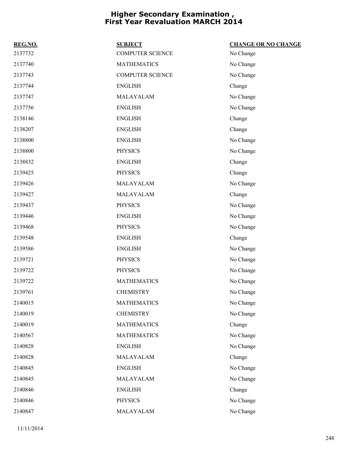| REG.NO. | <b>SUBJECT</b>          | <b>CHANGE OR NO CHANGE</b> |
|---------|-------------------------|----------------------------|
| 2137732 | <b>COMPUTER SCIENCE</b> | No Change                  |
| 2137740 | <b>MATHEMATICS</b>      | No Change                  |
| 2137743 | <b>COMPUTER SCIENCE</b> | No Change                  |
| 2137744 | <b>ENGLISH</b>          | Change                     |
| 2137747 | MALAYALAM               | No Change                  |
| 2137756 | <b>ENGLISH</b>          | No Change                  |
| 2138146 | <b>ENGLISH</b>          | Change                     |
| 2138207 | <b>ENGLISH</b>          | Change                     |
| 2138800 | <b>ENGLISH</b>          | No Change                  |
| 2138800 | <b>PHYSICS</b>          | No Change                  |
| 2138832 | <b>ENGLISH</b>          | Change                     |
| 2139425 | <b>PHYSICS</b>          | Change                     |
| 2139426 | MALAYALAM               | No Change                  |
| 2139427 | MALAYALAM               | Change                     |
| 2139437 | <b>PHYSICS</b>          | No Change                  |
| 2139446 | <b>ENGLISH</b>          | No Change                  |
| 2139468 | <b>PHYSICS</b>          | No Change                  |
| 2139548 | <b>ENGLISH</b>          | Change                     |
| 2139586 | <b>ENGLISH</b>          | No Change                  |
| 2139721 | <b>PHYSICS</b>          | No Change                  |
| 2139722 | <b>PHYSICS</b>          | No Change                  |
| 2139722 | <b>MATHEMATICS</b>      | No Change                  |
| 2139761 | <b>CHEMISTRY</b>        | No Change                  |
| 2140015 | <b>MATHEMATICS</b>      | No Change                  |
| 2140019 | <b>CHEMISTRY</b>        | No Change                  |
| 2140019 | <b>MATHEMATICS</b>      | Change                     |
| 2140567 | <b>MATHEMATICS</b>      | No Change                  |
| 2140828 | <b>ENGLISH</b>          | No Change                  |
| 2140828 | MALAYALAM               | Change                     |
| 2140845 | <b>ENGLISH</b>          | No Change                  |
| 2140845 | MALAYALAM               | No Change                  |
| 2140846 | <b>ENGLISH</b>          | Change                     |
| 2140846 | <b>PHYSICS</b>          | No Change                  |
| 2140847 | MALAYALAM               | No Change                  |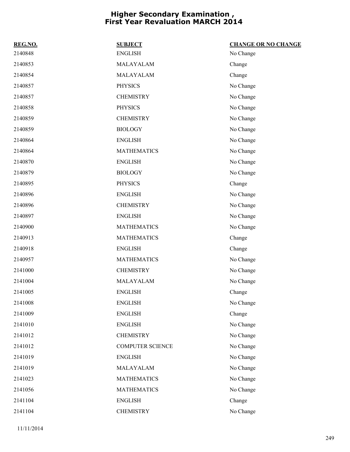| REG.NO. | <b>SUBJECT</b>          | <b>CHANGE OR NO CHANGE</b> |
|---------|-------------------------|----------------------------|
| 2140848 | <b>ENGLISH</b>          | No Change                  |
| 2140853 | MALAYALAM               | Change                     |
| 2140854 | MALAYALAM               | Change                     |
| 2140857 | <b>PHYSICS</b>          | No Change                  |
| 2140857 | <b>CHEMISTRY</b>        | No Change                  |
| 2140858 | <b>PHYSICS</b>          | No Change                  |
| 2140859 | <b>CHEMISTRY</b>        | No Change                  |
| 2140859 | <b>BIOLOGY</b>          | No Change                  |
| 2140864 | <b>ENGLISH</b>          | No Change                  |
| 2140864 | <b>MATHEMATICS</b>      | No Change                  |
| 2140870 | <b>ENGLISH</b>          | No Change                  |
| 2140879 | <b>BIOLOGY</b>          | No Change                  |
| 2140895 | <b>PHYSICS</b>          | Change                     |
| 2140896 | <b>ENGLISH</b>          | No Change                  |
| 2140896 | <b>CHEMISTRY</b>        | No Change                  |
| 2140897 | <b>ENGLISH</b>          | No Change                  |
| 2140900 | <b>MATHEMATICS</b>      | No Change                  |
| 2140913 | <b>MATHEMATICS</b>      | Change                     |
| 2140918 | <b>ENGLISH</b>          | Change                     |
| 2140957 | <b>MATHEMATICS</b>      | No Change                  |
| 2141000 | <b>CHEMISTRY</b>        | No Change                  |
| 2141004 | MALAYALAM               | No Change                  |
| 2141005 | <b>ENGLISH</b>          | Change                     |
| 2141008 | <b>ENGLISH</b>          | No Change                  |
| 2141009 | <b>ENGLISH</b>          | Change                     |
| 2141010 | <b>ENGLISH</b>          | No Change                  |
| 2141012 | <b>CHEMISTRY</b>        | No Change                  |
| 2141012 | <b>COMPUTER SCIENCE</b> | No Change                  |
| 2141019 | <b>ENGLISH</b>          | No Change                  |
| 2141019 | MALAYALAM               | No Change                  |
| 2141023 | <b>MATHEMATICS</b>      | No Change                  |
| 2141056 | <b>MATHEMATICS</b>      | No Change                  |
| 2141104 | <b>ENGLISH</b>          | Change                     |
| 2141104 | <b>CHEMISTRY</b>        | No Change                  |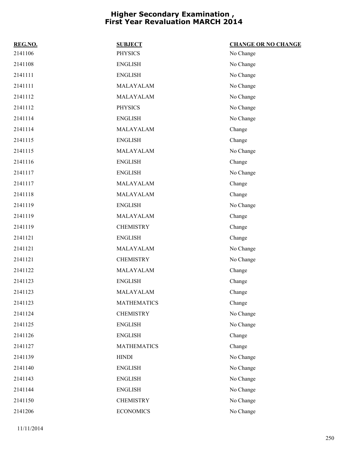| REG.NO. | <b>SUBJECT</b>     | <b>CHANGE OR NO CHANGE</b> |
|---------|--------------------|----------------------------|
| 2141106 | <b>PHYSICS</b>     | No Change                  |
| 2141108 | <b>ENGLISH</b>     | No Change                  |
| 2141111 | <b>ENGLISH</b>     | No Change                  |
| 2141111 | MALAYALAM          | No Change                  |
| 2141112 | MALAYALAM          | No Change                  |
| 2141112 | <b>PHYSICS</b>     | No Change                  |
| 2141114 | <b>ENGLISH</b>     | No Change                  |
| 2141114 | MALAYALAM          | Change                     |
| 2141115 | <b>ENGLISH</b>     | Change                     |
| 2141115 | MALAYALAM          | No Change                  |
| 2141116 | <b>ENGLISH</b>     | Change                     |
| 2141117 | <b>ENGLISH</b>     | No Change                  |
| 2141117 | MALAYALAM          | Change                     |
| 2141118 | MALAYALAM          | Change                     |
| 2141119 | <b>ENGLISH</b>     | No Change                  |
| 2141119 | MALAYALAM          | Change                     |
| 2141119 | <b>CHEMISTRY</b>   | Change                     |
| 2141121 | <b>ENGLISH</b>     | Change                     |
| 2141121 | MALAYALAM          | No Change                  |
| 2141121 | <b>CHEMISTRY</b>   | No Change                  |
| 2141122 | MALAYALAM          | Change                     |
| 2141123 | <b>ENGLISH</b>     | Change                     |
| 2141123 | MALAYALAM          | Change                     |
| 2141123 | <b>MATHEMATICS</b> | Change                     |
| 2141124 | <b>CHEMISTRY</b>   | No Change                  |
| 2141125 | <b>ENGLISH</b>     | No Change                  |
| 2141126 | <b>ENGLISH</b>     | Change                     |
| 2141127 | <b>MATHEMATICS</b> | Change                     |
| 2141139 | <b>HINDI</b>       | No Change                  |
| 2141140 | <b>ENGLISH</b>     | No Change                  |
| 2141143 | <b>ENGLISH</b>     | No Change                  |
| 2141144 | <b>ENGLISH</b>     | No Change                  |
| 2141150 | <b>CHEMISTRY</b>   | No Change                  |
| 2141206 | <b>ECONOMICS</b>   | No Change                  |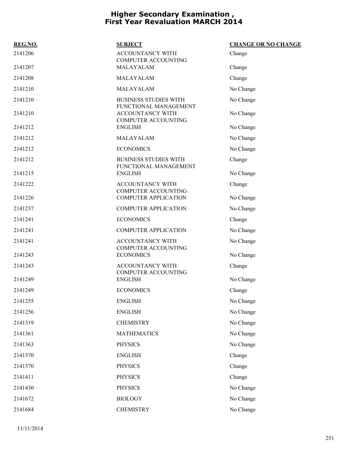| REG.NO. | <b>SUBJECT</b>                                                                 | <b>CHANGE OR NO CHANGE</b> |
|---------|--------------------------------------------------------------------------------|----------------------------|
| 2141206 | <b>ACCOUNTANCY WITH</b><br><b>COMPUTER ACCOUNTING</b>                          | Change                     |
| 2141207 | MALAYALAM                                                                      | Change                     |
| 2141208 | MALAYALAM                                                                      | Change                     |
| 2141210 | MALAYALAM                                                                      | No Change                  |
| 2141210 | <b>BUSINESS STUDIES WITH</b>                                                   | No Change                  |
| 2141210 | FUNCTIONAL MANAGEMENT<br><b>ACCOUNTANCY WITH</b><br><b>COMPUTER ACCOUNTING</b> | No Change                  |
| 2141212 | <b>ENGLISH</b>                                                                 | No Change                  |
| 2141212 | MALAYALAM                                                                      | No Change                  |
| 2141212 | <b>ECONOMICS</b>                                                               | No Change                  |
| 2141212 | <b>BUSINESS STUDIES WITH</b><br>FUNCTIONAL MANAGEMENT                          | Change                     |
| 2141215 | <b>ENGLISH</b>                                                                 | No Change                  |
| 2141222 | <b>ACCOUNTANCY WITH</b><br>COMPUTER ACCOUNTING                                 | Change                     |
| 2141226 | <b>COMPUTER APPLICATION</b>                                                    | No Change                  |
| 2141237 | <b>COMPUTER APPLICATION</b>                                                    | No Change                  |
| 2141241 | <b>ECONOMICS</b>                                                               | Change                     |
| 2141241 | <b>COMPUTER APPLICATION</b>                                                    | No Change                  |
| 2141241 | ACCOUNTANCY WITH<br>COMPUTER ACCOUNTING                                        | No Change                  |
| 2141243 | <b>ECONOMICS</b>                                                               | No Change                  |
| 2141243 | ACCOUNTANCY WITH<br>COMPUTER ACCOUNTING                                        | Change                     |
| 2141249 | <b>ENGLISH</b>                                                                 | No Change                  |
| 2141249 | <b>ECONOMICS</b>                                                               | Change                     |
| 2141255 | <b>ENGLISH</b>                                                                 | No Change                  |
| 2141256 | <b>ENGLISH</b>                                                                 | No Change                  |
| 2141319 | <b>CHEMISTRY</b>                                                               | No Change                  |
| 2141361 | <b>MATHEMATICS</b>                                                             | No Change                  |
| 2141363 | <b>PHYSICS</b>                                                                 | No Change                  |
| 2141370 | <b>ENGLISH</b>                                                                 | Change                     |
| 2141370 | <b>PHYSICS</b>                                                                 | Change                     |
| 2141411 | <b>PHYSICS</b>                                                                 | Change                     |
| 2141430 | <b>PHYSICS</b>                                                                 | No Change                  |
| 2141672 | <b>BIOLOGY</b>                                                                 | No Change                  |
| 2141684 | <b>CHEMISTRY</b>                                                               | No Change                  |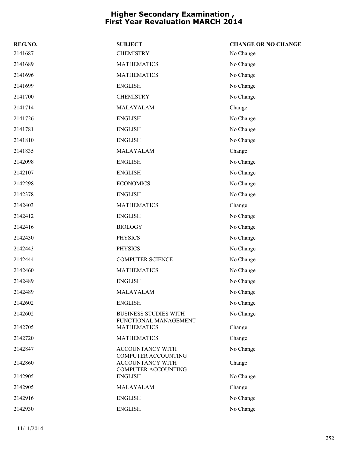| REG.NO. | <b>SUBJECT</b>                                                 | <b>CHANGE OR NO CHANGE</b> |
|---------|----------------------------------------------------------------|----------------------------|
| 2141687 | <b>CHEMISTRY</b>                                               | No Change                  |
| 2141689 | <b>MATHEMATICS</b>                                             | No Change                  |
| 2141696 | <b>MATHEMATICS</b>                                             | No Change                  |
| 2141699 | <b>ENGLISH</b>                                                 | No Change                  |
| 2141700 | <b>CHEMISTRY</b>                                               | No Change                  |
| 2141714 | MALAYALAM                                                      | Change                     |
| 2141726 | <b>ENGLISH</b>                                                 | No Change                  |
| 2141781 | <b>ENGLISH</b>                                                 | No Change                  |
| 2141810 | <b>ENGLISH</b>                                                 | No Change                  |
| 2141835 | MALAYALAM                                                      | Change                     |
| 2142098 | <b>ENGLISH</b>                                                 | No Change                  |
| 2142107 | <b>ENGLISH</b>                                                 | No Change                  |
| 2142298 | <b>ECONOMICS</b>                                               | No Change                  |
| 2142378 | <b>ENGLISH</b>                                                 | No Change                  |
| 2142403 | <b>MATHEMATICS</b>                                             | Change                     |
| 2142412 | <b>ENGLISH</b>                                                 | No Change                  |
| 2142416 | <b>BIOLOGY</b>                                                 | No Change                  |
| 2142430 | <b>PHYSICS</b>                                                 | No Change                  |
| 2142443 | <b>PHYSICS</b>                                                 | No Change                  |
| 2142444 | <b>COMPUTER SCIENCE</b>                                        | No Change                  |
| 2142460 | <b>MATHEMATICS</b>                                             | No Change                  |
| 2142489 | <b>ENGLISH</b>                                                 | No Change                  |
| 2142489 | MALAYALAM                                                      | No Change                  |
| 2142602 | <b>ENGLISH</b>                                                 | No Change                  |
| 2142602 | <b>BUSINESS STUDIES WITH</b>                                   | No Change                  |
| 2142705 | FUNCTIONAL MANAGEMENT<br><b>MATHEMATICS</b>                    | Change                     |
| 2142720 | <b>MATHEMATICS</b>                                             | Change                     |
| 2142847 | ACCOUNTANCY WITH                                               | No Change                  |
| 2142860 | COMPUTER ACCOUNTING<br>ACCOUNTANCY WITH<br>COMPUTER ACCOUNTING | Change                     |
| 2142905 | <b>ENGLISH</b>                                                 | No Change                  |
| 2142905 | MALAYALAM                                                      | Change                     |
| 2142916 | <b>ENGLISH</b>                                                 | No Change                  |
| 2142930 | <b>ENGLISH</b>                                                 | No Change                  |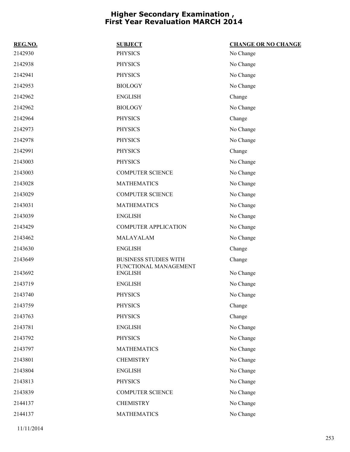| REG.NO. | <b>SUBJECT</b>                          | <b>CHANGE OR NO CHANGE</b> |
|---------|-----------------------------------------|----------------------------|
| 2142930 | <b>PHYSICS</b>                          | No Change                  |
| 2142938 | <b>PHYSICS</b>                          | No Change                  |
| 2142941 | <b>PHYSICS</b>                          | No Change                  |
| 2142953 | <b>BIOLOGY</b>                          | No Change                  |
| 2142962 | <b>ENGLISH</b>                          | Change                     |
| 2142962 | <b>BIOLOGY</b>                          | No Change                  |
| 2142964 | <b>PHYSICS</b>                          | Change                     |
| 2142973 | <b>PHYSICS</b>                          | No Change                  |
| 2142978 | <b>PHYSICS</b>                          | No Change                  |
| 2142991 | <b>PHYSICS</b>                          | Change                     |
| 2143003 | <b>PHYSICS</b>                          | No Change                  |
| 2143003 | <b>COMPUTER SCIENCE</b>                 | No Change                  |
| 2143028 | <b>MATHEMATICS</b>                      | No Change                  |
| 2143029 | <b>COMPUTER SCIENCE</b>                 | No Change                  |
| 2143031 | <b>MATHEMATICS</b>                      | No Change                  |
| 2143039 | <b>ENGLISH</b>                          | No Change                  |
| 2143429 | <b>COMPUTER APPLICATION</b>             | No Change                  |
| 2143462 | MALAYALAM                               | No Change                  |
| 2143630 | <b>ENGLISH</b>                          | Change                     |
| 2143649 | <b>BUSINESS STUDIES WITH</b>            | Change                     |
| 2143692 | FUNCTIONAL MANAGEMENT<br><b>ENGLISH</b> | No Change                  |
| 2143719 | <b>ENGLISH</b>                          | No Change                  |
| 2143740 | <b>PHYSICS</b>                          | No Change                  |
| 2143759 | <b>PHYSICS</b>                          | Change                     |
| 2143763 | <b>PHYSICS</b>                          | Change                     |
| 2143781 | <b>ENGLISH</b>                          | No Change                  |
| 2143792 | <b>PHYSICS</b>                          | No Change                  |
| 2143797 | <b>MATHEMATICS</b>                      | No Change                  |
| 2143801 | <b>CHEMISTRY</b>                        | No Change                  |
| 2143804 | <b>ENGLISH</b>                          | No Change                  |
| 2143813 | <b>PHYSICS</b>                          | No Change                  |
| 2143839 | <b>COMPUTER SCIENCE</b>                 | No Change                  |
| 2144137 | <b>CHEMISTRY</b>                        | No Change                  |
| 2144137 | <b>MATHEMATICS</b>                      | No Change                  |
|         |                                         |                            |

11/11/2014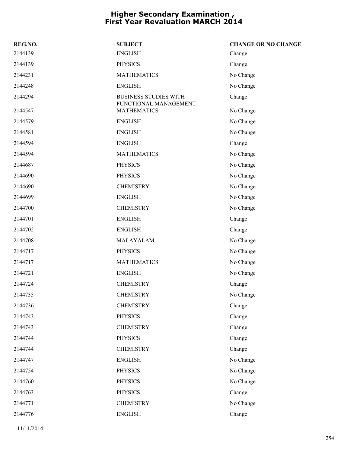| REG.NO. | <b>SUBJECT</b>                              | <b>CHANGE OR NO CHANGE</b> |
|---------|---------------------------------------------|----------------------------|
| 2144139 | <b>ENGLISH</b>                              | Change                     |
| 2144139 | <b>PHYSICS</b>                              | Change                     |
| 2144231 | <b>MATHEMATICS</b>                          | No Change                  |
| 2144248 | <b>ENGLISH</b>                              | No Change                  |
| 2144294 | <b>BUSINESS STUDIES WITH</b>                | Change                     |
| 2144547 | FUNCTIONAL MANAGEMENT<br><b>MATHEMATICS</b> | No Change                  |
| 2144579 | <b>ENGLISH</b>                              | No Change                  |
| 2144581 | <b>ENGLISH</b>                              | No Change                  |
| 2144594 | <b>ENGLISH</b>                              | Change                     |
| 2144594 | <b>MATHEMATICS</b>                          | No Change                  |
| 2144687 | <b>PHYSICS</b>                              | No Change                  |
| 2144690 | <b>PHYSICS</b>                              | No Change                  |
| 2144690 | <b>CHEMISTRY</b>                            | No Change                  |
| 2144699 | <b>ENGLISH</b>                              | No Change                  |
| 2144700 | <b>CHEMISTRY</b>                            | No Change                  |
| 2144701 | <b>ENGLISH</b>                              | Change                     |
| 2144702 | <b>ENGLISH</b>                              | Change                     |
| 2144708 | MALAYALAM                                   | No Change                  |
| 2144717 | <b>PHYSICS</b>                              | No Change                  |
| 2144717 | <b>MATHEMATICS</b>                          | No Change                  |
| 2144721 | <b>ENGLISH</b>                              | No Change                  |
| 2144724 | <b>CHEMISTRY</b>                            | Change                     |
| 2144735 | <b>CHEMISTRY</b>                            | No Change                  |
| 2144736 | <b>CHEMISTRY</b>                            | Change                     |
| 2144743 | <b>PHYSICS</b>                              | Change                     |
| 2144743 | <b>CHEMISTRY</b>                            | Change                     |
| 2144744 | <b>PHYSICS</b>                              | Change                     |
| 2144744 | <b>CHEMISTRY</b>                            | Change                     |
| 2144747 | <b>ENGLISH</b>                              | No Change                  |
| 2144754 | <b>PHYSICS</b>                              | No Change                  |
| 2144760 | <b>PHYSICS</b>                              | No Change                  |
| 2144763 | <b>PHYSICS</b>                              | Change                     |
| 2144771 | <b>CHEMISTRY</b>                            | No Change                  |
| 2144776 | <b>ENGLISH</b>                              | Change                     |
|         |                                             |                            |

11/11/2014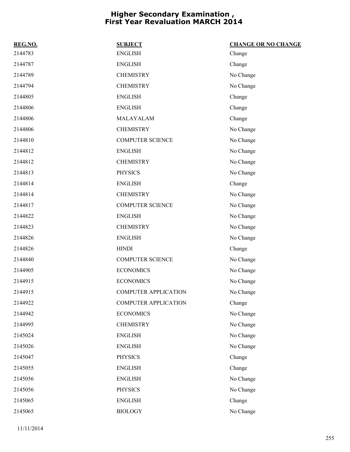| REG.NO. | <b>SUBJECT</b>              | <b>CHANGE OR NO CHANGE</b> |
|---------|-----------------------------|----------------------------|
| 2144783 | <b>ENGLISH</b>              | Change                     |
| 2144787 | <b>ENGLISH</b>              | Change                     |
| 2144789 | <b>CHEMISTRY</b>            | No Change                  |
| 2144794 | <b>CHEMISTRY</b>            | No Change                  |
| 2144805 | <b>ENGLISH</b>              | Change                     |
| 2144806 | <b>ENGLISH</b>              | Change                     |
| 2144806 | MALAYALAM                   | Change                     |
| 2144806 | <b>CHEMISTRY</b>            | No Change                  |
| 2144810 | <b>COMPUTER SCIENCE</b>     | No Change                  |
| 2144812 | <b>ENGLISH</b>              | No Change                  |
| 2144812 | <b>CHEMISTRY</b>            | No Change                  |
| 2144813 | <b>PHYSICS</b>              | No Change                  |
| 2144814 | <b>ENGLISH</b>              | Change                     |
| 2144814 | <b>CHEMISTRY</b>            | No Change                  |
| 2144817 | <b>COMPUTER SCIENCE</b>     | No Change                  |
| 2144822 | <b>ENGLISH</b>              | No Change                  |
| 2144823 | <b>CHEMISTRY</b>            | No Change                  |
| 2144826 | <b>ENGLISH</b>              | No Change                  |
| 2144826 | <b>HINDI</b>                | Change                     |
| 2144840 | <b>COMPUTER SCIENCE</b>     | No Change                  |
| 2144905 | <b>ECONOMICS</b>            | No Change                  |
| 2144915 | <b>ECONOMICS</b>            | No Change                  |
| 2144915 | <b>COMPUTER APPLICATION</b> | No Change                  |
| 2144922 | <b>COMPUTER APPLICATION</b> | Change                     |
| 2144942 | <b>ECONOMICS</b>            | No Change                  |
| 2144995 | <b>CHEMISTRY</b>            | No Change                  |
| 2145024 | <b>ENGLISH</b>              | No Change                  |
| 2145026 | <b>ENGLISH</b>              | No Change                  |
| 2145047 | <b>PHYSICS</b>              | Change                     |
| 2145055 | <b>ENGLISH</b>              | Change                     |
| 2145056 | <b>ENGLISH</b>              | No Change                  |
| 2145056 | <b>PHYSICS</b>              | No Change                  |
| 2145065 | <b>ENGLISH</b>              | Change                     |
| 2145065 | <b>BIOLOGY</b>              | No Change                  |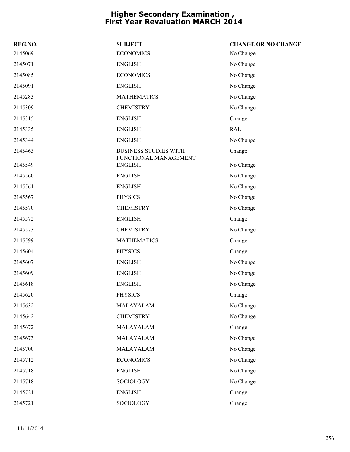| REG.NO. | <b>SUBJECT</b>                                        | <b>CHANGE OR NO CHANGE</b> |
|---------|-------------------------------------------------------|----------------------------|
| 2145069 | <b>ECONOMICS</b>                                      | No Change                  |
| 2145071 | <b>ENGLISH</b>                                        | No Change                  |
| 2145085 | <b>ECONOMICS</b>                                      | No Change                  |
| 2145091 | <b>ENGLISH</b>                                        | No Change                  |
| 2145283 | <b>MATHEMATICS</b>                                    | No Change                  |
| 2145309 | <b>CHEMISTRY</b>                                      | No Change                  |
| 2145315 | <b>ENGLISH</b>                                        | Change                     |
| 2145335 | <b>ENGLISH</b>                                        | <b>RAL</b>                 |
| 2145344 | <b>ENGLISH</b>                                        | No Change                  |
| 2145463 | <b>BUSINESS STUDIES WITH</b><br>FUNCTIONAL MANAGEMENT | Change                     |
| 2145549 | <b>ENGLISH</b>                                        | No Change                  |
| 2145560 | <b>ENGLISH</b>                                        | No Change                  |
| 2145561 | <b>ENGLISH</b>                                        | No Change                  |
| 2145567 | <b>PHYSICS</b>                                        | No Change                  |
| 2145570 | <b>CHEMISTRY</b>                                      | No Change                  |
| 2145572 | <b>ENGLISH</b>                                        | Change                     |
| 2145573 | <b>CHEMISTRY</b>                                      | No Change                  |
| 2145599 | <b>MATHEMATICS</b>                                    | Change                     |
| 2145604 | <b>PHYSICS</b>                                        | Change                     |
| 2145607 | <b>ENGLISH</b>                                        | No Change                  |
| 2145609 | <b>ENGLISH</b>                                        | No Change                  |
| 2145618 | <b>ENGLISH</b>                                        | No Change                  |
| 2145620 | <b>PHYSICS</b>                                        | Change                     |
| 2145632 | MALAYALAM                                             | No Change                  |
| 2145642 | <b>CHEMISTRY</b>                                      | No Change                  |
| 2145672 | MALAYALAM                                             | Change                     |
| 2145673 | MALAYALAM                                             | No Change                  |
| 2145700 | MALAYALAM                                             | No Change                  |
| 2145712 | <b>ECONOMICS</b>                                      | No Change                  |
| 2145718 | <b>ENGLISH</b>                                        | No Change                  |
| 2145718 | <b>SOCIOLOGY</b>                                      | No Change                  |
| 2145721 | <b>ENGLISH</b>                                        | Change                     |
| 2145721 | SOCIOLOGY                                             | Change                     |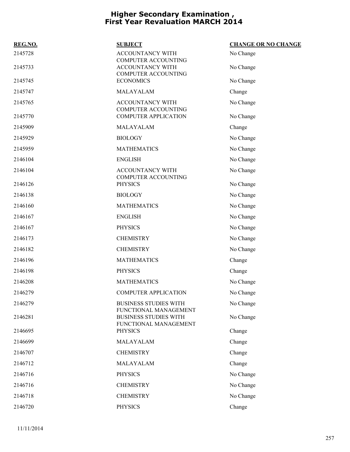| REG.NO. | <b>SUBJECT</b>                                                                 | <b>CHANGE OR NO CHANGE</b> |
|---------|--------------------------------------------------------------------------------|----------------------------|
| 2145728 | ACCOUNTANCY WITH                                                               | No Change                  |
| 2145733 | <b>COMPUTER ACCOUNTING</b><br>ACCOUNTANCY WITH<br><b>COMPUTER ACCOUNTING</b>   | No Change                  |
| 2145745 | <b>ECONOMICS</b>                                                               | No Change                  |
| 2145747 | MALAYALAM                                                                      | Change                     |
| 2145765 | <b>ACCOUNTANCY WITH</b>                                                        | No Change                  |
| 2145770 | <b>COMPUTER ACCOUNTING</b><br><b>COMPUTER APPLICATION</b>                      | No Change                  |
| 2145909 | MALAYALAM                                                                      | Change                     |
| 2145929 | <b>BIOLOGY</b>                                                                 | No Change                  |
| 2145959 | <b>MATHEMATICS</b>                                                             | No Change                  |
| 2146104 | <b>ENGLISH</b>                                                                 | No Change                  |
| 2146104 | ACCOUNTANCY WITH<br><b>COMPUTER ACCOUNTING</b>                                 | No Change                  |
| 2146126 | <b>PHYSICS</b>                                                                 | No Change                  |
| 2146138 | <b>BIOLOGY</b>                                                                 | No Change                  |
| 2146160 | <b>MATHEMATICS</b>                                                             | No Change                  |
| 2146167 | <b>ENGLISH</b>                                                                 | No Change                  |
| 2146167 | <b>PHYSICS</b>                                                                 | No Change                  |
| 2146173 | <b>CHEMISTRY</b>                                                               | No Change                  |
| 2146182 | <b>CHEMISTRY</b>                                                               | No Change                  |
| 2146196 | <b>MATHEMATICS</b>                                                             | Change                     |
| 2146198 | <b>PHYSICS</b>                                                                 | Change                     |
| 2146208 | <b>MATHEMATICS</b>                                                             | No Change                  |
| 2146279 | <b>COMPUTER APPLICATION</b>                                                    | No Change                  |
| 2146279 | <b>BUSINESS STUDIES WITH</b>                                                   | No Change                  |
| 2146281 | FUNCTIONAL MANAGEMENT<br><b>BUSINESS STUDIES WITH</b><br>FUNCTIONAL MANAGEMENT | No Change                  |
| 2146695 | <b>PHYSICS</b>                                                                 | Change                     |
| 2146699 | MALAYALAM                                                                      | Change                     |
| 2146707 | <b>CHEMISTRY</b>                                                               | Change                     |
| 2146712 | MALAYALAM                                                                      | Change                     |
| 2146716 | <b>PHYSICS</b>                                                                 | No Change                  |
| 2146716 | <b>CHEMISTRY</b>                                                               | No Change                  |
| 2146718 | <b>CHEMISTRY</b>                                                               | No Change                  |
| 2146720 | <b>PHYSICS</b>                                                                 | Change                     |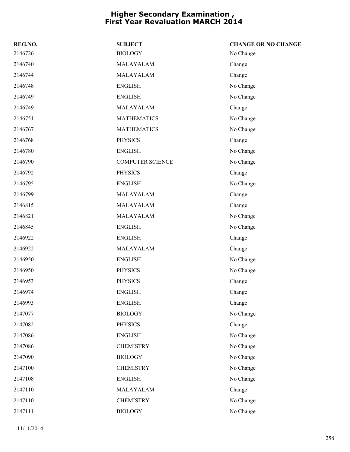| REG.NO. | <b>SUBJECT</b>          | <b>CHANGE OR NO CHANGE</b> |
|---------|-------------------------|----------------------------|
| 2146726 | <b>BIOLOGY</b>          | No Change                  |
| 2146740 | MALAYALAM               | Change                     |
| 2146744 | MALAYALAM               | Change                     |
| 2146748 | <b>ENGLISH</b>          | No Change                  |
| 2146749 | <b>ENGLISH</b>          | No Change                  |
| 2146749 | MALAYALAM               | Change                     |
| 2146751 | <b>MATHEMATICS</b>      | No Change                  |
| 2146767 | <b>MATHEMATICS</b>      | No Change                  |
| 2146768 | <b>PHYSICS</b>          | Change                     |
| 2146780 | <b>ENGLISH</b>          | No Change                  |
| 2146790 | <b>COMPUTER SCIENCE</b> | No Change                  |
| 2146792 | <b>PHYSICS</b>          | Change                     |
| 2146795 | <b>ENGLISH</b>          | No Change                  |
| 2146799 | MALAYALAM               | Change                     |
| 2146815 | MALAYALAM               | Change                     |
| 2146821 | MALAYALAM               | No Change                  |
| 2146845 | <b>ENGLISH</b>          | No Change                  |
| 2146922 | <b>ENGLISH</b>          | Change                     |
| 2146922 | MALAYALAM               | Change                     |
| 2146950 | <b>ENGLISH</b>          | No Change                  |
| 2146950 | <b>PHYSICS</b>          | No Change                  |
| 2146953 | <b>PHYSICS</b>          | Change                     |
| 2146974 | <b>ENGLISH</b>          | Change                     |
| 2146993 | <b>ENGLISH</b>          | Change                     |
| 2147077 | <b>BIOLOGY</b>          | No Change                  |
| 2147082 | <b>PHYSICS</b>          | Change                     |
| 2147086 | <b>ENGLISH</b>          | No Change                  |
| 2147086 | <b>CHEMISTRY</b>        | No Change                  |
| 2147090 | <b>BIOLOGY</b>          | No Change                  |
| 2147100 | <b>CHEMISTRY</b>        | No Change                  |
| 2147108 | <b>ENGLISH</b>          | No Change                  |
| 2147110 | MALAYALAM               | Change                     |
| 2147110 | <b>CHEMISTRY</b>        | No Change                  |
| 2147111 | <b>BIOLOGY</b>          | No Change                  |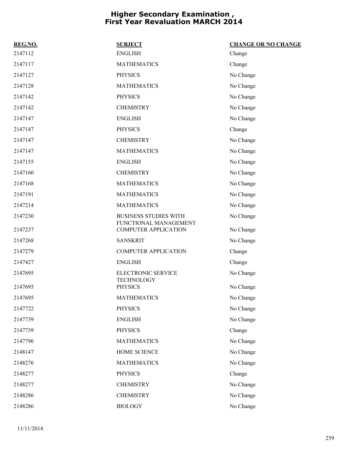| REG.NO. | <b>SUBJECT</b>                                        | <b>CHANGE OR NO CHANGE</b> |
|---------|-------------------------------------------------------|----------------------------|
| 2147112 | <b>ENGLISH</b>                                        | Change                     |
| 2147117 | <b>MATHEMATICS</b>                                    | Change                     |
| 2147127 | <b>PHYSICS</b>                                        | No Change                  |
| 2147128 | <b>MATHEMATICS</b>                                    | No Change                  |
| 2147142 | <b>PHYSICS</b>                                        | No Change                  |
| 2147142 | <b>CHEMISTRY</b>                                      | No Change                  |
| 2147147 | <b>ENGLISH</b>                                        | No Change                  |
| 2147147 | <b>PHYSICS</b>                                        | Change                     |
| 2147147 | <b>CHEMISTRY</b>                                      | No Change                  |
| 2147147 | <b>MATHEMATICS</b>                                    | No Change                  |
| 2147155 | <b>ENGLISH</b>                                        | No Change                  |
| 2147160 | <b>CHEMISTRY</b>                                      | No Change                  |
| 2147168 | <b>MATHEMATICS</b>                                    | No Change                  |
| 2147191 | <b>MATHEMATICS</b>                                    | No Change                  |
| 2147214 | <b>MATHEMATICS</b>                                    | No Change                  |
| 2147230 | <b>BUSINESS STUDIES WITH</b><br>FUNCTIONAL MANAGEMENT | No Change                  |
| 2147237 | <b>COMPUTER APPLICATION</b>                           | No Change                  |
| 2147268 | <b>SANSKRIT</b>                                       | No Change                  |
| 2147279 | <b>COMPUTER APPLICATION</b>                           | Change                     |
| 2147427 | <b>ENGLISH</b>                                        | Change                     |
| 2147695 | ELECTRONIC SERVICE<br><b>TECHNOLOGY</b>               | No Change                  |
| 2147695 | <b>PHYSICS</b>                                        | No Change                  |
| 2147695 | <b>MATHEMATICS</b>                                    | No Change                  |
| 2147722 | <b>PHYSICS</b>                                        | No Change                  |
| 2147739 | <b>ENGLISH</b>                                        | No Change                  |
| 2147739 | <b>PHYSICS</b>                                        | Change                     |
| 2147796 | <b>MATHEMATICS</b>                                    | No Change                  |
| 2148147 | HOME SCIENCE                                          | No Change                  |
| 2148276 | <b>MATHEMATICS</b>                                    | No Change                  |
| 2148277 | <b>PHYSICS</b>                                        | Change                     |
| 2148277 | <b>CHEMISTRY</b>                                      | No Change                  |
| 2148286 | <b>CHEMISTRY</b>                                      | No Change                  |
| 2148286 | <b>BIOLOGY</b>                                        | No Change                  |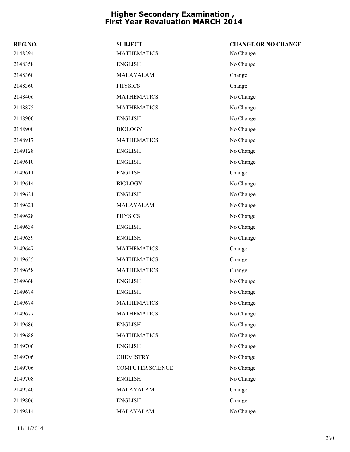| REG.NO. | <b>SUBJECT</b>          | <b>CHANGE OR NO CHANGE</b> |
|---------|-------------------------|----------------------------|
| 2148294 | <b>MATHEMATICS</b>      | No Change                  |
| 2148358 | <b>ENGLISH</b>          | No Change                  |
| 2148360 | MALAYALAM               | Change                     |
| 2148360 | <b>PHYSICS</b>          | Change                     |
| 2148406 | <b>MATHEMATICS</b>      | No Change                  |
| 2148875 | <b>MATHEMATICS</b>      | No Change                  |
| 2148900 | <b>ENGLISH</b>          | No Change                  |
| 2148900 | <b>BIOLOGY</b>          | No Change                  |
| 2148917 | <b>MATHEMATICS</b>      | No Change                  |
| 2149128 | <b>ENGLISH</b>          | No Change                  |
| 2149610 | <b>ENGLISH</b>          | No Change                  |
| 2149611 | <b>ENGLISH</b>          | Change                     |
| 2149614 | <b>BIOLOGY</b>          | No Change                  |
| 2149621 | <b>ENGLISH</b>          | No Change                  |
| 2149621 | MALAYALAM               | No Change                  |
| 2149628 | <b>PHYSICS</b>          | No Change                  |
| 2149634 | <b>ENGLISH</b>          | No Change                  |
| 2149639 | <b>ENGLISH</b>          | No Change                  |
| 2149647 | <b>MATHEMATICS</b>      | Change                     |
| 2149655 | <b>MATHEMATICS</b>      | Change                     |
| 2149658 | <b>MATHEMATICS</b>      | Change                     |
| 2149668 | <b>ENGLISH</b>          | No Change                  |
| 2149674 | <b>ENGLISH</b>          | No Change                  |
| 2149674 | <b>MATHEMATICS</b>      | No Change                  |
| 2149677 | <b>MATHEMATICS</b>      | No Change                  |
| 2149686 | <b>ENGLISH</b>          | No Change                  |
| 2149688 | <b>MATHEMATICS</b>      | No Change                  |
| 2149706 | <b>ENGLISH</b>          | No Change                  |
| 2149706 | <b>CHEMISTRY</b>        | No Change                  |
| 2149706 | <b>COMPUTER SCIENCE</b> | No Change                  |
| 2149708 | <b>ENGLISH</b>          | No Change                  |
| 2149740 | MALAYALAM               | Change                     |
| 2149806 | <b>ENGLISH</b>          | Change                     |
| 2149814 | MALAYALAM               | No Change                  |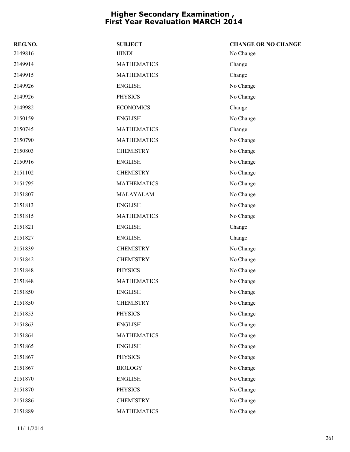| REG.NO. | <b>SUBJECT</b>     | <b>CHANGE OR NO CHANGE</b> |
|---------|--------------------|----------------------------|
| 2149816 | <b>HINDI</b>       | No Change                  |
| 2149914 | <b>MATHEMATICS</b> | Change                     |
| 2149915 | <b>MATHEMATICS</b> | Change                     |
| 2149926 | <b>ENGLISH</b>     | No Change                  |
| 2149926 | <b>PHYSICS</b>     | No Change                  |
| 2149982 | <b>ECONOMICS</b>   | Change                     |
| 2150159 | <b>ENGLISH</b>     | No Change                  |
| 2150745 | <b>MATHEMATICS</b> | Change                     |
| 2150790 | <b>MATHEMATICS</b> | No Change                  |
| 2150803 | <b>CHEMISTRY</b>   | No Change                  |
| 2150916 | <b>ENGLISH</b>     | No Change                  |
| 2151102 | <b>CHEMISTRY</b>   | No Change                  |
| 2151795 | <b>MATHEMATICS</b> | No Change                  |
| 2151807 | MALAYALAM          | No Change                  |
| 2151813 | <b>ENGLISH</b>     | No Change                  |
| 2151815 | <b>MATHEMATICS</b> | No Change                  |
| 2151821 | <b>ENGLISH</b>     | Change                     |
| 2151827 | <b>ENGLISH</b>     | Change                     |
| 2151839 | <b>CHEMISTRY</b>   | No Change                  |
| 2151842 | <b>CHEMISTRY</b>   | No Change                  |
| 2151848 | <b>PHYSICS</b>     | No Change                  |
| 2151848 | <b>MATHEMATICS</b> | No Change                  |
| 2151850 | <b>ENGLISH</b>     | No Change                  |
| 2151850 | <b>CHEMISTRY</b>   | No Change                  |
| 2151853 | <b>PHYSICS</b>     | No Change                  |
| 2151863 | <b>ENGLISH</b>     | No Change                  |
| 2151864 | <b>MATHEMATICS</b> | No Change                  |
| 2151865 | <b>ENGLISH</b>     | No Change                  |
| 2151867 | <b>PHYSICS</b>     | No Change                  |
| 2151867 | <b>BIOLOGY</b>     | No Change                  |
| 2151870 | <b>ENGLISH</b>     | No Change                  |
| 2151870 | <b>PHYSICS</b>     | No Change                  |
| 2151886 | <b>CHEMISTRY</b>   | No Change                  |
| 2151889 | <b>MATHEMATICS</b> | No Change                  |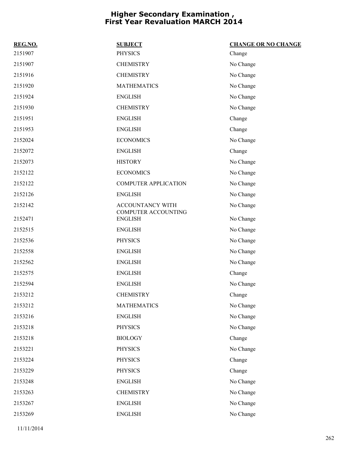| REG.NO. | <b>SUBJECT</b>                          | <b>CHANGE OR NO CHANGE</b> |
|---------|-----------------------------------------|----------------------------|
| 2151907 | <b>PHYSICS</b>                          | Change                     |
| 2151907 | <b>CHEMISTRY</b>                        | No Change                  |
| 2151916 | <b>CHEMISTRY</b>                        | No Change                  |
| 2151920 | <b>MATHEMATICS</b>                      | No Change                  |
| 2151924 | <b>ENGLISH</b>                          | No Change                  |
| 2151930 | <b>CHEMISTRY</b>                        | No Change                  |
| 2151951 | <b>ENGLISH</b>                          | Change                     |
| 2151953 | <b>ENGLISH</b>                          | Change                     |
| 2152024 | <b>ECONOMICS</b>                        | No Change                  |
| 2152072 | <b>ENGLISH</b>                          | Change                     |
| 2152073 | <b>HISTORY</b>                          | No Change                  |
| 2152122 | <b>ECONOMICS</b>                        | No Change                  |
| 2152122 | <b>COMPUTER APPLICATION</b>             | No Change                  |
| 2152126 | <b>ENGLISH</b>                          | No Change                  |
| 2152142 | ACCOUNTANCY WITH<br>COMPUTER ACCOUNTING | No Change                  |
| 2152471 | <b>ENGLISH</b>                          | No Change                  |
| 2152515 | <b>ENGLISH</b>                          | No Change                  |
| 2152536 | <b>PHYSICS</b>                          | No Change                  |
| 2152558 | <b>ENGLISH</b>                          | No Change                  |
| 2152562 | <b>ENGLISH</b>                          | No Change                  |
| 2152575 | <b>ENGLISH</b>                          | Change                     |
| 2152594 | <b>ENGLISH</b>                          | No Change                  |
| 2153212 | <b>CHEMISTRY</b>                        | Change                     |
| 2153212 | <b>MATHEMATICS</b>                      | No Change                  |
| 2153216 | <b>ENGLISH</b>                          | No Change                  |
| 2153218 | <b>PHYSICS</b>                          | No Change                  |
| 2153218 | <b>BIOLOGY</b>                          | Change                     |
| 2153221 | <b>PHYSICS</b>                          | No Change                  |
| 2153224 | <b>PHYSICS</b>                          | Change                     |
| 2153229 | <b>PHYSICS</b>                          | Change                     |
| 2153248 | <b>ENGLISH</b>                          | No Change                  |
| 2153263 | <b>CHEMISTRY</b>                        | No Change                  |
| 2153267 | <b>ENGLISH</b>                          | No Change                  |
| 2153269 | <b>ENGLISH</b>                          | No Change                  |
|         |                                         |                            |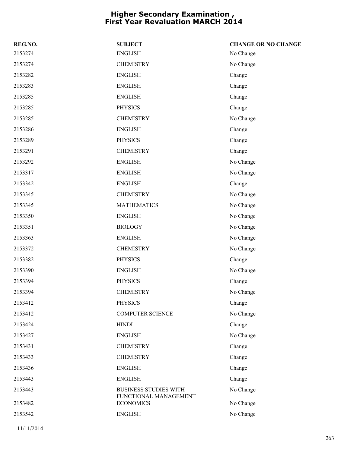| REG.NO. | <b>SUBJECT</b>                            | <b>CHANGE OR NO CHANGE</b> |
|---------|-------------------------------------------|----------------------------|
| 2153274 | <b>ENGLISH</b>                            | No Change                  |
| 2153274 | <b>CHEMISTRY</b>                          | No Change                  |
| 2153282 | <b>ENGLISH</b>                            | Change                     |
| 2153283 | <b>ENGLISH</b>                            | Change                     |
| 2153285 | <b>ENGLISH</b>                            | Change                     |
| 2153285 | <b>PHYSICS</b>                            | Change                     |
| 2153285 | <b>CHEMISTRY</b>                          | No Change                  |
| 2153286 | <b>ENGLISH</b>                            | Change                     |
| 2153289 | <b>PHYSICS</b>                            | Change                     |
| 2153291 | <b>CHEMISTRY</b>                          | Change                     |
| 2153292 | <b>ENGLISH</b>                            | No Change                  |
| 2153317 | <b>ENGLISH</b>                            | No Change                  |
| 2153342 | <b>ENGLISH</b>                            | Change                     |
| 2153345 | <b>CHEMISTRY</b>                          | No Change                  |
| 2153345 | <b>MATHEMATICS</b>                        | No Change                  |
| 2153350 | <b>ENGLISH</b>                            | No Change                  |
| 2153351 | <b>BIOLOGY</b>                            | No Change                  |
| 2153363 | <b>ENGLISH</b>                            | No Change                  |
| 2153372 | <b>CHEMISTRY</b>                          | No Change                  |
| 2153382 | <b>PHYSICS</b>                            | Change                     |
| 2153390 | <b>ENGLISH</b>                            | No Change                  |
| 2153394 | <b>PHYSICS</b>                            | Change                     |
| 2153394 | <b>CHEMISTRY</b>                          | No Change                  |
| 2153412 | <b>PHYSICS</b>                            | Change                     |
| 2153412 | <b>COMPUTER SCIENCE</b>                   | No Change                  |
| 2153424 | <b>HINDI</b>                              | Change                     |
| 2153427 | <b>ENGLISH</b>                            | No Change                  |
| 2153431 | <b>CHEMISTRY</b>                          | Change                     |
| 2153433 | <b>CHEMISTRY</b>                          | Change                     |
| 2153436 | <b>ENGLISH</b>                            | Change                     |
| 2153443 | <b>ENGLISH</b>                            | Change                     |
| 2153443 | <b>BUSINESS STUDIES WITH</b>              | No Change                  |
| 2153482 | FUNCTIONAL MANAGEMENT<br><b>ECONOMICS</b> | No Change                  |
| 2153542 | <b>ENGLISH</b>                            | No Change                  |
|         |                                           |                            |

11/11/2014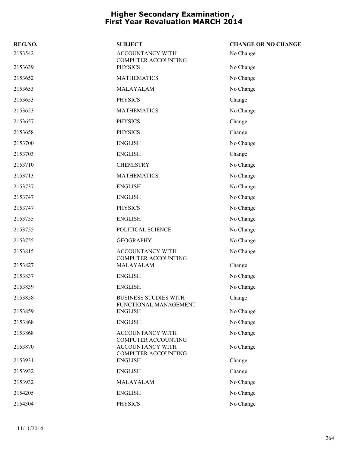| REG.NO. | <b>SUBJECT</b>                                                               | <b>CHANGE OR NO CHANGE</b> |
|---------|------------------------------------------------------------------------------|----------------------------|
| 2153542 | ACCOUNTANCY WITH<br><b>COMPUTER ACCOUNTING</b>                               | No Change                  |
| 2153639 | <b>PHYSICS</b>                                                               | No Change                  |
| 2153652 | <b>MATHEMATICS</b>                                                           | No Change                  |
| 2153653 | MALAYALAM                                                                    | No Change                  |
| 2153653 | <b>PHYSICS</b>                                                               | Change                     |
| 2153653 | <b>MATHEMATICS</b>                                                           | No Change                  |
| 2153657 | <b>PHYSICS</b>                                                               | Change                     |
| 2153658 | <b>PHYSICS</b>                                                               | Change                     |
| 2153700 | <b>ENGLISH</b>                                                               | No Change                  |
| 2153703 | <b>ENGLISH</b>                                                               | Change                     |
| 2153710 | <b>CHEMISTRY</b>                                                             | No Change                  |
| 2153713 | <b>MATHEMATICS</b>                                                           | No Change                  |
| 2153737 | <b>ENGLISH</b>                                                               | No Change                  |
| 2153747 | <b>ENGLISH</b>                                                               | No Change                  |
| 2153747 | <b>PHYSICS</b>                                                               | No Change                  |
| 2153755 | <b>ENGLISH</b>                                                               | No Change                  |
| 2153755 | POLITICAL SCIENCE                                                            | No Change                  |
| 2153755 | <b>GEOGRAPHY</b>                                                             | No Change                  |
| 2153815 | <b>ACCOUNTANCY WITH</b>                                                      | No Change                  |
| 2153827 | <b>COMPUTER ACCOUNTING</b><br>MALAYALAM                                      | Change                     |
| 2153837 | <b>ENGLISH</b>                                                               | No Change                  |
| 2153839 | <b>ENGLISH</b>                                                               | No Change                  |
| 2153858 | <b>BUSINESS STUDIES WITH</b><br>FUNCTIONAL MANAGEMENT                        | Change                     |
| 2153859 | <b>ENGLISH</b>                                                               | No Change                  |
| 2153868 | <b>ENGLISH</b>                                                               | No Change                  |
| 2153868 | <b>ACCOUNTANCY WITH</b>                                                      | No Change                  |
| 2153870 | <b>COMPUTER ACCOUNTING</b><br>ACCOUNTANCY WITH<br><b>COMPUTER ACCOUNTING</b> | No Change                  |
| 2153931 | <b>ENGLISH</b>                                                               | Change                     |
| 2153932 | <b>ENGLISH</b>                                                               | Change                     |
| 2153932 | MALAYALAM                                                                    | No Change                  |
| 2154205 | <b>ENGLISH</b>                                                               | No Change                  |
| 2154304 | <b>PHYSICS</b>                                                               | No Change                  |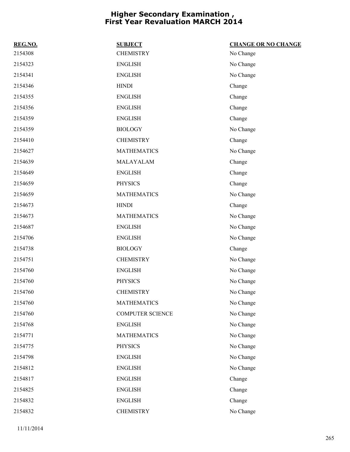| REG.NO. | <b>SUBJECT</b>          | <b>CHANGE OR NO CHANGE</b> |
|---------|-------------------------|----------------------------|
| 2154308 | <b>CHEMISTRY</b>        | No Change                  |
| 2154323 | <b>ENGLISH</b>          | No Change                  |
| 2154341 | <b>ENGLISH</b>          | No Change                  |
| 2154346 | <b>HINDI</b>            | Change                     |
| 2154355 | <b>ENGLISH</b>          | Change                     |
| 2154356 | <b>ENGLISH</b>          | Change                     |
| 2154359 | <b>ENGLISH</b>          | Change                     |
| 2154359 | <b>BIOLOGY</b>          | No Change                  |
| 2154410 | <b>CHEMISTRY</b>        | Change                     |
| 2154627 | <b>MATHEMATICS</b>      | No Change                  |
| 2154639 | MALAYALAM               | Change                     |
| 2154649 | <b>ENGLISH</b>          | Change                     |
| 2154659 | <b>PHYSICS</b>          | Change                     |
| 2154659 | <b>MATHEMATICS</b>      | No Change                  |
| 2154673 | <b>HINDI</b>            | Change                     |
| 2154673 | <b>MATHEMATICS</b>      | No Change                  |
| 2154687 | <b>ENGLISH</b>          | No Change                  |
| 2154706 | <b>ENGLISH</b>          | No Change                  |
| 2154738 | <b>BIOLOGY</b>          | Change                     |
| 2154751 | <b>CHEMISTRY</b>        | No Change                  |
| 2154760 | <b>ENGLISH</b>          | No Change                  |
| 2154760 | <b>PHYSICS</b>          | No Change                  |
| 2154760 | <b>CHEMISTRY</b>        | No Change                  |
| 2154760 | <b>MATHEMATICS</b>      | No Change                  |
| 2154760 | <b>COMPUTER SCIENCE</b> | No Change                  |
| 2154768 | <b>ENGLISH</b>          | No Change                  |
| 2154771 | <b>MATHEMATICS</b>      | No Change                  |
| 2154775 | <b>PHYSICS</b>          | No Change                  |
| 2154798 | <b>ENGLISH</b>          | No Change                  |
| 2154812 | <b>ENGLISH</b>          | No Change                  |
| 2154817 | <b>ENGLISH</b>          | Change                     |
| 2154825 | <b>ENGLISH</b>          | Change                     |
| 2154832 | <b>ENGLISH</b>          | Change                     |
| 2154832 | <b>CHEMISTRY</b>        | No Change                  |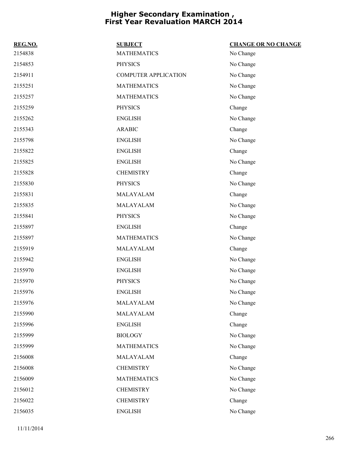| REG.NO. | <b>SUBJECT</b>              | <b>CHANGE OR NO CHANGE</b> |
|---------|-----------------------------|----------------------------|
| 2154838 | <b>MATHEMATICS</b>          | No Change                  |
| 2154853 | <b>PHYSICS</b>              | No Change                  |
| 2154911 | <b>COMPUTER APPLICATION</b> | No Change                  |
| 2155251 | <b>MATHEMATICS</b>          | No Change                  |
| 2155257 | <b>MATHEMATICS</b>          | No Change                  |
| 2155259 | <b>PHYSICS</b>              | Change                     |
| 2155262 | <b>ENGLISH</b>              | No Change                  |
| 2155343 | <b>ARABIC</b>               | Change                     |
| 2155798 | <b>ENGLISH</b>              | No Change                  |
| 2155822 | <b>ENGLISH</b>              | Change                     |
| 2155825 | <b>ENGLISH</b>              | No Change                  |
| 2155828 | <b>CHEMISTRY</b>            | Change                     |
| 2155830 | <b>PHYSICS</b>              | No Change                  |
| 2155831 | MALAYALAM                   | Change                     |
| 2155835 | MALAYALAM                   | No Change                  |
| 2155841 | <b>PHYSICS</b>              | No Change                  |
| 2155897 | <b>ENGLISH</b>              | Change                     |
| 2155897 | <b>MATHEMATICS</b>          | No Change                  |
| 2155919 | MALAYALAM                   | Change                     |
| 2155942 | <b>ENGLISH</b>              | No Change                  |
| 2155970 | <b>ENGLISH</b>              | No Change                  |
| 2155970 | <b>PHYSICS</b>              | No Change                  |
| 2155976 | <b>ENGLISH</b>              | No Change                  |
| 2155976 | MALAYALAM                   | No Change                  |
| 2155990 | MALAYALAM                   | Change                     |
| 2155996 | <b>ENGLISH</b>              | Change                     |
| 2155999 | <b>BIOLOGY</b>              | No Change                  |
| 2155999 | <b>MATHEMATICS</b>          | No Change                  |
| 2156008 | MALAYALAM                   | Change                     |
| 2156008 | <b>CHEMISTRY</b>            | No Change                  |
| 2156009 | <b>MATHEMATICS</b>          | No Change                  |
| 2156012 | <b>CHEMISTRY</b>            | No Change                  |
| 2156022 | <b>CHEMISTRY</b>            | Change                     |
| 2156035 | <b>ENGLISH</b>              | No Change                  |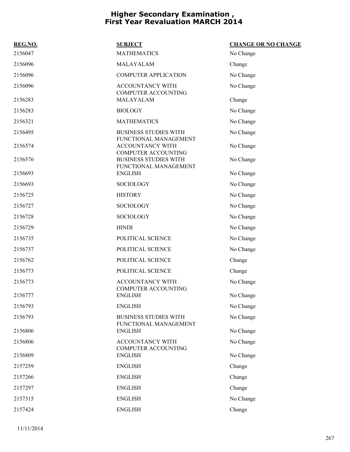| REG.NO. | <b>SUBJECT</b>                                                          | <b>CHANGE OR NO CHANGE</b> |
|---------|-------------------------------------------------------------------------|----------------------------|
| 2156047 | <b>MATHEMATICS</b>                                                      | No Change                  |
| 2156096 | MALAYALAM                                                               | Change                     |
| 2156096 | <b>COMPUTER APPLICATION</b>                                             | No Change                  |
| 2156096 | <b>ACCOUNTANCY WITH</b><br><b>COMPUTER ACCOUNTING</b>                   | No Change                  |
| 2156283 | MALAYALAM                                                               | Change                     |
| 2156283 | <b>BIOLOGY</b>                                                          | No Change                  |
| 2156321 | <b>MATHEMATICS</b>                                                      | No Change                  |
| 2156495 | <b>BUSINESS STUDIES WITH</b>                                            | No Change                  |
| 2156574 | FUNCTIONAL MANAGEMENT<br>ACCOUNTANCY WITH<br><b>COMPUTER ACCOUNTING</b> | No Change                  |
| 2156576 | <b>BUSINESS STUDIES WITH</b>                                            | No Change                  |
| 2156693 | FUNCTIONAL MANAGEMENT<br><b>ENGLISH</b>                                 | No Change                  |
| 2156693 | <b>SOCIOLOGY</b>                                                        | No Change                  |
| 2156725 | <b>HISTORY</b>                                                          | No Change                  |
| 2156727 | <b>SOCIOLOGY</b>                                                        | No Change                  |
| 2156728 | <b>SOCIOLOGY</b>                                                        | No Change                  |
| 2156729 | <b>HINDI</b>                                                            | No Change                  |
| 2156735 | POLITICAL SCIENCE                                                       | No Change                  |
| 2156737 | POLITICAL SCIENCE                                                       | No Change                  |
| 2156762 | POLITICAL SCIENCE                                                       | Change                     |
| 2156773 | POLITICAL SCIENCE                                                       | Change                     |
| 2156773 | ACCOUNTANCY WITH                                                        | No Change                  |
| 2156777 | COMPUTER ACCOUNTING<br><b>ENGLISH</b>                                   | No Change                  |
| 2156793 | <b>ENGLISH</b>                                                          | No Change                  |
| 2156793 | <b>BUSINESS STUDIES WITH</b><br>FUNCTIONAL MANAGEMENT                   | No Change                  |
| 2156806 | <b>ENGLISH</b>                                                          | No Change                  |
| 2156806 | ACCOUNTANCY WITH<br><b>COMPUTER ACCOUNTING</b>                          | No Change                  |
| 2156809 | <b>ENGLISH</b>                                                          | No Change                  |
| 2157259 | <b>ENGLISH</b>                                                          | Change                     |
| 2157266 | <b>ENGLISH</b>                                                          | Change                     |
| 2157297 | <b>ENGLISH</b>                                                          | Change                     |
| 2157315 | <b>ENGLISH</b>                                                          | No Change                  |
| 2157424 | <b>ENGLISH</b>                                                          | Change                     |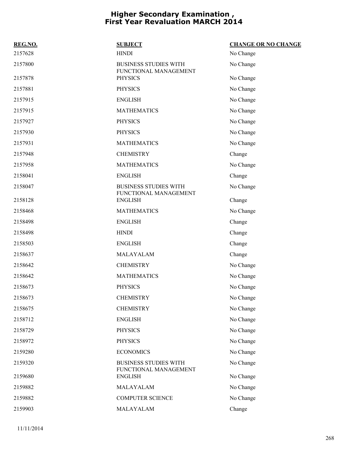| REG.NO. | <b>SUBJECT</b>                                        | <b>CHANGE OR NO CHANGE</b> |
|---------|-------------------------------------------------------|----------------------------|
| 2157628 | <b>HINDI</b>                                          | No Change                  |
| 2157800 | <b>BUSINESS STUDIES WITH</b><br>FUNCTIONAL MANAGEMENT | No Change                  |
| 2157878 | <b>PHYSICS</b>                                        | No Change                  |
| 2157881 | <b>PHYSICS</b>                                        | No Change                  |
| 2157915 | <b>ENGLISH</b>                                        | No Change                  |
| 2157915 | <b>MATHEMATICS</b>                                    | No Change                  |
| 2157927 | <b>PHYSICS</b>                                        | No Change                  |
| 2157930 | <b>PHYSICS</b>                                        | No Change                  |
| 2157931 | <b>MATHEMATICS</b>                                    | No Change                  |
| 2157948 | <b>CHEMISTRY</b>                                      | Change                     |
| 2157958 | <b>MATHEMATICS</b>                                    | No Change                  |
| 2158041 | <b>ENGLISH</b>                                        | Change                     |
| 2158047 | <b>BUSINESS STUDIES WITH</b><br>FUNCTIONAL MANAGEMENT | No Change                  |
| 2158128 | <b>ENGLISH</b>                                        | Change                     |
| 2158468 | <b>MATHEMATICS</b>                                    | No Change                  |
| 2158498 | <b>ENGLISH</b>                                        | Change                     |
| 2158498 | <b>HINDI</b>                                          | Change                     |
| 2158503 | <b>ENGLISH</b>                                        | Change                     |
| 2158637 | MALAYALAM                                             | Change                     |
| 2158642 | <b>CHEMISTRY</b>                                      | No Change                  |
| 2158642 | <b>MATHEMATICS</b>                                    | No Change                  |
| 2158673 | <b>PHYSICS</b>                                        | No Change                  |
| 2158673 | <b>CHEMISTRY</b>                                      | No Change                  |
| 2158675 | <b>CHEMISTRY</b>                                      | No Change                  |
| 2158712 | <b>ENGLISH</b>                                        | No Change                  |
| 2158729 | <b>PHYSICS</b>                                        | No Change                  |
| 2158972 | <b>PHYSICS</b>                                        | No Change                  |
| 2159280 | <b>ECONOMICS</b>                                      | No Change                  |
| 2159320 | <b>BUSINESS STUDIES WITH</b><br>FUNCTIONAL MANAGEMENT | No Change                  |
| 2159680 | <b>ENGLISH</b>                                        | No Change                  |
| 2159882 | MALAYALAM                                             | No Change                  |
| 2159882 | <b>COMPUTER SCIENCE</b>                               | No Change                  |
| 2159903 | MALAYALAM                                             | Change                     |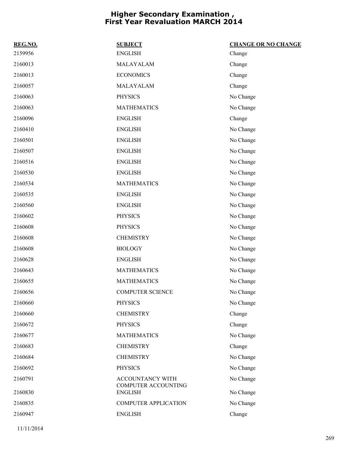| REG.NO. | <b>SUBJECT</b>                          | <b>CHANGE OR NO CHANGE</b> |
|---------|-----------------------------------------|----------------------------|
| 2159956 | <b>ENGLISH</b>                          | Change                     |
| 2160013 | MALAYALAM                               | Change                     |
| 2160013 | <b>ECONOMICS</b>                        | Change                     |
| 2160057 | MALAYALAM                               | Change                     |
| 2160063 | <b>PHYSICS</b>                          | No Change                  |
| 2160063 | <b>MATHEMATICS</b>                      | No Change                  |
| 2160096 | <b>ENGLISH</b>                          | Change                     |
| 2160410 | <b>ENGLISH</b>                          | No Change                  |
| 2160501 | <b>ENGLISH</b>                          | No Change                  |
| 2160507 | <b>ENGLISH</b>                          | No Change                  |
| 2160516 | <b>ENGLISH</b>                          | No Change                  |
| 2160530 | <b>ENGLISH</b>                          | No Change                  |
| 2160534 | <b>MATHEMATICS</b>                      | No Change                  |
| 2160535 | <b>ENGLISH</b>                          | No Change                  |
| 2160560 | <b>ENGLISH</b>                          | No Change                  |
| 2160602 | <b>PHYSICS</b>                          | No Change                  |
| 2160608 | <b>PHYSICS</b>                          | No Change                  |
| 2160608 | <b>CHEMISTRY</b>                        | No Change                  |
| 2160608 | <b>BIOLOGY</b>                          | No Change                  |
| 2160628 | <b>ENGLISH</b>                          | No Change                  |
| 2160643 | <b>MATHEMATICS</b>                      | No Change                  |
| 2160655 | <b>MATHEMATICS</b>                      | No Change                  |
| 2160656 | <b>COMPUTER SCIENCE</b>                 | No Change                  |
| 2160660 | <b>PHYSICS</b>                          | No Change                  |
| 2160660 | <b>CHEMISTRY</b>                        | Change                     |
| 2160672 | <b>PHYSICS</b>                          | Change                     |
| 2160677 | <b>MATHEMATICS</b>                      | No Change                  |
| 2160683 | <b>CHEMISTRY</b>                        | Change                     |
| 2160684 | <b>CHEMISTRY</b>                        | No Change                  |
| 2160692 | <b>PHYSICS</b>                          | No Change                  |
| 2160791 | ACCOUNTANCY WITH<br>COMPUTER ACCOUNTING | No Change                  |
| 2160830 | <b>ENGLISH</b>                          | No Change                  |
| 2160835 | <b>COMPUTER APPLICATION</b>             | No Change                  |
| 2160947 | <b>ENGLISH</b>                          | Change                     |
|         |                                         |                            |

11/11/2014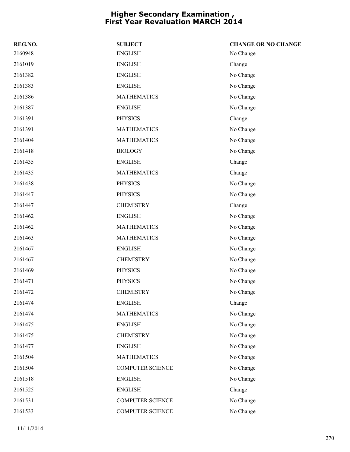| REG.NO. | <b>SUBJECT</b>          | <b>CHANGE OR NO CHANGE</b> |
|---------|-------------------------|----------------------------|
| 2160948 | <b>ENGLISH</b>          | No Change                  |
| 2161019 | <b>ENGLISH</b>          | Change                     |
| 2161382 | <b>ENGLISH</b>          | No Change                  |
| 2161383 | <b>ENGLISH</b>          | No Change                  |
| 2161386 | <b>MATHEMATICS</b>      | No Change                  |
| 2161387 | <b>ENGLISH</b>          | No Change                  |
| 2161391 | <b>PHYSICS</b>          | Change                     |
| 2161391 | <b>MATHEMATICS</b>      | No Change                  |
| 2161404 | <b>MATHEMATICS</b>      | No Change                  |
| 2161418 | <b>BIOLOGY</b>          | No Change                  |
| 2161435 | <b>ENGLISH</b>          | Change                     |
| 2161435 | <b>MATHEMATICS</b>      | Change                     |
| 2161438 | <b>PHYSICS</b>          | No Change                  |
| 2161447 | <b>PHYSICS</b>          | No Change                  |
| 2161447 | <b>CHEMISTRY</b>        | Change                     |
| 2161462 | <b>ENGLISH</b>          | No Change                  |
| 2161462 | <b>MATHEMATICS</b>      | No Change                  |
| 2161463 | <b>MATHEMATICS</b>      | No Change                  |
| 2161467 | <b>ENGLISH</b>          | No Change                  |
| 2161467 | <b>CHEMISTRY</b>        | No Change                  |
| 2161469 | <b>PHYSICS</b>          | No Change                  |
| 2161471 | <b>PHYSICS</b>          | No Change                  |
| 2161472 | <b>CHEMISTRY</b>        | No Change                  |
| 2161474 | <b>ENGLISH</b>          | Change                     |
| 2161474 | <b>MATHEMATICS</b>      | No Change                  |
| 2161475 | <b>ENGLISH</b>          | No Change                  |
| 2161475 | <b>CHEMISTRY</b>        | No Change                  |
| 2161477 | <b>ENGLISH</b>          | No Change                  |
| 2161504 | <b>MATHEMATICS</b>      | No Change                  |
| 2161504 | <b>COMPUTER SCIENCE</b> | No Change                  |
| 2161518 | <b>ENGLISH</b>          | No Change                  |
| 2161525 | <b>ENGLISH</b>          | Change                     |
| 2161531 | <b>COMPUTER SCIENCE</b> | No Change                  |
| 2161533 | COMPUTER SCIENCE        | No Change                  |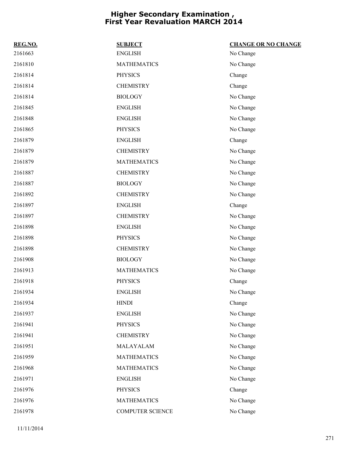| REG.NO. | <b>SUBJECT</b>     | <b>CHANGE OR NO CHANGE</b> |
|---------|--------------------|----------------------------|
| 2161663 | <b>ENGLISH</b>     | No Change                  |
| 2161810 | <b>MATHEMATICS</b> | No Change                  |
| 2161814 | <b>PHYSICS</b>     | Change                     |
| 2161814 | <b>CHEMISTRY</b>   | Change                     |
| 2161814 | <b>BIOLOGY</b>     | No Change                  |
| 2161845 | <b>ENGLISH</b>     | No Change                  |
| 2161848 | <b>ENGLISH</b>     | No Change                  |
| 2161865 | <b>PHYSICS</b>     | No Change                  |
| 2161879 | <b>ENGLISH</b>     | Change                     |
| 2161879 | <b>CHEMISTRY</b>   | No Change                  |
| 2161879 | <b>MATHEMATICS</b> | No Change                  |
| 2161887 | <b>CHEMISTRY</b>   | No Change                  |
| 2161887 | <b>BIOLOGY</b>     | No Change                  |
| 2161892 | <b>CHEMISTRY</b>   | No Change                  |
| 2161897 | <b>ENGLISH</b>     | Change                     |
| 2161897 | <b>CHEMISTRY</b>   | No Change                  |
| 2161898 | <b>ENGLISH</b>     | No Change                  |
| 2161898 | <b>PHYSICS</b>     | No Change                  |
| 2161898 | <b>CHEMISTRY</b>   | No Change                  |
| 2161908 | <b>BIOLOGY</b>     | No Change                  |
| 2161913 | <b>MATHEMATICS</b> | No Change                  |
| 2161918 | <b>PHYSICS</b>     | Change                     |
| 2161934 | <b>ENGLISH</b>     | No Change                  |
| 2161934 | <b>HINDI</b>       | Change                     |
| 2161937 | <b>ENGLISH</b>     | No Change                  |
| 2161941 | <b>PHYSICS</b>     | No Change                  |
| 2161941 | <b>CHEMISTRY</b>   | No Change                  |
| 2161951 | MALAYALAM          | No Change                  |
| 2161959 | <b>MATHEMATICS</b> | No Change                  |
| 2161968 | <b>MATHEMATICS</b> | No Change                  |
| 2161971 | <b>ENGLISH</b>     | No Change                  |
| 2161976 | <b>PHYSICS</b>     | Change                     |
| 2161976 | <b>MATHEMATICS</b> | No Change                  |
| 2161978 | COMPUTER SCIENCE   | No Change                  |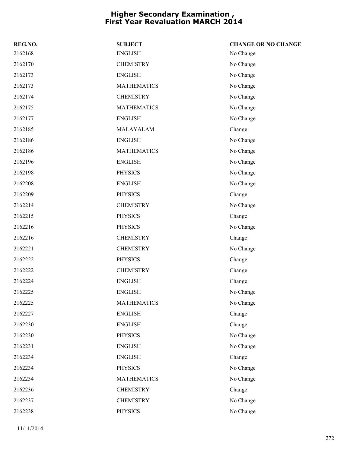| REG.NO. | <b>SUBJECT</b>     | <b>CHANGE OR NO CHANGE</b> |
|---------|--------------------|----------------------------|
| 2162168 | <b>ENGLISH</b>     | No Change                  |
| 2162170 | <b>CHEMISTRY</b>   | No Change                  |
| 2162173 | <b>ENGLISH</b>     | No Change                  |
| 2162173 | <b>MATHEMATICS</b> | No Change                  |
| 2162174 | <b>CHEMISTRY</b>   | No Change                  |
| 2162175 | <b>MATHEMATICS</b> | No Change                  |
| 2162177 | <b>ENGLISH</b>     | No Change                  |
| 2162185 | MALAYALAM          | Change                     |
| 2162186 | <b>ENGLISH</b>     | No Change                  |
| 2162186 | <b>MATHEMATICS</b> | No Change                  |
| 2162196 | <b>ENGLISH</b>     | No Change                  |
| 2162198 | <b>PHYSICS</b>     | No Change                  |
| 2162208 | <b>ENGLISH</b>     | No Change                  |
| 2162209 | <b>PHYSICS</b>     | Change                     |
| 2162214 | <b>CHEMISTRY</b>   | No Change                  |
| 2162215 | <b>PHYSICS</b>     | Change                     |
| 2162216 | <b>PHYSICS</b>     | No Change                  |
| 2162216 | <b>CHEMISTRY</b>   | Change                     |
| 2162221 | <b>CHEMISTRY</b>   | No Change                  |
| 2162222 | <b>PHYSICS</b>     | Change                     |
| 2162222 | <b>CHEMISTRY</b>   | Change                     |
| 2162224 | <b>ENGLISH</b>     | Change                     |
| 2162225 | <b>ENGLISH</b>     | No Change                  |
| 2162225 | <b>MATHEMATICS</b> | No Change                  |
| 2162227 | <b>ENGLISH</b>     | Change                     |
| 2162230 | <b>ENGLISH</b>     | Change                     |
| 2162230 | <b>PHYSICS</b>     | No Change                  |
| 2162231 | <b>ENGLISH</b>     | No Change                  |
| 2162234 | <b>ENGLISH</b>     | Change                     |
| 2162234 | <b>PHYSICS</b>     | No Change                  |
| 2162234 | <b>MATHEMATICS</b> | No Change                  |
| 2162236 | <b>CHEMISTRY</b>   | Change                     |
| 2162237 | <b>CHEMISTRY</b>   | No Change                  |
| 2162238 | <b>PHYSICS</b>     | No Change                  |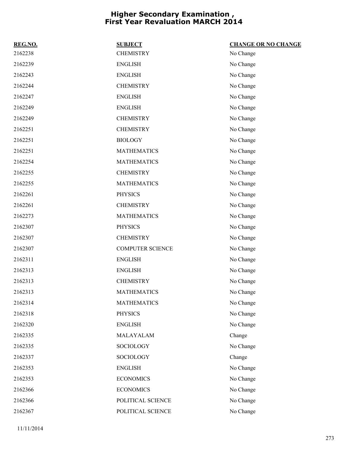| REG.NO. | <b>SUBJECT</b>          | <b>CHANGE OR NO CHANGE</b> |
|---------|-------------------------|----------------------------|
| 2162238 | <b>CHEMISTRY</b>        | No Change                  |
| 2162239 | <b>ENGLISH</b>          | No Change                  |
| 2162243 | <b>ENGLISH</b>          | No Change                  |
| 2162244 | <b>CHEMISTRY</b>        | No Change                  |
| 2162247 | <b>ENGLISH</b>          | No Change                  |
| 2162249 | <b>ENGLISH</b>          | No Change                  |
| 2162249 | <b>CHEMISTRY</b>        | No Change                  |
| 2162251 | <b>CHEMISTRY</b>        | No Change                  |
| 2162251 | <b>BIOLOGY</b>          | No Change                  |
| 2162251 | <b>MATHEMATICS</b>      | No Change                  |
| 2162254 | <b>MATHEMATICS</b>      | No Change                  |
| 2162255 | <b>CHEMISTRY</b>        | No Change                  |
| 2162255 | <b>MATHEMATICS</b>      | No Change                  |
| 2162261 | <b>PHYSICS</b>          | No Change                  |
| 2162261 | <b>CHEMISTRY</b>        | No Change                  |
| 2162273 | <b>MATHEMATICS</b>      | No Change                  |
| 2162307 | <b>PHYSICS</b>          | No Change                  |
| 2162307 | <b>CHEMISTRY</b>        | No Change                  |
| 2162307 | <b>COMPUTER SCIENCE</b> | No Change                  |
| 2162311 | <b>ENGLISH</b>          | No Change                  |
| 2162313 | <b>ENGLISH</b>          | No Change                  |
| 2162313 | <b>CHEMISTRY</b>        | No Change                  |
| 2162313 | <b>MATHEMATICS</b>      | No Change                  |
| 2162314 | <b>MATHEMATICS</b>      | No Change                  |
| 2162318 | <b>PHYSICS</b>          | No Change                  |
| 2162320 | <b>ENGLISH</b>          | No Change                  |
| 2162335 | MALAYALAM               | Change                     |
| 2162335 | SOCIOLOGY               | No Change                  |
| 2162337 | SOCIOLOGY               | Change                     |
| 2162353 | <b>ENGLISH</b>          | No Change                  |
| 2162353 | <b>ECONOMICS</b>        | No Change                  |
| 2162366 | <b>ECONOMICS</b>        | No Change                  |
| 2162366 | POLITICAL SCIENCE       | No Change                  |
| 2162367 | POLITICAL SCIENCE       | No Change                  |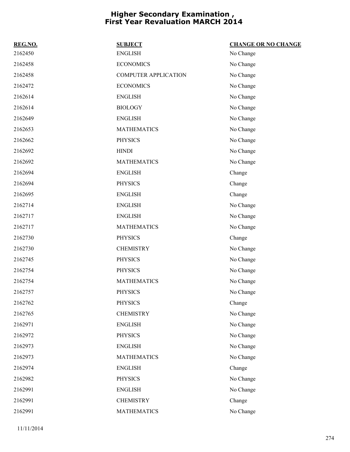| REG.NO. | <b>SUBJECT</b>              | <b>CHANGE OR NO CHANGE</b> |
|---------|-----------------------------|----------------------------|
| 2162450 | <b>ENGLISH</b>              | No Change                  |
| 2162458 | <b>ECONOMICS</b>            | No Change                  |
| 2162458 | <b>COMPUTER APPLICATION</b> | No Change                  |
| 2162472 | <b>ECONOMICS</b>            | No Change                  |
| 2162614 | <b>ENGLISH</b>              | No Change                  |
| 2162614 | <b>BIOLOGY</b>              | No Change                  |
| 2162649 | <b>ENGLISH</b>              | No Change                  |
| 2162653 | <b>MATHEMATICS</b>          | No Change                  |
| 2162662 | <b>PHYSICS</b>              | No Change                  |
| 2162692 | <b>HINDI</b>                | No Change                  |
| 2162692 | <b>MATHEMATICS</b>          | No Change                  |
| 2162694 | <b>ENGLISH</b>              | Change                     |
| 2162694 | <b>PHYSICS</b>              | Change                     |
| 2162695 | <b>ENGLISH</b>              | Change                     |
| 2162714 | <b>ENGLISH</b>              | No Change                  |
| 2162717 | <b>ENGLISH</b>              | No Change                  |
| 2162717 | <b>MATHEMATICS</b>          | No Change                  |
| 2162730 | <b>PHYSICS</b>              | Change                     |
| 2162730 | <b>CHEMISTRY</b>            | No Change                  |
| 2162745 | <b>PHYSICS</b>              | No Change                  |
| 2162754 | <b>PHYSICS</b>              | No Change                  |
| 2162754 | <b>MATHEMATICS</b>          | No Change                  |
| 2162757 | <b>PHYSICS</b>              | No Change                  |
| 2162762 | <b>PHYSICS</b>              | Change                     |
| 2162765 | <b>CHEMISTRY</b>            | No Change                  |
| 2162971 | <b>ENGLISH</b>              | No Change                  |
| 2162972 | <b>PHYSICS</b>              | No Change                  |
| 2162973 | <b>ENGLISH</b>              | No Change                  |
| 2162973 | <b>MATHEMATICS</b>          | No Change                  |
| 2162974 | <b>ENGLISH</b>              | Change                     |
| 2162982 | <b>PHYSICS</b>              | No Change                  |
| 2162991 | <b>ENGLISH</b>              | No Change                  |
| 2162991 | <b>CHEMISTRY</b>            | Change                     |
| 2162991 | <b>MATHEMATICS</b>          | No Change                  |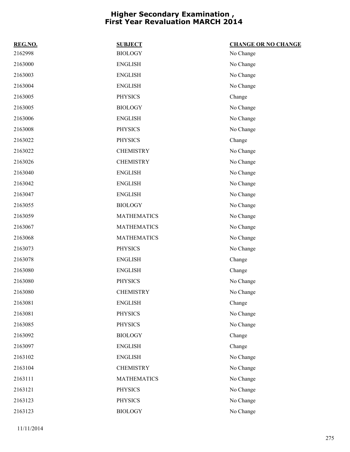| REG.NO. | <b>SUBJECT</b>     | <b>CHANGE OR NO CHANGE</b> |
|---------|--------------------|----------------------------|
| 2162998 | <b>BIOLOGY</b>     | No Change                  |
| 2163000 | <b>ENGLISH</b>     | No Change                  |
| 2163003 | <b>ENGLISH</b>     | No Change                  |
| 2163004 | <b>ENGLISH</b>     | No Change                  |
| 2163005 | <b>PHYSICS</b>     | Change                     |
| 2163005 | <b>BIOLOGY</b>     | No Change                  |
| 2163006 | <b>ENGLISH</b>     | No Change                  |
| 2163008 | <b>PHYSICS</b>     | No Change                  |
| 2163022 | <b>PHYSICS</b>     | Change                     |
| 2163022 | <b>CHEMISTRY</b>   | No Change                  |
| 2163026 | <b>CHEMISTRY</b>   | No Change                  |
| 2163040 | <b>ENGLISH</b>     | No Change                  |
| 2163042 | <b>ENGLISH</b>     | No Change                  |
| 2163047 | <b>ENGLISH</b>     | No Change                  |
| 2163055 | <b>BIOLOGY</b>     | No Change                  |
| 2163059 | <b>MATHEMATICS</b> | No Change                  |
| 2163067 | <b>MATHEMATICS</b> | No Change                  |
| 2163068 | <b>MATHEMATICS</b> | No Change                  |
| 2163073 | <b>PHYSICS</b>     | No Change                  |
| 2163078 | <b>ENGLISH</b>     | Change                     |
| 2163080 | <b>ENGLISH</b>     | Change                     |
| 2163080 | <b>PHYSICS</b>     | No Change                  |
| 2163080 | <b>CHEMISTRY</b>   | No Change                  |
| 2163081 | <b>ENGLISH</b>     | Change                     |
| 2163081 | <b>PHYSICS</b>     | No Change                  |
| 2163085 | <b>PHYSICS</b>     | No Change                  |
| 2163092 | <b>BIOLOGY</b>     | Change                     |
| 2163097 | <b>ENGLISH</b>     | Change                     |
| 2163102 | <b>ENGLISH</b>     | No Change                  |
| 2163104 | <b>CHEMISTRY</b>   | No Change                  |
| 2163111 | <b>MATHEMATICS</b> | No Change                  |
| 2163121 | <b>PHYSICS</b>     | No Change                  |
| 2163123 | PHYSICS            | No Change                  |
| 2163123 | <b>BIOLOGY</b>     | No Change                  |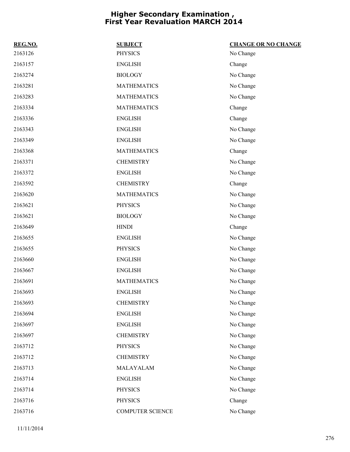| REG.NO. | <b>SUBJECT</b>     | <b>CHANGE OR NO CHANGE</b> |
|---------|--------------------|----------------------------|
| 2163126 | <b>PHYSICS</b>     | No Change                  |
| 2163157 | <b>ENGLISH</b>     | Change                     |
| 2163274 | <b>BIOLOGY</b>     | No Change                  |
| 2163281 | <b>MATHEMATICS</b> | No Change                  |
| 2163283 | <b>MATHEMATICS</b> | No Change                  |
| 2163334 | <b>MATHEMATICS</b> | Change                     |
| 2163336 | <b>ENGLISH</b>     | Change                     |
| 2163343 | <b>ENGLISH</b>     | No Change                  |
| 2163349 | <b>ENGLISH</b>     | No Change                  |
| 2163368 | <b>MATHEMATICS</b> | Change                     |
| 2163371 | <b>CHEMISTRY</b>   | No Change                  |
| 2163372 | <b>ENGLISH</b>     | No Change                  |
| 2163592 | <b>CHEMISTRY</b>   | Change                     |
| 2163620 | <b>MATHEMATICS</b> | No Change                  |
| 2163621 | <b>PHYSICS</b>     | No Change                  |
| 2163621 | <b>BIOLOGY</b>     | No Change                  |
| 2163649 | <b>HINDI</b>       | Change                     |
| 2163655 | <b>ENGLISH</b>     | No Change                  |
| 2163655 | <b>PHYSICS</b>     | No Change                  |
| 2163660 | <b>ENGLISH</b>     | No Change                  |
| 2163667 | <b>ENGLISH</b>     | No Change                  |
| 2163691 | <b>MATHEMATICS</b> | No Change                  |
| 2163693 | <b>ENGLISH</b>     | No Change                  |
| 2163693 | <b>CHEMISTRY</b>   | No Change                  |
| 2163694 | <b>ENGLISH</b>     | No Change                  |
| 2163697 | <b>ENGLISH</b>     | No Change                  |
| 2163697 | <b>CHEMISTRY</b>   | No Change                  |
| 2163712 | <b>PHYSICS</b>     | No Change                  |
| 2163712 | <b>CHEMISTRY</b>   | No Change                  |
| 2163713 | MALAYALAM          | No Change                  |
| 2163714 | <b>ENGLISH</b>     | No Change                  |
| 2163714 | <b>PHYSICS</b>     | No Change                  |
| 2163716 | <b>PHYSICS</b>     | Change                     |
| 2163716 | COMPUTER SCIENCE   | No Change                  |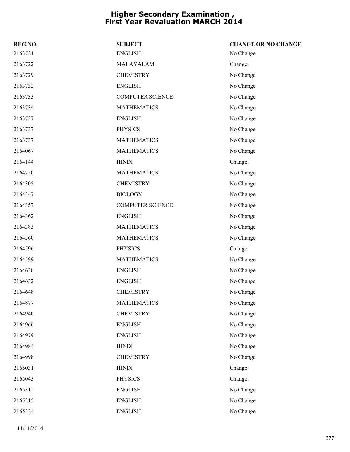| REG.NO. | <b>SUBJECT</b>          | <b>CHANGE OR NO CHANGE</b> |
|---------|-------------------------|----------------------------|
| 2163721 | <b>ENGLISH</b>          | No Change                  |
| 2163722 | MALAYALAM               | Change                     |
| 2163729 | <b>CHEMISTRY</b>        | No Change                  |
| 2163732 | <b>ENGLISH</b>          | No Change                  |
| 2163733 | <b>COMPUTER SCIENCE</b> | No Change                  |
| 2163734 | <b>MATHEMATICS</b>      | No Change                  |
| 2163737 | <b>ENGLISH</b>          | No Change                  |
| 2163737 | <b>PHYSICS</b>          | No Change                  |
| 2163737 | <b>MATHEMATICS</b>      | No Change                  |
| 2164067 | <b>MATHEMATICS</b>      | No Change                  |
| 2164144 | <b>HINDI</b>            | Change                     |
| 2164250 | <b>MATHEMATICS</b>      | No Change                  |
| 2164305 | <b>CHEMISTRY</b>        | No Change                  |
| 2164347 | <b>BIOLOGY</b>          | No Change                  |
| 2164357 | <b>COMPUTER SCIENCE</b> | No Change                  |
| 2164362 | <b>ENGLISH</b>          | No Change                  |
| 2164383 | <b>MATHEMATICS</b>      | No Change                  |
| 2164560 | <b>MATHEMATICS</b>      | No Change                  |
| 2164596 | <b>PHYSICS</b>          | Change                     |
| 2164599 | <b>MATHEMATICS</b>      | No Change                  |
| 2164630 | <b>ENGLISH</b>          | No Change                  |
| 2164632 | <b>ENGLISH</b>          | No Change                  |
| 2164648 | <b>CHEMISTRY</b>        | No Change                  |
| 2164877 | <b>MATHEMATICS</b>      | No Change                  |
| 2164940 | <b>CHEMISTRY</b>        | No Change                  |
| 2164966 | <b>ENGLISH</b>          | No Change                  |
| 2164979 | <b>ENGLISH</b>          | No Change                  |
| 2164984 | <b>HINDI</b>            | No Change                  |
| 2164998 | <b>CHEMISTRY</b>        | No Change                  |
| 2165031 | <b>HINDI</b>            | Change                     |
| 2165043 | <b>PHYSICS</b>          | Change                     |
| 2165312 | <b>ENGLISH</b>          | No Change                  |
| 2165315 | <b>ENGLISH</b>          | No Change                  |
| 2165324 | <b>ENGLISH</b>          | No Change                  |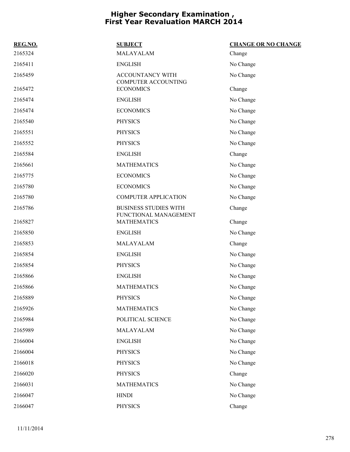| REG.NO. | <b>SUBJECT</b>                                        | <b>CHANGE OR NO CHANGE</b> |
|---------|-------------------------------------------------------|----------------------------|
| 2165324 | MALAYALAM                                             | Change                     |
| 2165411 | <b>ENGLISH</b>                                        | No Change                  |
| 2165459 | ACCOUNTANCY WITH<br><b>COMPUTER ACCOUNTING</b>        | No Change                  |
| 2165472 | <b>ECONOMICS</b>                                      | Change                     |
| 2165474 | <b>ENGLISH</b>                                        | No Change                  |
| 2165474 | <b>ECONOMICS</b>                                      | No Change                  |
| 2165540 | <b>PHYSICS</b>                                        | No Change                  |
| 2165551 | <b>PHYSICS</b>                                        | No Change                  |
| 2165552 | <b>PHYSICS</b>                                        | No Change                  |
| 2165584 | <b>ENGLISH</b>                                        | Change                     |
| 2165661 | <b>MATHEMATICS</b>                                    | No Change                  |
| 2165775 | <b>ECONOMICS</b>                                      | No Change                  |
| 2165780 | <b>ECONOMICS</b>                                      | No Change                  |
| 2165780 | <b>COMPUTER APPLICATION</b>                           | No Change                  |
| 2165786 | <b>BUSINESS STUDIES WITH</b><br>FUNCTIONAL MANAGEMENT | Change                     |
| 2165827 | <b>MATHEMATICS</b>                                    | Change                     |
| 2165850 | <b>ENGLISH</b>                                        | No Change                  |
| 2165853 | MALAYALAM                                             | Change                     |
| 2165854 | <b>ENGLISH</b>                                        | No Change                  |
| 2165854 | <b>PHYSICS</b>                                        | No Change                  |
| 2165866 | <b>ENGLISH</b>                                        | No Change                  |
| 2165866 | <b>MATHEMATICS</b>                                    | No Change                  |
| 2165889 | <b>PHYSICS</b>                                        | No Change                  |
| 2165926 | <b>MATHEMATICS</b>                                    | No Change                  |
| 2165984 | POLITICAL SCIENCE                                     | No Change                  |
| 2165989 | MALAYALAM                                             | No Change                  |
| 2166004 | <b>ENGLISH</b>                                        | No Change                  |
| 2166004 | <b>PHYSICS</b>                                        | No Change                  |
| 2166018 | <b>PHYSICS</b>                                        | No Change                  |
| 2166020 | <b>PHYSICS</b>                                        | Change                     |
| 2166031 | <b>MATHEMATICS</b>                                    | No Change                  |
| 2166047 | <b>HINDI</b>                                          | No Change                  |
| 2166047 | <b>PHYSICS</b>                                        | Change                     |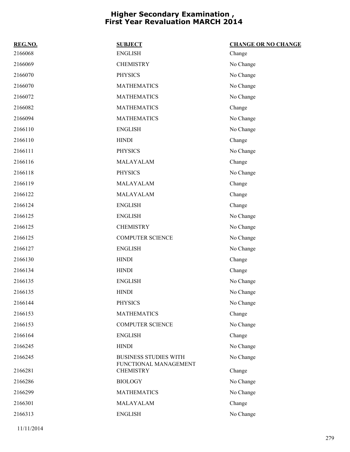| REG.NO. | <b>SUBJECT</b>                            | <b>CHANGE OR NO CHANGE</b> |
|---------|-------------------------------------------|----------------------------|
| 2166068 | <b>ENGLISH</b>                            | Change                     |
| 2166069 | <b>CHEMISTRY</b>                          | No Change                  |
| 2166070 | <b>PHYSICS</b>                            | No Change                  |
| 2166070 | <b>MATHEMATICS</b>                        | No Change                  |
| 2166072 | <b>MATHEMATICS</b>                        | No Change                  |
| 2166082 | <b>MATHEMATICS</b>                        | Change                     |
| 2166094 | <b>MATHEMATICS</b>                        | No Change                  |
| 2166110 | <b>ENGLISH</b>                            | No Change                  |
| 2166110 | <b>HINDI</b>                              | Change                     |
| 2166111 | <b>PHYSICS</b>                            | No Change                  |
| 2166116 | MALAYALAM                                 | Change                     |
| 2166118 | <b>PHYSICS</b>                            | No Change                  |
| 2166119 | MALAYALAM                                 | Change                     |
| 2166122 | MALAYALAM                                 | Change                     |
| 2166124 | <b>ENGLISH</b>                            | Change                     |
| 2166125 | <b>ENGLISH</b>                            | No Change                  |
| 2166125 | <b>CHEMISTRY</b>                          | No Change                  |
| 2166125 | <b>COMPUTER SCIENCE</b>                   | No Change                  |
| 2166127 | <b>ENGLISH</b>                            | No Change                  |
| 2166130 | <b>HINDI</b>                              | Change                     |
| 2166134 | <b>HINDI</b>                              | Change                     |
| 2166135 | <b>ENGLISH</b>                            | No Change                  |
| 2166135 | <b>HINDI</b>                              | No Change                  |
| 2166144 | <b>PHYSICS</b>                            | No Change                  |
| 2166153 | <b>MATHEMATICS</b>                        | Change                     |
| 2166153 | <b>COMPUTER SCIENCE</b>                   | No Change                  |
| 2166164 | <b>ENGLISH</b>                            | Change                     |
| 2166245 | <b>HINDI</b>                              | No Change                  |
| 2166245 | <b>BUSINESS STUDIES WITH</b>              | No Change                  |
| 2166281 | FUNCTIONAL MANAGEMENT<br><b>CHEMISTRY</b> | Change                     |
| 2166286 | <b>BIOLOGY</b>                            | No Change                  |
| 2166299 | <b>MATHEMATICS</b>                        | No Change                  |
| 2166301 | MALAYALAM                                 | Change                     |
| 2166313 | <b>ENGLISH</b>                            | No Change                  |
|         |                                           |                            |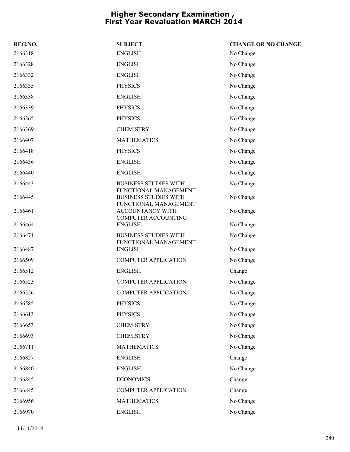| REG.NO. | <b>SUBJECT</b>                                                                 | <b>CHANGE OR NO CHANGE</b> |
|---------|--------------------------------------------------------------------------------|----------------------------|
| 2166318 | <b>ENGLISH</b>                                                                 | No Change                  |
| 2166328 | <b>ENGLISH</b>                                                                 | No Change                  |
| 2166332 | <b>ENGLISH</b>                                                                 | No Change                  |
| 2166335 | <b>PHYSICS</b>                                                                 | No Change                  |
| 2166338 | <b>ENGLISH</b>                                                                 | No Change                  |
| 2166339 | <b>PHYSICS</b>                                                                 | No Change                  |
| 2166365 | <b>PHYSICS</b>                                                                 | No Change                  |
| 2166369 | <b>CHEMISTRY</b>                                                               | No Change                  |
| 2166407 | <b>MATHEMATICS</b>                                                             | No Change                  |
| 2166418 | <b>PHYSICS</b>                                                                 | No Change                  |
| 2166436 | <b>ENGLISH</b>                                                                 | No Change                  |
| 2166440 | <b>ENGLISH</b>                                                                 | No Change                  |
| 2166443 | <b>BUSINESS STUDIES WITH</b>                                                   | No Change                  |
| 2166445 | FUNCTIONAL MANAGEMENT<br><b>BUSINESS STUDIES WITH</b><br>FUNCTIONAL MANAGEMENT | No Change                  |
| 2166461 | ACCOUNTANCY WITH                                                               | No Change                  |
| 2166464 | COMPUTER ACCOUNTING<br><b>ENGLISH</b>                                          | No Change                  |
| 2166471 | <b>BUSINESS STUDIES WITH</b>                                                   | No Change                  |
| 2166487 | FUNCTIONAL MANAGEMENT<br><b>ENGLISH</b>                                        | No Change                  |
| 2166509 | <b>COMPUTER APPLICATION</b>                                                    | No Change                  |
| 2166512 | <b>ENGLISH</b>                                                                 | Change                     |
| 2166523 | <b>COMPUTER APPLICATION</b>                                                    | No Change                  |
| 2166526 | <b>COMPUTER APPLICATION</b>                                                    | No Change                  |
| 2166585 | <b>PHYSICS</b>                                                                 | No Change                  |
| 2166613 | <b>PHYSICS</b>                                                                 | No Change                  |
| 2166653 | <b>CHEMISTRY</b>                                                               | No Change                  |
| 2166693 | <b>CHEMISTRY</b>                                                               | No Change                  |
| 2166711 | <b>MATHEMATICS</b>                                                             | No Change                  |
| 2166827 | <b>ENGLISH</b>                                                                 | Change                     |
| 2166840 | <b>ENGLISH</b>                                                                 | No Change                  |
| 2166845 | <b>ECONOMICS</b>                                                               | Change                     |
| 2166845 | <b>COMPUTER APPLICATION</b>                                                    | Change                     |
| 2166956 | <b>MATHEMATICS</b>                                                             | No Change                  |
| 2166970 | <b>ENGLISH</b>                                                                 | No Change                  |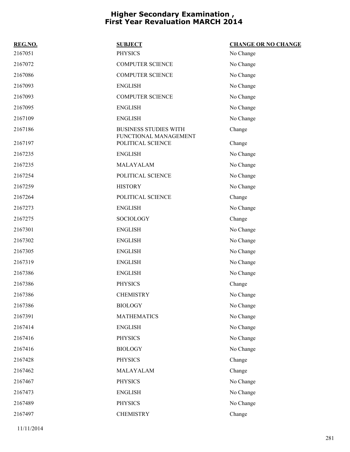| REG.NO. | <b>SUBJECT</b>                                        | <b>CHANGE OR NO CHANGE</b> |
|---------|-------------------------------------------------------|----------------------------|
| 2167051 | <b>PHYSICS</b>                                        | No Change                  |
| 2167072 | <b>COMPUTER SCIENCE</b>                               | No Change                  |
| 2167086 | <b>COMPUTER SCIENCE</b>                               | No Change                  |
| 2167093 | <b>ENGLISH</b>                                        | No Change                  |
| 2167093 | <b>COMPUTER SCIENCE</b>                               | No Change                  |
| 2167095 | <b>ENGLISH</b>                                        | No Change                  |
| 2167109 | <b>ENGLISH</b>                                        | No Change                  |
| 2167186 | <b>BUSINESS STUDIES WITH</b><br>FUNCTIONAL MANAGEMENT | Change                     |
| 2167197 | POLITICAL SCIENCE                                     | Change                     |
| 2167235 | <b>ENGLISH</b>                                        | No Change                  |
| 2167235 | MALAYALAM                                             | No Change                  |
| 2167254 | POLITICAL SCIENCE                                     | No Change                  |
| 2167259 | <b>HISTORY</b>                                        | No Change                  |
| 2167264 | POLITICAL SCIENCE                                     | Change                     |
| 2167273 | <b>ENGLISH</b>                                        | No Change                  |
| 2167275 | SOCIOLOGY                                             | Change                     |
| 2167301 | <b>ENGLISH</b>                                        | No Change                  |
| 2167302 | <b>ENGLISH</b>                                        | No Change                  |
| 2167305 | <b>ENGLISH</b>                                        | No Change                  |
| 2167319 | <b>ENGLISH</b>                                        | No Change                  |
| 2167386 | <b>ENGLISH</b>                                        | No Change                  |
| 2167386 | <b>PHYSICS</b>                                        | Change                     |
| 2167386 | <b>CHEMISTRY</b>                                      | No Change                  |
| 2167386 | <b>BIOLOGY</b>                                        | No Change                  |
| 2167391 | <b>MATHEMATICS</b>                                    | No Change                  |
| 2167414 | <b>ENGLISH</b>                                        | No Change                  |
| 2167416 | <b>PHYSICS</b>                                        | No Change                  |
| 2167416 | <b>BIOLOGY</b>                                        | No Change                  |
| 2167428 | <b>PHYSICS</b>                                        | Change                     |
| 2167462 | MALAYALAM                                             | Change                     |
| 2167467 | <b>PHYSICS</b>                                        | No Change                  |
| 2167473 | <b>ENGLISH</b>                                        | No Change                  |
| 2167489 | <b>PHYSICS</b>                                        | No Change                  |
| 2167497 | <b>CHEMISTRY</b>                                      | Change                     |
|         |                                                       |                            |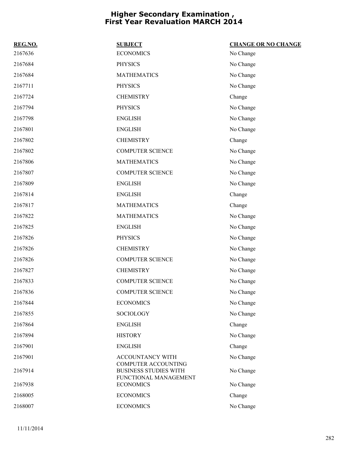| REG.NO. | <b>SUBJECT</b>                                                                      | <b>CHANGE OR NO CHANGE</b> |
|---------|-------------------------------------------------------------------------------------|----------------------------|
| 2167636 | <b>ECONOMICS</b>                                                                    | No Change                  |
| 2167684 | <b>PHYSICS</b>                                                                      | No Change                  |
| 2167684 | <b>MATHEMATICS</b>                                                                  | No Change                  |
| 2167711 | <b>PHYSICS</b>                                                                      | No Change                  |
| 2167724 | <b>CHEMISTRY</b>                                                                    | Change                     |
| 2167794 | <b>PHYSICS</b>                                                                      | No Change                  |
| 2167798 | <b>ENGLISH</b>                                                                      | No Change                  |
| 2167801 | <b>ENGLISH</b>                                                                      | No Change                  |
| 2167802 | <b>CHEMISTRY</b>                                                                    | Change                     |
| 2167802 | <b>COMPUTER SCIENCE</b>                                                             | No Change                  |
| 2167806 | <b>MATHEMATICS</b>                                                                  | No Change                  |
| 2167807 | <b>COMPUTER SCIENCE</b>                                                             | No Change                  |
| 2167809 | <b>ENGLISH</b>                                                                      | No Change                  |
| 2167814 | <b>ENGLISH</b>                                                                      | Change                     |
| 2167817 | <b>MATHEMATICS</b>                                                                  | Change                     |
| 2167822 | <b>MATHEMATICS</b>                                                                  | No Change                  |
| 2167825 | <b>ENGLISH</b>                                                                      | No Change                  |
| 2167826 | <b>PHYSICS</b>                                                                      | No Change                  |
| 2167826 | <b>CHEMISTRY</b>                                                                    | No Change                  |
| 2167826 | <b>COMPUTER SCIENCE</b>                                                             | No Change                  |
| 2167827 | <b>CHEMISTRY</b>                                                                    | No Change                  |
| 2167833 | <b>COMPUTER SCIENCE</b>                                                             | No Change                  |
| 2167836 | <b>COMPUTER SCIENCE</b>                                                             | No Change                  |
| 2167844 | <b>ECONOMICS</b>                                                                    | No Change                  |
| 2167855 | SOCIOLOGY                                                                           | No Change                  |
| 2167864 | <b>ENGLISH</b>                                                                      | Change                     |
| 2167894 | <b>HISTORY</b>                                                                      | No Change                  |
| 2167901 | <b>ENGLISH</b>                                                                      | Change                     |
| 2167901 | <b>ACCOUNTANCY WITH</b>                                                             | No Change                  |
| 2167914 | <b>COMPUTER ACCOUNTING</b><br><b>BUSINESS STUDIES WITH</b><br>FUNCTIONAL MANAGEMENT | No Change                  |
| 2167938 | <b>ECONOMICS</b>                                                                    | No Change                  |
| 2168005 | <b>ECONOMICS</b>                                                                    | Change                     |
| 2168007 | <b>ECONOMICS</b>                                                                    | No Change                  |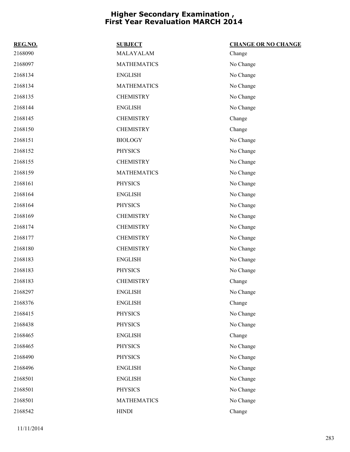| REG.NO. | <b>SUBJECT</b>     | <b>CHANGE OR NO CHANGE</b> |
|---------|--------------------|----------------------------|
| 2168090 | MALAYALAM          | Change                     |
| 2168097 | <b>MATHEMATICS</b> | No Change                  |
| 2168134 | <b>ENGLISH</b>     | No Change                  |
| 2168134 | <b>MATHEMATICS</b> | No Change                  |
| 2168135 | <b>CHEMISTRY</b>   | No Change                  |
| 2168144 | <b>ENGLISH</b>     | No Change                  |
| 2168145 | <b>CHEMISTRY</b>   | Change                     |
| 2168150 | <b>CHEMISTRY</b>   | Change                     |
| 2168151 | <b>BIOLOGY</b>     | No Change                  |
| 2168152 | <b>PHYSICS</b>     | No Change                  |
| 2168155 | <b>CHEMISTRY</b>   | No Change                  |
| 2168159 | <b>MATHEMATICS</b> | No Change                  |
| 2168161 | <b>PHYSICS</b>     | No Change                  |
| 2168164 | <b>ENGLISH</b>     | No Change                  |
| 2168164 | <b>PHYSICS</b>     | No Change                  |
| 2168169 | <b>CHEMISTRY</b>   | No Change                  |
| 2168174 | <b>CHEMISTRY</b>   | No Change                  |
| 2168177 | <b>CHEMISTRY</b>   | No Change                  |
| 2168180 | <b>CHEMISTRY</b>   | No Change                  |
| 2168183 | <b>ENGLISH</b>     | No Change                  |
| 2168183 | <b>PHYSICS</b>     | No Change                  |
| 2168183 | <b>CHEMISTRY</b>   | Change                     |
| 2168297 | <b>ENGLISH</b>     | No Change                  |
| 2168376 | <b>ENGLISH</b>     | Change                     |
| 2168415 | <b>PHYSICS</b>     | No Change                  |
| 2168438 | <b>PHYSICS</b>     | No Change                  |
| 2168465 | <b>ENGLISH</b>     | Change                     |
| 2168465 | <b>PHYSICS</b>     | No Change                  |
| 2168490 | <b>PHYSICS</b>     | No Change                  |
| 2168496 | <b>ENGLISH</b>     | No Change                  |
| 2168501 | <b>ENGLISH</b>     | No Change                  |
| 2168501 | <b>PHYSICS</b>     | No Change                  |
| 2168501 | <b>MATHEMATICS</b> | No Change                  |
| 2168542 | <b>HINDI</b>       | Change                     |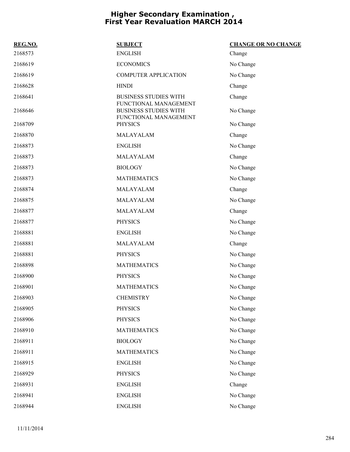| REG.NO. | <b>SUBJECT</b>                                                                 | <b>CHANGE OR NO CHANGE</b> |
|---------|--------------------------------------------------------------------------------|----------------------------|
| 2168573 | <b>ENGLISH</b>                                                                 | Change                     |
| 2168619 | <b>ECONOMICS</b>                                                               | No Change                  |
| 2168619 | <b>COMPUTER APPLICATION</b>                                                    | No Change                  |
| 2168628 | <b>HINDI</b>                                                                   | Change                     |
| 2168641 | <b>BUSINESS STUDIES WITH</b>                                                   | Change                     |
| 2168646 | FUNCTIONAL MANAGEMENT<br><b>BUSINESS STUDIES WITH</b><br>FUNCTIONAL MANAGEMENT | No Change                  |
| 2168709 | <b>PHYSICS</b>                                                                 | No Change                  |
| 2168870 | MALAYALAM                                                                      | Change                     |
| 2168873 | <b>ENGLISH</b>                                                                 | No Change                  |
| 2168873 | MALAYALAM                                                                      | Change                     |
| 2168873 | <b>BIOLOGY</b>                                                                 | No Change                  |
| 2168873 | <b>MATHEMATICS</b>                                                             | No Change                  |
| 2168874 | MALAYALAM                                                                      | Change                     |
| 2168875 | MALAYALAM                                                                      | No Change                  |
| 2168877 | MALAYALAM                                                                      | Change                     |
| 2168877 | <b>PHYSICS</b>                                                                 | No Change                  |
| 2168881 | <b>ENGLISH</b>                                                                 | No Change                  |
| 2168881 | MALAYALAM                                                                      | Change                     |
| 2168881 | <b>PHYSICS</b>                                                                 | No Change                  |
| 2168898 | <b>MATHEMATICS</b>                                                             | No Change                  |
| 2168900 | <b>PHYSICS</b>                                                                 | No Change                  |
| 2168901 | <b>MATHEMATICS</b>                                                             | No Change                  |
| 2168903 | <b>CHEMISTRY</b>                                                               | No Change                  |
| 2168905 | <b>PHYSICS</b>                                                                 | No Change                  |
| 2168906 | <b>PHYSICS</b>                                                                 | No Change                  |
| 2168910 | <b>MATHEMATICS</b>                                                             | No Change                  |
| 2168911 | <b>BIOLOGY</b>                                                                 | No Change                  |
| 2168911 | <b>MATHEMATICS</b>                                                             | No Change                  |
| 2168915 | <b>ENGLISH</b>                                                                 | No Change                  |
| 2168929 | <b>PHYSICS</b>                                                                 | No Change                  |
| 2168931 | <b>ENGLISH</b>                                                                 | Change                     |
| 2168941 | <b>ENGLISH</b>                                                                 | No Change                  |
| 2168944 | <b>ENGLISH</b>                                                                 | No Change                  |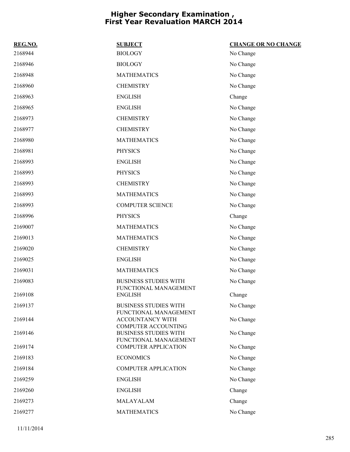| REG.NO. | <b>SUBJECT</b>                                        | <b>CHANGE OR NO CHANGE</b> |
|---------|-------------------------------------------------------|----------------------------|
| 2168944 | <b>BIOLOGY</b>                                        | No Change                  |
| 2168946 | <b>BIOLOGY</b>                                        | No Change                  |
| 2168948 | <b>MATHEMATICS</b>                                    | No Change                  |
| 2168960 | <b>CHEMISTRY</b>                                      | No Change                  |
| 2168963 | <b>ENGLISH</b>                                        | Change                     |
| 2168965 | <b>ENGLISH</b>                                        | No Change                  |
| 2168973 | <b>CHEMISTRY</b>                                      | No Change                  |
| 2168977 | <b>CHEMISTRY</b>                                      | No Change                  |
| 2168980 | <b>MATHEMATICS</b>                                    | No Change                  |
| 2168981 | <b>PHYSICS</b>                                        | No Change                  |
| 2168993 | <b>ENGLISH</b>                                        | No Change                  |
| 2168993 | <b>PHYSICS</b>                                        | No Change                  |
| 2168993 | <b>CHEMISTRY</b>                                      | No Change                  |
| 2168993 | <b>MATHEMATICS</b>                                    | No Change                  |
| 2168993 | <b>COMPUTER SCIENCE</b>                               | No Change                  |
| 2168996 | <b>PHYSICS</b>                                        | Change                     |
| 2169007 | <b>MATHEMATICS</b>                                    | No Change                  |
| 2169013 | <b>MATHEMATICS</b>                                    | No Change                  |
| 2169020 | <b>CHEMISTRY</b>                                      | No Change                  |
| 2169025 | <b>ENGLISH</b>                                        | No Change                  |
| 2169031 | <b>MATHEMATICS</b>                                    | No Change                  |
| 2169083 | <b>BUSINESS STUDIES WITH</b><br>FUNCTIONAL MANAGEMENT | No Change                  |
| 2169108 | <b>ENGLISH</b>                                        | Change                     |
| 2169137 | <b>BUSINESS STUDIES WITH</b><br>FUNCTIONAL MANAGEMENT | No Change                  |
| 2169144 | ACCOUNTANCY WITH<br><b>COMPUTER ACCOUNTING</b>        | No Change                  |
| 2169146 | <b>BUSINESS STUDIES WITH</b><br>FUNCTIONAL MANAGEMENT | No Change                  |
| 2169174 | <b>COMPUTER APPLICATION</b>                           | No Change                  |
| 2169183 | <b>ECONOMICS</b>                                      | No Change                  |
| 2169184 | <b>COMPUTER APPLICATION</b>                           | No Change                  |
| 2169259 | <b>ENGLISH</b>                                        | No Change                  |
| 2169260 | <b>ENGLISH</b>                                        | Change                     |
| 2169273 | MALAYALAM                                             | Change                     |
| 2169277 | <b>MATHEMATICS</b>                                    | No Change                  |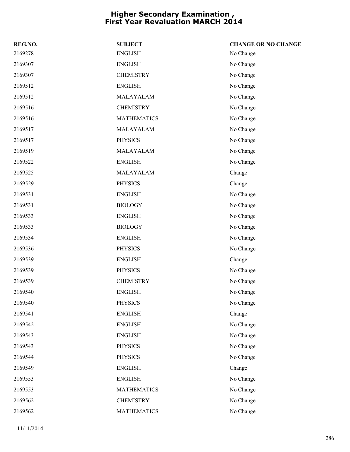| REG.NO. | <b>SUBJECT</b>     | <b>CHANGE OR NO CHANGE</b> |
|---------|--------------------|----------------------------|
| 2169278 | <b>ENGLISH</b>     | No Change                  |
| 2169307 | <b>ENGLISH</b>     | No Change                  |
| 2169307 | <b>CHEMISTRY</b>   | No Change                  |
| 2169512 | <b>ENGLISH</b>     | No Change                  |
| 2169512 | MALAYALAM          | No Change                  |
| 2169516 | <b>CHEMISTRY</b>   | No Change                  |
| 2169516 | <b>MATHEMATICS</b> | No Change                  |
| 2169517 | MALAYALAM          | No Change                  |
| 2169517 | <b>PHYSICS</b>     | No Change                  |
| 2169519 | MALAYALAM          | No Change                  |
| 2169522 | <b>ENGLISH</b>     | No Change                  |
| 2169525 | MALAYALAM          | Change                     |
| 2169529 | <b>PHYSICS</b>     | Change                     |
| 2169531 | <b>ENGLISH</b>     | No Change                  |
| 2169531 | <b>BIOLOGY</b>     | No Change                  |
| 2169533 | <b>ENGLISH</b>     | No Change                  |
| 2169533 | <b>BIOLOGY</b>     | No Change                  |
| 2169534 | <b>ENGLISH</b>     | No Change                  |
| 2169536 | <b>PHYSICS</b>     | No Change                  |
| 2169539 | <b>ENGLISH</b>     | Change                     |
| 2169539 | <b>PHYSICS</b>     | No Change                  |
| 2169539 | <b>CHEMISTRY</b>   | No Change                  |
| 2169540 | <b>ENGLISH</b>     | No Change                  |
| 2169540 | PHYSICS            | No Change                  |
| 2169541 | <b>ENGLISH</b>     | Change                     |
| 2169542 | <b>ENGLISH</b>     | No Change                  |
| 2169543 | <b>ENGLISH</b>     | No Change                  |
| 2169543 | <b>PHYSICS</b>     | No Change                  |
| 2169544 | <b>PHYSICS</b>     | No Change                  |
| 2169549 | <b>ENGLISH</b>     | Change                     |
| 2169553 | <b>ENGLISH</b>     | No Change                  |
| 2169553 | <b>MATHEMATICS</b> | No Change                  |
| 2169562 | <b>CHEMISTRY</b>   | No Change                  |
| 2169562 | <b>MATHEMATICS</b> | No Change                  |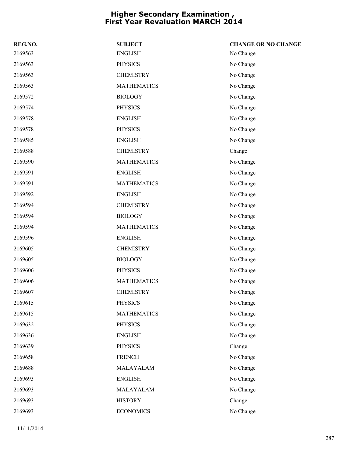| REG.NO. | <b>SUBJECT</b>     | <b>CHANGE OR NO CHANGE</b> |
|---------|--------------------|----------------------------|
| 2169563 | <b>ENGLISH</b>     | No Change                  |
| 2169563 | <b>PHYSICS</b>     | No Change                  |
| 2169563 | <b>CHEMISTRY</b>   | No Change                  |
| 2169563 | <b>MATHEMATICS</b> | No Change                  |
| 2169572 | <b>BIOLOGY</b>     | No Change                  |
| 2169574 | <b>PHYSICS</b>     | No Change                  |
| 2169578 | <b>ENGLISH</b>     | No Change                  |
| 2169578 | <b>PHYSICS</b>     | No Change                  |
| 2169585 | <b>ENGLISH</b>     | No Change                  |
| 2169588 | <b>CHEMISTRY</b>   | Change                     |
| 2169590 | <b>MATHEMATICS</b> | No Change                  |
| 2169591 | <b>ENGLISH</b>     | No Change                  |
| 2169591 | <b>MATHEMATICS</b> | No Change                  |
| 2169592 | <b>ENGLISH</b>     | No Change                  |
| 2169594 | <b>CHEMISTRY</b>   | No Change                  |
| 2169594 | <b>BIOLOGY</b>     | No Change                  |
| 2169594 | <b>MATHEMATICS</b> | No Change                  |
| 2169596 | <b>ENGLISH</b>     | No Change                  |
| 2169605 | <b>CHEMISTRY</b>   | No Change                  |
| 2169605 | <b>BIOLOGY</b>     | No Change                  |
| 2169606 | <b>PHYSICS</b>     | No Change                  |
| 2169606 | <b>MATHEMATICS</b> | No Change                  |
| 2169607 | <b>CHEMISTRY</b>   | No Change                  |
| 2169615 | <b>PHYSICS</b>     | No Change                  |
| 2169615 | <b>MATHEMATICS</b> | No Change                  |
| 2169632 | <b>PHYSICS</b>     | No Change                  |
| 2169636 | <b>ENGLISH</b>     | No Change                  |
| 2169639 | <b>PHYSICS</b>     | Change                     |
| 2169658 | <b>FRENCH</b>      | No Change                  |
| 2169688 | MALAYALAM          | No Change                  |
| 2169693 | <b>ENGLISH</b>     | No Change                  |
| 2169693 | MALAYALAM          | No Change                  |
| 2169693 | <b>HISTORY</b>     | Change                     |
| 2169693 | <b>ECONOMICS</b>   | No Change                  |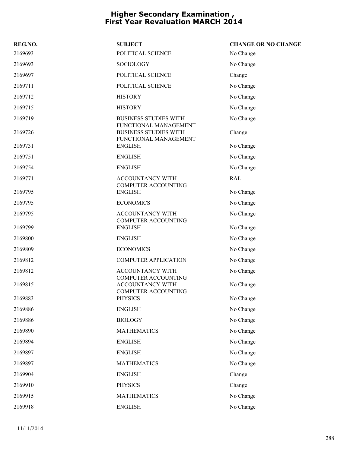| REG.NO. | <b>SUBJECT</b>                                                                 | <b>CHANGE OR NO CHANGE</b> |
|---------|--------------------------------------------------------------------------------|----------------------------|
| 2169693 | POLITICAL SCIENCE                                                              | No Change                  |
| 2169693 | SOCIOLOGY                                                                      | No Change                  |
| 2169697 | POLITICAL SCIENCE                                                              | Change                     |
| 2169711 | POLITICAL SCIENCE                                                              | No Change                  |
| 2169712 | <b>HISTORY</b>                                                                 | No Change                  |
| 2169715 | <b>HISTORY</b>                                                                 | No Change                  |
| 2169719 | <b>BUSINESS STUDIES WITH</b>                                                   | No Change                  |
| 2169726 | FUNCTIONAL MANAGEMENT<br><b>BUSINESS STUDIES WITH</b><br>FUNCTIONAL MANAGEMENT | Change                     |
| 2169731 | <b>ENGLISH</b>                                                                 | No Change                  |
| 2169751 | <b>ENGLISH</b>                                                                 | No Change                  |
| 2169754 | <b>ENGLISH</b>                                                                 | No Change                  |
| 2169771 | <b>ACCOUNTANCY WITH</b><br><b>COMPUTER ACCOUNTING</b>                          | <b>RAL</b>                 |
| 2169795 | <b>ENGLISH</b>                                                                 | No Change                  |
| 2169795 | <b>ECONOMICS</b>                                                               | No Change                  |
| 2169795 | ACCOUNTANCY WITH<br><b>COMPUTER ACCOUNTING</b>                                 | No Change                  |
| 2169799 | <b>ENGLISH</b>                                                                 | No Change                  |
| 2169800 | <b>ENGLISH</b>                                                                 | No Change                  |
| 2169809 | <b>ECONOMICS</b>                                                               | No Change                  |
| 2169812 | <b>COMPUTER APPLICATION</b>                                                    | No Change                  |
| 2169812 | ACCOUNTANCY WITH<br><b>COMPUTER ACCOUNTING</b>                                 | No Change                  |
| 2169815 | <b>ACCOUNTANCY WITH</b><br><b>COMPUTER ACCOUNTING</b>                          | No Change                  |
| 2169883 | <b>PHYSICS</b>                                                                 | No Change                  |
| 2169886 | <b>ENGLISH</b>                                                                 | No Change                  |
| 2169886 | <b>BIOLOGY</b>                                                                 | No Change                  |
| 2169890 | <b>MATHEMATICS</b>                                                             | No Change                  |
| 2169894 | <b>ENGLISH</b>                                                                 | No Change                  |
| 2169897 | <b>ENGLISH</b>                                                                 | No Change                  |
| 2169897 | <b>MATHEMATICS</b>                                                             | No Change                  |
| 2169904 | <b>ENGLISH</b>                                                                 | Change                     |
| 2169910 | <b>PHYSICS</b>                                                                 | Change                     |
| 2169915 | <b>MATHEMATICS</b>                                                             | No Change                  |
| 2169918 | <b>ENGLISH</b>                                                                 | No Change                  |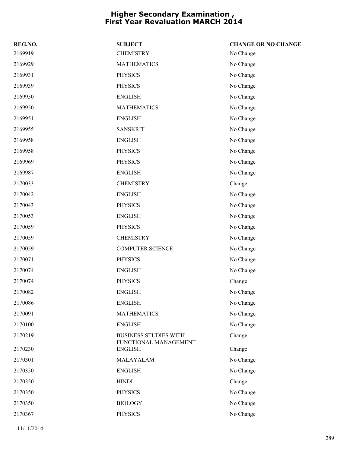| REG.NO. | <b>SUBJECT</b>                                        | <b>CHANGE OR NO CHANGE</b> |
|---------|-------------------------------------------------------|----------------------------|
| 2169919 | <b>CHEMISTRY</b>                                      | No Change                  |
| 2169929 | <b>MATHEMATICS</b>                                    | No Change                  |
| 2169931 | <b>PHYSICS</b>                                        | No Change                  |
| 2169939 | <b>PHYSICS</b>                                        | No Change                  |
| 2169950 | <b>ENGLISH</b>                                        | No Change                  |
| 2169950 | <b>MATHEMATICS</b>                                    | No Change                  |
| 2169951 | <b>ENGLISH</b>                                        | No Change                  |
| 2169955 | <b>SANSKRIT</b>                                       | No Change                  |
| 2169958 | <b>ENGLISH</b>                                        | No Change                  |
| 2169958 | <b>PHYSICS</b>                                        | No Change                  |
| 2169969 | <b>PHYSICS</b>                                        | No Change                  |
| 2169987 | <b>ENGLISH</b>                                        | No Change                  |
| 2170033 | <b>CHEMISTRY</b>                                      | Change                     |
| 2170042 | <b>ENGLISH</b>                                        | No Change                  |
| 2170043 | <b>PHYSICS</b>                                        | No Change                  |
| 2170053 | <b>ENGLISH</b>                                        | No Change                  |
| 2170059 | <b>PHYSICS</b>                                        | No Change                  |
| 2170059 | <b>CHEMISTRY</b>                                      | No Change                  |
| 2170059 | <b>COMPUTER SCIENCE</b>                               | No Change                  |
| 2170071 | <b>PHYSICS</b>                                        | No Change                  |
| 2170074 | <b>ENGLISH</b>                                        | No Change                  |
| 2170074 | <b>PHYSICS</b>                                        | Change                     |
| 2170082 | <b>ENGLISH</b>                                        | No Change                  |
| 2170086 | <b>ENGLISH</b>                                        | No Change                  |
| 2170091 | <b>MATHEMATICS</b>                                    | No Change                  |
| 2170100 | <b>ENGLISH</b>                                        | No Change                  |
| 2170219 | <b>BUSINESS STUDIES WITH</b><br>FUNCTIONAL MANAGEMENT | Change                     |
| 2170230 | <b>ENGLISH</b>                                        | Change                     |
| 2170301 | MALAYALAM                                             | No Change                  |
| 2170350 | <b>ENGLISH</b>                                        | No Change                  |
| 2170350 | <b>HINDI</b>                                          | Change                     |
| 2170350 | <b>PHYSICS</b>                                        | No Change                  |
| 2170350 | <b>BIOLOGY</b>                                        | No Change                  |
| 2170367 | <b>PHYSICS</b>                                        | No Change                  |
|         |                                                       |                            |

11/11/2014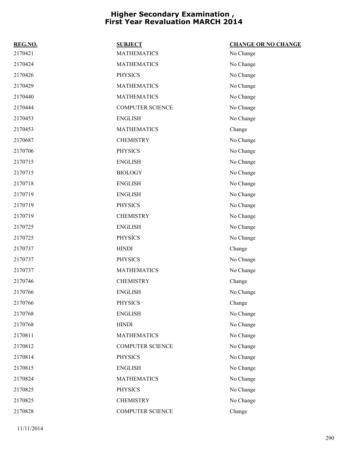| REG.NO. | <b>SUBJECT</b>          | <b>CHANGE OR NO CHANGE</b> |
|---------|-------------------------|----------------------------|
| 2170421 | <b>MATHEMATICS</b>      | No Change                  |
| 2170424 | <b>MATHEMATICS</b>      | No Change                  |
| 2170426 | <b>PHYSICS</b>          | No Change                  |
| 2170429 | <b>MATHEMATICS</b>      | No Change                  |
| 2170440 | <b>MATHEMATICS</b>      | No Change                  |
| 2170444 | <b>COMPUTER SCIENCE</b> | No Change                  |
| 2170453 | <b>ENGLISH</b>          | No Change                  |
| 2170453 | <b>MATHEMATICS</b>      | Change                     |
| 2170687 | <b>CHEMISTRY</b>        | No Change                  |
| 2170706 | <b>PHYSICS</b>          | No Change                  |
| 2170715 | <b>ENGLISH</b>          | No Change                  |
| 2170715 | <b>BIOLOGY</b>          | No Change                  |
| 2170718 | <b>ENGLISH</b>          | No Change                  |
| 2170719 | <b>ENGLISH</b>          | No Change                  |
| 2170719 | <b>PHYSICS</b>          | No Change                  |
| 2170719 | <b>CHEMISTRY</b>        | No Change                  |
| 2170725 | <b>ENGLISH</b>          | No Change                  |
| 2170725 | <b>PHYSICS</b>          | No Change                  |
| 2170737 | <b>HINDI</b>            | Change                     |
| 2170737 | <b>PHYSICS</b>          | No Change                  |
| 2170737 | <b>MATHEMATICS</b>      | No Change                  |
| 2170746 | <b>CHEMISTRY</b>        | Change                     |
| 2170766 | <b>ENGLISH</b>          | No Change                  |
| 2170766 | <b>PHYSICS</b>          | Change                     |
| 2170768 | <b>ENGLISH</b>          | No Change                  |
| 2170768 | <b>HINDI</b>            | No Change                  |
| 2170811 | <b>MATHEMATICS</b>      | No Change                  |
| 2170812 | <b>COMPUTER SCIENCE</b> | No Change                  |
| 2170814 | <b>PHYSICS</b>          | No Change                  |
| 2170815 | <b>ENGLISH</b>          | No Change                  |
| 2170824 | <b>MATHEMATICS</b>      | No Change                  |
| 2170825 | <b>PHYSICS</b>          | No Change                  |
| 2170825 | <b>CHEMISTRY</b>        | No Change                  |
| 2170828 | COMPUTER SCIENCE        | Change                     |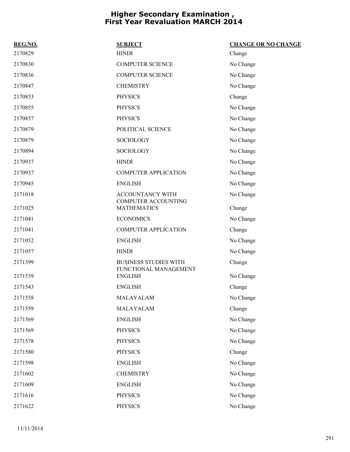| REG.NO. | <b>SUBJECT</b>                                        | <b>CHANGE OR NO CHANGE</b> |
|---------|-------------------------------------------------------|----------------------------|
| 2170829 | <b>HINDI</b>                                          | Change                     |
| 2170830 | <b>COMPUTER SCIENCE</b>                               | No Change                  |
| 2170836 | <b>COMPUTER SCIENCE</b>                               | No Change                  |
| 2170847 | <b>CHEMISTRY</b>                                      | No Change                  |
| 2170853 | <b>PHYSICS</b>                                        | Change                     |
| 2170855 | <b>PHYSICS</b>                                        | No Change                  |
| 2170857 | <b>PHYSICS</b>                                        | No Change                  |
| 2170879 | POLITICAL SCIENCE                                     | No Change                  |
| 2170879 | SOCIOLOGY                                             | No Change                  |
| 2170894 | SOCIOLOGY                                             | No Change                  |
| 2170937 | <b>HINDI</b>                                          | No Change                  |
| 2170937 | <b>COMPUTER APPLICATION</b>                           | No Change                  |
| 2170945 | <b>ENGLISH</b>                                        | No Change                  |
| 2171018 | ACCOUNTANCY WITH<br><b>COMPUTER ACCOUNTING</b>        | No Change                  |
| 2171025 | <b>MATHEMATICS</b>                                    | Change                     |
| 2171041 | <b>ECONOMICS</b>                                      | No Change                  |
| 2171041 | <b>COMPUTER APPLICATION</b>                           | Change                     |
| 2171052 | <b>ENGLISH</b>                                        | No Change                  |
| 2171057 | <b>HINDI</b>                                          | No Change                  |
| 2171399 | <b>BUSINESS STUDIES WITH</b><br>FUNCTIONAL MANAGEMENT | Change                     |
| 2171539 | <b>ENGLISH</b>                                        | No Change                  |
| 2171543 | <b>ENGLISH</b>                                        | Change                     |
| 2171558 | MALAYALAM                                             | No Change                  |
| 2171559 | MALAYALAM                                             | Change                     |
| 2171569 | <b>ENGLISH</b>                                        | No Change                  |
| 2171569 | <b>PHYSICS</b>                                        | No Change                  |
| 2171578 | <b>PHYSICS</b>                                        | No Change                  |
| 2171580 | <b>PHYSICS</b>                                        | Change                     |
| 2171598 | <b>ENGLISH</b>                                        | No Change                  |
| 2171602 | <b>CHEMISTRY</b>                                      | No Change                  |
| 2171609 | <b>ENGLISH</b>                                        | No Change                  |
| 2171616 | <b>PHYSICS</b>                                        | No Change                  |
| 2171622 | <b>PHYSICS</b>                                        | No Change                  |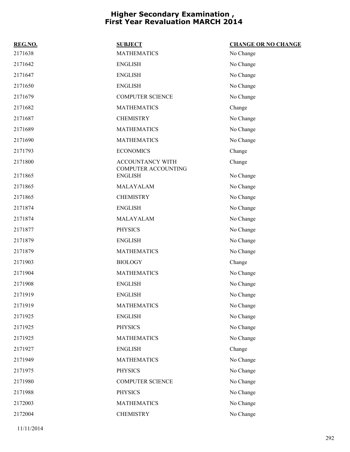| REG.NO. | <b>SUBJECT</b>                        | <b>CHANGE OR NO CHANGE</b> |
|---------|---------------------------------------|----------------------------|
| 2171638 | <b>MATHEMATICS</b>                    | No Change                  |
| 2171642 | <b>ENGLISH</b>                        | No Change                  |
| 2171647 | <b>ENGLISH</b>                        | No Change                  |
| 2171650 | <b>ENGLISH</b>                        | No Change                  |
| 2171679 | <b>COMPUTER SCIENCE</b>               | No Change                  |
| 2171682 | <b>MATHEMATICS</b>                    | Change                     |
| 2171687 | <b>CHEMISTRY</b>                      | No Change                  |
| 2171689 | <b>MATHEMATICS</b>                    | No Change                  |
| 2171690 | <b>MATHEMATICS</b>                    | No Change                  |
| 2171793 | <b>ECONOMICS</b>                      | Change                     |
| 2171800 | ACCOUNTANCY WITH                      | Change                     |
| 2171865 | COMPUTER ACCOUNTING<br><b>ENGLISH</b> | No Change                  |
| 2171865 | <b>MALAYALAM</b>                      | No Change                  |
| 2171865 | <b>CHEMISTRY</b>                      | No Change                  |
| 2171874 | <b>ENGLISH</b>                        | No Change                  |
| 2171874 | MALAYALAM                             | No Change                  |
| 2171877 | <b>PHYSICS</b>                        | No Change                  |
| 2171879 | <b>ENGLISH</b>                        | No Change                  |
| 2171879 | <b>MATHEMATICS</b>                    | No Change                  |
| 2171903 | <b>BIOLOGY</b>                        | Change                     |
| 2171904 | <b>MATHEMATICS</b>                    | No Change                  |
| 2171908 | <b>ENGLISH</b>                        | No Change                  |
| 2171919 | <b>ENGLISH</b>                        | No Change                  |
| 2171919 | <b>MATHEMATICS</b>                    | No Change                  |
| 2171925 | <b>ENGLISH</b>                        | No Change                  |
| 2171925 | <b>PHYSICS</b>                        | No Change                  |
| 2171925 | <b>MATHEMATICS</b>                    | No Change                  |
| 2171927 | <b>ENGLISH</b>                        | Change                     |
| 2171949 | <b>MATHEMATICS</b>                    | No Change                  |
| 2171975 | <b>PHYSICS</b>                        | No Change                  |
| 2171980 | <b>COMPUTER SCIENCE</b>               | No Change                  |
| 2171988 | <b>PHYSICS</b>                        | No Change                  |
| 2172003 | <b>MATHEMATICS</b>                    | No Change                  |
| 2172004 | <b>CHEMISTRY</b>                      | No Change                  |

11/11/2014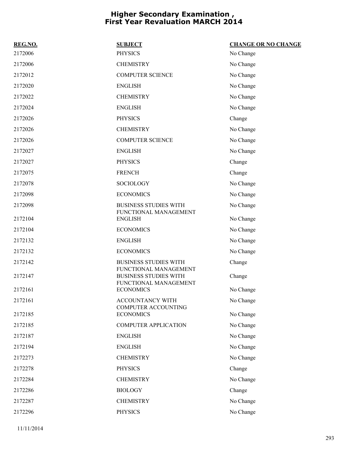| REG.NO. | <b>SUBJECT</b>                                        | <b>CHANGE OR NO CHANGE</b> |
|---------|-------------------------------------------------------|----------------------------|
| 2172006 | <b>PHYSICS</b>                                        | No Change                  |
| 2172006 | <b>CHEMISTRY</b>                                      | No Change                  |
| 2172012 | <b>COMPUTER SCIENCE</b>                               | No Change                  |
| 2172020 | <b>ENGLISH</b>                                        | No Change                  |
| 2172022 | <b>CHEMISTRY</b>                                      | No Change                  |
| 2172024 | <b>ENGLISH</b>                                        | No Change                  |
| 2172026 | <b>PHYSICS</b>                                        | Change                     |
| 2172026 | <b>CHEMISTRY</b>                                      | No Change                  |
| 2172026 | <b>COMPUTER SCIENCE</b>                               | No Change                  |
| 2172027 | <b>ENGLISH</b>                                        | No Change                  |
| 2172027 | <b>PHYSICS</b>                                        | Change                     |
| 2172075 | <b>FRENCH</b>                                         | Change                     |
| 2172078 | <b>SOCIOLOGY</b>                                      | No Change                  |
| 2172098 | <b>ECONOMICS</b>                                      | No Change                  |
| 2172098 | <b>BUSINESS STUDIES WITH</b><br>FUNCTIONAL MANAGEMENT | No Change                  |
| 2172104 | <b>ENGLISH</b>                                        | No Change                  |
| 2172104 | <b>ECONOMICS</b>                                      | No Change                  |
| 2172132 | <b>ENGLISH</b>                                        | No Change                  |
| 2172132 | <b>ECONOMICS</b>                                      | No Change                  |
| 2172142 | <b>BUSINESS STUDIES WITH</b><br>FUNCTIONAL MANAGEMENT | Change                     |
| 2172147 | <b>BUSINESS STUDIES WITH</b><br>FUNCTIONAL MANAGEMENT | Change                     |
| 2172161 | <b>ECONOMICS</b>                                      | No Change                  |
| 2172161 | ACCOUNTANCY WITH<br><b>COMPUTER ACCOUNTING</b>        | No Change                  |
| 2172185 | <b>ECONOMICS</b>                                      | No Change                  |
| 2172185 | <b>COMPUTER APPLICATION</b>                           | No Change                  |
| 2172187 | <b>ENGLISH</b>                                        | No Change                  |
| 2172194 | <b>ENGLISH</b>                                        | No Change                  |
| 2172273 | <b>CHEMISTRY</b>                                      | No Change                  |
| 2172278 | <b>PHYSICS</b>                                        | Change                     |
| 2172284 | <b>CHEMISTRY</b>                                      | No Change                  |
| 2172286 | <b>BIOLOGY</b>                                        | Change                     |
| 2172287 | <b>CHEMISTRY</b>                                      | No Change                  |
| 2172296 | <b>PHYSICS</b>                                        | No Change                  |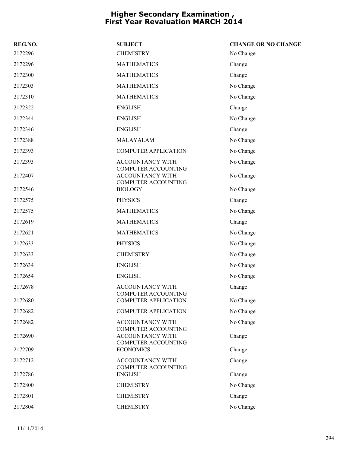| REG.NO. | <b>SUBJECT</b>                                        | <b>CHANGE OR NO CHANGE</b> |
|---------|-------------------------------------------------------|----------------------------|
| 2172296 | <b>CHEMISTRY</b>                                      | No Change                  |
| 2172296 | <b>MATHEMATICS</b>                                    | Change                     |
| 2172300 | <b>MATHEMATICS</b>                                    | Change                     |
| 2172303 | <b>MATHEMATICS</b>                                    | No Change                  |
| 2172310 | <b>MATHEMATICS</b>                                    | No Change                  |
| 2172322 | <b>ENGLISH</b>                                        | Change                     |
| 2172344 | <b>ENGLISH</b>                                        | No Change                  |
| 2172346 | <b>ENGLISH</b>                                        | Change                     |
| 2172388 | MALAYALAM                                             | No Change                  |
| 2172393 | <b>COMPUTER APPLICATION</b>                           | No Change                  |
| 2172393 | ACCOUNTANCY WITH<br>COMPUTER ACCOUNTING               | No Change                  |
| 2172407 | <b>ACCOUNTANCY WITH</b><br>COMPUTER ACCOUNTING        | No Change                  |
| 2172546 | <b>BIOLOGY</b>                                        | No Change                  |
| 2172575 | <b>PHYSICS</b>                                        | Change                     |
| 2172575 | <b>MATHEMATICS</b>                                    | No Change                  |
| 2172619 | <b>MATHEMATICS</b>                                    | Change                     |
| 2172621 | <b>MATHEMATICS</b>                                    | No Change                  |
| 2172633 | <b>PHYSICS</b>                                        | No Change                  |
| 2172633 | <b>CHEMISTRY</b>                                      | No Change                  |
| 2172634 | <b>ENGLISH</b>                                        | No Change                  |
| 2172654 | <b>ENGLISH</b>                                        | No Change                  |
| 2172678 | <b>ACCOUNTANCY WITH</b><br><b>COMPUTER ACCOUNTING</b> | Change                     |
| 2172680 | <b>COMPUTER APPLICATION</b>                           | No Change                  |
| 2172682 | <b>COMPUTER APPLICATION</b>                           | No Change                  |
| 2172682 | ACCOUNTANCY WITH<br><b>COMPUTER ACCOUNTING</b>        | No Change                  |
| 2172690 | <b>ACCOUNTANCY WITH</b><br>COMPUTER ACCOUNTING        | Change                     |
| 2172709 | <b>ECONOMICS</b>                                      | Change                     |
| 2172712 | <b>ACCOUNTANCY WITH</b><br>COMPUTER ACCOUNTING        | Change                     |
| 2172786 | <b>ENGLISH</b>                                        | Change                     |
| 2172800 | <b>CHEMISTRY</b>                                      | No Change                  |
| 2172801 | <b>CHEMISTRY</b>                                      | Change                     |
| 2172804 | <b>CHEMISTRY</b>                                      | No Change                  |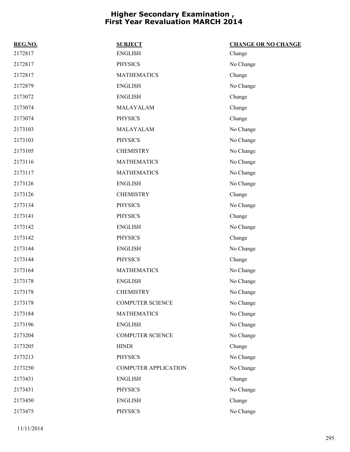| REG.NO. | <b>SUBJECT</b>              | <b>CHANGE OR NO CHANGE</b> |
|---------|-----------------------------|----------------------------|
| 2172817 | <b>ENGLISH</b>              | Change                     |
| 2172817 | <b>PHYSICS</b>              | No Change                  |
| 2172817 | <b>MATHEMATICS</b>          | Change                     |
| 2172879 | <b>ENGLISH</b>              | No Change                  |
| 2173072 | <b>ENGLISH</b>              | Change                     |
| 2173074 | MALAYALAM                   | Change                     |
| 2173074 | <b>PHYSICS</b>              | Change                     |
| 2173103 | MALAYALAM                   | No Change                  |
| 2173103 | <b>PHYSICS</b>              | No Change                  |
| 2173105 | <b>CHEMISTRY</b>            | No Change                  |
| 2173116 | <b>MATHEMATICS</b>          | No Change                  |
| 2173117 | <b>MATHEMATICS</b>          | No Change                  |
| 2173126 | <b>ENGLISH</b>              | No Change                  |
| 2173126 | <b>CHEMISTRY</b>            | Change                     |
| 2173134 | <b>PHYSICS</b>              | No Change                  |
| 2173141 | <b>PHYSICS</b>              | Change                     |
| 2173142 | <b>ENGLISH</b>              | No Change                  |
| 2173142 | <b>PHYSICS</b>              | Change                     |
| 2173144 | <b>ENGLISH</b>              | No Change                  |
| 2173144 | <b>PHYSICS</b>              | Change                     |
| 2173164 | <b>MATHEMATICS</b>          | No Change                  |
| 2173178 | <b>ENGLISH</b>              | No Change                  |
| 2173178 | <b>CHEMISTRY</b>            | No Change                  |
| 2173178 | <b>COMPUTER SCIENCE</b>     | No Change                  |
| 2173184 | <b>MATHEMATICS</b>          | No Change                  |
| 2173196 | <b>ENGLISH</b>              | No Change                  |
| 2173204 | <b>COMPUTER SCIENCE</b>     | No Change                  |
| 2173205 | <b>HINDI</b>                | Change                     |
| 2173213 | <b>PHYSICS</b>              | No Change                  |
| 2173250 | <b>COMPUTER APPLICATION</b> | No Change                  |
| 2173431 | <b>ENGLISH</b>              | Change                     |
| 2173431 | <b>PHYSICS</b>              | No Change                  |
| 2173450 | <b>ENGLISH</b>              | Change                     |
| 2173475 | <b>PHYSICS</b>              | No Change                  |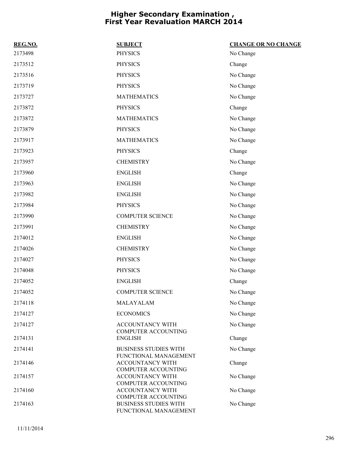| REG.NO. | <b>SUBJECT</b>                                        | <b>CHANGE OR NO CHANGE</b> |
|---------|-------------------------------------------------------|----------------------------|
| 2173498 | <b>PHYSICS</b>                                        | No Change                  |
| 2173512 | <b>PHYSICS</b>                                        | Change                     |
| 2173516 | <b>PHYSICS</b>                                        | No Change                  |
| 2173719 | <b>PHYSICS</b>                                        | No Change                  |
| 2173727 | <b>MATHEMATICS</b>                                    | No Change                  |
| 2173872 | <b>PHYSICS</b>                                        | Change                     |
| 2173872 | <b>MATHEMATICS</b>                                    | No Change                  |
| 2173879 | <b>PHYSICS</b>                                        | No Change                  |
| 2173917 | <b>MATHEMATICS</b>                                    | No Change                  |
| 2173923 | <b>PHYSICS</b>                                        | Change                     |
| 2173957 | <b>CHEMISTRY</b>                                      | No Change                  |
| 2173960 | <b>ENGLISH</b>                                        | Change                     |
| 2173963 | <b>ENGLISH</b>                                        | No Change                  |
| 2173982 | <b>ENGLISH</b>                                        | No Change                  |
| 2173984 | <b>PHYSICS</b>                                        | No Change                  |
| 2173990 | <b>COMPUTER SCIENCE</b>                               | No Change                  |
| 2173991 | <b>CHEMISTRY</b>                                      | No Change                  |
| 2174012 | <b>ENGLISH</b>                                        | No Change                  |
| 2174026 | <b>CHEMISTRY</b>                                      | No Change                  |
| 2174027 | <b>PHYSICS</b>                                        | No Change                  |
| 2174048 | <b>PHYSICS</b>                                        | No Change                  |
| 2174052 | <b>ENGLISH</b>                                        | Change                     |
| 2174052 | <b>COMPUTER SCIENCE</b>                               | No Change                  |
| 2174118 | MALAYALAM                                             | No Change                  |
| 2174127 | <b>ECONOMICS</b>                                      | No Change                  |
| 2174127 | ACCOUNTANCY WITH<br><b>COMPUTER ACCOUNTING</b>        | No Change                  |
| 2174131 | <b>ENGLISH</b>                                        | Change                     |
| 2174141 | <b>BUSINESS STUDIES WITH</b><br>FUNCTIONAL MANAGEMENT | No Change                  |
| 2174146 | ACCOUNTANCY WITH<br><b>COMPUTER ACCOUNTING</b>        | Change                     |
| 2174157 | ACCOUNTANCY WITH<br><b>COMPUTER ACCOUNTING</b>        | No Change                  |
| 2174160 | ACCOUNTANCY WITH<br><b>COMPUTER ACCOUNTING</b>        | No Change                  |
| 2174163 | <b>BUSINESS STUDIES WITH</b><br>FUNCTIONAL MANAGEMENT | No Change                  |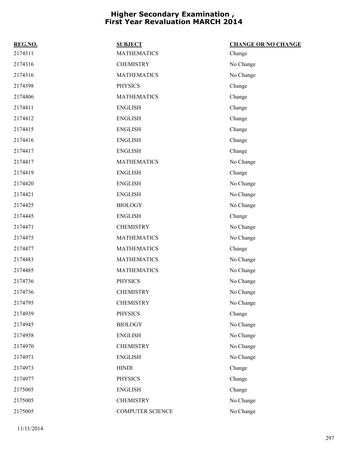| REG.NO. | <b>SUBJECT</b>     | <b>CHANGE OR NO CHANGE</b> |
|---------|--------------------|----------------------------|
| 2174311 | <b>MATHEMATICS</b> | Change                     |
| 2174316 | <b>CHEMISTRY</b>   | No Change                  |
| 2174316 | <b>MATHEMATICS</b> | No Change                  |
| 2174398 | <b>PHYSICS</b>     | Change                     |
| 2174406 | <b>MATHEMATICS</b> | Change                     |
| 2174411 | <b>ENGLISH</b>     | Change                     |
| 2174412 | <b>ENGLISH</b>     | Change                     |
| 2174415 | <b>ENGLISH</b>     | Change                     |
| 2174416 | <b>ENGLISH</b>     | Change                     |
| 2174417 | <b>ENGLISH</b>     | Change                     |
| 2174417 | <b>MATHEMATICS</b> | No Change                  |
| 2174419 | <b>ENGLISH</b>     | Change                     |
| 2174420 | <b>ENGLISH</b>     | No Change                  |
| 2174421 | <b>ENGLISH</b>     | No Change                  |
| 2174425 | <b>BIOLOGY</b>     | No Change                  |
| 2174445 | <b>ENGLISH</b>     | Change                     |
| 2174471 | <b>CHEMISTRY</b>   | No Change                  |
| 2174475 | <b>MATHEMATICS</b> | No Change                  |
| 2174477 | <b>MATHEMATICS</b> | Change                     |
| 2174483 | <b>MATHEMATICS</b> | No Change                  |
| 2174485 | <b>MATHEMATICS</b> | No Change                  |
| 2174736 | <b>PHYSICS</b>     | No Change                  |
| 2174736 | <b>CHEMISTRY</b>   | No Change                  |
| 2174795 | <b>CHEMISTRY</b>   | No Change                  |
| 2174939 | <b>PHYSICS</b>     | Change                     |
| 2174945 | <b>BIOLOGY</b>     | No Change                  |
| 2174958 | <b>ENGLISH</b>     | No Change                  |
| 2174970 | <b>CHEMISTRY</b>   | No Change                  |
| 2174971 | <b>ENGLISH</b>     | No Change                  |
| 2174973 | <b>HINDI</b>       | Change                     |
| 2174977 | <b>PHYSICS</b>     | Change                     |
| 2175005 | <b>ENGLISH</b>     | Change                     |
| 2175005 | <b>CHEMISTRY</b>   | No Change                  |
| 2175005 | COMPUTER SCIENCE   | No Change                  |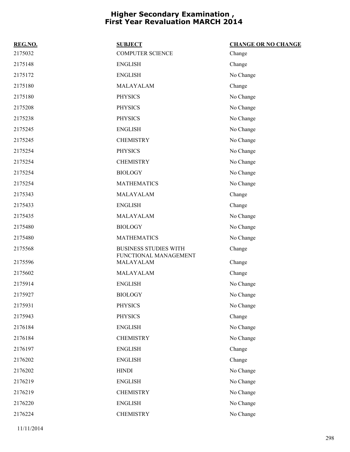| REG.NO. | <b>SUBJECT</b>                     | <b>CHANGE OR NO CHANGE</b> |
|---------|------------------------------------|----------------------------|
| 2175032 | <b>COMPUTER SCIENCE</b>            | Change                     |
| 2175148 | <b>ENGLISH</b>                     | Change                     |
| 2175172 | <b>ENGLISH</b>                     | No Change                  |
| 2175180 | MALAYALAM                          | Change                     |
| 2175180 | <b>PHYSICS</b>                     | No Change                  |
| 2175208 | <b>PHYSICS</b>                     | No Change                  |
| 2175238 | <b>PHYSICS</b>                     | No Change                  |
| 2175245 | <b>ENGLISH</b>                     | No Change                  |
| 2175245 | <b>CHEMISTRY</b>                   | No Change                  |
| 2175254 | <b>PHYSICS</b>                     | No Change                  |
| 2175254 | <b>CHEMISTRY</b>                   | No Change                  |
| 2175254 | <b>BIOLOGY</b>                     | No Change                  |
| 2175254 | <b>MATHEMATICS</b>                 | No Change                  |
| 2175343 | MALAYALAM                          | Change                     |
| 2175433 | <b>ENGLISH</b>                     | Change                     |
| 2175435 | MALAYALAM                          | No Change                  |
| 2175480 | <b>BIOLOGY</b>                     | No Change                  |
| 2175480 | <b>MATHEMATICS</b>                 | No Change                  |
| 2175568 | <b>BUSINESS STUDIES WITH</b>       | Change                     |
| 2175596 | FUNCTIONAL MANAGEMENT<br>MALAYALAM | Change                     |
| 2175602 | MALAYALAM                          | Change                     |
| 2175914 | <b>ENGLISH</b>                     | No Change                  |
| 2175927 | <b>BIOLOGY</b>                     | No Change                  |
| 2175931 | <b>PHYSICS</b>                     | No Change                  |
| 2175943 | <b>PHYSICS</b>                     | Change                     |
| 2176184 | <b>ENGLISH</b>                     | No Change                  |
| 2176184 | <b>CHEMISTRY</b>                   | No Change                  |
| 2176197 | <b>ENGLISH</b>                     | Change                     |
| 2176202 | <b>ENGLISH</b>                     | Change                     |
| 2176202 | <b>HINDI</b>                       | No Change                  |
| 2176219 | <b>ENGLISH</b>                     | No Change                  |
| 2176219 | <b>CHEMISTRY</b>                   | No Change                  |
| 2176220 | <b>ENGLISH</b>                     | No Change                  |
| 2176224 | <b>CHEMISTRY</b>                   | No Change                  |
|         |                                    |                            |

11/11/2014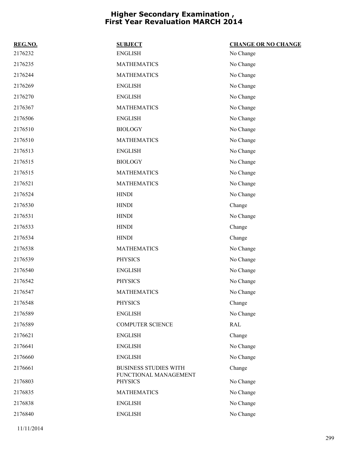| REG.NO. | <b>SUBJECT</b>                                        | <b>CHANGE OR NO CHANGE</b> |
|---------|-------------------------------------------------------|----------------------------|
| 2176232 | <b>ENGLISH</b>                                        | No Change                  |
| 2176235 | <b>MATHEMATICS</b>                                    | No Change                  |
| 2176244 | <b>MATHEMATICS</b>                                    | No Change                  |
| 2176269 | <b>ENGLISH</b>                                        | No Change                  |
| 2176270 | <b>ENGLISH</b>                                        | No Change                  |
| 2176367 | <b>MATHEMATICS</b>                                    | No Change                  |
| 2176506 | <b>ENGLISH</b>                                        | No Change                  |
| 2176510 | <b>BIOLOGY</b>                                        | No Change                  |
| 2176510 | <b>MATHEMATICS</b>                                    | No Change                  |
| 2176513 | <b>ENGLISH</b>                                        | No Change                  |
| 2176515 | <b>BIOLOGY</b>                                        | No Change                  |
| 2176515 | <b>MATHEMATICS</b>                                    | No Change                  |
| 2176521 | <b>MATHEMATICS</b>                                    | No Change                  |
| 2176524 | <b>HINDI</b>                                          | No Change                  |
| 2176530 | <b>HINDI</b>                                          | Change                     |
| 2176531 | <b>HINDI</b>                                          | No Change                  |
| 2176533 | <b>HINDI</b>                                          | Change                     |
| 2176534 | <b>HINDI</b>                                          | Change                     |
| 2176538 | <b>MATHEMATICS</b>                                    | No Change                  |
| 2176539 | <b>PHYSICS</b>                                        | No Change                  |
| 2176540 | <b>ENGLISH</b>                                        | No Change                  |
| 2176542 | <b>PHYSICS</b>                                        | No Change                  |
| 2176547 | <b>MATHEMATICS</b>                                    | No Change                  |
| 2176548 | <b>PHYSICS</b>                                        | Change                     |
| 2176589 | <b>ENGLISH</b>                                        | No Change                  |
| 2176589 | <b>COMPUTER SCIENCE</b>                               | <b>RAL</b>                 |
| 2176621 | <b>ENGLISH</b>                                        | Change                     |
| 2176641 | <b>ENGLISH</b>                                        | No Change                  |
| 2176660 | <b>ENGLISH</b>                                        | No Change                  |
| 2176661 | <b>BUSINESS STUDIES WITH</b><br>FUNCTIONAL MANAGEMENT | Change                     |
| 2176803 | <b>PHYSICS</b>                                        | No Change                  |
| 2176835 | <b>MATHEMATICS</b>                                    | No Change                  |
| 2176838 | <b>ENGLISH</b>                                        | No Change                  |
| 2176840 | <b>ENGLISH</b>                                        | No Change                  |
|         |                                                       |                            |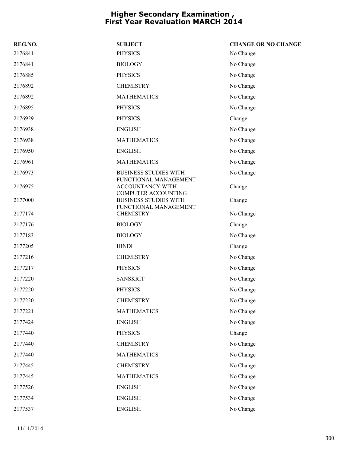| REG.NO. | <b>SUBJECT</b>                                                          | <b>CHANGE OR NO CHANGE</b> |
|---------|-------------------------------------------------------------------------|----------------------------|
| 2176841 | <b>PHYSICS</b>                                                          | No Change                  |
| 2176841 | <b>BIOLOGY</b>                                                          | No Change                  |
| 2176885 | <b>PHYSICS</b>                                                          | No Change                  |
| 2176892 | <b>CHEMISTRY</b>                                                        | No Change                  |
| 2176892 | <b>MATHEMATICS</b>                                                      | No Change                  |
| 2176895 | <b>PHYSICS</b>                                                          | No Change                  |
| 2176929 | <b>PHYSICS</b>                                                          | Change                     |
| 2176938 | <b>ENGLISH</b>                                                          | No Change                  |
| 2176938 | <b>MATHEMATICS</b>                                                      | No Change                  |
| 2176950 | <b>ENGLISH</b>                                                          | No Change                  |
| 2176961 | <b>MATHEMATICS</b>                                                      | No Change                  |
| 2176973 | <b>BUSINESS STUDIES WITH</b>                                            | No Change                  |
| 2176975 | FUNCTIONAL MANAGEMENT<br>ACCOUNTANCY WITH<br><b>COMPUTER ACCOUNTING</b> | Change                     |
| 2177000 | <b>BUSINESS STUDIES WITH</b><br>FUNCTIONAL MANAGEMENT                   | Change                     |
| 2177174 | <b>CHEMISTRY</b>                                                        | No Change                  |
| 2177176 | <b>BIOLOGY</b>                                                          | Change                     |
| 2177183 | <b>BIOLOGY</b>                                                          | No Change                  |
| 2177205 | <b>HINDI</b>                                                            | Change                     |
| 2177216 | <b>CHEMISTRY</b>                                                        | No Change                  |
| 2177217 | <b>PHYSICS</b>                                                          | No Change                  |
| 2177220 | <b>SANSKRIT</b>                                                         | No Change                  |
| 2177220 | <b>PHYSICS</b>                                                          | No Change                  |
| 2177220 | <b>CHEMISTRY</b>                                                        | No Change                  |
| 2177221 | <b>MATHEMATICS</b>                                                      | No Change                  |
| 2177424 | <b>ENGLISH</b>                                                          | No Change                  |
| 2177440 | <b>PHYSICS</b>                                                          | Change                     |
| 2177440 | <b>CHEMISTRY</b>                                                        | No Change                  |
| 2177440 | <b>MATHEMATICS</b>                                                      | No Change                  |
| 2177445 | <b>CHEMISTRY</b>                                                        | No Change                  |
| 2177445 | <b>MATHEMATICS</b>                                                      | No Change                  |
| 2177526 | <b>ENGLISH</b>                                                          | No Change                  |
| 2177534 | <b>ENGLISH</b>                                                          | No Change                  |
| 2177537 | <b>ENGLISH</b>                                                          | No Change                  |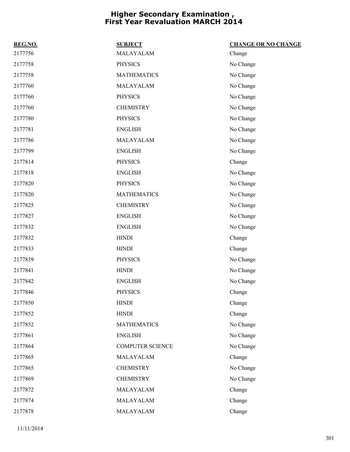| REG.NO. | <b>SUBJECT</b>          | <b>CHANGE OR NO CHANGE</b> |
|---------|-------------------------|----------------------------|
| 2177756 | MALAYALAM               | Change                     |
| 2177758 | <b>PHYSICS</b>          | No Change                  |
| 2177758 | <b>MATHEMATICS</b>      | No Change                  |
| 2177760 | MALAYALAM               | No Change                  |
| 2177760 | <b>PHYSICS</b>          | No Change                  |
| 2177760 | <b>CHEMISTRY</b>        | No Change                  |
| 2177780 | <b>PHYSICS</b>          | No Change                  |
| 2177781 | <b>ENGLISH</b>          | No Change                  |
| 2177786 | MALAYALAM               | No Change                  |
| 2177799 | <b>ENGLISH</b>          | No Change                  |
| 2177814 | <b>PHYSICS</b>          | Change                     |
| 2177818 | <b>ENGLISH</b>          | No Change                  |
| 2177820 | <b>PHYSICS</b>          | No Change                  |
| 2177820 | <b>MATHEMATICS</b>      | No Change                  |
| 2177825 | <b>CHEMISTRY</b>        | No Change                  |
| 2177827 | <b>ENGLISH</b>          | No Change                  |
| 2177832 | <b>ENGLISH</b>          | No Change                  |
| 2177832 | <b>HINDI</b>            | Change                     |
| 2177833 | <b>HINDI</b>            | Change                     |
| 2177839 | <b>PHYSICS</b>          | No Change                  |
| 2177841 | <b>HINDI</b>            | No Change                  |
| 2177842 | <b>ENGLISH</b>          | No Change                  |
| 2177846 | <b>PHYSICS</b>          | Change                     |
| 2177850 | <b>HINDI</b>            | Change                     |
| 2177852 | <b>HINDI</b>            | Change                     |
| 2177852 | <b>MATHEMATICS</b>      | No Change                  |
| 2177861 | <b>ENGLISH</b>          | No Change                  |
| 2177864 | <b>COMPUTER SCIENCE</b> | No Change                  |
| 2177865 | MALAYALAM               | Change                     |
| 2177865 | <b>CHEMISTRY</b>        | No Change                  |
| 2177869 | <b>CHEMISTRY</b>        | No Change                  |
| 2177872 | MALAYALAM               | Change                     |
| 2177874 | MALAYALAM               | Change                     |
| 2177878 | MALAYALAM               | Change                     |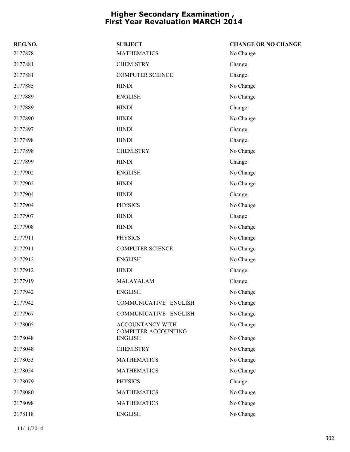| REG.NO. | <b>SUBJECT</b>                          | <b>CHANGE OR NO CHANGE</b> |
|---------|-----------------------------------------|----------------------------|
| 2177878 | <b>MATHEMATICS</b>                      | No Change                  |
| 2177881 | <b>CHEMISTRY</b>                        | Change                     |
| 2177881 | <b>COMPUTER SCIENCE</b>                 | Change                     |
| 2177885 | <b>HINDI</b>                            | No Change                  |
| 2177889 | <b>ENGLISH</b>                          | No Change                  |
| 2177889 | <b>HINDI</b>                            | Change                     |
| 2177890 | <b>HINDI</b>                            | No Change                  |
| 2177897 | <b>HINDI</b>                            | Change                     |
| 2177898 | <b>HINDI</b>                            | Change                     |
| 2177898 | <b>CHEMISTRY</b>                        | No Change                  |
| 2177899 | <b>HINDI</b>                            | Change                     |
| 2177902 | <b>ENGLISH</b>                          | No Change                  |
| 2177902 | <b>HINDI</b>                            | No Change                  |
| 2177904 | <b>HINDI</b>                            | Change                     |
| 2177904 | <b>PHYSICS</b>                          | No Change                  |
| 2177907 | <b>HINDI</b>                            | Change                     |
| 2177908 | <b>HINDI</b>                            | No Change                  |
| 2177911 | <b>PHYSICS</b>                          | No Change                  |
| 2177911 | <b>COMPUTER SCIENCE</b>                 | No Change                  |
| 2177912 | <b>ENGLISH</b>                          | No Change                  |
| 2177912 | <b>HINDI</b>                            | Change                     |
| 2177919 | MALAYALAM                               | Change                     |
| 2177942 | <b>ENGLISH</b>                          | No Change                  |
| 2177942 | COMMUNICATIVE ENGLISH                   | No Change                  |
| 2177967 | COMMUNICATIVE ENGLISH                   | No Change                  |
| 2178005 | ACCOUNTANCY WITH<br>COMPUTER ACCOUNTING | No Change                  |
| 2178048 | <b>ENGLISH</b>                          | No Change                  |
| 2178048 | <b>CHEMISTRY</b>                        | No Change                  |
| 2178053 | <b>MATHEMATICS</b>                      | No Change                  |
| 2178054 | <b>MATHEMATICS</b>                      | No Change                  |
| 2178079 | <b>PHYSICS</b>                          | Change                     |
| 2178080 | <b>MATHEMATICS</b>                      | No Change                  |
| 2178098 | <b>MATHEMATICS</b>                      | No Change                  |
| 2178118 | <b>ENGLISH</b>                          | No Change                  |
|         |                                         |                            |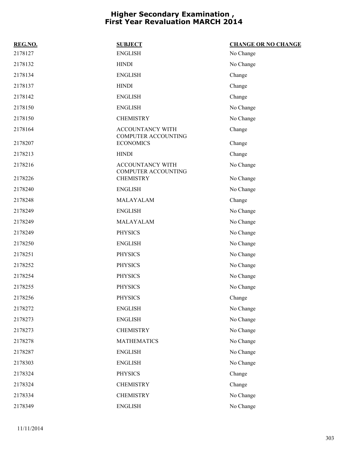| REG.NO. | <b>SUBJECT</b>                                 | <b>CHANGE OR NO CHANGE</b> |
|---------|------------------------------------------------|----------------------------|
| 2178127 | <b>ENGLISH</b>                                 | No Change                  |
| 2178132 | <b>HINDI</b>                                   | No Change                  |
| 2178134 | <b>ENGLISH</b>                                 | Change                     |
| 2178137 | <b>HINDI</b>                                   | Change                     |
| 2178142 | <b>ENGLISH</b>                                 | Change                     |
| 2178150 | <b>ENGLISH</b>                                 | No Change                  |
| 2178150 | <b>CHEMISTRY</b>                               | No Change                  |
| 2178164 | ACCOUNTANCY WITH<br><b>COMPUTER ACCOUNTING</b> | Change                     |
| 2178207 | <b>ECONOMICS</b>                               | Change                     |
| 2178213 | <b>HINDI</b>                                   | Change                     |
| 2178216 | ACCOUNTANCY WITH<br><b>COMPUTER ACCOUNTING</b> | No Change                  |
| 2178226 | <b>CHEMISTRY</b>                               | No Change                  |
| 2178240 | <b>ENGLISH</b>                                 | No Change                  |
| 2178248 | MALAYALAM                                      | Change                     |
| 2178249 | <b>ENGLISH</b>                                 | No Change                  |
| 2178249 | MALAYALAM                                      | No Change                  |
| 2178249 | <b>PHYSICS</b>                                 | No Change                  |
| 2178250 | <b>ENGLISH</b>                                 | No Change                  |
| 2178251 | <b>PHYSICS</b>                                 | No Change                  |
| 2178252 | <b>PHYSICS</b>                                 | No Change                  |
| 2178254 | <b>PHYSICS</b>                                 | No Change                  |
| 2178255 | <b>PHYSICS</b>                                 | No Change                  |
| 2178256 | <b>PHYSICS</b>                                 | Change                     |
| 2178272 | <b>ENGLISH</b>                                 | No Change                  |
| 2178273 | <b>ENGLISH</b>                                 | No Change                  |
| 2178273 | <b>CHEMISTRY</b>                               | No Change                  |
| 2178278 | <b>MATHEMATICS</b>                             | No Change                  |
| 2178287 | <b>ENGLISH</b>                                 | No Change                  |
| 2178303 | <b>ENGLISH</b>                                 | No Change                  |
| 2178324 | <b>PHYSICS</b>                                 | Change                     |
| 2178324 | <b>CHEMISTRY</b>                               | Change                     |
| 2178334 | <b>CHEMISTRY</b>                               | No Change                  |
| 2178349 | <b>ENGLISH</b>                                 | No Change                  |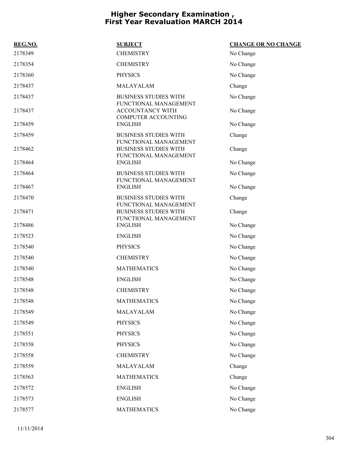| REG.NO. | <b>SUBJECT</b>                                                                 | <b>CHANGE OR NO CHANGE</b> |
|---------|--------------------------------------------------------------------------------|----------------------------|
| 2178349 | <b>CHEMISTRY</b>                                                               | No Change                  |
| 2178354 | <b>CHEMISTRY</b>                                                               | No Change                  |
| 2178360 | <b>PHYSICS</b>                                                                 | No Change                  |
| 2178437 | MALAYALAM                                                                      | Change                     |
| 2178437 | <b>BUSINESS STUDIES WITH</b>                                                   | No Change                  |
| 2178437 | FUNCTIONAL MANAGEMENT<br>ACCOUNTANCY WITH<br><b>COMPUTER ACCOUNTING</b>        | No Change                  |
| 2178459 | <b>ENGLISH</b>                                                                 | No Change                  |
| 2178459 | <b>BUSINESS STUDIES WITH</b>                                                   | Change                     |
| 2178462 | FUNCTIONAL MANAGEMENT<br><b>BUSINESS STUDIES WITH</b><br>FUNCTIONAL MANAGEMENT | Change                     |
| 2178464 | <b>ENGLISH</b>                                                                 | No Change                  |
| 2178464 | <b>BUSINESS STUDIES WITH</b>                                                   | No Change                  |
| 2178467 | FUNCTIONAL MANAGEMENT<br><b>ENGLISH</b>                                        | No Change                  |
| 2178470 | <b>BUSINESS STUDIES WITH</b>                                                   | Change                     |
| 2178471 | FUNCTIONAL MANAGEMENT<br><b>BUSINESS STUDIES WITH</b><br>FUNCTIONAL MANAGEMENT | Change                     |
| 2178486 | <b>ENGLISH</b>                                                                 | No Change                  |
| 2178523 | <b>ENGLISH</b>                                                                 | No Change                  |
| 2178540 | <b>PHYSICS</b>                                                                 | No Change                  |
| 2178540 | <b>CHEMISTRY</b>                                                               | No Change                  |
| 2178540 | <b>MATHEMATICS</b>                                                             | No Change                  |
| 2178548 | <b>ENGLISH</b>                                                                 | No Change                  |
| 2178548 | <b>CHEMISTRY</b>                                                               | No Change                  |
| 2178548 | <b>MATHEMATICS</b>                                                             | No Change                  |
| 2178549 | MALAYALAM                                                                      | No Change                  |
| 2178549 | <b>PHYSICS</b>                                                                 | No Change                  |
| 2178551 | <b>PHYSICS</b>                                                                 | No Change                  |
| 2178558 | <b>PHYSICS</b>                                                                 | No Change                  |
| 2178558 | <b>CHEMISTRY</b>                                                               | No Change                  |
| 2178559 | MALAYALAM                                                                      | Change                     |
| 2178563 | <b>MATHEMATICS</b>                                                             | Change                     |
| 2178572 | <b>ENGLISH</b>                                                                 | No Change                  |
| 2178573 | <b>ENGLISH</b>                                                                 | No Change                  |
| 2178577 | <b>MATHEMATICS</b>                                                             | No Change                  |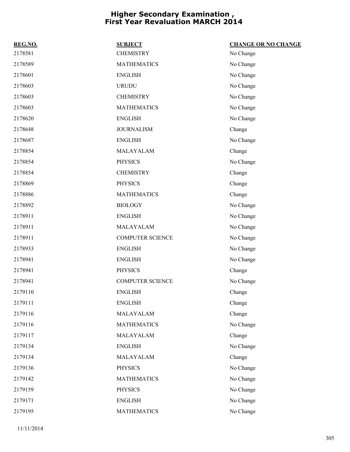| REG.NO. | <b>SUBJECT</b>          | <b>CHANGE OR NO CHANGE</b> |
|---------|-------------------------|----------------------------|
| 2178581 | <b>CHEMISTRY</b>        | No Change                  |
| 2178589 | <b>MATHEMATICS</b>      | No Change                  |
| 2178601 | <b>ENGLISH</b>          | No Change                  |
| 2178603 | <b>URUDU</b>            | No Change                  |
| 2178603 | <b>CHEMISTRY</b>        | No Change                  |
| 2178603 | <b>MATHEMATICS</b>      | No Change                  |
| 2178620 | <b>ENGLISH</b>          | No Change                  |
| 2178648 | <b>JOURNALISM</b>       | Change                     |
| 2178687 | <b>ENGLISH</b>          | No Change                  |
| 2178854 | MALAYALAM               | Change                     |
| 2178854 | <b>PHYSICS</b>          | No Change                  |
| 2178854 | <b>CHEMISTRY</b>        | Change                     |
| 2178869 | <b>PHYSICS</b>          | Change                     |
| 2178886 | <b>MATHEMATICS</b>      | Change                     |
| 2178892 | <b>BIOLOGY</b>          | No Change                  |
| 2178911 | <b>ENGLISH</b>          | No Change                  |
| 2178911 | MALAYALAM               | No Change                  |
| 2178911 | <b>COMPUTER SCIENCE</b> | No Change                  |
| 2178933 | <b>ENGLISH</b>          | No Change                  |
| 2178941 | <b>ENGLISH</b>          | No Change                  |
| 2178941 | <b>PHYSICS</b>          | Change                     |
| 2178941 | <b>COMPUTER SCIENCE</b> | No Change                  |
| 2179110 | <b>ENGLISH</b>          | Change                     |
| 2179111 | <b>ENGLISH</b>          | Change                     |
| 2179116 | MALAYALAM               | Change                     |
| 2179116 | <b>MATHEMATICS</b>      | No Change                  |
| 2179117 | MALAYALAM               | Change                     |
| 2179134 | <b>ENGLISH</b>          | No Change                  |
| 2179134 | MALAYALAM               | Change                     |
| 2179136 | <b>PHYSICS</b>          | No Change                  |
| 2179142 | <b>MATHEMATICS</b>      | No Change                  |
| 2179159 | <b>PHYSICS</b>          | No Change                  |
| 2179171 | <b>ENGLISH</b>          | No Change                  |
| 2179195 | <b>MATHEMATICS</b>      | No Change                  |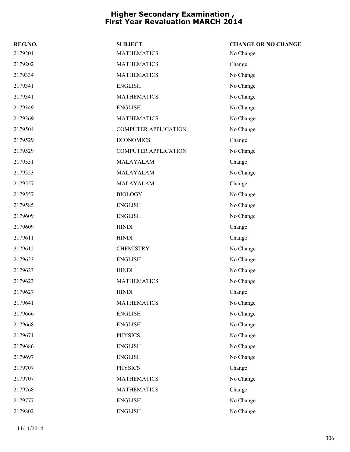| REG.NO. | <b>SUBJECT</b>              | <b>CHANGE OR NO CHANGE</b> |
|---------|-----------------------------|----------------------------|
| 2179201 | <b>MATHEMATICS</b>          | No Change                  |
| 2179202 | <b>MATHEMATICS</b>          | Change                     |
| 2179334 | <b>MATHEMATICS</b>          | No Change                  |
| 2179341 | <b>ENGLISH</b>              | No Change                  |
| 2179341 | <b>MATHEMATICS</b>          | No Change                  |
| 2179349 | <b>ENGLISH</b>              | No Change                  |
| 2179369 | <b>MATHEMATICS</b>          | No Change                  |
| 2179504 | <b>COMPUTER APPLICATION</b> | No Change                  |
| 2179529 | <b>ECONOMICS</b>            | Change                     |
| 2179529 | <b>COMPUTER APPLICATION</b> | No Change                  |
| 2179551 | MALAYALAM                   | Change                     |
| 2179553 | MALAYALAM                   | No Change                  |
| 2179557 | MALAYALAM                   | Change                     |
| 2179557 | <b>BIOLOGY</b>              | No Change                  |
| 2179585 | <b>ENGLISH</b>              | No Change                  |
| 2179609 | <b>ENGLISH</b>              | No Change                  |
| 2179609 | <b>HINDI</b>                | Change                     |
| 2179611 | <b>HINDI</b>                | Change                     |
| 2179612 | <b>CHEMISTRY</b>            | No Change                  |
| 2179623 | <b>ENGLISH</b>              | No Change                  |
| 2179623 | <b>HINDI</b>                | No Change                  |
| 2179623 | <b>MATHEMATICS</b>          | No Change                  |
| 2179627 | <b>HINDI</b>                | Change                     |
| 2179641 | <b>MATHEMATICS</b>          | No Change                  |
| 2179666 | <b>ENGLISH</b>              | No Change                  |
| 2179668 | <b>ENGLISH</b>              | No Change                  |
| 2179671 | <b>PHYSICS</b>              | No Change                  |
| 2179686 | <b>ENGLISH</b>              | No Change                  |
| 2179697 | <b>ENGLISH</b>              | No Change                  |
| 2179707 | <b>PHYSICS</b>              | Change                     |
| 2179707 | <b>MATHEMATICS</b>          | No Change                  |
| 2179768 | <b>MATHEMATICS</b>          | Change                     |
| 2179777 | <b>ENGLISH</b>              | No Change                  |
| 2179802 | <b>ENGLISH</b>              | No Change                  |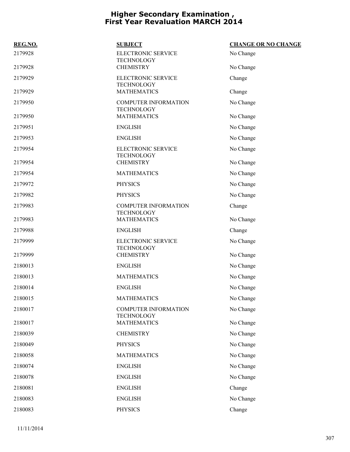| REG.NO. | <b>SUBJECT</b>                                   | <b>CHANGE OR NO CHANGE</b> |
|---------|--------------------------------------------------|----------------------------|
| 2179928 | ELECTRONIC SERVICE<br><b>TECHNOLOGY</b>          | No Change                  |
| 2179928 | <b>CHEMISTRY</b>                                 | No Change                  |
| 2179929 | ELECTRONIC SERVICE<br><b>TECHNOLOGY</b>          | Change                     |
| 2179929 | <b>MATHEMATICS</b>                               | Change                     |
| 2179950 | <b>COMPUTER INFORMATION</b><br><b>TECHNOLOGY</b> | No Change                  |
| 2179950 | <b>MATHEMATICS</b>                               | No Change                  |
| 2179951 | <b>ENGLISH</b>                                   | No Change                  |
| 2179953 | <b>ENGLISH</b>                                   | No Change                  |
| 2179954 | ELECTRONIC SERVICE<br><b>TECHNOLOGY</b>          | No Change                  |
| 2179954 | <b>CHEMISTRY</b>                                 | No Change                  |
| 2179954 | <b>MATHEMATICS</b>                               | No Change                  |
| 2179972 | <b>PHYSICS</b>                                   | No Change                  |
| 2179982 | <b>PHYSICS</b>                                   | No Change                  |
| 2179983 | <b>COMPUTER INFORMATION</b><br><b>TECHNOLOGY</b> | Change                     |
| 2179983 | <b>MATHEMATICS</b>                               | No Change                  |
| 2179988 | <b>ENGLISH</b>                                   | Change                     |
| 2179999 | ELECTRONIC SERVICE<br><b>TECHNOLOGY</b>          | No Change                  |
| 2179999 | <b>CHEMISTRY</b>                                 | No Change                  |
| 2180013 | <b>ENGLISH</b>                                   | No Change                  |
| 2180013 | <b>MATHEMATICS</b>                               | No Change                  |
| 2180014 | <b>ENGLISH</b>                                   | No Change                  |
| 2180015 | <b>MATHEMATICS</b>                               | No Change                  |
| 2180017 | <b>COMPUTER INFORMATION</b><br><b>TECHNOLOGY</b> | No Change                  |
| 2180017 | <b>MATHEMATICS</b>                               | No Change                  |
| 2180039 | <b>CHEMISTRY</b>                                 | No Change                  |
| 2180049 | <b>PHYSICS</b>                                   | No Change                  |
| 2180058 | <b>MATHEMATICS</b>                               | No Change                  |
| 2180074 | <b>ENGLISH</b>                                   | No Change                  |
| 2180078 | <b>ENGLISH</b>                                   | No Change                  |
| 2180081 | <b>ENGLISH</b>                                   | Change                     |
| 2180083 | <b>ENGLISH</b>                                   | No Change                  |
| 2180083 | <b>PHYSICS</b>                                   | Change                     |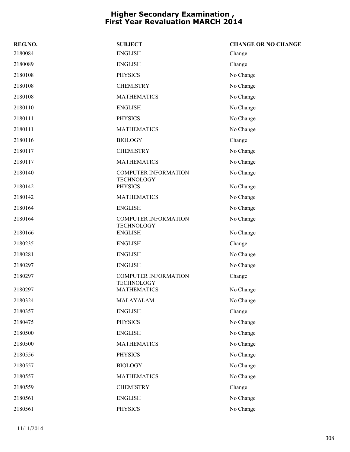| REG.NO. | <b>SUBJECT</b>                          | <b>CHANGE OR NO CHANGE</b> |
|---------|-----------------------------------------|----------------------------|
| 2180084 | <b>ENGLISH</b>                          | Change                     |
| 2180089 | <b>ENGLISH</b>                          | Change                     |
| 2180108 | <b>PHYSICS</b>                          | No Change                  |
| 2180108 | <b>CHEMISTRY</b>                        | No Change                  |
| 2180108 | <b>MATHEMATICS</b>                      | No Change                  |
| 2180110 | <b>ENGLISH</b>                          | No Change                  |
| 2180111 | <b>PHYSICS</b>                          | No Change                  |
| 2180111 | <b>MATHEMATICS</b>                      | No Change                  |
| 2180116 | <b>BIOLOGY</b>                          | Change                     |
| 2180117 | <b>CHEMISTRY</b>                        | No Change                  |
| 2180117 | <b>MATHEMATICS</b>                      | No Change                  |
| 2180140 | <b>COMPUTER INFORMATION</b>             | No Change                  |
| 2180142 | <b>TECHNOLOGY</b><br><b>PHYSICS</b>     | No Change                  |
| 2180142 | <b>MATHEMATICS</b>                      | No Change                  |
| 2180164 | <b>ENGLISH</b>                          | No Change                  |
| 2180164 | <b>COMPUTER INFORMATION</b>             | No Change                  |
| 2180166 | <b>TECHNOLOGY</b><br><b>ENGLISH</b>     | No Change                  |
| 2180235 | <b>ENGLISH</b>                          | Change                     |
| 2180281 | <b>ENGLISH</b>                          | No Change                  |
| 2180297 | <b>ENGLISH</b>                          | No Change                  |
| 2180297 | COMPUTER INFORMATION                    | Change                     |
| 2180297 | <b>TECHNOLOGY</b><br><b>MATHEMATICS</b> | No Change                  |
| 2180324 | MALAYALAM                               | No Change                  |
| 2180357 | <b>ENGLISH</b>                          | Change                     |
| 2180475 | <b>PHYSICS</b>                          | No Change                  |
| 2180500 | <b>ENGLISH</b>                          | No Change                  |
| 2180500 | <b>MATHEMATICS</b>                      | No Change                  |
| 2180556 | <b>PHYSICS</b>                          | No Change                  |
| 2180557 | <b>BIOLOGY</b>                          | No Change                  |
| 2180557 | <b>MATHEMATICS</b>                      | No Change                  |
| 2180559 | <b>CHEMISTRY</b>                        | Change                     |
| 2180561 | <b>ENGLISH</b>                          | No Change                  |
| 2180561 | PHYSICS                                 | No Change                  |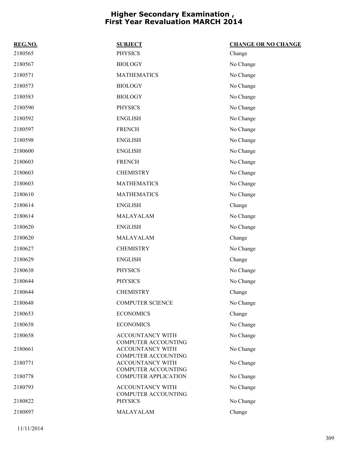| REG.NO. | <b>SUBJECT</b>                                        | <b>CHANGE OR NO CHANGE</b> |
|---------|-------------------------------------------------------|----------------------------|
| 2180565 | <b>PHYSICS</b>                                        | Change                     |
| 2180567 | <b>BIOLOGY</b>                                        | No Change                  |
| 2180571 | <b>MATHEMATICS</b>                                    | No Change                  |
| 2180573 | <b>BIOLOGY</b>                                        | No Change                  |
| 2180583 | <b>BIOLOGY</b>                                        | No Change                  |
| 2180590 | <b>PHYSICS</b>                                        | No Change                  |
| 2180592 | <b>ENGLISH</b>                                        | No Change                  |
| 2180597 | <b>FRENCH</b>                                         | No Change                  |
| 2180598 | <b>ENGLISH</b>                                        | No Change                  |
| 2180600 | <b>ENGLISH</b>                                        | No Change                  |
| 2180603 | <b>FRENCH</b>                                         | No Change                  |
| 2180603 | <b>CHEMISTRY</b>                                      | No Change                  |
| 2180603 | <b>MATHEMATICS</b>                                    | No Change                  |
| 2180610 | <b>MATHEMATICS</b>                                    | No Change                  |
| 2180614 | <b>ENGLISH</b>                                        | Change                     |
| 2180614 | MALAYALAM                                             | No Change                  |
| 2180620 | <b>ENGLISH</b>                                        | No Change                  |
| 2180620 | MALAYALAM                                             | Change                     |
| 2180627 | <b>CHEMISTRY</b>                                      | No Change                  |
| 2180629 | <b>ENGLISH</b>                                        | Change                     |
| 2180638 | <b>PHYSICS</b>                                        | No Change                  |
| 2180644 | <b>PHYSICS</b>                                        | No Change                  |
| 2180644 | <b>CHEMISTRY</b>                                      | Change                     |
| 2180648 | <b>COMPUTER SCIENCE</b>                               | No Change                  |
| 2180653 | <b>ECONOMICS</b>                                      | Change                     |
| 2180658 | <b>ECONOMICS</b>                                      | No Change                  |
| 2180658 | ACCOUNTANCY WITH<br><b>COMPUTER ACCOUNTING</b>        | No Change                  |
| 2180661 | <b>ACCOUNTANCY WITH</b><br><b>COMPUTER ACCOUNTING</b> | No Change                  |
| 2180771 | <b>ACCOUNTANCY WITH</b><br><b>COMPUTER ACCOUNTING</b> | No Change                  |
| 2180778 | <b>COMPUTER APPLICATION</b>                           | No Change                  |
| 2180793 | ACCOUNTANCY WITH                                      | No Change                  |
| 2180822 | COMPUTER ACCOUNTING<br><b>PHYSICS</b>                 | No Change                  |
| 2180897 | MALAYALAM                                             | Change                     |

11/11/2014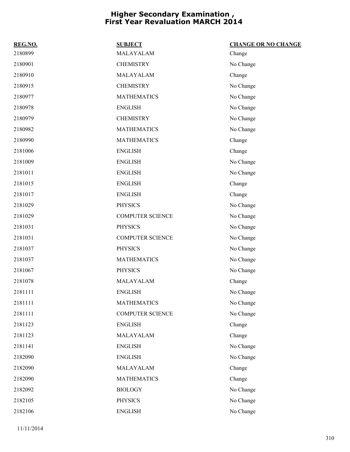| REG.NO. | <b>SUBJECT</b>          | <b>CHANGE OR NO CHANGE</b> |
|---------|-------------------------|----------------------------|
| 2180899 | MALAYALAM               | Change                     |
| 2180901 | <b>CHEMISTRY</b>        | No Change                  |
| 2180910 | MALAYALAM               | Change                     |
| 2180915 | <b>CHEMISTRY</b>        | No Change                  |
| 2180977 | <b>MATHEMATICS</b>      | No Change                  |
| 2180978 | <b>ENGLISH</b>          | No Change                  |
| 2180979 | <b>CHEMISTRY</b>        | No Change                  |
| 2180982 | <b>MATHEMATICS</b>      | No Change                  |
| 2180990 | <b>MATHEMATICS</b>      | Change                     |
| 2181006 | <b>ENGLISH</b>          | Change                     |
| 2181009 | <b>ENGLISH</b>          | No Change                  |
| 2181011 | <b>ENGLISH</b>          | No Change                  |
| 2181015 | <b>ENGLISH</b>          | Change                     |
| 2181017 | <b>ENGLISH</b>          | Change                     |
| 2181029 | <b>PHYSICS</b>          | No Change                  |
| 2181029 | <b>COMPUTER SCIENCE</b> | No Change                  |
| 2181031 | <b>PHYSICS</b>          | No Change                  |
| 2181031 | <b>COMPUTER SCIENCE</b> | No Change                  |
| 2181037 | <b>PHYSICS</b>          | No Change                  |
| 2181037 | <b>MATHEMATICS</b>      | No Change                  |
| 2181067 | <b>PHYSICS</b>          | No Change                  |
| 2181078 | MALAYALAM               | Change                     |
| 2181111 | <b>ENGLISH</b>          | No Change                  |
| 2181111 | <b>MATHEMATICS</b>      | No Change                  |
| 2181111 | <b>COMPUTER SCIENCE</b> | No Change                  |
| 2181123 | <b>ENGLISH</b>          | Change                     |
| 2181123 | MALAYALAM               | Change                     |
| 2181141 | <b>ENGLISH</b>          | No Change                  |
| 2182090 | <b>ENGLISH</b>          | No Change                  |
| 2182090 | MALAYALAM               | Change                     |
| 2182090 | <b>MATHEMATICS</b>      | Change                     |
| 2182092 | <b>BIOLOGY</b>          | No Change                  |
| 2182105 | PHYSICS                 | No Change                  |
| 2182106 | <b>ENGLISH</b>          | No Change                  |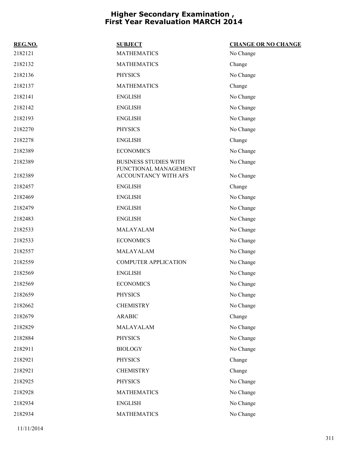| REG.NO. | <b>SUBJECT</b>                                | <b>CHANGE OR NO CHANGE</b> |
|---------|-----------------------------------------------|----------------------------|
| 2182121 | <b>MATHEMATICS</b>                            | No Change                  |
| 2182132 | <b>MATHEMATICS</b>                            | Change                     |
| 2182136 | <b>PHYSICS</b>                                | No Change                  |
| 2182137 | <b>MATHEMATICS</b>                            | Change                     |
| 2182141 | <b>ENGLISH</b>                                | No Change                  |
| 2182142 | <b>ENGLISH</b>                                | No Change                  |
| 2182193 | <b>ENGLISH</b>                                | No Change                  |
| 2182270 | <b>PHYSICS</b>                                | No Change                  |
| 2182278 | <b>ENGLISH</b>                                | Change                     |
| 2182389 | <b>ECONOMICS</b>                              | No Change                  |
| 2182389 | <b>BUSINESS STUDIES WITH</b>                  | No Change                  |
| 2182389 | FUNCTIONAL MANAGEMENT<br>ACCOUNTANCY WITH AFS | No Change                  |
| 2182457 | <b>ENGLISH</b>                                | Change                     |
| 2182469 | <b>ENGLISH</b>                                | No Change                  |
| 2182479 | <b>ENGLISH</b>                                | No Change                  |
| 2182483 | <b>ENGLISH</b>                                | No Change                  |
| 2182533 | MALAYALAM                                     | No Change                  |
| 2182533 | <b>ECONOMICS</b>                              | No Change                  |
| 2182557 | MALAYALAM                                     | No Change                  |
| 2182559 | <b>COMPUTER APPLICATION</b>                   | No Change                  |
| 2182569 | <b>ENGLISH</b>                                | No Change                  |
| 2182569 | <b>ECONOMICS</b>                              | No Change                  |
| 2182659 | <b>PHYSICS</b>                                | No Change                  |
| 2182662 | <b>CHEMISTRY</b>                              | No Change                  |
| 2182679 | <b>ARABIC</b>                                 | Change                     |
| 2182829 | MALAYALAM                                     | No Change                  |
| 2182884 | <b>PHYSICS</b>                                | No Change                  |
| 2182911 | <b>BIOLOGY</b>                                | No Change                  |
| 2182921 | <b>PHYSICS</b>                                | Change                     |
| 2182921 | <b>CHEMISTRY</b>                              | Change                     |
| 2182925 | <b>PHYSICS</b>                                | No Change                  |
| 2182928 | <b>MATHEMATICS</b>                            | No Change                  |
| 2182934 | <b>ENGLISH</b>                                | No Change                  |
| 2182934 | <b>MATHEMATICS</b>                            | No Change                  |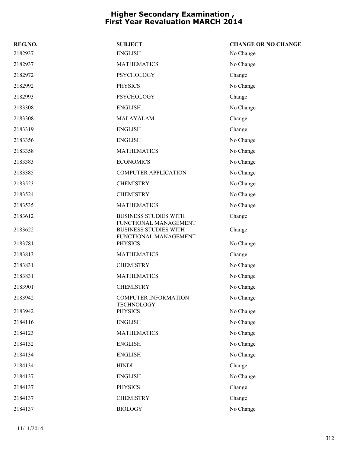| REG.NO. | <b>SUBJECT</b>                                        | <b>CHANGE OR NO CHANGE</b> |
|---------|-------------------------------------------------------|----------------------------|
| 2182937 | <b>ENGLISH</b>                                        | No Change                  |
| 2182937 | <b>MATHEMATICS</b>                                    | No Change                  |
| 2182972 | <b>PSYCHOLOGY</b>                                     | Change                     |
| 2182992 | <b>PHYSICS</b>                                        | No Change                  |
| 2182993 | <b>PSYCHOLOGY</b>                                     | Change                     |
| 2183308 | <b>ENGLISH</b>                                        | No Change                  |
| 2183308 | MALAYALAM                                             | Change                     |
| 2183319 | <b>ENGLISH</b>                                        | Change                     |
| 2183356 | <b>ENGLISH</b>                                        | No Change                  |
| 2183358 | <b>MATHEMATICS</b>                                    | No Change                  |
| 2183383 | <b>ECONOMICS</b>                                      | No Change                  |
| 2183385 | <b>COMPUTER APPLICATION</b>                           | No Change                  |
| 2183523 | <b>CHEMISTRY</b>                                      | No Change                  |
| 2183524 | <b>CHEMISTRY</b>                                      | No Change                  |
| 2183535 | <b>MATHEMATICS</b>                                    | No Change                  |
| 2183612 | <b>BUSINESS STUDIES WITH</b><br>FUNCTIONAL MANAGEMENT | Change                     |
| 2183622 | <b>BUSINESS STUDIES WITH</b><br>FUNCTIONAL MANAGEMENT | Change                     |
| 2183781 | <b>PHYSICS</b>                                        | No Change                  |
| 2183813 | <b>MATHEMATICS</b>                                    | Change                     |
| 2183831 | <b>CHEMISTRY</b>                                      | No Change                  |
| 2183831 | <b>MATHEMATICS</b>                                    | No Change                  |
| 2183901 | <b>CHEMISTRY</b>                                      | No Change                  |
| 2183942 | COMPUTER INFORMATION<br><b>TECHNOLOGY</b>             | No Change                  |
| 2183942 | <b>PHYSICS</b>                                        | No Change                  |
| 2184116 | <b>ENGLISH</b>                                        | No Change                  |
| 2184123 | <b>MATHEMATICS</b>                                    | No Change                  |
| 2184132 | <b>ENGLISH</b>                                        | No Change                  |
| 2184134 | <b>ENGLISH</b>                                        | No Change                  |
| 2184134 | <b>HINDI</b>                                          | Change                     |
| 2184137 | <b>ENGLISH</b>                                        | No Change                  |
| 2184137 | <b>PHYSICS</b>                                        | Change                     |
| 2184137 | <b>CHEMISTRY</b>                                      | Change                     |
| 2184137 | <b>BIOLOGY</b>                                        | No Change                  |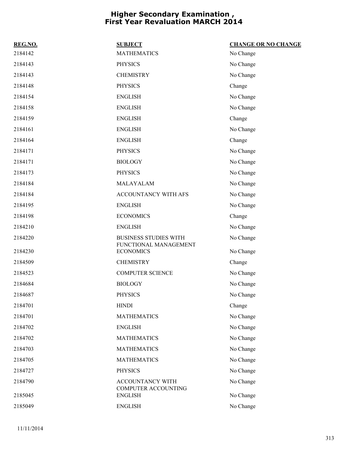| REG.NO. | <b>SUBJECT</b>                            | <b>CHANGE OR NO CHANGE</b> |
|---------|-------------------------------------------|----------------------------|
| 2184142 | <b>MATHEMATICS</b>                        | No Change                  |
| 2184143 | <b>PHYSICS</b>                            | No Change                  |
| 2184143 | <b>CHEMISTRY</b>                          | No Change                  |
| 2184148 | <b>PHYSICS</b>                            | Change                     |
| 2184154 | <b>ENGLISH</b>                            | No Change                  |
| 2184158 | <b>ENGLISH</b>                            | No Change                  |
| 2184159 | <b>ENGLISH</b>                            | Change                     |
| 2184161 | <b>ENGLISH</b>                            | No Change                  |
| 2184164 | <b>ENGLISH</b>                            | Change                     |
| 2184171 | <b>PHYSICS</b>                            | No Change                  |
| 2184171 | <b>BIOLOGY</b>                            | No Change                  |
| 2184173 | <b>PHYSICS</b>                            | No Change                  |
| 2184184 | MALAYALAM                                 | No Change                  |
| 2184184 | ACCOUNTANCY WITH AFS                      | No Change                  |
| 2184195 | <b>ENGLISH</b>                            | No Change                  |
| 2184198 | <b>ECONOMICS</b>                          | Change                     |
| 2184210 | <b>ENGLISH</b>                            | No Change                  |
| 2184220 | <b>BUSINESS STUDIES WITH</b>              | No Change                  |
| 2184230 | FUNCTIONAL MANAGEMENT<br><b>ECONOMICS</b> | No Change                  |
| 2184509 | <b>CHEMISTRY</b>                          | Change                     |
| 2184523 | <b>COMPUTER SCIENCE</b>                   | No Change                  |
| 2184684 | <b>BIOLOGY</b>                            | No Change                  |
| 2184687 | <b>PHYSICS</b>                            | No Change                  |
| 2184701 | <b>HINDI</b>                              | Change                     |
| 2184701 | <b>MATHEMATICS</b>                        | No Change                  |
| 2184702 | <b>ENGLISH</b>                            | No Change                  |
| 2184702 | <b>MATHEMATICS</b>                        | No Change                  |
| 2184703 | <b>MATHEMATICS</b>                        | No Change                  |
| 2184705 | <b>MATHEMATICS</b>                        | No Change                  |
| 2184727 | <b>PHYSICS</b>                            | No Change                  |
| 2184790 | ACCOUNTANCY WITH                          | No Change                  |
| 2185045 | COMPUTER ACCOUNTING<br><b>ENGLISH</b>     | No Change                  |
| 2185049 | <b>ENGLISH</b>                            | No Change                  |
|         |                                           |                            |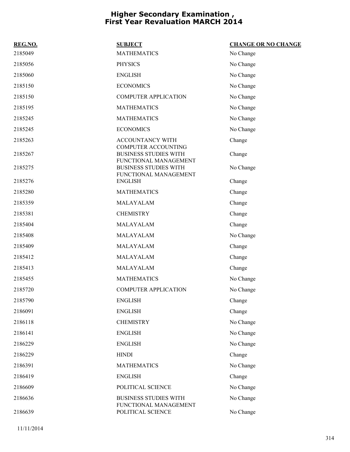| REG.NO. | <b>SUBJECT</b>                                                                      | <b>CHANGE OR NO CHANGE</b> |
|---------|-------------------------------------------------------------------------------------|----------------------------|
| 2185049 | <b>MATHEMATICS</b>                                                                  | No Change                  |
| 2185056 | <b>PHYSICS</b>                                                                      | No Change                  |
| 2185060 | <b>ENGLISH</b>                                                                      | No Change                  |
| 2185150 | <b>ECONOMICS</b>                                                                    | No Change                  |
| 2185150 | <b>COMPUTER APPLICATION</b>                                                         | No Change                  |
| 2185195 | <b>MATHEMATICS</b>                                                                  | No Change                  |
| 2185245 | <b>MATHEMATICS</b>                                                                  | No Change                  |
| 2185245 | <b>ECONOMICS</b>                                                                    | No Change                  |
| 2185263 | ACCOUNTANCY WITH                                                                    | Change                     |
| 2185267 | <b>COMPUTER ACCOUNTING</b><br><b>BUSINESS STUDIES WITH</b><br>FUNCTIONAL MANAGEMENT | Change                     |
| 2185275 | <b>BUSINESS STUDIES WITH</b><br>FUNCTIONAL MANAGEMENT                               | No Change                  |
| 2185276 | <b>ENGLISH</b>                                                                      | Change                     |
| 2185280 | <b>MATHEMATICS</b>                                                                  | Change                     |
| 2185359 | MALAYALAM                                                                           | Change                     |
| 2185381 | <b>CHEMISTRY</b>                                                                    | Change                     |
| 2185404 | MALAYALAM                                                                           | Change                     |
| 2185408 | MALAYALAM                                                                           | No Change                  |
| 2185409 | MALAYALAM                                                                           | Change                     |
| 2185412 | MALAYALAM                                                                           | Change                     |
| 2185413 | MALAYALAM                                                                           | Change                     |
| 2185455 | <b>MATHEMATICS</b>                                                                  | No Change                  |
| 2185720 | <b>COMPUTER APPLICATION</b>                                                         | No Change                  |
| 2185790 | <b>ENGLISH</b>                                                                      | Change                     |
| 2186091 | <b>ENGLISH</b>                                                                      | Change                     |
| 2186118 | <b>CHEMISTRY</b>                                                                    | No Change                  |
| 2186141 | <b>ENGLISH</b>                                                                      | No Change                  |
| 2186229 | <b>ENGLISH</b>                                                                      | No Change                  |
| 2186229 | <b>HINDI</b>                                                                        | Change                     |
| 2186391 | <b>MATHEMATICS</b>                                                                  | No Change                  |
| 2186419 | <b>ENGLISH</b>                                                                      | Change                     |
| 2186609 | POLITICAL SCIENCE                                                                   | No Change                  |
| 2186636 | <b>BUSINESS STUDIES WITH</b><br>FUNCTIONAL MANAGEMENT                               | No Change                  |
| 2186639 | POLITICAL SCIENCE                                                                   | No Change                  |

11/11/2014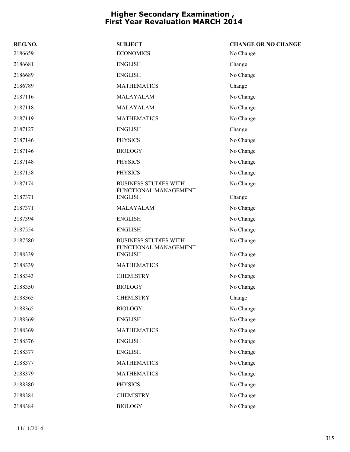| REG.NO. | <b>SUBJECT</b>                                        | <b>CHANGE OR NO CHANGE</b> |
|---------|-------------------------------------------------------|----------------------------|
| 2186659 | <b>ECONOMICS</b>                                      | No Change                  |
| 2186681 | <b>ENGLISH</b>                                        | Change                     |
| 2186689 | <b>ENGLISH</b>                                        | No Change                  |
| 2186789 | <b>MATHEMATICS</b>                                    | Change                     |
| 2187116 | MALAYALAM                                             | No Change                  |
| 2187118 | MALAYALAM                                             | No Change                  |
| 2187119 | <b>MATHEMATICS</b>                                    | No Change                  |
| 2187127 | <b>ENGLISH</b>                                        | Change                     |
| 2187146 | <b>PHYSICS</b>                                        | No Change                  |
| 2187146 | <b>BIOLOGY</b>                                        | No Change                  |
| 2187148 | <b>PHYSICS</b>                                        | No Change                  |
| 2187158 | <b>PHYSICS</b>                                        | No Change                  |
| 2187174 | <b>BUSINESS STUDIES WITH</b><br>FUNCTIONAL MANAGEMENT | No Change                  |
| 2187371 | <b>ENGLISH</b>                                        | Change                     |
| 2187371 | MALAYALAM                                             | No Change                  |
| 2187394 | <b>ENGLISH</b>                                        | No Change                  |
| 2187554 | <b>ENGLISH</b>                                        | No Change                  |
| 2187580 | <b>BUSINESS STUDIES WITH</b><br>FUNCTIONAL MANAGEMENT | No Change                  |
| 2188339 | <b>ENGLISH</b>                                        | No Change                  |
| 2188339 | <b>MATHEMATICS</b>                                    | No Change                  |
| 2188343 | <b>CHEMISTRY</b>                                      | No Change                  |
| 2188350 | <b>BIOLOGY</b>                                        | No Change                  |
| 2188365 | <b>CHEMISTRY</b>                                      | Change                     |
| 2188365 | <b>BIOLOGY</b>                                        | No Change                  |
| 2188369 | <b>ENGLISH</b>                                        | No Change                  |
| 2188369 | <b>MATHEMATICS</b>                                    | No Change                  |
| 2188376 | <b>ENGLISH</b>                                        | No Change                  |
| 2188377 | <b>ENGLISH</b>                                        | No Change                  |
| 2188377 | <b>MATHEMATICS</b>                                    | No Change                  |
| 2188379 | <b>MATHEMATICS</b>                                    | No Change                  |
| 2188380 | <b>PHYSICS</b>                                        | No Change                  |
| 2188384 | <b>CHEMISTRY</b>                                      | No Change                  |
| 2188384 | <b>BIOLOGY</b>                                        | No Change                  |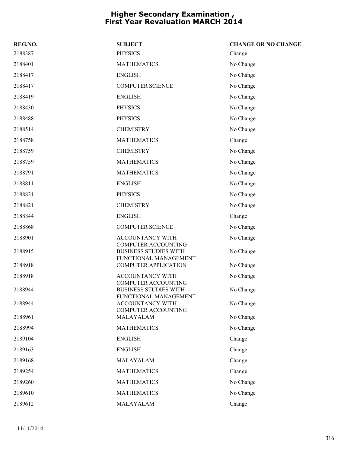| REG.NO. | <b>SUBJECT</b>                                                                      | <b>CHANGE OR NO CHANGE</b> |
|---------|-------------------------------------------------------------------------------------|----------------------------|
| 2188387 | <b>PHYSICS</b>                                                                      | Change                     |
| 2188401 | <b>MATHEMATICS</b>                                                                  | No Change                  |
| 2188417 | <b>ENGLISH</b>                                                                      | No Change                  |
| 2188417 | <b>COMPUTER SCIENCE</b>                                                             | No Change                  |
| 2188419 | <b>ENGLISH</b>                                                                      | No Change                  |
| 2188430 | <b>PHYSICS</b>                                                                      | No Change                  |
| 2188488 | <b>PHYSICS</b>                                                                      | No Change                  |
| 2188514 | <b>CHEMISTRY</b>                                                                    | No Change                  |
| 2188758 | <b>MATHEMATICS</b>                                                                  | Change                     |
| 2188759 | <b>CHEMISTRY</b>                                                                    | No Change                  |
| 2188759 | <b>MATHEMATICS</b>                                                                  | No Change                  |
| 2188791 | <b>MATHEMATICS</b>                                                                  | No Change                  |
| 2188811 | <b>ENGLISH</b>                                                                      | No Change                  |
| 2188821 | <b>PHYSICS</b>                                                                      | No Change                  |
| 2188821 | <b>CHEMISTRY</b>                                                                    | No Change                  |
| 2188844 | <b>ENGLISH</b>                                                                      | Change                     |
| 2188868 | <b>COMPUTER SCIENCE</b>                                                             | No Change                  |
| 2188901 | ACCOUNTANCY WITH                                                                    | No Change                  |
| 2188915 | <b>COMPUTER ACCOUNTING</b><br><b>BUSINESS STUDIES WITH</b><br>FUNCTIONAL MANAGEMENT | No Change                  |
| 2188918 | <b>COMPUTER APPLICATION</b>                                                         | No Change                  |
| 2188918 | ACCOUNTANCY WITH<br><b>COMPUTER ACCOUNTING</b>                                      | No Change                  |
| 2188944 | <b>BUSINESS STUDIES WITH</b><br>FUNCTIONAL MANAGEMENT                               | No Change                  |
| 2188944 | ACCOUNTANCY WITH<br><b>COMPUTER ACCOUNTING</b>                                      | No Change                  |
| 2188961 | MALAYALAM                                                                           | No Change                  |
| 2188994 | <b>MATHEMATICS</b>                                                                  | No Change                  |
| 2189104 | <b>ENGLISH</b>                                                                      | Change                     |
| 2189163 | <b>ENGLISH</b>                                                                      | Change                     |
| 2189168 | MALAYALAM                                                                           | Change                     |
| 2189254 | <b>MATHEMATICS</b>                                                                  | Change                     |
| 2189260 | <b>MATHEMATICS</b>                                                                  | No Change                  |
| 2189610 | <b>MATHEMATICS</b>                                                                  | No Change                  |
| 2189612 | MALAYALAM                                                                           | Change                     |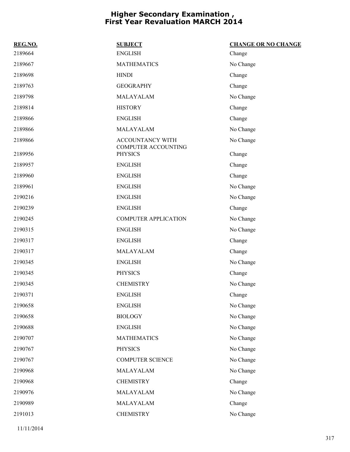| REG.NO. | <b>SUBJECT</b>                          | <b>CHANGE OR NO CHANGE</b> |
|---------|-----------------------------------------|----------------------------|
| 2189664 | <b>ENGLISH</b>                          | Change                     |
| 2189667 | <b>MATHEMATICS</b>                      | No Change                  |
| 2189698 | <b>HINDI</b>                            | Change                     |
| 2189763 | <b>GEOGRAPHY</b>                        | Change                     |
| 2189798 | MALAYALAM                               | No Change                  |
| 2189814 | <b>HISTORY</b>                          | Change                     |
| 2189866 | <b>ENGLISH</b>                          | Change                     |
| 2189866 | MALAYALAM                               | No Change                  |
| 2189866 | ACCOUNTANCY WITH<br>COMPUTER ACCOUNTING | No Change                  |
| 2189956 | <b>PHYSICS</b>                          | Change                     |
| 2189957 | <b>ENGLISH</b>                          | Change                     |
| 2189960 | <b>ENGLISH</b>                          | Change                     |
| 2189961 | <b>ENGLISH</b>                          | No Change                  |
| 2190216 | <b>ENGLISH</b>                          | No Change                  |
| 2190239 | <b>ENGLISH</b>                          | Change                     |
| 2190245 | <b>COMPUTER APPLICATION</b>             | No Change                  |
| 2190315 | <b>ENGLISH</b>                          | No Change                  |
| 2190317 | <b>ENGLISH</b>                          | Change                     |
| 2190317 | MALAYALAM                               | Change                     |
| 2190345 | <b>ENGLISH</b>                          | No Change                  |
| 2190345 | <b>PHYSICS</b>                          | Change                     |
| 2190345 | <b>CHEMISTRY</b>                        | No Change                  |
| 2190371 | <b>ENGLISH</b>                          | Change                     |
| 2190658 | <b>ENGLISH</b>                          | No Change                  |
| 2190658 | <b>BIOLOGY</b>                          | No Change                  |
| 2190688 | <b>ENGLISH</b>                          | No Change                  |
| 2190707 | <b>MATHEMATICS</b>                      | No Change                  |
| 2190767 | <b>PHYSICS</b>                          | No Change                  |
| 2190767 | <b>COMPUTER SCIENCE</b>                 | No Change                  |
| 2190968 | MALAYALAM                               | No Change                  |
| 2190968 | <b>CHEMISTRY</b>                        | Change                     |
| 2190976 | MALAYALAM                               | No Change                  |
| 2190989 | MALAYALAM                               | Change                     |
| 2191013 | <b>CHEMISTRY</b>                        | No Change                  |
|         |                                         |                            |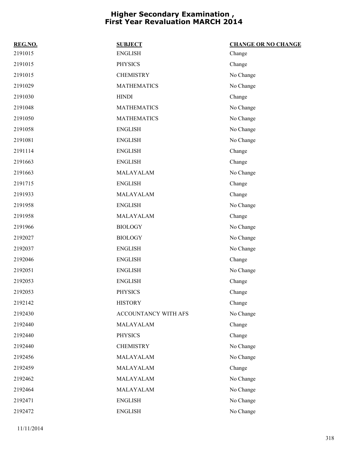| REG.NO. | <b>SUBJECT</b>       | <b>CHANGE OR NO CHANGE</b> |
|---------|----------------------|----------------------------|
| 2191015 | <b>ENGLISH</b>       | Change                     |
| 2191015 | <b>PHYSICS</b>       | Change                     |
| 2191015 | <b>CHEMISTRY</b>     | No Change                  |
| 2191029 | <b>MATHEMATICS</b>   | No Change                  |
| 2191030 | <b>HINDI</b>         | Change                     |
| 2191048 | <b>MATHEMATICS</b>   | No Change                  |
| 2191050 | <b>MATHEMATICS</b>   | No Change                  |
| 2191058 | <b>ENGLISH</b>       | No Change                  |
| 2191081 | <b>ENGLISH</b>       | No Change                  |
| 2191114 | <b>ENGLISH</b>       | Change                     |
| 2191663 | <b>ENGLISH</b>       | Change                     |
| 2191663 | MALAYALAM            | No Change                  |
| 2191715 | <b>ENGLISH</b>       | Change                     |
| 2191933 | MALAYALAM            | Change                     |
| 2191958 | <b>ENGLISH</b>       | No Change                  |
| 2191958 | MALAYALAM            | Change                     |
| 2191966 | <b>BIOLOGY</b>       | No Change                  |
| 2192027 | <b>BIOLOGY</b>       | No Change                  |
| 2192037 | <b>ENGLISH</b>       | No Change                  |
| 2192046 | <b>ENGLISH</b>       | Change                     |
| 2192051 | <b>ENGLISH</b>       | No Change                  |
| 2192053 | <b>ENGLISH</b>       | Change                     |
| 2192053 | <b>PHYSICS</b>       | Change                     |
| 2192142 | <b>HISTORY</b>       | Change                     |
| 2192430 | ACCOUNTANCY WITH AFS | No Change                  |
| 2192440 | MALAYALAM            | Change                     |
| 2192440 | <b>PHYSICS</b>       | Change                     |
| 2192440 | <b>CHEMISTRY</b>     | No Change                  |
| 2192456 | MALAYALAM            | No Change                  |
| 2192459 | MALAYALAM            | Change                     |
| 2192462 | MALAYALAM            | No Change                  |
| 2192464 | MALAYALAM            | No Change                  |
| 2192471 | <b>ENGLISH</b>       | No Change                  |
| 2192472 | <b>ENGLISH</b>       | No Change                  |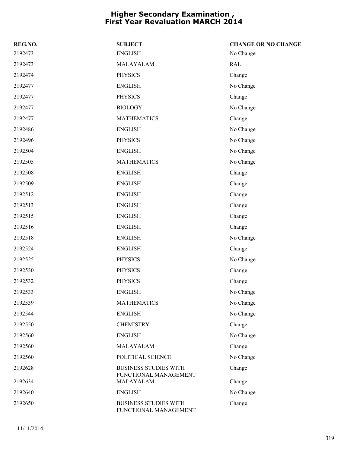| REG.NO. | <b>SUBJECT</b>                                        | <b>CHANGE OR NO CHANGE</b> |
|---------|-------------------------------------------------------|----------------------------|
| 2192473 | <b>ENGLISH</b>                                        | No Change                  |
| 2192473 | MALAYALAM                                             | <b>RAL</b>                 |
| 2192474 | <b>PHYSICS</b>                                        | Change                     |
| 2192477 | <b>ENGLISH</b>                                        | No Change                  |
| 2192477 | <b>PHYSICS</b>                                        | Change                     |
| 2192477 | <b>BIOLOGY</b>                                        | No Change                  |
| 2192477 | <b>MATHEMATICS</b>                                    | Change                     |
| 2192486 | <b>ENGLISH</b>                                        | No Change                  |
| 2192496 | <b>PHYSICS</b>                                        | No Change                  |
| 2192504 | <b>ENGLISH</b>                                        | No Change                  |
| 2192505 | <b>MATHEMATICS</b>                                    | No Change                  |
| 2192508 | <b>ENGLISH</b>                                        | Change                     |
| 2192509 | <b>ENGLISH</b>                                        | Change                     |
| 2192512 | <b>ENGLISH</b>                                        | Change                     |
| 2192513 | <b>ENGLISH</b>                                        | Change                     |
| 2192515 | <b>ENGLISH</b>                                        | Change                     |
| 2192516 | <b>ENGLISH</b>                                        | Change                     |
| 2192518 | <b>ENGLISH</b>                                        | No Change                  |
| 2192524 | <b>ENGLISH</b>                                        | Change                     |
| 2192525 | <b>PHYSICS</b>                                        | No Change                  |
| 2192530 | <b>PHYSICS</b>                                        | Change                     |
| 2192532 | <b>PHYSICS</b>                                        | Change                     |
| 2192533 | <b>ENGLISH</b>                                        | No Change                  |
| 2192539 | <b>MATHEMATICS</b>                                    | No Change                  |
| 2192544 | <b>ENGLISH</b>                                        | No Change                  |
| 2192550 | <b>CHEMISTRY</b>                                      | Change                     |
| 2192560 | <b>ENGLISH</b>                                        | No Change                  |
| 2192560 | MALAYALAM                                             | Change                     |
| 2192560 | POLITICAL SCIENCE                                     | No Change                  |
| 2192628 | <b>BUSINESS STUDIES WITH</b>                          | Change                     |
| 2192634 | FUNCTIONAL MANAGEMENT<br>MALAYALAM                    | Change                     |
| 2192640 | <b>ENGLISH</b>                                        | No Change                  |
| 2192650 | <b>BUSINESS STUDIES WITH</b><br>FUNCTIONAL MANAGEMENT | Change                     |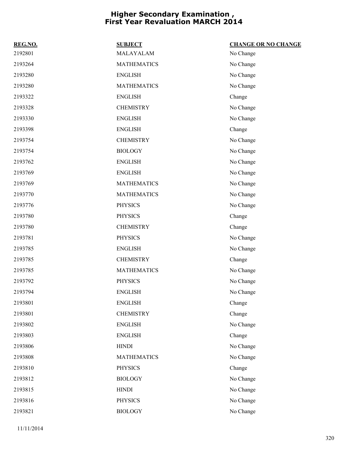| REG.NO. | <b>SUBJECT</b>     | <b>CHANGE OR NO CHANGE</b> |
|---------|--------------------|----------------------------|
| 2192801 | MALAYALAM          | No Change                  |
| 2193264 | <b>MATHEMATICS</b> | No Change                  |
| 2193280 | <b>ENGLISH</b>     | No Change                  |
| 2193280 | <b>MATHEMATICS</b> | No Change                  |
| 2193322 | <b>ENGLISH</b>     | Change                     |
| 2193328 | <b>CHEMISTRY</b>   | No Change                  |
| 2193330 | <b>ENGLISH</b>     | No Change                  |
| 2193398 | <b>ENGLISH</b>     | Change                     |
| 2193754 | <b>CHEMISTRY</b>   | No Change                  |
| 2193754 | <b>BIOLOGY</b>     | No Change                  |
| 2193762 | <b>ENGLISH</b>     | No Change                  |
| 2193769 | <b>ENGLISH</b>     | No Change                  |
| 2193769 | <b>MATHEMATICS</b> | No Change                  |
| 2193770 | <b>MATHEMATICS</b> | No Change                  |
| 2193776 | <b>PHYSICS</b>     | No Change                  |
| 2193780 | <b>PHYSICS</b>     | Change                     |
| 2193780 | <b>CHEMISTRY</b>   | Change                     |
| 2193781 | <b>PHYSICS</b>     | No Change                  |
| 2193785 | <b>ENGLISH</b>     | No Change                  |
| 2193785 | <b>CHEMISTRY</b>   | Change                     |
| 2193785 | <b>MATHEMATICS</b> | No Change                  |
| 2193792 | <b>PHYSICS</b>     | No Change                  |
| 2193794 | <b>ENGLISH</b>     | No Change                  |
| 2193801 | <b>ENGLISH</b>     | Change                     |
| 2193801 | <b>CHEMISTRY</b>   | Change                     |
| 2193802 | <b>ENGLISH</b>     | No Change                  |
| 2193803 | <b>ENGLISH</b>     | Change                     |
| 2193806 | <b>HINDI</b>       | No Change                  |
| 2193808 | <b>MATHEMATICS</b> | No Change                  |
| 2193810 | <b>PHYSICS</b>     | Change                     |
| 2193812 | <b>BIOLOGY</b>     | No Change                  |
| 2193815 | <b>HINDI</b>       | No Change                  |
| 2193816 | <b>PHYSICS</b>     | No Change                  |
| 2193821 | <b>BIOLOGY</b>     | No Change                  |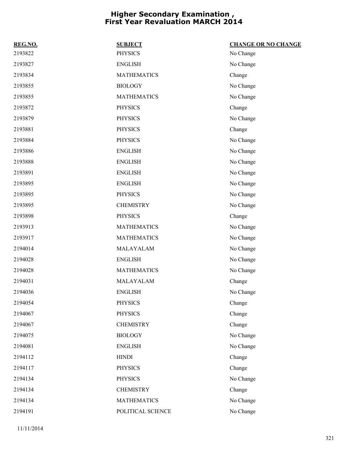| REG.NO. | <b>SUBJECT</b>     | <b>CHANGE OR NO CHANGE</b> |
|---------|--------------------|----------------------------|
| 2193822 | <b>PHYSICS</b>     | No Change                  |
| 2193827 | <b>ENGLISH</b>     | No Change                  |
| 2193834 | <b>MATHEMATICS</b> | Change                     |
| 2193855 | <b>BIOLOGY</b>     | No Change                  |
| 2193855 | <b>MATHEMATICS</b> | No Change                  |
| 2193872 | <b>PHYSICS</b>     | Change                     |
| 2193879 | <b>PHYSICS</b>     | No Change                  |
| 2193881 | <b>PHYSICS</b>     | Change                     |
| 2193884 | <b>PHYSICS</b>     | No Change                  |
| 2193886 | <b>ENGLISH</b>     | No Change                  |
| 2193888 | <b>ENGLISH</b>     | No Change                  |
| 2193891 | <b>ENGLISH</b>     | No Change                  |
| 2193895 | <b>ENGLISH</b>     | No Change                  |
| 2193895 | <b>PHYSICS</b>     | No Change                  |
| 2193895 | <b>CHEMISTRY</b>   | No Change                  |
| 2193898 | <b>PHYSICS</b>     | Change                     |
| 2193913 | <b>MATHEMATICS</b> | No Change                  |
| 2193917 | <b>MATHEMATICS</b> | No Change                  |
| 2194014 | MALAYALAM          | No Change                  |
| 2194028 | <b>ENGLISH</b>     | No Change                  |
| 2194028 | <b>MATHEMATICS</b> | No Change                  |
| 2194031 | MALAYALAM          | Change                     |
| 2194036 | <b>ENGLISH</b>     | No Change                  |
| 2194054 | <b>PHYSICS</b>     | Change                     |
| 2194067 | <b>PHYSICS</b>     | Change                     |
| 2194067 | <b>CHEMISTRY</b>   | Change                     |
| 2194075 | <b>BIOLOGY</b>     | No Change                  |
| 2194081 | <b>ENGLISH</b>     | No Change                  |
| 2194112 | <b>HINDI</b>       | Change                     |
| 2194117 | <b>PHYSICS</b>     | Change                     |
| 2194134 | <b>PHYSICS</b>     | No Change                  |
| 2194134 | <b>CHEMISTRY</b>   | Change                     |
| 2194134 | <b>MATHEMATICS</b> | No Change                  |
| 2194191 | POLITICAL SCIENCE  | No Change                  |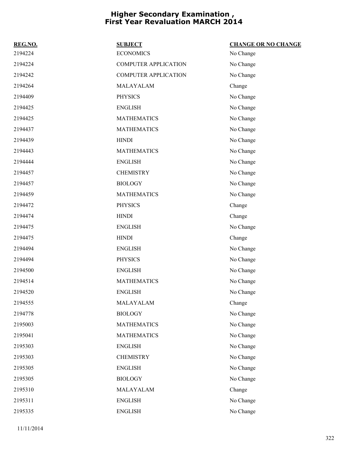| REG.NO. | <b>SUBJECT</b>              | <b>CHANGE OR NO CHANGE</b> |
|---------|-----------------------------|----------------------------|
| 2194224 | <b>ECONOMICS</b>            | No Change                  |
| 2194224 | <b>COMPUTER APPLICATION</b> | No Change                  |
| 2194242 | <b>COMPUTER APPLICATION</b> | No Change                  |
| 2194264 | MALAYALAM                   | Change                     |
| 2194409 | <b>PHYSICS</b>              | No Change                  |
| 2194425 | <b>ENGLISH</b>              | No Change                  |
| 2194425 | <b>MATHEMATICS</b>          | No Change                  |
| 2194437 | <b>MATHEMATICS</b>          | No Change                  |
| 2194439 | <b>HINDI</b>                | No Change                  |
| 2194443 | <b>MATHEMATICS</b>          | No Change                  |
| 2194444 | <b>ENGLISH</b>              | No Change                  |
| 2194457 | <b>CHEMISTRY</b>            | No Change                  |
| 2194457 | <b>BIOLOGY</b>              | No Change                  |
| 2194459 | <b>MATHEMATICS</b>          | No Change                  |
| 2194472 | <b>PHYSICS</b>              | Change                     |
| 2194474 | <b>HINDI</b>                | Change                     |
| 2194475 | <b>ENGLISH</b>              | No Change                  |
| 2194475 | <b>HINDI</b>                | Change                     |
| 2194494 | <b>ENGLISH</b>              | No Change                  |
| 2194494 | <b>PHYSICS</b>              | No Change                  |
| 2194500 | <b>ENGLISH</b>              | No Change                  |
| 2194514 | <b>MATHEMATICS</b>          | No Change                  |
| 2194520 | <b>ENGLISH</b>              | No Change                  |
| 2194555 | MALAYALAM                   | Change                     |
| 2194778 | <b>BIOLOGY</b>              | No Change                  |
| 2195003 | <b>MATHEMATICS</b>          | No Change                  |
| 2195041 | <b>MATHEMATICS</b>          | No Change                  |
| 2195303 | <b>ENGLISH</b>              | No Change                  |
| 2195303 | <b>CHEMISTRY</b>            | No Change                  |
| 2195305 | <b>ENGLISH</b>              | No Change                  |
| 2195305 | <b>BIOLOGY</b>              | No Change                  |
| 2195310 | MALAYALAM                   | Change                     |
| 2195311 | <b>ENGLISH</b>              | No Change                  |
| 2195335 | <b>ENGLISH</b>              | No Change                  |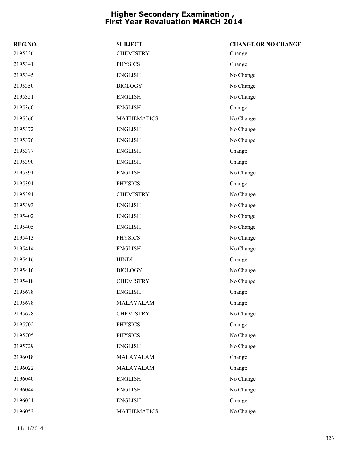| REG.NO. | <b>SUBJECT</b>     | <b>CHANGE OR NO CHANGE</b> |
|---------|--------------------|----------------------------|
| 2195336 | <b>CHEMISTRY</b>   | Change                     |
| 2195341 | <b>PHYSICS</b>     | Change                     |
| 2195345 | <b>ENGLISH</b>     | No Change                  |
| 2195350 | <b>BIOLOGY</b>     | No Change                  |
| 2195351 | <b>ENGLISH</b>     | No Change                  |
| 2195360 | <b>ENGLISH</b>     | Change                     |
| 2195360 | <b>MATHEMATICS</b> | No Change                  |
| 2195372 | <b>ENGLISH</b>     | No Change                  |
| 2195376 | <b>ENGLISH</b>     | No Change                  |
| 2195377 | <b>ENGLISH</b>     | Change                     |
| 2195390 | <b>ENGLISH</b>     | Change                     |
| 2195391 | <b>ENGLISH</b>     | No Change                  |
| 2195391 | <b>PHYSICS</b>     | Change                     |
| 2195391 | <b>CHEMISTRY</b>   | No Change                  |
| 2195393 | <b>ENGLISH</b>     | No Change                  |
| 2195402 | <b>ENGLISH</b>     | No Change                  |
| 2195405 | <b>ENGLISH</b>     | No Change                  |
| 2195413 | <b>PHYSICS</b>     | No Change                  |
| 2195414 | <b>ENGLISH</b>     | No Change                  |
| 2195416 | <b>HINDI</b>       | Change                     |
| 2195416 | <b>BIOLOGY</b>     | No Change                  |
| 2195418 | <b>CHEMISTRY</b>   | No Change                  |
| 2195678 | <b>ENGLISH</b>     | Change                     |
| 2195678 | MALAYALAM          | Change                     |
| 2195678 | <b>CHEMISTRY</b>   | No Change                  |
| 2195702 | <b>PHYSICS</b>     | Change                     |
| 2195705 | <b>PHYSICS</b>     | No Change                  |
| 2195729 | <b>ENGLISH</b>     | No Change                  |
| 2196018 | MALAYALAM          | Change                     |
| 2196022 | MALAYALAM          | Change                     |
| 2196040 | <b>ENGLISH</b>     | No Change                  |
| 2196044 | <b>ENGLISH</b>     | No Change                  |
| 2196051 | <b>ENGLISH</b>     | Change                     |
| 2196053 | <b>MATHEMATICS</b> | No Change                  |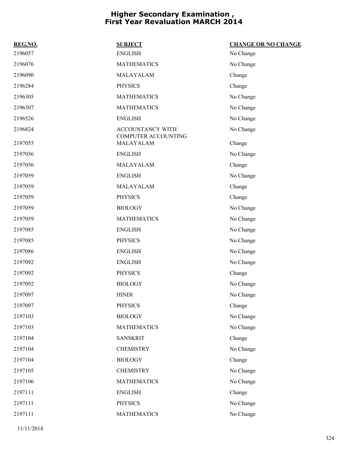| REG.NO. | <b>SUBJECT</b>                          | <b>CHANGE OR NO CHANGE</b> |
|---------|-----------------------------------------|----------------------------|
| 2196057 | <b>ENGLISH</b>                          | No Change                  |
| 2196076 | <b>MATHEMATICS</b>                      | No Change                  |
| 2196090 | MALAYALAM                               | Change                     |
| 2196284 | <b>PHYSICS</b>                          | Change                     |
| 2196305 | <b>MATHEMATICS</b>                      | No Change                  |
| 2196307 | <b>MATHEMATICS</b>                      | No Change                  |
| 2196526 | <b>ENGLISH</b>                          | No Change                  |
| 2196824 | ACCOUNTANCY WITH<br>COMPUTER ACCOUNTING | No Change                  |
| 2197055 | MALAYALAM                               | Change                     |
| 2197056 | <b>ENGLISH</b>                          | No Change                  |
| 2197056 | MALAYALAM                               | Change                     |
| 2197059 | <b>ENGLISH</b>                          | No Change                  |
| 2197059 | MALAYALAM                               | Change                     |
| 2197059 | <b>PHYSICS</b>                          | Change                     |
| 2197059 | <b>BIOLOGY</b>                          | No Change                  |
| 2197059 | <b>MATHEMATICS</b>                      | No Change                  |
| 2197085 | <b>ENGLISH</b>                          | No Change                  |
| 2197085 | <b>PHYSICS</b>                          | No Change                  |
| 2197086 | <b>ENGLISH</b>                          | No Change                  |
| 2197092 | <b>ENGLISH</b>                          | No Change                  |
| 2197092 | <b>PHYSICS</b>                          | Change                     |
| 2197092 | <b>BIOLOGY</b>                          | No Change                  |
| 2197097 | <b>HINDI</b>                            | No Change                  |
| 2197097 | <b>PHYSICS</b>                          | Change                     |
| 2197103 | <b>BIOLOGY</b>                          | No Change                  |
| 2197103 | <b>MATHEMATICS</b>                      | No Change                  |
| 2197104 | <b>SANSKRIT</b>                         | Change                     |
| 2197104 | <b>CHEMISTRY</b>                        | No Change                  |
| 2197104 | <b>BIOLOGY</b>                          | Change                     |
| 2197105 | <b>CHEMISTRY</b>                        | No Change                  |
| 2197106 | <b>MATHEMATICS</b>                      | No Change                  |
| 2197111 | <b>ENGLISH</b>                          | Change                     |
| 2197111 | <b>PHYSICS</b>                          | No Change                  |
| 2197111 | <b>MATHEMATICS</b>                      | No Change                  |
|         |                                         |                            |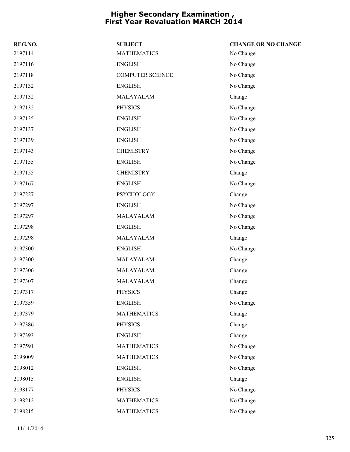| REG.NO. | <b>SUBJECT</b>          | <b>CHANGE OR NO CHANGE</b> |
|---------|-------------------------|----------------------------|
| 2197114 | <b>MATHEMATICS</b>      | No Change                  |
| 2197116 | <b>ENGLISH</b>          | No Change                  |
| 2197118 | <b>COMPUTER SCIENCE</b> | No Change                  |
| 2197132 | <b>ENGLISH</b>          | No Change                  |
| 2197132 | MALAYALAM               | Change                     |
| 2197132 | <b>PHYSICS</b>          | No Change                  |
| 2197135 | <b>ENGLISH</b>          | No Change                  |
| 2197137 | <b>ENGLISH</b>          | No Change                  |
| 2197139 | <b>ENGLISH</b>          | No Change                  |
| 2197143 | <b>CHEMISTRY</b>        | No Change                  |
| 2197155 | <b>ENGLISH</b>          | No Change                  |
| 2197155 | <b>CHEMISTRY</b>        | Change                     |
| 2197167 | <b>ENGLISH</b>          | No Change                  |
| 2197227 | <b>PSYCHOLOGY</b>       | Change                     |
| 2197297 | <b>ENGLISH</b>          | No Change                  |
| 2197297 | MALAYALAM               | No Change                  |
| 2197298 | <b>ENGLISH</b>          | No Change                  |
| 2197298 | MALAYALAM               | Change                     |
| 2197300 | <b>ENGLISH</b>          | No Change                  |
| 2197300 | MALAYALAM               | Change                     |
| 2197306 | MALAYALAM               | Change                     |
| 2197307 | MALAYALAM               | Change                     |
| 2197317 | <b>PHYSICS</b>          | Change                     |
| 2197359 | <b>ENGLISH</b>          | No Change                  |
| 2197379 | <b>MATHEMATICS</b>      | Change                     |
| 2197386 | <b>PHYSICS</b>          | Change                     |
| 2197393 | <b>ENGLISH</b>          | Change                     |
| 2197591 | <b>MATHEMATICS</b>      | No Change                  |
| 2198009 | <b>MATHEMATICS</b>      | No Change                  |
| 2198012 | <b>ENGLISH</b>          | No Change                  |
| 2198015 | <b>ENGLISH</b>          | Change                     |
| 2198177 | <b>PHYSICS</b>          | No Change                  |
| 2198212 | <b>MATHEMATICS</b>      | No Change                  |
| 2198215 | <b>MATHEMATICS</b>      | No Change                  |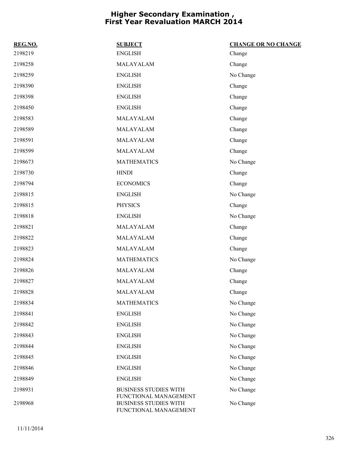| REG.NO. | <b>SUBJECT</b>                                                                 | <b>CHANGE OR NO CHANGE</b> |
|---------|--------------------------------------------------------------------------------|----------------------------|
| 2198219 | <b>ENGLISH</b>                                                                 | Change                     |
| 2198258 | MALAYALAM                                                                      | Change                     |
| 2198259 | <b>ENGLISH</b>                                                                 | No Change                  |
| 2198390 | <b>ENGLISH</b>                                                                 | Change                     |
| 2198398 | <b>ENGLISH</b>                                                                 | Change                     |
| 2198450 | <b>ENGLISH</b>                                                                 | Change                     |
| 2198583 | MALAYALAM                                                                      | Change                     |
| 2198589 | MALAYALAM                                                                      | Change                     |
| 2198591 | MALAYALAM                                                                      | Change                     |
| 2198599 | MALAYALAM                                                                      | Change                     |
| 2198673 | <b>MATHEMATICS</b>                                                             | No Change                  |
| 2198730 | <b>HINDI</b>                                                                   | Change                     |
| 2198794 | <b>ECONOMICS</b>                                                               | Change                     |
| 2198815 | <b>ENGLISH</b>                                                                 | No Change                  |
| 2198815 | <b>PHYSICS</b>                                                                 | Change                     |
| 2198818 | <b>ENGLISH</b>                                                                 | No Change                  |
| 2198821 | MALAYALAM                                                                      | Change                     |
| 2198822 | MALAYALAM                                                                      | Change                     |
| 2198823 | MALAYALAM                                                                      | Change                     |
| 2198824 | <b>MATHEMATICS</b>                                                             | No Change                  |
| 2198826 | MALAYALAM                                                                      | Change                     |
| 2198827 | MALAYALAM                                                                      | Change                     |
| 2198828 | MALAYALAM                                                                      | Change                     |
| 2198834 | <b>MATHEMATICS</b>                                                             | No Change                  |
| 2198841 | <b>ENGLISH</b>                                                                 | No Change                  |
| 2198842 | <b>ENGLISH</b>                                                                 | No Change                  |
| 2198843 | <b>ENGLISH</b>                                                                 | No Change                  |
| 2198844 | <b>ENGLISH</b>                                                                 | No Change                  |
| 2198845 | <b>ENGLISH</b>                                                                 | No Change                  |
| 2198846 | <b>ENGLISH</b>                                                                 | No Change                  |
| 2198849 | <b>ENGLISH</b>                                                                 | No Change                  |
| 2198931 | <b>BUSINESS STUDIES WITH</b>                                                   | No Change                  |
| 2198968 | FUNCTIONAL MANAGEMENT<br><b>BUSINESS STUDIES WITH</b><br>FUNCTIONAL MANAGEMENT | No Change                  |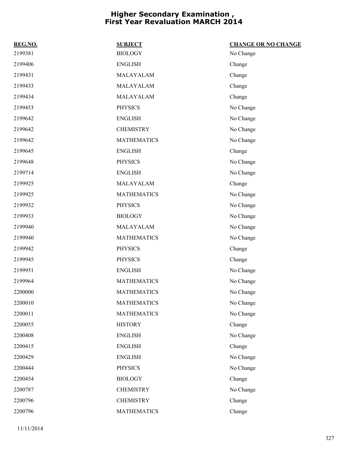| REG.NO. | <b>SUBJECT</b>     | <b>CHANGE OR NO CHANGE</b> |
|---------|--------------------|----------------------------|
| 2199381 | <b>BIOLOGY</b>     | No Change                  |
| 2199406 | <b>ENGLISH</b>     | Change                     |
| 2199431 | MALAYALAM          | Change                     |
| 2199433 | MALAYALAM          | Change                     |
| 2199434 | MALAYALAM          | Change                     |
| 2199453 | <b>PHYSICS</b>     | No Change                  |
| 2199642 | <b>ENGLISH</b>     | No Change                  |
| 2199642 | <b>CHEMISTRY</b>   | No Change                  |
| 2199642 | <b>MATHEMATICS</b> | No Change                  |
| 2199645 | <b>ENGLISH</b>     | Change                     |
| 2199648 | <b>PHYSICS</b>     | No Change                  |
| 2199714 | <b>ENGLISH</b>     | No Change                  |
| 2199925 | MALAYALAM          | Change                     |
| 2199925 | <b>MATHEMATICS</b> | No Change                  |
| 2199932 | <b>PHYSICS</b>     | No Change                  |
| 2199933 | <b>BIOLOGY</b>     | No Change                  |
| 2199940 | MALAYALAM          | No Change                  |
| 2199940 | <b>MATHEMATICS</b> | No Change                  |
| 2199942 | <b>PHYSICS</b>     | Change                     |
| 2199945 | <b>PHYSICS</b>     | Change                     |
| 2199951 | <b>ENGLISH</b>     | No Change                  |
| 2199964 | <b>MATHEMATICS</b> | No Change                  |
| 2200000 | <b>MATHEMATICS</b> | No Change                  |
| 2200010 | <b>MATHEMATICS</b> | No Change                  |
| 2200011 | <b>MATHEMATICS</b> | No Change                  |
| 2200055 | <b>HISTORY</b>     | Change                     |
| 2200408 | <b>ENGLISH</b>     | No Change                  |
| 2200415 | <b>ENGLISH</b>     | Change                     |
| 2200429 | <b>ENGLISH</b>     | No Change                  |
| 2200444 | <b>PHYSICS</b>     | No Change                  |
| 2200454 | <b>BIOLOGY</b>     | Change                     |
| 2200787 | <b>CHEMISTRY</b>   | No Change                  |
| 2200796 | <b>CHEMISTRY</b>   | Change                     |
| 2200796 | <b>MATHEMATICS</b> | Change                     |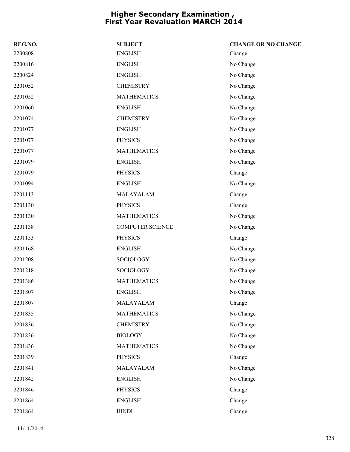| REG.NO. | <b>SUBJECT</b>          | <b>CHANGE OR NO CHANGE</b> |
|---------|-------------------------|----------------------------|
| 2200808 | <b>ENGLISH</b>          | Change                     |
| 2200816 | <b>ENGLISH</b>          | No Change                  |
| 2200824 | <b>ENGLISH</b>          | No Change                  |
| 2201052 | <b>CHEMISTRY</b>        | No Change                  |
| 2201052 | <b>MATHEMATICS</b>      | No Change                  |
| 2201060 | <b>ENGLISH</b>          | No Change                  |
| 2201074 | <b>CHEMISTRY</b>        | No Change                  |
| 2201077 | <b>ENGLISH</b>          | No Change                  |
| 2201077 | <b>PHYSICS</b>          | No Change                  |
| 2201077 | <b>MATHEMATICS</b>      | No Change                  |
| 2201079 | <b>ENGLISH</b>          | No Change                  |
| 2201079 | <b>PHYSICS</b>          | Change                     |
| 2201094 | <b>ENGLISH</b>          | No Change                  |
| 2201113 | MALAYALAM               | Change                     |
| 2201130 | <b>PHYSICS</b>          | Change                     |
| 2201130 | <b>MATHEMATICS</b>      | No Change                  |
| 2201138 | <b>COMPUTER SCIENCE</b> | No Change                  |
| 2201153 | <b>PHYSICS</b>          | Change                     |
| 2201168 | <b>ENGLISH</b>          | No Change                  |
| 2201208 | SOCIOLOGY               | No Change                  |
| 2201218 | <b>SOCIOLOGY</b>        | No Change                  |
| 2201386 | <b>MATHEMATICS</b>      | No Change                  |
| 2201807 | <b>ENGLISH</b>          | No Change                  |
| 2201807 | MALAYALAM               | Change                     |
| 2201835 | <b>MATHEMATICS</b>      | No Change                  |
| 2201836 | <b>CHEMISTRY</b>        | No Change                  |
| 2201836 | <b>BIOLOGY</b>          | No Change                  |
| 2201836 | <b>MATHEMATICS</b>      | No Change                  |
| 2201839 | <b>PHYSICS</b>          | Change                     |
| 2201841 | MALAYALAM               | No Change                  |
| 2201842 | <b>ENGLISH</b>          | No Change                  |
| 2201846 | <b>PHYSICS</b>          | Change                     |
| 2201864 | <b>ENGLISH</b>          | Change                     |
| 2201864 | <b>HINDI</b>            | Change                     |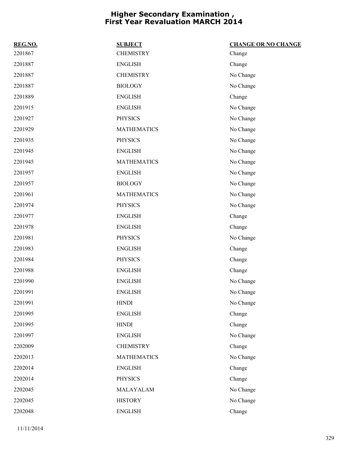| REG.NO. | <b>SUBJECT</b>     | <b>CHANGE OR NO CHANGE</b> |
|---------|--------------------|----------------------------|
| 2201867 | <b>CHEMISTRY</b>   | Change                     |
| 2201887 | <b>ENGLISH</b>     | Change                     |
| 2201887 | <b>CHEMISTRY</b>   | No Change                  |
| 2201887 | <b>BIOLOGY</b>     | No Change                  |
| 2201889 | <b>ENGLISH</b>     | Change                     |
| 2201915 | <b>ENGLISH</b>     | No Change                  |
| 2201927 | <b>PHYSICS</b>     | No Change                  |
| 2201929 | <b>MATHEMATICS</b> | No Change                  |
| 2201935 | <b>PHYSICS</b>     | No Change                  |
| 2201945 | <b>ENGLISH</b>     | No Change                  |
| 2201945 | <b>MATHEMATICS</b> | No Change                  |
| 2201957 | <b>ENGLISH</b>     | No Change                  |
| 2201957 | <b>BIOLOGY</b>     | No Change                  |
| 2201961 | <b>MATHEMATICS</b> | No Change                  |
| 2201974 | <b>PHYSICS</b>     | No Change                  |
| 2201977 | <b>ENGLISH</b>     | Change                     |
| 2201978 | <b>ENGLISH</b>     | Change                     |
| 2201981 | <b>PHYSICS</b>     | No Change                  |
| 2201983 | <b>ENGLISH</b>     | Change                     |
| 2201984 | <b>PHYSICS</b>     | Change                     |
| 2201988 | <b>ENGLISH</b>     | Change                     |
| 2201990 | <b>ENGLISH</b>     | No Change                  |
| 2201991 | <b>ENGLISH</b>     | No Change                  |
| 2201991 | <b>HINDI</b>       | No Change                  |
| 2201995 | <b>ENGLISH</b>     | Change                     |
| 2201995 | <b>HINDI</b>       | Change                     |
| 2201997 | <b>ENGLISH</b>     | No Change                  |
| 2202009 | <b>CHEMISTRY</b>   | Change                     |
| 2202013 | <b>MATHEMATICS</b> | No Change                  |
| 2202014 | <b>ENGLISH</b>     | Change                     |
| 2202014 | <b>PHYSICS</b>     | Change                     |
| 2202045 | MALAYALAM          | No Change                  |
| 2202045 | <b>HISTORY</b>     | No Change                  |
| 2202048 | <b>ENGLISH</b>     | Change                     |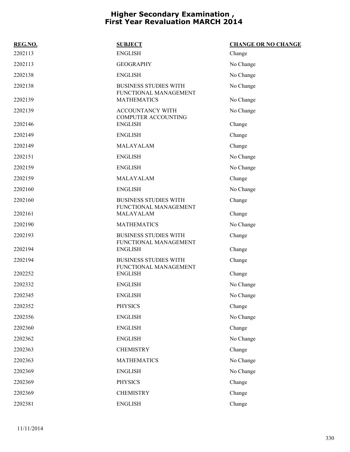| <b>SUBJECT</b>                                        | <b>CHANGE OR NO CHANGE</b> |
|-------------------------------------------------------|----------------------------|
| <b>ENGLISH</b>                                        | Change                     |
| <b>GEOGRAPHY</b>                                      | No Change                  |
| <b>ENGLISH</b>                                        | No Change                  |
| <b>BUSINESS STUDIES WITH</b><br>FUNCTIONAL MANAGEMENT | No Change                  |
| <b>MATHEMATICS</b>                                    | No Change                  |
| <b>ACCOUNTANCY WITH</b><br><b>COMPUTER ACCOUNTING</b> | No Change                  |
| <b>ENGLISH</b>                                        | Change                     |
| <b>ENGLISH</b>                                        | Change                     |
| MALAYALAM                                             | Change                     |
| <b>ENGLISH</b>                                        | No Change                  |
| <b>ENGLISH</b>                                        | No Change                  |
| MALAYALAM                                             | Change                     |
| <b>ENGLISH</b>                                        | No Change                  |
| <b>BUSINESS STUDIES WITH</b><br>FUNCTIONAL MANAGEMENT | Change                     |
| MALAYALAM                                             | Change                     |
| <b>MATHEMATICS</b>                                    | No Change                  |
| <b>BUSINESS STUDIES WITH</b><br>FUNCTIONAL MANAGEMENT | Change                     |
| <b>ENGLISH</b>                                        | Change                     |
| <b>BUSINESS STUDIES WITH</b><br>FUNCTIONAL MANAGEMENT | Change                     |
|                                                       | Change                     |
| <b>ENGLISH</b>                                        | No Change                  |
| <b>ENGLISH</b>                                        | No Change                  |
| <b>PHYSICS</b>                                        | Change                     |
| <b>ENGLISH</b>                                        | No Change                  |
| <b>ENGLISH</b>                                        | Change                     |
| <b>ENGLISH</b>                                        | No Change                  |
| <b>CHEMISTRY</b>                                      | Change                     |
| <b>MATHEMATICS</b>                                    | No Change                  |
| <b>ENGLISH</b>                                        | No Change                  |
| <b>PHYSICS</b>                                        | Change                     |
| <b>CHEMISTRY</b>                                      | Change                     |
| <b>ENGLISH</b>                                        | Change                     |
|                                                       | <b>ENGLISH</b>             |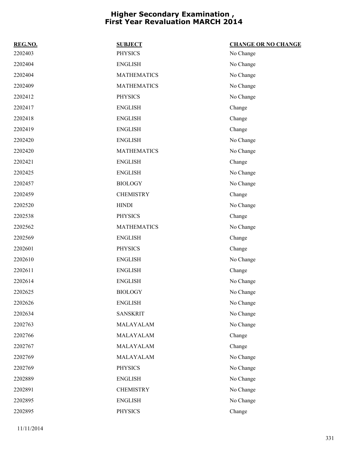| REG.NO. | <b>SUBJECT</b>     | <b>CHANGE OR NO CHANGE</b> |
|---------|--------------------|----------------------------|
| 2202403 | <b>PHYSICS</b>     | No Change                  |
| 2202404 | <b>ENGLISH</b>     | No Change                  |
| 2202404 | <b>MATHEMATICS</b> | No Change                  |
| 2202409 | <b>MATHEMATICS</b> | No Change                  |
| 2202412 | <b>PHYSICS</b>     | No Change                  |
| 2202417 | <b>ENGLISH</b>     | Change                     |
| 2202418 | <b>ENGLISH</b>     | Change                     |
| 2202419 | <b>ENGLISH</b>     | Change                     |
| 2202420 | <b>ENGLISH</b>     | No Change                  |
| 2202420 | <b>MATHEMATICS</b> | No Change                  |
| 2202421 | <b>ENGLISH</b>     | Change                     |
| 2202425 | <b>ENGLISH</b>     | No Change                  |
| 2202457 | <b>BIOLOGY</b>     | No Change                  |
| 2202459 | <b>CHEMISTRY</b>   | Change                     |
| 2202520 | <b>HINDI</b>       | No Change                  |
| 2202538 | <b>PHYSICS</b>     | Change                     |
| 2202562 | <b>MATHEMATICS</b> | No Change                  |
| 2202569 | <b>ENGLISH</b>     | Change                     |
| 2202601 | <b>PHYSICS</b>     | Change                     |
| 2202610 | <b>ENGLISH</b>     | No Change                  |
| 2202611 | <b>ENGLISH</b>     | Change                     |
| 2202614 | <b>ENGLISH</b>     | No Change                  |
| 2202625 | <b>BIOLOGY</b>     | No Change                  |
| 2202626 | <b>ENGLISH</b>     | No Change                  |
| 2202634 | <b>SANSKRIT</b>    | No Change                  |
| 2202763 | MALAYALAM          | No Change                  |
| 2202766 | MALAYALAM          | Change                     |
| 2202767 | MALAYALAM          | Change                     |
| 2202769 | MALAYALAM          | No Change                  |
| 2202769 | <b>PHYSICS</b>     | No Change                  |
| 2202889 | <b>ENGLISH</b>     | No Change                  |
| 2202891 | <b>CHEMISTRY</b>   | No Change                  |
| 2202895 | <b>ENGLISH</b>     | No Change                  |
| 2202895 | PHYSICS            | Change                     |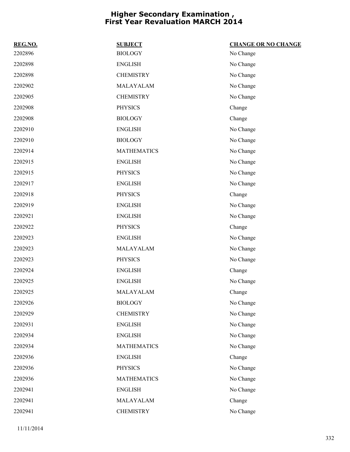| REG.NO. | <b>SUBJECT</b>     | <b>CHANGE OR NO CHANGE</b> |
|---------|--------------------|----------------------------|
| 2202896 | <b>BIOLOGY</b>     | No Change                  |
| 2202898 | <b>ENGLISH</b>     | No Change                  |
| 2202898 | <b>CHEMISTRY</b>   | No Change                  |
| 2202902 | MALAYALAM          | No Change                  |
| 2202905 | <b>CHEMISTRY</b>   | No Change                  |
| 2202908 | <b>PHYSICS</b>     | Change                     |
| 2202908 | <b>BIOLOGY</b>     | Change                     |
| 2202910 | <b>ENGLISH</b>     | No Change                  |
| 2202910 | <b>BIOLOGY</b>     | No Change                  |
| 2202914 | <b>MATHEMATICS</b> | No Change                  |
| 2202915 | <b>ENGLISH</b>     | No Change                  |
| 2202915 | <b>PHYSICS</b>     | No Change                  |
| 2202917 | <b>ENGLISH</b>     | No Change                  |
| 2202918 | <b>PHYSICS</b>     | Change                     |
| 2202919 | <b>ENGLISH</b>     | No Change                  |
| 2202921 | <b>ENGLISH</b>     | No Change                  |
| 2202922 | <b>PHYSICS</b>     | Change                     |
| 2202923 | <b>ENGLISH</b>     | No Change                  |
| 2202923 | MALAYALAM          | No Change                  |
| 2202923 | <b>PHYSICS</b>     | No Change                  |
| 2202924 | <b>ENGLISH</b>     | Change                     |
| 2202925 | <b>ENGLISH</b>     | No Change                  |
| 2202925 | MALAYALAM          | Change                     |
| 2202926 | <b>BIOLOGY</b>     | No Change                  |
| 2202929 | <b>CHEMISTRY</b>   | No Change                  |
| 2202931 | <b>ENGLISH</b>     | No Change                  |
| 2202934 | <b>ENGLISH</b>     | No Change                  |
| 2202934 | <b>MATHEMATICS</b> | No Change                  |
| 2202936 | <b>ENGLISH</b>     | Change                     |
| 2202936 | <b>PHYSICS</b>     | No Change                  |
| 2202936 | <b>MATHEMATICS</b> | No Change                  |
| 2202941 | <b>ENGLISH</b>     | No Change                  |
| 2202941 | MALAYALAM          | Change                     |
| 2202941 | <b>CHEMISTRY</b>   | No Change                  |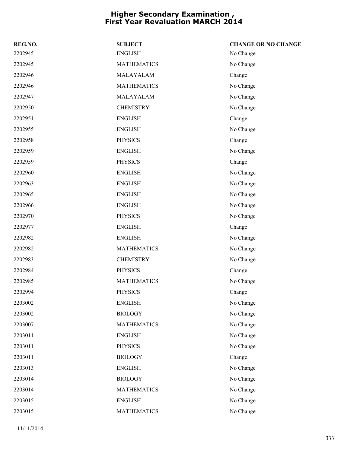| REG.NO. | <b>SUBJECT</b>     | <b>CHANGE OR NO CHANGE</b> |
|---------|--------------------|----------------------------|
| 2202945 | <b>ENGLISH</b>     | No Change                  |
| 2202945 | <b>MATHEMATICS</b> | No Change                  |
| 2202946 | MALAYALAM          | Change                     |
| 2202946 | <b>MATHEMATICS</b> | No Change                  |
| 2202947 | MALAYALAM          | No Change                  |
| 2202950 | <b>CHEMISTRY</b>   | No Change                  |
| 2202951 | <b>ENGLISH</b>     | Change                     |
| 2202955 | <b>ENGLISH</b>     | No Change                  |
| 2202958 | <b>PHYSICS</b>     | Change                     |
| 2202959 | <b>ENGLISH</b>     | No Change                  |
| 2202959 | <b>PHYSICS</b>     | Change                     |
| 2202960 | <b>ENGLISH</b>     | No Change                  |
| 2202963 | <b>ENGLISH</b>     | No Change                  |
| 2202965 | <b>ENGLISH</b>     | No Change                  |
| 2202966 | <b>ENGLISH</b>     | No Change                  |
| 2202970 | <b>PHYSICS</b>     | No Change                  |
| 2202977 | <b>ENGLISH</b>     | Change                     |
| 2202982 | <b>ENGLISH</b>     | No Change                  |
| 2202982 | <b>MATHEMATICS</b> | No Change                  |
| 2202983 | <b>CHEMISTRY</b>   | No Change                  |
| 2202984 | <b>PHYSICS</b>     | Change                     |
| 2202985 | <b>MATHEMATICS</b> | No Change                  |
| 2202994 | <b>PHYSICS</b>     | Change                     |
| 2203002 | <b>ENGLISH</b>     | No Change                  |
| 2203002 | <b>BIOLOGY</b>     | No Change                  |
| 2203007 | <b>MATHEMATICS</b> | No Change                  |
| 2203011 | <b>ENGLISH</b>     | No Change                  |
| 2203011 | <b>PHYSICS</b>     | No Change                  |
| 2203011 | <b>BIOLOGY</b>     | Change                     |
| 2203013 | <b>ENGLISH</b>     | No Change                  |
| 2203014 | <b>BIOLOGY</b>     | No Change                  |
| 2203014 | <b>MATHEMATICS</b> | No Change                  |
| 2203015 | <b>ENGLISH</b>     | No Change                  |
| 2203015 | <b>MATHEMATICS</b> | No Change                  |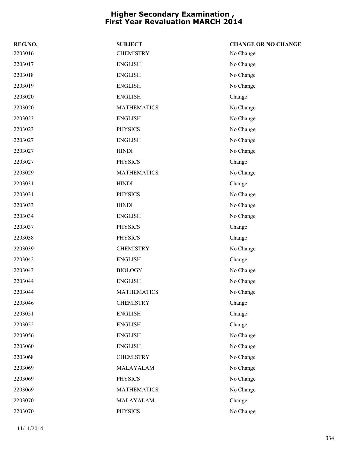| REG.NO. | <b>SUBJECT</b>     | <b>CHANGE OR NO CHANGE</b> |
|---------|--------------------|----------------------------|
| 2203016 | <b>CHEMISTRY</b>   | No Change                  |
| 2203017 | <b>ENGLISH</b>     | No Change                  |
| 2203018 | <b>ENGLISH</b>     | No Change                  |
| 2203019 | <b>ENGLISH</b>     | No Change                  |
| 2203020 | <b>ENGLISH</b>     | Change                     |
| 2203020 | <b>MATHEMATICS</b> | No Change                  |
| 2203023 | <b>ENGLISH</b>     | No Change                  |
| 2203023 | <b>PHYSICS</b>     | No Change                  |
| 2203027 | <b>ENGLISH</b>     | No Change                  |
| 2203027 | <b>HINDI</b>       | No Change                  |
| 2203027 | <b>PHYSICS</b>     | Change                     |
| 2203029 | <b>MATHEMATICS</b> | No Change                  |
| 2203031 | <b>HINDI</b>       | Change                     |
| 2203031 | <b>PHYSICS</b>     | No Change                  |
| 2203033 | <b>HINDI</b>       | No Change                  |
| 2203034 | <b>ENGLISH</b>     | No Change                  |
| 2203037 | <b>PHYSICS</b>     | Change                     |
| 2203038 | <b>PHYSICS</b>     | Change                     |
| 2203039 | <b>CHEMISTRY</b>   | No Change                  |
| 2203042 | <b>ENGLISH</b>     | Change                     |
| 2203043 | <b>BIOLOGY</b>     | No Change                  |
| 2203044 | <b>ENGLISH</b>     | No Change                  |
| 2203044 | <b>MATHEMATICS</b> | No Change                  |
| 2203046 | <b>CHEMISTRY</b>   | Change                     |
| 2203051 | <b>ENGLISH</b>     | Change                     |
| 2203052 | <b>ENGLISH</b>     | Change                     |
| 2203056 | <b>ENGLISH</b>     | No Change                  |
| 2203060 | <b>ENGLISH</b>     | No Change                  |
| 2203068 | <b>CHEMISTRY</b>   | No Change                  |
| 2203069 | MALAYALAM          | No Change                  |
| 2203069 | <b>PHYSICS</b>     | No Change                  |
| 2203069 | <b>MATHEMATICS</b> | No Change                  |
| 2203070 | MALAYALAM          | Change                     |
| 2203070 | <b>PHYSICS</b>     | No Change                  |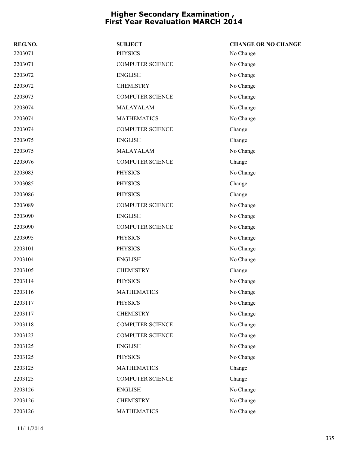| REG.NO. | <b>SUBJECT</b>          | <b>CHANGE OR NO CHANGE</b> |
|---------|-------------------------|----------------------------|
| 2203071 | <b>PHYSICS</b>          | No Change                  |
| 2203071 | <b>COMPUTER SCIENCE</b> | No Change                  |
| 2203072 | <b>ENGLISH</b>          | No Change                  |
| 2203072 | <b>CHEMISTRY</b>        | No Change                  |
| 2203073 | <b>COMPUTER SCIENCE</b> | No Change                  |
| 2203074 | MALAYALAM               | No Change                  |
| 2203074 | <b>MATHEMATICS</b>      | No Change                  |
| 2203074 | <b>COMPUTER SCIENCE</b> | Change                     |
| 2203075 | <b>ENGLISH</b>          | Change                     |
| 2203075 | MALAYALAM               | No Change                  |
| 2203076 | <b>COMPUTER SCIENCE</b> | Change                     |
| 2203083 | <b>PHYSICS</b>          | No Change                  |
| 2203085 | <b>PHYSICS</b>          | Change                     |
| 2203086 | <b>PHYSICS</b>          | Change                     |
| 2203089 | <b>COMPUTER SCIENCE</b> | No Change                  |
| 2203090 | <b>ENGLISH</b>          | No Change                  |
| 2203090 | <b>COMPUTER SCIENCE</b> | No Change                  |
| 2203095 | <b>PHYSICS</b>          | No Change                  |
| 2203101 | <b>PHYSICS</b>          | No Change                  |
| 2203104 | <b>ENGLISH</b>          | No Change                  |
| 2203105 | <b>CHEMISTRY</b>        | Change                     |
| 2203114 | <b>PHYSICS</b>          | No Change                  |
| 2203116 | <b>MATHEMATICS</b>      | No Change                  |
| 2203117 | <b>PHYSICS</b>          | No Change                  |
| 2203117 | <b>CHEMISTRY</b>        | No Change                  |
| 2203118 | COMPUTER SCIENCE        | No Change                  |
| 2203123 | <b>COMPUTER SCIENCE</b> | No Change                  |
| 2203125 | <b>ENGLISH</b>          | No Change                  |
| 2203125 | <b>PHYSICS</b>          | No Change                  |
| 2203125 | <b>MATHEMATICS</b>      | Change                     |
| 2203125 | <b>COMPUTER SCIENCE</b> | Change                     |
| 2203126 | <b>ENGLISH</b>          | No Change                  |
| 2203126 | <b>CHEMISTRY</b>        | No Change                  |
| 2203126 | <b>MATHEMATICS</b>      | No Change                  |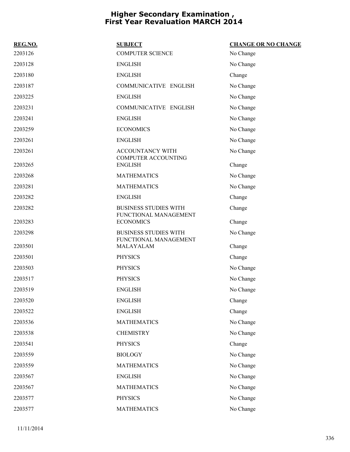| REG.NO. | <b>SUBJECT</b>                                        | <b>CHANGE OR NO CHANGE</b> |
|---------|-------------------------------------------------------|----------------------------|
| 2203126 | <b>COMPUTER SCIENCE</b>                               | No Change                  |
| 2203128 | <b>ENGLISH</b>                                        | No Change                  |
| 2203180 | <b>ENGLISH</b>                                        | Change                     |
| 2203187 | COMMUNICATIVE ENGLISH                                 | No Change                  |
| 2203225 | <b>ENGLISH</b>                                        | No Change                  |
| 2203231 | COMMUNICATIVE ENGLISH                                 | No Change                  |
| 2203241 | <b>ENGLISH</b>                                        | No Change                  |
| 2203259 | <b>ECONOMICS</b>                                      | No Change                  |
| 2203261 | <b>ENGLISH</b>                                        | No Change                  |
| 2203261 | ACCOUNTANCY WITH<br><b>COMPUTER ACCOUNTING</b>        | No Change                  |
| 2203265 | <b>ENGLISH</b>                                        | Change                     |
| 2203268 | <b>MATHEMATICS</b>                                    | No Change                  |
| 2203281 | <b>MATHEMATICS</b>                                    | No Change                  |
| 2203282 | <b>ENGLISH</b>                                        | Change                     |
| 2203282 | <b>BUSINESS STUDIES WITH</b><br>FUNCTIONAL MANAGEMENT | Change                     |
| 2203283 | <b>ECONOMICS</b>                                      | Change                     |
| 2203298 | <b>BUSINESS STUDIES WITH</b><br>FUNCTIONAL MANAGEMENT | No Change                  |
| 2203501 | MALAYALAM                                             | Change                     |
| 2203501 | <b>PHYSICS</b>                                        | Change                     |
| 2203503 | <b>PHYSICS</b>                                        | No Change                  |
| 2203517 | <b>PHYSICS</b>                                        | No Change                  |
| 2203519 | <b>ENGLISH</b>                                        | No Change                  |
| 2203520 | <b>ENGLISH</b>                                        | Change                     |
| 2203522 | <b>ENGLISH</b>                                        | Change                     |
| 2203536 | <b>MATHEMATICS</b>                                    | No Change                  |
| 2203538 | <b>CHEMISTRY</b>                                      | No Change                  |
| 2203541 | <b>PHYSICS</b>                                        | Change                     |
| 2203559 | <b>BIOLOGY</b>                                        | No Change                  |
| 2203559 | <b>MATHEMATICS</b>                                    | No Change                  |
| 2203567 | <b>ENGLISH</b>                                        | No Change                  |
| 2203567 | <b>MATHEMATICS</b>                                    | No Change                  |
| 2203577 | <b>PHYSICS</b>                                        | No Change                  |
| 2203577 | <b>MATHEMATICS</b>                                    | No Change                  |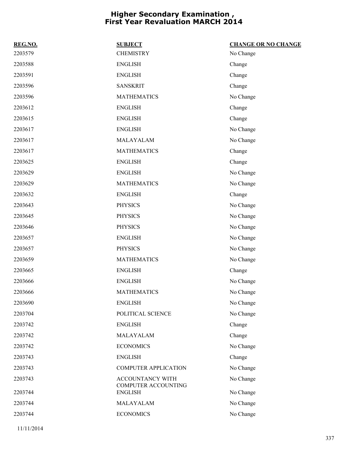| REG.NO. | <b>SUBJECT</b>                        | <b>CHANGE OR NO CHANGE</b> |
|---------|---------------------------------------|----------------------------|
| 2203579 | <b>CHEMISTRY</b>                      | No Change                  |
| 2203588 | <b>ENGLISH</b>                        | Change                     |
| 2203591 | <b>ENGLISH</b>                        | Change                     |
| 2203596 | <b>SANSKRIT</b>                       | Change                     |
| 2203596 | <b>MATHEMATICS</b>                    | No Change                  |
| 2203612 | <b>ENGLISH</b>                        | Change                     |
| 2203615 | <b>ENGLISH</b>                        | Change                     |
| 2203617 | <b>ENGLISH</b>                        | No Change                  |
| 2203617 | MALAYALAM                             | No Change                  |
| 2203617 | <b>MATHEMATICS</b>                    | Change                     |
| 2203625 | <b>ENGLISH</b>                        | Change                     |
| 2203629 | <b>ENGLISH</b>                        | No Change                  |
| 2203629 | <b>MATHEMATICS</b>                    | No Change                  |
| 2203632 | <b>ENGLISH</b>                        | Change                     |
| 2203643 | <b>PHYSICS</b>                        | No Change                  |
| 2203645 | <b>PHYSICS</b>                        | No Change                  |
| 2203646 | <b>PHYSICS</b>                        | No Change                  |
| 2203657 | <b>ENGLISH</b>                        | No Change                  |
| 2203657 | <b>PHYSICS</b>                        | No Change                  |
| 2203659 | <b>MATHEMATICS</b>                    | No Change                  |
| 2203665 | <b>ENGLISH</b>                        | Change                     |
| 2203666 | <b>ENGLISH</b>                        | No Change                  |
| 2203666 | <b>MATHEMATICS</b>                    | No Change                  |
| 2203690 | <b>ENGLISH</b>                        | No Change                  |
| 2203704 | POLITICAL SCIENCE                     | No Change                  |
| 2203742 | <b>ENGLISH</b>                        | Change                     |
| 2203742 | MALAYALAM                             | Change                     |
| 2203742 | <b>ECONOMICS</b>                      | No Change                  |
| 2203743 | <b>ENGLISH</b>                        | Change                     |
| 2203743 | <b>COMPUTER APPLICATION</b>           | No Change                  |
| 2203743 | ACCOUNTANCY WITH                      | No Change                  |
| 2203744 | COMPUTER ACCOUNTING<br><b>ENGLISH</b> | No Change                  |
| 2203744 | MALAYALAM                             | No Change                  |
| 2203744 | <b>ECONOMICS</b>                      | No Change                  |
|         |                                       |                            |

11/11/2014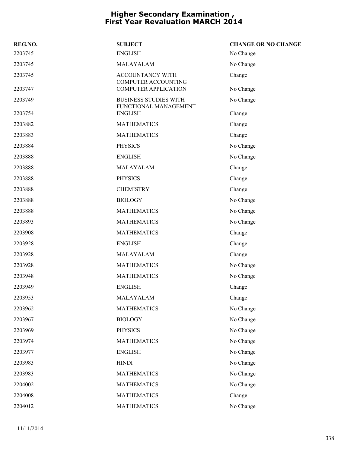| REG.NO. | <b>SUBJECT</b>                                        | <b>CHANGE OR NO CHANGE</b> |
|---------|-------------------------------------------------------|----------------------------|
| 2203745 | <b>ENGLISH</b>                                        | No Change                  |
| 2203745 | MALAYALAM                                             | No Change                  |
| 2203745 | ACCOUNTANCY WITH<br><b>COMPUTER ACCOUNTING</b>        | Change                     |
| 2203747 | <b>COMPUTER APPLICATION</b>                           | No Change                  |
| 2203749 | <b>BUSINESS STUDIES WITH</b><br>FUNCTIONAL MANAGEMENT | No Change                  |
| 2203754 | <b>ENGLISH</b>                                        | Change                     |
| 2203882 | <b>MATHEMATICS</b>                                    | Change                     |
| 2203883 | <b>MATHEMATICS</b>                                    | Change                     |
| 2203884 | <b>PHYSICS</b>                                        | No Change                  |
| 2203888 | <b>ENGLISH</b>                                        | No Change                  |
| 2203888 | MALAYALAM                                             | Change                     |
| 2203888 | <b>PHYSICS</b>                                        | Change                     |
| 2203888 | <b>CHEMISTRY</b>                                      | Change                     |
| 2203888 | <b>BIOLOGY</b>                                        | No Change                  |
| 2203888 | <b>MATHEMATICS</b>                                    | No Change                  |
| 2203893 | <b>MATHEMATICS</b>                                    | No Change                  |
| 2203908 | <b>MATHEMATICS</b>                                    | Change                     |
| 2203928 | <b>ENGLISH</b>                                        | Change                     |
| 2203928 | MALAYALAM                                             | Change                     |
| 2203928 | <b>MATHEMATICS</b>                                    | No Change                  |
| 2203948 | <b>MATHEMATICS</b>                                    | No Change                  |
| 2203949 | <b>ENGLISH</b>                                        | Change                     |
| 2203953 | MALAYALAM                                             | Change                     |
| 2203962 | <b>MATHEMATICS</b>                                    | No Change                  |
| 2203967 | <b>BIOLOGY</b>                                        | No Change                  |
| 2203969 | <b>PHYSICS</b>                                        | No Change                  |
| 2203974 | <b>MATHEMATICS</b>                                    | No Change                  |
| 2203977 | <b>ENGLISH</b>                                        | No Change                  |
| 2203983 | <b>HINDI</b>                                          | No Change                  |
| 2203983 | <b>MATHEMATICS</b>                                    | No Change                  |
| 2204002 | <b>MATHEMATICS</b>                                    | No Change                  |
| 2204008 | <b>MATHEMATICS</b>                                    | Change                     |
| 2204012 | <b>MATHEMATICS</b>                                    | No Change                  |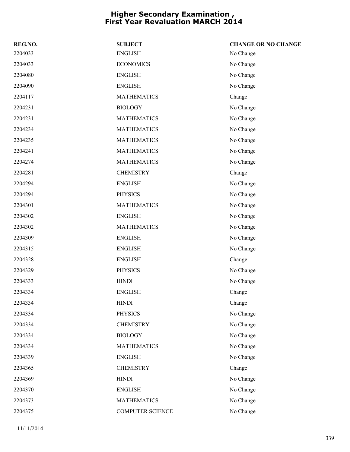| REG.NO. | <b>SUBJECT</b>     | <b>CHANGE OR NO CHANGE</b> |
|---------|--------------------|----------------------------|
| 2204033 | <b>ENGLISH</b>     | No Change                  |
| 2204033 | <b>ECONOMICS</b>   | No Change                  |
| 2204080 | <b>ENGLISH</b>     | No Change                  |
| 2204090 | <b>ENGLISH</b>     | No Change                  |
| 2204117 | <b>MATHEMATICS</b> | Change                     |
| 2204231 | <b>BIOLOGY</b>     | No Change                  |
| 2204231 | <b>MATHEMATICS</b> | No Change                  |
| 2204234 | <b>MATHEMATICS</b> | No Change                  |
| 2204235 | <b>MATHEMATICS</b> | No Change                  |
| 2204241 | <b>MATHEMATICS</b> | No Change                  |
| 2204274 | <b>MATHEMATICS</b> | No Change                  |
| 2204281 | <b>CHEMISTRY</b>   | Change                     |
| 2204294 | <b>ENGLISH</b>     | No Change                  |
| 2204294 | <b>PHYSICS</b>     | No Change                  |
| 2204301 | <b>MATHEMATICS</b> | No Change                  |
| 2204302 | <b>ENGLISH</b>     | No Change                  |
| 2204302 | <b>MATHEMATICS</b> | No Change                  |
| 2204309 | <b>ENGLISH</b>     | No Change                  |
| 2204315 | <b>ENGLISH</b>     | No Change                  |
| 2204328 | <b>ENGLISH</b>     | Change                     |
| 2204329 | <b>PHYSICS</b>     | No Change                  |
| 2204333 | <b>HINDI</b>       | No Change                  |
| 2204334 | <b>ENGLISH</b>     | Change                     |
| 2204334 | <b>HINDI</b>       | Change                     |
| 2204334 | <b>PHYSICS</b>     | No Change                  |
| 2204334 | <b>CHEMISTRY</b>   | No Change                  |
| 2204334 | <b>BIOLOGY</b>     | No Change                  |
| 2204334 | <b>MATHEMATICS</b> | No Change                  |
| 2204339 | <b>ENGLISH</b>     | No Change                  |
| 2204365 | <b>CHEMISTRY</b>   | Change                     |
| 2204369 | <b>HINDI</b>       | No Change                  |
| 2204370 | <b>ENGLISH</b>     | No Change                  |
| 2204373 | <b>MATHEMATICS</b> | No Change                  |
| 2204375 | COMPUTER SCIENCE   | No Change                  |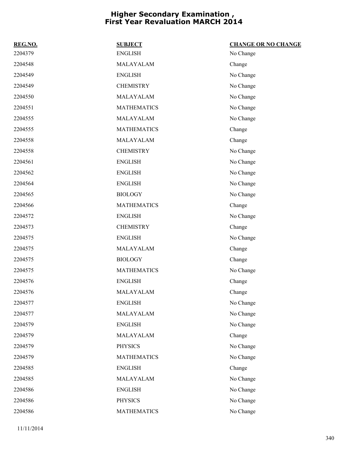| REG.NO. | <b>SUBJECT</b>     | <b>CHANGE OR NO CHANGE</b> |
|---------|--------------------|----------------------------|
| 2204379 | <b>ENGLISH</b>     | No Change                  |
| 2204548 | MALAYALAM          | Change                     |
| 2204549 | <b>ENGLISH</b>     | No Change                  |
| 2204549 | <b>CHEMISTRY</b>   | No Change                  |
| 2204550 | MALAYALAM          | No Change                  |
| 2204551 | <b>MATHEMATICS</b> | No Change                  |
| 2204555 | MALAYALAM          | No Change                  |
| 2204555 | <b>MATHEMATICS</b> | Change                     |
| 2204558 | MALAYALAM          | Change                     |
| 2204558 | <b>CHEMISTRY</b>   | No Change                  |
| 2204561 | <b>ENGLISH</b>     | No Change                  |
| 2204562 | <b>ENGLISH</b>     | No Change                  |
| 2204564 | <b>ENGLISH</b>     | No Change                  |
| 2204565 | <b>BIOLOGY</b>     | No Change                  |
| 2204566 | <b>MATHEMATICS</b> | Change                     |
| 2204572 | <b>ENGLISH</b>     | No Change                  |
| 2204573 | <b>CHEMISTRY</b>   | Change                     |
| 2204575 | <b>ENGLISH</b>     | No Change                  |
| 2204575 | MALAYALAM          | Change                     |
| 2204575 | <b>BIOLOGY</b>     | Change                     |
| 2204575 | <b>MATHEMATICS</b> | No Change                  |
| 2204576 | <b>ENGLISH</b>     | Change                     |
| 2204576 | MALAYALAM          | Change                     |
| 2204577 | <b>ENGLISH</b>     | No Change                  |
| 2204577 | MALAYALAM          | No Change                  |
| 2204579 | <b>ENGLISH</b>     | No Change                  |
| 2204579 | MALAYALAM          | Change                     |
| 2204579 | <b>PHYSICS</b>     | No Change                  |
| 2204579 | <b>MATHEMATICS</b> | No Change                  |
| 2204585 | <b>ENGLISH</b>     | Change                     |
| 2204585 | MALAYALAM          | No Change                  |
| 2204586 | <b>ENGLISH</b>     | No Change                  |
| 2204586 | <b>PHYSICS</b>     | No Change                  |
| 2204586 | <b>MATHEMATICS</b> | No Change                  |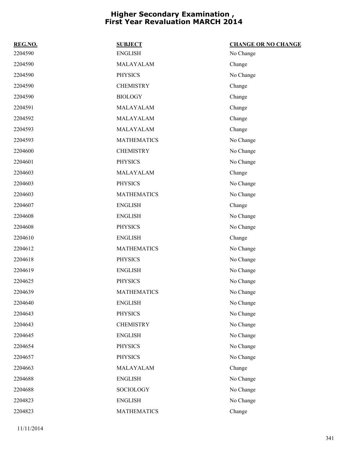| REG.NO. | <b>SUBJECT</b>     | <b>CHANGE OR NO CHANGE</b> |
|---------|--------------------|----------------------------|
| 2204590 | <b>ENGLISH</b>     | No Change                  |
| 2204590 | MALAYALAM          | Change                     |
| 2204590 | <b>PHYSICS</b>     | No Change                  |
| 2204590 | <b>CHEMISTRY</b>   | Change                     |
| 2204590 | <b>BIOLOGY</b>     | Change                     |
| 2204591 | MALAYALAM          | Change                     |
| 2204592 | MALAYALAM          | Change                     |
| 2204593 | MALAYALAM          | Change                     |
| 2204593 | <b>MATHEMATICS</b> | No Change                  |
| 2204600 | <b>CHEMISTRY</b>   | No Change                  |
| 2204601 | <b>PHYSICS</b>     | No Change                  |
| 2204603 | MALAYALAM          | Change                     |
| 2204603 | <b>PHYSICS</b>     | No Change                  |
| 2204603 | <b>MATHEMATICS</b> | No Change                  |
| 2204607 | <b>ENGLISH</b>     | Change                     |
| 2204608 | <b>ENGLISH</b>     | No Change                  |
| 2204608 | <b>PHYSICS</b>     | No Change                  |
| 2204610 | <b>ENGLISH</b>     | Change                     |
| 2204612 | <b>MATHEMATICS</b> | No Change                  |
| 2204618 | <b>PHYSICS</b>     | No Change                  |
| 2204619 | <b>ENGLISH</b>     | No Change                  |
| 2204625 | <b>PHYSICS</b>     | No Change                  |
| 2204639 | <b>MATHEMATICS</b> | No Change                  |
| 2204640 | <b>ENGLISH</b>     | No Change                  |
| 2204643 | <b>PHYSICS</b>     | No Change                  |
| 2204643 | <b>CHEMISTRY</b>   | No Change                  |
| 2204645 | <b>ENGLISH</b>     | No Change                  |
| 2204654 | <b>PHYSICS</b>     | No Change                  |
| 2204657 | <b>PHYSICS</b>     | No Change                  |
| 2204663 | MALAYALAM          | Change                     |
| 2204688 | <b>ENGLISH</b>     | No Change                  |
| 2204688 | SOCIOLOGY          | No Change                  |
| 2204823 | <b>ENGLISH</b>     | No Change                  |
| 2204823 | <b>MATHEMATICS</b> | Change                     |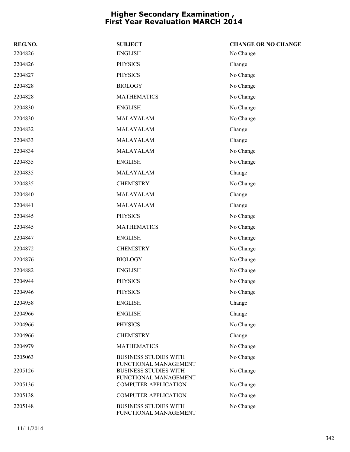| REG.NO. | <b>SUBJECT</b>                                        | <b>CHANGE OR NO CHANGE</b> |
|---------|-------------------------------------------------------|----------------------------|
| 2204826 | <b>ENGLISH</b>                                        | No Change                  |
| 2204826 | <b>PHYSICS</b>                                        | Change                     |
| 2204827 | <b>PHYSICS</b>                                        | No Change                  |
| 2204828 | <b>BIOLOGY</b>                                        | No Change                  |
| 2204828 | <b>MATHEMATICS</b>                                    | No Change                  |
| 2204830 | <b>ENGLISH</b>                                        | No Change                  |
| 2204830 | MALAYALAM                                             | No Change                  |
| 2204832 | MALAYALAM                                             | Change                     |
| 2204833 | MALAYALAM                                             | Change                     |
| 2204834 | MALAYALAM                                             | No Change                  |
| 2204835 | <b>ENGLISH</b>                                        | No Change                  |
| 2204835 | MALAYALAM                                             | Change                     |
| 2204835 | <b>CHEMISTRY</b>                                      | No Change                  |
| 2204840 | MALAYALAM                                             | Change                     |
| 2204841 | MALAYALAM                                             | Change                     |
| 2204845 | <b>PHYSICS</b>                                        | No Change                  |
| 2204845 | <b>MATHEMATICS</b>                                    | No Change                  |
| 2204847 | <b>ENGLISH</b>                                        | No Change                  |
| 2204872 | <b>CHEMISTRY</b>                                      | No Change                  |
| 2204876 | <b>BIOLOGY</b>                                        | No Change                  |
| 2204882 | <b>ENGLISH</b>                                        | No Change                  |
| 2204944 | <b>PHYSICS</b>                                        | No Change                  |
| 2204946 | <b>PHYSICS</b>                                        | No Change                  |
| 2204958 | <b>ENGLISH</b>                                        | Change                     |
| 2204966 | <b>ENGLISH</b>                                        | Change                     |
| 2204966 | <b>PHYSICS</b>                                        | No Change                  |
| 2204966 | <b>CHEMISTRY</b>                                      | Change                     |
| 2204979 | <b>MATHEMATICS</b>                                    | No Change                  |
| 2205063 | <b>BUSINESS STUDIES WITH</b>                          | No Change                  |
| 2205126 | FUNCTIONAL MANAGEMENT<br><b>BUSINESS STUDIES WITH</b> | No Change                  |
| 2205136 | FUNCTIONAL MANAGEMENT<br><b>COMPUTER APPLICATION</b>  | No Change                  |
| 2205138 | <b>COMPUTER APPLICATION</b>                           | No Change                  |
| 2205148 | <b>BUSINESS STUDIES WITH</b>                          | No Change                  |
|         | FUNCTIONAL MANAGEMENT                                 |                            |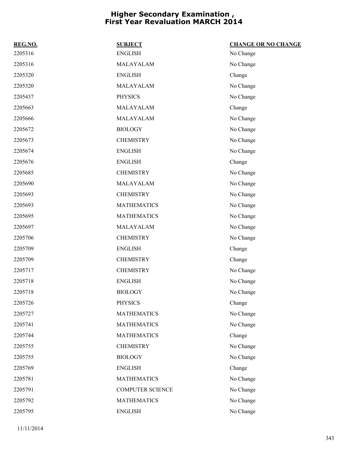| REG.NO. | <b>SUBJECT</b>          | <b>CHANGE OR NO CHANGE</b> |
|---------|-------------------------|----------------------------|
| 2205316 | <b>ENGLISH</b>          | No Change                  |
| 2205316 | MALAYALAM               | No Change                  |
| 2205320 | <b>ENGLISH</b>          | Change                     |
| 2205320 | MALAYALAM               | No Change                  |
| 2205437 | <b>PHYSICS</b>          | No Change                  |
| 2205663 | MALAYALAM               | Change                     |
| 2205666 | MALAYALAM               | No Change                  |
| 2205672 | <b>BIOLOGY</b>          | No Change                  |
| 2205673 | <b>CHEMISTRY</b>        | No Change                  |
| 2205674 | <b>ENGLISH</b>          | No Change                  |
| 2205676 | <b>ENGLISH</b>          | Change                     |
| 2205685 | <b>CHEMISTRY</b>        | No Change                  |
| 2205690 | MALAYALAM               | No Change                  |
| 2205693 | <b>CHEMISTRY</b>        | No Change                  |
| 2205693 | <b>MATHEMATICS</b>      | No Change                  |
| 2205695 | <b>MATHEMATICS</b>      | No Change                  |
| 2205697 | MALAYALAM               | No Change                  |
| 2205706 | <b>CHEMISTRY</b>        | No Change                  |
| 2205709 | <b>ENGLISH</b>          | Change                     |
| 2205709 | <b>CHEMISTRY</b>        | Change                     |
| 2205717 | <b>CHEMISTRY</b>        | No Change                  |
| 2205718 | <b>ENGLISH</b>          | No Change                  |
| 2205718 | <b>BIOLOGY</b>          | No Change                  |
| 2205726 | <b>PHYSICS</b>          | Change                     |
| 2205727 | <b>MATHEMATICS</b>      | No Change                  |
| 2205741 | <b>MATHEMATICS</b>      | No Change                  |
| 2205744 | <b>MATHEMATICS</b>      | Change                     |
| 2205755 | <b>CHEMISTRY</b>        | No Change                  |
| 2205755 | <b>BIOLOGY</b>          | No Change                  |
| 2205769 | <b>ENGLISH</b>          | Change                     |
| 2205781 | <b>MATHEMATICS</b>      | No Change                  |
| 2205791 | <b>COMPUTER SCIENCE</b> | No Change                  |
| 2205792 | <b>MATHEMATICS</b>      | No Change                  |
| 2205795 | <b>ENGLISH</b>          | No Change                  |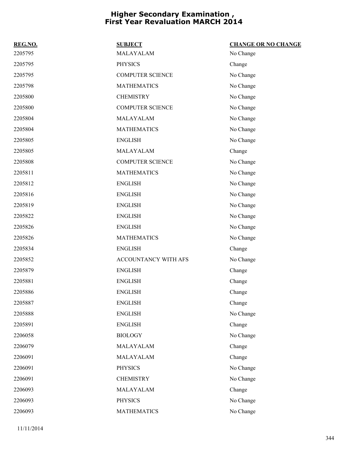| REG.NO. | <b>SUBJECT</b>          | <b>CHANGE OR NO CHANGE</b> |
|---------|-------------------------|----------------------------|
| 2205795 | MALAYALAM               | No Change                  |
| 2205795 | <b>PHYSICS</b>          | Change                     |
| 2205795 | <b>COMPUTER SCIENCE</b> | No Change                  |
| 2205798 | <b>MATHEMATICS</b>      | No Change                  |
| 2205800 | <b>CHEMISTRY</b>        | No Change                  |
| 2205800 | <b>COMPUTER SCIENCE</b> | No Change                  |
| 2205804 | MALAYALAM               | No Change                  |
| 2205804 | <b>MATHEMATICS</b>      | No Change                  |
| 2205805 | <b>ENGLISH</b>          | No Change                  |
| 2205805 | MALAYALAM               | Change                     |
| 2205808 | <b>COMPUTER SCIENCE</b> | No Change                  |
| 2205811 | <b>MATHEMATICS</b>      | No Change                  |
| 2205812 | <b>ENGLISH</b>          | No Change                  |
| 2205816 | <b>ENGLISH</b>          | No Change                  |
| 2205819 | <b>ENGLISH</b>          | No Change                  |
| 2205822 | <b>ENGLISH</b>          | No Change                  |
| 2205826 | <b>ENGLISH</b>          | No Change                  |
| 2205826 | <b>MATHEMATICS</b>      | No Change                  |
| 2205834 | <b>ENGLISH</b>          | Change                     |
| 2205852 | ACCOUNTANCY WITH AFS    | No Change                  |
| 2205879 | <b>ENGLISH</b>          | Change                     |
| 2205881 | <b>ENGLISH</b>          | Change                     |
| 2205886 | <b>ENGLISH</b>          | Change                     |
| 2205887 | <b>ENGLISH</b>          | Change                     |
| 2205888 | <b>ENGLISH</b>          | No Change                  |
| 2205891 | <b>ENGLISH</b>          | Change                     |
| 2206058 | <b>BIOLOGY</b>          | No Change                  |
| 2206079 | MALAYALAM               | Change                     |
| 2206091 | MALAYALAM               | Change                     |
| 2206091 | <b>PHYSICS</b>          | No Change                  |
| 2206091 | <b>CHEMISTRY</b>        | No Change                  |
| 2206093 | MALAYALAM               | Change                     |
| 2206093 | <b>PHYSICS</b>          | No Change                  |
| 2206093 | <b>MATHEMATICS</b>      | No Change                  |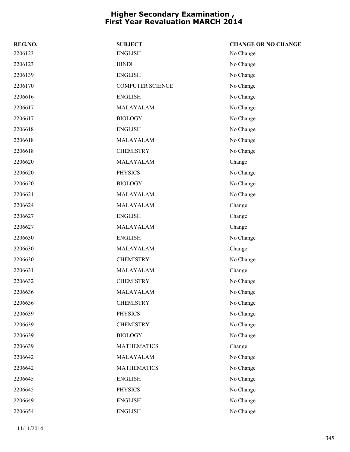| REG.NO. | <b>SUBJECT</b>          | <b>CHANGE OR NO CHANGE</b> |
|---------|-------------------------|----------------------------|
| 2206123 | <b>ENGLISH</b>          | No Change                  |
| 2206123 | <b>HINDI</b>            | No Change                  |
| 2206139 | <b>ENGLISH</b>          | No Change                  |
| 2206170 | <b>COMPUTER SCIENCE</b> | No Change                  |
| 2206616 | <b>ENGLISH</b>          | No Change                  |
| 2206617 | MALAYALAM               | No Change                  |
| 2206617 | <b>BIOLOGY</b>          | No Change                  |
| 2206618 | <b>ENGLISH</b>          | No Change                  |
| 2206618 | MALAYALAM               | No Change                  |
| 2206618 | <b>CHEMISTRY</b>        | No Change                  |
| 2206620 | MALAYALAM               | Change                     |
| 2206620 | <b>PHYSICS</b>          | No Change                  |
| 2206620 | <b>BIOLOGY</b>          | No Change                  |
| 2206621 | MALAYALAM               | No Change                  |
| 2206624 | MALAYALAM               | Change                     |
| 2206627 | <b>ENGLISH</b>          | Change                     |
| 2206627 | MALAYALAM               | Change                     |
| 2206630 | <b>ENGLISH</b>          | No Change                  |
| 2206630 | MALAYALAM               | Change                     |
| 2206630 | <b>CHEMISTRY</b>        | No Change                  |
| 2206631 | MALAYALAM               | Change                     |
| 2206632 | <b>CHEMISTRY</b>        | No Change                  |
| 2206636 | MALAYALAM               | No Change                  |
| 2206636 | <b>CHEMISTRY</b>        | No Change                  |
| 2206639 | <b>PHYSICS</b>          | No Change                  |
| 2206639 | <b>CHEMISTRY</b>        | No Change                  |
| 2206639 | <b>BIOLOGY</b>          | No Change                  |
| 2206639 | <b>MATHEMATICS</b>      | Change                     |
| 2206642 | MALAYALAM               | No Change                  |
| 2206642 | <b>MATHEMATICS</b>      | No Change                  |
| 2206645 | <b>ENGLISH</b>          | No Change                  |
| 2206645 | <b>PHYSICS</b>          | No Change                  |
| 2206649 | <b>ENGLISH</b>          | No Change                  |
| 2206654 | <b>ENGLISH</b>          | No Change                  |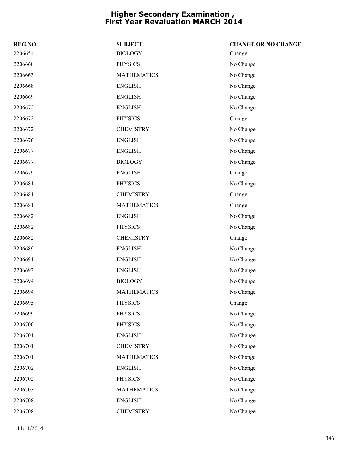| REG.NO. | <b>SUBJECT</b>     | <b>CHANGE OR NO CHANGE</b> |
|---------|--------------------|----------------------------|
| 2206654 | <b>BIOLOGY</b>     | Change                     |
| 2206660 | <b>PHYSICS</b>     | No Change                  |
| 2206663 | <b>MATHEMATICS</b> | No Change                  |
| 2206668 | <b>ENGLISH</b>     | No Change                  |
| 2206669 | <b>ENGLISH</b>     | No Change                  |
| 2206672 | <b>ENGLISH</b>     | No Change                  |
| 2206672 | <b>PHYSICS</b>     | Change                     |
| 2206672 | <b>CHEMISTRY</b>   | No Change                  |
| 2206676 | <b>ENGLISH</b>     | No Change                  |
| 2206677 | <b>ENGLISH</b>     | No Change                  |
| 2206677 | <b>BIOLOGY</b>     | No Change                  |
| 2206679 | <b>ENGLISH</b>     | Change                     |
| 2206681 | <b>PHYSICS</b>     | No Change                  |
| 2206681 | <b>CHEMISTRY</b>   | Change                     |
| 2206681 | <b>MATHEMATICS</b> | Change                     |
| 2206682 | <b>ENGLISH</b>     | No Change                  |
| 2206682 | <b>PHYSICS</b>     | No Change                  |
| 2206682 | <b>CHEMISTRY</b>   | Change                     |
| 2206689 | <b>ENGLISH</b>     | No Change                  |
| 2206691 | <b>ENGLISH</b>     | No Change                  |
| 2206693 | <b>ENGLISH</b>     | No Change                  |
| 2206694 | <b>BIOLOGY</b>     | No Change                  |
| 2206694 | <b>MATHEMATICS</b> | No Change                  |
| 2206695 | <b>PHYSICS</b>     | Change                     |
| 2206699 | <b>PHYSICS</b>     | No Change                  |
| 2206700 | <b>PHYSICS</b>     | No Change                  |
| 2206701 | <b>ENGLISH</b>     | No Change                  |
| 2206701 | <b>CHEMISTRY</b>   | No Change                  |
| 2206701 | <b>MATHEMATICS</b> | No Change                  |
| 2206702 | <b>ENGLISH</b>     | No Change                  |
| 2206702 | <b>PHYSICS</b>     | No Change                  |
| 2206703 | <b>MATHEMATICS</b> | No Change                  |
| 2206708 | <b>ENGLISH</b>     | No Change                  |
| 2206708 | <b>CHEMISTRY</b>   | No Change                  |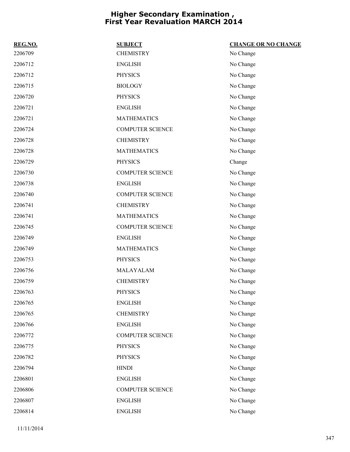| REG.NO. | <b>SUBJECT</b>          | <b>CHANGE OR NO CHANGE</b> |
|---------|-------------------------|----------------------------|
| 2206709 | <b>CHEMISTRY</b>        | No Change                  |
| 2206712 | <b>ENGLISH</b>          | No Change                  |
| 2206712 | <b>PHYSICS</b>          | No Change                  |
| 2206715 | <b>BIOLOGY</b>          | No Change                  |
| 2206720 | <b>PHYSICS</b>          | No Change                  |
| 2206721 | <b>ENGLISH</b>          | No Change                  |
| 2206721 | <b>MATHEMATICS</b>      | No Change                  |
| 2206724 | <b>COMPUTER SCIENCE</b> | No Change                  |
| 2206728 | <b>CHEMISTRY</b>        | No Change                  |
| 2206728 | <b>MATHEMATICS</b>      | No Change                  |
| 2206729 | <b>PHYSICS</b>          | Change                     |
| 2206730 | <b>COMPUTER SCIENCE</b> | No Change                  |
| 2206738 | <b>ENGLISH</b>          | No Change                  |
| 2206740 | <b>COMPUTER SCIENCE</b> | No Change                  |
| 2206741 | <b>CHEMISTRY</b>        | No Change                  |
| 2206741 | <b>MATHEMATICS</b>      | No Change                  |
| 2206745 | <b>COMPUTER SCIENCE</b> | No Change                  |
| 2206749 | <b>ENGLISH</b>          | No Change                  |
| 2206749 | <b>MATHEMATICS</b>      | No Change                  |
| 2206753 | <b>PHYSICS</b>          | No Change                  |
| 2206756 | MALAYALAM               | No Change                  |
| 2206759 | <b>CHEMISTRY</b>        | No Change                  |
| 2206763 | <b>PHYSICS</b>          | No Change                  |
| 2206765 | <b>ENGLISH</b>          | No Change                  |
| 2206765 | <b>CHEMISTRY</b>        | No Change                  |
| 2206766 | <b>ENGLISH</b>          | No Change                  |
| 2206772 | COMPUTER SCIENCE        | No Change                  |
| 2206775 | <b>PHYSICS</b>          | No Change                  |
| 2206782 | <b>PHYSICS</b>          | No Change                  |
| 2206794 | <b>HINDI</b>            | No Change                  |
| 2206801 | <b>ENGLISH</b>          | No Change                  |
| 2206806 | COMPUTER SCIENCE        | No Change                  |
| 2206807 | <b>ENGLISH</b>          | No Change                  |
| 2206814 | <b>ENGLISH</b>          | No Change                  |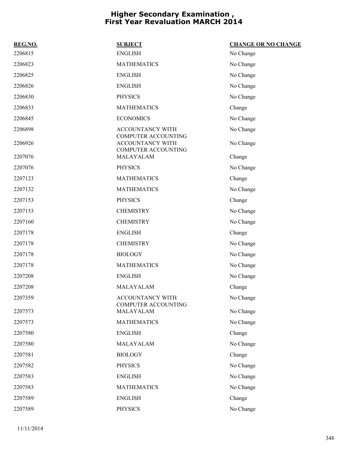| REG.NO. | <b>SUBJECT</b>                                                                      | <b>CHANGE OR NO CHANGE</b> |
|---------|-------------------------------------------------------------------------------------|----------------------------|
| 2206815 | <b>ENGLISH</b>                                                                      | No Change                  |
| 2206823 | <b>MATHEMATICS</b>                                                                  | No Change                  |
| 2206825 | <b>ENGLISH</b>                                                                      | No Change                  |
| 2206826 | <b>ENGLISH</b>                                                                      | No Change                  |
| 2206830 | <b>PHYSICS</b>                                                                      | No Change                  |
| 2206833 | <b>MATHEMATICS</b>                                                                  | Change                     |
| 2206845 | <b>ECONOMICS</b>                                                                    | No Change                  |
| 2206898 | <b>ACCOUNTANCY WITH</b>                                                             | No Change                  |
| 2206926 | <b>COMPUTER ACCOUNTING</b><br><b>ACCOUNTANCY WITH</b><br><b>COMPUTER ACCOUNTING</b> | No Change                  |
| 2207076 | MALAYALAM                                                                           | Change                     |
| 2207076 | <b>PHYSICS</b>                                                                      | No Change                  |
| 2207123 | <b>MATHEMATICS</b>                                                                  | Change                     |
| 2207132 | <b>MATHEMATICS</b>                                                                  | No Change                  |
| 2207153 | <b>PHYSICS</b>                                                                      | Change                     |
| 2207153 | <b>CHEMISTRY</b>                                                                    | No Change                  |
| 2207160 | <b>CHEMISTRY</b>                                                                    | No Change                  |
| 2207178 | <b>ENGLISH</b>                                                                      | Change                     |
| 2207178 | <b>CHEMISTRY</b>                                                                    | No Change                  |
| 2207178 | <b>BIOLOGY</b>                                                                      | No Change                  |
| 2207178 | <b>MATHEMATICS</b>                                                                  | No Change                  |
| 2207208 | <b>ENGLISH</b>                                                                      | No Change                  |
| 2207208 | MALAYALAM                                                                           | Change                     |
| 2207359 | ACCOUNTANCY WITH                                                                    | No Change                  |
| 2207573 | <b>COMPUTER ACCOUNTING</b><br>MALAYALAM                                             | No Change                  |
| 2207573 | <b>MATHEMATICS</b>                                                                  | No Change                  |
| 2207580 | <b>ENGLISH</b>                                                                      | Change                     |
| 2207580 | MALAYALAM                                                                           | No Change                  |
| 2207581 | <b>BIOLOGY</b>                                                                      | Change                     |
| 2207582 | <b>PHYSICS</b>                                                                      | No Change                  |
| 2207583 | <b>ENGLISH</b>                                                                      | No Change                  |
| 2207583 | <b>MATHEMATICS</b>                                                                  | No Change                  |
| 2207589 | <b>ENGLISH</b>                                                                      | Change                     |
| 2207589 | <b>PHYSICS</b>                                                                      | No Change                  |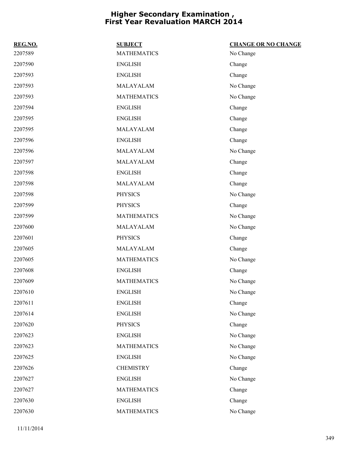| REG.NO. | <b>SUBJECT</b>     | <b>CHANGE OR NO CHANGE</b> |
|---------|--------------------|----------------------------|
| 2207589 | <b>MATHEMATICS</b> | No Change                  |
| 2207590 | <b>ENGLISH</b>     | Change                     |
| 2207593 | <b>ENGLISH</b>     | Change                     |
| 2207593 | MALAYALAM          | No Change                  |
| 2207593 | <b>MATHEMATICS</b> | No Change                  |
| 2207594 | <b>ENGLISH</b>     | Change                     |
| 2207595 | <b>ENGLISH</b>     | Change                     |
| 2207595 | MALAYALAM          | Change                     |
| 2207596 | <b>ENGLISH</b>     | Change                     |
| 2207596 | MALAYALAM          | No Change                  |
| 2207597 | MALAYALAM          | Change                     |
| 2207598 | <b>ENGLISH</b>     | Change                     |
| 2207598 | MALAYALAM          | Change                     |
| 2207598 | <b>PHYSICS</b>     | No Change                  |
| 2207599 | <b>PHYSICS</b>     | Change                     |
| 2207599 | <b>MATHEMATICS</b> | No Change                  |
| 2207600 | MALAYALAM          | No Change                  |
| 2207601 | <b>PHYSICS</b>     | Change                     |
| 2207605 | MALAYALAM          | Change                     |
| 2207605 | <b>MATHEMATICS</b> | No Change                  |
| 2207608 | <b>ENGLISH</b>     | Change                     |
| 2207609 | <b>MATHEMATICS</b> | No Change                  |
| 2207610 | <b>ENGLISH</b>     | No Change                  |
| 2207611 | <b>ENGLISH</b>     | Change                     |
| 2207614 | <b>ENGLISH</b>     | No Change                  |
| 2207620 | <b>PHYSICS</b>     | Change                     |
| 2207623 | <b>ENGLISH</b>     | No Change                  |
| 2207623 | <b>MATHEMATICS</b> | No Change                  |
| 2207625 | <b>ENGLISH</b>     | No Change                  |
| 2207626 | <b>CHEMISTRY</b>   | Change                     |
| 2207627 | <b>ENGLISH</b>     | No Change                  |
| 2207627 | <b>MATHEMATICS</b> | Change                     |
| 2207630 | <b>ENGLISH</b>     | Change                     |
| 2207630 | <b>MATHEMATICS</b> | No Change                  |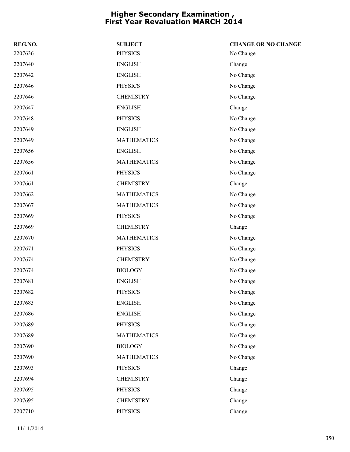| REG.NO. | <b>SUBJECT</b>     | <b>CHANGE OR NO CHANGE</b> |
|---------|--------------------|----------------------------|
| 2207636 | <b>PHYSICS</b>     | No Change                  |
| 2207640 | <b>ENGLISH</b>     | Change                     |
| 2207642 | <b>ENGLISH</b>     | No Change                  |
| 2207646 | <b>PHYSICS</b>     | No Change                  |
| 2207646 | <b>CHEMISTRY</b>   | No Change                  |
| 2207647 | <b>ENGLISH</b>     | Change                     |
| 2207648 | <b>PHYSICS</b>     | No Change                  |
| 2207649 | <b>ENGLISH</b>     | No Change                  |
| 2207649 | <b>MATHEMATICS</b> | No Change                  |
| 2207656 | <b>ENGLISH</b>     | No Change                  |
| 2207656 | <b>MATHEMATICS</b> | No Change                  |
| 2207661 | <b>PHYSICS</b>     | No Change                  |
| 2207661 | <b>CHEMISTRY</b>   | Change                     |
| 2207662 | <b>MATHEMATICS</b> | No Change                  |
| 2207667 | <b>MATHEMATICS</b> | No Change                  |
| 2207669 | <b>PHYSICS</b>     | No Change                  |
| 2207669 | <b>CHEMISTRY</b>   | Change                     |
| 2207670 | <b>MATHEMATICS</b> | No Change                  |
| 2207671 | <b>PHYSICS</b>     | No Change                  |
| 2207674 | <b>CHEMISTRY</b>   | No Change                  |
| 2207674 | <b>BIOLOGY</b>     | No Change                  |
| 2207681 | <b>ENGLISH</b>     | No Change                  |
| 2207682 | <b>PHYSICS</b>     | No Change                  |
| 2207683 | <b>ENGLISH</b>     | No Change                  |
| 2207686 | <b>ENGLISH</b>     | No Change                  |
| 2207689 | <b>PHYSICS</b>     | No Change                  |
| 2207689 | <b>MATHEMATICS</b> | No Change                  |
| 2207690 | <b>BIOLOGY</b>     | No Change                  |
| 2207690 | <b>MATHEMATICS</b> | No Change                  |
| 2207693 | <b>PHYSICS</b>     | Change                     |
| 2207694 | <b>CHEMISTRY</b>   | Change                     |
| 2207695 | <b>PHYSICS</b>     | Change                     |
| 2207695 | <b>CHEMISTRY</b>   | Change                     |
| 2207710 | <b>PHYSICS</b>     | Change                     |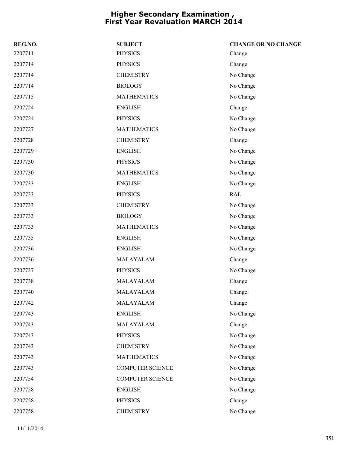| REG.NO. | <b>SUBJECT</b>          | <b>CHANGE OR NO CHANGE</b> |
|---------|-------------------------|----------------------------|
| 2207711 | <b>PHYSICS</b>          | Change                     |
| 2207714 | <b>PHYSICS</b>          | Change                     |
| 2207714 | <b>CHEMISTRY</b>        | No Change                  |
| 2207714 | <b>BIOLOGY</b>          | No Change                  |
| 2207715 | <b>MATHEMATICS</b>      | No Change                  |
| 2207724 | <b>ENGLISH</b>          | Change                     |
| 2207724 | <b>PHYSICS</b>          | No Change                  |
| 2207727 | <b>MATHEMATICS</b>      | No Change                  |
| 2207728 | <b>CHEMISTRY</b>        | Change                     |
| 2207729 | <b>ENGLISH</b>          | No Change                  |
| 2207730 | <b>PHYSICS</b>          | No Change                  |
| 2207730 | <b>MATHEMATICS</b>      | No Change                  |
| 2207733 | <b>ENGLISH</b>          | No Change                  |
| 2207733 | <b>PHYSICS</b>          | <b>RAL</b>                 |
| 2207733 | <b>CHEMISTRY</b>        | No Change                  |
| 2207733 | <b>BIOLOGY</b>          | No Change                  |
| 2207733 | <b>MATHEMATICS</b>      | No Change                  |
| 2207735 | <b>ENGLISH</b>          | No Change                  |
| 2207736 | <b>ENGLISH</b>          | No Change                  |
| 2207736 | MALAYALAM               | Change                     |
| 2207737 | <b>PHYSICS</b>          | No Change                  |
| 2207738 | MALAYALAM               | Change                     |
| 2207740 | MALAYALAM               | Change                     |
| 2207742 | MALAYALAM               | Change                     |
| 2207743 | <b>ENGLISH</b>          | No Change                  |
| 2207743 | MALAYALAM               | Change                     |
| 2207743 | <b>PHYSICS</b>          | No Change                  |
| 2207743 | <b>CHEMISTRY</b>        | No Change                  |
| 2207743 | <b>MATHEMATICS</b>      | No Change                  |
| 2207743 | <b>COMPUTER SCIENCE</b> | No Change                  |
| 2207754 | <b>COMPUTER SCIENCE</b> | No Change                  |
| 2207758 | <b>ENGLISH</b>          | No Change                  |
| 2207758 | <b>PHYSICS</b>          | Change                     |
| 2207758 | <b>CHEMISTRY</b>        | No Change                  |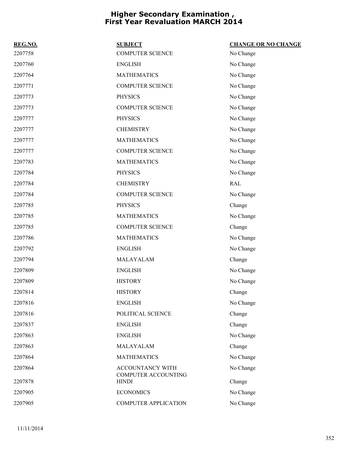| REG.NO. | <b>SUBJECT</b>                          | <b>CHANGE OR NO CHANGE</b> |
|---------|-----------------------------------------|----------------------------|
| 2207758 | <b>COMPUTER SCIENCE</b>                 | No Change                  |
| 2207760 | <b>ENGLISH</b>                          | No Change                  |
| 2207764 | <b>MATHEMATICS</b>                      | No Change                  |
| 2207771 | <b>COMPUTER SCIENCE</b>                 | No Change                  |
| 2207773 | <b>PHYSICS</b>                          | No Change                  |
| 2207773 | <b>COMPUTER SCIENCE</b>                 | No Change                  |
| 2207777 | <b>PHYSICS</b>                          | No Change                  |
| 2207777 | <b>CHEMISTRY</b>                        | No Change                  |
| 2207777 | <b>MATHEMATICS</b>                      | No Change                  |
| 2207777 | <b>COMPUTER SCIENCE</b>                 | No Change                  |
| 2207783 | <b>MATHEMATICS</b>                      | No Change                  |
| 2207784 | <b>PHYSICS</b>                          | No Change                  |
| 2207784 | <b>CHEMISTRY</b>                        | RAL                        |
| 2207784 | <b>COMPUTER SCIENCE</b>                 | No Change                  |
| 2207785 | <b>PHYSICS</b>                          | Change                     |
| 2207785 | <b>MATHEMATICS</b>                      | No Change                  |
| 2207785 | <b>COMPUTER SCIENCE</b>                 | Change                     |
| 2207786 | <b>MATHEMATICS</b>                      | No Change                  |
| 2207792 | <b>ENGLISH</b>                          | No Change                  |
| 2207794 | MALAYALAM                               | Change                     |
| 2207809 | <b>ENGLISH</b>                          | No Change                  |
| 2207809 | <b>HISTORY</b>                          | No Change                  |
| 2207814 | <b>HISTORY</b>                          | Change                     |
| 2207816 | <b>ENGLISH</b>                          | No Change                  |
| 2207816 | POLITICAL SCIENCE                       | Change                     |
| 2207837 | <b>ENGLISH</b>                          | Change                     |
| 2207863 | <b>ENGLISH</b>                          | No Change                  |
| 2207863 | MALAYALAM                               | Change                     |
| 2207864 | <b>MATHEMATICS</b>                      | No Change                  |
| 2207864 | ACCOUNTANCY WITH<br>COMPUTER ACCOUNTING | No Change                  |
| 2207878 | <b>HINDI</b>                            | Change                     |
| 2207905 | <b>ECONOMICS</b>                        | No Change                  |
| 2207905 | <b>COMPUTER APPLICATION</b>             | No Change                  |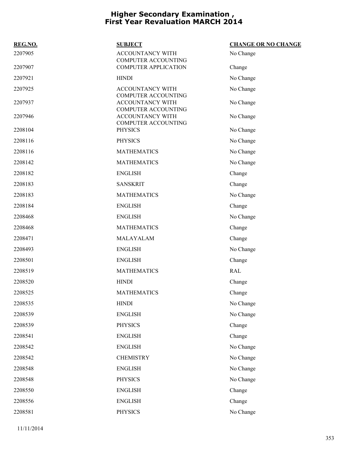| REG.NO. | <b>SUBJECT</b>                                 | <b>CHANGE OR NO CHANGE</b> |
|---------|------------------------------------------------|----------------------------|
| 2207905 | ACCOUNTANCY WITH<br><b>COMPUTER ACCOUNTING</b> | No Change                  |
| 2207907 | <b>COMPUTER APPLICATION</b>                    | Change                     |
| 2207921 | <b>HINDI</b>                                   | No Change                  |
| 2207925 | ACCOUNTANCY WITH<br><b>COMPUTER ACCOUNTING</b> | No Change                  |
| 2207937 | ACCOUNTANCY WITH<br><b>COMPUTER ACCOUNTING</b> | No Change                  |
| 2207946 | ACCOUNTANCY WITH<br>COMPUTER ACCOUNTING        | No Change                  |
| 2208104 | <b>PHYSICS</b>                                 | No Change                  |
| 2208116 | <b>PHYSICS</b>                                 | No Change                  |
| 2208116 | <b>MATHEMATICS</b>                             | No Change                  |
| 2208142 | <b>MATHEMATICS</b>                             | No Change                  |
| 2208182 | <b>ENGLISH</b>                                 | Change                     |
| 2208183 | <b>SANSKRIT</b>                                | Change                     |
| 2208183 | <b>MATHEMATICS</b>                             | No Change                  |
| 2208184 | <b>ENGLISH</b>                                 | Change                     |
| 2208468 | <b>ENGLISH</b>                                 | No Change                  |
| 2208468 | <b>MATHEMATICS</b>                             | Change                     |
| 2208471 | MALAYALAM                                      | Change                     |
| 2208493 | <b>ENGLISH</b>                                 | No Change                  |
| 2208501 | <b>ENGLISH</b>                                 | Change                     |
| 2208519 | <b>MATHEMATICS</b>                             | <b>RAL</b>                 |
| 2208520 | <b>HINDI</b>                                   | Change                     |
| 2208525 | <b>MATHEMATICS</b>                             | Change                     |
| 2208535 | <b>HINDI</b>                                   | No Change                  |
| 2208539 | <b>ENGLISH</b>                                 | No Change                  |
| 2208539 | <b>PHYSICS</b>                                 | Change                     |
| 2208541 | <b>ENGLISH</b>                                 | Change                     |
| 2208542 | <b>ENGLISH</b>                                 | No Change                  |
| 2208542 | <b>CHEMISTRY</b>                               | No Change                  |
| 2208548 | <b>ENGLISH</b>                                 | No Change                  |
| 2208548 | <b>PHYSICS</b>                                 | No Change                  |
| 2208550 | <b>ENGLISH</b>                                 | Change                     |
| 2208556 | <b>ENGLISH</b>                                 | Change                     |
| 2208581 | <b>PHYSICS</b>                                 | No Change                  |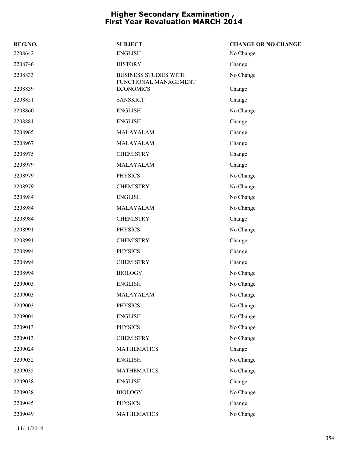| REG.NO. | <b>SUBJECT</b>                                        | <b>CHANGE OR NO CHANGE</b> |
|---------|-------------------------------------------------------|----------------------------|
| 2208642 | <b>ENGLISH</b>                                        | No Change                  |
| 2208746 | <b>HISTORY</b>                                        | Change                     |
| 2208833 | <b>BUSINESS STUDIES WITH</b><br>FUNCTIONAL MANAGEMENT | No Change                  |
| 2208839 | <b>ECONOMICS</b>                                      | Change                     |
| 2208851 | <b>SANSKRIT</b>                                       | Change                     |
| 2208860 | <b>ENGLISH</b>                                        | No Change                  |
| 2208881 | <b>ENGLISH</b>                                        | Change                     |
| 2208965 | MALAYALAM                                             | Change                     |
| 2208967 | MALAYALAM                                             | Change                     |
| 2208975 | <b>CHEMISTRY</b>                                      | Change                     |
| 2208979 | MALAYALAM                                             | Change                     |
| 2208979 | <b>PHYSICS</b>                                        | No Change                  |
| 2208979 | <b>CHEMISTRY</b>                                      | No Change                  |
| 2208984 | <b>ENGLISH</b>                                        | No Change                  |
| 2208984 | MALAYALAM                                             | No Change                  |
| 2208984 | <b>CHEMISTRY</b>                                      | Change                     |
| 2208991 | <b>PHYSICS</b>                                        | No Change                  |
| 2208991 | <b>CHEMISTRY</b>                                      | Change                     |
| 2208994 | <b>PHYSICS</b>                                        | Change                     |
| 2208994 | <b>CHEMISTRY</b>                                      | Change                     |
| 2208994 | <b>BIOLOGY</b>                                        | No Change                  |
| 2209003 | <b>ENGLISH</b>                                        | No Change                  |
| 2209003 | MALAYALAM                                             | No Change                  |
| 2209003 | PHYSICS                                               | No Change                  |
| 2209004 | <b>ENGLISH</b>                                        | No Change                  |
| 2209013 | <b>PHYSICS</b>                                        | No Change                  |
| 2209013 | <b>CHEMISTRY</b>                                      | No Change                  |
| 2209024 | <b>MATHEMATICS</b>                                    | Change                     |
| 2209032 | <b>ENGLISH</b>                                        | No Change                  |
| 2209035 | <b>MATHEMATICS</b>                                    | No Change                  |
| 2209038 | <b>ENGLISH</b>                                        | Change                     |
| 2209038 | <b>BIOLOGY</b>                                        | No Change                  |
| 2209045 | <b>PHYSICS</b>                                        | Change                     |
| 2209049 | <b>MATHEMATICS</b>                                    | No Change                  |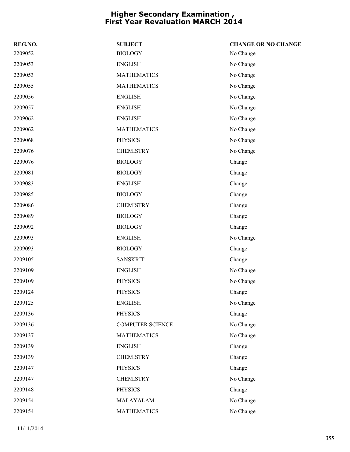| REG.NO. | <b>SUBJECT</b>          | <b>CHANGE OR NO CHANGE</b> |
|---------|-------------------------|----------------------------|
| 2209052 | <b>BIOLOGY</b>          | No Change                  |
| 2209053 | <b>ENGLISH</b>          | No Change                  |
| 2209053 | <b>MATHEMATICS</b>      | No Change                  |
| 2209055 | <b>MATHEMATICS</b>      | No Change                  |
| 2209056 | <b>ENGLISH</b>          | No Change                  |
| 2209057 | <b>ENGLISH</b>          | No Change                  |
| 2209062 | <b>ENGLISH</b>          | No Change                  |
| 2209062 | <b>MATHEMATICS</b>      | No Change                  |
| 2209068 | <b>PHYSICS</b>          | No Change                  |
| 2209076 | <b>CHEMISTRY</b>        | No Change                  |
| 2209076 | <b>BIOLOGY</b>          | Change                     |
| 2209081 | <b>BIOLOGY</b>          | Change                     |
| 2209083 | <b>ENGLISH</b>          | Change                     |
| 2209085 | <b>BIOLOGY</b>          | Change                     |
| 2209086 | <b>CHEMISTRY</b>        | Change                     |
| 2209089 | <b>BIOLOGY</b>          | Change                     |
| 2209092 | <b>BIOLOGY</b>          | Change                     |
| 2209093 | <b>ENGLISH</b>          | No Change                  |
| 2209093 | <b>BIOLOGY</b>          | Change                     |
| 2209105 | <b>SANSKRIT</b>         | Change                     |
| 2209109 | <b>ENGLISH</b>          | No Change                  |
| 2209109 | <b>PHYSICS</b>          | No Change                  |
| 2209124 | <b>PHYSICS</b>          | Change                     |
| 2209125 | <b>ENGLISH</b>          | No Change                  |
| 2209136 | <b>PHYSICS</b>          | Change                     |
| 2209136 | <b>COMPUTER SCIENCE</b> | No Change                  |
| 2209137 | <b>MATHEMATICS</b>      | No Change                  |
| 2209139 | <b>ENGLISH</b>          | Change                     |
| 2209139 | <b>CHEMISTRY</b>        | Change                     |
| 2209147 | <b>PHYSICS</b>          | Change                     |
| 2209147 | <b>CHEMISTRY</b>        | No Change                  |
| 2209148 | <b>PHYSICS</b>          | Change                     |
| 2209154 | MALAYALAM               | No Change                  |
| 2209154 | <b>MATHEMATICS</b>      | No Change                  |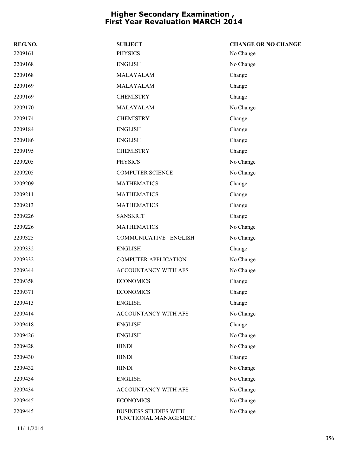| REG.NO. | <b>SUBJECT</b>                                        | <b>CHANGE OR NO CHANGE</b> |
|---------|-------------------------------------------------------|----------------------------|
| 2209161 | <b>PHYSICS</b>                                        | No Change                  |
| 2209168 | <b>ENGLISH</b>                                        | No Change                  |
| 2209168 | MALAYALAM                                             | Change                     |
| 2209169 | MALAYALAM                                             | Change                     |
| 2209169 | <b>CHEMISTRY</b>                                      | Change                     |
| 2209170 | MALAYALAM                                             | No Change                  |
| 2209174 | <b>CHEMISTRY</b>                                      | Change                     |
| 2209184 | <b>ENGLISH</b>                                        | Change                     |
| 2209186 | <b>ENGLISH</b>                                        | Change                     |
| 2209195 | <b>CHEMISTRY</b>                                      | Change                     |
| 2209205 | <b>PHYSICS</b>                                        | No Change                  |
| 2209205 | <b>COMPUTER SCIENCE</b>                               | No Change                  |
| 2209209 | <b>MATHEMATICS</b>                                    | Change                     |
| 2209211 | <b>MATHEMATICS</b>                                    | Change                     |
| 2209213 | <b>MATHEMATICS</b>                                    | Change                     |
| 2209226 | <b>SANSKRIT</b>                                       | Change                     |
| 2209226 | <b>MATHEMATICS</b>                                    | No Change                  |
| 2209325 | COMMUNICATIVE ENGLISH                                 | No Change                  |
| 2209332 | <b>ENGLISH</b>                                        | Change                     |
| 2209332 | <b>COMPUTER APPLICATION</b>                           | No Change                  |
| 2209344 | ACCOUNTANCY WITH AFS                                  | No Change                  |
| 2209358 | <b>ECONOMICS</b>                                      | Change                     |
| 2209371 | <b>ECONOMICS</b>                                      | Change                     |
| 2209413 | <b>ENGLISH</b>                                        | Change                     |
| 2209414 | ACCOUNTANCY WITH AFS                                  | No Change                  |
| 2209418 | <b>ENGLISH</b>                                        | Change                     |
| 2209426 | <b>ENGLISH</b>                                        | No Change                  |
| 2209428 | <b>HINDI</b>                                          | No Change                  |
| 2209430 | <b>HINDI</b>                                          | Change                     |
| 2209432 | <b>HINDI</b>                                          | No Change                  |
| 2209434 | <b>ENGLISH</b>                                        | No Change                  |
| 2209434 | ACCOUNTANCY WITH AFS                                  | No Change                  |
| 2209445 | <b>ECONOMICS</b>                                      | No Change                  |
| 2209445 | <b>BUSINESS STUDIES WITH</b><br>FUNCTIONAL MANAGEMENT | No Change                  |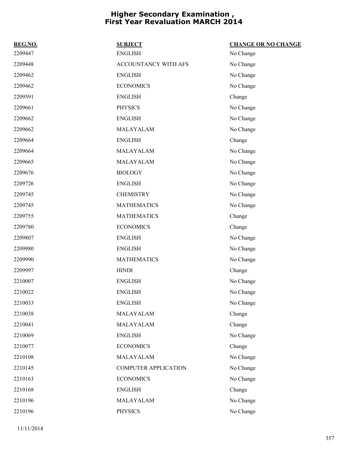| REG.NO. | <b>SUBJECT</b>              | <b>CHANGE OR NO CHANGE</b> |
|---------|-----------------------------|----------------------------|
| 2209447 | <b>ENGLISH</b>              | No Change                  |
| 2209448 | ACCOUNTANCY WITH AFS        | No Change                  |
| 2209462 | <b>ENGLISH</b>              | No Change                  |
| 2209462 | <b>ECONOMICS</b>            | No Change                  |
| 2209591 | <b>ENGLISH</b>              | Change                     |
| 2209661 | <b>PHYSICS</b>              | No Change                  |
| 2209662 | <b>ENGLISH</b>              | No Change                  |
| 2209662 | MALAYALAM                   | No Change                  |
| 2209664 | <b>ENGLISH</b>              | Change                     |
| 2209664 | MALAYALAM                   | No Change                  |
| 2209665 | MALAYALAM                   | No Change                  |
| 2209676 | <b>BIOLOGY</b>              | No Change                  |
| 2209726 | <b>ENGLISH</b>              | No Change                  |
| 2209745 | <b>CHEMISTRY</b>            | No Change                  |
| 2209745 | <b>MATHEMATICS</b>          | No Change                  |
| 2209755 | <b>MATHEMATICS</b>          | Change                     |
| 2209780 | <b>ECONOMICS</b>            | Change                     |
| 2209807 | <b>ENGLISH</b>              | No Change                  |
| 2209980 | <b>ENGLISH</b>              | No Change                  |
| 2209990 | <b>MATHEMATICS</b>          | No Change                  |
| 2209997 | <b>HINDI</b>                | Change                     |
| 2210007 | <b>ENGLISH</b>              | No Change                  |
| 2210022 | <b>ENGLISH</b>              | No Change                  |
| 2210033 | <b>ENGLISH</b>              | No Change                  |
| 2210038 | MALAYALAM                   | Change                     |
| 2210041 | MALAYALAM                   | Change                     |
| 2210069 | <b>ENGLISH</b>              | No Change                  |
| 2210077 | <b>ECONOMICS</b>            | Change                     |
| 2210108 | MALAYALAM                   | No Change                  |
| 2210145 | <b>COMPUTER APPLICATION</b> | No Change                  |
| 2210163 | <b>ECONOMICS</b>            | No Change                  |
| 2210168 | <b>ENGLISH</b>              | Change                     |
| 2210196 | MALAYALAM                   | No Change                  |
| 2210196 | <b>PHYSICS</b>              | No Change                  |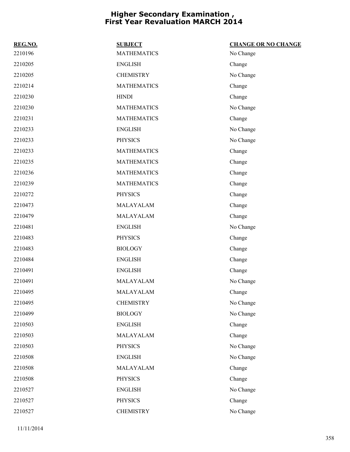| REG.NO. | <b>SUBJECT</b>     | <b>CHANGE OR NO CHANGE</b> |
|---------|--------------------|----------------------------|
| 2210196 | <b>MATHEMATICS</b> | No Change                  |
| 2210205 | <b>ENGLISH</b>     | Change                     |
| 2210205 | <b>CHEMISTRY</b>   | No Change                  |
| 2210214 | <b>MATHEMATICS</b> | Change                     |
| 2210230 | <b>HINDI</b>       | Change                     |
| 2210230 | <b>MATHEMATICS</b> | No Change                  |
| 2210231 | <b>MATHEMATICS</b> | Change                     |
| 2210233 | <b>ENGLISH</b>     | No Change                  |
| 2210233 | <b>PHYSICS</b>     | No Change                  |
| 2210233 | <b>MATHEMATICS</b> | Change                     |
| 2210235 | <b>MATHEMATICS</b> | Change                     |
| 2210236 | <b>MATHEMATICS</b> | Change                     |
| 2210239 | <b>MATHEMATICS</b> | Change                     |
| 2210272 | <b>PHYSICS</b>     | Change                     |
| 2210473 | MALAYALAM          | Change                     |
| 2210479 | MALAYALAM          | Change                     |
| 2210481 | <b>ENGLISH</b>     | No Change                  |
| 2210483 | <b>PHYSICS</b>     | Change                     |
| 2210483 | <b>BIOLOGY</b>     | Change                     |
| 2210484 | <b>ENGLISH</b>     | Change                     |
| 2210491 | <b>ENGLISH</b>     | Change                     |
| 2210491 | MALAYALAM          | No Change                  |
| 2210495 | MALAYALAM          | Change                     |
| 2210495 | <b>CHEMISTRY</b>   | No Change                  |
| 2210499 | <b>BIOLOGY</b>     | No Change                  |
| 2210503 | <b>ENGLISH</b>     | Change                     |
| 2210503 | MALAYALAM          | Change                     |
| 2210503 | <b>PHYSICS</b>     | No Change                  |
| 2210508 | <b>ENGLISH</b>     | No Change                  |
| 2210508 | MALAYALAM          | Change                     |
| 2210508 | <b>PHYSICS</b>     | Change                     |
| 2210527 | <b>ENGLISH</b>     | No Change                  |
| 2210527 | <b>PHYSICS</b>     | Change                     |
| 2210527 | <b>CHEMISTRY</b>   | No Change                  |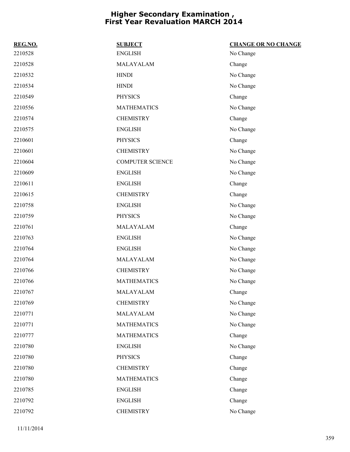| REG.NO. | <b>SUBJECT</b>          | <b>CHANGE OR NO CHANGE</b> |
|---------|-------------------------|----------------------------|
| 2210528 | <b>ENGLISH</b>          | No Change                  |
| 2210528 | MALAYALAM               | Change                     |
| 2210532 | <b>HINDI</b>            | No Change                  |
| 2210534 | <b>HINDI</b>            | No Change                  |
| 2210549 | <b>PHYSICS</b>          | Change                     |
| 2210556 | <b>MATHEMATICS</b>      | No Change                  |
| 2210574 | <b>CHEMISTRY</b>        | Change                     |
| 2210575 | <b>ENGLISH</b>          | No Change                  |
| 2210601 | <b>PHYSICS</b>          | Change                     |
| 2210601 | <b>CHEMISTRY</b>        | No Change                  |
| 2210604 | <b>COMPUTER SCIENCE</b> | No Change                  |
| 2210609 | <b>ENGLISH</b>          | No Change                  |
| 2210611 | <b>ENGLISH</b>          | Change                     |
| 2210615 | <b>CHEMISTRY</b>        | Change                     |
| 2210758 | <b>ENGLISH</b>          | No Change                  |
| 2210759 | <b>PHYSICS</b>          | No Change                  |
| 2210761 | MALAYALAM               | Change                     |
| 2210763 | <b>ENGLISH</b>          | No Change                  |
| 2210764 | <b>ENGLISH</b>          | No Change                  |
| 2210764 | MALAYALAM               | No Change                  |
| 2210766 | <b>CHEMISTRY</b>        | No Change                  |
| 2210766 | <b>MATHEMATICS</b>      | No Change                  |
| 2210767 | MALAYALAM               | Change                     |
| 2210769 | <b>CHEMISTRY</b>        | No Change                  |
| 2210771 | MALAYALAM               | No Change                  |
| 2210771 | <b>MATHEMATICS</b>      | No Change                  |
| 2210777 | <b>MATHEMATICS</b>      | Change                     |
| 2210780 | <b>ENGLISH</b>          | No Change                  |
| 2210780 | <b>PHYSICS</b>          | Change                     |
| 2210780 | <b>CHEMISTRY</b>        | Change                     |
| 2210780 | <b>MATHEMATICS</b>      | Change                     |
| 2210785 | <b>ENGLISH</b>          | Change                     |
| 2210792 | <b>ENGLISH</b>          | Change                     |
| 2210792 | <b>CHEMISTRY</b>        | No Change                  |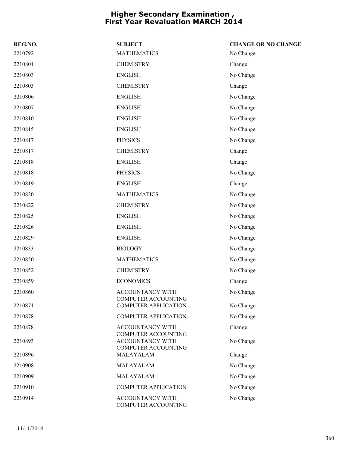| REG.NO. | <b>SUBJECT</b>                                        | <b>CHANGE OR NO CHANGE</b> |
|---------|-------------------------------------------------------|----------------------------|
| 2210792 | <b>MATHEMATICS</b>                                    | No Change                  |
| 2210801 | <b>CHEMISTRY</b>                                      | Change                     |
| 2210803 | <b>ENGLISH</b>                                        | No Change                  |
| 2210803 | <b>CHEMISTRY</b>                                      | Change                     |
| 2210806 | <b>ENGLISH</b>                                        | No Change                  |
| 2210807 | <b>ENGLISH</b>                                        | No Change                  |
| 2210810 | <b>ENGLISH</b>                                        | No Change                  |
| 2210815 | <b>ENGLISH</b>                                        | No Change                  |
| 2210817 | <b>PHYSICS</b>                                        | No Change                  |
| 2210817 | <b>CHEMISTRY</b>                                      | Change                     |
| 2210818 | <b>ENGLISH</b>                                        | Change                     |
| 2210818 | <b>PHYSICS</b>                                        | No Change                  |
| 2210819 | <b>ENGLISH</b>                                        | Change                     |
| 2210820 | <b>MATHEMATICS</b>                                    | No Change                  |
| 2210822 | <b>CHEMISTRY</b>                                      | No Change                  |
| 2210825 | <b>ENGLISH</b>                                        | No Change                  |
| 2210826 | <b>ENGLISH</b>                                        | No Change                  |
| 2210829 | <b>ENGLISH</b>                                        | No Change                  |
| 2210833 | <b>BIOLOGY</b>                                        | No Change                  |
| 2210850 | <b>MATHEMATICS</b>                                    | No Change                  |
| 2210852 | <b>CHEMISTRY</b>                                      | No Change                  |
| 2210859 | <b>ECONOMICS</b>                                      | Change                     |
| 2210860 | <b>ACCOUNTANCY WITH</b><br>COMPUTER ACCOUNTING        | No Change                  |
| 2210871 | <b>COMPUTER APPLICATION</b>                           | No Change                  |
| 2210878 | <b>COMPUTER APPLICATION</b>                           | No Change                  |
| 2210878 | ACCOUNTANCY WITH<br><b>COMPUTER ACCOUNTING</b>        | Change                     |
| 2210893 | <b>ACCOUNTANCY WITH</b><br><b>COMPUTER ACCOUNTING</b> | No Change                  |
| 2210896 | MALAYALAM                                             | Change                     |
| 2210908 | MALAYALAM                                             | No Change                  |
| 2210909 | MALAYALAM                                             | No Change                  |
| 2210910 | <b>COMPUTER APPLICATION</b>                           | No Change                  |
| 2210914 | ACCOUNTANCY WITH<br>COMPUTER ACCOUNTING               | No Change                  |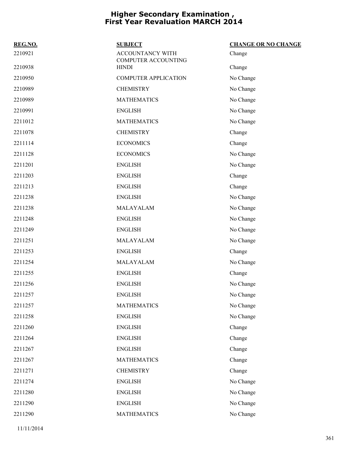| REG.NO. | <b>SUBJECT</b>                          | <b>CHANGE OR NO CHANGE</b> |
|---------|-----------------------------------------|----------------------------|
| 2210921 | ACCOUNTANCY WITH<br>COMPUTER ACCOUNTING | Change                     |
| 2210938 | <b>HINDI</b>                            | Change                     |
| 2210950 | <b>COMPUTER APPLICATION</b>             | No Change                  |
| 2210989 | <b>CHEMISTRY</b>                        | No Change                  |
| 2210989 | <b>MATHEMATICS</b>                      | No Change                  |
| 2210991 | <b>ENGLISH</b>                          | No Change                  |
| 2211012 | <b>MATHEMATICS</b>                      | No Change                  |
| 2211078 | <b>CHEMISTRY</b>                        | Change                     |
| 2211114 | <b>ECONOMICS</b>                        | Change                     |
| 2211128 | <b>ECONOMICS</b>                        | No Change                  |
| 2211201 | <b>ENGLISH</b>                          | No Change                  |
| 2211203 | <b>ENGLISH</b>                          | Change                     |
| 2211213 | <b>ENGLISH</b>                          | Change                     |
| 2211238 | <b>ENGLISH</b>                          | No Change                  |
| 2211238 | MALAYALAM                               | No Change                  |
| 2211248 | <b>ENGLISH</b>                          | No Change                  |
| 2211249 | <b>ENGLISH</b>                          | No Change                  |
| 2211251 | MALAYALAM                               | No Change                  |
| 2211253 | <b>ENGLISH</b>                          | Change                     |
| 2211254 | MALAYALAM                               | No Change                  |
| 2211255 | <b>ENGLISH</b>                          | Change                     |
| 2211256 | <b>ENGLISH</b>                          | No Change                  |
| 2211257 | <b>ENGLISH</b>                          | No Change                  |
| 2211257 | <b>MATHEMATICS</b>                      | No Change                  |
| 2211258 | <b>ENGLISH</b>                          | No Change                  |
| 2211260 | <b>ENGLISH</b>                          | Change                     |
| 2211264 | <b>ENGLISH</b>                          | Change                     |
| 2211267 | <b>ENGLISH</b>                          | Change                     |
| 2211267 | <b>MATHEMATICS</b>                      | Change                     |
| 2211271 | <b>CHEMISTRY</b>                        | Change                     |
| 2211274 | <b>ENGLISH</b>                          | No Change                  |
| 2211280 | <b>ENGLISH</b>                          | No Change                  |
| 2211290 | <b>ENGLISH</b>                          | No Change                  |
| 2211290 | <b>MATHEMATICS</b>                      | No Change                  |
|         |                                         |                            |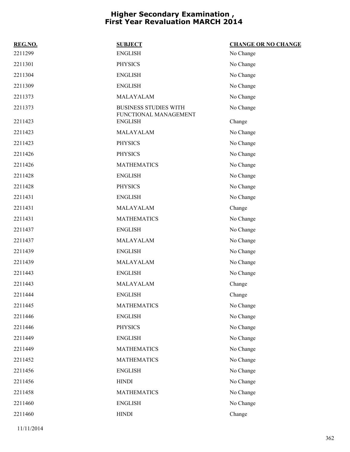| REG.NO. | <b>SUBJECT</b>                          | <b>CHANGE OR NO CHANGE</b> |
|---------|-----------------------------------------|----------------------------|
| 2211299 | <b>ENGLISH</b>                          | No Change                  |
| 2211301 | <b>PHYSICS</b>                          | No Change                  |
| 2211304 | <b>ENGLISH</b>                          | No Change                  |
| 2211309 | <b>ENGLISH</b>                          | No Change                  |
| 2211373 | MALAYALAM                               | No Change                  |
| 2211373 | <b>BUSINESS STUDIES WITH</b>            | No Change                  |
| 2211423 | FUNCTIONAL MANAGEMENT<br><b>ENGLISH</b> | Change                     |
| 2211423 | MALAYALAM                               | No Change                  |
| 2211423 | <b>PHYSICS</b>                          | No Change                  |
| 2211426 | <b>PHYSICS</b>                          | No Change                  |
| 2211426 | <b>MATHEMATICS</b>                      | No Change                  |
| 2211428 | <b>ENGLISH</b>                          | No Change                  |
| 2211428 | <b>PHYSICS</b>                          | No Change                  |
| 2211431 | <b>ENGLISH</b>                          | No Change                  |
| 2211431 | MALAYALAM                               | Change                     |
| 2211431 | <b>MATHEMATICS</b>                      | No Change                  |
| 2211437 | <b>ENGLISH</b>                          | No Change                  |
| 2211437 | MALAYALAM                               | No Change                  |
| 2211439 | <b>ENGLISH</b>                          | No Change                  |
| 2211439 | MALAYALAM                               | No Change                  |
| 2211443 | <b>ENGLISH</b>                          | No Change                  |
| 2211443 | MALAYALAM                               | Change                     |
| 2211444 | <b>ENGLISH</b>                          | Change                     |
| 2211445 | <b>MATHEMATICS</b>                      | No Change                  |
| 2211446 | <b>ENGLISH</b>                          | No Change                  |
| 2211446 | PHYSICS                                 | No Change                  |
| 2211449 | <b>ENGLISH</b>                          | No Change                  |
| 2211449 | <b>MATHEMATICS</b>                      | No Change                  |
| 2211452 | <b>MATHEMATICS</b>                      | No Change                  |
| 2211456 | <b>ENGLISH</b>                          | No Change                  |
| 2211456 | <b>HINDI</b>                            | No Change                  |
| 2211458 | <b>MATHEMATICS</b>                      | No Change                  |
| 2211460 | <b>ENGLISH</b>                          | No Change                  |
| 2211460 | <b>HINDI</b>                            | Change                     |
|         |                                         |                            |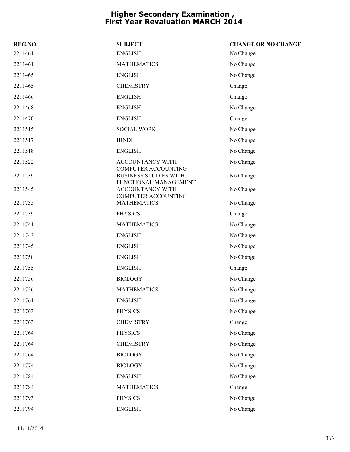| REG.NO. | <b>SUBJECT</b>                                                               | <b>CHANGE OR NO CHANGE</b> |
|---------|------------------------------------------------------------------------------|----------------------------|
| 2211461 | <b>ENGLISH</b>                                                               | No Change                  |
| 2211461 | <b>MATHEMATICS</b>                                                           | No Change                  |
| 2211465 | <b>ENGLISH</b>                                                               | No Change                  |
| 2211465 | <b>CHEMISTRY</b>                                                             | Change                     |
| 2211466 | <b>ENGLISH</b>                                                               | Change                     |
| 2211468 | <b>ENGLISH</b>                                                               | No Change                  |
| 2211470 | <b>ENGLISH</b>                                                               | Change                     |
| 2211515 | <b>SOCIAL WORK</b>                                                           | No Change                  |
| 2211517 | <b>HINDI</b>                                                                 | No Change                  |
| 2211518 | <b>ENGLISH</b>                                                               | No Change                  |
| 2211522 | ACCOUNTANCY WITH                                                             | No Change                  |
| 2211539 | COMPUTER ACCOUNTING<br><b>BUSINESS STUDIES WITH</b><br>FUNCTIONAL MANAGEMENT | No Change                  |
| 2211545 | ACCOUNTANCY WITH                                                             | No Change                  |
| 2211735 | <b>COMPUTER ACCOUNTING</b><br><b>MATHEMATICS</b>                             | No Change                  |
| 2211739 | <b>PHYSICS</b>                                                               | Change                     |
| 2211741 | <b>MATHEMATICS</b>                                                           | No Change                  |
| 2211743 | <b>ENGLISH</b>                                                               | No Change                  |
| 2211745 | <b>ENGLISH</b>                                                               | No Change                  |
| 2211750 | <b>ENGLISH</b>                                                               | No Change                  |
| 2211755 | <b>ENGLISH</b>                                                               | Change                     |
| 2211756 | <b>BIOLOGY</b>                                                               | No Change                  |
| 2211756 | <b>MATHEMATICS</b>                                                           | No Change                  |
| 2211761 | <b>ENGLISH</b>                                                               | No Change                  |
| 2211763 | <b>PHYSICS</b>                                                               | No Change                  |
| 2211763 | <b>CHEMISTRY</b>                                                             | Change                     |
| 2211764 | <b>PHYSICS</b>                                                               | No Change                  |
| 2211764 | <b>CHEMISTRY</b>                                                             | No Change                  |
| 2211764 | <b>BIOLOGY</b>                                                               | No Change                  |
| 2211774 | <b>BIOLOGY</b>                                                               | No Change                  |
| 2211784 | <b>ENGLISH</b>                                                               | No Change                  |
| 2211784 | <b>MATHEMATICS</b>                                                           | Change                     |
| 2211793 | <b>PHYSICS</b>                                                               | No Change                  |
| 2211794 | <b>ENGLISH</b>                                                               | No Change                  |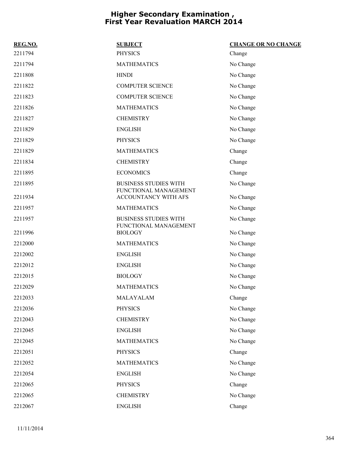| REG.NO. | <b>SUBJECT</b>                                        | <b>CHANGE OR NO CHANGE</b> |
|---------|-------------------------------------------------------|----------------------------|
| 2211794 | <b>PHYSICS</b>                                        | Change                     |
| 2211794 | <b>MATHEMATICS</b>                                    | No Change                  |
| 2211808 | <b>HINDI</b>                                          | No Change                  |
| 2211822 | <b>COMPUTER SCIENCE</b>                               | No Change                  |
| 2211823 | <b>COMPUTER SCIENCE</b>                               | No Change                  |
| 2211826 | <b>MATHEMATICS</b>                                    | No Change                  |
| 2211827 | <b>CHEMISTRY</b>                                      | No Change                  |
| 2211829 | <b>ENGLISH</b>                                        | No Change                  |
| 2211829 | <b>PHYSICS</b>                                        | No Change                  |
| 2211829 | <b>MATHEMATICS</b>                                    | Change                     |
| 2211834 | <b>CHEMISTRY</b>                                      | Change                     |
| 2211895 | <b>ECONOMICS</b>                                      | Change                     |
| 2211895 | <b>BUSINESS STUDIES WITH</b><br>FUNCTIONAL MANAGEMENT | No Change                  |
| 2211934 | ACCOUNTANCY WITH AFS                                  | No Change                  |
| 2211957 | <b>MATHEMATICS</b>                                    | No Change                  |
| 2211957 | <b>BUSINESS STUDIES WITH</b><br>FUNCTIONAL MANAGEMENT | No Change                  |
| 2211996 | <b>BIOLOGY</b>                                        | No Change                  |
| 2212000 | <b>MATHEMATICS</b>                                    | No Change                  |
| 2212002 | <b>ENGLISH</b>                                        | No Change                  |
| 2212012 | <b>ENGLISH</b>                                        | No Change                  |
| 2212015 | <b>BIOLOGY</b>                                        | No Change                  |
| 2212029 | <b>MATHEMATICS</b>                                    | No Change                  |
| 2212033 | MALAYALAM                                             | Change                     |
| 2212036 | <b>PHYSICS</b>                                        | No Change                  |
| 2212043 | <b>CHEMISTRY</b>                                      | No Change                  |
| 2212045 | <b>ENGLISH</b>                                        | No Change                  |
| 2212045 | <b>MATHEMATICS</b>                                    | No Change                  |
| 2212051 | <b>PHYSICS</b>                                        | Change                     |
| 2212052 | <b>MATHEMATICS</b>                                    | No Change                  |
| 2212054 | <b>ENGLISH</b>                                        | No Change                  |
| 2212065 | <b>PHYSICS</b>                                        | Change                     |
| 2212065 | <b>CHEMISTRY</b>                                      | No Change                  |
| 2212067 | <b>ENGLISH</b>                                        | Change                     |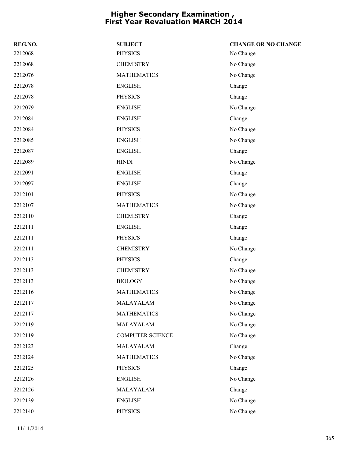| REG.NO. | <b>SUBJECT</b>          | <b>CHANGE OR NO CHANGE</b> |
|---------|-------------------------|----------------------------|
| 2212068 | <b>PHYSICS</b>          | No Change                  |
| 2212068 | <b>CHEMISTRY</b>        | No Change                  |
| 2212076 | <b>MATHEMATICS</b>      | No Change                  |
| 2212078 | <b>ENGLISH</b>          | Change                     |
| 2212078 | <b>PHYSICS</b>          | Change                     |
| 2212079 | <b>ENGLISH</b>          | No Change                  |
| 2212084 | <b>ENGLISH</b>          | Change                     |
| 2212084 | <b>PHYSICS</b>          | No Change                  |
| 2212085 | <b>ENGLISH</b>          | No Change                  |
| 2212087 | <b>ENGLISH</b>          | Change                     |
| 2212089 | <b>HINDI</b>            | No Change                  |
| 2212091 | <b>ENGLISH</b>          | Change                     |
| 2212097 | <b>ENGLISH</b>          | Change                     |
| 2212101 | <b>PHYSICS</b>          | No Change                  |
| 2212107 | <b>MATHEMATICS</b>      | No Change                  |
| 2212110 | <b>CHEMISTRY</b>        | Change                     |
| 2212111 | <b>ENGLISH</b>          | Change                     |
| 2212111 | <b>PHYSICS</b>          | Change                     |
| 2212111 | <b>CHEMISTRY</b>        | No Change                  |
| 2212113 | <b>PHYSICS</b>          | Change                     |
| 2212113 | <b>CHEMISTRY</b>        | No Change                  |
| 2212113 | <b>BIOLOGY</b>          | No Change                  |
| 2212116 | <b>MATHEMATICS</b>      | No Change                  |
| 2212117 | MALAYALAM               | No Change                  |
| 2212117 | <b>MATHEMATICS</b>      | No Change                  |
| 2212119 | MALAYALAM               | No Change                  |
| 2212119 | <b>COMPUTER SCIENCE</b> | No Change                  |
| 2212123 | MALAYALAM               | Change                     |
| 2212124 | <b>MATHEMATICS</b>      | No Change                  |
| 2212125 | <b>PHYSICS</b>          | Change                     |
| 2212126 | <b>ENGLISH</b>          | No Change                  |
| 2212126 | MALAYALAM               | Change                     |
| 2212139 | <b>ENGLISH</b>          | No Change                  |
| 2212140 | <b>PHYSICS</b>          | No Change                  |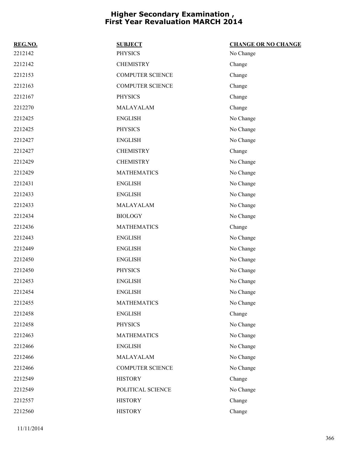| REG.NO. | <b>SUBJECT</b>          | <b>CHANGE OR NO CHANGE</b> |
|---------|-------------------------|----------------------------|
| 2212142 | <b>PHYSICS</b>          | No Change                  |
| 2212142 | <b>CHEMISTRY</b>        | Change                     |
| 2212153 | <b>COMPUTER SCIENCE</b> | Change                     |
| 2212163 | <b>COMPUTER SCIENCE</b> | Change                     |
| 2212167 | <b>PHYSICS</b>          | Change                     |
| 2212270 | MALAYALAM               | Change                     |
| 2212425 | <b>ENGLISH</b>          | No Change                  |
| 2212425 | <b>PHYSICS</b>          | No Change                  |
| 2212427 | <b>ENGLISH</b>          | No Change                  |
| 2212427 | <b>CHEMISTRY</b>        | Change                     |
| 2212429 | <b>CHEMISTRY</b>        | No Change                  |
| 2212429 | <b>MATHEMATICS</b>      | No Change                  |
| 2212431 | <b>ENGLISH</b>          | No Change                  |
| 2212433 | <b>ENGLISH</b>          | No Change                  |
| 2212433 | MALAYALAM               | No Change                  |
| 2212434 | <b>BIOLOGY</b>          | No Change                  |
| 2212436 | <b>MATHEMATICS</b>      | Change                     |
| 2212443 | <b>ENGLISH</b>          | No Change                  |
| 2212449 | <b>ENGLISH</b>          | No Change                  |
| 2212450 | <b>ENGLISH</b>          | No Change                  |
| 2212450 | <b>PHYSICS</b>          | No Change                  |
| 2212453 | <b>ENGLISH</b>          | No Change                  |
| 2212454 | <b>ENGLISH</b>          | No Change                  |
| 2212455 | <b>MATHEMATICS</b>      | No Change                  |
| 2212458 | <b>ENGLISH</b>          | Change                     |
| 2212458 | <b>PHYSICS</b>          | No Change                  |
| 2212463 | <b>MATHEMATICS</b>      | No Change                  |
| 2212466 | <b>ENGLISH</b>          | No Change                  |
| 2212466 | MALAYALAM               | No Change                  |
| 2212466 | COMPUTER SCIENCE        | No Change                  |
| 2212549 | <b>HISTORY</b>          | Change                     |
| 2212549 | POLITICAL SCIENCE       | No Change                  |
| 2212557 | <b>HISTORY</b>          | Change                     |
| 2212560 | <b>HISTORY</b>          | Change                     |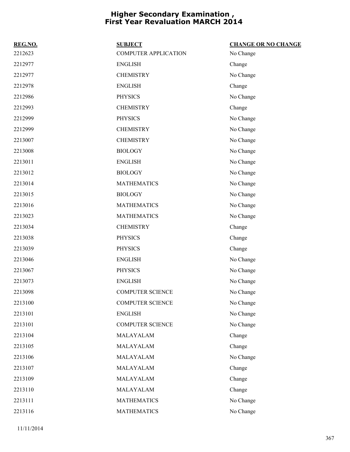| REG.NO. | <b>SUBJECT</b>              | <b>CHANGE OR NO CHANGE</b> |
|---------|-----------------------------|----------------------------|
| 2212623 | <b>COMPUTER APPLICATION</b> | No Change                  |
| 2212977 | <b>ENGLISH</b>              | Change                     |
| 2212977 | <b>CHEMISTRY</b>            | No Change                  |
| 2212978 | <b>ENGLISH</b>              | Change                     |
| 2212986 | <b>PHYSICS</b>              | No Change                  |
| 2212993 | <b>CHEMISTRY</b>            | Change                     |
| 2212999 | <b>PHYSICS</b>              | No Change                  |
| 2212999 | <b>CHEMISTRY</b>            | No Change                  |
| 2213007 | <b>CHEMISTRY</b>            | No Change                  |
| 2213008 | <b>BIOLOGY</b>              | No Change                  |
| 2213011 | <b>ENGLISH</b>              | No Change                  |
| 2213012 | <b>BIOLOGY</b>              | No Change                  |
| 2213014 | <b>MATHEMATICS</b>          | No Change                  |
| 2213015 | <b>BIOLOGY</b>              | No Change                  |
| 2213016 | <b>MATHEMATICS</b>          | No Change                  |
| 2213023 | <b>MATHEMATICS</b>          | No Change                  |
| 2213034 | <b>CHEMISTRY</b>            | Change                     |
| 2213038 | <b>PHYSICS</b>              | Change                     |
| 2213039 | <b>PHYSICS</b>              | Change                     |
| 2213046 | <b>ENGLISH</b>              | No Change                  |
| 2213067 | <b>PHYSICS</b>              | No Change                  |
| 2213073 | <b>ENGLISH</b>              | No Change                  |
| 2213098 | <b>COMPUTER SCIENCE</b>     | No Change                  |
| 2213100 | <b>COMPUTER SCIENCE</b>     | No Change                  |
| 2213101 | <b>ENGLISH</b>              | No Change                  |
| 2213101 | <b>COMPUTER SCIENCE</b>     | No Change                  |
| 2213104 | MALAYALAM                   | Change                     |
| 2213105 | MALAYALAM                   | Change                     |
| 2213106 | MALAYALAM                   | No Change                  |
| 2213107 | MALAYALAM                   | Change                     |
| 2213109 | MALAYALAM                   | Change                     |
| 2213110 | MALAYALAM                   | Change                     |
| 2213111 | <b>MATHEMATICS</b>          | No Change                  |
| 2213116 | <b>MATHEMATICS</b>          | No Change                  |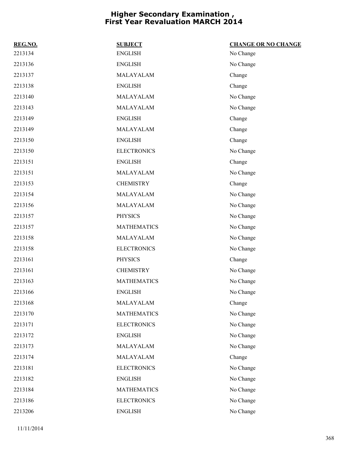| REG.NO. | <b>SUBJECT</b>     | <b>CHANGE OR NO CHANGE</b> |
|---------|--------------------|----------------------------|
| 2213134 | <b>ENGLISH</b>     | No Change                  |
| 2213136 | <b>ENGLISH</b>     | No Change                  |
| 2213137 | MALAYALAM          | Change                     |
| 2213138 | <b>ENGLISH</b>     | Change                     |
| 2213140 | MALAYALAM          | No Change                  |
| 2213143 | MALAYALAM          | No Change                  |
| 2213149 | <b>ENGLISH</b>     | Change                     |
| 2213149 | MALAYALAM          | Change                     |
| 2213150 | <b>ENGLISH</b>     | Change                     |
| 2213150 | <b>ELECTRONICS</b> | No Change                  |
| 2213151 | <b>ENGLISH</b>     | Change                     |
| 2213151 | MALAYALAM          | No Change                  |
| 2213153 | <b>CHEMISTRY</b>   | Change                     |
| 2213154 | MALAYALAM          | No Change                  |
| 2213156 | MALAYALAM          | No Change                  |
| 2213157 | <b>PHYSICS</b>     | No Change                  |
| 2213157 | <b>MATHEMATICS</b> | No Change                  |
| 2213158 | MALAYALAM          | No Change                  |
| 2213158 | <b>ELECTRONICS</b> | No Change                  |
| 2213161 | <b>PHYSICS</b>     | Change                     |
| 2213161 | <b>CHEMISTRY</b>   | No Change                  |
| 2213163 | <b>MATHEMATICS</b> | No Change                  |
| 2213166 | <b>ENGLISH</b>     | No Change                  |
| 2213168 | MALAYALAM          | Change                     |
| 2213170 | <b>MATHEMATICS</b> | No Change                  |
| 2213171 | <b>ELECTRONICS</b> | No Change                  |
| 2213172 | <b>ENGLISH</b>     | No Change                  |
| 2213173 | MALAYALAM          | No Change                  |
| 2213174 | MALAYALAM          | Change                     |
| 2213181 | <b>ELECTRONICS</b> | No Change                  |
| 2213182 | <b>ENGLISH</b>     | No Change                  |
| 2213184 | <b>MATHEMATICS</b> | No Change                  |
| 2213186 | <b>ELECTRONICS</b> | No Change                  |
| 2213206 | <b>ENGLISH</b>     | No Change                  |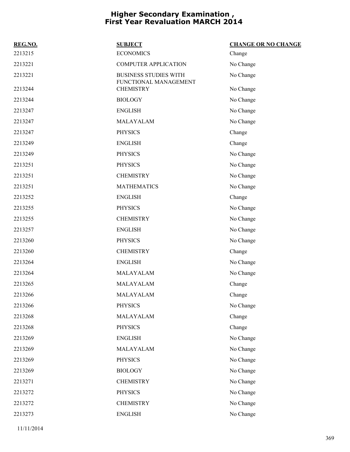| REG.NO. | <b>SUBJECT</b>                                        | <b>CHANGE OR NO CHANGE</b> |
|---------|-------------------------------------------------------|----------------------------|
| 2213215 | <b>ECONOMICS</b>                                      | Change                     |
| 2213221 | <b>COMPUTER APPLICATION</b>                           | No Change                  |
| 2213221 | <b>BUSINESS STUDIES WITH</b><br>FUNCTIONAL MANAGEMENT | No Change                  |
| 2213244 | <b>CHEMISTRY</b>                                      | No Change                  |
| 2213244 | <b>BIOLOGY</b>                                        | No Change                  |
| 2213247 | <b>ENGLISH</b>                                        | No Change                  |
| 2213247 | MALAYALAM                                             | No Change                  |
| 2213247 | <b>PHYSICS</b>                                        | Change                     |
| 2213249 | <b>ENGLISH</b>                                        | Change                     |
| 2213249 | <b>PHYSICS</b>                                        | No Change                  |
| 2213251 | <b>PHYSICS</b>                                        | No Change                  |
| 2213251 | <b>CHEMISTRY</b>                                      | No Change                  |
| 2213251 | <b>MATHEMATICS</b>                                    | No Change                  |
| 2213252 | <b>ENGLISH</b>                                        | Change                     |
| 2213255 | <b>PHYSICS</b>                                        | No Change                  |
| 2213255 | <b>CHEMISTRY</b>                                      | No Change                  |
| 2213257 | <b>ENGLISH</b>                                        | No Change                  |
| 2213260 | <b>PHYSICS</b>                                        | No Change                  |
| 2213260 | <b>CHEMISTRY</b>                                      | Change                     |
| 2213264 | <b>ENGLISH</b>                                        | No Change                  |
| 2213264 | MALAYALAM                                             | No Change                  |
| 2213265 | MALAYALAM                                             | Change                     |
| 2213266 | MALAYALAM                                             | Change                     |
| 2213266 | <b>PHYSICS</b>                                        | No Change                  |
| 2213268 | MALAYALAM                                             | Change                     |
| 2213268 | <b>PHYSICS</b>                                        | Change                     |
| 2213269 | <b>ENGLISH</b>                                        | No Change                  |
| 2213269 | MALAYALAM                                             | No Change                  |
| 2213269 | <b>PHYSICS</b>                                        | No Change                  |
| 2213269 | <b>BIOLOGY</b>                                        | No Change                  |
| 2213271 | <b>CHEMISTRY</b>                                      | No Change                  |
| 2213272 | <b>PHYSICS</b>                                        | No Change                  |
| 2213272 | <b>CHEMISTRY</b>                                      | No Change                  |
| 2213273 | <b>ENGLISH</b>                                        | No Change                  |
|         |                                                       |                            |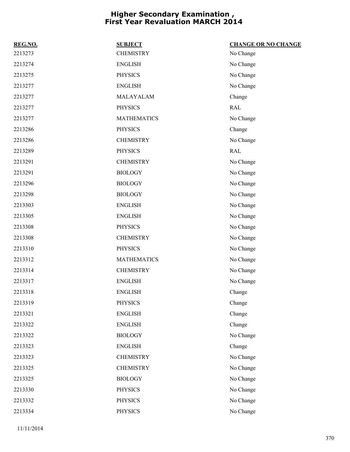| REG.NO. | <b>SUBJECT</b>     | <b>CHANGE OR NO CHANGE</b> |
|---------|--------------------|----------------------------|
| 2213273 | <b>CHEMISTRY</b>   | No Change                  |
| 2213274 | <b>ENGLISH</b>     | No Change                  |
| 2213275 | <b>PHYSICS</b>     | No Change                  |
| 2213277 | <b>ENGLISH</b>     | No Change                  |
| 2213277 | MALAYALAM          | Change                     |
| 2213277 | PHYSICS            | RAL                        |
| 2213277 | <b>MATHEMATICS</b> | No Change                  |
| 2213286 | PHYSICS            | Change                     |
| 2213286 | <b>CHEMISTRY</b>   | No Change                  |
| 2213289 | <b>PHYSICS</b>     | <b>RAL</b>                 |
| 2213291 | <b>CHEMISTRY</b>   | No Change                  |
| 2213291 | <b>BIOLOGY</b>     | No Change                  |
| 2213296 | <b>BIOLOGY</b>     | No Change                  |
| 2213298 | <b>BIOLOGY</b>     | No Change                  |
| 2213303 | <b>ENGLISH</b>     | No Change                  |
| 2213305 | <b>ENGLISH</b>     | No Change                  |
| 2213308 | <b>PHYSICS</b>     | No Change                  |
| 2213308 | <b>CHEMISTRY</b>   | No Change                  |
| 2213310 | <b>PHYSICS</b>     | No Change                  |
| 2213312 | <b>MATHEMATICS</b> | No Change                  |
| 2213314 | <b>CHEMISTRY</b>   | No Change                  |
| 2213317 | <b>ENGLISH</b>     | No Change                  |
| 2213318 | <b>ENGLISH</b>     | Change                     |
| 2213319 | PHYSICS            | Change                     |
| 2213321 | <b>ENGLISH</b>     | Change                     |
| 2213322 | <b>ENGLISH</b>     | Change                     |
| 2213322 | <b>BIOLOGY</b>     | No Change                  |
| 2213323 | <b>ENGLISH</b>     | Change                     |
| 2213323 | <b>CHEMISTRY</b>   | No Change                  |
| 2213325 | <b>CHEMISTRY</b>   | No Change                  |
| 2213325 | <b>BIOLOGY</b>     | No Change                  |
| 2213330 | <b>PHYSICS</b>     | No Change                  |
| 2213332 | <b>PHYSICS</b>     | No Change                  |
| 2213334 | <b>PHYSICS</b>     | No Change                  |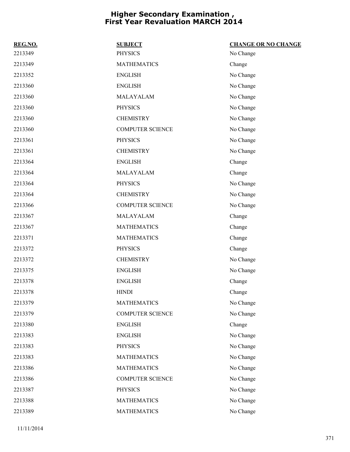| REG.NO. | <b>SUBJECT</b>          | <b>CHANGE OR NO CHANGE</b> |
|---------|-------------------------|----------------------------|
| 2213349 | <b>PHYSICS</b>          | No Change                  |
| 2213349 | <b>MATHEMATICS</b>      | Change                     |
| 2213352 | <b>ENGLISH</b>          | No Change                  |
| 2213360 | <b>ENGLISH</b>          | No Change                  |
| 2213360 | MALAYALAM               | No Change                  |
| 2213360 | <b>PHYSICS</b>          | No Change                  |
| 2213360 | <b>CHEMISTRY</b>        | No Change                  |
| 2213360 | <b>COMPUTER SCIENCE</b> | No Change                  |
| 2213361 | <b>PHYSICS</b>          | No Change                  |
| 2213361 | <b>CHEMISTRY</b>        | No Change                  |
| 2213364 | <b>ENGLISH</b>          | Change                     |
| 2213364 | MALAYALAM               | Change                     |
| 2213364 | <b>PHYSICS</b>          | No Change                  |
| 2213364 | <b>CHEMISTRY</b>        | No Change                  |
| 2213366 | <b>COMPUTER SCIENCE</b> | No Change                  |
| 2213367 | MALAYALAM               | Change                     |
| 2213367 | <b>MATHEMATICS</b>      | Change                     |
| 2213371 | <b>MATHEMATICS</b>      | Change                     |
| 2213372 | <b>PHYSICS</b>          | Change                     |
| 2213372 | <b>CHEMISTRY</b>        | No Change                  |
| 2213375 | <b>ENGLISH</b>          | No Change                  |
| 2213378 | <b>ENGLISH</b>          | Change                     |
| 2213378 | <b>HINDI</b>            | Change                     |
| 2213379 | <b>MATHEMATICS</b>      | No Change                  |
| 2213379 | <b>COMPUTER SCIENCE</b> | No Change                  |
| 2213380 | <b>ENGLISH</b>          | Change                     |
| 2213383 | <b>ENGLISH</b>          | No Change                  |
| 2213383 | <b>PHYSICS</b>          | No Change                  |
| 2213383 | <b>MATHEMATICS</b>      | No Change                  |
| 2213386 | <b>MATHEMATICS</b>      | No Change                  |
| 2213386 | <b>COMPUTER SCIENCE</b> | No Change                  |
| 2213387 | <b>PHYSICS</b>          | No Change                  |
| 2213388 | <b>MATHEMATICS</b>      | No Change                  |
| 2213389 | <b>MATHEMATICS</b>      | No Change                  |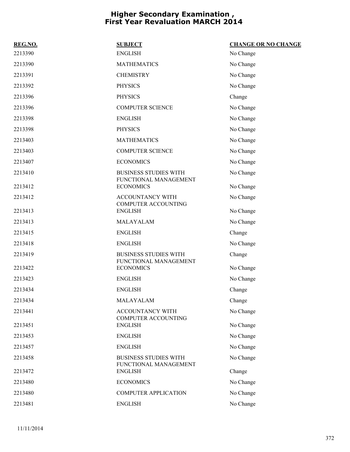| REG.NO. | <b>SUBJECT</b>                               | <b>CHANGE OR NO CHANGE</b> |
|---------|----------------------------------------------|----------------------------|
| 2213390 | <b>ENGLISH</b>                               | No Change                  |
| 2213390 | <b>MATHEMATICS</b>                           | No Change                  |
| 2213391 | <b>CHEMISTRY</b>                             | No Change                  |
| 2213392 | <b>PHYSICS</b>                               | No Change                  |
| 2213396 | <b>PHYSICS</b>                               | Change                     |
| 2213396 | <b>COMPUTER SCIENCE</b>                      | No Change                  |
| 2213398 | <b>ENGLISH</b>                               | No Change                  |
| 2213398 | <b>PHYSICS</b>                               | No Change                  |
| 2213403 | <b>MATHEMATICS</b>                           | No Change                  |
| 2213403 | <b>COMPUTER SCIENCE</b>                      | No Change                  |
| 2213407 | <b>ECONOMICS</b>                             | No Change                  |
| 2213410 | <b>BUSINESS STUDIES WITH</b>                 | No Change                  |
| 2213412 | FUNCTIONAL MANAGEMENT<br><b>ECONOMICS</b>    | No Change                  |
| 2213412 | <b>ACCOUNTANCY WITH</b>                      | No Change                  |
| 2213413 | COMPUTER ACCOUNTING<br><b>ENGLISH</b>        | No Change                  |
| 2213413 | MALAYALAM                                    | No Change                  |
| 2213415 | <b>ENGLISH</b>                               | Change                     |
| 2213418 | <b>ENGLISH</b>                               | No Change                  |
| 2213419 | <b>BUSINESS STUDIES WITH</b>                 | Change                     |
| 2213422 | FUNCTIONAL MANAGEMENT<br><b>ECONOMICS</b>    | No Change                  |
| 2213423 | <b>ENGLISH</b>                               | No Change                  |
| 2213434 | <b>ENGLISH</b>                               | Change                     |
| 2213434 | MALAYALAM                                    | Change                     |
| 2213441 | ACCOUNTANCY WITH                             | No Change                  |
| 2213451 | <b>COMPUTER ACCOUNTING</b><br><b>ENGLISH</b> | No Change                  |
| 2213453 | <b>ENGLISH</b>                               | No Change                  |
| 2213457 | <b>ENGLISH</b>                               | No Change                  |
| 2213458 | <b>BUSINESS STUDIES WITH</b>                 | No Change                  |
| 2213472 | FUNCTIONAL MANAGEMENT<br><b>ENGLISH</b>      | Change                     |
| 2213480 | <b>ECONOMICS</b>                             | No Change                  |
| 2213480 | <b>COMPUTER APPLICATION</b>                  | No Change                  |
| 2213481 | <b>ENGLISH</b>                               | No Change                  |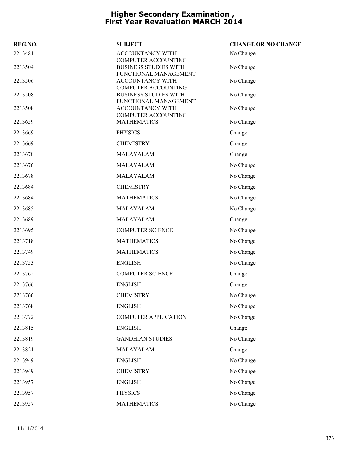| REG.NO. | <b>SUBJECT</b>                                                                      | <b>CHANGE OR NO CHANGE</b> |
|---------|-------------------------------------------------------------------------------------|----------------------------|
| 2213481 | ACCOUNTANCY WITH                                                                    | No Change                  |
| 2213504 | <b>COMPUTER ACCOUNTING</b><br><b>BUSINESS STUDIES WITH</b><br>FUNCTIONAL MANAGEMENT | No Change                  |
| 2213506 | ACCOUNTANCY WITH                                                                    | No Change                  |
| 2213508 | <b>COMPUTER ACCOUNTING</b><br><b>BUSINESS STUDIES WITH</b><br>FUNCTIONAL MANAGEMENT | No Change                  |
| 2213508 | <b>ACCOUNTANCY WITH</b><br><b>COMPUTER ACCOUNTING</b>                               | No Change                  |
| 2213659 | <b>MATHEMATICS</b>                                                                  | No Change                  |
| 2213669 | <b>PHYSICS</b>                                                                      | Change                     |
| 2213669 | <b>CHEMISTRY</b>                                                                    | Change                     |
| 2213670 | MALAYALAM                                                                           | Change                     |
| 2213676 | MALAYALAM                                                                           | No Change                  |
| 2213678 | MALAYALAM                                                                           | No Change                  |
| 2213684 | <b>CHEMISTRY</b>                                                                    | No Change                  |
| 2213684 | <b>MATHEMATICS</b>                                                                  | No Change                  |
| 2213685 | MALAYALAM                                                                           | No Change                  |
| 2213689 | MALAYALAM                                                                           | Change                     |
| 2213695 | <b>COMPUTER SCIENCE</b>                                                             | No Change                  |
| 2213718 | <b>MATHEMATICS</b>                                                                  | No Change                  |
| 2213749 | <b>MATHEMATICS</b>                                                                  | No Change                  |
| 2213753 | <b>ENGLISH</b>                                                                      | No Change                  |
| 2213762 | <b>COMPUTER SCIENCE</b>                                                             | Change                     |
| 2213766 | <b>ENGLISH</b>                                                                      | Change                     |
| 2213766 | <b>CHEMISTRY</b>                                                                    | No Change                  |
| 2213768 | <b>ENGLISH</b>                                                                      | No Change                  |
| 2213772 | <b>COMPUTER APPLICATION</b>                                                         | No Change                  |
| 2213815 | <b>ENGLISH</b>                                                                      | Change                     |
| 2213819 | <b>GANDHIAN STUDIES</b>                                                             | No Change                  |
| 2213821 | MALAYALAM                                                                           | Change                     |
| 2213949 | <b>ENGLISH</b>                                                                      | No Change                  |
| 2213949 | <b>CHEMISTRY</b>                                                                    | No Change                  |
| 2213957 | <b>ENGLISH</b>                                                                      | No Change                  |
| 2213957 | <b>PHYSICS</b>                                                                      | No Change                  |
| 2213957 | <b>MATHEMATICS</b>                                                                  | No Change                  |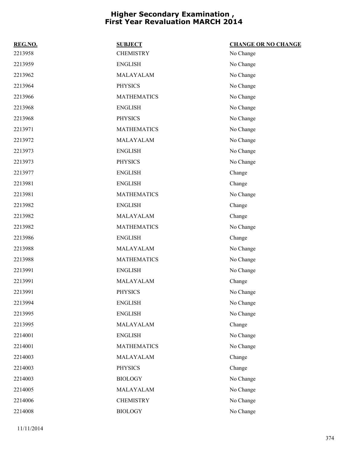| REG.NO. | <b>SUBJECT</b>     | <b>CHANGE OR NO CHANGE</b> |
|---------|--------------------|----------------------------|
| 2213958 | <b>CHEMISTRY</b>   | No Change                  |
| 2213959 | <b>ENGLISH</b>     | No Change                  |
| 2213962 | MALAYALAM          | No Change                  |
| 2213964 | <b>PHYSICS</b>     | No Change                  |
| 2213966 | <b>MATHEMATICS</b> | No Change                  |
| 2213968 | <b>ENGLISH</b>     | No Change                  |
| 2213968 | <b>PHYSICS</b>     | No Change                  |
| 2213971 | <b>MATHEMATICS</b> | No Change                  |
| 2213972 | MALAYALAM          | No Change                  |
| 2213973 | <b>ENGLISH</b>     | No Change                  |
| 2213973 | <b>PHYSICS</b>     | No Change                  |
| 2213977 | <b>ENGLISH</b>     | Change                     |
| 2213981 | <b>ENGLISH</b>     | Change                     |
| 2213981 | <b>MATHEMATICS</b> | No Change                  |
| 2213982 | <b>ENGLISH</b>     | Change                     |
| 2213982 | MALAYALAM          | Change                     |
| 2213982 | <b>MATHEMATICS</b> | No Change                  |
| 2213986 | <b>ENGLISH</b>     | Change                     |
| 2213988 | MALAYALAM          | No Change                  |
| 2213988 | <b>MATHEMATICS</b> | No Change                  |
| 2213991 | <b>ENGLISH</b>     | No Change                  |
| 2213991 | MALAYALAM          | Change                     |
| 2213991 | <b>PHYSICS</b>     | No Change                  |
| 2213994 | <b>ENGLISH</b>     | No Change                  |
| 2213995 | <b>ENGLISH</b>     | No Change                  |
| 2213995 | MALAYALAM          | Change                     |
| 2214001 | <b>ENGLISH</b>     | No Change                  |
| 2214001 | <b>MATHEMATICS</b> | No Change                  |
| 2214003 | MALAYALAM          | Change                     |
| 2214003 | <b>PHYSICS</b>     | Change                     |
| 2214003 | <b>BIOLOGY</b>     | No Change                  |
| 2214005 | MALAYALAM          | No Change                  |
| 2214006 | <b>CHEMISTRY</b>   | No Change                  |
| 2214008 | <b>BIOLOGY</b>     | No Change                  |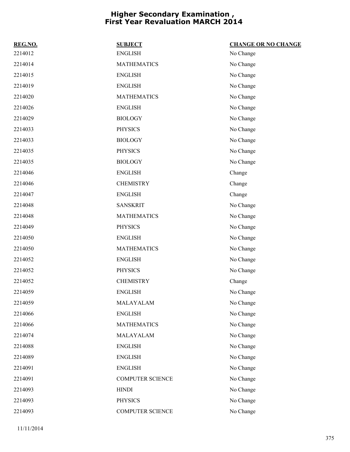| REG.NO. | <b>SUBJECT</b>          | <b>CHANGE OR NO CHANGE</b> |
|---------|-------------------------|----------------------------|
| 2214012 | <b>ENGLISH</b>          | No Change                  |
| 2214014 | <b>MATHEMATICS</b>      | No Change                  |
| 2214015 | <b>ENGLISH</b>          | No Change                  |
| 2214019 | <b>ENGLISH</b>          | No Change                  |
| 2214020 | <b>MATHEMATICS</b>      | No Change                  |
| 2214026 | <b>ENGLISH</b>          | No Change                  |
| 2214029 | <b>BIOLOGY</b>          | No Change                  |
| 2214033 | <b>PHYSICS</b>          | No Change                  |
| 2214033 | <b>BIOLOGY</b>          | No Change                  |
| 2214035 | PHYSICS                 | No Change                  |
| 2214035 | <b>BIOLOGY</b>          | No Change                  |
| 2214046 | <b>ENGLISH</b>          | Change                     |
| 2214046 | <b>CHEMISTRY</b>        | Change                     |
| 2214047 | <b>ENGLISH</b>          | Change                     |
| 2214048 | <b>SANSKRIT</b>         | No Change                  |
| 2214048 | <b>MATHEMATICS</b>      | No Change                  |
| 2214049 | <b>PHYSICS</b>          | No Change                  |
| 2214050 | <b>ENGLISH</b>          | No Change                  |
| 2214050 | <b>MATHEMATICS</b>      | No Change                  |
| 2214052 | <b>ENGLISH</b>          | No Change                  |
| 2214052 | <b>PHYSICS</b>          | No Change                  |
| 2214052 | <b>CHEMISTRY</b>        | Change                     |
| 2214059 | <b>ENGLISH</b>          | No Change                  |
| 2214059 | MALAYALAM               | No Change                  |
| 2214066 | <b>ENGLISH</b>          | No Change                  |
| 2214066 | <b>MATHEMATICS</b>      | No Change                  |
| 2214074 | MALAYALAM               | No Change                  |
| 2214088 | <b>ENGLISH</b>          | No Change                  |
| 2214089 | <b>ENGLISH</b>          | No Change                  |
| 2214091 | <b>ENGLISH</b>          | No Change                  |
| 2214091 | <b>COMPUTER SCIENCE</b> | No Change                  |
| 2214093 | <b>HINDI</b>            | No Change                  |
| 2214093 | <b>PHYSICS</b>          | No Change                  |
| 2214093 | COMPUTER SCIENCE        | No Change                  |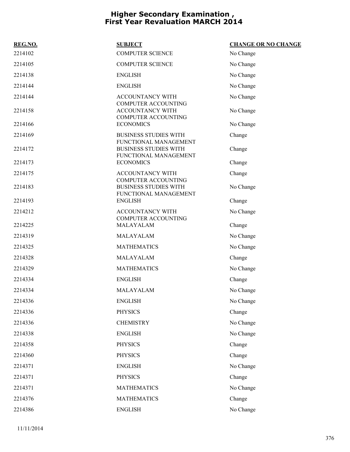| REG.NO. | <b>SUBJECT</b>                                                                 | <b>CHANGE OR NO CHANGE</b> |
|---------|--------------------------------------------------------------------------------|----------------------------|
| 2214102 | <b>COMPUTER SCIENCE</b>                                                        | No Change                  |
| 2214105 | <b>COMPUTER SCIENCE</b>                                                        | No Change                  |
| 2214138 | <b>ENGLISH</b>                                                                 | No Change                  |
| 2214144 | <b>ENGLISH</b>                                                                 | No Change                  |
| 2214144 | ACCOUNTANCY WITH<br><b>COMPUTER ACCOUNTING</b>                                 | No Change                  |
| 2214158 | ACCOUNTANCY WITH<br><b>COMPUTER ACCOUNTING</b>                                 | No Change                  |
| 2214166 | <b>ECONOMICS</b>                                                               | No Change                  |
| 2214169 | <b>BUSINESS STUDIES WITH</b>                                                   | Change                     |
| 2214172 | FUNCTIONAL MANAGEMENT<br><b>BUSINESS STUDIES WITH</b><br>FUNCTIONAL MANAGEMENT | Change                     |
| 2214173 | <b>ECONOMICS</b>                                                               | Change                     |
| 2214175 | <b>ACCOUNTANCY WITH</b>                                                        | Change                     |
| 2214183 | COMPUTER ACCOUNTING<br><b>BUSINESS STUDIES WITH</b><br>FUNCTIONAL MANAGEMENT   | No Change                  |
| 2214193 | <b>ENGLISH</b>                                                                 | Change                     |
| 2214212 | ACCOUNTANCY WITH                                                               | No Change                  |
| 2214225 | <b>COMPUTER ACCOUNTING</b><br>MALAYALAM                                        | Change                     |
| 2214319 | MALAYALAM                                                                      | No Change                  |
| 2214325 | <b>MATHEMATICS</b>                                                             | No Change                  |
| 2214328 | MALAYALAM                                                                      | Change                     |
| 2214329 | <b>MATHEMATICS</b>                                                             | No Change                  |
| 2214334 | <b>ENGLISH</b>                                                                 | Change                     |
| 2214334 | MALAYALAM                                                                      | No Change                  |
| 2214336 | <b>ENGLISH</b>                                                                 | No Change                  |
| 2214336 | <b>PHYSICS</b>                                                                 | Change                     |
| 2214336 | <b>CHEMISTRY</b>                                                               | No Change                  |
| 2214338 | <b>ENGLISH</b>                                                                 | No Change                  |
| 2214358 | <b>PHYSICS</b>                                                                 | Change                     |
| 2214360 | <b>PHYSICS</b>                                                                 | Change                     |
| 2214371 | <b>ENGLISH</b>                                                                 | No Change                  |
| 2214371 | <b>PHYSICS</b>                                                                 | Change                     |
| 2214371 | <b>MATHEMATICS</b>                                                             | No Change                  |
| 2214376 | <b>MATHEMATICS</b>                                                             | Change                     |
| 2214386 | <b>ENGLISH</b>                                                                 | No Change                  |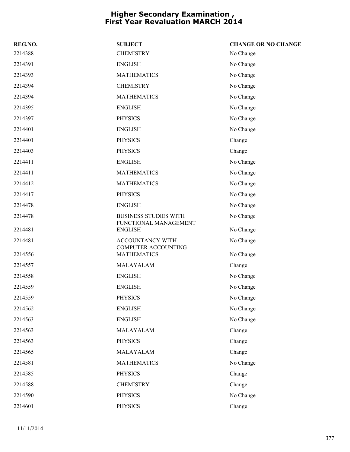| REG.NO. | <b>SUBJECT</b>                                        | <b>CHANGE OR NO CHANGE</b> |
|---------|-------------------------------------------------------|----------------------------|
| 2214388 | <b>CHEMISTRY</b>                                      | No Change                  |
| 2214391 | <b>ENGLISH</b>                                        | No Change                  |
| 2214393 | <b>MATHEMATICS</b>                                    | No Change                  |
| 2214394 | <b>CHEMISTRY</b>                                      | No Change                  |
| 2214394 | <b>MATHEMATICS</b>                                    | No Change                  |
| 2214395 | <b>ENGLISH</b>                                        | No Change                  |
| 2214397 | <b>PHYSICS</b>                                        | No Change                  |
| 2214401 | <b>ENGLISH</b>                                        | No Change                  |
| 2214401 | <b>PHYSICS</b>                                        | Change                     |
| 2214403 | <b>PHYSICS</b>                                        | Change                     |
| 2214411 | <b>ENGLISH</b>                                        | No Change                  |
| 2214411 | <b>MATHEMATICS</b>                                    | No Change                  |
| 2214412 | <b>MATHEMATICS</b>                                    | No Change                  |
| 2214417 | <b>PHYSICS</b>                                        | No Change                  |
| 2214478 | <b>ENGLISH</b>                                        | No Change                  |
| 2214478 | <b>BUSINESS STUDIES WITH</b><br>FUNCTIONAL MANAGEMENT | No Change                  |
| 2214481 | <b>ENGLISH</b>                                        | No Change                  |
| 2214481 | ACCOUNTANCY WITH<br><b>COMPUTER ACCOUNTING</b>        | No Change                  |
| 2214556 | <b>MATHEMATICS</b>                                    | No Change                  |
| 2214557 | MALAYALAM                                             | Change                     |
| 2214558 | <b>ENGLISH</b>                                        | No Change                  |
| 2214559 | <b>ENGLISH</b>                                        | No Change                  |
| 2214559 | <b>PHYSICS</b>                                        | No Change                  |
| 2214562 | <b>ENGLISH</b>                                        | No Change                  |
| 2214563 | <b>ENGLISH</b>                                        | No Change                  |
| 2214563 | MALAYALAM                                             | Change                     |
| 2214563 | <b>PHYSICS</b>                                        | Change                     |
| 2214565 | MALAYALAM                                             | Change                     |
| 2214581 | <b>MATHEMATICS</b>                                    | No Change                  |
| 2214585 | <b>PHYSICS</b>                                        | Change                     |
| 2214588 | <b>CHEMISTRY</b>                                      | Change                     |
| 2214590 | <b>PHYSICS</b>                                        | No Change                  |
| 2214601 | <b>PHYSICS</b>                                        | Change                     |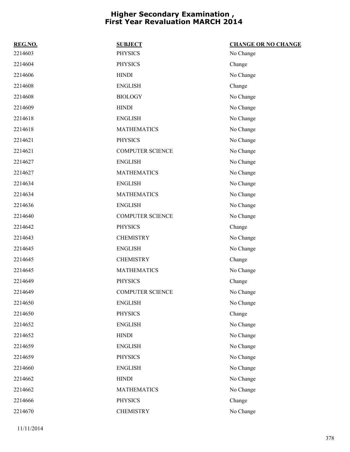| REG.NO. | <b>SUBJECT</b>          | <b>CHANGE OR NO CHANGE</b> |
|---------|-------------------------|----------------------------|
| 2214603 | <b>PHYSICS</b>          | No Change                  |
| 2214604 | <b>PHYSICS</b>          | Change                     |
| 2214606 | <b>HINDI</b>            | No Change                  |
| 2214608 | <b>ENGLISH</b>          | Change                     |
| 2214608 | <b>BIOLOGY</b>          | No Change                  |
| 2214609 | <b>HINDI</b>            | No Change                  |
| 2214618 | <b>ENGLISH</b>          | No Change                  |
| 2214618 | <b>MATHEMATICS</b>      | No Change                  |
| 2214621 | <b>PHYSICS</b>          | No Change                  |
| 2214621 | <b>COMPUTER SCIENCE</b> | No Change                  |
| 2214627 | <b>ENGLISH</b>          | No Change                  |
| 2214627 | <b>MATHEMATICS</b>      | No Change                  |
| 2214634 | <b>ENGLISH</b>          | No Change                  |
| 2214634 | <b>MATHEMATICS</b>      | No Change                  |
| 2214636 | <b>ENGLISH</b>          | No Change                  |
| 2214640 | <b>COMPUTER SCIENCE</b> | No Change                  |
| 2214642 | <b>PHYSICS</b>          | Change                     |
| 2214643 | <b>CHEMISTRY</b>        | No Change                  |
| 2214645 | <b>ENGLISH</b>          | No Change                  |
| 2214645 | <b>CHEMISTRY</b>        | Change                     |
| 2214645 | <b>MATHEMATICS</b>      | No Change                  |
| 2214649 | <b>PHYSICS</b>          | Change                     |
| 2214649 | <b>COMPUTER SCIENCE</b> | No Change                  |
| 2214650 | <b>ENGLISH</b>          | No Change                  |
| 2214650 | <b>PHYSICS</b>          | Change                     |
| 2214652 | <b>ENGLISH</b>          | No Change                  |
| 2214652 | <b>HINDI</b>            | No Change                  |
| 2214659 | <b>ENGLISH</b>          | No Change                  |
| 2214659 | <b>PHYSICS</b>          | No Change                  |
| 2214660 | <b>ENGLISH</b>          | No Change                  |
| 2214662 | <b>HINDI</b>            | No Change                  |
| 2214662 | <b>MATHEMATICS</b>      | No Change                  |
| 2214666 | PHYSICS                 | Change                     |
| 2214670 | <b>CHEMISTRY</b>        | No Change                  |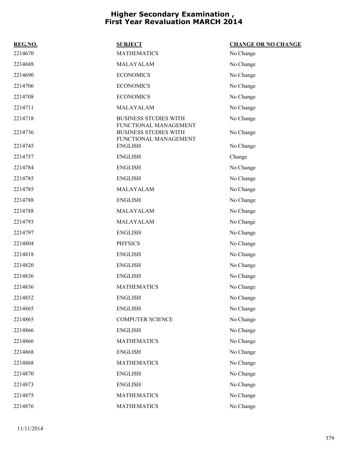| REG.NO. | <b>SUBJECT</b>                                                                 | <b>CHANGE OR NO CHANGE</b> |
|---------|--------------------------------------------------------------------------------|----------------------------|
| 2214670 | <b>MATHEMATICS</b>                                                             | No Change                  |
| 2214688 | MALAYALAM                                                                      | No Change                  |
| 2214690 | <b>ECONOMICS</b>                                                               | No Change                  |
| 2214706 | <b>ECONOMICS</b>                                                               | No Change                  |
| 2214708 | <b>ECONOMICS</b>                                                               | No Change                  |
| 2214711 | MALAYALAM                                                                      | No Change                  |
| 2214718 | <b>BUSINESS STUDIES WITH</b>                                                   | No Change                  |
| 2214736 | FUNCTIONAL MANAGEMENT<br><b>BUSINESS STUDIES WITH</b><br>FUNCTIONAL MANAGEMENT | No Change                  |
| 2214745 | <b>ENGLISH</b>                                                                 | No Change                  |
| 2214757 | <b>ENGLISH</b>                                                                 | Change                     |
| 2214784 | <b>ENGLISH</b>                                                                 | No Change                  |
| 2214785 | <b>ENGLISH</b>                                                                 | No Change                  |
| 2214785 | MALAYALAM                                                                      | No Change                  |
| 2214788 | <b>ENGLISH</b>                                                                 | No Change                  |
| 2214788 | MALAYALAM                                                                      | No Change                  |
| 2214793 | MALAYALAM                                                                      | No Change                  |
| 2214797 | <b>ENGLISH</b>                                                                 | No Change                  |
| 2214804 | <b>PHYSICS</b>                                                                 | No Change                  |
| 2214818 | <b>ENGLISH</b>                                                                 | No Change                  |
| 2214820 | <b>ENGLISH</b>                                                                 | No Change                  |
| 2214836 | <b>ENGLISH</b>                                                                 | No Change                  |
| 2214836 | <b>MATHEMATICS</b>                                                             | No Change                  |
| 2214852 | <b>ENGLISH</b>                                                                 | No Change                  |
| 2214865 | <b>ENGLISH</b>                                                                 | No Change                  |
| 2214865 | <b>COMPUTER SCIENCE</b>                                                        | No Change                  |
| 2214866 | <b>ENGLISH</b>                                                                 | No Change                  |
| 2214866 | <b>MATHEMATICS</b>                                                             | No Change                  |
| 2214868 | <b>ENGLISH</b>                                                                 | No Change                  |
| 2214868 | <b>MATHEMATICS</b>                                                             | No Change                  |
| 2214870 | <b>ENGLISH</b>                                                                 | No Change                  |
| 2214873 | <b>ENGLISH</b>                                                                 | No Change                  |
| 2214875 | <b>MATHEMATICS</b>                                                             | No Change                  |
| 2214876 | <b>MATHEMATICS</b>                                                             | No Change                  |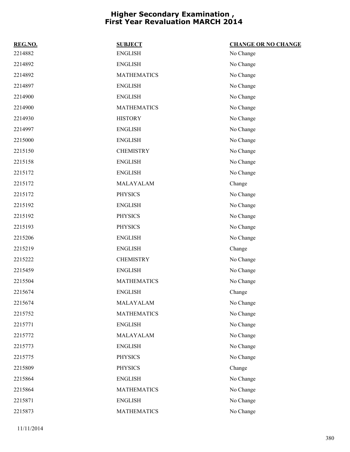| REG.NO. | <b>SUBJECT</b>     | <b>CHANGE OR NO CHANGE</b> |
|---------|--------------------|----------------------------|
| 2214882 | <b>ENGLISH</b>     | No Change                  |
| 2214892 | <b>ENGLISH</b>     | No Change                  |
| 2214892 | <b>MATHEMATICS</b> | No Change                  |
| 2214897 | <b>ENGLISH</b>     | No Change                  |
| 2214900 | <b>ENGLISH</b>     | No Change                  |
| 2214900 | <b>MATHEMATICS</b> | No Change                  |
| 2214930 | <b>HISTORY</b>     | No Change                  |
| 2214997 | <b>ENGLISH</b>     | No Change                  |
| 2215000 | <b>ENGLISH</b>     | No Change                  |
| 2215150 | <b>CHEMISTRY</b>   | No Change                  |
| 2215158 | <b>ENGLISH</b>     | No Change                  |
| 2215172 | <b>ENGLISH</b>     | No Change                  |
| 2215172 | MALAYALAM          | Change                     |
| 2215172 | <b>PHYSICS</b>     | No Change                  |
| 2215192 | <b>ENGLISH</b>     | No Change                  |
| 2215192 | <b>PHYSICS</b>     | No Change                  |
| 2215193 | <b>PHYSICS</b>     | No Change                  |
| 2215206 | <b>ENGLISH</b>     | No Change                  |
| 2215219 | <b>ENGLISH</b>     | Change                     |
| 2215222 | <b>CHEMISTRY</b>   | No Change                  |
| 2215459 | <b>ENGLISH</b>     | No Change                  |
| 2215504 | <b>MATHEMATICS</b> | No Change                  |
| 2215674 | <b>ENGLISH</b>     | Change                     |
| 2215674 | MALAYALAM          | No Change                  |
| 2215752 | <b>MATHEMATICS</b> | No Change                  |
| 2215771 | <b>ENGLISH</b>     | No Change                  |
| 2215772 | MALAYALAM          | No Change                  |
| 2215773 | <b>ENGLISH</b>     | No Change                  |
| 2215775 | <b>PHYSICS</b>     | No Change                  |
| 2215809 | <b>PHYSICS</b>     | Change                     |
| 2215864 | <b>ENGLISH</b>     | No Change                  |
| 2215864 | <b>MATHEMATICS</b> | No Change                  |
| 2215871 | <b>ENGLISH</b>     | No Change                  |
| 2215873 | <b>MATHEMATICS</b> | No Change                  |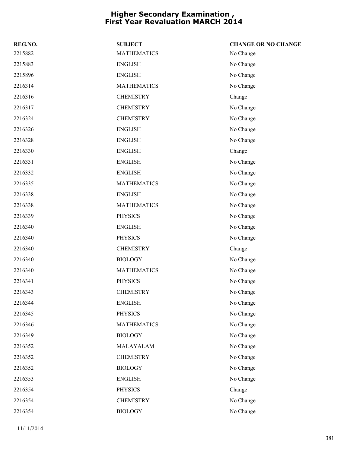| REG.NO. | <b>SUBJECT</b>     | <b>CHANGE OR NO CHANGE</b> |
|---------|--------------------|----------------------------|
| 2215882 | <b>MATHEMATICS</b> | No Change                  |
| 2215883 | <b>ENGLISH</b>     | No Change                  |
| 2215896 | <b>ENGLISH</b>     | No Change                  |
| 2216314 | <b>MATHEMATICS</b> | No Change                  |
| 2216316 | <b>CHEMISTRY</b>   | Change                     |
| 2216317 | <b>CHEMISTRY</b>   | No Change                  |
| 2216324 | <b>CHEMISTRY</b>   | No Change                  |
| 2216326 | <b>ENGLISH</b>     | No Change                  |
| 2216328 | <b>ENGLISH</b>     | No Change                  |
| 2216330 | <b>ENGLISH</b>     | Change                     |
| 2216331 | <b>ENGLISH</b>     | No Change                  |
| 2216332 | <b>ENGLISH</b>     | No Change                  |
| 2216335 | <b>MATHEMATICS</b> | No Change                  |
| 2216338 | <b>ENGLISH</b>     | No Change                  |
| 2216338 | <b>MATHEMATICS</b> | No Change                  |
| 2216339 | <b>PHYSICS</b>     | No Change                  |
| 2216340 | <b>ENGLISH</b>     | No Change                  |
| 2216340 | <b>PHYSICS</b>     | No Change                  |
| 2216340 | <b>CHEMISTRY</b>   | Change                     |
| 2216340 | <b>BIOLOGY</b>     | No Change                  |
| 2216340 | <b>MATHEMATICS</b> | No Change                  |
| 2216341 | <b>PHYSICS</b>     | No Change                  |
| 2216343 | <b>CHEMISTRY</b>   | No Change                  |
| 2216344 | <b>ENGLISH</b>     | No Change                  |
| 2216345 | <b>PHYSICS</b>     | No Change                  |
| 2216346 | <b>MATHEMATICS</b> | No Change                  |
| 2216349 | <b>BIOLOGY</b>     | No Change                  |
| 2216352 | MALAYALAM          | No Change                  |
| 2216352 | <b>CHEMISTRY</b>   | No Change                  |
| 2216352 | <b>BIOLOGY</b>     | No Change                  |
| 2216353 | <b>ENGLISH</b>     | No Change                  |
| 2216354 | <b>PHYSICS</b>     | Change                     |
| 2216354 | <b>CHEMISTRY</b>   | No Change                  |
| 2216354 | <b>BIOLOGY</b>     | No Change                  |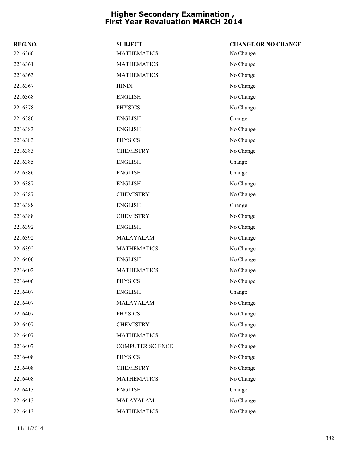| REG.NO. | <b>SUBJECT</b>          | <b>CHANGE OR NO CHANGE</b> |
|---------|-------------------------|----------------------------|
| 2216360 | <b>MATHEMATICS</b>      | No Change                  |
| 2216361 | <b>MATHEMATICS</b>      | No Change                  |
| 2216363 | <b>MATHEMATICS</b>      | No Change                  |
| 2216367 | <b>HINDI</b>            | No Change                  |
| 2216368 | <b>ENGLISH</b>          | No Change                  |
| 2216378 | <b>PHYSICS</b>          | No Change                  |
| 2216380 | <b>ENGLISH</b>          | Change                     |
| 2216383 | <b>ENGLISH</b>          | No Change                  |
| 2216383 | <b>PHYSICS</b>          | No Change                  |
| 2216383 | <b>CHEMISTRY</b>        | No Change                  |
| 2216385 | <b>ENGLISH</b>          | Change                     |
| 2216386 | <b>ENGLISH</b>          | Change                     |
| 2216387 | <b>ENGLISH</b>          | No Change                  |
| 2216387 | <b>CHEMISTRY</b>        | No Change                  |
| 2216388 | <b>ENGLISH</b>          | Change                     |
| 2216388 | <b>CHEMISTRY</b>        | No Change                  |
| 2216392 | <b>ENGLISH</b>          | No Change                  |
| 2216392 | MALAYALAM               | No Change                  |
| 2216392 | <b>MATHEMATICS</b>      | No Change                  |
| 2216400 | <b>ENGLISH</b>          | No Change                  |
| 2216402 | <b>MATHEMATICS</b>      | No Change                  |
| 2216406 | <b>PHYSICS</b>          | No Change                  |
| 2216407 | <b>ENGLISH</b>          | Change                     |
| 2216407 | MALAYALAM               | No Change                  |
| 2216407 | <b>PHYSICS</b>          | No Change                  |
| 2216407 | <b>CHEMISTRY</b>        | No Change                  |
| 2216407 | <b>MATHEMATICS</b>      | No Change                  |
| 2216407 | <b>COMPUTER SCIENCE</b> | No Change                  |
| 2216408 | <b>PHYSICS</b>          | No Change                  |
| 2216408 | <b>CHEMISTRY</b>        | No Change                  |
| 2216408 | <b>MATHEMATICS</b>      | No Change                  |
| 2216413 | <b>ENGLISH</b>          | Change                     |
| 2216413 | MALAYALAM               | No Change                  |
| 2216413 | <b>MATHEMATICS</b>      | No Change                  |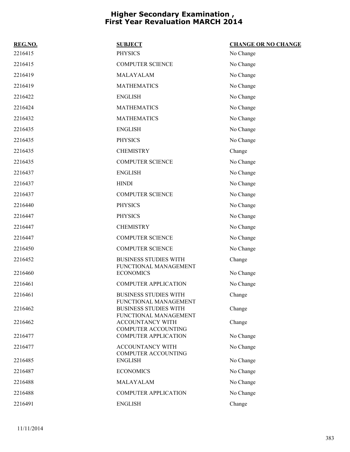| REG.NO. | <b>SUBJECT</b>                                        | <b>CHANGE OR NO CHANGE</b> |
|---------|-------------------------------------------------------|----------------------------|
| 2216415 | <b>PHYSICS</b>                                        | No Change                  |
| 2216415 | <b>COMPUTER SCIENCE</b>                               | No Change                  |
| 2216419 | MALAYALAM                                             | No Change                  |
| 2216419 | <b>MATHEMATICS</b>                                    | No Change                  |
| 2216422 | <b>ENGLISH</b>                                        | No Change                  |
| 2216424 | <b>MATHEMATICS</b>                                    | No Change                  |
| 2216432 | <b>MATHEMATICS</b>                                    | No Change                  |
| 2216435 | <b>ENGLISH</b>                                        | No Change                  |
| 2216435 | <b>PHYSICS</b>                                        | No Change                  |
| 2216435 | <b>CHEMISTRY</b>                                      | Change                     |
| 2216435 | <b>COMPUTER SCIENCE</b>                               | No Change                  |
| 2216437 | <b>ENGLISH</b>                                        | No Change                  |
| 2216437 | <b>HINDI</b>                                          | No Change                  |
| 2216437 | <b>COMPUTER SCIENCE</b>                               | No Change                  |
| 2216440 | <b>PHYSICS</b>                                        | No Change                  |
| 2216447 | <b>PHYSICS</b>                                        | No Change                  |
| 2216447 | <b>CHEMISTRY</b>                                      | No Change                  |
| 2216447 | <b>COMPUTER SCIENCE</b>                               | No Change                  |
| 2216450 | <b>COMPUTER SCIENCE</b>                               | No Change                  |
| 2216452 | <b>BUSINESS STUDIES WITH</b><br>FUNCTIONAL MANAGEMENT | Change                     |
| 2216460 | <b>ECONOMICS</b>                                      | No Change                  |
| 2216461 | <b>COMPUTER APPLICATION</b>                           | No Change                  |
| 2216461 | <b>BUSINESS STUDIES WITH</b><br>FUNCTIONAL MANAGEMENT | Change                     |
| 2216462 | <b>BUSINESS STUDIES WITH</b><br>FUNCTIONAL MANAGEMENT | Change                     |
| 2216462 | ACCOUNTANCY WITH<br><b>COMPUTER ACCOUNTING</b>        | Change                     |
| 2216477 | <b>COMPUTER APPLICATION</b>                           | No Change                  |
| 2216477 | ACCOUNTANCY WITH<br><b>COMPUTER ACCOUNTING</b>        | No Change                  |
| 2216485 | <b>ENGLISH</b>                                        | No Change                  |
| 2216487 | <b>ECONOMICS</b>                                      | No Change                  |
| 2216488 | MALAYALAM                                             | No Change                  |
| 2216488 | <b>COMPUTER APPLICATION</b>                           | No Change                  |
| 2216491 | <b>ENGLISH</b>                                        | Change                     |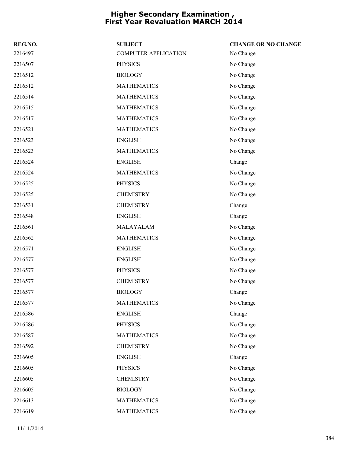| REG.NO. | <b>SUBJECT</b>              | <b>CHANGE OR NO CHANGE</b> |
|---------|-----------------------------|----------------------------|
| 2216497 | <b>COMPUTER APPLICATION</b> | No Change                  |
| 2216507 | <b>PHYSICS</b>              | No Change                  |
| 2216512 | <b>BIOLOGY</b>              | No Change                  |
| 2216512 | <b>MATHEMATICS</b>          | No Change                  |
| 2216514 | <b>MATHEMATICS</b>          | No Change                  |
| 2216515 | <b>MATHEMATICS</b>          | No Change                  |
| 2216517 | <b>MATHEMATICS</b>          | No Change                  |
| 2216521 | <b>MATHEMATICS</b>          | No Change                  |
| 2216523 | <b>ENGLISH</b>              | No Change                  |
| 2216523 | <b>MATHEMATICS</b>          | No Change                  |
| 2216524 | <b>ENGLISH</b>              | Change                     |
| 2216524 | <b>MATHEMATICS</b>          | No Change                  |
| 2216525 | <b>PHYSICS</b>              | No Change                  |
| 2216525 | <b>CHEMISTRY</b>            | No Change                  |
| 2216531 | <b>CHEMISTRY</b>            | Change                     |
| 2216548 | <b>ENGLISH</b>              | Change                     |
| 2216561 | MALAYALAM                   | No Change                  |
| 2216562 | <b>MATHEMATICS</b>          | No Change                  |
| 2216571 | <b>ENGLISH</b>              | No Change                  |
| 2216577 | <b>ENGLISH</b>              | No Change                  |
| 2216577 | <b>PHYSICS</b>              | No Change                  |
| 2216577 | <b>CHEMISTRY</b>            | No Change                  |
| 2216577 | <b>BIOLOGY</b>              | Change                     |
| 2216577 | <b>MATHEMATICS</b>          | No Change                  |
| 2216586 | <b>ENGLISH</b>              | Change                     |
| 2216586 | <b>PHYSICS</b>              | No Change                  |
| 2216587 | <b>MATHEMATICS</b>          | No Change                  |
| 2216592 | <b>CHEMISTRY</b>            | No Change                  |
| 2216605 | <b>ENGLISH</b>              | Change                     |
| 2216605 | <b>PHYSICS</b>              | No Change                  |
| 2216605 | <b>CHEMISTRY</b>            | No Change                  |
| 2216605 | <b>BIOLOGY</b>              | No Change                  |
| 2216613 | <b>MATHEMATICS</b>          | No Change                  |
| 2216619 | <b>MATHEMATICS</b>          | No Change                  |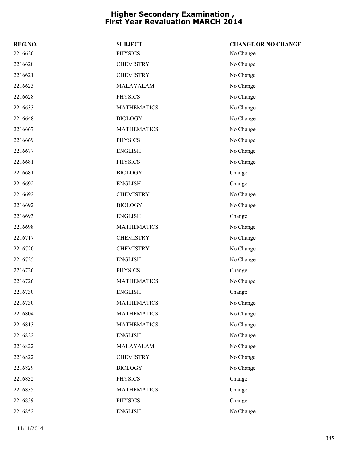| REG.NO. | <b>SUBJECT</b>     | <b>CHANGE OR NO CHANGE</b> |
|---------|--------------------|----------------------------|
| 2216620 | <b>PHYSICS</b>     | No Change                  |
| 2216620 | <b>CHEMISTRY</b>   | No Change                  |
| 2216621 | <b>CHEMISTRY</b>   | No Change                  |
| 2216623 | MALAYALAM          | No Change                  |
| 2216628 | PHYSICS            | No Change                  |
| 2216633 | <b>MATHEMATICS</b> | No Change                  |
| 2216648 | <b>BIOLOGY</b>     | No Change                  |
| 2216667 | <b>MATHEMATICS</b> | No Change                  |
| 2216669 | <b>PHYSICS</b>     | No Change                  |
| 2216677 | <b>ENGLISH</b>     | No Change                  |
| 2216681 | <b>PHYSICS</b>     | No Change                  |
| 2216681 | <b>BIOLOGY</b>     | Change                     |
| 2216692 | <b>ENGLISH</b>     | Change                     |
| 2216692 | <b>CHEMISTRY</b>   | No Change                  |
| 2216692 | <b>BIOLOGY</b>     | No Change                  |
| 2216693 | <b>ENGLISH</b>     | Change                     |
| 2216698 | <b>MATHEMATICS</b> | No Change                  |
| 2216717 | <b>CHEMISTRY</b>   | No Change                  |
| 2216720 | <b>CHEMISTRY</b>   | No Change                  |
| 2216725 | <b>ENGLISH</b>     | No Change                  |
| 2216726 | <b>PHYSICS</b>     | Change                     |
| 2216726 | <b>MATHEMATICS</b> | No Change                  |
| 2216730 | <b>ENGLISH</b>     | Change                     |
| 2216730 | <b>MATHEMATICS</b> | No Change                  |
| 2216804 | <b>MATHEMATICS</b> | No Change                  |
| 2216813 | <b>MATHEMATICS</b> | No Change                  |
| 2216822 | <b>ENGLISH</b>     | No Change                  |
| 2216822 | MALAYALAM          | No Change                  |
| 2216822 | <b>CHEMISTRY</b>   | No Change                  |
| 2216829 | <b>BIOLOGY</b>     | No Change                  |
| 2216832 | <b>PHYSICS</b>     | Change                     |
| 2216835 | <b>MATHEMATICS</b> | Change                     |
| 2216839 | <b>PHYSICS</b>     | Change                     |
| 2216852 | <b>ENGLISH</b>     | No Change                  |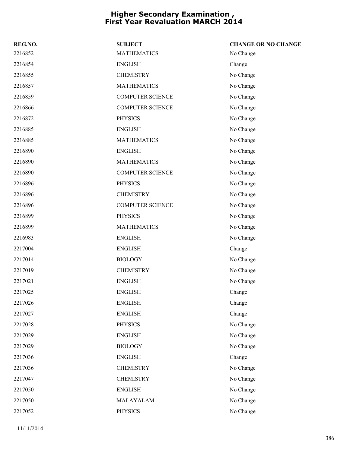| REG.NO. | <b>SUBJECT</b>          | <b>CHANGE OR NO CHANGE</b> |
|---------|-------------------------|----------------------------|
| 2216852 | <b>MATHEMATICS</b>      | No Change                  |
| 2216854 | <b>ENGLISH</b>          | Change                     |
| 2216855 | <b>CHEMISTRY</b>        | No Change                  |
| 2216857 | <b>MATHEMATICS</b>      | No Change                  |
| 2216859 | <b>COMPUTER SCIENCE</b> | No Change                  |
| 2216866 | <b>COMPUTER SCIENCE</b> | No Change                  |
| 2216872 | <b>PHYSICS</b>          | No Change                  |
| 2216885 | <b>ENGLISH</b>          | No Change                  |
| 2216885 | <b>MATHEMATICS</b>      | No Change                  |
| 2216890 | <b>ENGLISH</b>          | No Change                  |
| 2216890 | <b>MATHEMATICS</b>      | No Change                  |
| 2216890 | <b>COMPUTER SCIENCE</b> | No Change                  |
| 2216896 | <b>PHYSICS</b>          | No Change                  |
| 2216896 | <b>CHEMISTRY</b>        | No Change                  |
| 2216896 | <b>COMPUTER SCIENCE</b> | No Change                  |
| 2216899 | <b>PHYSICS</b>          | No Change                  |
| 2216899 | <b>MATHEMATICS</b>      | No Change                  |
| 2216983 | <b>ENGLISH</b>          | No Change                  |
| 2217004 | <b>ENGLISH</b>          | Change                     |
| 2217014 | <b>BIOLOGY</b>          | No Change                  |
| 2217019 | <b>CHEMISTRY</b>        | No Change                  |
| 2217021 | <b>ENGLISH</b>          | No Change                  |
| 2217025 | <b>ENGLISH</b>          | Change                     |
| 2217026 | <b>ENGLISH</b>          | Change                     |
| 2217027 | <b>ENGLISH</b>          | Change                     |
| 2217028 | <b>PHYSICS</b>          | No Change                  |
| 2217029 | <b>ENGLISH</b>          | No Change                  |
| 2217029 | <b>BIOLOGY</b>          | No Change                  |
| 2217036 | <b>ENGLISH</b>          | Change                     |
| 2217036 | <b>CHEMISTRY</b>        | No Change                  |
| 2217047 | <b>CHEMISTRY</b>        | No Change                  |
| 2217050 | <b>ENGLISH</b>          | No Change                  |
| 2217050 | MALAYALAM               | No Change                  |
| 2217052 | <b>PHYSICS</b>          | No Change                  |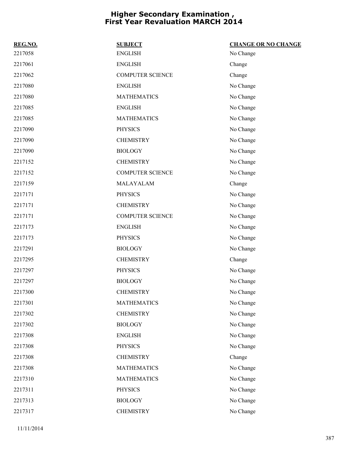| REG.NO. | <b>SUBJECT</b>          | <b>CHANGE OR NO CHANGE</b> |
|---------|-------------------------|----------------------------|
| 2217058 | <b>ENGLISH</b>          | No Change                  |
| 2217061 | <b>ENGLISH</b>          | Change                     |
| 2217062 | <b>COMPUTER SCIENCE</b> | Change                     |
| 2217080 | <b>ENGLISH</b>          | No Change                  |
| 2217080 | <b>MATHEMATICS</b>      | No Change                  |
| 2217085 | <b>ENGLISH</b>          | No Change                  |
| 2217085 | <b>MATHEMATICS</b>      | No Change                  |
| 2217090 | <b>PHYSICS</b>          | No Change                  |
| 2217090 | <b>CHEMISTRY</b>        | No Change                  |
| 2217090 | <b>BIOLOGY</b>          | No Change                  |
| 2217152 | <b>CHEMISTRY</b>        | No Change                  |
| 2217152 | <b>COMPUTER SCIENCE</b> | No Change                  |
| 2217159 | MALAYALAM               | Change                     |
| 2217171 | <b>PHYSICS</b>          | No Change                  |
| 2217171 | <b>CHEMISTRY</b>        | No Change                  |
| 2217171 | <b>COMPUTER SCIENCE</b> | No Change                  |
| 2217173 | <b>ENGLISH</b>          | No Change                  |
| 2217173 | <b>PHYSICS</b>          | No Change                  |
| 2217291 | <b>BIOLOGY</b>          | No Change                  |
| 2217295 | <b>CHEMISTRY</b>        | Change                     |
| 2217297 | <b>PHYSICS</b>          | No Change                  |
| 2217297 | <b>BIOLOGY</b>          | No Change                  |
| 2217300 | <b>CHEMISTRY</b>        | No Change                  |
| 2217301 | <b>MATHEMATICS</b>      | No Change                  |
| 2217302 | <b>CHEMISTRY</b>        | No Change                  |
| 2217302 | <b>BIOLOGY</b>          | No Change                  |
| 2217308 | <b>ENGLISH</b>          | No Change                  |
| 2217308 | <b>PHYSICS</b>          | No Change                  |
| 2217308 | <b>CHEMISTRY</b>        | Change                     |
| 2217308 | <b>MATHEMATICS</b>      | No Change                  |
| 2217310 | <b>MATHEMATICS</b>      | No Change                  |
| 2217311 | <b>PHYSICS</b>          | No Change                  |
| 2217313 | <b>BIOLOGY</b>          | No Change                  |
| 2217317 | <b>CHEMISTRY</b>        | No Change                  |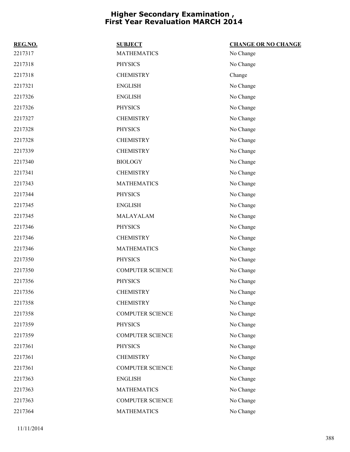| REG.NO. | <b>SUBJECT</b>          | <b>CHANGE OR NO CHANGE</b> |
|---------|-------------------------|----------------------------|
| 2217317 | <b>MATHEMATICS</b>      | No Change                  |
| 2217318 | <b>PHYSICS</b>          | No Change                  |
| 2217318 | <b>CHEMISTRY</b>        | Change                     |
| 2217321 | <b>ENGLISH</b>          | No Change                  |
| 2217326 | <b>ENGLISH</b>          | No Change                  |
| 2217326 | <b>PHYSICS</b>          | No Change                  |
| 2217327 | <b>CHEMISTRY</b>        | No Change                  |
| 2217328 | <b>PHYSICS</b>          | No Change                  |
| 2217328 | <b>CHEMISTRY</b>        | No Change                  |
| 2217339 | <b>CHEMISTRY</b>        | No Change                  |
| 2217340 | <b>BIOLOGY</b>          | No Change                  |
| 2217341 | <b>CHEMISTRY</b>        | No Change                  |
| 2217343 | <b>MATHEMATICS</b>      | No Change                  |
| 2217344 | <b>PHYSICS</b>          | No Change                  |
| 2217345 | <b>ENGLISH</b>          | No Change                  |
| 2217345 | MALAYALAM               | No Change                  |
| 2217346 | <b>PHYSICS</b>          | No Change                  |
| 2217346 | <b>CHEMISTRY</b>        | No Change                  |
| 2217346 | <b>MATHEMATICS</b>      | No Change                  |
| 2217350 | <b>PHYSICS</b>          | No Change                  |
| 2217350 | <b>COMPUTER SCIENCE</b> | No Change                  |
| 2217356 | <b>PHYSICS</b>          | No Change                  |
| 2217356 | <b>CHEMISTRY</b>        | No Change                  |
| 2217358 | <b>CHEMISTRY</b>        | No Change                  |
| 2217358 | <b>COMPUTER SCIENCE</b> | No Change                  |
| 2217359 | <b>PHYSICS</b>          | No Change                  |
| 2217359 | <b>COMPUTER SCIENCE</b> | No Change                  |
| 2217361 | <b>PHYSICS</b>          | No Change                  |
| 2217361 | <b>CHEMISTRY</b>        | No Change                  |
| 2217361 | <b>COMPUTER SCIENCE</b> | No Change                  |
| 2217363 | <b>ENGLISH</b>          | No Change                  |
| 2217363 | <b>MATHEMATICS</b>      | No Change                  |
| 2217363 | <b>COMPUTER SCIENCE</b> | No Change                  |
| 2217364 | <b>MATHEMATICS</b>      | No Change                  |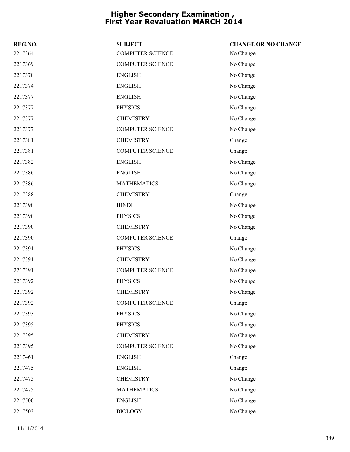| REG.NO. | <b>SUBJECT</b>          | <b>CHANGE OR NO CHANGE</b> |
|---------|-------------------------|----------------------------|
| 2217364 | <b>COMPUTER SCIENCE</b> | No Change                  |
| 2217369 | <b>COMPUTER SCIENCE</b> | No Change                  |
| 2217370 | <b>ENGLISH</b>          | No Change                  |
| 2217374 | <b>ENGLISH</b>          | No Change                  |
| 2217377 | <b>ENGLISH</b>          | No Change                  |
| 2217377 | <b>PHYSICS</b>          | No Change                  |
| 2217377 | <b>CHEMISTRY</b>        | No Change                  |
| 2217377 | <b>COMPUTER SCIENCE</b> | No Change                  |
| 2217381 | <b>CHEMISTRY</b>        | Change                     |
| 2217381 | <b>COMPUTER SCIENCE</b> | Change                     |
| 2217382 | <b>ENGLISH</b>          | No Change                  |
| 2217386 | <b>ENGLISH</b>          | No Change                  |
| 2217386 | <b>MATHEMATICS</b>      | No Change                  |
| 2217388 | <b>CHEMISTRY</b>        | Change                     |
| 2217390 | <b>HINDI</b>            | No Change                  |
| 2217390 | <b>PHYSICS</b>          | No Change                  |
| 2217390 | <b>CHEMISTRY</b>        | No Change                  |
| 2217390 | <b>COMPUTER SCIENCE</b> | Change                     |
| 2217391 | <b>PHYSICS</b>          | No Change                  |
| 2217391 | <b>CHEMISTRY</b>        | No Change                  |
| 2217391 | <b>COMPUTER SCIENCE</b> | No Change                  |
| 2217392 | <b>PHYSICS</b>          | No Change                  |
| 2217392 | <b>CHEMISTRY</b>        | No Change                  |
| 2217392 | <b>COMPUTER SCIENCE</b> | Change                     |
| 2217393 | <b>PHYSICS</b>          | No Change                  |
| 2217395 | <b>PHYSICS</b>          | No Change                  |
| 2217395 | <b>CHEMISTRY</b>        | No Change                  |
| 2217395 | <b>COMPUTER SCIENCE</b> | No Change                  |
| 2217461 | <b>ENGLISH</b>          | Change                     |
| 2217475 | <b>ENGLISH</b>          | Change                     |
| 2217475 | <b>CHEMISTRY</b>        | No Change                  |
| 2217475 | <b>MATHEMATICS</b>      | No Change                  |
| 2217500 | <b>ENGLISH</b>          | No Change                  |
| 2217503 | <b>BIOLOGY</b>          | No Change                  |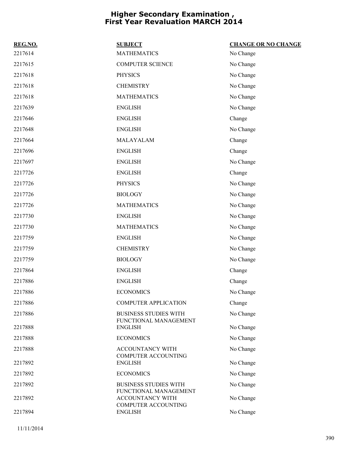| REG.NO. | <b>SUBJECT</b>                                        | <b>CHANGE OR NO CHANGE</b> |
|---------|-------------------------------------------------------|----------------------------|
| 2217614 | <b>MATHEMATICS</b>                                    | No Change                  |
| 2217615 | <b>COMPUTER SCIENCE</b>                               | No Change                  |
| 2217618 | <b>PHYSICS</b>                                        | No Change                  |
| 2217618 | <b>CHEMISTRY</b>                                      | No Change                  |
| 2217618 | <b>MATHEMATICS</b>                                    | No Change                  |
| 2217639 | <b>ENGLISH</b>                                        | No Change                  |
| 2217646 | <b>ENGLISH</b>                                        | Change                     |
| 2217648 | <b>ENGLISH</b>                                        | No Change                  |
| 2217664 | MALAYALAM                                             | Change                     |
| 2217696 | <b>ENGLISH</b>                                        | Change                     |
| 2217697 | <b>ENGLISH</b>                                        | No Change                  |
| 2217726 | <b>ENGLISH</b>                                        | Change                     |
| 2217726 | <b>PHYSICS</b>                                        | No Change                  |
| 2217726 | <b>BIOLOGY</b>                                        | No Change                  |
| 2217726 | <b>MATHEMATICS</b>                                    | No Change                  |
| 2217730 | <b>ENGLISH</b>                                        | No Change                  |
| 2217730 | <b>MATHEMATICS</b>                                    | No Change                  |
| 2217759 | <b>ENGLISH</b>                                        | No Change                  |
| 2217759 | <b>CHEMISTRY</b>                                      | No Change                  |
| 2217759 | <b>BIOLOGY</b>                                        | No Change                  |
| 2217864 | <b>ENGLISH</b>                                        | Change                     |
| 2217886 | <b>ENGLISH</b>                                        | Change                     |
| 2217886 | <b>ECONOMICS</b>                                      | No Change                  |
| 2217886 | <b>COMPUTER APPLICATION</b>                           | Change                     |
| 2217886 | <b>BUSINESS STUDIES WITH</b><br>FUNCTIONAL MANAGEMENT | No Change                  |
| 2217888 | <b>ENGLISH</b>                                        | No Change                  |
| 2217888 | <b>ECONOMICS</b>                                      | No Change                  |
| 2217888 | ACCOUNTANCY WITH<br><b>COMPUTER ACCOUNTING</b>        | No Change                  |
| 2217892 | <b>ENGLISH</b>                                        | No Change                  |
| 2217892 | <b>ECONOMICS</b>                                      | No Change                  |
| 2217892 | <b>BUSINESS STUDIES WITH</b><br>FUNCTIONAL MANAGEMENT | No Change                  |
| 2217892 | ACCOUNTANCY WITH<br><b>COMPUTER ACCOUNTING</b>        | No Change                  |
| 2217894 | <b>ENGLISH</b>                                        | No Change                  |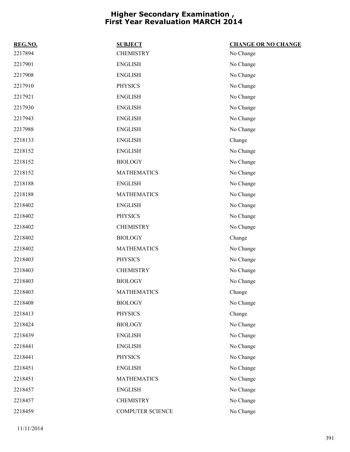| REG.NO. | <b>SUBJECT</b>     | <b>CHANGE OR NO CHANGE</b> |
|---------|--------------------|----------------------------|
| 2217894 | <b>CHEMISTRY</b>   | No Change                  |
| 2217901 | <b>ENGLISH</b>     | No Change                  |
| 2217908 | <b>ENGLISH</b>     | No Change                  |
| 2217910 | <b>PHYSICS</b>     | No Change                  |
| 2217921 | <b>ENGLISH</b>     | No Change                  |
| 2217930 | <b>ENGLISH</b>     | No Change                  |
| 2217943 | <b>ENGLISH</b>     | No Change                  |
| 2217988 | <b>ENGLISH</b>     | No Change                  |
| 2218133 | <b>ENGLISH</b>     | Change                     |
| 2218152 | <b>ENGLISH</b>     | No Change                  |
| 2218152 | <b>BIOLOGY</b>     | No Change                  |
| 2218152 | <b>MATHEMATICS</b> | No Change                  |
| 2218188 | <b>ENGLISH</b>     | No Change                  |
| 2218188 | <b>MATHEMATICS</b> | No Change                  |
| 2218402 | <b>ENGLISH</b>     | No Change                  |
| 2218402 | <b>PHYSICS</b>     | No Change                  |
| 2218402 | <b>CHEMISTRY</b>   | No Change                  |
| 2218402 | <b>BIOLOGY</b>     | Change                     |
| 2218402 | <b>MATHEMATICS</b> | No Change                  |
| 2218403 | <b>PHYSICS</b>     | No Change                  |
| 2218403 | <b>CHEMISTRY</b>   | No Change                  |
| 2218403 | <b>BIOLOGY</b>     | No Change                  |
| 2218403 | <b>MATHEMATICS</b> | Change                     |
| 2218408 | <b>BIOLOGY</b>     | No Change                  |
| 2218413 | <b>PHYSICS</b>     | Change                     |
| 2218424 | <b>BIOLOGY</b>     | No Change                  |
| 2218439 | <b>ENGLISH</b>     | No Change                  |
| 2218441 | <b>ENGLISH</b>     | No Change                  |
| 2218441 | <b>PHYSICS</b>     | No Change                  |
| 2218451 | <b>ENGLISH</b>     | No Change                  |
| 2218451 | <b>MATHEMATICS</b> | No Change                  |
| 2218457 | <b>ENGLISH</b>     | No Change                  |
| 2218457 | <b>CHEMISTRY</b>   | No Change                  |
| 2218459 | COMPUTER SCIENCE   | No Change                  |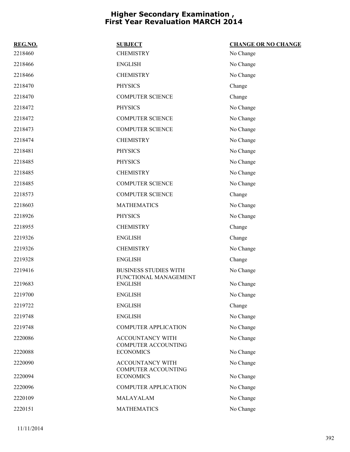| REG.NO. | <b>SUBJECT</b>                                        | <b>CHANGE OR NO CHANGE</b> |
|---------|-------------------------------------------------------|----------------------------|
| 2218460 | <b>CHEMISTRY</b>                                      | No Change                  |
| 2218466 | <b>ENGLISH</b>                                        | No Change                  |
| 2218466 | <b>CHEMISTRY</b>                                      | No Change                  |
| 2218470 | <b>PHYSICS</b>                                        | Change                     |
| 2218470 | <b>COMPUTER SCIENCE</b>                               | Change                     |
| 2218472 | <b>PHYSICS</b>                                        | No Change                  |
| 2218472 | <b>COMPUTER SCIENCE</b>                               | No Change                  |
| 2218473 | <b>COMPUTER SCIENCE</b>                               | No Change                  |
| 2218474 | <b>CHEMISTRY</b>                                      | No Change                  |
| 2218481 | <b>PHYSICS</b>                                        | No Change                  |
| 2218485 | <b>PHYSICS</b>                                        | No Change                  |
| 2218485 | <b>CHEMISTRY</b>                                      | No Change                  |
| 2218485 | <b>COMPUTER SCIENCE</b>                               | No Change                  |
| 2218573 | <b>COMPUTER SCIENCE</b>                               | Change                     |
| 2218603 | <b>MATHEMATICS</b>                                    | No Change                  |
| 2218926 | <b>PHYSICS</b>                                        | No Change                  |
| 2218955 | <b>CHEMISTRY</b>                                      | Change                     |
| 2219326 | <b>ENGLISH</b>                                        | Change                     |
| 2219326 | <b>CHEMISTRY</b>                                      | No Change                  |
| 2219328 | <b>ENGLISH</b>                                        | Change                     |
| 2219416 | <b>BUSINESS STUDIES WITH</b><br>FUNCTIONAL MANAGEMENT | No Change                  |
| 2219683 | <b>ENGLISH</b>                                        | No Change                  |
| 2219700 | <b>ENGLISH</b>                                        | No Change                  |
| 2219722 | <b>ENGLISH</b>                                        | Change                     |
| 2219748 | <b>ENGLISH</b>                                        | No Change                  |
| 2219748 | <b>COMPUTER APPLICATION</b>                           | No Change                  |
| 2220086 | ACCOUNTANCY WITH<br><b>COMPUTER ACCOUNTING</b>        | No Change                  |
| 2220088 | <b>ECONOMICS</b>                                      | No Change                  |
| 2220090 | <b>ACCOUNTANCY WITH</b><br><b>COMPUTER ACCOUNTING</b> | No Change                  |
| 2220094 | <b>ECONOMICS</b>                                      | No Change                  |
| 2220096 | <b>COMPUTER APPLICATION</b>                           | No Change                  |
| 2220109 | MALAYALAM                                             | No Change                  |
| 2220151 | <b>MATHEMATICS</b>                                    | No Change                  |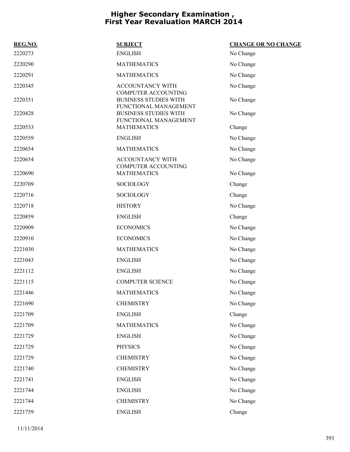| REG.NO. | <b>SUBJECT</b>                                                                      | <b>CHANGE OR NO CHANGE</b> |
|---------|-------------------------------------------------------------------------------------|----------------------------|
| 2220273 | <b>ENGLISH</b>                                                                      | No Change                  |
| 2220290 | <b>MATHEMATICS</b>                                                                  | No Change                  |
| 2220291 | <b>MATHEMATICS</b>                                                                  | No Change                  |
| 2220345 | ACCOUNTANCY WITH                                                                    | No Change                  |
| 2220351 | <b>COMPUTER ACCOUNTING</b><br><b>BUSINESS STUDIES WITH</b><br>FUNCTIONAL MANAGEMENT | No Change                  |
| 2220428 | <b>BUSINESS STUDIES WITH</b><br>FUNCTIONAL MANAGEMENT                               | No Change                  |
| 2220533 | <b>MATHEMATICS</b>                                                                  | Change                     |
| 2220559 | <b>ENGLISH</b>                                                                      | No Change                  |
| 2220654 | <b>MATHEMATICS</b>                                                                  | No Change                  |
| 2220654 | <b>ACCOUNTANCY WITH</b><br><b>COMPUTER ACCOUNTING</b>                               | No Change                  |
| 2220690 | <b>MATHEMATICS</b>                                                                  | No Change                  |
| 2220709 | SOCIOLOGY                                                                           | Change                     |
| 2220716 | <b>SOCIOLOGY</b>                                                                    | Change                     |
| 2220718 | <b>HISTORY</b>                                                                      | No Change                  |
| 2220859 | <b>ENGLISH</b>                                                                      | Change                     |
| 2220909 | <b>ECONOMICS</b>                                                                    | No Change                  |
| 2220910 | <b>ECONOMICS</b>                                                                    | No Change                  |
| 2221030 | <b>MATHEMATICS</b>                                                                  | No Change                  |
| 2221043 | <b>ENGLISH</b>                                                                      | No Change                  |
| 2221112 | <b>ENGLISH</b>                                                                      | No Change                  |
| 2221115 | <b>COMPUTER SCIENCE</b>                                                             | No Change                  |
| 2221446 | <b>MATHEMATICS</b>                                                                  | No Change                  |
| 2221690 | <b>CHEMISTRY</b>                                                                    | No Change                  |
| 2221709 | <b>ENGLISH</b>                                                                      | Change                     |
| 2221709 | <b>MATHEMATICS</b>                                                                  | No Change                  |
| 2221729 | <b>ENGLISH</b>                                                                      | No Change                  |
| 2221729 | <b>PHYSICS</b>                                                                      | No Change                  |
| 2221729 | <b>CHEMISTRY</b>                                                                    | No Change                  |
| 2221740 | <b>CHEMISTRY</b>                                                                    | No Change                  |
| 2221741 | <b>ENGLISH</b>                                                                      | No Change                  |
| 2221744 | <b>ENGLISH</b>                                                                      | No Change                  |
| 2221744 | <b>CHEMISTRY</b>                                                                    | No Change                  |
| 2221759 | <b>ENGLISH</b>                                                                      | Change                     |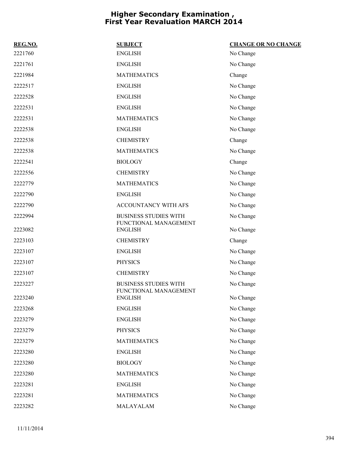| REG.NO. | <b>SUBJECT</b>                                        | <b>CHANGE OR NO CHANGE</b> |
|---------|-------------------------------------------------------|----------------------------|
| 2221760 | <b>ENGLISH</b>                                        | No Change                  |
| 2221761 | <b>ENGLISH</b>                                        | No Change                  |
| 2221984 | <b>MATHEMATICS</b>                                    | Change                     |
| 2222517 | <b>ENGLISH</b>                                        | No Change                  |
| 2222528 | <b>ENGLISH</b>                                        | No Change                  |
| 2222531 | <b>ENGLISH</b>                                        | No Change                  |
| 2222531 | <b>MATHEMATICS</b>                                    | No Change                  |
| 2222538 | <b>ENGLISH</b>                                        | No Change                  |
| 2222538 | <b>CHEMISTRY</b>                                      | Change                     |
| 2222538 | <b>MATHEMATICS</b>                                    | No Change                  |
| 2222541 | <b>BIOLOGY</b>                                        | Change                     |
| 2222556 | <b>CHEMISTRY</b>                                      | No Change                  |
| 2222779 | <b>MATHEMATICS</b>                                    | No Change                  |
| 2222790 | <b>ENGLISH</b>                                        | No Change                  |
| 2222790 | ACCOUNTANCY WITH AFS                                  | No Change                  |
| 2222994 | <b>BUSINESS STUDIES WITH</b><br>FUNCTIONAL MANAGEMENT | No Change                  |
| 2223082 | <b>ENGLISH</b>                                        | No Change                  |
| 2223103 | <b>CHEMISTRY</b>                                      | Change                     |
| 2223107 | <b>ENGLISH</b>                                        | No Change                  |
| 2223107 | <b>PHYSICS</b>                                        | No Change                  |
| 2223107 | <b>CHEMISTRY</b>                                      | No Change                  |
| 2223227 | <b>BUSINESS STUDIES WITH</b><br>FUNCTIONAL MANAGEMENT | No Change                  |
| 2223240 | <b>ENGLISH</b>                                        | No Change                  |
| 2223268 | <b>ENGLISH</b>                                        | No Change                  |
| 2223279 | <b>ENGLISH</b>                                        | No Change                  |
| 2223279 | <b>PHYSICS</b>                                        | No Change                  |
| 2223279 | <b>MATHEMATICS</b>                                    | No Change                  |
| 2223280 | <b>ENGLISH</b>                                        | No Change                  |
| 2223280 | <b>BIOLOGY</b>                                        | No Change                  |
| 2223280 | <b>MATHEMATICS</b>                                    | No Change                  |
| 2223281 | <b>ENGLISH</b>                                        | No Change                  |
| 2223281 | <b>MATHEMATICS</b>                                    | No Change                  |
| 2223282 | MALAYALAM                                             | No Change                  |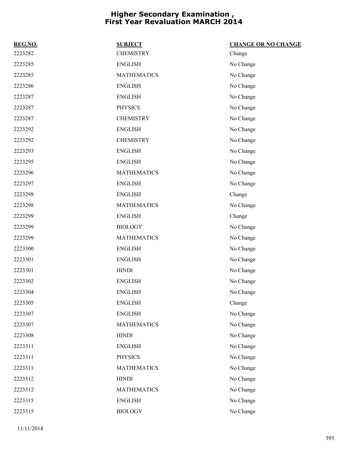| REG.NO. | <b>SUBJECT</b>     | <b>CHANGE OR NO CHANGE</b> |
|---------|--------------------|----------------------------|
| 2223282 | <b>CHEMISTRY</b>   | Change                     |
| 2223285 | <b>ENGLISH</b>     | No Change                  |
| 2223285 | <b>MATHEMATICS</b> | No Change                  |
| 2223286 | <b>ENGLISH</b>     | No Change                  |
| 2223287 | <b>ENGLISH</b>     | No Change                  |
| 2223287 | <b>PHYSICS</b>     | No Change                  |
| 2223287 | <b>CHEMISTRY</b>   | No Change                  |
| 2223292 | <b>ENGLISH</b>     | No Change                  |
| 2223292 | <b>CHEMISTRY</b>   | No Change                  |
| 2223293 | <b>ENGLISH</b>     | No Change                  |
| 2223295 | <b>ENGLISH</b>     | No Change                  |
| 2223296 | <b>MATHEMATICS</b> | No Change                  |
| 2223297 | <b>ENGLISH</b>     | No Change                  |
| 2223298 | <b>ENGLISH</b>     | Change                     |
| 2223298 | <b>MATHEMATICS</b> | No Change                  |
| 2223299 | <b>ENGLISH</b>     | Change                     |
| 2223299 | <b>BIOLOGY</b>     | No Change                  |
| 2223299 | <b>MATHEMATICS</b> | No Change                  |
| 2223300 | <b>ENGLISH</b>     | No Change                  |
| 2223301 | <b>ENGLISH</b>     | No Change                  |
| 2223301 | <b>HINDI</b>       | No Change                  |
| 2223302 | <b>ENGLISH</b>     | No Change                  |
| 2223304 | <b>ENGLISH</b>     | No Change                  |
| 2223305 | <b>ENGLISH</b>     | Change                     |
| 2223307 | <b>ENGLISH</b>     | No Change                  |
| 2223307 | <b>MATHEMATICS</b> | No Change                  |
| 2223308 | <b>HINDI</b>       | No Change                  |
| 2223311 | <b>ENGLISH</b>     | No Change                  |
| 2223311 | <b>PHYSICS</b>     | No Change                  |
| 2223311 | <b>MATHEMATICS</b> | No Change                  |
| 2223312 | <b>HINDI</b>       | No Change                  |
| 2223312 | <b>MATHEMATICS</b> | No Change                  |
| 2223315 | <b>ENGLISH</b>     | No Change                  |
| 2223315 | <b>BIOLOGY</b>     | No Change                  |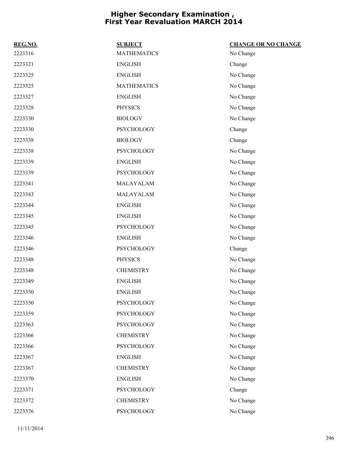| REG.NO. | <b>SUBJECT</b>     | <b>CHANGE OR NO CHANGE</b> |
|---------|--------------------|----------------------------|
| 2223316 | <b>MATHEMATICS</b> | No Change                  |
| 2223321 | <b>ENGLISH</b>     | Change                     |
| 2223325 | <b>ENGLISH</b>     | No Change                  |
| 2223325 | <b>MATHEMATICS</b> | No Change                  |
| 2223327 | <b>ENGLISH</b>     | No Change                  |
| 2223328 | <b>PHYSICS</b>     | No Change                  |
| 2223330 | <b>BIOLOGY</b>     | No Change                  |
| 2223330 | <b>PSYCHOLOGY</b>  | Change                     |
| 2223338 | <b>BIOLOGY</b>     | Change                     |
| 2223338 | <b>PSYCHOLOGY</b>  | No Change                  |
| 2223339 | <b>ENGLISH</b>     | No Change                  |
| 2223339 | <b>PSYCHOLOGY</b>  | No Change                  |
| 2223341 | MALAYALAM          | No Change                  |
| 2223343 | MALAYALAM          | No Change                  |
| 2223344 | <b>ENGLISH</b>     | No Change                  |
| 2223345 | <b>ENGLISH</b>     | No Change                  |
| 2223345 | <b>PSYCHOLOGY</b>  | No Change                  |
| 2223346 | <b>ENGLISH</b>     | No Change                  |
| 2223346 | <b>PSYCHOLOGY</b>  | Change                     |
| 2223348 | <b>PHYSICS</b>     | No Change                  |
| 2223348 | <b>CHEMISTRY</b>   | No Change                  |
| 2223349 | <b>ENGLISH</b>     | No Change                  |
| 2223350 | <b>ENGLISH</b>     | No Change                  |
| 2223350 | PSYCHOLOGY         | No Change                  |
| 2223359 | <b>PSYCHOLOGY</b>  | No Change                  |
| 2223363 | <b>PSYCHOLOGY</b>  | No Change                  |
| 2223366 | <b>CHEMISTRY</b>   | No Change                  |
| 2223366 | <b>PSYCHOLOGY</b>  | No Change                  |
| 2223367 | <b>ENGLISH</b>     | No Change                  |
| 2223367 | <b>CHEMISTRY</b>   | No Change                  |
| 2223370 | <b>ENGLISH</b>     | No Change                  |
| 2223371 | PSYCHOLOGY         | Change                     |
| 2223372 | <b>CHEMISTRY</b>   | No Change                  |
| 2223376 | PSYCHOLOGY         | No Change                  |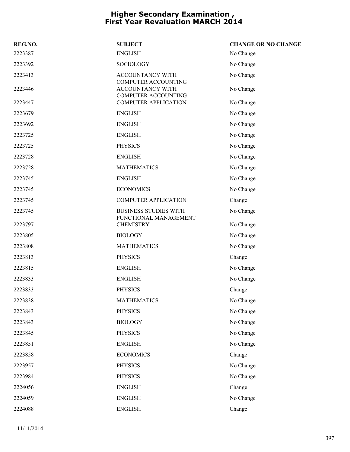| REG.NO. | <b>SUBJECT</b>                                        | <b>CHANGE OR NO CHANGE</b> |
|---------|-------------------------------------------------------|----------------------------|
| 2223387 | <b>ENGLISH</b>                                        | No Change                  |
| 2223392 | <b>SOCIOLOGY</b>                                      | No Change                  |
| 2223413 | <b>ACCOUNTANCY WITH</b><br>COMPUTER ACCOUNTING        | No Change                  |
| 2223446 | ACCOUNTANCY WITH<br><b>COMPUTER ACCOUNTING</b>        | No Change                  |
| 2223447 | <b>COMPUTER APPLICATION</b>                           | No Change                  |
| 2223679 | <b>ENGLISH</b>                                        | No Change                  |
| 2223692 | <b>ENGLISH</b>                                        | No Change                  |
| 2223725 | <b>ENGLISH</b>                                        | No Change                  |
| 2223725 | <b>PHYSICS</b>                                        | No Change                  |
| 2223728 | <b>ENGLISH</b>                                        | No Change                  |
| 2223728 | <b>MATHEMATICS</b>                                    | No Change                  |
| 2223745 | <b>ENGLISH</b>                                        | No Change                  |
| 2223745 | <b>ECONOMICS</b>                                      | No Change                  |
| 2223745 | <b>COMPUTER APPLICATION</b>                           | Change                     |
| 2223745 | <b>BUSINESS STUDIES WITH</b><br>FUNCTIONAL MANAGEMENT | No Change                  |
| 2223797 | <b>CHEMISTRY</b>                                      | No Change                  |
| 2223805 | <b>BIOLOGY</b>                                        | No Change                  |
| 2223808 | <b>MATHEMATICS</b>                                    | No Change                  |
| 2223813 | <b>PHYSICS</b>                                        | Change                     |
| 2223815 | <b>ENGLISH</b>                                        | No Change                  |
| 2223833 | <b>ENGLISH</b>                                        | No Change                  |
| 2223833 | <b>PHYSICS</b>                                        | Change                     |
| 2223838 | <b>MATHEMATICS</b>                                    | No Change                  |
| 2223843 | <b>PHYSICS</b>                                        | No Change                  |
| 2223843 | <b>BIOLOGY</b>                                        | No Change                  |
| 2223845 | <b>PHYSICS</b>                                        | No Change                  |
| 2223851 | <b>ENGLISH</b>                                        | No Change                  |
| 2223858 | <b>ECONOMICS</b>                                      | Change                     |
| 2223957 | <b>PHYSICS</b>                                        | No Change                  |
| 2223984 | <b>PHYSICS</b>                                        | No Change                  |
| 2224056 | <b>ENGLISH</b>                                        | Change                     |
| 2224059 | <b>ENGLISH</b>                                        | No Change                  |
| 2224088 | <b>ENGLISH</b>                                        | Change                     |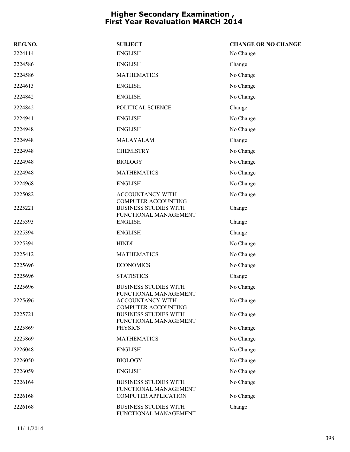| REG.NO. | <b>SUBJECT</b>                                                                      | <b>CHANGE OR NO CHANGE</b> |
|---------|-------------------------------------------------------------------------------------|----------------------------|
| 2224114 | <b>ENGLISH</b>                                                                      | No Change                  |
| 2224586 | <b>ENGLISH</b>                                                                      | Change                     |
| 2224586 | <b>MATHEMATICS</b>                                                                  | No Change                  |
| 2224613 | <b>ENGLISH</b>                                                                      | No Change                  |
| 2224842 | <b>ENGLISH</b>                                                                      | No Change                  |
| 2224842 | POLITICAL SCIENCE                                                                   | Change                     |
| 2224941 | <b>ENGLISH</b>                                                                      | No Change                  |
| 2224948 | <b>ENGLISH</b>                                                                      | No Change                  |
| 2224948 | MALAYALAM                                                                           | Change                     |
| 2224948 | <b>CHEMISTRY</b>                                                                    | No Change                  |
| 2224948 | <b>BIOLOGY</b>                                                                      | No Change                  |
| 2224948 | <b>MATHEMATICS</b>                                                                  | No Change                  |
| 2224968 | <b>ENGLISH</b>                                                                      | No Change                  |
| 2225082 | <b>ACCOUNTANCY WITH</b>                                                             | No Change                  |
| 2225221 | <b>COMPUTER ACCOUNTING</b><br><b>BUSINESS STUDIES WITH</b><br>FUNCTIONAL MANAGEMENT | Change                     |
| 2225393 | <b>ENGLISH</b>                                                                      | Change                     |
| 2225394 | <b>ENGLISH</b>                                                                      | Change                     |
| 2225394 | <b>HINDI</b>                                                                        | No Change                  |
| 2225412 | <b>MATHEMATICS</b>                                                                  | No Change                  |
| 2225696 | <b>ECONOMICS</b>                                                                    | No Change                  |
| 2225696 | <b>STATISTICS</b>                                                                   | Change                     |
| 2225696 | <b>BUSINESS STUDIES WITH</b>                                                        | No Change                  |
| 2225696 | FUNCTIONAL MANAGEMENT<br><b>ACCOUNTANCY WITH</b><br><b>COMPUTER ACCOUNTING</b>      | No Change                  |
| 2225721 | <b>BUSINESS STUDIES WITH</b><br>FUNCTIONAL MANAGEMENT                               | No Change                  |
| 2225869 | <b>PHYSICS</b>                                                                      | No Change                  |
| 2225869 | <b>MATHEMATICS</b>                                                                  | No Change                  |
| 2226048 | <b>ENGLISH</b>                                                                      | No Change                  |
| 2226050 | <b>BIOLOGY</b>                                                                      | No Change                  |
| 2226059 | <b>ENGLISH</b>                                                                      | No Change                  |
| 2226164 | <b>BUSINESS STUDIES WITH</b><br>FUNCTIONAL MANAGEMENT                               | No Change                  |
| 2226168 | <b>COMPUTER APPLICATION</b>                                                         | No Change                  |
| 2226168 | <b>BUSINESS STUDIES WITH</b><br>FUNCTIONAL MANAGEMENT                               | Change                     |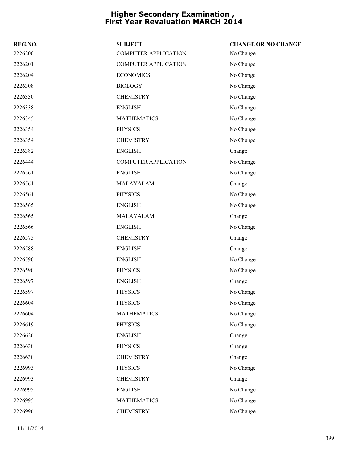| REG.NO. | <b>SUBJECT</b>              | <b>CHANGE OR NO CHANGE</b> |
|---------|-----------------------------|----------------------------|
| 2226200 | <b>COMPUTER APPLICATION</b> | No Change                  |
| 2226201 | <b>COMPUTER APPLICATION</b> | No Change                  |
| 2226204 | <b>ECONOMICS</b>            | No Change                  |
| 2226308 | <b>BIOLOGY</b>              | No Change                  |
| 2226330 | <b>CHEMISTRY</b>            | No Change                  |
| 2226338 | <b>ENGLISH</b>              | No Change                  |
| 2226345 | <b>MATHEMATICS</b>          | No Change                  |
| 2226354 | <b>PHYSICS</b>              | No Change                  |
| 2226354 | <b>CHEMISTRY</b>            | No Change                  |
| 2226382 | <b>ENGLISH</b>              | Change                     |
| 2226444 | <b>COMPUTER APPLICATION</b> | No Change                  |
| 2226561 | <b>ENGLISH</b>              | No Change                  |
| 2226561 | MALAYALAM                   | Change                     |
| 2226561 | <b>PHYSICS</b>              | No Change                  |
| 2226565 | <b>ENGLISH</b>              | No Change                  |
| 2226565 | MALAYALAM                   | Change                     |
| 2226566 | <b>ENGLISH</b>              | No Change                  |
| 2226575 | <b>CHEMISTRY</b>            | Change                     |
| 2226588 | <b>ENGLISH</b>              | Change                     |
| 2226590 | <b>ENGLISH</b>              | No Change                  |
| 2226590 | <b>PHYSICS</b>              | No Change                  |
| 2226597 | <b>ENGLISH</b>              | Change                     |
| 2226597 | <b>PHYSICS</b>              | No Change                  |
| 2226604 | <b>PHYSICS</b>              | No Change                  |
| 2226604 | <b>MATHEMATICS</b>          | No Change                  |
| 2226619 | <b>PHYSICS</b>              | No Change                  |
| 2226626 | <b>ENGLISH</b>              | Change                     |
| 2226630 | <b>PHYSICS</b>              | Change                     |
| 2226630 | <b>CHEMISTRY</b>            | Change                     |
| 2226993 | <b>PHYSICS</b>              | No Change                  |
| 2226993 | <b>CHEMISTRY</b>            | Change                     |
| 2226995 | <b>ENGLISH</b>              | No Change                  |
| 2226995 | <b>MATHEMATICS</b>          | No Change                  |
| 2226996 | <b>CHEMISTRY</b>            | No Change                  |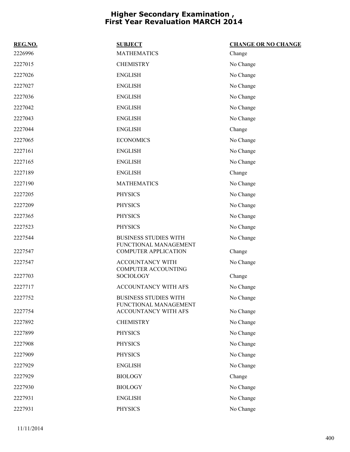| REG.NO. | <b>SUBJECT</b>                                        | <b>CHANGE OR NO CHANGE</b> |
|---------|-------------------------------------------------------|----------------------------|
| 2226996 | <b>MATHEMATICS</b>                                    | Change                     |
| 2227015 | <b>CHEMISTRY</b>                                      | No Change                  |
| 2227026 | <b>ENGLISH</b>                                        | No Change                  |
| 2227027 | <b>ENGLISH</b>                                        | No Change                  |
| 2227036 | <b>ENGLISH</b>                                        | No Change                  |
| 2227042 | <b>ENGLISH</b>                                        | No Change                  |
| 2227043 | <b>ENGLISH</b>                                        | No Change                  |
| 2227044 | <b>ENGLISH</b>                                        | Change                     |
| 2227065 | <b>ECONOMICS</b>                                      | No Change                  |
| 2227161 | <b>ENGLISH</b>                                        | No Change                  |
| 2227165 | <b>ENGLISH</b>                                        | No Change                  |
| 2227189 | <b>ENGLISH</b>                                        | Change                     |
| 2227190 | <b>MATHEMATICS</b>                                    | No Change                  |
| 2227205 | <b>PHYSICS</b>                                        | No Change                  |
| 2227209 | <b>PHYSICS</b>                                        | No Change                  |
| 2227365 | <b>PHYSICS</b>                                        | No Change                  |
| 2227523 | <b>PHYSICS</b>                                        | No Change                  |
| 2227544 | <b>BUSINESS STUDIES WITH</b><br>FUNCTIONAL MANAGEMENT | No Change                  |
| 2227547 | <b>COMPUTER APPLICATION</b>                           | Change                     |
| 2227547 | ACCOUNTANCY WITH<br><b>COMPUTER ACCOUNTING</b>        | No Change                  |
| 2227703 | <b>SOCIOLOGY</b>                                      | Change                     |
| 2227717 | ACCOUNTANCY WITH AFS                                  | No Change                  |
| 2227752 | BUSINESS STUDIES WITH<br>FUNCTIONAL MANAGEMENT        | No Change                  |
| 2227754 | ACCOUNTANCY WITH AFS                                  | No Change                  |
| 2227892 | <b>CHEMISTRY</b>                                      | No Change                  |
| 2227899 | <b>PHYSICS</b>                                        | No Change                  |
| 2227908 | <b>PHYSICS</b>                                        | No Change                  |
| 2227909 | <b>PHYSICS</b>                                        | No Change                  |
| 2227929 | <b>ENGLISH</b>                                        | No Change                  |
| 2227929 | <b>BIOLOGY</b>                                        | Change                     |
| 2227930 | <b>BIOLOGY</b>                                        | No Change                  |
| 2227931 | <b>ENGLISH</b>                                        | No Change                  |
| 2227931 | PHYSICS                                               | No Change                  |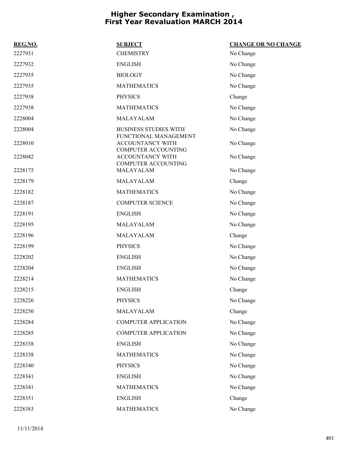| REG.NO. | <b>SUBJECT</b>                                                          | <b>CHANGE OR NO CHANGE</b> |
|---------|-------------------------------------------------------------------------|----------------------------|
| 2227931 | <b>CHEMISTRY</b>                                                        | No Change                  |
| 2227932 | <b>ENGLISH</b>                                                          | No Change                  |
| 2227935 | <b>BIOLOGY</b>                                                          | No Change                  |
| 2227935 | <b>MATHEMATICS</b>                                                      | No Change                  |
| 2227938 | <b>PHYSICS</b>                                                          | Change                     |
| 2227938 | <b>MATHEMATICS</b>                                                      | No Change                  |
| 2228004 | MALAYALAM                                                               | No Change                  |
| 2228004 | <b>BUSINESS STUDIES WITH</b>                                            | No Change                  |
| 2228010 | FUNCTIONAL MANAGEMENT<br>ACCOUNTANCY WITH<br><b>COMPUTER ACCOUNTING</b> | No Change                  |
| 2228042 | ACCOUNTANCY WITH<br><b>COMPUTER ACCOUNTING</b>                          | No Change                  |
| 2228175 | MALAYALAM                                                               | No Change                  |
| 2228179 | MALAYALAM                                                               | Change                     |
| 2228182 | <b>MATHEMATICS</b>                                                      | No Change                  |
| 2228187 | <b>COMPUTER SCIENCE</b>                                                 | No Change                  |
| 2228191 | <b>ENGLISH</b>                                                          | No Change                  |
| 2228195 | MALAYALAM                                                               | No Change                  |
| 2228196 | MALAYALAM                                                               | Change                     |
| 2228199 | <b>PHYSICS</b>                                                          | No Change                  |
| 2228202 | <b>ENGLISH</b>                                                          | No Change                  |
| 2228204 | <b>ENGLISH</b>                                                          | No Change                  |
| 2228214 | <b>MATHEMATICS</b>                                                      | No Change                  |
| 2228215 | <b>ENGLISH</b>                                                          | Change                     |
| 2228226 | <b>PHYSICS</b>                                                          | No Change                  |
| 2228250 | MALAYALAM                                                               | Change                     |
| 2228284 | <b>COMPUTER APPLICATION</b>                                             | No Change                  |
| 2228285 | <b>COMPUTER APPLICATION</b>                                             | No Change                  |
| 2228338 | <b>ENGLISH</b>                                                          | No Change                  |
| 2228338 | <b>MATHEMATICS</b>                                                      | No Change                  |
| 2228340 | <b>PHYSICS</b>                                                          | No Change                  |
| 2228341 | <b>ENGLISH</b>                                                          | No Change                  |
| 2228341 | <b>MATHEMATICS</b>                                                      | No Change                  |
| 2228351 | <b>ENGLISH</b>                                                          | Change                     |
| 2228383 | <b>MATHEMATICS</b>                                                      | No Change                  |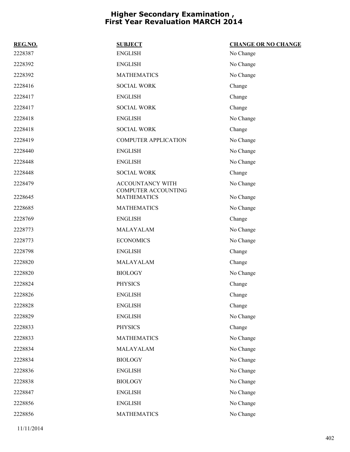| REG.NO. | <b>SUBJECT</b>                            | <b>CHANGE OR NO CHANGE</b> |
|---------|-------------------------------------------|----------------------------|
| 2228387 | <b>ENGLISH</b>                            | No Change                  |
| 2228392 | <b>ENGLISH</b>                            | No Change                  |
| 2228392 | <b>MATHEMATICS</b>                        | No Change                  |
| 2228416 | <b>SOCIAL WORK</b>                        | Change                     |
| 2228417 | <b>ENGLISH</b>                            | Change                     |
| 2228417 | <b>SOCIAL WORK</b>                        | Change                     |
| 2228418 | <b>ENGLISH</b>                            | No Change                  |
| 2228418 | <b>SOCIAL WORK</b>                        | Change                     |
| 2228419 | <b>COMPUTER APPLICATION</b>               | No Change                  |
| 2228440 | <b>ENGLISH</b>                            | No Change                  |
| 2228448 | <b>ENGLISH</b>                            | No Change                  |
| 2228448 | <b>SOCIAL WORK</b>                        | Change                     |
| 2228479 | <b>ACCOUNTANCY WITH</b>                   | No Change                  |
| 2228645 | COMPUTER ACCOUNTING<br><b>MATHEMATICS</b> | No Change                  |
| 2228685 | <b>MATHEMATICS</b>                        | No Change                  |
| 2228769 | <b>ENGLISH</b>                            | Change                     |
| 2228773 | MALAYALAM                                 | No Change                  |
| 2228773 | <b>ECONOMICS</b>                          | No Change                  |
| 2228798 | <b>ENGLISH</b>                            | Change                     |
| 2228820 | MALAYALAM                                 | Change                     |
| 2228820 | <b>BIOLOGY</b>                            | No Change                  |
| 2228824 | <b>PHYSICS</b>                            | Change                     |
| 2228826 | <b>ENGLISH</b>                            | Change                     |
| 2228828 | <b>ENGLISH</b>                            | Change                     |
| 2228829 | <b>ENGLISH</b>                            | No Change                  |
| 2228833 | <b>PHYSICS</b>                            | Change                     |
| 2228833 | <b>MATHEMATICS</b>                        | No Change                  |
| 2228834 | MALAYALAM                                 | No Change                  |
| 2228834 | <b>BIOLOGY</b>                            | No Change                  |
| 2228836 | <b>ENGLISH</b>                            | No Change                  |
| 2228838 | <b>BIOLOGY</b>                            | No Change                  |
| 2228847 | <b>ENGLISH</b>                            | No Change                  |
| 2228856 | <b>ENGLISH</b>                            | No Change                  |
| 2228856 | <b>MATHEMATICS</b>                        | No Change                  |

11/11/2014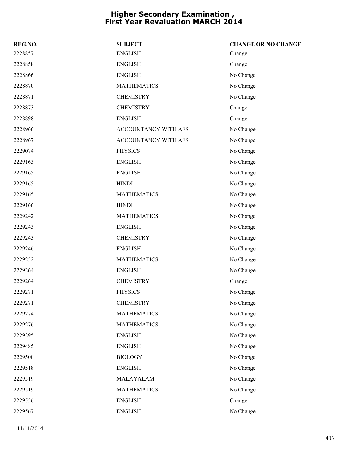| REG.NO. | <b>SUBJECT</b>       | <b>CHANGE OR NO CHANGE</b> |
|---------|----------------------|----------------------------|
| 2228857 | <b>ENGLISH</b>       | Change                     |
| 2228858 | <b>ENGLISH</b>       | Change                     |
| 2228866 | <b>ENGLISH</b>       | No Change                  |
| 2228870 | <b>MATHEMATICS</b>   | No Change                  |
| 2228871 | <b>CHEMISTRY</b>     | No Change                  |
| 2228873 | <b>CHEMISTRY</b>     | Change                     |
| 2228898 | <b>ENGLISH</b>       | Change                     |
| 2228966 | ACCOUNTANCY WITH AFS | No Change                  |
| 2228967 | ACCOUNTANCY WITH AFS | No Change                  |
| 2229074 | <b>PHYSICS</b>       | No Change                  |
| 2229163 | <b>ENGLISH</b>       | No Change                  |
| 2229165 | <b>ENGLISH</b>       | No Change                  |
| 2229165 | <b>HINDI</b>         | No Change                  |
| 2229165 | <b>MATHEMATICS</b>   | No Change                  |
| 2229166 | <b>HINDI</b>         | No Change                  |
| 2229242 | <b>MATHEMATICS</b>   | No Change                  |
| 2229243 | <b>ENGLISH</b>       | No Change                  |
| 2229243 | <b>CHEMISTRY</b>     | No Change                  |
| 2229246 | <b>ENGLISH</b>       | No Change                  |
| 2229252 | <b>MATHEMATICS</b>   | No Change                  |
| 2229264 | <b>ENGLISH</b>       | No Change                  |
| 2229264 | <b>CHEMISTRY</b>     | Change                     |
| 2229271 | <b>PHYSICS</b>       | No Change                  |
| 2229271 | <b>CHEMISTRY</b>     | No Change                  |
| 2229274 | <b>MATHEMATICS</b>   | No Change                  |
| 2229276 | <b>MATHEMATICS</b>   | No Change                  |
| 2229295 | <b>ENGLISH</b>       | No Change                  |
| 2229485 | <b>ENGLISH</b>       | No Change                  |
| 2229500 | <b>BIOLOGY</b>       | No Change                  |
| 2229518 | <b>ENGLISH</b>       | No Change                  |
| 2229519 | MALAYALAM            | No Change                  |
| 2229519 | <b>MATHEMATICS</b>   | No Change                  |
| 2229556 | <b>ENGLISH</b>       | Change                     |
| 2229567 | <b>ENGLISH</b>       | No Change                  |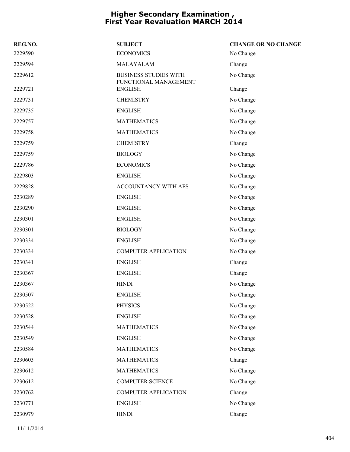| REG.NO. | <b>SUBJECT</b>                                        | <b>CHANGE OR NO CHANGE</b> |
|---------|-------------------------------------------------------|----------------------------|
| 2229590 | <b>ECONOMICS</b>                                      | No Change                  |
| 2229594 | MALAYALAM                                             | Change                     |
| 2229612 | <b>BUSINESS STUDIES WITH</b><br>FUNCTIONAL MANAGEMENT | No Change                  |
| 2229721 | <b>ENGLISH</b>                                        | Change                     |
| 2229731 | <b>CHEMISTRY</b>                                      | No Change                  |
| 2229735 | <b>ENGLISH</b>                                        | No Change                  |
| 2229757 | <b>MATHEMATICS</b>                                    | No Change                  |
| 2229758 | <b>MATHEMATICS</b>                                    | No Change                  |
| 2229759 | <b>CHEMISTRY</b>                                      | Change                     |
| 2229759 | <b>BIOLOGY</b>                                        | No Change                  |
| 2229786 | <b>ECONOMICS</b>                                      | No Change                  |
| 2229803 | <b>ENGLISH</b>                                        | No Change                  |
| 2229828 | <b>ACCOUNTANCY WITH AFS</b>                           | No Change                  |
| 2230289 | <b>ENGLISH</b>                                        | No Change                  |
| 2230290 | <b>ENGLISH</b>                                        | No Change                  |
| 2230301 | <b>ENGLISH</b>                                        | No Change                  |
| 2230301 | <b>BIOLOGY</b>                                        | No Change                  |
| 2230334 | <b>ENGLISH</b>                                        | No Change                  |
| 2230334 | <b>COMPUTER APPLICATION</b>                           | No Change                  |
| 2230341 | <b>ENGLISH</b>                                        | Change                     |
| 2230367 | <b>ENGLISH</b>                                        | Change                     |
| 2230367 | <b>HINDI</b>                                          | No Change                  |
| 2230507 | <b>ENGLISH</b>                                        | No Change                  |
| 2230522 | <b>PHYSICS</b>                                        | No Change                  |
| 2230528 | <b>ENGLISH</b>                                        | No Change                  |
| 2230544 | <b>MATHEMATICS</b>                                    | No Change                  |
| 2230549 | <b>ENGLISH</b>                                        | No Change                  |
| 2230584 | <b>MATHEMATICS</b>                                    | No Change                  |
| 2230603 | <b>MATHEMATICS</b>                                    | Change                     |
| 2230612 | <b>MATHEMATICS</b>                                    | No Change                  |
| 2230612 | <b>COMPUTER SCIENCE</b>                               | No Change                  |
| 2230762 | <b>COMPUTER APPLICATION</b>                           | Change                     |
| 2230771 | <b>ENGLISH</b>                                        | No Change                  |
| 2230979 | <b>HINDI</b>                                          | Change                     |
|         |                                                       |                            |

11/11/2014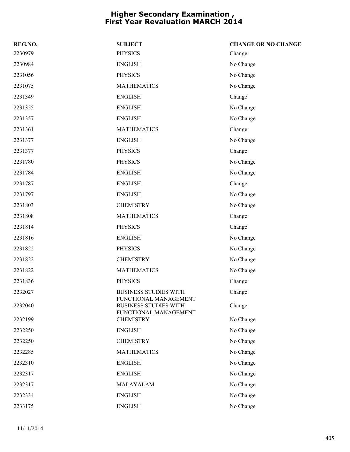| REG.NO. | <b>SUBJECT</b>                                                                        | <b>CHANGE OR NO CHANGE</b> |
|---------|---------------------------------------------------------------------------------------|----------------------------|
| 2230979 | <b>PHYSICS</b>                                                                        | Change                     |
| 2230984 | <b>ENGLISH</b>                                                                        | No Change                  |
| 2231056 | <b>PHYSICS</b>                                                                        | No Change                  |
| 2231075 | <b>MATHEMATICS</b>                                                                    | No Change                  |
| 2231349 | <b>ENGLISH</b>                                                                        | Change                     |
| 2231355 | <b>ENGLISH</b>                                                                        | No Change                  |
| 2231357 | <b>ENGLISH</b>                                                                        | No Change                  |
| 2231361 | <b>MATHEMATICS</b>                                                                    | Change                     |
| 2231377 | <b>ENGLISH</b>                                                                        | No Change                  |
| 2231377 | <b>PHYSICS</b>                                                                        | Change                     |
| 2231780 | <b>PHYSICS</b>                                                                        | No Change                  |
| 2231784 | <b>ENGLISH</b>                                                                        | No Change                  |
| 2231787 | <b>ENGLISH</b>                                                                        | Change                     |
| 2231797 | <b>ENGLISH</b>                                                                        | No Change                  |
| 2231803 | <b>CHEMISTRY</b>                                                                      | No Change                  |
| 2231808 | <b>MATHEMATICS</b>                                                                    | Change                     |
| 2231814 | <b>PHYSICS</b>                                                                        | Change                     |
| 2231816 | <b>ENGLISH</b>                                                                        | No Change                  |
| 2231822 | <b>PHYSICS</b>                                                                        | No Change                  |
| 2231822 | <b>CHEMISTRY</b>                                                                      | No Change                  |
| 2231822 | <b>MATHEMATICS</b>                                                                    | No Change                  |
| 2231836 | <b>PHYSICS</b>                                                                        | Change                     |
| 2232027 | <b>BUSINESS STUDIES WITH</b>                                                          | Change                     |
| 2232040 | <b>FUNCTIONAL MANAGEMENT</b><br><b>BUSINESS STUDIES WITH</b><br>FUNCTIONAL MANAGEMENT | Change                     |
| 2232199 | <b>CHEMISTRY</b>                                                                      | No Change                  |
| 2232250 | <b>ENGLISH</b>                                                                        | No Change                  |
| 2232250 | <b>CHEMISTRY</b>                                                                      | No Change                  |
| 2232285 | <b>MATHEMATICS</b>                                                                    | No Change                  |
| 2232310 | <b>ENGLISH</b>                                                                        | No Change                  |
| 2232317 | <b>ENGLISH</b>                                                                        | No Change                  |
| 2232317 | MALAYALAM                                                                             | No Change                  |
| 2232334 | <b>ENGLISH</b>                                                                        | No Change                  |
| 2233175 | <b>ENGLISH</b>                                                                        | No Change                  |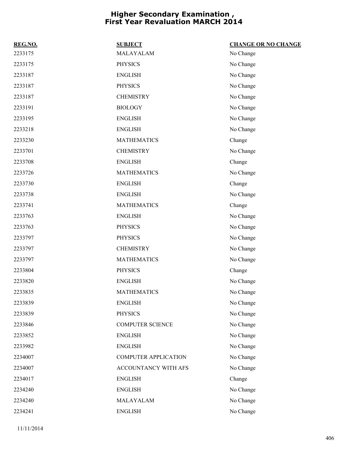| REG.NO. | <b>SUBJECT</b>              | <b>CHANGE OR NO CHANGE</b> |
|---------|-----------------------------|----------------------------|
| 2233175 | MALAYALAM                   | No Change                  |
| 2233175 | <b>PHYSICS</b>              | No Change                  |
| 2233187 | <b>ENGLISH</b>              | No Change                  |
| 2233187 | <b>PHYSICS</b>              | No Change                  |
| 2233187 | <b>CHEMISTRY</b>            | No Change                  |
| 2233191 | <b>BIOLOGY</b>              | No Change                  |
| 2233195 | <b>ENGLISH</b>              | No Change                  |
| 2233218 | <b>ENGLISH</b>              | No Change                  |
| 2233230 | <b>MATHEMATICS</b>          | Change                     |
| 2233701 | <b>CHEMISTRY</b>            | No Change                  |
| 2233708 | <b>ENGLISH</b>              | Change                     |
| 2233726 | <b>MATHEMATICS</b>          | No Change                  |
| 2233730 | <b>ENGLISH</b>              | Change                     |
| 2233738 | <b>ENGLISH</b>              | No Change                  |
| 2233741 | <b>MATHEMATICS</b>          | Change                     |
| 2233763 | <b>ENGLISH</b>              | No Change                  |
| 2233763 | <b>PHYSICS</b>              | No Change                  |
| 2233797 | <b>PHYSICS</b>              | No Change                  |
| 2233797 | <b>CHEMISTRY</b>            | No Change                  |
| 2233797 | <b>MATHEMATICS</b>          | No Change                  |
| 2233804 | <b>PHYSICS</b>              | Change                     |
| 2233820 | <b>ENGLISH</b>              | No Change                  |
| 2233835 | <b>MATHEMATICS</b>          | No Change                  |
| 2233839 | <b>ENGLISH</b>              | No Change                  |
| 2233839 | <b>PHYSICS</b>              | No Change                  |
| 2233846 | <b>COMPUTER SCIENCE</b>     | No Change                  |
| 2233852 | <b>ENGLISH</b>              | No Change                  |
| 2233982 | <b>ENGLISH</b>              | No Change                  |
| 2234007 | <b>COMPUTER APPLICATION</b> | No Change                  |
| 2234007 | ACCOUNTANCY WITH AFS        | No Change                  |
| 2234017 | <b>ENGLISH</b>              | Change                     |
| 2234240 | <b>ENGLISH</b>              | No Change                  |
| 2234240 | MALAYALAM                   | No Change                  |
| 2234241 | <b>ENGLISH</b>              | No Change                  |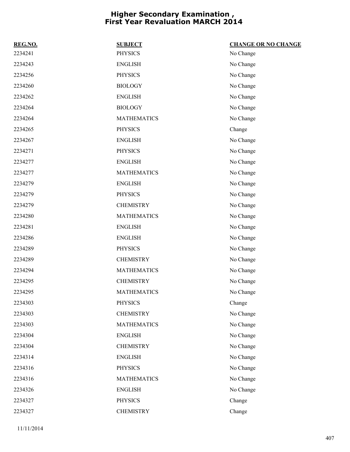| REG.NO. | <b>SUBJECT</b>     | <b>CHANGE OR NO CHANGE</b> |
|---------|--------------------|----------------------------|
| 2234241 | <b>PHYSICS</b>     | No Change                  |
| 2234243 | <b>ENGLISH</b>     | No Change                  |
| 2234256 | <b>PHYSICS</b>     | No Change                  |
| 2234260 | <b>BIOLOGY</b>     | No Change                  |
| 2234262 | <b>ENGLISH</b>     | No Change                  |
| 2234264 | <b>BIOLOGY</b>     | No Change                  |
| 2234264 | <b>MATHEMATICS</b> | No Change                  |
| 2234265 | <b>PHYSICS</b>     | Change                     |
| 2234267 | <b>ENGLISH</b>     | No Change                  |
| 2234271 | <b>PHYSICS</b>     | No Change                  |
| 2234277 | <b>ENGLISH</b>     | No Change                  |
| 2234277 | <b>MATHEMATICS</b> | No Change                  |
| 2234279 | <b>ENGLISH</b>     | No Change                  |
| 2234279 | <b>PHYSICS</b>     | No Change                  |
| 2234279 | <b>CHEMISTRY</b>   | No Change                  |
| 2234280 | <b>MATHEMATICS</b> | No Change                  |
| 2234281 | <b>ENGLISH</b>     | No Change                  |
| 2234286 | <b>ENGLISH</b>     | No Change                  |
| 2234289 | <b>PHYSICS</b>     | No Change                  |
| 2234289 | <b>CHEMISTRY</b>   | No Change                  |
| 2234294 | <b>MATHEMATICS</b> | No Change                  |
| 2234295 | <b>CHEMISTRY</b>   | No Change                  |
| 2234295 | <b>MATHEMATICS</b> | No Change                  |
| 2234303 | PHYSICS            | Change                     |
| 2234303 | <b>CHEMISTRY</b>   | No Change                  |
| 2234303 | <b>MATHEMATICS</b> | No Change                  |
| 2234304 | <b>ENGLISH</b>     | No Change                  |
| 2234304 | <b>CHEMISTRY</b>   | No Change                  |
| 2234314 | <b>ENGLISH</b>     | No Change                  |
| 2234316 | <b>PHYSICS</b>     | No Change                  |
| 2234316 | <b>MATHEMATICS</b> | No Change                  |
| 2234326 | <b>ENGLISH</b>     | No Change                  |
| 2234327 | PHYSICS            | Change                     |
| 2234327 | <b>CHEMISTRY</b>   | Change                     |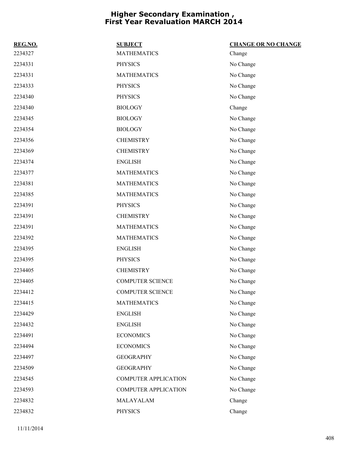| REG.NO. | <b>SUBJECT</b>              | <b>CHANGE OR NO CHANGE</b> |
|---------|-----------------------------|----------------------------|
| 2234327 | <b>MATHEMATICS</b>          | Change                     |
| 2234331 | <b>PHYSICS</b>              | No Change                  |
| 2234331 | <b>MATHEMATICS</b>          | No Change                  |
| 2234333 | <b>PHYSICS</b>              | No Change                  |
| 2234340 | <b>PHYSICS</b>              | No Change                  |
| 2234340 | <b>BIOLOGY</b>              | Change                     |
| 2234345 | <b>BIOLOGY</b>              | No Change                  |
| 2234354 | <b>BIOLOGY</b>              | No Change                  |
| 2234356 | <b>CHEMISTRY</b>            | No Change                  |
| 2234369 | <b>CHEMISTRY</b>            | No Change                  |
| 2234374 | <b>ENGLISH</b>              | No Change                  |
| 2234377 | <b>MATHEMATICS</b>          | No Change                  |
| 2234381 | <b>MATHEMATICS</b>          | No Change                  |
| 2234385 | <b>MATHEMATICS</b>          | No Change                  |
| 2234391 | <b>PHYSICS</b>              | No Change                  |
| 2234391 | <b>CHEMISTRY</b>            | No Change                  |
| 2234391 | <b>MATHEMATICS</b>          | No Change                  |
| 2234392 | <b>MATHEMATICS</b>          | No Change                  |
| 2234395 | <b>ENGLISH</b>              | No Change                  |
| 2234395 | <b>PHYSICS</b>              | No Change                  |
| 2234405 | <b>CHEMISTRY</b>            | No Change                  |
| 2234405 | <b>COMPUTER SCIENCE</b>     | No Change                  |
| 2234412 | <b>COMPUTER SCIENCE</b>     | No Change                  |
| 2234415 | <b>MATHEMATICS</b>          | No Change                  |
| 2234429 | <b>ENGLISH</b>              | No Change                  |
| 2234432 | <b>ENGLISH</b>              | No Change                  |
| 2234491 | <b>ECONOMICS</b>            | No Change                  |
| 2234494 | <b>ECONOMICS</b>            | No Change                  |
| 2234497 | <b>GEOGRAPHY</b>            | No Change                  |
| 2234509 | <b>GEOGRAPHY</b>            | No Change                  |
| 2234545 | <b>COMPUTER APPLICATION</b> | No Change                  |
| 2234593 | <b>COMPUTER APPLICATION</b> | No Change                  |
| 2234832 | MALAYALAM                   | Change                     |
| 2234832 | <b>PHYSICS</b>              | Change                     |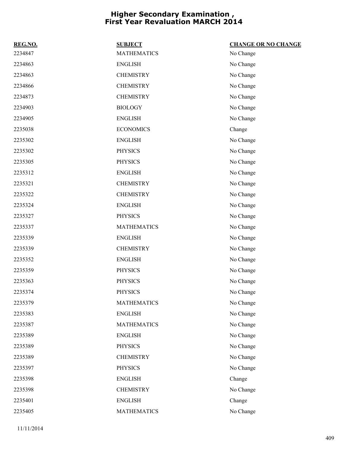| REG.NO. | <b>SUBJECT</b>     | <b>CHANGE OR NO CHANGE</b> |
|---------|--------------------|----------------------------|
| 2234847 | <b>MATHEMATICS</b> | No Change                  |
| 2234863 | <b>ENGLISH</b>     | No Change                  |
| 2234863 | <b>CHEMISTRY</b>   | No Change                  |
| 2234866 | <b>CHEMISTRY</b>   | No Change                  |
| 2234873 | <b>CHEMISTRY</b>   | No Change                  |
| 2234903 | <b>BIOLOGY</b>     | No Change                  |
| 2234905 | <b>ENGLISH</b>     | No Change                  |
| 2235038 | <b>ECONOMICS</b>   | Change                     |
| 2235302 | <b>ENGLISH</b>     | No Change                  |
| 2235302 | <b>PHYSICS</b>     | No Change                  |
| 2235305 | <b>PHYSICS</b>     | No Change                  |
| 2235312 | <b>ENGLISH</b>     | No Change                  |
| 2235321 | <b>CHEMISTRY</b>   | No Change                  |
| 2235322 | <b>CHEMISTRY</b>   | No Change                  |
| 2235324 | <b>ENGLISH</b>     | No Change                  |
| 2235327 | <b>PHYSICS</b>     | No Change                  |
| 2235337 | <b>MATHEMATICS</b> | No Change                  |
| 2235339 | <b>ENGLISH</b>     | No Change                  |
| 2235339 | <b>CHEMISTRY</b>   | No Change                  |
| 2235352 | <b>ENGLISH</b>     | No Change                  |
| 2235359 | <b>PHYSICS</b>     | No Change                  |
| 2235363 | <b>PHYSICS</b>     | No Change                  |
| 2235374 | <b>PHYSICS</b>     | No Change                  |
| 2235379 | <b>MATHEMATICS</b> | No Change                  |
| 2235383 | <b>ENGLISH</b>     | No Change                  |
| 2235387 | <b>MATHEMATICS</b> | No Change                  |
| 2235389 | <b>ENGLISH</b>     | No Change                  |
| 2235389 | <b>PHYSICS</b>     | No Change                  |
| 2235389 | <b>CHEMISTRY</b>   | No Change                  |
| 2235397 | <b>PHYSICS</b>     | No Change                  |
| 2235398 | <b>ENGLISH</b>     | Change                     |
| 2235398 | <b>CHEMISTRY</b>   | No Change                  |
| 2235401 | <b>ENGLISH</b>     | Change                     |
| 2235405 | <b>MATHEMATICS</b> | No Change                  |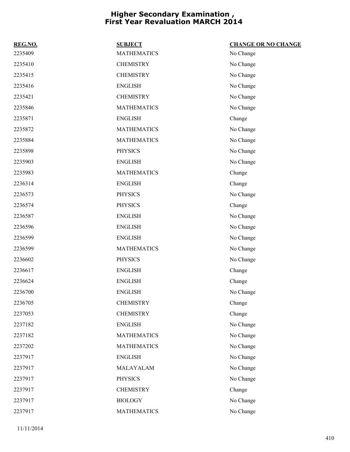| REG.NO. | <b>SUBJECT</b>     | <b>CHANGE OR NO CHANGE</b> |
|---------|--------------------|----------------------------|
| 2235409 | <b>MATHEMATICS</b> | No Change                  |
| 2235410 | <b>CHEMISTRY</b>   | No Change                  |
| 2235415 | <b>CHEMISTRY</b>   | No Change                  |
| 2235416 | <b>ENGLISH</b>     | No Change                  |
| 2235421 | <b>CHEMISTRY</b>   | No Change                  |
| 2235846 | <b>MATHEMATICS</b> | No Change                  |
| 2235871 | <b>ENGLISH</b>     | Change                     |
| 2235872 | <b>MATHEMATICS</b> | No Change                  |
| 2235884 | <b>MATHEMATICS</b> | No Change                  |
| 2235898 | <b>PHYSICS</b>     | No Change                  |
| 2235903 | <b>ENGLISH</b>     | No Change                  |
| 2235983 | <b>MATHEMATICS</b> | Change                     |
| 2236314 | <b>ENGLISH</b>     | Change                     |
| 2236573 | <b>PHYSICS</b>     | No Change                  |
| 2236574 | <b>PHYSICS</b>     | Change                     |
| 2236587 | <b>ENGLISH</b>     | No Change                  |
| 2236596 | <b>ENGLISH</b>     | No Change                  |
| 2236599 | <b>ENGLISH</b>     | No Change                  |
| 2236599 | <b>MATHEMATICS</b> | No Change                  |
| 2236602 | <b>PHYSICS</b>     | No Change                  |
| 2236617 | <b>ENGLISH</b>     | Change                     |
| 2236624 | <b>ENGLISH</b>     | Change                     |
| 2236700 | <b>ENGLISH</b>     | No Change                  |
| 2236705 | <b>CHEMISTRY</b>   | Change                     |
| 2237053 | <b>CHEMISTRY</b>   | Change                     |
| 2237182 | <b>ENGLISH</b>     | No Change                  |
| 2237182 | <b>MATHEMATICS</b> | No Change                  |
| 2237202 | <b>MATHEMATICS</b> | No Change                  |
| 2237917 | <b>ENGLISH</b>     | No Change                  |
| 2237917 | MALAYALAM          | No Change                  |
| 2237917 | <b>PHYSICS</b>     | No Change                  |
| 2237917 | <b>CHEMISTRY</b>   | Change                     |
| 2237917 | <b>BIOLOGY</b>     | No Change                  |
| 2237917 | <b>MATHEMATICS</b> | No Change                  |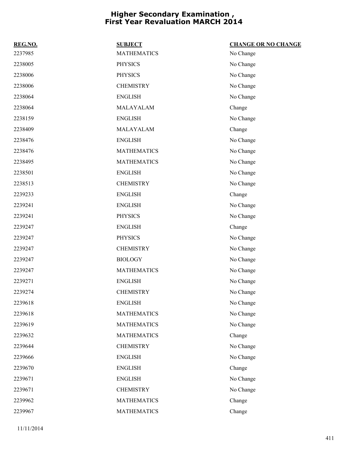| REG.NO. | <b>SUBJECT</b>     | <b>CHANGE OR NO CHANGE</b> |
|---------|--------------------|----------------------------|
| 2237985 | <b>MATHEMATICS</b> | No Change                  |
| 2238005 | <b>PHYSICS</b>     | No Change                  |
| 2238006 | <b>PHYSICS</b>     | No Change                  |
| 2238006 | <b>CHEMISTRY</b>   | No Change                  |
| 2238064 | <b>ENGLISH</b>     | No Change                  |
| 2238064 | MALAYALAM          | Change                     |
| 2238159 | <b>ENGLISH</b>     | No Change                  |
| 2238409 | MALAYALAM          | Change                     |
| 2238476 | <b>ENGLISH</b>     | No Change                  |
| 2238476 | <b>MATHEMATICS</b> | No Change                  |
| 2238495 | <b>MATHEMATICS</b> | No Change                  |
| 2238501 | <b>ENGLISH</b>     | No Change                  |
| 2238513 | <b>CHEMISTRY</b>   | No Change                  |
| 2239233 | <b>ENGLISH</b>     | Change                     |
| 2239241 | <b>ENGLISH</b>     | No Change                  |
| 2239241 | <b>PHYSICS</b>     | No Change                  |
| 2239247 | <b>ENGLISH</b>     | Change                     |
| 2239247 | <b>PHYSICS</b>     | No Change                  |
| 2239247 | <b>CHEMISTRY</b>   | No Change                  |
| 2239247 | <b>BIOLOGY</b>     | No Change                  |
| 2239247 | <b>MATHEMATICS</b> | No Change                  |
| 2239271 | <b>ENGLISH</b>     | No Change                  |
| 2239274 | <b>CHEMISTRY</b>   | No Change                  |
| 2239618 | <b>ENGLISH</b>     | No Change                  |
| 2239618 | <b>MATHEMATICS</b> | No Change                  |
| 2239619 | <b>MATHEMATICS</b> | No Change                  |
| 2239632 | <b>MATHEMATICS</b> | Change                     |
| 2239644 | <b>CHEMISTRY</b>   | No Change                  |
| 2239666 | <b>ENGLISH</b>     | No Change                  |
| 2239670 | <b>ENGLISH</b>     | Change                     |
| 2239671 | <b>ENGLISH</b>     | No Change                  |
| 2239671 | <b>CHEMISTRY</b>   | No Change                  |
| 2239962 | <b>MATHEMATICS</b> | Change                     |
| 2239967 | <b>MATHEMATICS</b> | Change                     |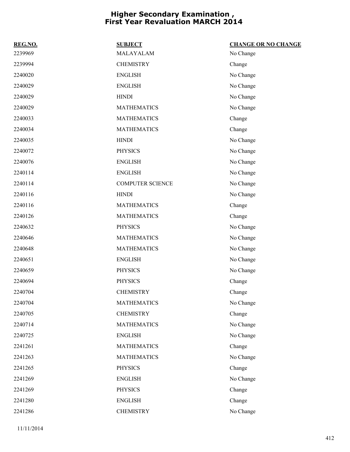| REG.NO. | <b>SUBJECT</b>          | <b>CHANGE OR NO CHANGE</b> |
|---------|-------------------------|----------------------------|
| 2239969 | MALAYALAM               | No Change                  |
| 2239994 | <b>CHEMISTRY</b>        | Change                     |
| 2240020 | <b>ENGLISH</b>          | No Change                  |
| 2240029 | <b>ENGLISH</b>          | No Change                  |
| 2240029 | <b>HINDI</b>            | No Change                  |
| 2240029 | <b>MATHEMATICS</b>      | No Change                  |
| 2240033 | <b>MATHEMATICS</b>      | Change                     |
| 2240034 | <b>MATHEMATICS</b>      | Change                     |
| 2240035 | <b>HINDI</b>            | No Change                  |
| 2240072 | <b>PHYSICS</b>          | No Change                  |
| 2240076 | <b>ENGLISH</b>          | No Change                  |
| 2240114 | <b>ENGLISH</b>          | No Change                  |
| 2240114 | <b>COMPUTER SCIENCE</b> | No Change                  |
| 2240116 | <b>HINDI</b>            | No Change                  |
| 2240116 | <b>MATHEMATICS</b>      | Change                     |
| 2240126 | <b>MATHEMATICS</b>      | Change                     |
| 2240632 | <b>PHYSICS</b>          | No Change                  |
| 2240646 | <b>MATHEMATICS</b>      | No Change                  |
| 2240648 | <b>MATHEMATICS</b>      | No Change                  |
| 2240651 | <b>ENGLISH</b>          | No Change                  |
| 2240659 | <b>PHYSICS</b>          | No Change                  |
| 2240694 | <b>PHYSICS</b>          | Change                     |
| 2240704 | <b>CHEMISTRY</b>        | Change                     |
| 2240704 | <b>MATHEMATICS</b>      | No Change                  |
| 2240705 | <b>CHEMISTRY</b>        | Change                     |
| 2240714 | <b>MATHEMATICS</b>      | No Change                  |
| 2240725 | <b>ENGLISH</b>          | No Change                  |
| 2241261 | <b>MATHEMATICS</b>      | Change                     |
| 2241263 | <b>MATHEMATICS</b>      | No Change                  |
| 2241265 | <b>PHYSICS</b>          | Change                     |
| 2241269 | <b>ENGLISH</b>          | No Change                  |
| 2241269 | <b>PHYSICS</b>          | Change                     |
| 2241280 | <b>ENGLISH</b>          | Change                     |
| 2241286 | <b>CHEMISTRY</b>        | No Change                  |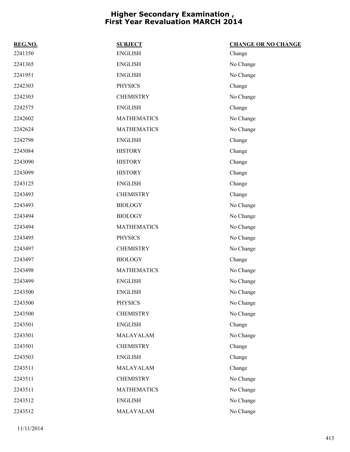| REG.NO. | <b>SUBJECT</b>     | <b>CHANGE OR NO CHANGE</b> |
|---------|--------------------|----------------------------|
| 2241350 | <b>ENGLISH</b>     | Change                     |
| 2241365 | <b>ENGLISH</b>     | No Change                  |
| 2241951 | <b>ENGLISH</b>     | No Change                  |
| 2242303 | <b>PHYSICS</b>     | Change                     |
| 2242303 | <b>CHEMISTRY</b>   | No Change                  |
| 2242575 | <b>ENGLISH</b>     | Change                     |
| 2242602 | <b>MATHEMATICS</b> | No Change                  |
| 2242624 | <b>MATHEMATICS</b> | No Change                  |
| 2242798 | <b>ENGLISH</b>     | Change                     |
| 2243084 | <b>HISTORY</b>     | Change                     |
| 2243090 | <b>HISTORY</b>     | Change                     |
| 2243099 | <b>HISTORY</b>     | Change                     |
| 2243125 | <b>ENGLISH</b>     | Change                     |
| 2243493 | <b>CHEMISTRY</b>   | Change                     |
| 2243493 | <b>BIOLOGY</b>     | No Change                  |
| 2243494 | <b>BIOLOGY</b>     | No Change                  |
| 2243494 | <b>MATHEMATICS</b> | No Change                  |
| 2243495 | <b>PHYSICS</b>     | No Change                  |
| 2243497 | <b>CHEMISTRY</b>   | No Change                  |
| 2243497 | <b>BIOLOGY</b>     | Change                     |
| 2243498 | <b>MATHEMATICS</b> | No Change                  |
| 2243499 | <b>ENGLISH</b>     | No Change                  |
| 2243500 | <b>ENGLISH</b>     | No Change                  |
| 2243500 | PHYSICS            | No Change                  |
| 2243500 | <b>CHEMISTRY</b>   | No Change                  |
| 2243501 | <b>ENGLISH</b>     | Change                     |
| 2243501 | MALAYALAM          | No Change                  |
| 2243501 | <b>CHEMISTRY</b>   | Change                     |
| 2243503 | <b>ENGLISH</b>     | Change                     |
| 2243511 | MALAYALAM          | Change                     |
| 2243511 | <b>CHEMISTRY</b>   | No Change                  |
| 2243511 | <b>MATHEMATICS</b> | No Change                  |
| 2243512 | <b>ENGLISH</b>     | No Change                  |
| 2243512 | MALAYALAM          | No Change                  |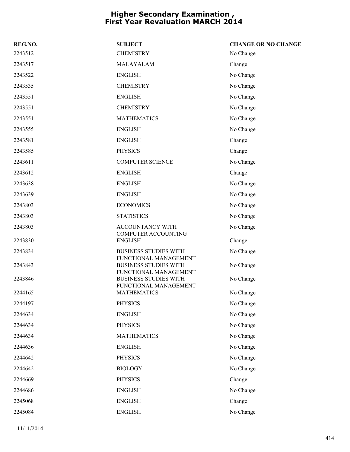| REG.NO. | <b>SUBJECT</b>                                        | <b>CHANGE OR NO CHANGE</b> |
|---------|-------------------------------------------------------|----------------------------|
| 2243512 | <b>CHEMISTRY</b>                                      | No Change                  |
| 2243517 | MALAYALAM                                             | Change                     |
| 2243522 | <b>ENGLISH</b>                                        | No Change                  |
| 2243535 | <b>CHEMISTRY</b>                                      | No Change                  |
| 2243551 | <b>ENGLISH</b>                                        | No Change                  |
| 2243551 | <b>CHEMISTRY</b>                                      | No Change                  |
| 2243551 | <b>MATHEMATICS</b>                                    | No Change                  |
| 2243555 | <b>ENGLISH</b>                                        | No Change                  |
| 2243581 | <b>ENGLISH</b>                                        | Change                     |
| 2243585 | <b>PHYSICS</b>                                        | Change                     |
| 2243611 | <b>COMPUTER SCIENCE</b>                               | No Change                  |
| 2243612 | <b>ENGLISH</b>                                        | Change                     |
| 2243638 | <b>ENGLISH</b>                                        | No Change                  |
| 2243639 | <b>ENGLISH</b>                                        | No Change                  |
| 2243803 | <b>ECONOMICS</b>                                      | No Change                  |
| 2243803 | <b>STATISTICS</b>                                     | No Change                  |
| 2243803 | <b>ACCOUNTANCY WITH</b>                               | No Change                  |
| 2243830 | COMPUTER ACCOUNTING<br><b>ENGLISH</b>                 | Change                     |
| 2243834 | <b>BUSINESS STUDIES WITH</b>                          | No Change                  |
| 2243843 | FUNCTIONAL MANAGEMENT<br><b>BUSINESS STUDIES WITH</b> | No Change                  |
|         | FUNCTIONAL MANAGEMENT                                 |                            |
| 2243846 | <b>BUSINESS STUDIES WITH</b><br>FUNCTIONAL MANAGEMENT | No Change                  |
| 2244165 | <b>MATHEMATICS</b>                                    | No Change                  |
| 2244197 | <b>PHYSICS</b>                                        | No Change                  |
| 2244634 | <b>ENGLISH</b>                                        | No Change                  |
| 2244634 | <b>PHYSICS</b>                                        | No Change                  |
| 2244634 | <b>MATHEMATICS</b>                                    | No Change                  |
| 2244636 | <b>ENGLISH</b>                                        | No Change                  |
| 2244642 | <b>PHYSICS</b>                                        | No Change                  |
| 2244642 | <b>BIOLOGY</b>                                        | No Change                  |
| 2244669 | <b>PHYSICS</b>                                        | Change                     |
| 2244686 | <b>ENGLISH</b>                                        | No Change                  |
| 2245068 | <b>ENGLISH</b>                                        | Change                     |
| 2245084 | <b>ENGLISH</b>                                        | No Change                  |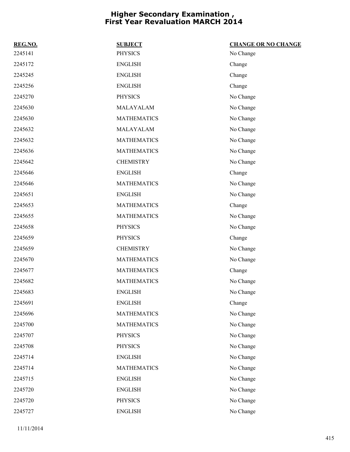| REG.NO. | <b>SUBJECT</b>     | <b>CHANGE OR NO CHANGE</b> |
|---------|--------------------|----------------------------|
| 2245141 | <b>PHYSICS</b>     | No Change                  |
| 2245172 | <b>ENGLISH</b>     | Change                     |
| 2245245 | <b>ENGLISH</b>     | Change                     |
| 2245256 | <b>ENGLISH</b>     | Change                     |
| 2245270 | <b>PHYSICS</b>     | No Change                  |
| 2245630 | MALAYALAM          | No Change                  |
| 2245630 | <b>MATHEMATICS</b> | No Change                  |
| 2245632 | MALAYALAM          | No Change                  |
| 2245632 | <b>MATHEMATICS</b> | No Change                  |
| 2245636 | <b>MATHEMATICS</b> | No Change                  |
| 2245642 | <b>CHEMISTRY</b>   | No Change                  |
| 2245646 | <b>ENGLISH</b>     | Change                     |
| 2245646 | <b>MATHEMATICS</b> | No Change                  |
| 2245651 | <b>ENGLISH</b>     | No Change                  |
| 2245653 | <b>MATHEMATICS</b> | Change                     |
| 2245655 | <b>MATHEMATICS</b> | No Change                  |
| 2245658 | <b>PHYSICS</b>     | No Change                  |
| 2245659 | <b>PHYSICS</b>     | Change                     |
| 2245659 | <b>CHEMISTRY</b>   | No Change                  |
| 2245670 | <b>MATHEMATICS</b> | No Change                  |
| 2245677 | <b>MATHEMATICS</b> | Change                     |
| 2245682 | <b>MATHEMATICS</b> | No Change                  |
| 2245683 | <b>ENGLISH</b>     | No Change                  |
| 2245691 | <b>ENGLISH</b>     | Change                     |
| 2245696 | <b>MATHEMATICS</b> | No Change                  |
| 2245700 | <b>MATHEMATICS</b> | No Change                  |
| 2245707 | <b>PHYSICS</b>     | No Change                  |
| 2245708 | <b>PHYSICS</b>     | No Change                  |
| 2245714 | <b>ENGLISH</b>     | No Change                  |
| 2245714 | <b>MATHEMATICS</b> | No Change                  |
| 2245715 | <b>ENGLISH</b>     | No Change                  |
| 2245720 | <b>ENGLISH</b>     | No Change                  |
| 2245720 | <b>PHYSICS</b>     | No Change                  |
| 2245727 | <b>ENGLISH</b>     | No Change                  |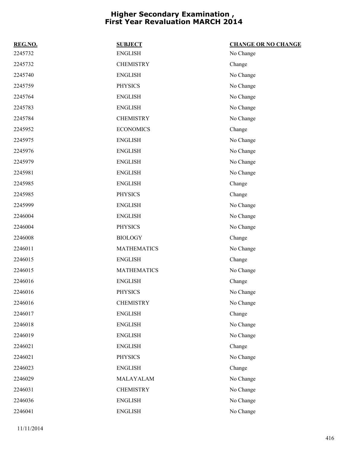| REG.NO. | <b>SUBJECT</b>     | <b>CHANGE OR NO CHANGE</b> |
|---------|--------------------|----------------------------|
| 2245732 | <b>ENGLISH</b>     | No Change                  |
| 2245732 | <b>CHEMISTRY</b>   | Change                     |
| 2245740 | <b>ENGLISH</b>     | No Change                  |
| 2245759 | <b>PHYSICS</b>     | No Change                  |
| 2245764 | <b>ENGLISH</b>     | No Change                  |
| 2245783 | <b>ENGLISH</b>     | No Change                  |
| 2245784 | <b>CHEMISTRY</b>   | No Change                  |
| 2245952 | <b>ECONOMICS</b>   | Change                     |
| 2245975 | <b>ENGLISH</b>     | No Change                  |
| 2245976 | <b>ENGLISH</b>     | No Change                  |
| 2245979 | <b>ENGLISH</b>     | No Change                  |
| 2245981 | <b>ENGLISH</b>     | No Change                  |
| 2245985 | <b>ENGLISH</b>     | Change                     |
| 2245985 | <b>PHYSICS</b>     | Change                     |
| 2245999 | <b>ENGLISH</b>     | No Change                  |
| 2246004 | <b>ENGLISH</b>     | No Change                  |
| 2246004 | <b>PHYSICS</b>     | No Change                  |
| 2246008 | <b>BIOLOGY</b>     | Change                     |
| 2246011 | <b>MATHEMATICS</b> | No Change                  |
| 2246015 | <b>ENGLISH</b>     | Change                     |
| 2246015 | <b>MATHEMATICS</b> | No Change                  |
| 2246016 | <b>ENGLISH</b>     | Change                     |
| 2246016 | <b>PHYSICS</b>     | No Change                  |
| 2246016 | <b>CHEMISTRY</b>   | No Change                  |
| 2246017 | <b>ENGLISH</b>     | Change                     |
| 2246018 | <b>ENGLISH</b>     | No Change                  |
| 2246019 | <b>ENGLISH</b>     | No Change                  |
| 2246021 | <b>ENGLISH</b>     | Change                     |
| 2246021 | <b>PHYSICS</b>     | No Change                  |
| 2246023 | <b>ENGLISH</b>     | Change                     |
| 2246029 | MALAYALAM          | No Change                  |
| 2246031 | <b>CHEMISTRY</b>   | No Change                  |
| 2246036 | <b>ENGLISH</b>     | No Change                  |
| 2246041 | <b>ENGLISH</b>     | No Change                  |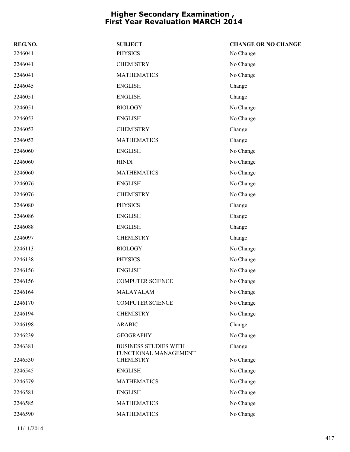| REG.NO. | <b>SUBJECT</b>                                        | <b>CHANGE OR NO CHANGE</b> |
|---------|-------------------------------------------------------|----------------------------|
| 2246041 | <b>PHYSICS</b>                                        | No Change                  |
| 2246041 | <b>CHEMISTRY</b>                                      | No Change                  |
| 2246041 | <b>MATHEMATICS</b>                                    | No Change                  |
| 2246045 | <b>ENGLISH</b>                                        | Change                     |
| 2246051 | <b>ENGLISH</b>                                        | Change                     |
| 2246051 | <b>BIOLOGY</b>                                        | No Change                  |
| 2246053 | <b>ENGLISH</b>                                        | No Change                  |
| 2246053 | <b>CHEMISTRY</b>                                      | Change                     |
| 2246053 | <b>MATHEMATICS</b>                                    | Change                     |
| 2246060 | <b>ENGLISH</b>                                        | No Change                  |
| 2246060 | <b>HINDI</b>                                          | No Change                  |
| 2246060 | <b>MATHEMATICS</b>                                    | No Change                  |
| 2246076 | <b>ENGLISH</b>                                        | No Change                  |
| 2246076 | <b>CHEMISTRY</b>                                      | No Change                  |
| 2246080 | <b>PHYSICS</b>                                        | Change                     |
| 2246086 | <b>ENGLISH</b>                                        | Change                     |
| 2246088 | <b>ENGLISH</b>                                        | Change                     |
| 2246097 | <b>CHEMISTRY</b>                                      | Change                     |
| 2246113 | <b>BIOLOGY</b>                                        | No Change                  |
| 2246138 | <b>PHYSICS</b>                                        | No Change                  |
| 2246156 | <b>ENGLISH</b>                                        | No Change                  |
| 2246156 | <b>COMPUTER SCIENCE</b>                               | No Change                  |
| 2246164 | MALAYALAM                                             | No Change                  |
| 2246170 | <b>COMPUTER SCIENCE</b>                               | No Change                  |
| 2246194 | <b>CHEMISTRY</b>                                      | No Change                  |
| 2246198 | <b>ARABIC</b>                                         | Change                     |
| 2246239 | <b>GEOGRAPHY</b>                                      | No Change                  |
| 2246381 | <b>BUSINESS STUDIES WITH</b><br>FUNCTIONAL MANAGEMENT | Change                     |
| 2246530 | <b>CHEMISTRY</b>                                      | No Change                  |
| 2246545 | <b>ENGLISH</b>                                        | No Change                  |
| 2246579 | <b>MATHEMATICS</b>                                    | No Change                  |
| 2246581 | <b>ENGLISH</b>                                        | No Change                  |
| 2246585 | <b>MATHEMATICS</b>                                    | No Change                  |
| 2246590 | <b>MATHEMATICS</b>                                    | No Change                  |
|         |                                                       |                            |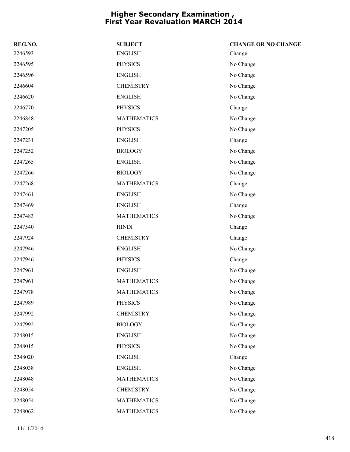| REG.NO. | <b>SUBJECT</b>     | <b>CHANGE OR NO CHANGE</b> |
|---------|--------------------|----------------------------|
| 2246593 | <b>ENGLISH</b>     | Change                     |
| 2246595 | <b>PHYSICS</b>     | No Change                  |
| 2246596 | <b>ENGLISH</b>     | No Change                  |
| 2246604 | <b>CHEMISTRY</b>   | No Change                  |
| 2246620 | <b>ENGLISH</b>     | No Change                  |
| 2246770 | <b>PHYSICS</b>     | Change                     |
| 2246848 | <b>MATHEMATICS</b> | No Change                  |
| 2247205 | PHYSICS            | No Change                  |
| 2247231 | <b>ENGLISH</b>     | Change                     |
| 2247252 | <b>BIOLOGY</b>     | No Change                  |
| 2247265 | <b>ENGLISH</b>     | No Change                  |
| 2247266 | <b>BIOLOGY</b>     | No Change                  |
| 2247268 | <b>MATHEMATICS</b> | Change                     |
| 2247461 | <b>ENGLISH</b>     | No Change                  |
| 2247469 | <b>ENGLISH</b>     | Change                     |
| 2247483 | <b>MATHEMATICS</b> | No Change                  |
| 2247540 | <b>HINDI</b>       | Change                     |
| 2247924 | <b>CHEMISTRY</b>   | Change                     |
| 2247946 | <b>ENGLISH</b>     | No Change                  |
| 2247946 | <b>PHYSICS</b>     | Change                     |
| 2247961 | <b>ENGLISH</b>     | No Change                  |
| 2247961 | <b>MATHEMATICS</b> | No Change                  |
| 2247978 | <b>MATHEMATICS</b> | No Change                  |
| 2247989 | <b>PHYSICS</b>     | No Change                  |
| 2247992 | <b>CHEMISTRY</b>   | No Change                  |
| 2247992 | <b>BIOLOGY</b>     | No Change                  |
| 2248015 | <b>ENGLISH</b>     | No Change                  |
| 2248015 | <b>PHYSICS</b>     | No Change                  |
| 2248020 | <b>ENGLISH</b>     | Change                     |
| 2248038 | <b>ENGLISH</b>     | No Change                  |
| 2248048 | <b>MATHEMATICS</b> | No Change                  |
| 2248054 | <b>CHEMISTRY</b>   | No Change                  |
| 2248054 | <b>MATHEMATICS</b> | No Change                  |
| 2248062 | <b>MATHEMATICS</b> | No Change                  |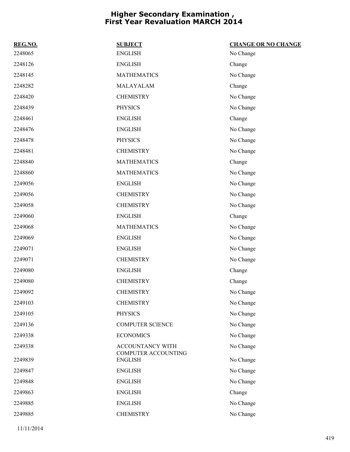| REG.NO. | <b>SUBJECT</b>                               | <b>CHANGE OR NO CHANGE</b> |
|---------|----------------------------------------------|----------------------------|
| 2248065 | <b>ENGLISH</b>                               | No Change                  |
| 2248126 | <b>ENGLISH</b>                               | Change                     |
| 2248145 | <b>MATHEMATICS</b>                           | No Change                  |
| 2248282 | MALAYALAM                                    | Change                     |
| 2248420 | <b>CHEMISTRY</b>                             | No Change                  |
| 2248439 | <b>PHYSICS</b>                               | No Change                  |
| 2248461 | <b>ENGLISH</b>                               | Change                     |
| 2248476 | <b>ENGLISH</b>                               | No Change                  |
| 2248478 | <b>PHYSICS</b>                               | No Change                  |
| 2248481 | <b>CHEMISTRY</b>                             | No Change                  |
| 2248840 | <b>MATHEMATICS</b>                           | Change                     |
| 2248860 | <b>MATHEMATICS</b>                           | No Change                  |
| 2249056 | <b>ENGLISH</b>                               | No Change                  |
| 2249056 | <b>CHEMISTRY</b>                             | No Change                  |
| 2249058 | <b>CHEMISTRY</b>                             | No Change                  |
| 2249060 | <b>ENGLISH</b>                               | Change                     |
| 2249068 | <b>MATHEMATICS</b>                           | No Change                  |
| 2249069 | <b>ENGLISH</b>                               | No Change                  |
| 2249071 | <b>ENGLISH</b>                               | No Change                  |
| 2249071 | <b>CHEMISTRY</b>                             | No Change                  |
| 2249080 | <b>ENGLISH</b>                               | Change                     |
| 2249080 | <b>CHEMISTRY</b>                             | Change                     |
| 2249092 | <b>CHEMISTRY</b>                             | No Change                  |
| 2249103 | <b>CHEMISTRY</b>                             | No Change                  |
| 2249105 | <b>PHYSICS</b>                               | No Change                  |
| 2249136 | <b>COMPUTER SCIENCE</b>                      | No Change                  |
| 2249338 | <b>ECONOMICS</b>                             | No Change                  |
| 2249338 | ACCOUNTANCY WITH                             | No Change                  |
| 2249839 | <b>COMPUTER ACCOUNTING</b><br><b>ENGLISH</b> | No Change                  |
| 2249847 | <b>ENGLISH</b>                               | No Change                  |
| 2249848 | <b>ENGLISH</b>                               | No Change                  |
| 2249863 | <b>ENGLISH</b>                               | Change                     |
| 2249885 | <b>ENGLISH</b>                               | No Change                  |
| 2249885 | <b>CHEMISTRY</b>                             | No Change                  |
|         |                                              |                            |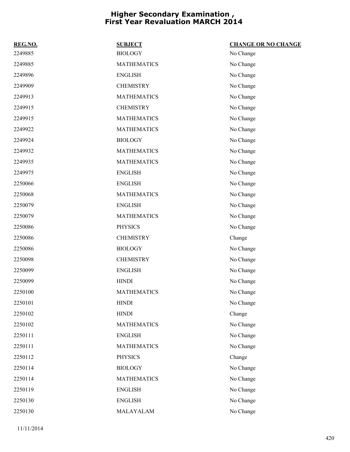| REG.NO. | <b>SUBJECT</b>     | <b>CHANGE OR NO CHANGE</b> |
|---------|--------------------|----------------------------|
| 2249885 | <b>BIOLOGY</b>     | No Change                  |
| 2249885 | <b>MATHEMATICS</b> | No Change                  |
| 2249896 | <b>ENGLISH</b>     | No Change                  |
| 2249909 | <b>CHEMISTRY</b>   | No Change                  |
| 2249913 | <b>MATHEMATICS</b> | No Change                  |
| 2249915 | <b>CHEMISTRY</b>   | No Change                  |
| 2249915 | <b>MATHEMATICS</b> | No Change                  |
| 2249922 | <b>MATHEMATICS</b> | No Change                  |
| 2249924 | <b>BIOLOGY</b>     | No Change                  |
| 2249932 | <b>MATHEMATICS</b> | No Change                  |
| 2249935 | <b>MATHEMATICS</b> | No Change                  |
| 2249975 | <b>ENGLISH</b>     | No Change                  |
| 2250066 | <b>ENGLISH</b>     | No Change                  |
| 2250068 | <b>MATHEMATICS</b> | No Change                  |
| 2250079 | <b>ENGLISH</b>     | No Change                  |
| 2250079 | <b>MATHEMATICS</b> | No Change                  |
| 2250086 | <b>PHYSICS</b>     | No Change                  |
| 2250086 | <b>CHEMISTRY</b>   | Change                     |
| 2250086 | <b>BIOLOGY</b>     | No Change                  |
| 2250098 | <b>CHEMISTRY</b>   | No Change                  |
| 2250099 | <b>ENGLISH</b>     | No Change                  |
| 2250099 | <b>HINDI</b>       | No Change                  |
| 2250100 | <b>MATHEMATICS</b> | No Change                  |
| 2250101 | <b>HINDI</b>       | No Change                  |
| 2250102 | <b>HINDI</b>       | Change                     |
| 2250102 | <b>MATHEMATICS</b> | No Change                  |
| 2250111 | <b>ENGLISH</b>     | No Change                  |
| 2250111 | <b>MATHEMATICS</b> | No Change                  |
| 2250112 | <b>PHYSICS</b>     | Change                     |
| 2250114 | <b>BIOLOGY</b>     | No Change                  |
| 2250114 | <b>MATHEMATICS</b> | No Change                  |
| 2250119 | <b>ENGLISH</b>     | No Change                  |
| 2250130 | <b>ENGLISH</b>     | No Change                  |
| 2250130 | MALAYALAM          | No Change                  |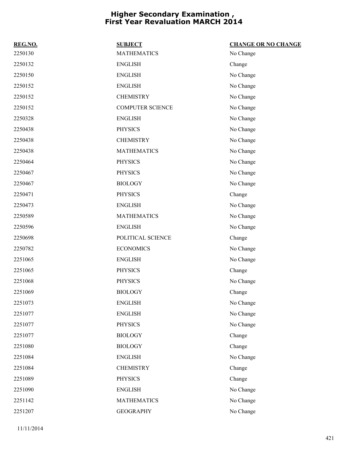| REG.NO. | <b>SUBJECT</b>          | <b>CHANGE OR NO CHANGE</b> |
|---------|-------------------------|----------------------------|
| 2250130 | <b>MATHEMATICS</b>      | No Change                  |
| 2250132 | <b>ENGLISH</b>          | Change                     |
| 2250150 | <b>ENGLISH</b>          | No Change                  |
| 2250152 | <b>ENGLISH</b>          | No Change                  |
| 2250152 | <b>CHEMISTRY</b>        | No Change                  |
| 2250152 | <b>COMPUTER SCIENCE</b> | No Change                  |
| 2250328 | <b>ENGLISH</b>          | No Change                  |
| 2250438 | <b>PHYSICS</b>          | No Change                  |
| 2250438 | <b>CHEMISTRY</b>        | No Change                  |
| 2250438 | <b>MATHEMATICS</b>      | No Change                  |
| 2250464 | <b>PHYSICS</b>          | No Change                  |
| 2250467 | <b>PHYSICS</b>          | No Change                  |
| 2250467 | <b>BIOLOGY</b>          | No Change                  |
| 2250471 | <b>PHYSICS</b>          | Change                     |
| 2250473 | <b>ENGLISH</b>          | No Change                  |
| 2250589 | <b>MATHEMATICS</b>      | No Change                  |
| 2250596 | <b>ENGLISH</b>          | No Change                  |
| 2250698 | POLITICAL SCIENCE       | Change                     |
| 2250782 | <b>ECONOMICS</b>        | No Change                  |
| 2251065 | <b>ENGLISH</b>          | No Change                  |
| 2251065 | <b>PHYSICS</b>          | Change                     |
| 2251068 | <b>PHYSICS</b>          | No Change                  |
| 2251069 | <b>BIOLOGY</b>          | Change                     |
| 2251073 | <b>ENGLISH</b>          | No Change                  |
| 2251077 | <b>ENGLISH</b>          | No Change                  |
| 2251077 | <b>PHYSICS</b>          | No Change                  |
| 2251077 | <b>BIOLOGY</b>          | Change                     |
| 2251080 | <b>BIOLOGY</b>          | Change                     |
| 2251084 | <b>ENGLISH</b>          | No Change                  |
| 2251084 | <b>CHEMISTRY</b>        | Change                     |
| 2251089 | <b>PHYSICS</b>          | Change                     |
| 2251090 | <b>ENGLISH</b>          | No Change                  |
| 2251142 | <b>MATHEMATICS</b>      | No Change                  |
| 2251207 | <b>GEOGRAPHY</b>        | No Change                  |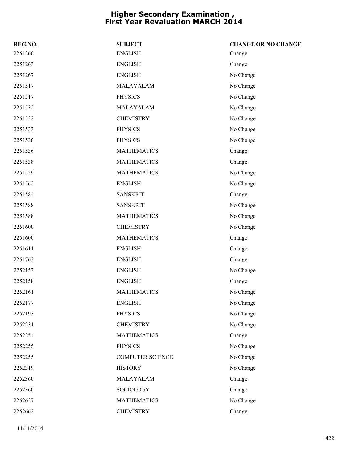| REG.NO. | <b>SUBJECT</b>          | <b>CHANGE OR NO CHANGE</b> |
|---------|-------------------------|----------------------------|
| 2251260 | <b>ENGLISH</b>          | Change                     |
| 2251263 | <b>ENGLISH</b>          | Change                     |
| 2251267 | <b>ENGLISH</b>          | No Change                  |
| 2251517 | MALAYALAM               | No Change                  |
| 2251517 | <b>PHYSICS</b>          | No Change                  |
| 2251532 | MALAYALAM               | No Change                  |
| 2251532 | <b>CHEMISTRY</b>        | No Change                  |
| 2251533 | <b>PHYSICS</b>          | No Change                  |
| 2251536 | <b>PHYSICS</b>          | No Change                  |
| 2251536 | <b>MATHEMATICS</b>      | Change                     |
| 2251538 | <b>MATHEMATICS</b>      | Change                     |
| 2251559 | <b>MATHEMATICS</b>      | No Change                  |
| 2251562 | <b>ENGLISH</b>          | No Change                  |
| 2251584 | <b>SANSKRIT</b>         | Change                     |
| 2251588 | <b>SANSKRIT</b>         | No Change                  |
| 2251588 | <b>MATHEMATICS</b>      | No Change                  |
| 2251600 | <b>CHEMISTRY</b>        | No Change                  |
| 2251600 | <b>MATHEMATICS</b>      | Change                     |
| 2251611 | <b>ENGLISH</b>          | Change                     |
| 2251763 | <b>ENGLISH</b>          | Change                     |
| 2252153 | <b>ENGLISH</b>          | No Change                  |
| 2252158 | <b>ENGLISH</b>          | Change                     |
| 2252161 | <b>MATHEMATICS</b>      | No Change                  |
| 2252177 | <b>ENGLISH</b>          | No Change                  |
| 2252193 | <b>PHYSICS</b>          | No Change                  |
| 2252231 | <b>CHEMISTRY</b>        | No Change                  |
| 2252254 | <b>MATHEMATICS</b>      | Change                     |
| 2252255 | <b>PHYSICS</b>          | No Change                  |
| 2252255 | <b>COMPUTER SCIENCE</b> | No Change                  |
| 2252319 | <b>HISTORY</b>          | No Change                  |
| 2252360 | MALAYALAM               | Change                     |
| 2252360 | <b>SOCIOLOGY</b>        | Change                     |
| 2252627 | <b>MATHEMATICS</b>      | No Change                  |
| 2252662 | <b>CHEMISTRY</b>        | Change                     |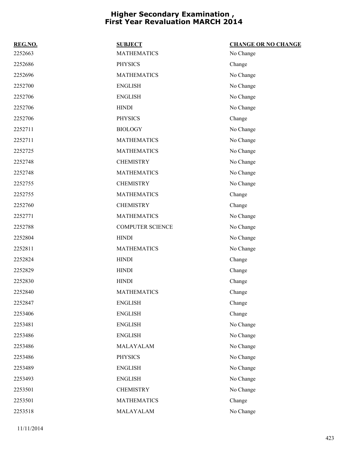| REG.NO. | <b>SUBJECT</b>          | <b>CHANGE OR NO CHANGE</b> |
|---------|-------------------------|----------------------------|
| 2252663 | <b>MATHEMATICS</b>      | No Change                  |
| 2252686 | <b>PHYSICS</b>          | Change                     |
| 2252696 | <b>MATHEMATICS</b>      | No Change                  |
| 2252700 | <b>ENGLISH</b>          | No Change                  |
| 2252706 | <b>ENGLISH</b>          | No Change                  |
| 2252706 | <b>HINDI</b>            | No Change                  |
| 2252706 | <b>PHYSICS</b>          | Change                     |
| 2252711 | <b>BIOLOGY</b>          | No Change                  |
| 2252711 | <b>MATHEMATICS</b>      | No Change                  |
| 2252725 | <b>MATHEMATICS</b>      | No Change                  |
| 2252748 | <b>CHEMISTRY</b>        | No Change                  |
| 2252748 | <b>MATHEMATICS</b>      | No Change                  |
| 2252755 | <b>CHEMISTRY</b>        | No Change                  |
| 2252755 | <b>MATHEMATICS</b>      | Change                     |
| 2252760 | <b>CHEMISTRY</b>        | Change                     |
| 2252771 | <b>MATHEMATICS</b>      | No Change                  |
| 2252788 | <b>COMPUTER SCIENCE</b> | No Change                  |
| 2252804 | <b>HINDI</b>            | No Change                  |
| 2252811 | <b>MATHEMATICS</b>      | No Change                  |
| 2252824 | <b>HINDI</b>            | Change                     |
| 2252829 | <b>HINDI</b>            | Change                     |
| 2252830 | <b>HINDI</b>            | Change                     |
| 2252840 | <b>MATHEMATICS</b>      | Change                     |
| 2252847 | <b>ENGLISH</b>          | Change                     |
| 2253406 | <b>ENGLISH</b>          | Change                     |
| 2253481 | <b>ENGLISH</b>          | No Change                  |
| 2253486 | <b>ENGLISH</b>          | No Change                  |
| 2253486 | MALAYALAM               | No Change                  |
| 2253486 | <b>PHYSICS</b>          | No Change                  |
| 2253489 | <b>ENGLISH</b>          | No Change                  |
| 2253493 | <b>ENGLISH</b>          | No Change                  |
| 2253501 | <b>CHEMISTRY</b>        | No Change                  |
| 2253501 | <b>MATHEMATICS</b>      | Change                     |
| 2253518 | MALAYALAM               | No Change                  |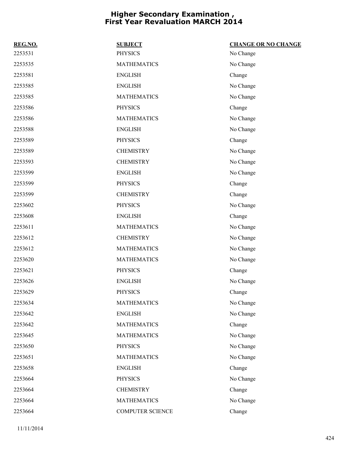| REG.NO. | <b>SUBJECT</b>          | <b>CHANGE OR NO CHANGE</b> |
|---------|-------------------------|----------------------------|
| 2253531 | <b>PHYSICS</b>          | No Change                  |
| 2253535 | <b>MATHEMATICS</b>      | No Change                  |
| 2253581 | <b>ENGLISH</b>          | Change                     |
| 2253585 | <b>ENGLISH</b>          | No Change                  |
| 2253585 | <b>MATHEMATICS</b>      | No Change                  |
| 2253586 | <b>PHYSICS</b>          | Change                     |
| 2253586 | <b>MATHEMATICS</b>      | No Change                  |
| 2253588 | <b>ENGLISH</b>          | No Change                  |
| 2253589 | <b>PHYSICS</b>          | Change                     |
| 2253589 | <b>CHEMISTRY</b>        | No Change                  |
| 2253593 | <b>CHEMISTRY</b>        | No Change                  |
| 2253599 | <b>ENGLISH</b>          | No Change                  |
| 2253599 | <b>PHYSICS</b>          | Change                     |
| 2253599 | <b>CHEMISTRY</b>        | Change                     |
| 2253602 | <b>PHYSICS</b>          | No Change                  |
| 2253608 | <b>ENGLISH</b>          | Change                     |
| 2253611 | <b>MATHEMATICS</b>      | No Change                  |
| 2253612 | <b>CHEMISTRY</b>        | No Change                  |
| 2253612 | <b>MATHEMATICS</b>      | No Change                  |
| 2253620 | <b>MATHEMATICS</b>      | No Change                  |
| 2253621 | <b>PHYSICS</b>          | Change                     |
| 2253626 | <b>ENGLISH</b>          | No Change                  |
| 2253629 | <b>PHYSICS</b>          | Change                     |
| 2253634 | <b>MATHEMATICS</b>      | No Change                  |
| 2253642 | <b>ENGLISH</b>          | No Change                  |
| 2253642 | <b>MATHEMATICS</b>      | Change                     |
| 2253645 | <b>MATHEMATICS</b>      | No Change                  |
| 2253650 | <b>PHYSICS</b>          | No Change                  |
| 2253651 | <b>MATHEMATICS</b>      | No Change                  |
| 2253658 | <b>ENGLISH</b>          | Change                     |
| 2253664 | <b>PHYSICS</b>          | No Change                  |
| 2253664 | <b>CHEMISTRY</b>        | Change                     |
| 2253664 | <b>MATHEMATICS</b>      | No Change                  |
| 2253664 | <b>COMPUTER SCIENCE</b> | Change                     |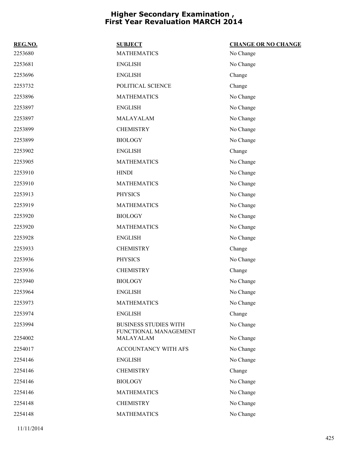| REG.NO. | <b>SUBJECT</b>                                        | <b>CHANGE OR NO CHANGE</b> |
|---------|-------------------------------------------------------|----------------------------|
| 2253680 | <b>MATHEMATICS</b>                                    | No Change                  |
| 2253681 | <b>ENGLISH</b>                                        | No Change                  |
| 2253696 | <b>ENGLISH</b>                                        | Change                     |
| 2253732 | POLITICAL SCIENCE                                     | Change                     |
| 2253896 | <b>MATHEMATICS</b>                                    | No Change                  |
| 2253897 | <b>ENGLISH</b>                                        | No Change                  |
| 2253897 | MALAYALAM                                             | No Change                  |
| 2253899 | <b>CHEMISTRY</b>                                      | No Change                  |
| 2253899 | <b>BIOLOGY</b>                                        | No Change                  |
| 2253902 | <b>ENGLISH</b>                                        | Change                     |
| 2253905 | <b>MATHEMATICS</b>                                    | No Change                  |
| 2253910 | <b>HINDI</b>                                          | No Change                  |
| 2253910 | <b>MATHEMATICS</b>                                    | No Change                  |
| 2253913 | <b>PHYSICS</b>                                        | No Change                  |
| 2253919 | <b>MATHEMATICS</b>                                    | No Change                  |
| 2253920 | <b>BIOLOGY</b>                                        | No Change                  |
| 2253920 | <b>MATHEMATICS</b>                                    | No Change                  |
| 2253928 | <b>ENGLISH</b>                                        | No Change                  |
| 2253933 | <b>CHEMISTRY</b>                                      | Change                     |
| 2253936 | <b>PHYSICS</b>                                        | No Change                  |
| 2253936 | <b>CHEMISTRY</b>                                      | Change                     |
| 2253940 | <b>BIOLOGY</b>                                        | No Change                  |
| 2253964 | <b>ENGLISH</b>                                        | No Change                  |
| 2253973 | <b>MATHEMATICS</b>                                    | No Change                  |
| 2253974 | <b>ENGLISH</b>                                        | Change                     |
| 2253994 | <b>BUSINESS STUDIES WITH</b><br>FUNCTIONAL MANAGEMENT | No Change                  |
| 2254002 | MALAYALAM                                             | No Change                  |
| 2254017 | ACCOUNTANCY WITH AFS                                  | No Change                  |
| 2254146 | <b>ENGLISH</b>                                        | No Change                  |
| 2254146 | <b>CHEMISTRY</b>                                      | Change                     |
| 2254146 | <b>BIOLOGY</b>                                        | No Change                  |
| 2254146 | <b>MATHEMATICS</b>                                    | No Change                  |
| 2254148 | <b>CHEMISTRY</b>                                      | No Change                  |
| 2254148 | <b>MATHEMATICS</b>                                    | No Change                  |
|         |                                                       |                            |

11/11/2014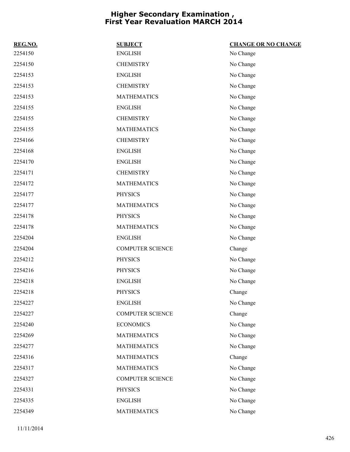| REG.NO. | <b>SUBJECT</b>          | <b>CHANGE OR NO CHANGE</b> |
|---------|-------------------------|----------------------------|
| 2254150 | <b>ENGLISH</b>          | No Change                  |
| 2254150 | <b>CHEMISTRY</b>        | No Change                  |
| 2254153 | <b>ENGLISH</b>          | No Change                  |
| 2254153 | <b>CHEMISTRY</b>        | No Change                  |
| 2254153 | <b>MATHEMATICS</b>      | No Change                  |
| 2254155 | <b>ENGLISH</b>          | No Change                  |
| 2254155 | <b>CHEMISTRY</b>        | No Change                  |
| 2254155 | <b>MATHEMATICS</b>      | No Change                  |
| 2254166 | <b>CHEMISTRY</b>        | No Change                  |
| 2254168 | <b>ENGLISH</b>          | No Change                  |
| 2254170 | <b>ENGLISH</b>          | No Change                  |
| 2254171 | <b>CHEMISTRY</b>        | No Change                  |
| 2254172 | <b>MATHEMATICS</b>      | No Change                  |
| 2254177 | <b>PHYSICS</b>          | No Change                  |
| 2254177 | <b>MATHEMATICS</b>      | No Change                  |
| 2254178 | <b>PHYSICS</b>          | No Change                  |
| 2254178 | <b>MATHEMATICS</b>      | No Change                  |
| 2254204 | <b>ENGLISH</b>          | No Change                  |
| 2254204 | <b>COMPUTER SCIENCE</b> | Change                     |
| 2254212 | <b>PHYSICS</b>          | No Change                  |
| 2254216 | <b>PHYSICS</b>          | No Change                  |
| 2254218 | <b>ENGLISH</b>          | No Change                  |
| 2254218 | <b>PHYSICS</b>          | Change                     |
| 2254227 | <b>ENGLISH</b>          | No Change                  |
| 2254227 | <b>COMPUTER SCIENCE</b> | Change                     |
| 2254240 | <b>ECONOMICS</b>        | No Change                  |
| 2254269 | <b>MATHEMATICS</b>      | No Change                  |
| 2254277 | <b>MATHEMATICS</b>      | No Change                  |
| 2254316 | <b>MATHEMATICS</b>      | Change                     |
| 2254317 | <b>MATHEMATICS</b>      | No Change                  |
| 2254327 | <b>COMPUTER SCIENCE</b> | No Change                  |
| 2254331 | <b>PHYSICS</b>          | No Change                  |
| 2254335 | <b>ENGLISH</b>          | No Change                  |
| 2254349 | <b>MATHEMATICS</b>      | No Change                  |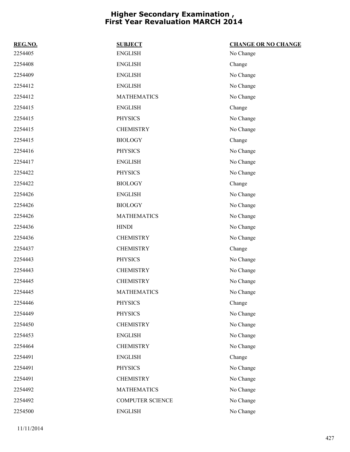| REG.NO. | <b>SUBJECT</b>          | <b>CHANGE OR NO CHANGE</b> |
|---------|-------------------------|----------------------------|
| 2254405 | <b>ENGLISH</b>          | No Change                  |
| 2254408 | <b>ENGLISH</b>          | Change                     |
| 2254409 | <b>ENGLISH</b>          | No Change                  |
| 2254412 | <b>ENGLISH</b>          | No Change                  |
| 2254412 | <b>MATHEMATICS</b>      | No Change                  |
| 2254415 | <b>ENGLISH</b>          | Change                     |
| 2254415 | <b>PHYSICS</b>          | No Change                  |
| 2254415 | <b>CHEMISTRY</b>        | No Change                  |
| 2254415 | <b>BIOLOGY</b>          | Change                     |
| 2254416 | <b>PHYSICS</b>          | No Change                  |
| 2254417 | <b>ENGLISH</b>          | No Change                  |
| 2254422 | <b>PHYSICS</b>          | No Change                  |
| 2254422 | <b>BIOLOGY</b>          | Change                     |
| 2254426 | <b>ENGLISH</b>          | No Change                  |
| 2254426 | <b>BIOLOGY</b>          | No Change                  |
| 2254426 | <b>MATHEMATICS</b>      | No Change                  |
| 2254436 | <b>HINDI</b>            | No Change                  |
| 2254436 | <b>CHEMISTRY</b>        | No Change                  |
| 2254437 | <b>CHEMISTRY</b>        | Change                     |
| 2254443 | <b>PHYSICS</b>          | No Change                  |
| 2254443 | <b>CHEMISTRY</b>        | No Change                  |
| 2254445 | <b>CHEMISTRY</b>        | No Change                  |
| 2254445 | <b>MATHEMATICS</b>      | No Change                  |
| 2254446 | <b>PHYSICS</b>          | Change                     |
| 2254449 | <b>PHYSICS</b>          | No Change                  |
| 2254450 | <b>CHEMISTRY</b>        | No Change                  |
| 2254453 | <b>ENGLISH</b>          | No Change                  |
| 2254464 | <b>CHEMISTRY</b>        | No Change                  |
| 2254491 | <b>ENGLISH</b>          | Change                     |
| 2254491 | <b>PHYSICS</b>          | No Change                  |
| 2254491 | <b>CHEMISTRY</b>        | No Change                  |
| 2254492 | <b>MATHEMATICS</b>      | No Change                  |
| 2254492 | <b>COMPUTER SCIENCE</b> | No Change                  |
| 2254500 | <b>ENGLISH</b>          | No Change                  |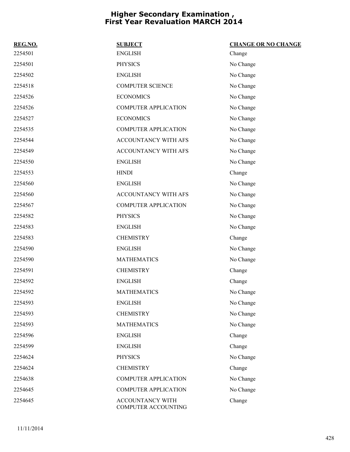| REG.NO. | <b>SUBJECT</b>                          | <b>CHANGE OR NO CHANGE</b> |
|---------|-----------------------------------------|----------------------------|
| 2254501 | <b>ENGLISH</b>                          | Change                     |
| 2254501 | <b>PHYSICS</b>                          | No Change                  |
| 2254502 | <b>ENGLISH</b>                          | No Change                  |
| 2254518 | <b>COMPUTER SCIENCE</b>                 | No Change                  |
| 2254526 | <b>ECONOMICS</b>                        | No Change                  |
| 2254526 | <b>COMPUTER APPLICATION</b>             | No Change                  |
| 2254527 | <b>ECONOMICS</b>                        | No Change                  |
| 2254535 | <b>COMPUTER APPLICATION</b>             | No Change                  |
| 2254544 | ACCOUNTANCY WITH AFS                    | No Change                  |
| 2254549 | ACCOUNTANCY WITH AFS                    | No Change                  |
| 2254550 | <b>ENGLISH</b>                          | No Change                  |
| 2254553 | <b>HINDI</b>                            | Change                     |
| 2254560 | <b>ENGLISH</b>                          | No Change                  |
| 2254560 | ACCOUNTANCY WITH AFS                    | No Change                  |
| 2254567 | <b>COMPUTER APPLICATION</b>             | No Change                  |
| 2254582 | <b>PHYSICS</b>                          | No Change                  |
| 2254583 | <b>ENGLISH</b>                          | No Change                  |
| 2254583 | <b>CHEMISTRY</b>                        | Change                     |
| 2254590 | <b>ENGLISH</b>                          | No Change                  |
| 2254590 | <b>MATHEMATICS</b>                      | No Change                  |
| 2254591 | <b>CHEMISTRY</b>                        | Change                     |
| 2254592 | <b>ENGLISH</b>                          | Change                     |
| 2254592 | <b>MATHEMATICS</b>                      | No Change                  |
| 2254593 | <b>ENGLISH</b>                          | No Change                  |
| 2254593 | <b>CHEMISTRY</b>                        | No Change                  |
| 2254593 | <b>MATHEMATICS</b>                      | No Change                  |
| 2254596 | <b>ENGLISH</b>                          | Change                     |
| 2254599 | <b>ENGLISH</b>                          | Change                     |
| 2254624 | <b>PHYSICS</b>                          | No Change                  |
| 2254624 | <b>CHEMISTRY</b>                        | Change                     |
| 2254638 | <b>COMPUTER APPLICATION</b>             | No Change                  |
| 2254645 | <b>COMPUTER APPLICATION</b>             | No Change                  |
| 2254645 | ACCOUNTANCY WITH<br>COMPUTER ACCOUNTING | Change                     |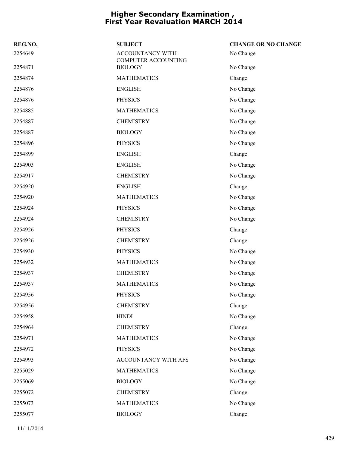| REG.NO. | <b>SUBJECT</b>                                        | <b>CHANGE OR NO CHANGE</b> |
|---------|-------------------------------------------------------|----------------------------|
| 2254649 | <b>ACCOUNTANCY WITH</b><br><b>COMPUTER ACCOUNTING</b> | No Change                  |
| 2254871 | <b>BIOLOGY</b>                                        | No Change                  |
| 2254874 | <b>MATHEMATICS</b>                                    | Change                     |
| 2254876 | <b>ENGLISH</b>                                        | No Change                  |
| 2254876 | <b>PHYSICS</b>                                        | No Change                  |
| 2254885 | <b>MATHEMATICS</b>                                    | No Change                  |
| 2254887 | <b>CHEMISTRY</b>                                      | No Change                  |
| 2254887 | <b>BIOLOGY</b>                                        | No Change                  |
| 2254896 | <b>PHYSICS</b>                                        | No Change                  |
| 2254899 | <b>ENGLISH</b>                                        | Change                     |
| 2254903 | <b>ENGLISH</b>                                        | No Change                  |
| 2254917 | <b>CHEMISTRY</b>                                      | No Change                  |
| 2254920 | <b>ENGLISH</b>                                        | Change                     |
| 2254920 | <b>MATHEMATICS</b>                                    | No Change                  |
| 2254924 | <b>PHYSICS</b>                                        | No Change                  |
| 2254924 | <b>CHEMISTRY</b>                                      | No Change                  |
| 2254926 | <b>PHYSICS</b>                                        | Change                     |
| 2254926 | <b>CHEMISTRY</b>                                      | Change                     |
| 2254930 | <b>PHYSICS</b>                                        | No Change                  |
| 2254932 | <b>MATHEMATICS</b>                                    | No Change                  |
| 2254937 | <b>CHEMISTRY</b>                                      | No Change                  |
| 2254937 | <b>MATHEMATICS</b>                                    | No Change                  |
| 2254956 | <b>PHYSICS</b>                                        | No Change                  |
| 2254956 | <b>CHEMISTRY</b>                                      | Change                     |
| 2254958 | <b>HINDI</b>                                          | No Change                  |
| 2254964 | <b>CHEMISTRY</b>                                      | Change                     |
| 2254971 | <b>MATHEMATICS</b>                                    | No Change                  |
| 2254972 | <b>PHYSICS</b>                                        | No Change                  |
| 2254993 | ACCOUNTANCY WITH AFS                                  | No Change                  |
| 2255029 | <b>MATHEMATICS</b>                                    | No Change                  |
| 2255069 | <b>BIOLOGY</b>                                        | No Change                  |
| 2255072 | <b>CHEMISTRY</b>                                      | Change                     |
| 2255073 | <b>MATHEMATICS</b>                                    | No Change                  |
| 2255077 | <b>BIOLOGY</b>                                        | Change                     |
|         |                                                       |                            |

11/11/2014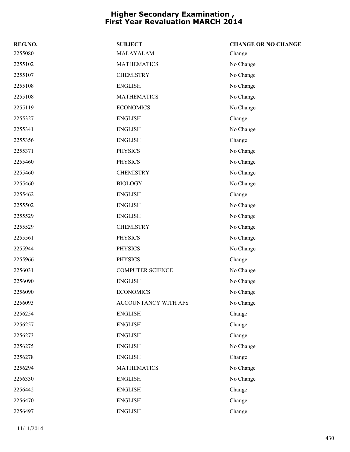| REG.NO. | <b>SUBJECT</b>          | <b>CHANGE OR NO CHANGE</b> |
|---------|-------------------------|----------------------------|
| 2255080 | MALAYALAM               | Change                     |
| 2255102 | <b>MATHEMATICS</b>      | No Change                  |
| 2255107 | <b>CHEMISTRY</b>        | No Change                  |
| 2255108 | <b>ENGLISH</b>          | No Change                  |
| 2255108 | <b>MATHEMATICS</b>      | No Change                  |
| 2255119 | <b>ECONOMICS</b>        | No Change                  |
| 2255327 | <b>ENGLISH</b>          | Change                     |
| 2255341 | <b>ENGLISH</b>          | No Change                  |
| 2255356 | <b>ENGLISH</b>          | Change                     |
| 2255371 | <b>PHYSICS</b>          | No Change                  |
| 2255460 | <b>PHYSICS</b>          | No Change                  |
| 2255460 | <b>CHEMISTRY</b>        | No Change                  |
| 2255460 | <b>BIOLOGY</b>          | No Change                  |
| 2255462 | <b>ENGLISH</b>          | Change                     |
| 2255502 | <b>ENGLISH</b>          | No Change                  |
| 2255529 | <b>ENGLISH</b>          | No Change                  |
| 2255529 | <b>CHEMISTRY</b>        | No Change                  |
| 2255561 | <b>PHYSICS</b>          | No Change                  |
| 2255944 | <b>PHYSICS</b>          | No Change                  |
| 2255966 | <b>PHYSICS</b>          | Change                     |
| 2256031 | <b>COMPUTER SCIENCE</b> | No Change                  |
| 2256090 | <b>ENGLISH</b>          | No Change                  |
| 2256090 | <b>ECONOMICS</b>        | No Change                  |
| 2256093 | ACCOUNTANCY WITH AFS    | No Change                  |
| 2256254 | <b>ENGLISH</b>          | Change                     |
| 2256257 | <b>ENGLISH</b>          | Change                     |
| 2256273 | <b>ENGLISH</b>          | Change                     |
| 2256275 | <b>ENGLISH</b>          | No Change                  |
| 2256278 | <b>ENGLISH</b>          | Change                     |
| 2256294 | <b>MATHEMATICS</b>      | No Change                  |
| 2256330 | <b>ENGLISH</b>          | No Change                  |
| 2256442 | <b>ENGLISH</b>          | Change                     |
| 2256470 | <b>ENGLISH</b>          | Change                     |
| 2256497 | <b>ENGLISH</b>          | Change                     |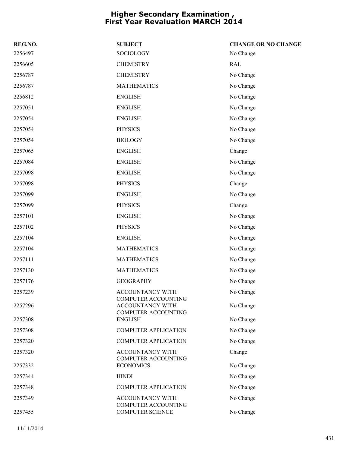| REG.NO. | <b>SUBJECT</b>                                                        | <b>CHANGE OR NO CHANGE</b> |
|---------|-----------------------------------------------------------------------|----------------------------|
| 2256497 | SOCIOLOGY                                                             | No Change                  |
| 2256605 | <b>CHEMISTRY</b>                                                      | <b>RAL</b>                 |
| 2256787 | <b>CHEMISTRY</b>                                                      | No Change                  |
| 2256787 | <b>MATHEMATICS</b>                                                    | No Change                  |
| 2256812 | <b>ENGLISH</b>                                                        | No Change                  |
| 2257051 | <b>ENGLISH</b>                                                        | No Change                  |
| 2257054 | <b>ENGLISH</b>                                                        | No Change                  |
| 2257054 | <b>PHYSICS</b>                                                        | No Change                  |
| 2257054 | <b>BIOLOGY</b>                                                        | No Change                  |
| 2257065 | <b>ENGLISH</b>                                                        | Change                     |
| 2257084 | <b>ENGLISH</b>                                                        | No Change                  |
| 2257098 | <b>ENGLISH</b>                                                        | No Change                  |
| 2257098 | <b>PHYSICS</b>                                                        | Change                     |
| 2257099 | <b>ENGLISH</b>                                                        | No Change                  |
| 2257099 | <b>PHYSICS</b>                                                        | Change                     |
| 2257101 | <b>ENGLISH</b>                                                        | No Change                  |
| 2257102 | <b>PHYSICS</b>                                                        | No Change                  |
| 2257104 | <b>ENGLISH</b>                                                        | No Change                  |
| 2257104 | <b>MATHEMATICS</b>                                                    | No Change                  |
| 2257111 | <b>MATHEMATICS</b>                                                    | No Change                  |
| 2257130 | <b>MATHEMATICS</b>                                                    | No Change                  |
| 2257176 | <b>GEOGRAPHY</b>                                                      | No Change                  |
| 2257239 | ACCOUNTANCY WITH                                                      | No Change                  |
| 2257296 | COMPUTER ACCOUNTING<br>ACCOUNTANCY WITH<br><b>COMPUTER ACCOUNTING</b> | No Change                  |
| 2257308 | <b>ENGLISH</b>                                                        | No Change                  |
| 2257308 | <b>COMPUTER APPLICATION</b>                                           | No Change                  |
| 2257320 | <b>COMPUTER APPLICATION</b>                                           | No Change                  |
| 2257320 | ACCOUNTANCY WITH<br><b>COMPUTER ACCOUNTING</b>                        | Change                     |
| 2257332 | <b>ECONOMICS</b>                                                      | No Change                  |
| 2257344 | <b>HINDI</b>                                                          | No Change                  |
| 2257348 | <b>COMPUTER APPLICATION</b>                                           | No Change                  |
| 2257349 | ACCOUNTANCY WITH<br><b>COMPUTER ACCOUNTING</b>                        | No Change                  |
| 2257455 | <b>COMPUTER SCIENCE</b>                                               | No Change                  |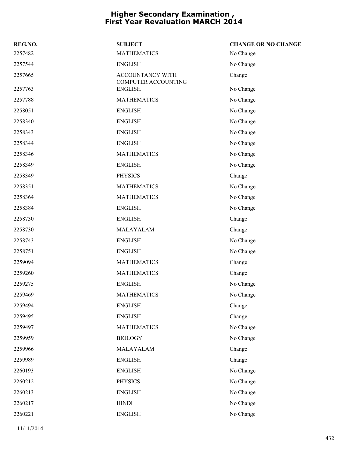| REG.NO. | <b>SUBJECT</b>                                 | <b>CHANGE OR NO CHANGE</b> |
|---------|------------------------------------------------|----------------------------|
| 2257482 | <b>MATHEMATICS</b>                             | No Change                  |
| 2257544 | <b>ENGLISH</b>                                 | No Change                  |
| 2257665 | <b>ACCOUNTANCY WITH</b><br>COMPUTER ACCOUNTING | Change                     |
| 2257763 | <b>ENGLISH</b>                                 | No Change                  |
| 2257788 | <b>MATHEMATICS</b>                             | No Change                  |
| 2258051 | <b>ENGLISH</b>                                 | No Change                  |
| 2258340 | <b>ENGLISH</b>                                 | No Change                  |
| 2258343 | <b>ENGLISH</b>                                 | No Change                  |
| 2258344 | <b>ENGLISH</b>                                 | No Change                  |
| 2258346 | <b>MATHEMATICS</b>                             | No Change                  |
| 2258349 | <b>ENGLISH</b>                                 | No Change                  |
| 2258349 | <b>PHYSICS</b>                                 | Change                     |
| 2258351 | <b>MATHEMATICS</b>                             | No Change                  |
| 2258364 | <b>MATHEMATICS</b>                             | No Change                  |
| 2258384 | <b>ENGLISH</b>                                 | No Change                  |
| 2258730 | <b>ENGLISH</b>                                 | Change                     |
| 2258730 | MALAYALAM                                      | Change                     |
| 2258743 | <b>ENGLISH</b>                                 | No Change                  |
| 2258751 | <b>ENGLISH</b>                                 | No Change                  |
| 2259094 | <b>MATHEMATICS</b>                             | Change                     |
| 2259260 | <b>MATHEMATICS</b>                             | Change                     |
| 2259275 | <b>ENGLISH</b>                                 | No Change                  |
| 2259469 | <b>MATHEMATICS</b>                             | No Change                  |
| 2259494 | <b>ENGLISH</b>                                 | Change                     |
| 2259495 | <b>ENGLISH</b>                                 | Change                     |
| 2259497 | <b>MATHEMATICS</b>                             | No Change                  |
| 2259959 | <b>BIOLOGY</b>                                 | No Change                  |
| 2259966 | MALAYALAM                                      | Change                     |
| 2259989 | <b>ENGLISH</b>                                 | Change                     |
| 2260193 | <b>ENGLISH</b>                                 | No Change                  |
| 2260212 | <b>PHYSICS</b>                                 | No Change                  |
| 2260213 | <b>ENGLISH</b>                                 | No Change                  |
| 2260217 | <b>HINDI</b>                                   | No Change                  |
| 2260221 | <b>ENGLISH</b>                                 | No Change                  |

11/11/2014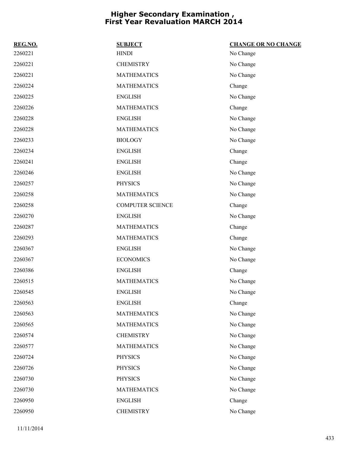| REG.NO. | <b>SUBJECT</b>          | <b>CHANGE OR NO CHANGE</b> |
|---------|-------------------------|----------------------------|
| 2260221 | <b>HINDI</b>            | No Change                  |
| 2260221 | <b>CHEMISTRY</b>        | No Change                  |
| 2260221 | <b>MATHEMATICS</b>      | No Change                  |
| 2260224 | <b>MATHEMATICS</b>      | Change                     |
| 2260225 | <b>ENGLISH</b>          | No Change                  |
| 2260226 | <b>MATHEMATICS</b>      | Change                     |
| 2260228 | <b>ENGLISH</b>          | No Change                  |
| 2260228 | <b>MATHEMATICS</b>      | No Change                  |
| 2260233 | <b>BIOLOGY</b>          | No Change                  |
| 2260234 | <b>ENGLISH</b>          | Change                     |
| 2260241 | <b>ENGLISH</b>          | Change                     |
| 2260246 | <b>ENGLISH</b>          | No Change                  |
| 2260257 | <b>PHYSICS</b>          | No Change                  |
| 2260258 | <b>MATHEMATICS</b>      | No Change                  |
| 2260258 | <b>COMPUTER SCIENCE</b> | Change                     |
| 2260270 | <b>ENGLISH</b>          | No Change                  |
| 2260287 | <b>MATHEMATICS</b>      | Change                     |
| 2260293 | <b>MATHEMATICS</b>      | Change                     |
| 2260367 | <b>ENGLISH</b>          | No Change                  |
| 2260367 | <b>ECONOMICS</b>        | No Change                  |
| 2260386 | <b>ENGLISH</b>          | Change                     |
| 2260515 | <b>MATHEMATICS</b>      | No Change                  |
| 2260545 | <b>ENGLISH</b>          | No Change                  |
| 2260563 | <b>ENGLISH</b>          | Change                     |
| 2260563 | <b>MATHEMATICS</b>      | No Change                  |
| 2260565 | <b>MATHEMATICS</b>      | No Change                  |
| 2260574 | <b>CHEMISTRY</b>        | No Change                  |
| 2260577 | <b>MATHEMATICS</b>      | No Change                  |
| 2260724 | <b>PHYSICS</b>          | No Change                  |
| 2260726 | <b>PHYSICS</b>          | No Change                  |
| 2260730 | <b>PHYSICS</b>          | No Change                  |
| 2260730 | <b>MATHEMATICS</b>      | No Change                  |
| 2260950 | <b>ENGLISH</b>          | Change                     |
| 2260950 | <b>CHEMISTRY</b>        | No Change                  |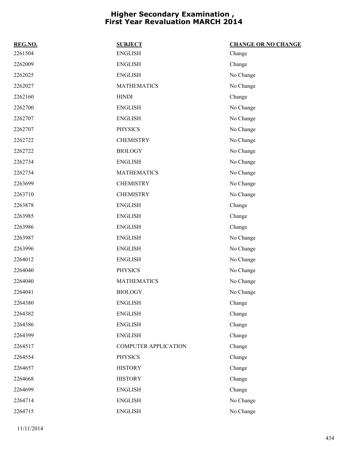| REG.NO. | <b>SUBJECT</b>              | <b>CHANGE OR NO CHANGE</b> |
|---------|-----------------------------|----------------------------|
| 2261504 | <b>ENGLISH</b>              | Change                     |
| 2262009 | <b>ENGLISH</b>              | Change                     |
| 2262025 | <b>ENGLISH</b>              | No Change                  |
| 2262027 | <b>MATHEMATICS</b>          | No Change                  |
| 2262160 | <b>HINDI</b>                | Change                     |
| 2262700 | <b>ENGLISH</b>              | No Change                  |
| 2262707 | <b>ENGLISH</b>              | No Change                  |
| 2262707 | <b>PHYSICS</b>              | No Change                  |
| 2262722 | <b>CHEMISTRY</b>            | No Change                  |
| 2262722 | <b>BIOLOGY</b>              | No Change                  |
| 2262734 | <b>ENGLISH</b>              | No Change                  |
| 2262734 | <b>MATHEMATICS</b>          | No Change                  |
| 2263699 | <b>CHEMISTRY</b>            | No Change                  |
| 2263710 | <b>CHEMISTRY</b>            | No Change                  |
| 2263878 | <b>ENGLISH</b>              | Change                     |
| 2263985 | <b>ENGLISH</b>              | Change                     |
| 2263986 | <b>ENGLISH</b>              | Change                     |
| 2263987 | <b>ENGLISH</b>              | No Change                  |
| 2263996 | <b>ENGLISH</b>              | No Change                  |
| 2264012 | <b>ENGLISH</b>              | No Change                  |
| 2264040 | <b>PHYSICS</b>              | No Change                  |
| 2264040 | <b>MATHEMATICS</b>          | No Change                  |
| 2264041 | <b>BIOLOGY</b>              | No Change                  |
| 2264380 | <b>ENGLISH</b>              | Change                     |
| 2264382 | <b>ENGLISH</b>              | Change                     |
| 2264386 | <b>ENGLISH</b>              | Change                     |
| 2264399 | <b>ENGLISH</b>              | Change                     |
| 2264517 | <b>COMPUTER APPLICATION</b> | Change                     |
| 2264554 | <b>PHYSICS</b>              | Change                     |
| 2264657 | <b>HISTORY</b>              | Change                     |
| 2264668 | <b>HISTORY</b>              | Change                     |
| 2264699 | <b>ENGLISH</b>              | Change                     |
| 2264714 | <b>ENGLISH</b>              | No Change                  |
| 2264715 | <b>ENGLISH</b>              | No Change                  |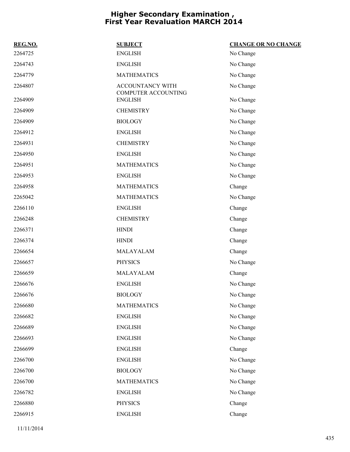| REG.NO. | <b>SUBJECT</b>                          | <b>CHANGE OR NO CHANGE</b> |
|---------|-----------------------------------------|----------------------------|
| 2264725 | <b>ENGLISH</b>                          | No Change                  |
| 2264743 | <b>ENGLISH</b>                          | No Change                  |
| 2264779 | <b>MATHEMATICS</b>                      | No Change                  |
| 2264807 | ACCOUNTANCY WITH<br>COMPUTER ACCOUNTING | No Change                  |
| 2264909 | <b>ENGLISH</b>                          | No Change                  |
| 2264909 | <b>CHEMISTRY</b>                        | No Change                  |
| 2264909 | <b>BIOLOGY</b>                          | No Change                  |
| 2264912 | <b>ENGLISH</b>                          | No Change                  |
| 2264931 | <b>CHEMISTRY</b>                        | No Change                  |
| 2264950 | <b>ENGLISH</b>                          | No Change                  |
| 2264951 | <b>MATHEMATICS</b>                      | No Change                  |
| 2264953 | <b>ENGLISH</b>                          | No Change                  |
| 2264958 | <b>MATHEMATICS</b>                      | Change                     |
| 2265042 | <b>MATHEMATICS</b>                      | No Change                  |
| 2266110 | <b>ENGLISH</b>                          | Change                     |
| 2266248 | <b>CHEMISTRY</b>                        | Change                     |
| 2266371 | <b>HINDI</b>                            | Change                     |
| 2266374 | <b>HINDI</b>                            | Change                     |
| 2266654 | MALAYALAM                               | Change                     |
| 2266657 | <b>PHYSICS</b>                          | No Change                  |
| 2266659 | MALAYALAM                               | Change                     |
| 2266676 | <b>ENGLISH</b>                          | No Change                  |
| 2266676 | <b>BIOLOGY</b>                          | No Change                  |
| 2266680 | <b>MATHEMATICS</b>                      | No Change                  |
| 2266682 | <b>ENGLISH</b>                          | No Change                  |
| 2266689 | <b>ENGLISH</b>                          | No Change                  |
| 2266693 | <b>ENGLISH</b>                          | No Change                  |
| 2266699 | <b>ENGLISH</b>                          | Change                     |
| 2266700 | <b>ENGLISH</b>                          | No Change                  |
| 2266700 | <b>BIOLOGY</b>                          | No Change                  |
| 2266700 | <b>MATHEMATICS</b>                      | No Change                  |
| 2266782 | <b>ENGLISH</b>                          | No Change                  |
| 2266880 | <b>PHYSICS</b>                          | Change                     |
| 2266915 | <b>ENGLISH</b>                          | Change                     |
|         |                                         |                            |

11/11/2014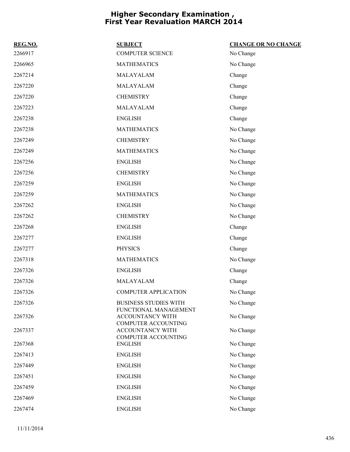| REG.NO. | <b>SUBJECT</b>                                                          | <b>CHANGE OR NO CHANGE</b> |
|---------|-------------------------------------------------------------------------|----------------------------|
| 2266917 | <b>COMPUTER SCIENCE</b>                                                 | No Change                  |
| 2266965 | <b>MATHEMATICS</b>                                                      | No Change                  |
| 2267214 | MALAYALAM                                                               | Change                     |
| 2267220 | MALAYALAM                                                               | Change                     |
| 2267220 | <b>CHEMISTRY</b>                                                        | Change                     |
| 2267223 | MALAYALAM                                                               | Change                     |
| 2267238 | <b>ENGLISH</b>                                                          | Change                     |
| 2267238 | <b>MATHEMATICS</b>                                                      | No Change                  |
| 2267249 | <b>CHEMISTRY</b>                                                        | No Change                  |
| 2267249 | <b>MATHEMATICS</b>                                                      | No Change                  |
| 2267256 | <b>ENGLISH</b>                                                          | No Change                  |
| 2267256 | <b>CHEMISTRY</b>                                                        | No Change                  |
| 2267259 | <b>ENGLISH</b>                                                          | No Change                  |
| 2267259 | <b>MATHEMATICS</b>                                                      | No Change                  |
| 2267262 | <b>ENGLISH</b>                                                          | No Change                  |
| 2267262 | <b>CHEMISTRY</b>                                                        | No Change                  |
| 2267268 | <b>ENGLISH</b>                                                          | Change                     |
| 2267277 | <b>ENGLISH</b>                                                          | Change                     |
| 2267277 | <b>PHYSICS</b>                                                          | Change                     |
| 2267318 | <b>MATHEMATICS</b>                                                      | No Change                  |
| 2267326 | <b>ENGLISH</b>                                                          | Change                     |
| 2267326 | MALAYALAM                                                               | Change                     |
| 2267326 | <b>COMPUTER APPLICATION</b>                                             | No Change                  |
| 2267326 | <b>BUSINESS STUDIES WITH</b>                                            | No Change                  |
| 2267326 | FUNCTIONAL MANAGEMENT<br>ACCOUNTANCY WITH<br><b>COMPUTER ACCOUNTING</b> | No Change                  |
| 2267337 | ACCOUNTANCY WITH                                                        | No Change                  |
| 2267368 | <b>COMPUTER ACCOUNTING</b><br><b>ENGLISH</b>                            | No Change                  |
| 2267413 | <b>ENGLISH</b>                                                          | No Change                  |
| 2267449 | <b>ENGLISH</b>                                                          | No Change                  |
| 2267451 | <b>ENGLISH</b>                                                          | No Change                  |
| 2267459 | <b>ENGLISH</b>                                                          | No Change                  |
| 2267469 | <b>ENGLISH</b>                                                          | No Change                  |
| 2267474 | <b>ENGLISH</b>                                                          | No Change                  |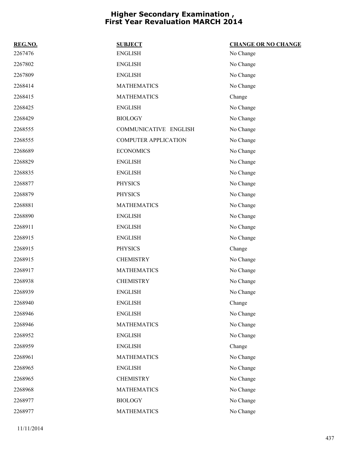| REG.NO. | <b>SUBJECT</b>              | <b>CHANGE OR NO CHANGE</b> |
|---------|-----------------------------|----------------------------|
| 2267476 | <b>ENGLISH</b>              | No Change                  |
| 2267802 | <b>ENGLISH</b>              | No Change                  |
| 2267809 | <b>ENGLISH</b>              | No Change                  |
| 2268414 | <b>MATHEMATICS</b>          | No Change                  |
| 2268415 | <b>MATHEMATICS</b>          | Change                     |
| 2268425 | <b>ENGLISH</b>              | No Change                  |
| 2268429 | <b>BIOLOGY</b>              | No Change                  |
| 2268555 | COMMUNICATIVE ENGLISH       | No Change                  |
| 2268555 | <b>COMPUTER APPLICATION</b> | No Change                  |
| 2268689 | <b>ECONOMICS</b>            | No Change                  |
| 2268829 | <b>ENGLISH</b>              | No Change                  |
| 2268835 | <b>ENGLISH</b>              | No Change                  |
| 2268877 | <b>PHYSICS</b>              | No Change                  |
| 2268879 | <b>PHYSICS</b>              | No Change                  |
| 2268881 | <b>MATHEMATICS</b>          | No Change                  |
| 2268890 | <b>ENGLISH</b>              | No Change                  |
| 2268911 | <b>ENGLISH</b>              | No Change                  |
| 2268915 | <b>ENGLISH</b>              | No Change                  |
| 2268915 | <b>PHYSICS</b>              | Change                     |
| 2268915 | <b>CHEMISTRY</b>            | No Change                  |
| 2268917 | <b>MATHEMATICS</b>          | No Change                  |
| 2268938 | <b>CHEMISTRY</b>            | No Change                  |
| 2268939 | <b>ENGLISH</b>              | No Change                  |
| 2268940 | <b>ENGLISH</b>              | Change                     |
| 2268946 | <b>ENGLISH</b>              | No Change                  |
| 2268946 | <b>MATHEMATICS</b>          | No Change                  |
| 2268952 | <b>ENGLISH</b>              | No Change                  |
| 2268959 | <b>ENGLISH</b>              | Change                     |
| 2268961 | <b>MATHEMATICS</b>          | No Change                  |
| 2268965 | <b>ENGLISH</b>              | No Change                  |
| 2268965 | <b>CHEMISTRY</b>            | No Change                  |
| 2268968 | <b>MATHEMATICS</b>          | No Change                  |
| 2268977 | <b>BIOLOGY</b>              | No Change                  |
| 2268977 | <b>MATHEMATICS</b>          | No Change                  |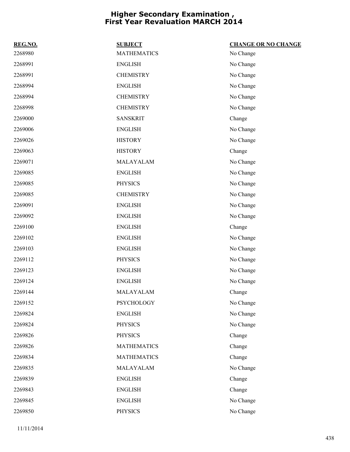| REG.NO. | <b>SUBJECT</b>     | <b>CHANGE OR NO CHANGE</b> |
|---------|--------------------|----------------------------|
| 2268980 | <b>MATHEMATICS</b> | No Change                  |
| 2268991 | <b>ENGLISH</b>     | No Change                  |
| 2268991 | <b>CHEMISTRY</b>   | No Change                  |
| 2268994 | <b>ENGLISH</b>     | No Change                  |
| 2268994 | <b>CHEMISTRY</b>   | No Change                  |
| 2268998 | <b>CHEMISTRY</b>   | No Change                  |
| 2269000 | <b>SANSKRIT</b>    | Change                     |
| 2269006 | <b>ENGLISH</b>     | No Change                  |
| 2269026 | <b>HISTORY</b>     | No Change                  |
| 2269063 | <b>HISTORY</b>     | Change                     |
| 2269071 | MALAYALAM          | No Change                  |
| 2269085 | <b>ENGLISH</b>     | No Change                  |
| 2269085 | <b>PHYSICS</b>     | No Change                  |
| 2269085 | <b>CHEMISTRY</b>   | No Change                  |
| 2269091 | <b>ENGLISH</b>     | No Change                  |
| 2269092 | <b>ENGLISH</b>     | No Change                  |
| 2269100 | <b>ENGLISH</b>     | Change                     |
| 2269102 | <b>ENGLISH</b>     | No Change                  |
| 2269103 | <b>ENGLISH</b>     | No Change                  |
| 2269112 | <b>PHYSICS</b>     | No Change                  |
| 2269123 | <b>ENGLISH</b>     | No Change                  |
| 2269124 | <b>ENGLISH</b>     | No Change                  |
| 2269144 | MALAYALAM          | Change                     |
| 2269152 | PSYCHOLOGY         | No Change                  |
| 2269824 | <b>ENGLISH</b>     | No Change                  |
| 2269824 | <b>PHYSICS</b>     | No Change                  |
| 2269826 | <b>PHYSICS</b>     | Change                     |
| 2269826 | <b>MATHEMATICS</b> | Change                     |
| 2269834 | <b>MATHEMATICS</b> | Change                     |
| 2269835 | MALAYALAM          | No Change                  |
| 2269839 | <b>ENGLISH</b>     | Change                     |
| 2269843 | <b>ENGLISH</b>     | Change                     |
| 2269845 | <b>ENGLISH</b>     | No Change                  |
| 2269850 | PHYSICS            | No Change                  |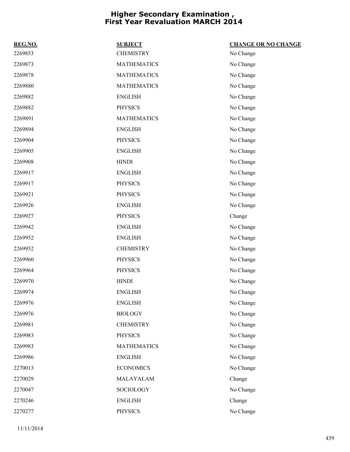| REG.NO. | <b>SUBJECT</b>     | <b>CHANGE OR NO CHANGE</b> |
|---------|--------------------|----------------------------|
| 2269853 | <b>CHEMISTRY</b>   | No Change                  |
| 2269873 | <b>MATHEMATICS</b> | No Change                  |
| 2269878 | <b>MATHEMATICS</b> | No Change                  |
| 2269880 | <b>MATHEMATICS</b> | No Change                  |
| 2269882 | <b>ENGLISH</b>     | No Change                  |
| 2269882 | <b>PHYSICS</b>     | No Change                  |
| 2269891 | <b>MATHEMATICS</b> | No Change                  |
| 2269894 | <b>ENGLISH</b>     | No Change                  |
| 2269904 | <b>PHYSICS</b>     | No Change                  |
| 2269905 | <b>ENGLISH</b>     | No Change                  |
| 2269908 | <b>HINDI</b>       | No Change                  |
| 2269917 | <b>ENGLISH</b>     | No Change                  |
| 2269917 | <b>PHYSICS</b>     | No Change                  |
| 2269921 | <b>PHYSICS</b>     | No Change                  |
| 2269926 | <b>ENGLISH</b>     | No Change                  |
| 2269927 | <b>PHYSICS</b>     | Change                     |
| 2269942 | <b>ENGLISH</b>     | No Change                  |
| 2269952 | <b>ENGLISH</b>     | No Change                  |
| 2269952 | <b>CHEMISTRY</b>   | No Change                  |
| 2269960 | <b>PHYSICS</b>     | No Change                  |
| 2269964 | <b>PHYSICS</b>     | No Change                  |
| 2269970 | <b>HINDI</b>       | No Change                  |
| 2269974 | <b>ENGLISH</b>     | No Change                  |
| 2269976 | <b>ENGLISH</b>     | No Change                  |
| 2269976 | <b>BIOLOGY</b>     | No Change                  |
| 2269981 | <b>CHEMISTRY</b>   | No Change                  |
| 2269983 | <b>PHYSICS</b>     | No Change                  |
| 2269983 | <b>MATHEMATICS</b> | No Change                  |
| 2269986 | <b>ENGLISH</b>     | No Change                  |
| 2270013 | <b>ECONOMICS</b>   | No Change                  |
| 2270029 | MALAYALAM          | Change                     |
| 2270047 | SOCIOLOGY          | No Change                  |
| 2270246 | <b>ENGLISH</b>     | Change                     |
| 2270277 | PHYSICS            | No Change                  |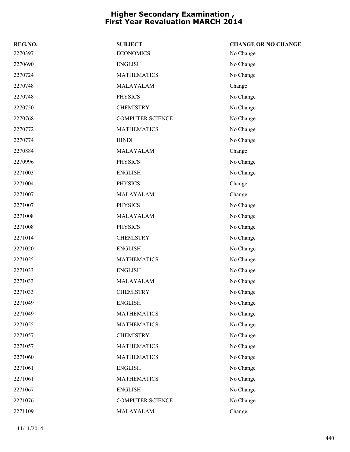| REG.NO. | <b>SUBJECT</b>          | <b>CHANGE OR NO CHANGE</b> |
|---------|-------------------------|----------------------------|
| 2270397 | <b>ECONOMICS</b>        | No Change                  |
| 2270690 | <b>ENGLISH</b>          | No Change                  |
| 2270724 | <b>MATHEMATICS</b>      | No Change                  |
| 2270748 | MALAYALAM               | Change                     |
| 2270748 | <b>PHYSICS</b>          | No Change                  |
| 2270750 | <b>CHEMISTRY</b>        | No Change                  |
| 2270768 | <b>COMPUTER SCIENCE</b> | No Change                  |
| 2270772 | <b>MATHEMATICS</b>      | No Change                  |
| 2270774 | <b>HINDI</b>            | No Change                  |
| 2270884 | MALAYALAM               | Change                     |
| 2270996 | <b>PHYSICS</b>          | No Change                  |
| 2271003 | <b>ENGLISH</b>          | No Change                  |
| 2271004 | <b>PHYSICS</b>          | Change                     |
| 2271007 | MALAYALAM               | Change                     |
| 2271007 | <b>PHYSICS</b>          | No Change                  |
| 2271008 | MALAYALAM               | No Change                  |
| 2271008 | <b>PHYSICS</b>          | No Change                  |
| 2271014 | <b>CHEMISTRY</b>        | No Change                  |
| 2271020 | <b>ENGLISH</b>          | No Change                  |
| 2271025 | <b>MATHEMATICS</b>      | No Change                  |
| 2271033 | <b>ENGLISH</b>          | No Change                  |
| 2271033 | MALAYALAM               | No Change                  |
| 2271033 | <b>CHEMISTRY</b>        | No Change                  |
| 2271049 | <b>ENGLISH</b>          | No Change                  |
| 2271049 | <b>MATHEMATICS</b>      | No Change                  |
| 2271055 | <b>MATHEMATICS</b>      | No Change                  |
| 2271057 | <b>CHEMISTRY</b>        | No Change                  |
| 2271057 | <b>MATHEMATICS</b>      | No Change                  |
| 2271060 | <b>MATHEMATICS</b>      | No Change                  |
| 2271061 | <b>ENGLISH</b>          | No Change                  |
| 2271061 | <b>MATHEMATICS</b>      | No Change                  |
| 2271067 | <b>ENGLISH</b>          | No Change                  |
| 2271076 | <b>COMPUTER SCIENCE</b> | No Change                  |
| 2271109 | MALAYALAM               | Change                     |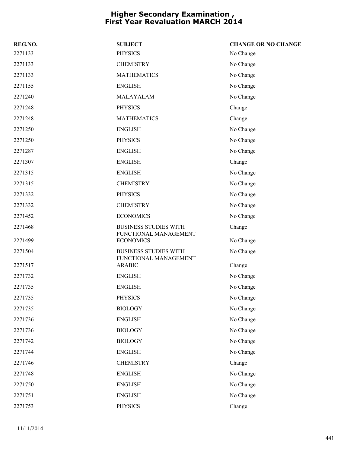| REG.NO. | <b>SUBJECT</b>                                        | <b>CHANGE OR NO CHANGE</b> |
|---------|-------------------------------------------------------|----------------------------|
| 2271133 | <b>PHYSICS</b>                                        | No Change                  |
| 2271133 | <b>CHEMISTRY</b>                                      | No Change                  |
| 2271133 | <b>MATHEMATICS</b>                                    | No Change                  |
| 2271155 | <b>ENGLISH</b>                                        | No Change                  |
| 2271240 | MALAYALAM                                             | No Change                  |
| 2271248 | <b>PHYSICS</b>                                        | Change                     |
| 2271248 | <b>MATHEMATICS</b>                                    | Change                     |
| 2271250 | <b>ENGLISH</b>                                        | No Change                  |
| 2271250 | <b>PHYSICS</b>                                        | No Change                  |
| 2271287 | <b>ENGLISH</b>                                        | No Change                  |
| 2271307 | <b>ENGLISH</b>                                        | Change                     |
| 2271315 | <b>ENGLISH</b>                                        | No Change                  |
| 2271315 | <b>CHEMISTRY</b>                                      | No Change                  |
| 2271332 | <b>PHYSICS</b>                                        | No Change                  |
| 2271332 | <b>CHEMISTRY</b>                                      | No Change                  |
| 2271452 | <b>ECONOMICS</b>                                      | No Change                  |
| 2271468 | <b>BUSINESS STUDIES WITH</b><br>FUNCTIONAL MANAGEMENT | Change                     |
| 2271499 | <b>ECONOMICS</b>                                      | No Change                  |
| 2271504 | <b>BUSINESS STUDIES WITH</b><br>FUNCTIONAL MANAGEMENT | No Change                  |
| 2271517 | <b>ARABIC</b>                                         | Change                     |
| 2271732 | <b>ENGLISH</b>                                        | No Change                  |
| 2271735 | <b>ENGLISH</b>                                        | No Change                  |
| 2271735 | PHYSICS                                               | No Change                  |
| 2271735 | <b>BIOLOGY</b>                                        | No Change                  |
| 2271736 | <b>ENGLISH</b>                                        | No Change                  |
| 2271736 | <b>BIOLOGY</b>                                        | No Change                  |
| 2271742 | <b>BIOLOGY</b>                                        | No Change                  |
| 2271744 | <b>ENGLISH</b>                                        | No Change                  |
| 2271746 | <b>CHEMISTRY</b>                                      | Change                     |
| 2271748 | <b>ENGLISH</b>                                        | No Change                  |
| 2271750 | <b>ENGLISH</b>                                        | No Change                  |
| 2271751 | <b>ENGLISH</b>                                        | No Change                  |
| 2271753 | PHYSICS                                               | Change                     |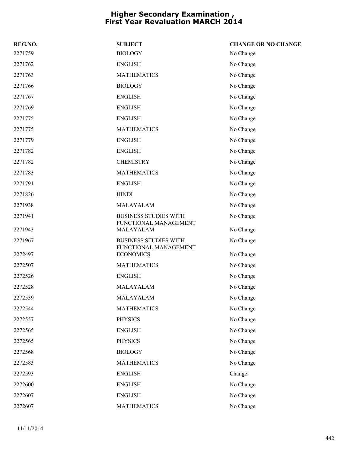| REG.NO. | <b>SUBJECT</b>                                        | <b>CHANGE OR NO CHANGE</b> |
|---------|-------------------------------------------------------|----------------------------|
| 2271759 | <b>BIOLOGY</b>                                        | No Change                  |
| 2271762 | <b>ENGLISH</b>                                        | No Change                  |
| 2271763 | <b>MATHEMATICS</b>                                    | No Change                  |
| 2271766 | <b>BIOLOGY</b>                                        | No Change                  |
| 2271767 | <b>ENGLISH</b>                                        | No Change                  |
| 2271769 | <b>ENGLISH</b>                                        | No Change                  |
| 2271775 | <b>ENGLISH</b>                                        | No Change                  |
| 2271775 | <b>MATHEMATICS</b>                                    | No Change                  |
| 2271779 | <b>ENGLISH</b>                                        | No Change                  |
| 2271782 | <b>ENGLISH</b>                                        | No Change                  |
| 2271782 | <b>CHEMISTRY</b>                                      | No Change                  |
| 2271783 | <b>MATHEMATICS</b>                                    | No Change                  |
| 2271791 | <b>ENGLISH</b>                                        | No Change                  |
| 2271826 | <b>HINDI</b>                                          | No Change                  |
| 2271938 | MALAYALAM                                             | No Change                  |
| 2271941 | <b>BUSINESS STUDIES WITH</b><br>FUNCTIONAL MANAGEMENT | No Change                  |
| 2271943 | MALAYALAM                                             | No Change                  |
| 2271967 | <b>BUSINESS STUDIES WITH</b><br>FUNCTIONAL MANAGEMENT | No Change                  |
| 2272497 | <b>ECONOMICS</b>                                      | No Change                  |
| 2272507 | <b>MATHEMATICS</b>                                    | No Change                  |
| 2272526 | <b>ENGLISH</b>                                        | No Change                  |
| 2272528 | MALAYALAM                                             | No Change                  |
| 2272539 | MALAYALAM                                             | No Change                  |
| 2272544 | <b>MATHEMATICS</b>                                    | No Change                  |
| 2272557 | <b>PHYSICS</b>                                        | No Change                  |
| 2272565 | <b>ENGLISH</b>                                        | No Change                  |
| 2272565 | <b>PHYSICS</b>                                        | No Change                  |
| 2272568 | <b>BIOLOGY</b>                                        | No Change                  |
| 2272583 | <b>MATHEMATICS</b>                                    | No Change                  |
| 2272593 | <b>ENGLISH</b>                                        | Change                     |
| 2272600 | <b>ENGLISH</b>                                        | No Change                  |
| 2272607 | <b>ENGLISH</b>                                        | No Change                  |
| 2272607 | <b>MATHEMATICS</b>                                    | No Change                  |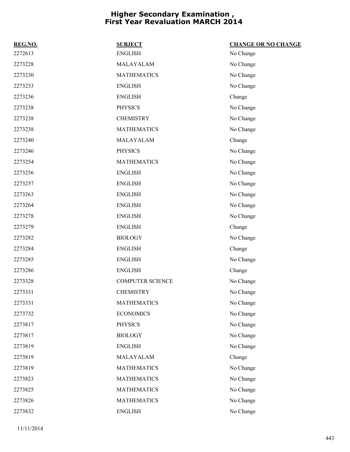| REG.NO. | <b>SUBJECT</b>          | <b>CHANGE OR NO CHANGE</b> |
|---------|-------------------------|----------------------------|
| 2272613 | <b>ENGLISH</b>          | No Change                  |
| 2273228 | MALAYALAM               | No Change                  |
| 2273230 | <b>MATHEMATICS</b>      | No Change                  |
| 2273233 | <b>ENGLISH</b>          | No Change                  |
| 2273236 | <b>ENGLISH</b>          | Change                     |
| 2273238 | <b>PHYSICS</b>          | No Change                  |
| 2273238 | <b>CHEMISTRY</b>        | No Change                  |
| 2273238 | <b>MATHEMATICS</b>      | No Change                  |
| 2273240 | MALAYALAM               | Change                     |
| 2273246 | <b>PHYSICS</b>          | No Change                  |
| 2273254 | <b>MATHEMATICS</b>      | No Change                  |
| 2273256 | <b>ENGLISH</b>          | No Change                  |
| 2273257 | <b>ENGLISH</b>          | No Change                  |
| 2273263 | <b>ENGLISH</b>          | No Change                  |
| 2273264 | <b>ENGLISH</b>          | No Change                  |
| 2273278 | <b>ENGLISH</b>          | No Change                  |
| 2273279 | <b>ENGLISH</b>          | Change                     |
| 2273282 | <b>BIOLOGY</b>          | No Change                  |
| 2273284 | <b>ENGLISH</b>          | Change                     |
| 2273285 | <b>ENGLISH</b>          | No Change                  |
| 2273286 | <b>ENGLISH</b>          | Change                     |
| 2273328 | <b>COMPUTER SCIENCE</b> | No Change                  |
| 2273331 | <b>CHEMISTRY</b>        | No Change                  |
| 2273331 | <b>MATHEMATICS</b>      | No Change                  |
| 2273732 | <b>ECONOMICS</b>        | No Change                  |
| 2273817 | <b>PHYSICS</b>          | No Change                  |
| 2273817 | <b>BIOLOGY</b>          | No Change                  |
| 2273819 | <b>ENGLISH</b>          | No Change                  |
| 2273819 | MALAYALAM               | Change                     |
| 2273819 | <b>MATHEMATICS</b>      | No Change                  |
| 2273823 | <b>MATHEMATICS</b>      | No Change                  |
| 2273825 | <b>MATHEMATICS</b>      | No Change                  |
| 2273826 | <b>MATHEMATICS</b>      | No Change                  |
| 2273832 | <b>ENGLISH</b>          | No Change                  |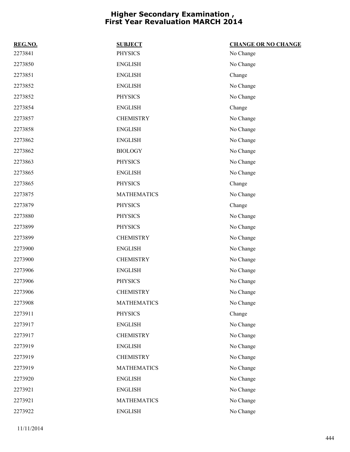| REG.NO. | <b>SUBJECT</b>     | <b>CHANGE OR NO CHANGE</b> |
|---------|--------------------|----------------------------|
| 2273841 | <b>PHYSICS</b>     | No Change                  |
| 2273850 | <b>ENGLISH</b>     | No Change                  |
| 2273851 | <b>ENGLISH</b>     | Change                     |
| 2273852 | <b>ENGLISH</b>     | No Change                  |
| 2273852 | <b>PHYSICS</b>     | No Change                  |
| 2273854 | <b>ENGLISH</b>     | Change                     |
| 2273857 | <b>CHEMISTRY</b>   | No Change                  |
| 2273858 | <b>ENGLISH</b>     | No Change                  |
| 2273862 | <b>ENGLISH</b>     | No Change                  |
| 2273862 | <b>BIOLOGY</b>     | No Change                  |
| 2273863 | <b>PHYSICS</b>     | No Change                  |
| 2273865 | <b>ENGLISH</b>     | No Change                  |
| 2273865 | <b>PHYSICS</b>     | Change                     |
| 2273875 | <b>MATHEMATICS</b> | No Change                  |
| 2273879 | <b>PHYSICS</b>     | Change                     |
| 2273880 | <b>PHYSICS</b>     | No Change                  |
| 2273899 | <b>PHYSICS</b>     | No Change                  |
| 2273899 | <b>CHEMISTRY</b>   | No Change                  |
| 2273900 | <b>ENGLISH</b>     | No Change                  |
| 2273900 | <b>CHEMISTRY</b>   | No Change                  |
| 2273906 | <b>ENGLISH</b>     | No Change                  |
| 2273906 | <b>PHYSICS</b>     | No Change                  |
| 2273906 | <b>CHEMISTRY</b>   | No Change                  |
| 2273908 | <b>MATHEMATICS</b> | No Change                  |
| 2273911 | <b>PHYSICS</b>     | Change                     |
| 2273917 | <b>ENGLISH</b>     | No Change                  |
| 2273917 | <b>CHEMISTRY</b>   | No Change                  |
| 2273919 | <b>ENGLISH</b>     | No Change                  |
| 2273919 | <b>CHEMISTRY</b>   | No Change                  |
| 2273919 | <b>MATHEMATICS</b> | No Change                  |
| 2273920 | <b>ENGLISH</b>     | No Change                  |
| 2273921 | <b>ENGLISH</b>     | No Change                  |
| 2273921 | <b>MATHEMATICS</b> | No Change                  |
| 2273922 | <b>ENGLISH</b>     | No Change                  |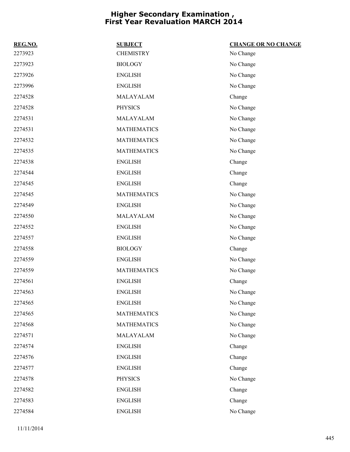| REG.NO. | <b>SUBJECT</b>     | <b>CHANGE OR NO CHANGE</b> |
|---------|--------------------|----------------------------|
| 2273923 | <b>CHEMISTRY</b>   | No Change                  |
| 2273923 | <b>BIOLOGY</b>     | No Change                  |
| 2273926 | <b>ENGLISH</b>     | No Change                  |
| 2273996 | <b>ENGLISH</b>     | No Change                  |
| 2274528 | MALAYALAM          | Change                     |
| 2274528 | <b>PHYSICS</b>     | No Change                  |
| 2274531 | MALAYALAM          | No Change                  |
| 2274531 | <b>MATHEMATICS</b> | No Change                  |
| 2274532 | <b>MATHEMATICS</b> | No Change                  |
| 2274535 | <b>MATHEMATICS</b> | No Change                  |
| 2274538 | <b>ENGLISH</b>     | Change                     |
| 2274544 | <b>ENGLISH</b>     | Change                     |
| 2274545 | <b>ENGLISH</b>     | Change                     |
| 2274545 | <b>MATHEMATICS</b> | No Change                  |
| 2274549 | <b>ENGLISH</b>     | No Change                  |
| 2274550 | MALAYALAM          | No Change                  |
| 2274552 | <b>ENGLISH</b>     | No Change                  |
| 2274557 | <b>ENGLISH</b>     | No Change                  |
| 2274558 | <b>BIOLOGY</b>     | Change                     |
| 2274559 | <b>ENGLISH</b>     | No Change                  |
| 2274559 | <b>MATHEMATICS</b> | No Change                  |
| 2274561 | <b>ENGLISH</b>     | Change                     |
| 2274563 | <b>ENGLISH</b>     | No Change                  |
| 2274565 | <b>ENGLISH</b>     | No Change                  |
| 2274565 | <b>MATHEMATICS</b> | No Change                  |
| 2274568 | <b>MATHEMATICS</b> | No Change                  |
| 2274571 | MALAYALAM          | No Change                  |
| 2274574 | <b>ENGLISH</b>     | Change                     |
| 2274576 | <b>ENGLISH</b>     | Change                     |
| 2274577 | <b>ENGLISH</b>     | Change                     |
| 2274578 | <b>PHYSICS</b>     | No Change                  |
| 2274582 | <b>ENGLISH</b>     | Change                     |
| 2274583 | <b>ENGLISH</b>     | Change                     |
| 2274584 | <b>ENGLISH</b>     | No Change                  |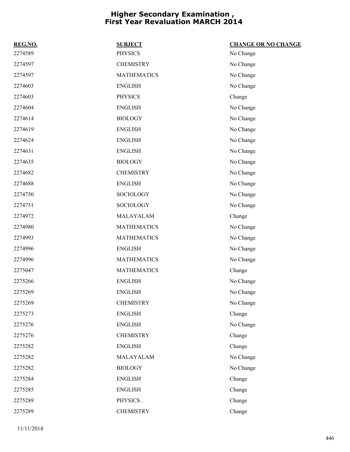| REG.NO. | <b>SUBJECT</b>     | <b>CHANGE OR NO CHANGE</b> |
|---------|--------------------|----------------------------|
| 2274589 | <b>PHYSICS</b>     | No Change                  |
| 2274597 | <b>CHEMISTRY</b>   | No Change                  |
| 2274597 | <b>MATHEMATICS</b> | No Change                  |
| 2274603 | <b>ENGLISH</b>     | No Change                  |
| 2274603 | <b>PHYSICS</b>     | Change                     |
| 2274604 | <b>ENGLISH</b>     | No Change                  |
| 2274614 | <b>BIOLOGY</b>     | No Change                  |
| 2274619 | <b>ENGLISH</b>     | No Change                  |
| 2274624 | <b>ENGLISH</b>     | No Change                  |
| 2274631 | <b>ENGLISH</b>     | No Change                  |
| 2274635 | <b>BIOLOGY</b>     | No Change                  |
| 2274682 | <b>CHEMISTRY</b>   | No Change                  |
| 2274688 | <b>ENGLISH</b>     | No Change                  |
| 2274750 | SOCIOLOGY          | No Change                  |
| 2274751 | SOCIOLOGY          | No Change                  |
| 2274972 | MALAYALAM          | Change                     |
| 2274980 | <b>MATHEMATICS</b> | No Change                  |
| 2274993 | <b>MATHEMATICS</b> | No Change                  |
| 2274996 | <b>ENGLISH</b>     | No Change                  |
| 2274996 | <b>MATHEMATICS</b> | No Change                  |
| 2275047 | <b>MATHEMATICS</b> | Change                     |
| 2275266 | <b>ENGLISH</b>     | No Change                  |
| 2275269 | <b>ENGLISH</b>     | No Change                  |
| 2275269 | <b>CHEMISTRY</b>   | No Change                  |
| 2275273 | <b>ENGLISH</b>     | Change                     |
| 2275276 | <b>ENGLISH</b>     | No Change                  |
| 2275276 | <b>CHEMISTRY</b>   | Change                     |
| 2275282 | <b>ENGLISH</b>     | Change                     |
| 2275282 | MALAYALAM          | No Change                  |
| 2275282 | <b>BIOLOGY</b>     | No Change                  |
| 2275284 | <b>ENGLISH</b>     | Change                     |
| 2275285 | <b>ENGLISH</b>     | Change                     |
| 2275289 | <b>PHYSICS</b>     | Change                     |
| 2275289 | <b>CHEMISTRY</b>   | Change                     |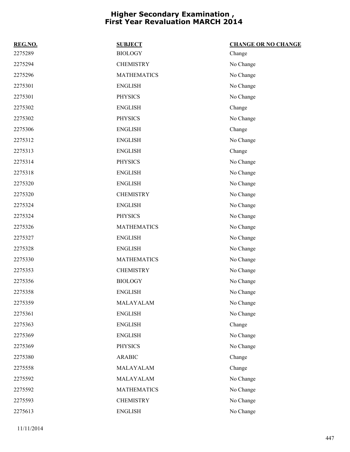| REG.NO. | <b>SUBJECT</b>     | <b>CHANGE OR NO CHANGE</b> |
|---------|--------------------|----------------------------|
| 2275289 | <b>BIOLOGY</b>     | Change                     |
| 2275294 | <b>CHEMISTRY</b>   | No Change                  |
| 2275296 | <b>MATHEMATICS</b> | No Change                  |
| 2275301 | <b>ENGLISH</b>     | No Change                  |
| 2275301 | <b>PHYSICS</b>     | No Change                  |
| 2275302 | <b>ENGLISH</b>     | Change                     |
| 2275302 | <b>PHYSICS</b>     | No Change                  |
| 2275306 | <b>ENGLISH</b>     | Change                     |
| 2275312 | <b>ENGLISH</b>     | No Change                  |
| 2275313 | <b>ENGLISH</b>     | Change                     |
| 2275314 | <b>PHYSICS</b>     | No Change                  |
| 2275318 | <b>ENGLISH</b>     | No Change                  |
| 2275320 | <b>ENGLISH</b>     | No Change                  |
| 2275320 | <b>CHEMISTRY</b>   | No Change                  |
| 2275324 | <b>ENGLISH</b>     | No Change                  |
| 2275324 | <b>PHYSICS</b>     | No Change                  |
| 2275326 | <b>MATHEMATICS</b> | No Change                  |
| 2275327 | <b>ENGLISH</b>     | No Change                  |
| 2275328 | <b>ENGLISH</b>     | No Change                  |
| 2275330 | <b>MATHEMATICS</b> | No Change                  |
| 2275353 | <b>CHEMISTRY</b>   | No Change                  |
| 2275356 | <b>BIOLOGY</b>     | No Change                  |
| 2275358 | ${\rm ENGLISH}$    | No Change                  |
| 2275359 | MALAYALAM          | No Change                  |
| 2275361 | <b>ENGLISH</b>     | No Change                  |
| 2275363 | <b>ENGLISH</b>     | Change                     |
| 2275369 | <b>ENGLISH</b>     | No Change                  |
| 2275369 | <b>PHYSICS</b>     | No Change                  |
| 2275380 | <b>ARABIC</b>      | Change                     |
| 2275558 | MALAYALAM          | Change                     |
| 2275592 | MALAYALAM          | No Change                  |
| 2275592 | <b>MATHEMATICS</b> | No Change                  |
| 2275593 | <b>CHEMISTRY</b>   | No Change                  |
| 2275613 | <b>ENGLISH</b>     | No Change                  |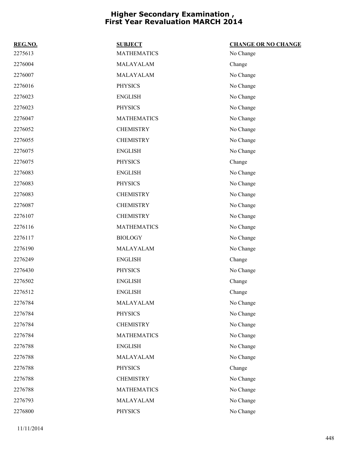| REG.NO. | <b>SUBJECT</b>     | <b>CHANGE OR NO CHANGE</b> |
|---------|--------------------|----------------------------|
| 2275613 | <b>MATHEMATICS</b> | No Change                  |
| 2276004 | MALAYALAM          | Change                     |
| 2276007 | MALAYALAM          | No Change                  |
| 2276016 | <b>PHYSICS</b>     | No Change                  |
| 2276023 | <b>ENGLISH</b>     | No Change                  |
| 2276023 | <b>PHYSICS</b>     | No Change                  |
| 2276047 | <b>MATHEMATICS</b> | No Change                  |
| 2276052 | <b>CHEMISTRY</b>   | No Change                  |
| 2276055 | <b>CHEMISTRY</b>   | No Change                  |
| 2276075 | <b>ENGLISH</b>     | No Change                  |
| 2276075 | <b>PHYSICS</b>     | Change                     |
| 2276083 | <b>ENGLISH</b>     | No Change                  |
| 2276083 | <b>PHYSICS</b>     | No Change                  |
| 2276083 | <b>CHEMISTRY</b>   | No Change                  |
| 2276087 | <b>CHEMISTRY</b>   | No Change                  |
| 2276107 | <b>CHEMISTRY</b>   | No Change                  |
| 2276116 | <b>MATHEMATICS</b> | No Change                  |
| 2276117 | <b>BIOLOGY</b>     | No Change                  |
| 2276190 | MALAYALAM          | No Change                  |
| 2276249 | <b>ENGLISH</b>     | Change                     |
| 2276430 | <b>PHYSICS</b>     | No Change                  |
| 2276502 | <b>ENGLISH</b>     | Change                     |
| 2276512 | <b>ENGLISH</b>     | Change                     |
| 2276784 | MALAYALAM          | No Change                  |
| 2276784 | <b>PHYSICS</b>     | No Change                  |
| 2276784 | <b>CHEMISTRY</b>   | No Change                  |
| 2276784 | <b>MATHEMATICS</b> | No Change                  |
| 2276788 | <b>ENGLISH</b>     | No Change                  |
| 2276788 | MALAYALAM          | No Change                  |
| 2276788 | <b>PHYSICS</b>     | Change                     |
| 2276788 | <b>CHEMISTRY</b>   | No Change                  |
| 2276788 | <b>MATHEMATICS</b> | No Change                  |
| 2276793 | MALAYALAM          | No Change                  |
| 2276800 | PHYSICS            | No Change                  |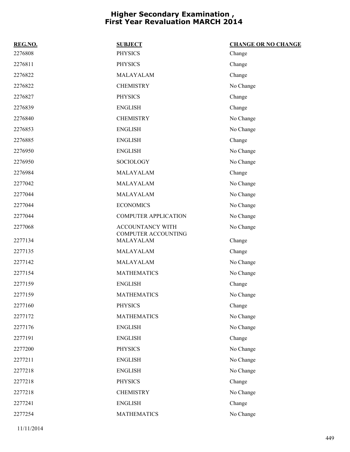| REG.NO. | <b>SUBJECT</b>                   | <b>CHANGE OR NO CHANGE</b> |
|---------|----------------------------------|----------------------------|
| 2276808 | <b>PHYSICS</b>                   | Change                     |
| 2276811 | <b>PHYSICS</b>                   | Change                     |
| 2276822 | MALAYALAM                        | Change                     |
| 2276822 | <b>CHEMISTRY</b>                 | No Change                  |
| 2276827 | <b>PHYSICS</b>                   | Change                     |
| 2276839 | <b>ENGLISH</b>                   | Change                     |
| 2276840 | <b>CHEMISTRY</b>                 | No Change                  |
| 2276853 | <b>ENGLISH</b>                   | No Change                  |
| 2276885 | <b>ENGLISH</b>                   | Change                     |
| 2276950 | <b>ENGLISH</b>                   | No Change                  |
| 2276950 | <b>SOCIOLOGY</b>                 | No Change                  |
| 2276984 | MALAYALAM                        | Change                     |
| 2277042 | MALAYALAM                        | No Change                  |
| 2277044 | MALAYALAM                        | No Change                  |
| 2277044 | <b>ECONOMICS</b>                 | No Change                  |
| 2277044 | <b>COMPUTER APPLICATION</b>      | No Change                  |
| 2277068 | ACCOUNTANCY WITH                 | No Change                  |
| 2277134 | COMPUTER ACCOUNTING<br>MALAYALAM | Change                     |
| 2277135 | MALAYALAM                        | Change                     |
| 2277142 | MALAYALAM                        | No Change                  |
| 2277154 | <b>MATHEMATICS</b>               | No Change                  |
| 2277159 | <b>ENGLISH</b>                   | Change                     |
| 2277159 | <b>MATHEMATICS</b>               | No Change                  |
| 2277160 | <b>PHYSICS</b>                   | Change                     |
| 2277172 | <b>MATHEMATICS</b>               | No Change                  |
| 2277176 | <b>ENGLISH</b>                   | No Change                  |
| 2277191 | <b>ENGLISH</b>                   | Change                     |
| 2277200 | <b>PHYSICS</b>                   | No Change                  |
| 2277211 | <b>ENGLISH</b>                   | No Change                  |
| 2277218 | <b>ENGLISH</b>                   | No Change                  |
| 2277218 | <b>PHYSICS</b>                   | Change                     |
| 2277218 | <b>CHEMISTRY</b>                 | No Change                  |
| 2277241 | <b>ENGLISH</b>                   | Change                     |
| 2277254 | <b>MATHEMATICS</b>               | No Change                  |
|         |                                  |                            |
|         |                                  |                            |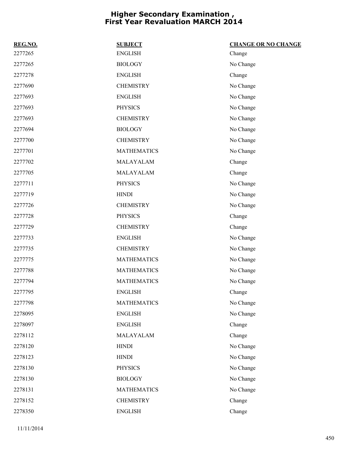| REG.NO. | <b>SUBJECT</b>     | <b>CHANGE OR NO CHANGE</b> |
|---------|--------------------|----------------------------|
| 2277265 | <b>ENGLISH</b>     | Change                     |
| 2277265 | <b>BIOLOGY</b>     | No Change                  |
| 2277278 | <b>ENGLISH</b>     | Change                     |
| 2277690 | <b>CHEMISTRY</b>   | No Change                  |
| 2277693 | <b>ENGLISH</b>     | No Change                  |
| 2277693 | <b>PHYSICS</b>     | No Change                  |
| 2277693 | <b>CHEMISTRY</b>   | No Change                  |
| 2277694 | <b>BIOLOGY</b>     | No Change                  |
| 2277700 | <b>CHEMISTRY</b>   | No Change                  |
| 2277701 | <b>MATHEMATICS</b> | No Change                  |
| 2277702 | MALAYALAM          | Change                     |
| 2277705 | MALAYALAM          | Change                     |
| 2277711 | <b>PHYSICS</b>     | No Change                  |
| 2277719 | <b>HINDI</b>       | No Change                  |
| 2277726 | <b>CHEMISTRY</b>   | No Change                  |
| 2277728 | <b>PHYSICS</b>     | Change                     |
| 2277729 | <b>CHEMISTRY</b>   | Change                     |
| 2277733 | <b>ENGLISH</b>     | No Change                  |
| 2277735 | <b>CHEMISTRY</b>   | No Change                  |
| 2277775 | <b>MATHEMATICS</b> | No Change                  |
| 2277788 | <b>MATHEMATICS</b> | No Change                  |
| 2277794 | <b>MATHEMATICS</b> | No Change                  |
| 2277795 | <b>ENGLISH</b>     | Change                     |
| 2277798 | <b>MATHEMATICS</b> | No Change                  |
| 2278095 | <b>ENGLISH</b>     | No Change                  |
| 2278097 | <b>ENGLISH</b>     | Change                     |
| 2278112 | MALAYALAM          | Change                     |
| 2278120 | <b>HINDI</b>       | No Change                  |
| 2278123 | <b>HINDI</b>       | No Change                  |
| 2278130 | <b>PHYSICS</b>     | No Change                  |
| 2278130 | <b>BIOLOGY</b>     | No Change                  |
| 2278131 | <b>MATHEMATICS</b> | No Change                  |
| 2278152 | <b>CHEMISTRY</b>   | Change                     |
| 2278350 | <b>ENGLISH</b>     | Change                     |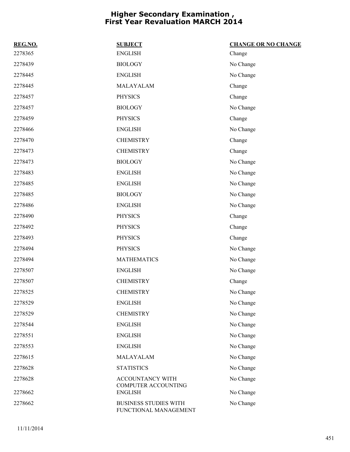| REG.NO. | <b>SUBJECT</b>                                        | <b>CHANGE OR NO CHANGE</b> |
|---------|-------------------------------------------------------|----------------------------|
| 2278365 | <b>ENGLISH</b>                                        | Change                     |
| 2278439 | <b>BIOLOGY</b>                                        | No Change                  |
| 2278445 | <b>ENGLISH</b>                                        | No Change                  |
| 2278445 | MALAYALAM                                             | Change                     |
| 2278457 | <b>PHYSICS</b>                                        | Change                     |
| 2278457 | <b>BIOLOGY</b>                                        | No Change                  |
| 2278459 | <b>PHYSICS</b>                                        | Change                     |
| 2278466 | <b>ENGLISH</b>                                        | No Change                  |
| 2278470 | <b>CHEMISTRY</b>                                      | Change                     |
| 2278473 | <b>CHEMISTRY</b>                                      | Change                     |
| 2278473 | <b>BIOLOGY</b>                                        | No Change                  |
| 2278483 | <b>ENGLISH</b>                                        | No Change                  |
| 2278485 | <b>ENGLISH</b>                                        | No Change                  |
| 2278485 | <b>BIOLOGY</b>                                        | No Change                  |
| 2278486 | <b>ENGLISH</b>                                        | No Change                  |
| 2278490 | <b>PHYSICS</b>                                        | Change                     |
| 2278492 | <b>PHYSICS</b>                                        | Change                     |
| 2278493 | <b>PHYSICS</b>                                        | Change                     |
| 2278494 | <b>PHYSICS</b>                                        | No Change                  |
| 2278494 | <b>MATHEMATICS</b>                                    | No Change                  |
| 2278507 | <b>ENGLISH</b>                                        | No Change                  |
| 2278507 | <b>CHEMISTRY</b>                                      | Change                     |
| 2278525 | <b>CHEMISTRY</b>                                      | No Change                  |
| 2278529 | <b>ENGLISH</b>                                        | No Change                  |
| 2278529 | <b>CHEMISTRY</b>                                      | No Change                  |
| 2278544 | <b>ENGLISH</b>                                        | No Change                  |
| 2278551 | <b>ENGLISH</b>                                        | No Change                  |
| 2278553 | <b>ENGLISH</b>                                        | No Change                  |
| 2278615 | MALAYALAM                                             | No Change                  |
| 2278628 | <b>STATISTICS</b>                                     | No Change                  |
| 2278628 | ACCOUNTANCY WITH<br>COMPUTER ACCOUNTING               | No Change                  |
| 2278662 | <b>ENGLISH</b>                                        | No Change                  |
| 2278662 | <b>BUSINESS STUDIES WITH</b><br>FUNCTIONAL MANAGEMENT | No Change                  |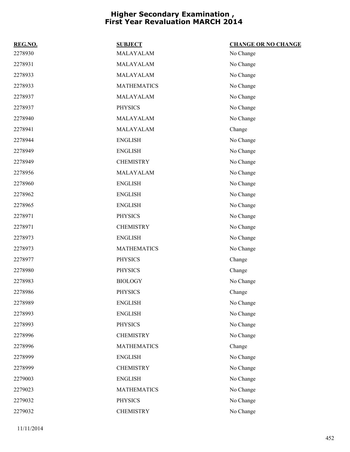| REG.NO. | <b>SUBJECT</b>     | <b>CHANGE OR NO CHANGE</b> |
|---------|--------------------|----------------------------|
| 2278930 | MALAYALAM          | No Change                  |
| 2278931 | MALAYALAM          | No Change                  |
| 2278933 | MALAYALAM          | No Change                  |
| 2278933 | <b>MATHEMATICS</b> | No Change                  |
| 2278937 | MALAYALAM          | No Change                  |
| 2278937 | <b>PHYSICS</b>     | No Change                  |
| 2278940 | MALAYALAM          | No Change                  |
| 2278941 | MALAYALAM          | Change                     |
| 2278944 | <b>ENGLISH</b>     | No Change                  |
| 2278949 | <b>ENGLISH</b>     | No Change                  |
| 2278949 | <b>CHEMISTRY</b>   | No Change                  |
| 2278956 | MALAYALAM          | No Change                  |
| 2278960 | <b>ENGLISH</b>     | No Change                  |
| 2278962 | <b>ENGLISH</b>     | No Change                  |
| 2278965 | <b>ENGLISH</b>     | No Change                  |
| 2278971 | <b>PHYSICS</b>     | No Change                  |
| 2278971 | <b>CHEMISTRY</b>   | No Change                  |
| 2278973 | <b>ENGLISH</b>     | No Change                  |
| 2278973 | <b>MATHEMATICS</b> | No Change                  |
| 2278977 | <b>PHYSICS</b>     | Change                     |
| 2278980 | <b>PHYSICS</b>     | Change                     |
| 2278983 | <b>BIOLOGY</b>     | No Change                  |
| 2278986 | <b>PHYSICS</b>     | Change                     |
| 2278989 | <b>ENGLISH</b>     | No Change                  |
| 2278993 | <b>ENGLISH</b>     | No Change                  |
| 2278993 | <b>PHYSICS</b>     | No Change                  |
| 2278996 | <b>CHEMISTRY</b>   | No Change                  |
| 2278996 | <b>MATHEMATICS</b> | Change                     |
| 2278999 | <b>ENGLISH</b>     | No Change                  |
| 2278999 | <b>CHEMISTRY</b>   | No Change                  |
| 2279003 | <b>ENGLISH</b>     | No Change                  |
| 2279023 | <b>MATHEMATICS</b> | No Change                  |
| 2279032 | <b>PHYSICS</b>     | No Change                  |
| 2279032 | <b>CHEMISTRY</b>   | No Change                  |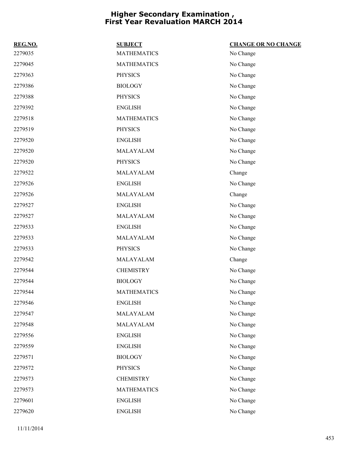| REG.NO. | <b>SUBJECT</b>     | <b>CHANGE OR NO CHANGE</b> |
|---------|--------------------|----------------------------|
| 2279035 | <b>MATHEMATICS</b> | No Change                  |
| 2279045 | <b>MATHEMATICS</b> | No Change                  |
| 2279363 | <b>PHYSICS</b>     | No Change                  |
| 2279386 | <b>BIOLOGY</b>     | No Change                  |
| 2279388 | <b>PHYSICS</b>     | No Change                  |
| 2279392 | <b>ENGLISH</b>     | No Change                  |
| 2279518 | <b>MATHEMATICS</b> | No Change                  |
| 2279519 | <b>PHYSICS</b>     | No Change                  |
| 2279520 | <b>ENGLISH</b>     | No Change                  |
| 2279520 | MALAYALAM          | No Change                  |
| 2279520 | <b>PHYSICS</b>     | No Change                  |
| 2279522 | MALAYALAM          | Change                     |
| 2279526 | <b>ENGLISH</b>     | No Change                  |
| 2279526 | MALAYALAM          | Change                     |
| 2279527 | <b>ENGLISH</b>     | No Change                  |
| 2279527 | MALAYALAM          | No Change                  |
| 2279533 | <b>ENGLISH</b>     | No Change                  |
| 2279533 | MALAYALAM          | No Change                  |
| 2279533 | <b>PHYSICS</b>     | No Change                  |
| 2279542 | MALAYALAM          | Change                     |
| 2279544 | <b>CHEMISTRY</b>   | No Change                  |
| 2279544 | <b>BIOLOGY</b>     | No Change                  |
| 2279544 | <b>MATHEMATICS</b> | No Change                  |
| 2279546 | <b>ENGLISH</b>     | No Change                  |
| 2279547 | MALAYALAM          | No Change                  |
| 2279548 | MALAYALAM          | No Change                  |
| 2279556 | <b>ENGLISH</b>     | No Change                  |
| 2279559 | <b>ENGLISH</b>     | No Change                  |
| 2279571 | <b>BIOLOGY</b>     | No Change                  |
| 2279572 | <b>PHYSICS</b>     | No Change                  |
| 2279573 | <b>CHEMISTRY</b>   | No Change                  |
| 2279573 | <b>MATHEMATICS</b> | No Change                  |
| 2279601 | <b>ENGLISH</b>     | No Change                  |
| 2279620 | <b>ENGLISH</b>     | No Change                  |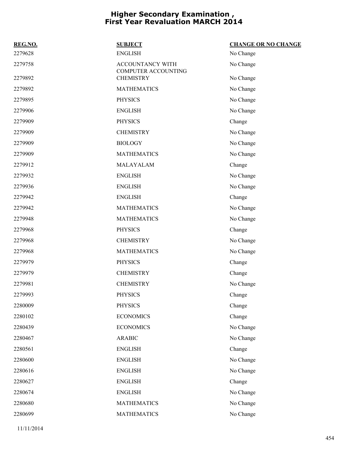| REG.NO. | <b>SUBJECT</b>                          | <b>CHANGE OR NO CHANGE</b> |
|---------|-----------------------------------------|----------------------------|
| 2279628 | <b>ENGLISH</b>                          | No Change                  |
| 2279758 | ACCOUNTANCY WITH<br>COMPUTER ACCOUNTING | No Change                  |
| 2279892 | <b>CHEMISTRY</b>                        | No Change                  |
| 2279892 | <b>MATHEMATICS</b>                      | No Change                  |
| 2279895 | <b>PHYSICS</b>                          | No Change                  |
| 2279906 | <b>ENGLISH</b>                          | No Change                  |
| 2279909 | <b>PHYSICS</b>                          | Change                     |
| 2279909 | <b>CHEMISTRY</b>                        | No Change                  |
| 2279909 | <b>BIOLOGY</b>                          | No Change                  |
| 2279909 | <b>MATHEMATICS</b>                      | No Change                  |
| 2279912 | MALAYALAM                               | Change                     |
| 2279932 | <b>ENGLISH</b>                          | No Change                  |
| 2279936 | <b>ENGLISH</b>                          | No Change                  |
| 2279942 | <b>ENGLISH</b>                          | Change                     |
| 2279942 | <b>MATHEMATICS</b>                      | No Change                  |
| 2279948 | <b>MATHEMATICS</b>                      | No Change                  |
| 2279968 | <b>PHYSICS</b>                          | Change                     |
| 2279968 | <b>CHEMISTRY</b>                        | No Change                  |
| 2279968 | <b>MATHEMATICS</b>                      | No Change                  |
| 2279979 | <b>PHYSICS</b>                          | Change                     |
| 2279979 | <b>CHEMISTRY</b>                        | Change                     |
| 2279981 | <b>CHEMISTRY</b>                        | No Change                  |
| 2279993 | <b>PHYSICS</b>                          | Change                     |
| 2280009 | <b>PHYSICS</b>                          | Change                     |
| 2280102 | <b>ECONOMICS</b>                        | Change                     |
| 2280439 | <b>ECONOMICS</b>                        | No Change                  |
| 2280467 | <b>ARABIC</b>                           | No Change                  |
| 2280561 | <b>ENGLISH</b>                          | Change                     |
| 2280600 | <b>ENGLISH</b>                          | No Change                  |
| 2280616 | <b>ENGLISH</b>                          | No Change                  |
| 2280627 | <b>ENGLISH</b>                          | Change                     |
| 2280674 | <b>ENGLISH</b>                          | No Change                  |
| 2280680 | <b>MATHEMATICS</b>                      | No Change                  |
| 2280699 | <b>MATHEMATICS</b>                      | No Change                  |

11/11/2014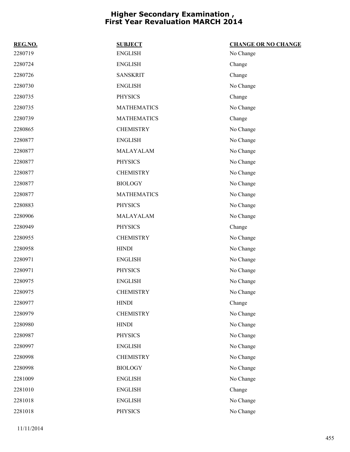| REG.NO. | <b>SUBJECT</b>     | <b>CHANGE OR NO CHANGE</b> |
|---------|--------------------|----------------------------|
| 2280719 | <b>ENGLISH</b>     | No Change                  |
| 2280724 | <b>ENGLISH</b>     | Change                     |
| 2280726 | <b>SANSKRIT</b>    | Change                     |
| 2280730 | <b>ENGLISH</b>     | No Change                  |
| 2280735 | <b>PHYSICS</b>     | Change                     |
| 2280735 | <b>MATHEMATICS</b> | No Change                  |
| 2280739 | <b>MATHEMATICS</b> | Change                     |
| 2280865 | <b>CHEMISTRY</b>   | No Change                  |
| 2280877 | <b>ENGLISH</b>     | No Change                  |
| 2280877 | MALAYALAM          | No Change                  |
| 2280877 | <b>PHYSICS</b>     | No Change                  |
| 2280877 | <b>CHEMISTRY</b>   | No Change                  |
| 2280877 | <b>BIOLOGY</b>     | No Change                  |
| 2280877 | <b>MATHEMATICS</b> | No Change                  |
| 2280883 | <b>PHYSICS</b>     | No Change                  |
| 2280906 | MALAYALAM          | No Change                  |
| 2280949 | <b>PHYSICS</b>     | Change                     |
| 2280955 | <b>CHEMISTRY</b>   | No Change                  |
| 2280958 | <b>HINDI</b>       | No Change                  |
| 2280971 | <b>ENGLISH</b>     | No Change                  |
| 2280971 | <b>PHYSICS</b>     | No Change                  |
| 2280975 | <b>ENGLISH</b>     | No Change                  |
| 2280975 | <b>CHEMISTRY</b>   | No Change                  |
| 2280977 | <b>HINDI</b>       | Change                     |
| 2280979 | <b>CHEMISTRY</b>   | No Change                  |
| 2280980 | <b>HINDI</b>       | No Change                  |
| 2280987 | <b>PHYSICS</b>     | No Change                  |
| 2280997 | <b>ENGLISH</b>     | No Change                  |
| 2280998 | <b>CHEMISTRY</b>   | No Change                  |
| 2280998 | <b>BIOLOGY</b>     | No Change                  |
| 2281009 | <b>ENGLISH</b>     | No Change                  |
| 2281010 | <b>ENGLISH</b>     | Change                     |
| 2281018 | <b>ENGLISH</b>     | No Change                  |
| 2281018 | <b>PHYSICS</b>     | No Change                  |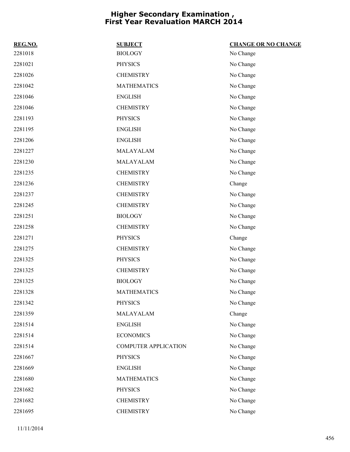| REG.NO. | <b>SUBJECT</b>              | <b>CHANGE OR NO CHANGE</b> |
|---------|-----------------------------|----------------------------|
| 2281018 | <b>BIOLOGY</b>              | No Change                  |
| 2281021 | <b>PHYSICS</b>              | No Change                  |
| 2281026 | <b>CHEMISTRY</b>            | No Change                  |
| 2281042 | <b>MATHEMATICS</b>          | No Change                  |
| 2281046 | <b>ENGLISH</b>              | No Change                  |
| 2281046 | <b>CHEMISTRY</b>            | No Change                  |
| 2281193 | <b>PHYSICS</b>              | No Change                  |
| 2281195 | <b>ENGLISH</b>              | No Change                  |
| 2281206 | <b>ENGLISH</b>              | No Change                  |
| 2281227 | MALAYALAM                   | No Change                  |
| 2281230 | MALAYALAM                   | No Change                  |
| 2281235 | <b>CHEMISTRY</b>            | No Change                  |
| 2281236 | <b>CHEMISTRY</b>            | Change                     |
| 2281237 | <b>CHEMISTRY</b>            | No Change                  |
| 2281245 | <b>CHEMISTRY</b>            | No Change                  |
| 2281251 | <b>BIOLOGY</b>              | No Change                  |
| 2281258 | <b>CHEMISTRY</b>            | No Change                  |
| 2281271 | <b>PHYSICS</b>              | Change                     |
| 2281275 | <b>CHEMISTRY</b>            | No Change                  |
| 2281325 | <b>PHYSICS</b>              | No Change                  |
| 2281325 | <b>CHEMISTRY</b>            | No Change                  |
| 2281325 | <b>BIOLOGY</b>              | No Change                  |
| 2281328 | <b>MATHEMATICS</b>          | No Change                  |
| 2281342 | <b>PHYSICS</b>              | No Change                  |
| 2281359 | MALAYALAM                   | Change                     |
| 2281514 | <b>ENGLISH</b>              | No Change                  |
| 2281514 | <b>ECONOMICS</b>            | No Change                  |
| 2281514 | <b>COMPUTER APPLICATION</b> | No Change                  |
| 2281667 | <b>PHYSICS</b>              | No Change                  |
| 2281669 | <b>ENGLISH</b>              | No Change                  |
| 2281680 | <b>MATHEMATICS</b>          | No Change                  |
| 2281682 | <b>PHYSICS</b>              | No Change                  |
| 2281682 | <b>CHEMISTRY</b>            | No Change                  |
| 2281695 | <b>CHEMISTRY</b>            | No Change                  |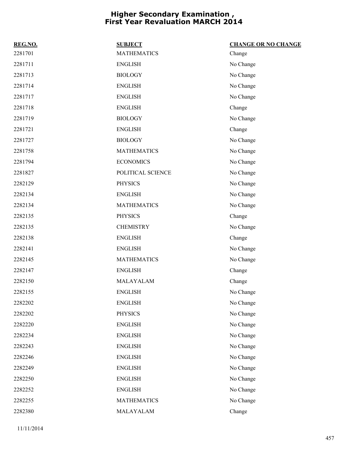| REG.NO. | <b>SUBJECT</b>     | <b>CHANGE OR NO CHANGE</b> |
|---------|--------------------|----------------------------|
| 2281701 | <b>MATHEMATICS</b> | Change                     |
| 2281711 | <b>ENGLISH</b>     | No Change                  |
| 2281713 | <b>BIOLOGY</b>     | No Change                  |
| 2281714 | <b>ENGLISH</b>     | No Change                  |
| 2281717 | <b>ENGLISH</b>     | No Change                  |
| 2281718 | <b>ENGLISH</b>     | Change                     |
| 2281719 | <b>BIOLOGY</b>     | No Change                  |
| 2281721 | <b>ENGLISH</b>     | Change                     |
| 2281727 | <b>BIOLOGY</b>     | No Change                  |
| 2281758 | <b>MATHEMATICS</b> | No Change                  |
| 2281794 | <b>ECONOMICS</b>   | No Change                  |
| 2281827 | POLITICAL SCIENCE  | No Change                  |
| 2282129 | <b>PHYSICS</b>     | No Change                  |
| 2282134 | <b>ENGLISH</b>     | No Change                  |
| 2282134 | <b>MATHEMATICS</b> | No Change                  |
| 2282135 | <b>PHYSICS</b>     | Change                     |
| 2282135 | <b>CHEMISTRY</b>   | No Change                  |
| 2282138 | <b>ENGLISH</b>     | Change                     |
| 2282141 | <b>ENGLISH</b>     | No Change                  |
| 2282145 | <b>MATHEMATICS</b> | No Change                  |
| 2282147 | <b>ENGLISH</b>     | Change                     |
| 2282150 | MALAYALAM          | Change                     |
| 2282155 | <b>ENGLISH</b>     | No Change                  |
| 2282202 | <b>ENGLISH</b>     | No Change                  |
| 2282202 | <b>PHYSICS</b>     | No Change                  |
| 2282220 | <b>ENGLISH</b>     | No Change                  |
| 2282234 | <b>ENGLISH</b>     | No Change                  |
| 2282243 | <b>ENGLISH</b>     | No Change                  |
| 2282246 | <b>ENGLISH</b>     | No Change                  |
| 2282249 | <b>ENGLISH</b>     | No Change                  |
| 2282250 | <b>ENGLISH</b>     | No Change                  |
| 2282252 | <b>ENGLISH</b>     | No Change                  |
| 2282255 | <b>MATHEMATICS</b> | No Change                  |
| 2282380 | MALAYALAM          | Change                     |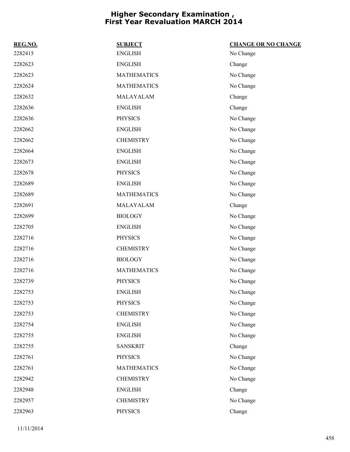| REG.NO. | <b>SUBJECT</b>     | <b>CHANGE OR NO CHANGE</b> |
|---------|--------------------|----------------------------|
| 2282415 | <b>ENGLISH</b>     | No Change                  |
| 2282623 | <b>ENGLISH</b>     | Change                     |
| 2282623 | <b>MATHEMATICS</b> | No Change                  |
| 2282624 | <b>MATHEMATICS</b> | No Change                  |
| 2282632 | MALAYALAM          | Change                     |
| 2282636 | <b>ENGLISH</b>     | Change                     |
| 2282636 | <b>PHYSICS</b>     | No Change                  |
| 2282662 | <b>ENGLISH</b>     | No Change                  |
| 2282662 | <b>CHEMISTRY</b>   | No Change                  |
| 2282664 | <b>ENGLISH</b>     | No Change                  |
| 2282673 | <b>ENGLISH</b>     | No Change                  |
| 2282678 | <b>PHYSICS</b>     | No Change                  |
| 2282689 | <b>ENGLISH</b>     | No Change                  |
| 2282689 | <b>MATHEMATICS</b> | No Change                  |
| 2282691 | MALAYALAM          | Change                     |
| 2282699 | <b>BIOLOGY</b>     | No Change                  |
| 2282705 | <b>ENGLISH</b>     | No Change                  |
| 2282716 | <b>PHYSICS</b>     | No Change                  |
| 2282716 | <b>CHEMISTRY</b>   | No Change                  |
| 2282716 | <b>BIOLOGY</b>     | No Change                  |
| 2282716 | <b>MATHEMATICS</b> | No Change                  |
| 2282739 | <b>PHYSICS</b>     | No Change                  |
| 2282753 | <b>ENGLISH</b>     | No Change                  |
| 2282753 | <b>PHYSICS</b>     | No Change                  |
| 2282753 | <b>CHEMISTRY</b>   | No Change                  |
| 2282754 | <b>ENGLISH</b>     | No Change                  |
| 2282755 | <b>ENGLISH</b>     | No Change                  |
| 2282755 | <b>SANSKRIT</b>    | Change                     |
| 2282761 | <b>PHYSICS</b>     | No Change                  |
| 2282761 | <b>MATHEMATICS</b> | No Change                  |
| 2282942 | <b>CHEMISTRY</b>   | No Change                  |
| 2282948 | <b>ENGLISH</b>     | Change                     |
| 2282957 | <b>CHEMISTRY</b>   | No Change                  |
| 2282963 | <b>PHYSICS</b>     | Change                     |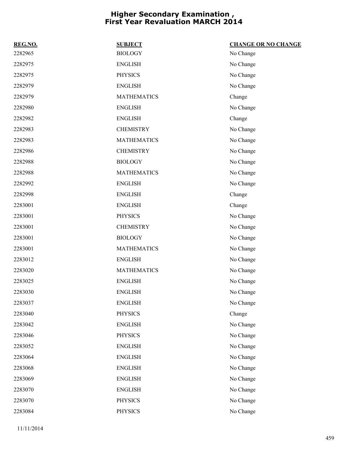| REG.NO. | <b>SUBJECT</b>     | <b>CHANGE OR NO CHANGE</b> |
|---------|--------------------|----------------------------|
| 2282965 | <b>BIOLOGY</b>     | No Change                  |
| 2282975 | <b>ENGLISH</b>     | No Change                  |
| 2282975 | <b>PHYSICS</b>     | No Change                  |
| 2282979 | <b>ENGLISH</b>     | No Change                  |
| 2282979 | <b>MATHEMATICS</b> | Change                     |
| 2282980 | <b>ENGLISH</b>     | No Change                  |
| 2282982 | <b>ENGLISH</b>     | Change                     |
| 2282983 | <b>CHEMISTRY</b>   | No Change                  |
| 2282983 | <b>MATHEMATICS</b> | No Change                  |
| 2282986 | <b>CHEMISTRY</b>   | No Change                  |
| 2282988 | <b>BIOLOGY</b>     | No Change                  |
| 2282988 | <b>MATHEMATICS</b> | No Change                  |
| 2282992 | <b>ENGLISH</b>     | No Change                  |
| 2282998 | <b>ENGLISH</b>     | Change                     |
| 2283001 | <b>ENGLISH</b>     | Change                     |
| 2283001 | <b>PHYSICS</b>     | No Change                  |
| 2283001 | <b>CHEMISTRY</b>   | No Change                  |
| 2283001 | <b>BIOLOGY</b>     | No Change                  |
| 2283001 | <b>MATHEMATICS</b> | No Change                  |
| 2283012 | <b>ENGLISH</b>     | No Change                  |
| 2283020 | <b>MATHEMATICS</b> | No Change                  |
| 2283025 | <b>ENGLISH</b>     | No Change                  |
| 2283030 | <b>ENGLISH</b>     | No Change                  |
| 2283037 | <b>ENGLISH</b>     | No Change                  |
| 2283040 | <b>PHYSICS</b>     | Change                     |
| 2283042 | <b>ENGLISH</b>     | No Change                  |
| 2283046 | <b>PHYSICS</b>     | No Change                  |
| 2283052 | <b>ENGLISH</b>     | No Change                  |
| 2283064 | <b>ENGLISH</b>     | No Change                  |
| 2283068 | <b>ENGLISH</b>     | No Change                  |
| 2283069 | <b>ENGLISH</b>     | No Change                  |
| 2283070 | <b>ENGLISH</b>     | No Change                  |
| 2283070 | <b>PHYSICS</b>     | No Change                  |
| 2283084 | <b>PHYSICS</b>     | No Change                  |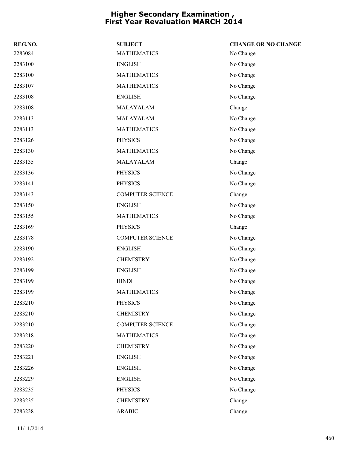| REG.NO. | <b>SUBJECT</b>          | <b>CHANGE OR NO CHANGE</b> |
|---------|-------------------------|----------------------------|
| 2283084 | <b>MATHEMATICS</b>      | No Change                  |
| 2283100 | <b>ENGLISH</b>          | No Change                  |
| 2283100 | <b>MATHEMATICS</b>      | No Change                  |
| 2283107 | <b>MATHEMATICS</b>      | No Change                  |
| 2283108 | <b>ENGLISH</b>          | No Change                  |
| 2283108 | MALAYALAM               | Change                     |
| 2283113 | MALAYALAM               | No Change                  |
| 2283113 | <b>MATHEMATICS</b>      | No Change                  |
| 2283126 | <b>PHYSICS</b>          | No Change                  |
| 2283130 | <b>MATHEMATICS</b>      | No Change                  |
| 2283135 | MALAYALAM               | Change                     |
| 2283136 | <b>PHYSICS</b>          | No Change                  |
| 2283141 | <b>PHYSICS</b>          | No Change                  |
| 2283143 | <b>COMPUTER SCIENCE</b> | Change                     |
| 2283150 | <b>ENGLISH</b>          | No Change                  |
| 2283155 | <b>MATHEMATICS</b>      | No Change                  |
| 2283169 | <b>PHYSICS</b>          | Change                     |
| 2283178 | <b>COMPUTER SCIENCE</b> | No Change                  |
| 2283190 | <b>ENGLISH</b>          | No Change                  |
| 2283192 | <b>CHEMISTRY</b>        | No Change                  |
| 2283199 | <b>ENGLISH</b>          | No Change                  |
| 2283199 | <b>HINDI</b>            | No Change                  |
| 2283199 | <b>MATHEMATICS</b>      | No Change                  |
| 2283210 | <b>PHYSICS</b>          | No Change                  |
| 2283210 | <b>CHEMISTRY</b>        | No Change                  |
| 2283210 | <b>COMPUTER SCIENCE</b> | No Change                  |
| 2283218 | <b>MATHEMATICS</b>      | No Change                  |
| 2283220 | <b>CHEMISTRY</b>        | No Change                  |
| 2283221 | <b>ENGLISH</b>          | No Change                  |
| 2283226 | <b>ENGLISH</b>          | No Change                  |
| 2283229 | <b>ENGLISH</b>          | No Change                  |
| 2283235 | <b>PHYSICS</b>          | No Change                  |
| 2283235 | <b>CHEMISTRY</b>        | Change                     |
| 2283238 | $\operatorname{ARABIC}$ | Change                     |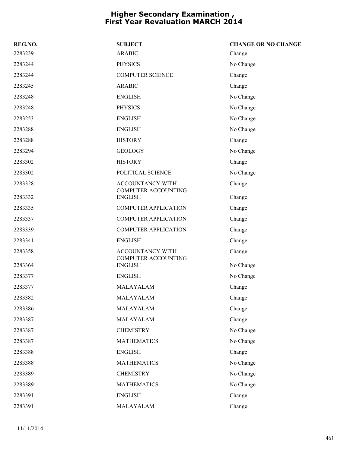| REG.NO. | <b>SUBJECT</b>                                        | <b>CHANGE OR NO CHANGE</b> |
|---------|-------------------------------------------------------|----------------------------|
| 2283239 | <b>ARABIC</b>                                         | Change                     |
| 2283244 | <b>PHYSICS</b>                                        | No Change                  |
| 2283244 | <b>COMPUTER SCIENCE</b>                               | Change                     |
| 2283245 | <b>ARABIC</b>                                         | Change                     |
| 2283248 | <b>ENGLISH</b>                                        | No Change                  |
| 2283248 | <b>PHYSICS</b>                                        | No Change                  |
| 2283253 | <b>ENGLISH</b>                                        | No Change                  |
| 2283288 | <b>ENGLISH</b>                                        | No Change                  |
| 2283288 | <b>HISTORY</b>                                        | Change                     |
| 2283294 | <b>GEOLOGY</b>                                        | No Change                  |
| 2283302 | <b>HISTORY</b>                                        | Change                     |
| 2283302 | POLITICAL SCIENCE                                     | No Change                  |
| 2283328 | <b>ACCOUNTANCY WITH</b><br><b>COMPUTER ACCOUNTING</b> | Change                     |
| 2283332 | <b>ENGLISH</b>                                        | Change                     |
| 2283335 | <b>COMPUTER APPLICATION</b>                           | Change                     |
| 2283337 | <b>COMPUTER APPLICATION</b>                           | Change                     |
| 2283339 | <b>COMPUTER APPLICATION</b>                           | Change                     |
| 2283341 | <b>ENGLISH</b>                                        | Change                     |
| 2283358 | ACCOUNTANCY WITH<br><b>COMPUTER ACCOUNTING</b>        | Change                     |
| 2283364 | <b>ENGLISH</b>                                        | No Change                  |
| 2283377 | <b>ENGLISH</b>                                        | No Change                  |
| 2283377 | MALAYALAM                                             | Change                     |
| 2283382 | MALAYALAM                                             | Change                     |
| 2283386 | MALAYALAM                                             | Change                     |
| 2283387 | MALAYALAM                                             | Change                     |
| 2283387 | <b>CHEMISTRY</b>                                      | No Change                  |
| 2283387 | <b>MATHEMATICS</b>                                    | No Change                  |
| 2283388 | <b>ENGLISH</b>                                        | Change                     |
| 2283388 | <b>MATHEMATICS</b>                                    | No Change                  |
| 2283389 | <b>CHEMISTRY</b>                                      | No Change                  |
| 2283389 | <b>MATHEMATICS</b>                                    | No Change                  |
| 2283391 | <b>ENGLISH</b>                                        | Change                     |
| 2283391 | MALAYALAM                                             | Change                     |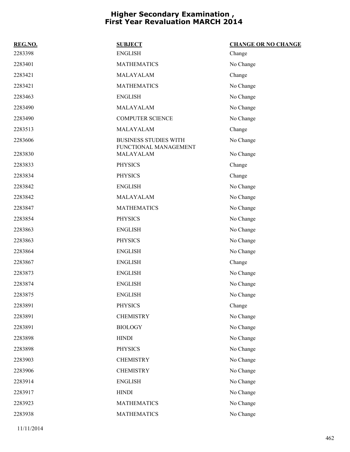| REG.NO. | <b>SUBJECT</b>                                        | <b>CHANGE OR NO CHANGE</b> |
|---------|-------------------------------------------------------|----------------------------|
| 2283398 | <b>ENGLISH</b>                                        | Change                     |
| 2283401 | <b>MATHEMATICS</b>                                    | No Change                  |
| 2283421 | MALAYALAM                                             | Change                     |
| 2283421 | <b>MATHEMATICS</b>                                    | No Change                  |
| 2283463 | <b>ENGLISH</b>                                        | No Change                  |
| 2283490 | MALAYALAM                                             | No Change                  |
| 2283490 | <b>COMPUTER SCIENCE</b>                               | No Change                  |
| 2283513 | MALAYALAM                                             | Change                     |
| 2283606 | <b>BUSINESS STUDIES WITH</b><br>FUNCTIONAL MANAGEMENT | No Change                  |
| 2283830 | MALAYALAM                                             | No Change                  |
| 2283833 | <b>PHYSICS</b>                                        | Change                     |
| 2283834 | <b>PHYSICS</b>                                        | Change                     |
| 2283842 | <b>ENGLISH</b>                                        | No Change                  |
| 2283842 | MALAYALAM                                             | No Change                  |
| 2283847 | <b>MATHEMATICS</b>                                    | No Change                  |
| 2283854 | <b>PHYSICS</b>                                        | No Change                  |
| 2283863 | <b>ENGLISH</b>                                        | No Change                  |
| 2283863 | <b>PHYSICS</b>                                        | No Change                  |
| 2283864 | <b>ENGLISH</b>                                        | No Change                  |
| 2283867 | <b>ENGLISH</b>                                        | Change                     |
| 2283873 | <b>ENGLISH</b>                                        | No Change                  |
| 2283874 | <b>ENGLISH</b>                                        | No Change                  |
| 2283875 | <b>ENGLISH</b>                                        | No Change                  |
| 2283891 | PHYSICS                                               | Change                     |
| 2283891 | <b>CHEMISTRY</b>                                      | No Change                  |
| 2283891 | <b>BIOLOGY</b>                                        | No Change                  |
| 2283898 | <b>HINDI</b>                                          | No Change                  |
| 2283898 | <b>PHYSICS</b>                                        | No Change                  |
| 2283903 | <b>CHEMISTRY</b>                                      | No Change                  |
| 2283906 | <b>CHEMISTRY</b>                                      | No Change                  |
| 2283914 | <b>ENGLISH</b>                                        | No Change                  |
| 2283917 | <b>HINDI</b>                                          | No Change                  |
| 2283923 | <b>MATHEMATICS</b>                                    | No Change                  |
| 2283938 | <b>MATHEMATICS</b>                                    | No Change                  |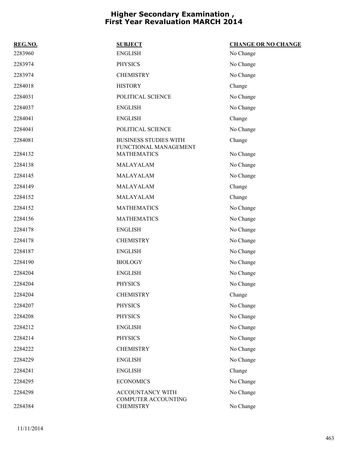| REG.NO. | <b>SUBJECT</b>                                        | <b>CHANGE OR NO CHANGE</b> |
|---------|-------------------------------------------------------|----------------------------|
| 2283960 | <b>ENGLISH</b>                                        | No Change                  |
| 2283974 | <b>PHYSICS</b>                                        | No Change                  |
| 2283974 | <b>CHEMISTRY</b>                                      | No Change                  |
| 2284018 | <b>HISTORY</b>                                        | Change                     |
| 2284031 | POLITICAL SCIENCE                                     | No Change                  |
| 2284037 | <b>ENGLISH</b>                                        | No Change                  |
| 2284041 | <b>ENGLISH</b>                                        | Change                     |
| 2284041 | POLITICAL SCIENCE                                     | No Change                  |
| 2284081 | <b>BUSINESS STUDIES WITH</b><br>FUNCTIONAL MANAGEMENT | Change                     |
| 2284132 | <b>MATHEMATICS</b>                                    | No Change                  |
| 2284138 | MALAYALAM                                             | No Change                  |
| 2284145 | MALAYALAM                                             | No Change                  |
| 2284149 | MALAYALAM                                             | Change                     |
| 2284152 | MALAYALAM                                             | Change                     |
| 2284152 | <b>MATHEMATICS</b>                                    | No Change                  |
| 2284156 | <b>MATHEMATICS</b>                                    | No Change                  |
| 2284178 | <b>ENGLISH</b>                                        | No Change                  |
| 2284178 | <b>CHEMISTRY</b>                                      | No Change                  |
| 2284187 | <b>ENGLISH</b>                                        | No Change                  |
| 2284190 | <b>BIOLOGY</b>                                        | No Change                  |
| 2284204 | <b>ENGLISH</b>                                        | No Change                  |
| 2284204 | <b>PHYSICS</b>                                        | No Change                  |
| 2284204 | <b>CHEMISTRY</b>                                      | Change                     |
| 2284207 | <b>PHYSICS</b>                                        | No Change                  |
| 2284208 | <b>PHYSICS</b>                                        | No Change                  |
| 2284212 | <b>ENGLISH</b>                                        | No Change                  |
| 2284214 | <b>PHYSICS</b>                                        | No Change                  |
| 2284222 | <b>CHEMISTRY</b>                                      | No Change                  |
| 2284229 | <b>ENGLISH</b>                                        | No Change                  |
| 2284241 | <b>ENGLISH</b>                                        | Change                     |
| 2284295 | <b>ECONOMICS</b>                                      | No Change                  |
| 2284298 | ACCOUNTANCY WITH<br>COMPUTER ACCOUNTING               | No Change                  |
| 2284384 | <b>CHEMISTRY</b>                                      | No Change                  |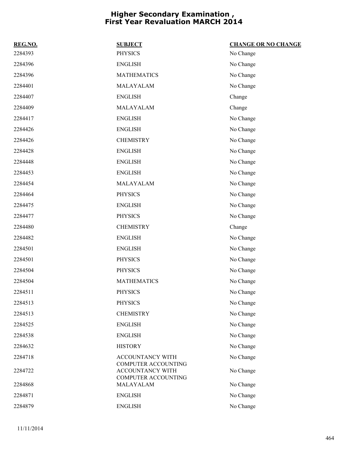| REG.NO. | <b>SUBJECT</b>                                                                      | <b>CHANGE OR NO CHANGE</b> |
|---------|-------------------------------------------------------------------------------------|----------------------------|
| 2284393 | <b>PHYSICS</b>                                                                      | No Change                  |
| 2284396 | <b>ENGLISH</b>                                                                      | No Change                  |
| 2284396 | <b>MATHEMATICS</b>                                                                  | No Change                  |
| 2284401 | MALAYALAM                                                                           | No Change                  |
| 2284407 | <b>ENGLISH</b>                                                                      | Change                     |
| 2284409 | MALAYALAM                                                                           | Change                     |
| 2284417 | <b>ENGLISH</b>                                                                      | No Change                  |
| 2284426 | <b>ENGLISH</b>                                                                      | No Change                  |
| 2284426 | <b>CHEMISTRY</b>                                                                    | No Change                  |
| 2284428 | <b>ENGLISH</b>                                                                      | No Change                  |
| 2284448 | <b>ENGLISH</b>                                                                      | No Change                  |
| 2284453 | <b>ENGLISH</b>                                                                      | No Change                  |
| 2284454 | MALAYALAM                                                                           | No Change                  |
| 2284464 | <b>PHYSICS</b>                                                                      | No Change                  |
| 2284475 | <b>ENGLISH</b>                                                                      | No Change                  |
| 2284477 | <b>PHYSICS</b>                                                                      | No Change                  |
| 2284480 | <b>CHEMISTRY</b>                                                                    | Change                     |
| 2284482 | <b>ENGLISH</b>                                                                      | No Change                  |
| 2284501 | <b>ENGLISH</b>                                                                      | No Change                  |
| 2284501 | <b>PHYSICS</b>                                                                      | No Change                  |
| 2284504 | <b>PHYSICS</b>                                                                      | No Change                  |
| 2284504 | <b>MATHEMATICS</b>                                                                  | No Change                  |
| 2284511 | <b>PHYSICS</b>                                                                      | No Change                  |
| 2284513 | <b>PHYSICS</b>                                                                      | No Change                  |
| 2284513 | <b>CHEMISTRY</b>                                                                    | No Change                  |
| 2284525 | <b>ENGLISH</b>                                                                      | No Change                  |
| 2284538 | <b>ENGLISH</b>                                                                      | No Change                  |
| 2284632 | <b>HISTORY</b>                                                                      | No Change                  |
| 2284718 | ACCOUNTANCY WITH                                                                    | No Change                  |
| 2284722 | <b>COMPUTER ACCOUNTING</b><br><b>ACCOUNTANCY WITH</b><br><b>COMPUTER ACCOUNTING</b> | No Change                  |
| 2284868 | MALAYALAM                                                                           | No Change                  |
| 2284871 | <b>ENGLISH</b>                                                                      | No Change                  |
| 2284879 | <b>ENGLISH</b>                                                                      | No Change                  |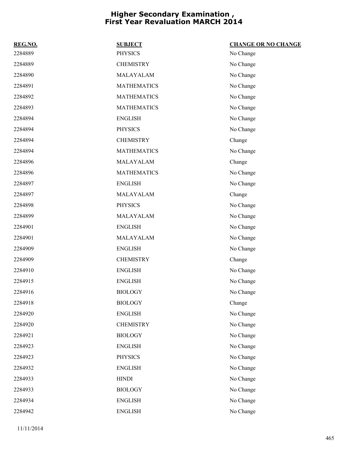| REG.NO. | <b>SUBJECT</b>     | <b>CHANGE OR NO CHANGE</b> |
|---------|--------------------|----------------------------|
| 2284889 | <b>PHYSICS</b>     | No Change                  |
| 2284889 | <b>CHEMISTRY</b>   | No Change                  |
| 2284890 | MALAYALAM          | No Change                  |
| 2284891 | <b>MATHEMATICS</b> | No Change                  |
| 2284892 | <b>MATHEMATICS</b> | No Change                  |
| 2284893 | <b>MATHEMATICS</b> | No Change                  |
| 2284894 | <b>ENGLISH</b>     | No Change                  |
| 2284894 | <b>PHYSICS</b>     | No Change                  |
| 2284894 | <b>CHEMISTRY</b>   | Change                     |
| 2284894 | <b>MATHEMATICS</b> | No Change                  |
| 2284896 | MALAYALAM          | Change                     |
| 2284896 | <b>MATHEMATICS</b> | No Change                  |
| 2284897 | <b>ENGLISH</b>     | No Change                  |
| 2284897 | MALAYALAM          | Change                     |
| 2284898 | <b>PHYSICS</b>     | No Change                  |
| 2284899 | MALAYALAM          | No Change                  |
| 2284901 | <b>ENGLISH</b>     | No Change                  |
| 2284901 | MALAYALAM          | No Change                  |
| 2284909 | <b>ENGLISH</b>     | No Change                  |
| 2284909 | <b>CHEMISTRY</b>   | Change                     |
| 2284910 | <b>ENGLISH</b>     | No Change                  |
| 2284915 | <b>ENGLISH</b>     | No Change                  |
| 2284916 | <b>BIOLOGY</b>     | No Change                  |
| 2284918 | <b>BIOLOGY</b>     | Change                     |
| 2284920 | <b>ENGLISH</b>     | No Change                  |
| 2284920 | <b>CHEMISTRY</b>   | No Change                  |
| 2284921 | <b>BIOLOGY</b>     | No Change                  |
| 2284923 | <b>ENGLISH</b>     | No Change                  |
| 2284923 | <b>PHYSICS</b>     | No Change                  |
| 2284932 | <b>ENGLISH</b>     | No Change                  |
| 2284933 | ${\hbox{HINDI}}$   | No Change                  |
| 2284933 | <b>BIOLOGY</b>     | No Change                  |
| 2284934 | <b>ENGLISH</b>     | No Change                  |
| 2284942 | <b>ENGLISH</b>     | No Change                  |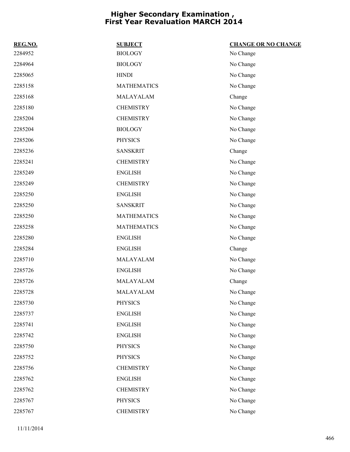| REG.NO. | <b>SUBJECT</b>     | <b>CHANGE OR NO CHANGE</b> |
|---------|--------------------|----------------------------|
| 2284952 | <b>BIOLOGY</b>     | No Change                  |
| 2284964 | <b>BIOLOGY</b>     | No Change                  |
| 2285065 | <b>HINDI</b>       | No Change                  |
| 2285158 | <b>MATHEMATICS</b> | No Change                  |
| 2285168 | MALAYALAM          | Change                     |
| 2285180 | <b>CHEMISTRY</b>   | No Change                  |
| 2285204 | <b>CHEMISTRY</b>   | No Change                  |
| 2285204 | <b>BIOLOGY</b>     | No Change                  |
| 2285206 | <b>PHYSICS</b>     | No Change                  |
| 2285236 | <b>SANSKRIT</b>    | Change                     |
| 2285241 | <b>CHEMISTRY</b>   | No Change                  |
| 2285249 | <b>ENGLISH</b>     | No Change                  |
| 2285249 | <b>CHEMISTRY</b>   | No Change                  |
| 2285250 | <b>ENGLISH</b>     | No Change                  |
| 2285250 | <b>SANSKRIT</b>    | No Change                  |
| 2285250 | <b>MATHEMATICS</b> | No Change                  |
| 2285258 | <b>MATHEMATICS</b> | No Change                  |
| 2285280 | <b>ENGLISH</b>     | No Change                  |
| 2285284 | <b>ENGLISH</b>     | Change                     |
| 2285710 | MALAYALAM          | No Change                  |
| 2285726 | <b>ENGLISH</b>     | No Change                  |
| 2285726 | MALAYALAM          | Change                     |
| 2285728 | MALAYALAM          | No Change                  |
| 2285730 | <b>PHYSICS</b>     | No Change                  |
| 2285737 | <b>ENGLISH</b>     | No Change                  |
| 2285741 | <b>ENGLISH</b>     | No Change                  |
| 2285742 | <b>ENGLISH</b>     | No Change                  |
| 2285750 | <b>PHYSICS</b>     | No Change                  |
| 2285752 | <b>PHYSICS</b>     | No Change                  |
| 2285756 | <b>CHEMISTRY</b>   | No Change                  |
| 2285762 | <b>ENGLISH</b>     | No Change                  |
| 2285762 | <b>CHEMISTRY</b>   | No Change                  |
| 2285767 | <b>PHYSICS</b>     | No Change                  |
| 2285767 | <b>CHEMISTRY</b>   | No Change                  |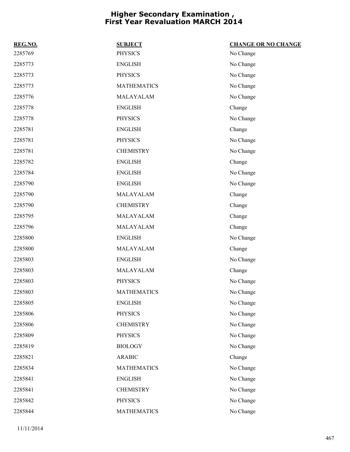| REG.NO. | <b>SUBJECT</b>     | <b>CHANGE OR NO CHANGE</b> |
|---------|--------------------|----------------------------|
| 2285769 | <b>PHYSICS</b>     | No Change                  |
| 2285773 | <b>ENGLISH</b>     | No Change                  |
| 2285773 | <b>PHYSICS</b>     | No Change                  |
| 2285773 | <b>MATHEMATICS</b> | No Change                  |
| 2285776 | MALAYALAM          | No Change                  |
| 2285778 | <b>ENGLISH</b>     | Change                     |
| 2285778 | <b>PHYSICS</b>     | No Change                  |
| 2285781 | <b>ENGLISH</b>     | Change                     |
| 2285781 | <b>PHYSICS</b>     | No Change                  |
| 2285781 | <b>CHEMISTRY</b>   | No Change                  |
| 2285782 | <b>ENGLISH</b>     | Change                     |
| 2285784 | <b>ENGLISH</b>     | No Change                  |
| 2285790 | <b>ENGLISH</b>     | No Change                  |
| 2285790 | MALAYALAM          | Change                     |
| 2285790 | <b>CHEMISTRY</b>   | Change                     |
| 2285795 | MALAYALAM          | Change                     |
| 2285796 | MALAYALAM          | Change                     |
| 2285800 | <b>ENGLISH</b>     | No Change                  |
| 2285800 | MALAYALAM          | Change                     |
| 2285803 | <b>ENGLISH</b>     | No Change                  |
| 2285803 | MALAYALAM          | Change                     |
| 2285803 | <b>PHYSICS</b>     | No Change                  |
| 2285803 | <b>MATHEMATICS</b> | No Change                  |
| 2285805 | <b>ENGLISH</b>     | No Change                  |
| 2285806 | <b>PHYSICS</b>     | No Change                  |
| 2285806 | <b>CHEMISTRY</b>   | No Change                  |
| 2285809 | <b>PHYSICS</b>     | No Change                  |
| 2285819 | <b>BIOLOGY</b>     | No Change                  |
| 2285821 | <b>ARABIC</b>      | Change                     |
| 2285834 | <b>MATHEMATICS</b> | No Change                  |
| 2285841 | <b>ENGLISH</b>     | No Change                  |
| 2285841 | <b>CHEMISTRY</b>   | No Change                  |
| 2285842 | PHYSICS            | No Change                  |
| 2285844 | <b>MATHEMATICS</b> | No Change                  |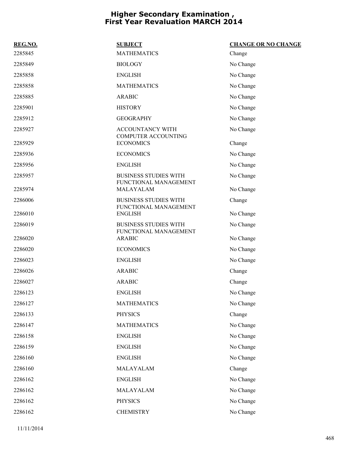| REG.NO. | <b>SUBJECT</b>                                        | <b>CHANGE OR NO CHANGE</b> |
|---------|-------------------------------------------------------|----------------------------|
| 2285845 | <b>MATHEMATICS</b>                                    | Change                     |
| 2285849 | <b>BIOLOGY</b>                                        | No Change                  |
| 2285858 | <b>ENGLISH</b>                                        | No Change                  |
| 2285858 | <b>MATHEMATICS</b>                                    | No Change                  |
| 2285885 | <b>ARABIC</b>                                         | No Change                  |
| 2285901 | <b>HISTORY</b>                                        | No Change                  |
| 2285912 | <b>GEOGRAPHY</b>                                      | No Change                  |
| 2285927 | ACCOUNTANCY WITH<br><b>COMPUTER ACCOUNTING</b>        | No Change                  |
| 2285929 | <b>ECONOMICS</b>                                      | Change                     |
| 2285936 | <b>ECONOMICS</b>                                      | No Change                  |
| 2285956 | <b>ENGLISH</b>                                        | No Change                  |
| 2285957 | <b>BUSINESS STUDIES WITH</b><br>FUNCTIONAL MANAGEMENT | No Change                  |
| 2285974 | MALAYALAM                                             | No Change                  |
| 2286006 | <b>BUSINESS STUDIES WITH</b><br>FUNCTIONAL MANAGEMENT | Change                     |
| 2286010 | <b>ENGLISH</b>                                        | No Change                  |
| 2286019 | <b>BUSINESS STUDIES WITH</b><br>FUNCTIONAL MANAGEMENT | No Change                  |
| 2286020 | <b>ARABIC</b>                                         | No Change                  |
| 2286020 | <b>ECONOMICS</b>                                      | No Change                  |
| 2286023 | <b>ENGLISH</b>                                        | No Change                  |
| 2286026 | <b>ARABIC</b>                                         | Change                     |
| 2286027 | <b>ARABIC</b>                                         | Change                     |
| 2286123 | <b>ENGLISH</b>                                        | No Change                  |
| 2286127 | <b>MATHEMATICS</b>                                    | No Change                  |
| 2286133 | <b>PHYSICS</b>                                        | Change                     |
| 2286147 | <b>MATHEMATICS</b>                                    | No Change                  |
| 2286158 | <b>ENGLISH</b>                                        | No Change                  |
| 2286159 | <b>ENGLISH</b>                                        | No Change                  |
| 2286160 | <b>ENGLISH</b>                                        | No Change                  |
| 2286160 | MALAYALAM                                             | Change                     |
| 2286162 | <b>ENGLISH</b>                                        | No Change                  |
| 2286162 | MALAYALAM                                             | No Change                  |
| 2286162 | PHYSICS                                               | No Change                  |
| 2286162 | <b>CHEMISTRY</b>                                      | No Change                  |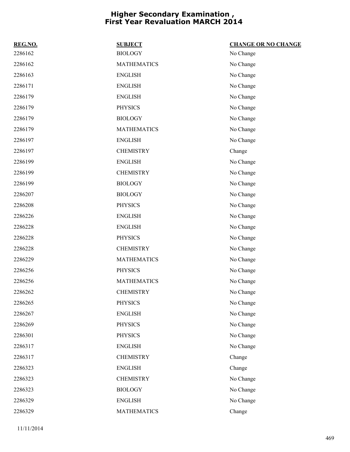| REG.NO. | <b>SUBJECT</b>     | <b>CHANGE OR NO CHANGE</b> |
|---------|--------------------|----------------------------|
| 2286162 | <b>BIOLOGY</b>     | No Change                  |
| 2286162 | <b>MATHEMATICS</b> | No Change                  |
| 2286163 | <b>ENGLISH</b>     | No Change                  |
| 2286171 | <b>ENGLISH</b>     | No Change                  |
| 2286179 | <b>ENGLISH</b>     | No Change                  |
| 2286179 | <b>PHYSICS</b>     | No Change                  |
| 2286179 | <b>BIOLOGY</b>     | No Change                  |
| 2286179 | <b>MATHEMATICS</b> | No Change                  |
| 2286197 | <b>ENGLISH</b>     | No Change                  |
| 2286197 | <b>CHEMISTRY</b>   | Change                     |
| 2286199 | <b>ENGLISH</b>     | No Change                  |
| 2286199 | <b>CHEMISTRY</b>   | No Change                  |
| 2286199 | <b>BIOLOGY</b>     | No Change                  |
| 2286207 | <b>BIOLOGY</b>     | No Change                  |
| 2286208 | <b>PHYSICS</b>     | No Change                  |
| 2286226 | <b>ENGLISH</b>     | No Change                  |
| 2286228 | <b>ENGLISH</b>     | No Change                  |
| 2286228 | <b>PHYSICS</b>     | No Change                  |
| 2286228 | <b>CHEMISTRY</b>   | No Change                  |
| 2286229 | <b>MATHEMATICS</b> | No Change                  |
| 2286256 | <b>PHYSICS</b>     | No Change                  |
| 2286256 | <b>MATHEMATICS</b> | No Change                  |
| 2286262 | <b>CHEMISTRY</b>   | No Change                  |
| 2286265 | <b>PHYSICS</b>     | No Change                  |
| 2286267 | <b>ENGLISH</b>     | No Change                  |
| 2286269 | <b>PHYSICS</b>     | No Change                  |
| 2286301 | <b>PHYSICS</b>     | No Change                  |
| 2286317 | <b>ENGLISH</b>     | No Change                  |
| 2286317 | <b>CHEMISTRY</b>   | Change                     |
| 2286323 | <b>ENGLISH</b>     | Change                     |
| 2286323 | <b>CHEMISTRY</b>   | No Change                  |
| 2286323 | <b>BIOLOGY</b>     | No Change                  |
| 2286329 | <b>ENGLISH</b>     | No Change                  |
| 2286329 | <b>MATHEMATICS</b> | Change                     |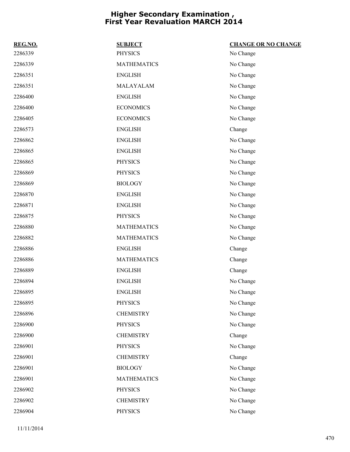| REG.NO. | <b>SUBJECT</b>     | <b>CHANGE OR NO CHANGE</b> |
|---------|--------------------|----------------------------|
| 2286339 | <b>PHYSICS</b>     | No Change                  |
| 2286339 | <b>MATHEMATICS</b> | No Change                  |
| 2286351 | <b>ENGLISH</b>     | No Change                  |
| 2286351 | MALAYALAM          | No Change                  |
| 2286400 | <b>ENGLISH</b>     | No Change                  |
| 2286400 | <b>ECONOMICS</b>   | No Change                  |
| 2286405 | <b>ECONOMICS</b>   | No Change                  |
| 2286573 | <b>ENGLISH</b>     | Change                     |
| 2286862 | <b>ENGLISH</b>     | No Change                  |
| 2286865 | <b>ENGLISH</b>     | No Change                  |
| 2286865 | <b>PHYSICS</b>     | No Change                  |
| 2286869 | <b>PHYSICS</b>     | No Change                  |
| 2286869 | <b>BIOLOGY</b>     | No Change                  |
| 2286870 | <b>ENGLISH</b>     | No Change                  |
| 2286871 | <b>ENGLISH</b>     | No Change                  |
| 2286875 | <b>PHYSICS</b>     | No Change                  |
| 2286880 | <b>MATHEMATICS</b> | No Change                  |
| 2286882 | <b>MATHEMATICS</b> | No Change                  |
| 2286886 | <b>ENGLISH</b>     | Change                     |
| 2286886 | <b>MATHEMATICS</b> | Change                     |
| 2286889 | <b>ENGLISH</b>     | Change                     |
| 2286894 | <b>ENGLISH</b>     | No Change                  |
| 2286895 | <b>ENGLISH</b>     | No Change                  |
| 2286895 | <b>PHYSICS</b>     | No Change                  |
| 2286896 | <b>CHEMISTRY</b>   | No Change                  |
| 2286900 | <b>PHYSICS</b>     | No Change                  |
| 2286900 | <b>CHEMISTRY</b>   | Change                     |
| 2286901 | <b>PHYSICS</b>     | No Change                  |
| 2286901 | <b>CHEMISTRY</b>   | Change                     |
| 2286901 | <b>BIOLOGY</b>     | No Change                  |
| 2286901 | <b>MATHEMATICS</b> | No Change                  |
| 2286902 | <b>PHYSICS</b>     | No Change                  |
| 2286902 | <b>CHEMISTRY</b>   | No Change                  |
| 2286904 | <b>PHYSICS</b>     | No Change                  |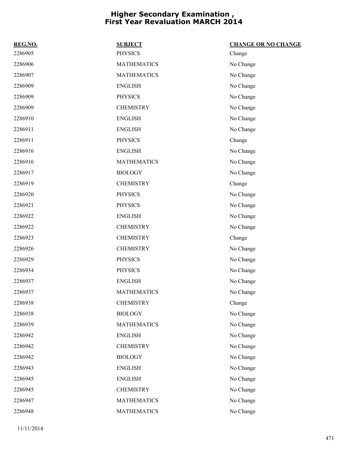| REG.NO. | <b>SUBJECT</b>     | <b>CHANGE OR NO CHANGE</b> |
|---------|--------------------|----------------------------|
| 2286905 | <b>PHYSICS</b>     | Change                     |
| 2286906 | <b>MATHEMATICS</b> | No Change                  |
| 2286907 | <b>MATHEMATICS</b> | No Change                  |
| 2286909 | <b>ENGLISH</b>     | No Change                  |
| 2286909 | <b>PHYSICS</b>     | No Change                  |
| 2286909 | <b>CHEMISTRY</b>   | No Change                  |
| 2286910 | <b>ENGLISH</b>     | No Change                  |
| 2286911 | <b>ENGLISH</b>     | No Change                  |
| 2286911 | <b>PHYSICS</b>     | Change                     |
| 2286916 | <b>ENGLISH</b>     | No Change                  |
| 2286916 | <b>MATHEMATICS</b> | No Change                  |
| 2286917 | <b>BIOLOGY</b>     | No Change                  |
| 2286919 | <b>CHEMISTRY</b>   | Change                     |
| 2286920 | <b>PHYSICS</b>     | No Change                  |
| 2286921 | <b>PHYSICS</b>     | No Change                  |
| 2286922 | <b>ENGLISH</b>     | No Change                  |
| 2286922 | <b>CHEMISTRY</b>   | No Change                  |
| 2286923 | <b>CHEMISTRY</b>   | Change                     |
| 2286926 | <b>CHEMISTRY</b>   | No Change                  |
| 2286929 | <b>PHYSICS</b>     | No Change                  |
| 2286934 | <b>PHYSICS</b>     | No Change                  |
| 2286937 | <b>ENGLISH</b>     | No Change                  |
| 2286937 | <b>MATHEMATICS</b> | No Change                  |
| 2286938 | <b>CHEMISTRY</b>   | Change                     |
| 2286938 | <b>BIOLOGY</b>     | No Change                  |
| 2286939 | <b>MATHEMATICS</b> | No Change                  |
| 2286942 | <b>ENGLISH</b>     | No Change                  |
| 2286942 | <b>CHEMISTRY</b>   | No Change                  |
| 2286942 | <b>BIOLOGY</b>     | No Change                  |
| 2286943 | <b>ENGLISH</b>     | No Change                  |
| 2286945 | <b>ENGLISH</b>     | No Change                  |
| 2286945 | <b>CHEMISTRY</b>   | No Change                  |
| 2286947 | <b>MATHEMATICS</b> | No Change                  |
| 2286948 | <b>MATHEMATICS</b> | No Change                  |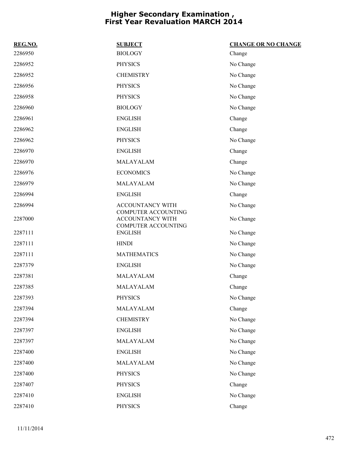| REG.NO. | <b>SUBJECT</b>                                                               | <b>CHANGE OR NO CHANGE</b> |
|---------|------------------------------------------------------------------------------|----------------------------|
| 2286950 | <b>BIOLOGY</b>                                                               | Change                     |
| 2286952 | <b>PHYSICS</b>                                                               | No Change                  |
| 2286952 | <b>CHEMISTRY</b>                                                             | No Change                  |
| 2286956 | <b>PHYSICS</b>                                                               | No Change                  |
| 2286958 | <b>PHYSICS</b>                                                               | No Change                  |
| 2286960 | <b>BIOLOGY</b>                                                               | No Change                  |
| 2286961 | <b>ENGLISH</b>                                                               | Change                     |
| 2286962 | <b>ENGLISH</b>                                                               | Change                     |
| 2286962 | <b>PHYSICS</b>                                                               | No Change                  |
| 2286970 | <b>ENGLISH</b>                                                               | Change                     |
| 2286970 | MALAYALAM                                                                    | Change                     |
| 2286976 | <b>ECONOMICS</b>                                                             | No Change                  |
| 2286979 | MALAYALAM                                                                    | No Change                  |
| 2286994 | <b>ENGLISH</b>                                                               | Change                     |
| 2286994 | ACCOUNTANCY WITH                                                             | No Change                  |
| 2287000 | <b>COMPUTER ACCOUNTING</b><br>ACCOUNTANCY WITH<br><b>COMPUTER ACCOUNTING</b> | No Change                  |
| 2287111 | <b>ENGLISH</b>                                                               | No Change                  |
| 2287111 | <b>HINDI</b>                                                                 | No Change                  |
| 2287111 | <b>MATHEMATICS</b>                                                           | No Change                  |
| 2287379 | <b>ENGLISH</b>                                                               | No Change                  |
| 2287381 | MALAYALAM                                                                    | Change                     |
| 2287385 | MALAYALAM                                                                    | Change                     |
| 2287393 | <b>PHYSICS</b>                                                               | No Change                  |
| 2287394 | MALAYALAM                                                                    | Change                     |
| 2287394 | <b>CHEMISTRY</b>                                                             | No Change                  |
| 2287397 | <b>ENGLISH</b>                                                               | No Change                  |
| 2287397 | MALAYALAM                                                                    | No Change                  |
| 2287400 | <b>ENGLISH</b>                                                               | No Change                  |
| 2287400 | MALAYALAM                                                                    | No Change                  |
| 2287400 | <b>PHYSICS</b>                                                               | No Change                  |
| 2287407 | <b>PHYSICS</b>                                                               | Change                     |
| 2287410 | <b>ENGLISH</b>                                                               | No Change                  |
| 2287410 | PHYSICS                                                                      | Change                     |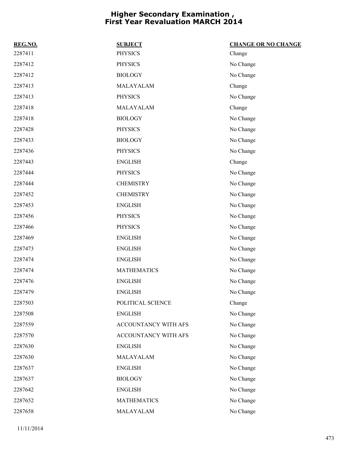| REG.NO. | <b>SUBJECT</b>       | <b>CHANGE OR NO CHANGE</b> |
|---------|----------------------|----------------------------|
| 2287411 | <b>PHYSICS</b>       | Change                     |
| 2287412 | <b>PHYSICS</b>       | No Change                  |
| 2287412 | <b>BIOLOGY</b>       | No Change                  |
| 2287413 | MALAYALAM            | Change                     |
| 2287413 | <b>PHYSICS</b>       | No Change                  |
| 2287418 | MALAYALAM            | Change                     |
| 2287418 | <b>BIOLOGY</b>       | No Change                  |
| 2287428 | <b>PHYSICS</b>       | No Change                  |
| 2287433 | <b>BIOLOGY</b>       | No Change                  |
| 2287436 | <b>PHYSICS</b>       | No Change                  |
| 2287443 | <b>ENGLISH</b>       | Change                     |
| 2287444 | <b>PHYSICS</b>       | No Change                  |
| 2287444 | <b>CHEMISTRY</b>     | No Change                  |
| 2287452 | <b>CHEMISTRY</b>     | No Change                  |
| 2287453 | <b>ENGLISH</b>       | No Change                  |
| 2287456 | <b>PHYSICS</b>       | No Change                  |
| 2287466 | <b>PHYSICS</b>       | No Change                  |
| 2287469 | <b>ENGLISH</b>       | No Change                  |
| 2287473 | <b>ENGLISH</b>       | No Change                  |
| 2287474 | <b>ENGLISH</b>       | No Change                  |
| 2287474 | <b>MATHEMATICS</b>   | No Change                  |
| 2287476 | <b>ENGLISH</b>       | No Change                  |
| 2287479 | <b>ENGLISH</b>       | No Change                  |
| 2287503 | POLITICAL SCIENCE    | Change                     |
| 2287508 | <b>ENGLISH</b>       | No Change                  |
| 2287559 | ACCOUNTANCY WITH AFS | No Change                  |
| 2287570 | ACCOUNTANCY WITH AFS | No Change                  |
| 2287630 | <b>ENGLISH</b>       | No Change                  |
| 2287630 | MALAYALAM            | No Change                  |
| 2287637 | <b>ENGLISH</b>       | No Change                  |
| 2287637 | <b>BIOLOGY</b>       | No Change                  |
| 2287642 | <b>ENGLISH</b>       | No Change                  |
| 2287652 | <b>MATHEMATICS</b>   | No Change                  |
| 2287658 | MALAYALAM            | No Change                  |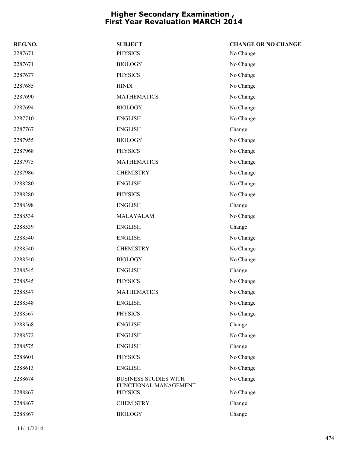| REG.NO. | <b>SUBJECT</b>                                        | <b>CHANGE OR NO CHANGE</b> |
|---------|-------------------------------------------------------|----------------------------|
| 2287671 | <b>PHYSICS</b>                                        | No Change                  |
| 2287671 | <b>BIOLOGY</b>                                        | No Change                  |
| 2287677 | <b>PHYSICS</b>                                        | No Change                  |
| 2287685 | <b>HINDI</b>                                          | No Change                  |
| 2287690 | <b>MATHEMATICS</b>                                    | No Change                  |
| 2287694 | <b>BIOLOGY</b>                                        | No Change                  |
| 2287710 | <b>ENGLISH</b>                                        | No Change                  |
| 2287767 | <b>ENGLISH</b>                                        | Change                     |
| 2287955 | <b>BIOLOGY</b>                                        | No Change                  |
| 2287968 | <b>PHYSICS</b>                                        | No Change                  |
| 2287975 | <b>MATHEMATICS</b>                                    | No Change                  |
| 2287986 | <b>CHEMISTRY</b>                                      | No Change                  |
| 2288280 | <b>ENGLISH</b>                                        | No Change                  |
| 2288280 | <b>PHYSICS</b>                                        | No Change                  |
| 2288398 | <b>ENGLISH</b>                                        | Change                     |
| 2288534 | MALAYALAM                                             | No Change                  |
| 2288539 | <b>ENGLISH</b>                                        | Change                     |
| 2288540 | <b>ENGLISH</b>                                        | No Change                  |
| 2288540 | <b>CHEMISTRY</b>                                      | No Change                  |
| 2288540 | <b>BIOLOGY</b>                                        | No Change                  |
| 2288545 | <b>ENGLISH</b>                                        | Change                     |
| 2288545 | <b>PHYSICS</b>                                        | No Change                  |
| 2288547 | <b>MATHEMATICS</b>                                    | No Change                  |
| 2288548 | <b>ENGLISH</b>                                        | No Change                  |
| 2288567 | <b>PHYSICS</b>                                        | No Change                  |
| 2288568 | <b>ENGLISH</b>                                        | Change                     |
| 2288572 | <b>ENGLISH</b>                                        | No Change                  |
| 2288575 | <b>ENGLISH</b>                                        | Change                     |
| 2288601 | <b>PHYSICS</b>                                        | No Change                  |
| 2288613 | <b>ENGLISH</b>                                        | No Change                  |
| 2288674 | <b>BUSINESS STUDIES WITH</b><br>FUNCTIONAL MANAGEMENT | No Change                  |
| 2288867 | <b>PHYSICS</b>                                        | No Change                  |
| 2288867 | <b>CHEMISTRY</b>                                      | Change                     |
| 2288867 | <b>BIOLOGY</b>                                        | Change                     |
|         |                                                       |                            |

11/11/2014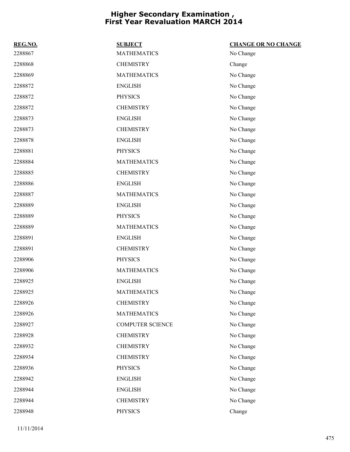| REG.NO. | <b>SUBJECT</b>          | <b>CHANGE OR NO CHANGE</b> |
|---------|-------------------------|----------------------------|
| 2288867 | <b>MATHEMATICS</b>      | No Change                  |
| 2288868 | <b>CHEMISTRY</b>        | Change                     |
| 2288869 | <b>MATHEMATICS</b>      | No Change                  |
| 2288872 | <b>ENGLISH</b>          | No Change                  |
| 2288872 | <b>PHYSICS</b>          | No Change                  |
| 2288872 | <b>CHEMISTRY</b>        | No Change                  |
| 2288873 | <b>ENGLISH</b>          | No Change                  |
| 2288873 | <b>CHEMISTRY</b>        | No Change                  |
| 2288878 | <b>ENGLISH</b>          | No Change                  |
| 2288881 | <b>PHYSICS</b>          | No Change                  |
| 2288884 | <b>MATHEMATICS</b>      | No Change                  |
| 2288885 | <b>CHEMISTRY</b>        | No Change                  |
| 2288886 | <b>ENGLISH</b>          | No Change                  |
| 2288887 | <b>MATHEMATICS</b>      | No Change                  |
| 2288889 | <b>ENGLISH</b>          | No Change                  |
| 2288889 | <b>PHYSICS</b>          | No Change                  |
| 2288889 | <b>MATHEMATICS</b>      | No Change                  |
| 2288891 | <b>ENGLISH</b>          | No Change                  |
| 2288891 | <b>CHEMISTRY</b>        | No Change                  |
| 2288906 | <b>PHYSICS</b>          | No Change                  |
| 2288906 | <b>MATHEMATICS</b>      | No Change                  |
| 2288925 | <b>ENGLISH</b>          | No Change                  |
| 2288925 | <b>MATHEMATICS</b>      | No Change                  |
| 2288926 | <b>CHEMISTRY</b>        | No Change                  |
| 2288926 | <b>MATHEMATICS</b>      | No Change                  |
| 2288927 | <b>COMPUTER SCIENCE</b> | No Change                  |
| 2288928 | <b>CHEMISTRY</b>        | No Change                  |
| 2288932 | <b>CHEMISTRY</b>        | No Change                  |
| 2288934 | <b>CHEMISTRY</b>        | No Change                  |
| 2288936 | <b>PHYSICS</b>          | No Change                  |
| 2288942 | <b>ENGLISH</b>          | No Change                  |
| 2288944 | <b>ENGLISH</b>          | No Change                  |
| 2288944 | <b>CHEMISTRY</b>        | No Change                  |
| 2288948 | <b>PHYSICS</b>          | Change                     |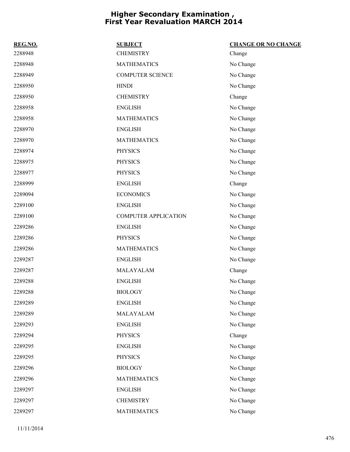| REG.NO. | <b>SUBJECT</b>              | <b>CHANGE OR NO CHANGE</b> |
|---------|-----------------------------|----------------------------|
| 2288948 | <b>CHEMISTRY</b>            | Change                     |
| 2288948 | <b>MATHEMATICS</b>          | No Change                  |
| 2288949 | <b>COMPUTER SCIENCE</b>     | No Change                  |
| 2288950 | <b>HINDI</b>                | No Change                  |
| 2288950 | <b>CHEMISTRY</b>            | Change                     |
| 2288958 | <b>ENGLISH</b>              | No Change                  |
| 2288958 | <b>MATHEMATICS</b>          | No Change                  |
| 2288970 | <b>ENGLISH</b>              | No Change                  |
| 2288970 | <b>MATHEMATICS</b>          | No Change                  |
| 2288974 | <b>PHYSICS</b>              | No Change                  |
| 2288975 | <b>PHYSICS</b>              | No Change                  |
| 2288977 | <b>PHYSICS</b>              | No Change                  |
| 2288999 | <b>ENGLISH</b>              | Change                     |
| 2289094 | <b>ECONOMICS</b>            | No Change                  |
| 2289100 | <b>ENGLISH</b>              | No Change                  |
| 2289100 | <b>COMPUTER APPLICATION</b> | No Change                  |
| 2289286 | <b>ENGLISH</b>              | No Change                  |
| 2289286 | <b>PHYSICS</b>              | No Change                  |
| 2289286 | <b>MATHEMATICS</b>          | No Change                  |
| 2289287 | <b>ENGLISH</b>              | No Change                  |
| 2289287 | MALAYALAM                   | Change                     |
| 2289288 | <b>ENGLISH</b>              | No Change                  |
| 2289288 | <b>BIOLOGY</b>              | No Change                  |
| 2289289 | <b>ENGLISH</b>              | No Change                  |
| 2289289 | MALAYALAM                   | No Change                  |
| 2289293 | <b>ENGLISH</b>              | No Change                  |
| 2289294 | <b>PHYSICS</b>              | Change                     |
| 2289295 | <b>ENGLISH</b>              | No Change                  |
| 2289295 | <b>PHYSICS</b>              | No Change                  |
| 2289296 | <b>BIOLOGY</b>              | No Change                  |
| 2289296 | <b>MATHEMATICS</b>          | No Change                  |
| 2289297 | <b>ENGLISH</b>              | No Change                  |
| 2289297 | <b>CHEMISTRY</b>            | No Change                  |
| 2289297 | <b>MATHEMATICS</b>          | No Change                  |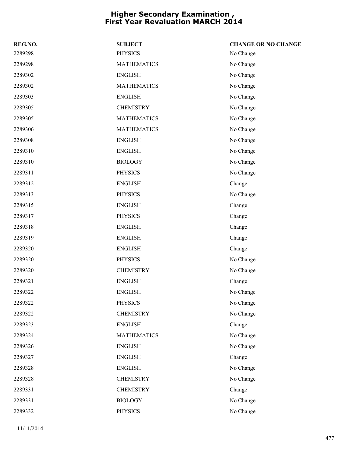| REG.NO. | <b>SUBJECT</b>     | <b>CHANGE OR NO CHANGE</b> |
|---------|--------------------|----------------------------|
| 2289298 | <b>PHYSICS</b>     | No Change                  |
| 2289298 | <b>MATHEMATICS</b> | No Change                  |
| 2289302 | <b>ENGLISH</b>     | No Change                  |
| 2289302 | <b>MATHEMATICS</b> | No Change                  |
| 2289303 | <b>ENGLISH</b>     | No Change                  |
| 2289305 | <b>CHEMISTRY</b>   | No Change                  |
| 2289305 | <b>MATHEMATICS</b> | No Change                  |
| 2289306 | <b>MATHEMATICS</b> | No Change                  |
| 2289308 | <b>ENGLISH</b>     | No Change                  |
| 2289310 | <b>ENGLISH</b>     | No Change                  |
| 2289310 | <b>BIOLOGY</b>     | No Change                  |
| 2289311 | <b>PHYSICS</b>     | No Change                  |
| 2289312 | <b>ENGLISH</b>     | Change                     |
| 2289313 | <b>PHYSICS</b>     | No Change                  |
| 2289315 | <b>ENGLISH</b>     | Change                     |
| 2289317 | <b>PHYSICS</b>     | Change                     |
| 2289318 | <b>ENGLISH</b>     | Change                     |
| 2289319 | <b>ENGLISH</b>     | Change                     |
| 2289320 | <b>ENGLISH</b>     | Change                     |
| 2289320 | <b>PHYSICS</b>     | No Change                  |
| 2289320 | <b>CHEMISTRY</b>   | No Change                  |
| 2289321 | <b>ENGLISH</b>     | Change                     |
| 2289322 | <b>ENGLISH</b>     | No Change                  |
| 2289322 | <b>PHYSICS</b>     | No Change                  |
| 2289322 | <b>CHEMISTRY</b>   | No Change                  |
| 2289323 | <b>ENGLISH</b>     | Change                     |
| 2289324 | <b>MATHEMATICS</b> | No Change                  |
| 2289326 | <b>ENGLISH</b>     | No Change                  |
| 2289327 | <b>ENGLISH</b>     | Change                     |
| 2289328 | <b>ENGLISH</b>     | No Change                  |
| 2289328 | <b>CHEMISTRY</b>   | No Change                  |
| 2289331 | <b>CHEMISTRY</b>   | Change                     |
| 2289331 | <b>BIOLOGY</b>     | No Change                  |
| 2289332 | <b>PHYSICS</b>     | No Change                  |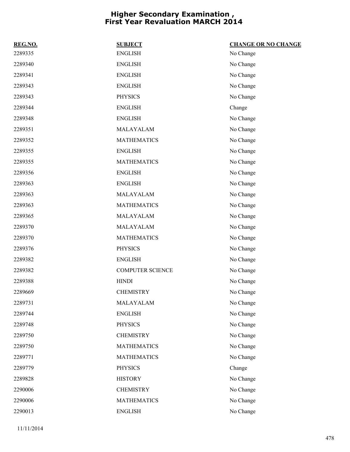| REG.NO. | <b>SUBJECT</b>          | <b>CHANGE OR NO CHANGE</b> |
|---------|-------------------------|----------------------------|
| 2289335 | <b>ENGLISH</b>          | No Change                  |
| 2289340 | <b>ENGLISH</b>          | No Change                  |
| 2289341 | <b>ENGLISH</b>          | No Change                  |
| 2289343 | <b>ENGLISH</b>          | No Change                  |
| 2289343 | <b>PHYSICS</b>          | No Change                  |
| 2289344 | <b>ENGLISH</b>          | Change                     |
| 2289348 | <b>ENGLISH</b>          | No Change                  |
| 2289351 | MALAYALAM               | No Change                  |
| 2289352 | <b>MATHEMATICS</b>      | No Change                  |
| 2289355 | <b>ENGLISH</b>          | No Change                  |
| 2289355 | <b>MATHEMATICS</b>      | No Change                  |
| 2289356 | <b>ENGLISH</b>          | No Change                  |
| 2289363 | <b>ENGLISH</b>          | No Change                  |
| 2289363 | MALAYALAM               | No Change                  |
| 2289363 | <b>MATHEMATICS</b>      | No Change                  |
| 2289365 | MALAYALAM               | No Change                  |
| 2289370 | MALAYALAM               | No Change                  |
| 2289370 | <b>MATHEMATICS</b>      | No Change                  |
| 2289376 | <b>PHYSICS</b>          | No Change                  |
| 2289382 | <b>ENGLISH</b>          | No Change                  |
| 2289382 | <b>COMPUTER SCIENCE</b> | No Change                  |
| 2289388 | <b>HINDI</b>            | No Change                  |
| 2289669 | <b>CHEMISTRY</b>        | No Change                  |
| 2289731 | MALAYALAM               | No Change                  |
| 2289744 | <b>ENGLISH</b>          | No Change                  |
| 2289748 | <b>PHYSICS</b>          | No Change                  |
| 2289750 | <b>CHEMISTRY</b>        | No Change                  |
| 2289750 | <b>MATHEMATICS</b>      | No Change                  |
| 2289771 | <b>MATHEMATICS</b>      | No Change                  |
| 2289779 | <b>PHYSICS</b>          | Change                     |
| 2289828 | <b>HISTORY</b>          | No Change                  |
| 2290006 | <b>CHEMISTRY</b>        | No Change                  |
| 2290006 | <b>MATHEMATICS</b>      | No Change                  |
| 2290013 | <b>ENGLISH</b>          | No Change                  |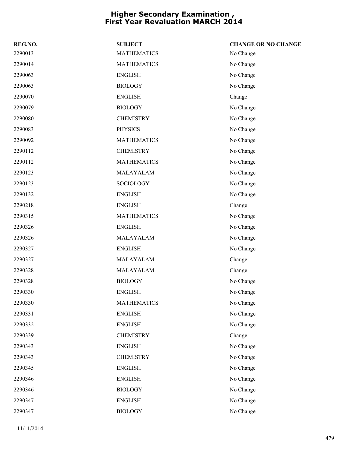| REG.NO. | <b>SUBJECT</b>     | <b>CHANGE OR NO CHANGE</b> |
|---------|--------------------|----------------------------|
| 2290013 | <b>MATHEMATICS</b> | No Change                  |
| 2290014 | <b>MATHEMATICS</b> | No Change                  |
| 2290063 | <b>ENGLISH</b>     | No Change                  |
| 2290063 | <b>BIOLOGY</b>     | No Change                  |
| 2290070 | <b>ENGLISH</b>     | Change                     |
| 2290079 | <b>BIOLOGY</b>     | No Change                  |
| 2290080 | <b>CHEMISTRY</b>   | No Change                  |
| 2290083 | <b>PHYSICS</b>     | No Change                  |
| 2290092 | <b>MATHEMATICS</b> | No Change                  |
| 2290112 | <b>CHEMISTRY</b>   | No Change                  |
| 2290112 | <b>MATHEMATICS</b> | No Change                  |
| 2290123 | MALAYALAM          | No Change                  |
| 2290123 | SOCIOLOGY          | No Change                  |
| 2290132 | <b>ENGLISH</b>     | No Change                  |
| 2290218 | <b>ENGLISH</b>     | Change                     |
| 2290315 | <b>MATHEMATICS</b> | No Change                  |
| 2290326 | <b>ENGLISH</b>     | No Change                  |
| 2290326 | MALAYALAM          | No Change                  |
| 2290327 | <b>ENGLISH</b>     | No Change                  |
| 2290327 | MALAYALAM          | Change                     |
| 2290328 | MALAYALAM          | Change                     |
| 2290328 | <b>BIOLOGY</b>     | No Change                  |
| 2290330 | <b>ENGLISH</b>     | No Change                  |
| 2290330 | <b>MATHEMATICS</b> | No Change                  |
| 2290331 | <b>ENGLISH</b>     | No Change                  |
| 2290332 | <b>ENGLISH</b>     | No Change                  |
| 2290339 | <b>CHEMISTRY</b>   | Change                     |
| 2290343 | <b>ENGLISH</b>     | No Change                  |
| 2290343 | <b>CHEMISTRY</b>   | No Change                  |
| 2290345 | <b>ENGLISH</b>     | No Change                  |
| 2290346 | <b>ENGLISH</b>     | No Change                  |
| 2290346 | <b>BIOLOGY</b>     | No Change                  |
| 2290347 | <b>ENGLISH</b>     | No Change                  |
| 2290347 | <b>BIOLOGY</b>     | No Change                  |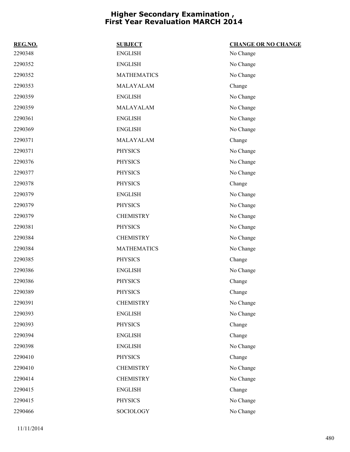| REG.NO. | <b>SUBJECT</b>     | <b>CHANGE OR NO CHANGE</b> |
|---------|--------------------|----------------------------|
| 2290348 | <b>ENGLISH</b>     | No Change                  |
| 2290352 | <b>ENGLISH</b>     | No Change                  |
| 2290352 | <b>MATHEMATICS</b> | No Change                  |
| 2290353 | MALAYALAM          | Change                     |
| 2290359 | <b>ENGLISH</b>     | No Change                  |
| 2290359 | MALAYALAM          | No Change                  |
| 2290361 | <b>ENGLISH</b>     | No Change                  |
| 2290369 | <b>ENGLISH</b>     | No Change                  |
| 2290371 | MALAYALAM          | Change                     |
| 2290371 | <b>PHYSICS</b>     | No Change                  |
| 2290376 | <b>PHYSICS</b>     | No Change                  |
| 2290377 | <b>PHYSICS</b>     | No Change                  |
| 2290378 | <b>PHYSICS</b>     | Change                     |
| 2290379 | <b>ENGLISH</b>     | No Change                  |
| 2290379 | <b>PHYSICS</b>     | No Change                  |
| 2290379 | <b>CHEMISTRY</b>   | No Change                  |
| 2290381 | <b>PHYSICS</b>     | No Change                  |
| 2290384 | <b>CHEMISTRY</b>   | No Change                  |
| 2290384 | <b>MATHEMATICS</b> | No Change                  |
| 2290385 | <b>PHYSICS</b>     | Change                     |
| 2290386 | <b>ENGLISH</b>     | No Change                  |
| 2290386 | <b>PHYSICS</b>     | Change                     |
| 2290389 | <b>PHYSICS</b>     | Change                     |
| 2290391 | <b>CHEMISTRY</b>   | No Change                  |
| 2290393 | <b>ENGLISH</b>     | No Change                  |
| 2290393 | <b>PHYSICS</b>     | Change                     |
| 2290394 | <b>ENGLISH</b>     | Change                     |
| 2290398 | <b>ENGLISH</b>     | No Change                  |
| 2290410 | <b>PHYSICS</b>     | Change                     |
| 2290410 | <b>CHEMISTRY</b>   | No Change                  |
| 2290414 | <b>CHEMISTRY</b>   | No Change                  |
| 2290415 | <b>ENGLISH</b>     | Change                     |
| 2290415 | <b>PHYSICS</b>     | No Change                  |
| 2290466 | SOCIOLOGY          | No Change                  |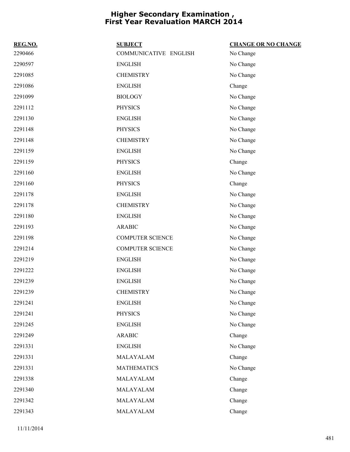| REG.NO. | <b>SUBJECT</b>          | <b>CHANGE OR NO CHANGE</b> |
|---------|-------------------------|----------------------------|
| 2290466 | COMMUNICATIVE ENGLISH   | No Change                  |
| 2290597 | <b>ENGLISH</b>          | No Change                  |
| 2291085 | <b>CHEMISTRY</b>        | No Change                  |
| 2291086 | <b>ENGLISH</b>          | Change                     |
| 2291099 | <b>BIOLOGY</b>          | No Change                  |
| 2291112 | <b>PHYSICS</b>          | No Change                  |
| 2291130 | <b>ENGLISH</b>          | No Change                  |
| 2291148 | <b>PHYSICS</b>          | No Change                  |
| 2291148 | <b>CHEMISTRY</b>        | No Change                  |
| 2291159 | <b>ENGLISH</b>          | No Change                  |
| 2291159 | <b>PHYSICS</b>          | Change                     |
| 2291160 | <b>ENGLISH</b>          | No Change                  |
| 2291160 | <b>PHYSICS</b>          | Change                     |
| 2291178 | <b>ENGLISH</b>          | No Change                  |
| 2291178 | <b>CHEMISTRY</b>        | No Change                  |
| 2291180 | <b>ENGLISH</b>          | No Change                  |
| 2291193 | <b>ARABIC</b>           | No Change                  |
| 2291198 | <b>COMPUTER SCIENCE</b> | No Change                  |
| 2291214 | <b>COMPUTER SCIENCE</b> | No Change                  |
| 2291219 | <b>ENGLISH</b>          | No Change                  |
| 2291222 | <b>ENGLISH</b>          | No Change                  |
| 2291239 | <b>ENGLISH</b>          | No Change                  |
| 2291239 | <b>CHEMISTRY</b>        | No Change                  |
| 2291241 | <b>ENGLISH</b>          | No Change                  |
| 2291241 | <b>PHYSICS</b>          | No Change                  |
| 2291245 | <b>ENGLISH</b>          | No Change                  |
| 2291249 | <b>ARABIC</b>           | Change                     |
| 2291331 | <b>ENGLISH</b>          | No Change                  |
| 2291331 | MALAYALAM               | Change                     |
| 2291331 | <b>MATHEMATICS</b>      | No Change                  |
| 2291338 | MALAYALAM               | Change                     |
| 2291340 | MALAYALAM               | Change                     |
| 2291342 | MALAYALAM               | Change                     |
| 2291343 | MALAYALAM               | Change                     |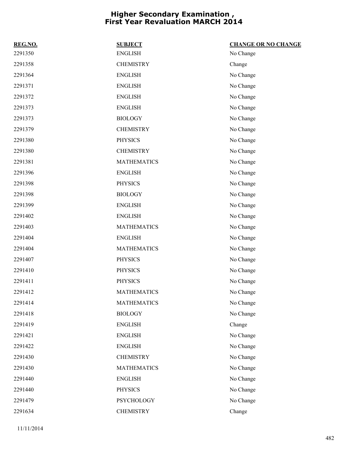| REG.NO. | <b>SUBJECT</b>     | <b>CHANGE OR NO CHANGE</b> |
|---------|--------------------|----------------------------|
| 2291350 | <b>ENGLISH</b>     | No Change                  |
| 2291358 | <b>CHEMISTRY</b>   | Change                     |
| 2291364 | <b>ENGLISH</b>     | No Change                  |
| 2291371 | <b>ENGLISH</b>     | No Change                  |
| 2291372 | <b>ENGLISH</b>     | No Change                  |
| 2291373 | <b>ENGLISH</b>     | No Change                  |
| 2291373 | <b>BIOLOGY</b>     | No Change                  |
| 2291379 | <b>CHEMISTRY</b>   | No Change                  |
| 2291380 | <b>PHYSICS</b>     | No Change                  |
| 2291380 | <b>CHEMISTRY</b>   | No Change                  |
| 2291381 | <b>MATHEMATICS</b> | No Change                  |
| 2291396 | <b>ENGLISH</b>     | No Change                  |
| 2291398 | <b>PHYSICS</b>     | No Change                  |
| 2291398 | <b>BIOLOGY</b>     | No Change                  |
| 2291399 | <b>ENGLISH</b>     | No Change                  |
| 2291402 | <b>ENGLISH</b>     | No Change                  |
| 2291403 | <b>MATHEMATICS</b> | No Change                  |
| 2291404 | <b>ENGLISH</b>     | No Change                  |
| 2291404 | <b>MATHEMATICS</b> | No Change                  |
| 2291407 | <b>PHYSICS</b>     | No Change                  |
| 2291410 | <b>PHYSICS</b>     | No Change                  |
| 2291411 | <b>PHYSICS</b>     | No Change                  |
| 2291412 | <b>MATHEMATICS</b> | No Change                  |
| 2291414 | <b>MATHEMATICS</b> | No Change                  |
| 2291418 | <b>BIOLOGY</b>     | No Change                  |
| 2291419 | <b>ENGLISH</b>     | Change                     |
| 2291421 | <b>ENGLISH</b>     | No Change                  |
| 2291422 | <b>ENGLISH</b>     | No Change                  |
| 2291430 | <b>CHEMISTRY</b>   | No Change                  |
| 2291430 | <b>MATHEMATICS</b> | No Change                  |
| 2291440 | <b>ENGLISH</b>     | No Change                  |
| 2291440 | <b>PHYSICS</b>     | No Change                  |
| 2291479 | PSYCHOLOGY         | No Change                  |
| 2291634 | <b>CHEMISTRY</b>   | Change                     |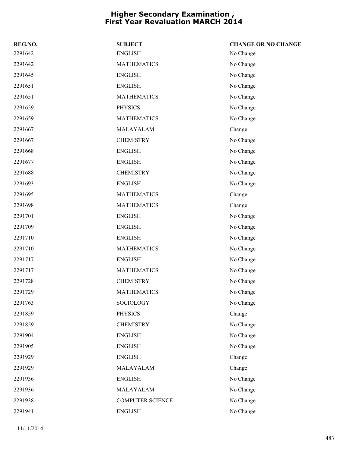| REG.NO. | <b>SUBJECT</b>     | <b>CHANGE OR NO CHANGE</b> |
|---------|--------------------|----------------------------|
| 2291642 | <b>ENGLISH</b>     | No Change                  |
| 2291642 | <b>MATHEMATICS</b> | No Change                  |
| 2291645 | <b>ENGLISH</b>     | No Change                  |
| 2291651 | <b>ENGLISH</b>     | No Change                  |
| 2291651 | <b>MATHEMATICS</b> | No Change                  |
| 2291659 | <b>PHYSICS</b>     | No Change                  |
| 2291659 | <b>MATHEMATICS</b> | No Change                  |
| 2291667 | MALAYALAM          | Change                     |
| 2291667 | <b>CHEMISTRY</b>   | No Change                  |
| 2291668 | <b>ENGLISH</b>     | No Change                  |
| 2291677 | <b>ENGLISH</b>     | No Change                  |
| 2291688 | <b>CHEMISTRY</b>   | No Change                  |
| 2291693 | <b>ENGLISH</b>     | No Change                  |
| 2291695 | <b>MATHEMATICS</b> | Change                     |
| 2291698 | <b>MATHEMATICS</b> | Change                     |
| 2291701 | <b>ENGLISH</b>     | No Change                  |
| 2291709 | <b>ENGLISH</b>     | No Change                  |
| 2291710 | <b>ENGLISH</b>     | No Change                  |
| 2291710 | <b>MATHEMATICS</b> | No Change                  |
| 2291717 | <b>ENGLISH</b>     | No Change                  |
| 2291717 | <b>MATHEMATICS</b> | No Change                  |
| 2291728 | <b>CHEMISTRY</b>   | No Change                  |
| 2291729 | <b>MATHEMATICS</b> | No Change                  |
| 2291763 | SOCIOLOGY          | No Change                  |
| 2291859 | <b>PHYSICS</b>     | Change                     |
| 2291859 | <b>CHEMISTRY</b>   | No Change                  |
| 2291904 | <b>ENGLISH</b>     | No Change                  |
| 2291905 | <b>ENGLISH</b>     | No Change                  |
| 2291929 | <b>ENGLISH</b>     | Change                     |
| 2291929 | MALAYALAM          | Change                     |
| 2291936 | <b>ENGLISH</b>     | No Change                  |
| 2291936 | MALAYALAM          | No Change                  |
| 2291938 | COMPUTER SCIENCE   | No Change                  |
| 2291941 | <b>ENGLISH</b>     | No Change                  |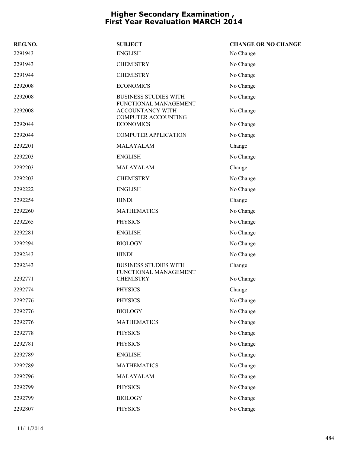| REG.NO. | <b>SUBJECT</b>                                                          | <b>CHANGE OR NO CHANGE</b> |
|---------|-------------------------------------------------------------------------|----------------------------|
| 2291943 | <b>ENGLISH</b>                                                          | No Change                  |
| 2291943 | <b>CHEMISTRY</b>                                                        | No Change                  |
| 2291944 | <b>CHEMISTRY</b>                                                        | No Change                  |
| 2292008 | <b>ECONOMICS</b>                                                        | No Change                  |
| 2292008 | <b>BUSINESS STUDIES WITH</b>                                            | No Change                  |
| 2292008 | FUNCTIONAL MANAGEMENT<br>ACCOUNTANCY WITH<br><b>COMPUTER ACCOUNTING</b> | No Change                  |
| 2292044 | <b>ECONOMICS</b>                                                        | No Change                  |
| 2292044 | <b>COMPUTER APPLICATION</b>                                             | No Change                  |
| 2292201 | MALAYALAM                                                               | Change                     |
| 2292203 | <b>ENGLISH</b>                                                          | No Change                  |
| 2292203 | MALAYALAM                                                               | Change                     |
| 2292203 | <b>CHEMISTRY</b>                                                        | No Change                  |
| 2292222 | <b>ENGLISH</b>                                                          | No Change                  |
| 2292254 | <b>HINDI</b>                                                            | Change                     |
| 2292260 | <b>MATHEMATICS</b>                                                      | No Change                  |
| 2292265 | <b>PHYSICS</b>                                                          | No Change                  |
| 2292281 | <b>ENGLISH</b>                                                          | No Change                  |
| 2292294 | <b>BIOLOGY</b>                                                          | No Change                  |
| 2292343 | <b>HINDI</b>                                                            | No Change                  |
| 2292343 | <b>BUSINESS STUDIES WITH</b><br>FUNCTIONAL MANAGEMENT                   | Change                     |
| 2292771 | <b>CHEMISTRY</b>                                                        | No Change                  |
| 2292774 | <b>PHYSICS</b>                                                          | Change                     |
| 2292776 | <b>PHYSICS</b>                                                          | No Change                  |
| 2292776 | <b>BIOLOGY</b>                                                          | No Change                  |
| 2292776 | <b>MATHEMATICS</b>                                                      | No Change                  |
| 2292778 | <b>PHYSICS</b>                                                          | No Change                  |
| 2292781 | <b>PHYSICS</b>                                                          | No Change                  |
| 2292789 | <b>ENGLISH</b>                                                          | No Change                  |
| 2292789 | <b>MATHEMATICS</b>                                                      | No Change                  |
| 2292796 | MALAYALAM                                                               | No Change                  |
| 2292799 | <b>PHYSICS</b>                                                          | No Change                  |
| 2292799 | <b>BIOLOGY</b>                                                          | No Change                  |
| 2292807 | <b>PHYSICS</b>                                                          | No Change                  |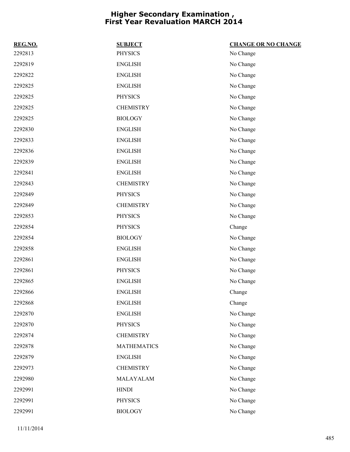| REG.NO. | <b>SUBJECT</b>     | <b>CHANGE OR NO CHANGE</b> |
|---------|--------------------|----------------------------|
| 2292813 | <b>PHYSICS</b>     | No Change                  |
| 2292819 | <b>ENGLISH</b>     | No Change                  |
| 2292822 | <b>ENGLISH</b>     | No Change                  |
| 2292825 | <b>ENGLISH</b>     | No Change                  |
| 2292825 | <b>PHYSICS</b>     | No Change                  |
| 2292825 | <b>CHEMISTRY</b>   | No Change                  |
| 2292825 | <b>BIOLOGY</b>     | No Change                  |
| 2292830 | <b>ENGLISH</b>     | No Change                  |
| 2292833 | <b>ENGLISH</b>     | No Change                  |
| 2292836 | <b>ENGLISH</b>     | No Change                  |
| 2292839 | <b>ENGLISH</b>     | No Change                  |
| 2292841 | <b>ENGLISH</b>     | No Change                  |
| 2292843 | <b>CHEMISTRY</b>   | No Change                  |
| 2292849 | <b>PHYSICS</b>     | No Change                  |
| 2292849 | <b>CHEMISTRY</b>   | No Change                  |
| 2292853 | <b>PHYSICS</b>     | No Change                  |
| 2292854 | <b>PHYSICS</b>     | Change                     |
| 2292854 | <b>BIOLOGY</b>     | No Change                  |
| 2292858 | <b>ENGLISH</b>     | No Change                  |
| 2292861 | <b>ENGLISH</b>     | No Change                  |
| 2292861 | <b>PHYSICS</b>     | No Change                  |
| 2292865 | <b>ENGLISH</b>     | No Change                  |
| 2292866 | <b>ENGLISH</b>     | Change                     |
| 2292868 | <b>ENGLISH</b>     | Change                     |
| 2292870 | <b>ENGLISH</b>     | No Change                  |
| 2292870 | <b>PHYSICS</b>     | No Change                  |
| 2292874 | <b>CHEMISTRY</b>   | No Change                  |
| 2292878 | <b>MATHEMATICS</b> | No Change                  |
| 2292879 | <b>ENGLISH</b>     | No Change                  |
| 2292973 | <b>CHEMISTRY</b>   | No Change                  |
| 2292980 | MALAYALAM          | No Change                  |
| 2292991 | <b>HINDI</b>       | No Change                  |
| 2292991 | PHYSICS            | No Change                  |
| 2292991 | <b>BIOLOGY</b>     | No Change                  |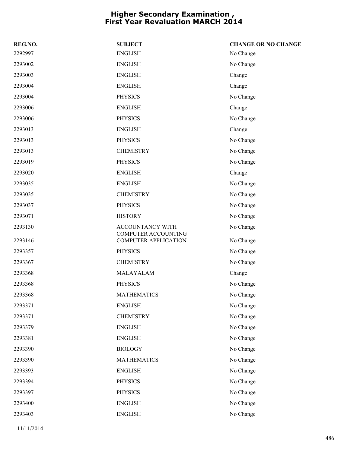| REG.NO. | <b>SUBJECT</b>                                            | <b>CHANGE OR NO CHANGE</b> |
|---------|-----------------------------------------------------------|----------------------------|
| 2292997 | <b>ENGLISH</b>                                            | No Change                  |
| 2293002 | <b>ENGLISH</b>                                            | No Change                  |
| 2293003 | <b>ENGLISH</b>                                            | Change                     |
| 2293004 | <b>ENGLISH</b>                                            | Change                     |
| 2293004 | <b>PHYSICS</b>                                            | No Change                  |
| 2293006 | <b>ENGLISH</b>                                            | Change                     |
| 2293006 | <b>PHYSICS</b>                                            | No Change                  |
| 2293013 | <b>ENGLISH</b>                                            | Change                     |
| 2293013 | <b>PHYSICS</b>                                            | No Change                  |
| 2293013 | <b>CHEMISTRY</b>                                          | No Change                  |
| 2293019 | <b>PHYSICS</b>                                            | No Change                  |
| 2293020 | <b>ENGLISH</b>                                            | Change                     |
| 2293035 | <b>ENGLISH</b>                                            | No Change                  |
| 2293035 | <b>CHEMISTRY</b>                                          | No Change                  |
| 2293037 | <b>PHYSICS</b>                                            | No Change                  |
| 2293071 | <b>HISTORY</b>                                            | No Change                  |
| 2293130 | ACCOUNTANCY WITH                                          | No Change                  |
| 2293146 | <b>COMPUTER ACCOUNTING</b><br><b>COMPUTER APPLICATION</b> | No Change                  |
| 2293357 | <b>PHYSICS</b>                                            | No Change                  |
| 2293367 | <b>CHEMISTRY</b>                                          | No Change                  |
| 2293368 | MALAYALAM                                                 | Change                     |
| 2293368 | <b>PHYSICS</b>                                            | No Change                  |
| 2293368 | <b>MATHEMATICS</b>                                        | No Change                  |
| 2293371 | <b>ENGLISH</b>                                            | No Change                  |
| 2293371 | <b>CHEMISTRY</b>                                          | No Change                  |
| 2293379 | <b>ENGLISH</b>                                            | No Change                  |
| 2293381 | <b>ENGLISH</b>                                            | No Change                  |
| 2293390 | <b>BIOLOGY</b>                                            | No Change                  |
| 2293390 | <b>MATHEMATICS</b>                                        | No Change                  |
| 2293393 | <b>ENGLISH</b>                                            | No Change                  |
| 2293394 | <b>PHYSICS</b>                                            | No Change                  |
| 2293397 | <b>PHYSICS</b>                                            | No Change                  |
| 2293400 |                                                           |                            |
|         | <b>ENGLISH</b>                                            | No Change                  |
|         |                                                           |                            |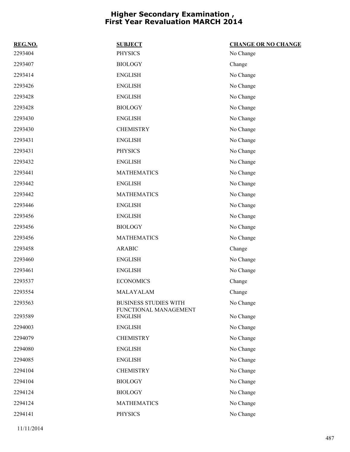| REG.NO. | <b>SUBJECT</b>                          | <b>CHANGE OR NO CHANGE</b> |
|---------|-----------------------------------------|----------------------------|
| 2293404 | <b>PHYSICS</b>                          | No Change                  |
| 2293407 | <b>BIOLOGY</b>                          | Change                     |
| 2293414 | <b>ENGLISH</b>                          | No Change                  |
| 2293426 | <b>ENGLISH</b>                          | No Change                  |
| 2293428 | <b>ENGLISH</b>                          | No Change                  |
| 2293428 | <b>BIOLOGY</b>                          | No Change                  |
| 2293430 | <b>ENGLISH</b>                          | No Change                  |
| 2293430 | <b>CHEMISTRY</b>                        | No Change                  |
| 2293431 | <b>ENGLISH</b>                          | No Change                  |
| 2293431 | <b>PHYSICS</b>                          | No Change                  |
| 2293432 | <b>ENGLISH</b>                          | No Change                  |
| 2293441 | <b>MATHEMATICS</b>                      | No Change                  |
| 2293442 | <b>ENGLISH</b>                          | No Change                  |
| 2293442 | <b>MATHEMATICS</b>                      | No Change                  |
| 2293446 | <b>ENGLISH</b>                          | No Change                  |
| 2293456 | <b>ENGLISH</b>                          | No Change                  |
| 2293456 | <b>BIOLOGY</b>                          | No Change                  |
| 2293456 | <b>MATHEMATICS</b>                      | No Change                  |
| 2293458 | <b>ARABIC</b>                           | Change                     |
| 2293460 | <b>ENGLISH</b>                          | No Change                  |
| 2293461 | <b>ENGLISH</b>                          | No Change                  |
| 2293537 | <b>ECONOMICS</b>                        | Change                     |
| 2293554 | MALAYALAM                               | Change                     |
| 2293563 | <b>BUSINESS STUDIES WITH</b>            | No Change                  |
| 2293589 | FUNCTIONAL MANAGEMENT<br><b>ENGLISH</b> | No Change                  |
| 2294003 | <b>ENGLISH</b>                          | No Change                  |
| 2294079 | <b>CHEMISTRY</b>                        | No Change                  |
| 2294080 | <b>ENGLISH</b>                          | No Change                  |
| 2294085 | <b>ENGLISH</b>                          | No Change                  |
| 2294104 | <b>CHEMISTRY</b>                        | No Change                  |
| 2294104 | <b>BIOLOGY</b>                          | No Change                  |
| 2294124 | <b>BIOLOGY</b>                          | No Change                  |
| 2294124 | <b>MATHEMATICS</b>                      | No Change                  |
| 2294141 | <b>PHYSICS</b>                          | No Change                  |
|         |                                         |                            |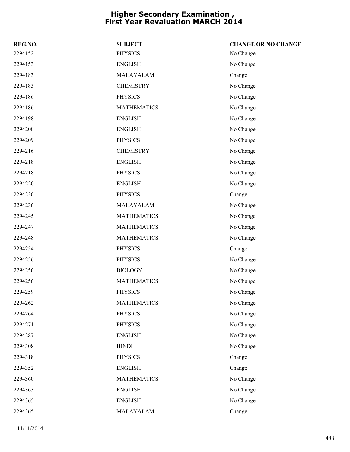| REG.NO. | <b>SUBJECT</b>     | <b>CHANGE OR NO CHANGE</b> |
|---------|--------------------|----------------------------|
| 2294152 | <b>PHYSICS</b>     | No Change                  |
| 2294153 | <b>ENGLISH</b>     | No Change                  |
| 2294183 | MALAYALAM          | Change                     |
| 2294183 | <b>CHEMISTRY</b>   | No Change                  |
| 2294186 | <b>PHYSICS</b>     | No Change                  |
| 2294186 | <b>MATHEMATICS</b> | No Change                  |
| 2294198 | <b>ENGLISH</b>     | No Change                  |
| 2294200 | <b>ENGLISH</b>     | No Change                  |
| 2294209 | <b>PHYSICS</b>     | No Change                  |
| 2294216 | <b>CHEMISTRY</b>   | No Change                  |
| 2294218 | <b>ENGLISH</b>     | No Change                  |
| 2294218 | <b>PHYSICS</b>     | No Change                  |
| 2294220 | <b>ENGLISH</b>     | No Change                  |
| 2294230 | <b>PHYSICS</b>     | Change                     |
| 2294236 | MALAYALAM          | No Change                  |
| 2294245 | <b>MATHEMATICS</b> | No Change                  |
| 2294247 | <b>MATHEMATICS</b> | No Change                  |
| 2294248 | <b>MATHEMATICS</b> | No Change                  |
| 2294254 | <b>PHYSICS</b>     | Change                     |
| 2294256 | <b>PHYSICS</b>     | No Change                  |
| 2294256 | <b>BIOLOGY</b>     | No Change                  |
| 2294256 | <b>MATHEMATICS</b> | No Change                  |
| 2294259 | <b>PHYSICS</b>     | No Change                  |
| 2294262 | <b>MATHEMATICS</b> | No Change                  |
| 2294264 | <b>PHYSICS</b>     | No Change                  |
| 2294271 | <b>PHYSICS</b>     | No Change                  |
| 2294287 | <b>ENGLISH</b>     | No Change                  |
| 2294308 | <b>HINDI</b>       | No Change                  |
| 2294318 | <b>PHYSICS</b>     | Change                     |
| 2294352 | <b>ENGLISH</b>     | Change                     |
| 2294360 | <b>MATHEMATICS</b> | No Change                  |
| 2294363 | <b>ENGLISH</b>     | No Change                  |
| 2294365 | <b>ENGLISH</b>     | No Change                  |
| 2294365 | MALAYALAM          | Change                     |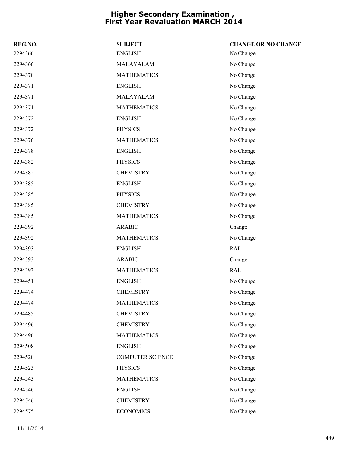| REG.NO. | <b>SUBJECT</b>          | <b>CHANGE OR NO CHANGE</b> |
|---------|-------------------------|----------------------------|
| 2294366 | <b>ENGLISH</b>          | No Change                  |
| 2294366 | MALAYALAM               | No Change                  |
| 2294370 | <b>MATHEMATICS</b>      | No Change                  |
| 2294371 | <b>ENGLISH</b>          | No Change                  |
| 2294371 | MALAYALAM               | No Change                  |
| 2294371 | <b>MATHEMATICS</b>      | No Change                  |
| 2294372 | <b>ENGLISH</b>          | No Change                  |
| 2294372 | <b>PHYSICS</b>          | No Change                  |
| 2294376 | <b>MATHEMATICS</b>      | No Change                  |
| 2294378 | <b>ENGLISH</b>          | No Change                  |
| 2294382 | <b>PHYSICS</b>          | No Change                  |
| 2294382 | <b>CHEMISTRY</b>        | No Change                  |
| 2294385 | <b>ENGLISH</b>          | No Change                  |
| 2294385 | <b>PHYSICS</b>          | No Change                  |
| 2294385 | <b>CHEMISTRY</b>        | No Change                  |
| 2294385 | <b>MATHEMATICS</b>      | No Change                  |
| 2294392 | <b>ARABIC</b>           | Change                     |
| 2294392 | <b>MATHEMATICS</b>      | No Change                  |
| 2294393 | <b>ENGLISH</b>          | RAL                        |
| 2294393 | <b>ARABIC</b>           | Change                     |
| 2294393 | <b>MATHEMATICS</b>      | RAL                        |
| 2294451 | <b>ENGLISH</b>          | No Change                  |
| 2294474 | <b>CHEMISTRY</b>        | No Change                  |
| 2294474 | <b>MATHEMATICS</b>      | No Change                  |
| 2294485 | <b>CHEMISTRY</b>        | No Change                  |
| 2294496 | <b>CHEMISTRY</b>        | No Change                  |
| 2294496 | <b>MATHEMATICS</b>      | No Change                  |
| 2294508 | <b>ENGLISH</b>          | No Change                  |
| 2294520 | <b>COMPUTER SCIENCE</b> | No Change                  |
| 2294523 | <b>PHYSICS</b>          | No Change                  |
| 2294543 | <b>MATHEMATICS</b>      | No Change                  |
| 2294546 | <b>ENGLISH</b>          | No Change                  |
| 2294546 | <b>CHEMISTRY</b>        | No Change                  |
| 2294575 | <b>ECONOMICS</b>        | No Change                  |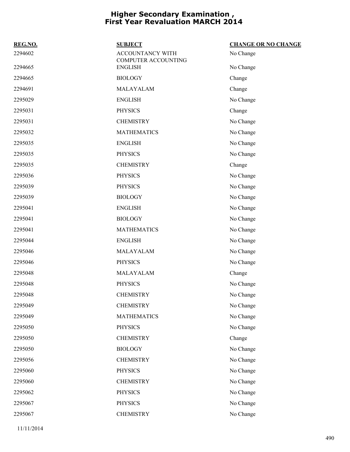| REG.NO. | <b>SUBJECT</b>                          | <b>CHANGE OR NO CHANGE</b> |
|---------|-----------------------------------------|----------------------------|
| 2294602 | ACCOUNTANCY WITH<br>COMPUTER ACCOUNTING | No Change                  |
| 2294665 | <b>ENGLISH</b>                          | No Change                  |
| 2294665 | <b>BIOLOGY</b>                          | Change                     |
| 2294691 | MALAYALAM                               | Change                     |
| 2295029 | <b>ENGLISH</b>                          | No Change                  |
| 2295031 | <b>PHYSICS</b>                          | Change                     |
| 2295031 | <b>CHEMISTRY</b>                        | No Change                  |
| 2295032 | <b>MATHEMATICS</b>                      | No Change                  |
| 2295035 | <b>ENGLISH</b>                          | No Change                  |
| 2295035 | <b>PHYSICS</b>                          | No Change                  |
| 2295035 | <b>CHEMISTRY</b>                        | Change                     |
| 2295036 | <b>PHYSICS</b>                          | No Change                  |
| 2295039 | <b>PHYSICS</b>                          | No Change                  |
| 2295039 | <b>BIOLOGY</b>                          | No Change                  |
| 2295041 | <b>ENGLISH</b>                          | No Change                  |
| 2295041 | <b>BIOLOGY</b>                          | No Change                  |
| 2295041 | <b>MATHEMATICS</b>                      | No Change                  |
| 2295044 | <b>ENGLISH</b>                          | No Change                  |
| 2295046 | MALAYALAM                               | No Change                  |
| 2295046 | <b>PHYSICS</b>                          | No Change                  |
| 2295048 | MALAYALAM                               | Change                     |
| 2295048 | <b>PHYSICS</b>                          | No Change                  |
| 2295048 | <b>CHEMISTRY</b>                        | No Change                  |
| 2295049 | <b>CHEMISTRY</b>                        | No Change                  |
| 2295049 | <b>MATHEMATICS</b>                      | No Change                  |
| 2295050 | <b>PHYSICS</b>                          | No Change                  |
| 2295050 | <b>CHEMISTRY</b>                        | Change                     |
| 2295050 | <b>BIOLOGY</b>                          | No Change                  |
| 2295056 | <b>CHEMISTRY</b>                        | No Change                  |
| 2295060 | <b>PHYSICS</b>                          | No Change                  |
| 2295060 | <b>CHEMISTRY</b>                        | No Change                  |
| 2295062 | <b>PHYSICS</b>                          | No Change                  |
| 2295067 | <b>PHYSICS</b>                          | No Change                  |
| 2295067 | <b>CHEMISTRY</b>                        | No Change                  |
|         |                                         |                            |

11/11/2014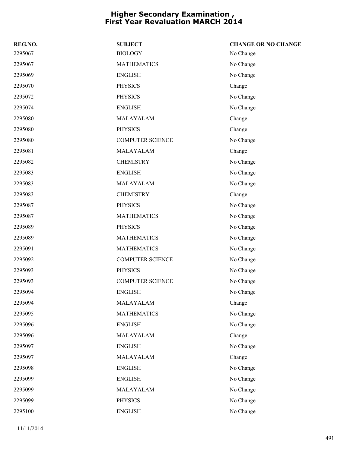| REG.NO. | <b>SUBJECT</b>          | <b>CHANGE OR NO CHANGE</b> |
|---------|-------------------------|----------------------------|
| 2295067 | <b>BIOLOGY</b>          | No Change                  |
| 2295067 | <b>MATHEMATICS</b>      | No Change                  |
| 2295069 | <b>ENGLISH</b>          | No Change                  |
| 2295070 | <b>PHYSICS</b>          | Change                     |
| 2295072 | <b>PHYSICS</b>          | No Change                  |
| 2295074 | <b>ENGLISH</b>          | No Change                  |
| 2295080 | MALAYALAM               | Change                     |
| 2295080 | <b>PHYSICS</b>          | Change                     |
| 2295080 | <b>COMPUTER SCIENCE</b> | No Change                  |
| 2295081 | MALAYALAM               | Change                     |
| 2295082 | <b>CHEMISTRY</b>        | No Change                  |
| 2295083 | <b>ENGLISH</b>          | No Change                  |
| 2295083 | MALAYALAM               | No Change                  |
| 2295083 | <b>CHEMISTRY</b>        | Change                     |
| 2295087 | <b>PHYSICS</b>          | No Change                  |
| 2295087 | <b>MATHEMATICS</b>      | No Change                  |
| 2295089 | <b>PHYSICS</b>          | No Change                  |
| 2295089 | <b>MATHEMATICS</b>      | No Change                  |
| 2295091 | <b>MATHEMATICS</b>      | No Change                  |
| 2295092 | <b>COMPUTER SCIENCE</b> | No Change                  |
| 2295093 | <b>PHYSICS</b>          | No Change                  |
| 2295093 | <b>COMPUTER SCIENCE</b> | No Change                  |
| 2295094 | <b>ENGLISH</b>          | No Change                  |
| 2295094 | MALAYALAM               | Change                     |
| 2295095 | <b>MATHEMATICS</b>      | No Change                  |
| 2295096 | <b>ENGLISH</b>          | No Change                  |
| 2295096 | MALAYALAM               | Change                     |
| 2295097 | <b>ENGLISH</b>          | No Change                  |
| 2295097 | MALAYALAM               | Change                     |
| 2295098 | <b>ENGLISH</b>          | No Change                  |
| 2295099 | <b>ENGLISH</b>          | No Change                  |
| 2295099 | MALAYALAM               | No Change                  |
| 2295099 | <b>PHYSICS</b>          | No Change                  |
| 2295100 | <b>ENGLISH</b>          | No Change                  |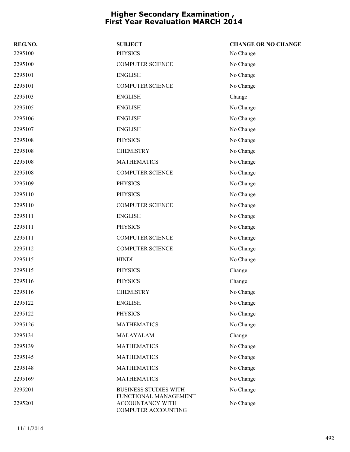| REG.NO. | <b>SUBJECT</b>                                                   | <b>CHANGE OR NO CHANGE</b> |
|---------|------------------------------------------------------------------|----------------------------|
| 2295100 | <b>PHYSICS</b>                                                   | No Change                  |
| 2295100 | <b>COMPUTER SCIENCE</b>                                          | No Change                  |
| 2295101 | <b>ENGLISH</b>                                                   | No Change                  |
| 2295101 | <b>COMPUTER SCIENCE</b>                                          | No Change                  |
| 2295103 | <b>ENGLISH</b>                                                   | Change                     |
| 2295105 | <b>ENGLISH</b>                                                   | No Change                  |
| 2295106 | <b>ENGLISH</b>                                                   | No Change                  |
| 2295107 | <b>ENGLISH</b>                                                   | No Change                  |
| 2295108 | <b>PHYSICS</b>                                                   | No Change                  |
| 2295108 | <b>CHEMISTRY</b>                                                 | No Change                  |
| 2295108 | <b>MATHEMATICS</b>                                               | No Change                  |
| 2295108 | <b>COMPUTER SCIENCE</b>                                          | No Change                  |
| 2295109 | <b>PHYSICS</b>                                                   | No Change                  |
| 2295110 | <b>PHYSICS</b>                                                   | No Change                  |
| 2295110 | <b>COMPUTER SCIENCE</b>                                          | No Change                  |
| 2295111 | <b>ENGLISH</b>                                                   | No Change                  |
| 2295111 | <b>PHYSICS</b>                                                   | No Change                  |
| 2295111 | <b>COMPUTER SCIENCE</b>                                          | No Change                  |
| 2295112 | <b>COMPUTER SCIENCE</b>                                          | No Change                  |
| 2295115 | <b>HINDI</b>                                                     | No Change                  |
| 2295115 | <b>PHYSICS</b>                                                   | Change                     |
| 2295116 | <b>PHYSICS</b>                                                   | Change                     |
| 2295116 | <b>CHEMISTRY</b>                                                 | No Change                  |
| 2295122 | <b>ENGLISH</b>                                                   | No Change                  |
| 2295122 | <b>PHYSICS</b>                                                   | No Change                  |
| 2295126 | <b>MATHEMATICS</b>                                               | No Change                  |
| 2295134 | MALAYALAM                                                        | Change                     |
| 2295139 | <b>MATHEMATICS</b>                                               | No Change                  |
| 2295145 | <b>MATHEMATICS</b>                                               | No Change                  |
| 2295148 | <b>MATHEMATICS</b>                                               | No Change                  |
| 2295169 | <b>MATHEMATICS</b>                                               | No Change                  |
| 2295201 | <b>BUSINESS STUDIES WITH</b>                                     | No Change                  |
| 2295201 | FUNCTIONAL MANAGEMENT<br>ACCOUNTANCY WITH<br>COMPUTER ACCOUNTING | No Change                  |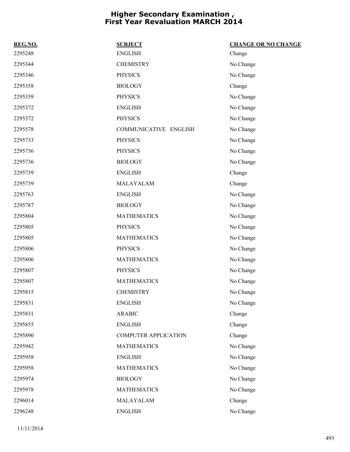| REG.NO. | <b>SUBJECT</b>              | <b>CHANGE OR NO CHANGE</b> |
|---------|-----------------------------|----------------------------|
| 2295248 | <b>ENGLISH</b>              | Change                     |
| 2295344 | <b>CHEMISTRY</b>            | No Change                  |
| 2295346 | <b>PHYSICS</b>              | No Change                  |
| 2295358 | <b>BIOLOGY</b>              | Change                     |
| 2295359 | <b>PHYSICS</b>              | No Change                  |
| 2295372 | <b>ENGLISH</b>              | No Change                  |
| 2295372 | <b>PHYSICS</b>              | No Change                  |
| 2295578 | COMMUNICATIVE ENGLISH       | No Change                  |
| 2295733 | <b>PHYSICS</b>              | No Change                  |
| 2295736 | <b>PHYSICS</b>              | No Change                  |
| 2295736 | <b>BIOLOGY</b>              | No Change                  |
| 2295739 | <b>ENGLISH</b>              | Change                     |
| 2295739 | MALAYALAM                   | Change                     |
| 2295763 | <b>ENGLISH</b>              | No Change                  |
| 2295787 | <b>BIOLOGY</b>              | No Change                  |
| 2295804 | <b>MATHEMATICS</b>          | No Change                  |
| 2295805 | <b>PHYSICS</b>              | No Change                  |
| 2295805 | <b>MATHEMATICS</b>          | No Change                  |
| 2295806 | <b>PHYSICS</b>              | No Change                  |
| 2295806 | <b>MATHEMATICS</b>          | No Change                  |
| 2295807 | <b>PHYSICS</b>              | No Change                  |
| 2295807 | <b>MATHEMATICS</b>          | No Change                  |
| 2295815 | <b>CHEMISTRY</b>            | No Change                  |
| 2295831 | <b>ENGLISH</b>              | No Change                  |
| 2295831 | <b>ARABIC</b>               | Change                     |
| 2295855 | <b>ENGLISH</b>              | Change                     |
| 2295890 | <b>COMPUTER APPLICATION</b> | Change                     |
| 2295942 | <b>MATHEMATICS</b>          | No Change                  |
| 2295958 | <b>ENGLISH</b>              | No Change                  |
| 2295958 | <b>MATHEMATICS</b>          | No Change                  |
| 2295974 | <b>BIOLOGY</b>              | No Change                  |
| 2295978 | <b>MATHEMATICS</b>          | No Change                  |
| 2296014 | MALAYALAM                   | Change                     |
| 2296248 | <b>ENGLISH</b>              | No Change                  |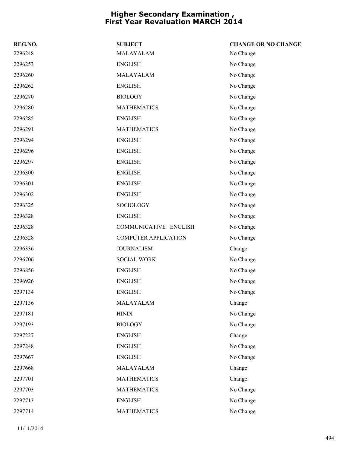| REG.NO. | <b>SUBJECT</b>              | <b>CHANGE OR NO CHANGE</b> |
|---------|-----------------------------|----------------------------|
| 2296248 | MALAYALAM                   | No Change                  |
| 2296253 | <b>ENGLISH</b>              | No Change                  |
| 2296260 | MALAYALAM                   | No Change                  |
| 2296262 | <b>ENGLISH</b>              | No Change                  |
| 2296270 | <b>BIOLOGY</b>              | No Change                  |
| 2296280 | <b>MATHEMATICS</b>          | No Change                  |
| 2296285 | <b>ENGLISH</b>              | No Change                  |
| 2296291 | <b>MATHEMATICS</b>          | No Change                  |
| 2296294 | <b>ENGLISH</b>              | No Change                  |
| 2296296 | <b>ENGLISH</b>              | No Change                  |
| 2296297 | <b>ENGLISH</b>              | No Change                  |
| 2296300 | <b>ENGLISH</b>              | No Change                  |
| 2296301 | <b>ENGLISH</b>              | No Change                  |
| 2296302 | <b>ENGLISH</b>              | No Change                  |
| 2296325 | <b>SOCIOLOGY</b>            | No Change                  |
| 2296328 | <b>ENGLISH</b>              | No Change                  |
| 2296328 | COMMUNICATIVE ENGLISH       | No Change                  |
| 2296328 | <b>COMPUTER APPLICATION</b> | No Change                  |
| 2296336 | <b>JOURNALISM</b>           | Change                     |
| 2296706 | <b>SOCIAL WORK</b>          | No Change                  |
| 2296856 | <b>ENGLISH</b>              | No Change                  |
| 2296926 | <b>ENGLISH</b>              | No Change                  |
| 2297134 | <b>ENGLISH</b>              | No Change                  |
| 2297136 | MALAYALAM                   | Change                     |
| 2297181 | <b>HINDI</b>                | No Change                  |
| 2297193 | <b>BIOLOGY</b>              | No Change                  |
| 2297227 | <b>ENGLISH</b>              | Change                     |
| 2297248 | <b>ENGLISH</b>              | No Change                  |
| 2297667 | ${\rm ENGLISH}$             | No Change                  |
| 2297668 | MALAYALAM                   | Change                     |
| 2297701 | <b>MATHEMATICS</b>          | Change                     |
| 2297703 | <b>MATHEMATICS</b>          | No Change                  |
| 2297713 | <b>ENGLISH</b>              | No Change                  |
| 2297714 | <b>MATHEMATICS</b>          | No Change                  |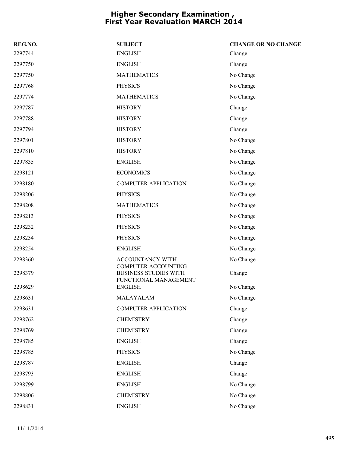| REG.NO. | <b>SUBJECT</b>                                             | <b>CHANGE OR NO CHANGE</b> |
|---------|------------------------------------------------------------|----------------------------|
| 2297744 | <b>ENGLISH</b>                                             | Change                     |
| 2297750 | <b>ENGLISH</b>                                             | Change                     |
| 2297750 | <b>MATHEMATICS</b>                                         | No Change                  |
| 2297768 | <b>PHYSICS</b>                                             | No Change                  |
| 2297774 | <b>MATHEMATICS</b>                                         | No Change                  |
| 2297787 | <b>HISTORY</b>                                             | Change                     |
| 2297788 | <b>HISTORY</b>                                             | Change                     |
| 2297794 | <b>HISTORY</b>                                             | Change                     |
| 2297801 | <b>HISTORY</b>                                             | No Change                  |
| 2297810 | <b>HISTORY</b>                                             | No Change                  |
| 2297835 | <b>ENGLISH</b>                                             | No Change                  |
| 2298121 | <b>ECONOMICS</b>                                           | No Change                  |
| 2298180 | <b>COMPUTER APPLICATION</b>                                | No Change                  |
| 2298206 | <b>PHYSICS</b>                                             | No Change                  |
| 2298208 | <b>MATHEMATICS</b>                                         | No Change                  |
| 2298213 | <b>PHYSICS</b>                                             | No Change                  |
| 2298232 | <b>PHYSICS</b>                                             | No Change                  |
| 2298234 | <b>PHYSICS</b>                                             | No Change                  |
| 2298254 | <b>ENGLISH</b>                                             | No Change                  |
| 2298360 | ACCOUNTANCY WITH                                           | No Change                  |
| 2298379 | <b>COMPUTER ACCOUNTING</b><br><b>BUSINESS STUDIES WITH</b> | Change                     |
| 2298629 | FUNCTIONAL MANAGEMENT<br><b>ENGLISH</b>                    | No Change                  |
| 2298631 | MALAYALAM                                                  | No Change                  |
| 2298631 | <b>COMPUTER APPLICATION</b>                                | Change                     |
| 2298762 | <b>CHEMISTRY</b>                                           | Change                     |
| 2298769 | <b>CHEMISTRY</b>                                           | Change                     |
| 2298785 | <b>ENGLISH</b>                                             | Change                     |
| 2298785 | <b>PHYSICS</b>                                             | No Change                  |
| 2298787 | <b>ENGLISH</b>                                             | Change                     |
| 2298793 | <b>ENGLISH</b>                                             | Change                     |
| 2298799 | <b>ENGLISH</b>                                             | No Change                  |
| 2298806 | <b>CHEMISTRY</b>                                           | No Change                  |
| 2298831 | <b>ENGLISH</b>                                             | No Change                  |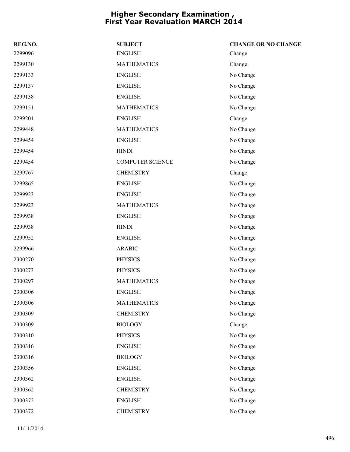| REG.NO. | <b>SUBJECT</b>          | <b>CHANGE OR NO CHANGE</b> |
|---------|-------------------------|----------------------------|
| 2299096 | <b>ENGLISH</b>          | Change                     |
| 2299130 | <b>MATHEMATICS</b>      | Change                     |
| 2299133 | <b>ENGLISH</b>          | No Change                  |
| 2299137 | <b>ENGLISH</b>          | No Change                  |
| 2299138 | <b>ENGLISH</b>          | No Change                  |
| 2299151 | <b>MATHEMATICS</b>      | No Change                  |
| 2299201 | <b>ENGLISH</b>          | Change                     |
| 2299448 | <b>MATHEMATICS</b>      | No Change                  |
| 2299454 | <b>ENGLISH</b>          | No Change                  |
| 2299454 | <b>HINDI</b>            | No Change                  |
| 2299454 | <b>COMPUTER SCIENCE</b> | No Change                  |
| 2299767 | <b>CHEMISTRY</b>        | Change                     |
| 2299865 | <b>ENGLISH</b>          | No Change                  |
| 2299923 | <b>ENGLISH</b>          | No Change                  |
| 2299923 | <b>MATHEMATICS</b>      | No Change                  |
| 2299938 | <b>ENGLISH</b>          | No Change                  |
| 2299938 | <b>HINDI</b>            | No Change                  |
| 2299952 | <b>ENGLISH</b>          | No Change                  |
| 2299966 | <b>ARABIC</b>           | No Change                  |
| 2300270 | <b>PHYSICS</b>          | No Change                  |
| 2300273 | <b>PHYSICS</b>          | No Change                  |
| 2300297 | <b>MATHEMATICS</b>      | No Change                  |
| 2300306 | <b>ENGLISH</b>          | No Change                  |
| 2300306 | <b>MATHEMATICS</b>      | No Change                  |
| 2300309 | <b>CHEMISTRY</b>        | No Change                  |
| 2300309 | <b>BIOLOGY</b>          | Change                     |
| 2300310 | <b>PHYSICS</b>          | No Change                  |
| 2300316 | <b>ENGLISH</b>          | No Change                  |
| 2300316 | <b>BIOLOGY</b>          | No Change                  |
| 2300356 | <b>ENGLISH</b>          | No Change                  |
| 2300362 | <b>ENGLISH</b>          | No Change                  |
| 2300362 | <b>CHEMISTRY</b>        | No Change                  |
| 2300372 | <b>ENGLISH</b>          | No Change                  |
| 2300372 | <b>CHEMISTRY</b>        | No Change                  |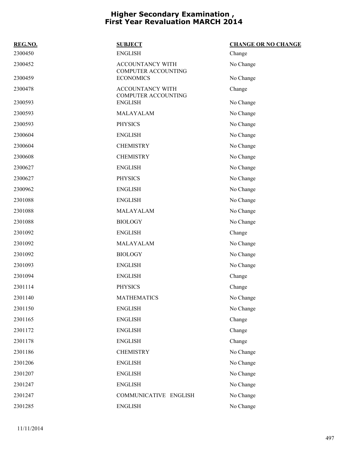| REG.NO. | <b>SUBJECT</b>                                 | <b>CHANGE OR NO CHANGE</b> |
|---------|------------------------------------------------|----------------------------|
| 2300450 | <b>ENGLISH</b>                                 | Change                     |
| 2300452 | ACCOUNTANCY WITH<br><b>COMPUTER ACCOUNTING</b> | No Change                  |
| 2300459 | <b>ECONOMICS</b>                               | No Change                  |
| 2300478 | ACCOUNTANCY WITH<br>COMPUTER ACCOUNTING        | Change                     |
| 2300593 | <b>ENGLISH</b>                                 | No Change                  |
| 2300593 | MALAYALAM                                      | No Change                  |
| 2300593 | <b>PHYSICS</b>                                 | No Change                  |
| 2300604 | <b>ENGLISH</b>                                 | No Change                  |
| 2300604 | <b>CHEMISTRY</b>                               | No Change                  |
| 2300608 | <b>CHEMISTRY</b>                               | No Change                  |
| 2300627 | <b>ENGLISH</b>                                 | No Change                  |
| 2300627 | <b>PHYSICS</b>                                 | No Change                  |
| 2300962 | <b>ENGLISH</b>                                 | No Change                  |
| 2301088 | <b>ENGLISH</b>                                 | No Change                  |
| 2301088 | MALAYALAM                                      | No Change                  |
| 2301088 | <b>BIOLOGY</b>                                 | No Change                  |
| 2301092 | <b>ENGLISH</b>                                 | Change                     |
| 2301092 | MALAYALAM                                      | No Change                  |
| 2301092 | <b>BIOLOGY</b>                                 | No Change                  |
| 2301093 | <b>ENGLISH</b>                                 | No Change                  |
| 2301094 | <b>ENGLISH</b>                                 | Change                     |
| 2301114 | <b>PHYSICS</b>                                 | Change                     |
| 2301140 | <b>MATHEMATICS</b>                             | No Change                  |
| 2301150 | <b>ENGLISH</b>                                 | No Change                  |
| 2301165 | <b>ENGLISH</b>                                 | Change                     |
| 2301172 | <b>ENGLISH</b>                                 | Change                     |
| 2301178 | <b>ENGLISH</b>                                 | Change                     |
| 2301186 | <b>CHEMISTRY</b>                               | No Change                  |
| 2301206 | <b>ENGLISH</b>                                 | No Change                  |
| 2301207 | <b>ENGLISH</b>                                 | No Change                  |
| 2301247 | <b>ENGLISH</b>                                 | No Change                  |
| 2301247 | COMMUNICATIVE ENGLISH                          | No Change                  |
| 2301285 | <b>ENGLISH</b>                                 | No Change                  |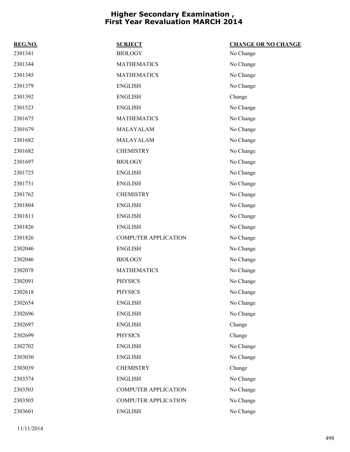| REG.NO. | <b>SUBJECT</b>              | <b>CHANGE OR NO CHANGE</b> |
|---------|-----------------------------|----------------------------|
| 2301341 | <b>BIOLOGY</b>              | No Change                  |
| 2301344 | <b>MATHEMATICS</b>          | No Change                  |
| 2301345 | <b>MATHEMATICS</b>          | No Change                  |
| 2301379 | <b>ENGLISH</b>              | No Change                  |
| 2301392 | <b>ENGLISH</b>              | Change                     |
| 2301523 | <b>ENGLISH</b>              | No Change                  |
| 2301675 | <b>MATHEMATICS</b>          | No Change                  |
| 2301679 | MALAYALAM                   | No Change                  |
| 2301682 | MALAYALAM                   | No Change                  |
| 2301682 | <b>CHEMISTRY</b>            | No Change                  |
| 2301697 | <b>BIOLOGY</b>              | No Change                  |
| 2301725 | <b>ENGLISH</b>              | No Change                  |
| 2301731 | <b>ENGLISH</b>              | No Change                  |
| 2301762 | <b>CHEMISTRY</b>            | No Change                  |
| 2301804 | <b>ENGLISH</b>              | No Change                  |
| 2301811 | <b>ENGLISH</b>              | No Change                  |
| 2301826 | <b>ENGLISH</b>              | No Change                  |
| 2301826 | <b>COMPUTER APPLICATION</b> | No Change                  |
| 2302046 | <b>ENGLISH</b>              | No Change                  |
| 2302046 | <b>BIOLOGY</b>              | No Change                  |
| 2302078 | <b>MATHEMATICS</b>          | No Change                  |
| 2302091 | <b>PHYSICS</b>              | No Change                  |
| 2302618 | <b>PHYSICS</b>              | No Change                  |
| 2302654 | <b>ENGLISH</b>              | No Change                  |
| 2302696 | <b>ENGLISH</b>              | No Change                  |
| 2302697 | <b>ENGLISH</b>              | Change                     |
| 2302699 | <b>PHYSICS</b>              | Change                     |
| 2302702 | <b>ENGLISH</b>              | No Change                  |
| 2303030 | <b>ENGLISH</b>              | No Change                  |
| 2303039 | <b>CHEMISTRY</b>            | Change                     |
| 2303374 | <b>ENGLISH</b>              | No Change                  |
| 2303503 | <b>COMPUTER APPLICATION</b> | No Change                  |
| 2303505 | <b>COMPUTER APPLICATION</b> | No Change                  |
| 2303601 | <b>ENGLISH</b>              | No Change                  |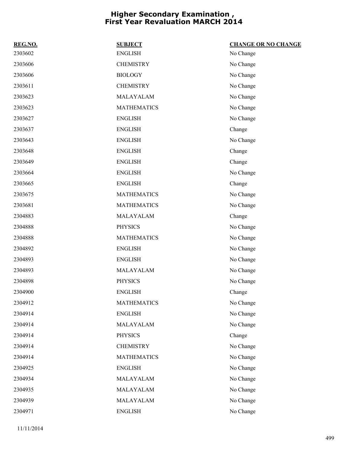| REG.NO. | <b>SUBJECT</b>     | <b>CHANGE OR NO CHANGE</b> |
|---------|--------------------|----------------------------|
| 2303602 | <b>ENGLISH</b>     | No Change                  |
| 2303606 | <b>CHEMISTRY</b>   | No Change                  |
| 2303606 | <b>BIOLOGY</b>     | No Change                  |
| 2303611 | <b>CHEMISTRY</b>   | No Change                  |
| 2303623 | MALAYALAM          | No Change                  |
| 2303623 | <b>MATHEMATICS</b> | No Change                  |
| 2303627 | <b>ENGLISH</b>     | No Change                  |
| 2303637 | <b>ENGLISH</b>     | Change                     |
| 2303643 | <b>ENGLISH</b>     | No Change                  |
| 2303648 | <b>ENGLISH</b>     | Change                     |
| 2303649 | <b>ENGLISH</b>     | Change                     |
| 2303664 | <b>ENGLISH</b>     | No Change                  |
| 2303665 | <b>ENGLISH</b>     | Change                     |
| 2303675 | <b>MATHEMATICS</b> | No Change                  |
| 2303681 | <b>MATHEMATICS</b> | No Change                  |
| 2304883 | MALAYALAM          | Change                     |
| 2304888 | <b>PHYSICS</b>     | No Change                  |
| 2304888 | <b>MATHEMATICS</b> | No Change                  |
| 2304892 | <b>ENGLISH</b>     | No Change                  |
| 2304893 | <b>ENGLISH</b>     | No Change                  |
| 2304893 | MALAYALAM          | No Change                  |
| 2304898 | <b>PHYSICS</b>     | No Change                  |
| 2304900 | <b>ENGLISH</b>     | Change                     |
| 2304912 | <b>MATHEMATICS</b> | No Change                  |
| 2304914 | <b>ENGLISH</b>     | No Change                  |
| 2304914 | MALAYALAM          | No Change                  |
| 2304914 | <b>PHYSICS</b>     | Change                     |
| 2304914 | <b>CHEMISTRY</b>   | No Change                  |
| 2304914 | <b>MATHEMATICS</b> | No Change                  |
| 2304925 | <b>ENGLISH</b>     | No Change                  |
| 2304934 | MALAYALAM          | No Change                  |
| 2304935 | MALAYALAM          | No Change                  |
| 2304939 | MALAYALAM          | No Change                  |
| 2304971 | <b>ENGLISH</b>     | No Change                  |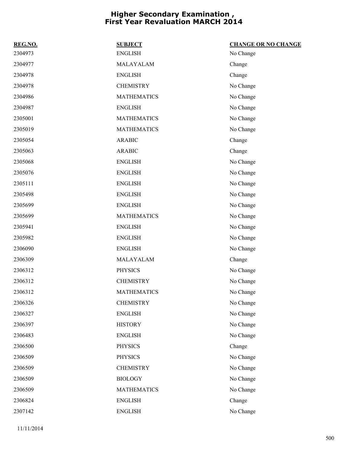| REG.NO. | <b>SUBJECT</b>     | <b>CHANGE OR NO CHANGE</b> |
|---------|--------------------|----------------------------|
| 2304973 | <b>ENGLISH</b>     | No Change                  |
| 2304977 | MALAYALAM          | Change                     |
| 2304978 | <b>ENGLISH</b>     | Change                     |
| 2304978 | <b>CHEMISTRY</b>   | No Change                  |
| 2304986 | <b>MATHEMATICS</b> | No Change                  |
| 2304987 | <b>ENGLISH</b>     | No Change                  |
| 2305001 | <b>MATHEMATICS</b> | No Change                  |
| 2305019 | <b>MATHEMATICS</b> | No Change                  |
| 2305054 | <b>ARABIC</b>      | Change                     |
| 2305063 | <b>ARABIC</b>      | Change                     |
| 2305068 | <b>ENGLISH</b>     | No Change                  |
| 2305076 | <b>ENGLISH</b>     | No Change                  |
| 2305111 | <b>ENGLISH</b>     | No Change                  |
| 2305498 | <b>ENGLISH</b>     | No Change                  |
| 2305699 | <b>ENGLISH</b>     | No Change                  |
| 2305699 | <b>MATHEMATICS</b> | No Change                  |
| 2305941 | <b>ENGLISH</b>     | No Change                  |
| 2305982 | <b>ENGLISH</b>     | No Change                  |
| 2306090 | <b>ENGLISH</b>     | No Change                  |
| 2306309 | MALAYALAM          | Change                     |
| 2306312 | <b>PHYSICS</b>     | No Change                  |
| 2306312 | <b>CHEMISTRY</b>   | No Change                  |
| 2306312 | <b>MATHEMATICS</b> | No Change                  |
| 2306326 | <b>CHEMISTRY</b>   | No Change                  |
| 2306327 | <b>ENGLISH</b>     | No Change                  |
| 2306397 | <b>HISTORY</b>     | No Change                  |
| 2306483 | <b>ENGLISH</b>     | No Change                  |
| 2306500 | <b>PHYSICS</b>     | Change                     |
| 2306509 | <b>PHYSICS</b>     | No Change                  |
| 2306509 | <b>CHEMISTRY</b>   | No Change                  |
| 2306509 | <b>BIOLOGY</b>     | No Change                  |
| 2306509 | <b>MATHEMATICS</b> | No Change                  |
| 2306824 | <b>ENGLISH</b>     | Change                     |
| 2307142 | <b>ENGLISH</b>     | No Change                  |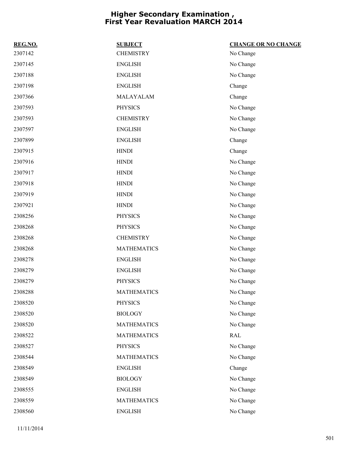| REG.NO. | <b>SUBJECT</b>     | <b>CHANGE OR NO CHANGE</b> |
|---------|--------------------|----------------------------|
| 2307142 | <b>CHEMISTRY</b>   | No Change                  |
| 2307145 | <b>ENGLISH</b>     | No Change                  |
| 2307188 | <b>ENGLISH</b>     | No Change                  |
| 2307198 | <b>ENGLISH</b>     | Change                     |
| 2307366 | MALAYALAM          | Change                     |
| 2307593 | <b>PHYSICS</b>     | No Change                  |
| 2307593 | <b>CHEMISTRY</b>   | No Change                  |
| 2307597 | <b>ENGLISH</b>     | No Change                  |
| 2307899 | <b>ENGLISH</b>     | Change                     |
| 2307915 | <b>HINDI</b>       | Change                     |
| 2307916 | <b>HINDI</b>       | No Change                  |
| 2307917 | <b>HINDI</b>       | No Change                  |
| 2307918 | <b>HINDI</b>       | No Change                  |
| 2307919 | <b>HINDI</b>       | No Change                  |
| 2307921 | <b>HINDI</b>       | No Change                  |
| 2308256 | <b>PHYSICS</b>     | No Change                  |
| 2308268 | <b>PHYSICS</b>     | No Change                  |
| 2308268 | <b>CHEMISTRY</b>   | No Change                  |
| 2308268 | <b>MATHEMATICS</b> | No Change                  |
| 2308278 | <b>ENGLISH</b>     | No Change                  |
| 2308279 | <b>ENGLISH</b>     | No Change                  |
| 2308279 | <b>PHYSICS</b>     | No Change                  |
| 2308288 | <b>MATHEMATICS</b> | No Change                  |
| 2308520 | <b>PHYSICS</b>     | No Change                  |
| 2308520 | <b>BIOLOGY</b>     | No Change                  |
| 2308520 | <b>MATHEMATICS</b> | No Change                  |
| 2308522 | <b>MATHEMATICS</b> | <b>RAL</b>                 |
| 2308527 | <b>PHYSICS</b>     | No Change                  |
| 2308544 | <b>MATHEMATICS</b> | No Change                  |
| 2308549 | <b>ENGLISH</b>     | Change                     |
| 2308549 | <b>BIOLOGY</b>     | No Change                  |
| 2308555 | <b>ENGLISH</b>     | No Change                  |
| 2308559 | <b>MATHEMATICS</b> | No Change                  |
| 2308560 | <b>ENGLISH</b>     | No Change                  |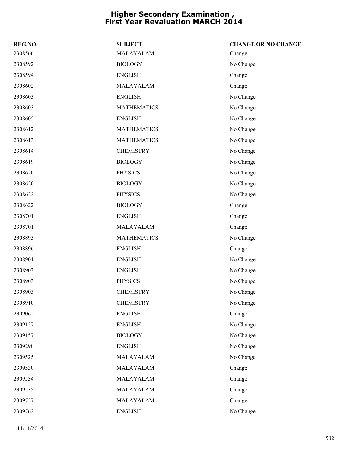| REG.NO. | <b>SUBJECT</b>     | <b>CHANGE OR NO CHANGE</b> |
|---------|--------------------|----------------------------|
| 2308566 | MALAYALAM          | Change                     |
| 2308592 | <b>BIOLOGY</b>     | No Change                  |
| 2308594 | <b>ENGLISH</b>     | Change                     |
| 2308602 | MALAYALAM          | Change                     |
| 2308603 | <b>ENGLISH</b>     | No Change                  |
| 2308603 | <b>MATHEMATICS</b> | No Change                  |
| 2308605 | <b>ENGLISH</b>     | No Change                  |
| 2308612 | <b>MATHEMATICS</b> | No Change                  |
| 2308613 | <b>MATHEMATICS</b> | No Change                  |
| 2308614 | <b>CHEMISTRY</b>   | No Change                  |
| 2308619 | <b>BIOLOGY</b>     | No Change                  |
| 2308620 | <b>PHYSICS</b>     | No Change                  |
| 2308620 | <b>BIOLOGY</b>     | No Change                  |
| 2308622 | <b>PHYSICS</b>     | No Change                  |
| 2308622 | <b>BIOLOGY</b>     | Change                     |
| 2308701 | <b>ENGLISH</b>     | Change                     |
| 2308701 | MALAYALAM          | Change                     |
| 2308893 | <b>MATHEMATICS</b> | No Change                  |
| 2308896 | <b>ENGLISH</b>     | Change                     |
| 2308901 | <b>ENGLISH</b>     | No Change                  |
| 2308903 | <b>ENGLISH</b>     | No Change                  |
| 2308903 | <b>PHYSICS</b>     | No Change                  |
| 2308903 | <b>CHEMISTRY</b>   | No Change                  |
| 2308910 | <b>CHEMISTRY</b>   | No Change                  |
| 2309062 | <b>ENGLISH</b>     | Change                     |
| 2309157 | <b>ENGLISH</b>     | No Change                  |
| 2309157 | <b>BIOLOGY</b>     | No Change                  |
| 2309290 | <b>ENGLISH</b>     | No Change                  |
| 2309525 | MALAYALAM          | No Change                  |
| 2309530 | MALAYALAM          | Change                     |
| 2309534 | MALAYALAM          | Change                     |
| 2309535 | MALAYALAM          | Change                     |
| 2309757 | MALAYALAM          | Change                     |
| 2309762 | <b>ENGLISH</b>     | No Change                  |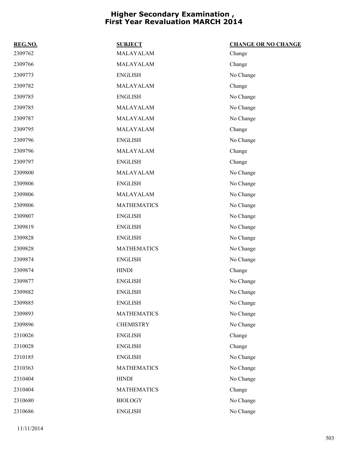| REG.NO. | <b>SUBJECT</b>     | <b>CHANGE OR NO CHANGE</b> |
|---------|--------------------|----------------------------|
| 2309762 | MALAYALAM          | Change                     |
| 2309766 | MALAYALAM          | Change                     |
| 2309773 | <b>ENGLISH</b>     | No Change                  |
| 2309782 | MALAYALAM          | Change                     |
| 2309785 | <b>ENGLISH</b>     | No Change                  |
| 2309785 | MALAYALAM          | No Change                  |
| 2309787 | MALAYALAM          | No Change                  |
| 2309795 | MALAYALAM          | Change                     |
| 2309796 | <b>ENGLISH</b>     | No Change                  |
| 2309796 | MALAYALAM          | Change                     |
| 2309797 | <b>ENGLISH</b>     | Change                     |
| 2309800 | MALAYALAM          | No Change                  |
| 2309806 | <b>ENGLISH</b>     | No Change                  |
| 2309806 | MALAYALAM          | No Change                  |
| 2309806 | <b>MATHEMATICS</b> | No Change                  |
| 2309807 | <b>ENGLISH</b>     | No Change                  |
| 2309819 | <b>ENGLISH</b>     | No Change                  |
| 2309828 | <b>ENGLISH</b>     | No Change                  |
| 2309828 | <b>MATHEMATICS</b> | No Change                  |
| 2309874 | <b>ENGLISH</b>     | No Change                  |
| 2309874 | <b>HINDI</b>       | Change                     |
| 2309877 | <b>ENGLISH</b>     | No Change                  |
| 2309882 | <b>ENGLISH</b>     | No Change                  |
| 2309885 | <b>ENGLISH</b>     | No Change                  |
| 2309893 | <b>MATHEMATICS</b> | No Change                  |
| 2309896 | <b>CHEMISTRY</b>   | No Change                  |
| 2310026 | <b>ENGLISH</b>     | Change                     |
| 2310028 | <b>ENGLISH</b>     | Change                     |
| 2310185 | <b>ENGLISH</b>     | No Change                  |
| 2310363 | <b>MATHEMATICS</b> | No Change                  |
| 2310404 | <b>HINDI</b>       | No Change                  |
| 2310404 | <b>MATHEMATICS</b> | Change                     |
| 2310680 | <b>BIOLOGY</b>     | No Change                  |
| 2310686 | <b>ENGLISH</b>     | No Change                  |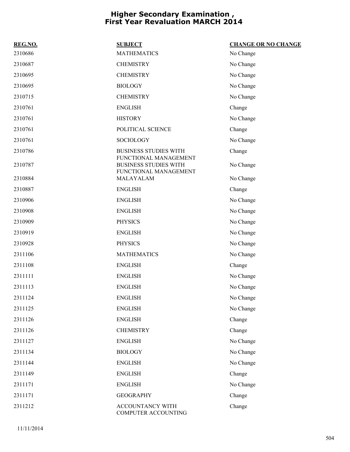| REG.NO. | <b>SUBJECT</b>                                        | <b>CHANGE OR NO CHANGE</b> |
|---------|-------------------------------------------------------|----------------------------|
| 2310686 | <b>MATHEMATICS</b>                                    | No Change                  |
| 2310687 | <b>CHEMISTRY</b>                                      | No Change                  |
| 2310695 | <b>CHEMISTRY</b>                                      | No Change                  |
| 2310695 | <b>BIOLOGY</b>                                        | No Change                  |
| 2310715 | <b>CHEMISTRY</b>                                      | No Change                  |
| 2310761 | <b>ENGLISH</b>                                        | Change                     |
| 2310761 | <b>HISTORY</b>                                        | No Change                  |
| 2310761 | POLITICAL SCIENCE                                     | Change                     |
| 2310761 | <b>SOCIOLOGY</b>                                      | No Change                  |
| 2310786 | <b>BUSINESS STUDIES WITH</b><br>FUNCTIONAL MANAGEMENT | Change                     |
| 2310787 | <b>BUSINESS STUDIES WITH</b><br>FUNCTIONAL MANAGEMENT | No Change                  |
| 2310884 | MALAYALAM                                             | No Change                  |
| 2310887 | <b>ENGLISH</b>                                        | Change                     |
| 2310906 | <b>ENGLISH</b>                                        | No Change                  |
| 2310908 | <b>ENGLISH</b>                                        | No Change                  |
| 2310909 | <b>PHYSICS</b>                                        | No Change                  |
| 2310919 | <b>ENGLISH</b>                                        | No Change                  |
| 2310928 | <b>PHYSICS</b>                                        | No Change                  |
| 2311106 | <b>MATHEMATICS</b>                                    | No Change                  |
| 2311108 | <b>ENGLISH</b>                                        | Change                     |
| 2311111 | <b>ENGLISH</b>                                        | No Change                  |
| 2311113 | <b>ENGLISH</b>                                        | No Change                  |
| 2311124 | <b>ENGLISH</b>                                        | No Change                  |
| 2311125 | <b>ENGLISH</b>                                        | No Change                  |
| 2311126 | <b>ENGLISH</b>                                        | Change                     |
| 2311126 | <b>CHEMISTRY</b>                                      | Change                     |
| 2311127 | <b>ENGLISH</b>                                        | No Change                  |
| 2311134 | <b>BIOLOGY</b>                                        | No Change                  |
| 2311144 | <b>ENGLISH</b>                                        | No Change                  |
| 2311149 | <b>ENGLISH</b>                                        | Change                     |
| 2311171 | <b>ENGLISH</b>                                        | No Change                  |
| 2311171 | <b>GEOGRAPHY</b>                                      | Change                     |
| 2311212 | ACCOUNTANCY WITH<br>COMPUTER ACCOUNTING               | Change                     |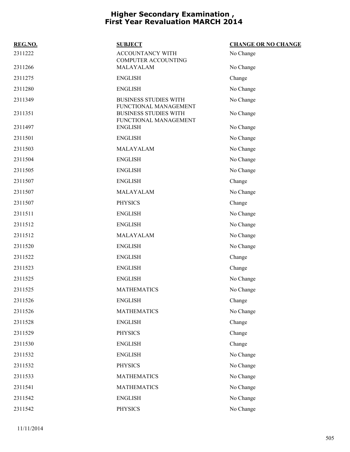| REG.NO. | <b>SUBJECT</b>                                                                 | <b>CHANGE OR NO CHANGE</b> |
|---------|--------------------------------------------------------------------------------|----------------------------|
| 2311222 | ACCOUNTANCY WITH<br><b>COMPUTER ACCOUNTING</b>                                 | No Change                  |
| 2311266 | MALAYALAM                                                                      | No Change                  |
| 2311275 | <b>ENGLISH</b>                                                                 | Change                     |
| 2311280 | <b>ENGLISH</b>                                                                 | No Change                  |
| 2311349 | <b>BUSINESS STUDIES WITH</b>                                                   | No Change                  |
| 2311351 | FUNCTIONAL MANAGEMENT<br><b>BUSINESS STUDIES WITH</b><br>FUNCTIONAL MANAGEMENT | No Change                  |
| 2311497 | <b>ENGLISH</b>                                                                 | No Change                  |
| 2311501 | <b>ENGLISH</b>                                                                 | No Change                  |
| 2311503 | MALAYALAM                                                                      | No Change                  |
| 2311504 | <b>ENGLISH</b>                                                                 | No Change                  |
| 2311505 | <b>ENGLISH</b>                                                                 | No Change                  |
| 2311507 | <b>ENGLISH</b>                                                                 | Change                     |
| 2311507 | MALAYALAM                                                                      | No Change                  |
| 2311507 | <b>PHYSICS</b>                                                                 | Change                     |
| 2311511 | <b>ENGLISH</b>                                                                 | No Change                  |
| 2311512 | <b>ENGLISH</b>                                                                 | No Change                  |
| 2311512 | MALAYALAM                                                                      | No Change                  |
| 2311520 | <b>ENGLISH</b>                                                                 | No Change                  |
| 2311522 | <b>ENGLISH</b>                                                                 | Change                     |
| 2311523 | <b>ENGLISH</b>                                                                 | Change                     |
| 2311525 | <b>ENGLISH</b>                                                                 | No Change                  |
| 2311525 | <b>MATHEMATICS</b>                                                             | No Change                  |
| 2311526 | <b>ENGLISH</b>                                                                 | Change                     |
| 2311526 | <b>MATHEMATICS</b>                                                             | No Change                  |
| 2311528 | <b>ENGLISH</b>                                                                 | Change                     |
| 2311529 | <b>PHYSICS</b>                                                                 | Change                     |
| 2311530 | <b>ENGLISH</b>                                                                 | Change                     |
| 2311532 | <b>ENGLISH</b>                                                                 | No Change                  |
| 2311532 | <b>PHYSICS</b>                                                                 | No Change                  |
| 2311533 | <b>MATHEMATICS</b>                                                             | No Change                  |
| 2311541 | <b>MATHEMATICS</b>                                                             | No Change                  |
| 2311542 | <b>ENGLISH</b>                                                                 | No Change                  |
| 2311542 | PHYSICS                                                                        | No Change                  |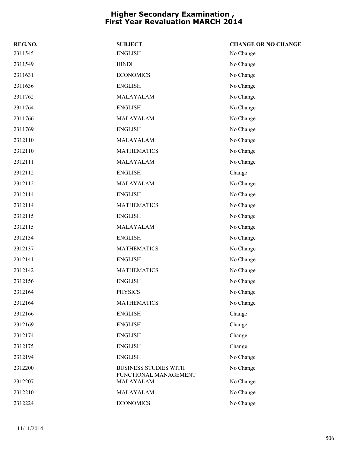| REG.NO. | <b>SUBJECT</b>                                        | <b>CHANGE OR NO CHANGE</b> |
|---------|-------------------------------------------------------|----------------------------|
| 2311545 | <b>ENGLISH</b>                                        | No Change                  |
| 2311549 | <b>HINDI</b>                                          | No Change                  |
| 2311631 | <b>ECONOMICS</b>                                      | No Change                  |
| 2311636 | <b>ENGLISH</b>                                        | No Change                  |
| 2311762 | MALAYALAM                                             | No Change                  |
| 2311764 | <b>ENGLISH</b>                                        | No Change                  |
| 2311766 | MALAYALAM                                             | No Change                  |
| 2311769 | <b>ENGLISH</b>                                        | No Change                  |
| 2312110 | MALAYALAM                                             | No Change                  |
| 2312110 | <b>MATHEMATICS</b>                                    | No Change                  |
| 2312111 | MALAYALAM                                             | No Change                  |
| 2312112 | <b>ENGLISH</b>                                        | Change                     |
| 2312112 | MALAYALAM                                             | No Change                  |
| 2312114 | <b>ENGLISH</b>                                        | No Change                  |
| 2312114 | <b>MATHEMATICS</b>                                    | No Change                  |
| 2312115 | <b>ENGLISH</b>                                        | No Change                  |
| 2312115 | MALAYALAM                                             | No Change                  |
| 2312134 | <b>ENGLISH</b>                                        | No Change                  |
| 2312137 | <b>MATHEMATICS</b>                                    | No Change                  |
| 2312141 | <b>ENGLISH</b>                                        | No Change                  |
| 2312142 | <b>MATHEMATICS</b>                                    | No Change                  |
| 2312156 | <b>ENGLISH</b>                                        | No Change                  |
| 2312164 | <b>PHYSICS</b>                                        | No Change                  |
| 2312164 | <b>MATHEMATICS</b>                                    | No Change                  |
| 2312166 | <b>ENGLISH</b>                                        | Change                     |
| 2312169 | <b>ENGLISH</b>                                        | Change                     |
| 2312174 | <b>ENGLISH</b>                                        | Change                     |
| 2312175 | <b>ENGLISH</b>                                        | Change                     |
| 2312194 | <b>ENGLISH</b>                                        | No Change                  |
| 2312200 | <b>BUSINESS STUDIES WITH</b><br>FUNCTIONAL MANAGEMENT | No Change                  |
| 2312207 | MALAYALAM                                             | No Change                  |
| 2312210 | MALAYALAM                                             | No Change                  |
| 2312224 | <b>ECONOMICS</b>                                      | No Change                  |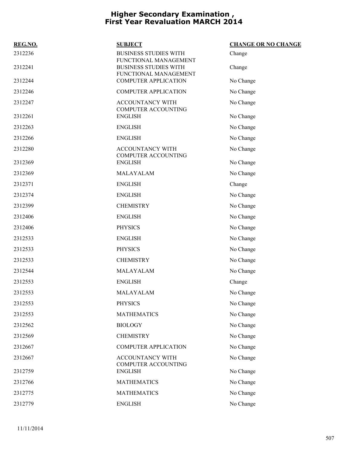| REG.NO. | <b>SUBJECT</b>                                                                 | <b>CHANGE OR NO CHANGE</b> |
|---------|--------------------------------------------------------------------------------|----------------------------|
| 2312236 | <b>BUSINESS STUDIES WITH</b>                                                   | Change                     |
| 2312241 | FUNCTIONAL MANAGEMENT<br><b>BUSINESS STUDIES WITH</b><br>FUNCTIONAL MANAGEMENT | Change                     |
| 2312244 | <b>COMPUTER APPLICATION</b>                                                    | No Change                  |
| 2312246 | <b>COMPUTER APPLICATION</b>                                                    | No Change                  |
| 2312247 | ACCOUNTANCY WITH                                                               | No Change                  |
| 2312261 | COMPUTER ACCOUNTING<br><b>ENGLISH</b>                                          | No Change                  |
| 2312263 | <b>ENGLISH</b>                                                                 | No Change                  |
| 2312266 | <b>ENGLISH</b>                                                                 | No Change                  |
| 2312280 | <b>ACCOUNTANCY WITH</b>                                                        | No Change                  |
| 2312369 | <b>COMPUTER ACCOUNTING</b><br><b>ENGLISH</b>                                   | No Change                  |
| 2312369 | MALAYALAM                                                                      | No Change                  |
| 2312371 | <b>ENGLISH</b>                                                                 | Change                     |
| 2312374 | <b>ENGLISH</b>                                                                 | No Change                  |
| 2312399 | <b>CHEMISTRY</b>                                                               | No Change                  |
| 2312406 | <b>ENGLISH</b>                                                                 | No Change                  |
| 2312406 | <b>PHYSICS</b>                                                                 | No Change                  |
| 2312533 | <b>ENGLISH</b>                                                                 | No Change                  |
| 2312533 | <b>PHYSICS</b>                                                                 | No Change                  |
| 2312533 | <b>CHEMISTRY</b>                                                               | No Change                  |
| 2312544 | MALAYALAM                                                                      | No Change                  |
| 2312553 | <b>ENGLISH</b>                                                                 | Change                     |
| 2312553 | MALAYALAM                                                                      | No Change                  |
| 2312553 | <b>PHYSICS</b>                                                                 | No Change                  |
| 2312553 | <b>MATHEMATICS</b>                                                             | No Change                  |
| 2312562 | <b>BIOLOGY</b>                                                                 | No Change                  |
| 2312569 | <b>CHEMISTRY</b>                                                               | No Change                  |
| 2312667 | <b>COMPUTER APPLICATION</b>                                                    | No Change                  |
| 2312667 | ACCOUNTANCY WITH<br>COMPUTER ACCOUNTING                                        | No Change                  |
| 2312759 | <b>ENGLISH</b>                                                                 | No Change                  |
| 2312766 | <b>MATHEMATICS</b>                                                             | No Change                  |
| 2312775 | <b>MATHEMATICS</b>                                                             | No Change                  |
| 2312779 | <b>ENGLISH</b>                                                                 | No Change                  |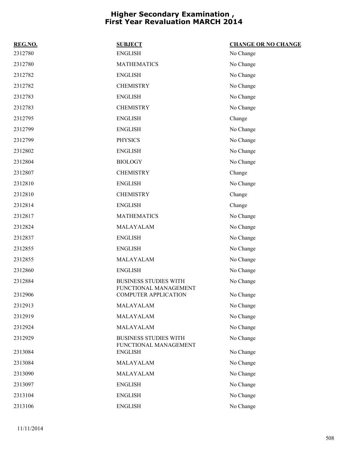| REG.NO. | <b>SUBJECT</b>                                        | <b>CHANGE OR NO CHANGE</b> |
|---------|-------------------------------------------------------|----------------------------|
| 2312780 | <b>ENGLISH</b>                                        | No Change                  |
| 2312780 | <b>MATHEMATICS</b>                                    | No Change                  |
| 2312782 | <b>ENGLISH</b>                                        | No Change                  |
| 2312782 | <b>CHEMISTRY</b>                                      | No Change                  |
| 2312783 | <b>ENGLISH</b>                                        | No Change                  |
| 2312783 | <b>CHEMISTRY</b>                                      | No Change                  |
| 2312795 | <b>ENGLISH</b>                                        | Change                     |
| 2312799 | <b>ENGLISH</b>                                        | No Change                  |
| 2312799 | <b>PHYSICS</b>                                        | No Change                  |
| 2312802 | <b>ENGLISH</b>                                        | No Change                  |
| 2312804 | <b>BIOLOGY</b>                                        | No Change                  |
| 2312807 | <b>CHEMISTRY</b>                                      | Change                     |
| 2312810 | <b>ENGLISH</b>                                        | No Change                  |
| 2312810 | <b>CHEMISTRY</b>                                      | Change                     |
| 2312814 | <b>ENGLISH</b>                                        | Change                     |
| 2312817 | <b>MATHEMATICS</b>                                    | No Change                  |
| 2312824 | MALAYALAM                                             | No Change                  |
| 2312837 | <b>ENGLISH</b>                                        | No Change                  |
| 2312855 | <b>ENGLISH</b>                                        | No Change                  |
| 2312855 | MALAYALAM                                             | No Change                  |
| 2312860 | <b>ENGLISH</b>                                        | No Change                  |
| 2312884 | <b>BUSINESS STUDIES WITH</b>                          | No Change                  |
| 2312906 | FUNCTIONAL MANAGEMENT<br><b>COMPUTER APPLICATION</b>  | No Change                  |
| 2312913 | MALAYALAM                                             | No Change                  |
| 2312919 | MALAYALAM                                             | No Change                  |
| 2312924 | MALAYALAM                                             | No Change                  |
| 2312929 | <b>BUSINESS STUDIES WITH</b><br>FUNCTIONAL MANAGEMENT | No Change                  |
| 2313084 | <b>ENGLISH</b>                                        | No Change                  |
| 2313084 | MALAYALAM                                             | No Change                  |
| 2313090 | MALAYALAM                                             | No Change                  |
| 2313097 | <b>ENGLISH</b>                                        | No Change                  |
| 2313104 | <b>ENGLISH</b>                                        | No Change                  |
| 2313106 | <b>ENGLISH</b>                                        | No Change                  |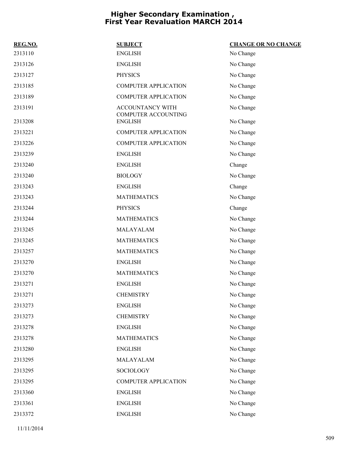| REG.NO. | <b>SUBJECT</b>                                        | <b>CHANGE OR NO CHANGE</b> |
|---------|-------------------------------------------------------|----------------------------|
| 2313110 | <b>ENGLISH</b>                                        | No Change                  |
| 2313126 | <b>ENGLISH</b>                                        | No Change                  |
| 2313127 | <b>PHYSICS</b>                                        | No Change                  |
| 2313185 | <b>COMPUTER APPLICATION</b>                           | No Change                  |
| 2313189 | <b>COMPUTER APPLICATION</b>                           | No Change                  |
| 2313191 | <b>ACCOUNTANCY WITH</b><br><b>COMPUTER ACCOUNTING</b> | No Change                  |
| 2313208 | <b>ENGLISH</b>                                        | No Change                  |
| 2313221 | <b>COMPUTER APPLICATION</b>                           | No Change                  |
| 2313226 | <b>COMPUTER APPLICATION</b>                           | No Change                  |
| 2313239 | <b>ENGLISH</b>                                        | No Change                  |
| 2313240 | <b>ENGLISH</b>                                        | Change                     |
| 2313240 | <b>BIOLOGY</b>                                        | No Change                  |
| 2313243 | <b>ENGLISH</b>                                        | Change                     |
| 2313243 | <b>MATHEMATICS</b>                                    | No Change                  |
| 2313244 | <b>PHYSICS</b>                                        | Change                     |
| 2313244 | <b>MATHEMATICS</b>                                    | No Change                  |
| 2313245 | MALAYALAM                                             | No Change                  |
| 2313245 | <b>MATHEMATICS</b>                                    | No Change                  |
| 2313257 | <b>MATHEMATICS</b>                                    | No Change                  |
| 2313270 | <b>ENGLISH</b>                                        | No Change                  |
| 2313270 | <b>MATHEMATICS</b>                                    | No Change                  |
| 2313271 | <b>ENGLISH</b>                                        | No Change                  |
| 2313271 | <b>CHEMISTRY</b>                                      | No Change                  |
| 2313273 | <b>ENGLISH</b>                                        | No Change                  |
| 2313273 | <b>CHEMISTRY</b>                                      | No Change                  |
| 2313278 | <b>ENGLISH</b>                                        | No Change                  |
| 2313278 | <b>MATHEMATICS</b>                                    | No Change                  |
| 2313280 | <b>ENGLISH</b>                                        | No Change                  |
| 2313295 | MALAYALAM                                             | No Change                  |
| 2313295 | SOCIOLOGY                                             | No Change                  |
| 2313295 | <b>COMPUTER APPLICATION</b>                           | No Change                  |
| 2313360 | <b>ENGLISH</b>                                        | No Change                  |
| 2313361 | <b>ENGLISH</b>                                        | No Change                  |
| 2313372 | <b>ENGLISH</b>                                        | No Change                  |
|         |                                                       |                            |

11/11/2014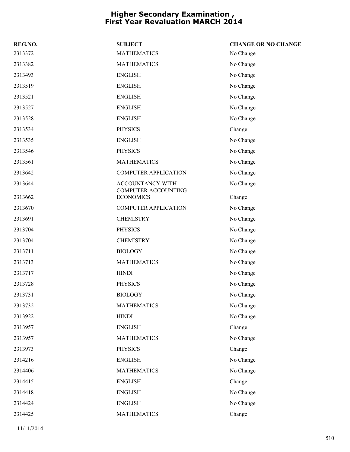| REG.NO. | <b>SUBJECT</b>                          | <b>CHANGE OR NO CHANGE</b> |
|---------|-----------------------------------------|----------------------------|
| 2313372 | <b>MATHEMATICS</b>                      | No Change                  |
| 2313382 | <b>MATHEMATICS</b>                      | No Change                  |
| 2313493 | <b>ENGLISH</b>                          | No Change                  |
| 2313519 | <b>ENGLISH</b>                          | No Change                  |
| 2313521 | <b>ENGLISH</b>                          | No Change                  |
| 2313527 | <b>ENGLISH</b>                          | No Change                  |
| 2313528 | <b>ENGLISH</b>                          | No Change                  |
| 2313534 | <b>PHYSICS</b>                          | Change                     |
| 2313535 | <b>ENGLISH</b>                          | No Change                  |
| 2313546 | <b>PHYSICS</b>                          | No Change                  |
| 2313561 | <b>MATHEMATICS</b>                      | No Change                  |
| 2313642 | <b>COMPUTER APPLICATION</b>             | No Change                  |
| 2313644 | ACCOUNTANCY WITH                        | No Change                  |
| 2313662 | COMPUTER ACCOUNTING<br><b>ECONOMICS</b> | Change                     |
| 2313670 | <b>COMPUTER APPLICATION</b>             | No Change                  |
| 2313691 | <b>CHEMISTRY</b>                        | No Change                  |
| 2313704 | <b>PHYSICS</b>                          | No Change                  |
| 2313704 | <b>CHEMISTRY</b>                        | No Change                  |
| 2313711 | <b>BIOLOGY</b>                          | No Change                  |
| 2313713 | <b>MATHEMATICS</b>                      | No Change                  |
| 2313717 | <b>HINDI</b>                            | No Change                  |
| 2313728 | <b>PHYSICS</b>                          | No Change                  |
| 2313731 | <b>BIOLOGY</b>                          | No Change                  |
| 2313732 | <b>MATHEMATICS</b>                      | No Change                  |
| 2313922 | <b>HINDI</b>                            | No Change                  |
| 2313957 | <b>ENGLISH</b>                          | Change                     |
| 2313957 | <b>MATHEMATICS</b>                      | No Change                  |
| 2313973 | <b>PHYSICS</b>                          | Change                     |
| 2314216 | <b>ENGLISH</b>                          | No Change                  |
| 2314406 | <b>MATHEMATICS</b>                      | No Change                  |
| 2314415 | <b>ENGLISH</b>                          | Change                     |
| 2314418 | <b>ENGLISH</b>                          | No Change                  |
| 2314424 | <b>ENGLISH</b>                          | No Change                  |
| 2314425 | <b>MATHEMATICS</b>                      | Change                     |
|         |                                         |                            |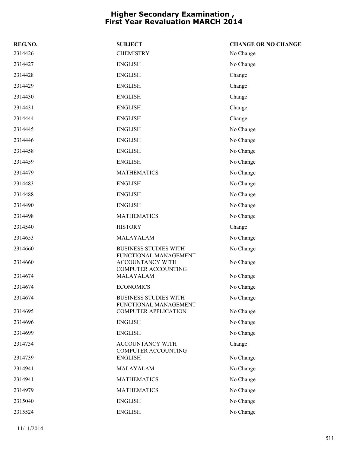| REG.NO.            | <b>SUBJECT</b>                                 | <b>CHANGE OR NO CHANGE</b> |
|--------------------|------------------------------------------------|----------------------------|
| 2314426            | <b>CHEMISTRY</b>                               | No Change                  |
| 2314427            | <b>ENGLISH</b>                                 | No Change                  |
| 2314428            | <b>ENGLISH</b>                                 | Change                     |
| 2314429            | <b>ENGLISH</b>                                 | Change                     |
| 2314430            | <b>ENGLISH</b>                                 | Change                     |
| 2314431            | <b>ENGLISH</b>                                 | Change                     |
| 2314444            | <b>ENGLISH</b>                                 | Change                     |
| 2314445            | <b>ENGLISH</b>                                 | No Change                  |
| 2314446            | <b>ENGLISH</b>                                 | No Change                  |
| 2314458            | <b>ENGLISH</b>                                 | No Change                  |
| 2314459            | <b>ENGLISH</b>                                 | No Change                  |
| 2314479            | <b>MATHEMATICS</b>                             | No Change                  |
| 2314483            | <b>ENGLISH</b>                                 | No Change                  |
| 2314488            | <b>ENGLISH</b>                                 | No Change                  |
| 2314490            | <b>ENGLISH</b>                                 | No Change                  |
| 2314498            | <b>MATHEMATICS</b>                             | No Change                  |
| 2314540            | <b>HISTORY</b>                                 | Change                     |
| 2314653            | MALAYALAM                                      | No Change                  |
| 2314660            | <b>BUSINESS STUDIES WITH</b>                   | No Change                  |
| 2314660            | FUNCTIONAL MANAGEMENT<br>ACCOUNTANCY WITH      | No Change                  |
|                    | <b>COMPUTER ACCOUNTING</b><br>MALAYALAM        |                            |
| 2314674<br>2314674 | <b>ECONOMICS</b>                               | No Change                  |
|                    | BUSINESS STUDIES WITH                          | No Change                  |
| 2314674            | FUNCTIONAL MANAGEMENT                          | No Change                  |
| 2314695            | <b>COMPUTER APPLICATION</b>                    | No Change                  |
| 2314696            | <b>ENGLISH</b>                                 | No Change                  |
| 2314699            | <b>ENGLISH</b>                                 | No Change                  |
| 2314734            | <b>ACCOUNTANCY WITH</b><br>COMPUTER ACCOUNTING | Change                     |
| 2314739            | <b>ENGLISH</b>                                 | No Change                  |
| 2314941            | MALAYALAM                                      | No Change                  |
| 2314941            | <b>MATHEMATICS</b>                             | No Change                  |
| 2314979            | <b>MATHEMATICS</b>                             | No Change                  |
| 2315040            | <b>ENGLISH</b>                                 | No Change                  |
| 2315524            | <b>ENGLISH</b>                                 | No Change                  |
|                    |                                                |                            |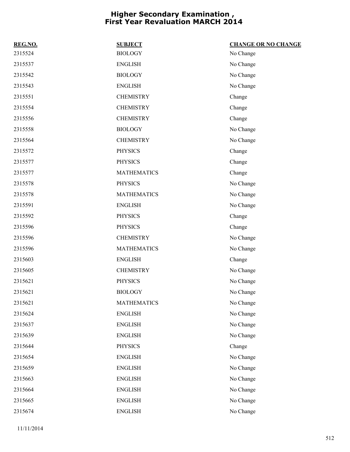| REG.NO. | <b>SUBJECT</b>     | <b>CHANGE OR NO CHANGE</b> |
|---------|--------------------|----------------------------|
| 2315524 | <b>BIOLOGY</b>     | No Change                  |
| 2315537 | <b>ENGLISH</b>     | No Change                  |
| 2315542 | <b>BIOLOGY</b>     | No Change                  |
| 2315543 | <b>ENGLISH</b>     | No Change                  |
| 2315551 | <b>CHEMISTRY</b>   | Change                     |
| 2315554 | <b>CHEMISTRY</b>   | Change                     |
| 2315556 | <b>CHEMISTRY</b>   | Change                     |
| 2315558 | <b>BIOLOGY</b>     | No Change                  |
| 2315564 | <b>CHEMISTRY</b>   | No Change                  |
| 2315572 | <b>PHYSICS</b>     | Change                     |
| 2315577 | <b>PHYSICS</b>     | Change                     |
| 2315577 | <b>MATHEMATICS</b> | Change                     |
| 2315578 | <b>PHYSICS</b>     | No Change                  |
| 2315578 | <b>MATHEMATICS</b> | No Change                  |
| 2315591 | <b>ENGLISH</b>     | No Change                  |
| 2315592 | <b>PHYSICS</b>     | Change                     |
| 2315596 | <b>PHYSICS</b>     | Change                     |
| 2315596 | <b>CHEMISTRY</b>   | No Change                  |
| 2315596 | <b>MATHEMATICS</b> | No Change                  |
| 2315603 | <b>ENGLISH</b>     | Change                     |
| 2315605 | <b>CHEMISTRY</b>   | No Change                  |
| 2315621 | <b>PHYSICS</b>     | No Change                  |
| 2315621 | <b>BIOLOGY</b>     | No Change                  |
| 2315621 | <b>MATHEMATICS</b> | No Change                  |
| 2315624 | <b>ENGLISH</b>     | No Change                  |
| 2315637 | <b>ENGLISH</b>     | No Change                  |
| 2315639 | <b>ENGLISH</b>     | No Change                  |
| 2315644 | <b>PHYSICS</b>     | Change                     |
| 2315654 | <b>ENGLISH</b>     | No Change                  |
| 2315659 | <b>ENGLISH</b>     | No Change                  |
| 2315663 | <b>ENGLISH</b>     | No Change                  |
| 2315664 | <b>ENGLISH</b>     | No Change                  |
| 2315665 | <b>ENGLISH</b>     | No Change                  |
| 2315674 | <b>ENGLISH</b>     | No Change                  |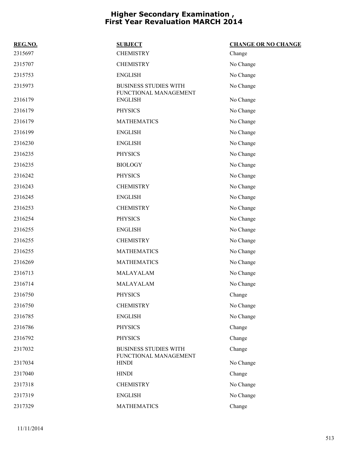| REG.NO. | <b>SUBJECT</b>                                        | <b>CHANGE OR NO CHANGE</b> |
|---------|-------------------------------------------------------|----------------------------|
| 2315697 | <b>CHEMISTRY</b>                                      | Change                     |
| 2315707 | <b>CHEMISTRY</b>                                      | No Change                  |
| 2315753 | <b>ENGLISH</b>                                        | No Change                  |
| 2315973 | <b>BUSINESS STUDIES WITH</b><br>FUNCTIONAL MANAGEMENT | No Change                  |
| 2316179 | <b>ENGLISH</b>                                        | No Change                  |
| 2316179 | <b>PHYSICS</b>                                        | No Change                  |
| 2316179 | <b>MATHEMATICS</b>                                    | No Change                  |
| 2316199 | <b>ENGLISH</b>                                        | No Change                  |
| 2316230 | <b>ENGLISH</b>                                        | No Change                  |
| 2316235 | <b>PHYSICS</b>                                        | No Change                  |
| 2316235 | <b>BIOLOGY</b>                                        | No Change                  |
| 2316242 | <b>PHYSICS</b>                                        | No Change                  |
| 2316243 | <b>CHEMISTRY</b>                                      | No Change                  |
| 2316245 | <b>ENGLISH</b>                                        | No Change                  |
| 2316253 | <b>CHEMISTRY</b>                                      | No Change                  |
| 2316254 | <b>PHYSICS</b>                                        | No Change                  |
| 2316255 | <b>ENGLISH</b>                                        | No Change                  |
| 2316255 | <b>CHEMISTRY</b>                                      | No Change                  |
| 2316255 | <b>MATHEMATICS</b>                                    | No Change                  |
| 2316269 | <b>MATHEMATICS</b>                                    | No Change                  |
| 2316713 | MALAYALAM                                             | No Change                  |
| 2316714 | MALAYALAM                                             | No Change                  |
| 2316750 | <b>PHYSICS</b>                                        | Change                     |
| 2316750 | <b>CHEMISTRY</b>                                      | No Change                  |
| 2316785 | <b>ENGLISH</b>                                        | No Change                  |
| 2316786 | <b>PHYSICS</b>                                        | Change                     |
| 2316792 | <b>PHYSICS</b>                                        | Change                     |
| 2317032 | <b>BUSINESS STUDIES WITH</b><br>FUNCTIONAL MANAGEMENT | Change                     |
| 2317034 | <b>HINDI</b>                                          | No Change                  |
| 2317040 | <b>HINDI</b>                                          | Change                     |
| 2317318 | <b>CHEMISTRY</b>                                      | No Change                  |
| 2317319 | <b>ENGLISH</b>                                        | No Change                  |
| 2317329 | <b>MATHEMATICS</b>                                    | Change                     |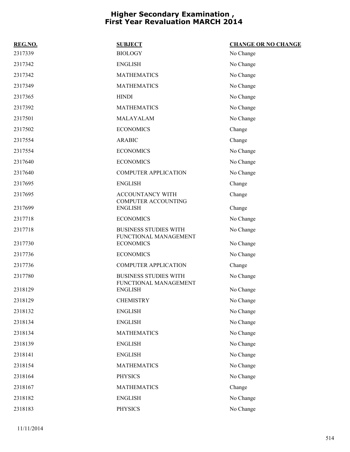| REG.NO. | <b>SUBJECT</b>                                        | <b>CHANGE OR NO CHANGE</b> |
|---------|-------------------------------------------------------|----------------------------|
| 2317339 | <b>BIOLOGY</b>                                        | No Change                  |
| 2317342 | <b>ENGLISH</b>                                        | No Change                  |
| 2317342 | <b>MATHEMATICS</b>                                    | No Change                  |
| 2317349 | <b>MATHEMATICS</b>                                    | No Change                  |
| 2317365 | <b>HINDI</b>                                          | No Change                  |
| 2317392 | <b>MATHEMATICS</b>                                    | No Change                  |
| 2317501 | MALAYALAM                                             | No Change                  |
| 2317502 | <b>ECONOMICS</b>                                      | Change                     |
| 2317554 | <b>ARABIC</b>                                         | Change                     |
| 2317554 | <b>ECONOMICS</b>                                      | No Change                  |
| 2317640 | <b>ECONOMICS</b>                                      | No Change                  |
| 2317640 | <b>COMPUTER APPLICATION</b>                           | No Change                  |
| 2317695 | <b>ENGLISH</b>                                        | Change                     |
| 2317695 | <b>ACCOUNTANCY WITH</b><br><b>COMPUTER ACCOUNTING</b> | Change                     |
| 2317699 | <b>ENGLISH</b>                                        | Change                     |
| 2317718 | <b>ECONOMICS</b>                                      | No Change                  |
| 2317718 | <b>BUSINESS STUDIES WITH</b><br>FUNCTIONAL MANAGEMENT | No Change                  |
| 2317730 | <b>ECONOMICS</b>                                      | No Change                  |
| 2317736 | <b>ECONOMICS</b>                                      | No Change                  |
| 2317736 | <b>COMPUTER APPLICATION</b>                           | Change                     |
| 2317780 | <b>BUSINESS STUDIES WITH</b><br>FUNCTIONAL MANAGEMENT | No Change                  |
| 2318129 | <b>ENGLISH</b>                                        | No Change                  |
| 2318129 | <b>CHEMISTRY</b>                                      | No Change                  |
| 2318132 | <b>ENGLISH</b>                                        | No Change                  |
| 2318134 | <b>ENGLISH</b>                                        | No Change                  |
| 2318134 | <b>MATHEMATICS</b>                                    | No Change                  |
| 2318139 | <b>ENGLISH</b>                                        | No Change                  |
| 2318141 | <b>ENGLISH</b>                                        | No Change                  |
| 2318154 | <b>MATHEMATICS</b>                                    | No Change                  |
| 2318164 | <b>PHYSICS</b>                                        | No Change                  |
| 2318167 | <b>MATHEMATICS</b>                                    | Change                     |
| 2318182 | <b>ENGLISH</b>                                        | No Change                  |
| 2318183 | <b>PHYSICS</b>                                        | No Change                  |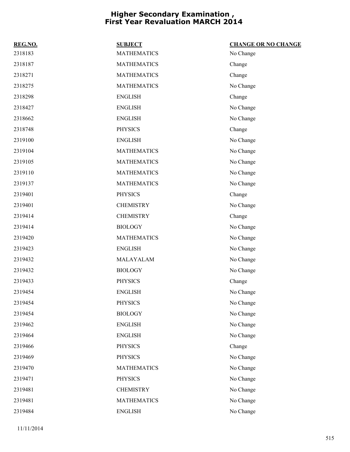| REG.NO. | <b>SUBJECT</b>     | <b>CHANGE OR NO CHANGE</b> |
|---------|--------------------|----------------------------|
| 2318183 | <b>MATHEMATICS</b> | No Change                  |
| 2318187 | <b>MATHEMATICS</b> | Change                     |
| 2318271 | <b>MATHEMATICS</b> | Change                     |
| 2318275 | <b>MATHEMATICS</b> | No Change                  |
| 2318298 | <b>ENGLISH</b>     | Change                     |
| 2318427 | <b>ENGLISH</b>     | No Change                  |
| 2318662 | <b>ENGLISH</b>     | No Change                  |
| 2318748 | <b>PHYSICS</b>     | Change                     |
| 2319100 | <b>ENGLISH</b>     | No Change                  |
| 2319104 | <b>MATHEMATICS</b> | No Change                  |
| 2319105 | <b>MATHEMATICS</b> | No Change                  |
| 2319110 | <b>MATHEMATICS</b> | No Change                  |
| 2319137 | <b>MATHEMATICS</b> | No Change                  |
| 2319401 | <b>PHYSICS</b>     | Change                     |
| 2319401 | <b>CHEMISTRY</b>   | No Change                  |
| 2319414 | <b>CHEMISTRY</b>   | Change                     |
| 2319414 | <b>BIOLOGY</b>     | No Change                  |
| 2319420 | <b>MATHEMATICS</b> | No Change                  |
| 2319423 | <b>ENGLISH</b>     | No Change                  |
| 2319432 | MALAYALAM          | No Change                  |
| 2319432 | <b>BIOLOGY</b>     | No Change                  |
| 2319433 | <b>PHYSICS</b>     | Change                     |
| 2319454 | <b>ENGLISH</b>     | No Change                  |
| 2319454 | <b>PHYSICS</b>     | No Change                  |
| 2319454 | <b>BIOLOGY</b>     | No Change                  |
| 2319462 | <b>ENGLISH</b>     | No Change                  |
| 2319464 | <b>ENGLISH</b>     | No Change                  |
| 2319466 | <b>PHYSICS</b>     | Change                     |
| 2319469 | <b>PHYSICS</b>     | No Change                  |
| 2319470 | <b>MATHEMATICS</b> | No Change                  |
| 2319471 | <b>PHYSICS</b>     | No Change                  |
| 2319481 | <b>CHEMISTRY</b>   | No Change                  |
| 2319481 | <b>MATHEMATICS</b> | No Change                  |
| 2319484 | <b>ENGLISH</b>     | No Change                  |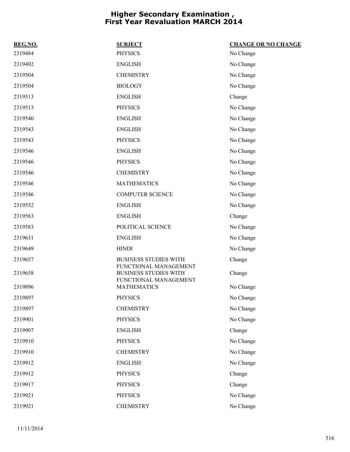| REG.NO. | <b>SUBJECT</b>                                                                 | <b>CHANGE OR NO CHANGE</b> |
|---------|--------------------------------------------------------------------------------|----------------------------|
| 2319484 | <b>PHYSICS</b>                                                                 | No Change                  |
| 2319492 | <b>ENGLISH</b>                                                                 | No Change                  |
| 2319504 | <b>CHEMISTRY</b>                                                               | No Change                  |
| 2319504 | <b>BIOLOGY</b>                                                                 | No Change                  |
| 2319513 | <b>ENGLISH</b>                                                                 | Change                     |
| 2319513 | <b>PHYSICS</b>                                                                 | No Change                  |
| 2319540 | <b>ENGLISH</b>                                                                 | No Change                  |
| 2319543 | <b>ENGLISH</b>                                                                 | No Change                  |
| 2319543 | <b>PHYSICS</b>                                                                 | No Change                  |
| 2319546 | <b>ENGLISH</b>                                                                 | No Change                  |
| 2319546 | <b>PHYSICS</b>                                                                 | No Change                  |
| 2319546 | <b>CHEMISTRY</b>                                                               | No Change                  |
| 2319546 | <b>MATHEMATICS</b>                                                             | No Change                  |
| 2319546 | <b>COMPUTER SCIENCE</b>                                                        | No Change                  |
| 2319552 | <b>ENGLISH</b>                                                                 | No Change                  |
| 2319563 | <b>ENGLISH</b>                                                                 | Change                     |
| 2319583 | POLITICAL SCIENCE                                                              | No Change                  |
| 2319631 | <b>ENGLISH</b>                                                                 | No Change                  |
| 2319649 | <b>HINDI</b>                                                                   | No Change                  |
| 2319657 | <b>BUSINESS STUDIES WITH</b>                                                   | Change                     |
| 2319658 | FUNCTIONAL MANAGEMENT<br><b>BUSINESS STUDIES WITH</b><br>FUNCTIONAL MANAGEMENT | Change                     |
| 2319896 | <b>MATHEMATICS</b>                                                             | No Change                  |
| 2319897 | PHYSICS                                                                        | No Change                  |
| 2319897 | <b>CHEMISTRY</b>                                                               | No Change                  |
| 2319901 | <b>PHYSICS</b>                                                                 | No Change                  |
| 2319907 | <b>ENGLISH</b>                                                                 | Change                     |
| 2319910 | <b>PHYSICS</b>                                                                 | No Change                  |
| 2319910 | <b>CHEMISTRY</b>                                                               | No Change                  |
| 2319912 | <b>ENGLISH</b>                                                                 | No Change                  |
| 2319912 | <b>PHYSICS</b>                                                                 | Change                     |
| 2319917 | <b>PHYSICS</b>                                                                 | Change                     |
| 2319921 | <b>PHYSICS</b>                                                                 | No Change                  |
| 2319921 | <b>CHEMISTRY</b>                                                               | No Change                  |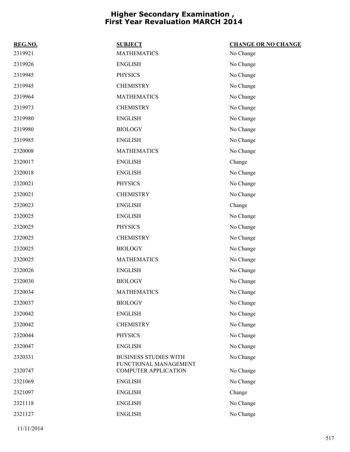| REG.NO. | <b>SUBJECT</b>                                       | <b>CHANGE OR NO CHANGE</b> |
|---------|------------------------------------------------------|----------------------------|
| 2319921 | <b>MATHEMATICS</b>                                   | No Change                  |
| 2319926 | <b>ENGLISH</b>                                       | No Change                  |
| 2319945 | <b>PHYSICS</b>                                       | No Change                  |
| 2319945 | <b>CHEMISTRY</b>                                     | No Change                  |
| 2319964 | <b>MATHEMATICS</b>                                   | No Change                  |
| 2319973 | <b>CHEMISTRY</b>                                     | No Change                  |
| 2319980 | <b>ENGLISH</b>                                       | No Change                  |
| 2319980 | <b>BIOLOGY</b>                                       | No Change                  |
| 2319985 | <b>ENGLISH</b>                                       | No Change                  |
| 2320008 | <b>MATHEMATICS</b>                                   | No Change                  |
| 2320017 | <b>ENGLISH</b>                                       | Change                     |
| 2320018 | <b>ENGLISH</b>                                       | No Change                  |
| 2320021 | <b>PHYSICS</b>                                       | No Change                  |
| 2320021 | <b>CHEMISTRY</b>                                     | No Change                  |
| 2320023 | <b>ENGLISH</b>                                       | Change                     |
| 2320025 | <b>ENGLISH</b>                                       | No Change                  |
| 2320025 | <b>PHYSICS</b>                                       | No Change                  |
| 2320025 | <b>CHEMISTRY</b>                                     | No Change                  |
| 2320025 | <b>BIOLOGY</b>                                       | No Change                  |
| 2320025 | <b>MATHEMATICS</b>                                   | No Change                  |
| 2320026 | <b>ENGLISH</b>                                       | No Change                  |
| 2320030 | <b>BIOLOGY</b>                                       | No Change                  |
| 2320034 | <b>MATHEMATICS</b>                                   | No Change                  |
| 2320037 | <b>BIOLOGY</b>                                       | No Change                  |
| 2320042 | <b>ENGLISH</b>                                       | No Change                  |
| 2320042 | <b>CHEMISTRY</b>                                     | No Change                  |
| 2320044 | <b>PHYSICS</b>                                       | No Change                  |
| 2320047 | <b>ENGLISH</b>                                       | No Change                  |
| 2320331 | <b>BUSINESS STUDIES WITH</b>                         | No Change                  |
| 2320747 | FUNCTIONAL MANAGEMENT<br><b>COMPUTER APPLICATION</b> | No Change                  |
| 2321069 | <b>ENGLISH</b>                                       | No Change                  |
| 2321097 | <b>ENGLISH</b>                                       | Change                     |
| 2321118 | <b>ENGLISH</b>                                       | No Change                  |
| 2321127 | <b>ENGLISH</b>                                       | No Change                  |
|         |                                                      |                            |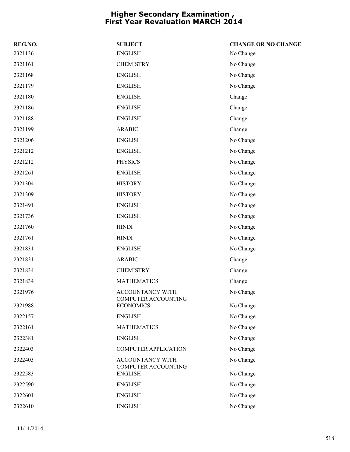| REG.NO. | <b>SUBJECT</b>                          | <b>CHANGE OR NO CHANGE</b> |
|---------|-----------------------------------------|----------------------------|
| 2321136 | <b>ENGLISH</b>                          | No Change                  |
| 2321161 | <b>CHEMISTRY</b>                        | No Change                  |
| 2321168 | <b>ENGLISH</b>                          | No Change                  |
| 2321179 | <b>ENGLISH</b>                          | No Change                  |
| 2321180 | <b>ENGLISH</b>                          | Change                     |
| 2321186 | <b>ENGLISH</b>                          | Change                     |
| 2321188 | <b>ENGLISH</b>                          | Change                     |
| 2321199 | <b>ARABIC</b>                           | Change                     |
| 2321206 | <b>ENGLISH</b>                          | No Change                  |
| 2321212 | <b>ENGLISH</b>                          | No Change                  |
| 2321212 | <b>PHYSICS</b>                          | No Change                  |
| 2321261 | <b>ENGLISH</b>                          | No Change                  |
| 2321304 | <b>HISTORY</b>                          | No Change                  |
| 2321309 | <b>HISTORY</b>                          | No Change                  |
| 2321491 | <b>ENGLISH</b>                          | No Change                  |
| 2321736 | <b>ENGLISH</b>                          | No Change                  |
| 2321760 | <b>HINDI</b>                            | No Change                  |
| 2321761 | <b>HINDI</b>                            | No Change                  |
| 2321831 | <b>ENGLISH</b>                          | No Change                  |
| 2321831 | <b>ARABIC</b>                           | Change                     |
| 2321834 | <b>CHEMISTRY</b>                        | Change                     |
| 2321834 | <b>MATHEMATICS</b>                      | Change                     |
| 2321976 | ACCOUNTANCY WITH<br>COMPUTER ACCOUNTING | No Change                  |
| 2321988 | <b>ECONOMICS</b>                        | No Change                  |
| 2322157 | <b>ENGLISH</b>                          | No Change                  |
| 2322161 | <b>MATHEMATICS</b>                      | No Change                  |
| 2322381 | <b>ENGLISH</b>                          | No Change                  |
| 2322403 | <b>COMPUTER APPLICATION</b>             | No Change                  |
| 2322403 | ACCOUNTANCY WITH<br>COMPUTER ACCOUNTING | No Change                  |
| 2322583 | <b>ENGLISH</b>                          | No Change                  |
| 2322590 | <b>ENGLISH</b>                          | No Change                  |
| 2322601 | <b>ENGLISH</b>                          | No Change                  |
| 2322610 | <b>ENGLISH</b>                          | No Change                  |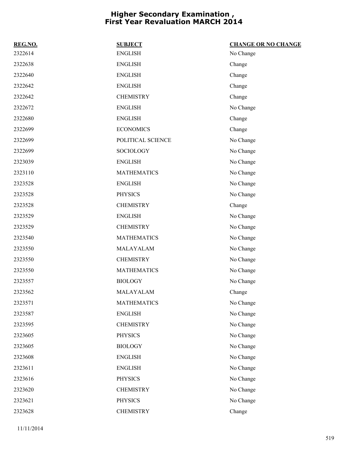| REG.NO. | <b>SUBJECT</b>     | <b>CHANGE OR NO CHANGE</b> |
|---------|--------------------|----------------------------|
| 2322614 | <b>ENGLISH</b>     | No Change                  |
| 2322638 | <b>ENGLISH</b>     | Change                     |
| 2322640 | <b>ENGLISH</b>     | Change                     |
| 2322642 | <b>ENGLISH</b>     | Change                     |
| 2322642 | <b>CHEMISTRY</b>   | Change                     |
| 2322672 | <b>ENGLISH</b>     | No Change                  |
| 2322680 | <b>ENGLISH</b>     | Change                     |
| 2322699 | <b>ECONOMICS</b>   | Change                     |
| 2322699 | POLITICAL SCIENCE  | No Change                  |
| 2322699 | <b>SOCIOLOGY</b>   | No Change                  |
| 2323039 | <b>ENGLISH</b>     | No Change                  |
| 2323110 | <b>MATHEMATICS</b> | No Change                  |
| 2323528 | <b>ENGLISH</b>     | No Change                  |
| 2323528 | <b>PHYSICS</b>     | No Change                  |
| 2323528 | <b>CHEMISTRY</b>   | Change                     |
| 2323529 | <b>ENGLISH</b>     | No Change                  |
| 2323529 | <b>CHEMISTRY</b>   | No Change                  |
| 2323540 | <b>MATHEMATICS</b> | No Change                  |
| 2323550 | MALAYALAM          | No Change                  |
| 2323550 | <b>CHEMISTRY</b>   | No Change                  |
| 2323550 | <b>MATHEMATICS</b> | No Change                  |
| 2323557 | <b>BIOLOGY</b>     | No Change                  |
| 2323562 | MALAYALAM          | Change                     |
| 2323571 | <b>MATHEMATICS</b> | No Change                  |
| 2323587 | <b>ENGLISH</b>     | No Change                  |
| 2323595 | <b>CHEMISTRY</b>   | No Change                  |
| 2323605 | <b>PHYSICS</b>     | No Change                  |
| 2323605 | <b>BIOLOGY</b>     | No Change                  |
| 2323608 | <b>ENGLISH</b>     | No Change                  |
| 2323611 | <b>ENGLISH</b>     | No Change                  |
| 2323616 | <b>PHYSICS</b>     | No Change                  |
| 2323620 | <b>CHEMISTRY</b>   | No Change                  |
| 2323621 | PHYSICS            | No Change                  |
| 2323628 | <b>CHEMISTRY</b>   | Change                     |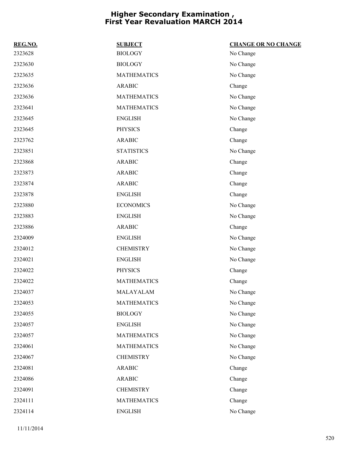| REG.NO. | <b>SUBJECT</b>     | <b>CHANGE OR NO CHANGE</b> |
|---------|--------------------|----------------------------|
| 2323628 | <b>BIOLOGY</b>     | No Change                  |
| 2323630 | <b>BIOLOGY</b>     | No Change                  |
| 2323635 | <b>MATHEMATICS</b> | No Change                  |
| 2323636 | <b>ARABIC</b>      | Change                     |
| 2323636 | <b>MATHEMATICS</b> | No Change                  |
| 2323641 | <b>MATHEMATICS</b> | No Change                  |
| 2323645 | <b>ENGLISH</b>     | No Change                  |
| 2323645 | <b>PHYSICS</b>     | Change                     |
| 2323762 | <b>ARABIC</b>      | Change                     |
| 2323851 | <b>STATISTICS</b>  | No Change                  |
| 2323868 | <b>ARABIC</b>      | Change                     |
| 2323873 | <b>ARABIC</b>      | Change                     |
| 2323874 | <b>ARABIC</b>      | Change                     |
| 2323878 | <b>ENGLISH</b>     | Change                     |
| 2323880 | <b>ECONOMICS</b>   | No Change                  |
| 2323883 | <b>ENGLISH</b>     | No Change                  |
| 2323886 | <b>ARABIC</b>      | Change                     |
| 2324009 | <b>ENGLISH</b>     | No Change                  |
| 2324012 | <b>CHEMISTRY</b>   | No Change                  |
| 2324021 | <b>ENGLISH</b>     | No Change                  |
| 2324022 | <b>PHYSICS</b>     | Change                     |
| 2324022 | <b>MATHEMATICS</b> | Change                     |
| 2324037 | MALAYALAM          | No Change                  |
| 2324053 | <b>MATHEMATICS</b> | No Change                  |
| 2324055 | <b>BIOLOGY</b>     | No Change                  |
| 2324057 | <b>ENGLISH</b>     | No Change                  |
| 2324057 | <b>MATHEMATICS</b> | No Change                  |
| 2324061 | <b>MATHEMATICS</b> | No Change                  |
| 2324067 | <b>CHEMISTRY</b>   | No Change                  |
| 2324081 | <b>ARABIC</b>      | Change                     |
| 2324086 | <b>ARABIC</b>      | Change                     |
| 2324091 | <b>CHEMISTRY</b>   | Change                     |
| 2324111 | <b>MATHEMATICS</b> | Change                     |
| 2324114 | <b>ENGLISH</b>     | No Change                  |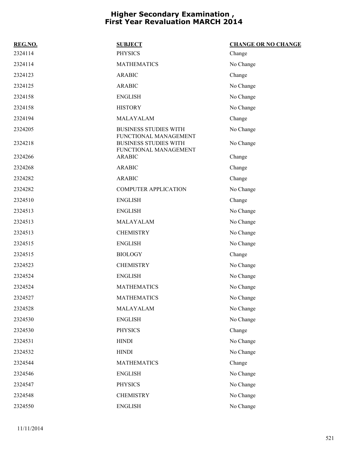| REG.NO. | <b>SUBJECT</b>                                                                 | <b>CHANGE OR NO CHANGE</b> |
|---------|--------------------------------------------------------------------------------|----------------------------|
| 2324114 | <b>PHYSICS</b>                                                                 | Change                     |
| 2324114 | <b>MATHEMATICS</b>                                                             | No Change                  |
| 2324123 | <b>ARABIC</b>                                                                  | Change                     |
| 2324125 | <b>ARABIC</b>                                                                  | No Change                  |
| 2324158 | <b>ENGLISH</b>                                                                 | No Change                  |
| 2324158 | <b>HISTORY</b>                                                                 | No Change                  |
| 2324194 | MALAYALAM                                                                      | Change                     |
| 2324205 | <b>BUSINESS STUDIES WITH</b>                                                   | No Change                  |
| 2324218 | FUNCTIONAL MANAGEMENT<br><b>BUSINESS STUDIES WITH</b><br>FUNCTIONAL MANAGEMENT | No Change                  |
| 2324266 | <b>ARABIC</b>                                                                  | Change                     |
| 2324268 | <b>ARABIC</b>                                                                  | Change                     |
| 2324282 | <b>ARABIC</b>                                                                  | Change                     |
| 2324282 | <b>COMPUTER APPLICATION</b>                                                    | No Change                  |
| 2324510 | <b>ENGLISH</b>                                                                 | Change                     |
| 2324513 | <b>ENGLISH</b>                                                                 | No Change                  |
| 2324513 | MALAYALAM                                                                      | No Change                  |
| 2324513 | <b>CHEMISTRY</b>                                                               | No Change                  |
| 2324515 | <b>ENGLISH</b>                                                                 | No Change                  |
| 2324515 | <b>BIOLOGY</b>                                                                 | Change                     |
| 2324523 | <b>CHEMISTRY</b>                                                               | No Change                  |
| 2324524 | <b>ENGLISH</b>                                                                 | No Change                  |
| 2324524 | <b>MATHEMATICS</b>                                                             | No Change                  |
| 2324527 | <b>MATHEMATICS</b>                                                             | No Change                  |
| 2324528 | MALAYALAM                                                                      | No Change                  |
| 2324530 | <b>ENGLISH</b>                                                                 | No Change                  |
| 2324530 | <b>PHYSICS</b>                                                                 | Change                     |
| 2324531 | <b>HINDI</b>                                                                   | No Change                  |
| 2324532 | <b>HINDI</b>                                                                   | No Change                  |
| 2324544 | <b>MATHEMATICS</b>                                                             | Change                     |
| 2324546 | <b>ENGLISH</b>                                                                 | No Change                  |
| 2324547 | <b>PHYSICS</b>                                                                 | No Change                  |
| 2324548 | <b>CHEMISTRY</b>                                                               | No Change                  |
| 2324550 | <b>ENGLISH</b>                                                                 | No Change                  |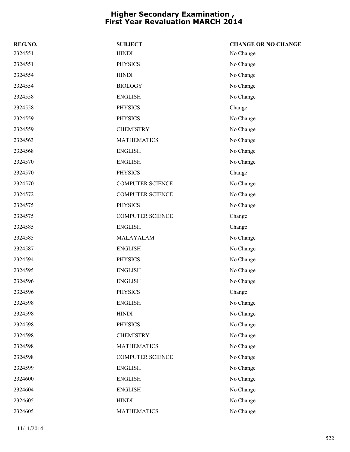| REG.NO. | <b>SUBJECT</b>          | <b>CHANGE OR NO CHANGE</b> |
|---------|-------------------------|----------------------------|
| 2324551 | <b>HINDI</b>            | No Change                  |
| 2324551 | <b>PHYSICS</b>          | No Change                  |
| 2324554 | <b>HINDI</b>            | No Change                  |
| 2324554 | <b>BIOLOGY</b>          | No Change                  |
| 2324558 | <b>ENGLISH</b>          | No Change                  |
| 2324558 | <b>PHYSICS</b>          | Change                     |
| 2324559 | <b>PHYSICS</b>          | No Change                  |
| 2324559 | <b>CHEMISTRY</b>        | No Change                  |
| 2324563 | <b>MATHEMATICS</b>      | No Change                  |
| 2324568 | <b>ENGLISH</b>          | No Change                  |
| 2324570 | <b>ENGLISH</b>          | No Change                  |
| 2324570 | <b>PHYSICS</b>          | Change                     |
| 2324570 | <b>COMPUTER SCIENCE</b> | No Change                  |
| 2324572 | <b>COMPUTER SCIENCE</b> | No Change                  |
| 2324575 | <b>PHYSICS</b>          | No Change                  |
| 2324575 | <b>COMPUTER SCIENCE</b> | Change                     |
| 2324585 | <b>ENGLISH</b>          | Change                     |
| 2324585 | MALAYALAM               | No Change                  |
| 2324587 | <b>ENGLISH</b>          | No Change                  |
| 2324594 | <b>PHYSICS</b>          | No Change                  |
| 2324595 | <b>ENGLISH</b>          | No Change                  |
| 2324596 | <b>ENGLISH</b>          | No Change                  |
| 2324596 | <b>PHYSICS</b>          | Change                     |
| 2324598 | <b>ENGLISH</b>          | No Change                  |
| 2324598 | <b>HINDI</b>            | No Change                  |
| 2324598 | <b>PHYSICS</b>          | No Change                  |
| 2324598 | <b>CHEMISTRY</b>        | No Change                  |
| 2324598 | <b>MATHEMATICS</b>      | No Change                  |
| 2324598 | <b>COMPUTER SCIENCE</b> | No Change                  |
| 2324599 | <b>ENGLISH</b>          | No Change                  |
| 2324600 | <b>ENGLISH</b>          | No Change                  |
| 2324604 | <b>ENGLISH</b>          | No Change                  |
| 2324605 | <b>HINDI</b>            | No Change                  |
| 2324605 | <b>MATHEMATICS</b>      | No Change                  |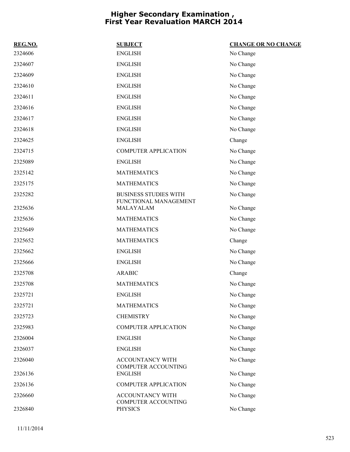| REG.NO. | <b>SUBJECT</b>                                        | <b>CHANGE OR NO CHANGE</b> |
|---------|-------------------------------------------------------|----------------------------|
| 2324606 | <b>ENGLISH</b>                                        | No Change                  |
| 2324607 | <b>ENGLISH</b>                                        | No Change                  |
| 2324609 | <b>ENGLISH</b>                                        | No Change                  |
| 2324610 | <b>ENGLISH</b>                                        | No Change                  |
| 2324611 | <b>ENGLISH</b>                                        | No Change                  |
| 2324616 | <b>ENGLISH</b>                                        | No Change                  |
| 2324617 | <b>ENGLISH</b>                                        | No Change                  |
| 2324618 | <b>ENGLISH</b>                                        | No Change                  |
| 2324625 | <b>ENGLISH</b>                                        | Change                     |
| 2324715 | <b>COMPUTER APPLICATION</b>                           | No Change                  |
| 2325089 | <b>ENGLISH</b>                                        | No Change                  |
| 2325142 | <b>MATHEMATICS</b>                                    | No Change                  |
| 2325175 | <b>MATHEMATICS</b>                                    | No Change                  |
| 2325282 | <b>BUSINESS STUDIES WITH</b><br>FUNCTIONAL MANAGEMENT | No Change                  |
| 2325636 | MALAYALAM                                             | No Change                  |
| 2325636 | <b>MATHEMATICS</b>                                    | No Change                  |
| 2325649 | <b>MATHEMATICS</b>                                    | No Change                  |
| 2325652 | <b>MATHEMATICS</b>                                    | Change                     |
| 2325662 | <b>ENGLISH</b>                                        | No Change                  |
| 2325666 | <b>ENGLISH</b>                                        | No Change                  |
| 2325708 | <b>ARABIC</b>                                         | Change                     |
| 2325708 | <b>MATHEMATICS</b>                                    | No Change                  |
| 2325721 | <b>ENGLISH</b>                                        | No Change                  |
| 2325721 | <b>MATHEMATICS</b>                                    | No Change                  |
| 2325723 | <b>CHEMISTRY</b>                                      | No Change                  |
| 2325983 | <b>COMPUTER APPLICATION</b>                           | No Change                  |
| 2326004 | <b>ENGLISH</b>                                        | No Change                  |
| 2326037 | <b>ENGLISH</b>                                        | No Change                  |
| 2326040 | <b>ACCOUNTANCY WITH</b><br><b>COMPUTER ACCOUNTING</b> | No Change                  |
| 2326136 | <b>ENGLISH</b>                                        | No Change                  |
| 2326136 | <b>COMPUTER APPLICATION</b>                           | No Change                  |
| 2326660 | ACCOUNTANCY WITH<br>COMPUTER ACCOUNTING               | No Change                  |
| 2326840 | <b>PHYSICS</b>                                        | No Change                  |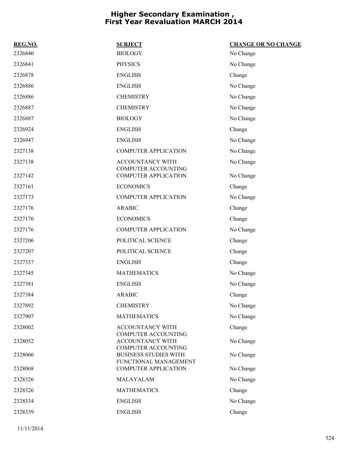| REG.NO. | <b>SUBJECT</b>                                                                      | <b>CHANGE OR NO CHANGE</b> |
|---------|-------------------------------------------------------------------------------------|----------------------------|
| 2326840 | <b>BIOLOGY</b>                                                                      | No Change                  |
| 2326841 | <b>PHYSICS</b>                                                                      | No Change                  |
| 2326878 | <b>ENGLISH</b>                                                                      | Change                     |
| 2326886 | <b>ENGLISH</b>                                                                      | No Change                  |
| 2326886 | <b>CHEMISTRY</b>                                                                    | No Change                  |
| 2326887 | <b>CHEMISTRY</b>                                                                    | No Change                  |
| 2326887 | <b>BIOLOGY</b>                                                                      | No Change                  |
| 2326924 | <b>ENGLISH</b>                                                                      | Change                     |
| 2326947 | <b>ENGLISH</b>                                                                      | No Change                  |
| 2327138 | <b>COMPUTER APPLICATION</b>                                                         | No Change                  |
| 2327138 | ACCOUNTANCY WITH                                                                    | No Change                  |
| 2327142 | <b>COMPUTER ACCOUNTING</b><br><b>COMPUTER APPLICATION</b>                           | No Change                  |
| 2327161 | <b>ECONOMICS</b>                                                                    | Change                     |
| 2327173 | <b>COMPUTER APPLICATION</b>                                                         | No Change                  |
| 2327176 | <b>ARABIC</b>                                                                       | Change                     |
| 2327176 | <b>ECONOMICS</b>                                                                    | Change                     |
| 2327176 | <b>COMPUTER APPLICATION</b>                                                         | No Change                  |
| 2327206 | POLITICAL SCIENCE                                                                   | Change                     |
| 2327207 | POLITICAL SCIENCE                                                                   | Change                     |
| 2327337 | <b>ENGLISH</b>                                                                      | Change                     |
| 2327345 | <b>MATHEMATICS</b>                                                                  | No Change                  |
| 2327381 | <b>ENGLISH</b>                                                                      | No Change                  |
| 2327384 | <b>ARABIC</b>                                                                       | Change                     |
| 2327892 | <b>CHEMISTRY</b>                                                                    | No Change                  |
| 2327907 | <b>MATHEMATICS</b>                                                                  | No Change                  |
| 2328002 | ACCOUNTANCY WITH<br><b>COMPUTER ACCOUNTING</b>                                      | Change                     |
| 2328052 | ACCOUNTANCY WITH                                                                    | No Change                  |
| 2328066 | <b>COMPUTER ACCOUNTING</b><br><b>BUSINESS STUDIES WITH</b><br>FUNCTIONAL MANAGEMENT | No Change                  |
| 2328068 | <b>COMPUTER APPLICATION</b>                                                         | No Change                  |
| 2328326 | MALAYALAM                                                                           | No Change                  |
| 2328326 | <b>MATHEMATICS</b>                                                                  | Change                     |
| 2328334 | <b>ENGLISH</b>                                                                      | No Change                  |
| 2328339 | <b>ENGLISH</b>                                                                      | Change                     |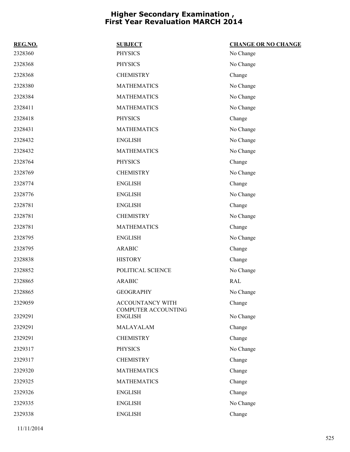| REG.NO. | <b>SUBJECT</b>                                 | <b>CHANGE OR NO CHANGE</b> |
|---------|------------------------------------------------|----------------------------|
| 2328360 | <b>PHYSICS</b>                                 | No Change                  |
| 2328368 | <b>PHYSICS</b>                                 | No Change                  |
| 2328368 | <b>CHEMISTRY</b>                               | Change                     |
| 2328380 | <b>MATHEMATICS</b>                             | No Change                  |
| 2328384 | <b>MATHEMATICS</b>                             | No Change                  |
| 2328411 | <b>MATHEMATICS</b>                             | No Change                  |
| 2328418 | <b>PHYSICS</b>                                 | Change                     |
| 2328431 | <b>MATHEMATICS</b>                             | No Change                  |
| 2328432 | <b>ENGLISH</b>                                 | No Change                  |
| 2328432 | <b>MATHEMATICS</b>                             | No Change                  |
| 2328764 | <b>PHYSICS</b>                                 | Change                     |
| 2328769 | <b>CHEMISTRY</b>                               | No Change                  |
| 2328774 | <b>ENGLISH</b>                                 | Change                     |
| 2328776 | <b>ENGLISH</b>                                 | No Change                  |
| 2328781 | <b>ENGLISH</b>                                 | Change                     |
| 2328781 | <b>CHEMISTRY</b>                               | No Change                  |
| 2328781 | <b>MATHEMATICS</b>                             | Change                     |
| 2328795 | <b>ENGLISH</b>                                 | No Change                  |
| 2328795 | <b>ARABIC</b>                                  | Change                     |
| 2328838 | <b>HISTORY</b>                                 | Change                     |
| 2328852 | POLITICAL SCIENCE                              | No Change                  |
| 2328865 | <b>ARABIC</b>                                  | RAL                        |
| 2328865 | <b>GEOGRAPHY</b>                               | No Change                  |
| 2329059 | ACCOUNTANCY WITH<br><b>COMPUTER ACCOUNTING</b> | Change                     |
| 2329291 | <b>ENGLISH</b>                                 | No Change                  |
| 2329291 | MALAYALAM                                      | Change                     |
| 2329291 | <b>CHEMISTRY</b>                               | Change                     |
| 2329317 | <b>PHYSICS</b>                                 | No Change                  |
| 2329317 | <b>CHEMISTRY</b>                               | Change                     |
| 2329320 | <b>MATHEMATICS</b>                             | Change                     |
| 2329325 | <b>MATHEMATICS</b>                             | Change                     |
| 2329326 | <b>ENGLISH</b>                                 | Change                     |
| 2329335 | <b>ENGLISH</b>                                 | No Change                  |
| 2329338 | <b>ENGLISH</b>                                 | Change                     |
|         |                                                |                            |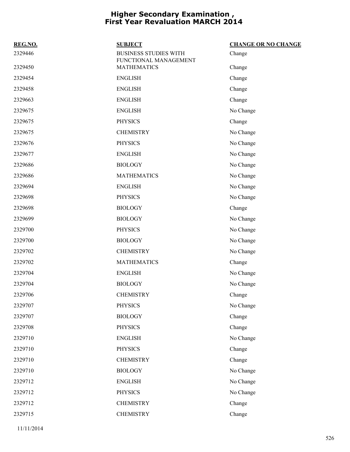| REG.NO. | <b>SUBJECT</b>                                        | <b>CHANGE OR NO CHANGE</b> |
|---------|-------------------------------------------------------|----------------------------|
| 2329446 | <b>BUSINESS STUDIES WITH</b><br>FUNCTIONAL MANAGEMENT | Change                     |
| 2329450 | <b>MATHEMATICS</b>                                    | Change                     |
| 2329454 | <b>ENGLISH</b>                                        | Change                     |
| 2329458 | <b>ENGLISH</b>                                        | Change                     |
| 2329663 | <b>ENGLISH</b>                                        | Change                     |
| 2329675 | <b>ENGLISH</b>                                        | No Change                  |
| 2329675 | <b>PHYSICS</b>                                        | Change                     |
| 2329675 | <b>CHEMISTRY</b>                                      | No Change                  |
| 2329676 | <b>PHYSICS</b>                                        | No Change                  |
| 2329677 | <b>ENGLISH</b>                                        | No Change                  |
| 2329686 | <b>BIOLOGY</b>                                        | No Change                  |
| 2329686 | <b>MATHEMATICS</b>                                    | No Change                  |
| 2329694 | <b>ENGLISH</b>                                        | No Change                  |
| 2329698 | <b>PHYSICS</b>                                        | No Change                  |
| 2329698 | <b>BIOLOGY</b>                                        | Change                     |
| 2329699 | <b>BIOLOGY</b>                                        | No Change                  |
| 2329700 | <b>PHYSICS</b>                                        | No Change                  |
| 2329700 | <b>BIOLOGY</b>                                        | No Change                  |
| 2329702 | <b>CHEMISTRY</b>                                      | No Change                  |
| 2329702 | <b>MATHEMATICS</b>                                    | Change                     |
| 2329704 | <b>ENGLISH</b>                                        | No Change                  |
| 2329704 | <b>BIOLOGY</b>                                        | No Change                  |
| 2329706 | <b>CHEMISTRY</b>                                      | Change                     |
| 2329707 | PHYSICS                                               | No Change                  |
| 2329707 | <b>BIOLOGY</b>                                        | Change                     |
| 2329708 | <b>PHYSICS</b>                                        | Change                     |
| 2329710 | <b>ENGLISH</b>                                        | No Change                  |
| 2329710 | <b>PHYSICS</b>                                        | Change                     |
| 2329710 | <b>CHEMISTRY</b>                                      | Change                     |
| 2329710 | <b>BIOLOGY</b>                                        | No Change                  |
| 2329712 | <b>ENGLISH</b>                                        | No Change                  |
| 2329712 | <b>PHYSICS</b>                                        | No Change                  |
| 2329712 | <b>CHEMISTRY</b>                                      | Change                     |
| 2329715 | <b>CHEMISTRY</b>                                      | Change                     |
|         |                                                       |                            |

11/11/2014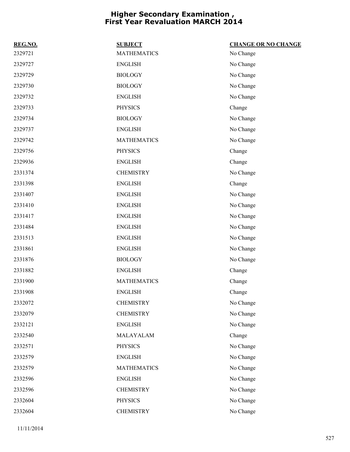| REG.NO. | <b>SUBJECT</b>     | <b>CHANGE OR NO CHANGE</b> |
|---------|--------------------|----------------------------|
| 2329721 | <b>MATHEMATICS</b> | No Change                  |
| 2329727 | <b>ENGLISH</b>     | No Change                  |
| 2329729 | <b>BIOLOGY</b>     | No Change                  |
| 2329730 | <b>BIOLOGY</b>     | No Change                  |
| 2329732 | <b>ENGLISH</b>     | No Change                  |
| 2329733 | <b>PHYSICS</b>     | Change                     |
| 2329734 | <b>BIOLOGY</b>     | No Change                  |
| 2329737 | <b>ENGLISH</b>     | No Change                  |
| 2329742 | <b>MATHEMATICS</b> | No Change                  |
| 2329756 | <b>PHYSICS</b>     | Change                     |
| 2329936 | <b>ENGLISH</b>     | Change                     |
| 2331374 | <b>CHEMISTRY</b>   | No Change                  |
| 2331398 | <b>ENGLISH</b>     | Change                     |
| 2331407 | <b>ENGLISH</b>     | No Change                  |
| 2331410 | <b>ENGLISH</b>     | No Change                  |
| 2331417 | <b>ENGLISH</b>     | No Change                  |
| 2331484 | <b>ENGLISH</b>     | No Change                  |
| 2331513 | <b>ENGLISH</b>     | No Change                  |
| 2331861 | <b>ENGLISH</b>     | No Change                  |
| 2331876 | <b>BIOLOGY</b>     | No Change                  |
| 2331882 | <b>ENGLISH</b>     | Change                     |
| 2331900 | <b>MATHEMATICS</b> | Change                     |
| 2331908 | <b>ENGLISH</b>     | Change                     |
| 2332072 | <b>CHEMISTRY</b>   | No Change                  |
| 2332079 | <b>CHEMISTRY</b>   | No Change                  |
| 2332121 | <b>ENGLISH</b>     | No Change                  |
| 2332540 | MALAYALAM          | Change                     |
| 2332571 | <b>PHYSICS</b>     | No Change                  |
| 2332579 | <b>ENGLISH</b>     | No Change                  |
| 2332579 | <b>MATHEMATICS</b> | No Change                  |
| 2332596 | <b>ENGLISH</b>     | No Change                  |
| 2332596 | <b>CHEMISTRY</b>   | No Change                  |
| 2332604 | <b>PHYSICS</b>     | No Change                  |
| 2332604 | <b>CHEMISTRY</b>   | No Change                  |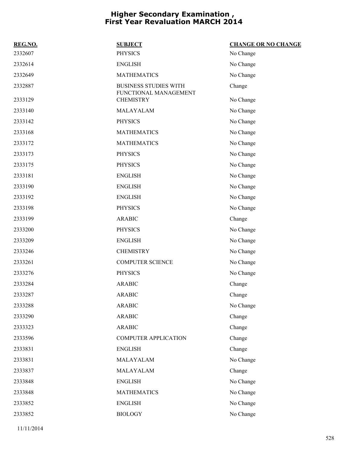| REG.NO. | <b>SUBJECT</b>                                        | <b>CHANGE OR NO CHANGE</b> |
|---------|-------------------------------------------------------|----------------------------|
| 2332607 | <b>PHYSICS</b>                                        | No Change                  |
| 2332614 | <b>ENGLISH</b>                                        | No Change                  |
| 2332649 | <b>MATHEMATICS</b>                                    | No Change                  |
| 2332887 | <b>BUSINESS STUDIES WITH</b><br>FUNCTIONAL MANAGEMENT | Change                     |
| 2333129 | <b>CHEMISTRY</b>                                      | No Change                  |
| 2333140 | MALAYALAM                                             | No Change                  |
| 2333142 | <b>PHYSICS</b>                                        | No Change                  |
| 2333168 | <b>MATHEMATICS</b>                                    | No Change                  |
| 2333172 | <b>MATHEMATICS</b>                                    | No Change                  |
| 2333173 | <b>PHYSICS</b>                                        | No Change                  |
| 2333175 | <b>PHYSICS</b>                                        | No Change                  |
| 2333181 | <b>ENGLISH</b>                                        | No Change                  |
| 2333190 | <b>ENGLISH</b>                                        | No Change                  |
| 2333192 | <b>ENGLISH</b>                                        | No Change                  |
| 2333198 | <b>PHYSICS</b>                                        | No Change                  |
| 2333199 | <b>ARABIC</b>                                         | Change                     |
| 2333200 | <b>PHYSICS</b>                                        | No Change                  |
| 2333209 | <b>ENGLISH</b>                                        | No Change                  |
| 2333246 | <b>CHEMISTRY</b>                                      | No Change                  |
| 2333261 | <b>COMPUTER SCIENCE</b>                               | No Change                  |
| 2333276 | <b>PHYSICS</b>                                        | No Change                  |
| 2333284 | <b>ARABIC</b>                                         | Change                     |
| 2333287 | <b>ARABIC</b>                                         | Change                     |
| 2333288 | <b>ARABIC</b>                                         | No Change                  |
| 2333290 | <b>ARABIC</b>                                         | Change                     |
| 2333323 | <b>ARABIC</b>                                         | Change                     |
| 2333596 | <b>COMPUTER APPLICATION</b>                           | Change                     |
| 2333831 | <b>ENGLISH</b>                                        | Change                     |
| 2333831 | MALAYALAM                                             | No Change                  |
| 2333837 | MALAYALAM                                             | Change                     |
| 2333848 | <b>ENGLISH</b>                                        | No Change                  |
| 2333848 | <b>MATHEMATICS</b>                                    | No Change                  |
| 2333852 | <b>ENGLISH</b>                                        | No Change                  |
| 2333852 | <b>BIOLOGY</b>                                        | No Change                  |
|         |                                                       |                            |

11/11/2014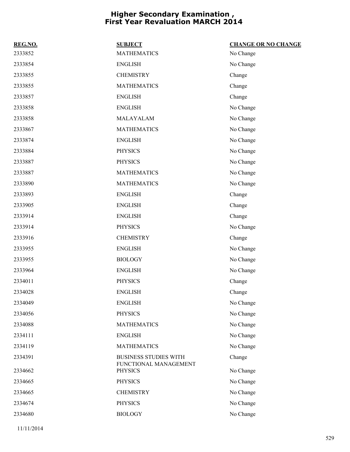| REG.NO. | <b>SUBJECT</b>                          | <b>CHANGE OR NO CHANGE</b> |
|---------|-----------------------------------------|----------------------------|
| 2333852 | <b>MATHEMATICS</b>                      | No Change                  |
| 2333854 | <b>ENGLISH</b>                          | No Change                  |
| 2333855 | <b>CHEMISTRY</b>                        | Change                     |
| 2333855 | <b>MATHEMATICS</b>                      | Change                     |
| 2333857 | <b>ENGLISH</b>                          | Change                     |
| 2333858 | <b>ENGLISH</b>                          | No Change                  |
| 2333858 | MALAYALAM                               | No Change                  |
| 2333867 | <b>MATHEMATICS</b>                      | No Change                  |
| 2333874 | <b>ENGLISH</b>                          | No Change                  |
| 2333884 | <b>PHYSICS</b>                          | No Change                  |
| 2333887 | <b>PHYSICS</b>                          | No Change                  |
| 2333887 | <b>MATHEMATICS</b>                      | No Change                  |
| 2333890 | <b>MATHEMATICS</b>                      | No Change                  |
| 2333893 | <b>ENGLISH</b>                          | Change                     |
| 2333905 | <b>ENGLISH</b>                          | Change                     |
| 2333914 | <b>ENGLISH</b>                          | Change                     |
| 2333914 | <b>PHYSICS</b>                          | No Change                  |
| 2333916 | <b>CHEMISTRY</b>                        | Change                     |
| 2333955 | <b>ENGLISH</b>                          | No Change                  |
| 2333955 | <b>BIOLOGY</b>                          | No Change                  |
| 2333964 | <b>ENGLISH</b>                          | No Change                  |
| 2334011 | <b>PHYSICS</b>                          | Change                     |
| 2334028 | <b>ENGLISH</b>                          | Change                     |
| 2334049 | <b>ENGLISH</b>                          | No Change                  |
| 2334056 | <b>PHYSICS</b>                          | No Change                  |
| 2334088 | <b>MATHEMATICS</b>                      | No Change                  |
| 2334111 | <b>ENGLISH</b>                          | No Change                  |
| 2334119 | <b>MATHEMATICS</b>                      | No Change                  |
| 2334391 | <b>BUSINESS STUDIES WITH</b>            | Change                     |
| 2334662 | FUNCTIONAL MANAGEMENT<br><b>PHYSICS</b> | No Change                  |
| 2334665 | <b>PHYSICS</b>                          | No Change                  |
| 2334665 | <b>CHEMISTRY</b>                        | No Change                  |
| 2334674 | <b>PHYSICS</b>                          | No Change                  |
| 2334680 | <b>BIOLOGY</b>                          | No Change                  |
|         |                                         |                            |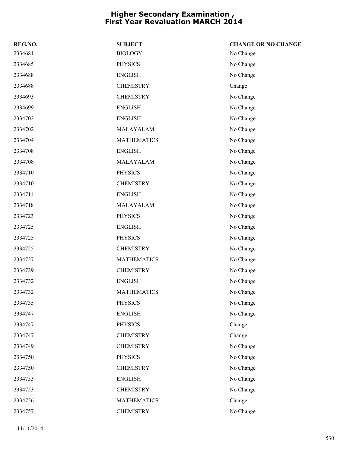| REG.NO. | <b>SUBJECT</b>     | <b>CHANGE OR NO CHANGE</b> |
|---------|--------------------|----------------------------|
| 2334681 | <b>BIOLOGY</b>     | No Change                  |
| 2334685 | <b>PHYSICS</b>     | No Change                  |
| 2334688 | <b>ENGLISH</b>     | No Change                  |
| 2334688 | <b>CHEMISTRY</b>   | Change                     |
| 2334693 | <b>CHEMISTRY</b>   | No Change                  |
| 2334699 | <b>ENGLISH</b>     | No Change                  |
| 2334702 | <b>ENGLISH</b>     | No Change                  |
| 2334702 | MALAYALAM          | No Change                  |
| 2334704 | <b>MATHEMATICS</b> | No Change                  |
| 2334708 | <b>ENGLISH</b>     | No Change                  |
| 2334708 | MALAYALAM          | No Change                  |
| 2334710 | <b>PHYSICS</b>     | No Change                  |
| 2334710 | <b>CHEMISTRY</b>   | No Change                  |
| 2334714 | <b>ENGLISH</b>     | No Change                  |
| 2334718 | MALAYALAM          | No Change                  |
| 2334723 | <b>PHYSICS</b>     | No Change                  |
| 2334725 | <b>ENGLISH</b>     | No Change                  |
| 2334725 | <b>PHYSICS</b>     | No Change                  |
| 2334725 | <b>CHEMISTRY</b>   | No Change                  |
| 2334727 | <b>MATHEMATICS</b> | No Change                  |
| 2334729 | <b>CHEMISTRY</b>   | No Change                  |
| 2334732 | <b>ENGLISH</b>     | No Change                  |
| 2334732 | <b>MATHEMATICS</b> | No Change                  |
| 2334735 | PHYSICS            | No Change                  |
| 2334747 | <b>ENGLISH</b>     | No Change                  |
| 2334747 | <b>PHYSICS</b>     | Change                     |
| 2334747 | <b>CHEMISTRY</b>   | Change                     |
| 2334749 | <b>CHEMISTRY</b>   | No Change                  |
| 2334750 | <b>PHYSICS</b>     | No Change                  |
| 2334750 | <b>CHEMISTRY</b>   | No Change                  |
| 2334753 | <b>ENGLISH</b>     | No Change                  |
| 2334753 | <b>CHEMISTRY</b>   | No Change                  |
| 2334756 | <b>MATHEMATICS</b> | Change                     |
| 2334757 | <b>CHEMISTRY</b>   | No Change                  |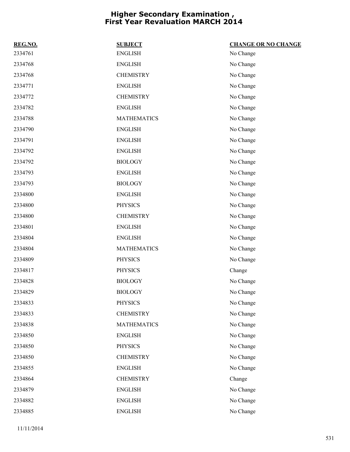| REG.NO. | <b>SUBJECT</b>     | <b>CHANGE OR NO CHANGE</b> |
|---------|--------------------|----------------------------|
| 2334761 | <b>ENGLISH</b>     | No Change                  |
| 2334768 | <b>ENGLISH</b>     | No Change                  |
| 2334768 | <b>CHEMISTRY</b>   | No Change                  |
| 2334771 | <b>ENGLISH</b>     | No Change                  |
| 2334772 | <b>CHEMISTRY</b>   | No Change                  |
| 2334782 | <b>ENGLISH</b>     | No Change                  |
| 2334788 | <b>MATHEMATICS</b> | No Change                  |
| 2334790 | <b>ENGLISH</b>     | No Change                  |
| 2334791 | <b>ENGLISH</b>     | No Change                  |
| 2334792 | <b>ENGLISH</b>     | No Change                  |
| 2334792 | <b>BIOLOGY</b>     | No Change                  |
| 2334793 | <b>ENGLISH</b>     | No Change                  |
| 2334793 | <b>BIOLOGY</b>     | No Change                  |
| 2334800 | <b>ENGLISH</b>     | No Change                  |
| 2334800 | <b>PHYSICS</b>     | No Change                  |
| 2334800 | <b>CHEMISTRY</b>   | No Change                  |
| 2334801 | <b>ENGLISH</b>     | No Change                  |
| 2334804 | <b>ENGLISH</b>     | No Change                  |
| 2334804 | <b>MATHEMATICS</b> | No Change                  |
| 2334809 | <b>PHYSICS</b>     | No Change                  |
| 2334817 | <b>PHYSICS</b>     | Change                     |
| 2334828 | <b>BIOLOGY</b>     | No Change                  |
| 2334829 | <b>BIOLOGY</b>     | No Change                  |
| 2334833 | <b>PHYSICS</b>     | No Change                  |
| 2334833 | <b>CHEMISTRY</b>   | No Change                  |
| 2334838 | <b>MATHEMATICS</b> | No Change                  |
| 2334850 | <b>ENGLISH</b>     | No Change                  |
| 2334850 | <b>PHYSICS</b>     | No Change                  |
| 2334850 | <b>CHEMISTRY</b>   | No Change                  |
| 2334855 | <b>ENGLISH</b>     | No Change                  |
| 2334864 | <b>CHEMISTRY</b>   | Change                     |
| 2334879 | <b>ENGLISH</b>     | No Change                  |
| 2334882 | <b>ENGLISH</b>     | No Change                  |
| 2334885 | <b>ENGLISH</b>     | No Change                  |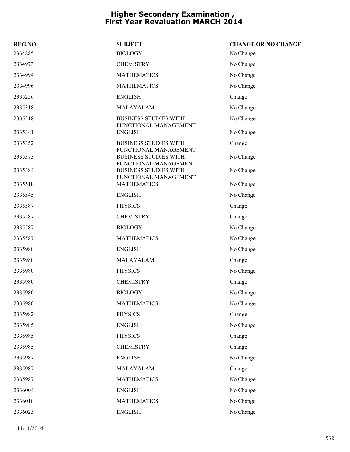| REG.NO. | <b>SUBJECT</b>                                        | <b>CHANGE OR NO CHANGE</b> |
|---------|-------------------------------------------------------|----------------------------|
| 2334885 | <b>BIOLOGY</b>                                        | No Change                  |
| 2334973 | <b>CHEMISTRY</b>                                      | No Change                  |
| 2334994 | <b>MATHEMATICS</b>                                    | No Change                  |
| 2334996 | <b>MATHEMATICS</b>                                    | No Change                  |
| 2335256 | <b>ENGLISH</b>                                        | Change                     |
| 2335318 | MALAYALAM                                             | No Change                  |
| 2335318 | <b>BUSINESS STUDIES WITH</b><br>FUNCTIONAL MANAGEMENT | No Change                  |
| 2335341 | <b>ENGLISH</b>                                        | No Change                  |
| 2335352 | <b>BUSINESS STUDIES WITH</b><br>FUNCTIONAL MANAGEMENT | Change                     |
| 2335373 | <b>BUSINESS STUDIES WITH</b><br>FUNCTIONAL MANAGEMENT | No Change                  |
| 2335384 | <b>BUSINESS STUDIES WITH</b><br>FUNCTIONAL MANAGEMENT | No Change                  |
| 2335518 | <b>MATHEMATICS</b>                                    | No Change                  |
| 2335545 | <b>ENGLISH</b>                                        | No Change                  |
| 2335587 | <b>PHYSICS</b>                                        | Change                     |
| 2335587 | <b>CHEMISTRY</b>                                      | Change                     |
| 2335587 | <b>BIOLOGY</b>                                        | No Change                  |
| 2335587 | <b>MATHEMATICS</b>                                    | No Change                  |
| 2335980 | <b>ENGLISH</b>                                        | No Change                  |
| 2335980 | MALAYALAM                                             | Change                     |
| 2335980 | <b>PHYSICS</b>                                        | No Change                  |
| 2335980 | <b>CHEMISTRY</b>                                      | Change                     |
| 2335980 | <b>BIOLOGY</b>                                        | No Change                  |
| 2335980 | <b>MATHEMATICS</b>                                    | No Change                  |
| 2335982 | <b>PHYSICS</b>                                        | Change                     |
| 2335985 | <b>ENGLISH</b>                                        | No Change                  |
| 2335985 | <b>PHYSICS</b>                                        | Change                     |
| 2335985 | <b>CHEMISTRY</b>                                      | Change                     |
| 2335987 | <b>ENGLISH</b>                                        | No Change                  |
| 2335987 | MALAYALAM                                             | Change                     |
| 2335987 | <b>MATHEMATICS</b>                                    | No Change                  |
| 2336004 | <b>ENGLISH</b>                                        | No Change                  |
| 2336010 | <b>MATHEMATICS</b>                                    | No Change                  |
| 2336023 | <b>ENGLISH</b>                                        | No Change                  |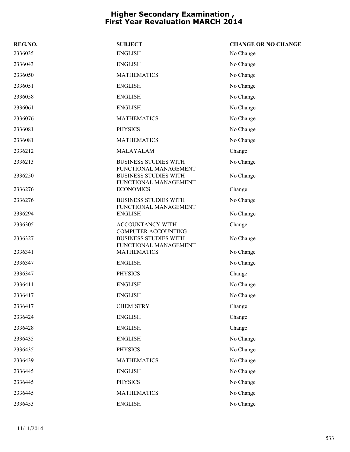| REG.NO. | <b>SUBJECT</b>                                                                      | <b>CHANGE OR NO CHANGE</b> |
|---------|-------------------------------------------------------------------------------------|----------------------------|
| 2336035 | <b>ENGLISH</b>                                                                      | No Change                  |
| 2336043 | <b>ENGLISH</b>                                                                      | No Change                  |
| 2336050 | <b>MATHEMATICS</b>                                                                  | No Change                  |
| 2336051 | <b>ENGLISH</b>                                                                      | No Change                  |
| 2336058 | <b>ENGLISH</b>                                                                      | No Change                  |
| 2336061 | <b>ENGLISH</b>                                                                      | No Change                  |
| 2336076 | <b>MATHEMATICS</b>                                                                  | No Change                  |
| 2336081 | <b>PHYSICS</b>                                                                      | No Change                  |
| 2336081 | <b>MATHEMATICS</b>                                                                  | No Change                  |
| 2336212 | MALAYALAM                                                                           | Change                     |
| 2336213 | <b>BUSINESS STUDIES WITH</b>                                                        | No Change                  |
| 2336250 | FUNCTIONAL MANAGEMENT<br><b>BUSINESS STUDIES WITH</b><br>FUNCTIONAL MANAGEMENT      | No Change                  |
| 2336276 | <b>ECONOMICS</b>                                                                    | Change                     |
| 2336276 | <b>BUSINESS STUDIES WITH</b><br>FUNCTIONAL MANAGEMENT                               | No Change                  |
| 2336294 | <b>ENGLISH</b>                                                                      | No Change                  |
| 2336305 | <b>ACCOUNTANCY WITH</b>                                                             | Change                     |
| 2336327 | <b>COMPUTER ACCOUNTING</b><br><b>BUSINESS STUDIES WITH</b><br>FUNCTIONAL MANAGEMENT | No Change                  |
| 2336341 | <b>MATHEMATICS</b>                                                                  | No Change                  |
| 2336347 | <b>ENGLISH</b>                                                                      | No Change                  |
| 2336347 | <b>PHYSICS</b>                                                                      | Change                     |
| 2336411 | <b>ENGLISH</b>                                                                      | No Change                  |
| 2336417 | <b>ENGLISH</b>                                                                      | No Change                  |
| 2336417 | <b>CHEMISTRY</b>                                                                    | Change                     |
| 2336424 | <b>ENGLISH</b>                                                                      | Change                     |
| 2336428 | <b>ENGLISH</b>                                                                      | Change                     |
| 2336435 | <b>ENGLISH</b>                                                                      | No Change                  |
| 2336435 | <b>PHYSICS</b>                                                                      | No Change                  |
| 2336439 | <b>MATHEMATICS</b>                                                                  | No Change                  |
| 2336445 | <b>ENGLISH</b>                                                                      | No Change                  |
| 2336445 | <b>PHYSICS</b>                                                                      | No Change                  |
| 2336445 | <b>MATHEMATICS</b>                                                                  | No Change                  |
| 2336453 | <b>ENGLISH</b>                                                                      | No Change                  |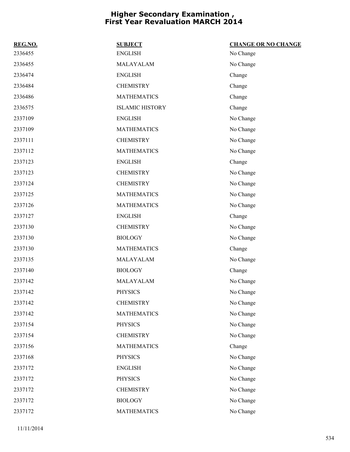| REG.NO. | <b>SUBJECT</b>         | <b>CHANGE OR NO CHANGE</b> |
|---------|------------------------|----------------------------|
| 2336455 | <b>ENGLISH</b>         | No Change                  |
| 2336455 | MALAYALAM              | No Change                  |
| 2336474 | <b>ENGLISH</b>         | Change                     |
| 2336484 | <b>CHEMISTRY</b>       | Change                     |
| 2336486 | <b>MATHEMATICS</b>     | Change                     |
| 2336575 | <b>ISLAMIC HISTORY</b> | Change                     |
| 2337109 | <b>ENGLISH</b>         | No Change                  |
| 2337109 | <b>MATHEMATICS</b>     | No Change                  |
| 2337111 | <b>CHEMISTRY</b>       | No Change                  |
| 2337112 | <b>MATHEMATICS</b>     | No Change                  |
| 2337123 | <b>ENGLISH</b>         | Change                     |
| 2337123 | <b>CHEMISTRY</b>       | No Change                  |
| 2337124 | <b>CHEMISTRY</b>       | No Change                  |
| 2337125 | <b>MATHEMATICS</b>     | No Change                  |
| 2337126 | <b>MATHEMATICS</b>     | No Change                  |
| 2337127 | <b>ENGLISH</b>         | Change                     |
| 2337130 | <b>CHEMISTRY</b>       | No Change                  |
| 2337130 | <b>BIOLOGY</b>         | No Change                  |
| 2337130 | <b>MATHEMATICS</b>     | Change                     |
| 2337135 | MALAYALAM              | No Change                  |
| 2337140 | <b>BIOLOGY</b>         | Change                     |
| 2337142 | MALAYALAM              | No Change                  |
| 2337142 | <b>PHYSICS</b>         | No Change                  |
| 2337142 | <b>CHEMISTRY</b>       | No Change                  |
| 2337142 | <b>MATHEMATICS</b>     | No Change                  |
| 2337154 | <b>PHYSICS</b>         | No Change                  |
| 2337154 | <b>CHEMISTRY</b>       | No Change                  |
| 2337156 | <b>MATHEMATICS</b>     | Change                     |
| 2337168 | <b>PHYSICS</b>         | No Change                  |
| 2337172 | <b>ENGLISH</b>         | No Change                  |
| 2337172 | <b>PHYSICS</b>         | No Change                  |
| 2337172 | <b>CHEMISTRY</b>       | No Change                  |
| 2337172 | <b>BIOLOGY</b>         | No Change                  |
| 2337172 | <b>MATHEMATICS</b>     | No Change                  |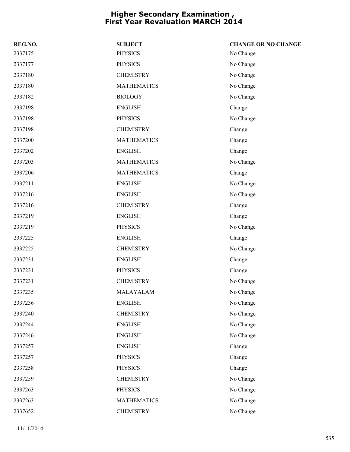| REG.NO. | <b>SUBJECT</b>     | <b>CHANGE OR NO CHANGE</b> |
|---------|--------------------|----------------------------|
| 2337175 | <b>PHYSICS</b>     | No Change                  |
| 2337177 | <b>PHYSICS</b>     | No Change                  |
| 2337180 | <b>CHEMISTRY</b>   | No Change                  |
| 2337180 | <b>MATHEMATICS</b> | No Change                  |
| 2337182 | <b>BIOLOGY</b>     | No Change                  |
| 2337198 | <b>ENGLISH</b>     | Change                     |
| 2337198 | <b>PHYSICS</b>     | No Change                  |
| 2337198 | <b>CHEMISTRY</b>   | Change                     |
| 2337200 | <b>MATHEMATICS</b> | Change                     |
| 2337202 | <b>ENGLISH</b>     | Change                     |
| 2337203 | <b>MATHEMATICS</b> | No Change                  |
| 2337206 | <b>MATHEMATICS</b> | Change                     |
| 2337211 | <b>ENGLISH</b>     | No Change                  |
| 2337216 | <b>ENGLISH</b>     | No Change                  |
| 2337216 | <b>CHEMISTRY</b>   | Change                     |
| 2337219 | <b>ENGLISH</b>     | Change                     |
| 2337219 | <b>PHYSICS</b>     | No Change                  |
| 2337225 | <b>ENGLISH</b>     | Change                     |
| 2337225 | <b>CHEMISTRY</b>   | No Change                  |
| 2337231 | <b>ENGLISH</b>     | Change                     |
| 2337231 | <b>PHYSICS</b>     | Change                     |
| 2337231 | <b>CHEMISTRY</b>   | No Change                  |
| 2337235 | MALAYALAM          | No Change                  |
| 2337236 | <b>ENGLISH</b>     | No Change                  |
| 2337240 | <b>CHEMISTRY</b>   | No Change                  |
| 2337244 | <b>ENGLISH</b>     | No Change                  |
| 2337246 | <b>ENGLISH</b>     | No Change                  |
| 2337257 | <b>ENGLISH</b>     | Change                     |
| 2337257 | <b>PHYSICS</b>     | Change                     |
| 2337258 | <b>PHYSICS</b>     | Change                     |
| 2337259 | <b>CHEMISTRY</b>   | No Change                  |
| 2337263 | <b>PHYSICS</b>     | No Change                  |
| 2337263 | <b>MATHEMATICS</b> | No Change                  |
| 2337652 | <b>CHEMISTRY</b>   | No Change                  |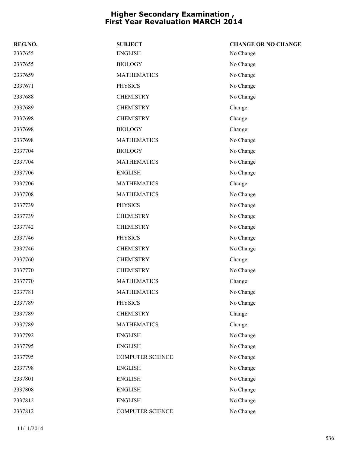| REG.NO. | <b>SUBJECT</b>          | <b>CHANGE OR NO CHANGE</b> |
|---------|-------------------------|----------------------------|
| 2337655 | <b>ENGLISH</b>          | No Change                  |
| 2337655 | <b>BIOLOGY</b>          | No Change                  |
| 2337659 | <b>MATHEMATICS</b>      | No Change                  |
| 2337671 | <b>PHYSICS</b>          | No Change                  |
| 2337688 | <b>CHEMISTRY</b>        | No Change                  |
| 2337689 | <b>CHEMISTRY</b>        | Change                     |
| 2337698 | <b>CHEMISTRY</b>        | Change                     |
| 2337698 | <b>BIOLOGY</b>          | Change                     |
| 2337698 | <b>MATHEMATICS</b>      | No Change                  |
| 2337704 | <b>BIOLOGY</b>          | No Change                  |
| 2337704 | <b>MATHEMATICS</b>      | No Change                  |
| 2337706 | <b>ENGLISH</b>          | No Change                  |
| 2337706 | <b>MATHEMATICS</b>      | Change                     |
| 2337708 | <b>MATHEMATICS</b>      | No Change                  |
| 2337739 | <b>PHYSICS</b>          | No Change                  |
| 2337739 | <b>CHEMISTRY</b>        | No Change                  |
| 2337742 | <b>CHEMISTRY</b>        | No Change                  |
| 2337746 | <b>PHYSICS</b>          | No Change                  |
| 2337746 | <b>CHEMISTRY</b>        | No Change                  |
| 2337760 | <b>CHEMISTRY</b>        | Change                     |
| 2337770 | <b>CHEMISTRY</b>        | No Change                  |
| 2337770 | <b>MATHEMATICS</b>      | Change                     |
| 2337781 | <b>MATHEMATICS</b>      | No Change                  |
| 2337789 | <b>PHYSICS</b>          | No Change                  |
| 2337789 | <b>CHEMISTRY</b>        | Change                     |
| 2337789 | <b>MATHEMATICS</b>      | Change                     |
| 2337792 | <b>ENGLISH</b>          | No Change                  |
| 2337795 | <b>ENGLISH</b>          | No Change                  |
| 2337795 | <b>COMPUTER SCIENCE</b> | No Change                  |
| 2337798 | <b>ENGLISH</b>          | No Change                  |
| 2337801 | <b>ENGLISH</b>          | No Change                  |
| 2337808 | <b>ENGLISH</b>          | No Change                  |
| 2337812 | <b>ENGLISH</b>          | No Change                  |
| 2337812 | <b>COMPUTER SCIENCE</b> | No Change                  |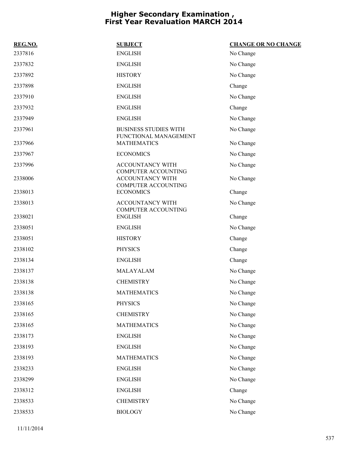| REG.NO. | <b>SUBJECT</b>                                        | <b>CHANGE OR NO CHANGE</b> |
|---------|-------------------------------------------------------|----------------------------|
| 2337816 | <b>ENGLISH</b>                                        | No Change                  |
| 2337832 | <b>ENGLISH</b>                                        | No Change                  |
| 2337892 | <b>HISTORY</b>                                        | No Change                  |
| 2337898 | <b>ENGLISH</b>                                        | Change                     |
| 2337910 | <b>ENGLISH</b>                                        | No Change                  |
| 2337932 | <b>ENGLISH</b>                                        | Change                     |
| 2337949 | <b>ENGLISH</b>                                        | No Change                  |
| 2337961 | <b>BUSINESS STUDIES WITH</b><br>FUNCTIONAL MANAGEMENT | No Change                  |
| 2337966 | <b>MATHEMATICS</b>                                    | No Change                  |
| 2337967 | <b>ECONOMICS</b>                                      | No Change                  |
| 2337996 | ACCOUNTANCY WITH<br><b>COMPUTER ACCOUNTING</b>        | No Change                  |
| 2338006 | <b>ACCOUNTANCY WITH</b><br><b>COMPUTER ACCOUNTING</b> | No Change                  |
| 2338013 | <b>ECONOMICS</b>                                      | Change                     |
| 2338013 | ACCOUNTANCY WITH<br><b>COMPUTER ACCOUNTING</b>        | No Change                  |
| 2338021 | <b>ENGLISH</b>                                        | Change                     |
| 2338051 | <b>ENGLISH</b>                                        | No Change                  |
| 2338051 | <b>HISTORY</b>                                        | Change                     |
| 2338102 | <b>PHYSICS</b>                                        | Change                     |
| 2338134 | <b>ENGLISH</b>                                        | Change                     |
| 2338137 | MALAYALAM                                             | No Change                  |
| 2338138 | <b>CHEMISTRY</b>                                      | No Change                  |
| 2338138 | <b>MATHEMATICS</b>                                    | No Change                  |
| 2338165 | <b>PHYSICS</b>                                        | No Change                  |
| 2338165 | <b>CHEMISTRY</b>                                      | No Change                  |
| 2338165 | <b>MATHEMATICS</b>                                    | No Change                  |
| 2338173 | <b>ENGLISH</b>                                        | No Change                  |
| 2338193 | <b>ENGLISH</b>                                        | No Change                  |
| 2338193 | <b>MATHEMATICS</b>                                    | No Change                  |
| 2338233 | <b>ENGLISH</b>                                        | No Change                  |
| 2338299 | <b>ENGLISH</b>                                        | No Change                  |
| 2338312 | <b>ENGLISH</b>                                        | Change                     |
| 2338533 | <b>CHEMISTRY</b>                                      | No Change                  |
| 2338533 | <b>BIOLOGY</b>                                        | No Change                  |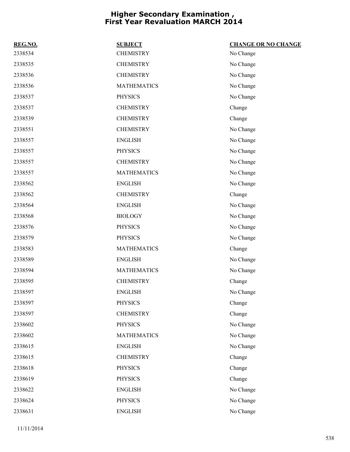| REG.NO. | <b>SUBJECT</b>     | <b>CHANGE OR NO CHANGE</b> |
|---------|--------------------|----------------------------|
| 2338534 | <b>CHEMISTRY</b>   | No Change                  |
| 2338535 | <b>CHEMISTRY</b>   | No Change                  |
| 2338536 | <b>CHEMISTRY</b>   | No Change                  |
| 2338536 | <b>MATHEMATICS</b> | No Change                  |
| 2338537 | <b>PHYSICS</b>     | No Change                  |
| 2338537 | <b>CHEMISTRY</b>   | Change                     |
| 2338539 | <b>CHEMISTRY</b>   | Change                     |
| 2338551 | <b>CHEMISTRY</b>   | No Change                  |
| 2338557 | <b>ENGLISH</b>     | No Change                  |
| 2338557 | <b>PHYSICS</b>     | No Change                  |
| 2338557 | <b>CHEMISTRY</b>   | No Change                  |
| 2338557 | <b>MATHEMATICS</b> | No Change                  |
| 2338562 | <b>ENGLISH</b>     | No Change                  |
| 2338562 | <b>CHEMISTRY</b>   | Change                     |
| 2338564 | <b>ENGLISH</b>     | No Change                  |
| 2338568 | <b>BIOLOGY</b>     | No Change                  |
| 2338576 | <b>PHYSICS</b>     | No Change                  |
| 2338579 | <b>PHYSICS</b>     | No Change                  |
| 2338583 | <b>MATHEMATICS</b> | Change                     |
| 2338589 | <b>ENGLISH</b>     | No Change                  |
| 2338594 | <b>MATHEMATICS</b> | No Change                  |
| 2338595 | <b>CHEMISTRY</b>   | Change                     |
| 2338597 | <b>ENGLISH</b>     | No Change                  |
| 2338597 | <b>PHYSICS</b>     | Change                     |
| 2338597 | <b>CHEMISTRY</b>   | Change                     |
| 2338602 | <b>PHYSICS</b>     | No Change                  |
| 2338602 | <b>MATHEMATICS</b> | No Change                  |
| 2338615 | <b>ENGLISH</b>     | No Change                  |
| 2338615 | <b>CHEMISTRY</b>   | Change                     |
| 2338618 | <b>PHYSICS</b>     | Change                     |
| 2338619 | <b>PHYSICS</b>     | Change                     |
| 2338622 | <b>ENGLISH</b>     | No Change                  |
| 2338624 | <b>PHYSICS</b>     | No Change                  |
| 2338631 | <b>ENGLISH</b>     | No Change                  |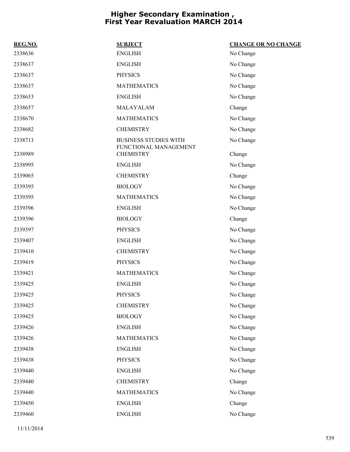| REG.NO. | <b>SUBJECT</b>                                        | <b>CHANGE OR NO CHANGE</b> |
|---------|-------------------------------------------------------|----------------------------|
| 2338636 | <b>ENGLISH</b>                                        | No Change                  |
| 2338637 | <b>ENGLISH</b>                                        | No Change                  |
| 2338637 | <b>PHYSICS</b>                                        | No Change                  |
| 2338637 | <b>MATHEMATICS</b>                                    | No Change                  |
| 2338653 | <b>ENGLISH</b>                                        | No Change                  |
| 2338657 | MALAYALAM                                             | Change                     |
| 2338670 | <b>MATHEMATICS</b>                                    | No Change                  |
| 2338682 | <b>CHEMISTRY</b>                                      | No Change                  |
| 2338713 | <b>BUSINESS STUDIES WITH</b><br>FUNCTIONAL MANAGEMENT | No Change                  |
| 2338989 | <b>CHEMISTRY</b>                                      | Change                     |
| 2338995 | <b>ENGLISH</b>                                        | No Change                  |
| 2339065 | <b>CHEMISTRY</b>                                      | Change                     |
| 2339395 | <b>BIOLOGY</b>                                        | No Change                  |
| 2339395 | <b>MATHEMATICS</b>                                    | No Change                  |
| 2339396 | <b>ENGLISH</b>                                        | No Change                  |
| 2339396 | <b>BIOLOGY</b>                                        | Change                     |
| 2339397 | <b>PHYSICS</b>                                        | No Change                  |
| 2339407 | <b>ENGLISH</b>                                        | No Change                  |
| 2339410 | <b>CHEMISTRY</b>                                      | No Change                  |
| 2339419 | <b>PHYSICS</b>                                        | No Change                  |
| 2339421 | <b>MATHEMATICS</b>                                    | No Change                  |
| 2339425 | <b>ENGLISH</b>                                        | No Change                  |
| 2339425 | <b>PHYSICS</b>                                        | No Change                  |
| 2339425 | <b>CHEMISTRY</b>                                      | No Change                  |
| 2339425 | <b>BIOLOGY</b>                                        | No Change                  |
| 2339426 | <b>ENGLISH</b>                                        | No Change                  |
| 2339426 | <b>MATHEMATICS</b>                                    | No Change                  |
| 2339438 | <b>ENGLISH</b>                                        | No Change                  |
| 2339438 | <b>PHYSICS</b>                                        | No Change                  |
| 2339440 | <b>ENGLISH</b>                                        | No Change                  |
| 2339440 | <b>CHEMISTRY</b>                                      | Change                     |
| 2339440 | <b>MATHEMATICS</b>                                    | No Change                  |
| 2339450 | <b>ENGLISH</b>                                        | Change                     |
| 2339460 | <b>ENGLISH</b>                                        | No Change                  |
|         |                                                       |                            |

11/11/2014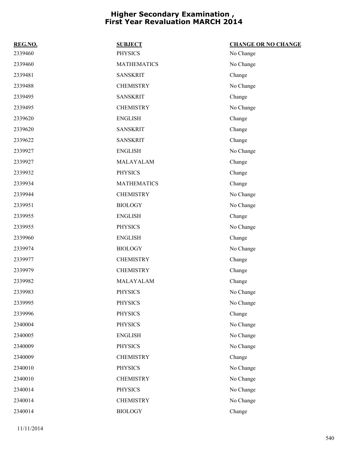| REG.NO. | <b>SUBJECT</b>     | <b>CHANGE OR NO CHANGE</b> |
|---------|--------------------|----------------------------|
| 2339460 | <b>PHYSICS</b>     | No Change                  |
| 2339460 | <b>MATHEMATICS</b> | No Change                  |
| 2339481 | <b>SANSKRIT</b>    | Change                     |
| 2339488 | <b>CHEMISTRY</b>   | No Change                  |
| 2339495 | <b>SANSKRIT</b>    | Change                     |
| 2339495 | <b>CHEMISTRY</b>   | No Change                  |
| 2339620 | <b>ENGLISH</b>     | Change                     |
| 2339620 | <b>SANSKRIT</b>    | Change                     |
| 2339622 | <b>SANSKRIT</b>    | Change                     |
| 2339927 | <b>ENGLISH</b>     | No Change                  |
| 2339927 | MALAYALAM          | Change                     |
| 2339932 | <b>PHYSICS</b>     | Change                     |
| 2339934 | <b>MATHEMATICS</b> | Change                     |
| 2339944 | <b>CHEMISTRY</b>   | No Change                  |
| 2339951 | <b>BIOLOGY</b>     | No Change                  |
| 2339955 | <b>ENGLISH</b>     | Change                     |
| 2339955 | <b>PHYSICS</b>     | No Change                  |
| 2339960 | <b>ENGLISH</b>     | Change                     |
| 2339974 | <b>BIOLOGY</b>     | No Change                  |
| 2339977 | <b>CHEMISTRY</b>   | Change                     |
| 2339979 | <b>CHEMISTRY</b>   | Change                     |
| 2339982 | MALAYALAM          | Change                     |
| 2339983 | <b>PHYSICS</b>     | No Change                  |
| 2339995 | <b>PHYSICS</b>     | No Change                  |
| 2339996 | PHYSICS            | Change                     |
| 2340004 | <b>PHYSICS</b>     | No Change                  |
| 2340005 | <b>ENGLISH</b>     | No Change                  |
| 2340009 | <b>PHYSICS</b>     | No Change                  |
| 2340009 | <b>CHEMISTRY</b>   | Change                     |
| 2340010 | <b>PHYSICS</b>     | No Change                  |
| 2340010 | <b>CHEMISTRY</b>   | No Change                  |
| 2340014 | <b>PHYSICS</b>     | No Change                  |
| 2340014 | <b>CHEMISTRY</b>   | No Change                  |
| 2340014 | <b>BIOLOGY</b>     | Change                     |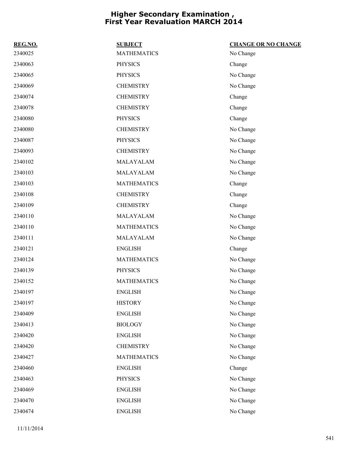| REG.NO. | <b>SUBJECT</b>     | <b>CHANGE OR NO CHANGE</b> |
|---------|--------------------|----------------------------|
| 2340025 | <b>MATHEMATICS</b> | No Change                  |
| 2340063 | <b>PHYSICS</b>     | Change                     |
| 2340065 | <b>PHYSICS</b>     | No Change                  |
| 2340069 | <b>CHEMISTRY</b>   | No Change                  |
| 2340074 | <b>CHEMISTRY</b>   | Change                     |
| 2340078 | <b>CHEMISTRY</b>   | Change                     |
| 2340080 | <b>PHYSICS</b>     | Change                     |
| 2340080 | <b>CHEMISTRY</b>   | No Change                  |
| 2340087 | <b>PHYSICS</b>     | No Change                  |
| 2340093 | <b>CHEMISTRY</b>   | No Change                  |
| 2340102 | MALAYALAM          | No Change                  |
| 2340103 | MALAYALAM          | No Change                  |
| 2340103 | <b>MATHEMATICS</b> | Change                     |
| 2340108 | <b>CHEMISTRY</b>   | Change                     |
| 2340109 | <b>CHEMISTRY</b>   | Change                     |
| 2340110 | MALAYALAM          | No Change                  |
| 2340110 | <b>MATHEMATICS</b> | No Change                  |
| 2340111 | MALAYALAM          | No Change                  |
| 2340121 | <b>ENGLISH</b>     | Change                     |
| 2340124 | <b>MATHEMATICS</b> | No Change                  |
| 2340139 | <b>PHYSICS</b>     | No Change                  |
| 2340152 | <b>MATHEMATICS</b> | No Change                  |
| 2340197 | <b>ENGLISH</b>     | No Change                  |
| 2340197 | <b>HISTORY</b>     | No Change                  |
| 2340409 | <b>ENGLISH</b>     | No Change                  |
| 2340413 | <b>BIOLOGY</b>     | No Change                  |
| 2340420 | <b>ENGLISH</b>     | No Change                  |
| 2340420 | <b>CHEMISTRY</b>   | No Change                  |
| 2340427 | <b>MATHEMATICS</b> | No Change                  |
| 2340460 | <b>ENGLISH</b>     | Change                     |
| 2340463 | <b>PHYSICS</b>     | No Change                  |
| 2340469 | <b>ENGLISH</b>     | No Change                  |
| 2340470 | <b>ENGLISH</b>     | No Change                  |
| 2340474 | <b>ENGLISH</b>     | No Change                  |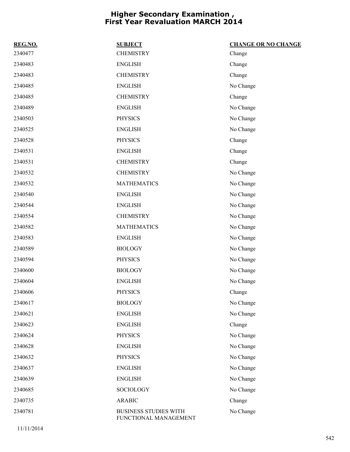| REG.NO. | <b>SUBJECT</b>                                        | <b>CHANGE OR NO CHANGE</b> |
|---------|-------------------------------------------------------|----------------------------|
| 2340477 | <b>CHEMISTRY</b>                                      | Change                     |
| 2340483 | <b>ENGLISH</b>                                        | Change                     |
| 2340483 | <b>CHEMISTRY</b>                                      | Change                     |
| 2340485 | <b>ENGLISH</b>                                        | No Change                  |
| 2340485 | <b>CHEMISTRY</b>                                      | Change                     |
| 2340489 | <b>ENGLISH</b>                                        | No Change                  |
| 2340503 | <b>PHYSICS</b>                                        | No Change                  |
| 2340525 | <b>ENGLISH</b>                                        | No Change                  |
| 2340528 | <b>PHYSICS</b>                                        | Change                     |
| 2340531 | <b>ENGLISH</b>                                        | Change                     |
| 2340531 | <b>CHEMISTRY</b>                                      | Change                     |
| 2340532 | <b>CHEMISTRY</b>                                      | No Change                  |
| 2340532 | <b>MATHEMATICS</b>                                    | No Change                  |
| 2340540 | <b>ENGLISH</b>                                        | No Change                  |
| 2340544 | <b>ENGLISH</b>                                        | No Change                  |
| 2340554 | <b>CHEMISTRY</b>                                      | No Change                  |
| 2340582 | <b>MATHEMATICS</b>                                    | No Change                  |
| 2340583 | <b>ENGLISH</b>                                        | No Change                  |
| 2340589 | <b>BIOLOGY</b>                                        | No Change                  |
| 2340594 | <b>PHYSICS</b>                                        | No Change                  |
| 2340600 | <b>BIOLOGY</b>                                        | No Change                  |
| 2340604 | <b>ENGLISH</b>                                        | No Change                  |
| 2340606 | <b>PHYSICS</b>                                        | Change                     |
| 2340617 | <b>BIOLOGY</b>                                        | No Change                  |
| 2340621 | <b>ENGLISH</b>                                        | No Change                  |
| 2340623 | <b>ENGLISH</b>                                        | Change                     |
| 2340624 | <b>PHYSICS</b>                                        | No Change                  |
| 2340628 | <b>ENGLISH</b>                                        | No Change                  |
| 2340632 | <b>PHYSICS</b>                                        | No Change                  |
| 2340637 | <b>ENGLISH</b>                                        | No Change                  |
| 2340639 | <b>ENGLISH</b>                                        | No Change                  |
| 2340685 | SOCIOLOGY                                             | No Change                  |
| 2340735 | <b>ARABIC</b>                                         | Change                     |
| 2340781 | <b>BUSINESS STUDIES WITH</b><br>FUNCTIONAL MANAGEMENT | No Change                  |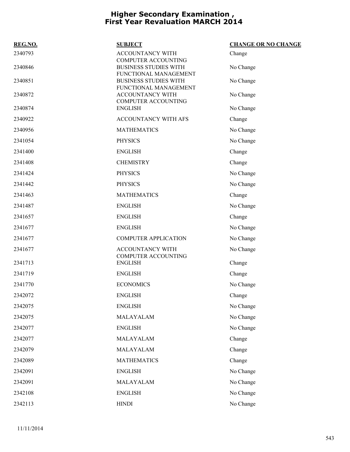| REG.NO. | <b>SUBJECT</b>                                                                      | <b>CHANGE OR NO CHANGE</b> |
|---------|-------------------------------------------------------------------------------------|----------------------------|
| 2340793 | ACCOUNTANCY WITH                                                                    | Change                     |
| 2340846 | <b>COMPUTER ACCOUNTING</b><br><b>BUSINESS STUDIES WITH</b><br>FUNCTIONAL MANAGEMENT | No Change                  |
| 2340851 | <b>BUSINESS STUDIES WITH</b><br>FUNCTIONAL MANAGEMENT                               | No Change                  |
| 2340872 | ACCOUNTANCY WITH<br><b>COMPUTER ACCOUNTING</b>                                      | No Change                  |
| 2340874 | <b>ENGLISH</b>                                                                      | No Change                  |
| 2340922 | ACCOUNTANCY WITH AFS                                                                | Change                     |
| 2340956 | <b>MATHEMATICS</b>                                                                  | No Change                  |
| 2341054 | <b>PHYSICS</b>                                                                      | No Change                  |
| 2341400 | <b>ENGLISH</b>                                                                      | Change                     |
| 2341408 | <b>CHEMISTRY</b>                                                                    | Change                     |
| 2341424 | <b>PHYSICS</b>                                                                      | No Change                  |
| 2341442 | <b>PHYSICS</b>                                                                      | No Change                  |
| 2341463 | <b>MATHEMATICS</b>                                                                  | Change                     |
| 2341487 | <b>ENGLISH</b>                                                                      | No Change                  |
| 2341657 | <b>ENGLISH</b>                                                                      | Change                     |
| 2341677 | <b>ENGLISH</b>                                                                      | No Change                  |
| 2341677 | <b>COMPUTER APPLICATION</b>                                                         | No Change                  |
| 2341677 | ACCOUNTANCY WITH                                                                    | No Change                  |
| 2341713 | <b>COMPUTER ACCOUNTING</b><br><b>ENGLISH</b>                                        | Change                     |
| 2341719 | <b>ENGLISH</b>                                                                      | Change                     |
| 2341770 | <b>ECONOMICS</b>                                                                    | No Change                  |
| 2342072 | <b>ENGLISH</b>                                                                      | Change                     |
| 2342075 | <b>ENGLISH</b>                                                                      | No Change                  |
| 2342075 | MALAYALAM                                                                           | No Change                  |
| 2342077 | <b>ENGLISH</b>                                                                      | No Change                  |
| 2342077 | MALAYALAM                                                                           | Change                     |
| 2342079 | MALAYALAM                                                                           | Change                     |
| 2342089 | <b>MATHEMATICS</b>                                                                  | Change                     |
| 2342091 | <b>ENGLISH</b>                                                                      | No Change                  |
| 2342091 | MALAYALAM                                                                           | No Change                  |
| 2342108 | <b>ENGLISH</b>                                                                      | No Change                  |
| 2342113 | <b>HINDI</b>                                                                        | No Change                  |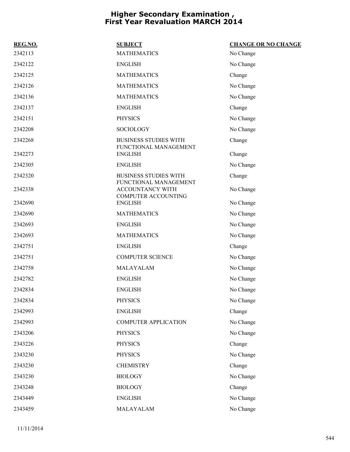| REG.NO. | <b>SUBJECT</b>                                        | <b>CHANGE OR NO CHANGE</b> |
|---------|-------------------------------------------------------|----------------------------|
| 2342113 | <b>MATHEMATICS</b>                                    | No Change                  |
| 2342122 | <b>ENGLISH</b>                                        | No Change                  |
| 2342125 | <b>MATHEMATICS</b>                                    | Change                     |
| 2342126 | <b>MATHEMATICS</b>                                    | No Change                  |
| 2342136 | <b>MATHEMATICS</b>                                    | No Change                  |
| 2342137 | <b>ENGLISH</b>                                        | Change                     |
| 2342151 | <b>PHYSICS</b>                                        | No Change                  |
| 2342208 | <b>SOCIOLOGY</b>                                      | No Change                  |
| 2342268 | <b>BUSINESS STUDIES WITH</b><br>FUNCTIONAL MANAGEMENT | Change                     |
| 2342273 | <b>ENGLISH</b>                                        | Change                     |
| 2342305 | <b>ENGLISH</b>                                        | No Change                  |
| 2342320 | <b>BUSINESS STUDIES WITH</b><br>FUNCTIONAL MANAGEMENT | Change                     |
| 2342338 | ACCOUNTANCY WITH<br><b>COMPUTER ACCOUNTING</b>        | No Change                  |
| 2342690 | <b>ENGLISH</b>                                        | No Change                  |
| 2342690 | <b>MATHEMATICS</b>                                    | No Change                  |
| 2342693 | <b>ENGLISH</b>                                        | No Change                  |
| 2342693 | <b>MATHEMATICS</b>                                    | No Change                  |
| 2342751 | <b>ENGLISH</b>                                        | Change                     |
| 2342751 | <b>COMPUTER SCIENCE</b>                               | No Change                  |
| 2342758 | MALAYALAM                                             | No Change                  |
| 2342782 | <b>ENGLISH</b>                                        | No Change                  |
| 2342834 | <b>ENGLISH</b>                                        | No Change                  |
| 2342834 | <b>PHYSICS</b>                                        | No Change                  |
| 2342993 | <b>ENGLISH</b>                                        | Change                     |
| 2342993 | <b>COMPUTER APPLICATION</b>                           | No Change                  |
| 2343206 | <b>PHYSICS</b>                                        | No Change                  |
| 2343226 | <b>PHYSICS</b>                                        | Change                     |
| 2343230 | <b>PHYSICS</b>                                        | No Change                  |
| 2343230 | <b>CHEMISTRY</b>                                      | Change                     |
| 2343230 | <b>BIOLOGY</b>                                        | No Change                  |
| 2343248 | <b>BIOLOGY</b>                                        | Change                     |
| 2343449 | <b>ENGLISH</b>                                        | No Change                  |
| 2343459 | MALAYALAM                                             | No Change                  |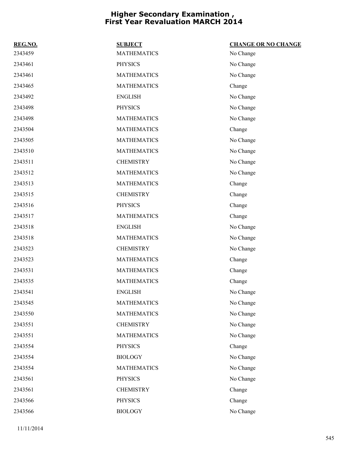| REG.NO. | <b>SUBJECT</b>     | <b>CHANGE OR NO CHANGE</b> |
|---------|--------------------|----------------------------|
| 2343459 | <b>MATHEMATICS</b> | No Change                  |
| 2343461 | <b>PHYSICS</b>     | No Change                  |
| 2343461 | <b>MATHEMATICS</b> | No Change                  |
| 2343465 | <b>MATHEMATICS</b> | Change                     |
| 2343492 | <b>ENGLISH</b>     | No Change                  |
| 2343498 | <b>PHYSICS</b>     | No Change                  |
| 2343498 | <b>MATHEMATICS</b> | No Change                  |
| 2343504 | <b>MATHEMATICS</b> | Change                     |
| 2343505 | <b>MATHEMATICS</b> | No Change                  |
| 2343510 | <b>MATHEMATICS</b> | No Change                  |
| 2343511 | <b>CHEMISTRY</b>   | No Change                  |
| 2343512 | <b>MATHEMATICS</b> | No Change                  |
| 2343513 | <b>MATHEMATICS</b> | Change                     |
| 2343515 | <b>CHEMISTRY</b>   | Change                     |
| 2343516 | <b>PHYSICS</b>     | Change                     |
| 2343517 | <b>MATHEMATICS</b> | Change                     |
| 2343518 | <b>ENGLISH</b>     | No Change                  |
| 2343518 | <b>MATHEMATICS</b> | No Change                  |
| 2343523 | <b>CHEMISTRY</b>   | No Change                  |
| 2343523 | <b>MATHEMATICS</b> | Change                     |
| 2343531 | <b>MATHEMATICS</b> | Change                     |
| 2343535 | <b>MATHEMATICS</b> | Change                     |
| 2343541 | <b>ENGLISH</b>     | No Change                  |
| 2343545 | <b>MATHEMATICS</b> | No Change                  |
| 2343550 | <b>MATHEMATICS</b> | No Change                  |
| 2343551 | <b>CHEMISTRY</b>   | No Change                  |
| 2343551 | <b>MATHEMATICS</b> | No Change                  |
| 2343554 | <b>PHYSICS</b>     | Change                     |
| 2343554 | <b>BIOLOGY</b>     | No Change                  |
| 2343554 | <b>MATHEMATICS</b> | No Change                  |
| 2343561 | <b>PHYSICS</b>     | No Change                  |
| 2343561 | <b>CHEMISTRY</b>   | Change                     |
| 2343566 | <b>PHYSICS</b>     | Change                     |
| 2343566 | <b>BIOLOGY</b>     | No Change                  |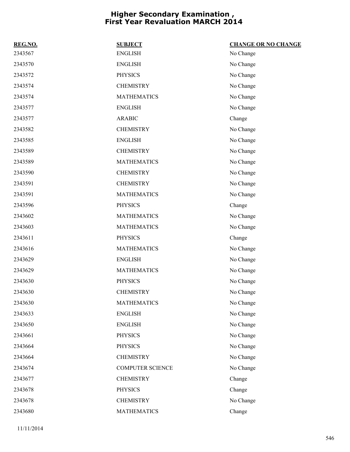| REG.NO. | <b>SUBJECT</b>          | <b>CHANGE OR NO CHANGE</b> |
|---------|-------------------------|----------------------------|
| 2343567 | <b>ENGLISH</b>          | No Change                  |
| 2343570 | <b>ENGLISH</b>          | No Change                  |
| 2343572 | <b>PHYSICS</b>          | No Change                  |
| 2343574 | <b>CHEMISTRY</b>        | No Change                  |
| 2343574 | <b>MATHEMATICS</b>      | No Change                  |
| 2343577 | <b>ENGLISH</b>          | No Change                  |
| 2343577 | <b>ARABIC</b>           | Change                     |
| 2343582 | <b>CHEMISTRY</b>        | No Change                  |
| 2343585 | <b>ENGLISH</b>          | No Change                  |
| 2343589 | <b>CHEMISTRY</b>        | No Change                  |
| 2343589 | <b>MATHEMATICS</b>      | No Change                  |
| 2343590 | <b>CHEMISTRY</b>        | No Change                  |
| 2343591 | <b>CHEMISTRY</b>        | No Change                  |
| 2343591 | <b>MATHEMATICS</b>      | No Change                  |
| 2343596 | <b>PHYSICS</b>          | Change                     |
| 2343602 | <b>MATHEMATICS</b>      | No Change                  |
| 2343603 | <b>MATHEMATICS</b>      | No Change                  |
| 2343611 | <b>PHYSICS</b>          | Change                     |
| 2343616 | <b>MATHEMATICS</b>      | No Change                  |
| 2343629 | <b>ENGLISH</b>          | No Change                  |
| 2343629 | <b>MATHEMATICS</b>      | No Change                  |
| 2343630 | <b>PHYSICS</b>          | No Change                  |
| 2343630 | <b>CHEMISTRY</b>        | No Change                  |
| 2343630 | <b>MATHEMATICS</b>      | No Change                  |
| 2343633 | <b>ENGLISH</b>          | No Change                  |
| 2343650 | <b>ENGLISH</b>          | No Change                  |
| 2343661 | <b>PHYSICS</b>          | No Change                  |
| 2343664 | <b>PHYSICS</b>          | No Change                  |
| 2343664 | <b>CHEMISTRY</b>        | No Change                  |
| 2343674 | <b>COMPUTER SCIENCE</b> | No Change                  |
| 2343677 | <b>CHEMISTRY</b>        | Change                     |
| 2343678 | <b>PHYSICS</b>          | Change                     |
| 2343678 | <b>CHEMISTRY</b>        | No Change                  |
| 2343680 | <b>MATHEMATICS</b>      | Change                     |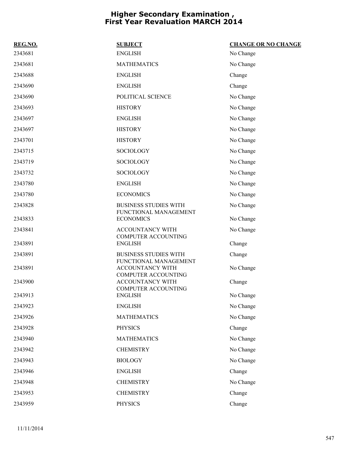| REG.NO. | <b>SUBJECT</b>                                                          | <b>CHANGE OR NO CHANGE</b> |
|---------|-------------------------------------------------------------------------|----------------------------|
| 2343681 | <b>ENGLISH</b>                                                          | No Change                  |
| 2343681 | <b>MATHEMATICS</b>                                                      | No Change                  |
| 2343688 | <b>ENGLISH</b>                                                          | Change                     |
| 2343690 | <b>ENGLISH</b>                                                          | Change                     |
| 2343690 | POLITICAL SCIENCE                                                       | No Change                  |
| 2343693 | <b>HISTORY</b>                                                          | No Change                  |
| 2343697 | <b>ENGLISH</b>                                                          | No Change                  |
| 2343697 | <b>HISTORY</b>                                                          | No Change                  |
| 2343701 | <b>HISTORY</b>                                                          | No Change                  |
| 2343715 | <b>SOCIOLOGY</b>                                                        | No Change                  |
| 2343719 | <b>SOCIOLOGY</b>                                                        | No Change                  |
| 2343732 | SOCIOLOGY                                                               | No Change                  |
| 2343780 | <b>ENGLISH</b>                                                          | No Change                  |
| 2343780 | <b>ECONOMICS</b>                                                        | No Change                  |
| 2343828 | <b>BUSINESS STUDIES WITH</b><br>FUNCTIONAL MANAGEMENT                   | No Change                  |
| 2343833 | <b>ECONOMICS</b>                                                        | No Change                  |
| 2343841 | <b>ACCOUNTANCY WITH</b><br><b>COMPUTER ACCOUNTING</b>                   | No Change                  |
| 2343891 | <b>ENGLISH</b>                                                          | Change                     |
| 2343891 | <b>BUSINESS STUDIES WITH</b>                                            | Change                     |
| 2343891 | FUNCTIONAL MANAGEMENT<br>ACCOUNTANCY WITH<br><b>COMPUTER ACCOUNTING</b> | No Change                  |
| 2343900 | <b>ACCOUNTANCY WITH</b><br>COMPUTER ACCOUNTING                          | Change                     |
| 2343913 | <b>ENGLISH</b>                                                          | No Change                  |
| 2343923 | <b>ENGLISH</b>                                                          | No Change                  |
| 2343926 | <b>MATHEMATICS</b>                                                      | No Change                  |
| 2343928 | <b>PHYSICS</b>                                                          | Change                     |
| 2343940 | <b>MATHEMATICS</b>                                                      | No Change                  |
| 2343942 | <b>CHEMISTRY</b>                                                        | No Change                  |
| 2343943 | <b>BIOLOGY</b>                                                          | No Change                  |
| 2343946 | <b>ENGLISH</b>                                                          | Change                     |
| 2343948 | <b>CHEMISTRY</b>                                                        | No Change                  |
| 2343953 | <b>CHEMISTRY</b>                                                        | Change                     |
| 2343959 | <b>PHYSICS</b>                                                          | Change                     |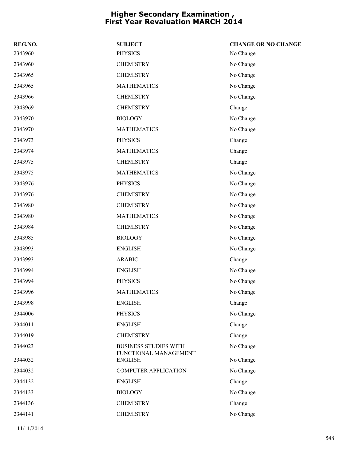| REG.NO. | <b>SUBJECT</b>                          | <b>CHANGE OR NO CHANGE</b> |
|---------|-----------------------------------------|----------------------------|
| 2343960 | <b>PHYSICS</b>                          | No Change                  |
| 2343960 | <b>CHEMISTRY</b>                        | No Change                  |
| 2343965 | <b>CHEMISTRY</b>                        | No Change                  |
| 2343965 | <b>MATHEMATICS</b>                      | No Change                  |
| 2343966 | <b>CHEMISTRY</b>                        | No Change                  |
| 2343969 | <b>CHEMISTRY</b>                        | Change                     |
| 2343970 | <b>BIOLOGY</b>                          | No Change                  |
| 2343970 | <b>MATHEMATICS</b>                      | No Change                  |
| 2343973 | <b>PHYSICS</b>                          | Change                     |
| 2343974 | <b>MATHEMATICS</b>                      | Change                     |
| 2343975 | <b>CHEMISTRY</b>                        | Change                     |
| 2343975 | <b>MATHEMATICS</b>                      | No Change                  |
| 2343976 | <b>PHYSICS</b>                          | No Change                  |
| 2343976 | <b>CHEMISTRY</b>                        | No Change                  |
| 2343980 | <b>CHEMISTRY</b>                        | No Change                  |
| 2343980 | <b>MATHEMATICS</b>                      | No Change                  |
| 2343984 | <b>CHEMISTRY</b>                        | No Change                  |
| 2343985 | <b>BIOLOGY</b>                          | No Change                  |
| 2343993 | <b>ENGLISH</b>                          | No Change                  |
| 2343993 | <b>ARABIC</b>                           | Change                     |
| 2343994 | <b>ENGLISH</b>                          | No Change                  |
| 2343994 | <b>PHYSICS</b>                          | No Change                  |
| 2343996 | <b>MATHEMATICS</b>                      | No Change                  |
| 2343998 | <b>ENGLISH</b>                          | Change                     |
| 2344006 | <b>PHYSICS</b>                          | No Change                  |
| 2344011 | <b>ENGLISH</b>                          | Change                     |
| 2344019 | <b>CHEMISTRY</b>                        | Change                     |
| 2344023 | <b>BUSINESS STUDIES WITH</b>            | No Change                  |
| 2344032 | FUNCTIONAL MANAGEMENT<br><b>ENGLISH</b> | No Change                  |
| 2344032 | <b>COMPUTER APPLICATION</b>             | No Change                  |
| 2344132 | <b>ENGLISH</b>                          | Change                     |
| 2344133 | <b>BIOLOGY</b>                          | No Change                  |
| 2344136 | <b>CHEMISTRY</b>                        | Change                     |
| 2344141 | <b>CHEMISTRY</b>                        | No Change                  |
|         |                                         |                            |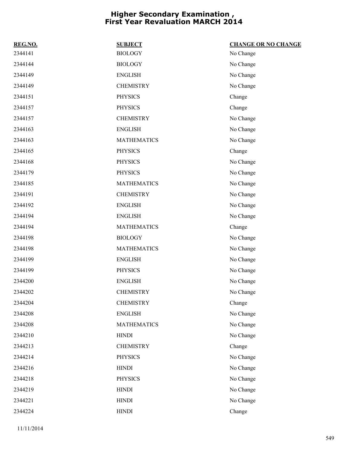| REG.NO. | <b>SUBJECT</b>     | <b>CHANGE OR NO CHANGE</b> |
|---------|--------------------|----------------------------|
| 2344141 | <b>BIOLOGY</b>     | No Change                  |
| 2344144 | <b>BIOLOGY</b>     | No Change                  |
| 2344149 | <b>ENGLISH</b>     | No Change                  |
| 2344149 | <b>CHEMISTRY</b>   | No Change                  |
| 2344151 | <b>PHYSICS</b>     | Change                     |
| 2344157 | <b>PHYSICS</b>     | Change                     |
| 2344157 | <b>CHEMISTRY</b>   | No Change                  |
| 2344163 | <b>ENGLISH</b>     | No Change                  |
| 2344163 | <b>MATHEMATICS</b> | No Change                  |
| 2344165 | <b>PHYSICS</b>     | Change                     |
| 2344168 | <b>PHYSICS</b>     | No Change                  |
| 2344179 | <b>PHYSICS</b>     | No Change                  |
| 2344185 | <b>MATHEMATICS</b> | No Change                  |
| 2344191 | <b>CHEMISTRY</b>   | No Change                  |
| 2344192 | <b>ENGLISH</b>     | No Change                  |
| 2344194 | <b>ENGLISH</b>     | No Change                  |
| 2344194 | <b>MATHEMATICS</b> | Change                     |
| 2344198 | <b>BIOLOGY</b>     | No Change                  |
| 2344198 | <b>MATHEMATICS</b> | No Change                  |
| 2344199 | <b>ENGLISH</b>     | No Change                  |
| 2344199 | <b>PHYSICS</b>     | No Change                  |
| 2344200 | <b>ENGLISH</b>     | No Change                  |
| 2344202 | <b>CHEMISTRY</b>   | No Change                  |
| 2344204 | <b>CHEMISTRY</b>   | Change                     |
| 2344208 | <b>ENGLISH</b>     | No Change                  |
| 2344208 | <b>MATHEMATICS</b> | No Change                  |
| 2344210 | <b>HINDI</b>       | No Change                  |
| 2344213 | <b>CHEMISTRY</b>   | Change                     |
| 2344214 | <b>PHYSICS</b>     | No Change                  |
| 2344216 | <b>HINDI</b>       | No Change                  |
| 2344218 | <b>PHYSICS</b>     | No Change                  |
| 2344219 | <b>HINDI</b>       | No Change                  |
| 2344221 | <b>HINDI</b>       | No Change                  |
| 2344224 | <b>HINDI</b>       | Change                     |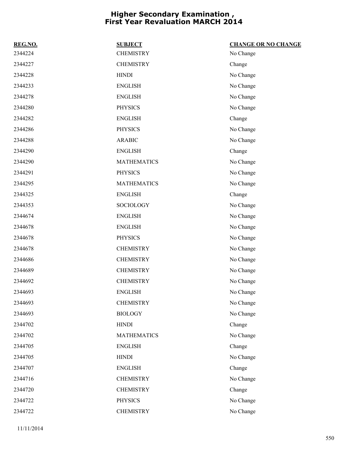| REG.NO. | <b>SUBJECT</b>     | <b>CHANGE OR NO CHANGE</b> |
|---------|--------------------|----------------------------|
| 2344224 | <b>CHEMISTRY</b>   | No Change                  |
| 2344227 | <b>CHEMISTRY</b>   | Change                     |
| 2344228 | <b>HINDI</b>       | No Change                  |
| 2344233 | <b>ENGLISH</b>     | No Change                  |
| 2344278 | <b>ENGLISH</b>     | No Change                  |
| 2344280 | <b>PHYSICS</b>     | No Change                  |
| 2344282 | <b>ENGLISH</b>     | Change                     |
| 2344286 | <b>PHYSICS</b>     | No Change                  |
| 2344288 | <b>ARABIC</b>      | No Change                  |
| 2344290 | <b>ENGLISH</b>     | Change                     |
| 2344290 | <b>MATHEMATICS</b> | No Change                  |
| 2344291 | <b>PHYSICS</b>     | No Change                  |
| 2344295 | <b>MATHEMATICS</b> | No Change                  |
| 2344325 | <b>ENGLISH</b>     | Change                     |
| 2344353 | SOCIOLOGY          | No Change                  |
| 2344674 | <b>ENGLISH</b>     | No Change                  |
| 2344678 | <b>ENGLISH</b>     | No Change                  |
| 2344678 | <b>PHYSICS</b>     | No Change                  |
| 2344678 | <b>CHEMISTRY</b>   | No Change                  |
| 2344686 | <b>CHEMISTRY</b>   | No Change                  |
| 2344689 | <b>CHEMISTRY</b>   | No Change                  |
| 2344692 | <b>CHEMISTRY</b>   | No Change                  |
| 2344693 | <b>ENGLISH</b>     | No Change                  |
| 2344693 | <b>CHEMISTRY</b>   | No Change                  |
| 2344693 | <b>BIOLOGY</b>     | No Change                  |
| 2344702 | <b>HINDI</b>       | Change                     |
| 2344702 | <b>MATHEMATICS</b> | No Change                  |
| 2344705 | <b>ENGLISH</b>     | Change                     |
| 2344705 | <b>HINDI</b>       | No Change                  |
| 2344707 | <b>ENGLISH</b>     | Change                     |
| 2344716 | <b>CHEMISTRY</b>   | No Change                  |
| 2344720 | <b>CHEMISTRY</b>   | Change                     |
| 2344722 | <b>PHYSICS</b>     | No Change                  |
| 2344722 | <b>CHEMISTRY</b>   | No Change                  |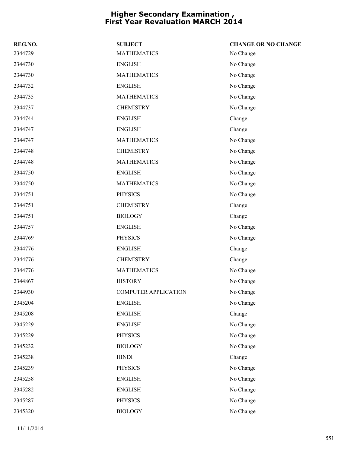| REG.NO. | <b>SUBJECT</b>              | <b>CHANGE OR NO CHANGE</b> |
|---------|-----------------------------|----------------------------|
| 2344729 | <b>MATHEMATICS</b>          | No Change                  |
| 2344730 | <b>ENGLISH</b>              | No Change                  |
| 2344730 | <b>MATHEMATICS</b>          | No Change                  |
| 2344732 | <b>ENGLISH</b>              | No Change                  |
| 2344735 | <b>MATHEMATICS</b>          | No Change                  |
| 2344737 | <b>CHEMISTRY</b>            | No Change                  |
| 2344744 | <b>ENGLISH</b>              | Change                     |
| 2344747 | <b>ENGLISH</b>              | Change                     |
| 2344747 | <b>MATHEMATICS</b>          | No Change                  |
| 2344748 | <b>CHEMISTRY</b>            | No Change                  |
| 2344748 | <b>MATHEMATICS</b>          | No Change                  |
| 2344750 | <b>ENGLISH</b>              | No Change                  |
| 2344750 | <b>MATHEMATICS</b>          | No Change                  |
| 2344751 | <b>PHYSICS</b>              | No Change                  |
| 2344751 | <b>CHEMISTRY</b>            | Change                     |
| 2344751 | <b>BIOLOGY</b>              | Change                     |
| 2344757 | <b>ENGLISH</b>              | No Change                  |
| 2344769 | <b>PHYSICS</b>              | No Change                  |
| 2344776 | <b>ENGLISH</b>              | Change                     |
| 2344776 | <b>CHEMISTRY</b>            | Change                     |
| 2344776 | <b>MATHEMATICS</b>          | No Change                  |
| 2344867 | <b>HISTORY</b>              | No Change                  |
| 2344930 | <b>COMPUTER APPLICATION</b> | No Change                  |
| 2345204 | <b>ENGLISH</b>              | No Change                  |
| 2345208 | <b>ENGLISH</b>              | Change                     |
| 2345229 | <b>ENGLISH</b>              | No Change                  |
| 2345229 | <b>PHYSICS</b>              | No Change                  |
| 2345232 | <b>BIOLOGY</b>              | No Change                  |
| 2345238 | <b>HINDI</b>                | Change                     |
| 2345239 | <b>PHYSICS</b>              | No Change                  |
| 2345258 | <b>ENGLISH</b>              | No Change                  |
| 2345282 | <b>ENGLISH</b>              | No Change                  |
| 2345287 | <b>PHYSICS</b>              | No Change                  |
| 2345320 | <b>BIOLOGY</b>              | No Change                  |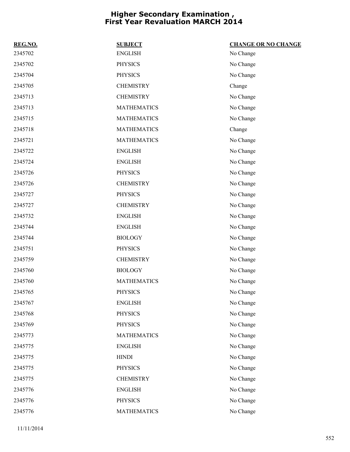| REG.NO. | <b>SUBJECT</b>     | <b>CHANGE OR NO CHANGE</b> |
|---------|--------------------|----------------------------|
| 2345702 | <b>ENGLISH</b>     | No Change                  |
| 2345702 | <b>PHYSICS</b>     | No Change                  |
| 2345704 | <b>PHYSICS</b>     | No Change                  |
| 2345705 | <b>CHEMISTRY</b>   | Change                     |
| 2345713 | <b>CHEMISTRY</b>   | No Change                  |
| 2345713 | <b>MATHEMATICS</b> | No Change                  |
| 2345715 | <b>MATHEMATICS</b> | No Change                  |
| 2345718 | <b>MATHEMATICS</b> | Change                     |
| 2345721 | <b>MATHEMATICS</b> | No Change                  |
| 2345722 | <b>ENGLISH</b>     | No Change                  |
| 2345724 | <b>ENGLISH</b>     | No Change                  |
| 2345726 | <b>PHYSICS</b>     | No Change                  |
| 2345726 | <b>CHEMISTRY</b>   | No Change                  |
| 2345727 | <b>PHYSICS</b>     | No Change                  |
| 2345727 | <b>CHEMISTRY</b>   | No Change                  |
| 2345732 | <b>ENGLISH</b>     | No Change                  |
| 2345744 | <b>ENGLISH</b>     | No Change                  |
| 2345744 | <b>BIOLOGY</b>     | No Change                  |
| 2345751 | <b>PHYSICS</b>     | No Change                  |
| 2345759 | <b>CHEMISTRY</b>   | No Change                  |
| 2345760 | <b>BIOLOGY</b>     | No Change                  |
| 2345760 | <b>MATHEMATICS</b> | No Change                  |
| 2345765 | <b>PHYSICS</b>     | No Change                  |
| 2345767 | <b>ENGLISH</b>     | No Change                  |
| 2345768 | <b>PHYSICS</b>     | No Change                  |
| 2345769 | <b>PHYSICS</b>     | No Change                  |
| 2345773 | <b>MATHEMATICS</b> | No Change                  |
| 2345775 | <b>ENGLISH</b>     | No Change                  |
| 2345775 | <b>HINDI</b>       | No Change                  |
| 2345775 | <b>PHYSICS</b>     | No Change                  |
| 2345775 | <b>CHEMISTRY</b>   | No Change                  |
| 2345776 | <b>ENGLISH</b>     | No Change                  |
| 2345776 | <b>PHYSICS</b>     | No Change                  |
| 2345776 | <b>MATHEMATICS</b> | No Change                  |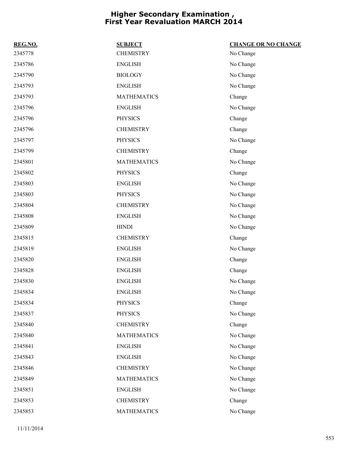| REG.NO. | <b>SUBJECT</b>     | <b>CHANGE OR NO CHANGE</b> |
|---------|--------------------|----------------------------|
| 2345778 | <b>CHEMISTRY</b>   | No Change                  |
| 2345786 | <b>ENGLISH</b>     | No Change                  |
| 2345790 | <b>BIOLOGY</b>     | No Change                  |
| 2345793 | <b>ENGLISH</b>     | No Change                  |
| 2345793 | <b>MATHEMATICS</b> | Change                     |
| 2345796 | <b>ENGLISH</b>     | No Change                  |
| 2345796 | <b>PHYSICS</b>     | Change                     |
| 2345796 | <b>CHEMISTRY</b>   | Change                     |
| 2345797 | <b>PHYSICS</b>     | No Change                  |
| 2345799 | <b>CHEMISTRY</b>   | Change                     |
| 2345801 | <b>MATHEMATICS</b> | No Change                  |
| 2345802 | <b>PHYSICS</b>     | Change                     |
| 2345803 | <b>ENGLISH</b>     | No Change                  |
| 2345803 | <b>PHYSICS</b>     | No Change                  |
| 2345804 | <b>CHEMISTRY</b>   | No Change                  |
| 2345808 | <b>ENGLISH</b>     | No Change                  |
| 2345809 | <b>HINDI</b>       | No Change                  |
| 2345815 | <b>CHEMISTRY</b>   | Change                     |
| 2345819 | <b>ENGLISH</b>     | No Change                  |
| 2345820 | <b>ENGLISH</b>     | Change                     |
| 2345828 | <b>ENGLISH</b>     | Change                     |
| 2345830 | <b>ENGLISH</b>     | No Change                  |
| 2345834 | <b>ENGLISH</b>     | No Change                  |
| 2345834 | <b>PHYSICS</b>     | Change                     |
| 2345837 | <b>PHYSICS</b>     | No Change                  |
| 2345840 | <b>CHEMISTRY</b>   | Change                     |
| 2345840 | <b>MATHEMATICS</b> | No Change                  |
| 2345841 | <b>ENGLISH</b>     | No Change                  |
| 2345843 | <b>ENGLISH</b>     | No Change                  |
| 2345846 | <b>CHEMISTRY</b>   | No Change                  |
| 2345849 | <b>MATHEMATICS</b> | No Change                  |
| 2345851 | <b>ENGLISH</b>     | No Change                  |
| 2345853 | <b>CHEMISTRY</b>   | Change                     |
| 2345853 | <b>MATHEMATICS</b> | No Change                  |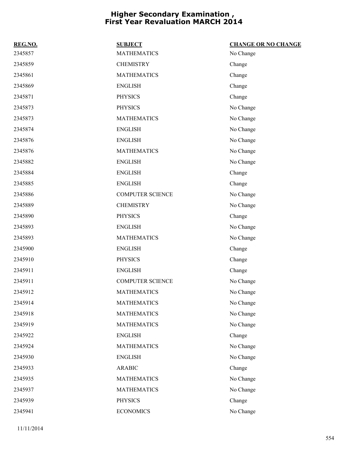| REG.NO. | <b>SUBJECT</b>          | <b>CHANGE OR NO CHANGE</b> |
|---------|-------------------------|----------------------------|
| 2345857 | <b>MATHEMATICS</b>      | No Change                  |
| 2345859 | <b>CHEMISTRY</b>        | Change                     |
| 2345861 | <b>MATHEMATICS</b>      | Change                     |
| 2345869 | <b>ENGLISH</b>          | Change                     |
| 2345871 | <b>PHYSICS</b>          | Change                     |
| 2345873 | <b>PHYSICS</b>          | No Change                  |
| 2345873 | <b>MATHEMATICS</b>      | No Change                  |
| 2345874 | <b>ENGLISH</b>          | No Change                  |
| 2345876 | <b>ENGLISH</b>          | No Change                  |
| 2345876 | <b>MATHEMATICS</b>      | No Change                  |
| 2345882 | <b>ENGLISH</b>          | No Change                  |
| 2345884 | <b>ENGLISH</b>          | Change                     |
| 2345885 | <b>ENGLISH</b>          | Change                     |
| 2345886 | <b>COMPUTER SCIENCE</b> | No Change                  |
| 2345889 | <b>CHEMISTRY</b>        | No Change                  |
| 2345890 | <b>PHYSICS</b>          | Change                     |
| 2345893 | <b>ENGLISH</b>          | No Change                  |
| 2345893 | <b>MATHEMATICS</b>      | No Change                  |
| 2345900 | <b>ENGLISH</b>          | Change                     |
| 2345910 | <b>PHYSICS</b>          | Change                     |
| 2345911 | <b>ENGLISH</b>          | Change                     |
| 2345911 | <b>COMPUTER SCIENCE</b> | No Change                  |
| 2345912 | <b>MATHEMATICS</b>      | No Change                  |
| 2345914 | <b>MATHEMATICS</b>      | No Change                  |
| 2345918 | <b>MATHEMATICS</b>      | No Change                  |
| 2345919 | <b>MATHEMATICS</b>      | No Change                  |
| 2345922 | <b>ENGLISH</b>          | Change                     |
| 2345924 | <b>MATHEMATICS</b>      | No Change                  |
| 2345930 | <b>ENGLISH</b>          | No Change                  |
| 2345933 | <b>ARABIC</b>           | Change                     |
| 2345935 | <b>MATHEMATICS</b>      | No Change                  |
| 2345937 | <b>MATHEMATICS</b>      | No Change                  |
| 2345939 | <b>PHYSICS</b>          | Change                     |
| 2345941 | <b>ECONOMICS</b>        | No Change                  |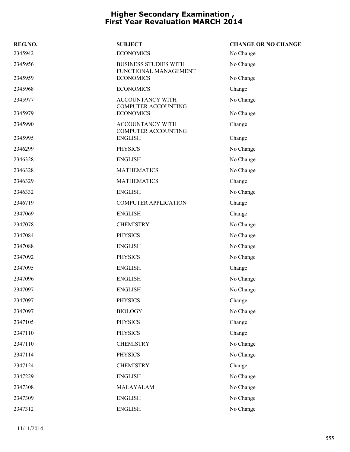| REG.NO. | <b>SUBJECT</b>                                        | <b>CHANGE OR NO CHANGE</b> |
|---------|-------------------------------------------------------|----------------------------|
| 2345942 | <b>ECONOMICS</b>                                      | No Change                  |
| 2345956 | <b>BUSINESS STUDIES WITH</b><br>FUNCTIONAL MANAGEMENT | No Change                  |
| 2345959 | <b>ECONOMICS</b>                                      | No Change                  |
| 2345968 | <b>ECONOMICS</b>                                      | Change                     |
| 2345977 | ACCOUNTANCY WITH                                      | No Change                  |
| 2345979 | <b>COMPUTER ACCOUNTING</b><br><b>ECONOMICS</b>        | No Change                  |
| 2345990 | ACCOUNTANCY WITH<br><b>COMPUTER ACCOUNTING</b>        | Change                     |
| 2345995 | <b>ENGLISH</b>                                        | Change                     |
| 2346299 | <b>PHYSICS</b>                                        | No Change                  |
| 2346328 | <b>ENGLISH</b>                                        | No Change                  |
| 2346328 | <b>MATHEMATICS</b>                                    | No Change                  |
| 2346329 | <b>MATHEMATICS</b>                                    | Change                     |
| 2346332 | <b>ENGLISH</b>                                        | No Change                  |
| 2346719 | <b>COMPUTER APPLICATION</b>                           | Change                     |
| 2347069 | <b>ENGLISH</b>                                        | Change                     |
| 2347078 | <b>CHEMISTRY</b>                                      | No Change                  |
| 2347084 | <b>PHYSICS</b>                                        | No Change                  |
| 2347088 | <b>ENGLISH</b>                                        | No Change                  |
| 2347092 | <b>PHYSICS</b>                                        | No Change                  |
| 2347095 | <b>ENGLISH</b>                                        | Change                     |
| 2347096 | <b>ENGLISH</b>                                        | No Change                  |
| 2347097 | <b>ENGLISH</b>                                        | No Change                  |
| 2347097 | <b>PHYSICS</b>                                        | Change                     |
| 2347097 | <b>BIOLOGY</b>                                        | No Change                  |
| 2347105 | <b>PHYSICS</b>                                        | Change                     |
| 2347110 | <b>PHYSICS</b>                                        | Change                     |
| 2347110 | <b>CHEMISTRY</b>                                      | No Change                  |
| 2347114 | <b>PHYSICS</b>                                        | No Change                  |
| 2347124 | <b>CHEMISTRY</b>                                      | Change                     |
| 2347229 | <b>ENGLISH</b>                                        | No Change                  |
| 2347308 | MALAYALAM                                             | No Change                  |
| 2347309 | <b>ENGLISH</b>                                        | No Change                  |
| 2347312 | <b>ENGLISH</b>                                        | No Change                  |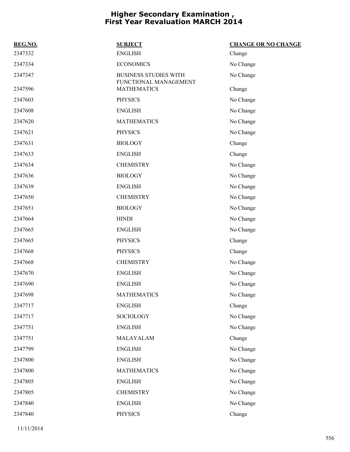| REG.NO. | <b>SUBJECT</b>                                        | <b>CHANGE OR NO CHANGE</b> |
|---------|-------------------------------------------------------|----------------------------|
| 2347332 | <b>ENGLISH</b>                                        | Change                     |
| 2347334 | <b>ECONOMICS</b>                                      | No Change                  |
| 2347347 | <b>BUSINESS STUDIES WITH</b><br>FUNCTIONAL MANAGEMENT | No Change                  |
| 2347596 | <b>MATHEMATICS</b>                                    | Change                     |
| 2347603 | <b>PHYSICS</b>                                        | No Change                  |
| 2347608 | <b>ENGLISH</b>                                        | No Change                  |
| 2347620 | <b>MATHEMATICS</b>                                    | No Change                  |
| 2347621 | <b>PHYSICS</b>                                        | No Change                  |
| 2347631 | <b>BIOLOGY</b>                                        | Change                     |
| 2347633 | <b>ENGLISH</b>                                        | Change                     |
| 2347634 | <b>CHEMISTRY</b>                                      | No Change                  |
| 2347636 | <b>BIOLOGY</b>                                        | No Change                  |
| 2347639 | <b>ENGLISH</b>                                        | No Change                  |
| 2347650 | <b>CHEMISTRY</b>                                      | No Change                  |
| 2347651 | <b>BIOLOGY</b>                                        | No Change                  |
| 2347664 | <b>HINDI</b>                                          | No Change                  |
| 2347665 | <b>ENGLISH</b>                                        | No Change                  |
| 2347665 | <b>PHYSICS</b>                                        | Change                     |
| 2347668 | <b>PHYSICS</b>                                        | Change                     |
| 2347668 | <b>CHEMISTRY</b>                                      | No Change                  |
| 2347670 | <b>ENGLISH</b>                                        | No Change                  |
| 2347690 | <b>ENGLISH</b>                                        | No Change                  |
| 2347698 | <b>MATHEMATICS</b>                                    | No Change                  |
| 2347717 | <b>ENGLISH</b>                                        | Change                     |
| 2347717 | <b>SOCIOLOGY</b>                                      | No Change                  |
| 2347751 | <b>ENGLISH</b>                                        | No Change                  |
| 2347751 | MALAYALAM                                             | Change                     |
| 2347799 | <b>ENGLISH</b>                                        | No Change                  |
| 2347800 | <b>ENGLISH</b>                                        | No Change                  |
| 2347800 | <b>MATHEMATICS</b>                                    | No Change                  |
| 2347805 | <b>ENGLISH</b>                                        | No Change                  |
| 2347805 | <b>CHEMISTRY</b>                                      | No Change                  |
| 2347840 | <b>ENGLISH</b>                                        | No Change                  |
| 2347840 | <b>PHYSICS</b>                                        | Change                     |
|         |                                                       |                            |

11/11/2014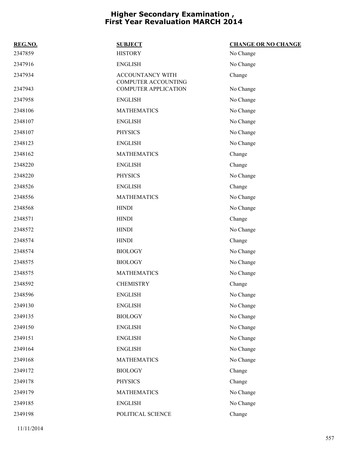| REG.NO. | <b>SUBJECT</b>                                 | <b>CHANGE OR NO CHANGE</b> |
|---------|------------------------------------------------|----------------------------|
| 2347859 | <b>HISTORY</b>                                 | No Change                  |
| 2347916 | <b>ENGLISH</b>                                 | No Change                  |
| 2347934 | ACCOUNTANCY WITH<br><b>COMPUTER ACCOUNTING</b> | Change                     |
| 2347943 | <b>COMPUTER APPLICATION</b>                    | No Change                  |
| 2347958 | <b>ENGLISH</b>                                 | No Change                  |
| 2348106 | <b>MATHEMATICS</b>                             | No Change                  |
| 2348107 | <b>ENGLISH</b>                                 | No Change                  |
| 2348107 | <b>PHYSICS</b>                                 | No Change                  |
| 2348123 | <b>ENGLISH</b>                                 | No Change                  |
| 2348162 | <b>MATHEMATICS</b>                             | Change                     |
| 2348220 | <b>ENGLISH</b>                                 | Change                     |
| 2348220 | <b>PHYSICS</b>                                 | No Change                  |
| 2348526 | <b>ENGLISH</b>                                 | Change                     |
| 2348556 | <b>MATHEMATICS</b>                             | No Change                  |
| 2348568 | <b>HINDI</b>                                   | No Change                  |
| 2348571 | <b>HINDI</b>                                   | Change                     |
| 2348572 | <b>HINDI</b>                                   | No Change                  |
| 2348574 | <b>HINDI</b>                                   | Change                     |
| 2348574 | <b>BIOLOGY</b>                                 | No Change                  |
| 2348575 | <b>BIOLOGY</b>                                 | No Change                  |
| 2348575 | <b>MATHEMATICS</b>                             | No Change                  |
| 2348592 | <b>CHEMISTRY</b>                               | Change                     |
| 2348596 | <b>ENGLISH</b>                                 | No Change                  |
| 2349130 | <b>ENGLISH</b>                                 | No Change                  |
| 2349135 | <b>BIOLOGY</b>                                 | No Change                  |
| 2349150 | <b>ENGLISH</b>                                 | No Change                  |
| 2349151 | <b>ENGLISH</b>                                 | No Change                  |
| 2349164 | <b>ENGLISH</b>                                 | No Change                  |
| 2349168 | <b>MATHEMATICS</b>                             | No Change                  |
| 2349172 | <b>BIOLOGY</b>                                 | Change                     |
| 2349178 | <b>PHYSICS</b>                                 | Change                     |
| 2349179 | <b>MATHEMATICS</b>                             | No Change                  |
| 2349185 | <b>ENGLISH</b>                                 | No Change                  |
| 2349198 | POLITICAL SCIENCE                              | Change                     |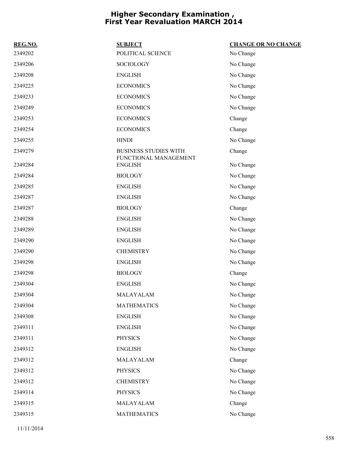| REG.NO. | <b>SUBJECT</b>                                        | <b>CHANGE OR NO CHANGE</b> |
|---------|-------------------------------------------------------|----------------------------|
| 2349202 | POLITICAL SCIENCE                                     | No Change                  |
| 2349206 | <b>SOCIOLOGY</b>                                      | No Change                  |
| 2349208 | <b>ENGLISH</b>                                        | No Change                  |
| 2349225 | <b>ECONOMICS</b>                                      | No Change                  |
| 2349233 | <b>ECONOMICS</b>                                      | No Change                  |
| 2349249 | <b>ECONOMICS</b>                                      | No Change                  |
| 2349253 | <b>ECONOMICS</b>                                      | Change                     |
| 2349254 | <b>ECONOMICS</b>                                      | Change                     |
| 2349255 | <b>HINDI</b>                                          | No Change                  |
| 2349279 | <b>BUSINESS STUDIES WITH</b><br>FUNCTIONAL MANAGEMENT | Change                     |
| 2349284 | <b>ENGLISH</b>                                        | No Change                  |
| 2349284 | <b>BIOLOGY</b>                                        | No Change                  |
| 2349285 | <b>ENGLISH</b>                                        | No Change                  |
| 2349287 | <b>ENGLISH</b>                                        | No Change                  |
| 2349287 | <b>BIOLOGY</b>                                        | Change                     |
| 2349288 | <b>ENGLISH</b>                                        | No Change                  |
| 2349289 | <b>ENGLISH</b>                                        | No Change                  |
| 2349290 | <b>ENGLISH</b>                                        | No Change                  |
| 2349290 | <b>CHEMISTRY</b>                                      | No Change                  |
| 2349298 | <b>ENGLISH</b>                                        | No Change                  |
| 2349298 | <b>BIOLOGY</b>                                        | Change                     |
| 2349304 | <b>ENGLISH</b>                                        | No Change                  |
| 2349304 | MALAYALAM                                             | No Change                  |
| 2349304 | <b>MATHEMATICS</b>                                    | No Change                  |
| 2349308 | <b>ENGLISH</b>                                        | No Change                  |
| 2349311 | <b>ENGLISH</b>                                        | No Change                  |
| 2349311 | <b>PHYSICS</b>                                        | No Change                  |
| 2349312 | <b>ENGLISH</b>                                        | No Change                  |
| 2349312 | MALAYALAM                                             | Change                     |
| 2349312 | <b>PHYSICS</b>                                        | No Change                  |
| 2349312 | <b>CHEMISTRY</b>                                      | No Change                  |
| 2349314 | <b>PHYSICS</b>                                        | No Change                  |
| 2349315 | MALAYALAM                                             | Change                     |
| 2349315 | <b>MATHEMATICS</b>                                    | No Change                  |

11/11/2014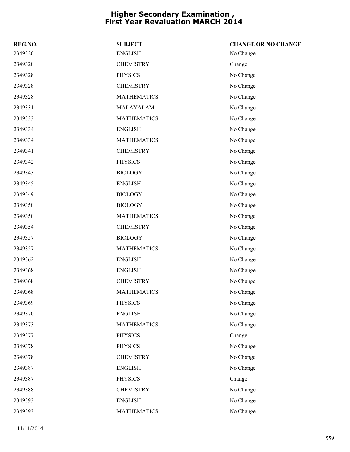| REG.NO. | <b>SUBJECT</b>     | <b>CHANGE OR NO CHANGE</b> |
|---------|--------------------|----------------------------|
| 2349320 | <b>ENGLISH</b>     | No Change                  |
| 2349320 | <b>CHEMISTRY</b>   | Change                     |
| 2349328 | <b>PHYSICS</b>     | No Change                  |
| 2349328 | <b>CHEMISTRY</b>   | No Change                  |
| 2349328 | <b>MATHEMATICS</b> | No Change                  |
| 2349331 | MALAYALAM          | No Change                  |
| 2349333 | <b>MATHEMATICS</b> | No Change                  |
| 2349334 | <b>ENGLISH</b>     | No Change                  |
| 2349334 | <b>MATHEMATICS</b> | No Change                  |
| 2349341 | <b>CHEMISTRY</b>   | No Change                  |
| 2349342 | <b>PHYSICS</b>     | No Change                  |
| 2349343 | <b>BIOLOGY</b>     | No Change                  |
| 2349345 | <b>ENGLISH</b>     | No Change                  |
| 2349349 | <b>BIOLOGY</b>     | No Change                  |
| 2349350 | <b>BIOLOGY</b>     | No Change                  |
| 2349350 | <b>MATHEMATICS</b> | No Change                  |
| 2349354 | <b>CHEMISTRY</b>   | No Change                  |
| 2349357 | <b>BIOLOGY</b>     | No Change                  |
| 2349357 | <b>MATHEMATICS</b> | No Change                  |
| 2349362 | <b>ENGLISH</b>     | No Change                  |
| 2349368 | <b>ENGLISH</b>     | No Change                  |
| 2349368 | <b>CHEMISTRY</b>   | No Change                  |
| 2349368 | <b>MATHEMATICS</b> | No Change                  |
| 2349369 | <b>PHYSICS</b>     | No Change                  |
| 2349370 | <b>ENGLISH</b>     | No Change                  |
| 2349373 | <b>MATHEMATICS</b> | No Change                  |
| 2349377 | <b>PHYSICS</b>     | Change                     |
| 2349378 | <b>PHYSICS</b>     | No Change                  |
| 2349378 | <b>CHEMISTRY</b>   | No Change                  |
| 2349387 | <b>ENGLISH</b>     | No Change                  |
| 2349387 | <b>PHYSICS</b>     | Change                     |
| 2349388 | <b>CHEMISTRY</b>   | No Change                  |
| 2349393 | <b>ENGLISH</b>     | No Change                  |
| 2349393 | <b>MATHEMATICS</b> | No Change                  |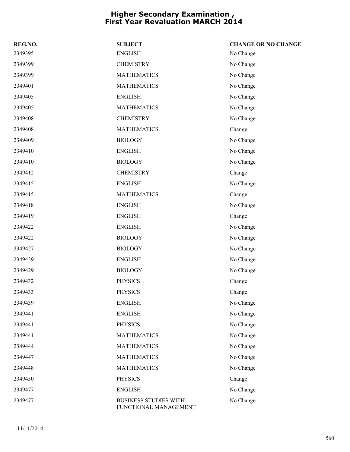| REG.NO. | <b>SUBJECT</b>                                        | <b>CHANGE OR NO CHANGE</b> |
|---------|-------------------------------------------------------|----------------------------|
| 2349395 | <b>ENGLISH</b>                                        | No Change                  |
| 2349399 | <b>CHEMISTRY</b>                                      | No Change                  |
| 2349399 | <b>MATHEMATICS</b>                                    | No Change                  |
| 2349401 | <b>MATHEMATICS</b>                                    | No Change                  |
| 2349405 | <b>ENGLISH</b>                                        | No Change                  |
| 2349405 | <b>MATHEMATICS</b>                                    | No Change                  |
| 2349408 | <b>CHEMISTRY</b>                                      | No Change                  |
| 2349408 | <b>MATHEMATICS</b>                                    | Change                     |
| 2349409 | <b>BIOLOGY</b>                                        | No Change                  |
| 2349410 | <b>ENGLISH</b>                                        | No Change                  |
| 2349410 | <b>BIOLOGY</b>                                        | No Change                  |
| 2349412 | <b>CHEMISTRY</b>                                      | Change                     |
| 2349415 | <b>ENGLISH</b>                                        | No Change                  |
| 2349415 | <b>MATHEMATICS</b>                                    | Change                     |
| 2349418 | <b>ENGLISH</b>                                        | No Change                  |
| 2349419 | <b>ENGLISH</b>                                        | Change                     |
| 2349422 | <b>ENGLISH</b>                                        | No Change                  |
| 2349422 | <b>BIOLOGY</b>                                        | No Change                  |
| 2349427 | <b>BIOLOGY</b>                                        | No Change                  |
| 2349429 | <b>ENGLISH</b>                                        | No Change                  |
| 2349429 | <b>BIOLOGY</b>                                        | No Change                  |
| 2349432 | <b>PHYSICS</b>                                        | Change                     |
| 2349433 | <b>PHYSICS</b>                                        | Change                     |
| 2349439 | <b>ENGLISH</b>                                        | No Change                  |
| 2349441 | <b>ENGLISH</b>                                        | No Change                  |
| 2349441 | <b>PHYSICS</b>                                        | No Change                  |
| 2349441 | <b>MATHEMATICS</b>                                    | No Change                  |
| 2349444 | <b>MATHEMATICS</b>                                    | No Change                  |
| 2349447 | <b>MATHEMATICS</b>                                    | No Change                  |
| 2349448 | <b>MATHEMATICS</b>                                    | No Change                  |
| 2349450 | <b>PHYSICS</b>                                        | Change                     |
| 2349477 | <b>ENGLISH</b>                                        | No Change                  |
| 2349477 | <b>BUSINESS STUDIES WITH</b><br>FUNCTIONAL MANAGEMENT | No Change                  |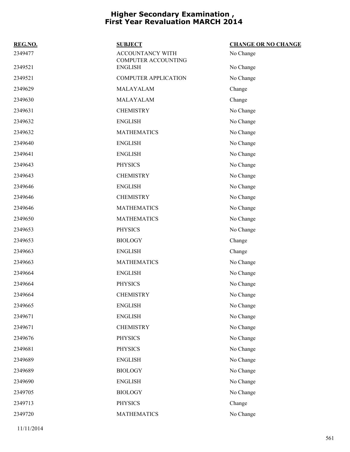| REG.NO. | <b>SUBJECT</b>                                 | <b>CHANGE OR NO CHANGE</b> |
|---------|------------------------------------------------|----------------------------|
| 2349477 | <b>ACCOUNTANCY WITH</b><br>COMPUTER ACCOUNTING | No Change                  |
| 2349521 | <b>ENGLISH</b>                                 | No Change                  |
| 2349521 | <b>COMPUTER APPLICATION</b>                    | No Change                  |
| 2349629 | MALAYALAM                                      | Change                     |
| 2349630 | MALAYALAM                                      | Change                     |
| 2349631 | <b>CHEMISTRY</b>                               | No Change                  |
| 2349632 | <b>ENGLISH</b>                                 | No Change                  |
| 2349632 | <b>MATHEMATICS</b>                             | No Change                  |
| 2349640 | <b>ENGLISH</b>                                 | No Change                  |
| 2349641 | <b>ENGLISH</b>                                 | No Change                  |
| 2349643 | <b>PHYSICS</b>                                 | No Change                  |
| 2349643 | <b>CHEMISTRY</b>                               | No Change                  |
| 2349646 | <b>ENGLISH</b>                                 | No Change                  |
| 2349646 | <b>CHEMISTRY</b>                               | No Change                  |
| 2349646 | <b>MATHEMATICS</b>                             | No Change                  |
| 2349650 | <b>MATHEMATICS</b>                             | No Change                  |
| 2349653 | <b>PHYSICS</b>                                 | No Change                  |
| 2349653 | <b>BIOLOGY</b>                                 | Change                     |
| 2349663 | <b>ENGLISH</b>                                 | Change                     |
| 2349663 | <b>MATHEMATICS</b>                             | No Change                  |
| 2349664 | <b>ENGLISH</b>                                 | No Change                  |
| 2349664 | <b>PHYSICS</b>                                 | No Change                  |
| 2349664 | <b>CHEMISTRY</b>                               | No Change                  |
| 2349665 | <b>ENGLISH</b>                                 | No Change                  |
| 2349671 | <b>ENGLISH</b>                                 | No Change                  |
| 2349671 | <b>CHEMISTRY</b>                               | No Change                  |
| 2349676 | <b>PHYSICS</b>                                 | No Change                  |
| 2349681 | <b>PHYSICS</b>                                 | No Change                  |
| 2349689 | <b>ENGLISH</b>                                 | No Change                  |
| 2349689 | <b>BIOLOGY</b>                                 | No Change                  |
| 2349690 | <b>ENGLISH</b>                                 | No Change                  |
| 2349705 | <b>BIOLOGY</b>                                 | No Change                  |
| 2349713 | <b>PHYSICS</b>                                 | Change                     |
| 2349720 | <b>MATHEMATICS</b>                             | No Change                  |
|         |                                                |                            |

11/11/2014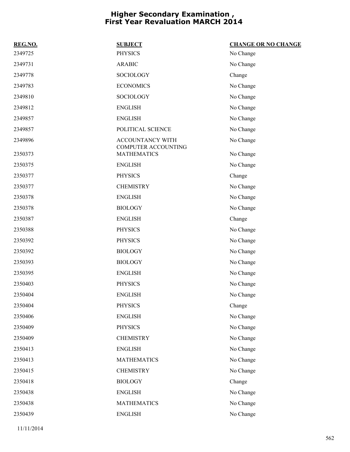| REG.NO. | <b>SUBJECT</b>                                 | <b>CHANGE OR NO CHANGE</b> |
|---------|------------------------------------------------|----------------------------|
| 2349725 | <b>PHYSICS</b>                                 | No Change                  |
| 2349731 | <b>ARABIC</b>                                  | No Change                  |
| 2349778 | <b>SOCIOLOGY</b>                               | Change                     |
| 2349783 | <b>ECONOMICS</b>                               | No Change                  |
| 2349810 | SOCIOLOGY                                      | No Change                  |
| 2349812 | <b>ENGLISH</b>                                 | No Change                  |
| 2349857 | <b>ENGLISH</b>                                 | No Change                  |
| 2349857 | POLITICAL SCIENCE                              | No Change                  |
| 2349896 | ACCOUNTANCY WITH<br><b>COMPUTER ACCOUNTING</b> | No Change                  |
| 2350373 | <b>MATHEMATICS</b>                             | No Change                  |
| 2350375 | <b>ENGLISH</b>                                 | No Change                  |
| 2350377 | <b>PHYSICS</b>                                 | Change                     |
| 2350377 | <b>CHEMISTRY</b>                               | No Change                  |
| 2350378 | <b>ENGLISH</b>                                 | No Change                  |
| 2350378 | <b>BIOLOGY</b>                                 | No Change                  |
| 2350387 | <b>ENGLISH</b>                                 | Change                     |
| 2350388 | <b>PHYSICS</b>                                 | No Change                  |
| 2350392 | <b>PHYSICS</b>                                 | No Change                  |
| 2350392 | <b>BIOLOGY</b>                                 | No Change                  |
| 2350393 | <b>BIOLOGY</b>                                 | No Change                  |
| 2350395 | <b>ENGLISH</b>                                 | No Change                  |
| 2350403 | <b>PHYSICS</b>                                 | No Change                  |
| 2350404 | <b>ENGLISH</b>                                 | No Change                  |
| 2350404 | <b>PHYSICS</b>                                 | Change                     |
| 2350406 | <b>ENGLISH</b>                                 | No Change                  |
| 2350409 | <b>PHYSICS</b>                                 | No Change                  |
| 2350409 | <b>CHEMISTRY</b>                               | No Change                  |
| 2350413 | <b>ENGLISH</b>                                 | No Change                  |
| 2350413 | <b>MATHEMATICS</b>                             | No Change                  |
| 2350415 | <b>CHEMISTRY</b>                               | No Change                  |
| 2350418 | <b>BIOLOGY</b>                                 | Change                     |
| 2350438 | <b>ENGLISH</b>                                 | No Change                  |
| 2350438 | <b>MATHEMATICS</b>                             | No Change                  |
| 2350439 | <b>ENGLISH</b>                                 | No Change                  |
|         |                                                |                            |

11/11/2014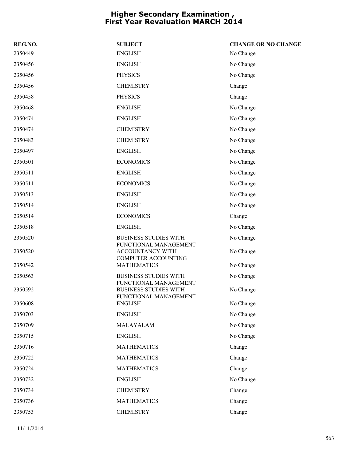| REG.NO. | <b>SUBJECT</b>                                                                 | <b>CHANGE OR NO CHANGE</b> |
|---------|--------------------------------------------------------------------------------|----------------------------|
| 2350449 | <b>ENGLISH</b>                                                                 | No Change                  |
| 2350456 | <b>ENGLISH</b>                                                                 | No Change                  |
| 2350456 | <b>PHYSICS</b>                                                                 | No Change                  |
| 2350456 | <b>CHEMISTRY</b>                                                               | Change                     |
| 2350458 | <b>PHYSICS</b>                                                                 | Change                     |
| 2350468 | <b>ENGLISH</b>                                                                 | No Change                  |
| 2350474 | <b>ENGLISH</b>                                                                 | No Change                  |
| 2350474 | <b>CHEMISTRY</b>                                                               | No Change                  |
| 2350483 | <b>CHEMISTRY</b>                                                               | No Change                  |
| 2350497 | <b>ENGLISH</b>                                                                 | No Change                  |
| 2350501 | <b>ECONOMICS</b>                                                               | No Change                  |
| 2350511 | <b>ENGLISH</b>                                                                 | No Change                  |
| 2350511 | <b>ECONOMICS</b>                                                               | No Change                  |
| 2350513 | <b>ENGLISH</b>                                                                 | No Change                  |
| 2350514 | <b>ENGLISH</b>                                                                 | No Change                  |
| 2350514 | <b>ECONOMICS</b>                                                               | Change                     |
| 2350518 | <b>ENGLISH</b>                                                                 | No Change                  |
| 2350520 | <b>BUSINESS STUDIES WITH</b>                                                   | No Change                  |
| 2350520 | FUNCTIONAL MANAGEMENT<br>ACCOUNTANCY WITH<br><b>COMPUTER ACCOUNTING</b>        | No Change                  |
| 2350542 | <b>MATHEMATICS</b>                                                             | No Change                  |
| 2350563 | <b>BUSINESS STUDIES WITH</b>                                                   | No Change                  |
| 2350592 | FUNCTIONAL MANAGEMENT<br><b>BUSINESS STUDIES WITH</b><br>FUNCTIONAL MANAGEMENT | No Change                  |
| 2350608 | <b>ENGLISH</b>                                                                 | No Change                  |
| 2350703 | <b>ENGLISH</b>                                                                 | No Change                  |
| 2350709 | MALAYALAM                                                                      | No Change                  |
| 2350715 | <b>ENGLISH</b>                                                                 | No Change                  |
| 2350716 | <b>MATHEMATICS</b>                                                             | Change                     |
| 2350722 | <b>MATHEMATICS</b>                                                             | Change                     |
| 2350724 | <b>MATHEMATICS</b>                                                             | Change                     |
| 2350732 | <b>ENGLISH</b>                                                                 | No Change                  |
| 2350734 | <b>CHEMISTRY</b>                                                               | Change                     |
| 2350736 | <b>MATHEMATICS</b>                                                             | Change                     |
| 2350753 | <b>CHEMISTRY</b>                                                               | Change                     |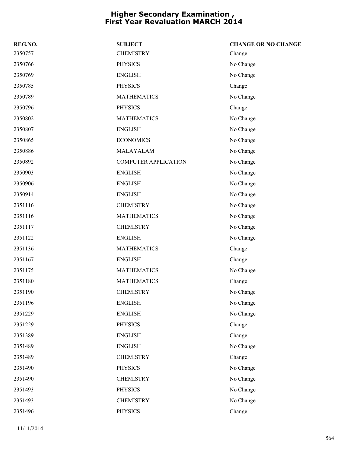| REG.NO. | <b>SUBJECT</b>              | <b>CHANGE OR NO CHANGE</b> |
|---------|-----------------------------|----------------------------|
| 2350757 | <b>CHEMISTRY</b>            | Change                     |
| 2350766 | <b>PHYSICS</b>              | No Change                  |
| 2350769 | <b>ENGLISH</b>              | No Change                  |
| 2350785 | <b>PHYSICS</b>              | Change                     |
| 2350789 | <b>MATHEMATICS</b>          | No Change                  |
| 2350796 | <b>PHYSICS</b>              | Change                     |
| 2350802 | <b>MATHEMATICS</b>          | No Change                  |
| 2350807 | <b>ENGLISH</b>              | No Change                  |
| 2350865 | <b>ECONOMICS</b>            | No Change                  |
| 2350886 | MALAYALAM                   | No Change                  |
| 2350892 | <b>COMPUTER APPLICATION</b> | No Change                  |
| 2350903 | <b>ENGLISH</b>              | No Change                  |
| 2350906 | <b>ENGLISH</b>              | No Change                  |
| 2350914 | <b>ENGLISH</b>              | No Change                  |
| 2351116 | <b>CHEMISTRY</b>            | No Change                  |
| 2351116 | <b>MATHEMATICS</b>          | No Change                  |
| 2351117 | <b>CHEMISTRY</b>            | No Change                  |
| 2351122 | <b>ENGLISH</b>              | No Change                  |
| 2351136 | <b>MATHEMATICS</b>          | Change                     |
| 2351167 | <b>ENGLISH</b>              | Change                     |
| 2351175 | <b>MATHEMATICS</b>          | No Change                  |
| 2351180 | <b>MATHEMATICS</b>          | Change                     |
| 2351190 | <b>CHEMISTRY</b>            | No Change                  |
| 2351196 | <b>ENGLISH</b>              | No Change                  |
| 2351229 | <b>ENGLISH</b>              | No Change                  |
| 2351229 | <b>PHYSICS</b>              | Change                     |
| 2351389 | <b>ENGLISH</b>              | Change                     |
| 2351489 | <b>ENGLISH</b>              | No Change                  |
| 2351489 | <b>CHEMISTRY</b>            | Change                     |
| 2351490 | <b>PHYSICS</b>              | No Change                  |
| 2351490 | <b>CHEMISTRY</b>            | No Change                  |
| 2351493 | <b>PHYSICS</b>              | No Change                  |
| 2351493 | <b>CHEMISTRY</b>            | No Change                  |
| 2351496 | <b>PHYSICS</b>              | Change                     |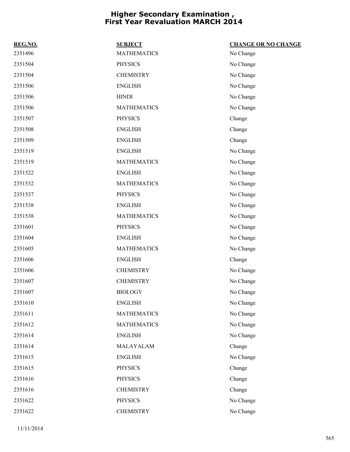| REG.NO. | <b>SUBJECT</b>     | <b>CHANGE OR NO CHANGE</b> |
|---------|--------------------|----------------------------|
| 2351496 | <b>MATHEMATICS</b> | No Change                  |
| 2351504 | <b>PHYSICS</b>     | No Change                  |
| 2351504 | <b>CHEMISTRY</b>   | No Change                  |
| 2351506 | <b>ENGLISH</b>     | No Change                  |
| 2351506 | <b>HINDI</b>       | No Change                  |
| 2351506 | <b>MATHEMATICS</b> | No Change                  |
| 2351507 | <b>PHYSICS</b>     | Change                     |
| 2351508 | <b>ENGLISH</b>     | Change                     |
| 2351509 | <b>ENGLISH</b>     | Change                     |
| 2351519 | <b>ENGLISH</b>     | No Change                  |
| 2351519 | <b>MATHEMATICS</b> | No Change                  |
| 2351522 | <b>ENGLISH</b>     | No Change                  |
| 2351532 | <b>MATHEMATICS</b> | No Change                  |
| 2351537 | <b>PHYSICS</b>     | No Change                  |
| 2351538 | <b>ENGLISH</b>     | No Change                  |
| 2351538 | <b>MATHEMATICS</b> | No Change                  |
| 2351601 | <b>PHYSICS</b>     | No Change                  |
| 2351604 | <b>ENGLISH</b>     | No Change                  |
| 2351605 | <b>MATHEMATICS</b> | No Change                  |
| 2351606 | <b>ENGLISH</b>     | Change                     |
| 2351606 | <b>CHEMISTRY</b>   | No Change                  |
| 2351607 | <b>CHEMISTRY</b>   | No Change                  |
| 2351607 | <b>BIOLOGY</b>     | No Change                  |
| 2351610 | <b>ENGLISH</b>     | No Change                  |
| 2351611 | <b>MATHEMATICS</b> | No Change                  |
| 2351612 | <b>MATHEMATICS</b> | No Change                  |
| 2351614 | <b>ENGLISH</b>     | No Change                  |
| 2351614 | MALAYALAM          | Change                     |
| 2351615 | <b>ENGLISH</b>     | No Change                  |
| 2351615 | <b>PHYSICS</b>     | Change                     |
| 2351616 | <b>PHYSICS</b>     | Change                     |
| 2351616 | <b>CHEMISTRY</b>   | Change                     |
| 2351622 | <b>PHYSICS</b>     | No Change                  |
| 2351622 | <b>CHEMISTRY</b>   | No Change                  |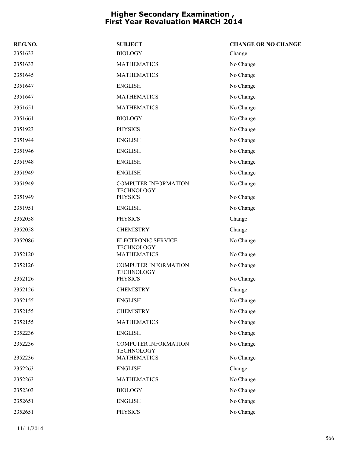| REG.NO. | <b>SUBJECT</b>                                   | <b>CHANGE OR NO CHANGE</b> |
|---------|--------------------------------------------------|----------------------------|
| 2351633 | <b>BIOLOGY</b>                                   | Change                     |
| 2351633 | <b>MATHEMATICS</b>                               | No Change                  |
| 2351645 | <b>MATHEMATICS</b>                               | No Change                  |
| 2351647 | <b>ENGLISH</b>                                   | No Change                  |
| 2351647 | <b>MATHEMATICS</b>                               | No Change                  |
| 2351651 | <b>MATHEMATICS</b>                               | No Change                  |
| 2351661 | <b>BIOLOGY</b>                                   | No Change                  |
| 2351923 | <b>PHYSICS</b>                                   | No Change                  |
| 2351944 | <b>ENGLISH</b>                                   | No Change                  |
| 2351946 | <b>ENGLISH</b>                                   | No Change                  |
| 2351948 | <b>ENGLISH</b>                                   | No Change                  |
| 2351949 | <b>ENGLISH</b>                                   | No Change                  |
| 2351949 | <b>COMPUTER INFORMATION</b>                      | No Change                  |
| 2351949 | <b>TECHNOLOGY</b><br><b>PHYSICS</b>              | No Change                  |
| 2351951 | <b>ENGLISH</b>                                   | No Change                  |
| 2352058 | <b>PHYSICS</b>                                   | Change                     |
| 2352058 | <b>CHEMISTRY</b>                                 | Change                     |
| 2352086 | ELECTRONIC SERVICE<br><b>TECHNOLOGY</b>          | No Change                  |
| 2352120 | <b>MATHEMATICS</b>                               | No Change                  |
| 2352126 | <b>COMPUTER INFORMATION</b><br><b>TECHNOLOGY</b> | No Change                  |
| 2352126 | <b>PHYSICS</b>                                   | No Change                  |
| 2352126 | <b>CHEMISTRY</b>                                 | Change                     |
| 2352155 | <b>ENGLISH</b>                                   | No Change                  |
| 2352155 | <b>CHEMISTRY</b>                                 | No Change                  |
| 2352155 | <b>MATHEMATICS</b>                               | No Change                  |
| 2352236 | <b>ENGLISH</b>                                   | No Change                  |
| 2352236 | <b>COMPUTER INFORMATION</b><br><b>TECHNOLOGY</b> | No Change                  |
| 2352236 | <b>MATHEMATICS</b>                               | No Change                  |
| 2352263 | <b>ENGLISH</b>                                   | Change                     |
| 2352263 | <b>MATHEMATICS</b>                               | No Change                  |
| 2352303 | <b>BIOLOGY</b>                                   | No Change                  |
| 2352651 | <b>ENGLISH</b>                                   | No Change                  |
| 2352651 | <b>PHYSICS</b>                                   | No Change                  |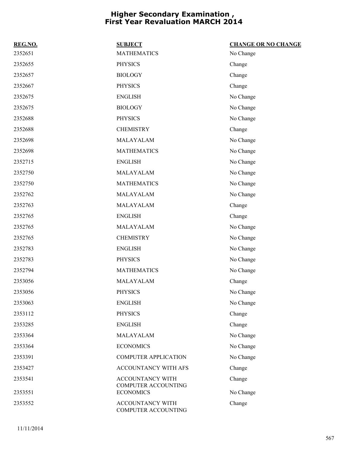| REG.NO. | <b>SUBJECT</b>                                        | <b>CHANGE OR NO CHANGE</b> |
|---------|-------------------------------------------------------|----------------------------|
| 2352651 | <b>MATHEMATICS</b>                                    | No Change                  |
| 2352655 | <b>PHYSICS</b>                                        | Change                     |
| 2352657 | <b>BIOLOGY</b>                                        | Change                     |
| 2352667 | <b>PHYSICS</b>                                        | Change                     |
| 2352675 | <b>ENGLISH</b>                                        | No Change                  |
| 2352675 | <b>BIOLOGY</b>                                        | No Change                  |
| 2352688 | <b>PHYSICS</b>                                        | No Change                  |
| 2352688 | <b>CHEMISTRY</b>                                      | Change                     |
| 2352698 | MALAYALAM                                             | No Change                  |
| 2352698 | <b>MATHEMATICS</b>                                    | No Change                  |
| 2352715 | <b>ENGLISH</b>                                        | No Change                  |
| 2352750 | MALAYALAM                                             | No Change                  |
| 2352750 | <b>MATHEMATICS</b>                                    | No Change                  |
| 2352762 | MALAYALAM                                             | No Change                  |
| 2352763 | MALAYALAM                                             | Change                     |
| 2352765 | <b>ENGLISH</b>                                        | Change                     |
| 2352765 | MALAYALAM                                             | No Change                  |
| 2352765 | <b>CHEMISTRY</b>                                      | No Change                  |
| 2352783 | <b>ENGLISH</b>                                        | No Change                  |
| 2352783 | <b>PHYSICS</b>                                        | No Change                  |
| 2352794 | <b>MATHEMATICS</b>                                    | No Change                  |
| 2353056 | MALAYALAM                                             | Change                     |
| 2353056 | <b>PHYSICS</b>                                        | No Change                  |
| 2353063 | <b>ENGLISH</b>                                        | No Change                  |
| 2353112 | <b>PHYSICS</b>                                        | Change                     |
| 2353285 | <b>ENGLISH</b>                                        | Change                     |
| 2353364 | MALAYALAM                                             | No Change                  |
| 2353364 | <b>ECONOMICS</b>                                      | No Change                  |
| 2353391 | <b>COMPUTER APPLICATION</b>                           | No Change                  |
| 2353427 | ACCOUNTANCY WITH AFS                                  | Change                     |
| 2353541 | <b>ACCOUNTANCY WITH</b><br><b>COMPUTER ACCOUNTING</b> | Change                     |
| 2353551 | <b>ECONOMICS</b>                                      | No Change                  |
| 2353552 | ACCOUNTANCY WITH<br>COMPUTER ACCOUNTING               | Change                     |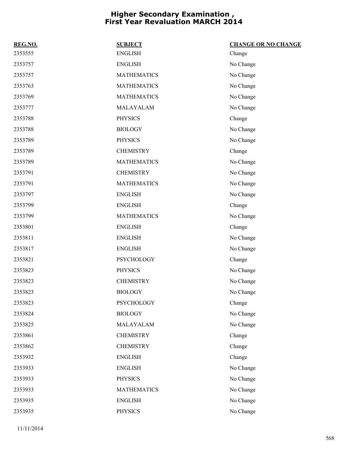| REG.NO. | <b>SUBJECT</b>     | <b>CHANGE OR NO CHANGE</b> |
|---------|--------------------|----------------------------|
| 2353555 | <b>ENGLISH</b>     | Change                     |
| 2353757 | <b>ENGLISH</b>     | No Change                  |
| 2353757 | <b>MATHEMATICS</b> | No Change                  |
| 2353763 | <b>MATHEMATICS</b> | No Change                  |
| 2353769 | <b>MATHEMATICS</b> | No Change                  |
| 2353777 | MALAYALAM          | No Change                  |
| 2353788 | <b>PHYSICS</b>     | Change                     |
| 2353788 | <b>BIOLOGY</b>     | No Change                  |
| 2353789 | <b>PHYSICS</b>     | No Change                  |
| 2353789 | <b>CHEMISTRY</b>   | Change                     |
| 2353789 | <b>MATHEMATICS</b> | No Change                  |
| 2353791 | <b>CHEMISTRY</b>   | No Change                  |
| 2353791 | <b>MATHEMATICS</b> | No Change                  |
| 2353797 | <b>ENGLISH</b>     | No Change                  |
| 2353799 | <b>ENGLISH</b>     | Change                     |
| 2353799 | <b>MATHEMATICS</b> | No Change                  |
| 2353801 | <b>ENGLISH</b>     | Change                     |
| 2353811 | <b>ENGLISH</b>     | No Change                  |
| 2353817 | <b>ENGLISH</b>     | No Change                  |
| 2353821 | <b>PSYCHOLOGY</b>  | Change                     |
| 2353823 | <b>PHYSICS</b>     | No Change                  |
| 2353823 | <b>CHEMISTRY</b>   | No Change                  |
| 2353823 | <b>BIOLOGY</b>     | No Change                  |
| 2353823 | PSYCHOLOGY         | Change                     |
| 2353824 | <b>BIOLOGY</b>     | No Change                  |
| 2353825 | MALAYALAM          | No Change                  |
| 2353861 | <b>CHEMISTRY</b>   | Change                     |
| 2353862 | <b>CHEMISTRY</b>   | Change                     |
| 2353932 | <b>ENGLISH</b>     | Change                     |
| 2353933 | <b>ENGLISH</b>     | No Change                  |
| 2353933 | <b>PHYSICS</b>     | No Change                  |
| 2353933 | <b>MATHEMATICS</b> | No Change                  |
| 2353935 | <b>ENGLISH</b>     | No Change                  |
| 2353935 | <b>PHYSICS</b>     | No Change                  |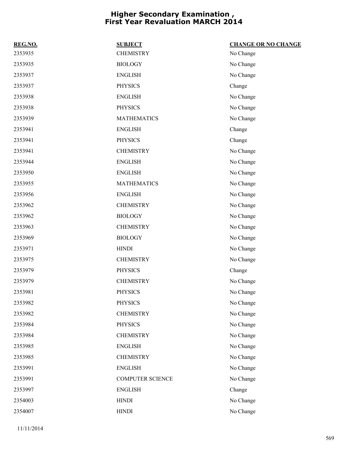| REG.NO. | <b>SUBJECT</b>          | <b>CHANGE OR NO CHANGE</b> |
|---------|-------------------------|----------------------------|
| 2353935 | <b>CHEMISTRY</b>        | No Change                  |
| 2353935 | <b>BIOLOGY</b>          | No Change                  |
| 2353937 | <b>ENGLISH</b>          | No Change                  |
| 2353937 | <b>PHYSICS</b>          | Change                     |
| 2353938 | <b>ENGLISH</b>          | No Change                  |
| 2353938 | <b>PHYSICS</b>          | No Change                  |
| 2353939 | <b>MATHEMATICS</b>      | No Change                  |
| 2353941 | <b>ENGLISH</b>          | Change                     |
| 2353941 | <b>PHYSICS</b>          | Change                     |
| 2353941 | <b>CHEMISTRY</b>        | No Change                  |
| 2353944 | <b>ENGLISH</b>          | No Change                  |
| 2353950 | <b>ENGLISH</b>          | No Change                  |
| 2353955 | <b>MATHEMATICS</b>      | No Change                  |
| 2353956 | <b>ENGLISH</b>          | No Change                  |
| 2353962 | <b>CHEMISTRY</b>        | No Change                  |
| 2353962 | <b>BIOLOGY</b>          | No Change                  |
| 2353963 | <b>CHEMISTRY</b>        | No Change                  |
| 2353969 | <b>BIOLOGY</b>          | No Change                  |
| 2353971 | <b>HINDI</b>            | No Change                  |
| 2353975 | <b>CHEMISTRY</b>        | No Change                  |
| 2353979 | <b>PHYSICS</b>          | Change                     |
| 2353979 | <b>CHEMISTRY</b>        | No Change                  |
| 2353981 | <b>PHYSICS</b>          | No Change                  |
| 2353982 | <b>PHYSICS</b>          | No Change                  |
| 2353982 | <b>CHEMISTRY</b>        | No Change                  |
| 2353984 | <b>PHYSICS</b>          | No Change                  |
| 2353984 | <b>CHEMISTRY</b>        | No Change                  |
| 2353985 | <b>ENGLISH</b>          | No Change                  |
| 2353985 | <b>CHEMISTRY</b>        | No Change                  |
| 2353991 | <b>ENGLISH</b>          | No Change                  |
| 2353991 | <b>COMPUTER SCIENCE</b> | No Change                  |
| 2353997 | <b>ENGLISH</b>          | Change                     |
| 2354003 | <b>HINDI</b>            | No Change                  |
| 2354007 | <b>HINDI</b>            | No Change                  |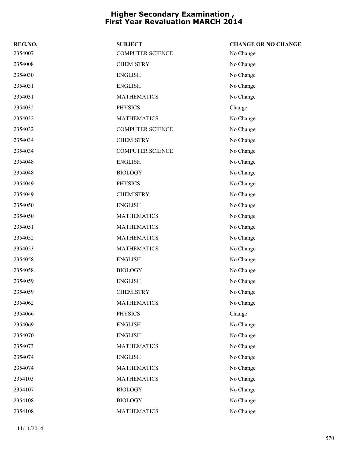| REG.NO. | <b>SUBJECT</b>          | <b>CHANGE OR NO CHANGE</b> |
|---------|-------------------------|----------------------------|
| 2354007 | <b>COMPUTER SCIENCE</b> | No Change                  |
| 2354008 | <b>CHEMISTRY</b>        | No Change                  |
| 2354030 | <b>ENGLISH</b>          | No Change                  |
| 2354031 | <b>ENGLISH</b>          | No Change                  |
| 2354031 | <b>MATHEMATICS</b>      | No Change                  |
| 2354032 | <b>PHYSICS</b>          | Change                     |
| 2354032 | <b>MATHEMATICS</b>      | No Change                  |
| 2354032 | <b>COMPUTER SCIENCE</b> | No Change                  |
| 2354034 | <b>CHEMISTRY</b>        | No Change                  |
| 2354034 | <b>COMPUTER SCIENCE</b> | No Change                  |
| 2354048 | <b>ENGLISH</b>          | No Change                  |
| 2354048 | <b>BIOLOGY</b>          | No Change                  |
| 2354049 | <b>PHYSICS</b>          | No Change                  |
| 2354049 | <b>CHEMISTRY</b>        | No Change                  |
| 2354050 | <b>ENGLISH</b>          | No Change                  |
| 2354050 | <b>MATHEMATICS</b>      | No Change                  |
| 2354051 | <b>MATHEMATICS</b>      | No Change                  |
| 2354052 | <b>MATHEMATICS</b>      | No Change                  |
| 2354053 | <b>MATHEMATICS</b>      | No Change                  |
| 2354058 | <b>ENGLISH</b>          | No Change                  |
| 2354058 | <b>BIOLOGY</b>          | No Change                  |
| 2354059 | <b>ENGLISH</b>          | No Change                  |
| 2354059 | <b>CHEMISTRY</b>        | No Change                  |
| 2354062 | <b>MATHEMATICS</b>      | No Change                  |
| 2354066 | <b>PHYSICS</b>          | Change                     |
| 2354069 | <b>ENGLISH</b>          | No Change                  |
| 2354070 | <b>ENGLISH</b>          | No Change                  |
| 2354073 | <b>MATHEMATICS</b>      | No Change                  |
| 2354074 | <b>ENGLISH</b>          | No Change                  |
| 2354074 | <b>MATHEMATICS</b>      | No Change                  |
| 2354103 | <b>MATHEMATICS</b>      | No Change                  |
| 2354107 | <b>BIOLOGY</b>          | No Change                  |
| 2354108 | <b>BIOLOGY</b>          | No Change                  |
| 2354108 | <b>MATHEMATICS</b>      | No Change                  |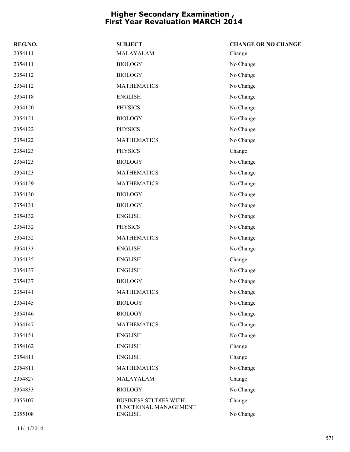| REG.NO. | <b>SUBJECT</b>                          | <b>CHANGE OR NO CHANGE</b> |
|---------|-----------------------------------------|----------------------------|
| 2354111 | MALAYALAM                               | Change                     |
| 2354111 | <b>BIOLOGY</b>                          | No Change                  |
| 2354112 | <b>BIOLOGY</b>                          | No Change                  |
| 2354112 | <b>MATHEMATICS</b>                      | No Change                  |
| 2354118 | <b>ENGLISH</b>                          | No Change                  |
| 2354120 | <b>PHYSICS</b>                          | No Change                  |
| 2354121 | <b>BIOLOGY</b>                          | No Change                  |
| 2354122 | <b>PHYSICS</b>                          | No Change                  |
| 2354122 | <b>MATHEMATICS</b>                      | No Change                  |
| 2354123 | <b>PHYSICS</b>                          | Change                     |
| 2354123 | <b>BIOLOGY</b>                          | No Change                  |
| 2354123 | <b>MATHEMATICS</b>                      | No Change                  |
| 2354129 | <b>MATHEMATICS</b>                      | No Change                  |
| 2354130 | <b>BIOLOGY</b>                          | No Change                  |
| 2354131 | <b>BIOLOGY</b>                          | No Change                  |
| 2354132 | <b>ENGLISH</b>                          | No Change                  |
| 2354132 | <b>PHYSICS</b>                          | No Change                  |
| 2354132 | <b>MATHEMATICS</b>                      | No Change                  |
| 2354133 | <b>ENGLISH</b>                          | No Change                  |
| 2354135 | <b>ENGLISH</b>                          | Change                     |
| 2354137 | <b>ENGLISH</b>                          | No Change                  |
| 2354137 | <b>BIOLOGY</b>                          | No Change                  |
| 2354141 | <b>MATHEMATICS</b>                      | No Change                  |
| 2354145 | <b>BIOLOGY</b>                          | No Change                  |
| 2354146 | <b>BIOLOGY</b>                          | No Change                  |
| 2354147 | <b>MATHEMATICS</b>                      | No Change                  |
| 2354151 | <b>ENGLISH</b>                          | No Change                  |
| 2354162 | <b>ENGLISH</b>                          | Change                     |
| 2354811 | <b>ENGLISH</b>                          | Change                     |
| 2354811 | <b>MATHEMATICS</b>                      | No Change                  |
| 2354827 | MALAYALAM                               | Change                     |
| 2354833 | <b>BIOLOGY</b>                          | No Change                  |
| 2355107 | <b>BUSINESS STUDIES WITH</b>            | Change                     |
| 2355108 | FUNCTIONAL MANAGEMENT<br><b>ENGLISH</b> | No Change                  |
|         |                                         |                            |

11/11/2014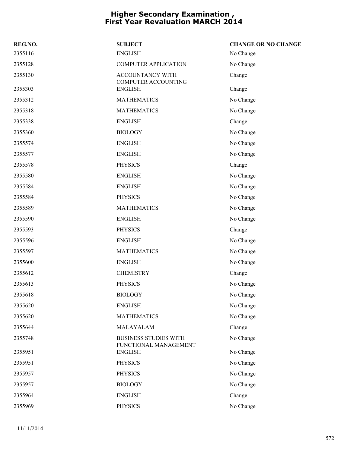| REG.NO. | <b>SUBJECT</b>                                        | <b>CHANGE OR NO CHANGE</b> |
|---------|-------------------------------------------------------|----------------------------|
| 2355116 | <b>ENGLISH</b>                                        | No Change                  |
| 2355128 | <b>COMPUTER APPLICATION</b>                           | No Change                  |
| 2355130 | ACCOUNTANCY WITH<br><b>COMPUTER ACCOUNTING</b>        | Change                     |
| 2355303 | <b>ENGLISH</b>                                        | Change                     |
| 2355312 | <b>MATHEMATICS</b>                                    | No Change                  |
| 2355318 | <b>MATHEMATICS</b>                                    | No Change                  |
| 2355338 | <b>ENGLISH</b>                                        | Change                     |
| 2355360 | <b>BIOLOGY</b>                                        | No Change                  |
| 2355574 | <b>ENGLISH</b>                                        | No Change                  |
| 2355577 | <b>ENGLISH</b>                                        | No Change                  |
| 2355578 | <b>PHYSICS</b>                                        | Change                     |
| 2355580 | <b>ENGLISH</b>                                        | No Change                  |
| 2355584 | <b>ENGLISH</b>                                        | No Change                  |
| 2355584 | <b>PHYSICS</b>                                        | No Change                  |
| 2355589 | <b>MATHEMATICS</b>                                    | No Change                  |
| 2355590 | <b>ENGLISH</b>                                        | No Change                  |
| 2355593 | <b>PHYSICS</b>                                        | Change                     |
| 2355596 | <b>ENGLISH</b>                                        | No Change                  |
| 2355597 | <b>MATHEMATICS</b>                                    | No Change                  |
| 2355600 | <b>ENGLISH</b>                                        | No Change                  |
| 2355612 | <b>CHEMISTRY</b>                                      | Change                     |
| 2355613 | <b>PHYSICS</b>                                        | No Change                  |
| 2355618 | <b>BIOLOGY</b>                                        | No Change                  |
| 2355620 | <b>ENGLISH</b>                                        | No Change                  |
| 2355620 | <b>MATHEMATICS</b>                                    | No Change                  |
| 2355644 | MALAYALAM                                             | Change                     |
| 2355748 | <b>BUSINESS STUDIES WITH</b><br>FUNCTIONAL MANAGEMENT | No Change                  |
| 2355951 | <b>ENGLISH</b>                                        | No Change                  |
| 2355951 | <b>PHYSICS</b>                                        | No Change                  |
| 2355957 | <b>PHYSICS</b>                                        | No Change                  |
| 2355957 | <b>BIOLOGY</b>                                        | No Change                  |
| 2355964 | <b>ENGLISH</b>                                        | Change                     |
| 2355969 | PHYSICS                                               | No Change                  |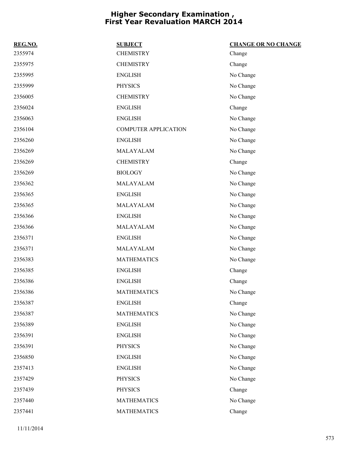| REG.NO. | <b>SUBJECT</b>              | <b>CHANGE OR NO CHANGE</b> |
|---------|-----------------------------|----------------------------|
| 2355974 | <b>CHEMISTRY</b>            | Change                     |
| 2355975 | <b>CHEMISTRY</b>            | Change                     |
| 2355995 | <b>ENGLISH</b>              | No Change                  |
| 2355999 | <b>PHYSICS</b>              | No Change                  |
| 2356005 | <b>CHEMISTRY</b>            | No Change                  |
| 2356024 | <b>ENGLISH</b>              | Change                     |
| 2356063 | <b>ENGLISH</b>              | No Change                  |
| 2356104 | <b>COMPUTER APPLICATION</b> | No Change                  |
| 2356260 | <b>ENGLISH</b>              | No Change                  |
| 2356269 | MALAYALAM                   | No Change                  |
| 2356269 | <b>CHEMISTRY</b>            | Change                     |
| 2356269 | <b>BIOLOGY</b>              | No Change                  |
| 2356362 | MALAYALAM                   | No Change                  |
| 2356365 | <b>ENGLISH</b>              | No Change                  |
| 2356365 | MALAYALAM                   | No Change                  |
| 2356366 | <b>ENGLISH</b>              | No Change                  |
| 2356366 | MALAYALAM                   | No Change                  |
| 2356371 | <b>ENGLISH</b>              | No Change                  |
| 2356371 | MALAYALAM                   | No Change                  |
| 2356383 | <b>MATHEMATICS</b>          | No Change                  |
| 2356385 | <b>ENGLISH</b>              | Change                     |
| 2356386 | <b>ENGLISH</b>              | Change                     |
| 2356386 | <b>MATHEMATICS</b>          | No Change                  |
| 2356387 | <b>ENGLISH</b>              | Change                     |
| 2356387 | <b>MATHEMATICS</b>          | No Change                  |
| 2356389 | <b>ENGLISH</b>              | No Change                  |
| 2356391 | <b>ENGLISH</b>              | No Change                  |
| 2356391 | <b>PHYSICS</b>              | No Change                  |
| 2356850 | <b>ENGLISH</b>              | No Change                  |
| 2357413 | <b>ENGLISH</b>              | No Change                  |
| 2357429 | <b>PHYSICS</b>              | No Change                  |
| 2357439 | <b>PHYSICS</b>              | Change                     |
| 2357440 | <b>MATHEMATICS</b>          | No Change                  |
| 2357441 | <b>MATHEMATICS</b>          | Change                     |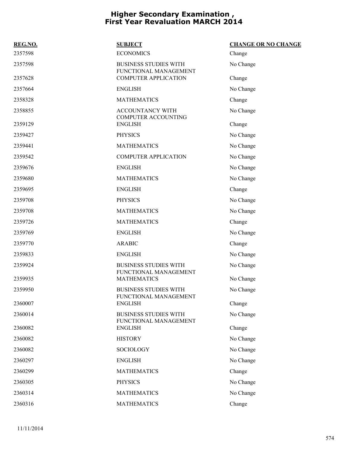| REG.NO. | <b>SUBJECT</b>                                        | <b>CHANGE OR NO CHANGE</b> |
|---------|-------------------------------------------------------|----------------------------|
| 2357598 | <b>ECONOMICS</b>                                      | Change                     |
| 2357598 | <b>BUSINESS STUDIES WITH</b><br>FUNCTIONAL MANAGEMENT | No Change                  |
| 2357628 | <b>COMPUTER APPLICATION</b>                           | Change                     |
| 2357664 | <b>ENGLISH</b>                                        | No Change                  |
| 2358328 | <b>MATHEMATICS</b>                                    | Change                     |
| 2358855 | <b>ACCOUNTANCY WITH</b><br><b>COMPUTER ACCOUNTING</b> | No Change                  |
| 2359129 | <b>ENGLISH</b>                                        | Change                     |
| 2359427 | <b>PHYSICS</b>                                        | No Change                  |
| 2359441 | <b>MATHEMATICS</b>                                    | No Change                  |
| 2359542 | <b>COMPUTER APPLICATION</b>                           | No Change                  |
| 2359676 | <b>ENGLISH</b>                                        | No Change                  |
| 2359680 | <b>MATHEMATICS</b>                                    | No Change                  |
| 2359695 | <b>ENGLISH</b>                                        | Change                     |
| 2359708 | <b>PHYSICS</b>                                        | No Change                  |
| 2359708 | <b>MATHEMATICS</b>                                    | No Change                  |
| 2359726 | <b>MATHEMATICS</b>                                    | Change                     |
| 2359769 | <b>ENGLISH</b>                                        | No Change                  |
| 2359770 | <b>ARABIC</b>                                         | Change                     |
| 2359833 | <b>ENGLISH</b>                                        | No Change                  |
| 2359924 | <b>BUSINESS STUDIES WITH</b><br>FUNCTIONAL MANAGEMENT | No Change                  |
| 2359935 | <b>MATHEMATICS</b>                                    | No Change                  |
| 2359950 | <b>BUSINESS STUDIES WITH</b><br>FUNCTIONAL MANAGEMENT | No Change                  |
| 2360007 | <b>ENGLISH</b>                                        | Change                     |
| 2360014 | <b>BUSINESS STUDIES WITH</b><br>FUNCTIONAL MANAGEMENT | No Change                  |
| 2360082 | <b>ENGLISH</b>                                        | Change                     |
| 2360082 | <b>HISTORY</b>                                        | No Change                  |
| 2360082 | SOCIOLOGY                                             | No Change                  |
| 2360297 | <b>ENGLISH</b>                                        | No Change                  |
| 2360299 | <b>MATHEMATICS</b>                                    | Change                     |
| 2360305 | <b>PHYSICS</b>                                        | No Change                  |
| 2360314 | <b>MATHEMATICS</b>                                    | No Change                  |
| 2360316 | <b>MATHEMATICS</b>                                    | Change                     |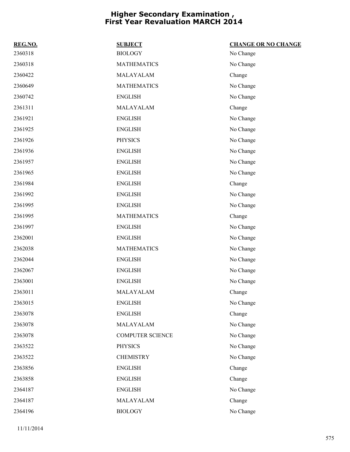| REG.NO. | <b>SUBJECT</b>          | <b>CHANGE OR NO CHANGE</b> |
|---------|-------------------------|----------------------------|
| 2360318 | <b>BIOLOGY</b>          | No Change                  |
| 2360318 | <b>MATHEMATICS</b>      | No Change                  |
| 2360422 | MALAYALAM               | Change                     |
| 2360649 | <b>MATHEMATICS</b>      | No Change                  |
| 2360742 | <b>ENGLISH</b>          | No Change                  |
| 2361311 | MALAYALAM               | Change                     |
| 2361921 | <b>ENGLISH</b>          | No Change                  |
| 2361925 | <b>ENGLISH</b>          | No Change                  |
| 2361926 | <b>PHYSICS</b>          | No Change                  |
| 2361936 | <b>ENGLISH</b>          | No Change                  |
| 2361957 | <b>ENGLISH</b>          | No Change                  |
| 2361965 | <b>ENGLISH</b>          | No Change                  |
| 2361984 | <b>ENGLISH</b>          | Change                     |
| 2361992 | <b>ENGLISH</b>          | No Change                  |
| 2361995 | <b>ENGLISH</b>          | No Change                  |
| 2361995 | <b>MATHEMATICS</b>      | Change                     |
| 2361997 | <b>ENGLISH</b>          | No Change                  |
| 2362001 | <b>ENGLISH</b>          | No Change                  |
| 2362038 | <b>MATHEMATICS</b>      | No Change                  |
| 2362044 | <b>ENGLISH</b>          | No Change                  |
| 2362067 | <b>ENGLISH</b>          | No Change                  |
| 2363001 | <b>ENGLISH</b>          | No Change                  |
| 2363011 | MALAYALAM               | Change                     |
| 2363015 | <b>ENGLISH</b>          | No Change                  |
| 2363078 | <b>ENGLISH</b>          | Change                     |
| 2363078 | MALAYALAM               | No Change                  |
| 2363078 | <b>COMPUTER SCIENCE</b> | No Change                  |
| 2363522 | <b>PHYSICS</b>          | No Change                  |
| 2363522 | <b>CHEMISTRY</b>        | No Change                  |
| 2363856 | <b>ENGLISH</b>          | Change                     |
| 2363858 | <b>ENGLISH</b>          | Change                     |
| 2364187 | <b>ENGLISH</b>          | No Change                  |
| 2364187 | MALAYALAM               | Change                     |
| 2364196 | <b>BIOLOGY</b>          | No Change                  |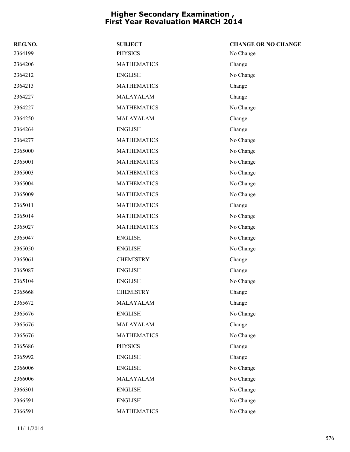| REG.NO. | <b>SUBJECT</b>     | <b>CHANGE OR NO CHANGE</b> |
|---------|--------------------|----------------------------|
| 2364199 | <b>PHYSICS</b>     | No Change                  |
| 2364206 | <b>MATHEMATICS</b> | Change                     |
| 2364212 | <b>ENGLISH</b>     | No Change                  |
| 2364213 | <b>MATHEMATICS</b> | Change                     |
| 2364227 | MALAYALAM          | Change                     |
| 2364227 | <b>MATHEMATICS</b> | No Change                  |
| 2364250 | MALAYALAM          | Change                     |
| 2364264 | <b>ENGLISH</b>     | Change                     |
| 2364277 | <b>MATHEMATICS</b> | No Change                  |
| 2365000 | <b>MATHEMATICS</b> | No Change                  |
| 2365001 | <b>MATHEMATICS</b> | No Change                  |
| 2365003 | <b>MATHEMATICS</b> | No Change                  |
| 2365004 | <b>MATHEMATICS</b> | No Change                  |
| 2365009 | <b>MATHEMATICS</b> | No Change                  |
| 2365011 | <b>MATHEMATICS</b> | Change                     |
| 2365014 | <b>MATHEMATICS</b> | No Change                  |
| 2365027 | <b>MATHEMATICS</b> | No Change                  |
| 2365047 | <b>ENGLISH</b>     | No Change                  |
| 2365050 | <b>ENGLISH</b>     | No Change                  |
| 2365061 | <b>CHEMISTRY</b>   | Change                     |
| 2365087 | <b>ENGLISH</b>     | Change                     |
| 2365104 | <b>ENGLISH</b>     | No Change                  |
| 2365668 | <b>CHEMISTRY</b>   | Change                     |
| 2365672 | MALAYALAM          | Change                     |
| 2365676 | <b>ENGLISH</b>     | No Change                  |
| 2365676 | MALAYALAM          | Change                     |
| 2365676 | <b>MATHEMATICS</b> | No Change                  |
| 2365686 | <b>PHYSICS</b>     | Change                     |
| 2365992 | <b>ENGLISH</b>     | Change                     |
| 2366006 | <b>ENGLISH</b>     | No Change                  |
| 2366006 | MALAYALAM          | No Change                  |
| 2366301 | <b>ENGLISH</b>     | No Change                  |
| 2366591 | <b>ENGLISH</b>     | No Change                  |
| 2366591 | <b>MATHEMATICS</b> | No Change                  |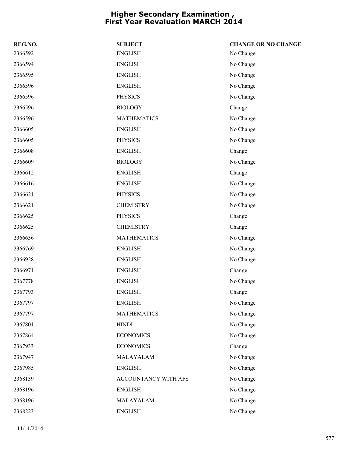| REG.NO. | <b>SUBJECT</b>       | <b>CHANGE OR NO CHANGE</b> |
|---------|----------------------|----------------------------|
| 2366592 | ${\rm ENGLISH}$      | No Change                  |
| 2366594 | <b>ENGLISH</b>       | No Change                  |
| 2366595 | <b>ENGLISH</b>       | No Change                  |
| 2366596 | <b>ENGLISH</b>       | No Change                  |
| 2366596 | <b>PHYSICS</b>       | No Change                  |
| 2366596 | <b>BIOLOGY</b>       | Change                     |
| 2366596 | <b>MATHEMATICS</b>   | No Change                  |
| 2366605 | <b>ENGLISH</b>       | No Change                  |
| 2366605 | <b>PHYSICS</b>       | No Change                  |
| 2366608 | <b>ENGLISH</b>       | Change                     |
| 2366609 | <b>BIOLOGY</b>       | No Change                  |
| 2366612 | ${\rm ENGLISH}$      | Change                     |
| 2366616 | <b>ENGLISH</b>       | No Change                  |
| 2366621 | <b>PHYSICS</b>       | No Change                  |
| 2366621 | <b>CHEMISTRY</b>     | No Change                  |
| 2366625 | <b>PHYSICS</b>       | Change                     |
| 2366625 | <b>CHEMISTRY</b>     | Change                     |
| 2366636 | <b>MATHEMATICS</b>   | No Change                  |
| 2366769 | <b>ENGLISH</b>       | No Change                  |
| 2366928 | <b>ENGLISH</b>       | No Change                  |
| 2366971 | <b>ENGLISH</b>       | Change                     |
| 2367778 | <b>ENGLISH</b>       | No Change                  |
| 2367793 | <b>ENGLISH</b>       | Change                     |
| 2367797 | <b>ENGLISH</b>       | No Change                  |
| 2367797 | <b>MATHEMATICS</b>   | No Change                  |
| 2367801 | <b>HINDI</b>         | No Change                  |
| 2367864 | <b>ECONOMICS</b>     | No Change                  |
| 2367933 | <b>ECONOMICS</b>     | Change                     |
| 2367947 | MALAYALAM            | No Change                  |
| 2367985 | <b>ENGLISH</b>       | No Change                  |
| 2368139 | ACCOUNTANCY WITH AFS | No Change                  |
| 2368196 | <b>ENGLISH</b>       | No Change                  |
| 2368196 | MALAYALAM            | No Change                  |
| 2368223 | <b>ENGLISH</b>       | No Change                  |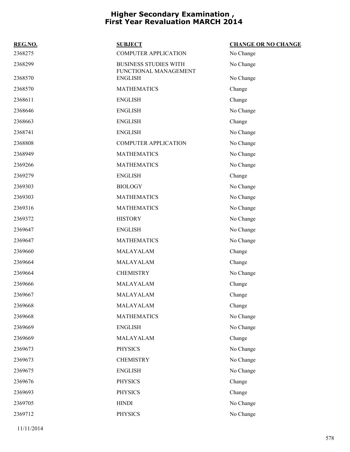| REG.NO. | <b>SUBJECT</b>                                        | <b>CHANGE OR NO CHANGE</b> |
|---------|-------------------------------------------------------|----------------------------|
| 2368275 | <b>COMPUTER APPLICATION</b>                           | No Change                  |
| 2368299 | <b>BUSINESS STUDIES WITH</b><br>FUNCTIONAL MANAGEMENT | No Change                  |
| 2368570 | <b>ENGLISH</b>                                        | No Change                  |
| 2368570 | <b>MATHEMATICS</b>                                    | Change                     |
| 2368611 | <b>ENGLISH</b>                                        | Change                     |
| 2368646 | <b>ENGLISH</b>                                        | No Change                  |
| 2368663 | <b>ENGLISH</b>                                        | Change                     |
| 2368741 | <b>ENGLISH</b>                                        | No Change                  |
| 2368808 | <b>COMPUTER APPLICATION</b>                           | No Change                  |
| 2368949 | <b>MATHEMATICS</b>                                    | No Change                  |
| 2369266 | <b>MATHEMATICS</b>                                    | No Change                  |
| 2369279 | <b>ENGLISH</b>                                        | Change                     |
| 2369303 | <b>BIOLOGY</b>                                        | No Change                  |
| 2369303 | <b>MATHEMATICS</b>                                    | No Change                  |
| 2369316 | <b>MATHEMATICS</b>                                    | No Change                  |
| 2369372 | <b>HISTORY</b>                                        | No Change                  |
| 2369647 | <b>ENGLISH</b>                                        | No Change                  |
| 2369647 | <b>MATHEMATICS</b>                                    | No Change                  |
| 2369660 | MALAYALAM                                             | Change                     |
| 2369664 | MALAYALAM                                             | Change                     |
| 2369664 | <b>CHEMISTRY</b>                                      | No Change                  |
| 2369666 | MALAYALAM                                             | Change                     |
| 2369667 | MALAYALAM                                             | Change                     |
| 2369668 | MALAYALAM                                             | Change                     |
| 2369668 | <b>MATHEMATICS</b>                                    | No Change                  |
| 2369669 | <b>ENGLISH</b>                                        | No Change                  |
| 2369669 | MALAYALAM                                             | Change                     |
| 2369673 | <b>PHYSICS</b>                                        | No Change                  |
| 2369673 | <b>CHEMISTRY</b>                                      | No Change                  |
| 2369675 | <b>ENGLISH</b>                                        | No Change                  |
| 2369676 | <b>PHYSICS</b>                                        | Change                     |
| 2369693 | <b>PHYSICS</b>                                        | Change                     |
| 2369705 | <b>HINDI</b>                                          | No Change                  |
| 2369712 | <b>PHYSICS</b>                                        | No Change                  |
|         |                                                       |                            |

11/11/2014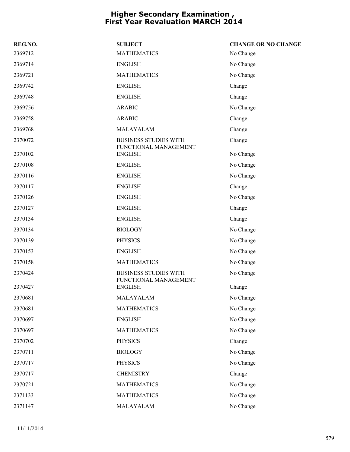| REG.NO. | <b>SUBJECT</b>                                        | <b>CHANGE OR NO CHANGE</b> |
|---------|-------------------------------------------------------|----------------------------|
| 2369712 | <b>MATHEMATICS</b>                                    | No Change                  |
| 2369714 | <b>ENGLISH</b>                                        | No Change                  |
| 2369721 | <b>MATHEMATICS</b>                                    | No Change                  |
| 2369742 | <b>ENGLISH</b>                                        | Change                     |
| 2369748 | <b>ENGLISH</b>                                        | Change                     |
| 2369756 | <b>ARABIC</b>                                         | No Change                  |
| 2369758 | <b>ARABIC</b>                                         | Change                     |
| 2369768 | MALAYALAM                                             | Change                     |
| 2370072 | <b>BUSINESS STUDIES WITH</b><br>FUNCTIONAL MANAGEMENT | Change                     |
| 2370102 | <b>ENGLISH</b>                                        | No Change                  |
| 2370108 | <b>ENGLISH</b>                                        | No Change                  |
| 2370116 | <b>ENGLISH</b>                                        | No Change                  |
| 2370117 | <b>ENGLISH</b>                                        | Change                     |
| 2370126 | <b>ENGLISH</b>                                        | No Change                  |
| 2370127 | <b>ENGLISH</b>                                        | Change                     |
| 2370134 | <b>ENGLISH</b>                                        | Change                     |
| 2370134 | <b>BIOLOGY</b>                                        | No Change                  |
| 2370139 | <b>PHYSICS</b>                                        | No Change                  |
| 2370153 | <b>ENGLISH</b>                                        | No Change                  |
| 2370158 | <b>MATHEMATICS</b>                                    | No Change                  |
| 2370424 | <b>BUSINESS STUDIES WITH</b><br>FUNCTIONAL MANAGEMENT | No Change                  |
| 2370427 | <b>ENGLISH</b>                                        | Change                     |
| 2370681 | MALAYALAM                                             | No Change                  |
| 2370681 | <b>MATHEMATICS</b>                                    | No Change                  |
| 2370697 | <b>ENGLISH</b>                                        | No Change                  |
| 2370697 | <b>MATHEMATICS</b>                                    | No Change                  |
| 2370702 | <b>PHYSICS</b>                                        | Change                     |
| 2370711 | <b>BIOLOGY</b>                                        | No Change                  |
| 2370717 | <b>PHYSICS</b>                                        | No Change                  |
| 2370717 | <b>CHEMISTRY</b>                                      | Change                     |
| 2370721 | <b>MATHEMATICS</b>                                    | No Change                  |
| 2371133 | <b>MATHEMATICS</b>                                    | No Change                  |
| 2371147 | MALAYALAM                                             | No Change                  |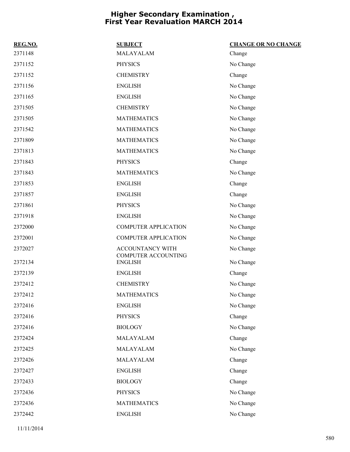| REG.NO. | <b>SUBJECT</b>                          | <b>CHANGE OR NO CHANGE</b> |
|---------|-----------------------------------------|----------------------------|
| 2371148 | MALAYALAM                               | Change                     |
| 2371152 | <b>PHYSICS</b>                          | No Change                  |
| 2371152 | <b>CHEMISTRY</b>                        | Change                     |
| 2371156 | <b>ENGLISH</b>                          | No Change                  |
| 2371165 | <b>ENGLISH</b>                          | No Change                  |
| 2371505 | <b>CHEMISTRY</b>                        | No Change                  |
| 2371505 | <b>MATHEMATICS</b>                      | No Change                  |
| 2371542 | <b>MATHEMATICS</b>                      | No Change                  |
| 2371809 | <b>MATHEMATICS</b>                      | No Change                  |
| 2371813 | <b>MATHEMATICS</b>                      | No Change                  |
| 2371843 | <b>PHYSICS</b>                          | Change                     |
| 2371843 | <b>MATHEMATICS</b>                      | No Change                  |
| 2371853 | <b>ENGLISH</b>                          | Change                     |
| 2371857 | <b>ENGLISH</b>                          | Change                     |
| 2371861 | <b>PHYSICS</b>                          | No Change                  |
| 2371918 | <b>ENGLISH</b>                          | No Change                  |
| 2372000 | <b>COMPUTER APPLICATION</b>             | No Change                  |
| 2372001 | <b>COMPUTER APPLICATION</b>             | No Change                  |
| 2372027 | ACCOUNTANCY WITH<br>COMPUTER ACCOUNTING | No Change                  |
| 2372134 | <b>ENGLISH</b>                          | No Change                  |
| 2372139 | <b>ENGLISH</b>                          | Change                     |
| 2372412 | <b>CHEMISTRY</b>                        | No Change                  |
| 2372412 | <b>MATHEMATICS</b>                      | No Change                  |
| 2372416 | <b>ENGLISH</b>                          | No Change                  |
| 2372416 | <b>PHYSICS</b>                          | Change                     |
| 2372416 | <b>BIOLOGY</b>                          | No Change                  |
| 2372424 | MALAYALAM                               | Change                     |
| 2372425 | MALAYALAM                               | No Change                  |
| 2372426 | MALAYALAM                               | Change                     |
| 2372427 | <b>ENGLISH</b>                          | Change                     |
| 2372433 | <b>BIOLOGY</b>                          | Change                     |
| 2372436 | <b>PHYSICS</b>                          | No Change                  |
| 2372436 | <b>MATHEMATICS</b>                      | No Change                  |
| 2372442 | <b>ENGLISH</b>                          | No Change                  |
|         |                                         |                            |

11/11/2014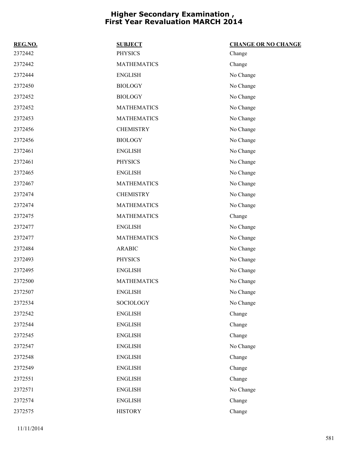| REG.NO. | <b>SUBJECT</b>     | <b>CHANGE OR NO CHANGE</b> |
|---------|--------------------|----------------------------|
| 2372442 | <b>PHYSICS</b>     | Change                     |
| 2372442 | <b>MATHEMATICS</b> | Change                     |
| 2372444 | <b>ENGLISH</b>     | No Change                  |
| 2372450 | <b>BIOLOGY</b>     | No Change                  |
| 2372452 | <b>BIOLOGY</b>     | No Change                  |
| 2372452 | <b>MATHEMATICS</b> | No Change                  |
| 2372453 | <b>MATHEMATICS</b> | No Change                  |
| 2372456 | <b>CHEMISTRY</b>   | No Change                  |
| 2372456 | <b>BIOLOGY</b>     | No Change                  |
| 2372461 | <b>ENGLISH</b>     | No Change                  |
| 2372461 | <b>PHYSICS</b>     | No Change                  |
| 2372465 | <b>ENGLISH</b>     | No Change                  |
| 2372467 | <b>MATHEMATICS</b> | No Change                  |
| 2372474 | <b>CHEMISTRY</b>   | No Change                  |
| 2372474 | <b>MATHEMATICS</b> | No Change                  |
| 2372475 | <b>MATHEMATICS</b> | Change                     |
| 2372477 | <b>ENGLISH</b>     | No Change                  |
| 2372477 | <b>MATHEMATICS</b> | No Change                  |
| 2372484 | <b>ARABIC</b>      | No Change                  |
| 2372493 | <b>PHYSICS</b>     | No Change                  |
| 2372495 | <b>ENGLISH</b>     | No Change                  |
| 2372500 | <b>MATHEMATICS</b> | No Change                  |
| 2372507 | <b>ENGLISH</b>     | No Change                  |
| 2372534 | <b>SOCIOLOGY</b>   | No Change                  |
| 2372542 | <b>ENGLISH</b>     | Change                     |
| 2372544 | <b>ENGLISH</b>     | Change                     |
| 2372545 | <b>ENGLISH</b>     | Change                     |
| 2372547 | <b>ENGLISH</b>     | No Change                  |
| 2372548 | <b>ENGLISH</b>     | Change                     |
| 2372549 | <b>ENGLISH</b>     | Change                     |
| 2372551 | <b>ENGLISH</b>     | Change                     |
| 2372571 | <b>ENGLISH</b>     | No Change                  |
| 2372574 | <b>ENGLISH</b>     | Change                     |
| 2372575 | <b>HISTORY</b>     | Change                     |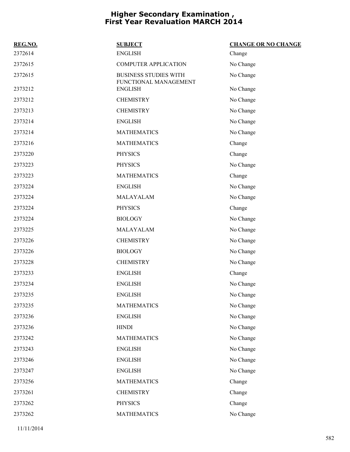| REG.NO. | <b>SUBJECT</b>                                        | <b>CHANGE OR NO CHANGE</b> |
|---------|-------------------------------------------------------|----------------------------|
| 2372614 | <b>ENGLISH</b>                                        | Change                     |
| 2372615 | <b>COMPUTER APPLICATION</b>                           | No Change                  |
| 2372615 | <b>BUSINESS STUDIES WITH</b><br>FUNCTIONAL MANAGEMENT | No Change                  |
| 2373212 | <b>ENGLISH</b>                                        | No Change                  |
| 2373212 | <b>CHEMISTRY</b>                                      | No Change                  |
| 2373213 | <b>CHEMISTRY</b>                                      | No Change                  |
| 2373214 | <b>ENGLISH</b>                                        | No Change                  |
| 2373214 | <b>MATHEMATICS</b>                                    | No Change                  |
| 2373216 | <b>MATHEMATICS</b>                                    | Change                     |
| 2373220 | <b>PHYSICS</b>                                        | Change                     |
| 2373223 | <b>PHYSICS</b>                                        | No Change                  |
| 2373223 | <b>MATHEMATICS</b>                                    | Change                     |
| 2373224 | <b>ENGLISH</b>                                        | No Change                  |
| 2373224 | MALAYALAM                                             | No Change                  |
| 2373224 | <b>PHYSICS</b>                                        | Change                     |
| 2373224 | <b>BIOLOGY</b>                                        | No Change                  |
| 2373225 | MALAYALAM                                             | No Change                  |
| 2373226 | <b>CHEMISTRY</b>                                      | No Change                  |
| 2373226 | <b>BIOLOGY</b>                                        | No Change                  |
| 2373228 | <b>CHEMISTRY</b>                                      | No Change                  |
| 2373233 | <b>ENGLISH</b>                                        | Change                     |
| 2373234 | <b>ENGLISH</b>                                        | No Change                  |
| 2373235 | <b>ENGLISH</b>                                        | No Change                  |
| 2373235 | <b>MATHEMATICS</b>                                    | No Change                  |
| 2373236 | <b>ENGLISH</b>                                        | No Change                  |
| 2373236 | <b>HINDI</b>                                          | No Change                  |
| 2373242 | <b>MATHEMATICS</b>                                    | No Change                  |
| 2373243 | <b>ENGLISH</b>                                        | No Change                  |
| 2373246 | <b>ENGLISH</b>                                        | No Change                  |
| 2373247 | <b>ENGLISH</b>                                        | No Change                  |
| 2373256 | <b>MATHEMATICS</b>                                    | Change                     |
| 2373261 | <b>CHEMISTRY</b>                                      | Change                     |
| 2373262 | <b>PHYSICS</b>                                        | Change                     |
| 2373262 | <b>MATHEMATICS</b>                                    | No Change                  |
|         |                                                       |                            |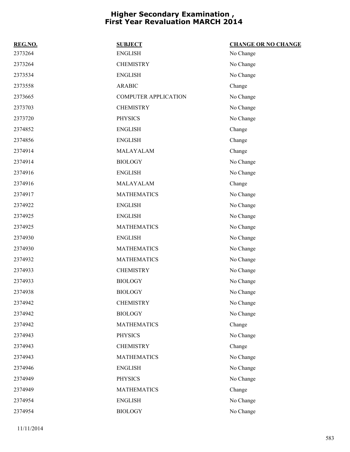| REG.NO. | <b>SUBJECT</b>              | <b>CHANGE OR NO CHANGE</b> |
|---------|-----------------------------|----------------------------|
| 2373264 | <b>ENGLISH</b>              | No Change                  |
| 2373264 | <b>CHEMISTRY</b>            | No Change                  |
| 2373534 | <b>ENGLISH</b>              | No Change                  |
| 2373558 | <b>ARABIC</b>               | Change                     |
| 2373665 | <b>COMPUTER APPLICATION</b> | No Change                  |
| 2373703 | <b>CHEMISTRY</b>            | No Change                  |
| 2373720 | <b>PHYSICS</b>              | No Change                  |
| 2374852 | <b>ENGLISH</b>              | Change                     |
| 2374856 | <b>ENGLISH</b>              | Change                     |
| 2374914 | MALAYALAM                   | Change                     |
| 2374914 | <b>BIOLOGY</b>              | No Change                  |
| 2374916 | <b>ENGLISH</b>              | No Change                  |
| 2374916 | MALAYALAM                   | Change                     |
| 2374917 | <b>MATHEMATICS</b>          | No Change                  |
| 2374922 | <b>ENGLISH</b>              | No Change                  |
| 2374925 | <b>ENGLISH</b>              | No Change                  |
| 2374925 | <b>MATHEMATICS</b>          | No Change                  |
| 2374930 | <b>ENGLISH</b>              | No Change                  |
| 2374930 | <b>MATHEMATICS</b>          | No Change                  |
| 2374932 | <b>MATHEMATICS</b>          | No Change                  |
| 2374933 | <b>CHEMISTRY</b>            | No Change                  |
| 2374933 | <b>BIOLOGY</b>              | No Change                  |
| 2374938 | <b>BIOLOGY</b>              | No Change                  |
| 2374942 | <b>CHEMISTRY</b>            | No Change                  |
| 2374942 | <b>BIOLOGY</b>              | No Change                  |
| 2374942 | <b>MATHEMATICS</b>          | Change                     |
| 2374943 | <b>PHYSICS</b>              | No Change                  |
| 2374943 | <b>CHEMISTRY</b>            | Change                     |
| 2374943 | <b>MATHEMATICS</b>          | No Change                  |
| 2374946 | <b>ENGLISH</b>              | No Change                  |
| 2374949 | <b>PHYSICS</b>              | No Change                  |
| 2374949 | <b>MATHEMATICS</b>          | Change                     |
| 2374954 | <b>ENGLISH</b>              | No Change                  |
| 2374954 | <b>BIOLOGY</b>              | No Change                  |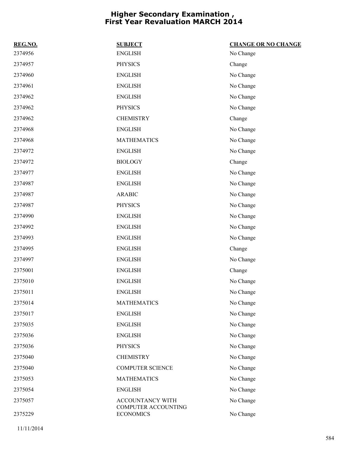| REG.NO. | <b>SUBJECT</b>                          | <b>CHANGE OR NO CHANGE</b> |
|---------|-----------------------------------------|----------------------------|
| 2374956 | ${\rm ENGLISH}$                         | No Change                  |
| 2374957 | <b>PHYSICS</b>                          | Change                     |
| 2374960 | <b>ENGLISH</b>                          | No Change                  |
| 2374961 | <b>ENGLISH</b>                          | No Change                  |
| 2374962 | <b>ENGLISH</b>                          | No Change                  |
| 2374962 | <b>PHYSICS</b>                          | No Change                  |
| 2374962 | <b>CHEMISTRY</b>                        | Change                     |
| 2374968 | <b>ENGLISH</b>                          | No Change                  |
| 2374968 | <b>MATHEMATICS</b>                      | No Change                  |
| 2374972 | <b>ENGLISH</b>                          | No Change                  |
| 2374972 | <b>BIOLOGY</b>                          | Change                     |
| 2374977 | <b>ENGLISH</b>                          | No Change                  |
| 2374987 | <b>ENGLISH</b>                          | No Change                  |
| 2374987 | <b>ARABIC</b>                           | No Change                  |
| 2374987 | <b>PHYSICS</b>                          | No Change                  |
| 2374990 | <b>ENGLISH</b>                          | No Change                  |
| 2374992 | <b>ENGLISH</b>                          | No Change                  |
| 2374993 | <b>ENGLISH</b>                          | No Change                  |
| 2374995 | <b>ENGLISH</b>                          | Change                     |
| 2374997 | <b>ENGLISH</b>                          | No Change                  |
| 2375001 | <b>ENGLISH</b>                          | Change                     |
| 2375010 | <b>ENGLISH</b>                          | No Change                  |
| 2375011 | <b>ENGLISH</b>                          | No Change                  |
| 2375014 | <b>MATHEMATICS</b>                      | No Change                  |
| 2375017 | <b>ENGLISH</b>                          | No Change                  |
| 2375035 | <b>ENGLISH</b>                          | No Change                  |
| 2375036 | <b>ENGLISH</b>                          | No Change                  |
| 2375036 | <b>PHYSICS</b>                          | No Change                  |
| 2375040 | <b>CHEMISTRY</b>                        | No Change                  |
| 2375040 | <b>COMPUTER SCIENCE</b>                 | No Change                  |
| 2375053 | <b>MATHEMATICS</b>                      | No Change                  |
| 2375054 | <b>ENGLISH</b>                          | No Change                  |
| 2375057 | ACCOUNTANCY WITH<br>COMPUTER ACCOUNTING | No Change                  |
| 2375229 | <b>ECONOMICS</b>                        | No Change                  |

11/11/2014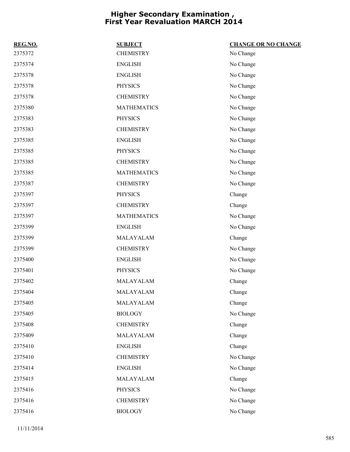| REG.NO. | <b>SUBJECT</b>     | <b>CHANGE OR NO CHANGE</b> |
|---------|--------------------|----------------------------|
| 2375372 | <b>CHEMISTRY</b>   | No Change                  |
| 2375374 | <b>ENGLISH</b>     | No Change                  |
| 2375378 | <b>ENGLISH</b>     | No Change                  |
| 2375378 | <b>PHYSICS</b>     | No Change                  |
| 2375378 | <b>CHEMISTRY</b>   | No Change                  |
| 2375380 | <b>MATHEMATICS</b> | No Change                  |
| 2375383 | <b>PHYSICS</b>     | No Change                  |
| 2375383 | <b>CHEMISTRY</b>   | No Change                  |
| 2375385 | <b>ENGLISH</b>     | No Change                  |
| 2375385 | <b>PHYSICS</b>     | No Change                  |
| 2375385 | <b>CHEMISTRY</b>   | No Change                  |
| 2375385 | <b>MATHEMATICS</b> | No Change                  |
| 2375387 | <b>CHEMISTRY</b>   | No Change                  |
| 2375397 | <b>PHYSICS</b>     | Change                     |
| 2375397 | <b>CHEMISTRY</b>   | Change                     |
| 2375397 | <b>MATHEMATICS</b> | No Change                  |
| 2375399 | <b>ENGLISH</b>     | No Change                  |
| 2375399 | MALAYALAM          | Change                     |
| 2375399 | <b>CHEMISTRY</b>   | No Change                  |
| 2375400 | <b>ENGLISH</b>     | No Change                  |
| 2375401 | <b>PHYSICS</b>     | No Change                  |
| 2375402 | MALAYALAM          | Change                     |
| 2375404 | MALAYALAM          | Change                     |
| 2375405 | MALAYALAM          | Change                     |
| 2375405 | <b>BIOLOGY</b>     | No Change                  |
| 2375408 | <b>CHEMISTRY</b>   | Change                     |
| 2375409 | MALAYALAM          | Change                     |
| 2375410 | <b>ENGLISH</b>     | Change                     |
| 2375410 | <b>CHEMISTRY</b>   | No Change                  |
| 2375414 | <b>ENGLISH</b>     | No Change                  |
| 2375415 | MALAYALAM          | Change                     |
| 2375416 | PHYSICS            | No Change                  |
| 2375416 | <b>CHEMISTRY</b>   | No Change                  |
| 2375416 | <b>BIOLOGY</b>     | No Change                  |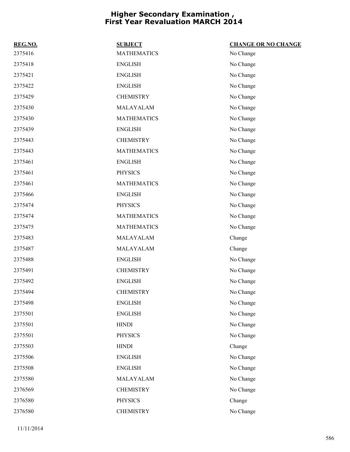| REG.NO. | <b>SUBJECT</b>     | <b>CHANGE OR NO CHANGE</b> |
|---------|--------------------|----------------------------|
| 2375416 | <b>MATHEMATICS</b> | No Change                  |
| 2375418 | <b>ENGLISH</b>     | No Change                  |
| 2375421 | <b>ENGLISH</b>     | No Change                  |
| 2375422 | <b>ENGLISH</b>     | No Change                  |
| 2375429 | <b>CHEMISTRY</b>   | No Change                  |
| 2375430 | MALAYALAM          | No Change                  |
| 2375430 | <b>MATHEMATICS</b> | No Change                  |
| 2375439 | <b>ENGLISH</b>     | No Change                  |
| 2375443 | <b>CHEMISTRY</b>   | No Change                  |
| 2375443 | <b>MATHEMATICS</b> | No Change                  |
| 2375461 | <b>ENGLISH</b>     | No Change                  |
| 2375461 | <b>PHYSICS</b>     | No Change                  |
| 2375461 | <b>MATHEMATICS</b> | No Change                  |
| 2375466 | <b>ENGLISH</b>     | No Change                  |
| 2375474 | <b>PHYSICS</b>     | No Change                  |
| 2375474 | <b>MATHEMATICS</b> | No Change                  |
| 2375475 | <b>MATHEMATICS</b> | No Change                  |
| 2375483 | MALAYALAM          | Change                     |
| 2375487 | MALAYALAM          | Change                     |
| 2375488 | <b>ENGLISH</b>     | No Change                  |
| 2375491 | <b>CHEMISTRY</b>   | No Change                  |
| 2375492 | <b>ENGLISH</b>     | No Change                  |
| 2375494 | <b>CHEMISTRY</b>   | No Change                  |
| 2375498 | <b>ENGLISH</b>     | No Change                  |
| 2375501 | <b>ENGLISH</b>     | No Change                  |
| 2375501 | <b>HINDI</b>       | No Change                  |
| 2375501 | <b>PHYSICS</b>     | No Change                  |
| 2375503 | <b>HINDI</b>       | Change                     |
| 2375506 | <b>ENGLISH</b>     | No Change                  |
| 2375508 | <b>ENGLISH</b>     | No Change                  |
| 2375580 | MALAYALAM          | No Change                  |
| 2376569 | <b>CHEMISTRY</b>   | No Change                  |
| 2376580 | <b>PHYSICS</b>     | Change                     |
| 2376580 | <b>CHEMISTRY</b>   | No Change                  |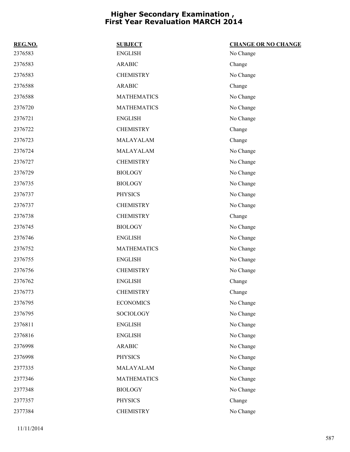| REG.NO. | <b>SUBJECT</b>     | <b>CHANGE OR NO CHANGE</b> |
|---------|--------------------|----------------------------|
| 2376583 | <b>ENGLISH</b>     | No Change                  |
| 2376583 | <b>ARABIC</b>      | Change                     |
| 2376583 | <b>CHEMISTRY</b>   | No Change                  |
| 2376588 | <b>ARABIC</b>      | Change                     |
| 2376588 | <b>MATHEMATICS</b> | No Change                  |
| 2376720 | <b>MATHEMATICS</b> | No Change                  |
| 2376721 | <b>ENGLISH</b>     | No Change                  |
| 2376722 | <b>CHEMISTRY</b>   | Change                     |
| 2376723 | MALAYALAM          | Change                     |
| 2376724 | MALAYALAM          | No Change                  |
| 2376727 | <b>CHEMISTRY</b>   | No Change                  |
| 2376729 | <b>BIOLOGY</b>     | No Change                  |
| 2376735 | <b>BIOLOGY</b>     | No Change                  |
| 2376737 | <b>PHYSICS</b>     | No Change                  |
| 2376737 | <b>CHEMISTRY</b>   | No Change                  |
| 2376738 | <b>CHEMISTRY</b>   | Change                     |
| 2376745 | <b>BIOLOGY</b>     | No Change                  |
| 2376746 | <b>ENGLISH</b>     | No Change                  |
| 2376752 | <b>MATHEMATICS</b> | No Change                  |
| 2376755 | <b>ENGLISH</b>     | No Change                  |
| 2376756 | <b>CHEMISTRY</b>   | No Change                  |
| 2376762 | <b>ENGLISH</b>     | Change                     |
| 2376773 | <b>CHEMISTRY</b>   | Change                     |
| 2376795 | <b>ECONOMICS</b>   | No Change                  |
| 2376795 | SOCIOLOGY          | No Change                  |
| 2376811 | <b>ENGLISH</b>     | No Change                  |
| 2376816 | <b>ENGLISH</b>     | No Change                  |
| 2376998 | <b>ARABIC</b>      | No Change                  |
| 2376998 | <b>PHYSICS</b>     | No Change                  |
| 2377335 | MALAYALAM          | No Change                  |
| 2377346 | <b>MATHEMATICS</b> | No Change                  |
| 2377348 | <b>BIOLOGY</b>     | No Change                  |
| 2377357 | PHYSICS            | Change                     |
| 2377384 | <b>CHEMISTRY</b>   | No Change                  |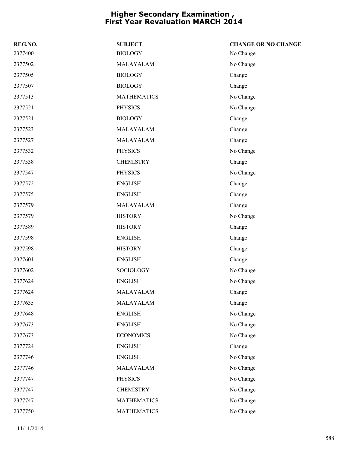| REG.NO. | <b>SUBJECT</b>     | <b>CHANGE OR NO CHANGE</b> |
|---------|--------------------|----------------------------|
| 2377400 | <b>BIOLOGY</b>     | No Change                  |
| 2377502 | MALAYALAM          | No Change                  |
| 2377505 | <b>BIOLOGY</b>     | Change                     |
| 2377507 | <b>BIOLOGY</b>     | Change                     |
| 2377513 | <b>MATHEMATICS</b> | No Change                  |
| 2377521 | PHYSICS            | No Change                  |
| 2377521 | <b>BIOLOGY</b>     | Change                     |
| 2377523 | MALAYALAM          | Change                     |
| 2377527 | MALAYALAM          | Change                     |
| 2377532 | PHYSICS            | No Change                  |
| 2377538 | <b>CHEMISTRY</b>   | Change                     |
| 2377547 | <b>PHYSICS</b>     | No Change                  |
| 2377572 | <b>ENGLISH</b>     | Change                     |
| 2377575 | <b>ENGLISH</b>     | Change                     |
| 2377579 | MALAYALAM          | Change                     |
| 2377579 | <b>HISTORY</b>     | No Change                  |
| 2377589 | <b>HISTORY</b>     | Change                     |
| 2377598 | <b>ENGLISH</b>     | Change                     |
| 2377598 | <b>HISTORY</b>     | Change                     |
| 2377601 | <b>ENGLISH</b>     | Change                     |
| 2377602 | <b>SOCIOLOGY</b>   | No Change                  |
| 2377624 | <b>ENGLISH</b>     | No Change                  |
| 2377624 | MALAYALAM          | Change                     |
| 2377635 | MALAYALAM          | Change                     |
| 2377648 | <b>ENGLISH</b>     | No Change                  |
| 2377673 | <b>ENGLISH</b>     | No Change                  |
| 2377673 | <b>ECONOMICS</b>   | No Change                  |
| 2377724 | <b>ENGLISH</b>     | Change                     |
| 2377746 | <b>ENGLISH</b>     | No Change                  |
| 2377746 | MALAYALAM          | No Change                  |
| 2377747 | PHYSICS            | No Change                  |
| 2377747 | <b>CHEMISTRY</b>   | No Change                  |
| 2377747 | <b>MATHEMATICS</b> | No Change                  |
| 2377750 | <b>MATHEMATICS</b> | No Change                  |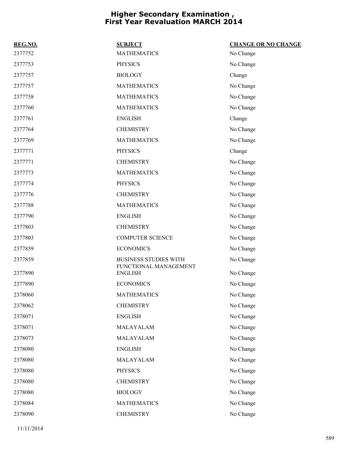| REG.NO. | <b>SUBJECT</b>                          | <b>CHANGE OR NO CHANGE</b> |
|---------|-----------------------------------------|----------------------------|
| 2377752 | <b>MATHEMATICS</b>                      | No Change                  |
| 2377753 | <b>PHYSICS</b>                          | No Change                  |
| 2377757 | <b>BIOLOGY</b>                          | Change                     |
| 2377757 | <b>MATHEMATICS</b>                      | No Change                  |
| 2377758 | <b>MATHEMATICS</b>                      | No Change                  |
| 2377760 | <b>MATHEMATICS</b>                      | No Change                  |
| 2377761 | <b>ENGLISH</b>                          | Change                     |
| 2377764 | <b>CHEMISTRY</b>                        | No Change                  |
| 2377769 | <b>MATHEMATICS</b>                      | No Change                  |
| 2377771 | <b>PHYSICS</b>                          | Change                     |
| 2377771 | <b>CHEMISTRY</b>                        | No Change                  |
| 2377773 | <b>MATHEMATICS</b>                      | No Change                  |
| 2377774 | <b>PHYSICS</b>                          | No Change                  |
| 2377776 | <b>CHEMISTRY</b>                        | No Change                  |
| 2377788 | <b>MATHEMATICS</b>                      | No Change                  |
| 2377790 | <b>ENGLISH</b>                          | No Change                  |
| 2377803 | <b>CHEMISTRY</b>                        | No Change                  |
| 2377803 | <b>COMPUTER SCIENCE</b>                 | No Change                  |
| 2377859 | <b>ECONOMICS</b>                        | No Change                  |
| 2377859 | <b>BUSINESS STUDIES WITH</b>            | No Change                  |
| 2377890 | FUNCTIONAL MANAGEMENT<br><b>ENGLISH</b> | No Change                  |
| 2377890 | <b>ECONOMICS</b>                        | No Change                  |
| 2378060 | <b>MATHEMATICS</b>                      | No Change                  |
| 2378062 | <b>CHEMISTRY</b>                        | No Change                  |
| 2378071 | <b>ENGLISH</b>                          | No Change                  |
| 2378071 | MALAYALAM                               | No Change                  |
| 2378073 | MALAYALAM                               | No Change                  |
| 2378080 | <b>ENGLISH</b>                          | No Change                  |
| 2378080 | MALAYALAM                               | No Change                  |
| 2378080 | <b>PHYSICS</b>                          | No Change                  |
| 2378080 | <b>CHEMISTRY</b>                        | No Change                  |
| 2378080 | <b>BIOLOGY</b>                          | No Change                  |
| 2378084 | <b>MATHEMATICS</b>                      | No Change                  |
| 2378090 | <b>CHEMISTRY</b>                        | No Change                  |
|         |                                         |                            |

11/11/2014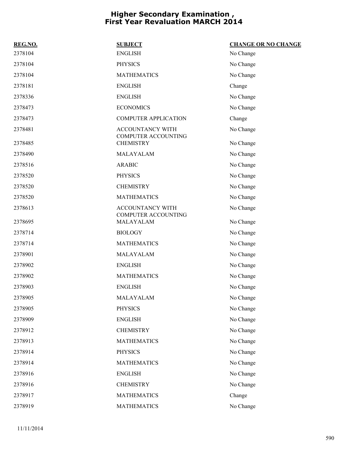| REG.NO. | <b>SUBJECT</b>                                 | <b>CHANGE OR NO CHANGE</b> |
|---------|------------------------------------------------|----------------------------|
| 2378104 | <b>ENGLISH</b>                                 | No Change                  |
| 2378104 | <b>PHYSICS</b>                                 | No Change                  |
| 2378104 | <b>MATHEMATICS</b>                             | No Change                  |
| 2378181 | <b>ENGLISH</b>                                 | Change                     |
| 2378336 | <b>ENGLISH</b>                                 | No Change                  |
| 2378473 | <b>ECONOMICS</b>                               | No Change                  |
| 2378473 | <b>COMPUTER APPLICATION</b>                    | Change                     |
| 2378481 | ACCOUNTANCY WITH<br><b>COMPUTER ACCOUNTING</b> | No Change                  |
| 2378485 | <b>CHEMISTRY</b>                               | No Change                  |
| 2378490 | MALAYALAM                                      | No Change                  |
| 2378516 | <b>ARABIC</b>                                  | No Change                  |
| 2378520 | <b>PHYSICS</b>                                 | No Change                  |
| 2378520 | <b>CHEMISTRY</b>                               | No Change                  |
| 2378520 | <b>MATHEMATICS</b>                             | No Change                  |
| 2378613 | ACCOUNTANCY WITH                               | No Change                  |
| 2378695 | <b>COMPUTER ACCOUNTING</b><br>MALAYALAM        | No Change                  |
| 2378714 | <b>BIOLOGY</b>                                 | No Change                  |
| 2378714 | <b>MATHEMATICS</b>                             | No Change                  |
| 2378901 | MALAYALAM                                      | No Change                  |
| 2378902 | <b>ENGLISH</b>                                 | No Change                  |
| 2378902 | <b>MATHEMATICS</b>                             | No Change                  |
| 2378903 | <b>ENGLISH</b>                                 | No Change                  |
| 2378905 | MALAYALAM                                      | No Change                  |
| 2378905 | <b>PHYSICS</b>                                 | No Change                  |
| 2378909 | <b>ENGLISH</b>                                 | No Change                  |
| 2378912 | <b>CHEMISTRY</b>                               | No Change                  |
| 2378913 | <b>MATHEMATICS</b>                             | No Change                  |
| 2378914 | <b>PHYSICS</b>                                 | No Change                  |
| 2378914 | <b>MATHEMATICS</b>                             | No Change                  |
| 2378916 | <b>ENGLISH</b>                                 | No Change                  |
| 2378916 | <b>CHEMISTRY</b>                               | No Change                  |
| 2378917 | <b>MATHEMATICS</b>                             | Change                     |
| 2378919 | <b>MATHEMATICS</b>                             | No Change                  |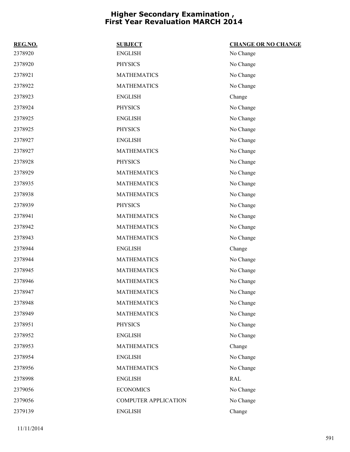| REG.NO. | <b>SUBJECT</b>              | <b>CHANGE OR NO CHANGE</b> |
|---------|-----------------------------|----------------------------|
| 2378920 | <b>ENGLISH</b>              | No Change                  |
| 2378920 | <b>PHYSICS</b>              | No Change                  |
| 2378921 | <b>MATHEMATICS</b>          | No Change                  |
| 2378922 | <b>MATHEMATICS</b>          | No Change                  |
| 2378923 | <b>ENGLISH</b>              | Change                     |
| 2378924 | <b>PHYSICS</b>              | No Change                  |
| 2378925 | <b>ENGLISH</b>              | No Change                  |
| 2378925 | <b>PHYSICS</b>              | No Change                  |
| 2378927 | <b>ENGLISH</b>              | No Change                  |
| 2378927 | <b>MATHEMATICS</b>          | No Change                  |
| 2378928 | <b>PHYSICS</b>              | No Change                  |
| 2378929 | <b>MATHEMATICS</b>          | No Change                  |
| 2378935 | <b>MATHEMATICS</b>          | No Change                  |
| 2378938 | <b>MATHEMATICS</b>          | No Change                  |
| 2378939 | <b>PHYSICS</b>              | No Change                  |
| 2378941 | <b>MATHEMATICS</b>          | No Change                  |
| 2378942 | <b>MATHEMATICS</b>          | No Change                  |
| 2378943 | <b>MATHEMATICS</b>          | No Change                  |
| 2378944 | <b>ENGLISH</b>              | Change                     |
| 2378944 | <b>MATHEMATICS</b>          | No Change                  |
| 2378945 | <b>MATHEMATICS</b>          | No Change                  |
| 2378946 | <b>MATHEMATICS</b>          | No Change                  |
| 2378947 | <b>MATHEMATICS</b>          | No Change                  |
| 2378948 | <b>MATHEMATICS</b>          | No Change                  |
| 2378949 | <b>MATHEMATICS</b>          | No Change                  |
| 2378951 | <b>PHYSICS</b>              | No Change                  |
| 2378952 | <b>ENGLISH</b>              | No Change                  |
| 2378953 | <b>MATHEMATICS</b>          | Change                     |
| 2378954 | <b>ENGLISH</b>              | No Change                  |
| 2378956 | <b>MATHEMATICS</b>          | No Change                  |
| 2378998 | <b>ENGLISH</b>              | RAL                        |
| 2379056 | <b>ECONOMICS</b>            | No Change                  |
| 2379056 | <b>COMPUTER APPLICATION</b> | No Change                  |
| 2379139 | <b>ENGLISH</b>              | Change                     |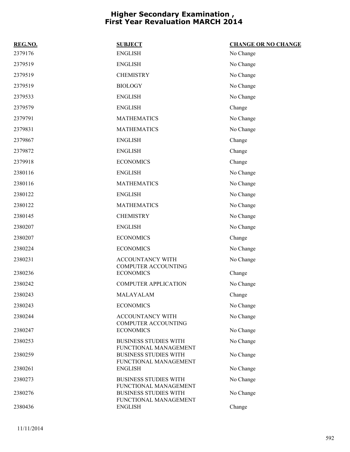| REG.NO. | <b>SUBJECT</b>                                        | <b>CHANGE OR NO CHANGE</b> |
|---------|-------------------------------------------------------|----------------------------|
| 2379176 | <b>ENGLISH</b>                                        | No Change                  |
| 2379519 | <b>ENGLISH</b>                                        | No Change                  |
| 2379519 | <b>CHEMISTRY</b>                                      | No Change                  |
| 2379519 | <b>BIOLOGY</b>                                        | No Change                  |
| 2379533 | <b>ENGLISH</b>                                        | No Change                  |
| 2379579 | <b>ENGLISH</b>                                        | Change                     |
| 2379791 | <b>MATHEMATICS</b>                                    | No Change                  |
| 2379831 | <b>MATHEMATICS</b>                                    | No Change                  |
| 2379867 | <b>ENGLISH</b>                                        | Change                     |
| 2379872 | <b>ENGLISH</b>                                        | Change                     |
| 2379918 | <b>ECONOMICS</b>                                      | Change                     |
| 2380116 | <b>ENGLISH</b>                                        | No Change                  |
| 2380116 | <b>MATHEMATICS</b>                                    | No Change                  |
| 2380122 | <b>ENGLISH</b>                                        | No Change                  |
| 2380122 | <b>MATHEMATICS</b>                                    | No Change                  |
| 2380145 | <b>CHEMISTRY</b>                                      | No Change                  |
| 2380207 | <b>ENGLISH</b>                                        | No Change                  |
| 2380207 | <b>ECONOMICS</b>                                      | Change                     |
| 2380224 | <b>ECONOMICS</b>                                      | No Change                  |
| 2380231 | <b>ACCOUNTANCY WITH</b>                               | No Change                  |
| 2380236 | COMPUTER ACCOUNTING<br><b>ECONOMICS</b>               | Change                     |
| 2380242 | <b>COMPUTER APPLICATION</b>                           | No Change                  |
| 2380243 | MALAYALAM                                             | Change                     |
| 2380243 | <b>ECONOMICS</b>                                      | No Change                  |
| 2380244 | ACCOUNTANCY WITH<br><b>COMPUTER ACCOUNTING</b>        | No Change                  |
| 2380247 | <b>ECONOMICS</b>                                      | No Change                  |
| 2380253 | <b>BUSINESS STUDIES WITH</b><br>FUNCTIONAL MANAGEMENT | No Change                  |
| 2380259 | <b>BUSINESS STUDIES WITH</b><br>FUNCTIONAL MANAGEMENT | No Change                  |
| 2380261 | <b>ENGLISH</b>                                        | No Change                  |
| 2380273 | <b>BUSINESS STUDIES WITH</b><br>FUNCTIONAL MANAGEMENT | No Change                  |
| 2380276 | <b>BUSINESS STUDIES WITH</b><br>FUNCTIONAL MANAGEMENT | No Change                  |
| 2380436 | <b>ENGLISH</b>                                        | Change                     |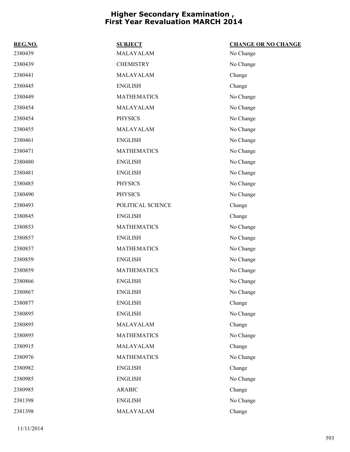| REG.NO. | <b>SUBJECT</b>     | <b>CHANGE OR NO CHANGE</b> |
|---------|--------------------|----------------------------|
| 2380439 | MALAYALAM          | No Change                  |
| 2380439 | <b>CHEMISTRY</b>   | No Change                  |
| 2380441 | MALAYALAM          | Change                     |
| 2380445 | <b>ENGLISH</b>     | Change                     |
| 2380449 | <b>MATHEMATICS</b> | No Change                  |
| 2380454 | MALAYALAM          | No Change                  |
| 2380454 | <b>PHYSICS</b>     | No Change                  |
| 2380455 | MALAYALAM          | No Change                  |
| 2380461 | <b>ENGLISH</b>     | No Change                  |
| 2380471 | <b>MATHEMATICS</b> | No Change                  |
| 2380480 | <b>ENGLISH</b>     | No Change                  |
| 2380481 | <b>ENGLISH</b>     | No Change                  |
| 2380485 | <b>PHYSICS</b>     | No Change                  |
| 2380490 | <b>PHYSICS</b>     | No Change                  |
| 2380493 | POLITICAL SCIENCE  | Change                     |
| 2380845 | <b>ENGLISH</b>     | Change                     |
| 2380853 | <b>MATHEMATICS</b> | No Change                  |
| 2380857 | <b>ENGLISH</b>     | No Change                  |
| 2380857 | <b>MATHEMATICS</b> | No Change                  |
| 2380859 | <b>ENGLISH</b>     | No Change                  |
| 2380859 | <b>MATHEMATICS</b> | No Change                  |
| 2380866 | <b>ENGLISH</b>     | No Change                  |
| 2380867 | <b>ENGLISH</b>     | No Change                  |
| 2380877 | <b>ENGLISH</b>     | Change                     |
| 2380895 | <b>ENGLISH</b>     | No Change                  |
| 2380895 | MALAYALAM          | Change                     |
| 2380895 | <b>MATHEMATICS</b> | No Change                  |
| 2380915 | MALAYALAM          | Change                     |
| 2380976 | <b>MATHEMATICS</b> | No Change                  |
| 2380982 | <b>ENGLISH</b>     | Change                     |
| 2380985 | <b>ENGLISH</b>     | No Change                  |
| 2380985 | <b>ARABIC</b>      | Change                     |
| 2381398 | <b>ENGLISH</b>     | No Change                  |
| 2381398 | MALAYALAM          | Change                     |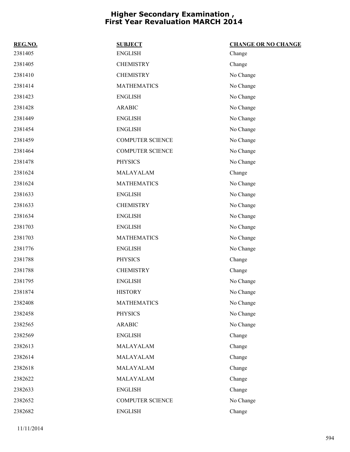| REG.NO. | <b>SUBJECT</b>          | <b>CHANGE OR NO CHANGE</b> |
|---------|-------------------------|----------------------------|
| 2381405 | <b>ENGLISH</b>          | Change                     |
| 2381405 | <b>CHEMISTRY</b>        | Change                     |
| 2381410 | <b>CHEMISTRY</b>        | No Change                  |
| 2381414 | <b>MATHEMATICS</b>      | No Change                  |
| 2381423 | <b>ENGLISH</b>          | No Change                  |
| 2381428 | <b>ARABIC</b>           | No Change                  |
| 2381449 | <b>ENGLISH</b>          | No Change                  |
| 2381454 | <b>ENGLISH</b>          | No Change                  |
| 2381459 | <b>COMPUTER SCIENCE</b> | No Change                  |
| 2381464 | <b>COMPUTER SCIENCE</b> | No Change                  |
| 2381478 | <b>PHYSICS</b>          | No Change                  |
| 2381624 | MALAYALAM               | Change                     |
| 2381624 | <b>MATHEMATICS</b>      | No Change                  |
| 2381633 | <b>ENGLISH</b>          | No Change                  |
| 2381633 | <b>CHEMISTRY</b>        | No Change                  |
| 2381634 | <b>ENGLISH</b>          | No Change                  |
| 2381703 | <b>ENGLISH</b>          | No Change                  |
| 2381703 | <b>MATHEMATICS</b>      | No Change                  |
| 2381776 | <b>ENGLISH</b>          | No Change                  |
| 2381788 | <b>PHYSICS</b>          | Change                     |
| 2381788 | <b>CHEMISTRY</b>        | Change                     |
| 2381795 | <b>ENGLISH</b>          | No Change                  |
| 2381874 | <b>HISTORY</b>          | No Change                  |
| 2382408 | <b>MATHEMATICS</b>      | No Change                  |
| 2382458 | <b>PHYSICS</b>          | No Change                  |
| 2382565 | <b>ARABIC</b>           | No Change                  |
| 2382569 | <b>ENGLISH</b>          | Change                     |
| 2382613 | MALAYALAM               | Change                     |
| 2382614 | MALAYALAM               | Change                     |
| 2382618 | MALAYALAM               | Change                     |
| 2382622 | MALAYALAM               | Change                     |
| 2382633 | <b>ENGLISH</b>          | Change                     |
| 2382652 | <b>COMPUTER SCIENCE</b> | No Change                  |
| 2382682 | <b>ENGLISH</b>          | Change                     |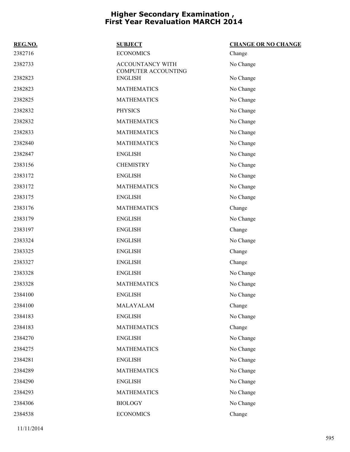|                                                | <b>CHANGE OR NO CHANGE</b> |
|------------------------------------------------|----------------------------|
| <b>ECONOMICS</b>                               | Change                     |
| <b>ACCOUNTANCY WITH</b><br>COMPUTER ACCOUNTING | No Change                  |
| <b>ENGLISH</b>                                 | No Change                  |
| <b>MATHEMATICS</b>                             | No Change                  |
| <b>MATHEMATICS</b>                             | No Change                  |
| <b>PHYSICS</b>                                 | No Change                  |
| <b>MATHEMATICS</b>                             | No Change                  |
| <b>MATHEMATICS</b>                             | No Change                  |
| <b>MATHEMATICS</b>                             | No Change                  |
| <b>ENGLISH</b>                                 | No Change                  |
| <b>CHEMISTRY</b>                               | No Change                  |
| <b>ENGLISH</b>                                 | No Change                  |
| <b>MATHEMATICS</b>                             | No Change                  |
| <b>ENGLISH</b>                                 | No Change                  |
| <b>MATHEMATICS</b>                             | Change                     |
| <b>ENGLISH</b>                                 | No Change                  |
| <b>ENGLISH</b>                                 | Change                     |
| <b>ENGLISH</b>                                 | No Change                  |
| <b>ENGLISH</b>                                 | Change                     |
| <b>ENGLISH</b>                                 | Change                     |
| <b>ENGLISH</b>                                 | No Change                  |
| <b>MATHEMATICS</b>                             | No Change                  |
| <b>ENGLISH</b>                                 | No Change                  |
| MALAYALAM                                      | Change                     |
| <b>ENGLISH</b>                                 | No Change                  |
| <b>MATHEMATICS</b>                             | Change                     |
| <b>ENGLISH</b>                                 | No Change                  |
| <b>MATHEMATICS</b>                             | No Change                  |
| <b>ENGLISH</b>                                 | No Change                  |
| <b>MATHEMATICS</b>                             | No Change                  |
| <b>ENGLISH</b>                                 | No Change                  |
| <b>MATHEMATICS</b>                             | No Change                  |
| <b>BIOLOGY</b>                                 | No Change                  |
| <b>ECONOMICS</b>                               | Change                     |
|                                                | <b>SUBJECT</b>             |

11/11/2014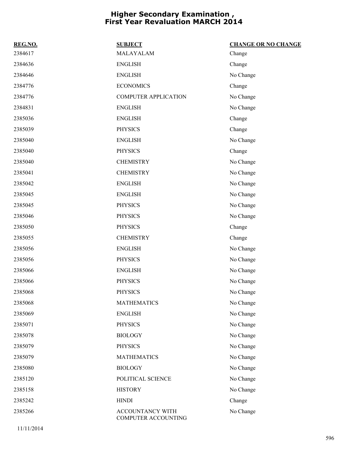| REG.NO. | <b>SUBJECT</b>                          | <b>CHANGE OR NO CHANGE</b> |
|---------|-----------------------------------------|----------------------------|
| 2384617 | MALAYALAM                               | Change                     |
| 2384636 | <b>ENGLISH</b>                          | Change                     |
| 2384646 | <b>ENGLISH</b>                          | No Change                  |
| 2384776 | <b>ECONOMICS</b>                        | Change                     |
| 2384776 | <b>COMPUTER APPLICATION</b>             | No Change                  |
| 2384831 | <b>ENGLISH</b>                          | No Change                  |
| 2385036 | <b>ENGLISH</b>                          | Change                     |
| 2385039 | <b>PHYSICS</b>                          | Change                     |
| 2385040 | <b>ENGLISH</b>                          | No Change                  |
| 2385040 | <b>PHYSICS</b>                          | Change                     |
| 2385040 | <b>CHEMISTRY</b>                        | No Change                  |
| 2385041 | <b>CHEMISTRY</b>                        | No Change                  |
| 2385042 | <b>ENGLISH</b>                          | No Change                  |
| 2385045 | <b>ENGLISH</b>                          | No Change                  |
| 2385045 | <b>PHYSICS</b>                          | No Change                  |
| 2385046 | <b>PHYSICS</b>                          | No Change                  |
| 2385050 | <b>PHYSICS</b>                          | Change                     |
| 2385055 | <b>CHEMISTRY</b>                        | Change                     |
| 2385056 | <b>ENGLISH</b>                          | No Change                  |
| 2385056 | <b>PHYSICS</b>                          | No Change                  |
| 2385066 | <b>ENGLISH</b>                          | No Change                  |
| 2385066 | <b>PHYSICS</b>                          | No Change                  |
| 2385068 | <b>PHYSICS</b>                          | No Change                  |
| 2385068 | <b>MATHEMATICS</b>                      | No Change                  |
| 2385069 | <b>ENGLISH</b>                          | No Change                  |
| 2385071 | <b>PHYSICS</b>                          | No Change                  |
| 2385078 | <b>BIOLOGY</b>                          | No Change                  |
| 2385079 | <b>PHYSICS</b>                          | No Change                  |
| 2385079 | <b>MATHEMATICS</b>                      | No Change                  |
| 2385080 | <b>BIOLOGY</b>                          | No Change                  |
| 2385120 | POLITICAL SCIENCE                       | No Change                  |
| 2385158 | <b>HISTORY</b>                          | No Change                  |
| 2385242 | <b>HINDI</b>                            | Change                     |
| 2385266 | ACCOUNTANCY WITH<br>COMPUTER ACCOUNTING | No Change                  |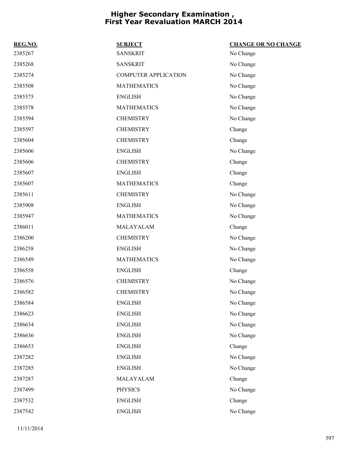| REG.NO. | <b>SUBJECT</b>              | <b>CHANGE OR NO CHANGE</b> |
|---------|-----------------------------|----------------------------|
| 2385267 | <b>SANSKRIT</b>             | No Change                  |
| 2385268 | <b>SANSKRIT</b>             | No Change                  |
| 2385274 | <b>COMPUTER APPLICATION</b> | No Change                  |
| 2385508 | <b>MATHEMATICS</b>          | No Change                  |
| 2385575 | <b>ENGLISH</b>              | No Change                  |
| 2385578 | <b>MATHEMATICS</b>          | No Change                  |
| 2385594 | <b>CHEMISTRY</b>            | No Change                  |
| 2385597 | <b>CHEMISTRY</b>            | Change                     |
| 2385604 | <b>CHEMISTRY</b>            | Change                     |
| 2385606 | <b>ENGLISH</b>              | No Change                  |
| 2385606 | <b>CHEMISTRY</b>            | Change                     |
| 2385607 | <b>ENGLISH</b>              | Change                     |
| 2385607 | <b>MATHEMATICS</b>          | Change                     |
| 2385611 | <b>CHEMISTRY</b>            | No Change                  |
| 2385908 | <b>ENGLISH</b>              | No Change                  |
| 2385947 | <b>MATHEMATICS</b>          | No Change                  |
| 2386011 | MALAYALAM                   | Change                     |
| 2386200 | <b>CHEMISTRY</b>            | No Change                  |
| 2386258 | <b>ENGLISH</b>              | No Change                  |
| 2386549 | <b>MATHEMATICS</b>          | No Change                  |
| 2386558 | <b>ENGLISH</b>              | Change                     |
| 2386576 | <b>CHEMISTRY</b>            | No Change                  |
| 2386582 | <b>CHEMISTRY</b>            | No Change                  |
| 2386584 | <b>ENGLISH</b>              | No Change                  |
| 2386623 | <b>ENGLISH</b>              | No Change                  |
| 2386634 | <b>ENGLISH</b>              | No Change                  |
| 2386636 | <b>ENGLISH</b>              | No Change                  |
| 2386653 | <b>ENGLISH</b>              | Change                     |
| 2387282 | <b>ENGLISH</b>              | No Change                  |
| 2387285 | <b>ENGLISH</b>              | No Change                  |
| 2387287 | MALAYALAM                   | Change                     |
| 2387499 | <b>PHYSICS</b>              | No Change                  |
| 2387532 | <b>ENGLISH</b>              | Change                     |
| 2387542 | <b>ENGLISH</b>              | No Change                  |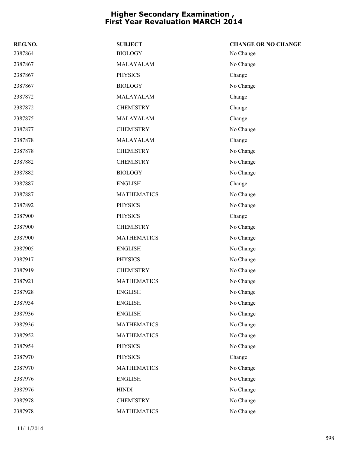| REG.NO. | <b>SUBJECT</b>     | <b>CHANGE OR NO CHANGE</b> |
|---------|--------------------|----------------------------|
| 2387864 | <b>BIOLOGY</b>     | No Change                  |
| 2387867 | MALAYALAM          | No Change                  |
| 2387867 | <b>PHYSICS</b>     | Change                     |
| 2387867 | <b>BIOLOGY</b>     | No Change                  |
| 2387872 | MALAYALAM          | Change                     |
| 2387872 | <b>CHEMISTRY</b>   | Change                     |
| 2387875 | MALAYALAM          | Change                     |
| 2387877 | <b>CHEMISTRY</b>   | No Change                  |
| 2387878 | MALAYALAM          | Change                     |
| 2387878 | <b>CHEMISTRY</b>   | No Change                  |
| 2387882 | <b>CHEMISTRY</b>   | No Change                  |
| 2387882 | <b>BIOLOGY</b>     | No Change                  |
| 2387887 | <b>ENGLISH</b>     | Change                     |
| 2387887 | <b>MATHEMATICS</b> | No Change                  |
| 2387892 | <b>PHYSICS</b>     | No Change                  |
| 2387900 | <b>PHYSICS</b>     | Change                     |
| 2387900 | <b>CHEMISTRY</b>   | No Change                  |
| 2387900 | <b>MATHEMATICS</b> | No Change                  |
| 2387905 | <b>ENGLISH</b>     | No Change                  |
| 2387917 | <b>PHYSICS</b>     | No Change                  |
| 2387919 | <b>CHEMISTRY</b>   | No Change                  |
| 2387921 | <b>MATHEMATICS</b> | No Change                  |
| 2387928 | <b>ENGLISH</b>     | No Change                  |
| 2387934 | <b>ENGLISH</b>     | No Change                  |
| 2387936 | <b>ENGLISH</b>     | No Change                  |
| 2387936 | <b>MATHEMATICS</b> | No Change                  |
| 2387952 | <b>MATHEMATICS</b> | No Change                  |
| 2387954 | <b>PHYSICS</b>     | No Change                  |
| 2387970 | <b>PHYSICS</b>     | Change                     |
| 2387970 | <b>MATHEMATICS</b> | No Change                  |
| 2387976 | <b>ENGLISH</b>     | No Change                  |
| 2387976 | <b>HINDI</b>       | No Change                  |
| 2387978 | <b>CHEMISTRY</b>   | No Change                  |
| 2387978 | <b>MATHEMATICS</b> | No Change                  |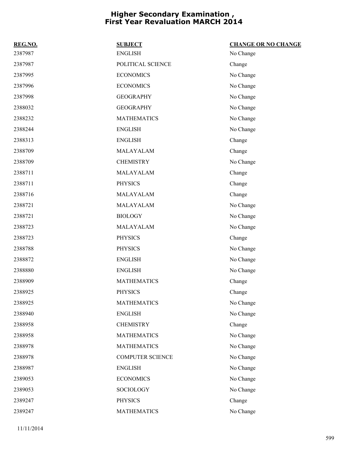| REG.NO. | <b>SUBJECT</b>          | <b>CHANGE OR NO CHANGE</b> |
|---------|-------------------------|----------------------------|
| 2387987 | <b>ENGLISH</b>          | No Change                  |
| 2387987 | POLITICAL SCIENCE       | Change                     |
| 2387995 | <b>ECONOMICS</b>        | No Change                  |
| 2387996 | <b>ECONOMICS</b>        | No Change                  |
| 2387998 | <b>GEOGRAPHY</b>        | No Change                  |
| 2388032 | <b>GEOGRAPHY</b>        | No Change                  |
| 2388232 | <b>MATHEMATICS</b>      | No Change                  |
| 2388244 | <b>ENGLISH</b>          | No Change                  |
| 2388313 | <b>ENGLISH</b>          | Change                     |
| 2388709 | MALAYALAM               | Change                     |
| 2388709 | <b>CHEMISTRY</b>        | No Change                  |
| 2388711 | MALAYALAM               | Change                     |
| 2388711 | <b>PHYSICS</b>          | Change                     |
| 2388716 | MALAYALAM               | Change                     |
| 2388721 | MALAYALAM               | No Change                  |
| 2388721 | <b>BIOLOGY</b>          | No Change                  |
| 2388723 | MALAYALAM               | No Change                  |
| 2388723 | <b>PHYSICS</b>          | Change                     |
| 2388788 | <b>PHYSICS</b>          | No Change                  |
| 2388872 | <b>ENGLISH</b>          | No Change                  |
| 2388880 | <b>ENGLISH</b>          | No Change                  |
| 2388909 | <b>MATHEMATICS</b>      | Change                     |
| 2388925 | <b>PHYSICS</b>          | Change                     |
| 2388925 | <b>MATHEMATICS</b>      | No Change                  |
| 2388940 | <b>ENGLISH</b>          | No Change                  |
| 2388958 | <b>CHEMISTRY</b>        | Change                     |
| 2388958 | <b>MATHEMATICS</b>      | No Change                  |
| 2388978 | <b>MATHEMATICS</b>      | No Change                  |
| 2388978 | <b>COMPUTER SCIENCE</b> | No Change                  |
| 2388987 | <b>ENGLISH</b>          | No Change                  |
| 2389053 | <b>ECONOMICS</b>        | No Change                  |
| 2389053 | SOCIOLOGY               | No Change                  |
| 2389247 | <b>PHYSICS</b>          | Change                     |
| 2389247 | <b>MATHEMATICS</b>      | No Change                  |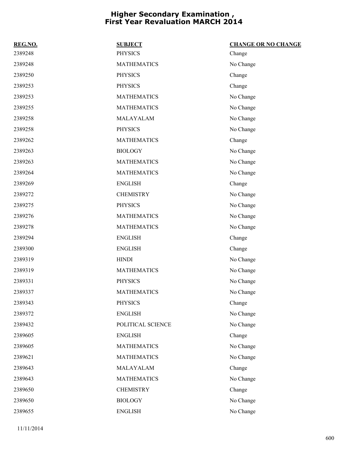| REG.NO. | <b>SUBJECT</b>     | <b>CHANGE OR NO CHANGE</b> |
|---------|--------------------|----------------------------|
| 2389248 | <b>PHYSICS</b>     | Change                     |
| 2389248 | <b>MATHEMATICS</b> | No Change                  |
| 2389250 | <b>PHYSICS</b>     | Change                     |
| 2389253 | <b>PHYSICS</b>     | Change                     |
| 2389253 | <b>MATHEMATICS</b> | No Change                  |
| 2389255 | <b>MATHEMATICS</b> | No Change                  |
| 2389258 | MALAYALAM          | No Change                  |
| 2389258 | <b>PHYSICS</b>     | No Change                  |
| 2389262 | <b>MATHEMATICS</b> | Change                     |
| 2389263 | <b>BIOLOGY</b>     | No Change                  |
| 2389263 | <b>MATHEMATICS</b> | No Change                  |
| 2389264 | <b>MATHEMATICS</b> | No Change                  |
| 2389269 | <b>ENGLISH</b>     | Change                     |
| 2389272 | <b>CHEMISTRY</b>   | No Change                  |
| 2389275 | <b>PHYSICS</b>     | No Change                  |
| 2389276 | <b>MATHEMATICS</b> | No Change                  |
| 2389278 | <b>MATHEMATICS</b> | No Change                  |
| 2389294 | <b>ENGLISH</b>     | Change                     |
| 2389300 | <b>ENGLISH</b>     | Change                     |
| 2389319 | <b>HINDI</b>       | No Change                  |
| 2389319 | <b>MATHEMATICS</b> | No Change                  |
| 2389331 | <b>PHYSICS</b>     | No Change                  |
| 2389337 | <b>MATHEMATICS</b> | No Change                  |
| 2389343 | <b>PHYSICS</b>     | Change                     |
| 2389372 | <b>ENGLISH</b>     | No Change                  |
| 2389432 | POLITICAL SCIENCE  | No Change                  |
| 2389605 | <b>ENGLISH</b>     | Change                     |
| 2389605 | <b>MATHEMATICS</b> | No Change                  |
| 2389621 | <b>MATHEMATICS</b> | No Change                  |
| 2389643 | MALAYALAM          | Change                     |
| 2389643 | <b>MATHEMATICS</b> | No Change                  |
| 2389650 | <b>CHEMISTRY</b>   | Change                     |
| 2389650 | <b>BIOLOGY</b>     | No Change                  |
| 2389655 | <b>ENGLISH</b>     | No Change                  |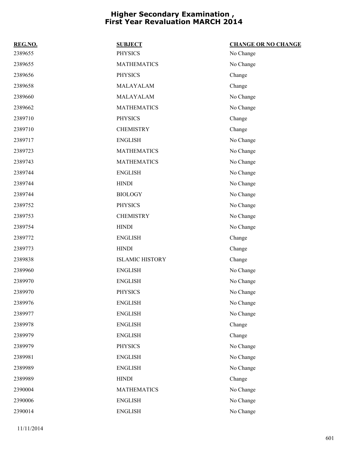| REG.NO. | <b>SUBJECT</b>         | <b>CHANGE OR NO CHANGE</b> |
|---------|------------------------|----------------------------|
| 2389655 | <b>PHYSICS</b>         | No Change                  |
| 2389655 | <b>MATHEMATICS</b>     | No Change                  |
| 2389656 | <b>PHYSICS</b>         | Change                     |
| 2389658 | MALAYALAM              | Change                     |
| 2389660 | MALAYALAM              | No Change                  |
| 2389662 | <b>MATHEMATICS</b>     | No Change                  |
| 2389710 | <b>PHYSICS</b>         | Change                     |
| 2389710 | <b>CHEMISTRY</b>       | Change                     |
| 2389717 | <b>ENGLISH</b>         | No Change                  |
| 2389723 | <b>MATHEMATICS</b>     | No Change                  |
| 2389743 | <b>MATHEMATICS</b>     | No Change                  |
| 2389744 | <b>ENGLISH</b>         | No Change                  |
| 2389744 | <b>HINDI</b>           | No Change                  |
| 2389744 | <b>BIOLOGY</b>         | No Change                  |
| 2389752 | <b>PHYSICS</b>         | No Change                  |
| 2389753 | <b>CHEMISTRY</b>       | No Change                  |
| 2389754 | <b>HINDI</b>           | No Change                  |
| 2389772 | <b>ENGLISH</b>         | Change                     |
| 2389773 | <b>HINDI</b>           | Change                     |
| 2389838 | <b>ISLAMIC HISTORY</b> | Change                     |
| 2389960 | <b>ENGLISH</b>         | No Change                  |
| 2389970 | <b>ENGLISH</b>         | No Change                  |
| 2389970 | <b>PHYSICS</b>         | No Change                  |
| 2389976 | <b>ENGLISH</b>         | No Change                  |
| 2389977 | <b>ENGLISH</b>         | No Change                  |
| 2389978 | <b>ENGLISH</b>         | Change                     |
| 2389979 | <b>ENGLISH</b>         | Change                     |
| 2389979 | <b>PHYSICS</b>         | No Change                  |
| 2389981 | <b>ENGLISH</b>         | No Change                  |
| 2389989 | <b>ENGLISH</b>         | No Change                  |
| 2389989 | <b>HINDI</b>           | Change                     |
| 2390004 | <b>MATHEMATICS</b>     | No Change                  |
| 2390006 | <b>ENGLISH</b>         | No Change                  |
| 2390014 | <b>ENGLISH</b>         | No Change                  |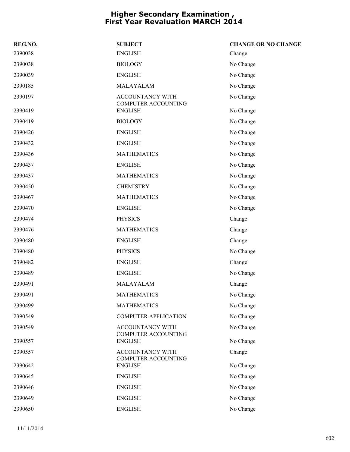| REG.NO. | <b>SUBJECT</b>                                        | <b>CHANGE OR NO CHANGE</b> |
|---------|-------------------------------------------------------|----------------------------|
| 2390038 | <b>ENGLISH</b>                                        | Change                     |
| 2390038 | <b>BIOLOGY</b>                                        | No Change                  |
| 2390039 | <b>ENGLISH</b>                                        | No Change                  |
| 2390185 | MALAYALAM                                             | No Change                  |
| 2390197 | ACCOUNTANCY WITH<br><b>COMPUTER ACCOUNTING</b>        | No Change                  |
| 2390419 | <b>ENGLISH</b>                                        | No Change                  |
| 2390419 | <b>BIOLOGY</b>                                        | No Change                  |
| 2390426 | <b>ENGLISH</b>                                        | No Change                  |
| 2390432 | <b>ENGLISH</b>                                        | No Change                  |
| 2390436 | <b>MATHEMATICS</b>                                    | No Change                  |
| 2390437 | <b>ENGLISH</b>                                        | No Change                  |
| 2390437 | <b>MATHEMATICS</b>                                    | No Change                  |
| 2390450 | <b>CHEMISTRY</b>                                      | No Change                  |
| 2390467 | <b>MATHEMATICS</b>                                    | No Change                  |
| 2390470 | <b>ENGLISH</b>                                        | No Change                  |
| 2390474 | <b>PHYSICS</b>                                        | Change                     |
| 2390476 | <b>MATHEMATICS</b>                                    | Change                     |
| 2390480 | <b>ENGLISH</b>                                        | Change                     |
| 2390480 | <b>PHYSICS</b>                                        | No Change                  |
| 2390482 | <b>ENGLISH</b>                                        | Change                     |
| 2390489 | <b>ENGLISH</b>                                        | No Change                  |
| 2390491 | MALAYALAM                                             | Change                     |
| 2390491 | <b>MATHEMATICS</b>                                    | No Change                  |
| 2390499 | <b>MATHEMATICS</b>                                    | No Change                  |
| 2390549 | <b>COMPUTER APPLICATION</b>                           | No Change                  |
| 2390549 | ACCOUNTANCY WITH<br>COMPUTER ACCOUNTING               | No Change                  |
| 2390557 | <b>ENGLISH</b>                                        | No Change                  |
| 2390557 | <b>ACCOUNTANCY WITH</b><br><b>COMPUTER ACCOUNTING</b> | Change                     |
| 2390642 | <b>ENGLISH</b>                                        | No Change                  |
| 2390645 | <b>ENGLISH</b>                                        | No Change                  |
| 2390646 | <b>ENGLISH</b>                                        | No Change                  |
| 2390649 | <b>ENGLISH</b>                                        | No Change                  |
| 2390650 | <b>ENGLISH</b>                                        | No Change                  |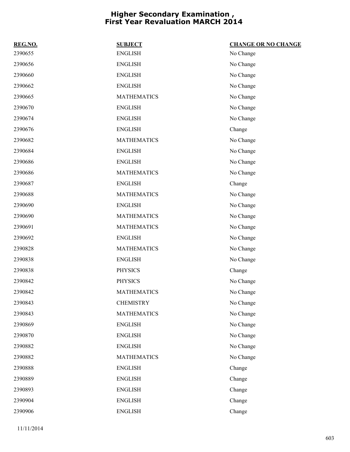| REG.NO. | <b>SUBJECT</b>     | <b>CHANGE OR NO CHANGE</b> |
|---------|--------------------|----------------------------|
| 2390655 | <b>ENGLISH</b>     | No Change                  |
| 2390656 | <b>ENGLISH</b>     | No Change                  |
| 2390660 | <b>ENGLISH</b>     | No Change                  |
| 2390662 | <b>ENGLISH</b>     | No Change                  |
| 2390665 | <b>MATHEMATICS</b> | No Change                  |
| 2390670 | <b>ENGLISH</b>     | No Change                  |
| 2390674 | <b>ENGLISH</b>     | No Change                  |
| 2390676 | <b>ENGLISH</b>     | Change                     |
| 2390682 | <b>MATHEMATICS</b> | No Change                  |
| 2390684 | <b>ENGLISH</b>     | No Change                  |
| 2390686 | <b>ENGLISH</b>     | No Change                  |
| 2390686 | <b>MATHEMATICS</b> | No Change                  |
| 2390687 | <b>ENGLISH</b>     | Change                     |
| 2390688 | <b>MATHEMATICS</b> | No Change                  |
| 2390690 | <b>ENGLISH</b>     | No Change                  |
| 2390690 | <b>MATHEMATICS</b> | No Change                  |
| 2390691 | <b>MATHEMATICS</b> | No Change                  |
| 2390692 | <b>ENGLISH</b>     | No Change                  |
| 2390828 | <b>MATHEMATICS</b> | No Change                  |
| 2390838 | <b>ENGLISH</b>     | No Change                  |
| 2390838 | <b>PHYSICS</b>     | Change                     |
| 2390842 | <b>PHYSICS</b>     | No Change                  |
| 2390842 | <b>MATHEMATICS</b> | No Change                  |
| 2390843 | <b>CHEMISTRY</b>   | No Change                  |
| 2390843 | <b>MATHEMATICS</b> | No Change                  |
| 2390869 | <b>ENGLISH</b>     | No Change                  |
| 2390870 | <b>ENGLISH</b>     | No Change                  |
| 2390882 | <b>ENGLISH</b>     | No Change                  |
| 2390882 | <b>MATHEMATICS</b> | No Change                  |
| 2390888 | <b>ENGLISH</b>     | Change                     |
| 2390889 | <b>ENGLISH</b>     | Change                     |
| 2390893 | <b>ENGLISH</b>     | Change                     |
| 2390904 | <b>ENGLISH</b>     | Change                     |
| 2390906 | <b>ENGLISH</b>     | Change                     |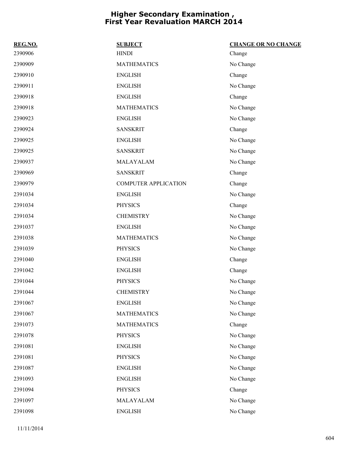| REG.NO. | <b>SUBJECT</b>              | <b>CHANGE OR NO CHANGE</b> |
|---------|-----------------------------|----------------------------|
| 2390906 | <b>HINDI</b>                | Change                     |
| 2390909 | <b>MATHEMATICS</b>          | No Change                  |
| 2390910 | <b>ENGLISH</b>              | Change                     |
| 2390911 | <b>ENGLISH</b>              | No Change                  |
| 2390918 | <b>ENGLISH</b>              | Change                     |
| 2390918 | <b>MATHEMATICS</b>          | No Change                  |
| 2390923 | <b>ENGLISH</b>              | No Change                  |
| 2390924 | <b>SANSKRIT</b>             | Change                     |
| 2390925 | <b>ENGLISH</b>              | No Change                  |
| 2390925 | <b>SANSKRIT</b>             | No Change                  |
| 2390937 | MALAYALAM                   | No Change                  |
| 2390969 | <b>SANSKRIT</b>             | Change                     |
| 2390979 | <b>COMPUTER APPLICATION</b> | Change                     |
| 2391034 | <b>ENGLISH</b>              | No Change                  |
| 2391034 | <b>PHYSICS</b>              | Change                     |
| 2391034 | <b>CHEMISTRY</b>            | No Change                  |
| 2391037 | <b>ENGLISH</b>              | No Change                  |
| 2391038 | <b>MATHEMATICS</b>          | No Change                  |
| 2391039 | <b>PHYSICS</b>              | No Change                  |
| 2391040 | <b>ENGLISH</b>              | Change                     |
| 2391042 | <b>ENGLISH</b>              | Change                     |
| 2391044 | <b>PHYSICS</b>              | No Change                  |
| 2391044 | <b>CHEMISTRY</b>            | No Change                  |
| 2391067 | <b>ENGLISH</b>              | No Change                  |
| 2391067 | <b>MATHEMATICS</b>          | No Change                  |
| 2391073 | <b>MATHEMATICS</b>          | Change                     |
| 2391078 | <b>PHYSICS</b>              | No Change                  |
| 2391081 | <b>ENGLISH</b>              | No Change                  |
| 2391081 | <b>PHYSICS</b>              | No Change                  |
| 2391087 | <b>ENGLISH</b>              | No Change                  |
| 2391093 | <b>ENGLISH</b>              | No Change                  |
| 2391094 | <b>PHYSICS</b>              | Change                     |
| 2391097 | MALAYALAM                   | No Change                  |
| 2391098 | <b>ENGLISH</b>              | No Change                  |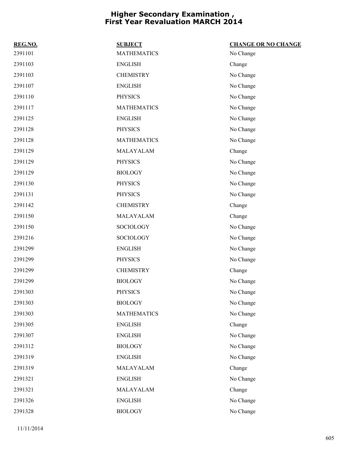| REG.NO. | <b>SUBJECT</b>     | <b>CHANGE OR NO CHANGE</b> |
|---------|--------------------|----------------------------|
| 2391101 | <b>MATHEMATICS</b> | No Change                  |
| 2391103 | <b>ENGLISH</b>     | Change                     |
| 2391103 | <b>CHEMISTRY</b>   | No Change                  |
| 2391107 | <b>ENGLISH</b>     | No Change                  |
| 2391110 | <b>PHYSICS</b>     | No Change                  |
| 2391117 | <b>MATHEMATICS</b> | No Change                  |
| 2391125 | <b>ENGLISH</b>     | No Change                  |
| 2391128 | <b>PHYSICS</b>     | No Change                  |
| 2391128 | <b>MATHEMATICS</b> | No Change                  |
| 2391129 | MALAYALAM          | Change                     |
| 2391129 | PHYSICS            | No Change                  |
| 2391129 | <b>BIOLOGY</b>     | No Change                  |
| 2391130 | <b>PHYSICS</b>     | No Change                  |
| 2391131 | <b>PHYSICS</b>     | No Change                  |
| 2391142 | <b>CHEMISTRY</b>   | Change                     |
| 2391150 | MALAYALAM          | Change                     |
| 2391150 | SOCIOLOGY          | No Change                  |
| 2391216 | SOCIOLOGY          | No Change                  |
| 2391299 | <b>ENGLISH</b>     | No Change                  |
| 2391299 | <b>PHYSICS</b>     | No Change                  |
| 2391299 | <b>CHEMISTRY</b>   | Change                     |
| 2391299 | <b>BIOLOGY</b>     | No Change                  |
| 2391303 | <b>PHYSICS</b>     | No Change                  |
| 2391303 | <b>BIOLOGY</b>     | No Change                  |
| 2391303 | <b>MATHEMATICS</b> | No Change                  |
| 2391305 | <b>ENGLISH</b>     | Change                     |
| 2391307 | <b>ENGLISH</b>     | No Change                  |
| 2391312 | <b>BIOLOGY</b>     | No Change                  |
| 2391319 | <b>ENGLISH</b>     | No Change                  |
| 2391319 | MALAYALAM          | Change                     |
| 2391321 | <b>ENGLISH</b>     | No Change                  |
| 2391321 | MALAYALAM          | Change                     |
| 2391326 | <b>ENGLISH</b>     | No Change                  |
| 2391328 | <b>BIOLOGY</b>     | No Change                  |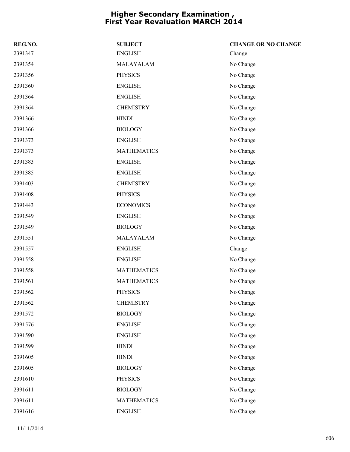| REG.NO. | <b>SUBJECT</b>     | <b>CHANGE OR NO CHANGE</b> |
|---------|--------------------|----------------------------|
| 2391347 | <b>ENGLISH</b>     | Change                     |
| 2391354 | MALAYALAM          | No Change                  |
| 2391356 | <b>PHYSICS</b>     | No Change                  |
| 2391360 | <b>ENGLISH</b>     | No Change                  |
| 2391364 | <b>ENGLISH</b>     | No Change                  |
| 2391364 | <b>CHEMISTRY</b>   | No Change                  |
| 2391366 | <b>HINDI</b>       | No Change                  |
| 2391366 | <b>BIOLOGY</b>     | No Change                  |
| 2391373 | <b>ENGLISH</b>     | No Change                  |
| 2391373 | <b>MATHEMATICS</b> | No Change                  |
| 2391383 | <b>ENGLISH</b>     | No Change                  |
| 2391385 | <b>ENGLISH</b>     | No Change                  |
| 2391403 | <b>CHEMISTRY</b>   | No Change                  |
| 2391408 | <b>PHYSICS</b>     | No Change                  |
| 2391443 | <b>ECONOMICS</b>   | No Change                  |
| 2391549 | <b>ENGLISH</b>     | No Change                  |
| 2391549 | <b>BIOLOGY</b>     | No Change                  |
| 2391551 | MALAYALAM          | No Change                  |
| 2391557 | <b>ENGLISH</b>     | Change                     |
| 2391558 | <b>ENGLISH</b>     | No Change                  |
| 2391558 | <b>MATHEMATICS</b> | No Change                  |
| 2391561 | <b>MATHEMATICS</b> | No Change                  |
| 2391562 | <b>PHYSICS</b>     | No Change                  |
| 2391562 | <b>CHEMISTRY</b>   | No Change                  |
| 2391572 | <b>BIOLOGY</b>     | No Change                  |
| 2391576 | <b>ENGLISH</b>     | No Change                  |
| 2391590 | <b>ENGLISH</b>     | No Change                  |
| 2391599 | <b>HINDI</b>       | No Change                  |
| 2391605 | <b>HINDI</b>       | No Change                  |
| 2391605 | <b>BIOLOGY</b>     | No Change                  |
| 2391610 | <b>PHYSICS</b>     | No Change                  |
| 2391611 | <b>BIOLOGY</b>     | No Change                  |
| 2391611 | <b>MATHEMATICS</b> | No Change                  |
| 2391616 | <b>ENGLISH</b>     | No Change                  |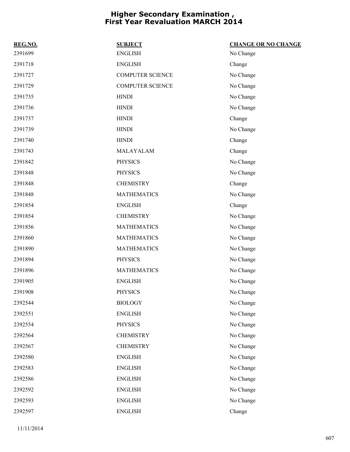| REG.NO. | <b>SUBJECT</b>          | <b>CHANGE OR NO CHANGE</b> |
|---------|-------------------------|----------------------------|
| 2391699 | <b>ENGLISH</b>          | No Change                  |
| 2391718 | <b>ENGLISH</b>          | Change                     |
| 2391727 | <b>COMPUTER SCIENCE</b> | No Change                  |
| 2391729 | <b>COMPUTER SCIENCE</b> | No Change                  |
| 2391735 | <b>HINDI</b>            | No Change                  |
| 2391736 | <b>HINDI</b>            | No Change                  |
| 2391737 | <b>HINDI</b>            | Change                     |
| 2391739 | <b>HINDI</b>            | No Change                  |
| 2391740 | <b>HINDI</b>            | Change                     |
| 2391743 | MALAYALAM               | Change                     |
| 2391842 | <b>PHYSICS</b>          | No Change                  |
| 2391848 | <b>PHYSICS</b>          | No Change                  |
| 2391848 | <b>CHEMISTRY</b>        | Change                     |
| 2391848 | <b>MATHEMATICS</b>      | No Change                  |
| 2391854 | <b>ENGLISH</b>          | Change                     |
| 2391854 | <b>CHEMISTRY</b>        | No Change                  |
| 2391856 | <b>MATHEMATICS</b>      | No Change                  |
| 2391860 | <b>MATHEMATICS</b>      | No Change                  |
| 2391890 | <b>MATHEMATICS</b>      | No Change                  |
| 2391894 | <b>PHYSICS</b>          | No Change                  |
| 2391896 | <b>MATHEMATICS</b>      | No Change                  |
| 2391905 | <b>ENGLISH</b>          | No Change                  |
| 2391908 | <b>PHYSICS</b>          | No Change                  |
| 2392544 | <b>BIOLOGY</b>          | No Change                  |
| 2392551 | <b>ENGLISH</b>          | No Change                  |
| 2392554 | <b>PHYSICS</b>          | No Change                  |
| 2392564 | <b>CHEMISTRY</b>        | No Change                  |
| 2392567 | <b>CHEMISTRY</b>        | No Change                  |
| 2392580 | <b>ENGLISH</b>          | No Change                  |
| 2392583 | <b>ENGLISH</b>          | No Change                  |
| 2392586 | <b>ENGLISH</b>          | No Change                  |
| 2392592 | <b>ENGLISH</b>          | No Change                  |
| 2392593 | <b>ENGLISH</b>          | No Change                  |
| 2392597 | <b>ENGLISH</b>          | Change                     |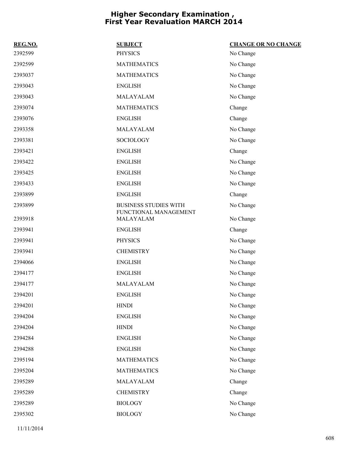| REG.NO. | <b>SUBJECT</b>                     | <b>CHANGE OR NO CHANGE</b> |
|---------|------------------------------------|----------------------------|
| 2392599 | <b>PHYSICS</b>                     | No Change                  |
| 2392599 | <b>MATHEMATICS</b>                 | No Change                  |
| 2393037 | <b>MATHEMATICS</b>                 | No Change                  |
| 2393043 | <b>ENGLISH</b>                     | No Change                  |
| 2393043 | MALAYALAM                          | No Change                  |
| 2393074 | <b>MATHEMATICS</b>                 | Change                     |
| 2393076 | <b>ENGLISH</b>                     | Change                     |
| 2393358 | MALAYALAM                          | No Change                  |
| 2393381 | <b>SOCIOLOGY</b>                   | No Change                  |
| 2393421 | <b>ENGLISH</b>                     | Change                     |
| 2393422 | <b>ENGLISH</b>                     | No Change                  |
| 2393425 | <b>ENGLISH</b>                     | No Change                  |
| 2393433 | <b>ENGLISH</b>                     | No Change                  |
| 2393899 | <b>ENGLISH</b>                     | Change                     |
| 2393899 | <b>BUSINESS STUDIES WITH</b>       | No Change                  |
| 2393918 | FUNCTIONAL MANAGEMENT<br>MALAYALAM | No Change                  |
| 2393941 | <b>ENGLISH</b>                     | Change                     |
| 2393941 | <b>PHYSICS</b>                     | No Change                  |
| 2393941 | <b>CHEMISTRY</b>                   | No Change                  |
| 2394066 | <b>ENGLISH</b>                     | No Change                  |
| 2394177 | <b>ENGLISH</b>                     | No Change                  |
| 2394177 | MALAYALAM                          | No Change                  |
| 2394201 | <b>ENGLISH</b>                     | No Change                  |
| 2394201 | <b>HINDI</b>                       | No Change                  |
| 2394204 | <b>ENGLISH</b>                     | No Change                  |
| 2394204 | <b>HINDI</b>                       | No Change                  |
| 2394284 | <b>ENGLISH</b>                     | No Change                  |
| 2394288 | <b>ENGLISH</b>                     | No Change                  |
| 2395194 | <b>MATHEMATICS</b>                 | No Change                  |
| 2395204 | <b>MATHEMATICS</b>                 | No Change                  |
| 2395289 | MALAYALAM                          | Change                     |
| 2395289 | <b>CHEMISTRY</b>                   | Change                     |
| 2395289 | <b>BIOLOGY</b>                     | No Change                  |
| 2395302 | <b>BIOLOGY</b>                     | No Change                  |
|         |                                    |                            |

11/11/2014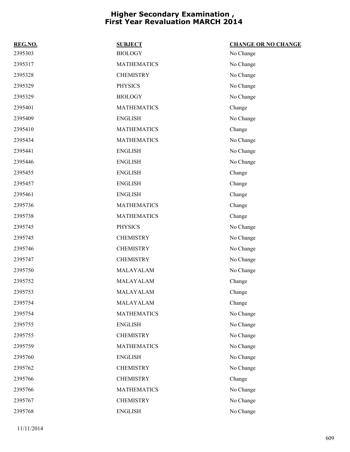| REG.NO. | <b>SUBJECT</b>     | <b>CHANGE OR NO CHANGE</b> |
|---------|--------------------|----------------------------|
| 2395303 | <b>BIOLOGY</b>     | No Change                  |
| 2395317 | <b>MATHEMATICS</b> | No Change                  |
| 2395328 | <b>CHEMISTRY</b>   | No Change                  |
| 2395329 | <b>PHYSICS</b>     | No Change                  |
| 2395329 | <b>BIOLOGY</b>     | No Change                  |
| 2395401 | <b>MATHEMATICS</b> | Change                     |
| 2395409 | <b>ENGLISH</b>     | No Change                  |
| 2395410 | <b>MATHEMATICS</b> | Change                     |
| 2395434 | <b>MATHEMATICS</b> | No Change                  |
| 2395441 | <b>ENGLISH</b>     | No Change                  |
| 2395446 | <b>ENGLISH</b>     | No Change                  |
| 2395455 | <b>ENGLISH</b>     | Change                     |
| 2395457 | <b>ENGLISH</b>     | Change                     |
| 2395461 | <b>ENGLISH</b>     | Change                     |
| 2395736 | <b>MATHEMATICS</b> | Change                     |
| 2395738 | <b>MATHEMATICS</b> | Change                     |
| 2395745 | <b>PHYSICS</b>     | No Change                  |
| 2395745 | <b>CHEMISTRY</b>   | No Change                  |
| 2395746 | <b>CHEMISTRY</b>   | No Change                  |
| 2395747 | <b>CHEMISTRY</b>   | No Change                  |
| 2395750 | MALAYALAM          | No Change                  |
| 2395752 | MALAYALAM          | Change                     |
| 2395753 | MALAYALAM          | Change                     |
| 2395754 | MALAYALAM          | Change                     |
| 2395754 | <b>MATHEMATICS</b> | No Change                  |
| 2395755 | <b>ENGLISH</b>     | No Change                  |
| 2395755 | <b>CHEMISTRY</b>   | No Change                  |
| 2395759 | <b>MATHEMATICS</b> | No Change                  |
| 2395760 | <b>ENGLISH</b>     | No Change                  |
| 2395762 | <b>CHEMISTRY</b>   | No Change                  |
| 2395766 | <b>CHEMISTRY</b>   | Change                     |
| 2395766 | <b>MATHEMATICS</b> | No Change                  |
| 2395767 | <b>CHEMISTRY</b>   | No Change                  |
| 2395768 | <b>ENGLISH</b>     | No Change                  |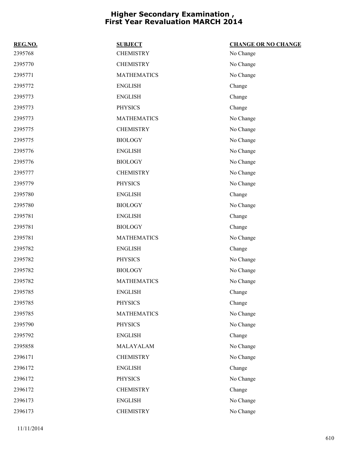| REG.NO. | <b>SUBJECT</b>     | <b>CHANGE OR NO CHANGE</b> |
|---------|--------------------|----------------------------|
| 2395768 | <b>CHEMISTRY</b>   | No Change                  |
| 2395770 | <b>CHEMISTRY</b>   | No Change                  |
| 2395771 | <b>MATHEMATICS</b> | No Change                  |
| 2395772 | <b>ENGLISH</b>     | Change                     |
| 2395773 | <b>ENGLISH</b>     | Change                     |
| 2395773 | <b>PHYSICS</b>     | Change                     |
| 2395773 | <b>MATHEMATICS</b> | No Change                  |
| 2395775 | <b>CHEMISTRY</b>   | No Change                  |
| 2395775 | <b>BIOLOGY</b>     | No Change                  |
| 2395776 | <b>ENGLISH</b>     | No Change                  |
| 2395776 | <b>BIOLOGY</b>     | No Change                  |
| 2395777 | <b>CHEMISTRY</b>   | No Change                  |
| 2395779 | <b>PHYSICS</b>     | No Change                  |
| 2395780 | <b>ENGLISH</b>     | Change                     |
| 2395780 | <b>BIOLOGY</b>     | No Change                  |
| 2395781 | <b>ENGLISH</b>     | Change                     |
| 2395781 | <b>BIOLOGY</b>     | Change                     |
| 2395781 | <b>MATHEMATICS</b> | No Change                  |
| 2395782 | <b>ENGLISH</b>     | Change                     |
| 2395782 | <b>PHYSICS</b>     | No Change                  |
| 2395782 | <b>BIOLOGY</b>     | No Change                  |
| 2395782 | <b>MATHEMATICS</b> | No Change                  |
| 2395785 | <b>ENGLISH</b>     | Change                     |
| 2395785 | PHYSICS            | Change                     |
| 2395785 | <b>MATHEMATICS</b> | No Change                  |
| 2395790 | <b>PHYSICS</b>     | No Change                  |
| 2395792 | <b>ENGLISH</b>     | Change                     |
| 2395858 | MALAYALAM          | No Change                  |
| 2396171 | <b>CHEMISTRY</b>   | No Change                  |
| 2396172 | <b>ENGLISH</b>     | Change                     |
| 2396172 | <b>PHYSICS</b>     | No Change                  |
| 2396172 | <b>CHEMISTRY</b>   | Change                     |
| 2396173 | <b>ENGLISH</b>     | No Change                  |
| 2396173 | <b>CHEMISTRY</b>   | No Change                  |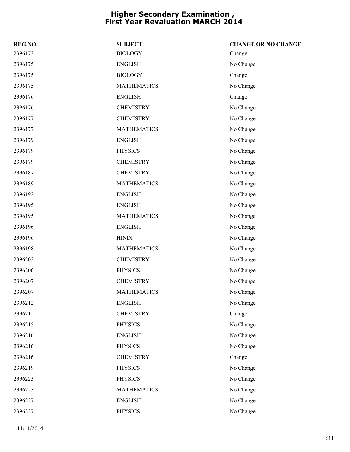| REG.NO. | <b>SUBJECT</b>     | <b>CHANGE OR NO CHANGE</b> |
|---------|--------------------|----------------------------|
| 2396173 | <b>BIOLOGY</b>     | Change                     |
| 2396175 | <b>ENGLISH</b>     | No Change                  |
| 2396175 | <b>BIOLOGY</b>     | Change                     |
| 2396175 | <b>MATHEMATICS</b> | No Change                  |
| 2396176 | <b>ENGLISH</b>     | Change                     |
| 2396176 | <b>CHEMISTRY</b>   | No Change                  |
| 2396177 | <b>CHEMISTRY</b>   | No Change                  |
| 2396177 | <b>MATHEMATICS</b> | No Change                  |
| 2396179 | <b>ENGLISH</b>     | No Change                  |
| 2396179 | <b>PHYSICS</b>     | No Change                  |
| 2396179 | <b>CHEMISTRY</b>   | No Change                  |
| 2396187 | <b>CHEMISTRY</b>   | No Change                  |
| 2396189 | <b>MATHEMATICS</b> | No Change                  |
| 2396192 | <b>ENGLISH</b>     | No Change                  |
| 2396195 | <b>ENGLISH</b>     | No Change                  |
| 2396195 | <b>MATHEMATICS</b> | No Change                  |
| 2396196 | <b>ENGLISH</b>     | No Change                  |
| 2396196 | <b>HINDI</b>       | No Change                  |
| 2396198 | <b>MATHEMATICS</b> | No Change                  |
| 2396203 | <b>CHEMISTRY</b>   | No Change                  |
| 2396206 | <b>PHYSICS</b>     | No Change                  |
| 2396207 | <b>CHEMISTRY</b>   | No Change                  |
| 2396207 | <b>MATHEMATICS</b> | No Change                  |
| 2396212 | <b>ENGLISH</b>     | No Change                  |
| 2396212 | <b>CHEMISTRY</b>   | Change                     |
| 2396215 | <b>PHYSICS</b>     | No Change                  |
| 2396216 | <b>ENGLISH</b>     | No Change                  |
| 2396216 | <b>PHYSICS</b>     | No Change                  |
| 2396216 | <b>CHEMISTRY</b>   | Change                     |
| 2396219 | <b>PHYSICS</b>     | No Change                  |
| 2396223 | <b>PHYSICS</b>     | No Change                  |
| 2396223 | <b>MATHEMATICS</b> | No Change                  |
| 2396227 | <b>ENGLISH</b>     | No Change                  |
| 2396227 | <b>PHYSICS</b>     | No Change                  |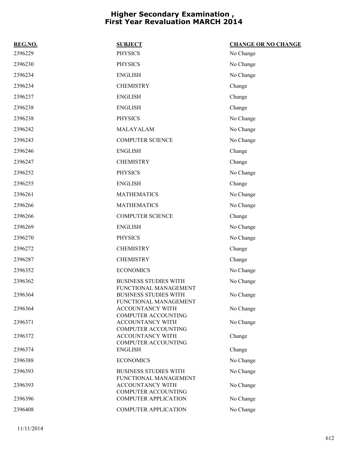| REG.NO. | <b>SUBJECT</b>                                        | <b>CHANGE OR NO CHANGE</b> |
|---------|-------------------------------------------------------|----------------------------|
| 2396229 | <b>PHYSICS</b>                                        | No Change                  |
| 2396230 | <b>PHYSICS</b>                                        | No Change                  |
| 2396234 | <b>ENGLISH</b>                                        | No Change                  |
| 2396234 | <b>CHEMISTRY</b>                                      | Change                     |
| 2396237 | <b>ENGLISH</b>                                        | Change                     |
| 2396238 | <b>ENGLISH</b>                                        | Change                     |
| 2396238 | <b>PHYSICS</b>                                        | No Change                  |
| 2396242 | MALAYALAM                                             | No Change                  |
| 2396243 | <b>COMPUTER SCIENCE</b>                               | No Change                  |
| 2396246 | <b>ENGLISH</b>                                        | Change                     |
| 2396247 | <b>CHEMISTRY</b>                                      | Change                     |
| 2396252 | <b>PHYSICS</b>                                        | No Change                  |
| 2396255 | <b>ENGLISH</b>                                        | Change                     |
| 2396261 | <b>MATHEMATICS</b>                                    | No Change                  |
| 2396266 | <b>MATHEMATICS</b>                                    | No Change                  |
| 2396266 | <b>COMPUTER SCIENCE</b>                               | Change                     |
| 2396269 | <b>ENGLISH</b>                                        | No Change                  |
| 2396270 | <b>PHYSICS</b>                                        | No Change                  |
| 2396272 | <b>CHEMISTRY</b>                                      | Change                     |
| 2396287 | <b>CHEMISTRY</b>                                      | Change                     |
| 2396352 | <b>ECONOMICS</b>                                      | No Change                  |
| 2396362 | <b>BUSINESS STUDIES WITH</b><br>FUNCTIONAL MANAGEMENT | No Change                  |
| 2396364 | <b>BUSINESS STUDIES WITH</b><br>FUNCTIONAL MANAGEMENT | No Change                  |
| 2396364 | <b>ACCOUNTANCY WITH</b><br><b>COMPUTER ACCOUNTING</b> | No Change                  |
| 2396371 | ACCOUNTANCY WITH<br><b>COMPUTER ACCOUNTING</b>        | No Change                  |
| 2396372 | ACCOUNTANCY WITH<br><b>COMPUTER ACCOUNTING</b>        | Change                     |
| 2396374 | <b>ENGLISH</b>                                        | Change                     |
| 2396388 | <b>ECONOMICS</b>                                      | No Change                  |
| 2396393 | <b>BUSINESS STUDIES WITH</b><br>FUNCTIONAL MANAGEMENT | No Change                  |
| 2396393 | <b>ACCOUNTANCY WITH</b><br><b>COMPUTER ACCOUNTING</b> | No Change                  |
| 2396396 | <b>COMPUTER APPLICATION</b>                           | No Change                  |
| 2396408 | <b>COMPUTER APPLICATION</b>                           | No Change                  |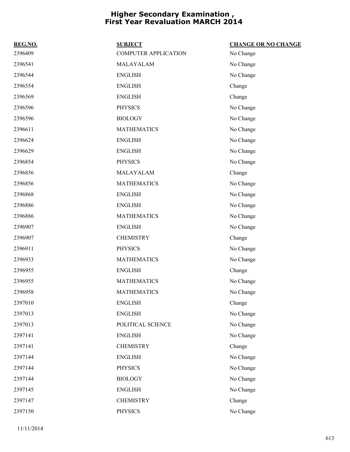| REG.NO. | <b>SUBJECT</b>              | <b>CHANGE OR NO CHANGE</b> |
|---------|-----------------------------|----------------------------|
| 2396409 | <b>COMPUTER APPLICATION</b> | No Change                  |
| 2396541 | MALAYALAM                   | No Change                  |
| 2396544 | <b>ENGLISH</b>              | No Change                  |
| 2396554 | <b>ENGLISH</b>              | Change                     |
| 2396569 | <b>ENGLISH</b>              | Change                     |
| 2396596 | <b>PHYSICS</b>              | No Change                  |
| 2396596 | <b>BIOLOGY</b>              | No Change                  |
| 2396611 | <b>MATHEMATICS</b>          | No Change                  |
| 2396624 | <b>ENGLISH</b>              | No Change                  |
| 2396629 | <b>ENGLISH</b>              | No Change                  |
| 2396854 | <b>PHYSICS</b>              | No Change                  |
| 2396856 | MALAYALAM                   | Change                     |
| 2396856 | <b>MATHEMATICS</b>          | No Change                  |
| 2396868 | <b>ENGLISH</b>              | No Change                  |
| 2396886 | <b>ENGLISH</b>              | No Change                  |
| 2396886 | <b>MATHEMATICS</b>          | No Change                  |
| 2396907 | <b>ENGLISH</b>              | No Change                  |
| 2396907 | <b>CHEMISTRY</b>            | Change                     |
| 2396911 | <b>PHYSICS</b>              | No Change                  |
| 2396933 | <b>MATHEMATICS</b>          | No Change                  |
| 2396955 | <b>ENGLISH</b>              | Change                     |
| 2396955 | <b>MATHEMATICS</b>          | No Change                  |
| 2396958 | <b>MATHEMATICS</b>          | No Change                  |
| 2397010 | <b>ENGLISH</b>              | Change                     |
| 2397013 | <b>ENGLISH</b>              | No Change                  |
| 2397013 | POLITICAL SCIENCE           | No Change                  |
| 2397141 | <b>ENGLISH</b>              | No Change                  |
| 2397141 | <b>CHEMISTRY</b>            | Change                     |
| 2397144 | <b>ENGLISH</b>              | No Change                  |
| 2397144 | <b>PHYSICS</b>              | No Change                  |
| 2397144 | <b>BIOLOGY</b>              | No Change                  |
| 2397145 | <b>ENGLISH</b>              | No Change                  |
| 2397147 | <b>CHEMISTRY</b>            | Change                     |
| 2397150 | <b>PHYSICS</b>              | No Change                  |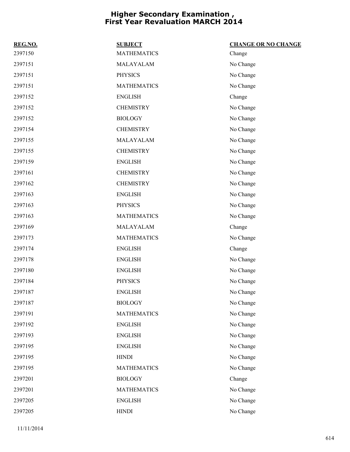| REG.NO. | <b>SUBJECT</b>     | <b>CHANGE OR NO CHANGE</b> |
|---------|--------------------|----------------------------|
| 2397150 | <b>MATHEMATICS</b> | Change                     |
| 2397151 | MALAYALAM          | No Change                  |
| 2397151 | <b>PHYSICS</b>     | No Change                  |
| 2397151 | <b>MATHEMATICS</b> | No Change                  |
| 2397152 | <b>ENGLISH</b>     | Change                     |
| 2397152 | <b>CHEMISTRY</b>   | No Change                  |
| 2397152 | <b>BIOLOGY</b>     | No Change                  |
| 2397154 | <b>CHEMISTRY</b>   | No Change                  |
| 2397155 | MALAYALAM          | No Change                  |
| 2397155 | <b>CHEMISTRY</b>   | No Change                  |
| 2397159 | <b>ENGLISH</b>     | No Change                  |
| 2397161 | <b>CHEMISTRY</b>   | No Change                  |
| 2397162 | <b>CHEMISTRY</b>   | No Change                  |
| 2397163 | <b>ENGLISH</b>     | No Change                  |
| 2397163 | <b>PHYSICS</b>     | No Change                  |
| 2397163 | <b>MATHEMATICS</b> | No Change                  |
| 2397169 | MALAYALAM          | Change                     |
| 2397173 | <b>MATHEMATICS</b> | No Change                  |
| 2397174 | <b>ENGLISH</b>     | Change                     |
| 2397178 | <b>ENGLISH</b>     | No Change                  |
| 2397180 | <b>ENGLISH</b>     | No Change                  |
| 2397184 | <b>PHYSICS</b>     | No Change                  |
| 2397187 | <b>ENGLISH</b>     | No Change                  |
| 2397187 | <b>BIOLOGY</b>     | No Change                  |
| 2397191 | <b>MATHEMATICS</b> | No Change                  |
| 2397192 | <b>ENGLISH</b>     | No Change                  |
| 2397193 | <b>ENGLISH</b>     | No Change                  |
| 2397195 | <b>ENGLISH</b>     | No Change                  |
| 2397195 | <b>HINDI</b>       | No Change                  |
| 2397195 | <b>MATHEMATICS</b> | No Change                  |
| 2397201 | <b>BIOLOGY</b>     | Change                     |
| 2397201 | <b>MATHEMATICS</b> | No Change                  |
| 2397205 | <b>ENGLISH</b>     | No Change                  |
| 2397205 | <b>HINDI</b>       | No Change                  |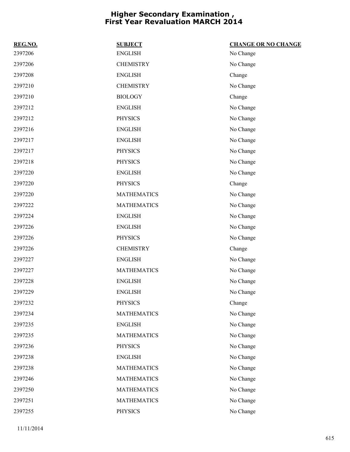| REG.NO. | <b>SUBJECT</b>     | <b>CHANGE OR NO CHANGE</b> |
|---------|--------------------|----------------------------|
| 2397206 | <b>ENGLISH</b>     | No Change                  |
| 2397206 | <b>CHEMISTRY</b>   | No Change                  |
| 2397208 | <b>ENGLISH</b>     | Change                     |
| 2397210 | <b>CHEMISTRY</b>   | No Change                  |
| 2397210 | <b>BIOLOGY</b>     | Change                     |
| 2397212 | <b>ENGLISH</b>     | No Change                  |
| 2397212 | <b>PHYSICS</b>     | No Change                  |
| 2397216 | <b>ENGLISH</b>     | No Change                  |
| 2397217 | <b>ENGLISH</b>     | No Change                  |
| 2397217 | <b>PHYSICS</b>     | No Change                  |
| 2397218 | <b>PHYSICS</b>     | No Change                  |
| 2397220 | <b>ENGLISH</b>     | No Change                  |
| 2397220 | <b>PHYSICS</b>     | Change                     |
| 2397220 | <b>MATHEMATICS</b> | No Change                  |
| 2397222 | <b>MATHEMATICS</b> | No Change                  |
| 2397224 | <b>ENGLISH</b>     | No Change                  |
| 2397226 | <b>ENGLISH</b>     | No Change                  |
| 2397226 | <b>PHYSICS</b>     | No Change                  |
| 2397226 | <b>CHEMISTRY</b>   | Change                     |
| 2397227 | <b>ENGLISH</b>     | No Change                  |
| 2397227 | <b>MATHEMATICS</b> | No Change                  |
| 2397228 | <b>ENGLISH</b>     | No Change                  |
| 2397229 | <b>ENGLISH</b>     | No Change                  |
| 2397232 | <b>PHYSICS</b>     | Change                     |
| 2397234 | <b>MATHEMATICS</b> | No Change                  |
| 2397235 | <b>ENGLISH</b>     | No Change                  |
| 2397235 | <b>MATHEMATICS</b> | No Change                  |
| 2397236 | <b>PHYSICS</b>     | No Change                  |
| 2397238 | <b>ENGLISH</b>     | No Change                  |
| 2397238 | <b>MATHEMATICS</b> | No Change                  |
| 2397246 | <b>MATHEMATICS</b> | No Change                  |
| 2397250 | <b>MATHEMATICS</b> | No Change                  |
| 2397251 | <b>MATHEMATICS</b> | No Change                  |
| 2397255 | <b>PHYSICS</b>     | No Change                  |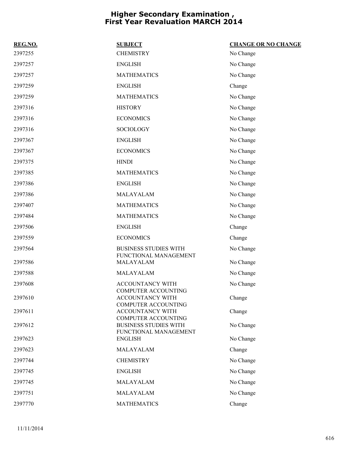| REG.NO. | <b>SUBJECT</b>                                        | <b>CHANGE OR NO CHANGE</b> |
|---------|-------------------------------------------------------|----------------------------|
| 2397255 | <b>CHEMISTRY</b>                                      | No Change                  |
| 2397257 | <b>ENGLISH</b>                                        | No Change                  |
| 2397257 | <b>MATHEMATICS</b>                                    | No Change                  |
| 2397259 | <b>ENGLISH</b>                                        | Change                     |
| 2397259 | <b>MATHEMATICS</b>                                    | No Change                  |
| 2397316 | <b>HISTORY</b>                                        | No Change                  |
| 2397316 | <b>ECONOMICS</b>                                      | No Change                  |
| 2397316 | <b>SOCIOLOGY</b>                                      | No Change                  |
| 2397367 | <b>ENGLISH</b>                                        | No Change                  |
| 2397367 | <b>ECONOMICS</b>                                      | No Change                  |
| 2397375 | <b>HINDI</b>                                          | No Change                  |
| 2397385 | <b>MATHEMATICS</b>                                    | No Change                  |
| 2397386 | <b>ENGLISH</b>                                        | No Change                  |
| 2397386 | MALAYALAM                                             | No Change                  |
| 2397407 | <b>MATHEMATICS</b>                                    | No Change                  |
| 2397484 | <b>MATHEMATICS</b>                                    | No Change                  |
| 2397506 | <b>ENGLISH</b>                                        | Change                     |
| 2397559 | <b>ECONOMICS</b>                                      | Change                     |
| 2397564 | <b>BUSINESS STUDIES WITH</b><br>FUNCTIONAL MANAGEMENT | No Change                  |
| 2397586 | MALAYALAM                                             | No Change                  |
| 2397588 | MALAYALAM                                             | No Change                  |
| 2397608 | ACCOUNTANCY WITH<br><b>COMPUTER ACCOUNTING</b>        | No Change                  |
| 2397610 | ACCOUNTANCY WITH<br><b>COMPUTER ACCOUNTING</b>        | Change                     |
| 2397611 | ACCOUNTANCY WITH<br><b>COMPUTER ACCOUNTING</b>        | Change                     |
| 2397612 | <b>BUSINESS STUDIES WITH</b><br>FUNCTIONAL MANAGEMENT | No Change                  |
| 2397623 | <b>ENGLISH</b>                                        | No Change                  |
| 2397623 | MALAYALAM                                             | Change                     |
| 2397744 | <b>CHEMISTRY</b>                                      | No Change                  |
| 2397745 | <b>ENGLISH</b>                                        | No Change                  |
| 2397745 | MALAYALAM                                             | No Change                  |
| 2397751 | MALAYALAM                                             | No Change                  |
| 2397770 | <b>MATHEMATICS</b>                                    | Change                     |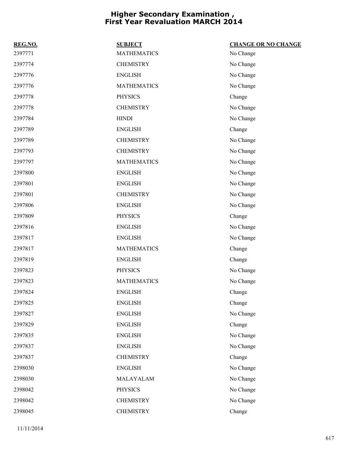| REG.NO. | <b>SUBJECT</b>     | <b>CHANGE OR NO CHANGE</b> |
|---------|--------------------|----------------------------|
| 2397771 | <b>MATHEMATICS</b> | No Change                  |
| 2397774 | <b>CHEMISTRY</b>   | No Change                  |
| 2397776 | <b>ENGLISH</b>     | No Change                  |
| 2397776 | <b>MATHEMATICS</b> | No Change                  |
| 2397778 | <b>PHYSICS</b>     | Change                     |
| 2397778 | <b>CHEMISTRY</b>   | No Change                  |
| 2397784 | <b>HINDI</b>       | No Change                  |
| 2397789 | <b>ENGLISH</b>     | Change                     |
| 2397789 | <b>CHEMISTRY</b>   | No Change                  |
| 2397793 | <b>CHEMISTRY</b>   | No Change                  |
| 2397797 | <b>MATHEMATICS</b> | No Change                  |
| 2397800 | <b>ENGLISH</b>     | No Change                  |
| 2397801 | <b>ENGLISH</b>     | No Change                  |
| 2397801 | <b>CHEMISTRY</b>   | No Change                  |
| 2397806 | <b>ENGLISH</b>     | No Change                  |
| 2397809 | <b>PHYSICS</b>     | Change                     |
| 2397816 | <b>ENGLISH</b>     | No Change                  |
| 2397817 | <b>ENGLISH</b>     | No Change                  |
| 2397817 | <b>MATHEMATICS</b> | Change                     |
| 2397819 | <b>ENGLISH</b>     | Change                     |
| 2397823 | <b>PHYSICS</b>     | No Change                  |
| 2397823 | <b>MATHEMATICS</b> | No Change                  |
| 2397824 | <b>ENGLISH</b>     | Change                     |
| 2397825 | <b>ENGLISH</b>     | Change                     |
| 2397827 | <b>ENGLISH</b>     | No Change                  |
| 2397829 | <b>ENGLISH</b>     | Change                     |
| 2397835 | <b>ENGLISH</b>     | No Change                  |
| 2397837 | <b>ENGLISH</b>     | No Change                  |
| 2397837 | <b>CHEMISTRY</b>   | Change                     |
| 2398030 | <b>ENGLISH</b>     | No Change                  |
| 2398030 | MALAYALAM          | No Change                  |
| 2398042 | <b>PHYSICS</b>     | No Change                  |
| 2398042 | <b>CHEMISTRY</b>   | No Change                  |
| 2398045 | <b>CHEMISTRY</b>   | Change                     |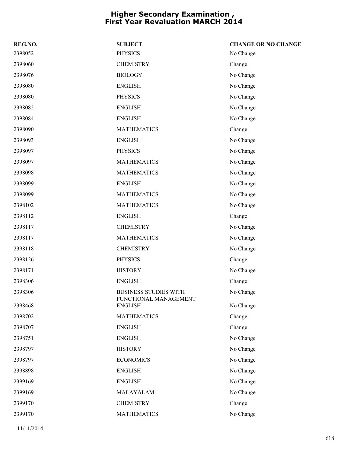| 2398052<br><b>PHYSICS</b><br>No Change<br>2398060<br><b>CHEMISTRY</b><br>Change<br>2398076<br><b>BIOLOGY</b><br>No Change<br>2398080<br>No Change<br><b>ENGLISH</b><br>2398080<br><b>PHYSICS</b><br>No Change<br>2398082<br>No Change<br><b>ENGLISH</b><br>2398084<br><b>ENGLISH</b><br>No Change |
|---------------------------------------------------------------------------------------------------------------------------------------------------------------------------------------------------------------------------------------------------------------------------------------------------|
|                                                                                                                                                                                                                                                                                                   |
|                                                                                                                                                                                                                                                                                                   |
|                                                                                                                                                                                                                                                                                                   |
|                                                                                                                                                                                                                                                                                                   |
|                                                                                                                                                                                                                                                                                                   |
|                                                                                                                                                                                                                                                                                                   |
|                                                                                                                                                                                                                                                                                                   |
| 2398090<br><b>MATHEMATICS</b><br>Change                                                                                                                                                                                                                                                           |
| 2398093<br><b>ENGLISH</b><br>No Change                                                                                                                                                                                                                                                            |
| 2398097<br><b>PHYSICS</b><br>No Change                                                                                                                                                                                                                                                            |
| 2398097<br>No Change<br><b>MATHEMATICS</b>                                                                                                                                                                                                                                                        |
| 2398098<br><b>MATHEMATICS</b><br>No Change                                                                                                                                                                                                                                                        |
| 2398099<br><b>ENGLISH</b><br>No Change                                                                                                                                                                                                                                                            |
| 2398099<br><b>MATHEMATICS</b><br>No Change                                                                                                                                                                                                                                                        |
| 2398102<br><b>MATHEMATICS</b><br>No Change                                                                                                                                                                                                                                                        |
| 2398112<br><b>ENGLISH</b><br>Change                                                                                                                                                                                                                                                               |
| 2398117<br><b>CHEMISTRY</b><br>No Change                                                                                                                                                                                                                                                          |
| 2398117<br>No Change<br><b>MATHEMATICS</b>                                                                                                                                                                                                                                                        |
| <b>CHEMISTRY</b><br>2398118<br>No Change                                                                                                                                                                                                                                                          |
| 2398126<br><b>PHYSICS</b><br>Change                                                                                                                                                                                                                                                               |
| 2398171<br>No Change<br><b>HISTORY</b>                                                                                                                                                                                                                                                            |
| 2398306<br><b>ENGLISH</b><br>Change                                                                                                                                                                                                                                                               |
| 2398306<br><b>BUSINESS STUDIES WITH</b><br>No Change<br>FUNCTIONAL MANAGEMENT                                                                                                                                                                                                                     |
| 2398468<br><b>ENGLISH</b><br>No Change                                                                                                                                                                                                                                                            |
| 2398702<br><b>MATHEMATICS</b><br>Change                                                                                                                                                                                                                                                           |
| 2398707<br><b>ENGLISH</b><br>Change                                                                                                                                                                                                                                                               |
| 2398751<br><b>ENGLISH</b><br>No Change                                                                                                                                                                                                                                                            |
| 2398797<br>No Change<br><b>HISTORY</b>                                                                                                                                                                                                                                                            |
| 2398797<br><b>ECONOMICS</b><br>No Change                                                                                                                                                                                                                                                          |
| 2398898<br><b>ENGLISH</b><br>No Change                                                                                                                                                                                                                                                            |
| 2399169<br><b>ENGLISH</b><br>No Change                                                                                                                                                                                                                                                            |
| 2399169<br>No Change<br>MALAYALAM                                                                                                                                                                                                                                                                 |
| 2399170<br><b>CHEMISTRY</b><br>Change                                                                                                                                                                                                                                                             |
| 2399170<br><b>MATHEMATICS</b><br>No Change                                                                                                                                                                                                                                                        |

11/11/2014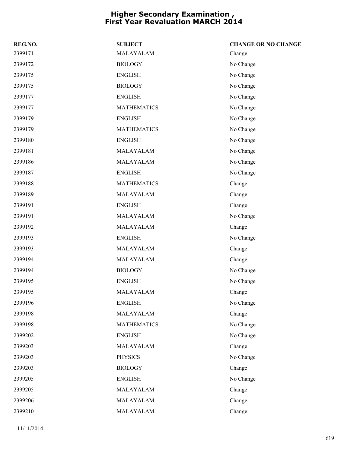| REG.NO. | <b>SUBJECT</b>     | <b>CHANGE OR NO CHANGE</b> |
|---------|--------------------|----------------------------|
| 2399171 | MALAYALAM          | Change                     |
| 2399172 | <b>BIOLOGY</b>     | No Change                  |
| 2399175 | <b>ENGLISH</b>     | No Change                  |
| 2399175 | <b>BIOLOGY</b>     | No Change                  |
| 2399177 | <b>ENGLISH</b>     | No Change                  |
| 2399177 | <b>MATHEMATICS</b> | No Change                  |
| 2399179 | <b>ENGLISH</b>     | No Change                  |
| 2399179 | <b>MATHEMATICS</b> | No Change                  |
| 2399180 | <b>ENGLISH</b>     | No Change                  |
| 2399181 | MALAYALAM          | No Change                  |
| 2399186 | MALAYALAM          | No Change                  |
| 2399187 | <b>ENGLISH</b>     | No Change                  |
| 2399188 | <b>MATHEMATICS</b> | Change                     |
| 2399189 | MALAYALAM          | Change                     |
| 2399191 | <b>ENGLISH</b>     | Change                     |
| 2399191 | MALAYALAM          | No Change                  |
| 2399192 | MALAYALAM          | Change                     |
| 2399193 | <b>ENGLISH</b>     | No Change                  |
| 2399193 | MALAYALAM          | Change                     |
| 2399194 | MALAYALAM          | Change                     |
| 2399194 | <b>BIOLOGY</b>     | No Change                  |
| 2399195 | <b>ENGLISH</b>     | No Change                  |
| 2399195 | MALAYALAM          | Change                     |
| 2399196 | <b>ENGLISH</b>     | No Change                  |
| 2399198 | MALAYALAM          | Change                     |
| 2399198 | <b>MATHEMATICS</b> | No Change                  |
| 2399202 | <b>ENGLISH</b>     | No Change                  |
| 2399203 | MALAYALAM          | Change                     |
| 2399203 | <b>PHYSICS</b>     | No Change                  |
| 2399203 | <b>BIOLOGY</b>     | Change                     |
| 2399205 | <b>ENGLISH</b>     | No Change                  |
| 2399205 | MALAYALAM          | Change                     |
| 2399206 | MALAYALAM          | Change                     |
| 2399210 | MALAYALAM          | Change                     |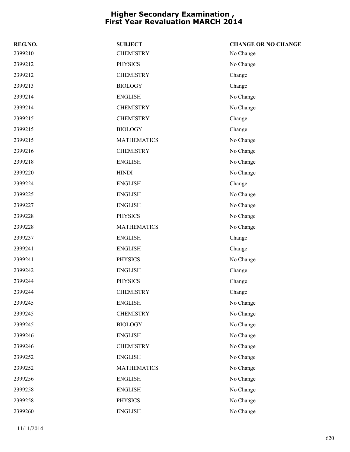| REG.NO. | <b>SUBJECT</b>     | <b>CHANGE OR NO CHANGE</b> |
|---------|--------------------|----------------------------|
| 2399210 | <b>CHEMISTRY</b>   | No Change                  |
| 2399212 | <b>PHYSICS</b>     | No Change                  |
| 2399212 | <b>CHEMISTRY</b>   | Change                     |
| 2399213 | <b>BIOLOGY</b>     | Change                     |
| 2399214 | <b>ENGLISH</b>     | No Change                  |
| 2399214 | <b>CHEMISTRY</b>   | No Change                  |
| 2399215 | <b>CHEMISTRY</b>   | Change                     |
| 2399215 | <b>BIOLOGY</b>     | Change                     |
| 2399215 | <b>MATHEMATICS</b> | No Change                  |
| 2399216 | <b>CHEMISTRY</b>   | No Change                  |
| 2399218 | <b>ENGLISH</b>     | No Change                  |
| 2399220 | <b>HINDI</b>       | No Change                  |
| 2399224 | <b>ENGLISH</b>     | Change                     |
| 2399225 | <b>ENGLISH</b>     | No Change                  |
| 2399227 | <b>ENGLISH</b>     | No Change                  |
| 2399228 | <b>PHYSICS</b>     | No Change                  |
| 2399228 | <b>MATHEMATICS</b> | No Change                  |
| 2399237 | <b>ENGLISH</b>     | Change                     |
| 2399241 | <b>ENGLISH</b>     | Change                     |
| 2399241 | <b>PHYSICS</b>     | No Change                  |
| 2399242 | <b>ENGLISH</b>     | Change                     |
| 2399244 | <b>PHYSICS</b>     | Change                     |
| 2399244 | <b>CHEMISTRY</b>   | Change                     |
| 2399245 | <b>ENGLISH</b>     | No Change                  |
| 2399245 | <b>CHEMISTRY</b>   | No Change                  |
| 2399245 | <b>BIOLOGY</b>     | No Change                  |
| 2399246 | <b>ENGLISH</b>     | No Change                  |
| 2399246 | <b>CHEMISTRY</b>   | No Change                  |
| 2399252 | <b>ENGLISH</b>     | No Change                  |
| 2399252 | <b>MATHEMATICS</b> | No Change                  |
| 2399256 | <b>ENGLISH</b>     | No Change                  |
| 2399258 | <b>ENGLISH</b>     | No Change                  |
| 2399258 | PHYSICS            | No Change                  |
| 2399260 | <b>ENGLISH</b>     | No Change                  |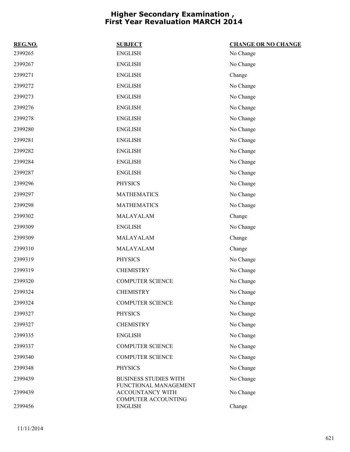| REG.NO. | <b>SUBJECT</b>                                                   | <b>CHANGE OR NO CHANGE</b> |
|---------|------------------------------------------------------------------|----------------------------|
| 2399265 | <b>ENGLISH</b>                                                   | No Change                  |
| 2399267 | ${\rm ENGLISH}$                                                  | No Change                  |
| 2399271 | <b>ENGLISH</b>                                                   | Change                     |
| 2399272 | <b>ENGLISH</b>                                                   | No Change                  |
| 2399273 | <b>ENGLISH</b>                                                   | No Change                  |
| 2399276 | <b>ENGLISH</b>                                                   | No Change                  |
| 2399278 | <b>ENGLISH</b>                                                   | No Change                  |
| 2399280 | <b>ENGLISH</b>                                                   | No Change                  |
| 2399281 | <b>ENGLISH</b>                                                   | No Change                  |
| 2399282 | <b>ENGLISH</b>                                                   | No Change                  |
| 2399284 | <b>ENGLISH</b>                                                   | No Change                  |
| 2399287 | <b>ENGLISH</b>                                                   | No Change                  |
| 2399296 | <b>PHYSICS</b>                                                   | No Change                  |
| 2399297 | <b>MATHEMATICS</b>                                               | No Change                  |
| 2399298 | <b>MATHEMATICS</b>                                               | No Change                  |
| 2399302 | MALAYALAM                                                        | Change                     |
| 2399309 | <b>ENGLISH</b>                                                   | No Change                  |
| 2399309 | MALAYALAM                                                        | Change                     |
| 2399310 | MALAYALAM                                                        | Change                     |
| 2399319 | <b>PHYSICS</b>                                                   | No Change                  |
| 2399319 | <b>CHEMISTRY</b>                                                 | No Change                  |
| 2399320 | <b>COMPUTER SCIENCE</b>                                          | No Change                  |
| 2399324 | <b>CHEMISTRY</b>                                                 | No Change                  |
| 2399324 | <b>COMPUTER SCIENCE</b>                                          | No Change                  |
| 2399327 | <b>PHYSICS</b>                                                   | No Change                  |
| 2399327 | <b>CHEMISTRY</b>                                                 | No Change                  |
| 2399335 | <b>ENGLISH</b>                                                   | No Change                  |
| 2399337 | <b>COMPUTER SCIENCE</b>                                          | No Change                  |
| 2399340 | <b>COMPUTER SCIENCE</b>                                          | No Change                  |
| 2399348 | <b>PHYSICS</b>                                                   | No Change                  |
| 2399439 | <b>BUSINESS STUDIES WITH</b>                                     | No Change                  |
| 2399439 | FUNCTIONAL MANAGEMENT<br>ACCOUNTANCY WITH<br>COMPUTER ACCOUNTING | No Change                  |
| 2399456 | <b>ENGLISH</b>                                                   | Change                     |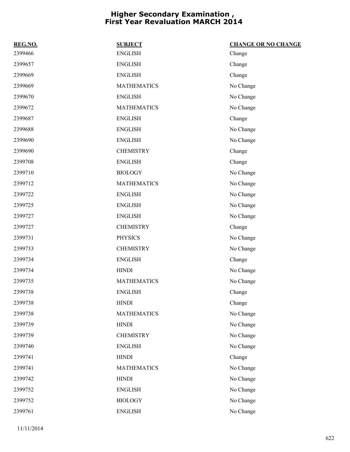| REG.NO. | <b>SUBJECT</b>     | <b>CHANGE OR NO CHANGE</b> |
|---------|--------------------|----------------------------|
| 2399466 | <b>ENGLISH</b>     | Change                     |
| 2399657 | <b>ENGLISH</b>     | Change                     |
| 2399669 | <b>ENGLISH</b>     | Change                     |
| 2399669 | <b>MATHEMATICS</b> | No Change                  |
| 2399670 | <b>ENGLISH</b>     | No Change                  |
| 2399672 | <b>MATHEMATICS</b> | No Change                  |
| 2399687 | <b>ENGLISH</b>     | Change                     |
| 2399688 | <b>ENGLISH</b>     | No Change                  |
| 2399690 | <b>ENGLISH</b>     | No Change                  |
| 2399690 | <b>CHEMISTRY</b>   | Change                     |
| 2399708 | <b>ENGLISH</b>     | Change                     |
| 2399710 | <b>BIOLOGY</b>     | No Change                  |
| 2399712 | <b>MATHEMATICS</b> | No Change                  |
| 2399722 | <b>ENGLISH</b>     | No Change                  |
| 2399725 | <b>ENGLISH</b>     | No Change                  |
| 2399727 | <b>ENGLISH</b>     | No Change                  |
| 2399727 | <b>CHEMISTRY</b>   | Change                     |
| 2399731 | <b>PHYSICS</b>     | No Change                  |
| 2399733 | <b>CHEMISTRY</b>   | No Change                  |
| 2399734 | <b>ENGLISH</b>     | Change                     |
| 2399734 | <b>HINDI</b>       | No Change                  |
| 2399735 | <b>MATHEMATICS</b> | No Change                  |
| 2399738 | <b>ENGLISH</b>     | Change                     |
| 2399738 | <b>HINDI</b>       | Change                     |
| 2399738 | <b>MATHEMATICS</b> | No Change                  |
| 2399739 | <b>HINDI</b>       | No Change                  |
| 2399739 | <b>CHEMISTRY</b>   | No Change                  |
| 2399740 | <b>ENGLISH</b>     | No Change                  |
| 2399741 | <b>HINDI</b>       | Change                     |
| 2399741 | <b>MATHEMATICS</b> | No Change                  |
| 2399742 | <b>HINDI</b>       | No Change                  |
| 2399752 | <b>ENGLISH</b>     | No Change                  |
| 2399752 | <b>BIOLOGY</b>     | No Change                  |
| 2399761 | <b>ENGLISH</b>     | No Change                  |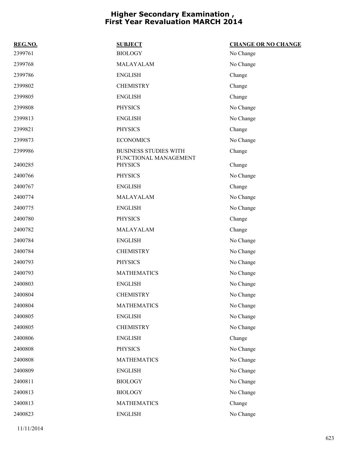| REG.NO. | <b>SUBJECT</b>                                        | <b>CHANGE OR NO CHANGE</b> |
|---------|-------------------------------------------------------|----------------------------|
| 2399761 | <b>BIOLOGY</b>                                        | No Change                  |
| 2399768 | MALAYALAM                                             | No Change                  |
| 2399786 | <b>ENGLISH</b>                                        | Change                     |
| 2399802 | <b>CHEMISTRY</b>                                      | Change                     |
| 2399805 | <b>ENGLISH</b>                                        | Change                     |
| 2399808 | <b>PHYSICS</b>                                        | No Change                  |
| 2399813 | <b>ENGLISH</b>                                        | No Change                  |
| 2399821 | <b>PHYSICS</b>                                        | Change                     |
| 2399873 | <b>ECONOMICS</b>                                      | No Change                  |
| 2399986 | <b>BUSINESS STUDIES WITH</b><br>FUNCTIONAL MANAGEMENT | Change                     |
| 2400285 | <b>PHYSICS</b>                                        | Change                     |
| 2400766 | <b>PHYSICS</b>                                        | No Change                  |
| 2400767 | <b>ENGLISH</b>                                        | Change                     |
| 2400774 | MALAYALAM                                             | No Change                  |
| 2400775 | <b>ENGLISH</b>                                        | No Change                  |
| 2400780 | <b>PHYSICS</b>                                        | Change                     |
| 2400782 | MALAYALAM                                             | Change                     |
| 2400784 | <b>ENGLISH</b>                                        | No Change                  |
| 2400784 | <b>CHEMISTRY</b>                                      | No Change                  |
| 2400793 | <b>PHYSICS</b>                                        | No Change                  |
| 2400793 | <b>MATHEMATICS</b>                                    | No Change                  |
| 2400803 | <b>ENGLISH</b>                                        | No Change                  |
| 2400804 | <b>CHEMISTRY</b>                                      | No Change                  |
| 2400804 | <b>MATHEMATICS</b>                                    | No Change                  |
| 2400805 | <b>ENGLISH</b>                                        | No Change                  |
| 2400805 | <b>CHEMISTRY</b>                                      | No Change                  |
| 2400806 | <b>ENGLISH</b>                                        | Change                     |
| 2400808 | <b>PHYSICS</b>                                        | No Change                  |
| 2400808 | <b>MATHEMATICS</b>                                    | No Change                  |
| 2400809 | <b>ENGLISH</b>                                        | No Change                  |
| 2400811 | <b>BIOLOGY</b>                                        | No Change                  |
| 2400813 | <b>BIOLOGY</b>                                        | No Change                  |
| 2400813 | <b>MATHEMATICS</b>                                    | Change                     |
| 2400823 | <b>ENGLISH</b>                                        | No Change                  |

11/11/2014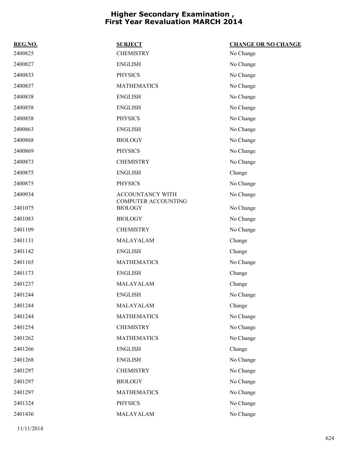|                    | <b>CHANGE OR NO CHANGE</b>            |
|--------------------|---------------------------------------|
| <b>CHEMISTRY</b>   | No Change                             |
| <b>ENGLISH</b>     | No Change                             |
| <b>PHYSICS</b>     | No Change                             |
| <b>MATHEMATICS</b> | No Change                             |
| <b>ENGLISH</b>     | No Change                             |
| <b>ENGLISH</b>     | No Change                             |
| <b>PHYSICS</b>     | No Change                             |
| <b>ENGLISH</b>     | No Change                             |
| <b>BIOLOGY</b>     | No Change                             |
| <b>PHYSICS</b>     | No Change                             |
| <b>CHEMISTRY</b>   | No Change                             |
| <b>ENGLISH</b>     | Change                                |
| <b>PHYSICS</b>     | No Change                             |
| ACCOUNTANCY WITH   | No Change                             |
| <b>BIOLOGY</b>     | No Change                             |
| <b>BIOLOGY</b>     | No Change                             |
| <b>CHEMISTRY</b>   | No Change                             |
| MALAYALAM          | Change                                |
| <b>ENGLISH</b>     | Change                                |
| <b>MATHEMATICS</b> | No Change                             |
| <b>ENGLISH</b>     | Change                                |
| MALAYALAM          | Change                                |
| <b>ENGLISH</b>     | No Change                             |
| MALAYALAM          | Change                                |
| <b>MATHEMATICS</b> | No Change                             |
| <b>CHEMISTRY</b>   | No Change                             |
| <b>MATHEMATICS</b> | No Change                             |
| <b>ENGLISH</b>     | Change                                |
| <b>ENGLISH</b>     | No Change                             |
| <b>CHEMISTRY</b>   | No Change                             |
| <b>BIOLOGY</b>     | No Change                             |
| <b>MATHEMATICS</b> | No Change                             |
| <b>PHYSICS</b>     | No Change                             |
| MALAYALAM          | No Change                             |
|                    | <b>SUBJECT</b><br>COMPUTER ACCOUNTING |

11/11/2014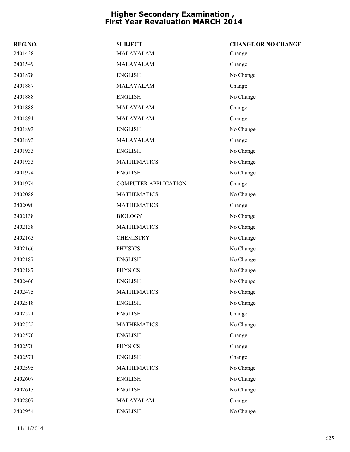| REG.NO. | <b>SUBJECT</b>              | <b>CHANGE OR NO CHANGE</b> |
|---------|-----------------------------|----------------------------|
| 2401438 | MALAYALAM                   | Change                     |
| 2401549 | MALAYALAM                   | Change                     |
| 2401878 | <b>ENGLISH</b>              | No Change                  |
| 2401887 | MALAYALAM                   | Change                     |
| 2401888 | <b>ENGLISH</b>              | No Change                  |
| 2401888 | MALAYALAM                   | Change                     |
| 2401891 | MALAYALAM                   | Change                     |
| 2401893 | <b>ENGLISH</b>              | No Change                  |
| 2401893 | MALAYALAM                   | Change                     |
| 2401933 | <b>ENGLISH</b>              | No Change                  |
| 2401933 | <b>MATHEMATICS</b>          | No Change                  |
| 2401974 | <b>ENGLISH</b>              | No Change                  |
| 2401974 | <b>COMPUTER APPLICATION</b> | Change                     |
| 2402088 | <b>MATHEMATICS</b>          | No Change                  |
| 2402090 | <b>MATHEMATICS</b>          | Change                     |
| 2402138 | <b>BIOLOGY</b>              | No Change                  |
| 2402138 | <b>MATHEMATICS</b>          | No Change                  |
| 2402163 | <b>CHEMISTRY</b>            | No Change                  |
| 2402166 | <b>PHYSICS</b>              | No Change                  |
| 2402187 | <b>ENGLISH</b>              | No Change                  |
| 2402187 | <b>PHYSICS</b>              | No Change                  |
| 2402466 | <b>ENGLISH</b>              | No Change                  |
| 2402475 | <b>MATHEMATICS</b>          | No Change                  |
| 2402518 | <b>ENGLISH</b>              | No Change                  |
| 2402521 | <b>ENGLISH</b>              | Change                     |
| 2402522 | <b>MATHEMATICS</b>          | No Change                  |
| 2402570 | <b>ENGLISH</b>              | Change                     |
| 2402570 | <b>PHYSICS</b>              | Change                     |
| 2402571 | <b>ENGLISH</b>              | Change                     |
| 2402595 | <b>MATHEMATICS</b>          | No Change                  |
| 2402607 | <b>ENGLISH</b>              | No Change                  |
| 2402613 | <b>ENGLISH</b>              | No Change                  |
| 2402807 | MALAYALAM                   | Change                     |
| 2402954 | <b>ENGLISH</b>              | No Change                  |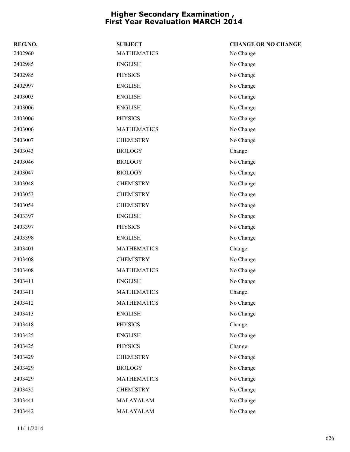| REG.NO. | <b>SUBJECT</b>     | <b>CHANGE OR NO CHANGE</b> |
|---------|--------------------|----------------------------|
| 2402960 | <b>MATHEMATICS</b> | No Change                  |
| 2402985 | <b>ENGLISH</b>     | No Change                  |
| 2402985 | <b>PHYSICS</b>     | No Change                  |
| 2402997 | <b>ENGLISH</b>     | No Change                  |
| 2403003 | <b>ENGLISH</b>     | No Change                  |
| 2403006 | <b>ENGLISH</b>     | No Change                  |
| 2403006 | <b>PHYSICS</b>     | No Change                  |
| 2403006 | <b>MATHEMATICS</b> | No Change                  |
| 2403007 | <b>CHEMISTRY</b>   | No Change                  |
| 2403043 | <b>BIOLOGY</b>     | Change                     |
| 2403046 | <b>BIOLOGY</b>     | No Change                  |
| 2403047 | <b>BIOLOGY</b>     | No Change                  |
| 2403048 | <b>CHEMISTRY</b>   | No Change                  |
| 2403053 | <b>CHEMISTRY</b>   | No Change                  |
| 2403054 | <b>CHEMISTRY</b>   | No Change                  |
| 2403397 | <b>ENGLISH</b>     | No Change                  |
| 2403397 | <b>PHYSICS</b>     | No Change                  |
| 2403398 | <b>ENGLISH</b>     | No Change                  |
| 2403401 | <b>MATHEMATICS</b> | Change                     |
| 2403408 | <b>CHEMISTRY</b>   | No Change                  |
| 2403408 | <b>MATHEMATICS</b> | No Change                  |
| 2403411 | <b>ENGLISH</b>     | No Change                  |
| 2403411 | <b>MATHEMATICS</b> | Change                     |
| 2403412 | <b>MATHEMATICS</b> | No Change                  |
| 2403413 | <b>ENGLISH</b>     | No Change                  |
| 2403418 | <b>PHYSICS</b>     | Change                     |
| 2403425 | <b>ENGLISH</b>     | No Change                  |
| 2403425 | <b>PHYSICS</b>     | Change                     |
| 2403429 | <b>CHEMISTRY</b>   | No Change                  |
| 2403429 | <b>BIOLOGY</b>     | No Change                  |
| 2403429 | <b>MATHEMATICS</b> | No Change                  |
| 2403432 | <b>CHEMISTRY</b>   | No Change                  |
| 2403441 | MALAYALAM          | No Change                  |
| 2403442 | MALAYALAM          | No Change                  |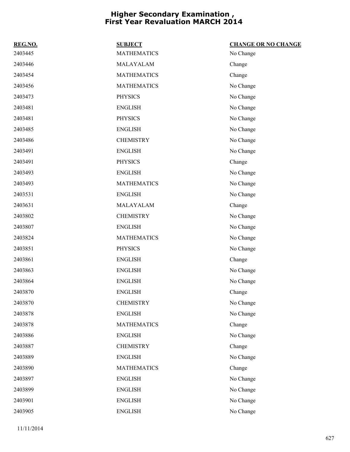| REG.NO. | <b>SUBJECT</b>     | <b>CHANGE OR NO CHANGE</b> |
|---------|--------------------|----------------------------|
| 2403445 | <b>MATHEMATICS</b> | No Change                  |
| 2403446 | MALAYALAM          | Change                     |
| 2403454 | <b>MATHEMATICS</b> | Change                     |
| 2403456 | <b>MATHEMATICS</b> | No Change                  |
| 2403473 | <b>PHYSICS</b>     | No Change                  |
| 2403481 | <b>ENGLISH</b>     | No Change                  |
| 2403481 | <b>PHYSICS</b>     | No Change                  |
| 2403485 | <b>ENGLISH</b>     | No Change                  |
| 2403486 | <b>CHEMISTRY</b>   | No Change                  |
| 2403491 | <b>ENGLISH</b>     | No Change                  |
| 2403491 | <b>PHYSICS</b>     | Change                     |
| 2403493 | <b>ENGLISH</b>     | No Change                  |
| 2403493 | <b>MATHEMATICS</b> | No Change                  |
| 2403531 | <b>ENGLISH</b>     | No Change                  |
| 2403631 | MALAYALAM          | Change                     |
| 2403802 | <b>CHEMISTRY</b>   | No Change                  |
| 2403807 | <b>ENGLISH</b>     | No Change                  |
| 2403824 | <b>MATHEMATICS</b> | No Change                  |
| 2403851 | <b>PHYSICS</b>     | No Change                  |
| 2403861 | <b>ENGLISH</b>     | Change                     |
| 2403863 | <b>ENGLISH</b>     | No Change                  |
| 2403864 | <b>ENGLISH</b>     | No Change                  |
| 2403870 | <b>ENGLISH</b>     | Change                     |
| 2403870 | <b>CHEMISTRY</b>   | No Change                  |
| 2403878 | <b>ENGLISH</b>     | No Change                  |
| 2403878 | <b>MATHEMATICS</b> | Change                     |
| 2403886 | <b>ENGLISH</b>     | No Change                  |
| 2403887 | <b>CHEMISTRY</b>   | Change                     |
| 2403889 | <b>ENGLISH</b>     | No Change                  |
| 2403890 | <b>MATHEMATICS</b> | Change                     |
| 2403897 | <b>ENGLISH</b>     | No Change                  |
| 2403899 | <b>ENGLISH</b>     | No Change                  |
| 2403901 | <b>ENGLISH</b>     | No Change                  |
| 2403905 | <b>ENGLISH</b>     | No Change                  |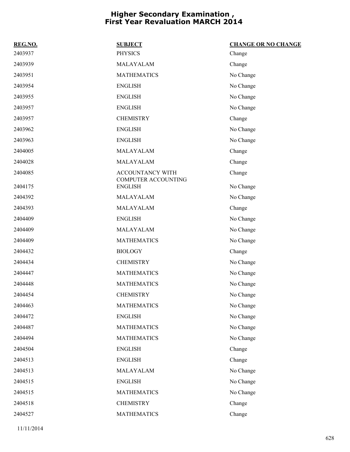| REG.NO. | <b>SUBJECT</b>                          | <b>CHANGE OR NO CHANGE</b> |
|---------|-----------------------------------------|----------------------------|
| 2403937 | <b>PHYSICS</b>                          | Change                     |
| 2403939 | MALAYALAM                               | Change                     |
| 2403951 | <b>MATHEMATICS</b>                      | No Change                  |
| 2403954 | <b>ENGLISH</b>                          | No Change                  |
| 2403955 | <b>ENGLISH</b>                          | No Change                  |
| 2403957 | <b>ENGLISH</b>                          | No Change                  |
| 2403957 | <b>CHEMISTRY</b>                        | Change                     |
| 2403962 | <b>ENGLISH</b>                          | No Change                  |
| 2403963 | <b>ENGLISH</b>                          | No Change                  |
| 2404005 | MALAYALAM                               | Change                     |
| 2404028 | MALAYALAM                               | Change                     |
| 2404085 | ACCOUNTANCY WITH<br>COMPUTER ACCOUNTING | Change                     |
| 2404175 | <b>ENGLISH</b>                          | No Change                  |
| 2404392 | MALAYALAM                               | No Change                  |
| 2404393 | MALAYALAM                               | Change                     |
| 2404409 | <b>ENGLISH</b>                          | No Change                  |
| 2404409 | MALAYALAM                               | No Change                  |
| 2404409 | <b>MATHEMATICS</b>                      | No Change                  |
| 2404432 | <b>BIOLOGY</b>                          | Change                     |
| 2404434 | <b>CHEMISTRY</b>                        | No Change                  |
| 2404447 | <b>MATHEMATICS</b>                      | No Change                  |
| 2404448 | <b>MATHEMATICS</b>                      | No Change                  |
| 2404454 | <b>CHEMISTRY</b>                        | No Change                  |
| 2404463 | <b>MATHEMATICS</b>                      | No Change                  |
| 2404472 | <b>ENGLISH</b>                          | No Change                  |
| 2404487 | <b>MATHEMATICS</b>                      | No Change                  |
| 2404494 | <b>MATHEMATICS</b>                      | No Change                  |
| 2404504 | <b>ENGLISH</b>                          | Change                     |
| 2404513 | <b>ENGLISH</b>                          | Change                     |
| 2404513 | MALAYALAM                               | No Change                  |
| 2404515 | <b>ENGLISH</b>                          | No Change                  |
| 2404515 | <b>MATHEMATICS</b>                      | No Change                  |
| 2404518 | <b>CHEMISTRY</b>                        | Change                     |
| 2404527 | <b>MATHEMATICS</b>                      | Change                     |

11/11/2014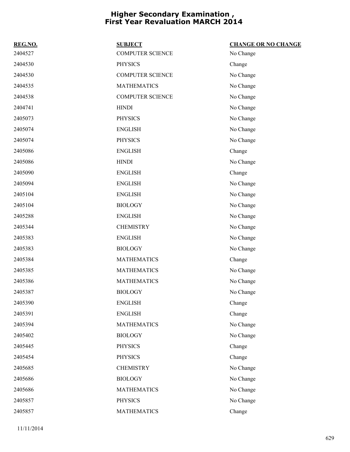| REG.NO. | <b>SUBJECT</b>          | <b>CHANGE OR NO CHANGE</b> |
|---------|-------------------------|----------------------------|
| 2404527 | <b>COMPUTER SCIENCE</b> | No Change                  |
| 2404530 | <b>PHYSICS</b>          | Change                     |
| 2404530 | <b>COMPUTER SCIENCE</b> | No Change                  |
| 2404535 | <b>MATHEMATICS</b>      | No Change                  |
| 2404538 | <b>COMPUTER SCIENCE</b> | No Change                  |
| 2404741 | <b>HINDI</b>            | No Change                  |
| 2405073 | <b>PHYSICS</b>          | No Change                  |
| 2405074 | <b>ENGLISH</b>          | No Change                  |
| 2405074 | <b>PHYSICS</b>          | No Change                  |
| 2405086 | <b>ENGLISH</b>          | Change                     |
| 2405086 | <b>HINDI</b>            | No Change                  |
| 2405090 | <b>ENGLISH</b>          | Change                     |
| 2405094 | <b>ENGLISH</b>          | No Change                  |
| 2405104 | <b>ENGLISH</b>          | No Change                  |
| 2405104 | <b>BIOLOGY</b>          | No Change                  |
| 2405288 | <b>ENGLISH</b>          | No Change                  |
| 2405344 | <b>CHEMISTRY</b>        | No Change                  |
| 2405383 | <b>ENGLISH</b>          | No Change                  |
| 2405383 | <b>BIOLOGY</b>          | No Change                  |
| 2405384 | <b>MATHEMATICS</b>      | Change                     |
| 2405385 | <b>MATHEMATICS</b>      | No Change                  |
| 2405386 | <b>MATHEMATICS</b>      | No Change                  |
| 2405387 | <b>BIOLOGY</b>          | No Change                  |
| 2405390 | <b>ENGLISH</b>          | Change                     |
| 2405391 | <b>ENGLISH</b>          | Change                     |
| 2405394 | <b>MATHEMATICS</b>      | No Change                  |
| 2405402 | <b>BIOLOGY</b>          | No Change                  |
| 2405445 | <b>PHYSICS</b>          | Change                     |
| 2405454 | <b>PHYSICS</b>          | Change                     |
| 2405685 | <b>CHEMISTRY</b>        | No Change                  |
| 2405686 | <b>BIOLOGY</b>          | No Change                  |
| 2405686 | <b>MATHEMATICS</b>      | No Change                  |
| 2405857 | <b>PHYSICS</b>          | No Change                  |
| 2405857 | <b>MATHEMATICS</b>      | Change                     |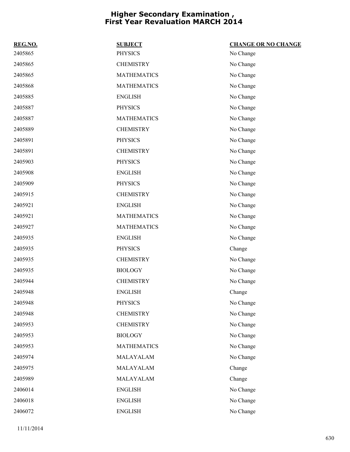| REG.NO. | <b>SUBJECT</b>     | <b>CHANGE OR NO CHANGE</b> |
|---------|--------------------|----------------------------|
| 2405865 | <b>PHYSICS</b>     | No Change                  |
| 2405865 | <b>CHEMISTRY</b>   | No Change                  |
| 2405865 | <b>MATHEMATICS</b> | No Change                  |
| 2405868 | <b>MATHEMATICS</b> | No Change                  |
| 2405885 | <b>ENGLISH</b>     | No Change                  |
| 2405887 | <b>PHYSICS</b>     | No Change                  |
| 2405887 | <b>MATHEMATICS</b> | No Change                  |
| 2405889 | <b>CHEMISTRY</b>   | No Change                  |
| 2405891 | <b>PHYSICS</b>     | No Change                  |
| 2405891 | <b>CHEMISTRY</b>   | No Change                  |
| 2405903 | <b>PHYSICS</b>     | No Change                  |
| 2405908 | <b>ENGLISH</b>     | No Change                  |
| 2405909 | <b>PHYSICS</b>     | No Change                  |
| 2405915 | <b>CHEMISTRY</b>   | No Change                  |
| 2405921 | <b>ENGLISH</b>     | No Change                  |
| 2405921 | <b>MATHEMATICS</b> | No Change                  |
| 2405927 | <b>MATHEMATICS</b> | No Change                  |
| 2405935 | <b>ENGLISH</b>     | No Change                  |
| 2405935 | <b>PHYSICS</b>     | Change                     |
| 2405935 | <b>CHEMISTRY</b>   | No Change                  |
| 2405935 | <b>BIOLOGY</b>     | No Change                  |
| 2405944 | <b>CHEMISTRY</b>   | No Change                  |
| 2405948 | <b>ENGLISH</b>     | Change                     |
| 2405948 | <b>PHYSICS</b>     | No Change                  |
| 2405948 | <b>CHEMISTRY</b>   | No Change                  |
| 2405953 | <b>CHEMISTRY</b>   | No Change                  |
| 2405953 | <b>BIOLOGY</b>     | No Change                  |
| 2405953 | <b>MATHEMATICS</b> | No Change                  |
| 2405974 | MALAYALAM          | No Change                  |
| 2405975 | MALAYALAM          | Change                     |
| 2405989 | MALAYALAM          | Change                     |
| 2406014 | <b>ENGLISH</b>     | No Change                  |
| 2406018 | <b>ENGLISH</b>     | No Change                  |
| 2406072 | <b>ENGLISH</b>     | No Change                  |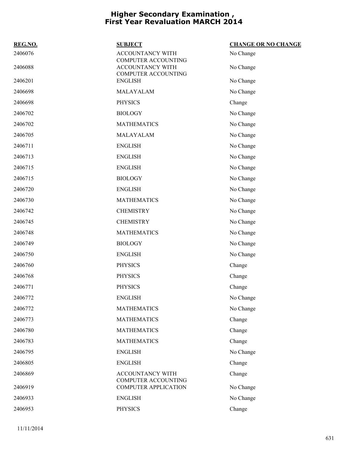| REG.NO. | <b>SUBJECT</b>                                 | <b>CHANGE OR NO CHANGE</b> |
|---------|------------------------------------------------|----------------------------|
| 2406076 | <b>ACCOUNTANCY WITH</b><br>COMPUTER ACCOUNTING | No Change                  |
| 2406088 | ACCOUNTANCY WITH<br><b>COMPUTER ACCOUNTING</b> | No Change                  |
| 2406201 | <b>ENGLISH</b>                                 | No Change                  |
| 2406698 | MALAYALAM                                      | No Change                  |
| 2406698 | <b>PHYSICS</b>                                 | Change                     |
| 2406702 | <b>BIOLOGY</b>                                 | No Change                  |
| 2406702 | <b>MATHEMATICS</b>                             | No Change                  |
| 2406705 | MALAYALAM                                      | No Change                  |
| 2406711 | <b>ENGLISH</b>                                 | No Change                  |
| 2406713 | <b>ENGLISH</b>                                 | No Change                  |
| 2406715 | <b>ENGLISH</b>                                 | No Change                  |
| 2406715 | <b>BIOLOGY</b>                                 | No Change                  |
| 2406720 | <b>ENGLISH</b>                                 | No Change                  |
| 2406730 | <b>MATHEMATICS</b>                             | No Change                  |
| 2406742 | <b>CHEMISTRY</b>                               | No Change                  |
| 2406745 | <b>CHEMISTRY</b>                               | No Change                  |
| 2406748 | <b>MATHEMATICS</b>                             | No Change                  |
| 2406749 | <b>BIOLOGY</b>                                 | No Change                  |
| 2406750 | <b>ENGLISH</b>                                 | No Change                  |
| 2406760 | <b>PHYSICS</b>                                 | Change                     |
| 2406768 | <b>PHYSICS</b>                                 | Change                     |
| 2406771 | <b>PHYSICS</b>                                 | Change                     |
| 2406772 | <b>ENGLISH</b>                                 | No Change                  |
| 2406772 | <b>MATHEMATICS</b>                             | No Change                  |
| 2406773 | <b>MATHEMATICS</b>                             | Change                     |
| 2406780 | <b>MATHEMATICS</b>                             | Change                     |
| 2406783 | <b>MATHEMATICS</b>                             | Change                     |
| 2406795 | <b>ENGLISH</b>                                 | No Change                  |
| 2406805 | <b>ENGLISH</b>                                 | Change                     |
| 2406869 | ACCOUNTANCY WITH<br><b>COMPUTER ACCOUNTING</b> | Change                     |
| 2406919 | <b>COMPUTER APPLICATION</b>                    | No Change                  |
| 2406933 | <b>ENGLISH</b>                                 | No Change                  |
| 2406953 | <b>PHYSICS</b>                                 | Change                     |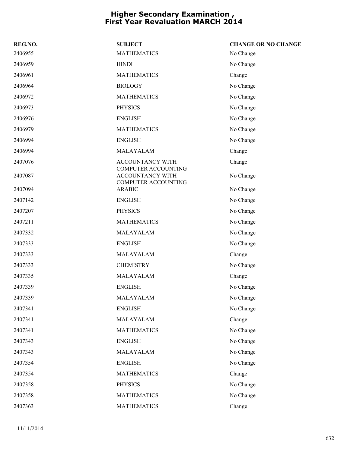| REG.NO. | <b>SUBJECT</b>                                                        | <b>CHANGE OR NO CHANGE</b> |
|---------|-----------------------------------------------------------------------|----------------------------|
| 2406955 | <b>MATHEMATICS</b>                                                    | No Change                  |
| 2406959 | <b>HINDI</b>                                                          | No Change                  |
| 2406961 | <b>MATHEMATICS</b>                                                    | Change                     |
| 2406964 | <b>BIOLOGY</b>                                                        | No Change                  |
| 2406972 | <b>MATHEMATICS</b>                                                    | No Change                  |
| 2406973 | <b>PHYSICS</b>                                                        | No Change                  |
| 2406976 | <b>ENGLISH</b>                                                        | No Change                  |
| 2406979 | <b>MATHEMATICS</b>                                                    | No Change                  |
| 2406994 | <b>ENGLISH</b>                                                        | No Change                  |
| 2406994 | MALAYALAM                                                             | Change                     |
| 2407076 | ACCOUNTANCY WITH                                                      | Change                     |
| 2407087 | COMPUTER ACCOUNTING<br><b>ACCOUNTANCY WITH</b><br>COMPUTER ACCOUNTING | No Change                  |
| 2407094 | <b>ARABIC</b>                                                         | No Change                  |
| 2407142 | <b>ENGLISH</b>                                                        | No Change                  |
| 2407207 | <b>PHYSICS</b>                                                        | No Change                  |
| 2407211 | <b>MATHEMATICS</b>                                                    | No Change                  |
| 2407332 | MALAYALAM                                                             | No Change                  |
| 2407333 | <b>ENGLISH</b>                                                        | No Change                  |
| 2407333 | MALAYALAM                                                             | Change                     |
| 2407333 | <b>CHEMISTRY</b>                                                      | No Change                  |
| 2407335 | MALAYALAM                                                             | Change                     |
| 2407339 | <b>ENGLISH</b>                                                        | No Change                  |
| 2407339 | MALAYALAM                                                             | No Change                  |
| 2407341 | <b>ENGLISH</b>                                                        | No Change                  |
| 2407341 | MALAYALAM                                                             | Change                     |
| 2407341 | <b>MATHEMATICS</b>                                                    | No Change                  |
| 2407343 | <b>ENGLISH</b>                                                        | No Change                  |
| 2407343 | MALAYALAM                                                             | No Change                  |
| 2407354 | <b>ENGLISH</b>                                                        | No Change                  |
| 2407354 | <b>MATHEMATICS</b>                                                    | Change                     |
| 2407358 | <b>PHYSICS</b>                                                        | No Change                  |
| 2407358 | <b>MATHEMATICS</b>                                                    | No Change                  |
| 2407363 | <b>MATHEMATICS</b>                                                    | Change                     |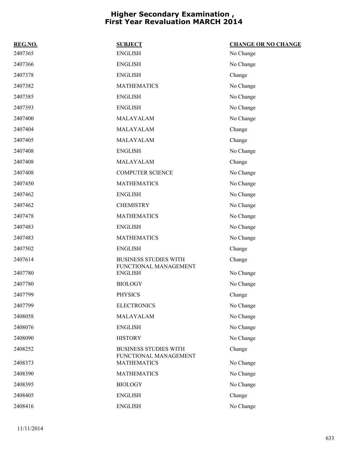| REG.NO. | <b>SUBJECT</b>                                        | <b>CHANGE OR NO CHANGE</b> |
|---------|-------------------------------------------------------|----------------------------|
| 2407365 | <b>ENGLISH</b>                                        | No Change                  |
| 2407366 | <b>ENGLISH</b>                                        | No Change                  |
| 2407378 | <b>ENGLISH</b>                                        | Change                     |
| 2407382 | <b>MATHEMATICS</b>                                    | No Change                  |
| 2407385 | <b>ENGLISH</b>                                        | No Change                  |
| 2407393 | <b>ENGLISH</b>                                        | No Change                  |
| 2407400 | MALAYALAM                                             | No Change                  |
| 2407404 | MALAYALAM                                             | Change                     |
| 2407405 | MALAYALAM                                             | Change                     |
| 2407408 | <b>ENGLISH</b>                                        | No Change                  |
| 2407408 | MALAYALAM                                             | Change                     |
| 2407408 | <b>COMPUTER SCIENCE</b>                               | No Change                  |
| 2407450 | <b>MATHEMATICS</b>                                    | No Change                  |
| 2407462 | <b>ENGLISH</b>                                        | No Change                  |
| 2407462 | <b>CHEMISTRY</b>                                      | No Change                  |
| 2407478 | <b>MATHEMATICS</b>                                    | No Change                  |
| 2407483 | <b>ENGLISH</b>                                        | No Change                  |
| 2407483 | <b>MATHEMATICS</b>                                    | No Change                  |
| 2407502 | <b>ENGLISH</b>                                        | Change                     |
| 2407614 | <b>BUSINESS STUDIES WITH</b><br>FUNCTIONAL MANAGEMENT | Change                     |
| 2407780 | <b>ENGLISH</b>                                        | No Change                  |
| 2407780 | <b>BIOLOGY</b>                                        | No Change                  |
| 2407799 | <b>PHYSICS</b>                                        | Change                     |
| 2407799 | <b>ELECTRONICS</b>                                    | No Change                  |
| 2408058 | MALAYALAM                                             | No Change                  |
| 2408076 | <b>ENGLISH</b>                                        | No Change                  |
| 2408090 | <b>HISTORY</b>                                        | No Change                  |
| 2408252 | <b>BUSINESS STUDIES WITH</b><br>FUNCTIONAL MANAGEMENT | Change                     |
| 2408373 | <b>MATHEMATICS</b>                                    | No Change                  |
| 2408390 | <b>MATHEMATICS</b>                                    | No Change                  |
| 2408395 | <b>BIOLOGY</b>                                        | No Change                  |
| 2408405 | <b>ENGLISH</b>                                        | Change                     |
| 2408416 | <b>ENGLISH</b>                                        | No Change                  |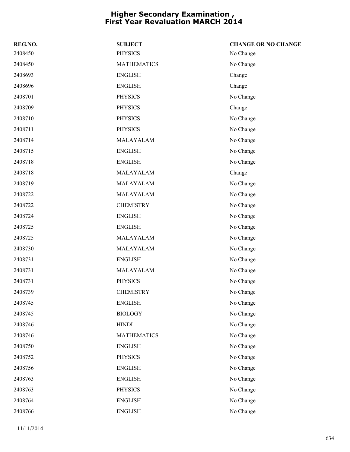| REG.NO. | <b>SUBJECT</b>     | <b>CHANGE OR NO CHANGE</b> |
|---------|--------------------|----------------------------|
| 2408450 | <b>PHYSICS</b>     | No Change                  |
| 2408450 | <b>MATHEMATICS</b> | No Change                  |
| 2408693 | <b>ENGLISH</b>     | Change                     |
| 2408696 | <b>ENGLISH</b>     | Change                     |
| 2408701 | <b>PHYSICS</b>     | No Change                  |
| 2408709 | <b>PHYSICS</b>     | Change                     |
| 2408710 | <b>PHYSICS</b>     | No Change                  |
| 2408711 | <b>PHYSICS</b>     | No Change                  |
| 2408714 | MALAYALAM          | No Change                  |
| 2408715 | <b>ENGLISH</b>     | No Change                  |
| 2408718 | <b>ENGLISH</b>     | No Change                  |
| 2408718 | MALAYALAM          | Change                     |
| 2408719 | MALAYALAM          | No Change                  |
| 2408722 | MALAYALAM          | No Change                  |
| 2408722 | <b>CHEMISTRY</b>   | No Change                  |
| 2408724 | <b>ENGLISH</b>     | No Change                  |
| 2408725 | <b>ENGLISH</b>     | No Change                  |
| 2408725 | MALAYALAM          | No Change                  |
| 2408730 | MALAYALAM          | No Change                  |
| 2408731 | <b>ENGLISH</b>     | No Change                  |
| 2408731 | MALAYALAM          | No Change                  |
| 2408731 | <b>PHYSICS</b>     | No Change                  |
| 2408739 | <b>CHEMISTRY</b>   | No Change                  |
| 2408745 | <b>ENGLISH</b>     | No Change                  |
| 2408745 | <b>BIOLOGY</b>     | No Change                  |
| 2408746 | <b>HINDI</b>       | No Change                  |
| 2408746 | <b>MATHEMATICS</b> | No Change                  |
| 2408750 | <b>ENGLISH</b>     | No Change                  |
| 2408752 | <b>PHYSICS</b>     | No Change                  |
| 2408756 | <b>ENGLISH</b>     | No Change                  |
| 2408763 | <b>ENGLISH</b>     | No Change                  |
| 2408763 | <b>PHYSICS</b>     | No Change                  |
| 2408764 | <b>ENGLISH</b>     | No Change                  |
| 2408766 | <b>ENGLISH</b>     | No Change                  |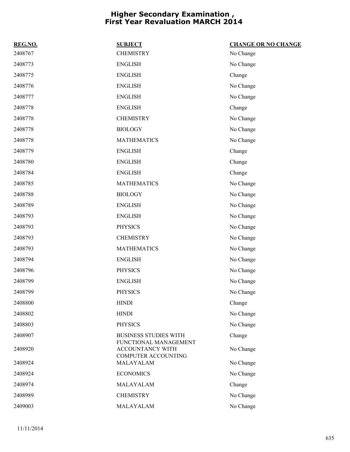| REG.NO. | <b>SUBJECT</b>                                                          | <b>CHANGE OR NO CHANGE</b> |
|---------|-------------------------------------------------------------------------|----------------------------|
| 2408767 | <b>CHEMISTRY</b>                                                        | No Change                  |
| 2408773 | <b>ENGLISH</b>                                                          | No Change                  |
| 2408775 | <b>ENGLISH</b>                                                          | Change                     |
| 2408776 | <b>ENGLISH</b>                                                          | No Change                  |
| 2408777 | <b>ENGLISH</b>                                                          | No Change                  |
| 2408778 | <b>ENGLISH</b>                                                          | Change                     |
| 2408778 | <b>CHEMISTRY</b>                                                        | No Change                  |
| 2408778 | <b>BIOLOGY</b>                                                          | No Change                  |
| 2408778 | <b>MATHEMATICS</b>                                                      | No Change                  |
| 2408779 | <b>ENGLISH</b>                                                          | Change                     |
| 2408780 | <b>ENGLISH</b>                                                          | Change                     |
| 2408784 | <b>ENGLISH</b>                                                          | Change                     |
| 2408785 | <b>MATHEMATICS</b>                                                      | No Change                  |
| 2408788 | <b>BIOLOGY</b>                                                          | No Change                  |
| 2408789 | <b>ENGLISH</b>                                                          | No Change                  |
| 2408793 | <b>ENGLISH</b>                                                          | No Change                  |
| 2408793 | <b>PHYSICS</b>                                                          | No Change                  |
| 2408793 | <b>CHEMISTRY</b>                                                        | No Change                  |
| 2408793 | <b>MATHEMATICS</b>                                                      | No Change                  |
| 2408794 | <b>ENGLISH</b>                                                          | No Change                  |
| 2408796 | <b>PHYSICS</b>                                                          | No Change                  |
| 2408799 | <b>ENGLISH</b>                                                          | No Change                  |
| 2408799 | <b>PHYSICS</b>                                                          | No Change                  |
| 2408800 | <b>HINDI</b>                                                            | Change                     |
| 2408802 | <b>HINDI</b>                                                            | No Change                  |
| 2408803 | <b>PHYSICS</b>                                                          | No Change                  |
| 2408907 | <b>BUSINESS STUDIES WITH</b>                                            | Change                     |
| 2408920 | FUNCTIONAL MANAGEMENT<br>ACCOUNTANCY WITH<br><b>COMPUTER ACCOUNTING</b> | No Change                  |
| 2408924 | MALAYALAM                                                               | No Change                  |
| 2408924 | <b>ECONOMICS</b>                                                        | No Change                  |
| 2408974 | MALAYALAM                                                               | Change                     |
| 2408989 | <b>CHEMISTRY</b>                                                        | No Change                  |
| 2409003 | MALAYALAM                                                               | No Change                  |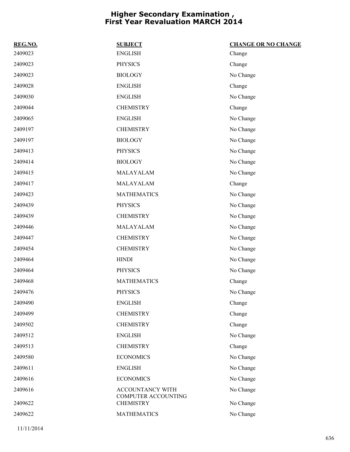| REG.NO. | <b>SUBJECT</b>                                 | <b>CHANGE OR NO CHANGE</b> |
|---------|------------------------------------------------|----------------------------|
| 2409023 | <b>ENGLISH</b>                                 | Change                     |
| 2409023 | <b>PHYSICS</b>                                 | Change                     |
| 2409023 | <b>BIOLOGY</b>                                 | No Change                  |
| 2409028 | <b>ENGLISH</b>                                 | Change                     |
| 2409030 | <b>ENGLISH</b>                                 | No Change                  |
| 2409044 | <b>CHEMISTRY</b>                               | Change                     |
| 2409065 | <b>ENGLISH</b>                                 | No Change                  |
| 2409197 | <b>CHEMISTRY</b>                               | No Change                  |
| 2409197 | <b>BIOLOGY</b>                                 | No Change                  |
| 2409413 | <b>PHYSICS</b>                                 | No Change                  |
| 2409414 | <b>BIOLOGY</b>                                 | No Change                  |
| 2409415 | MALAYALAM                                      | No Change                  |
| 2409417 | MALAYALAM                                      | Change                     |
| 2409423 | <b>MATHEMATICS</b>                             | No Change                  |
| 2409439 | <b>PHYSICS</b>                                 | No Change                  |
| 2409439 | <b>CHEMISTRY</b>                               | No Change                  |
| 2409446 | MALAYALAM                                      | No Change                  |
| 2409447 | <b>CHEMISTRY</b>                               | No Change                  |
| 2409454 | <b>CHEMISTRY</b>                               | No Change                  |
| 2409464 | <b>HINDI</b>                                   | No Change                  |
| 2409464 | <b>PHYSICS</b>                                 | No Change                  |
| 2409468 | <b>MATHEMATICS</b>                             | Change                     |
| 2409476 | <b>PHYSICS</b>                                 | No Change                  |
| 2409490 | <b>ENGLISH</b>                                 | Change                     |
| 2409499 | <b>CHEMISTRY</b>                               | Change                     |
| 2409502 | <b>CHEMISTRY</b>                               | Change                     |
| 2409512 | <b>ENGLISH</b>                                 | No Change                  |
| 2409513 | <b>CHEMISTRY</b>                               | Change                     |
| 2409580 | <b>ECONOMICS</b>                               | No Change                  |
| 2409611 | <b>ENGLISH</b>                                 | No Change                  |
| 2409616 | <b>ECONOMICS</b>                               | No Change                  |
| 2409616 | ACCOUNTANCY WITH                               | No Change                  |
| 2409622 | <b>COMPUTER ACCOUNTING</b><br><b>CHEMISTRY</b> | No Change                  |
| 2409622 | <b>MATHEMATICS</b>                             | No Change                  |
|         |                                                |                            |

11/11/2014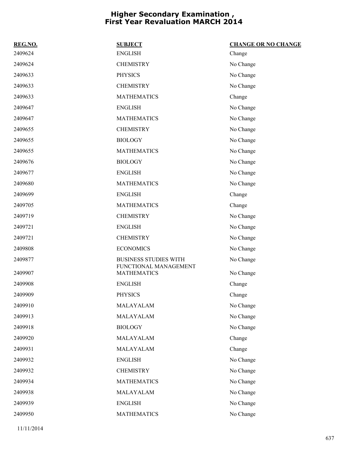| REG.NO. | <b>SUBJECT</b>                              | <b>CHANGE OR NO CHANGE</b> |
|---------|---------------------------------------------|----------------------------|
| 2409624 | <b>ENGLISH</b>                              | Change                     |
| 2409624 | <b>CHEMISTRY</b>                            | No Change                  |
| 2409633 | <b>PHYSICS</b>                              | No Change                  |
| 2409633 | <b>CHEMISTRY</b>                            | No Change                  |
| 2409633 | <b>MATHEMATICS</b>                          | Change                     |
| 2409647 | <b>ENGLISH</b>                              | No Change                  |
| 2409647 | <b>MATHEMATICS</b>                          | No Change                  |
| 2409655 | <b>CHEMISTRY</b>                            | No Change                  |
| 2409655 | <b>BIOLOGY</b>                              | No Change                  |
| 2409655 | <b>MATHEMATICS</b>                          | No Change                  |
| 2409676 | <b>BIOLOGY</b>                              | No Change                  |
| 2409677 | <b>ENGLISH</b>                              | No Change                  |
| 2409680 | <b>MATHEMATICS</b>                          | No Change                  |
| 2409699 | <b>ENGLISH</b>                              | Change                     |
| 2409705 | <b>MATHEMATICS</b>                          | Change                     |
| 2409719 | <b>CHEMISTRY</b>                            | No Change                  |
| 2409721 | <b>ENGLISH</b>                              | No Change                  |
| 2409721 | <b>CHEMISTRY</b>                            | No Change                  |
| 2409808 | <b>ECONOMICS</b>                            | No Change                  |
| 2409877 | <b>BUSINESS STUDIES WITH</b>                | No Change                  |
| 2409907 | FUNCTIONAL MANAGEMENT<br><b>MATHEMATICS</b> | No Change                  |
| 2409908 | <b>ENGLISH</b>                              | Change                     |
| 2409909 | <b>PHYSICS</b>                              | Change                     |
| 2409910 | MALAYALAM                                   | No Change                  |
| 2409913 | MALAYALAM                                   | No Change                  |
| 2409918 | <b>BIOLOGY</b>                              | No Change                  |
| 2409920 | MALAYALAM                                   | Change                     |
| 2409931 | MALAYALAM                                   | Change                     |
| 2409932 | <b>ENGLISH</b>                              | No Change                  |
| 2409932 | <b>CHEMISTRY</b>                            | No Change                  |
| 2409934 | <b>MATHEMATICS</b>                          | No Change                  |
| 2409938 | MALAYALAM                                   | No Change                  |
| 2409939 | <b>ENGLISH</b>                              | No Change                  |
| 2409950 | <b>MATHEMATICS</b>                          | No Change                  |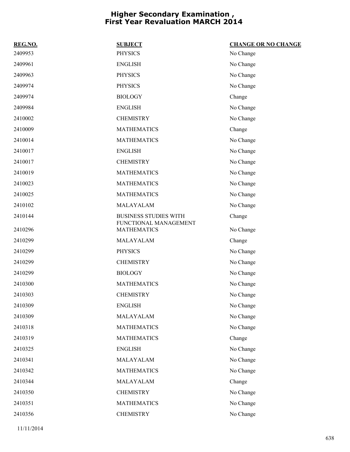| REG.NO. | <b>SUBJECT</b>                              | <b>CHANGE OR NO CHANGE</b> |
|---------|---------------------------------------------|----------------------------|
| 2409953 | <b>PHYSICS</b>                              | No Change                  |
| 2409961 | <b>ENGLISH</b>                              | No Change                  |
| 2409963 | <b>PHYSICS</b>                              | No Change                  |
| 2409974 | <b>PHYSICS</b>                              | No Change                  |
| 2409974 | <b>BIOLOGY</b>                              | Change                     |
| 2409984 | <b>ENGLISH</b>                              | No Change                  |
| 2410002 | <b>CHEMISTRY</b>                            | No Change                  |
| 2410009 | <b>MATHEMATICS</b>                          | Change                     |
| 2410014 | <b>MATHEMATICS</b>                          | No Change                  |
| 2410017 | <b>ENGLISH</b>                              | No Change                  |
| 2410017 | <b>CHEMISTRY</b>                            | No Change                  |
| 2410019 | <b>MATHEMATICS</b>                          | No Change                  |
| 2410023 | <b>MATHEMATICS</b>                          | No Change                  |
| 2410025 | <b>MATHEMATICS</b>                          | No Change                  |
| 2410102 | MALAYALAM                                   | No Change                  |
| 2410144 | <b>BUSINESS STUDIES WITH</b>                | Change                     |
| 2410296 | FUNCTIONAL MANAGEMENT<br><b>MATHEMATICS</b> | No Change                  |
| 2410299 | MALAYALAM                                   | Change                     |
| 2410299 | <b>PHYSICS</b>                              | No Change                  |
| 2410299 | <b>CHEMISTRY</b>                            | No Change                  |
| 2410299 | <b>BIOLOGY</b>                              | No Change                  |
| 2410300 | <b>MATHEMATICS</b>                          | No Change                  |
| 2410303 | <b>CHEMISTRY</b>                            | No Change                  |
| 2410309 | <b>ENGLISH</b>                              | No Change                  |
| 2410309 | MALAYALAM                                   | No Change                  |
| 2410318 | <b>MATHEMATICS</b>                          | No Change                  |
| 2410319 | <b>MATHEMATICS</b>                          | Change                     |
| 2410325 | <b>ENGLISH</b>                              | No Change                  |
| 2410341 | MALAYALAM                                   | No Change                  |
| 2410342 | <b>MATHEMATICS</b>                          | No Change                  |
| 2410344 | MALAYALAM                                   | Change                     |
| 2410350 | <b>CHEMISTRY</b>                            | No Change                  |
| 2410351 | <b>MATHEMATICS</b>                          | No Change                  |
| 2410356 | <b>CHEMISTRY</b>                            | No Change                  |
|         |                                             |                            |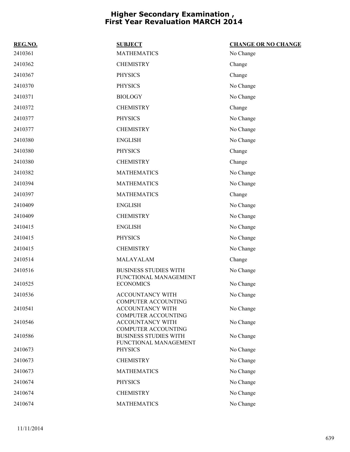| REG.NO. | <b>SUBJECT</b>                                                                      | <b>CHANGE OR NO CHANGE</b> |
|---------|-------------------------------------------------------------------------------------|----------------------------|
| 2410361 | <b>MATHEMATICS</b>                                                                  | No Change                  |
| 2410362 | <b>CHEMISTRY</b>                                                                    | Change                     |
| 2410367 | <b>PHYSICS</b>                                                                      | Change                     |
| 2410370 | <b>PHYSICS</b>                                                                      | No Change                  |
| 2410371 | <b>BIOLOGY</b>                                                                      | No Change                  |
| 2410372 | <b>CHEMISTRY</b>                                                                    | Change                     |
| 2410377 | <b>PHYSICS</b>                                                                      | No Change                  |
| 2410377 | <b>CHEMISTRY</b>                                                                    | No Change                  |
| 2410380 | <b>ENGLISH</b>                                                                      | No Change                  |
| 2410380 | <b>PHYSICS</b>                                                                      | Change                     |
| 2410380 | <b>CHEMISTRY</b>                                                                    | Change                     |
| 2410382 | <b>MATHEMATICS</b>                                                                  | No Change                  |
| 2410394 | <b>MATHEMATICS</b>                                                                  | No Change                  |
| 2410397 | <b>MATHEMATICS</b>                                                                  | Change                     |
| 2410409 | <b>ENGLISH</b>                                                                      | No Change                  |
| 2410409 | <b>CHEMISTRY</b>                                                                    | No Change                  |
| 2410415 | <b>ENGLISH</b>                                                                      | No Change                  |
| 2410415 | <b>PHYSICS</b>                                                                      | No Change                  |
| 2410415 | <b>CHEMISTRY</b>                                                                    | No Change                  |
| 2410514 | MALAYALAM                                                                           | Change                     |
| 2410516 | <b>BUSINESS STUDIES WITH</b>                                                        | No Change                  |
| 2410525 | FUNCTIONAL MANAGEMENT<br><b>ECONOMICS</b>                                           | No Change                  |
| 2410536 | <b>ACCOUNTANCY WITH</b>                                                             | No Change                  |
| 2410541 | <b>COMPUTER ACCOUNTING</b><br><b>ACCOUNTANCY WITH</b><br><b>COMPUTER ACCOUNTING</b> | No Change                  |
| 2410546 | <b>ACCOUNTANCY WITH</b><br><b>COMPUTER ACCOUNTING</b>                               | No Change                  |
| 2410586 | <b>BUSINESS STUDIES WITH</b><br>FUNCTIONAL MANAGEMENT                               | No Change                  |
| 2410673 | <b>PHYSICS</b>                                                                      | No Change                  |
| 2410673 | <b>CHEMISTRY</b>                                                                    | No Change                  |
| 2410673 | <b>MATHEMATICS</b>                                                                  | No Change                  |
| 2410674 | <b>PHYSICS</b>                                                                      | No Change                  |
| 2410674 | <b>CHEMISTRY</b>                                                                    | No Change                  |
| 2410674 | <b>MATHEMATICS</b>                                                                  | No Change                  |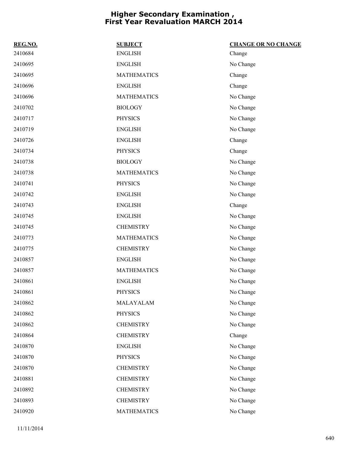| REG.NO. | <b>SUBJECT</b>     | <b>CHANGE OR NO CHANGE</b> |
|---------|--------------------|----------------------------|
| 2410684 | <b>ENGLISH</b>     | Change                     |
| 2410695 | <b>ENGLISH</b>     | No Change                  |
| 2410695 | <b>MATHEMATICS</b> | Change                     |
| 2410696 | <b>ENGLISH</b>     | Change                     |
| 2410696 | <b>MATHEMATICS</b> | No Change                  |
| 2410702 | <b>BIOLOGY</b>     | No Change                  |
| 2410717 | <b>PHYSICS</b>     | No Change                  |
| 2410719 | <b>ENGLISH</b>     | No Change                  |
| 2410726 | <b>ENGLISH</b>     | Change                     |
| 2410734 | <b>PHYSICS</b>     | Change                     |
| 2410738 | <b>BIOLOGY</b>     | No Change                  |
| 2410738 | <b>MATHEMATICS</b> | No Change                  |
| 2410741 | <b>PHYSICS</b>     | No Change                  |
| 2410742 | <b>ENGLISH</b>     | No Change                  |
| 2410743 | <b>ENGLISH</b>     | Change                     |
| 2410745 | <b>ENGLISH</b>     | No Change                  |
| 2410745 | <b>CHEMISTRY</b>   | No Change                  |
| 2410773 | <b>MATHEMATICS</b> | No Change                  |
| 2410775 | <b>CHEMISTRY</b>   | No Change                  |
| 2410857 | <b>ENGLISH</b>     | No Change                  |
| 2410857 | <b>MATHEMATICS</b> | No Change                  |
| 2410861 | <b>ENGLISH</b>     | No Change                  |
| 2410861 | <b>PHYSICS</b>     | No Change                  |
| 2410862 | MALAYALAM          | No Change                  |
| 2410862 | <b>PHYSICS</b>     | No Change                  |
| 2410862 | <b>CHEMISTRY</b>   | No Change                  |
| 2410864 | <b>CHEMISTRY</b>   | Change                     |
| 2410870 | <b>ENGLISH</b>     | No Change                  |
| 2410870 | <b>PHYSICS</b>     | No Change                  |
| 2410870 | <b>CHEMISTRY</b>   | No Change                  |
| 2410881 | <b>CHEMISTRY</b>   | No Change                  |
| 2410892 | <b>CHEMISTRY</b>   | No Change                  |
| 2410893 | <b>CHEMISTRY</b>   | No Change                  |
| 2410920 | <b>MATHEMATICS</b> | No Change                  |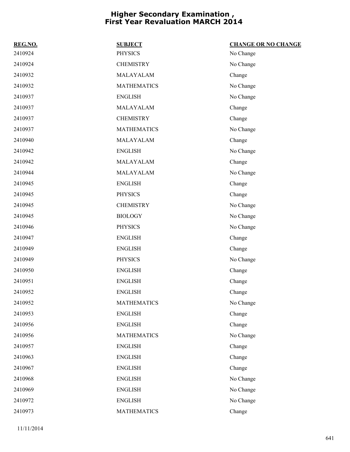| REG.NO. | <b>SUBJECT</b>     | <b>CHANGE OR NO CHANGE</b> |
|---------|--------------------|----------------------------|
| 2410924 | <b>PHYSICS</b>     | No Change                  |
| 2410924 | <b>CHEMISTRY</b>   | No Change                  |
| 2410932 | MALAYALAM          | Change                     |
| 2410932 | <b>MATHEMATICS</b> | No Change                  |
| 2410937 | <b>ENGLISH</b>     | No Change                  |
| 2410937 | MALAYALAM          | Change                     |
| 2410937 | <b>CHEMISTRY</b>   | Change                     |
| 2410937 | <b>MATHEMATICS</b> | No Change                  |
| 2410940 | MALAYALAM          | Change                     |
| 2410942 | <b>ENGLISH</b>     | No Change                  |
| 2410942 | MALAYALAM          | Change                     |
| 2410944 | MALAYALAM          | No Change                  |
| 2410945 | <b>ENGLISH</b>     | Change                     |
| 2410945 | <b>PHYSICS</b>     | Change                     |
| 2410945 | <b>CHEMISTRY</b>   | No Change                  |
| 2410945 | <b>BIOLOGY</b>     | No Change                  |
| 2410946 | <b>PHYSICS</b>     | No Change                  |
| 2410947 | <b>ENGLISH</b>     | Change                     |
| 2410949 | <b>ENGLISH</b>     | Change                     |
| 2410949 | <b>PHYSICS</b>     | No Change                  |
| 2410950 | <b>ENGLISH</b>     | Change                     |
| 2410951 | <b>ENGLISH</b>     | Change                     |
| 2410952 | <b>ENGLISH</b>     | Change                     |
| 2410952 | <b>MATHEMATICS</b> | No Change                  |
| 2410953 | <b>ENGLISH</b>     | Change                     |
| 2410956 | <b>ENGLISH</b>     | Change                     |
| 2410956 | <b>MATHEMATICS</b> | No Change                  |
| 2410957 | <b>ENGLISH</b>     | Change                     |
| 2410963 | <b>ENGLISH</b>     | Change                     |
| 2410967 | <b>ENGLISH</b>     | Change                     |
| 2410968 | <b>ENGLISH</b>     | No Change                  |
| 2410969 | <b>ENGLISH</b>     | No Change                  |
| 2410972 | <b>ENGLISH</b>     | No Change                  |
| 2410973 | <b>MATHEMATICS</b> | Change                     |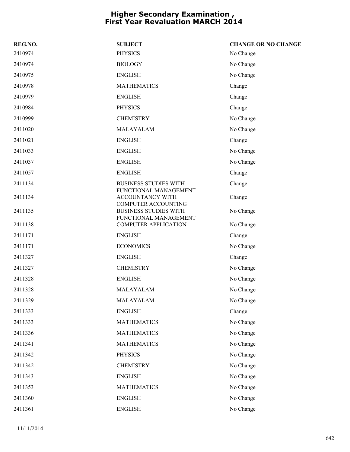| REG.NO. | <b>SUBJECT</b>                                                                      | <b>CHANGE OR NO CHANGE</b> |
|---------|-------------------------------------------------------------------------------------|----------------------------|
| 2410974 | <b>PHYSICS</b>                                                                      | No Change                  |
| 2410974 | <b>BIOLOGY</b>                                                                      | No Change                  |
| 2410975 | <b>ENGLISH</b>                                                                      | No Change                  |
| 2410978 | <b>MATHEMATICS</b>                                                                  | Change                     |
| 2410979 | <b>ENGLISH</b>                                                                      | Change                     |
| 2410984 | <b>PHYSICS</b>                                                                      | Change                     |
| 2410999 | <b>CHEMISTRY</b>                                                                    | No Change                  |
| 2411020 | MALAYALAM                                                                           | No Change                  |
| 2411021 | <b>ENGLISH</b>                                                                      | Change                     |
| 2411033 | <b>ENGLISH</b>                                                                      | No Change                  |
| 2411037 | <b>ENGLISH</b>                                                                      | No Change                  |
| 2411057 | <b>ENGLISH</b>                                                                      | Change                     |
| 2411134 | <b>BUSINESS STUDIES WITH</b><br>FUNCTIONAL MANAGEMENT                               | Change                     |
| 2411134 | <b>ACCOUNTANCY WITH</b>                                                             | Change                     |
| 2411135 | <b>COMPUTER ACCOUNTING</b><br><b>BUSINESS STUDIES WITH</b><br>FUNCTIONAL MANAGEMENT | No Change                  |
| 2411138 | <b>COMPUTER APPLICATION</b>                                                         | No Change                  |
| 2411171 | <b>ENGLISH</b>                                                                      | Change                     |
| 2411171 | <b>ECONOMICS</b>                                                                    | No Change                  |
| 2411327 | <b>ENGLISH</b>                                                                      | Change                     |
| 2411327 | <b>CHEMISTRY</b>                                                                    | No Change                  |
| 2411328 | <b>ENGLISH</b>                                                                      | No Change                  |
| 2411328 | MALAYALAM                                                                           | No Change                  |
| 2411329 | MALAYALAM                                                                           | No Change                  |
| 2411333 | <b>ENGLISH</b>                                                                      | Change                     |
| 2411333 | <b>MATHEMATICS</b>                                                                  | No Change                  |
| 2411336 | <b>MATHEMATICS</b>                                                                  | No Change                  |
| 2411341 | <b>MATHEMATICS</b>                                                                  | No Change                  |
| 2411342 | <b>PHYSICS</b>                                                                      | No Change                  |
| 2411342 | <b>CHEMISTRY</b>                                                                    | No Change                  |
| 2411343 | <b>ENGLISH</b>                                                                      | No Change                  |
| 2411353 | <b>MATHEMATICS</b>                                                                  | No Change                  |
| 2411360 | <b>ENGLISH</b>                                                                      | No Change                  |
| 2411361 | <b>ENGLISH</b>                                                                      | No Change                  |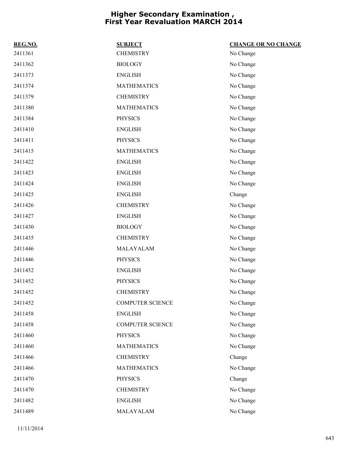| REG.NO. | <b>SUBJECT</b>          | <b>CHANGE OR NO CHANGE</b> |
|---------|-------------------------|----------------------------|
| 2411361 | <b>CHEMISTRY</b>        | No Change                  |
| 2411362 | <b>BIOLOGY</b>          | No Change                  |
| 2411373 | <b>ENGLISH</b>          | No Change                  |
| 2411374 | <b>MATHEMATICS</b>      | No Change                  |
| 2411379 | <b>CHEMISTRY</b>        | No Change                  |
| 2411380 | <b>MATHEMATICS</b>      | No Change                  |
| 2411384 | <b>PHYSICS</b>          | No Change                  |
| 2411410 | <b>ENGLISH</b>          | No Change                  |
| 2411411 | <b>PHYSICS</b>          | No Change                  |
| 2411415 | <b>MATHEMATICS</b>      | No Change                  |
| 2411422 | <b>ENGLISH</b>          | No Change                  |
| 2411423 | <b>ENGLISH</b>          | No Change                  |
| 2411424 | <b>ENGLISH</b>          | No Change                  |
| 2411425 | <b>ENGLISH</b>          | Change                     |
| 2411426 | <b>CHEMISTRY</b>        | No Change                  |
| 2411427 | <b>ENGLISH</b>          | No Change                  |
| 2411430 | <b>BIOLOGY</b>          | No Change                  |
| 2411435 | <b>CHEMISTRY</b>        | No Change                  |
| 2411446 | MALAYALAM               | No Change                  |
| 2411446 | <b>PHYSICS</b>          | No Change                  |
| 2411452 | <b>ENGLISH</b>          | No Change                  |
| 2411452 | <b>PHYSICS</b>          | No Change                  |
| 2411452 | <b>CHEMISTRY</b>        | No Change                  |
| 2411452 | <b>COMPUTER SCIENCE</b> | No Change                  |
| 2411458 | <b>ENGLISH</b>          | No Change                  |
| 2411458 | <b>COMPUTER SCIENCE</b> | No Change                  |
| 2411460 | <b>PHYSICS</b>          | No Change                  |
| 2411460 | <b>MATHEMATICS</b>      | No Change                  |
| 2411466 | <b>CHEMISTRY</b>        | Change                     |
| 2411466 | <b>MATHEMATICS</b>      | No Change                  |
| 2411470 | <b>PHYSICS</b>          | Change                     |
| 2411470 | <b>CHEMISTRY</b>        | No Change                  |
| 2411482 | <b>ENGLISH</b>          | No Change                  |
| 2411489 | MALAYALAM               | No Change                  |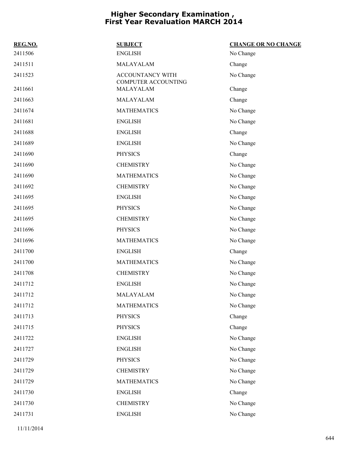| REG.NO. | <b>SUBJECT</b>                          | <b>CHANGE OR NO CHANGE</b> |
|---------|-----------------------------------------|----------------------------|
| 2411506 | <b>ENGLISH</b>                          | No Change                  |
| 2411511 | MALAYALAM                               | Change                     |
| 2411523 | ACCOUNTANCY WITH<br>COMPUTER ACCOUNTING | No Change                  |
| 2411661 | MALAYALAM                               | Change                     |
| 2411663 | MALAYALAM                               | Change                     |
| 2411674 | <b>MATHEMATICS</b>                      | No Change                  |
| 2411681 | <b>ENGLISH</b>                          | No Change                  |
| 2411688 | <b>ENGLISH</b>                          | Change                     |
| 2411689 | <b>ENGLISH</b>                          | No Change                  |
| 2411690 | <b>PHYSICS</b>                          | Change                     |
| 2411690 | <b>CHEMISTRY</b>                        | No Change                  |
| 2411690 | <b>MATHEMATICS</b>                      | No Change                  |
| 2411692 | <b>CHEMISTRY</b>                        | No Change                  |
| 2411695 | <b>ENGLISH</b>                          | No Change                  |
| 2411695 | <b>PHYSICS</b>                          | No Change                  |
| 2411695 | <b>CHEMISTRY</b>                        | No Change                  |
| 2411696 | <b>PHYSICS</b>                          | No Change                  |
| 2411696 | <b>MATHEMATICS</b>                      | No Change                  |
| 2411700 | <b>ENGLISH</b>                          | Change                     |
| 2411700 | <b>MATHEMATICS</b>                      | No Change                  |
| 2411708 | <b>CHEMISTRY</b>                        | No Change                  |
| 2411712 | <b>ENGLISH</b>                          | No Change                  |
| 2411712 | MALAYALAM                               | No Change                  |
| 2411712 | <b>MATHEMATICS</b>                      | No Change                  |
| 2411713 | <b>PHYSICS</b>                          | Change                     |
| 2411715 | <b>PHYSICS</b>                          | Change                     |
| 2411722 | <b>ENGLISH</b>                          | No Change                  |
| 2411727 | <b>ENGLISH</b>                          | No Change                  |
| 2411729 | <b>PHYSICS</b>                          | No Change                  |
| 2411729 | <b>CHEMISTRY</b>                        | No Change                  |
| 2411729 | <b>MATHEMATICS</b>                      | No Change                  |
| 2411730 | <b>ENGLISH</b>                          | Change                     |
| 2411730 | <b>CHEMISTRY</b>                        | No Change                  |
| 2411731 | <b>ENGLISH</b>                          | No Change                  |
|         |                                         |                            |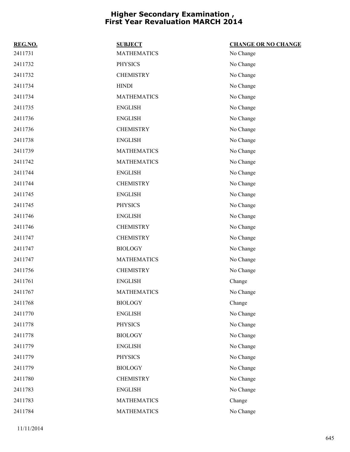| REG.NO. | <b>SUBJECT</b>     | <b>CHANGE OR NO CHANGE</b> |
|---------|--------------------|----------------------------|
| 2411731 | <b>MATHEMATICS</b> | No Change                  |
| 2411732 | <b>PHYSICS</b>     | No Change                  |
| 2411732 | <b>CHEMISTRY</b>   | No Change                  |
| 2411734 | <b>HINDI</b>       | No Change                  |
| 2411734 | <b>MATHEMATICS</b> | No Change                  |
| 2411735 | <b>ENGLISH</b>     | No Change                  |
| 2411736 | <b>ENGLISH</b>     | No Change                  |
| 2411736 | <b>CHEMISTRY</b>   | No Change                  |
| 2411738 | <b>ENGLISH</b>     | No Change                  |
| 2411739 | <b>MATHEMATICS</b> | No Change                  |
| 2411742 | <b>MATHEMATICS</b> | No Change                  |
| 2411744 | <b>ENGLISH</b>     | No Change                  |
| 2411744 | <b>CHEMISTRY</b>   | No Change                  |
| 2411745 | <b>ENGLISH</b>     | No Change                  |
| 2411745 | <b>PHYSICS</b>     | No Change                  |
| 2411746 | <b>ENGLISH</b>     | No Change                  |
| 2411746 | <b>CHEMISTRY</b>   | No Change                  |
| 2411747 | <b>CHEMISTRY</b>   | No Change                  |
| 2411747 | <b>BIOLOGY</b>     | No Change                  |
| 2411747 | <b>MATHEMATICS</b> | No Change                  |
| 2411756 | <b>CHEMISTRY</b>   | No Change                  |
| 2411761 | <b>ENGLISH</b>     | Change                     |
| 2411767 | <b>MATHEMATICS</b> | No Change                  |
| 2411768 | <b>BIOLOGY</b>     | Change                     |
| 2411770 | <b>ENGLISH</b>     | No Change                  |
| 2411778 | <b>PHYSICS</b>     | No Change                  |
| 2411778 | <b>BIOLOGY</b>     | No Change                  |
| 2411779 | <b>ENGLISH</b>     | No Change                  |
| 2411779 | <b>PHYSICS</b>     | No Change                  |
| 2411779 | <b>BIOLOGY</b>     | No Change                  |
| 2411780 | <b>CHEMISTRY</b>   | No Change                  |
| 2411783 | <b>ENGLISH</b>     | No Change                  |
| 2411783 | <b>MATHEMATICS</b> | Change                     |
| 2411784 | <b>MATHEMATICS</b> | No Change                  |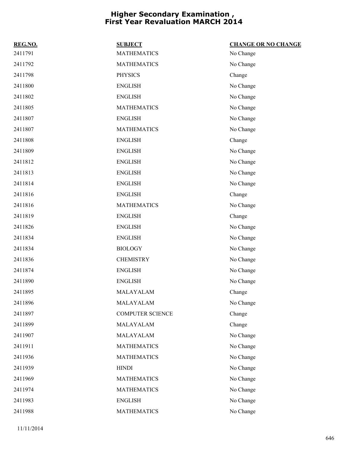| REG.NO. | <b>SUBJECT</b>          | <b>CHANGE OR NO CHANGE</b> |
|---------|-------------------------|----------------------------|
| 2411791 | <b>MATHEMATICS</b>      | No Change                  |
| 2411792 | <b>MATHEMATICS</b>      | No Change                  |
| 2411798 | <b>PHYSICS</b>          | Change                     |
| 2411800 | <b>ENGLISH</b>          | No Change                  |
| 2411802 | <b>ENGLISH</b>          | No Change                  |
| 2411805 | <b>MATHEMATICS</b>      | No Change                  |
| 2411807 | <b>ENGLISH</b>          | No Change                  |
| 2411807 | <b>MATHEMATICS</b>      | No Change                  |
| 2411808 | <b>ENGLISH</b>          | Change                     |
| 2411809 | <b>ENGLISH</b>          | No Change                  |
| 2411812 | <b>ENGLISH</b>          | No Change                  |
| 2411813 | <b>ENGLISH</b>          | No Change                  |
| 2411814 | <b>ENGLISH</b>          | No Change                  |
| 2411816 | <b>ENGLISH</b>          | Change                     |
| 2411816 | <b>MATHEMATICS</b>      | No Change                  |
| 2411819 | <b>ENGLISH</b>          | Change                     |
| 2411826 | <b>ENGLISH</b>          | No Change                  |
| 2411834 | <b>ENGLISH</b>          | No Change                  |
| 2411834 | <b>BIOLOGY</b>          | No Change                  |
| 2411836 | <b>CHEMISTRY</b>        | No Change                  |
| 2411874 | <b>ENGLISH</b>          | No Change                  |
| 2411890 | <b>ENGLISH</b>          | No Change                  |
| 2411895 | MALAYALAM               | Change                     |
| 2411896 | MALAYALAM               | No Change                  |
| 2411897 | <b>COMPUTER SCIENCE</b> | Change                     |
| 2411899 | MALAYALAM               | Change                     |
| 2411907 | MALAYALAM               | No Change                  |
| 2411911 | <b>MATHEMATICS</b>      | No Change                  |
| 2411936 | <b>MATHEMATICS</b>      | No Change                  |
| 2411939 | <b>HINDI</b>            | No Change                  |
| 2411969 | <b>MATHEMATICS</b>      | No Change                  |
| 2411974 | <b>MATHEMATICS</b>      | No Change                  |
| 2411983 | <b>ENGLISH</b>          | No Change                  |
| 2411988 | <b>MATHEMATICS</b>      | No Change                  |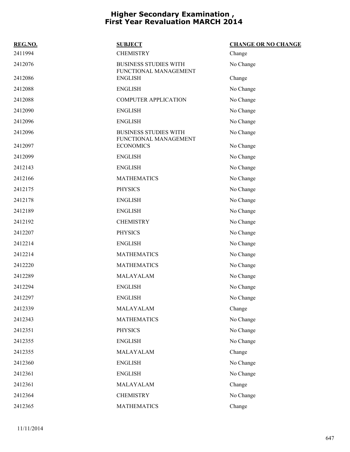| REG.NO. | <b>SUBJECT</b>                                        | <b>CHANGE OR NO CHANGE</b> |
|---------|-------------------------------------------------------|----------------------------|
| 2411994 | <b>CHEMISTRY</b>                                      | Change                     |
| 2412076 | <b>BUSINESS STUDIES WITH</b><br>FUNCTIONAL MANAGEMENT | No Change                  |
| 2412086 | <b>ENGLISH</b>                                        | Change                     |
| 2412088 | <b>ENGLISH</b>                                        | No Change                  |
| 2412088 | <b>COMPUTER APPLICATION</b>                           | No Change                  |
| 2412090 | <b>ENGLISH</b>                                        | No Change                  |
| 2412096 | <b>ENGLISH</b>                                        | No Change                  |
| 2412096 | <b>BUSINESS STUDIES WITH</b><br>FUNCTIONAL MANAGEMENT | No Change                  |
| 2412097 | <b>ECONOMICS</b>                                      | No Change                  |
| 2412099 | <b>ENGLISH</b>                                        | No Change                  |
| 2412143 | <b>ENGLISH</b>                                        | No Change                  |
| 2412166 | <b>MATHEMATICS</b>                                    | No Change                  |
| 2412175 | <b>PHYSICS</b>                                        | No Change                  |
| 2412178 | <b>ENGLISH</b>                                        | No Change                  |
| 2412189 | <b>ENGLISH</b>                                        | No Change                  |
| 2412192 | <b>CHEMISTRY</b>                                      | No Change                  |
| 2412207 | <b>PHYSICS</b>                                        | No Change                  |
| 2412214 | <b>ENGLISH</b>                                        | No Change                  |
| 2412214 | <b>MATHEMATICS</b>                                    | No Change                  |
| 2412220 | <b>MATHEMATICS</b>                                    | No Change                  |
| 2412289 | MALAYALAM                                             | No Change                  |
| 2412294 | <b>ENGLISH</b>                                        | No Change                  |
| 2412297 | <b>ENGLISH</b>                                        | No Change                  |
| 2412339 | MALAYALAM                                             | Change                     |
| 2412343 | <b>MATHEMATICS</b>                                    | No Change                  |
| 2412351 | <b>PHYSICS</b>                                        | No Change                  |
| 2412355 | <b>ENGLISH</b>                                        | No Change                  |
| 2412355 | MALAYALAM                                             | Change                     |
| 2412360 | <b>ENGLISH</b>                                        | No Change                  |
| 2412361 | <b>ENGLISH</b>                                        | No Change                  |
| 2412361 | MALAYALAM                                             | Change                     |
| 2412364 | <b>CHEMISTRY</b>                                      | No Change                  |
| 2412365 | <b>MATHEMATICS</b>                                    | Change                     |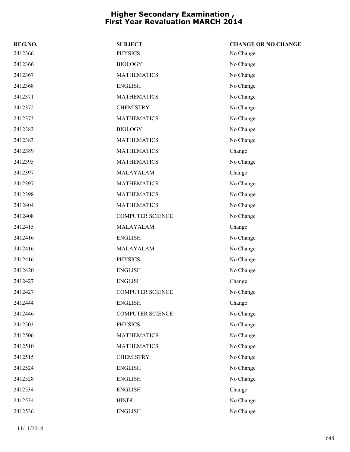| REG.NO. | <b>SUBJECT</b>          | <b>CHANGE OR NO CHANGE</b> |
|---------|-------------------------|----------------------------|
| 2412366 | <b>PHYSICS</b>          | No Change                  |
| 2412366 | <b>BIOLOGY</b>          | No Change                  |
| 2412367 | <b>MATHEMATICS</b>      | No Change                  |
| 2412368 | <b>ENGLISH</b>          | No Change                  |
| 2412371 | <b>MATHEMATICS</b>      | No Change                  |
| 2412372 | <b>CHEMISTRY</b>        | No Change                  |
| 2412373 | <b>MATHEMATICS</b>      | No Change                  |
| 2412383 | <b>BIOLOGY</b>          | No Change                  |
| 2412383 | <b>MATHEMATICS</b>      | No Change                  |
| 2412389 | <b>MATHEMATICS</b>      | Change                     |
| 2412395 | <b>MATHEMATICS</b>      | No Change                  |
| 2412397 | MALAYALAM               | Change                     |
| 2412397 | <b>MATHEMATICS</b>      | No Change                  |
| 2412398 | <b>MATHEMATICS</b>      | No Change                  |
| 2412404 | <b>MATHEMATICS</b>      | No Change                  |
| 2412408 | <b>COMPUTER SCIENCE</b> | No Change                  |
| 2412415 | MALAYALAM               | Change                     |
| 2412416 | <b>ENGLISH</b>          | No Change                  |
| 2412416 | MALAYALAM               | No Change                  |
| 2412416 | <b>PHYSICS</b>          | No Change                  |
| 2412420 | <b>ENGLISH</b>          | No Change                  |
| 2412427 | <b>ENGLISH</b>          | Change                     |
| 2412427 | <b>COMPUTER SCIENCE</b> | No Change                  |
| 2412444 | <b>ENGLISH</b>          | Change                     |
| 2412446 | <b>COMPUTER SCIENCE</b> | No Change                  |
| 2412503 | <b>PHYSICS</b>          | No Change                  |
| 2412506 | <b>MATHEMATICS</b>      | No Change                  |
| 2412510 | <b>MATHEMATICS</b>      | No Change                  |
| 2412515 | <b>CHEMISTRY</b>        | No Change                  |
| 2412524 | <b>ENGLISH</b>          | No Change                  |
| 2412528 | <b>ENGLISH</b>          | No Change                  |
| 2412534 | <b>ENGLISH</b>          | Change                     |
| 2412534 | <b>HINDI</b>            | No Change                  |
| 2412536 | <b>ENGLISH</b>          | No Change                  |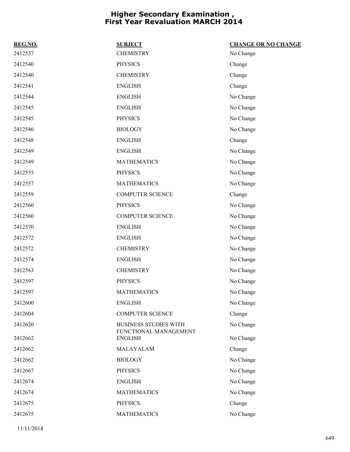| REG.NO. | <b>SUBJECT</b>                                        | <b>CHANGE OR NO CHANGE</b> |
|---------|-------------------------------------------------------|----------------------------|
| 2412537 | <b>CHEMISTRY</b>                                      | No Change                  |
| 2412540 | <b>PHYSICS</b>                                        | Change                     |
| 2412540 | <b>CHEMISTRY</b>                                      | Change                     |
| 2412541 | <b>ENGLISH</b>                                        | Change                     |
| 2412544 | <b>ENGLISH</b>                                        | No Change                  |
| 2412545 | <b>ENGLISH</b>                                        | No Change                  |
| 2412545 | <b>PHYSICS</b>                                        | No Change                  |
| 2412546 | <b>BIOLOGY</b>                                        | No Change                  |
| 2412548 | <b>ENGLISH</b>                                        | Change                     |
| 2412549 | <b>ENGLISH</b>                                        | No Change                  |
| 2412549 | <b>MATHEMATICS</b>                                    | No Change                  |
| 2412555 | <b>PHYSICS</b>                                        | No Change                  |
| 2412557 | <b>MATHEMATICS</b>                                    | No Change                  |
| 2412559 | <b>COMPUTER SCIENCE</b>                               | Change                     |
| 2412560 | <b>PHYSICS</b>                                        | No Change                  |
| 2412560 | <b>COMPUTER SCIENCE</b>                               | No Change                  |
| 2412570 | <b>ENGLISH</b>                                        | No Change                  |
| 2412572 | <b>ENGLISH</b>                                        | No Change                  |
| 2412572 | <b>CHEMISTRY</b>                                      | No Change                  |
| 2412574 | <b>ENGLISH</b>                                        | No Change                  |
| 2412583 | <b>CHEMISTRY</b>                                      | No Change                  |
| 2412597 | <b>PHYSICS</b>                                        | No Change                  |
| 2412597 | <b>MATHEMATICS</b>                                    | No Change                  |
| 2412600 | <b>ENGLISH</b>                                        | No Change                  |
| 2412604 | <b>COMPUTER SCIENCE</b>                               | Change                     |
| 2412620 | <b>BUSINESS STUDIES WITH</b><br>FUNCTIONAL MANAGEMENT | No Change                  |
| 2412662 | <b>ENGLISH</b>                                        | No Change                  |
| 2412662 | MALAYALAM                                             | Change                     |
| 2412662 | <b>BIOLOGY</b>                                        | No Change                  |
| 2412667 | <b>PHYSICS</b>                                        | No Change                  |
| 2412674 | <b>ENGLISH</b>                                        | No Change                  |
| 2412674 | <b>MATHEMATICS</b>                                    | No Change                  |
| 2412675 | <b>PHYSICS</b>                                        | Change                     |
| 2412675 | <b>MATHEMATICS</b>                                    | No Change                  |
|         |                                                       |                            |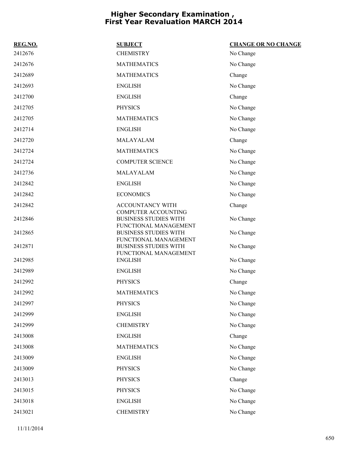| REG.NO. | <b>SUBJECT</b>                                        | <b>CHANGE OR NO CHANGE</b> |
|---------|-------------------------------------------------------|----------------------------|
| 2412676 | <b>CHEMISTRY</b>                                      | No Change                  |
| 2412676 | <b>MATHEMATICS</b>                                    | No Change                  |
| 2412689 | <b>MATHEMATICS</b>                                    | Change                     |
| 2412693 | <b>ENGLISH</b>                                        | No Change                  |
| 2412700 | <b>ENGLISH</b>                                        | Change                     |
| 2412705 | <b>PHYSICS</b>                                        | No Change                  |
| 2412705 | <b>MATHEMATICS</b>                                    | No Change                  |
| 2412714 | <b>ENGLISH</b>                                        | No Change                  |
| 2412720 | MALAYALAM                                             | Change                     |
| 2412724 | <b>MATHEMATICS</b>                                    | No Change                  |
| 2412724 | <b>COMPUTER SCIENCE</b>                               | No Change                  |
| 2412736 | MALAYALAM                                             | No Change                  |
| 2412842 | <b>ENGLISH</b>                                        | No Change                  |
| 2412842 | <b>ECONOMICS</b>                                      | No Change                  |
| 2412842 | ACCOUNTANCY WITH<br><b>COMPUTER ACCOUNTING</b>        | Change                     |
| 2412846 | <b>BUSINESS STUDIES WITH</b><br>FUNCTIONAL MANAGEMENT | No Change                  |
| 2412865 | <b>BUSINESS STUDIES WITH</b><br>FUNCTIONAL MANAGEMENT | No Change                  |
| 2412871 | <b>BUSINESS STUDIES WITH</b>                          | No Change                  |
| 2412985 | FUNCTIONAL MANAGEMENT<br><b>ENGLISH</b>               | No Change                  |
| 2412989 | <b>ENGLISH</b>                                        | No Change                  |
| 2412992 | <b>PHYSICS</b>                                        | Change                     |
| 2412992 | <b>MATHEMATICS</b>                                    | No Change                  |
| 2412997 | <b>PHYSICS</b>                                        | No Change                  |
| 2412999 | <b>ENGLISH</b>                                        | No Change                  |
| 2412999 | <b>CHEMISTRY</b>                                      | No Change                  |
| 2413008 | <b>ENGLISH</b>                                        | Change                     |
| 2413008 | <b>MATHEMATICS</b>                                    | No Change                  |
| 2413009 | <b>ENGLISH</b>                                        | No Change                  |
| 2413009 | <b>PHYSICS</b>                                        | No Change                  |
| 2413013 | <b>PHYSICS</b>                                        | Change                     |
| 2413015 | <b>PHYSICS</b>                                        | No Change                  |
| 2413018 | <b>ENGLISH</b>                                        | No Change                  |
| 2413021 | <b>CHEMISTRY</b>                                      | No Change                  |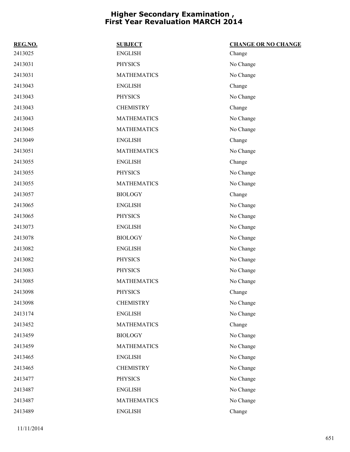| REG.NO. | <b>SUBJECT</b>     | <b>CHANGE OR NO CHANGE</b> |
|---------|--------------------|----------------------------|
| 2413025 | <b>ENGLISH</b>     | Change                     |
| 2413031 | <b>PHYSICS</b>     | No Change                  |
| 2413031 | <b>MATHEMATICS</b> | No Change                  |
| 2413043 | <b>ENGLISH</b>     | Change                     |
| 2413043 | <b>PHYSICS</b>     | No Change                  |
| 2413043 | <b>CHEMISTRY</b>   | Change                     |
| 2413043 | <b>MATHEMATICS</b> | No Change                  |
| 2413045 | <b>MATHEMATICS</b> | No Change                  |
| 2413049 | <b>ENGLISH</b>     | Change                     |
| 2413051 | <b>MATHEMATICS</b> | No Change                  |
| 2413055 | <b>ENGLISH</b>     | Change                     |
| 2413055 | <b>PHYSICS</b>     | No Change                  |
| 2413055 | <b>MATHEMATICS</b> | No Change                  |
| 2413057 | <b>BIOLOGY</b>     | Change                     |
| 2413065 | <b>ENGLISH</b>     | No Change                  |
| 2413065 | <b>PHYSICS</b>     | No Change                  |
| 2413073 | <b>ENGLISH</b>     | No Change                  |
| 2413078 | <b>BIOLOGY</b>     | No Change                  |
| 2413082 | <b>ENGLISH</b>     | No Change                  |
| 2413082 | <b>PHYSICS</b>     | No Change                  |
| 2413083 | <b>PHYSICS</b>     | No Change                  |
| 2413085 | <b>MATHEMATICS</b> | No Change                  |
| 2413098 | <b>PHYSICS</b>     | Change                     |
| 2413098 | <b>CHEMISTRY</b>   | No Change                  |
| 2413174 | <b>ENGLISH</b>     | No Change                  |
| 2413452 | <b>MATHEMATICS</b> | Change                     |
| 2413459 | <b>BIOLOGY</b>     | No Change                  |
| 2413459 | <b>MATHEMATICS</b> | No Change                  |
| 2413465 | <b>ENGLISH</b>     | No Change                  |
| 2413465 | <b>CHEMISTRY</b>   | No Change                  |
| 2413477 | <b>PHYSICS</b>     | No Change                  |
| 2413487 | <b>ENGLISH</b>     | No Change                  |
| 2413487 | <b>MATHEMATICS</b> | No Change                  |
| 2413489 | <b>ENGLISH</b>     | Change                     |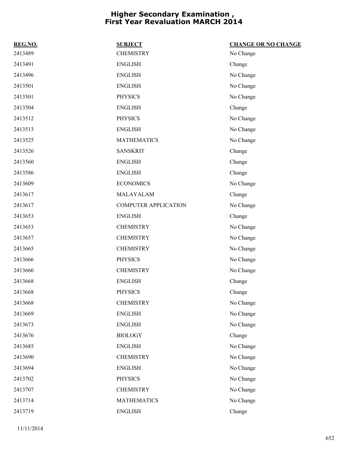| REG.NO. | <b>SUBJECT</b>              | <b>CHANGE OR NO CHANGE</b> |
|---------|-----------------------------|----------------------------|
| 2413489 | <b>CHEMISTRY</b>            | No Change                  |
| 2413491 | <b>ENGLISH</b>              | Change                     |
| 2413496 | <b>ENGLISH</b>              | No Change                  |
| 2413501 | <b>ENGLISH</b>              | No Change                  |
| 2413501 | <b>PHYSICS</b>              | No Change                  |
| 2413504 | <b>ENGLISH</b>              | Change                     |
| 2413512 | <b>PHYSICS</b>              | No Change                  |
| 2413513 | <b>ENGLISH</b>              | No Change                  |
| 2413525 | <b>MATHEMATICS</b>          | No Change                  |
| 2413526 | <b>SANSKRIT</b>             | Change                     |
| 2413560 | <b>ENGLISH</b>              | Change                     |
| 2413586 | <b>ENGLISH</b>              | Change                     |
| 2413609 | <b>ECONOMICS</b>            | No Change                  |
| 2413617 | MALAYALAM                   | Change                     |
| 2413617 | <b>COMPUTER APPLICATION</b> | No Change                  |
| 2413653 | <b>ENGLISH</b>              | Change                     |
| 2413653 | <b>CHEMISTRY</b>            | No Change                  |
| 2413657 | <b>CHEMISTRY</b>            | No Change                  |
| 2413665 | <b>CHEMISTRY</b>            | No Change                  |
| 2413666 | <b>PHYSICS</b>              | No Change                  |
| 2413666 | <b>CHEMISTRY</b>            | No Change                  |
| 2413668 | <b>ENGLISH</b>              | Change                     |
| 2413668 | <b>PHYSICS</b>              | Change                     |
| 2413668 | <b>CHEMISTRY</b>            | No Change                  |
| 2413669 | <b>ENGLISH</b>              | No Change                  |
| 2413673 | <b>ENGLISH</b>              | No Change                  |
| 2413676 | <b>BIOLOGY</b>              | Change                     |
| 2413685 | <b>ENGLISH</b>              | No Change                  |
| 2413690 | <b>CHEMISTRY</b>            | No Change                  |
| 2413694 | <b>ENGLISH</b>              | No Change                  |
| 2413702 | <b>PHYSICS</b>              | No Change                  |
| 2413707 | <b>CHEMISTRY</b>            | No Change                  |
| 2413714 | <b>MATHEMATICS</b>          | No Change                  |
| 2413719 | <b>ENGLISH</b>              | Change                     |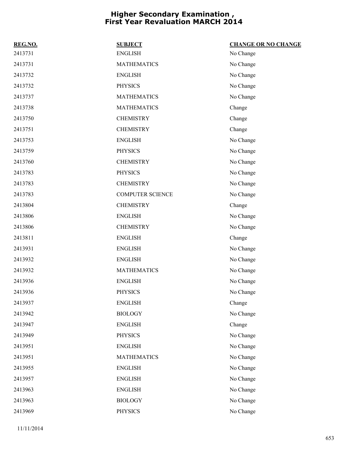| REG.NO. | <b>SUBJECT</b>          | <b>CHANGE OR NO CHANGE</b> |
|---------|-------------------------|----------------------------|
| 2413731 | <b>ENGLISH</b>          | No Change                  |
| 2413731 | <b>MATHEMATICS</b>      | No Change                  |
| 2413732 | <b>ENGLISH</b>          | No Change                  |
| 2413732 | <b>PHYSICS</b>          | No Change                  |
| 2413737 | <b>MATHEMATICS</b>      | No Change                  |
| 2413738 | <b>MATHEMATICS</b>      | Change                     |
| 2413750 | <b>CHEMISTRY</b>        | Change                     |
| 2413751 | <b>CHEMISTRY</b>        | Change                     |
| 2413753 | <b>ENGLISH</b>          | No Change                  |
| 2413759 | <b>PHYSICS</b>          | No Change                  |
| 2413760 | <b>CHEMISTRY</b>        | No Change                  |
| 2413783 | <b>PHYSICS</b>          | No Change                  |
| 2413783 | <b>CHEMISTRY</b>        | No Change                  |
| 2413783 | <b>COMPUTER SCIENCE</b> | No Change                  |
| 2413804 | <b>CHEMISTRY</b>        | Change                     |
| 2413806 | <b>ENGLISH</b>          | No Change                  |
| 2413806 | <b>CHEMISTRY</b>        | No Change                  |
| 2413811 | <b>ENGLISH</b>          | Change                     |
| 2413931 | <b>ENGLISH</b>          | No Change                  |
| 2413932 | <b>ENGLISH</b>          | No Change                  |
| 2413932 | <b>MATHEMATICS</b>      | No Change                  |
| 2413936 | <b>ENGLISH</b>          | No Change                  |
| 2413936 | <b>PHYSICS</b>          | No Change                  |
| 2413937 | <b>ENGLISH</b>          | Change                     |
| 2413942 | <b>BIOLOGY</b>          | No Change                  |
| 2413947 | <b>ENGLISH</b>          | Change                     |
| 2413949 | <b>PHYSICS</b>          | No Change                  |
| 2413951 | <b>ENGLISH</b>          | No Change                  |
| 2413951 | <b>MATHEMATICS</b>      | No Change                  |
| 2413955 | <b>ENGLISH</b>          | No Change                  |
| 2413957 | <b>ENGLISH</b>          | No Change                  |
| 2413963 | <b>ENGLISH</b>          | No Change                  |
| 2413963 | <b>BIOLOGY</b>          | No Change                  |
| 2413969 | <b>PHYSICS</b>          | No Change                  |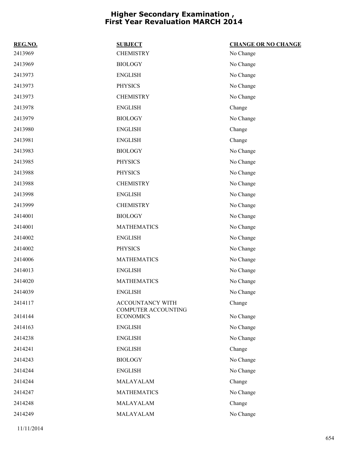| REG.NO. | <b>SUBJECT</b>                          | <b>CHANGE OR NO CHANGE</b> |
|---------|-----------------------------------------|----------------------------|
| 2413969 | <b>CHEMISTRY</b>                        | No Change                  |
| 2413969 | <b>BIOLOGY</b>                          | No Change                  |
| 2413973 | <b>ENGLISH</b>                          | No Change                  |
| 2413973 | <b>PHYSICS</b>                          | No Change                  |
| 2413973 | <b>CHEMISTRY</b>                        | No Change                  |
| 2413978 | <b>ENGLISH</b>                          | Change                     |
| 2413979 | <b>BIOLOGY</b>                          | No Change                  |
| 2413980 | <b>ENGLISH</b>                          | Change                     |
| 2413981 | <b>ENGLISH</b>                          | Change                     |
| 2413983 | <b>BIOLOGY</b>                          | No Change                  |
| 2413985 | <b>PHYSICS</b>                          | No Change                  |
| 2413988 | <b>PHYSICS</b>                          | No Change                  |
| 2413988 | <b>CHEMISTRY</b>                        | No Change                  |
| 2413998 | <b>ENGLISH</b>                          | No Change                  |
| 2413999 | <b>CHEMISTRY</b>                        | No Change                  |
| 2414001 | <b>BIOLOGY</b>                          | No Change                  |
| 2414001 | <b>MATHEMATICS</b>                      | No Change                  |
| 2414002 | <b>ENGLISH</b>                          | No Change                  |
| 2414002 | <b>PHYSICS</b>                          | No Change                  |
| 2414006 | <b>MATHEMATICS</b>                      | No Change                  |
| 2414013 | <b>ENGLISH</b>                          | No Change                  |
| 2414020 | <b>MATHEMATICS</b>                      | No Change                  |
| 2414039 | <b>ENGLISH</b>                          | No Change                  |
| 2414117 | ACCOUNTANCY WITH<br>COMPUTER ACCOUNTING | Change                     |
| 2414144 | <b>ECONOMICS</b>                        | No Change                  |
| 2414163 | <b>ENGLISH</b>                          | No Change                  |
| 2414238 | <b>ENGLISH</b>                          | No Change                  |
| 2414241 | <b>ENGLISH</b>                          | Change                     |
| 2414243 | <b>BIOLOGY</b>                          | No Change                  |
| 2414244 | <b>ENGLISH</b>                          | No Change                  |
| 2414244 | MALAYALAM                               | Change                     |
| 2414247 | <b>MATHEMATICS</b>                      | No Change                  |
| 2414248 | MALAYALAM                               | Change                     |
| 2414249 | MALAYALAM                               | No Change                  |
|         |                                         |                            |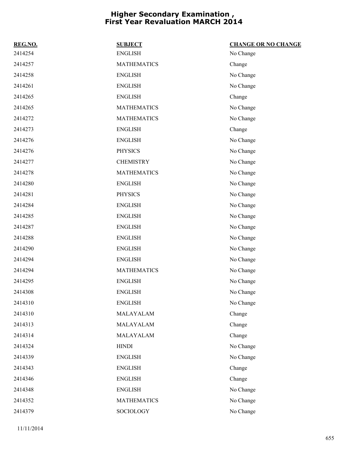| REG.NO. | <b>SUBJECT</b>     | <b>CHANGE OR NO CHANGE</b> |
|---------|--------------------|----------------------------|
| 2414254 | <b>ENGLISH</b>     | No Change                  |
| 2414257 | <b>MATHEMATICS</b> | Change                     |
| 2414258 | <b>ENGLISH</b>     | No Change                  |
| 2414261 | <b>ENGLISH</b>     | No Change                  |
| 2414265 | <b>ENGLISH</b>     | Change                     |
| 2414265 | <b>MATHEMATICS</b> | No Change                  |
| 2414272 | <b>MATHEMATICS</b> | No Change                  |
| 2414273 | <b>ENGLISH</b>     | Change                     |
| 2414276 | <b>ENGLISH</b>     | No Change                  |
| 2414276 | <b>PHYSICS</b>     | No Change                  |
| 2414277 | <b>CHEMISTRY</b>   | No Change                  |
| 2414278 | <b>MATHEMATICS</b> | No Change                  |
| 2414280 | <b>ENGLISH</b>     | No Change                  |
| 2414281 | <b>PHYSICS</b>     | No Change                  |
| 2414284 | <b>ENGLISH</b>     | No Change                  |
| 2414285 | <b>ENGLISH</b>     | No Change                  |
| 2414287 | <b>ENGLISH</b>     | No Change                  |
| 2414288 | <b>ENGLISH</b>     | No Change                  |
| 2414290 | <b>ENGLISH</b>     | No Change                  |
| 2414294 | <b>ENGLISH</b>     | No Change                  |
| 2414294 | <b>MATHEMATICS</b> | No Change                  |
| 2414295 | <b>ENGLISH</b>     | No Change                  |
| 2414308 | <b>ENGLISH</b>     | No Change                  |
| 2414310 | <b>ENGLISH</b>     | No Change                  |
| 2414310 | MALAYALAM          | Change                     |
| 2414313 | MALAYALAM          | Change                     |
| 2414314 | MALAYALAM          | Change                     |
| 2414324 | <b>HINDI</b>       | No Change                  |
| 2414339 | <b>ENGLISH</b>     | No Change                  |
| 2414343 | <b>ENGLISH</b>     | Change                     |
| 2414346 | <b>ENGLISH</b>     | Change                     |
| 2414348 | <b>ENGLISH</b>     | No Change                  |
| 2414352 | <b>MATHEMATICS</b> | No Change                  |
| 2414379 | SOCIOLOGY          | No Change                  |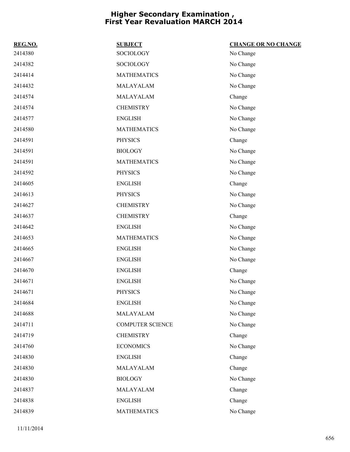| REG.NO. | <b>SUBJECT</b>          | <b>CHANGE OR NO CHANGE</b> |
|---------|-------------------------|----------------------------|
| 2414380 | SOCIOLOGY               | No Change                  |
| 2414382 | SOCIOLOGY               | No Change                  |
| 2414414 | <b>MATHEMATICS</b>      | No Change                  |
| 2414432 | MALAYALAM               | No Change                  |
| 2414574 | MALAYALAM               | Change                     |
| 2414574 | <b>CHEMISTRY</b>        | No Change                  |
| 2414577 | <b>ENGLISH</b>          | No Change                  |
| 2414580 | <b>MATHEMATICS</b>      | No Change                  |
| 2414591 | <b>PHYSICS</b>          | Change                     |
| 2414591 | <b>BIOLOGY</b>          | No Change                  |
| 2414591 | <b>MATHEMATICS</b>      | No Change                  |
| 2414592 | <b>PHYSICS</b>          | No Change                  |
| 2414605 | <b>ENGLISH</b>          | Change                     |
| 2414613 | <b>PHYSICS</b>          | No Change                  |
| 2414627 | <b>CHEMISTRY</b>        | No Change                  |
| 2414637 | <b>CHEMISTRY</b>        | Change                     |
| 2414642 | <b>ENGLISH</b>          | No Change                  |
| 2414653 | <b>MATHEMATICS</b>      | No Change                  |
| 2414665 | <b>ENGLISH</b>          | No Change                  |
| 2414667 | <b>ENGLISH</b>          | No Change                  |
| 2414670 | <b>ENGLISH</b>          | Change                     |
| 2414671 | <b>ENGLISH</b>          | No Change                  |
| 2414671 | <b>PHYSICS</b>          | No Change                  |
| 2414684 | <b>ENGLISH</b>          | No Change                  |
| 2414688 | MALAYALAM               | No Change                  |
| 2414711 | <b>COMPUTER SCIENCE</b> | No Change                  |
| 2414719 | <b>CHEMISTRY</b>        | Change                     |
| 2414760 | <b>ECONOMICS</b>        | No Change                  |
| 2414830 | <b>ENGLISH</b>          | Change                     |
| 2414830 | MALAYALAM               | Change                     |
| 2414830 | <b>BIOLOGY</b>          | No Change                  |
| 2414837 | MALAYALAM               | Change                     |
| 2414838 | <b>ENGLISH</b>          | Change                     |
| 2414839 | <b>MATHEMATICS</b>      | No Change                  |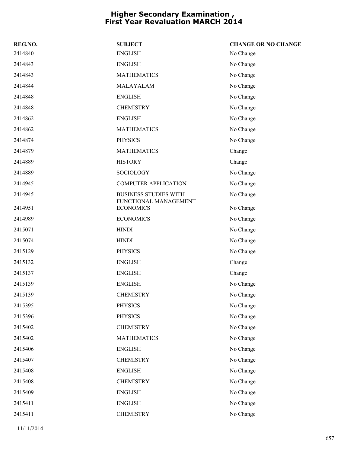| REG.NO. | <b>SUBJECT</b>                            | <b>CHANGE OR NO CHANGE</b> |
|---------|-------------------------------------------|----------------------------|
| 2414840 | <b>ENGLISH</b>                            | No Change                  |
| 2414843 | <b>ENGLISH</b>                            | No Change                  |
| 2414843 | <b>MATHEMATICS</b>                        | No Change                  |
| 2414844 | MALAYALAM                                 | No Change                  |
| 2414848 | <b>ENGLISH</b>                            | No Change                  |
| 2414848 | <b>CHEMISTRY</b>                          | No Change                  |
| 2414862 | <b>ENGLISH</b>                            | No Change                  |
| 2414862 | <b>MATHEMATICS</b>                        | No Change                  |
| 2414874 | <b>PHYSICS</b>                            | No Change                  |
| 2414879 | <b>MATHEMATICS</b>                        | Change                     |
| 2414889 | <b>HISTORY</b>                            | Change                     |
| 2414889 | SOCIOLOGY                                 | No Change                  |
| 2414945 | <b>COMPUTER APPLICATION</b>               | No Change                  |
| 2414945 | <b>BUSINESS STUDIES WITH</b>              | No Change                  |
| 2414951 | FUNCTIONAL MANAGEMENT<br><b>ECONOMICS</b> | No Change                  |
| 2414989 | <b>ECONOMICS</b>                          | No Change                  |
| 2415071 | <b>HINDI</b>                              | No Change                  |
| 2415074 | <b>HINDI</b>                              | No Change                  |
| 2415129 | <b>PHYSICS</b>                            | No Change                  |
| 2415132 | <b>ENGLISH</b>                            | Change                     |
| 2415137 | <b>ENGLISH</b>                            | Change                     |
| 2415139 | <b>ENGLISH</b>                            | No Change                  |
| 2415139 | <b>CHEMISTRY</b>                          | No Change                  |
| 2415395 | <b>PHYSICS</b>                            | No Change                  |
| 2415396 | <b>PHYSICS</b>                            | No Change                  |
| 2415402 | <b>CHEMISTRY</b>                          | No Change                  |
| 2415402 | <b>MATHEMATICS</b>                        | No Change                  |
| 2415406 | <b>ENGLISH</b>                            | No Change                  |
| 2415407 | <b>CHEMISTRY</b>                          | No Change                  |
| 2415408 | <b>ENGLISH</b>                            | No Change                  |
| 2415408 | <b>CHEMISTRY</b>                          | No Change                  |
| 2415409 | <b>ENGLISH</b>                            | No Change                  |
| 2415411 | <b>ENGLISH</b>                            | No Change                  |
| 2415411 | <b>CHEMISTRY</b>                          | No Change                  |
|         |                                           |                            |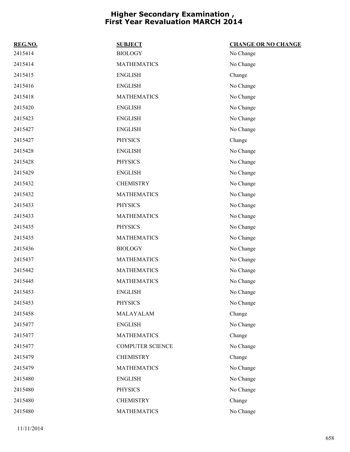| REG.NO. | <b>SUBJECT</b>          | <b>CHANGE OR NO CHANGE</b> |
|---------|-------------------------|----------------------------|
| 2415414 | <b>BIOLOGY</b>          | No Change                  |
| 2415414 | <b>MATHEMATICS</b>      | No Change                  |
| 2415415 | <b>ENGLISH</b>          | Change                     |
| 2415416 | <b>ENGLISH</b>          | No Change                  |
| 2415418 | <b>MATHEMATICS</b>      | No Change                  |
| 2415420 | <b>ENGLISH</b>          | No Change                  |
| 2415423 | <b>ENGLISH</b>          | No Change                  |
| 2415427 | <b>ENGLISH</b>          | No Change                  |
| 2415427 | <b>PHYSICS</b>          | Change                     |
| 2415428 | <b>ENGLISH</b>          | No Change                  |
| 2415428 | <b>PHYSICS</b>          | No Change                  |
| 2415429 | <b>ENGLISH</b>          | No Change                  |
| 2415432 | <b>CHEMISTRY</b>        | No Change                  |
| 2415432 | <b>MATHEMATICS</b>      | No Change                  |
| 2415433 | <b>PHYSICS</b>          | No Change                  |
| 2415433 | <b>MATHEMATICS</b>      | No Change                  |
| 2415435 | <b>PHYSICS</b>          | No Change                  |
| 2415435 | <b>MATHEMATICS</b>      | No Change                  |
| 2415436 | <b>BIOLOGY</b>          | No Change                  |
| 2415437 | <b>MATHEMATICS</b>      | No Change                  |
| 2415442 | <b>MATHEMATICS</b>      | No Change                  |
| 2415445 | <b>MATHEMATICS</b>      | No Change                  |
| 2415453 | <b>ENGLISH</b>          | No Change                  |
| 2415453 | <b>PHYSICS</b>          | No Change                  |
| 2415458 | MALAYALAM               | Change                     |
| 2415477 | <b>ENGLISH</b>          | No Change                  |
| 2415477 | <b>MATHEMATICS</b>      | Change                     |
| 2415477 | <b>COMPUTER SCIENCE</b> | No Change                  |
| 2415479 | <b>CHEMISTRY</b>        | Change                     |
| 2415479 | <b>MATHEMATICS</b>      | No Change                  |
| 2415480 | <b>ENGLISH</b>          | No Change                  |
| 2415480 | <b>PHYSICS</b>          | No Change                  |
| 2415480 | <b>CHEMISTRY</b>        | Change                     |
| 2415480 | <b>MATHEMATICS</b>      | No Change                  |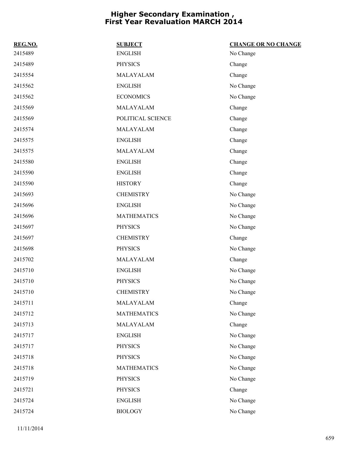| REG.NO. | <b>SUBJECT</b>     | <b>CHANGE OR NO CHANGE</b> |
|---------|--------------------|----------------------------|
| 2415489 | <b>ENGLISH</b>     | No Change                  |
| 2415489 | <b>PHYSICS</b>     | Change                     |
| 2415554 | MALAYALAM          | Change                     |
| 2415562 | <b>ENGLISH</b>     | No Change                  |
| 2415562 | <b>ECONOMICS</b>   | No Change                  |
| 2415569 | MALAYALAM          | Change                     |
| 2415569 | POLITICAL SCIENCE  | Change                     |
| 2415574 | MALAYALAM          | Change                     |
| 2415575 | <b>ENGLISH</b>     | Change                     |
| 2415575 | MALAYALAM          | Change                     |
| 2415580 | <b>ENGLISH</b>     | Change                     |
| 2415590 | <b>ENGLISH</b>     | Change                     |
| 2415590 | <b>HISTORY</b>     | Change                     |
| 2415693 | <b>CHEMISTRY</b>   | No Change                  |
| 2415696 | <b>ENGLISH</b>     | No Change                  |
| 2415696 | <b>MATHEMATICS</b> | No Change                  |
| 2415697 | <b>PHYSICS</b>     | No Change                  |
| 2415697 | <b>CHEMISTRY</b>   | Change                     |
| 2415698 | <b>PHYSICS</b>     | No Change                  |
| 2415702 | MALAYALAM          | Change                     |
| 2415710 | <b>ENGLISH</b>     | No Change                  |
| 2415710 | <b>PHYSICS</b>     | No Change                  |
| 2415710 | <b>CHEMISTRY</b>   | No Change                  |
| 2415711 | MALAYALAM          | Change                     |
| 2415712 | <b>MATHEMATICS</b> | No Change                  |
| 2415713 | MALAYALAM          | Change                     |
| 2415717 | <b>ENGLISH</b>     | No Change                  |
| 2415717 | <b>PHYSICS</b>     | No Change                  |
| 2415718 | <b>PHYSICS</b>     | No Change                  |
| 2415718 | <b>MATHEMATICS</b> | No Change                  |
| 2415719 | <b>PHYSICS</b>     | No Change                  |
| 2415721 | <b>PHYSICS</b>     | Change                     |
| 2415724 | <b>ENGLISH</b>     | No Change                  |
| 2415724 | <b>BIOLOGY</b>     | No Change                  |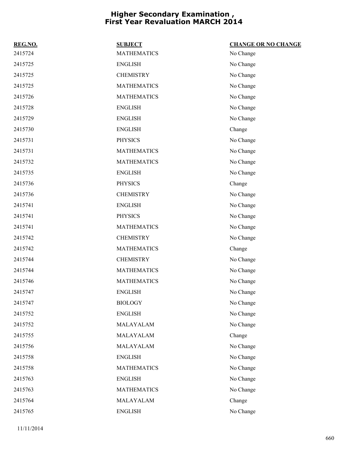| REG.NO. | <b>SUBJECT</b>     | <b>CHANGE OR NO CHANGE</b> |
|---------|--------------------|----------------------------|
| 2415724 | <b>MATHEMATICS</b> | No Change                  |
| 2415725 | <b>ENGLISH</b>     | No Change                  |
| 2415725 | <b>CHEMISTRY</b>   | No Change                  |
| 2415725 | <b>MATHEMATICS</b> | No Change                  |
| 2415726 | <b>MATHEMATICS</b> | No Change                  |
| 2415728 | <b>ENGLISH</b>     | No Change                  |
| 2415729 | <b>ENGLISH</b>     | No Change                  |
| 2415730 | <b>ENGLISH</b>     | Change                     |
| 2415731 | <b>PHYSICS</b>     | No Change                  |
| 2415731 | <b>MATHEMATICS</b> | No Change                  |
| 2415732 | <b>MATHEMATICS</b> | No Change                  |
| 2415735 | <b>ENGLISH</b>     | No Change                  |
| 2415736 | <b>PHYSICS</b>     | Change                     |
| 2415736 | <b>CHEMISTRY</b>   | No Change                  |
| 2415741 | <b>ENGLISH</b>     | No Change                  |
| 2415741 | <b>PHYSICS</b>     | No Change                  |
| 2415741 | <b>MATHEMATICS</b> | No Change                  |
| 2415742 | <b>CHEMISTRY</b>   | No Change                  |
| 2415742 | <b>MATHEMATICS</b> | Change                     |
| 2415744 | <b>CHEMISTRY</b>   | No Change                  |
| 2415744 | <b>MATHEMATICS</b> | No Change                  |
| 2415746 | <b>MATHEMATICS</b> | No Change                  |
| 2415747 | <b>ENGLISH</b>     | No Change                  |
| 2415747 | <b>BIOLOGY</b>     | No Change                  |
| 2415752 | <b>ENGLISH</b>     | No Change                  |
| 2415752 | MALAYALAM          | No Change                  |
| 2415755 | MALAYALAM          | Change                     |
| 2415756 | MALAYALAM          | No Change                  |
| 2415758 | <b>ENGLISH</b>     | No Change                  |
| 2415758 | <b>MATHEMATICS</b> | No Change                  |
| 2415763 | <b>ENGLISH</b>     | No Change                  |
| 2415763 | <b>MATHEMATICS</b> | No Change                  |
| 2415764 | MALAYALAM          | Change                     |
| 2415765 | <b>ENGLISH</b>     | No Change                  |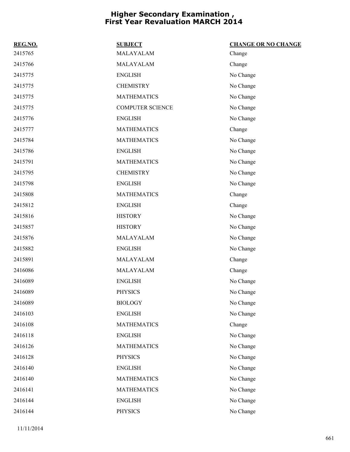| REG.NO. | <b>SUBJECT</b>          | <b>CHANGE OR NO CHANGE</b> |
|---------|-------------------------|----------------------------|
| 2415765 | MALAYALAM               | Change                     |
| 2415766 | MALAYALAM               | Change                     |
| 2415775 | <b>ENGLISH</b>          | No Change                  |
| 2415775 | <b>CHEMISTRY</b>        | No Change                  |
| 2415775 | <b>MATHEMATICS</b>      | No Change                  |
| 2415775 | <b>COMPUTER SCIENCE</b> | No Change                  |
| 2415776 | <b>ENGLISH</b>          | No Change                  |
| 2415777 | <b>MATHEMATICS</b>      | Change                     |
| 2415784 | <b>MATHEMATICS</b>      | No Change                  |
| 2415786 | <b>ENGLISH</b>          | No Change                  |
| 2415791 | <b>MATHEMATICS</b>      | No Change                  |
| 2415795 | <b>CHEMISTRY</b>        | No Change                  |
| 2415798 | <b>ENGLISH</b>          | No Change                  |
| 2415808 | <b>MATHEMATICS</b>      | Change                     |
| 2415812 | <b>ENGLISH</b>          | Change                     |
| 2415816 | <b>HISTORY</b>          | No Change                  |
| 2415857 | <b>HISTORY</b>          | No Change                  |
| 2415876 | MALAYALAM               | No Change                  |
| 2415882 | <b>ENGLISH</b>          | No Change                  |
| 2415891 | MALAYALAM               | Change                     |
| 2416086 | MALAYALAM               | Change                     |
| 2416089 | <b>ENGLISH</b>          | No Change                  |
| 2416089 | <b>PHYSICS</b>          | No Change                  |
| 2416089 | <b>BIOLOGY</b>          | No Change                  |
| 2416103 | <b>ENGLISH</b>          | No Change                  |
| 2416108 | <b>MATHEMATICS</b>      | Change                     |
| 2416118 | <b>ENGLISH</b>          | No Change                  |
| 2416126 | <b>MATHEMATICS</b>      | No Change                  |
| 2416128 | <b>PHYSICS</b>          | No Change                  |
| 2416140 | <b>ENGLISH</b>          | No Change                  |
| 2416140 | <b>MATHEMATICS</b>      | No Change                  |
| 2416141 | <b>MATHEMATICS</b>      | No Change                  |
| 2416144 | <b>ENGLISH</b>          | No Change                  |
| 2416144 | <b>PHYSICS</b>          | No Change                  |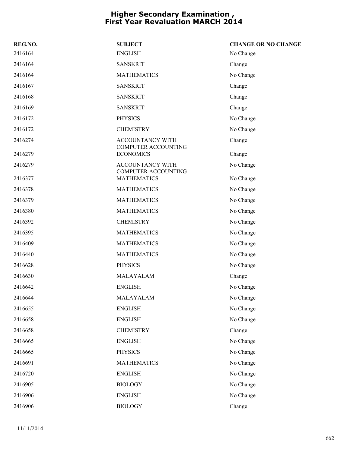| REG.NO. | <b>SUBJECT</b>                                 | <b>CHANGE OR NO CHANGE</b> |
|---------|------------------------------------------------|----------------------------|
| 2416164 | <b>ENGLISH</b>                                 | No Change                  |
| 2416164 | <b>SANSKRIT</b>                                | Change                     |
| 2416164 | <b>MATHEMATICS</b>                             | No Change                  |
| 2416167 | <b>SANSKRIT</b>                                | Change                     |
| 2416168 | <b>SANSKRIT</b>                                | Change                     |
| 2416169 | <b>SANSKRIT</b>                                | Change                     |
| 2416172 | <b>PHYSICS</b>                                 | No Change                  |
| 2416172 | <b>CHEMISTRY</b>                               | No Change                  |
| 2416274 | ACCOUNTANCY WITH<br><b>COMPUTER ACCOUNTING</b> | Change                     |
| 2416279 | <b>ECONOMICS</b>                               | Change                     |
| 2416279 | ACCOUNTANCY WITH<br><b>COMPUTER ACCOUNTING</b> | No Change                  |
| 2416377 | <b>MATHEMATICS</b>                             | No Change                  |
| 2416378 | <b>MATHEMATICS</b>                             | No Change                  |
| 2416379 | <b>MATHEMATICS</b>                             | No Change                  |
| 2416380 | <b>MATHEMATICS</b>                             | No Change                  |
| 2416392 | <b>CHEMISTRY</b>                               | No Change                  |
| 2416395 | <b>MATHEMATICS</b>                             | No Change                  |
| 2416409 | <b>MATHEMATICS</b>                             | No Change                  |
| 2416440 | <b>MATHEMATICS</b>                             | No Change                  |
| 2416628 | <b>PHYSICS</b>                                 | No Change                  |
| 2416630 | MALAYALAM                                      | Change                     |
| 2416642 | <b>ENGLISH</b>                                 | No Change                  |
| 2416644 | MALAYALAM                                      | No Change                  |
| 2416655 | <b>ENGLISH</b>                                 | No Change                  |
| 2416658 | <b>ENGLISH</b>                                 | No Change                  |
| 2416658 | <b>CHEMISTRY</b>                               | Change                     |
| 2416665 | <b>ENGLISH</b>                                 | No Change                  |
| 2416665 | <b>PHYSICS</b>                                 | No Change                  |
| 2416691 | <b>MATHEMATICS</b>                             | No Change                  |
| 2416720 | <b>ENGLISH</b>                                 | No Change                  |
| 2416905 | <b>BIOLOGY</b>                                 | No Change                  |
| 2416906 | <b>ENGLISH</b>                                 | No Change                  |
| 2416906 | <b>BIOLOGY</b>                                 | Change                     |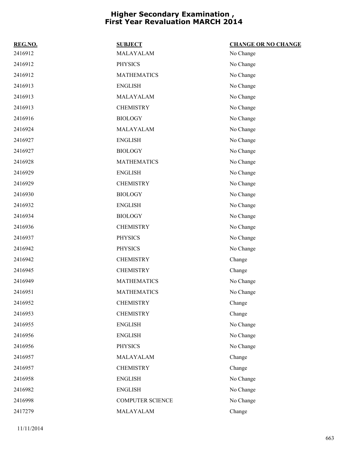| REG.NO. | <b>SUBJECT</b>          | <b>CHANGE OR NO CHANGE</b> |
|---------|-------------------------|----------------------------|
| 2416912 | MALAYALAM               | No Change                  |
| 2416912 | <b>PHYSICS</b>          | No Change                  |
| 2416912 | <b>MATHEMATICS</b>      | No Change                  |
| 2416913 | <b>ENGLISH</b>          | No Change                  |
| 2416913 | MALAYALAM               | No Change                  |
| 2416913 | <b>CHEMISTRY</b>        | No Change                  |
| 2416916 | <b>BIOLOGY</b>          | No Change                  |
| 2416924 | MALAYALAM               | No Change                  |
| 2416927 | <b>ENGLISH</b>          | No Change                  |
| 2416927 | <b>BIOLOGY</b>          | No Change                  |
| 2416928 | <b>MATHEMATICS</b>      | No Change                  |
| 2416929 | <b>ENGLISH</b>          | No Change                  |
| 2416929 | <b>CHEMISTRY</b>        | No Change                  |
| 2416930 | <b>BIOLOGY</b>          | No Change                  |
| 2416932 | <b>ENGLISH</b>          | No Change                  |
| 2416934 | <b>BIOLOGY</b>          | No Change                  |
| 2416936 | <b>CHEMISTRY</b>        | No Change                  |
| 2416937 | <b>PHYSICS</b>          | No Change                  |
| 2416942 | <b>PHYSICS</b>          | No Change                  |
| 2416942 | <b>CHEMISTRY</b>        | Change                     |
| 2416945 | <b>CHEMISTRY</b>        | Change                     |
| 2416949 | <b>MATHEMATICS</b>      | No Change                  |
| 2416951 | <b>MATHEMATICS</b>      | No Change                  |
| 2416952 | <b>CHEMISTRY</b>        | Change                     |
| 2416953 | <b>CHEMISTRY</b>        | Change                     |
| 2416955 | <b>ENGLISH</b>          | No Change                  |
| 2416956 | <b>ENGLISH</b>          | No Change                  |
| 2416956 | <b>PHYSICS</b>          | No Change                  |
| 2416957 | MALAYALAM               | Change                     |
| 2416957 | <b>CHEMISTRY</b>        | Change                     |
| 2416958 | <b>ENGLISH</b>          | No Change                  |
| 2416982 | <b>ENGLISH</b>          | No Change                  |
| 2416998 | <b>COMPUTER SCIENCE</b> | No Change                  |
| 2417279 | MALAYALAM               | Change                     |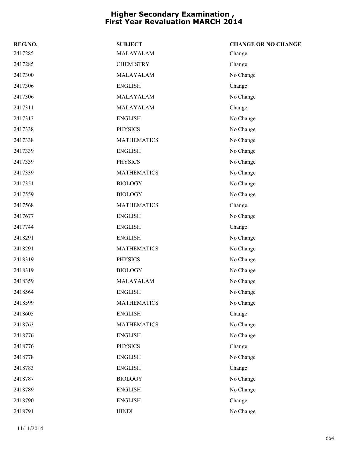| REG.NO. | <b>SUBJECT</b>     | <b>CHANGE OR NO CHANGE</b> |
|---------|--------------------|----------------------------|
| 2417285 | MALAYALAM          | Change                     |
| 2417285 | <b>CHEMISTRY</b>   | Change                     |
| 2417300 | MALAYALAM          | No Change                  |
| 2417306 | <b>ENGLISH</b>     | Change                     |
| 2417306 | MALAYALAM          | No Change                  |
| 2417311 | MALAYALAM          | Change                     |
| 2417313 | <b>ENGLISH</b>     | No Change                  |
| 2417338 | <b>PHYSICS</b>     | No Change                  |
| 2417338 | <b>MATHEMATICS</b> | No Change                  |
| 2417339 | <b>ENGLISH</b>     | No Change                  |
| 2417339 | <b>PHYSICS</b>     | No Change                  |
| 2417339 | <b>MATHEMATICS</b> | No Change                  |
| 2417351 | <b>BIOLOGY</b>     | No Change                  |
| 2417559 | <b>BIOLOGY</b>     | No Change                  |
| 2417568 | <b>MATHEMATICS</b> | Change                     |
| 2417677 | <b>ENGLISH</b>     | No Change                  |
| 2417744 | <b>ENGLISH</b>     | Change                     |
| 2418291 | <b>ENGLISH</b>     | No Change                  |
| 2418291 | <b>MATHEMATICS</b> | No Change                  |
| 2418319 | <b>PHYSICS</b>     | No Change                  |
| 2418319 | <b>BIOLOGY</b>     | No Change                  |
| 2418359 | MALAYALAM          | No Change                  |
| 2418564 | <b>ENGLISH</b>     | No Change                  |
| 2418599 | <b>MATHEMATICS</b> | No Change                  |
| 2418605 | <b>ENGLISH</b>     | Change                     |
| 2418763 | <b>MATHEMATICS</b> | No Change                  |
| 2418776 | <b>ENGLISH</b>     | No Change                  |
| 2418776 | <b>PHYSICS</b>     | Change                     |
| 2418778 | <b>ENGLISH</b>     | No Change                  |
| 2418783 | <b>ENGLISH</b>     | Change                     |
| 2418787 | <b>BIOLOGY</b>     | No Change                  |
| 2418789 | <b>ENGLISH</b>     | No Change                  |
| 2418790 | <b>ENGLISH</b>     | Change                     |
| 2418791 | <b>HINDI</b>       | No Change                  |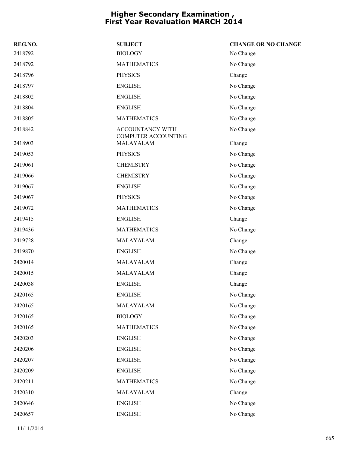| REG.NO. | <b>SUBJECT</b>                                 | <b>CHANGE OR NO CHANGE</b> |
|---------|------------------------------------------------|----------------------------|
| 2418792 | <b>BIOLOGY</b>                                 | No Change                  |
| 2418792 | <b>MATHEMATICS</b>                             | No Change                  |
| 2418796 | <b>PHYSICS</b>                                 | Change                     |
| 2418797 | <b>ENGLISH</b>                                 | No Change                  |
| 2418802 | <b>ENGLISH</b>                                 | No Change                  |
| 2418804 | <b>ENGLISH</b>                                 | No Change                  |
| 2418805 | <b>MATHEMATICS</b>                             | No Change                  |
| 2418842 | ACCOUNTANCY WITH<br><b>COMPUTER ACCOUNTING</b> | No Change                  |
| 2418903 | MALAYALAM                                      | Change                     |
| 2419053 | <b>PHYSICS</b>                                 | No Change                  |
| 2419061 | <b>CHEMISTRY</b>                               | No Change                  |
| 2419066 | <b>CHEMISTRY</b>                               | No Change                  |
| 2419067 | <b>ENGLISH</b>                                 | No Change                  |
| 2419067 | <b>PHYSICS</b>                                 | No Change                  |
| 2419072 | <b>MATHEMATICS</b>                             | No Change                  |
| 2419415 | <b>ENGLISH</b>                                 | Change                     |
| 2419436 | <b>MATHEMATICS</b>                             | No Change                  |
| 2419728 | MALAYALAM                                      | Change                     |
| 2419870 | <b>ENGLISH</b>                                 | No Change                  |
| 2420014 | MALAYALAM                                      | Change                     |
| 2420015 | MALAYALAM                                      | Change                     |
| 2420038 | <b>ENGLISH</b>                                 | Change                     |
| 2420165 | <b>ENGLISH</b>                                 | No Change                  |
| 2420165 | MALAYALAM                                      | No Change                  |
| 2420165 | <b>BIOLOGY</b>                                 | No Change                  |
| 2420165 | <b>MATHEMATICS</b>                             | No Change                  |
| 2420203 | <b>ENGLISH</b>                                 | No Change                  |
| 2420206 | <b>ENGLISH</b>                                 | No Change                  |
| 2420207 | <b>ENGLISH</b>                                 | No Change                  |
| 2420209 | <b>ENGLISH</b>                                 | No Change                  |
| 2420211 | <b>MATHEMATICS</b>                             | No Change                  |
| 2420310 | MALAYALAM                                      | Change                     |
| 2420646 | <b>ENGLISH</b>                                 | No Change                  |
| 2420657 | <b>ENGLISH</b>                                 | No Change                  |
|         |                                                |                            |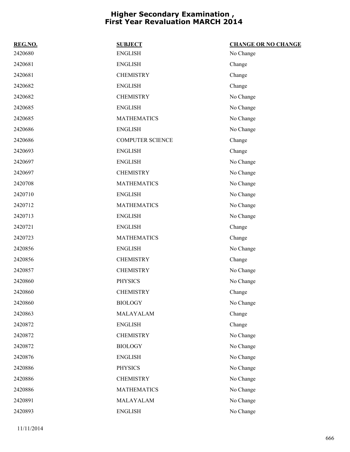| REG.NO. | <b>SUBJECT</b>          | <b>CHANGE OR NO CHANGE</b> |
|---------|-------------------------|----------------------------|
| 2420680 | <b>ENGLISH</b>          | No Change                  |
| 2420681 | <b>ENGLISH</b>          | Change                     |
| 2420681 | <b>CHEMISTRY</b>        | Change                     |
| 2420682 | <b>ENGLISH</b>          | Change                     |
| 2420682 | <b>CHEMISTRY</b>        | No Change                  |
| 2420685 | <b>ENGLISH</b>          | No Change                  |
| 2420685 | <b>MATHEMATICS</b>      | No Change                  |
| 2420686 | <b>ENGLISH</b>          | No Change                  |
| 2420686 | <b>COMPUTER SCIENCE</b> | Change                     |
| 2420693 | <b>ENGLISH</b>          | Change                     |
| 2420697 | <b>ENGLISH</b>          | No Change                  |
| 2420697 | <b>CHEMISTRY</b>        | No Change                  |
| 2420708 | <b>MATHEMATICS</b>      | No Change                  |
| 2420710 | <b>ENGLISH</b>          | No Change                  |
| 2420712 | <b>MATHEMATICS</b>      | No Change                  |
| 2420713 | <b>ENGLISH</b>          | No Change                  |
| 2420721 | <b>ENGLISH</b>          | Change                     |
| 2420723 | <b>MATHEMATICS</b>      | Change                     |
| 2420856 | <b>ENGLISH</b>          | No Change                  |
| 2420856 | <b>CHEMISTRY</b>        | Change                     |
| 2420857 | <b>CHEMISTRY</b>        | No Change                  |
| 2420860 | <b>PHYSICS</b>          | No Change                  |
| 2420860 | <b>CHEMISTRY</b>        | Change                     |
| 2420860 | <b>BIOLOGY</b>          | No Change                  |
| 2420863 | MALAYALAM               | Change                     |
| 2420872 | <b>ENGLISH</b>          | Change                     |
| 2420872 | <b>CHEMISTRY</b>        | No Change                  |
| 2420872 | <b>BIOLOGY</b>          | No Change                  |
| 2420876 | <b>ENGLISH</b>          | No Change                  |
| 2420886 | <b>PHYSICS</b>          | No Change                  |
| 2420886 | <b>CHEMISTRY</b>        | No Change                  |
| 2420886 | <b>MATHEMATICS</b>      | No Change                  |
| 2420891 | MALAYALAM               | No Change                  |
| 2420893 | <b>ENGLISH</b>          | No Change                  |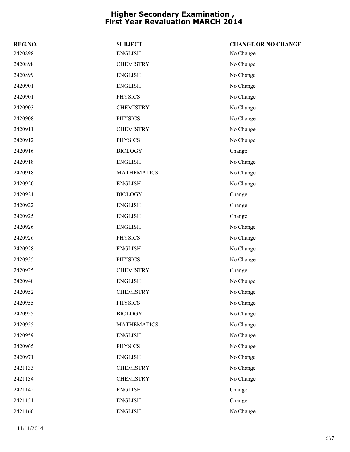| REG.NO. | <b>SUBJECT</b>     | <b>CHANGE OR NO CHANGE</b> |
|---------|--------------------|----------------------------|
| 2420898 | <b>ENGLISH</b>     | No Change                  |
| 2420898 | <b>CHEMISTRY</b>   | No Change                  |
| 2420899 | <b>ENGLISH</b>     | No Change                  |
| 2420901 | <b>ENGLISH</b>     | No Change                  |
| 2420901 | <b>PHYSICS</b>     | No Change                  |
| 2420903 | <b>CHEMISTRY</b>   | No Change                  |
| 2420908 | <b>PHYSICS</b>     | No Change                  |
| 2420911 | <b>CHEMISTRY</b>   | No Change                  |
| 2420912 | <b>PHYSICS</b>     | No Change                  |
| 2420916 | <b>BIOLOGY</b>     | Change                     |
| 2420918 | <b>ENGLISH</b>     | No Change                  |
| 2420918 | <b>MATHEMATICS</b> | No Change                  |
| 2420920 | <b>ENGLISH</b>     | No Change                  |
| 2420921 | <b>BIOLOGY</b>     | Change                     |
| 2420922 | <b>ENGLISH</b>     | Change                     |
| 2420925 | <b>ENGLISH</b>     | Change                     |
| 2420926 | <b>ENGLISH</b>     | No Change                  |
| 2420926 | <b>PHYSICS</b>     | No Change                  |
| 2420928 | <b>ENGLISH</b>     | No Change                  |
| 2420935 | <b>PHYSICS</b>     | No Change                  |
| 2420935 | <b>CHEMISTRY</b>   | Change                     |
| 2420940 | <b>ENGLISH</b>     | No Change                  |
| 2420952 | <b>CHEMISTRY</b>   | No Change                  |
| 2420955 | <b>PHYSICS</b>     | No Change                  |
| 2420955 | <b>BIOLOGY</b>     | No Change                  |
| 2420955 | <b>MATHEMATICS</b> | No Change                  |
| 2420959 | <b>ENGLISH</b>     | No Change                  |
| 2420965 | <b>PHYSICS</b>     | No Change                  |
| 2420971 | <b>ENGLISH</b>     | No Change                  |
| 2421133 | <b>CHEMISTRY</b>   | No Change                  |
| 2421134 | <b>CHEMISTRY</b>   | No Change                  |
| 2421142 | <b>ENGLISH</b>     | Change                     |
| 2421151 | <b>ENGLISH</b>     | Change                     |
| 2421160 | <b>ENGLISH</b>     | No Change                  |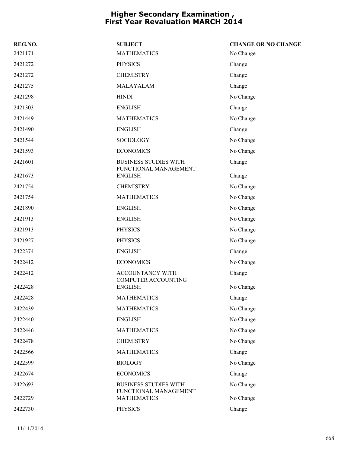| REG.NO.            | <b>SUBJECT</b>                                                              | <b>CHANGE OR NO CHANGE</b> |
|--------------------|-----------------------------------------------------------------------------|----------------------------|
| 2421171            | <b>MATHEMATICS</b>                                                          | No Change                  |
| 2421272            | <b>PHYSICS</b>                                                              | Change                     |
| 2421272            | <b>CHEMISTRY</b>                                                            | Change                     |
| 2421275            | MALAYALAM                                                                   | Change                     |
| 2421298            | <b>HINDI</b>                                                                | No Change                  |
| 2421303            | <b>ENGLISH</b>                                                              | Change                     |
| 2421449            | <b>MATHEMATICS</b>                                                          | No Change                  |
| 2421490            | <b>ENGLISH</b>                                                              | Change                     |
| 2421544            | SOCIOLOGY                                                                   | No Change                  |
| 2421593            | <b>ECONOMICS</b>                                                            | No Change                  |
| 2421601            | <b>BUSINESS STUDIES WITH</b><br>FUNCTIONAL MANAGEMENT                       | Change                     |
| 2421673            | <b>ENGLISH</b>                                                              | Change                     |
| 2421754            | <b>CHEMISTRY</b>                                                            | No Change                  |
| 2421754            | <b>MATHEMATICS</b>                                                          | No Change                  |
| 2421890            | <b>ENGLISH</b>                                                              | No Change                  |
| 2421913            | <b>ENGLISH</b>                                                              | No Change                  |
| 2421913            | <b>PHYSICS</b>                                                              | No Change                  |
| 2421927            | <b>PHYSICS</b>                                                              | No Change                  |
| 2422374            | <b>ENGLISH</b>                                                              | Change                     |
| 2422412            | <b>ECONOMICS</b>                                                            | No Change                  |
| 2422412            | ACCOUNTANCY WITH<br>COMPUTER ACCOUNTING                                     | Change                     |
| 2422428            | <b>ENGLISH</b>                                                              | No Change                  |
| 2422428            | <b>MATHEMATICS</b>                                                          | Change                     |
| 2422439            | <b>MATHEMATICS</b>                                                          | No Change                  |
| 2422440            | <b>ENGLISH</b>                                                              | No Change                  |
| 2422446            | <b>MATHEMATICS</b>                                                          | No Change                  |
| 2422478            | <b>CHEMISTRY</b>                                                            | No Change                  |
| 2422566            | <b>MATHEMATICS</b>                                                          | Change                     |
| 2422599            | <b>BIOLOGY</b>                                                              | No Change                  |
| 2422674            | <b>ECONOMICS</b>                                                            | Change                     |
| 2422693<br>2422729 | <b>BUSINESS STUDIES WITH</b><br>FUNCTIONAL MANAGEMENT<br><b>MATHEMATICS</b> | No Change<br>No Change     |
|                    |                                                                             |                            |
| 2422730            | <b>PHYSICS</b>                                                              | Change                     |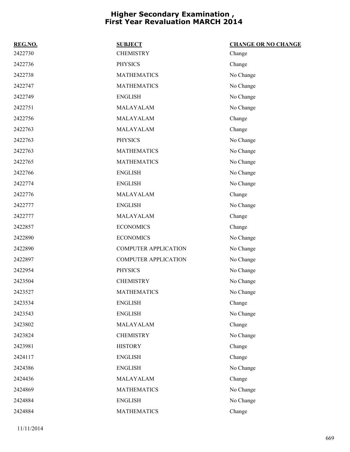| REG.NO. | <b>SUBJECT</b>              | <b>CHANGE OR NO CHANGE</b> |
|---------|-----------------------------|----------------------------|
| 2422730 | <b>CHEMISTRY</b>            | Change                     |
| 2422736 | <b>PHYSICS</b>              | Change                     |
| 2422738 | <b>MATHEMATICS</b>          | No Change                  |
| 2422747 | <b>MATHEMATICS</b>          | No Change                  |
| 2422749 | <b>ENGLISH</b>              | No Change                  |
| 2422751 | MALAYALAM                   | No Change                  |
| 2422756 | MALAYALAM                   | Change                     |
| 2422763 | MALAYALAM                   | Change                     |
| 2422763 | <b>PHYSICS</b>              | No Change                  |
| 2422763 | <b>MATHEMATICS</b>          | No Change                  |
| 2422765 | <b>MATHEMATICS</b>          | No Change                  |
| 2422766 | <b>ENGLISH</b>              | No Change                  |
| 2422774 | <b>ENGLISH</b>              | No Change                  |
| 2422776 | MALAYALAM                   | Change                     |
| 2422777 | <b>ENGLISH</b>              | No Change                  |
| 2422777 | MALAYALAM                   | Change                     |
| 2422857 | <b>ECONOMICS</b>            | Change                     |
| 2422890 | <b>ECONOMICS</b>            | No Change                  |
| 2422890 | <b>COMPUTER APPLICATION</b> | No Change                  |
| 2422897 | <b>COMPUTER APPLICATION</b> | No Change                  |
| 2422954 | <b>PHYSICS</b>              | No Change                  |
| 2423504 | <b>CHEMISTRY</b>            | No Change                  |
| 2423527 | <b>MATHEMATICS</b>          | No Change                  |
| 2423534 | <b>ENGLISH</b>              | Change                     |
| 2423543 | <b>ENGLISH</b>              | No Change                  |
| 2423802 | MALAYALAM                   | Change                     |
| 2423824 | <b>CHEMISTRY</b>            | No Change                  |
| 2423981 | <b>HISTORY</b>              | Change                     |
| 2424117 | <b>ENGLISH</b>              | Change                     |
| 2424386 | <b>ENGLISH</b>              | No Change                  |
| 2424436 | MALAYALAM                   | Change                     |
| 2424869 | <b>MATHEMATICS</b>          | No Change                  |
| 2424884 | <b>ENGLISH</b>              | No Change                  |
| 2424884 | <b>MATHEMATICS</b>          | Change                     |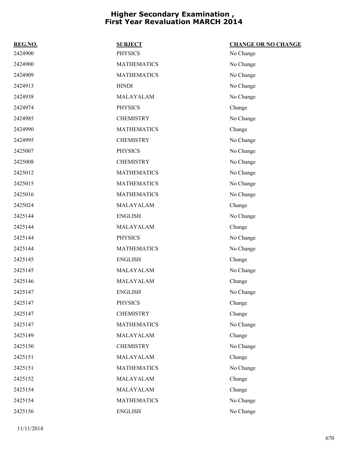| REG.NO. | <b>SUBJECT</b>     | <b>CHANGE OR NO CHANGE</b> |
|---------|--------------------|----------------------------|
| 2424900 | <b>PHYSICS</b>     | No Change                  |
| 2424900 | <b>MATHEMATICS</b> | No Change                  |
| 2424909 | <b>MATHEMATICS</b> | No Change                  |
| 2424913 | <b>HINDI</b>       | No Change                  |
| 2424938 | MALAYALAM          | No Change                  |
| 2424974 | <b>PHYSICS</b>     | Change                     |
| 2424985 | <b>CHEMISTRY</b>   | No Change                  |
| 2424990 | <b>MATHEMATICS</b> | Change                     |
| 2424995 | <b>CHEMISTRY</b>   | No Change                  |
| 2425007 | <b>PHYSICS</b>     | No Change                  |
| 2425008 | <b>CHEMISTRY</b>   | No Change                  |
| 2425012 | <b>MATHEMATICS</b> | No Change                  |
| 2425015 | <b>MATHEMATICS</b> | No Change                  |
| 2425016 | <b>MATHEMATICS</b> | No Change                  |
| 2425024 | MALAYALAM          | Change                     |
| 2425144 | <b>ENGLISH</b>     | No Change                  |
| 2425144 | MALAYALAM          | Change                     |
| 2425144 | <b>PHYSICS</b>     | No Change                  |
| 2425144 | <b>MATHEMATICS</b> | No Change                  |
| 2425145 | <b>ENGLISH</b>     | Change                     |
| 2425145 | MALAYALAM          | No Change                  |
| 2425146 | MALAYALAM          | Change                     |
| 2425147 | <b>ENGLISH</b>     | No Change                  |
| 2425147 | <b>PHYSICS</b>     | Change                     |
| 2425147 | <b>CHEMISTRY</b>   | Change                     |
| 2425147 | <b>MATHEMATICS</b> | No Change                  |
| 2425149 | MALAYALAM          | Change                     |
| 2425150 | <b>CHEMISTRY</b>   | No Change                  |
| 2425151 | MALAYALAM          | Change                     |
| 2425151 | <b>MATHEMATICS</b> | No Change                  |
| 2425152 | MALAYALAM          | Change                     |
| 2425154 | MALAYALAM          | Change                     |
| 2425154 | <b>MATHEMATICS</b> | No Change                  |
| 2425156 | <b>ENGLISH</b>     | No Change                  |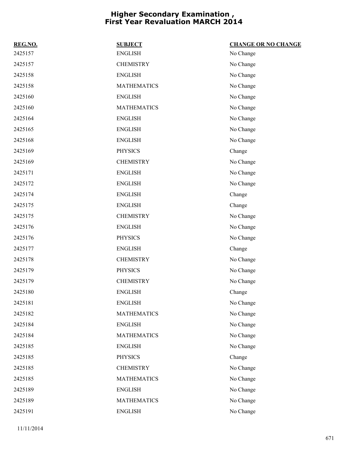| REG.NO. | <b>SUBJECT</b>     | <b>CHANGE OR NO CHANGE</b> |
|---------|--------------------|----------------------------|
| 2425157 | <b>ENGLISH</b>     | No Change                  |
| 2425157 | <b>CHEMISTRY</b>   | No Change                  |
| 2425158 | <b>ENGLISH</b>     | No Change                  |
| 2425158 | <b>MATHEMATICS</b> | No Change                  |
| 2425160 | <b>ENGLISH</b>     | No Change                  |
| 2425160 | <b>MATHEMATICS</b> | No Change                  |
| 2425164 | <b>ENGLISH</b>     | No Change                  |
| 2425165 | <b>ENGLISH</b>     | No Change                  |
| 2425168 | <b>ENGLISH</b>     | No Change                  |
| 2425169 | <b>PHYSICS</b>     | Change                     |
| 2425169 | <b>CHEMISTRY</b>   | No Change                  |
| 2425171 | <b>ENGLISH</b>     | No Change                  |
| 2425172 | <b>ENGLISH</b>     | No Change                  |
| 2425174 | <b>ENGLISH</b>     | Change                     |
| 2425175 | <b>ENGLISH</b>     | Change                     |
| 2425175 | <b>CHEMISTRY</b>   | No Change                  |
| 2425176 | <b>ENGLISH</b>     | No Change                  |
| 2425176 | <b>PHYSICS</b>     | No Change                  |
| 2425177 | <b>ENGLISH</b>     | Change                     |
| 2425178 | <b>CHEMISTRY</b>   | No Change                  |
| 2425179 | <b>PHYSICS</b>     | No Change                  |
| 2425179 | <b>CHEMISTRY</b>   | No Change                  |
| 2425180 | <b>ENGLISH</b>     | Change                     |
| 2425181 | <b>ENGLISH</b>     | No Change                  |
| 2425182 | <b>MATHEMATICS</b> | No Change                  |
| 2425184 | <b>ENGLISH</b>     | No Change                  |
| 2425184 | <b>MATHEMATICS</b> | No Change                  |
| 2425185 | <b>ENGLISH</b>     | No Change                  |
| 2425185 | <b>PHYSICS</b>     | Change                     |
| 2425185 | <b>CHEMISTRY</b>   | No Change                  |
| 2425185 | <b>MATHEMATICS</b> | No Change                  |
| 2425189 | <b>ENGLISH</b>     | No Change                  |
| 2425189 | <b>MATHEMATICS</b> | No Change                  |
| 2425191 | <b>ENGLISH</b>     | No Change                  |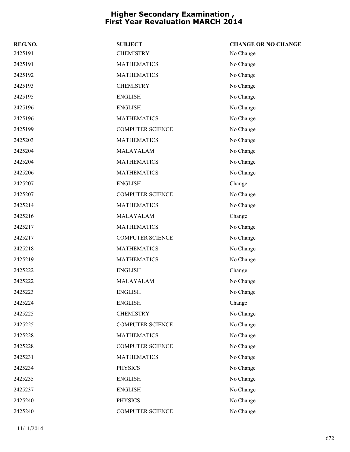| REG.NO. | <b>SUBJECT</b>          | <b>CHANGE OR NO CHANGE</b> |
|---------|-------------------------|----------------------------|
| 2425191 | <b>CHEMISTRY</b>        | No Change                  |
| 2425191 | <b>MATHEMATICS</b>      | No Change                  |
| 2425192 | <b>MATHEMATICS</b>      | No Change                  |
| 2425193 | <b>CHEMISTRY</b>        | No Change                  |
| 2425195 | <b>ENGLISH</b>          | No Change                  |
| 2425196 | <b>ENGLISH</b>          | No Change                  |
| 2425196 | <b>MATHEMATICS</b>      | No Change                  |
| 2425199 | <b>COMPUTER SCIENCE</b> | No Change                  |
| 2425203 | <b>MATHEMATICS</b>      | No Change                  |
| 2425204 | MALAYALAM               | No Change                  |
| 2425204 | <b>MATHEMATICS</b>      | No Change                  |
| 2425206 | <b>MATHEMATICS</b>      | No Change                  |
| 2425207 | <b>ENGLISH</b>          | Change                     |
| 2425207 | <b>COMPUTER SCIENCE</b> | No Change                  |
| 2425214 | <b>MATHEMATICS</b>      | No Change                  |
| 2425216 | MALAYALAM               | Change                     |
| 2425217 | <b>MATHEMATICS</b>      | No Change                  |
| 2425217 | <b>COMPUTER SCIENCE</b> | No Change                  |
| 2425218 | <b>MATHEMATICS</b>      | No Change                  |
| 2425219 | <b>MATHEMATICS</b>      | No Change                  |
| 2425222 | <b>ENGLISH</b>          | Change                     |
| 2425222 | MALAYALAM               | No Change                  |
| 2425223 | <b>ENGLISH</b>          | No Change                  |
| 2425224 | <b>ENGLISH</b>          | Change                     |
| 2425225 | <b>CHEMISTRY</b>        | No Change                  |
| 2425225 | <b>COMPUTER SCIENCE</b> | No Change                  |
| 2425228 | <b>MATHEMATICS</b>      | No Change                  |
| 2425228 | <b>COMPUTER SCIENCE</b> | No Change                  |
| 2425231 | <b>MATHEMATICS</b>      | No Change                  |
| 2425234 | <b>PHYSICS</b>          | No Change                  |
| 2425235 | <b>ENGLISH</b>          | No Change                  |
| 2425237 | <b>ENGLISH</b>          | No Change                  |
| 2425240 | <b>PHYSICS</b>          | No Change                  |
| 2425240 | <b>COMPUTER SCIENCE</b> | No Change                  |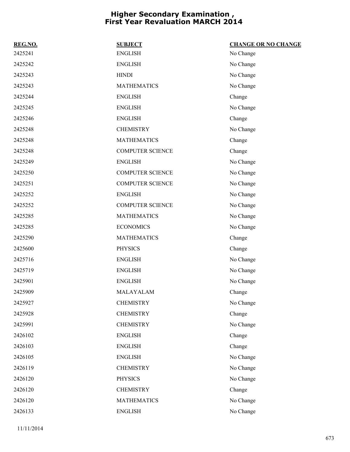| REG.NO. | <b>SUBJECT</b>          | <b>CHANGE OR NO CHANGE</b> |
|---------|-------------------------|----------------------------|
| 2425241 | <b>ENGLISH</b>          | No Change                  |
| 2425242 | <b>ENGLISH</b>          | No Change                  |
| 2425243 | <b>HINDI</b>            | No Change                  |
| 2425243 | <b>MATHEMATICS</b>      | No Change                  |
| 2425244 | <b>ENGLISH</b>          | Change                     |
| 2425245 | <b>ENGLISH</b>          | No Change                  |
| 2425246 | <b>ENGLISH</b>          | Change                     |
| 2425248 | <b>CHEMISTRY</b>        | No Change                  |
| 2425248 | <b>MATHEMATICS</b>      | Change                     |
| 2425248 | <b>COMPUTER SCIENCE</b> | Change                     |
| 2425249 | <b>ENGLISH</b>          | No Change                  |
| 2425250 | <b>COMPUTER SCIENCE</b> | No Change                  |
| 2425251 | <b>COMPUTER SCIENCE</b> | No Change                  |
| 2425252 | <b>ENGLISH</b>          | No Change                  |
| 2425252 | <b>COMPUTER SCIENCE</b> | No Change                  |
| 2425285 | <b>MATHEMATICS</b>      | No Change                  |
| 2425285 | <b>ECONOMICS</b>        | No Change                  |
| 2425290 | <b>MATHEMATICS</b>      | Change                     |
| 2425600 | <b>PHYSICS</b>          | Change                     |
| 2425716 | <b>ENGLISH</b>          | No Change                  |
| 2425719 | <b>ENGLISH</b>          | No Change                  |
| 2425901 | <b>ENGLISH</b>          | No Change                  |
| 2425909 | MALAYALAM               | Change                     |
| 2425927 | <b>CHEMISTRY</b>        | No Change                  |
| 2425928 | <b>CHEMISTRY</b>        | Change                     |
| 2425991 | <b>CHEMISTRY</b>        | No Change                  |
| 2426102 | <b>ENGLISH</b>          | Change                     |
| 2426103 | <b>ENGLISH</b>          | Change                     |
| 2426105 | <b>ENGLISH</b>          | No Change                  |
| 2426119 | <b>CHEMISTRY</b>        | No Change                  |
| 2426120 | <b>PHYSICS</b>          | No Change                  |
| 2426120 | <b>CHEMISTRY</b>        | Change                     |
| 2426120 | <b>MATHEMATICS</b>      | No Change                  |
| 2426133 | <b>ENGLISH</b>          | No Change                  |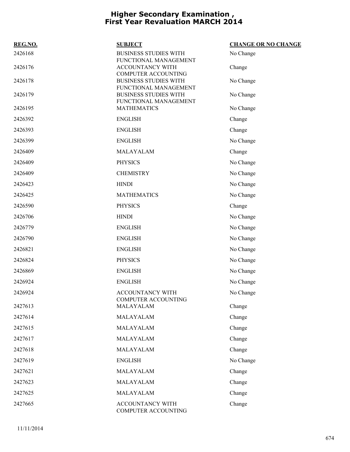| REG.NO. | <b>SUBJECT</b>                                                                 | <b>CHANGE OR NO CHANGE</b> |
|---------|--------------------------------------------------------------------------------|----------------------------|
| 2426168 | <b>BUSINESS STUDIES WITH</b><br>FUNCTIONAL MANAGEMENT                          | No Change                  |
| 2426176 | ACCOUNTANCY WITH<br><b>COMPUTER ACCOUNTING</b>                                 | Change                     |
| 2426178 | <b>BUSINESS STUDIES WITH</b>                                                   | No Change                  |
| 2426179 | FUNCTIONAL MANAGEMENT<br><b>BUSINESS STUDIES WITH</b><br>FUNCTIONAL MANAGEMENT | No Change                  |
| 2426195 | <b>MATHEMATICS</b>                                                             | No Change                  |
| 2426392 | <b>ENGLISH</b>                                                                 | Change                     |
| 2426393 | <b>ENGLISH</b>                                                                 | Change                     |
| 2426399 | <b>ENGLISH</b>                                                                 | No Change                  |
| 2426409 | MALAYALAM                                                                      | Change                     |
| 2426409 | <b>PHYSICS</b>                                                                 | No Change                  |
| 2426409 | <b>CHEMISTRY</b>                                                               | No Change                  |
| 2426423 | <b>HINDI</b>                                                                   | No Change                  |
| 2426425 | <b>MATHEMATICS</b>                                                             | No Change                  |
| 2426590 | <b>PHYSICS</b>                                                                 | Change                     |
| 2426706 | <b>HINDI</b>                                                                   | No Change                  |
| 2426779 | <b>ENGLISH</b>                                                                 | No Change                  |
| 2426790 | <b>ENGLISH</b>                                                                 | No Change                  |
| 2426821 | <b>ENGLISH</b>                                                                 | No Change                  |
| 2426824 | <b>PHYSICS</b>                                                                 | No Change                  |
| 2426869 | <b>ENGLISH</b>                                                                 | No Change                  |
| 2426924 | <b>ENGLISH</b>                                                                 | No Change                  |
| 2426924 | ACCOUNTANCY WITH                                                               | No Change                  |
| 2427613 | COMPUTER ACCOUNTING<br>MALAYALAM                                               | Change                     |
| 2427614 | MALAYALAM                                                                      | Change                     |
| 2427615 | MALAYALAM                                                                      | Change                     |
| 2427617 | MALAYALAM                                                                      | Change                     |
| 2427618 | MALAYALAM                                                                      | Change                     |
| 2427619 | <b>ENGLISH</b>                                                                 | No Change                  |
| 2427621 | MALAYALAM                                                                      | Change                     |
| 2427623 | MALAYALAM                                                                      | Change                     |
| 2427625 | MALAYALAM                                                                      | Change                     |
| 2427665 | ACCOUNTANCY WITH<br>COMPUTER ACCOUNTING                                        | Change                     |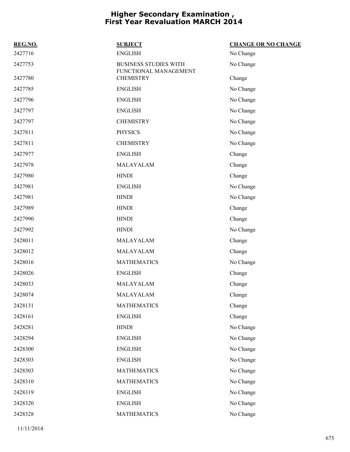| REG.NO. | <b>SUBJECT</b>                                        | <b>CHANGE OR NO CHANGE</b> |
|---------|-------------------------------------------------------|----------------------------|
| 2427716 | <b>ENGLISH</b>                                        | No Change                  |
| 2427753 | <b>BUSINESS STUDIES WITH</b><br>FUNCTIONAL MANAGEMENT | No Change                  |
| 2427780 | <b>CHEMISTRY</b>                                      | Change                     |
| 2427785 | <b>ENGLISH</b>                                        | No Change                  |
| 2427796 | <b>ENGLISH</b>                                        | No Change                  |
| 2427797 | <b>ENGLISH</b>                                        | No Change                  |
| 2427797 | <b>CHEMISTRY</b>                                      | No Change                  |
| 2427811 | <b>PHYSICS</b>                                        | No Change                  |
| 2427811 | <b>CHEMISTRY</b>                                      | No Change                  |
| 2427977 | <b>ENGLISH</b>                                        | Change                     |
| 2427978 | MALAYALAM                                             | Change                     |
| 2427980 | <b>HINDI</b>                                          | Change                     |
| 2427981 | <b>ENGLISH</b>                                        | No Change                  |
| 2427981 | <b>HINDI</b>                                          | No Change                  |
| 2427989 | <b>HINDI</b>                                          | Change                     |
| 2427990 | <b>HINDI</b>                                          | Change                     |
| 2427992 | <b>HINDI</b>                                          | No Change                  |
| 2428011 | MALAYALAM                                             | Change                     |
| 2428012 | MALAYALAM                                             | Change                     |
| 2428016 | <b>MATHEMATICS</b>                                    | No Change                  |
| 2428026 | <b>ENGLISH</b>                                        | Change                     |
| 2428033 | MALAYALAM                                             | Change                     |
| 2428074 | MALAYALAM                                             | Change                     |
| 2428131 | <b>MATHEMATICS</b>                                    | Change                     |
| 2428161 | <b>ENGLISH</b>                                        | Change                     |
| 2428281 | <b>HINDI</b>                                          | No Change                  |
| 2428294 | <b>ENGLISH</b>                                        | No Change                  |
| 2428300 | <b>ENGLISH</b>                                        | No Change                  |
| 2428303 | <b>ENGLISH</b>                                        | No Change                  |
| 2428303 | <b>MATHEMATICS</b>                                    | No Change                  |
| 2428310 | <b>MATHEMATICS</b>                                    | No Change                  |
| 2428319 | <b>ENGLISH</b>                                        | No Change                  |
| 2428320 | <b>ENGLISH</b>                                        | No Change                  |
| 2428328 | <b>MATHEMATICS</b>                                    | No Change                  |
|         |                                                       |                            |

11/11/2014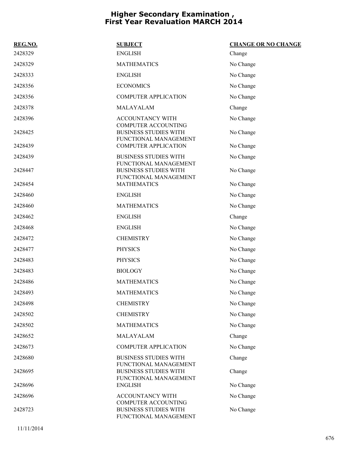| REG.NO. | <b>SUBJECT</b>                                                                      | <b>CHANGE OR NO CHANGE</b> |
|---------|-------------------------------------------------------------------------------------|----------------------------|
| 2428329 | <b>ENGLISH</b>                                                                      | Change                     |
| 2428329 | <b>MATHEMATICS</b>                                                                  | No Change                  |
| 2428333 | <b>ENGLISH</b>                                                                      | No Change                  |
| 2428356 | <b>ECONOMICS</b>                                                                    | No Change                  |
| 2428356 | <b>COMPUTER APPLICATION</b>                                                         | No Change                  |
| 2428378 | MALAYALAM                                                                           | Change                     |
| 2428396 | ACCOUNTANCY WITH                                                                    | No Change                  |
| 2428425 | <b>COMPUTER ACCOUNTING</b><br><b>BUSINESS STUDIES WITH</b><br>FUNCTIONAL MANAGEMENT | No Change                  |
| 2428439 | <b>COMPUTER APPLICATION</b>                                                         | No Change                  |
| 2428439 | <b>BUSINESS STUDIES WITH</b><br>FUNCTIONAL MANAGEMENT                               | No Change                  |
| 2428447 | <b>BUSINESS STUDIES WITH</b><br>FUNCTIONAL MANAGEMENT                               | No Change                  |
| 2428454 | <b>MATHEMATICS</b>                                                                  | No Change                  |
| 2428460 | <b>ENGLISH</b>                                                                      | No Change                  |
| 2428460 | <b>MATHEMATICS</b>                                                                  | No Change                  |
| 2428462 | <b>ENGLISH</b>                                                                      | Change                     |
| 2428468 | <b>ENGLISH</b>                                                                      | No Change                  |
| 2428472 | <b>CHEMISTRY</b>                                                                    | No Change                  |
| 2428477 | <b>PHYSICS</b>                                                                      | No Change                  |
| 2428483 | <b>PHYSICS</b>                                                                      | No Change                  |
| 2428483 | <b>BIOLOGY</b>                                                                      | No Change                  |
| 2428486 | <b>MATHEMATICS</b>                                                                  | No Change                  |
| 2428493 | <b>MATHEMATICS</b>                                                                  | No Change                  |
| 2428498 | <b>CHEMISTRY</b>                                                                    | No Change                  |
| 2428502 | <b>CHEMISTRY</b>                                                                    | No Change                  |
| 2428502 | <b>MATHEMATICS</b>                                                                  | No Change                  |
| 2428652 | MALAYALAM                                                                           | Change                     |
| 2428673 | <b>COMPUTER APPLICATION</b>                                                         | No Change                  |
| 2428680 | <b>BUSINESS STUDIES WITH</b><br>FUNCTIONAL MANAGEMENT                               | Change                     |
| 2428695 | <b>BUSINESS STUDIES WITH</b><br>FUNCTIONAL MANAGEMENT                               | Change                     |
| 2428696 | <b>ENGLISH</b>                                                                      | No Change                  |
| 2428696 | ACCOUNTANCY WITH<br><b>COMPUTER ACCOUNTING</b>                                      | No Change                  |
| 2428723 | <b>BUSINESS STUDIES WITH</b><br>FUNCTIONAL MANAGEMENT                               | No Change                  |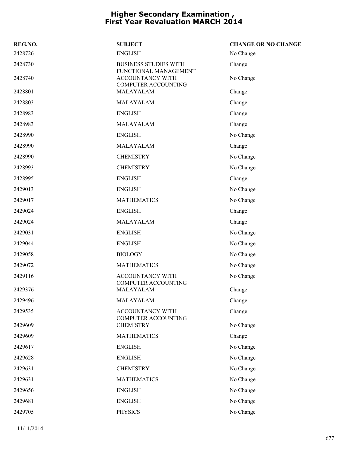| REG.NO. | <b>SUBJECT</b>                                        | <b>CHANGE OR NO CHANGE</b> |
|---------|-------------------------------------------------------|----------------------------|
| 2428726 | <b>ENGLISH</b>                                        | No Change                  |
| 2428730 | <b>BUSINESS STUDIES WITH</b><br>FUNCTIONAL MANAGEMENT | Change                     |
| 2428740 | <b>ACCOUNTANCY WITH</b><br><b>COMPUTER ACCOUNTING</b> | No Change                  |
| 2428801 | MALAYALAM                                             | Change                     |
| 2428803 | MALAYALAM                                             | Change                     |
| 2428983 | <b>ENGLISH</b>                                        | Change                     |
| 2428983 | MALAYALAM                                             | Change                     |
| 2428990 | <b>ENGLISH</b>                                        | No Change                  |
| 2428990 | MALAYALAM                                             | Change                     |
| 2428990 | <b>CHEMISTRY</b>                                      | No Change                  |
| 2428993 | <b>CHEMISTRY</b>                                      | No Change                  |
| 2428995 | <b>ENGLISH</b>                                        | Change                     |
| 2429013 | <b>ENGLISH</b>                                        | No Change                  |
| 2429017 | <b>MATHEMATICS</b>                                    | No Change                  |
| 2429024 | <b>ENGLISH</b>                                        | Change                     |
| 2429024 | MALAYALAM                                             | Change                     |
| 2429031 | <b>ENGLISH</b>                                        | No Change                  |
| 2429044 | <b>ENGLISH</b>                                        | No Change                  |
| 2429058 | <b>BIOLOGY</b>                                        | No Change                  |
| 2429072 | <b>MATHEMATICS</b>                                    | No Change                  |
| 2429116 | ACCOUNTANCY WITH<br><b>COMPUTER ACCOUNTING</b>        | No Change                  |
| 2429376 | MALAYALAM                                             | Change                     |
| 2429496 | MALAYALAM                                             | Change                     |
| 2429535 | ACCOUNTANCY WITH<br>COMPUTER ACCOUNTING               | Change                     |
| 2429609 | <b>CHEMISTRY</b>                                      | No Change                  |
| 2429609 | <b>MATHEMATICS</b>                                    | Change                     |
| 2429617 | <b>ENGLISH</b>                                        | No Change                  |
| 2429628 | <b>ENGLISH</b>                                        | No Change                  |
| 2429631 | <b>CHEMISTRY</b>                                      | No Change                  |
| 2429631 | <b>MATHEMATICS</b>                                    | No Change                  |
| 2429656 | <b>ENGLISH</b>                                        | No Change                  |
| 2429681 | <b>ENGLISH</b>                                        | No Change                  |
| 2429705 | <b>PHYSICS</b>                                        | No Change                  |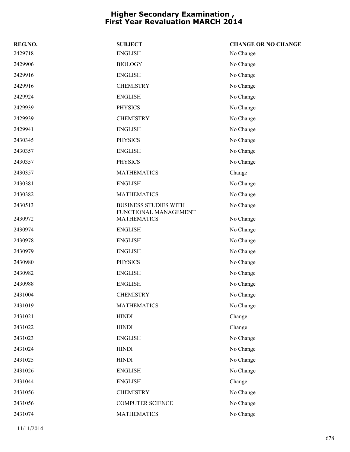| REG.NO. | <b>SUBJECT</b>                                        | <b>CHANGE OR NO CHANGE</b> |
|---------|-------------------------------------------------------|----------------------------|
| 2429718 | <b>ENGLISH</b>                                        | No Change                  |
| 2429906 | <b>BIOLOGY</b>                                        | No Change                  |
| 2429916 | <b>ENGLISH</b>                                        | No Change                  |
| 2429916 | <b>CHEMISTRY</b>                                      | No Change                  |
| 2429924 | <b>ENGLISH</b>                                        | No Change                  |
| 2429939 | <b>PHYSICS</b>                                        | No Change                  |
| 2429939 | <b>CHEMISTRY</b>                                      | No Change                  |
| 2429941 | <b>ENGLISH</b>                                        | No Change                  |
| 2430345 | <b>PHYSICS</b>                                        | No Change                  |
| 2430357 | <b>ENGLISH</b>                                        | No Change                  |
| 2430357 | <b>PHYSICS</b>                                        | No Change                  |
| 2430357 | <b>MATHEMATICS</b>                                    | Change                     |
| 2430381 | <b>ENGLISH</b>                                        | No Change                  |
| 2430382 | <b>MATHEMATICS</b>                                    | No Change                  |
| 2430513 | <b>BUSINESS STUDIES WITH</b><br>FUNCTIONAL MANAGEMENT | No Change                  |
| 2430972 | <b>MATHEMATICS</b>                                    | No Change                  |
| 2430974 | <b>ENGLISH</b>                                        | No Change                  |
| 2430978 | <b>ENGLISH</b>                                        | No Change                  |
| 2430979 | <b>ENGLISH</b>                                        | No Change                  |
| 2430980 | <b>PHYSICS</b>                                        | No Change                  |
| 2430982 | <b>ENGLISH</b>                                        | No Change                  |
| 2430988 | <b>ENGLISH</b>                                        | No Change                  |
| 2431004 | <b>CHEMISTRY</b>                                      | No Change                  |
| 2431019 | <b>MATHEMATICS</b>                                    | No Change                  |
| 2431021 | <b>HINDI</b>                                          | Change                     |
| 2431022 | <b>HINDI</b>                                          | Change                     |
| 2431023 | <b>ENGLISH</b>                                        | No Change                  |
| 2431024 | <b>HINDI</b>                                          | No Change                  |
| 2431025 | <b>HINDI</b>                                          | No Change                  |
| 2431026 | <b>ENGLISH</b>                                        | No Change                  |
| 2431044 | <b>ENGLISH</b>                                        | Change                     |
| 2431056 | <b>CHEMISTRY</b>                                      | No Change                  |
| 2431056 | <b>COMPUTER SCIENCE</b>                               | No Change                  |
| 2431074 | <b>MATHEMATICS</b>                                    | No Change                  |
|         |                                                       |                            |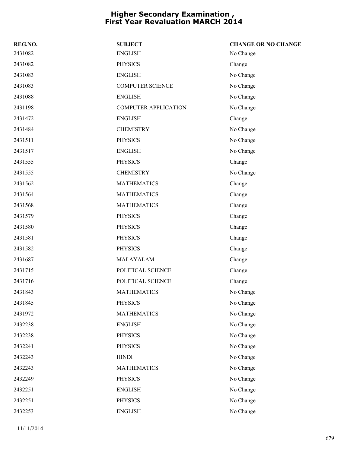| REG.NO. | <b>SUBJECT</b>              | <b>CHANGE OR NO CHANGE</b> |
|---------|-----------------------------|----------------------------|
| 2431082 | <b>ENGLISH</b>              | No Change                  |
| 2431082 | <b>PHYSICS</b>              | Change                     |
| 2431083 | <b>ENGLISH</b>              | No Change                  |
| 2431083 | <b>COMPUTER SCIENCE</b>     | No Change                  |
| 2431088 | <b>ENGLISH</b>              | No Change                  |
| 2431198 | <b>COMPUTER APPLICATION</b> | No Change                  |
| 2431472 | <b>ENGLISH</b>              | Change                     |
| 2431484 | <b>CHEMISTRY</b>            | No Change                  |
| 2431511 | <b>PHYSICS</b>              | No Change                  |
| 2431517 | <b>ENGLISH</b>              | No Change                  |
| 2431555 | <b>PHYSICS</b>              | Change                     |
| 2431555 | <b>CHEMISTRY</b>            | No Change                  |
| 2431562 | <b>MATHEMATICS</b>          | Change                     |
| 2431564 | <b>MATHEMATICS</b>          | Change                     |
| 2431568 | <b>MATHEMATICS</b>          | Change                     |
| 2431579 | <b>PHYSICS</b>              | Change                     |
| 2431580 | <b>PHYSICS</b>              | Change                     |
| 2431581 | <b>PHYSICS</b>              | Change                     |
| 2431582 | <b>PHYSICS</b>              | Change                     |
| 2431687 | MALAYALAM                   | Change                     |
| 2431715 | POLITICAL SCIENCE           | Change                     |
| 2431716 | POLITICAL SCIENCE           | Change                     |
| 2431843 | <b>MATHEMATICS</b>          | No Change                  |
| 2431845 | <b>PHYSICS</b>              | No Change                  |
| 2431972 | <b>MATHEMATICS</b>          | No Change                  |
| 2432238 | <b>ENGLISH</b>              | No Change                  |
| 2432238 | <b>PHYSICS</b>              | No Change                  |
| 2432241 | <b>PHYSICS</b>              | No Change                  |
| 2432243 | <b>HINDI</b>                | No Change                  |
| 2432243 | <b>MATHEMATICS</b>          | No Change                  |
| 2432249 | <b>PHYSICS</b>              | No Change                  |
| 2432251 | <b>ENGLISH</b>              | No Change                  |
| 2432251 | <b>PHYSICS</b>              | No Change                  |
| 2432253 | <b>ENGLISH</b>              | No Change                  |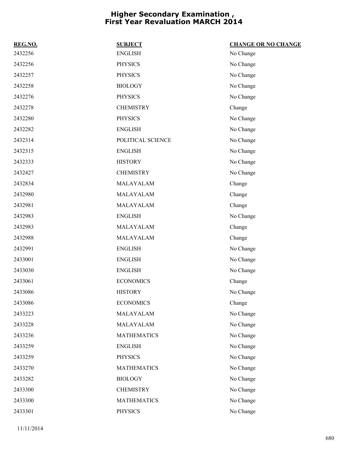| REG.NO. | <b>SUBJECT</b>     | <b>CHANGE OR NO CHANGE</b> |
|---------|--------------------|----------------------------|
| 2432256 | <b>ENGLISH</b>     | No Change                  |
| 2432256 | <b>PHYSICS</b>     | No Change                  |
| 2432257 | <b>PHYSICS</b>     | No Change                  |
| 2432258 | <b>BIOLOGY</b>     | No Change                  |
| 2432276 | <b>PHYSICS</b>     | No Change                  |
| 2432278 | <b>CHEMISTRY</b>   | Change                     |
| 2432280 | <b>PHYSICS</b>     | No Change                  |
| 2432282 | <b>ENGLISH</b>     | No Change                  |
| 2432314 | POLITICAL SCIENCE  | No Change                  |
| 2432315 | <b>ENGLISH</b>     | No Change                  |
| 2432333 | <b>HISTORY</b>     | No Change                  |
| 2432427 | <b>CHEMISTRY</b>   | No Change                  |
| 2432834 | MALAYALAM          | Change                     |
| 2432980 | MALAYALAM          | Change                     |
| 2432981 | MALAYALAM          | Change                     |
| 2432983 | <b>ENGLISH</b>     | No Change                  |
| 2432983 | MALAYALAM          | Change                     |
| 2432988 | MALAYALAM          | Change                     |
| 2432991 | <b>ENGLISH</b>     | No Change                  |
| 2433001 | <b>ENGLISH</b>     | No Change                  |
| 2433030 | <b>ENGLISH</b>     | No Change                  |
| 2433061 | <b>ECONOMICS</b>   | Change                     |
| 2433086 | <b>HISTORY</b>     | No Change                  |
| 2433086 | <b>ECONOMICS</b>   | Change                     |
| 2433223 | MALAYALAM          | No Change                  |
| 2433228 | MALAYALAM          | No Change                  |
| 2433236 | <b>MATHEMATICS</b> | No Change                  |
| 2433259 | <b>ENGLISH</b>     | No Change                  |
| 2433259 | <b>PHYSICS</b>     | No Change                  |
| 2433270 | <b>MATHEMATICS</b> | No Change                  |
| 2433282 | <b>BIOLOGY</b>     | No Change                  |
| 2433300 | <b>CHEMISTRY</b>   | No Change                  |
| 2433300 | <b>MATHEMATICS</b> | No Change                  |
| 2433301 | <b>PHYSICS</b>     | No Change                  |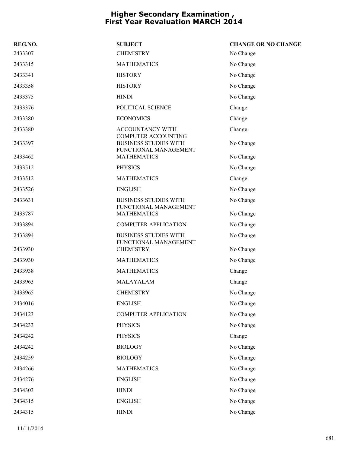| REG.NO. | <b>SUBJECT</b>                                                                      | <b>CHANGE OR NO CHANGE</b> |
|---------|-------------------------------------------------------------------------------------|----------------------------|
| 2433307 | <b>CHEMISTRY</b>                                                                    | No Change                  |
| 2433315 | <b>MATHEMATICS</b>                                                                  | No Change                  |
| 2433341 | <b>HISTORY</b>                                                                      | No Change                  |
| 2433358 | <b>HISTORY</b>                                                                      | No Change                  |
| 2433375 | <b>HINDI</b>                                                                        | No Change                  |
| 2433376 | POLITICAL SCIENCE                                                                   | Change                     |
| 2433380 | <b>ECONOMICS</b>                                                                    | Change                     |
| 2433380 | <b>ACCOUNTANCY WITH</b>                                                             | Change                     |
| 2433397 | <b>COMPUTER ACCOUNTING</b><br><b>BUSINESS STUDIES WITH</b><br>FUNCTIONAL MANAGEMENT | No Change                  |
| 2433462 | <b>MATHEMATICS</b>                                                                  | No Change                  |
| 2433512 | <b>PHYSICS</b>                                                                      | No Change                  |
| 2433512 | <b>MATHEMATICS</b>                                                                  | Change                     |
| 2433526 | <b>ENGLISH</b>                                                                      | No Change                  |
| 2433631 | <b>BUSINESS STUDIES WITH</b>                                                        | No Change                  |
| 2433787 | FUNCTIONAL MANAGEMENT<br><b>MATHEMATICS</b>                                         | No Change                  |
| 2433894 | <b>COMPUTER APPLICATION</b>                                                         | No Change                  |
| 2433894 | <b>BUSINESS STUDIES WITH</b><br>FUNCTIONAL MANAGEMENT                               | No Change                  |
| 2433930 | <b>CHEMISTRY</b>                                                                    | No Change                  |
| 2433930 | <b>MATHEMATICS</b>                                                                  | No Change                  |
| 2433938 | <b>MATHEMATICS</b>                                                                  | Change                     |
| 2433963 | MALAYALAM                                                                           | Change                     |
| 2433965 | <b>CHEMISTRY</b>                                                                    | No Change                  |
| 2434016 | <b>ENGLISH</b>                                                                      | No Change                  |
| 2434123 | <b>COMPUTER APPLICATION</b>                                                         | No Change                  |
| 2434233 | <b>PHYSICS</b>                                                                      | No Change                  |
| 2434242 | <b>PHYSICS</b>                                                                      | Change                     |
| 2434242 | <b>BIOLOGY</b>                                                                      | No Change                  |
| 2434259 | <b>BIOLOGY</b>                                                                      | No Change                  |
| 2434266 | <b>MATHEMATICS</b>                                                                  | No Change                  |
| 2434276 | <b>ENGLISH</b>                                                                      | No Change                  |
| 2434303 | <b>HINDI</b>                                                                        | No Change                  |
| 2434315 | <b>ENGLISH</b>                                                                      | No Change                  |
| 2434315 | <b>HINDI</b>                                                                        | No Change                  |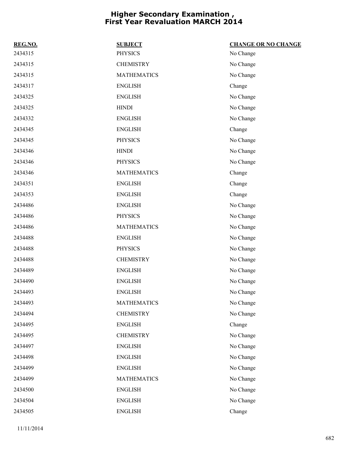| REG.NO. | <b>SUBJECT</b>     | <b>CHANGE OR NO CHANGE</b> |
|---------|--------------------|----------------------------|
| 2434315 | <b>PHYSICS</b>     | No Change                  |
| 2434315 | <b>CHEMISTRY</b>   | No Change                  |
| 2434315 | <b>MATHEMATICS</b> | No Change                  |
| 2434317 | <b>ENGLISH</b>     | Change                     |
| 2434325 | <b>ENGLISH</b>     | No Change                  |
| 2434325 | <b>HINDI</b>       | No Change                  |
| 2434332 | <b>ENGLISH</b>     | No Change                  |
| 2434345 | <b>ENGLISH</b>     | Change                     |
| 2434345 | <b>PHYSICS</b>     | No Change                  |
| 2434346 | <b>HINDI</b>       | No Change                  |
| 2434346 | <b>PHYSICS</b>     | No Change                  |
| 2434346 | <b>MATHEMATICS</b> | Change                     |
| 2434351 | <b>ENGLISH</b>     | Change                     |
| 2434353 | <b>ENGLISH</b>     | Change                     |
| 2434486 | <b>ENGLISH</b>     | No Change                  |
| 2434486 | <b>PHYSICS</b>     | No Change                  |
| 2434486 | <b>MATHEMATICS</b> | No Change                  |
| 2434488 | <b>ENGLISH</b>     | No Change                  |
| 2434488 | <b>PHYSICS</b>     | No Change                  |
| 2434488 | <b>CHEMISTRY</b>   | No Change                  |
| 2434489 | <b>ENGLISH</b>     | No Change                  |
| 2434490 | <b>ENGLISH</b>     | No Change                  |
| 2434493 | <b>ENGLISH</b>     | No Change                  |
| 2434493 | <b>MATHEMATICS</b> | No Change                  |
| 2434494 | <b>CHEMISTRY</b>   | No Change                  |
| 2434495 | <b>ENGLISH</b>     | Change                     |
| 2434495 | <b>CHEMISTRY</b>   | No Change                  |
| 2434497 | <b>ENGLISH</b>     | No Change                  |
| 2434498 | <b>ENGLISH</b>     | No Change                  |
| 2434499 | <b>ENGLISH</b>     | No Change                  |
| 2434499 | <b>MATHEMATICS</b> | No Change                  |
| 2434500 | <b>ENGLISH</b>     | No Change                  |
| 2434504 | <b>ENGLISH</b>     | No Change                  |
| 2434505 | <b>ENGLISH</b>     | Change                     |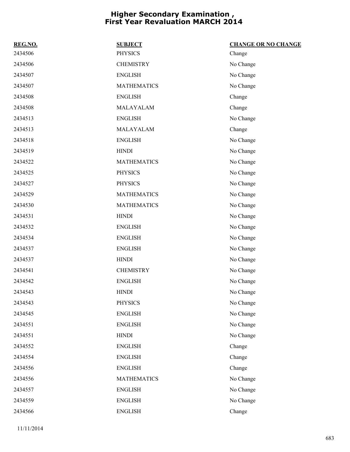| REG.NO. | <b>SUBJECT</b>     | <b>CHANGE OR NO CHANGE</b> |
|---------|--------------------|----------------------------|
| 2434506 | <b>PHYSICS</b>     | Change                     |
| 2434506 | <b>CHEMISTRY</b>   | No Change                  |
| 2434507 | <b>ENGLISH</b>     | No Change                  |
| 2434507 | <b>MATHEMATICS</b> | No Change                  |
| 2434508 | <b>ENGLISH</b>     | Change                     |
| 2434508 | MALAYALAM          | Change                     |
| 2434513 | <b>ENGLISH</b>     | No Change                  |
| 2434513 | MALAYALAM          | Change                     |
| 2434518 | <b>ENGLISH</b>     | No Change                  |
| 2434519 | <b>HINDI</b>       | No Change                  |
| 2434522 | <b>MATHEMATICS</b> | No Change                  |
| 2434525 | <b>PHYSICS</b>     | No Change                  |
| 2434527 | <b>PHYSICS</b>     | No Change                  |
| 2434529 | <b>MATHEMATICS</b> | No Change                  |
| 2434530 | <b>MATHEMATICS</b> | No Change                  |
| 2434531 | <b>HINDI</b>       | No Change                  |
| 2434532 | <b>ENGLISH</b>     | No Change                  |
| 2434534 | <b>ENGLISH</b>     | No Change                  |
| 2434537 | <b>ENGLISH</b>     | No Change                  |
| 2434537 | <b>HINDI</b>       | No Change                  |
| 2434541 | <b>CHEMISTRY</b>   | No Change                  |
| 2434542 | <b>ENGLISH</b>     | No Change                  |
| 2434543 | <b>HINDI</b>       | No Change                  |
| 2434543 | <b>PHYSICS</b>     | No Change                  |
| 2434545 | <b>ENGLISH</b>     | No Change                  |
| 2434551 | <b>ENGLISH</b>     | No Change                  |
| 2434551 | <b>HINDI</b>       | No Change                  |
| 2434552 | <b>ENGLISH</b>     | Change                     |
| 2434554 | <b>ENGLISH</b>     | Change                     |
| 2434556 | <b>ENGLISH</b>     | Change                     |
| 2434556 | <b>MATHEMATICS</b> | No Change                  |
| 2434557 | <b>ENGLISH</b>     | No Change                  |
| 2434559 | <b>ENGLISH</b>     | No Change                  |
| 2434566 | <b>ENGLISH</b>     | Change                     |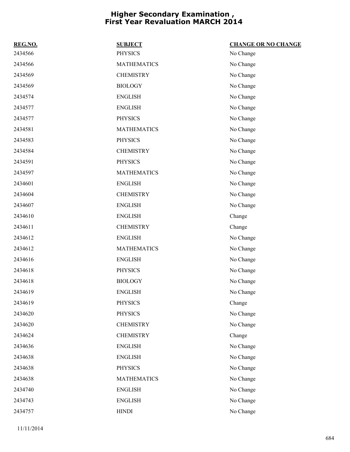| REG.NO. | <b>SUBJECT</b>     | <b>CHANGE OR NO CHANGE</b> |
|---------|--------------------|----------------------------|
| 2434566 | <b>PHYSICS</b>     | No Change                  |
| 2434566 | <b>MATHEMATICS</b> | No Change                  |
| 2434569 | <b>CHEMISTRY</b>   | No Change                  |
| 2434569 | <b>BIOLOGY</b>     | No Change                  |
| 2434574 | <b>ENGLISH</b>     | No Change                  |
| 2434577 | <b>ENGLISH</b>     | No Change                  |
| 2434577 | <b>PHYSICS</b>     | No Change                  |
| 2434581 | <b>MATHEMATICS</b> | No Change                  |
| 2434583 | <b>PHYSICS</b>     | No Change                  |
| 2434584 | <b>CHEMISTRY</b>   | No Change                  |
| 2434591 | <b>PHYSICS</b>     | No Change                  |
| 2434597 | <b>MATHEMATICS</b> | No Change                  |
| 2434601 | <b>ENGLISH</b>     | No Change                  |
| 2434604 | <b>CHEMISTRY</b>   | No Change                  |
| 2434607 | <b>ENGLISH</b>     | No Change                  |
| 2434610 | <b>ENGLISH</b>     | Change                     |
| 2434611 | <b>CHEMISTRY</b>   | Change                     |
| 2434612 | <b>ENGLISH</b>     | No Change                  |
| 2434612 | <b>MATHEMATICS</b> | No Change                  |
| 2434616 | <b>ENGLISH</b>     | No Change                  |
| 2434618 | <b>PHYSICS</b>     | No Change                  |
| 2434618 | <b>BIOLOGY</b>     | No Change                  |
| 2434619 | <b>ENGLISH</b>     | No Change                  |
| 2434619 | <b>PHYSICS</b>     | Change                     |
| 2434620 | <b>PHYSICS</b>     | No Change                  |
| 2434620 | <b>CHEMISTRY</b>   | No Change                  |
| 2434624 | <b>CHEMISTRY</b>   | Change                     |
| 2434636 | <b>ENGLISH</b>     | No Change                  |
| 2434638 | <b>ENGLISH</b>     | No Change                  |
| 2434638 | <b>PHYSICS</b>     | No Change                  |
| 2434638 | <b>MATHEMATICS</b> | No Change                  |
| 2434740 | <b>ENGLISH</b>     | No Change                  |
| 2434743 | <b>ENGLISH</b>     | No Change                  |
| 2434757 | <b>HINDI</b>       | No Change                  |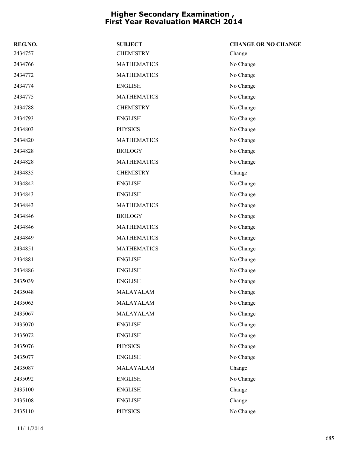| REG.NO. | <b>SUBJECT</b>     | <b>CHANGE OR NO CHANGE</b> |
|---------|--------------------|----------------------------|
| 2434757 | <b>CHEMISTRY</b>   | Change                     |
| 2434766 | <b>MATHEMATICS</b> | No Change                  |
| 2434772 | <b>MATHEMATICS</b> | No Change                  |
| 2434774 | <b>ENGLISH</b>     | No Change                  |
| 2434775 | <b>MATHEMATICS</b> | No Change                  |
| 2434788 | <b>CHEMISTRY</b>   | No Change                  |
| 2434793 | <b>ENGLISH</b>     | No Change                  |
| 2434803 | <b>PHYSICS</b>     | No Change                  |
| 2434820 | <b>MATHEMATICS</b> | No Change                  |
| 2434828 | <b>BIOLOGY</b>     | No Change                  |
| 2434828 | <b>MATHEMATICS</b> | No Change                  |
| 2434835 | <b>CHEMISTRY</b>   | Change                     |
| 2434842 | <b>ENGLISH</b>     | No Change                  |
| 2434843 | <b>ENGLISH</b>     | No Change                  |
| 2434843 | <b>MATHEMATICS</b> | No Change                  |
| 2434846 | <b>BIOLOGY</b>     | No Change                  |
| 2434846 | <b>MATHEMATICS</b> | No Change                  |
| 2434849 | <b>MATHEMATICS</b> | No Change                  |
| 2434851 | <b>MATHEMATICS</b> | No Change                  |
| 2434881 | <b>ENGLISH</b>     | No Change                  |
| 2434886 | <b>ENGLISH</b>     | No Change                  |
| 2435039 | <b>ENGLISH</b>     | No Change                  |
| 2435048 | MALAYALAM          | No Change                  |
| 2435063 | MALAYALAM          | No Change                  |
| 2435067 | MALAYALAM          | No Change                  |
| 2435070 | <b>ENGLISH</b>     | No Change                  |
| 2435072 | <b>ENGLISH</b>     | No Change                  |
| 2435076 | <b>PHYSICS</b>     | No Change                  |
| 2435077 | <b>ENGLISH</b>     | No Change                  |
| 2435087 | MALAYALAM          | Change                     |
| 2435092 | <b>ENGLISH</b>     | No Change                  |
| 2435100 | <b>ENGLISH</b>     | Change                     |
| 2435108 | <b>ENGLISH</b>     | Change                     |
| 2435110 | <b>PHYSICS</b>     | No Change                  |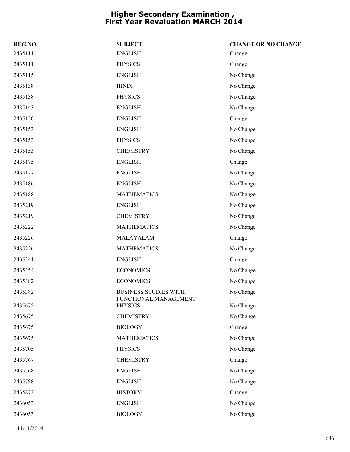| REG.NO. | <b>SUBJECT</b>                          | <b>CHANGE OR NO CHANGE</b> |
|---------|-----------------------------------------|----------------------------|
| 2435111 | <b>ENGLISH</b>                          | Change                     |
| 2435111 | <b>PHYSICS</b>                          | Change                     |
| 2435115 | <b>ENGLISH</b>                          | No Change                  |
| 2435138 | <b>HINDI</b>                            | No Change                  |
| 2435138 | <b>PHYSICS</b>                          | No Change                  |
| 2435143 | <b>ENGLISH</b>                          | No Change                  |
| 2435150 | <b>ENGLISH</b>                          | Change                     |
| 2435153 | <b>ENGLISH</b>                          | No Change                  |
| 2435153 | <b>PHYSICS</b>                          | No Change                  |
| 2435153 | <b>CHEMISTRY</b>                        | No Change                  |
| 2435175 | <b>ENGLISH</b>                          | Change                     |
| 2435177 | <b>ENGLISH</b>                          | No Change                  |
| 2435186 | <b>ENGLISH</b>                          | No Change                  |
| 2435188 | <b>MATHEMATICS</b>                      | No Change                  |
| 2435219 | <b>ENGLISH</b>                          | No Change                  |
| 2435219 | <b>CHEMISTRY</b>                        | No Change                  |
| 2435222 | <b>MATHEMATICS</b>                      | No Change                  |
| 2435226 | MALAYALAM                               | Change                     |
| 2435226 | <b>MATHEMATICS</b>                      | No Change                  |
| 2435341 | <b>ENGLISH</b>                          | Change                     |
| 2435354 | <b>ECONOMICS</b>                        | No Change                  |
| 2435382 | <b>ECONOMICS</b>                        | No Change                  |
| 2435382 | <b>BUSINESS STUDIES WITH</b>            | No Change                  |
| 2435675 | FUNCTIONAL MANAGEMENT<br><b>PHYSICS</b> | No Change                  |
| 2435675 | <b>CHEMISTRY</b>                        | No Change                  |
| 2435675 | <b>BIOLOGY</b>                          | Change                     |
| 2435675 | <b>MATHEMATICS</b>                      | No Change                  |
| 2435705 | PHYSICS                                 | No Change                  |
| 2435767 | <b>CHEMISTRY</b>                        | Change                     |
| 2435768 | <b>ENGLISH</b>                          | No Change                  |
| 2435798 | <b>ENGLISH</b>                          | No Change                  |
| 2435873 | <b>HISTORY</b>                          | Change                     |
| 2436053 | <b>ENGLISH</b>                          | No Change                  |
| 2436053 | <b>BIOLOGY</b>                          | No Change                  |
|         |                                         |                            |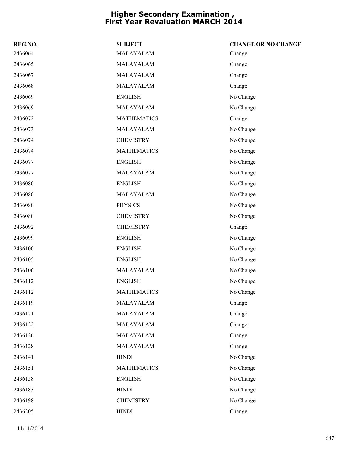| REG.NO. | <b>SUBJECT</b>     | <b>CHANGE OR NO CHANGE</b> |
|---------|--------------------|----------------------------|
| 2436064 | MALAYALAM          | Change                     |
| 2436065 | MALAYALAM          | Change                     |
| 2436067 | MALAYALAM          | Change                     |
| 2436068 | MALAYALAM          | Change                     |
| 2436069 | <b>ENGLISH</b>     | No Change                  |
| 2436069 | MALAYALAM          | No Change                  |
| 2436072 | <b>MATHEMATICS</b> | Change                     |
| 2436073 | MALAYALAM          | No Change                  |
| 2436074 | <b>CHEMISTRY</b>   | No Change                  |
| 2436074 | <b>MATHEMATICS</b> | No Change                  |
| 2436077 | <b>ENGLISH</b>     | No Change                  |
| 2436077 | MALAYALAM          | No Change                  |
| 2436080 | <b>ENGLISH</b>     | No Change                  |
| 2436080 | MALAYALAM          | No Change                  |
| 2436080 | <b>PHYSICS</b>     | No Change                  |
| 2436080 | <b>CHEMISTRY</b>   | No Change                  |
| 2436092 | <b>CHEMISTRY</b>   | Change                     |
| 2436099 | <b>ENGLISH</b>     | No Change                  |
| 2436100 | <b>ENGLISH</b>     | No Change                  |
| 2436105 | <b>ENGLISH</b>     | No Change                  |
| 2436106 | MALAYALAM          | No Change                  |
| 2436112 | <b>ENGLISH</b>     | No Change                  |
| 2436112 | <b>MATHEMATICS</b> | No Change                  |
| 2436119 | MALAYALAM          | Change                     |
| 2436121 | MALAYALAM          | Change                     |
| 2436122 | MALAYALAM          | Change                     |
| 2436126 | MALAYALAM          | Change                     |
| 2436128 | MALAYALAM          | Change                     |
| 2436141 | <b>HINDI</b>       | No Change                  |
| 2436151 | <b>MATHEMATICS</b> | No Change                  |
| 2436158 | <b>ENGLISH</b>     | No Change                  |
| 2436183 | <b>HINDI</b>       | No Change                  |
| 2436198 | <b>CHEMISTRY</b>   | No Change                  |
| 2436205 | <b>HINDI</b>       | Change                     |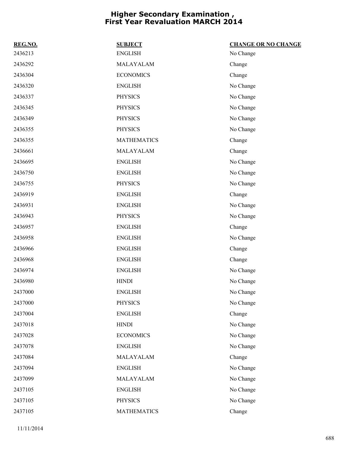| REG.NO. | <b>SUBJECT</b>     | <b>CHANGE OR NO CHANGE</b> |
|---------|--------------------|----------------------------|
| 2436213 | <b>ENGLISH</b>     | No Change                  |
| 2436292 | MALAYALAM          | Change                     |
| 2436304 | <b>ECONOMICS</b>   | Change                     |
| 2436320 | <b>ENGLISH</b>     | No Change                  |
| 2436337 | <b>PHYSICS</b>     | No Change                  |
| 2436345 | <b>PHYSICS</b>     | No Change                  |
| 2436349 | <b>PHYSICS</b>     | No Change                  |
| 2436355 | <b>PHYSICS</b>     | No Change                  |
| 2436355 | <b>MATHEMATICS</b> | Change                     |
| 2436661 | MALAYALAM          | Change                     |
| 2436695 | <b>ENGLISH</b>     | No Change                  |
| 2436750 | <b>ENGLISH</b>     | No Change                  |
| 2436755 | <b>PHYSICS</b>     | No Change                  |
| 2436919 | <b>ENGLISH</b>     | Change                     |
| 2436931 | <b>ENGLISH</b>     | No Change                  |
| 2436943 | <b>PHYSICS</b>     | No Change                  |
| 2436957 | <b>ENGLISH</b>     | Change                     |
| 2436958 | <b>ENGLISH</b>     | No Change                  |
| 2436966 | <b>ENGLISH</b>     | Change                     |
| 2436968 | <b>ENGLISH</b>     | Change                     |
| 2436974 | <b>ENGLISH</b>     | No Change                  |
| 2436980 | <b>HINDI</b>       | No Change                  |
| 2437000 | <b>ENGLISH</b>     | No Change                  |
| 2437000 | <b>PHYSICS</b>     | No Change                  |
| 2437004 | <b>ENGLISH</b>     | Change                     |
| 2437018 | <b>HINDI</b>       | No Change                  |
| 2437028 | <b>ECONOMICS</b>   | No Change                  |
| 2437078 | <b>ENGLISH</b>     | No Change                  |
| 2437084 | MALAYALAM          | Change                     |
| 2437094 | <b>ENGLISH</b>     | No Change                  |
| 2437099 | MALAYALAM          | No Change                  |
| 2437105 | <b>ENGLISH</b>     | No Change                  |
| 2437105 | <b>PHYSICS</b>     | No Change                  |
| 2437105 | <b>MATHEMATICS</b> | Change                     |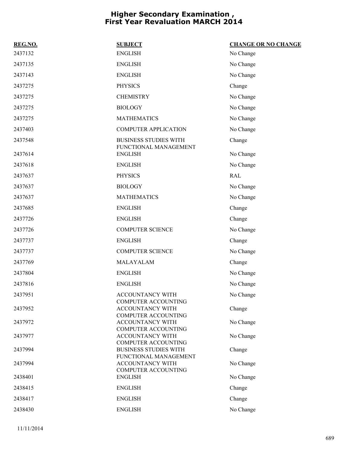| REG.NO. | <b>SUBJECT</b>                                        | <b>CHANGE OR NO CHANGE</b> |
|---------|-------------------------------------------------------|----------------------------|
| 2437132 | <b>ENGLISH</b>                                        | No Change                  |
| 2437135 | <b>ENGLISH</b>                                        | No Change                  |
| 2437143 | <b>ENGLISH</b>                                        | No Change                  |
| 2437275 | <b>PHYSICS</b>                                        | Change                     |
| 2437275 | <b>CHEMISTRY</b>                                      | No Change                  |
| 2437275 | <b>BIOLOGY</b>                                        | No Change                  |
| 2437275 | <b>MATHEMATICS</b>                                    | No Change                  |
| 2437403 | <b>COMPUTER APPLICATION</b>                           | No Change                  |
| 2437548 | <b>BUSINESS STUDIES WITH</b><br>FUNCTIONAL MANAGEMENT | Change                     |
| 2437614 | <b>ENGLISH</b>                                        | No Change                  |
| 2437618 | <b>ENGLISH</b>                                        | No Change                  |
| 2437637 | <b>PHYSICS</b>                                        | <b>RAL</b>                 |
| 2437637 | <b>BIOLOGY</b>                                        | No Change                  |
| 2437637 | <b>MATHEMATICS</b>                                    | No Change                  |
| 2437685 | <b>ENGLISH</b>                                        | Change                     |
| 2437726 | <b>ENGLISH</b>                                        | Change                     |
| 2437726 | <b>COMPUTER SCIENCE</b>                               | No Change                  |
| 2437737 | <b>ENGLISH</b>                                        | Change                     |
| 2437737 | <b>COMPUTER SCIENCE</b>                               | No Change                  |
| 2437769 | MALAYALAM                                             | Change                     |
| 2437804 | <b>ENGLISH</b>                                        | No Change                  |
| 2437816 | <b>ENGLISH</b>                                        | No Change                  |
| 2437951 | ACCOUNTANCY WITH<br>COMPUTER ACCOUNTING               | No Change                  |
| 2437952 | <b>ACCOUNTANCY WITH</b><br><b>COMPUTER ACCOUNTING</b> | Change                     |
| 2437972 | <b>ACCOUNTANCY WITH</b><br>COMPUTER ACCOUNTING        | No Change                  |
| 2437977 | ACCOUNTANCY WITH<br><b>COMPUTER ACCOUNTING</b>        | No Change                  |
| 2437994 | <b>BUSINESS STUDIES WITH</b><br>FUNCTIONAL MANAGEMENT | Change                     |
| 2437994 | ACCOUNTANCY WITH<br><b>COMPUTER ACCOUNTING</b>        | No Change                  |
| 2438401 | <b>ENGLISH</b>                                        | No Change                  |
| 2438415 | <b>ENGLISH</b>                                        | Change                     |
| 2438417 | <b>ENGLISH</b>                                        | Change                     |
| 2438430 | <b>ENGLISH</b>                                        | No Change                  |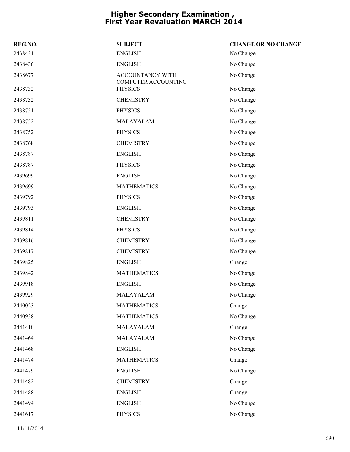| REG.NO. | <b>SUBJECT</b>                          | <b>CHANGE OR NO CHANGE</b> |
|---------|-----------------------------------------|----------------------------|
| 2438431 | <b>ENGLISH</b>                          | No Change                  |
| 2438436 | <b>ENGLISH</b>                          | No Change                  |
| 2438677 | ACCOUNTANCY WITH<br>COMPUTER ACCOUNTING | No Change                  |
| 2438732 | <b>PHYSICS</b>                          | No Change                  |
| 2438732 | <b>CHEMISTRY</b>                        | No Change                  |
| 2438751 | <b>PHYSICS</b>                          | No Change                  |
| 2438752 | MALAYALAM                               | No Change                  |
| 2438752 | <b>PHYSICS</b>                          | No Change                  |
| 2438768 | <b>CHEMISTRY</b>                        | No Change                  |
| 2438787 | <b>ENGLISH</b>                          | No Change                  |
| 2438787 | <b>PHYSICS</b>                          | No Change                  |
| 2439699 | <b>ENGLISH</b>                          | No Change                  |
| 2439699 | <b>MATHEMATICS</b>                      | No Change                  |
| 2439792 | <b>PHYSICS</b>                          | No Change                  |
| 2439793 | <b>ENGLISH</b>                          | No Change                  |
| 2439811 | <b>CHEMISTRY</b>                        | No Change                  |
| 2439814 | <b>PHYSICS</b>                          | No Change                  |
| 2439816 | <b>CHEMISTRY</b>                        | No Change                  |
| 2439817 | <b>CHEMISTRY</b>                        | No Change                  |
| 2439825 | <b>ENGLISH</b>                          | Change                     |
| 2439842 | <b>MATHEMATICS</b>                      | No Change                  |
| 2439918 | <b>ENGLISH</b>                          | No Change                  |
| 2439929 | MALAYALAM                               | No Change                  |
| 2440023 | <b>MATHEMATICS</b>                      | Change                     |
| 2440938 | <b>MATHEMATICS</b>                      | No Change                  |
| 2441410 | MALAYALAM                               | Change                     |
| 2441464 | MALAYALAM                               | No Change                  |
| 2441468 | <b>ENGLISH</b>                          | No Change                  |
| 2441474 | <b>MATHEMATICS</b>                      | Change                     |
| 2441479 | <b>ENGLISH</b>                          | No Change                  |
| 2441482 | <b>CHEMISTRY</b>                        | Change                     |
| 2441488 | <b>ENGLISH</b>                          | Change                     |
| 2441494 | <b>ENGLISH</b>                          | No Change                  |
| 2441617 | <b>PHYSICS</b>                          | No Change                  |
|         |                                         |                            |

11/11/2014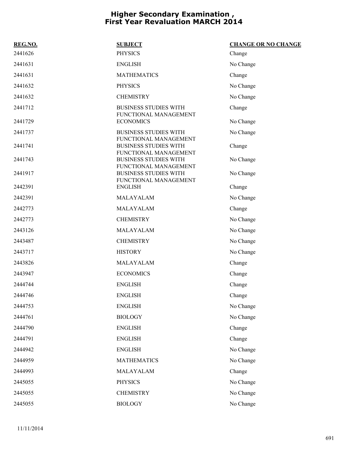| REG.NO. | <b>SUBJECT</b>                                        | <b>CHANGE OR NO CHANGE</b> |
|---------|-------------------------------------------------------|----------------------------|
| 2441626 | <b>PHYSICS</b>                                        | Change                     |
| 2441631 | <b>ENGLISH</b>                                        | No Change                  |
| 2441631 | <b>MATHEMATICS</b>                                    | Change                     |
| 2441632 | <b>PHYSICS</b>                                        | No Change                  |
| 2441632 | <b>CHEMISTRY</b>                                      | No Change                  |
| 2441712 | <b>BUSINESS STUDIES WITH</b><br>FUNCTIONAL MANAGEMENT | Change                     |
| 2441729 | <b>ECONOMICS</b>                                      | No Change                  |
| 2441737 | <b>BUSINESS STUDIES WITH</b><br>FUNCTIONAL MANAGEMENT | No Change                  |
| 2441741 | <b>BUSINESS STUDIES WITH</b><br>FUNCTIONAL MANAGEMENT | Change                     |
| 2441743 | <b>BUSINESS STUDIES WITH</b><br>FUNCTIONAL MANAGEMENT | No Change                  |
| 2441917 | <b>BUSINESS STUDIES WITH</b><br>FUNCTIONAL MANAGEMENT | No Change                  |
| 2442391 | <b>ENGLISH</b>                                        | Change                     |
| 2442391 | MALAYALAM                                             | No Change                  |
| 2442773 | MALAYALAM                                             | Change                     |
| 2442773 | <b>CHEMISTRY</b>                                      | No Change                  |
| 2443126 | MALAYALAM                                             | No Change                  |
| 2443487 | <b>CHEMISTRY</b>                                      | No Change                  |
| 2443717 | <b>HISTORY</b>                                        | No Change                  |
| 2443826 | MALAYALAM                                             | Change                     |
| 2443947 | <b>ECONOMICS</b>                                      | Change                     |
| 2444744 | <b>ENGLISH</b>                                        | Change                     |
| 2444746 | <b>ENGLISH</b>                                        | Change                     |
| 2444753 | <b>ENGLISH</b>                                        | No Change                  |
| 2444761 | <b>BIOLOGY</b>                                        | No Change                  |
| 2444790 | <b>ENGLISH</b>                                        | Change                     |
| 2444791 | <b>ENGLISH</b>                                        | Change                     |
| 2444942 | <b>ENGLISH</b>                                        | No Change                  |
| 2444959 | <b>MATHEMATICS</b>                                    | No Change                  |
| 2444993 | MALAYALAM                                             | Change                     |
| 2445055 | <b>PHYSICS</b>                                        | No Change                  |
| 2445055 | <b>CHEMISTRY</b>                                      | No Change                  |
| 2445055 | <b>BIOLOGY</b>                                        | No Change                  |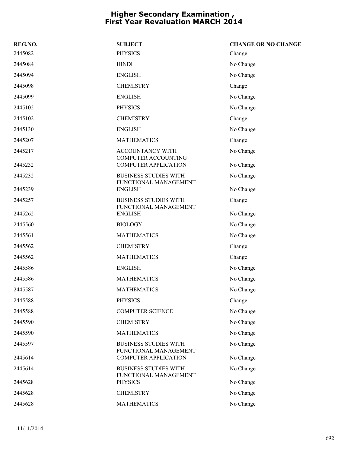| REG.NO. | <b>SUBJECT</b>                                        | <b>CHANGE OR NO CHANGE</b> |
|---------|-------------------------------------------------------|----------------------------|
| 2445082 | <b>PHYSICS</b>                                        | Change                     |
| 2445084 | <b>HINDI</b>                                          | No Change                  |
| 2445094 | <b>ENGLISH</b>                                        | No Change                  |
| 2445098 | <b>CHEMISTRY</b>                                      | Change                     |
| 2445099 | <b>ENGLISH</b>                                        | No Change                  |
| 2445102 | <b>PHYSICS</b>                                        | No Change                  |
| 2445102 | <b>CHEMISTRY</b>                                      | Change                     |
| 2445130 | <b>ENGLISH</b>                                        | No Change                  |
| 2445207 | <b>MATHEMATICS</b>                                    | Change                     |
| 2445217 | ACCOUNTANCY WITH<br><b>COMPUTER ACCOUNTING</b>        | No Change                  |
| 2445232 | <b>COMPUTER APPLICATION</b>                           | No Change                  |
| 2445232 | <b>BUSINESS STUDIES WITH</b><br>FUNCTIONAL MANAGEMENT | No Change                  |
| 2445239 | <b>ENGLISH</b>                                        | No Change                  |
| 2445257 | <b>BUSINESS STUDIES WITH</b><br>FUNCTIONAL MANAGEMENT | Change                     |
| 2445262 | <b>ENGLISH</b>                                        | No Change                  |
| 2445560 | <b>BIOLOGY</b>                                        | No Change                  |
| 2445561 | <b>MATHEMATICS</b>                                    | No Change                  |
| 2445562 | <b>CHEMISTRY</b>                                      | Change                     |
| 2445562 | <b>MATHEMATICS</b>                                    | Change                     |
| 2445586 | <b>ENGLISH</b>                                        | No Change                  |
| 2445586 | <b>MATHEMATICS</b>                                    | No Change                  |
| 2445587 | <b>MATHEMATICS</b>                                    | No Change                  |
| 2445588 | <b>PHYSICS</b>                                        | Change                     |
| 2445588 | <b>COMPUTER SCIENCE</b>                               | No Change                  |
| 2445590 | <b>CHEMISTRY</b>                                      | No Change                  |
| 2445590 | <b>MATHEMATICS</b>                                    | No Change                  |
| 2445597 | <b>BUSINESS STUDIES WITH</b><br>FUNCTIONAL MANAGEMENT | No Change                  |
| 2445614 | <b>COMPUTER APPLICATION</b>                           | No Change                  |
| 2445614 | <b>BUSINESS STUDIES WITH</b><br>FUNCTIONAL MANAGEMENT | No Change                  |
| 2445628 | <b>PHYSICS</b>                                        | No Change                  |
| 2445628 | <b>CHEMISTRY</b>                                      | No Change                  |
| 2445628 | <b>MATHEMATICS</b>                                    | No Change                  |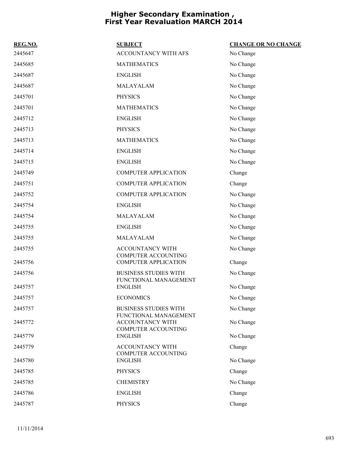| REG.NO. | <b>SUBJECT</b>                                        | <b>CHANGE OR NO CHANGE</b> |
|---------|-------------------------------------------------------|----------------------------|
| 2445647 | ACCOUNTANCY WITH AFS                                  | No Change                  |
| 2445685 | <b>MATHEMATICS</b>                                    | No Change                  |
| 2445687 | <b>ENGLISH</b>                                        | No Change                  |
| 2445687 | MALAYALAM                                             | No Change                  |
| 2445701 | <b>PHYSICS</b>                                        | No Change                  |
| 2445701 | <b>MATHEMATICS</b>                                    | No Change                  |
| 2445712 | <b>ENGLISH</b>                                        | No Change                  |
| 2445713 | <b>PHYSICS</b>                                        | No Change                  |
| 2445713 | <b>MATHEMATICS</b>                                    | No Change                  |
| 2445714 | <b>ENGLISH</b>                                        | No Change                  |
| 2445715 | <b>ENGLISH</b>                                        | No Change                  |
| 2445749 | <b>COMPUTER APPLICATION</b>                           | Change                     |
| 2445751 | <b>COMPUTER APPLICATION</b>                           | Change                     |
| 2445752 | <b>COMPUTER APPLICATION</b>                           | No Change                  |
| 2445754 | <b>ENGLISH</b>                                        | No Change                  |
| 2445754 | MALAYALAM                                             | No Change                  |
| 2445755 | <b>ENGLISH</b>                                        | No Change                  |
| 2445755 | MALAYALAM                                             | No Change                  |
| 2445755 | ACCOUNTANCY WITH                                      | No Change                  |
| 2445756 | <b>COMPUTER ACCOUNTING</b><br>COMPUTER APPLICATION    | Change                     |
| 2445756 | <b>BUSINESS STUDIES WITH</b>                          | No Change                  |
| 2445757 | FUNCTIONAL MANAGEMENT<br><b>ENGLISH</b>               | No Change                  |
| 2445757 | <b>ECONOMICS</b>                                      | No Change                  |
| 2445757 | <b>BUSINESS STUDIES WITH</b>                          | No Change                  |
|         | FUNCTIONAL MANAGEMENT                                 |                            |
| 2445772 | <b>ACCOUNTANCY WITH</b><br><b>COMPUTER ACCOUNTING</b> | No Change                  |
| 2445779 | <b>ENGLISH</b>                                        | No Change                  |
| 2445779 | ACCOUNTANCY WITH                                      | Change                     |
| 2445780 | <b>COMPUTER ACCOUNTING</b><br><b>ENGLISH</b>          | No Change                  |
| 2445785 | <b>PHYSICS</b>                                        | Change                     |
| 2445785 | <b>CHEMISTRY</b>                                      | No Change                  |
| 2445786 | <b>ENGLISH</b>                                        | Change                     |
| 2445787 | <b>PHYSICS</b>                                        | Change                     |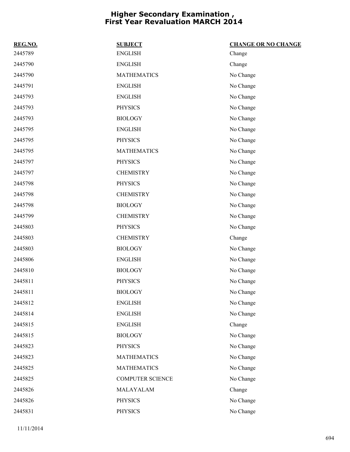| REG.NO. | <b>SUBJECT</b>          | <b>CHANGE OR NO CHANGE</b> |
|---------|-------------------------|----------------------------|
| 2445789 | ${\rm ENGLISH}$         | Change                     |
| 2445790 | <b>ENGLISH</b>          | Change                     |
| 2445790 | <b>MATHEMATICS</b>      | No Change                  |
| 2445791 | <b>ENGLISH</b>          | No Change                  |
| 2445793 | <b>ENGLISH</b>          | No Change                  |
| 2445793 | <b>PHYSICS</b>          | No Change                  |
| 2445793 | <b>BIOLOGY</b>          | No Change                  |
| 2445795 | <b>ENGLISH</b>          | No Change                  |
| 2445795 | <b>PHYSICS</b>          | No Change                  |
| 2445795 | <b>MATHEMATICS</b>      | No Change                  |
| 2445797 | <b>PHYSICS</b>          | No Change                  |
| 2445797 | <b>CHEMISTRY</b>        | No Change                  |
| 2445798 | <b>PHYSICS</b>          | No Change                  |
| 2445798 | <b>CHEMISTRY</b>        | No Change                  |
| 2445798 | <b>BIOLOGY</b>          | No Change                  |
| 2445799 | <b>CHEMISTRY</b>        | No Change                  |
| 2445803 | <b>PHYSICS</b>          | No Change                  |
| 2445803 | <b>CHEMISTRY</b>        | Change                     |
| 2445803 | <b>BIOLOGY</b>          | No Change                  |
| 2445806 | <b>ENGLISH</b>          | No Change                  |
| 2445810 | <b>BIOLOGY</b>          | No Change                  |
| 2445811 | <b>PHYSICS</b>          | No Change                  |
| 2445811 | <b>BIOLOGY</b>          | No Change                  |
| 2445812 | <b>ENGLISH</b>          | No Change                  |
| 2445814 | <b>ENGLISH</b>          | No Change                  |
| 2445815 | <b>ENGLISH</b>          | Change                     |
| 2445815 | <b>BIOLOGY</b>          | No Change                  |
| 2445823 | <b>PHYSICS</b>          | No Change                  |
| 2445823 | <b>MATHEMATICS</b>      | No Change                  |
| 2445825 | <b>MATHEMATICS</b>      | No Change                  |
| 2445825 | <b>COMPUTER SCIENCE</b> | No Change                  |
| 2445826 | MALAYALAM               | Change                     |
| 2445826 | <b>PHYSICS</b>          | No Change                  |
| 2445831 | <b>PHYSICS</b>          | No Change                  |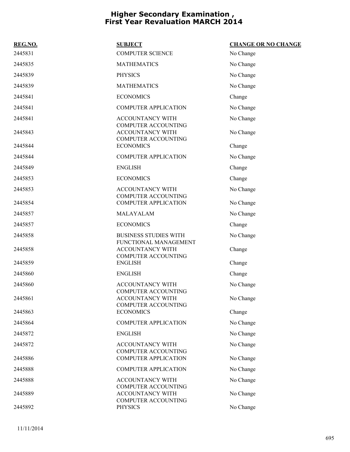| REG.NO. | <b>SUBJECT</b>                                                                      | <b>CHANGE OR NO CHANGE</b> |
|---------|-------------------------------------------------------------------------------------|----------------------------|
| 2445831 | <b>COMPUTER SCIENCE</b>                                                             | No Change                  |
| 2445835 | <b>MATHEMATICS</b>                                                                  | No Change                  |
| 2445839 | <b>PHYSICS</b>                                                                      | No Change                  |
| 2445839 | <b>MATHEMATICS</b>                                                                  | No Change                  |
| 2445841 | <b>ECONOMICS</b>                                                                    | Change                     |
| 2445841 | <b>COMPUTER APPLICATION</b>                                                         | No Change                  |
| 2445841 | <b>ACCOUNTANCY WITH</b>                                                             | No Change                  |
| 2445843 | <b>COMPUTER ACCOUNTING</b><br><b>ACCOUNTANCY WITH</b><br><b>COMPUTER ACCOUNTING</b> | No Change                  |
| 2445844 | <b>ECONOMICS</b>                                                                    | Change                     |
| 2445844 | <b>COMPUTER APPLICATION</b>                                                         | No Change                  |
| 2445849 | <b>ENGLISH</b>                                                                      | Change                     |
| 2445853 | <b>ECONOMICS</b>                                                                    | Change                     |
| 2445853 | <b>ACCOUNTANCY WITH</b>                                                             | No Change                  |
| 2445854 | <b>COMPUTER ACCOUNTING</b><br><b>COMPUTER APPLICATION</b>                           | No Change                  |
| 2445857 | MALAYALAM                                                                           | No Change                  |
| 2445857 | <b>ECONOMICS</b>                                                                    | Change                     |
| 2445858 | <b>BUSINESS STUDIES WITH</b>                                                        | No Change                  |
| 2445858 | FUNCTIONAL MANAGEMENT<br><b>ACCOUNTANCY WITH</b><br><b>COMPUTER ACCOUNTING</b>      | Change                     |
| 2445859 | <b>ENGLISH</b>                                                                      | Change                     |
| 2445860 | <b>ENGLISH</b>                                                                      | Change                     |
| 2445860 | <b>ACCOUNTANCY WITH</b><br><b>COMPUTER ACCOUNTING</b>                               | No Change                  |
| 2445861 | ACCOUNTANCY WITH<br><b>COMPUTER ACCOUNTING</b>                                      | No Change                  |
| 2445863 | <b>ECONOMICS</b>                                                                    | Change                     |
| 2445864 | <b>COMPUTER APPLICATION</b>                                                         | No Change                  |
| 2445872 | <b>ENGLISH</b>                                                                      | No Change                  |
| 2445872 | ACCOUNTANCY WITH<br><b>COMPUTER ACCOUNTING</b>                                      | No Change                  |
| 2445886 | <b>COMPUTER APPLICATION</b>                                                         | No Change                  |
| 2445888 | <b>COMPUTER APPLICATION</b>                                                         | No Change                  |
| 2445888 | ACCOUNTANCY WITH<br><b>COMPUTER ACCOUNTING</b>                                      | No Change                  |
| 2445889 | ACCOUNTANCY WITH<br>COMPUTER ACCOUNTING                                             | No Change                  |
| 2445892 | <b>PHYSICS</b>                                                                      | No Change                  |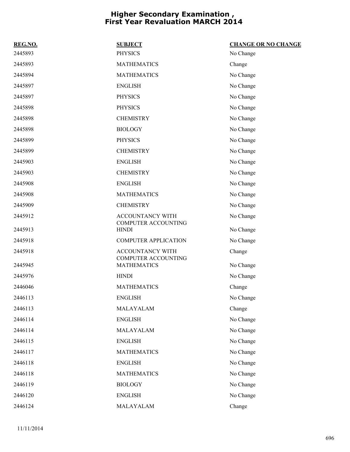| REG.NO. | <b>SUBJECT</b>                                        | <b>CHANGE OR NO CHANGE</b> |
|---------|-------------------------------------------------------|----------------------------|
| 2445893 | <b>PHYSICS</b>                                        | No Change                  |
| 2445893 | <b>MATHEMATICS</b>                                    | Change                     |
| 2445894 | <b>MATHEMATICS</b>                                    | No Change                  |
| 2445897 | <b>ENGLISH</b>                                        | No Change                  |
| 2445897 | <b>PHYSICS</b>                                        | No Change                  |
| 2445898 | <b>PHYSICS</b>                                        | No Change                  |
| 2445898 | <b>CHEMISTRY</b>                                      | No Change                  |
| 2445898 | <b>BIOLOGY</b>                                        | No Change                  |
| 2445899 | <b>PHYSICS</b>                                        | No Change                  |
| 2445899 | <b>CHEMISTRY</b>                                      | No Change                  |
| 2445903 | <b>ENGLISH</b>                                        | No Change                  |
| 2445903 | <b>CHEMISTRY</b>                                      | No Change                  |
| 2445908 | <b>ENGLISH</b>                                        | No Change                  |
| 2445908 | <b>MATHEMATICS</b>                                    | No Change                  |
| 2445909 | <b>CHEMISTRY</b>                                      | No Change                  |
| 2445912 | ACCOUNTANCY WITH<br><b>COMPUTER ACCOUNTING</b>        | No Change                  |
| 2445913 | <b>HINDI</b>                                          | No Change                  |
| 2445918 | <b>COMPUTER APPLICATION</b>                           | No Change                  |
| 2445918 | <b>ACCOUNTANCY WITH</b><br><b>COMPUTER ACCOUNTING</b> | Change                     |
| 2445945 | <b>MATHEMATICS</b>                                    | No Change                  |
| 2445976 | <b>HINDI</b>                                          | No Change                  |
| 2446046 | <b>MATHEMATICS</b>                                    | Change                     |
| 2446113 | ENGLISH                                               | No Change                  |
| 2446113 | MALAYALAM                                             | Change                     |
| 2446114 | <b>ENGLISH</b>                                        | No Change                  |
| 2446114 | MALAYALAM                                             | No Change                  |
| 2446115 | <b>ENGLISH</b>                                        | No Change                  |
| 2446117 | <b>MATHEMATICS</b>                                    | No Change                  |
| 2446118 | <b>ENGLISH</b>                                        | No Change                  |
| 2446118 | <b>MATHEMATICS</b>                                    | No Change                  |
| 2446119 | <b>BIOLOGY</b>                                        | No Change                  |
| 2446120 | <b>ENGLISH</b>                                        | No Change                  |
| 2446124 | MALAYALAM                                             | Change                     |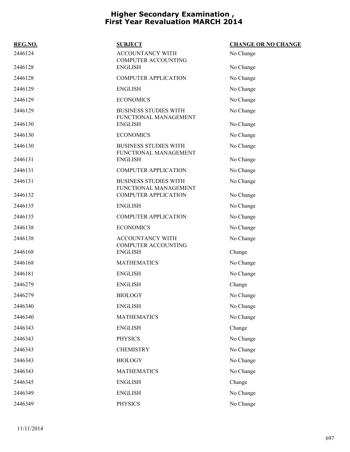| REG.NO. | <b>SUBJECT</b>                                        | <b>CHANGE OR NO CHANGE</b> |
|---------|-------------------------------------------------------|----------------------------|
| 2446124 | <b>ACCOUNTANCY WITH</b><br><b>COMPUTER ACCOUNTING</b> | No Change                  |
| 2446128 | <b>ENGLISH</b>                                        | No Change                  |
| 2446128 | <b>COMPUTER APPLICATION</b>                           | No Change                  |
| 2446129 | <b>ENGLISH</b>                                        | No Change                  |
| 2446129 | <b>ECONOMICS</b>                                      | No Change                  |
| 2446129 | <b>BUSINESS STUDIES WITH</b><br>FUNCTIONAL MANAGEMENT | No Change                  |
| 2446130 | <b>ENGLISH</b>                                        | No Change                  |
| 2446130 | <b>ECONOMICS</b>                                      | No Change                  |
| 2446130 | <b>BUSINESS STUDIES WITH</b><br>FUNCTIONAL MANAGEMENT | No Change                  |
| 2446131 | <b>ENGLISH</b>                                        | No Change                  |
| 2446131 | <b>COMPUTER APPLICATION</b>                           | No Change                  |
| 2446131 | <b>BUSINESS STUDIES WITH</b><br>FUNCTIONAL MANAGEMENT | No Change                  |
| 2446132 | <b>COMPUTER APPLICATION</b>                           | No Change                  |
| 2446135 | <b>ENGLISH</b>                                        | No Change                  |
| 2446135 | <b>COMPUTER APPLICATION</b>                           | No Change                  |
| 2446138 | <b>ECONOMICS</b>                                      | No Change                  |
| 2446138 | ACCOUNTANCY WITH<br><b>COMPUTER ACCOUNTING</b>        | No Change                  |
| 2446168 | <b>ENGLISH</b>                                        | Change                     |
| 2446168 | <b>MATHEMATICS</b>                                    | No Change                  |
| 2446181 | <b>ENGLISH</b>                                        | No Change                  |
| 2446279 | <b>ENGLISH</b>                                        | Change                     |
| 2446279 | <b>BIOLOGY</b>                                        | No Change                  |
| 2446340 | <b>ENGLISH</b>                                        | No Change                  |
| 2446340 | <b>MATHEMATICS</b>                                    | No Change                  |
| 2446343 | <b>ENGLISH</b>                                        | Change                     |
| 2446343 | <b>PHYSICS</b>                                        | No Change                  |
| 2446343 | <b>CHEMISTRY</b>                                      | No Change                  |
| 2446343 | <b>BIOLOGY</b>                                        | No Change                  |
| 2446343 | <b>MATHEMATICS</b>                                    | No Change                  |
| 2446345 | <b>ENGLISH</b>                                        | Change                     |
| 2446349 | <b>ENGLISH</b>                                        | No Change                  |
| 2446349 | <b>PHYSICS</b>                                        | No Change                  |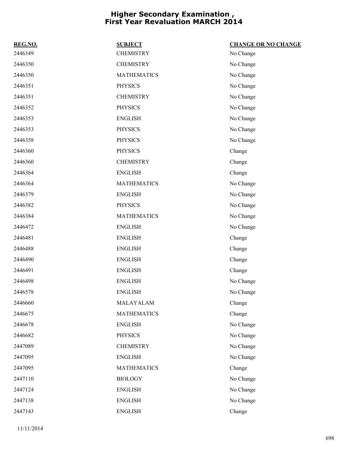| REG.NO. | <b>SUBJECT</b>     | <b>CHANGE OR NO CHANGE</b> |
|---------|--------------------|----------------------------|
| 2446349 | <b>CHEMISTRY</b>   | No Change                  |
| 2446350 | <b>CHEMISTRY</b>   | No Change                  |
| 2446350 | <b>MATHEMATICS</b> | No Change                  |
| 2446351 | <b>PHYSICS</b>     | No Change                  |
| 2446351 | <b>CHEMISTRY</b>   | No Change                  |
| 2446352 | <b>PHYSICS</b>     | No Change                  |
| 2446353 | <b>ENGLISH</b>     | No Change                  |
| 2446353 | <b>PHYSICS</b>     | No Change                  |
| 2446358 | <b>PHYSICS</b>     | No Change                  |
| 2446360 | <b>PHYSICS</b>     | Change                     |
| 2446360 | <b>CHEMISTRY</b>   | Change                     |
| 2446364 | <b>ENGLISH</b>     | Change                     |
| 2446364 | <b>MATHEMATICS</b> | No Change                  |
| 2446379 | <b>ENGLISH</b>     | No Change                  |
| 2446382 | <b>PHYSICS</b>     | No Change                  |
| 2446384 | <b>MATHEMATICS</b> | No Change                  |
| 2446472 | <b>ENGLISH</b>     | No Change                  |
| 2446481 | <b>ENGLISH</b>     | Change                     |
| 2446488 | <b>ENGLISH</b>     | Change                     |
| 2446490 | <b>ENGLISH</b>     | Change                     |
| 2446491 | <b>ENGLISH</b>     | Change                     |
| 2446498 | <b>ENGLISH</b>     | No Change                  |
| 2446578 | <b>ENGLISH</b>     | No Change                  |
| 2446660 | MALAYALAM          | Change                     |
| 2446675 | <b>MATHEMATICS</b> | Change                     |
| 2446678 | <b>ENGLISH</b>     | No Change                  |
| 2446682 | <b>PHYSICS</b>     | No Change                  |
| 2447089 | <b>CHEMISTRY</b>   | No Change                  |
| 2447095 | <b>ENGLISH</b>     | No Change                  |
| 2447095 | <b>MATHEMATICS</b> | Change                     |
| 2447110 | <b>BIOLOGY</b>     | No Change                  |
| 2447124 | <b>ENGLISH</b>     | No Change                  |
| 2447138 | <b>ENGLISH</b>     | No Change                  |
| 2447143 | <b>ENGLISH</b>     | Change                     |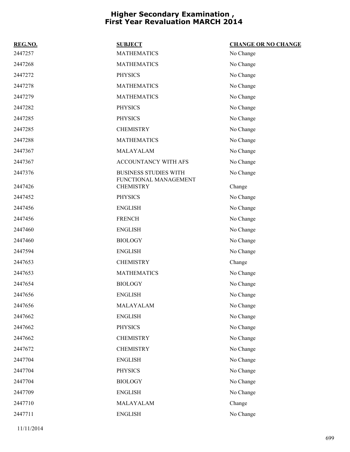| REG.NO. | <b>SUBJECT</b>                                        | <b>CHANGE OR NO CHANGE</b> |
|---------|-------------------------------------------------------|----------------------------|
| 2447257 | <b>MATHEMATICS</b>                                    | No Change                  |
| 2447268 | <b>MATHEMATICS</b>                                    | No Change                  |
| 2447272 | <b>PHYSICS</b>                                        | No Change                  |
| 2447278 | <b>MATHEMATICS</b>                                    | No Change                  |
| 2447279 | <b>MATHEMATICS</b>                                    | No Change                  |
| 2447282 | <b>PHYSICS</b>                                        | No Change                  |
| 2447285 | <b>PHYSICS</b>                                        | No Change                  |
| 2447285 | <b>CHEMISTRY</b>                                      | No Change                  |
| 2447288 | <b>MATHEMATICS</b>                                    | No Change                  |
| 2447367 | MALAYALAM                                             | No Change                  |
| 2447367 | ACCOUNTANCY WITH AFS                                  | No Change                  |
| 2447376 | <b>BUSINESS STUDIES WITH</b><br>FUNCTIONAL MANAGEMENT | No Change                  |
| 2447426 | <b>CHEMISTRY</b>                                      | Change                     |
| 2447452 | <b>PHYSICS</b>                                        | No Change                  |
| 2447456 | <b>ENGLISH</b>                                        | No Change                  |
| 2447456 | <b>FRENCH</b>                                         | No Change                  |
| 2447460 | <b>ENGLISH</b>                                        | No Change                  |
| 2447460 | <b>BIOLOGY</b>                                        | No Change                  |
| 2447594 | <b>ENGLISH</b>                                        | No Change                  |
| 2447653 | <b>CHEMISTRY</b>                                      | Change                     |
| 2447653 | <b>MATHEMATICS</b>                                    | No Change                  |
| 2447654 | <b>BIOLOGY</b>                                        | No Change                  |
| 2447656 | <b>ENGLISH</b>                                        | No Change                  |
| 2447656 | MALAYALAM                                             | No Change                  |
| 2447662 | <b>ENGLISH</b>                                        | No Change                  |
| 2447662 | <b>PHYSICS</b>                                        | No Change                  |
| 2447662 | <b>CHEMISTRY</b>                                      | No Change                  |
| 2447672 | <b>CHEMISTRY</b>                                      | No Change                  |
| 2447704 | <b>ENGLISH</b>                                        | No Change                  |
| 2447704 | <b>PHYSICS</b>                                        | No Change                  |
| 2447704 | <b>BIOLOGY</b>                                        | No Change                  |
| 2447709 | <b>ENGLISH</b>                                        | No Change                  |
| 2447710 | MALAYALAM                                             | Change                     |
| 2447711 | <b>ENGLISH</b>                                        | No Change                  |
|         |                                                       |                            |

11/11/2014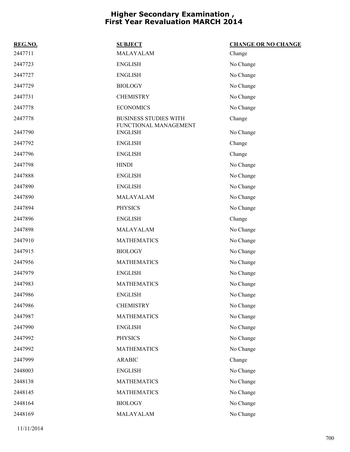| REG.NO. | <b>SUBJECT</b>                                        | <b>CHANGE OR NO CHANGE</b> |
|---------|-------------------------------------------------------|----------------------------|
| 2447711 | MALAYALAM                                             | Change                     |
| 2447723 | <b>ENGLISH</b>                                        | No Change                  |
| 2447727 | <b>ENGLISH</b>                                        | No Change                  |
| 2447729 | <b>BIOLOGY</b>                                        | No Change                  |
| 2447731 | <b>CHEMISTRY</b>                                      | No Change                  |
| 2447778 | <b>ECONOMICS</b>                                      | No Change                  |
| 2447778 | <b>BUSINESS STUDIES WITH</b><br>FUNCTIONAL MANAGEMENT | Change                     |
| 2447790 | <b>ENGLISH</b>                                        | No Change                  |
| 2447792 | <b>ENGLISH</b>                                        | Change                     |
| 2447796 | <b>ENGLISH</b>                                        | Change                     |
| 2447798 | <b>HINDI</b>                                          | No Change                  |
| 2447888 | <b>ENGLISH</b>                                        | No Change                  |
| 2447890 | <b>ENGLISH</b>                                        | No Change                  |
| 2447890 | MALAYALAM                                             | No Change                  |
| 2447894 | <b>PHYSICS</b>                                        | No Change                  |
| 2447896 | <b>ENGLISH</b>                                        | Change                     |
| 2447898 | MALAYALAM                                             | No Change                  |
| 2447910 | <b>MATHEMATICS</b>                                    | No Change                  |
| 2447915 | <b>BIOLOGY</b>                                        | No Change                  |
| 2447956 | <b>MATHEMATICS</b>                                    | No Change                  |
| 2447979 | <b>ENGLISH</b>                                        | No Change                  |
| 2447983 | <b>MATHEMATICS</b>                                    | No Change                  |
| 2447986 | <b>ENGLISH</b>                                        | No Change                  |
| 2447986 | <b>CHEMISTRY</b>                                      | No Change                  |
| 2447987 | <b>MATHEMATICS</b>                                    | No Change                  |
| 2447990 | <b>ENGLISH</b>                                        | No Change                  |
| 2447992 | <b>PHYSICS</b>                                        | No Change                  |
| 2447992 | <b>MATHEMATICS</b>                                    | No Change                  |
| 2447999 | <b>ARABIC</b>                                         | Change                     |
| 2448003 | <b>ENGLISH</b>                                        | No Change                  |
| 2448138 | <b>MATHEMATICS</b>                                    | No Change                  |
| 2448145 | <b>MATHEMATICS</b>                                    | No Change                  |
| 2448164 | <b>BIOLOGY</b>                                        | No Change                  |
| 2448169 | MALAYALAM                                             | No Change                  |
|         |                                                       |                            |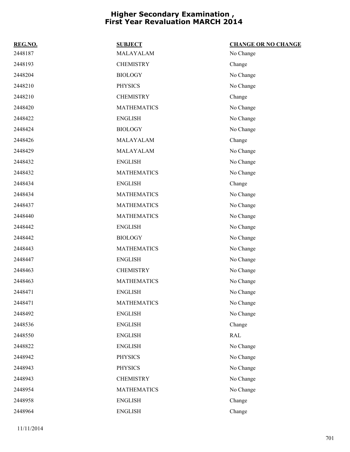| REG.NO. | <b>SUBJECT</b>     | <b>CHANGE OR NO CHANGE</b> |
|---------|--------------------|----------------------------|
| 2448187 | MALAYALAM          | No Change                  |
| 2448193 | <b>CHEMISTRY</b>   | Change                     |
| 2448204 | <b>BIOLOGY</b>     | No Change                  |
| 2448210 | <b>PHYSICS</b>     | No Change                  |
| 2448210 | <b>CHEMISTRY</b>   | Change                     |
| 2448420 | <b>MATHEMATICS</b> | No Change                  |
| 2448422 | <b>ENGLISH</b>     | No Change                  |
| 2448424 | <b>BIOLOGY</b>     | No Change                  |
| 2448426 | MALAYALAM          | Change                     |
| 2448429 | MALAYALAM          | No Change                  |
| 2448432 | <b>ENGLISH</b>     | No Change                  |
| 2448432 | <b>MATHEMATICS</b> | No Change                  |
| 2448434 | <b>ENGLISH</b>     | Change                     |
| 2448434 | <b>MATHEMATICS</b> | No Change                  |
| 2448437 | <b>MATHEMATICS</b> | No Change                  |
| 2448440 | <b>MATHEMATICS</b> | No Change                  |
| 2448442 | <b>ENGLISH</b>     | No Change                  |
| 2448442 | <b>BIOLOGY</b>     | No Change                  |
| 2448443 | <b>MATHEMATICS</b> | No Change                  |
| 2448447 | <b>ENGLISH</b>     | No Change                  |
| 2448463 | <b>CHEMISTRY</b>   | No Change                  |
| 2448463 | <b>MATHEMATICS</b> | No Change                  |
| 2448471 | <b>ENGLISH</b>     | No Change                  |
| 2448471 | <b>MATHEMATICS</b> | No Change                  |
| 2448492 | <b>ENGLISH</b>     | No Change                  |
| 2448536 | <b>ENGLISH</b>     | Change                     |
| 2448550 | <b>ENGLISH</b>     | $\mathsf{RAL}$             |
| 2448822 | <b>ENGLISH</b>     | No Change                  |
| 2448942 | <b>PHYSICS</b>     | No Change                  |
| 2448943 | <b>PHYSICS</b>     | No Change                  |
| 2448943 | <b>CHEMISTRY</b>   | No Change                  |
| 2448954 | <b>MATHEMATICS</b> | No Change                  |
| 2448958 | <b>ENGLISH</b>     | Change                     |
| 2448964 | <b>ENGLISH</b>     | Change                     |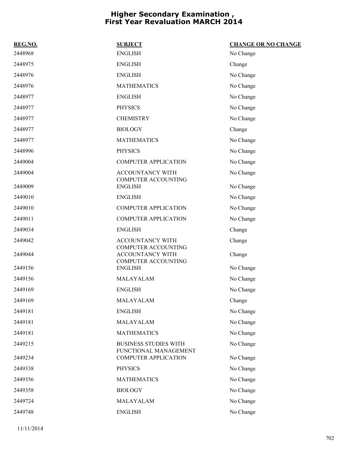| REG.NO. | <b>SUBJECT</b>                                        | <b>CHANGE OR NO CHANGE</b> |
|---------|-------------------------------------------------------|----------------------------|
| 2448968 | <b>ENGLISH</b>                                        | No Change                  |
| 2448975 | <b>ENGLISH</b>                                        | Change                     |
| 2448976 | <b>ENGLISH</b>                                        | No Change                  |
| 2448976 | <b>MATHEMATICS</b>                                    | No Change                  |
| 2448977 | <b>ENGLISH</b>                                        | No Change                  |
| 2448977 | <b>PHYSICS</b>                                        | No Change                  |
| 2448977 | <b>CHEMISTRY</b>                                      | No Change                  |
| 2448977 | <b>BIOLOGY</b>                                        | Change                     |
| 2448977 | <b>MATHEMATICS</b>                                    | No Change                  |
| 2448996 | <b>PHYSICS</b>                                        | No Change                  |
| 2449004 | <b>COMPUTER APPLICATION</b>                           | No Change                  |
| 2449004 | <b>ACCOUNTANCY WITH</b><br><b>COMPUTER ACCOUNTING</b> | No Change                  |
| 2449009 | <b>ENGLISH</b>                                        | No Change                  |
| 2449010 | <b>ENGLISH</b>                                        | No Change                  |
| 2449010 | <b>COMPUTER APPLICATION</b>                           | No Change                  |
| 2449011 | <b>COMPUTER APPLICATION</b>                           | No Change                  |
| 2449034 | <b>ENGLISH</b>                                        | Change                     |
| 2449042 | ACCOUNTANCY WITH<br><b>COMPUTER ACCOUNTING</b>        | Change                     |
| 2449044 | ACCOUNTANCY WITH                                      | Change                     |
| 2449156 | COMPUTER ACCOUNTING<br><b>ENGLISH</b>                 | No Change                  |
| 2449156 | MALAYALAM                                             | No Change                  |
| 2449169 | <b>ENGLISH</b>                                        | No Change                  |
| 2449169 | MALAYALAM                                             | Change                     |
| 2449181 | <b>ENGLISH</b>                                        | No Change                  |
| 2449181 | MALAYALAM                                             | No Change                  |
| 2449181 | <b>MATHEMATICS</b>                                    | No Change                  |
| 2449215 | <b>BUSINESS STUDIES WITH</b><br>FUNCTIONAL MANAGEMENT | No Change                  |
| 2449234 | <b>COMPUTER APPLICATION</b>                           | No Change                  |
| 2449338 | <b>PHYSICS</b>                                        | No Change                  |
| 2449356 | <b>MATHEMATICS</b>                                    | No Change                  |
| 2449358 | <b>BIOLOGY</b>                                        | No Change                  |
| 2449724 | MALAYALAM                                             | No Change                  |
| 2449748 | <b>ENGLISH</b>                                        | No Change                  |